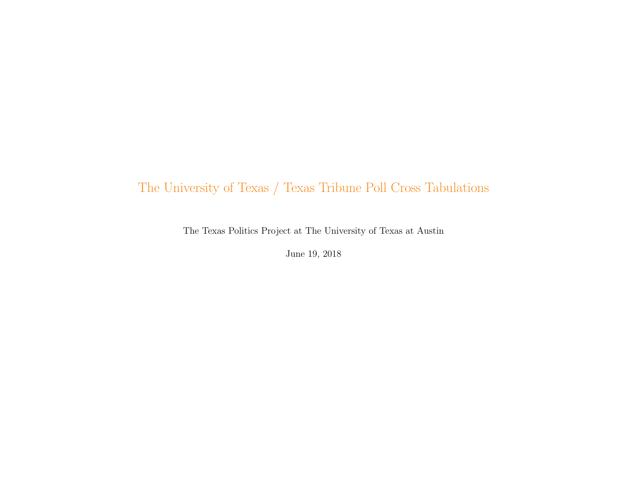# The University of Texas / Texas Tribune Poll Cross Tabulations

The Texas Politics Project at The University of Texas at Austin

June 19, 2018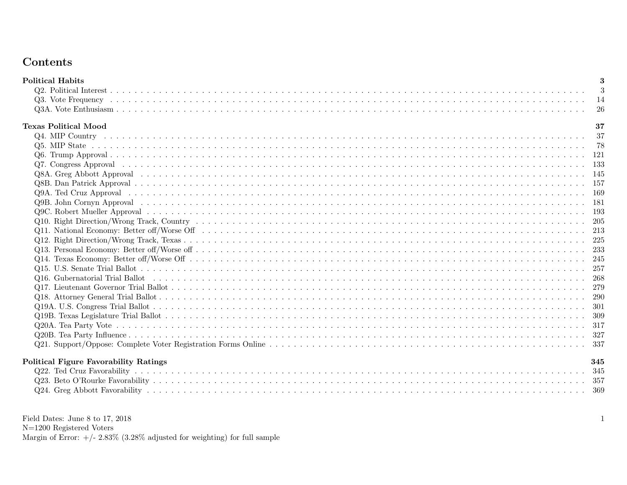# Contents

|                                                                                                                                     | -3<br>-14<br>26<br>37 |
|-------------------------------------------------------------------------------------------------------------------------------------|-----------------------|
|                                                                                                                                     |                       |
|                                                                                                                                     |                       |
|                                                                                                                                     |                       |
| <b>Texas Political Mood</b>                                                                                                         |                       |
|                                                                                                                                     |                       |
|                                                                                                                                     |                       |
|                                                                                                                                     |                       |
|                                                                                                                                     |                       |
|                                                                                                                                     |                       |
|                                                                                                                                     |                       |
|                                                                                                                                     |                       |
|                                                                                                                                     |                       |
|                                                                                                                                     |                       |
|                                                                                                                                     |                       |
|                                                                                                                                     |                       |
|                                                                                                                                     |                       |
|                                                                                                                                     |                       |
|                                                                                                                                     |                       |
|                                                                                                                                     |                       |
| Q16. Gubernatorial Trial Ballot (also notes in the case of also notes in the case of also not contained a contact the contact $268$ |                       |
|                                                                                                                                     |                       |
|                                                                                                                                     |                       |
|                                                                                                                                     |                       |
|                                                                                                                                     |                       |
|                                                                                                                                     |                       |
|                                                                                                                                     |                       |
|                                                                                                                                     |                       |
| Political Figure Favorability Ratings                                                                                               | 345                   |
|                                                                                                                                     |                       |
|                                                                                                                                     |                       |
|                                                                                                                                     |                       |

Field Dates: June 8 to 17, 2018 N=1200 Registered Voters Margin of Error:  $+/- 2.83\%$  (3.28% adjusted for weighting) for full sample 1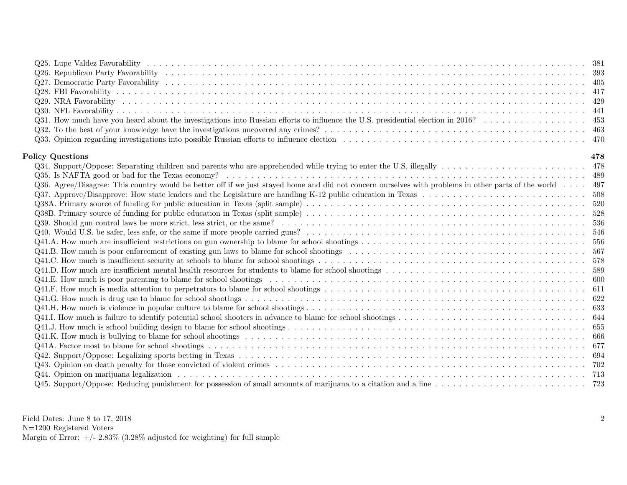| <b>Policy Questions</b><br>Q36. Agree/Disagree: This country would be better off if we just stayed home and did not concern ourselves with problems in other parts of the world 497 |       |
|-------------------------------------------------------------------------------------------------------------------------------------------------------------------------------------|-------|
|                                                                                                                                                                                     |       |
|                                                                                                                                                                                     |       |
|                                                                                                                                                                                     |       |
|                                                                                                                                                                                     |       |
|                                                                                                                                                                                     |       |
|                                                                                                                                                                                     |       |
|                                                                                                                                                                                     |       |
|                                                                                                                                                                                     |       |
|                                                                                                                                                                                     | 478   |
|                                                                                                                                                                                     | - 478 |
|                                                                                                                                                                                     |       |
|                                                                                                                                                                                     |       |
|                                                                                                                                                                                     | 508   |
|                                                                                                                                                                                     |       |
|                                                                                                                                                                                     |       |
|                                                                                                                                                                                     |       |
|                                                                                                                                                                                     |       |
|                                                                                                                                                                                     |       |
|                                                                                                                                                                                     |       |
|                                                                                                                                                                                     |       |
|                                                                                                                                                                                     |       |
|                                                                                                                                                                                     |       |
|                                                                                                                                                                                     |       |
|                                                                                                                                                                                     |       |
|                                                                                                                                                                                     |       |
|                                                                                                                                                                                     |       |
|                                                                                                                                                                                     |       |
|                                                                                                                                                                                     |       |
|                                                                                                                                                                                     |       |
|                                                                                                                                                                                     |       |
|                                                                                                                                                                                     |       |
|                                                                                                                                                                                     |       |
|                                                                                                                                                                                     |       |

Field Dates: June 8 to 17, 2018 N=1200 Registered Voters

Margin of Error:  $+/- 2.83\%$  (3.28% adjusted for weighting) for full sample

2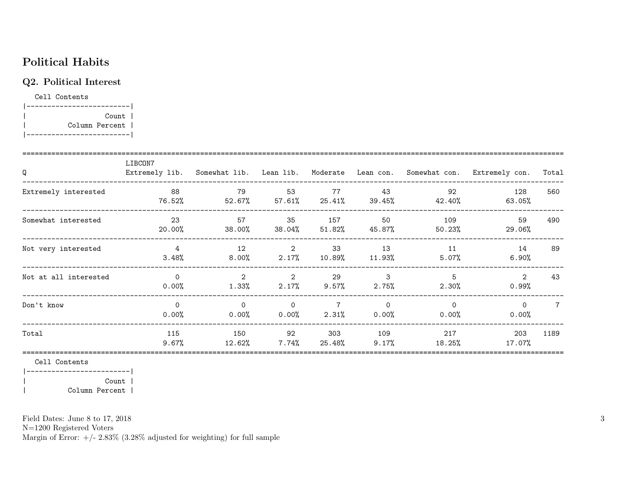## Political Habits

## Q2. Political Interest

Cell Contents |-------------------------|

| Count | | Column Percent | |-------------------------|

| Q                     | LIBCON7                 |                      |                                        |                            |                      | Extremely lib. Somewhat lib. Lean lib. Moderate Lean con. Somewhat con. | Extremely con.    | Total |
|-----------------------|-------------------------|----------------------|----------------------------------------|----------------------------|----------------------|-------------------------------------------------------------------------|-------------------|-------|
| Extremely interested  | - 88<br>76.52%          | 79                   | 53<br>$52.67\%$ $57.61\%$ $25.41\%$    | 77                         | 43                   | 92<br>$39.45\%$ $42.40\%$                                               | 128<br>63.05%     | 560   |
| Somewhat interested   | 23<br>20.00%            | 57<br>38.00%         | 35                                     | 157<br>$38.04\%$ $51.82\%$ | 50<br>45.87%         | 109<br>50.23%                                                           | 59<br>29.06%      | 490   |
| Not very interested   | $\overline{4}$<br>3.48% | 12<br>8.00%          | $\overline{\mathbf{2}}$<br>2.17%       | 33<br>10.89%               | 13<br>11.93%         | 11<br>$5.07\%$                                                          | 14<br>6.90%       | 89    |
| Not at all interested | $\Omega$<br>0.00%       | 2<br>$1.33\%$        | $\overline{\phantom{a}}$ 2<br>$2.17\%$ | 29<br>9.57%                | 3<br>$2.75\%$        | 5<br>$2.30\%$                                                           | 2<br>$0.99\%$     | 43    |
| Don't know            | $\Omega$<br>$0.00\%$    | $\Omega$<br>$0.00\%$ | $\overline{0}$<br>0.00%                | $\overline{7}$<br>2.31%    | $\Omega$<br>$0.00\%$ | $\Omega$<br>$0.00\%$                                                    | $\Omega$<br>0.00% | 7     |
| Total                 | 115<br>9.67%            | 150<br>12.62%        | 92<br>$7.74\%$                         | 303<br>25.48%              | 109<br>$9.17\%$      | 217<br>18.25%                                                           | 203<br>17.07%     | 1189  |

Cell Contents

|-------------------------| | Count | | Column Percent |

Field Dates: June 8 to 17, 2018

N=1200 Registered Voters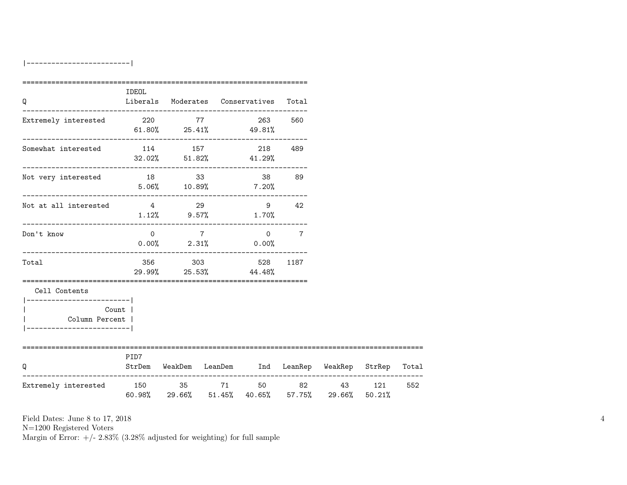|-------------------------|

| Q                                                                                                  | IDEOL                                |       | Liberals Moderates Conservatives Total   |                                                         |     |     |
|----------------------------------------------------------------------------------------------------|--------------------------------------|-------|------------------------------------------|---------------------------------------------------------|-----|-----|
| Extremely interested                                                                               | 220 77<br>$61.80\%$ 25.41% 49.81%    |       | 263 560                                  |                                                         |     |     |
| Somewhat interested                                                                                | 114 157 218 489                      |       | $32.02\%$ $51.82\%$ $41.29\%$            |                                                         |     |     |
| Not very interested                                                                                | 18 33<br>$5.06\%$ $10.89\%$ $7.20\%$ |       | 38 89                                    |                                                         |     |     |
| Not at all interested $4$ and $29$ and $42$                                                        | $1.12\%$ 9.57% $1.70\%$              |       |                                          |                                                         |     |     |
| Don't know                                                                                         |                                      | $0$ 7 | $0\qquad 7$<br>$0.00\%$ 2.31% 0.00%      |                                                         |     |     |
| Total                                                                                              |                                      |       | 356 303 528 1187<br>29.99% 25.53% 44.48% |                                                         |     |     |
| Cell Contents<br>----------------------- <br>Count  <br>Column Percent  <br>---------------------- |                                      |       |                                          |                                                         |     |     |
| Q                                                                                                  | PID7                                 |       |                                          | StrDem WeakDem LeanDem Ind LeanRep WeakRep StrRep Total |     |     |
| Extremely interested                                                                               | 150 35 71 50 82                      |       |                                          | 43<br>60.98% 29.66% 51.45% 40.65% 57.75% 29.66% 50.21%  | 121 | 552 |

Field Dates: June 8 to 17, 2018

N=1200 Registered Voters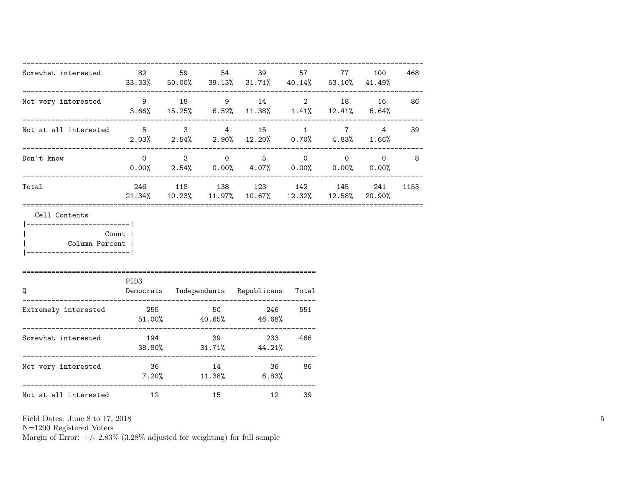| Somewhat interested 82 59 54 39 57 77                                                       |                  |    | $33.33\%$ 50.00% 39.13% 31.71% 40.14% 53.10% 41.49%                                                                     |     | 100 | 468      |
|---------------------------------------------------------------------------------------------|------------------|----|-------------------------------------------------------------------------------------------------------------------------|-----|-----|----------|
| Not very interested $9$ 18 $9$ 14 $2$ 18 16 86<br>----------                                |                  |    | $3.66\%$ $15.25\%$ $6.52\%$ $11.38\%$ $1.41\%$ $12.41\%$ $6.64\%$                                                       |     |     |          |
| Not at all interested $\begin{array}{cccccccc} 5 & 3 & 4 & 15 & 1 & 7 & 4 & 39 \end{array}$ |                  |    | $2.03\%$ $2.54\%$ $2.90\%$ $12.20\%$ $0.70\%$ $4.83\%$ $1.66\%$                                                         |     |     |          |
| Don't know                                                                                  |                  |    | $0 \qquad 3 \qquad 0 \qquad 5 \qquad 0 \qquad 0 \qquad 0 \qquad 8$<br>$0.00\%$ 2.54%  0.00%  4.07%  0.00%  0.00%  0.00% |     |     |          |
| Total                                                                                       |                  |    | 246 118 138 123 142 145<br>$21.34\%$ $10.23\%$ $11.97\%$ $10.67\%$ $12.32\%$ $12.58\%$ $20.90\%$                        |     |     | 241 1153 |
| Column Percent  <br>----------------------                                                  | Count            |    |                                                                                                                         |     |     |          |
| Q                                                                                           | PID <sub>3</sub> |    | Democrats Independents Republicans Total                                                                                |     |     |          |
| Extremely interested                                                                        |                  |    | 255 50 246<br>$51.00\%$ 40.65% 46.68%                                                                                   | 551 |     |          |
| Somewhat interested 194 39                                                                  |                  |    | 233<br>38.80% 31.71% 44.21%                                                                                             | 466 |     |          |
| Not very interested 36 36 14                                                                |                  |    | 36 86<br>$7.20\%$ 11.38% 6.83%                                                                                          |     |     |          |
| Not at all interested 12                                                                    |                  | 15 | 12 39                                                                                                                   |     |     |          |

N=1200 Registered Voters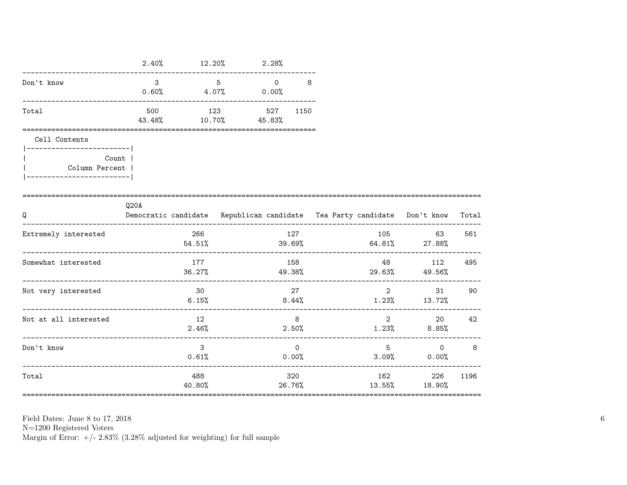|                                            | 2.40%                                  | 12.20%                        | 2.28%          |                         |                                                                          |                                                                                                                                                                                                                                                                                                                                    |       |
|--------------------------------------------|----------------------------------------|-------------------------------|----------------|-------------------------|--------------------------------------------------------------------------|------------------------------------------------------------------------------------------------------------------------------------------------------------------------------------------------------------------------------------------------------------------------------------------------------------------------------------|-------|
| Don't know                                 | $\mathbf{3}$<br>______________________ | $5 -$<br>$0.60\%$ 4.07% 0.00% | $\overline{0}$ | 8                       |                                                                          |                                                                                                                                                                                                                                                                                                                                    |       |
| Total                                      | 500<br>43.48%                          | 123<br>$10.70\%$ 45.83%       | 527 1150       |                         |                                                                          |                                                                                                                                                                                                                                                                                                                                    |       |
| Cell Contents<br>------------------------- |                                        |                               |                |                         |                                                                          |                                                                                                                                                                                                                                                                                                                                    |       |
| Count 1<br>Column Percent                  |                                        |                               |                |                         |                                                                          |                                                                                                                                                                                                                                                                                                                                    |       |
| Q                                          | Q20A                                   |                               |                |                         | Democratic candidate Republican candidate Tea Party candidate Don't know |                                                                                                                                                                                                                                                                                                                                    | Total |
| Extremely interested                       |                                        | 266<br>54.51%                 | 39.69%         | 127                     | $64.81\%$ 27.88%                                                         | 105 100<br>63                                                                                                                                                                                                                                                                                                                      | 561   |
| Somewhat interested                        |                                        | 177<br>36.27%                 | 49.38%         | 158                     | $29.63\%$ 49.56%                                                         | 48 112 495                                                                                                                                                                                                                                                                                                                         |       |
| Not very interested                        |                                        | 30<br>6.15%                   | 8.44%          | 27                      | $1.23\%$ $13.72\%$                                                       | $\overline{2}$ and $\overline{2}$ and $\overline{2}$ and $\overline{2}$ and $\overline{2}$ and $\overline{2}$ and $\overline{2}$ and $\overline{2}$ and $\overline{2}$ and $\overline{2}$ and $\overline{2}$ and $\overline{2}$ and $\overline{2}$ and $\overline{2}$ and $\overline{2}$ and $\overline{2}$ and $\overline{2}$ and | 31 90 |
| Not at all interested                      |                                        | 12<br>2.46%                   |                | 8 <sup>8</sup><br>2.50% |                                                                          | $2 \left( \frac{1}{2} \right)$<br>$1.23\%$ 8.85%                                                                                                                                                                                                                                                                                   | 20 42 |
| Don't know                                 |                                        | $\mathbf{3}$<br>0.61%         |                | $\Omega$<br>$0.00\%$    | 5 <sup>5</sup><br>3.09%                                                  | $0 \qquad \qquad$<br>$0.00\%$                                                                                                                                                                                                                                                                                                      | 8     |
| Total                                      |                                        | 488                           |                | 320                     | ------------------------------------<br>$40.80\%$ 26.76% 13.55% 18.90%   | 162 226                                                                                                                                                                                                                                                                                                                            | 1196  |

 ${\rm N}{=}1200$  Registered Voters

Margin of Error:  $+/- 2.83\%$  (3.28% adjusted for weighting) for full sample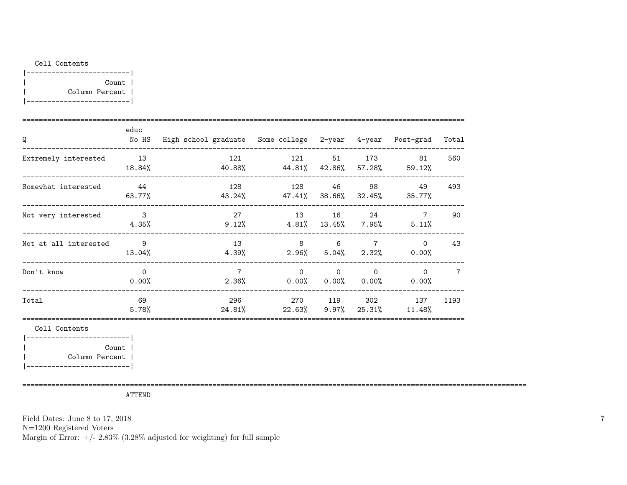#### Cell Contents

| Count          |  |
|----------------|--|
| Column Percent |  |
|                |  |

| Q                                                        | educ<br>No HS                       | High school graduate Some college 2-year 4-year Post-grad Total |                                                                                                                                                                                                                                                                         |                |          |                     |      |
|----------------------------------------------------------|-------------------------------------|-----------------------------------------------------------------|-------------------------------------------------------------------------------------------------------------------------------------------------------------------------------------------------------------------------------------------------------------------------|----------------|----------|---------------------|------|
| Extremely interested<br>____________________________     | 13<br>18.84%                        | $40.88\%$ $44.81\%$ $42.86\%$ $57.28\%$ $59.12\%$               | 121 121 51 173 81                                                                                                                                                                                                                                                       |                |          |                     | 560  |
| Somewhat interested<br>_____________________________     | 44<br>$63.77\%$                     |                                                                 | 128 128 46 98 49<br>43.24% 47.41% 38.66% 32.45% 35.77%                                                                                                                                                                                                                  |                |          |                     | 493  |
| Not very interested                                      | $\overline{\phantom{a}}$ 3<br>4.35% | 27<br>$9.12\%$                                                  | $4.81\%$ $13.45\%$ 7.95%                                                                                                                                                                                                                                                |                |          | 13 16 24 7<br>5.11% | 90   |
| Not at all interested<br>_______________________________ | - 9<br>13.04%                       | 13                                                              | 8 6 7 0<br>$4.39\%$ 2.96% 5.04% 2.32% 0.00%                                                                                                                                                                                                                             |                |          |                     | 43   |
| Don't know                                               | $\Omega$<br>0.00%                   | $7\overline{ }$                                                 | $\Omega$<br>$2.36\%$ 0.00% 0.00% 0.00% 0.00%                                                                                                                                                                                                                            | $\overline{0}$ | $\Omega$ | $\overline{O}$      |      |
| Total                                                    | 69<br>5.78%                         |                                                                 | 296 — 100 — 100 — 100 — 100 — 100 — 100 — 100 — 100 — 100 — 100 — 100 — 100 — 100 — 100 — 100 — 100 — 100 — 100 — 100 — 100 — 100 — 100 — 100 — 100 — 100 — 100 — 100 — 100 — 100 — 100 — 100 — 100 — 100 — 100 — 100 — 100 — 1<br>$24.81\%$ 22.63% 9.97% 25.31% 11.48% |                |          | 270 119 302 137     | 1193 |
| Cell Contents                                            |                                     |                                                                 |                                                                                                                                                                                                                                                                         |                |          |                     |      |

|-------------------------| | Count | | Column Percent | |-------------------------|

==========================================================================================================================

ATTEND

Field Dates: June 8 to 17, 2018

N=1200 Registered Voters

Margin of Error:  $+/- 2.83\%$  (3.28% adjusted for weighting) for full sample

7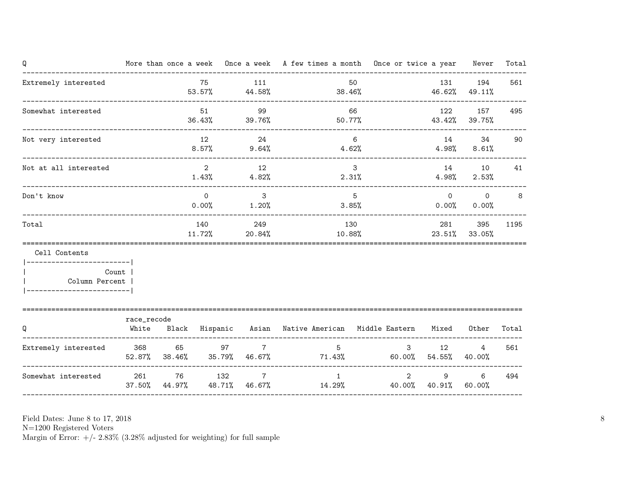| Q                                                                                          |             |                         |                         | More than once a week Once a week A few times a month Once or twice a year Never |                                               |                                                  |                      | Total |
|--------------------------------------------------------------------------------------------|-------------|-------------------------|-------------------------|----------------------------------------------------------------------------------|-----------------------------------------------|--------------------------------------------------|----------------------|-------|
| Extremely interested                                                                       |             | 75                      | 111                     | $53.57\%$ 44.58% 38.46% 46.62% 49.11%                                            | 50                                            |                                                  | 131 194              | 561   |
| Somewhat interested                                                                        |             |                         | 99                      | $36.43\%$ $39.76\%$ $50.77\%$ $43.42\%$ $39.75\%$                                | 66                                            |                                                  | 122 157              | 495   |
| Not very interested                                                                        |             |                         | 12 24<br>$8.57\%$ 9.64% |                                                                                  | $6\overline{6}$<br>$4.62\%$ $4.98\%$ $8.61\%$ |                                                  | 14 34 90             |       |
| Not at all interested                                                                      |             | $\overline{\mathbf{2}}$ | 12<br>$1.43\%$ $4.82\%$ | 2.31%                                                                            | $\overline{\mathbf{3}}$                       | 4.98%                                            | 14 10 41<br>$2.53\%$ |       |
| Don't know                                                                                 |             | $\overline{0}$          | 3                       | $0.00\%$ 1.20%                                                                   | 5<br>3.85%                                    |                                                  | $0.00\%$ 0.00%       | 8     |
| Total                                                                                      |             |                         | 140 249                 | $11.72\%$ 20.84% 10.88% 23.51% 33.05%                                            | 130                                           |                                                  | 281 395              | 1195  |
| Cell Contents                                                                              |             |                         |                         |                                                                                  |                                               |                                                  |                      |       |
| -------------------------- <br>Count  <br>  Column Percent  <br> ------------------------- |             |                         |                         |                                                                                  |                                               |                                                  |                      |       |
| Q                                                                                          | race_recode |                         |                         | White Black Hispanic Asian Native-American Middle-Eastern Mixed Other            |                                               |                                                  |                      | Total |
| Extremely interested 368 65 97 7                                                           |             |                         |                         | 5 <sup>7</sup><br>$52.87\%$ 38.46% 35.79% 46.67% 71.43% 60.00% 54.55% 40.00%     | $\overline{\mathbf{3}}$                       | 12                                               | 4                    | 561   |
| Somewhat interested 261 76 132                                                             |             |                         | $\overline{7}$          | 1<br>$37.50\%$ 44.97% 48.71% 46.67% 14.29% 40.00% 40.91% 60.00%                  |                                               | $\overline{2}$<br>$9 \left( \frac{1}{2} \right)$ | 6                    | 494   |

N=1200 Registered Voters

Margin of Error:  $+/- 2.83\%$  (3.28% adjusted for weighting) for full sample

8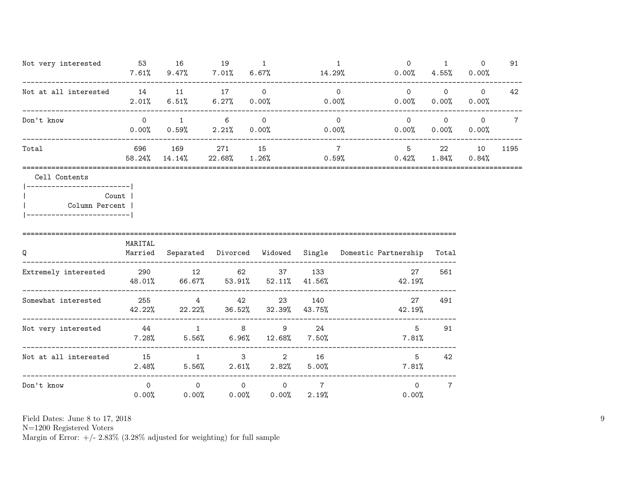| Not very interested   | 53<br>7.61%       | 16<br>9.47%   | 19<br>$7.01\%$ | 6.67%                      | 14.29%               | $0.00\%$      | 4.55%                | $\Omega$<br>$0.00\%$       | 91   |
|-----------------------|-------------------|---------------|----------------|----------------------------|----------------------|---------------|----------------------|----------------------------|------|
| Not at all interested | 14<br>2.01%       | - 11<br>6.51% | 17<br>$6.27\%$ | $\Omega$<br>$0.00\%$       | 0<br>0.00%           | 0<br>$0.00\%$ | $\circ$<br>$0.00\%$  | $\Omega$<br>$0.00\%$       | 42   |
| Don't know            | $\Omega$<br>0.00% | 0.59%         | 6<br>2.21%     | $\overline{0}$<br>$0.00\%$ | $\Omega$<br>$0.00\%$ | $0.00\%$      | $\Omega$<br>$0.00\%$ | $\overline{0}$<br>$0.00\%$ |      |
| Total                 | 696<br>58.24%     | 169<br>14.14% | 271<br>22.68%  | 15<br>1.26%                | 0.59%                | 5<br>0.42%    | 22<br>$1.84\%$       | 10<br>$0.84\%$             | 1195 |
| Cell Contents         |                   |               |                |                            |                      |               |                      |                            |      |

| Count          |  |
|----------------|--|
| Column Percent |  |
|                |  |

| Q                     | MARITAL<br>Married | Separated Divorced Widowed |                      |                                     | Single                  | Domestic Partnership | Total |
|-----------------------|--------------------|----------------------------|----------------------|-------------------------------------|-------------------------|----------------------|-------|
| Extremely interested  | 290<br>48.01%      | 12<br>$66.67\%$            | 62<br>$53.91\%$      | 37<br>52.11%                        | 133<br>41.56%           | 27<br>42.19%         | 561   |
| Somewhat interested   | 255<br>42.22%      | $\overline{4}$<br>22.22%   | - 42<br>36.52%       | 23<br>32.39%                        | - 140<br>43.75%         | 27<br>42.19%         | 491   |
| Not very interested   | 44<br>7.28%        | $\mathbf{1}$<br>$5.56\%$   | 8<br>6.96%           | 9<br>12.68%                         | 24<br>$7.50\%$          | 5<br>7.81%           | 91    |
| Not at all interested | 15<br>2.48%        | $\mathbf{1}$<br>5.56%      | 3<br>2.61%           | $\overline{\phantom{a}}$ 2<br>2.82% | 16<br>5.00%             | 5<br>7.81%           | 42    |
| Don't know            | $\Omega$<br>0.00%  | $\mathbf 0$<br>$0.00\%$    | $\Omega$<br>$0.00\%$ | $\Omega$<br>$0\,.\,00\%$            | $\overline{7}$<br>2.19% | $\Omega$<br>0.00%    | 7     |

N=1200 Registered Voters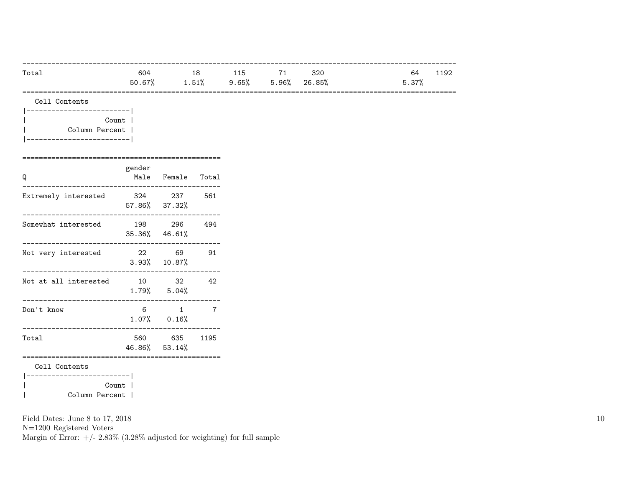| Total | 604    | 18       | 115      | 71              | 320 | 64<br>192 |
|-------|--------|----------|----------|-----------------|-----|-----------|
|       | 50.67% | $1.51\%$ | $9.65\%$ | $5.96\%$ 26.85% |     | 5.37%     |
|       |        |          |          |                 |     |           |

| Cell Contents |
|---------------|
|               |

|  | Count 1        |
|--|----------------|
|  | Column Percent |
|  |                |

================================================

| Q                          | gender | Male Female Total              |                |  |  |  |  |  |
|----------------------------|--------|--------------------------------|----------------|--|--|--|--|--|
| Extremely interested       |        | 324 237<br>57.86% 37.32%       | 561            |  |  |  |  |  |
| Somewhat interested        |        | 198 296<br>35.36% 46.61%       | 494            |  |  |  |  |  |
| Not very interested        |        | 22 69<br>$3.93\%$ 10.87%       | 91             |  |  |  |  |  |
| Not at all interested      |        | 10 32<br>$1.79\%$ $5.04\%$     | 42             |  |  |  |  |  |
| Don't know                 | 6      | $\mathbf{1}$<br>$1.07\%$ 0.16% | $\overline{7}$ |  |  |  |  |  |
| Total                      |        | 560 635<br>46.86% 53.14%       | 1195           |  |  |  |  |  |
| Cell Contents              |        |                                |                |  |  |  |  |  |
| _________________<br>Count |        |                                |                |  |  |  |  |  |

| Column Percent |

Field Dates: June 8 to 17, 2018

N=1200 Registered Voters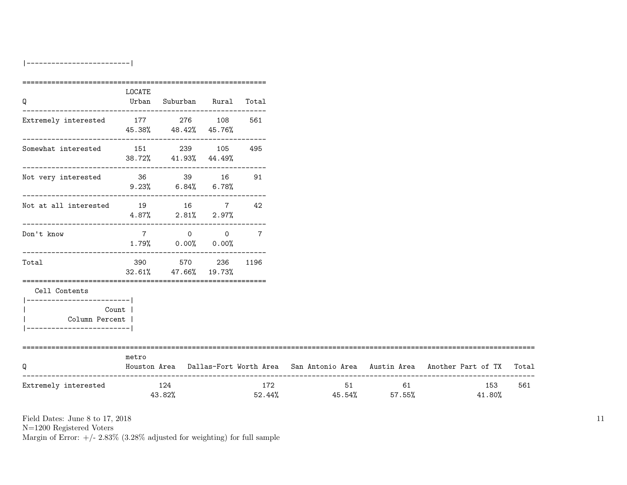|-------------------------|

| Q                                                                             | LOCATE | Urban Suburban Rural Total               |     |                               |       |                                                                                     |       |
|-------------------------------------------------------------------------------|--------|------------------------------------------|-----|-------------------------------|-------|-------------------------------------------------------------------------------------|-------|
| Extremely interested                                                          |        | 177 276 108 561<br>45.38% 48.42% 45.76%  |     |                               |       |                                                                                     |       |
| $\begin{tabular}{llll} Somewhat interested & 151 & 239 & 105\\ \end{tabular}$ |        | 38.72% 41.93% 44.49%                     | 495 |                               |       |                                                                                     |       |
| Not very interested 36 39 16                                                  |        | $9.23\%$ 6.84% 6.78%                     | 91  |                               |       |                                                                                     |       |
| Not at all interested 19 16 7 42                                              |        | $4.87\%$ 2.81% 2.97%                     |     |                               |       |                                                                                     |       |
| Don't know                                                                    |        | 7 0 0 7<br>$1.79\%$ 0.00% 0.00%          |     |                               |       |                                                                                     |       |
| Total                                                                         |        | 390 570 236 1196<br>32.61% 47.66% 19.73% |     |                               |       |                                                                                     |       |
| Cell Contents<br>___________________________<br>Column Percent                | Count  |                                          |     |                               |       |                                                                                     |       |
| Q                                                                             | metro  |                                          |     |                               |       | Houston Area Dallas-Fort Worth Area San Antonio Area Austin Area Another Part of TX | Total |
| Extremely interested                                                          |        | 124<br>43.82%                            | 172 | $52.44\%$ $45.54\%$ $57.55\%$ | 51 61 | 153<br>41.80%                                                                       |       |

Field Dates: June 8 to 17, 2018

N=1200 Registered Voters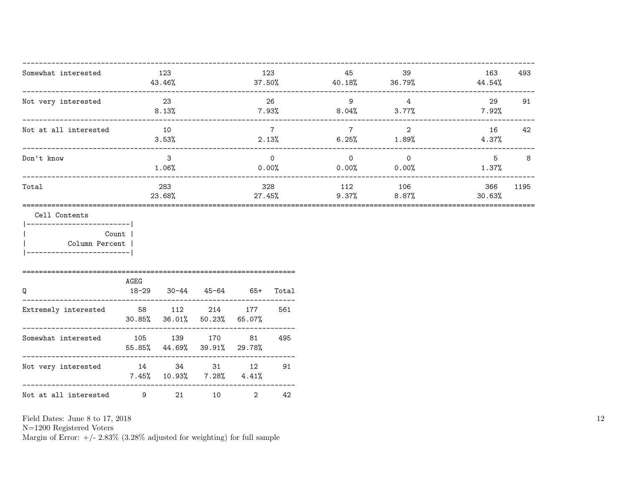| Somewhat interested                                                                                   | 43.46%                              | 123                         |           | 123                     | 45          | 39<br>$37.50\%$ 40.18% 36.79%                          | 163<br>44.54%    | 493   |
|-------------------------------------------------------------------------------------------------------|-------------------------------------|-----------------------------|-----------|-------------------------|-------------|--------------------------------------------------------|------------------|-------|
| Not very interested                                                                                   |                                     | 23<br>8.13%                 |           | 26                      | 9           | $4\overline{4}$<br>$7.93\%$ $8.04\%$ $3.77\%$ $7.92\%$ | 29               | 91    |
| Not at all interested                                                                                 |                                     | 10<br>3.53%                 |           | $7\overline{7}$         |             | 7 2<br>$2.13\%$ 6.25% 1.89%                            | 4.37%            | 16 42 |
| Don't know                                                                                            |                                     | $\mathbf{3}$<br>$1.06\%$    |           | $\overline{0}$<br>0.00% |             | $\overline{0}$ 0<br>$0.00\%$ 0.00% 1.37%               | $5$ 8            |       |
| Total                                                                                                 |                                     | 283<br>23.68%               |           | 27.45%                  | 328 112 106 | $9.37\%$ 8.87%                                         | 366<br>$30.63\%$ | 1195  |
| Cell Contents<br>__________________________<br><b>Count</b><br>Column Percent<br>-------------------- |                                     |                             |           |                         |             |                                                        |                  |       |
| Q                                                                                                     | AGEG<br>18-29 30-44 45-64 65+ Total |                             |           |                         |             |                                                        |                  |       |
| Extremely interested 58 112 214 177                                                                   |                                     | 30.85% 36.01% 50.23% 65.07% |           | 561                     |             |                                                        |                  |       |
| Somewhat interested 105 139 170 81 495                                                                |                                     | 55.85% 44.69% 39.91% 29.78% |           |                         |             |                                                        |                  |       |
| Not very interested $14$ $34$ $31$ $12$ $91$                                                          |                                     | $7.45\%$ 10.93% 7.28% 4.41% |           |                         |             |                                                        |                  |       |
| Not at all interested 9                                                                               |                                     | 21                          | $2 \quad$ | 42                      |             |                                                        |                  |       |

Field Dates: June 8 to 17,  $2018\,$ 

N=1200 Registered Voters<br>Margin of Error:  $+/- 2.83\%$  (3.28% adjusted for weighting) for full sample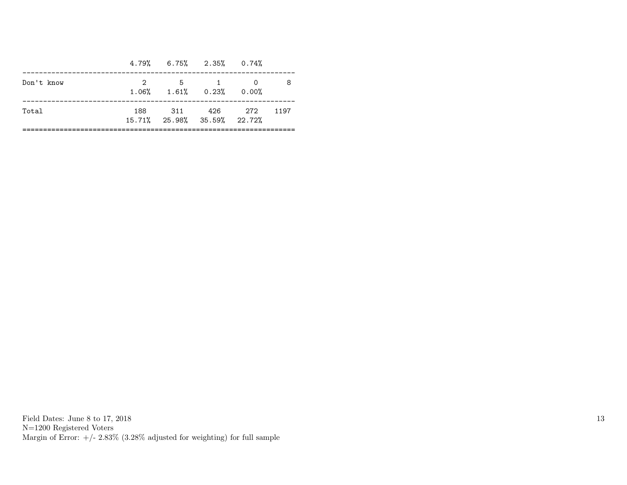| 2 5 1 0 |                                     |                                                |
|---------|-------------------------------------|------------------------------------------------|
|         | $1.06\%$ $1.61\%$ $0.23\%$ $0.00\%$ | -8                                             |
|         |                                     | 1197                                           |
|         |                                     | 188 311 426 272<br>15.71% 25.98% 35.59% 22.72% |

Field Dates: June 8 to 17, 2018 N=1200 Registered Voters Margin of Error:  $+/- 2.83\%$  (3.28% adjusted for weighting) for full sample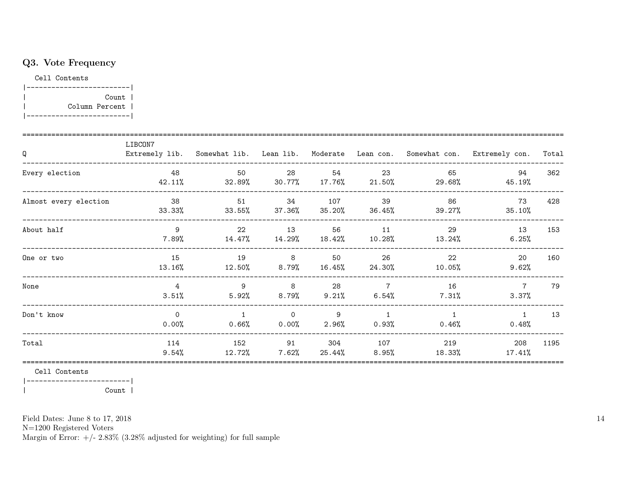## Q3. Vote Frequency

Cell Contents



| Q                     | LIBCON7                 |                            |                      |                 |                            |                                                         | Extremely lib. Somewhat lib. Lean lib. Moderate Lean con. Somewhat con. Extremely con. | Total |
|-----------------------|-------------------------|----------------------------|----------------------|-----------------|----------------------------|---------------------------------------------------------|----------------------------------------------------------------------------------------|-------|
| Every election        | 48<br>42.11%            | 50                         | 28                   | 54              | 23                         | 65<br>$32.89\%$ $30.77\%$ $17.76\%$ $21.50\%$ $29.68\%$ | 94<br>45.19%                                                                           | 362   |
| Almost every election | 38<br>33.33%            | 51<br>33.55%               | 34<br>$37.36\%$      | 107             | 39<br>$35.20\%$ $36.45\%$  | 86<br>39.27%                                            | 73<br>35.10%                                                                           | 428   |
| About half            | 9<br>7.89%              | 22<br>14.47%               | 13                   | 56              | 11                         | 29<br>$14.29\%$ $18.42\%$ $10.28\%$ $13.24\%$           | 13<br>6.25%                                                                            | 153   |
| One or two            | 15<br>13.16%            | 19<br>12.50%               | 8<br>$8.79\%$        | 50<br>$16.45\%$ | 26<br>24.30%               | 22<br>10.05%                                            | 20<br>9.62%                                                                            | 160   |
| None                  | $\overline{4}$<br>3.51% | 9<br>$5.92\%$ 8.79%        | 8 <sup>8</sup>       | 28<br>$9.21\%$  | $\overline{7}$<br>6.54%    | 16<br>$7.31\%$                                          | $\overline{7}$<br>3.37%                                                                | 79    |
| Don't know            | $\Omega$<br>0.00%       | $\overline{1}$<br>$0.66\%$ | $\Omega$<br>$0.00\%$ | 9<br>2.96%      | $\overline{1}$<br>$0.93\%$ | $\overline{1}$<br>$0.46\%$                              | $\overline{1}$<br>0.48%                                                                | 13    |
| Total                 | 114<br>9.54%            | 152<br>12.72%              | 91<br>7.62%          | 304<br>25.44%   | 107<br>8.95%               | 219<br>18.33%                                           | 208<br>17.41%                                                                          | 1195  |

Cell Contents

|------------------------| Count |  $\overline{1}$ 

Field Dates: June 8 to 17, 2018

 ${\rm N}{=}1200$  Registered Voters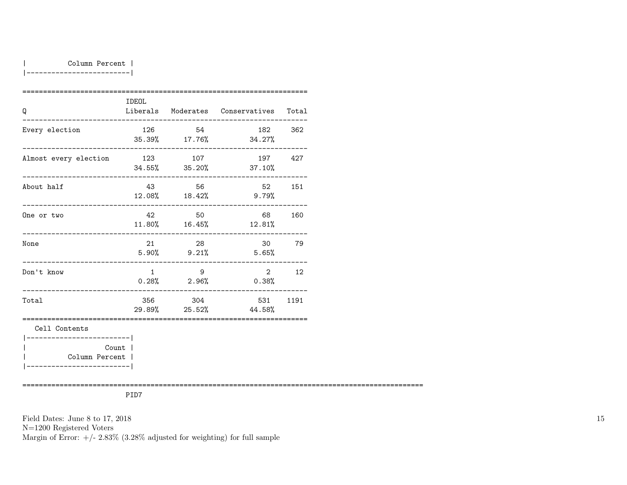### | Column Percent |

|-------------------------|

|                                           | <b>IDEOL</b>   |                           |                                        |     |
|-------------------------------------------|----------------|---------------------------|----------------------------------------|-----|
| Q                                         |                |                           | Liberals Moderates Conservatives Total |     |
| Every election                            | 126            | 54                        | 182<br>35.39% 17.76% 34.27%            | 362 |
| Almost every election                     |                | 123 107                   | 197<br>$34.55\%$ $35.20\%$ $37.10\%$   | 427 |
| About half                                |                | 43 56<br>12.08% 18.42%    | 52<br>$9.79\%$                         | 151 |
| One or two                                | 42             | 50<br>$11.80\%$ $16.45\%$ | 68 69<br>12.81%                        | 160 |
| None                                      |                | 28<br>$5.90\%$ $9.21\%$   | 30<br>5.65%                            | 79  |
| Don't know<br>____________                | $\overline{1}$ | - 9<br>$0.28\%$ 2.96%     | $2^{\circ}$<br>$0.38\%$                | 12  |
| Total                                     |                | 356 304                   | 531 1191<br>29.89% 25.52% 44.58%       |     |
| Cell Contents<br>------------------------ |                |                           |                                        |     |
| Count  <br>Column Percent                 |                |                           |                                        |     |

=================================================================================================

PID7

Field Dates: June 8 to 17, 2018

N=1200 Registered Voters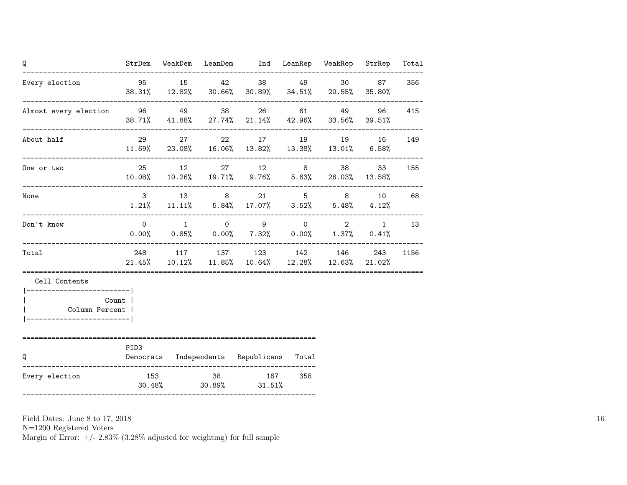| Q                                                             |                |  | StrDem WeakDem LeanDem Ind LeanRep WeakRep StrRep                                                                                |     |              |     | Total |
|---------------------------------------------------------------|----------------|--|----------------------------------------------------------------------------------------------------------------------------------|-----|--------------|-----|-------|
| Every election                                                |                |  | 95 15 42 38 49 30 87<br>38.31% 12.82% 30.66% 30.89% 34.51% 20.55% 35.80%                                                         |     |              |     | 356   |
| Almost every election 50 06 49 38 26                          |                |  | $38.71\%$ $41.88\%$ $27.74\%$ $21.14\%$ $42.96\%$ $33.56\%$ $39.51\%$                                                            |     | 61 49 96 415 |     |       |
| About half                                                    | 29             |  | 27 22 17 19 19 16 149<br>$11.69\%$ 23.08% 16.06% 13.82% 13.38% 13.01% 6.58%                                                      |     |              |     |       |
| One or two                                                    |                |  | 25 12 27 12 8 38<br>10.08% 10.26% 19.71% 9.76% 5.63% 26.03% 13.58%                                                               |     |              | 33  | 155   |
| None                                                          |                |  | $3 \qquad 13 \qquad 8 \qquad 21 \qquad 5 \qquad 8 \qquad 10$<br>$1.21\%$ $11.11\%$ $5.84\%$ $17.07\%$ $3.52\%$ $5.48\%$ $4.12\%$ |     |              |     | 68    |
| Don't know                                                    | $\overline{0}$ |  | $1 \qquad 0 \qquad 9 \qquad 0 \qquad 2 \qquad 1$<br>$0.00\%$ $0.85\%$ $0.00\%$ $7.32\%$ $0.00\%$ $1.37\%$ $0.41\%$               |     |              |     | 13    |
| Total                                                         |                |  | 248 117 137 123 142 146<br>$21.45\%$ $10.12\%$ $11.85\%$ $10.64\%$ $12.28\%$ $12.63\%$ $21.02\%$                                 |     |              | 243 | 1156  |
| Cell Contents<br>------------------------- <br>Column Percent | Count          |  |                                                                                                                                  |     |              |     |       |
| Q                                                             | PID3           |  | Democrats Independents Republicans Total                                                                                         |     |              |     |       |
| Every election                                                |                |  | 153 38 167<br>$30.48\%$ $30.89\%$ $31.51\%$                                                                                      | 358 |              |     |       |

N=1200 Registered Voters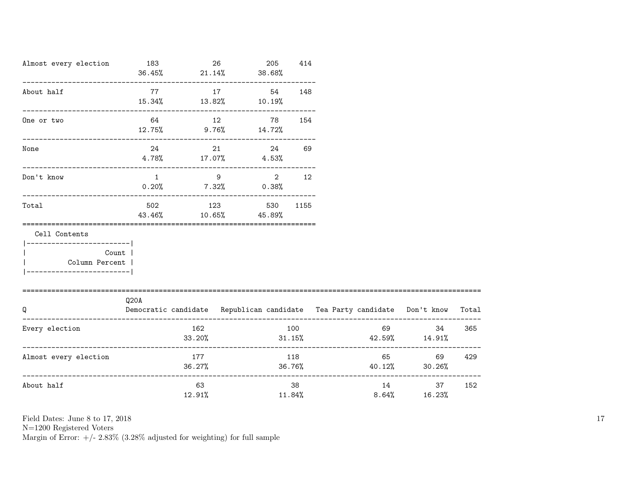| Almost every election                                                                                       | 183                                                                                           |               | 26                             | 205<br>$36.45\%$ 21.14% 38.68%         | 414              |       |                                    |       |
|-------------------------------------------------------------------------------------------------------------|-----------------------------------------------------------------------------------------------|---------------|--------------------------------|----------------------------------------|------------------|-------|------------------------------------|-------|
| About half                                                                                                  | 77<br>$15.34\%$ $13.82\%$ $10.19\%$                                                           | 17            |                                | 54                                     | 148              |       |                                    |       |
| One or two                                                                                                  | $12.75\%$ 9.76% $14.72\%$                                                                     | 64 12         |                                | 78 —                                   | 154              |       |                                    |       |
| None                                                                                                        | 24 and $\sim$                                                                                 |               |                                | 24<br>$4.78\%$ $17.07\%$ $4.53\%$      | 69               |       |                                    |       |
| -------------------------------------<br>Don't know                                                         |                                                                                               | $\mathbf 1$   | $9 \left( \frac{1}{2} \right)$ | $\overline{2}$<br>$0.20\%$ 7.32% 0.38% | 12               |       |                                    |       |
| Total                                                                                                       | 502<br>43.46%                                                                                 | 123           |                                | 530<br>$10.65\%$ 45.89%                | 1155             |       |                                    |       |
| Cell Contents<br>------------------------- <br>Count  <br>  Column Percent  <br> -------------------------- |                                                                                               |               |                                |                                        |                  |       |                                    |       |
| ====================================<br>Q                                                                   | Q <sub>20</sub> A<br>Democratic candidate Republican candidate Tea Party candidate Don't know |               |                                |                                        |                  |       |                                    | Total |
| Every election                                                                                              |                                                                                               | 162<br>33.20% |                                |                                        | 100<br>$31.15\%$ | 69    | 34<br>$42.59\%$ $14.91\%$          | 365   |
| Almost every election                                                                                       |                                                                                               | 177<br>36.27% |                                |                                        | 118<br>36.76%    |       | 65 — 100<br>69<br>$40.12\%$ 30.26% | 429   |
| About half                                                                                                  |                                                                                               | 63<br>12.91%  |                                |                                        | 38<br>11.84%     | 8.64% | 14 \,<br>37<br>16.23%              | 152   |

N=1200 Registered Voters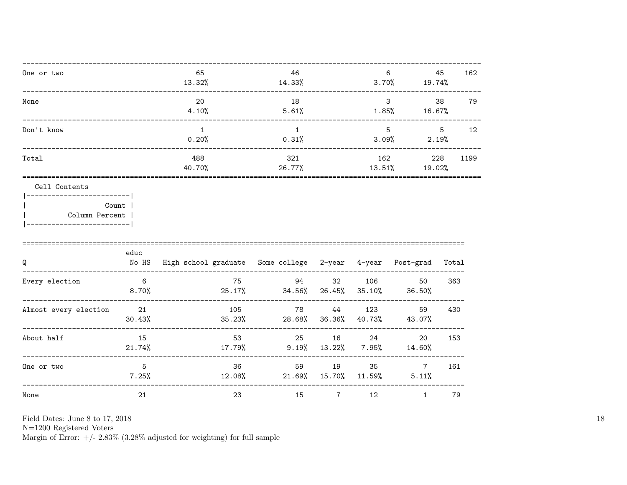| One or two | 65<br>13.32%  | 46<br>14.33%  | 6<br>3.70%    | 45<br>19.74%  | 162  |
|------------|---------------|---------------|---------------|---------------|------|
| None       | 20<br>4.10%   | 18<br>5.61%   | 3<br>1.85%    | 38<br>16.67%  | 79   |
| Don't know | 0.20%         | 0.31%         | 5<br>3.09%    | 5<br>2.19%    | 12   |
| Total      | 488<br>40.70% | 321<br>26.77% | 162<br>13.51% | 228<br>19.02% | 1199 |
|            |               |               |               |               |      |

Cell Contents

| Count 1        |
|----------------|
| Column Percent |
|                |

|                       | educ         |                                                 |                |                |                |                         |       |
|-----------------------|--------------|-------------------------------------------------|----------------|----------------|----------------|-------------------------|-------|
| Q                     | No HS        | High school graduate Some college 2-year 4-year |                |                |                | Post-grad               | Total |
| Every election        | -6<br>8.70%  | 75<br>25.17%                                    | 94<br>34.56%   | 32<br>26.45%   | 106<br>35.10%  | 50<br>36.50%            | 363   |
| Almost every election | 21<br>30.43% | 105<br>35.23%                                   | 78<br>28.68%   | 44<br>36.36%   | 123<br>40.73%  | 59<br>43.07%            | 430   |
| About half            | 15<br>21.74% | 53<br>17.79%                                    | 25<br>$9.19\%$ | 16<br>13.22%   | 24<br>$7.95\%$ | 20<br>14.60%            | 153   |
| One or two            | 5<br>7.25%   | 36<br>$12.08\%$                                 | 59<br>21.69%   | 19<br>15.70%   | 35<br>11.59%   | $\overline{7}$<br>5.11% | 161   |
| None                  | 21           | 23                                              | 15             | $\overline{7}$ | 12             |                         | 79    |

Field Dates: June 8 to 17, 2018

 ${\rm N}{=}1200$  Registered Voters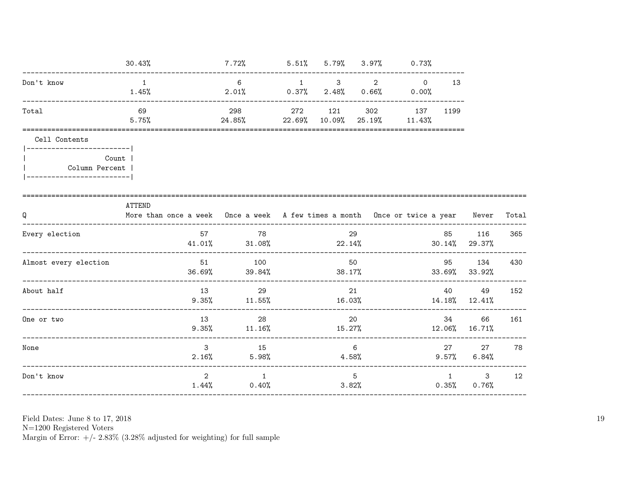| 30.43%                                                                                  |                                   | 7.72%          |                                                                |        |               |                                                                                                         |                                                                                                              |                            |                                                                                                                                                                                                                          |
|-----------------------------------------------------------------------------------------|-----------------------------------|----------------|----------------------------------------------------------------|--------|---------------|---------------------------------------------------------------------------------------------------------|--------------------------------------------------------------------------------------------------------------|----------------------------|--------------------------------------------------------------------------------------------------------------------------------------------------------------------------------------------------------------------------|
| 1<br>1.45%                                                                              |                                   | 6<br>2.01%     | $\overline{1}$                                                 |        |               |                                                                                                         | 13                                                                                                           |                            |                                                                                                                                                                                                                          |
| 69<br>5.75%                                                                             |                                   | 298            | 272<br>22.69%                                                  | 121    | 302<br>25.19% | 137<br>11.43%                                                                                           | 1199                                                                                                         |                            |                                                                                                                                                                                                                          |
| -------------------------- <br>Count  <br>Column Percent  <br>------------------------- |                                   |                |                                                                |        |               |                                                                                                         |                                                                                                              |                            |                                                                                                                                                                                                                          |
| ATTEND                                                                                  |                                   |                |                                                                |        |               |                                                                                                         |                                                                                                              | Never                      | Total                                                                                                                                                                                                                    |
|                                                                                         | 57                                | 78             |                                                                |        |               |                                                                                                         | 85                                                                                                           | 116                        | 365                                                                                                                                                                                                                      |
|                                                                                         | 36.69%                            | 100<br>39.84%  |                                                                |        |               |                                                                                                         |                                                                                                              |                            | 430                                                                                                                                                                                                                      |
|                                                                                         |                                   | 29             |                                                                |        |               |                                                                                                         |                                                                                                              | 49                         | 152                                                                                                                                                                                                                      |
|                                                                                         | 13                                | 28             |                                                                |        |               |                                                                                                         |                                                                                                              | 66                         | 161                                                                                                                                                                                                                      |
|                                                                                         | $\mathbf{3}$<br>2.16%             | 15<br>5.98%    |                                                                |        |               |                                                                                                         |                                                                                                              | 27<br>$6.84\%$             | 78                                                                                                                                                                                                                       |
|                                                                                         | $\overline{2}$<br>$1.44\%$        | $\overline{1}$ |                                                                |        |               |                                                                                                         | 1                                                                                                            | 3 <sup>7</sup><br>$0.76\%$ | 12                                                                                                                                                                                                                       |
|                                                                                         | _________________________________ |                | 51<br>13 and 13<br>$9.35\%$ 11.55%<br>$9.35\%$ 11.16%<br>0.40% | 24.85% | 0.37%         | 2.48%<br>$10.09\%$<br>29<br>50<br>38.17%<br>21<br>16.03%<br>20<br>15.27%<br>6<br>$4.58\%$<br>5<br>3.82% | $5.51\%$ $5.79\%$ $3.97\%$ 0.73%<br>$3 \qquad 2 \qquad 0$<br>$0.66\%$ 0.00%<br>$41.01\%$ $31.08\%$ $22.14\%$ |                            | More than once a week Once a week A few times a month Once or twice a year<br>$30.14\%$ 29.37%<br>95<br>134<br>$33.69\%$ $33.92\%$<br>40<br>$14.18\%$ $12.41\%$<br>34 \<br>12.06% 16.71%<br>27 — 27<br>$9.57\%$<br>0.35% |

 ${\rm N}{=}1200$  Registered Voters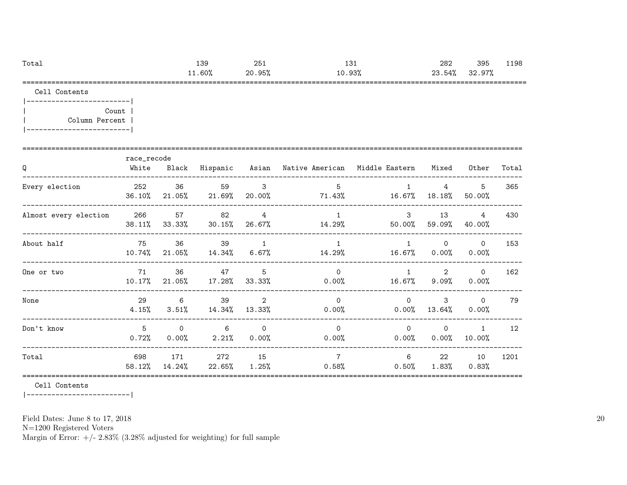| Total | 139       | 251        | $\sim$<br>⊥∪⊥ | 282        | 395                           | 198ء |
|-------|-----------|------------|---------------|------------|-------------------------------|------|
|       | $11.60\%$ | 95%،<br>20 | .93%          | 23<br>.54% | 97%<br>$\sim$<br><b>JZ.JI</b> |      |
| ---   |           |            |               |            |                               |      |

Cell Contents

|  | Count 1        |  |
|--|----------------|--|
|  | Column Percent |  |
|  |                |  |

| Q                     | race_recode<br>White | Black                |                           |                      | Hispanic Asian Native-American | Middle Eastern - Mixed |                              | Other                    | Total |
|-----------------------|----------------------|----------------------|---------------------------|----------------------|--------------------------------|------------------------|------------------------------|--------------------------|-------|
| Every election        | 252<br>36.10%        | 36                   | 59<br>21.05% 21.69%       | 3<br>20.00%          | 5<br>71.43%                    | 16.67%                 | $\overline{4}$<br>18.18%     | 5<br>50.00%              | 365   |
| Almost every election | 266<br>38.11%        | 57<br>33.33%         | 82<br>$30.15\%$           | 4<br>26.67%          | $\overline{1}$<br>14.29%       | $\mathbf{3}$<br>50.00% | 13<br>59.09%                 | $\overline{4}$<br>40.00% | 430   |
| About half            | 75<br>10.74%         | 36                   | 39<br>$21.05\%$ $14.34\%$ | 1<br>$6.67\%$        | $\mathbf{1}$<br>14.29%         |                        | $\mathsf{O}$<br>16.67% 0.00% | $\Omega$<br>0.00%        | 153   |
| One or two            | 71<br>$10.17\%$      | 36                   | 47<br>$21.05\%$ 17.28%    | 5<br>33.33%          | $\Omega$<br>$0.00\%$           | $\overline{1}$         | 2<br>16.67% 9.09%            | $\Omega$<br>0.00%        | 162   |
| None                  | 29<br>$4.15\%$       | 6                    | 39<br>$3.51\%$ $14.34\%$  | 2<br>13.33%          | $\Omega$<br>$0.00\%$           | $\Omega$<br>0.00%      | 3<br>13.64%                  | $\Omega$<br>0.00%        | 79    |
| Don't know            | 5<br>0.72%           | $\Omega$<br>$0.00\%$ | 6<br>2.21%                | $\Omega$<br>$0.00\%$ | $\Omega$<br>$0.00\%$           | $\Omega$<br>0.00%      | $\circ$<br>$0.00\%$          | $\overline{1}$<br>10.00% | 12    |
| Total                 | 698<br>58.12%        | 171<br>14.24%        | 272<br>22.65%             | 15<br>$1.25\%$       | $\overline{7}$<br>0.58%        | 6<br>$0.50\%$          | 22<br>$1.83\%$               | 10<br>0.83%              | 1201  |

Cell Contents

|-------------------------|

Field Dates: June 8 to 17, 2018

N=1200 Registered Voters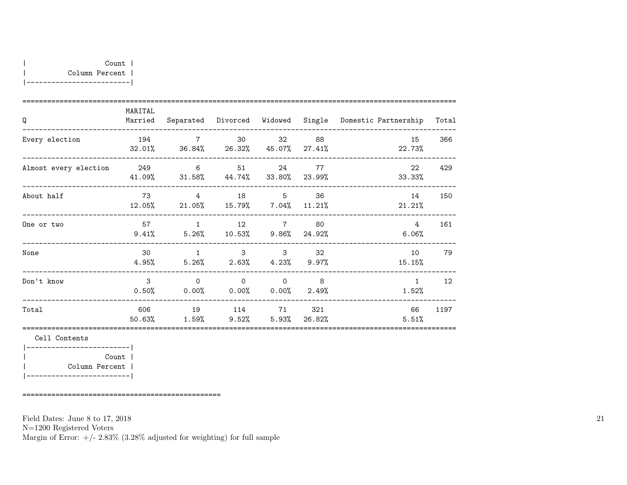|-------------------------|

| Q                     | MARITAL<br>Married |                                                                    |                  |                     |                          | Separated Divorced Widowed Single Domestic-Partnership Total |      |
|-----------------------|--------------------|--------------------------------------------------------------------|------------------|---------------------|--------------------------|--------------------------------------------------------------|------|
| Every election        | 194                | 7 30 32 88<br>32.01% 36.84% 26.32% 45.07% 27.41%                   |                  |                     |                          | 15<br>22.73%                                                 | 366  |
| Almost every election |                    | 249 6 51 24 77<br>41.09% 31.58% 44.74% 33.80% 23.99%               |                  |                     |                          | 22<br>33.33%                                                 | 429  |
| About half            | 73                 | 4 18 5 36<br>12.05% 21.05% 15.79% 7.04% 11.21%                     |                  |                     |                          | 14<br>21.21%                                                 | 150  |
| One or two            |                    | 57 1 12 7 80<br>$9.41\%$ $5.26\%$ $10.53\%$ $9.86\%$ $24.92\%$     |                  |                     |                          | 4<br>$6.06\%$                                                | 161  |
| None                  | 30<br>4.95%        | $5.26\%$ $2.63\%$ $4.23\%$ $9.97\%$                                | $1 \quad \cdots$ | $3 \quad \text{or}$ | $3 \overline{\smash)32}$ | 10<br>15.15%                                                 | 79   |
| Don't know            |                    | $3 \qquad 0 \qquad 0 \qquad 0$<br>$0.50\%$ 0.00% 0.00% 0.00% 2.49% |                  |                     | $\sim$ 8                 | 1<br>1.52%                                                   | 12   |
| Total                 |                    | 606 19 114 71<br>$50.63\%$ $1.59\%$ $9.52\%$ $5.93\%$ $26.82\%$    |                  |                     | 321                      | 66<br>5.51%                                                  | 1197 |

Cell Contents

|-------------------------| | Count | | Column Percent | |-------------------------|

================================================

Field Dates: June 8 to 17, 2018

N=1200 Registered Voters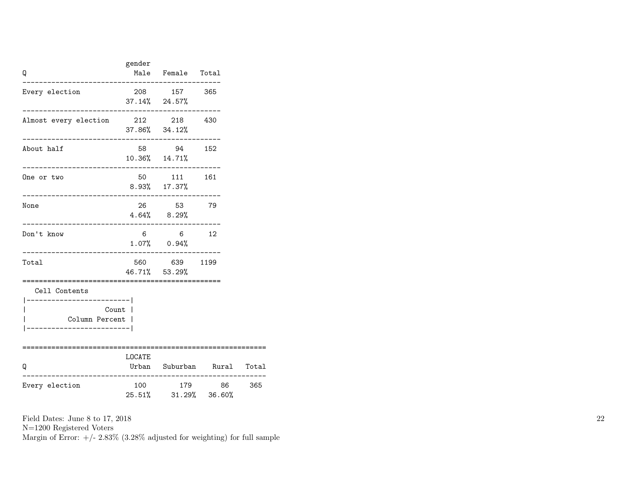| Q                                                                        | gender | Male Female Total                                                   |    |     |
|--------------------------------------------------------------------------|--------|---------------------------------------------------------------------|----|-----|
| Every election                                                           |        | 208 157 365<br>$37.14\%$ 24.57%                                     |    |     |
| Almost every election                                                    |        | 212 218 430<br>37.86% 34.12%                                        |    |     |
| About half                                                               |        | 58 94 152<br>10.36% 14.71%                                          |    |     |
| One or two                                                               |        | 50 111 161<br>8.93% 17.37%                                          |    |     |
| None                                                                     |        | 26 53 79<br>$4.64\%$ $8.29\%$                                       |    |     |
| Don't know                                                               | 6      | $\overline{6}$<br>$1.07\%$ 0.94%                                    | 12 |     |
| Total                                                                    |        | 560 639 1199<br>46.71% 53.29%<br>================================== |    |     |
| Cell Contents<br>----------------- <br>Column Percent  <br>------------- | Count  |                                                                     |    |     |
| Q                                                                        | LOCATE | Urban Suburban Rural Total                                          |    |     |
| Every election                                                           |        | 100 179<br>25.51% 31.29% 36.60%                                     | 86 | 365 |

N=1200 Registered Voters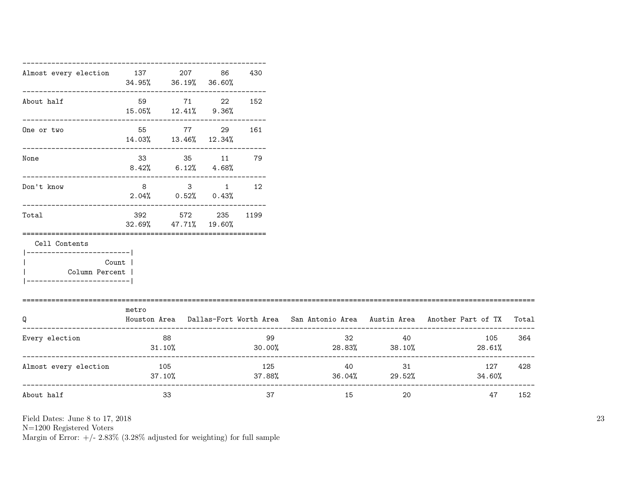|       |                           | 86                                                     | 430                                                                                                                                |                                                                                                                                         |     |               |                                                                                                                                                                   |
|-------|---------------------------|--------------------------------------------------------|------------------------------------------------------------------------------------------------------------------------------------|-----------------------------------------------------------------------------------------------------------------------------------------|-----|---------------|-------------------------------------------------------------------------------------------------------------------------------------------------------------------|
|       |                           |                                                        | 152                                                                                                                                |                                                                                                                                         |     |               |                                                                                                                                                                   |
|       |                           |                                                        |                                                                                                                                    |                                                                                                                                         |     |               |                                                                                                                                                                   |
|       |                           |                                                        |                                                                                                                                    |                                                                                                                                         |     |               |                                                                                                                                                                   |
|       |                           |                                                        |                                                                                                                                    |                                                                                                                                         |     |               |                                                                                                                                                                   |
|       |                           |                                                        |                                                                                                                                    |                                                                                                                                         |     |               |                                                                                                                                                                   |
|       |                           |                                                        |                                                                                                                                    |                                                                                                                                         |     |               |                                                                                                                                                                   |
|       |                           |                                                        |                                                                                                                                    |                                                                                                                                         |     |               |                                                                                                                                                                   |
| metro |                           |                                                        |                                                                                                                                    |                                                                                                                                         |     |               |                                                                                                                                                                   |
|       |                           |                                                        | 99                                                                                                                                 |                                                                                                                                         |     | 105<br>28.61% | 364                                                                                                                                                               |
|       |                           |                                                        |                                                                                                                                    |                                                                                                                                         |     | 127<br>34.60% | 428                                                                                                                                                               |
|       | 33                        |                                                        | 37                                                                                                                                 | 15                                                                                                                                      | 20  | 47            | 152                                                                                                                                                               |
|       | Count  <br>Column Percent | 88<br>31.10%<br>Almost every election 105<br>$37.10\%$ | Almost every election 137 207<br>$34.95\%$ $36.19\%$ $36.60\%$<br>59 71 22<br>$15.05\%$ $12.41\%$ $9.36\%$<br>32.69% 47.71% 19.60% | 55 77 29 161<br>14.03%  13.46%  12.34%<br>33 35 11 79<br>$8.42\%$ 6.12\% 4.68\%<br>8 3 1 12<br>$2.04\%$ 0.52% 0.43%<br>392 572 235 1199 | 125 | 32<br>40      | Houston Area Dallas-Fort Worth Area San Antonio Area Austin Area Another Part of TX Total<br>40<br>$30.00\%$ 28.83% 38.10%<br>31<br>$37.88\%$ $36.04\%$ $29.52\%$ |

N=1200 Registered Voters

Margin of Error:  $+/- 2.83\%$  (3.28% adjusted for weighting) for full sample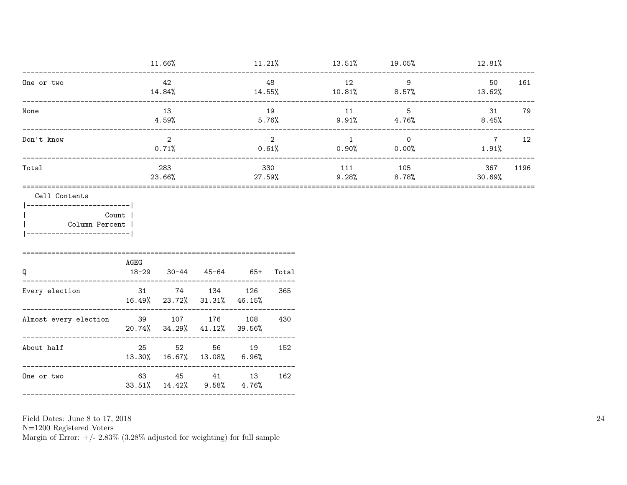| _______________________                               |                        | 11.66%                                       |               |                         |     | $11.21\%$ $13.51\%$ $19.05\%$ $12.81\%$ |                                          |                               |
|-------------------------------------------------------|------------------------|----------------------------------------------|---------------|-------------------------|-----|-----------------------------------------|------------------------------------------|-------------------------------|
| One or two                                            |                        | 42<br>14.84%                                 | 48            |                         |     | 12                                      | $\overline{9}$<br>$14.55\%$ 10.81% 8.57% | 50<br>161<br>13.62%           |
| None                                                  | 13<br>4.59%            |                                              |               | 19                      |     | 11<br>$5.76\%$ 9.91% 4.76%              | $5^{\circ}$                              | 31<br>79<br>8.45%             |
| Don't know                                            | $\mathcal{L}$<br>0.71% |                                              |               | $\overline{2}$<br>0.61% |     | $\overline{1}$<br>$0.90\%$ 0.00%        | $\overline{0}$                           | $\overline{7}$<br>12<br>1.91% |
| Total                                                 | 283<br>23.66%          |                                              | 330<br>27.59% |                         | 111 | 105<br>$9.28\%$ 8.78%                   | 367<br>1196<br>30.69%                    |                               |
| Count<br>Column Percent<br>__________________________ | AGEG                   |                                              |               |                         |     |                                         |                                          |                               |
| Q                                                     |                        | 18-29 30-44 45-64 65+ Total                  |               |                         |     |                                         |                                          |                               |
| Every election                                        |                        | 31 74 134 126<br>16.49% 23.72% 31.31% 46.15% |               |                         | 365 |                                         |                                          |                               |
| Almost every election                                 | 39 107 176 108         | 20.74% 34.29% 41.12% 39.56%                  |               |                         | 430 |                                         |                                          |                               |
| About half                                            |                        | 25 52 56 19<br>13.30% 16.67% 13.08% 6.96%    |               |                         | 152 |                                         |                                          |                               |
|                                                       |                        |                                              |               |                         |     |                                         |                                          |                               |

 ${\rm N}{=}1200$  Registered Voters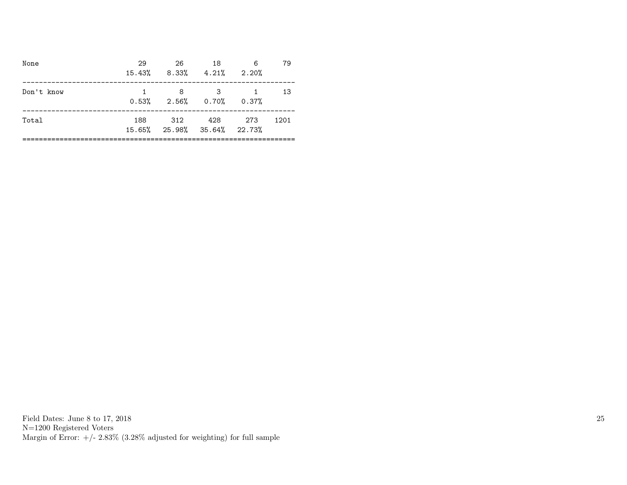| None       | 29  | 26 — 26<br>$15.43\%$ 8.33\% 4.21\% 2.20\% | 18       | 6        | 79   |
|------------|-----|-------------------------------------------|----------|----------|------|
| Don't know |     | 8<br>$0.53\%$ $2.56\%$ $0.70\%$ $0.37\%$  | $\sim$ 3 | $\sim$ 1 | -13  |
| Total      | 188 | 312<br>15.65% 25.98% 35.64% 22.73%        | 428 273  |          | 1201 |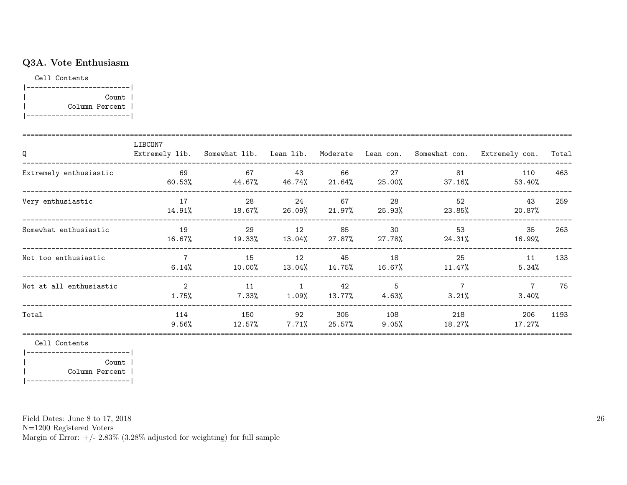## Q3A. Vote Enthusiasm

Cell Contents

| Count          |  |
|----------------|--|
| Column Percent |  |
|                |  |

| Q                       | LIBCON7                 | Extremely lib. Somewhat lib. Lean lib. Moderate Lean con. Somewhat con. |                            |                 |                 |                         | Extremely con.          | Total |
|-------------------------|-------------------------|-------------------------------------------------------------------------|----------------------------|-----------------|-----------------|-------------------------|-------------------------|-------|
| Extremely enthusiastic  | 69<br>60.53%            | 67<br>$44.67\%$ $46.74\%$                                               | 43                         | 66<br>$21.64\%$ | 27<br>25.00%    | 81<br>$37.16\%$         | 110<br>53.40%           | 463   |
| Very enthusiastic       | 17<br>14.91%            | 28<br>18.67%                                                            | 24<br>26.09%               | 67<br>21.97%    | 28<br>25.93%    | 52<br>23.85%            | 43<br>20.87%            | 259   |
| Somewhat enthusiastic   | 19<br>16.67%            | 29<br>19.33%                                                            | 12<br>13.04%               | 85<br>27.87%    | 30<br>27.78%    | 53<br>24.31%            | 35<br>16.99%            | 263   |
| Not too enthusiastic    | $\overline{7}$<br>6.14% | 15<br>10.00%                                                            | 12<br>13.04%               | 45<br>14.75%    | 18<br>16.67%    | 25<br>11.47%            | 11<br>5.34%             | 133   |
| Not at all enthusiastic | $\overline{2}$<br>1.75% | 11<br>$7.33\%$                                                          | $\overline{1}$<br>$1.09\%$ | 42<br>13.77%    | 5<br>4.63%      | $\overline{7}$<br>3.21% | $\overline{7}$<br>3.40% | 75    |
| Total                   | 114<br>$9.56\%$         | 150<br>12.57%                                                           | 92<br>$7.71\%$             | 305<br>25.57%   | 108<br>$9.05\%$ | 218<br>18.27%           | 206<br>17.27%           | 1193  |

Cell Contents

|-------------------------| | Count | | Column Percent | |-------------------------|

Field Dates: June 8 to 17, 2018

N=1200 Registered Voters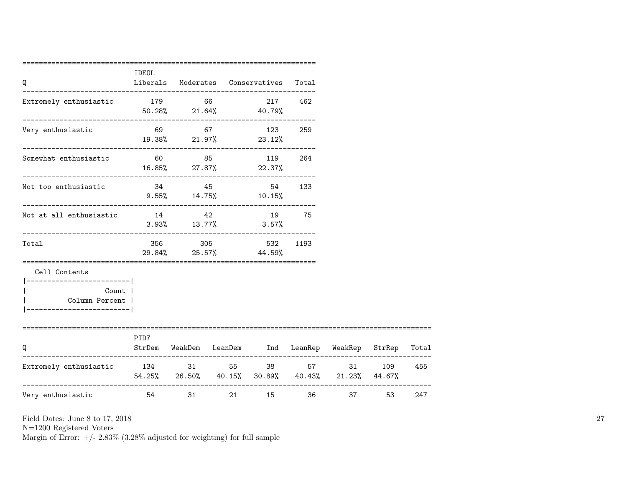| Q                                      | IDEOL                                |       | Liberals Moderates Conservatives Total   |           |                                                     |             |       |
|----------------------------------------|--------------------------------------|-------|------------------------------------------|-----------|-----------------------------------------------------|-------------|-------|
| Extremely enthusiastic                 | 179 66                               |       | $50.28\%$ 21.64% 40.79%                  | 217 462   |                                                     |             |       |
| Very enthusiastic                      |                                      |       | 69 67 123 259<br>$19.38\%$ 21.97% 23.12% |           |                                                     |             |       |
| Somewhat enthusiastic                  |                                      |       | 60 85 119 264<br>$16.85\%$ 27.87% 22.37% |           |                                                     |             |       |
| Not too enthusiastic                   |                                      | 34 45 | $9.55\%$ 14.75% 10.15%                   | 54<br>133 |                                                     |             |       |
| Not at all enthusiastic                | 14                                   | 42    | 19<br>$3.93\%$ $13.77\%$ $3.57\%$        | 75        |                                                     |             |       |
| Total                                  |                                      |       | 356 305 532<br>29.84% 25.57% 44.59%      | 1193      |                                                     |             |       |
| Cell Contents<br>-------------------   |                                      |       |                                          |           |                                                     |             |       |
| Count  <br>Column Percent              |                                      |       |                                          |           |                                                     |             |       |
| O                                      | PID7                                 |       |                                          |           | StrDem WeakDem LeanDem Ind LeanRep WeakRep StrRep   |             | Total |
| Extremely enthusiastic 134 31 55 38 57 | ------------------------------------ |       |                                          |           | $54.25\%$ 26.50% 40.15% 30.89% 40.43% 21.23% 44.67% | 31 7<br>109 | 455   |
| Very enthusiastic                      | 54 31                                |       | 21 15                                    |           | 36                                                  | 37 53       | 247   |

N=1200 Registered Voters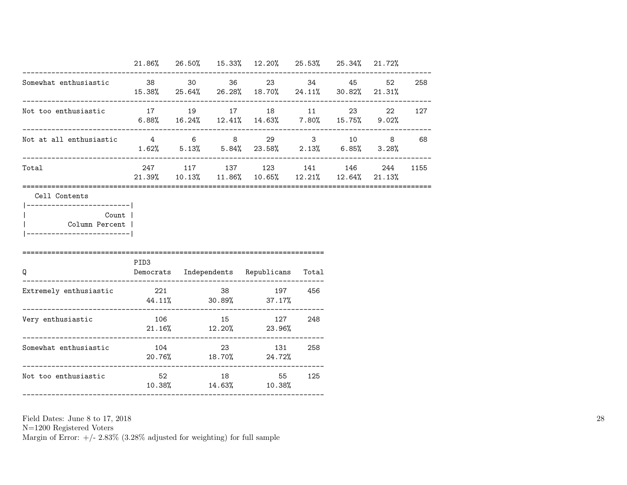|                                                        |               |  | 21.86% 26.50% 15.33% 12.20% 25.53% 25.34% 21.72%                               |       |               |    |          |
|--------------------------------------------------------|---------------|--|--------------------------------------------------------------------------------|-------|---------------|----|----------|
| Somewhat enthusiastic                                  |               |  | 38 30 36 23 34<br>15.38% 25.64% 26.28% 18.70% 24.11% 30.82% 21.31%             |       | 45            | 52 | 258      |
| Not too enthusiastic 17 19 17 18 11                    |               |  | $6.88\%$ $16.24\%$ $12.41\%$ $14.63\%$ $7.80\%$ $15.75\%$ $9.02\%$             |       | 23 and $\sim$ | 22 | 127      |
| Not at all enthusiastic $4$ 6 8 29 3 10 8 68           |               |  | $1.62\%$ 5.13% 5.84% 23.58% 2.13% 6.85% 3.28%                                  |       |               |    |          |
| Total                                                  |               |  | 247 117 137 123 141 146<br>$21.39\%$ 10.13% 11.86% 10.65% 12.21% 12.64% 21.13% |       |               |    | 244 1155 |
| ------------------- <br>Count  <br>Column Percent      |               |  |                                                                                |       |               |    |          |
| Q                                                      | PID3          |  | Democrats Independents Republicans                                             | Total |               |    |          |
| Extremely enthusiastic                                 | 221 38        |  | 197<br>44.11% 30.89% 37.17%                                                    | 456   |               |    |          |
| Very enthusiastic<br>.________________________________ | 106           |  | 15 127<br>$21.16\%$ $12.20\%$ $23.96\%$                                        | 248   |               |    |          |
| Somewhat enthusiastic                                  | 104           |  | 23 131<br>20.76% 18.70% 24.72%                                                 | 258   |               |    |          |
| Not too enthusiastic                                   | $52$ and $18$ |  | 55                                                                             | 125   |               |    |          |

N=1200 Registered Voters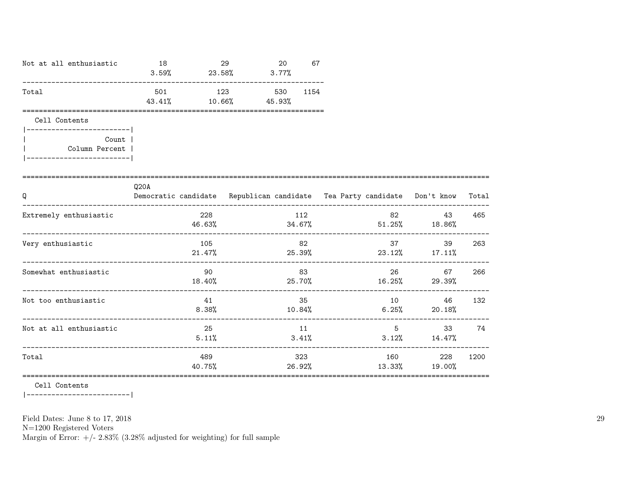| Not at all enthusiastic                                   | 18<br>$3.59\%$ | 23.58%        | 29<br>3.77% | 20  | 67   |  |                                                                          |       |
|-----------------------------------------------------------|----------------|---------------|-------------|-----|------|--|--------------------------------------------------------------------------|-------|
| Total                                                     | 501<br>43.41%  | 123<br>10.66% | 45.93%      | 530 | 1154 |  |                                                                          |       |
| Cell Contents<br>-----------------------                  |                |               |             |     |      |  |                                                                          |       |
| Count  <br>Column Percent  <br> ------------------------- |                |               |             |     |      |  |                                                                          |       |
|                                                           |                |               |             |     |      |  |                                                                          |       |
| Q                                                         | Q20A           |               |             |     |      |  | Democratic candidate Republican candidate Tea Party candidate Don't know | Total |

| Q                       |               | Democratic candidate Republican candidate Tea Party candidate Don't know |                 |                        | Total |
|-------------------------|---------------|--------------------------------------------------------------------------|-----------------|------------------------|-------|
| Extremely enthusiastic  | 228<br>46.63% | 112<br>34.67%                                                            | 82              | 43<br>$51.25\%$ 18.86% | 465   |
| Very enthusiastic       | 105<br>21.47% | 82<br>25.39%                                                             | 37<br>23.12%    | 39<br>$17.11\%$        | 263   |
| Somewhat enthusiastic   | 90<br>18.40%  | 83<br>25.70%                                                             | 26<br>$16.25\%$ | 67<br>29.39%           | 266   |
| Not too enthusiastic    | 41<br>8.38%   | 35<br>10.84%                                                             | 10<br>6.25%     | 46<br>20.18%           | 132   |
| Not at all enthusiastic | 25<br>5.11%   | 11<br>3.41%                                                              | 5<br>3.12%      | 33<br>14.47%           | 74    |
| Total                   | 489<br>40.75% | 323<br>26.92%                                                            | 160<br>13.33%   | 228<br>19.00%          | 1200  |

Cell Contents

|-------------------------|

Field Dates: June 8 to 17, 2018

N=1200 Registered Voters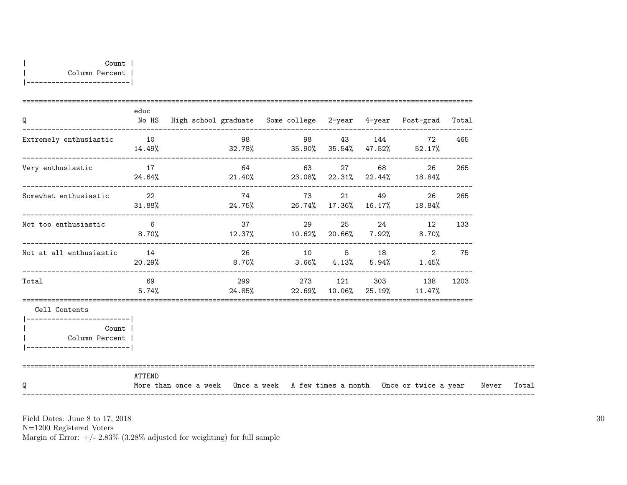| Q                                                                                      | educ                     | No HS  High school graduate  Some college  2-year  4-year  Post-grad  Total |              |  |                             |     |             |  |
|----------------------------------------------------------------------------------------|--------------------------|-----------------------------------------------------------------------------|--------------|--|-----------------------------|-----|-------------|--|
| Extremely enthusiastic                                                                 | 10<br>14.49%             | $32.78\%$ $35.90\%$ $35.54\%$ $47.52\%$ $52.17\%$                           | 98 98 43 144 |  | 72                          | 465 |             |  |
| Very enthusiastic                                                                      | 17<br>24.64%             | $21.40\%$ 23.08% 22.31% 22.44% 18.84%                                       | 64 63 27 68  |  | 26                          | 265 |             |  |
| Somewhat enthusiastic                                                                  | $\overline{22}$          | $31.88\%$ 24.75% 26.74% 17.36% 16.17% 18.84%                                | 74 73        |  | 49 and $\overline{a}$<br>26 | 265 |             |  |
| Not too enthusiastic                                                                   | $6\overline{6}$<br>8.70% | $12.37\%$ $10.62\%$ $20.66\%$ $7.92\%$ 8.70%                                | 37 37        |  | 29 25 24 12 133             |     |             |  |
| Not at all enthusiastic                                                                | 14                       | $20.29\%$ 8.70% 3.66% 4.13% 5.94% 1.45%                                     | 26 10 5 18   |  | 2                           | 75  |             |  |
| Total                                                                                  | 5.74%                    | $24.85\%$ 22.69% 10.06% 25.19% 11.47%                                       |              |  |                             |     |             |  |
| Cell Contents                                                                          |                          |                                                                             |              |  |                             |     |             |  |
| -------------------------<br>Count  <br>Column Percent  <br>__________________________ |                          |                                                                             |              |  |                             |     |             |  |
| O                                                                                      | ATTEND                   | More than once a week Once a week A few times a month Once or twice a year  |              |  |                             |     | Never Total |  |

N=1200 Registered Voters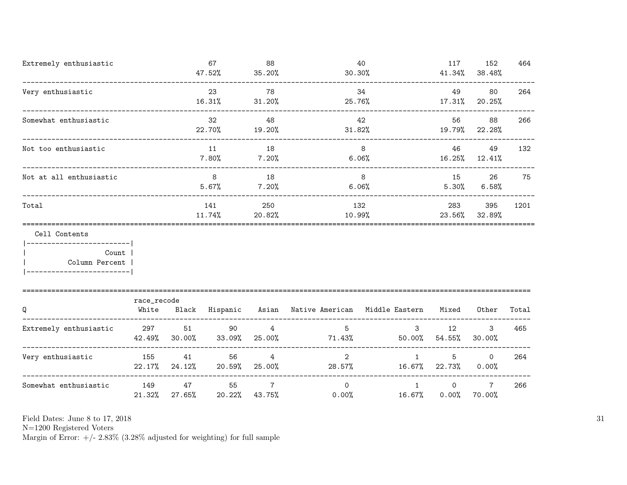| Extremely enthusiastic                                     |               |                     | 67<br>47.52%              | 88<br>35.20%                     | 30.30%                                              | 40            | 117                    | 152<br>41.34% 38.48%      | 464   |
|------------------------------------------------------------|---------------|---------------------|---------------------------|----------------------------------|-----------------------------------------------------|---------------|------------------------|---------------------------|-------|
| Very enthusiastic                                          |               |                     | 23<br>16.31%              | 78<br>31.20%                     | 25.76%                                              | 34            | 49<br>$17.31\%$        | 80<br>20.25%              | 264   |
| Somewhat enthusiastic                                      |               |                     | 32<br>22.70%              | 48<br>19.20%                     | 31.82%                                              | 42            | 56                     | 88<br>19.79% 22.28%       | 266   |
| Not too enthusiastic<br>__________________________________ |               |                     | 11<br>7.80%               | 18<br>7.20%                      |                                                     | 8<br>6.06%    | 46                     | 49<br>16.25% 12.41%       | 132   |
| Not at all enthusiastic                                    |               |                     | 8<br>5.67%                | 18<br>7.20%                      |                                                     | 8<br>$6.06\%$ | 15<br>5.30%            | 26<br>$6.58\%$            | 75    |
| Total                                                      |               |                     | 141<br>11.74%             | 250<br>20.82%                    | 132<br>10.99%                                       |               | 283                    | 395<br>23.56% 32.89%      | 1201  |
| Cell Contents<br>-------------------------                 |               |                     |                           |                                  |                                                     |               |                        |                           |       |
| Count  <br>Column Percent                                  |               |                     |                           |                                  |                                                     |               |                        |                           |       |
|                                                            | race_recode   |                     |                           |                                  |                                                     |               |                        |                           |       |
| Q                                                          | White         |                     |                           |                                  | Black Hispanic Asian Native-American Middle-Eastern |               | Mixed                  | Other                     | Total |
| Extremely enthusiastic                                     | 297           | 51<br>42.49% 30.00% | 90<br>33.09%              | $\overline{4}$<br>25.00%         | 5<br>71.43%                                         | $3^{\circ}$   | 12<br>$50.00\%$ 54.55% | 3<br>30.00%               | 465   |
| Very enthusiastic                                          | 155           | $22.17\%$ 24.12%    | 56<br>41<br>20.59% 25.00% | $\overline{4}$                   | $\overline{2}$<br>$28.57\%$ 16.67% 22.73%           | $\mathbf{1}$  | 5                      | $\circ$<br>0.00%          | 264   |
| Somewhat enthusiastic                                      | 149<br>21.32% | 47<br>27.65%        | 55                        | $7\overline{ }$<br>20.22% 43.75% | $\overline{0}$<br>$0.00\%$                          | 1<br>16.67%   | $\Omega$<br>$0.00\%$   | $7\overline{ }$<br>70.00% | 266   |

N=1200 Registered Voters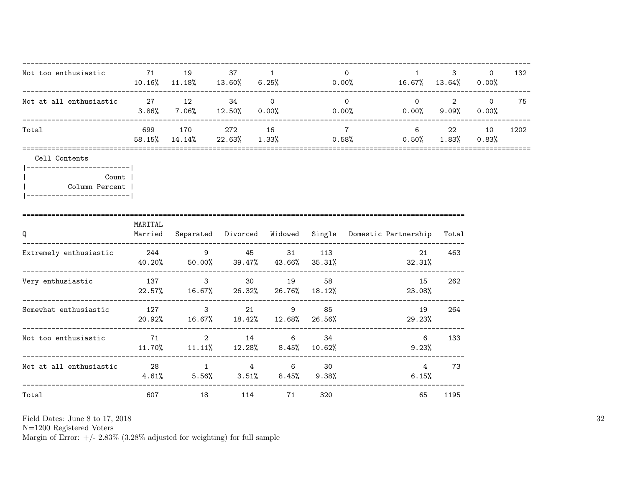| Not too enthusiastic and the T1 and 19 and 19 and 19 and 19 and 10 and 10 and 10 and 10 and 10 and 10 and 10 and 10 and 10 and 10 and 10 and 10 and 10 and 10 and 10 and 10 and 10 and 10 and 10 and 10 and 10 and 10 and 10 a |         |                                       |  | $\overline{0}$  | $1 \quad \cdots$<br>$10.16\%$ $11.18\%$ $13.60\%$ $6.25\%$ 0.00% 16.67% 13.64% 0.00%                | $3 \sim$<br>_______________________ | $\Omega$                  | 132  |
|--------------------------------------------------------------------------------------------------------------------------------------------------------------------------------------------------------------------------------|---------|---------------------------------------|--|-----------------|-----------------------------------------------------------------------------------------------------|-------------------------------------|---------------------------|------|
| Not at all enthusiastic $27$ 12 34 0                                                                                                                                                                                           |         | ------------------------------------- |  |                 | $\overline{0}$<br>$3.86\%$ $7.06\%$ $12.50\%$ $0.00\%$ $0.00\%$ $0.00\%$ $0.00\%$ $9.09\%$ $0.00\%$ | $0 \qquad \qquad 2 \qquad \qquad 0$ |                           | 75   |
| Total                                                                                                                                                                                                                          |         | 699 170 272 16                        |  | $7\overline{7}$ | ---------------------------<br>$58.15\%$ $14.14\%$ $22.63\%$ $1.33\%$ $0.58\%$ $0.50\%$             |                                     | 6 22 10<br>$1.83\%$ 0.83% | 1202 |
| Cell Contents                                                                                                                                                                                                                  |         |                                       |  |                 |                                                                                                     |                                     |                           |      |
| ------------------------- <br>Count  <br>Column Percent                                                                                                                                                                        |         |                                       |  |                 |                                                                                                     |                                     |                           |      |
| Q                                                                                                                                                                                                                              | MARITAL |                                       |  |                 | Married Separated Divorced Widowed Single Domestic Partnership Total                                |                                     |                           |      |
| Extremely enthusiastic $244$ 9 45 31 113                                                                                                                                                                                       |         |                                       |  |                 | 21<br>$40.20\%$ 50.00% 39.47% 43.66% 35.31% 32.31%                                                  | 463                                 |                           |      |
| Very enthusiastic                                                                                                                                                                                                              |         | 137 3 30 19 58                        |  |                 | 15<br>$22.57\%$ 16.67% 26.32% 26.76% 18.12% 23.08%                                                  | 262                                 |                           |      |
| Somewhat enthusiastic $127$ 3 21 9 85                                                                                                                                                                                          |         |                                       |  |                 | 19<br>$20.92\%$ 16.67% 18.42% 12.68% 26.56%<br>29.23%                                               | 264                                 |                           |      |
| Not too enthusiastic $71$ and $2$ and $14$ and $6$ and $34$                                                                                                                                                                    |         |                                       |  |                 | $6\overline{6}$<br>11.70% 11.11% 12.28% 8.45% 10.62% 9.23%                                          | 133                                 |                           |      |
| Not at all enthusiastic $28$ 1 4 6 30                                                                                                                                                                                          |         |                                       |  |                 | $4.61\%$ $5.56\%$ $3.51\%$ $8.45\%$ $9.38\%$ $6.15\%$                                               | 4 73                                |                           |      |
| Total                                                                                                                                                                                                                          |         | 607 18 114 71                         |  | 320             | 65                                                                                                  | 1195                                |                           |      |

N=1200 Registered Voters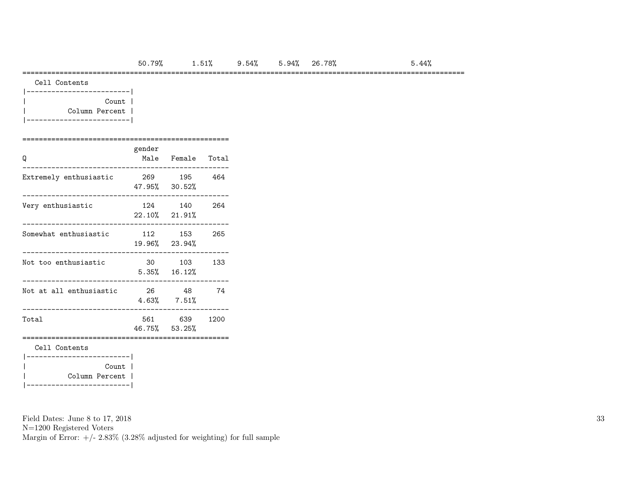#### ===========================================================================================================

| Cell Contents |
|---------------|
|               |

|  | Count 6        |  |
|--|----------------|--|
|  | Column Percent |  |
|  |                |  |

#### ==================================================

| Q                                           | gender | Male Female Total            |      |
|---------------------------------------------|--------|------------------------------|------|
| Extremely enthusiastic                      |        | 269 195 464<br>47.95% 30.52% |      |
| Very enthusiastic                           |        | 124 140<br>22.10% 21.91%     | 264  |
| Somewhat enthusiastic                       |        | 112 153 265<br>19.96% 23.94% |      |
| Not too enthusiastic                        |        | 30 103<br>$5.35\%$ 16.12%    | 133  |
| Not at all enthusiastic                     |        | 26 48<br>$4.63\%$ $7.51\%$   | -74  |
| Total                                       |        | 561 639<br>46.75% 53.25%     | 1200 |
| Cell Contents<br>------------------------   |        |                              |      |
| Count<br>Column Percent  <br>______________ |        |                              |      |

Field Dates: June 8 to 17, 2018

N=1200 Registered Voters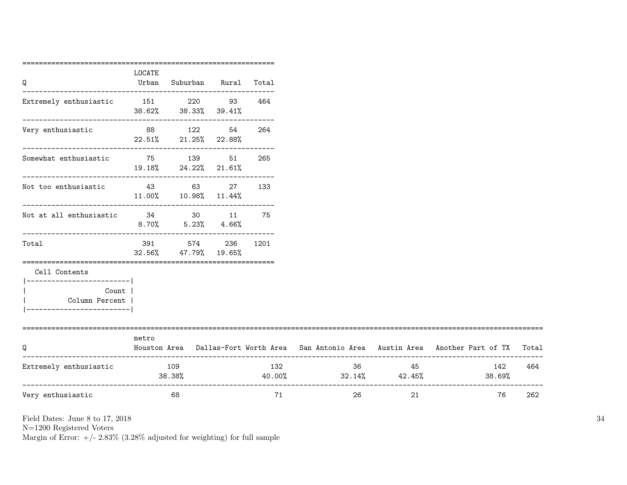|                                                                |        | ================================          |               |        |                                                                                     |          |               |
|----------------------------------------------------------------|--------|-------------------------------------------|---------------|--------|-------------------------------------------------------------------------------------|----------|---------------|
| Q                                                              | LOCATE | Urban Suburban Rural                      |               | Total  |                                                                                     |          |               |
| Extremely enthusiastic 151 220 93 464                          |        | $38.62\%$ $38.33\%$ $39.41\%$             |               |        |                                                                                     |          |               |
| ________________________<br>Very enthusiastic                  |        | 88 122 54<br>$22.51\%$ 21.25% 22.88%      |               | 264    |                                                                                     |          |               |
| ________________________<br>Somewhat enthusiastic 51 75 139 51 |        | 19.18% 24.22% 21.61%                      |               | 265    |                                                                                     |          |               |
| ---------------------------<br>Not too enthusiastic            |        | 43 63<br>11.00% 10.98% 11.44%             |               | 27 133 |                                                                                     |          |               |
| Not at all enthusiastic                                        |        | 34 30 11 75<br>$8.70\%$ $5.23\%$ $4.66\%$ |               |        |                                                                                     |          |               |
| Total                                                          | 391    | 574<br>$32.56\%$ $47.79\%$                | 236<br>19.65% | 1201   |                                                                                     |          |               |
| Cell Contents<br>-----------------------                       |        |                                           |               |        |                                                                                     |          |               |
| Count  <br>Column Percent  <br>_______________________         |        |                                           |               |        |                                                                                     |          |               |
| --------------------------                                     | metro  |                                           |               |        |                                                                                     |          |               |
| Q                                                              |        |                                           |               |        | Houston Area Dallas-Fort Worth Area San Antonio Area Austin Area Another Part of TX |          |               |
|                                                                |        |                                           |               |        |                                                                                     |          |               |
| Extremely enthusiastic                                         | 109    | 38.38%                                    |               | 132    | $40.00\%$ $32.14\%$ $42.45\%$                                                       | 36<br>45 | 142<br>38.69% |

N=1200 Registered Voters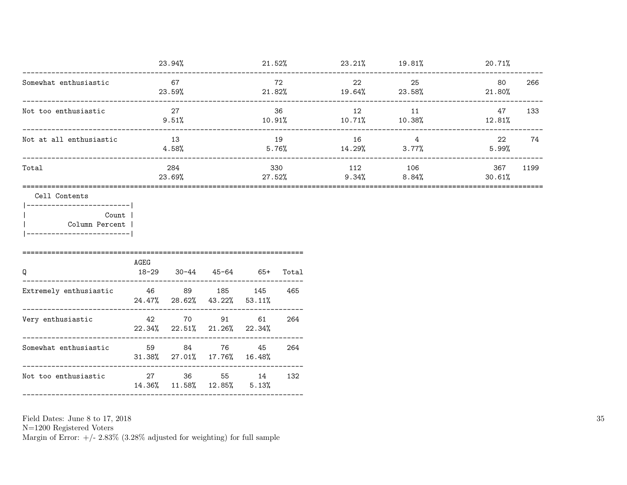|                                                                                                        | 23.94%            |                                                                    |                       | $21.52\%$ $23.21\%$ $19.81\%$ $20.71\%$ |       |                                     |                |               |      |
|--------------------------------------------------------------------------------------------------------|-------------------|--------------------------------------------------------------------|-----------------------|-----------------------------------------|-------|-------------------------------------|----------------|---------------|------|
| Somewhat enthusiastic                                                                                  | 67<br>23.59%      |                                                                    |                       | 72<br>$21.82%$ $19.64%$ $23.58%$        |       | 22                                  | 25             | 80<br>21.80%  | 266  |
| Not too enthusiastic                                                                                   |                   | 27<br>9.51%                                                        |                       |                                         | 36    | 12<br>$10.91\%$ $10.71\%$ $10.38\%$ | 11             | 47<br>12.81%  | 133  |
| Not at all enthusiastic                                                                                |                   | 13<br>4.58%                                                        |                       | 19<br>$5.76\%$ $14.29\%$ $3.77\%$       |       | 16                                  | $\overline{4}$ | 22<br>5.99%   | 74   |
| Total                                                                                                  | 284<br>23.69%     |                                                                    |                       | 330                                     |       | 112<br>$27.52\%$ 9.34% 8.84%        | 106            | 367<br>30.61% | 1199 |
| Cell Contents<br> ------------------------- <br>Count  <br>  Column Percent<br>----------------------- |                   |                                                                    |                       |                                         |       |                                     |                |               |      |
| Q                                                                                                      | AGEG<br>$18 - 29$ |                                                                    | $30-44$ $45-64$ $65+$ |                                         | Total |                                     |                |               |      |
| Extremely enthusiastic $46$ 89 185 145<br>__________________________                                   |                   | 24.47% 28.62% 43.22% 53.11%                                        |                       |                                         | 465   |                                     |                |               |      |
| Very enthusiastic 42                                                                                   |                   | 22.34% 22.51% 21.26% 22.34%<br>----------------------------------- | 70 91                 | 61                                      | 264   |                                     |                |               |      |
| Somewhat enthusiastic                                                                                  | 59                | 84<br>31.38% 27.01% 17.76% 16.48%                                  | 76                    | 45                                      | 264   |                                     |                |               |      |
| Not too enthusiastic                                                                                   |                   | 27 36 55 14<br>14.36% 11.58% 12.85% 5.13%                          |                       |                                         | 132   |                                     |                |               |      |
|                                                                                                        |                   |                                                                    |                       |                                         |       |                                     |                |               |      |

N=1200 Registered Voters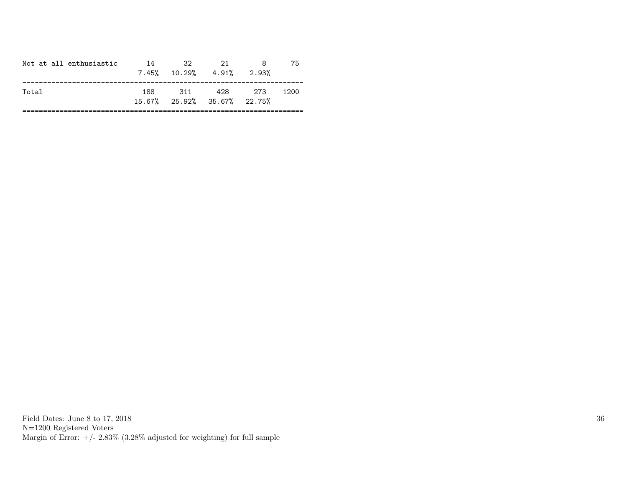| Not at all enthusiastic | 14  | -32<br>$7.45\%$ 10.29% 4.91% | -21                                   | 2.93% | 75   |
|-------------------------|-----|------------------------------|---------------------------------------|-------|------|
| Total                   | 188 | 311                          | 428<br>$15.67\%$ 25.92% 35.67% 22.75% | 273   | 1200 |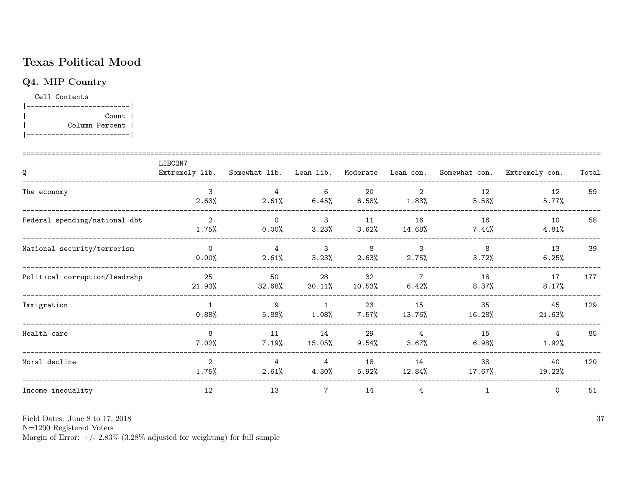## Texas Political Mood

## Q4. MIP Country

Cell Contents |-------------------------| | Count | | Column Percent | |-------------------------|

| Q                             | LIBCON7                 |                         |                       |                |                         |                | Extremely lib. Somewhat lib. Lean lib. Moderate Lean con. Somewhat con. Extremely con. | Total |
|-------------------------------|-------------------------|-------------------------|-----------------------|----------------|-------------------------|----------------|----------------------------------------------------------------------------------------|-------|
| The economy                   | 3<br>2.63%              | 4<br>2.61%              | 6<br>$6.45\%$         | 20<br>6.58%    | $\overline{2}$<br>1.83% | 12<br>5.58%    | 12<br>5.77%                                                                            | 59    |
| Federal spending/national dbt | 2<br>1.75%              | $\Omega$<br>0.00%       | $\mathbf{3}$<br>3.23% | 11<br>3.62%    | 16<br>14.68%            | 16<br>$7.44\%$ | 10<br>4.81%                                                                            | 58    |
| National security/terrorism   | $\Omega$<br>0.00%       | $\overline{4}$<br>2.61% | 3<br>3.23%            | 8<br>2.63%     | 3<br>2.75%              | 8<br>3.72%     | 13<br>6.25%                                                                            | 39    |
| Political corruption/leadrshp | 25<br>21.93%            | 50<br>32.68%            | 28<br>$30.11\%$       | 32<br>10.53%   | $\overline{7}$<br>6.42% | 18<br>$8.37\%$ | 17<br>8.17%                                                                            | 177   |
| Immigration                   | $\overline{1}$<br>0.88% | 9<br>5.88%              | $\mathbf{1}$<br>1.08% | 23<br>$7.57\%$ | 15<br>13.76%            | 35<br>16.28%   | 45<br>21.63%                                                                           | 129   |
| Health care                   | 8<br>7.02%              | 11<br>7.19%             | 14<br>15.05%          | 29<br>$9.54\%$ | $\overline{4}$<br>3.67% | 15<br>6.98%    | 4<br>1.92%                                                                             | 85    |
| Moral decline                 | $\mathbf{2}$<br>1.75%   | 4<br>2.61%              | 4<br>4.30%            | 18<br>5.92%    | 14<br>12.84%            | 38<br>17.67%   | 40<br>19.23%                                                                           | 120   |
| Income inequality             | 12                      | 13                      | $\overline{7}$        | 14             | 4                       | $\mathbf{1}$   | $\mathsf{O}$                                                                           | 51    |

Field Dates: June 8 to 17, 2018

N=1200 Registered Voters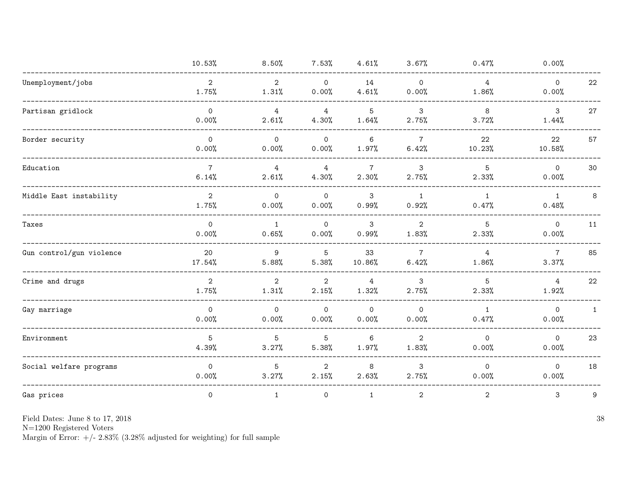|                          | 10.53%                  | 8.50%                   | 7.53%                   | 4.61%                    | 3.67%                   | 0.47%                   | 0.00%                        |              |
|--------------------------|-------------------------|-------------------------|-------------------------|--------------------------|-------------------------|-------------------------|------------------------------|--------------|
| Unemployment/jobs        | $\overline{2}$<br>1.75% | $\overline{2}$<br>1.31% | $\mathsf{O}$<br>0.00%   | 14<br>4.61%              | $\mathsf{O}$<br>0.00%   | $\overline{4}$<br>1.86% | $\mathsf{O}\xspace$<br>0.00% | 22           |
| Partisan gridlock        | $\circ$<br>0.00%        | $\overline{4}$<br>2.61% | $\overline{4}$<br>4.30% | 5<br>1.64%               | 3<br>2.75%              | 8<br>3.72%              | $\mathbf{3}$<br>1.44%        | 27           |
| Border security          | $\mathsf{O}$<br>0.00%   | $\mathsf{O}$<br>0.00%   | $\mathsf{O}$<br>0.00%   | $6\phantom{a}$<br>1.97%  | $\overline{7}$<br>6.42% | 22<br>10.23%            | 22<br>10.58%                 | 57           |
| Education                | $\overline{7}$<br>6.14% | $\overline{4}$<br>2.61% | $\overline{4}$<br>4.30% | $7\overline{ }$<br>2.30% | 3<br>2.75%              | 5<br>2.33%              | $\mathsf{O}$<br>0.00%        | 30           |
| Middle East instability  | $\overline{2}$<br>1.75% | $\mathsf{O}$<br>0.00%   | $\mathsf{O}$<br>0.00%   | $\mathsf 3$<br>0.99%     | 1<br>0.92%              | $\mathbf{1}$<br>0.47%   | $\mathbf{1}$<br>0.48%        | 8            |
| Taxes                    | $\mathbf 0$<br>0.00%    | 1<br>0.65%              | $\mathbf 0$<br>0.00%    | 3<br>0.99%               | $\overline{2}$<br>1.83% | 5<br>2.33%              | $\mathsf{O}$<br>0.00%        | 11           |
| Gun control/gun violence | 20<br>17.54%            | 9<br>5.88%              | 5<br>5.38%              | 33<br>10.86%             | $\overline{7}$<br>6.42% | 4<br>1.86%              | $\overline{7}$<br>3.37%      | 85           |
| Crime and drugs          | 2<br>1.75%              | 2<br>1.31%              | $\overline{2}$<br>2.15% | $\overline{4}$<br>1.32%  | 3<br>2.75%              | 5<br>2.33%              | $\overline{4}$<br>1.92%      | 22           |
| Gay marriage             | $\mathbf 0$<br>0.00%    | $\mathsf{O}$<br>0.00%   | $\mathsf{O}$<br>0.00%   | $\circ$<br>0.00%         | $\mathsf{O}$<br>0.00%   | $\mathbf{1}$<br>0.47%   | $\mathsf{O}$<br>0.00%        | $\mathbf{1}$ |
| Environment              | 5<br>4.39%              | 5<br>3.27%              | 5<br>5.38%              | 6<br>1.97%               | $\overline{2}$<br>1.83% | $\mathsf{O}$<br>0.00%   | $\mathsf{O}$<br>0.00%        | 23           |
| Social welfare programs  | $\mathbf 0$<br>0.00%    | 5<br>3.27%              | $\overline{2}$<br>2.15% | 8<br>2.63%               | 3<br>2.75%              | $\mathsf{O}$<br>0.00%   | $\mathsf{O}$<br>0.00%        | 18           |
| Gas prices               | $\mathsf{O}\xspace$     | $\mathbf{1}$            | 0                       | $\mathbf{1}$             | $\mathbf{2}$            | $\mathbf{2}$            | 3                            | 9            |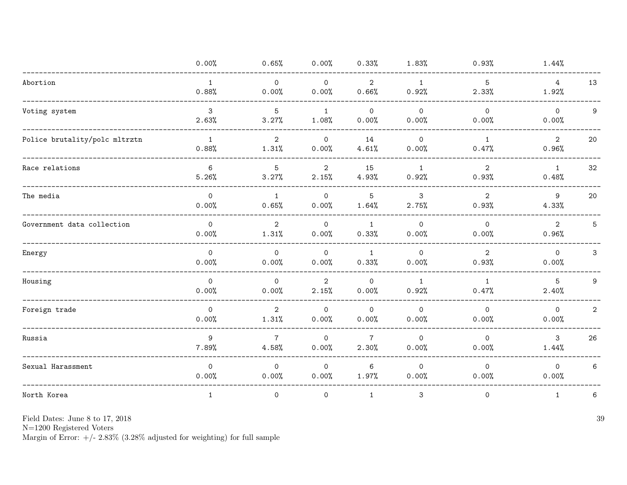|                               | 0.00%                        | 0.65%                    | 0.00%                   | 0.33%                   | 1.83%                 | 0.93%                   | 1.44%                    |                |
|-------------------------------|------------------------------|--------------------------|-------------------------|-------------------------|-----------------------|-------------------------|--------------------------|----------------|
| Abortion                      | $\mathbf{1}$<br>0.88%        | $\mathsf{O}$<br>0.00%    | $\mathsf{O}$<br>0.00%   | $\overline{2}$<br>0.66% | $\mathbf{1}$<br>0.92% | 5<br>2.33%              | $\overline{4}$<br>1.92%  | 13             |
| Voting system                 | $\mathbf{3}$<br>2.63%        | 5<br>3.27%               | $\mathbf{1}$<br>1.08%   | $\mathsf{O}$<br>0.00%   | $\mathsf{O}$<br>0.00% | $\mathsf{O}$<br>0.00%   | $\circ$<br>0.00%         | 9              |
| Police brutality/polc mltrztn | $\mathbf{1}$<br>0.88%        | $\overline{2}$<br>1.31%  | $\mathsf{O}$<br>0.00%   | 14<br>4.61%             | $\Omega$<br>0.00%     | $\mathbf{1}$<br>0.47%   | $\overline{2}$<br>0.96%  | 20             |
| Race relations                | 6<br>5.26%                   | 5<br>3.27%               | $\overline{2}$<br>2.15% | 15<br>4.93%             | 1<br>0.92%            | $\overline{2}$<br>0.93% | $\mathbf{1}$<br>0.48%    | 32             |
| The media                     | $\mathsf{O}\xspace$<br>0.00% | $\mathbf{1}$<br>0.65%    | $\mathbf 0$<br>0.00%    | $\overline{5}$<br>1.64% | 3<br>2.75%            | $\overline{2}$<br>0.93% | 9<br>4.33%               | 20             |
| Government data collection    | $\mathbf 0$<br>0.00%         | $\overline{2}$<br>1.31%  | $\mathbf 0$<br>0.00%    | $\mathbf{1}$<br>0.33%   | $\circ$<br>0.00%      | $\mathbf 0$<br>0.00%    | $\overline{2}$<br>0.96%  | 5              |
| Energy                        | $\Omega$<br>0.00%            | $\Omega$<br>0.00%        | $\mathbf 0$<br>0.00%    | 1<br>0.33%              | $\mathbf 0$<br>0.00%  | 2<br>0.93%              | $\circ$<br>0.00%         | $\mathbf{3}$   |
| Housing                       | $\Omega$<br>0.00%            | $\Omega$<br>0.00%        | $\overline{2}$<br>2.15% | $\mathbf 0$<br>0.00%    | $\mathbf{1}$<br>0.92% | $\mathbf{1}$<br>0.47%   | $5\overline{)}$<br>2.40% | 9              |
| Foreign trade                 | $\mathsf{O}$<br>0.00%        | $\overline{2}$<br>1.31%  | $\mathsf{O}$<br>0.00%   | $\overline{0}$<br>0.00% | $\circ$<br>0.00%      | $\mathsf{O}$<br>0.00%   | $\mathsf{O}$<br>0.00%    | $\overline{a}$ |
| Russia                        | 9<br>7.89%                   | $7\phantom{.0}$<br>4.58% | $\mathbf 0$<br>0.00%    | $\overline{7}$<br>2.30% | $\mathbf 0$<br>0.00%  | $\mathsf{O}$<br>0.00%   | 3<br>1.44%               | 26             |
| Sexual Harassment             | $\Omega$<br>0.00%            | $\mathsf{O}$<br>0.00%    | $\mathbf 0$<br>0.00%    | 6<br>1.97%              | $\mathsf{O}$<br>0.00% | $\mathsf{O}$<br>0.00%   | $\circ$<br>0.00%         | 6              |
| North Korea                   | $\mathbf{1}$                 | 0                        | $\mathsf{O}$            | $\mathbf{1}$            | 3                     | $\mathsf{O}\xspace$     | $\mathbf{1}$             | 6              |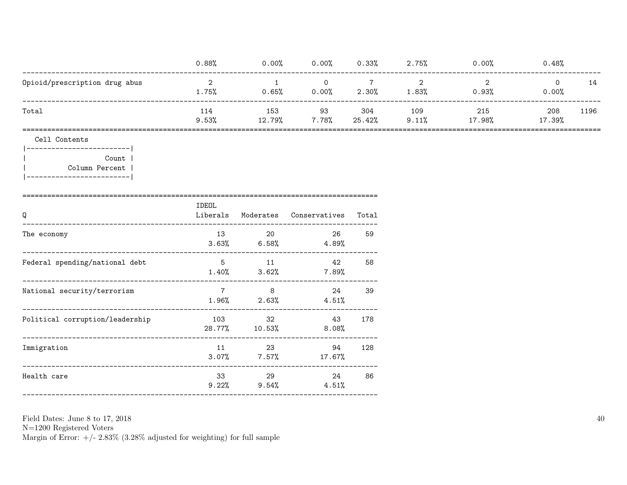|                               | 0.88%        | 0.00%         | 0.00%       | 0.33%         | 2.75%        | 0.00%         | 0.48%         |      |
|-------------------------------|--------------|---------------|-------------|---------------|--------------|---------------|---------------|------|
| Opioid/prescription drug abus | ∠<br>1.75%   | 0.65%         | 0.00%       | 2.30%         | 1.83%        | 0.93%         | 0.00%         | 14   |
| Total                         | 114<br>9.53% | 153<br>12.79% | 93<br>7.78% | 304<br>25.42% | 109<br>9.11% | 215<br>17.98% | 208<br>17.39% | 1196 |

Cell Contents

|------------------------|  $\overline{\phantom{a}}$ Count |  $\overline{1}$ Column Percent |  $|----------$ 

| Q                               | IDEOL<br>Liberals |                                                                                                                                                                                                                                       | Moderates Conservatives       | Total |
|---------------------------------|-------------------|---------------------------------------------------------------------------------------------------------------------------------------------------------------------------------------------------------------------------------------|-------------------------------|-------|
| The economy                     |                   | 13 and 13 and 13 and 13 and 13 and 13 and 13 and 13 and 13 and 13 and 13 and 13 and 13 and 13 and 13 and 13 and 14 and 15 and 15 and 15 and 15 and 15 and 15 and 15 and 15 and 15 and 15 and 15 and 15 and 15 and 15 and 15 and<br>20 | 26<br>$3.63\%$ 6.58% 4.89%    | 59    |
| Federal spending/national debt  |                   | 5 11                                                                                                                                                                                                                                  | 42<br>$1.40\%$ $3.62\%$ 7.89% | 58    |
| National security/terrorism     |                   | $7 \overline{}$<br>8<br>-----------                                                                                                                                                                                                   | 24<br>$1.96\%$ 2.63% 4.51%    | 39    |
| Political corruption/leadership |                   | 103 — 103<br>32<br>28.77% 10.53%                                                                                                                                                                                                      | 43<br>8.08%                   | 178   |
| Immigration                     |                   | 23<br>$11$ and $11$<br>$3.07\%$ 7.57%                                                                                                                                                                                                 | 94<br>$17.67\%$               | 128   |
| Health care                     |                   | 33 29<br>$9.22\%$ $9.54\%$                                                                                                                                                                                                            | 24<br>4.51%                   | 86    |

Field Dates: June 8 to 17, 2018

 ${\rm N}{=}1200$  Registered Voters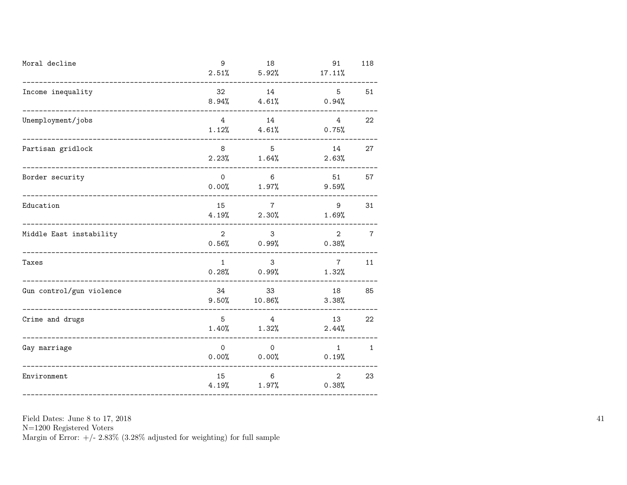| Moral decline                                     | 9                        | 18<br>$2.51\%$ $5.92\%$             | 91<br>17.11%             | 118            |
|---------------------------------------------------|--------------------------|-------------------------------------|--------------------------|----------------|
| Income inequality                                 | 32                       | 14<br>$8.94\%$ $4.61\%$             | $5^{\circ}$<br>0.94%     | 51             |
| Unemployment/jobs                                 | $4\overline{ }$<br>1.12% | 14<br>4.61%                         | 4<br>0.75%               | 22             |
| Partisan gridlock<br>_____________________        | 8                        | $5^{\circ}$<br>$2.23\%$ $1.64\%$    | 14<br>2.63%              | 27             |
| Border security<br>------------------------------ | $\mathsf{O}$             | $6\overline{6}$<br>$0.00\%$ 1.97%   | 51<br>9.59%              | 57             |
| Education<br>----------------------               | 15                       | $7\overline{ }$<br>$4.19\%$ 2.30%   | 9<br>1.69%               | 31             |
| Middle East instability                           | $2^{\circ}$              | 3 <sup>1</sup><br>$0.56\%$ 0.99%    | $2^{\circ}$<br>0.38%     | $\overline{7}$ |
| Taxes                                             | 1                        | 3<br>$0.28%$ $0.99%$                | $7\overline{7}$<br>1.32% | 11             |
| Gun control/gun violence                          | 34<br>9.50%              | 33<br>10.86%                        | 18<br>3.38%              | 85             |
| Crime and drugs                                   | 5 <sup>7</sup>           | $\overline{4}$<br>$1.40\%$ $1.32\%$ | 13<br>2.44%              | 22             |
| Gay marriage<br>___________________               | $\mathsf{O}$             | $\overline{0}$<br>$0.00\%$ 0.00%    | 1<br>0.19%               | $\mathbf{1}$   |
| Environment                                       | 15<br>4.19%              | 6<br>1.97%                          | $2^{\circ}$<br>0.38%     | 23             |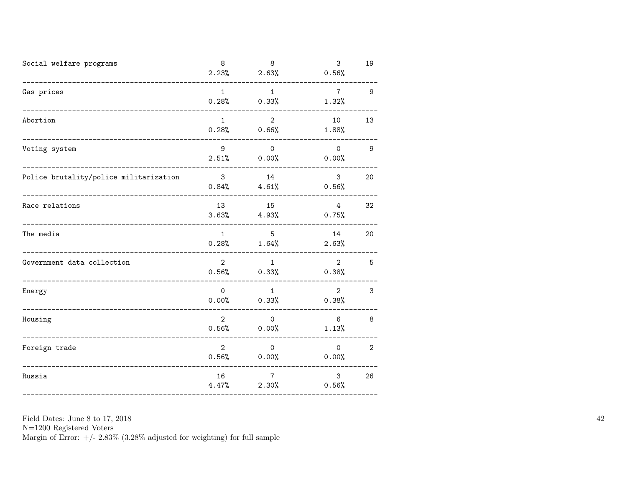| Social welfare programs                                               | 8                       | 8<br>$2.23\%$ 2.63%              | 3<br>0.56%               | 19              |
|-----------------------------------------------------------------------|-------------------------|----------------------------------|--------------------------|-----------------|
| Gas prices<br>___________________                                     | 1                       | $\mathbf{1}$<br>$0.28\%$ 0.33%   | $\overline{7}$<br>1.32%  | 9               |
| Abortion                                                              | 1                       | $2^{\circ}$<br>$0.28%$ $0.66%$   | 10<br>1.88%              | 13              |
| Voting system                                                         | 9                       | $\overline{0}$<br>$2.51\%$ 0.00% | $\overline{0}$<br>0.00%  | 9               |
| Police brutality/police militarization<br>--------------------------- | $\overline{\mathbf{3}}$ | 14<br>$0.84\%$ 4.61%             | $\mathbf{3}$<br>0.56%    | 20              |
| Race relations                                                        | 13                      | 15<br>$3.63\%$ 4.93%             | 4<br>0.75%               | 32              |
| The media                                                             | $\mathbf{1}$            | 5 <sup>5</sup><br>$0.28\%$ 1.64% | 14<br>2.63%              | 20              |
| Government data collection                                            | $2^{\circ}$             | 1<br>$0.56\%$ 0.33%              | $2^{\circ}$<br>0.38%     | $5\overline{)}$ |
| Energy                                                                | $\overline{0}$          | 1<br>$0.00\%$ 0.33%              | $2^{\circ}$<br>0.38%     | 3               |
| Housing<br>--------------------                                       | $2^{\circ}$             | $\overline{0}$<br>$0.56\%$ 0.00% | $6\overline{6}$<br>1.13% | 8               |
| Foreign trade                                                         | $\overline{2}$          | $\overline{0}$<br>$0.56\%$ 0.00% | $\overline{0}$<br>0.00%  | 2               |
| Russia                                                                | 16                      | $7\degree$<br>$4.47\%$ 2.30%     | 3 <sup>1</sup><br>0.56%  | 26              |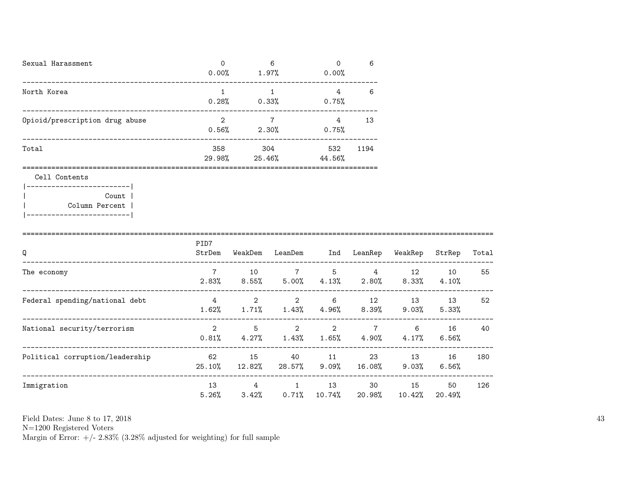| Sexual Harassment              | 0<br>0.00%    | 6<br>1.97%    | $\Omega$<br>0.00% | 6    |
|--------------------------------|---------------|---------------|-------------------|------|
| North Korea                    | 0.28%         | 0.33%         | 4<br>0.75%        | 6    |
| Opioid/prescription drug abuse | 2<br>0.56%    | 2.30%         | 4<br>0.75%        | 13   |
| Total                          | 358<br>29.98% | 304<br>25.46% | 532<br>44.56%     | 1194 |

Cell Contents

|-------------------------| | Count | | Column Percent | |-------------------------|

| Q                               | PID7<br>StrDem | WeakDem        | LeanDem                     | Ind           | LeanRep                 | WeakRep        | StrRep       | Total |
|---------------------------------|----------------|----------------|-----------------------------|---------------|-------------------------|----------------|--------------|-------|
| The economy                     | 7<br>2.83%     | 10<br>$8.55\%$ | $7\overline{ }$<br>$5.00\%$ | 5<br>4.13%    | 4<br>2.80%              | 12<br>$8.33\%$ | 10<br>4.10%  | 55    |
| Federal spending/national debt  | 4<br>1.62%     | 2<br>1.71%     | $\overline{2}$<br>1.43%     | 6<br>4.96%    | 12<br>$8.39\%$          | 13<br>$9.03\%$ | 13<br>5.33%  | 52    |
| National security/terrorism     | 2<br>0.81%     | 5<br>4.27%     | $\mathbf{2}$<br>1.43%       | 2<br>$1.65\%$ | $\overline{7}$<br>4.90% | 6<br>4.17%     | 16<br>6.56%  | 40    |
| Political corruption/leadership | 62<br>25.10%   | 15<br>12.82%   | 40<br>28.57%                | 11<br>9.09%   | 23<br>16.08%            | 13<br>9.03%    | 16<br>6.56%  | 180   |
| Immigration                     | 13<br>5.26%    | 4<br>3.42%     | $\mathbf{1}$<br>0.71%       | 13<br>10.74%  | 30<br>20.98%            | 15<br>10.42%   | 50<br>20.49% | 126   |

Field Dates: June 8 to 17, 2018

N=1200 Registered Voters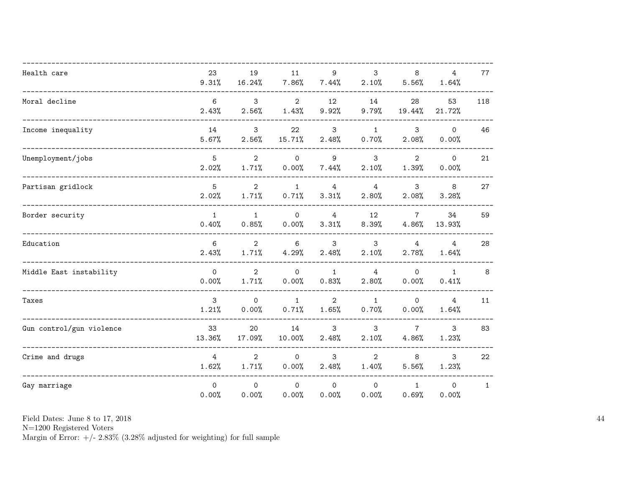| Health care              | 23<br>9.31%              | 19<br>16.24%            | 11<br>7.86%             | 9<br>7.44%              | 3<br>2.10%              | 8<br>5.56%               | 4<br>1.64%              | 77           |
|--------------------------|--------------------------|-------------------------|-------------------------|-------------------------|-------------------------|--------------------------|-------------------------|--------------|
| Moral decline            | $6\overline{6}$<br>2.43% | 3<br>2.56%              | $\overline{2}$<br>1.43% | 12<br>9.92%             | 14<br>9.79%             | 28<br>19.44%             | 53<br>21.72%            | 118          |
| Income inequality        | 14<br>5.67%              | 3<br>2.56%              | 22<br>15.71%            | $\mathbf{3}$<br>2.48%   | $\mathbf{1}$<br>0.70%   | 3<br>2.08%               | $\Omega$<br>0.00%       | 46           |
| Unemployment/jobs        | 5<br>2.02%               | $\overline{2}$<br>1.71% | $\Omega$<br>0.00%       | 9<br>7.44%              | $\mathbf{3}$<br>2.10%   | 2<br>1.39%               | $\mathsf{O}$<br>0.00%   | 21           |
| Partisan gridlock        | 5<br>2.02%               | $\overline{2}$<br>1.71% | $\mathbf{1}$<br>0.71%   | $\overline{4}$<br>3.31% | $\overline{4}$<br>2.80% | 3<br>2.08%               | 8<br>3.28%              | 27           |
| Border security          | $\mathbf{1}$<br>0.40%    | $\mathbf{1}$<br>0.85%   | $\mathsf{O}$<br>0.00%   | $\overline{4}$<br>3.31% | 12<br>8.39%             | $7\overline{ }$<br>4.86% | 34<br>13.93%            | 59           |
| Education                | 6<br>2.43%               | $\overline{2}$<br>1.71% | 6<br>4.29%              | 3<br>2.48%              | 3<br>2.10%              | $\overline{4}$<br>2.78%  | $\overline{4}$<br>1.64% | 28           |
| Middle East instability  | $\mathsf{O}$<br>0.00%    | $\overline{2}$<br>1.71% | $\mathsf{O}$<br>0.00%   | $\mathbf{1}$<br>0.83%   | $\overline{4}$<br>2.80% | $\mathsf{O}$<br>0.00%    | $\mathbf{1}$<br>0.41%   | 8            |
| Taxes                    | $\mathbf{3}$<br>1.21%    | $\mathsf{O}$<br>0.00%   | $\mathbf{1}$<br>0.71%   | $\overline{2}$<br>1.65% | $\mathbf{1}$<br>0.70%   | $\circ$<br>0.00%         | $\overline{4}$<br>1.64% | 11           |
| Gun control/gun violence | 33<br>13.36%             | 20<br>17.09%            | 14<br>10.00%            | 3<br>2.48%              | 3<br>2.10%              | $\overline{7}$<br>4.86%  | 3<br>1.23%              | 83           |
| Crime and drugs          | $\overline{4}$<br>1.62%  | $\overline{2}$<br>1.71% | $\Omega$<br>0.00%       | 3<br>2.48%              | $\overline{2}$<br>1.40% | 8<br>5.56%               | 3<br>1.23%              | 22           |
| Gay marriage             | $\Omega$<br>0.00%        | $\Omega$<br>0.00%       | $\Omega$<br>0.00%       | $\Omega$<br>0.00%       | $\Omega$<br>0.00%       | $\mathbf{1}$<br>0.69%    | $\mathbf{0}$<br>0.00%   | $\mathbf{1}$ |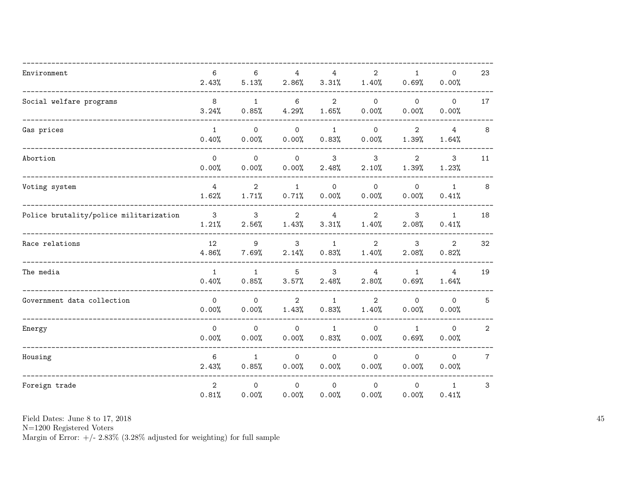| Environment                            | 6<br>2.43%              | 6<br>5.13%              | $\overline{4}$<br>2.86% | $\overline{4}$<br>3.31% | $\overline{2}$<br>1.40% | $\mathbf{1}$<br>0.69%   | $\mathsf{O}$<br>0.00%   | 23              |
|----------------------------------------|-------------------------|-------------------------|-------------------------|-------------------------|-------------------------|-------------------------|-------------------------|-----------------|
| Social welfare programs                | 8<br>3.24%              | $\mathbf{1}$<br>0.85%   | 6<br>4.29%              | $\overline{2}$<br>1.65% | $\Omega$<br>0.00%       | $\mathsf{O}$<br>0.00%   | $\Omega$<br>0.00%       | 17              |
| Gas prices                             | $\mathbf{1}$<br>0.40%   | $\mathsf{O}$<br>0.00%   | $\mathsf{O}$<br>0.00%   | $\mathbf{1}$<br>0.83%   | $\mathsf{O}$<br>0.00%   | $\overline{2}$<br>1.39% | $\overline{4}$<br>1.64% | 8               |
| Abortion                               | $\Omega$<br>0.00%       | $\Omega$<br>0.00%       | $\Omega$<br>0.00%       | 3<br>2.48%              | 3<br>2.10%              | $\overline{2}$<br>1.39% | 3<br>1.23%              | 11              |
| Voting system                          | $\overline{4}$<br>1.62% | $\overline{2}$<br>1.71% | $\mathbf{1}$<br>0.71%   | $\Omega$<br>0.00%       | $\Omega$<br>0.00%       | $\Omega$<br>0.00%       | $\mathbf{1}$<br>0.41%   | 8               |
| Police brutality/police militarization | $\mathbf{3}$<br>1.21%   | $\mathbf{3}$<br>2.56%   | $\overline{2}$<br>1.43% | $\overline{4}$<br>3.31% | $\overline{2}$<br>1.40% | 3<br>2.08%              | $\mathbf{1}$<br>0.41%   | 18              |
| Race relations                         | 12<br>4.86%             | 9<br>7.69%              | 3<br>2.14%              | $\mathbf{1}$<br>0.83%   | $\overline{2}$<br>1.40% | 3<br>2.08%              | $\overline{2}$<br>0.82% | 32              |
| The media                              | $\mathbf{1}$<br>0.40%   | $\mathbf{1}$<br>0.85%   | 5<br>3.57%              | 3<br>2.48%              | $\overline{4}$<br>2.80% | $\mathbf{1}$<br>0.69%   | 4<br>1.64%              | 19              |
| Government data collection             | $\mathsf{O}$<br>0.00%   | $\mathsf{O}$<br>0.00%   | $\overline{2}$<br>1.43% | $\mathbf{1}$<br>0.83%   | $\overline{2}$<br>1.40% | $\mathsf{O}$<br>0.00%   | $\mathsf{O}$<br>0.00%   | 5               |
| Energy                                 | $\mathbf 0$<br>0.00%    | $\mathsf{O}$<br>0.00%   | $\mathbf 0$<br>0.00%    | $\mathbf{1}$<br>0.83%   | $\mathbf 0$<br>0.00%    | $\mathbf{1}$<br>0.69%   | $\mathsf{O}$<br>0.00%   | $\overline{2}$  |
| Housing                                | 6<br>2.43%              | $\mathbf{1}$<br>0.85%   | $\Omega$<br>0.00%       | $\Omega$<br>0.00%       | $\Omega$<br>0.00%       | $\mathsf{O}$<br>0.00%   | $\mathsf{O}$<br>0.00%   | $7\overline{ }$ |
| Foreign trade                          | $\overline{2}$<br>0.81% | $\mathsf{O}$<br>0.00%   | $\mathbf 0$<br>0.00%    | $\mathbf 0$<br>0.00%    | $\mathsf{O}$<br>0.00%   | $\mathbf 0$<br>0.00%    | $\mathbf{1}$<br>0.41%   | 3               |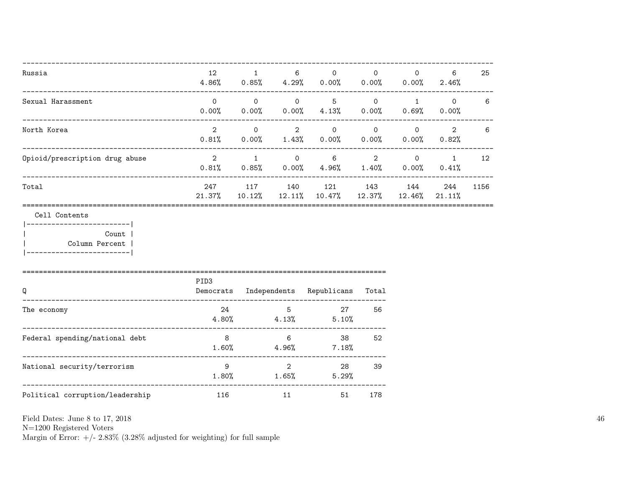| Russia                                     | 12<br>$4.86\%$ 0.85% $4.29\%$ | $\mathbf{1}$               | 6                                   | $\Omega$<br>0.00%                                                       | $\Omega$                | $\Omega$<br>$0.00\%$ 0.00% 2.46%                | 6                                                           | 25   |
|--------------------------------------------|-------------------------------|----------------------------|-------------------------------------|-------------------------------------------------------------------------|-------------------------|-------------------------------------------------|-------------------------------------------------------------|------|
| Sexual Harassment                          | $\Omega$<br>0.00%             | $\overline{0}$<br>$0.00\%$ | $\overline{0}$<br>$0.00\%$          | $5 -$<br>4.13%                                                          | $\overline{O}$<br>0.00% | $\overline{1}$<br>0.69%                         | $\overline{0}$<br>$0.00\%$                                  | 6    |
| North Korea                                | $2^{\circ}$<br>$0.81\%$ 0.00% | $\Omega$                   | $\overline{2}$<br>1.43%             | $\overline{0}$<br>0.00%                                                 | $\overline{O}$<br>0.00% | $0.00\%$                                        | $\begin{array}{ccc} & & 0 & \quad & 2 \end{array}$<br>0.82% | 6    |
| Opioid/prescription drug abuse             | $\overline{2}$                |                            | $1 \qquad \qquad$                   | $\overline{0}$<br>$6\overline{6}$<br>$0.81\%$ 0.85% 0.00% 4.96%         | 1.40%                   | $2 \qquad \qquad 0 \qquad \qquad 1$<br>$0.00\%$ | 0.41%                                                       | 12   |
| Total                                      | 247<br>21.37%                 |                            |                                     | 117 140 121 143<br>$10.12\%$ $12.11\%$ $10.47\%$ $12.37\%$              |                         | 144<br>12.46%                                   | 244<br>21.11%                                               | 1156 |
| Cell Contents<br>Count  <br>Column Percent |                               |                            |                                     |                                                                         |                         |                                                 |                                                             |      |
| Q<br>---------------------------------     | PID <sub>3</sub>              |                            |                                     | Democrats Independents Republicans Total<br>___________________________ |                         |                                                 |                                                             |      |
| The economy                                |                               |                            | $24$ 5<br>$4.80\%$ $4.13\%$         | 27<br>5.10%                                                             | 56                      |                                                 |                                                             |      |
| Federal spending/national debt             | 8 <sup>8</sup><br>1.60%       |                            | 6                                   | 38<br>$4.96\%$ 7.18%                                                    | 52                      |                                                 |                                                             |      |
| National security/terrorism                | 9 <sup>1</sup>                |                            | $\overline{2}$<br>$1.80\%$ $1.65\%$ | 5.29%                                                                   | 28 3<br>39              |                                                 |                                                             |      |
| Political corruption/leadership            | 116                           |                            | 11 \,                               | 51                                                                      | 178                     |                                                 |                                                             |      |

N=1200 Registered Voters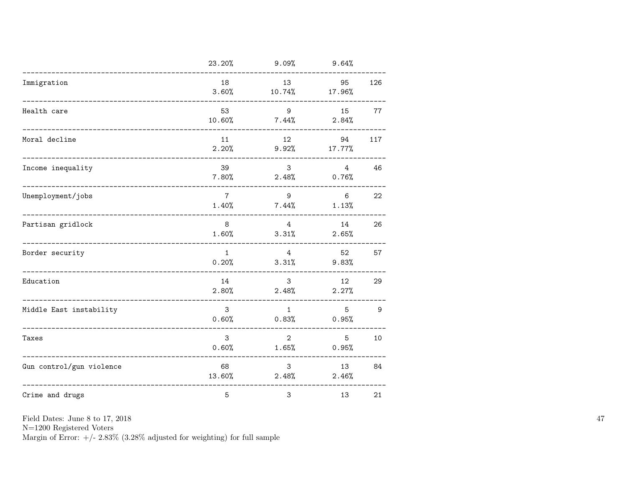|                                             | 23.20%                  | 9.09%                      | 9.64%                    |     |
|---------------------------------------------|-------------------------|----------------------------|--------------------------|-----|
| Immigration                                 | 18<br>3.60%             | 13<br>10.74%               | 95<br>17.96%             | 126 |
| Health care                                 | 53<br>10.60%            | 9<br>$7.44\%$              | 15<br>2.84%              | 77  |
| Moral decline                               | 11<br>2.20%             | 12<br>$9.92\%$             | 94<br>17.77%             | 117 |
| Income inequality                           | 39<br>7.80%             | 3 <sup>1</sup><br>$2.48\%$ | $4\overline{ }$<br>0.76% | 46  |
| Unemployment/jobs<br>______________________ | $\overline{7}$<br>1.40% | 9<br>$7.44\%$              | $6^{\circ}$<br>1.13%     | 22  |
| Partisan gridlock                           | 8<br>1.60%              | 4<br>3.31%                 | 14<br>2.65%              | 26  |
| Border security                             | $\mathbf{1}$<br>0.20%   | $4\overline{ }$<br>3.31%   | 52<br>9.83%              | 57  |
| Education                                   | 14<br>2.80%             | $\mathbf{3}$<br>2.48%      | 12<br>2.27%              | 29  |
| Middle East instability                     | 3<br>0.60%              | $\mathbf{1}$<br>0.83%      | 5<br>0.95%               | 9   |
| Taxes                                       | 3<br>0.60%              | $\overline{2}$<br>1.65%    | 5<br>0.95%               | 10  |
| Gun control/gun violence                    | 68<br>13.60%            | 3 <sup>1</sup><br>2.48%    | 13<br>2.46%              | 84  |
| Crime and drugs                             | 5                       | 3                          | 13                       | 21  |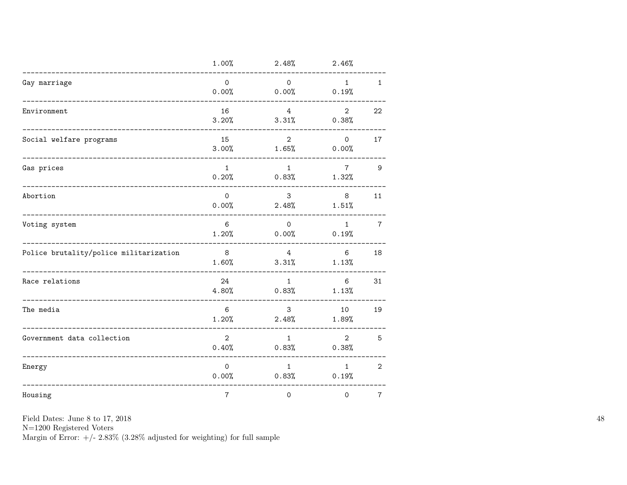|                                            | 1.00%                   | 2.48%                      | 2.46%                   |                |
|--------------------------------------------|-------------------------|----------------------------|-------------------------|----------------|
| Gay marriage                               | $\Omega$<br>0.00%       | $\Omega$<br>$0.00\%$ 0.19% | 1                       | $\mathbf{1}$   |
| Environment<br>--------------------------- | 16<br>3.20%             | $4^{\circ}$<br>3.31%       | $2^{\circ}$<br>0.38%    | 22             |
| Social welfare programs                    | 15<br>3.00%             | $2^{\circ}$<br>1.65%       | $\circ$<br>0.00%        | 17             |
| Gas prices                                 | $\mathbf{1}$<br>0.20%   | 1<br>0.83%                 | $7^{\circ}$<br>1.32%    | 9              |
| Abortion                                   | $\Omega$<br>0.00%       | $\mathbf{3}$<br>$2.48\%$   | 8<br>1.51%              | 11             |
| Voting system                              | 6<br>1.20%              | $\circ$<br>$0.00\%$        | 1<br>0.19%              | $\overline{7}$ |
| Police brutality/police militarization     | 8 <sup>8</sup><br>1.60% | $4\overline{ }$<br>3.31%   | 6<br>1.13%              | 18             |
| Race relations                             | 24<br>4.80%             | 1<br>0.83%                 | 6<br>1.13%              | 31             |
| The media                                  | 6<br>1.20%              | $\mathbf{3}$<br>2.48%      | 10<br>1.89%             | 19             |
| Government data collection                 | $\overline{2}$<br>0.40% | 1<br>0.83%                 | $\overline{2}$<br>0.38% | 5              |
| Energy                                     | $\Omega$<br>0.00%       | 1<br>$0.83\%$              | 1<br>0.19%              | $\overline{2}$ |
| Housing                                    | $\sqrt{7}$              | $\mathsf{O}\xspace$        | 0                       | $\overline{7}$ |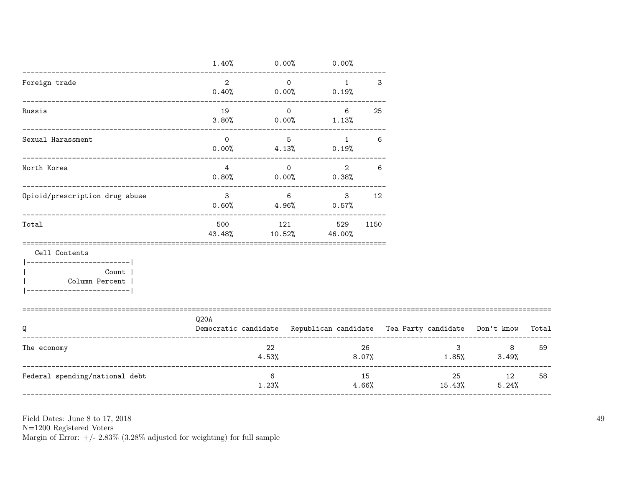|                                                         |                         |                 | $1.40\%$ 0.00% 0.00%                                        |                   |             |       |    |                                                                                |      |
|---------------------------------------------------------|-------------------------|-----------------|-------------------------------------------------------------|-------------------|-------------|-------|----|--------------------------------------------------------------------------------|------|
| Foreign trade                                           |                         |                 | $2 \qquad \qquad 0 \qquad \qquad 1$<br>$0.40\%$ 0.00% 0.19% |                   | 3           |       |    |                                                                                |      |
| Russia                                                  | 19                      | $\overline{O}$  | $3.80\%$ 0.00% 1.13%                                        | $6 \qquad \qquad$ | 25          |       |    |                                                                                |      |
| Sexual Harassment                                       | $\overline{0}$          | $5\overline{)}$ | $0.00\%$ 4.13% 0.19%                                        | $\sim$ 1          | 6           |       |    |                                                                                |      |
| North Korea                                             |                         |                 | $\frac{4}{10}$ 0<br>$0.80\%$ 0.00% 0.38%                    |                   | $2 \quad 6$ |       |    |                                                                                |      |
| Opioid/prescription drug abuse                          | $\overline{\mathbf{3}}$ | $6\overline{6}$ | $0.60\%$ 4.96% 0.57%                                        |                   | $3 \t 12$   |       |    |                                                                                |      |
| Total                                                   |                         |                 | 500 121 529<br>43.48% 10.52% 46.00%                         |                   | 1150        |       |    |                                                                                |      |
| Cell Contents<br> -------------------------             |                         |                 |                                                             |                   |             |       |    |                                                                                |      |
| Count  <br>Column Percent<br> ------------------------- |                         |                 |                                                             |                   |             |       |    |                                                                                |      |
| Q                                                       | Q20A                    |                 |                                                             |                   |             |       |    | Democratic candidate Republican candidate Tea Party candidate Don't know Total |      |
| The economy                                             |                         | 22<br>4.53%     |                                                             |                   | 26          | 8.07% |    | $3 \quad \cdots$<br>$1.85\%$ $3.49\%$                                          | 8 59 |
| Federal spending/national debt                          |                         | 6               |                                                             |                   | 15          |       | 25 | 12                                                                             | 58   |

 $1.23%$ 

Field Dates: June 8 to 17, 2018

N=1200 Registered Voters

Margin of Error:  $+/- 2.83\%$  (3.28% adjusted for weighting) for full sample

 $5.24%$ 

15.43%

 $4.66%$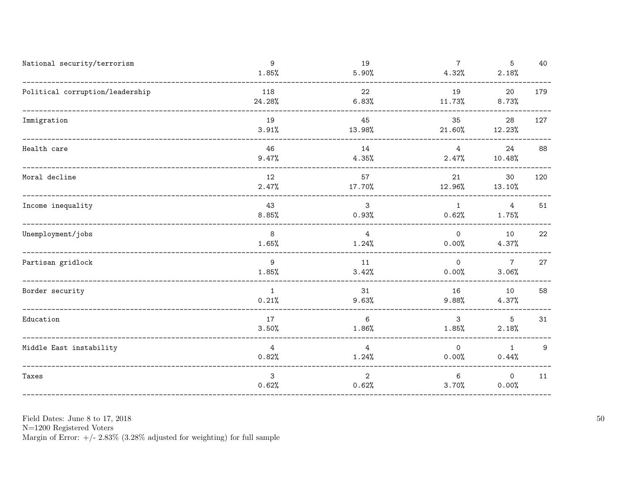| National security/terrorism     | 9<br>1.85%               | 19<br>5.90%                | $7\overline{ }$<br>4.32%   | 5<br>2.18%              | 40  |
|---------------------------------|--------------------------|----------------------------|----------------------------|-------------------------|-----|
| Political corruption/leadership | 118<br>24.28%            | 22<br>6.83%                | 19<br>11.73%               | 20<br>8.73%             | 179 |
| Immigration                     | 19<br>3.91%              | 45<br>13.98%               | 35<br>21.60%               | 28<br>12.23%            | 127 |
| Health care                     | 46<br>9.47%              | 14<br>$4.35\%$             | $\overline{4}$<br>$2.47\%$ | 24<br>10.48%            | 88  |
| Moral decline                   | 12<br>2.47%              | 57<br>17.70%               | 21<br>12.96%               | 30<br>$13.10\%$         | 120 |
| Income inequality               | 43<br>8.85%              | 3<br>0.93%                 | $\overline{1}$<br>0.62%    | $\overline{4}$<br>1.75% | 51  |
| Unemployment/jobs               | 8 <sup>8</sup><br>1.65%  | $\overline{4}$<br>$1.24\%$ | $\overline{0}$<br>$0.00\%$ | 10<br>$4.37\%$          | 22  |
| Partisan gridlock               | 9<br>1.85%               | 11<br>3.42%                | $\overline{0}$<br>0.00%    | $\overline{7}$<br>3.06% | 27  |
| Border security                 | $\overline{1}$<br>0.21%  | 31<br>9.63%                | 16<br>9.88%                | 10<br>4.37%             | 58  |
| Education                       | 17<br>3.50%              | 6<br>1.86%                 | 3 <sup>7</sup><br>1.85%    | 5 <sup>5</sup><br>2.18% | 31  |
| Middle East instability         | $4\overline{ }$<br>0.82% | 4<br>$1.24\%$              | $\circ$<br>$0.00\%$        | $\overline{1}$<br>0.44% | 9   |
| Taxes                           | 3<br>0.62%               | 2<br>0.62%                 | 6<br>3.70%                 | $\overline{O}$<br>0.00% | 11  |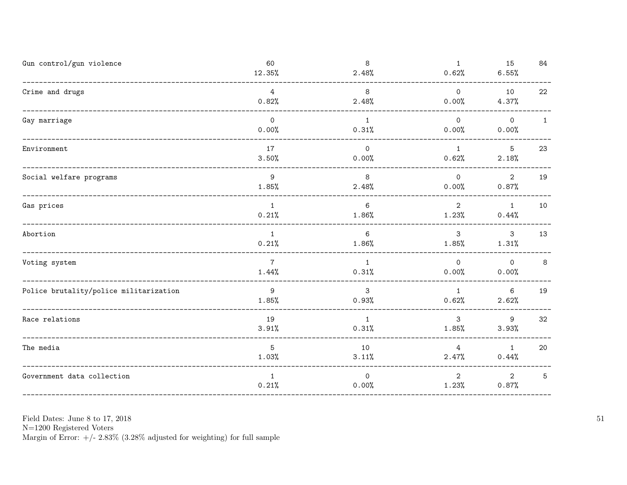| Gun control/gun violence                              | 60<br>12.35%             | 8<br>2.48%              | $\mathbf{1}$<br>0.62%      | 15<br>6.55%                      | 84           |
|-------------------------------------------------------|--------------------------|-------------------------|----------------------------|----------------------------------|--------------|
| Crime and drugs                                       | 4<br>0.82%               | 8<br>2.48%              | $\circ$<br>0.00%           | 10<br>4.37%                      | 22           |
| Gay marriage                                          | $\overline{0}$<br>0.00%  | $\mathbf{1}$<br>0.31%   | $\Omega$<br>0.00%          | $\overline{0}$<br>0.00%          | $\mathbf{1}$ |
| Environment                                           | 17<br>3.50%              | $\circ$<br>0.00%        | $\overline{1}$<br>$0.62\%$ | 5 <sup>5</sup><br>2.18%          | 23           |
| Social welfare programs                               | 9<br>1.85%               | 8<br>2.48%              | $\overline{0}$<br>$0.00\%$ | $\overline{2}$<br>0.87%          | 19           |
| Gas prices                                            | $\overline{1}$<br>0.21%  | 6<br>$1.86\%$           | $\overline{2}$<br>1.23%    | $\overline{1}$<br>0.44%          | 10           |
| Abortion                                              | $\overline{1}$<br>0.21%  | 6<br>$1.86\%$           | $\mathbf{3}$<br>$1.85\%$   | $\overline{\mathbf{3}}$<br>1.31% | 13           |
| Voting system<br>____________________________________ | $7\overline{ }$<br>1.44% | 1<br>0.31%              | $\Omega$<br>0.00%          | $\overline{0}$<br>0.00%          | 8            |
| Police brutality/police militarization                | 9<br>1.85%               | $\mathbf{3}$<br>0.93%   | $\mathbf{1}$<br>0.62%      | 6<br>2.62%                       | 19           |
| Race relations                                        | 19<br>3.91%              | $\overline{1}$<br>0.31% | $\mathbf{3}$<br>1.85%      | 9<br>3.93%                       | 32           |
| The media                                             | 5<br>1.03%               | 10<br>3.11%             | 4<br>2.47%                 | $\overline{1}$<br>0.44%          | 20           |
| Government data collection                            | 1<br>0.21%               | $\overline{0}$<br>0.00% | 2<br>1.23%                 | $\overline{2}$<br>0.87%          | 5            |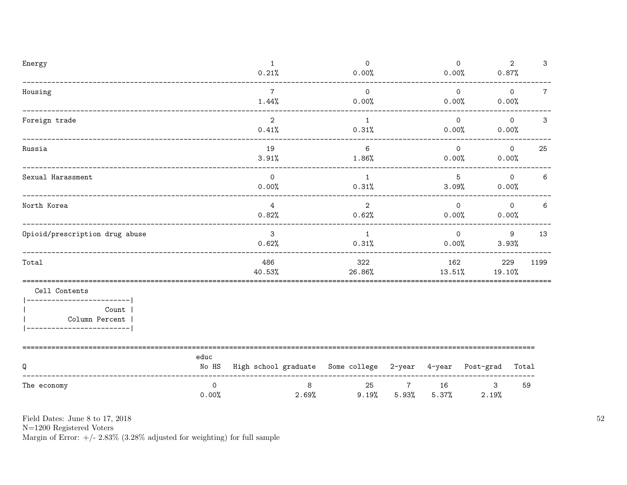| Energy                                                                                              |                       | $\mathbf{1}$<br>0.21%                                     | $\overline{0}$<br>0.00% |                         | $\mathbf 0$<br>0.00%     | 0.87%         | $\overline{2}$<br>3               |
|-----------------------------------------------------------------------------------------------------|-----------------------|-----------------------------------------------------------|-------------------------|-------------------------|--------------------------|---------------|-----------------------------------|
| Housing<br>____________________________                                                             |                       | $\overline{7}$<br>1.44%                                   | $\overline{O}$<br>0.00% |                         | $\overline{O}$<br>0.00%  | 0.00%         | $\overline{0}$<br>$7\overline{ }$ |
| Foreign trade<br>____________________________                                                       |                       | $\overline{2}$<br>0.41%                                   | 1<br>0.31%              |                         | $\circ$<br>0.00%         | 0.00%         | $\mathbf 0$<br>$\mathbf{3}$       |
| Russia                                                                                              |                       | 19<br>3.91%                                               | 6<br>$1.86\%$           |                         | $\Omega$<br>0.00%        | 0.00%         | $\circ$<br>25                     |
| Sexual Harassment                                                                                   |                       | $\overline{0}$<br>0.00%                                   | $\overline{1}$<br>0.31% |                         | $5\overline{)}$<br>3.09% | 0.00%         | $\overline{0}$<br>$6\phantom{.}6$ |
| North Korea                                                                                         |                       | $\overline{4}$<br>0.82%                                   | $\overline{2}$<br>0.62% |                         | $\Omega$<br>0.00%        | 0.00%         | $6\phantom{.}6$<br>$\overline{O}$ |
| Opioid/prescription drug abuse                                                                      |                       | $\mathbf{3}$<br>0.62%                                     | 1<br>0.31%              |                         | $\mathsf{O}$<br>$0.00\%$ | 9<br>3.93%    | 13                                |
| Total                                                                                               |                       | 486<br>40.53%                                             | 322<br>26.86%           |                         | 162<br>13.51%            | 229<br>19.10% | 1199                              |
| Cell Contents<br>----------------------- <br>Count  <br>Column Percent  <br>----------------------- |                       |                                                           |                         |                         |                          |               |                                   |
| Q                                                                                                   | educ<br>No HS         | High school graduate Some college 2-year 4-year Post-grad |                         |                         |                          |               | Total                             |
| The economy                                                                                         | $\mathsf{O}$<br>0.00% | 8                                                         | 25<br>2.69%<br>9.19%    | $\overline{7}$<br>5.93% | 16<br>5.37%              | 3<br>2.19%    | 59                                |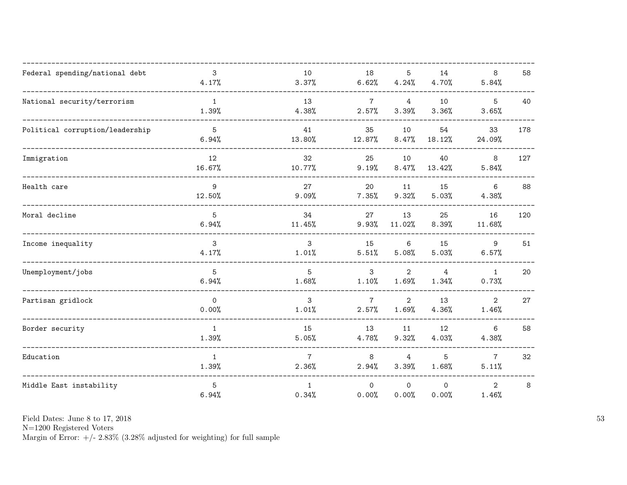| Federal spending/national debt  | 3<br>4.17%            | 10<br>3.37%              | 18<br>6.62%              | 5<br>4.24%              | 14<br>4.70%             | 8<br>5.84%               | 58  |
|---------------------------------|-----------------------|--------------------------|--------------------------|-------------------------|-------------------------|--------------------------|-----|
| National security/terrorism     | $\mathbf{1}$<br>1.39% | 13<br>4.38%              | $7\overline{ }$<br>2.57% | $\overline{4}$<br>3.39% | 10<br>3.36%             | 5<br>3.65%               | 40  |
| Political corruption/leadership | 5<br>6.94%            | 41<br>13.80%             | 35<br>12.87%             | 10<br>8.47%             | 54<br>18.12%            | 33<br>24.09%             | 178 |
| Immigration                     | 12<br>16.67%          | 32<br>10.77%             | 25<br>9.19%              | 10<br>8.47%             | 40<br>13.42%            | 8<br>5.84%               | 127 |
| Health care                     | 9<br>12.50%           | 27<br>9.09%              | 20<br>7.35%              | 11<br>9.32%             | 15<br>5.03%             | 6<br>4.38%               | 88  |
| Moral decline                   | 5<br>6.94%            | 34<br>11.45%             | 27<br>9.93%              | 13<br>11.02%            | 25<br>8.39%             | 16<br>11.68%             | 120 |
| Income inequality               | 3<br>4.17%            | 3<br>1.01%               | 15<br>5.51%              | 6<br>5.08%              | 15<br>5.03%             | 9<br>6.57%               | 51  |
| Unemployment/jobs               | 5<br>6.94%            | 5<br>1.68%               | 3<br>1.10%               | $\overline{2}$<br>1.69% | $\overline{4}$<br>1.34% | $\mathbf{1}$<br>0.73%    | 20  |
| Partisan gridlock               | $\mathsf{O}$<br>0.00% | 3<br>1.01%               | $7\overline{ }$<br>2.57% | $\mathbf{2}$<br>1.69%   | 13<br>4.36%             | $\overline{2}$<br>1.46%  | 27  |
| Border security                 | $\mathbf{1}$<br>1.39% | 15<br>5.05%              | 13<br>4.78%              | 11<br>9.32%             | 12<br>4.03%             | 6<br>4.38%               | 58  |
| Education                       | $\mathbf{1}$<br>1.39% | $7\overline{ }$<br>2.36% | 8<br>2.94%               | 4<br>3.39%              | 5<br>1.68%              | $7\overline{ }$<br>5.11% | 32  |
| Middle East instability         | 5<br>6.94%            | $\mathbf{1}$<br>0.34%    | $\circ$<br>0.00%         | $\mathbf 0$<br>0.00%    | $\mathsf{O}$<br>0.00%   | $\overline{2}$<br>1.46%  | 8   |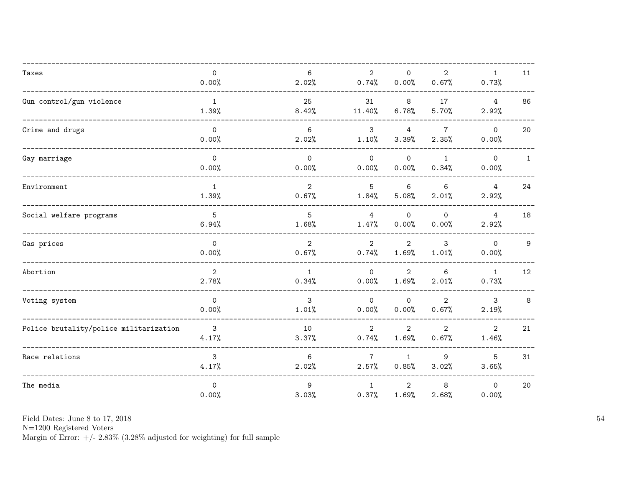| Taxes                                  | $\mathsf{O}$<br>0.00%   | 6<br>2.02%              | $\overline{2}$<br>0.74%  | $\mathbf 0$<br>0.00%    | $\mathbf{2}$<br>0.67%   | $\mathbf{1}$<br>0.73%   | 11           |
|----------------------------------------|-------------------------|-------------------------|--------------------------|-------------------------|-------------------------|-------------------------|--------------|
| Gun control/gun violence               | $\mathbf{1}$<br>1.39%   | 25<br>8.42%             | 31<br>11.40%             | 8<br>6.78%              | 17<br>5.70%             | $\overline{4}$<br>2.92% | 86           |
| Crime and drugs                        | $\mathsf{O}$<br>0.00%   | 6<br>2.02%              | 3<br>1.10%               | $\overline{4}$<br>3.39% | $\overline{7}$<br>2.35% | $\mathbf{O}$<br>0.00%   | 20           |
| Gay marriage                           | $\mathsf{O}$<br>0.00%   | $\Omega$<br>0.00%       | $\Omega$<br>0.00%        | $\Omega$<br>0.00%       | $\mathbf{1}$<br>0.34%   | $\mathsf{O}$<br>0.00%   | $\mathbf{1}$ |
| Environment                            | $\mathbf{1}$<br>1.39%   | $\overline{2}$<br>0.67% | $5\phantom{.0}$<br>1.84% | 6<br>5.08%              | 6<br>2.01%              | $\overline{4}$<br>2.92% | 24           |
| Social welfare programs                | 5<br>6.94%              | 5<br>1.68%              | $\overline{4}$<br>1.47%  | $\mathsf O$<br>0.00%    | $\mathsf{O}$<br>0.00%   | $\overline{4}$<br>2.92% | 18           |
| Gas prices                             | $\mathsf{O}$<br>0.00%   | $\overline{2}$<br>0.67% | $\overline{2}$<br>0.74%  | $\overline{2}$<br>1.69% | 3<br>1.01%              | $\Omega$<br>0.00%       | 9            |
| Abortion                               | $\overline{2}$<br>2.78% | $\mathbf{1}$<br>0.34%   | $\Omega$<br>0.00%        | $\overline{2}$<br>1.69% | 6<br>2.01%              | $\mathbf{1}$<br>0.73%   | 12           |
| Voting system                          | $\mathsf{O}$<br>0.00%   | 3<br>1.01%              | $\mathsf{O}$<br>0.00%    | $\mathsf{O}$<br>0.00%   | $\overline{2}$<br>0.67% | $\mathbf{3}$<br>2.19%   | 8            |
| Police brutality/police militarization | $\mathbf{3}$<br>4.17%   | 10<br>3.37%             | $\overline{2}$<br>0.74%  | $\overline{2}$<br>1.69% | $\overline{2}$<br>0.67% | $\overline{2}$<br>1.46% | 21           |
| Race relations                         | 3<br>4.17%              | 6<br>2.02%              | $7\overline{ }$<br>2.57% | $\mathbf{1}$<br>0.85%   | 9<br>3.02%              | 5<br>3.65%              | 31           |
| The media                              | $\mathsf{O}$<br>0.00%   | 9<br>3.03%              | $\mathbf{1}$<br>0.37%    | $\overline{2}$<br>1.69% | 8<br>2.68%              | $\circ$<br>0.00%        | 20           |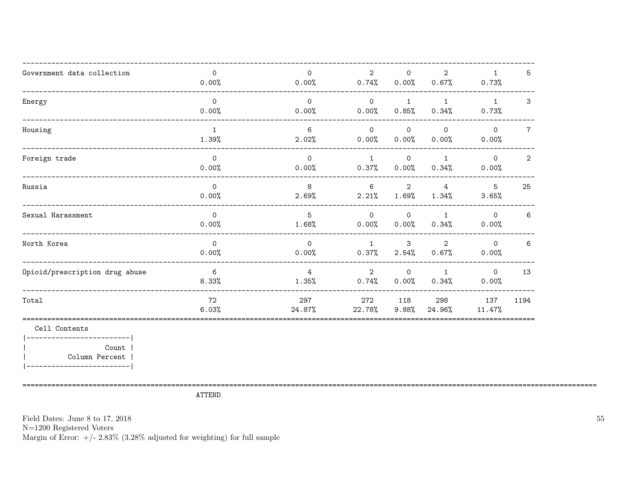| Government data collection     | $\mathbf 0$<br>0.00%  | $\Omega$<br>0.00%       | $\overline{2}$<br>0.74% | $\mathbf 0$<br>0.00%                | $\overline{2}$<br>0.67% | $\mathbf{1}$<br>0.73% | 5              |
|--------------------------------|-----------------------|-------------------------|-------------------------|-------------------------------------|-------------------------|-----------------------|----------------|
| Energy                         | $\Omega$<br>0.00%     | $\Omega$<br>0.00%       | $\overline{0}$<br>0.00% | 1<br>0.85%                          | $\mathbf{1}$<br>0.34%   | $\mathbf{1}$<br>0.73% | 3              |
| Housing                        | $\mathbf{1}$<br>1.39% | 6<br>2.02%              | $\Omega$<br>0.00%       | $\Omega$<br>0.00%                   | $\Omega$<br>0.00%       | $\Omega$<br>0.00%     | $\overline{7}$ |
| Foreign trade                  | $\Omega$<br>0.00%     | $\Omega$<br>0.00%       | $\mathbf{1}$<br>0.37%   | $\overline{O}$<br>0.00%             | $\mathbf{1}$<br>0.34%   | $\Omega$<br>0.00%     | $\overline{2}$ |
| Russia                         | $\Omega$<br>0.00%     | 8<br>2.69%              | 6                       | $\overline{2}$<br>$2.21\%$ $1.69\%$ | $\overline{4}$<br>1.34% | $5^{\circ}$<br>3.65%  | 25             |
| Sexual Harassment              | $\circ$<br>0.00%      | 5<br>1.68%              | $\Omega$<br>0.00%       | $\mathsf{O}$<br>$0.00\%$            | $\mathbf{1}$<br>0.34%   | $\Omega$<br>0.00%     | 6              |
| North Korea                    | $\mathsf{O}$<br>0.00% | $\Omega$<br>0.00%       | $\overline{1}$<br>0.37% | 3<br>$2.54\%$                       | 2<br>0.67%              | $\Omega$<br>0.00%     | 6              |
| Opioid/prescription drug abuse | 6<br>8.33%            | $\overline{4}$<br>1.35% | $\overline{2}$<br>0.74% | $\overline{0}$<br>0.00%             | 1<br>0.34%              | $\circ$<br>0.00%      | 13             |
| Total                          | 72<br>6.03%           | 297<br>24.87%           | 272<br>22.78%           | 118<br>9.88%                        | 298<br>24.96%           | 137<br>11.47%         | 1194           |
| Cell Contents                  |                       |                         |                         |                                     |                         |                       |                |
| Count<br>Column Percent        |                       |                         |                         |                                     |                         |                       |                |

**ATTEND** 

Field Dates: June 8 to 17, 2018  ${\rm N}{=}1200$  Registered Voters Margin of Error:  $+/- 2.83\%$  (3.28% adjusted for weighting) for full sample  $55\,$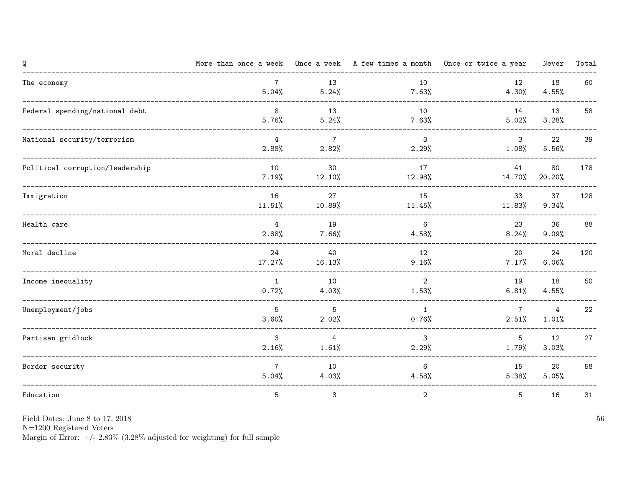| Q                               |                          |                         |                         | More than once a week Once a week A few times a month Once or twice a year | Never        | Total |
|---------------------------------|--------------------------|-------------------------|-------------------------|----------------------------------------------------------------------------|--------------|-------|
| The economy                     | $7\overline{ }$<br>5.04% | 13<br>5.24%             | 10<br>$7.63\%$          | 12<br>4.30%                                                                | 18<br>4.55%  | 60    |
| Federal spending/national debt  | 8<br>5.76%               | 13<br>5.24%             | 10<br>7.63%             | 14<br>5.02%                                                                | 13<br>3.28%  | 58    |
| National security/terrorism     | $\overline{4}$<br>2.88%  | $\overline{7}$<br>2.82% | $\mathbf{3}$<br>2.29%   | $\mathbf{3}$<br>$1.08\%$                                                   | 22<br>5.56%  | 39    |
| Political corruption/leadership | 10<br>7.19%              | 30<br>$12.10\%$         | 17<br>12.98%            | 41<br>14.70%                                                               | 80<br>20.20% | 178   |
| Immigration                     | 16<br>11.51%             | 27<br>10.89%            | 15<br>$11.45\%$         | 33<br>11.83%                                                               | 37<br>9.34%  | 128   |
| Health care                     | $\overline{4}$<br>2.88%  | 19<br>$7.66\%$          | 6<br>$4.58\%$           | 23<br>$8.24\%$                                                             | 36<br>9.09%  | 88    |
| Moral decline                   | 24<br>$17.27\%$          | 40<br>16.13%            | 12<br>9.16%             | 20<br>7.17%                                                                | 24<br>6.06%  | 120   |
| Income inequality               | $\mathbf{1}$<br>0.72%    | 10<br>$4.03\%$          | $\overline{2}$<br>1.53% | 19<br>6.81%                                                                | 18<br>4.55%  | 50    |
| Unemployment/jobs               | 5<br>3.60%               | 5<br>2.02%              | $\mathbf{1}$<br>0.76%   | $7\overline{ }$<br>2.51%                                                   | 4<br>1.01%   | 22    |
| Partisan gridlock               | 3<br>2.16%               | $\overline{4}$<br>1.61% | $\mathbf{3}$<br>2.29%   | $5\overline{)}$<br>1.79%                                                   | 12<br>3.03%  | 27    |
| Border security                 | $7\overline{ }$<br>5.04% | 10<br>4.03%             | 6<br>4.58%              | 15<br>5.38%                                                                | 20<br>5.05%  | 58    |
| Education                       | 5                        | 3                       | $\mathbf{2}$            | 5                                                                          | 16           | 31    |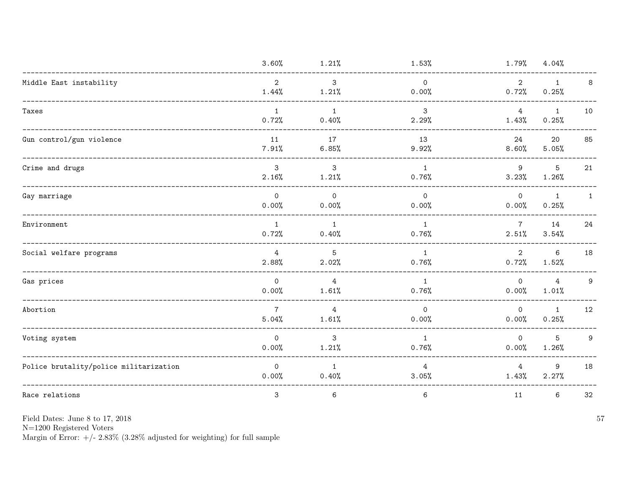|                                        | 3.60%                   | 1.21%                   | 1.53%                        | 1.79%                   | 4.04%                 |              |
|----------------------------------------|-------------------------|-------------------------|------------------------------|-------------------------|-----------------------|--------------|
| Middle East instability                | $\overline{2}$<br>1.44% | $\mathbf{3}$<br>1.21%   | $\mathsf{O}\xspace$<br>0.00% | $\overline{2}$<br>0.72% | $\mathbf{1}$<br>0.25% | 8            |
| Taxes                                  | $\mathbf{1}$<br>0.72%   | $\mathbf{1}$<br>0.40%   | 3<br>2.29%                   | 4<br>1.43%              | $\mathbf{1}$<br>0.25% | 10           |
| Gun control/gun violence               | 11<br>7.91%             | 17<br>6.85%             | 13<br>9.92%                  | 24<br>8.60%             | 20<br>5.05%           | 85           |
| Crime and drugs                        | 3<br>2.16%              | 3<br>1.21%              | $\mathbf{1}$<br>0.76%        | 9<br>3.23%              | 5<br>1.26%            | 21           |
| Gay marriage                           | $\mathsf{O}$<br>0.00%   | $\mathsf{O}$<br>0.00%   | $\mathsf{O}\xspace$<br>0.00% | $\mathsf{O}$<br>0.00%   | 1<br>0.25%            | $\mathbf{1}$ |
| Environment                            | $\mathbf{1}$<br>0.72%   | $\mathbf{1}$<br>0.40%   | $\mathbf{1}$<br>0.76%        | $\overline{7}$<br>2.51% | 14<br>3.54%           | 24           |
| Social welfare programs                | $\overline{4}$<br>2.88% | 5<br>2.02%              | $\mathbf{1}$<br>0.76%        | $\overline{2}$<br>0.72% | 6<br>1.52%            | 18           |
| Gas prices                             | $\mathsf{O}$<br>0.00%   | $\overline{4}$<br>1.61% | $\mathbf{1}$<br>0.76%        | $\overline{0}$<br>0.00% | 4<br>1.01%            | 9            |
| Abortion                               | $\overline{7}$<br>5.04% | 4<br>1.61%              | $\Omega$<br>0.00%            | $\circ$<br>0.00%        | $\mathbf{1}$<br>0.25% | 12           |
| Voting system                          | $\mathsf{O}$<br>0.00%   | 3<br>1.21%              | $\mathbf{1}$<br>0.76%        | $\mathsf{O}$<br>0.00%   | 5<br>1.26%            | 9            |
| Police brutality/police militarization | $\mathsf{O}$<br>0.00%   | $\mathbf{1}$<br>0.40%   | 4<br>3.05%                   | 4<br>1.43%              | 9<br>2.27%            | 18           |
| Race relations                         | $\mathsf 3$             | $\,6$                   | $\,6\,$                      | 11                      | 6                     | 32           |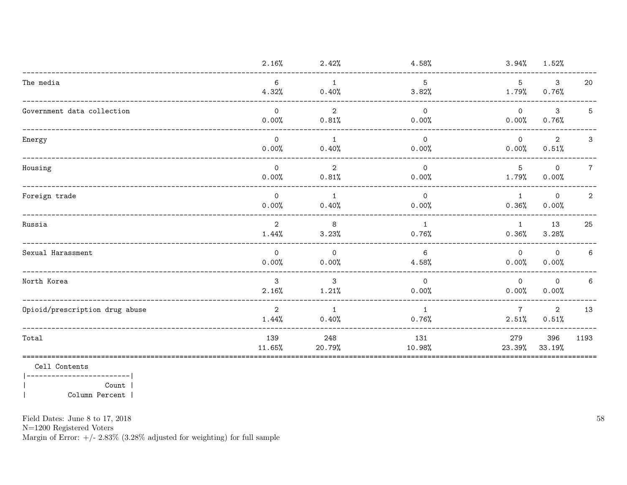|                                | 2.16%                   | 2.42%                   | 4.58%                   | 3.94%                    | 1.52%                   |                 |
|--------------------------------|-------------------------|-------------------------|-------------------------|--------------------------|-------------------------|-----------------|
| The media                      | 6<br>4.32%              | $\overline{1}$<br>0.40% | 5<br>3.82%              | $5^{\circ}$<br>1.79%     | $\mathbf{3}$<br>0.76%   | 20              |
| Government data collection     | $\Omega$<br>0.00%       | 2<br>0.81%              | $\Omega$<br>0.00%       | $\overline{0}$<br>0.00%  | $\mathbf{3}$<br>0.76%   | 5               |
| Energy                         | $\Omega$<br>0.00%       | $\overline{1}$<br>0.40% | $\Omega$<br>0.00%       | $\Omega$<br>0.00%        | 2<br>0.51%              | 3               |
| Housing                        | $\Omega$<br>0.00%       | $\overline{2}$<br>0.81% | $\overline{0}$<br>0.00% | $5^{\circ}$<br>$1.79\%$  | $\overline{0}$<br>0.00% | $7\overline{ }$ |
| Foreign trade                  | $\Omega$<br>0.00%       | $\overline{1}$<br>0.40% | $\mathsf{O}$<br>0.00%   | $\overline{1}$<br>0.36%  | $\circ$<br>0.00%        | $\mathbf{2}$    |
| Russia                         | 2<br>1.44%              | 8<br>3.23%              | $\mathbf{1}$<br>0.76%   | 1<br>0.36%               | 13<br>3.28%             | 25              |
| Sexual Harassment              | $\Omega$<br>0.00%       | $\overline{0}$<br>0.00% | 6<br>4.58%              | $\overline{0}$<br>0.00%  | $\Omega$<br>0.00%       | $6\phantom{.}6$ |
| North Korea                    | 3<br>2.16%              | $\mathbf{3}$<br>1.21%   | $\mathsf{O}$<br>0.00%   | $\Omega$<br>0.00%        | $\Omega$<br>0.00%       | 6               |
| Opioid/prescription drug abuse | $\overline{2}$<br>1.44% | $\overline{1}$<br>0.40% | $\mathbf{1}$<br>0.76%   | $7\overline{ }$<br>2.51% | $\overline{2}$<br>0.51% | 13              |
| Total                          | 139<br>11.65%           | 248<br>20.79%           | 131<br>10.98%           | 279<br>23.39%            | 396<br>33.19%           | 1193            |

Cell Contents

 $|----------|$  $Count$  |  $\overline{\phantom{a}}$ Column Percent |  $\overline{\phantom{a}}$ 

Field Dates: June 8 to 17, 2018

 ${\rm N}{=}1200$  Registered Voters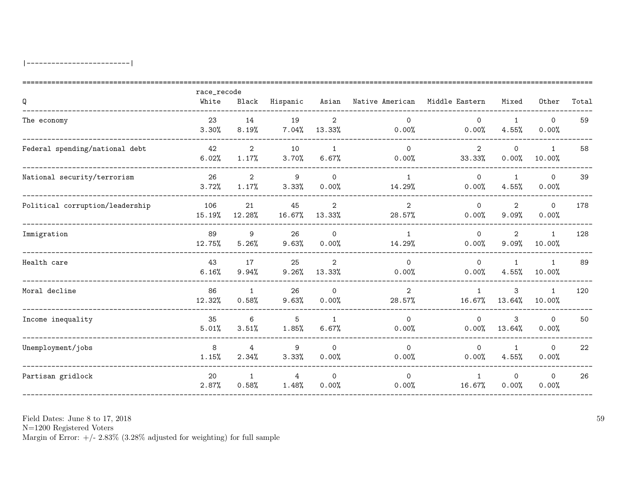|                                 | race_recode   |                         |              |                          |                          |                          |                         |                        |       |
|---------------------------------|---------------|-------------------------|--------------|--------------------------|--------------------------|--------------------------|-------------------------|------------------------|-------|
| Q                               | White         | Black                   | Hispanic     | Asian                    | Native American          | Middle Eastern           | Mixed                   | Other                  | Total |
| The economy                     | 23<br>3.30%   | 14<br>8.19%             | 19<br>7.04%  | 2<br>13.33%              | $\Omega$<br>0.00%        | $\Omega$<br>0.00%        | $\mathbf{1}$<br>4.55%   | $\Omega$<br>0.00%      | 59    |
| Federal spending/national debt  | 42<br>6.02%   | $\overline{2}$<br>1.17% | 10<br>3.70%  | $\overline{1}$<br>6.67%  | $\Omega$<br>0.00%        | $\overline{2}$<br>33.33% | $\mathbf 0$<br>0.00%    | $\mathbf{1}$<br>10.00% | 58    |
| National security/terrorism     | 26<br>3.72%   | $\overline{2}$<br>1.17% | 9<br>3.33%   | $\Omega$<br>0.00%        | $\mathbf{1}$<br>14.29%   | $\mathsf{O}$<br>0.00%    | 1<br>4.55%              | $\mathbf 0$<br>0.00%   | 39    |
| Political corruption/leadership | 106<br>15.19% | 21<br>12.28%            | 45<br>16.67% | $\overline{2}$<br>13.33% | $\overline{2}$<br>28.57% | $\Omega$<br>0.00%        | $\overline{2}$<br>9.09% | $\mathbf 0$<br>0.00%   | 178   |
| Immigration                     | 89<br>12.75%  | 9<br>5.26%              | 26<br>9.63%  | $\Omega$<br>0.00%        | $\mathbf{1}$<br>14.29%   | $\Omega$<br>0.00%        | $\overline{2}$<br>9.09% | $\mathbf{1}$<br>10.00% | 128   |
| Health care                     | 43<br>6.16%   | 17<br>9.94%             | 25<br>9.26%  | 2<br>13.33%              | $\Omega$<br>0.00%        | $\Omega$<br>0.00%        | $\mathbf{1}$<br>4.55%   | 1<br>10.00%            | 89    |
| Moral decline                   | 86<br>12.32%  | $\mathbf{1}$<br>0.58%   | 26<br>9.63%  | $\mathbf 0$<br>0.00%     | $\overline{2}$<br>28.57% | $\mathbf{1}$<br>16.67%   | 3<br>13.64%             | $\mathbf{1}$<br>10.00% | 120   |
| Income inequality               | 35<br>5.01%   | 6<br>3.51%              | 5<br>1.85%   | 1<br>6.67%               | $\Omega$<br>0.00%        | $\Omega$<br>0.00%        | 3<br>13.64%             | $\Omega$<br>0.00%      | 50    |
| Unemployment/jobs               | 8<br>1.15%    | 4<br>2.34%              | 9<br>3.33%   | $\Omega$<br>0.00%        | $\Omega$<br>0.00%        | $\Omega$<br>0.00%        | $\mathbf{1}$<br>4.55%   | $\mathbf 0$<br>0.00%   | 22    |
| Partisan gridlock               | 20<br>2.87%   | $\mathbf{1}$<br>0.58%   | 4<br>1.48%   | $\mathbf 0$<br>0.00%     | $\mathsf{O}$<br>0.00%    | $\mathbf{1}$<br>16.67%   | $\Omega$<br>0.00%       | $\mathbf 0$<br>0.00%   | 26    |

 ${\rm N}{=}1200$  Registered Voters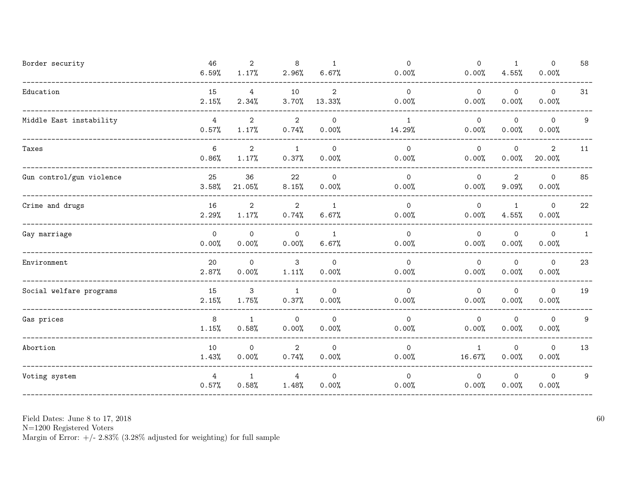| Border security                | 46<br>6.59%             | $\overline{2}$<br>1.17%      | 8<br>2.96%              | 1<br>6.67%            | $\mathsf{O}$<br>0.00%   | $\mathsf{O}$<br>0.00%   | $\mathbf{1}$<br>4.55%   | $\mathsf O$<br>0.00%   | 58           |
|--------------------------------|-------------------------|------------------------------|-------------------------|-----------------------|-------------------------|-------------------------|-------------------------|------------------------|--------------|
| Education                      | 15<br>2.15%             | 4<br>2.34%                   | 10<br>3.70%             | 2<br>13.33%           | $\mathbf 0$<br>0.00%    | $\overline{0}$<br>0.00% | $\mathsf{O}$<br>0.00%   | $\mathsf{O}$<br>0.00%  | 31           |
| Middle East instability        | $\overline{4}$<br>0.57% | $\overline{2}$<br>1.17%      | $\overline{2}$<br>0.74% | $\mathbf 0$<br>0.00%  | 1<br>14.29%             | $\circ$<br>0.00%        | $\mathbf 0$<br>0.00%    | $\mathbf 0$<br>0.00%   | 9            |
| Taxes                          | 6<br>0.86%              | $\overline{2}$<br>1.17%      | $\mathbf{1}$<br>0.37%   | $\mathsf{O}$<br>0.00% | $\mathsf{O}$<br>0.00%   | $\overline{0}$<br>0.00% | 0<br>0.00%              | $\mathbf{2}$<br>20.00% | 11           |
| Gun control/gun violence       | 25<br>3.58%             | 36<br>21.05%                 | 22<br>8.15%             | $\mathbf 0$<br>0.00%  | $\Omega$<br>0.00%       | $\mathsf{O}$<br>0.00%   | $\overline{2}$<br>9.09% | $\mathsf O$<br>0.00%   | 85           |
| Crime and drugs                | 16<br>2.29%             | $\mathbf{2}$<br>1.17%        | $\overline{2}$<br>0.74% | 1<br>6.67%            | $\circ$<br>0.00%        | $\overline{0}$<br>0.00% | 1<br>4.55%              | $\mathsf{O}$<br>0.00%  | 22           |
| Gay marriage                   | $\overline{O}$<br>0.00% | $\mathsf{O}$<br>0.00%        | $\mathsf{O}$<br>0.00%   | $\mathbf{1}$<br>6.67% | $\mathsf{O}$<br>0.00%   | $\overline{O}$<br>0.00% | $\mathbf 0$<br>0.00%    | $\mathbf 0$<br>0.00%   | $\mathbf{1}$ |
| ${\small\texttt{Environment}}$ | 20<br>2.87%             | $\mathsf{O}\xspace$<br>0.00% | 3<br>1.11%              | $\mathbf 0$<br>0.00%  | $\mathbf 0$<br>0.00%    | $\circ$<br>0.00%        | $\mathsf{O}$<br>0.00%   | $\mathbf 0$<br>0.00%   | 23           |
| Social welfare programs        | 15<br>2.15%             | 3<br>1.75%                   | $\mathbf{1}$<br>0.37%   | $\Omega$<br>0.00%     | $\Omega$<br>0.00%       | $\Omega$<br>0.00%       | 0<br>0.00%              | $\mathbf 0$<br>0.00%   | 19           |
| Gas prices                     | 8<br>1.15%              | $\mathbf{1}$<br>0.58%        | $\mathsf{O}$<br>0.00%   | $\mathbf 0$<br>0.00%  | $\overline{0}$<br>0.00% | $\overline{0}$<br>0.00% | $\mathbf 0$<br>0.00%    | $\mathbf 0$<br>0.00%   | 9            |
| Abortion                       | 10<br>1.43%             | $\mathbf 0$<br>0.00%         | $\mathbf{2}$<br>0.74%   | $\mathbf 0$<br>0.00%  | $\mathbf 0$<br>0.00%    | $\mathbf{1}$<br>16.67%  | $\mathbf 0$<br>0.00%    | $\mathbf 0$<br>0.00%   | 13           |
| Voting system                  | 4<br>0.57%              | 1<br>0.58%                   | 4<br>1.48%              | $\mathsf{O}$<br>0.00% | $\circ$<br>0.00%        | $\overline{0}$<br>0.00% | 0<br>0.00%              | $\mathbf 0$<br>0.00%   | 9            |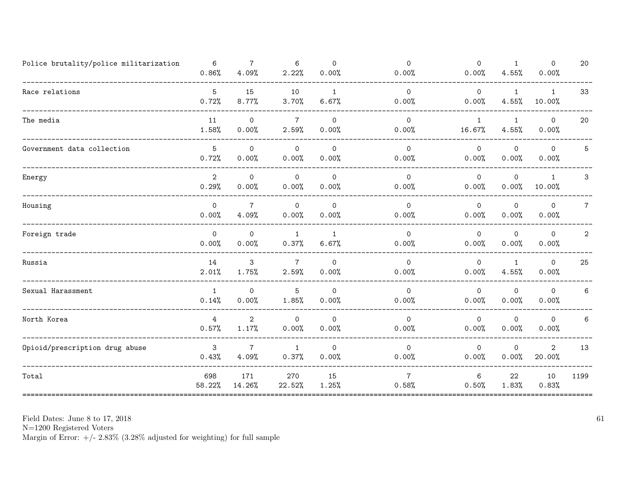| Police brutality/police militarization | 6<br>0.86%              | $\overline{7}$<br>4.09%      | 6<br>2.22%               | $\Omega$<br>0.00%     | $\mathsf{O}$<br>0.00%   | $\mathsf{O}$<br>0.00%   | $\mathbf{1}$<br>4.55% | 0<br>0.00%               | 20             |
|----------------------------------------|-------------------------|------------------------------|--------------------------|-----------------------|-------------------------|-------------------------|-----------------------|--------------------------|----------------|
| Race relations                         | 5<br>0.72%              | 15<br>8.77%                  | 10<br>3.70%              | $\mathbf{1}$<br>6.67% | $\mathbf 0$<br>0.00%    | $\mathsf{O}$<br>0.00%   | 1<br>4.55%            | 1<br>10.00%              | 33             |
| The media                              | 11<br>1.58%             | $\mathsf{O}$<br>0.00%        | $7\overline{ }$<br>2.59% | $\Omega$<br>0.00%     | $\Omega$<br>0.00%       | $\mathbf{1}$<br>16.67%  | 1<br>4.55%            | $\mathbf 0$<br>0.00%     | 20             |
| Government data collection             | 5<br>0.72%              | $\mathsf{O}\xspace$<br>0.00% | $\mathsf{O}$<br>0.00%    | $\mathbf 0$<br>0.00%  | $\mathbf 0$<br>0.00%    | $\circ$<br>0.00%        | $\mathbf 0$<br>0.00%  | $\mathbf 0$<br>0.00%     | 5              |
| Energy                                 | $\mathbf{2}$<br>0.29%   | 0<br>0.00%                   | 0<br>0.00%               | $\mathbf 0$<br>0.00%  | $\mathbf 0$<br>0.00%    | $\circ$<br>0.00%        | 0<br>0.00%            | 1<br>10.00%              | 3              |
| Housing                                | $\overline{0}$<br>0.00% | $\overline{7}$<br>4.09%      | 0<br>0.00%               | $\mathsf{O}$<br>0.00% | $\Omega$<br>0.00%       | $\circ$<br>0.00%        | 0<br>0.00%            | 0<br>0.00%               | $\overline{7}$ |
| Foreign trade                          | $\overline{O}$<br>0.00% | $\Omega$<br>0.00%            | 1<br>0.37%               | $\mathbf{1}$<br>6.67% | $\overline{0}$<br>0.00% | $\mathsf{O}$<br>0.00%   | $\mathbf 0$<br>0.00%  | $\mathbf 0$<br>0.00%     | $\overline{2}$ |
| Russia                                 | 14<br>2.01%             | 3<br>1.75%                   | $\overline{7}$<br>2.59%  | $\mathbf 0$<br>0.00%  | $\mathbf 0$<br>0.00%    | $\circ$<br>0.00%        | $\mathbf{1}$<br>4.55% | $\mathbf 0$<br>0.00%     | 25             |
| Sexual Harassment                      | 1<br>0.14%              | 0<br>0.00%                   | 5<br>1.85%               | $\mathbf 0$<br>0.00%  | $\mathbf 0$<br>0.00%    | $\overline{0}$<br>0.00% | 0<br>0.00%            | $\mathbf 0$<br>0.00%     | 6              |
| North Korea                            | $\overline{4}$<br>0.57% | $\overline{2}$<br>1.17%      | $\Omega$<br>0.00%        | $\Omega$<br>0.00%     | $\Omega$<br>0.00%       | $\Omega$<br>0.00%       | $\mathbf 0$<br>0.00%  | $\Omega$<br>0.00%        | 6              |
| Opioid/prescription drug abuse         | $\mathbf{3}$<br>0.43%   | $\overline{7}$<br>4.09%      | $\mathbf{1}$<br>0.37%    | $\mathsf{O}$<br>0.00% | 0<br>0.00%              | $\mathsf{O}$<br>0.00%   | 0<br>0.00%            | $\overline{2}$<br>20.00% | 13             |
| Total                                  | 698<br>58.22%           | 171<br>14.26%                | 270<br>22.52%            | 15<br>1.25%           | 7<br>0.58%              | 6<br>0.50%              | 22<br>1.83%           | 10<br>0.83%              | 1199           |

 ${\cal N}{=}1200$  Registered Voters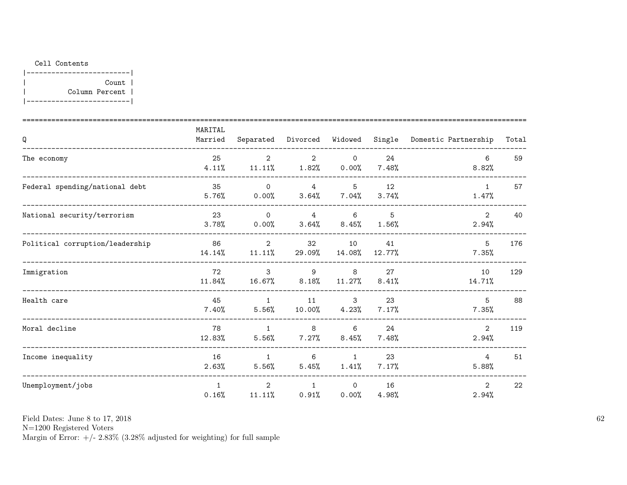## Cell Contents

|-------------------------| | Count | | Column Percent | |-------------------------|

| Q                               | MARITAL<br>Married    |                          | Separated Divorced            | Widowed                 |                         | Single Domestic Partnership | Total |
|---------------------------------|-----------------------|--------------------------|-------------------------------|-------------------------|-------------------------|-----------------------------|-------|
| The economy                     | 25<br>4.11%           | $\overline{2}$           | 2<br>$11.11\%$ $1.82\%$ 0.00% | $\circ$                 | 24<br>$7.48\%$          | 6<br>8.82%                  | 59    |
| Federal spending/national debt  | 35<br>5.76%           | $\Omega$                 | 4<br>$0.00\%$ $3.64\%$ 7.04%  | $5^{\circ}$             | 12<br>3.74%             | 1<br>1.47%                  | 57    |
| National security/terrorism     | 23<br>3.78%           | $\overline{0}$<br>0.00%  | $\overline{4}$                | 6<br>$3.64\%$ $8.45\%$  | $5^{\circ}$<br>$1.56\%$ | $\overline{2}$<br>2.94%     | 40    |
| Political corruption/leadership | 86<br>14.14%          | $\overline{2}$<br>11.11% | 32<br>29.09%                  | 10<br>14.08%            | 41<br>12.77%            | 5<br>7.35%                  | 176   |
| Immigration                     | 72<br>11.84%          | $\mathbf{3}$<br>16.67%   | 9<br>8.18%                    | 8<br>$11.27\%$          | 27<br>8.41%             | 10<br>14.71%                | 129   |
| Health care                     | 45<br>7.40%           | $\mathbf{1}$<br>5.56%    | 11                            | 3<br>$10.00\%$ $4.23\%$ | 23<br>7.17%             | 5<br>7.35%                  | 88    |
| Moral decline                   | 78<br>12.83%          | 1<br>5.56%               | 8 <sup>8</sup><br>7.27%       | 6<br>$8.45\%$           | 24<br>7.48%             | $\overline{2}$<br>2.94%     | 119   |
| Income inequality               | 16<br>2.63%           | $\overline{1}$<br>5.56%  | 6<br>5.45%                    | 1<br>1.41%              | 23<br>7.17%             | $\overline{4}$<br>5.88%     | 51    |
| Unemployment/jobs               | $\mathbf{1}$<br>0.16% | $2^{\circ}$<br>11.11%    | $\mathbf{1}$<br>$0.91\%$      | $\circ$<br>0.00%        | 16<br>4.98%             | 2<br>2.94%                  | 22    |

Field Dates: June 8 to 17, 2018

N=1200 Registered Voters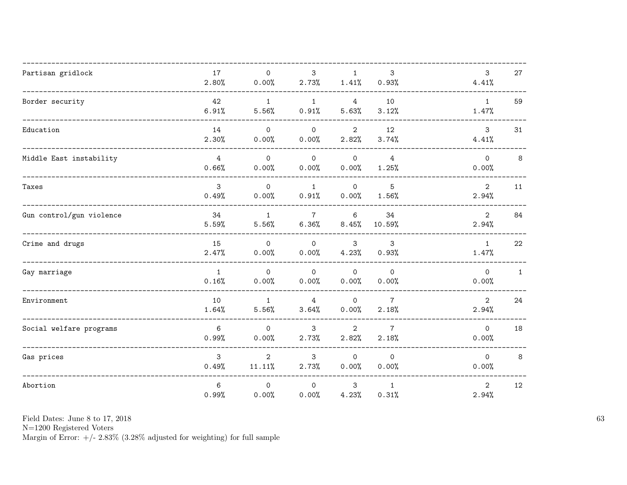| Partisan gridlock        | 17<br>2.80%              | $\mathsf{O}$<br>0.00%    | 3<br>2.73%              | $\mathbf{1}$<br>1.41%    | 3<br>0.93%               | $\mathbf{3}$<br>4.41%   | 27           |
|--------------------------|--------------------------|--------------------------|-------------------------|--------------------------|--------------------------|-------------------------|--------------|
| Border security          | 42<br>6.91%              | $\overline{1}$<br>5.56%  | $\mathbf{1}$<br>0.91%   | $\overline{4}$<br>5.63%  | 10<br>3.12%              | 1<br>1.47%              | 59           |
| Education                | 14<br>2.30%              | $\mathbf{O}$<br>0.00%    | $\mathsf{O}$<br>0.00%   | $\overline{2}$<br>2.82%  | 12<br>3.74%              | $\mathbf{3}$<br>4.41%   | 31           |
| Middle East instability  | $\overline{4}$<br>0.66%  | $\Omega$<br>0.00%        | $\Omega$<br>0.00%       | $\circ$<br>0.00%         | $\overline{4}$<br>1.25%  | $\Omega$<br>0.00%       | 8            |
| Taxes                    | $\mathbf{3}$<br>0.49%    | $\Omega$<br>0.00%        | $\mathbf{1}$<br>0.91%   | $\mathsf{O}$<br>0.00%    | 5<br>1.56%               | $\overline{2}$<br>2.94% | 11           |
| Gun control/gun violence | 34<br>5.59%              | $\mathbf{1}$<br>5.56%    | $\overline{7}$<br>6.36% | $6\phantom{.}6$<br>8.45% | 34<br>10.59%             | $\overline{2}$<br>2.94% | 84           |
| Crime and drugs          | 15<br>2.47%              | $\circ$<br>0.00%         | $\mathsf{O}$<br>0.00%   | 3<br>4.23%               | 3<br>0.93%               | $\mathbf{1}$<br>1.47%   | 22           |
| Gay marriage             | $\mathbf{1}$<br>0.16%    | $\Omega$<br>0.00%        | $\Omega$<br>0.00%       | $\circ$<br>0.00%         | $\Omega$<br>0.00%        | $\Omega$<br>0.00%       | $\mathbf{1}$ |
| Environment              | 10<br>1.64%              | $\mathbf{1}$<br>5.56%    | 4<br>3.64%              | $\mathsf{O}$<br>0.00%    | $7\overline{ }$<br>2.18% | $\overline{2}$<br>2.94% | 24           |
| Social welfare programs  | $6\phantom{.}6$<br>0.99% | $\mathsf{O}$<br>0.00%    | $\mathbf{3}$<br>2.73%   | $\overline{2}$<br>2.82%  | $\overline{7}$<br>2.18%  | $\circ$<br>0.00%        | 18           |
| Gas prices               | 3<br>0.49%               | $\overline{2}$<br>11.11% | 3<br>2.73%              | $\Omega$<br>0.00%        | $\Omega$<br>0.00%        | $\Omega$<br>0.00%       | 8            |
| Abortion                 | $6\phantom{a}$<br>0.99%  | $\circ$<br>0.00%         | $\circ$<br>0.00%        | 3<br>4.23%               | 1<br>0.31%               | 2<br>2.94%              | 12           |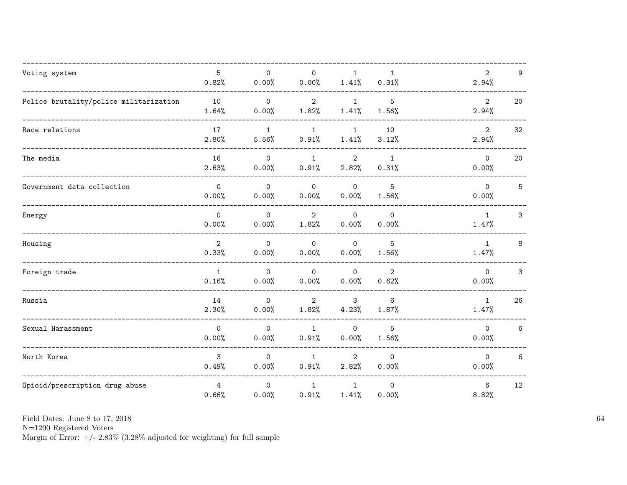| Voting system                          | 5<br>0.82%              | $\mathsf{O}\xspace$<br>0.00% | $\mathsf{O}\xspace$<br>0.00% | $\mathbf{1}$<br>1.41%   | $\mathbf{1}$<br>0.31%   | $\overline{2}$<br>2.94% | 9  |
|----------------------------------------|-------------------------|------------------------------|------------------------------|-------------------------|-------------------------|-------------------------|----|
| Police brutality/police militarization | 10<br>1.64%             | $\mathsf{O}$<br>0.00%        | $\overline{2}$<br>1.82%      | $\mathbf{1}$<br>1.41%   | 5<br>1.56%              | $\overline{2}$<br>2.94% | 20 |
| Race relations                         | 17<br>2.80%             | $\mathbf{1}$<br>5.56%        | $\mathbf{1}$<br>0.91%        | $\mathbf{1}$<br>1.41%   | 10<br>3.12%             | $\overline{2}$<br>2.94% | 32 |
| The media                              | 16<br>2.63%             | $\Omega$<br>0.00%            | $\mathbf{1}$<br>0.91%        | $\overline{2}$<br>2.82% | $\mathbf{1}$<br>0.31%   | $\Omega$<br>0.00%       | 20 |
| Government data collection             | $\mathsf{O}$<br>0.00%   | $\mathsf{O}$<br>0.00%        | $\mathbf{0}$<br>0.00%        | $\mathsf{O}$<br>0.00%   | 5<br>1.56%              | $\Omega$<br>0.00%       | 5  |
| Energy                                 | $\mathsf{O}$<br>0.00%   | $\mathsf{O}$<br>0.00%        | $\overline{2}$<br>1.82%      | $\mathbf 0$<br>0.00%    | $\mathsf{O}$<br>0.00%   | $\mathbf{1}$<br>1.47%   | 3  |
| Housing                                | $\overline{2}$<br>0.33% | $\mathbf 0$<br>0.00%         | $\mathsf{O}$<br>0.00%        | $\mathbf 0$<br>0.00%    | 5<br>1.56%              | $\mathbf{1}$<br>1.47%   | 8  |
| Foreign trade                          | $\mathbf{1}$<br>0.16%   | $\mathsf{O}$<br>0.00%        | $\mathsf{O}$<br>0.00%        | $\mathsf{O}$<br>0.00%   | $\overline{2}$<br>0.62% | $\Omega$<br>0.00%       | 3  |
| Russia                                 | 14<br>2.30%             | $\mathsf{O}$<br>0.00%        | $\overline{2}$<br>1.82%      | 3<br>4.23%              | 6<br>1.87%              | $\mathbf{1}$<br>1.47%   | 26 |
| Sexual Harassment                      | $\mathsf{O}$<br>0.00%   | $\mathbf 0$<br>0.00%         | $\mathbf{1}$<br>0.91%        | $\mathsf{O}$<br>0.00%   | 5<br>1.56%              | $\Omega$<br>0.00%       | 6  |
| North Korea                            | 3<br>0.49%              | $\Omega$<br>0.00%            | $\mathbf{1}$<br>0.91%        | $\overline{2}$<br>2.82% | $\Omega$<br>0.00%       | $\Omega$<br>0.00%       | 6  |
| Opioid/prescription drug abuse         | $\overline{4}$<br>0.66% | $\mathsf{O}$<br>0.00%        | $\mathbf{1}$<br>0.91%        | $\mathbf{1}$<br>1.41%   | $\mathsf{O}$<br>0.00%   | 6<br>8.82%              | 12 |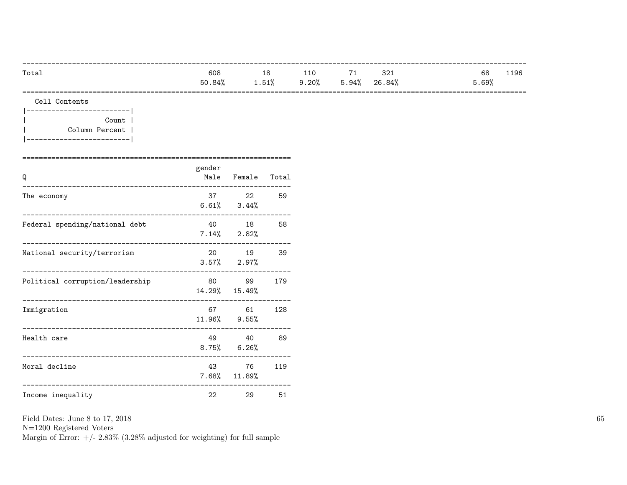| $9.20\%$ 5.94% 26.84%<br>1.51% | Total | 608    | 18 | 110 | 71 | 321 | 68    | 1196 |
|--------------------------------|-------|--------|----|-----|----|-----|-------|------|
|                                |       | 50.84% |    |     |    |     | 5.69% |      |

Cell Contents

|-------------------------| | Count | | Column Percent | |-------------------------|

| Q                               | gender  | Male Female                      | Total |
|---------------------------------|---------|----------------------------------|-------|
| The economy                     |         | 37 22<br>$6.61\%$ $3.44\%$       | 59    |
| Federal spending/national debt  |         | 40 18<br>$7.14\%$ 2.82%          | 58    |
| National security/terrorism     |         | 20 19<br>$3.57\%$ 2.97%          | 39    |
| Political corruption/leadership | 80 — 10 | 99<br>14.29% 15.49%<br>--------- | 179   |
| Immigration                     |         | 67 61<br>11.96% 9.55%            | 128   |
| Health care                     |         | 49 40<br>$8.75\%$ 6.26%          | 89    |
| Moral decline                   | 43      | 76<br>7.68% 11.89%               | 119   |
| Income inequality               | 22      | 29                               | 51    |

Field Dates: June 8 to 17, 2018

N=1200 Registered Voters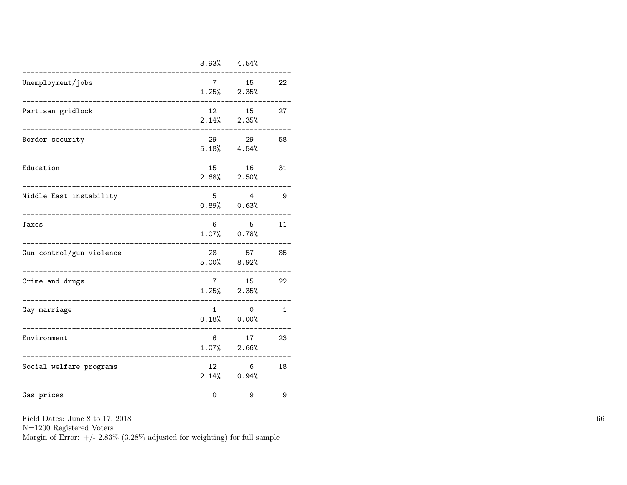|                          |                     | $3.93\%$ $4.54\%$          |              |
|--------------------------|---------------------|----------------------------|--------------|
| Unemployment/jobs        | $7^{\circ}$         | 15<br>$1.25\%$ $2.35\%$    | 22           |
| Partisan gridlock        | 12<br>2.14%         | 15<br>2.35%                | 27           |
| Border security          | 29                  | 29<br>$5.18\%$ $4.54\%$    | 58           |
| Education                | 15                  | 16<br>$2.68\%$ $2.50\%$    | 31           |
| Middle East instability  | 5                   | 4<br>$0.89%$ $0.63%$       | 9            |
| Taxes                    | 6                   | 5<br>$1.07\%$ 0.78%        | 11           |
| Gun control/gun violence | 28                  | 57<br>$5.00\%$ $8.92\%$    | 85           |
| Crime and drugs          | $7\degree$<br>1.25% | 15<br>2.35%                | 22           |
| Gay marriage             | 1                   | $\Omega$<br>$0.18\%$ 0.00% | $\mathbf{1}$ |
| Environment              | 6<br>1.07%          | 17<br>2.66%                | 23           |
| Social welfare programs  | 12                  | 6<br>$2.14\%$ 0.94%        | 18           |
| Gas prices               | $\mathsf{O}\xspace$ | 9                          | 9            |

N=1200 Registered Voters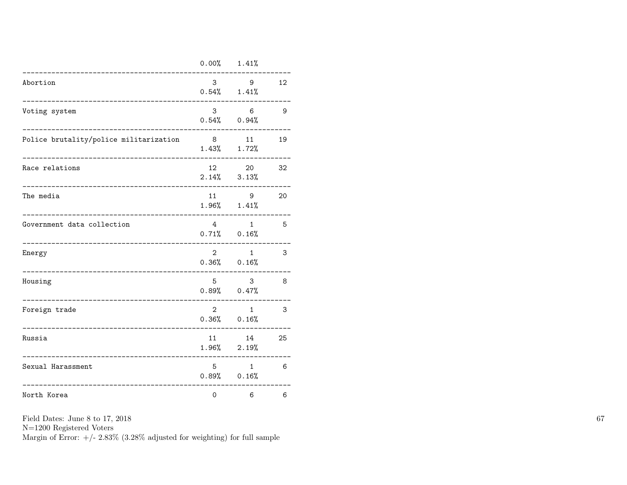|                                        | 0.00%          | 1.41%                             |    |
|----------------------------------------|----------------|-----------------------------------|----|
| Abortion                               | 3              | 9<br>$0.54\%$ 1.41%               | 12 |
| Voting system                          | 3              | 6<br>$0.54\%$ 0.94%               | 9  |
| Police brutality/police militarization | 8<br>1.43%     | 11<br>1.72%                       | 19 |
| Race relations                         | 12             | 20<br>$2.14\%$ $3.13\%$           | 32 |
| The media                              | 11             | 9<br>$1.96\%$ $1.41\%$            | 20 |
| Government data collection             | 4 <sup>1</sup> | $\mathbf{1}$<br>$0.71\%$ $0.16\%$ | 5  |
| Energy                                 | $\overline{2}$ | $\mathbf{1}$<br>$0.36\%$ $0.16\%$ | 3  |
| Housing<br>---------------             | 5              | 3<br>$0.89%$ $0.47%$              | 8  |
| Foreign trade                          | $\overline{2}$ | $\mathbf{1}$<br>$0.36\%$ $0.16\%$ | 3  |
| Russia                                 | 11             | 14<br>$1.96\%$ $2.19\%$           | 25 |
| Sexual Harassment                      | 5              | $\mathbf{1}$<br>$0.89%$ $0.16%$   | 6  |
| North Korea                            | $\mathbf 0$    | 6                                 | 6  |

N=1200 Registered Voters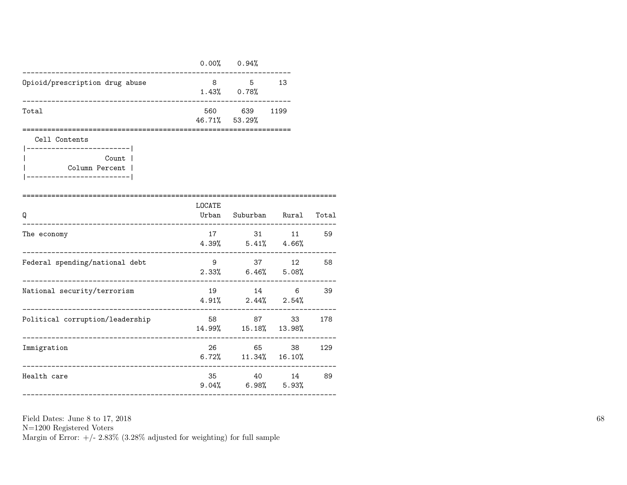|                                                                                                    |                | $0.00\%$ 0.94%                         |                                   |       |
|----------------------------------------------------------------------------------------------------|----------------|----------------------------------------|-----------------------------------|-------|
| Opioid/prescription drug abuse                                                                     | 8              | $5^{\circ}$<br>$1.43\%$ 0.78%          | 13                                |       |
| Total                                                                                              |                | 560 639<br>46.71% 53.29%               | 1199                              |       |
| Cell Contents<br>----------------------- <br>Count  <br>Column Percent  <br>---------------------- |                |                                        |                                   |       |
| ================================<br>Q                                                              | LOCATE         |                                        | Urban Suburban Rural              | Total |
| The economy                                                                                        |                | 17 31 11<br>$4.39\%$ $5.41\%$ $4.66\%$ |                                   | 59    |
| Federal spending/national debt<br>-----------                                                      |                | 9 37 12<br>$2.33\%$ 6.46% 5.08%        | . _ _ _ _ _ _ _ _ _ _ _ _ _ _ _ _ | 58    |
| National security/terrorism                                                                        |                | 19 14 6<br>$4.91\%$ $2.44\%$ $2.54\%$  |                                   | 39    |
| Political corruption/leadership                                                                    |                | 58 87<br>14.99%  15.18%  13.98%        | 33                                | 178   |
| Immigration                                                                                        |                | 26 65<br>$6.72\%$ $11.34\%$ $16.10\%$  | 38                                | 129   |
| Health care                                                                                        | 35<br>$9.04\%$ | 40<br>$6.98\%$ $5.93\%$                | 14                                | 89    |

N=1200 Registered Voters

Margin of Error:  $+/- 2.83\%$  (3.28% adjusted for weighting) for full sample

----------------------------------------------------------------------------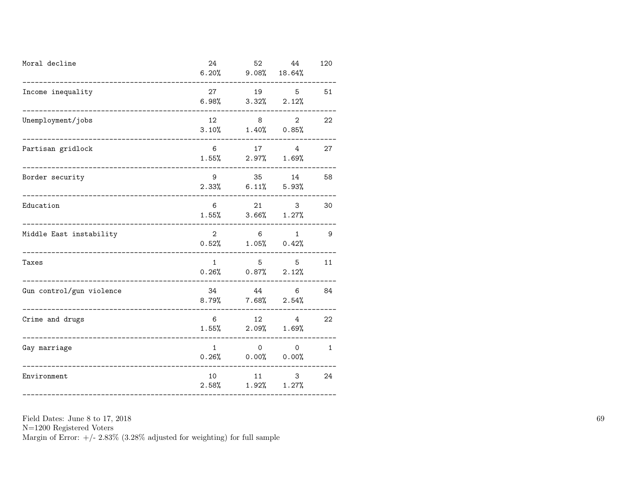| Moral decline                                  | 24                    | 52<br>$6.20\%$ $9.08\%$ $18.64\%$       | 44                              | 120          |
|------------------------------------------------|-----------------------|-----------------------------------------|---------------------------------|--------------|
| Income inequality                              | 27                    | $6.98\%$ $3.32\%$ $2.12\%$              | 19 5                            | 51           |
| Unemployment/jobs                              | 12 and $\overline{a}$ | $3.10\%$ $1.40\%$ $0.85\%$              | $\overline{2}$<br>$8 - 8$       | 22           |
| Partisan gridlock<br>-------------------       | 6                     | $1.55\%$ 2.97% 1.69%                    | 17 4                            | 27           |
| Border security<br>___________________________ | 9                     | $2.33\%$ 6.11\% 5.93\%                  | 35 14                           | 58           |
| Education                                      | 6                     | 21 3<br>$1.55\%$ $3.66\%$ $1.27\%$      |                                 | 30           |
| Middle East instability                        | $2^{\circ}$           | $6\overline{6}$<br>$0.52\%$ 1.05% 0.42% | $\mathbf{1}$                    | - 9          |
| Taxes                                          | 1                     | $0.26\%$ $0.87\%$ $2.12\%$              | 5 5                             | 11           |
| Gun control/gun violence                       | 34                    | 44<br>$8.79\%$ 7.68% $2.54\%$           | $6\overline{6}$                 | 84           |
| Crime and drugs                                | 6                     | $1.55\%$ 2.09% 1.69%                    | 12 4                            | 22           |
| Gay marriage                                   | $\mathbf{1}$          | $0.26%$ $0.00%$ $0.00%$                 | $\begin{matrix}0&0\end{matrix}$ | $\mathbf{1}$ |
| Environment                                    |                       | 10 11 3<br>$2.58\%$ $1.92\%$ $1.27\%$   |                                 | 24           |

N=1200 Registered Voters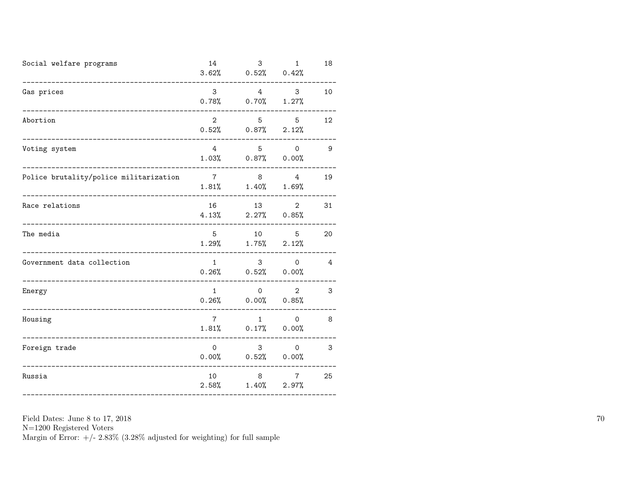| Social welfare programs                                                 | 14              | $3.62\%$ 0.52% 0.42%                                                     | $3 \t 1$                      | 18              |
|-------------------------------------------------------------------------|-----------------|--------------------------------------------------------------------------|-------------------------------|-----------------|
| Gas prices                                                              | $\mathbf{3}$    | $0.78\%$ 0.70% 1.27%                                                     | 4 3                           | 10              |
| Abortion<br>____________________                                        | $\overline{2}$  | $0.52\%$ 0.87% 2.12%                                                     | 5 5                           | 12 <sup>°</sup> |
| Voting system                                                           | 4               | $5$ 0<br>$1.03\%$ 0.87% 0.00%                                            |                               | $\overline{9}$  |
| Police brutality/police militarization<br>_____________________________ |                 | $\begin{array}{ccc} 7 & 8 & 4 \end{array}$<br>$1.81\%$ $1.40\%$ $1.69\%$ |                               | 19              |
| Race relations<br>____________________________                          |                 | 16 13 2<br>$4.13\%$ 2.27% 0.85%                                          |                               | 31              |
| The media                                                               | 5               | 10 5<br>$1.29\%$ $1.75\%$ $2.12\%$                                       |                               | 20              |
| Government data collection                                              | $\overline{1}$  | $3 \t 0$<br>$0.26\%$ $0.52\%$ $0.00\%$                                   |                               | $\overline{4}$  |
| Energy                                                                  |                 | $1 \qquad \qquad$<br>$0.26\%$ 0.00% 0.85%                                | $\overline{O}$<br>$2^{\circ}$ | 3               |
| Housing<br>---------------------------                                  | $7\overline{ }$ | $1.81\%$ 0.17\% 0.00\%                                                   | $1 \qquad \qquad 0$           | 8               |
| Foreign trade<br>____________________________                           | $\overline{0}$  | $3 \t 0$<br>$0.00\%$ 0.52% 0.00%                                         |                               | 3               |
| Russia                                                                  | 10              | 8 7<br>$2.58\%$ $1.40\%$ $2.97\%$                                        |                               | 25              |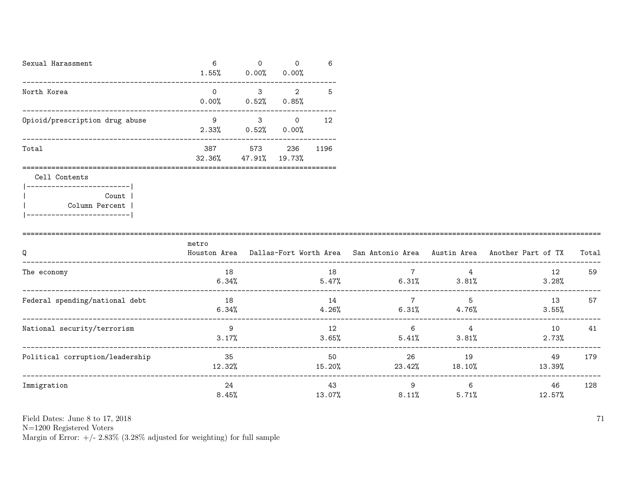| Sexual Harassment              | 6<br>$1.55\%$ | 0<br>$0.00\%$ 0.00%         | $\Omega$ | 6    |
|--------------------------------|---------------|-----------------------------|----------|------|
| North Korea                    | 0<br>0.00%    | 3<br>$0.52\%$ 0.85%         | 2        | 5    |
| Opioid/prescription drug abuse | 9<br>$2.33\%$ | 3<br>$0.52\%$ 0.00%         | $\Omega$ | 12   |
| Total                          | 387           | 573<br>32.36% 47.91% 19.73% | 236      | 1196 |
| Cell Contents                  |               |                             |          |      |

| Count 1        |  |
|----------------|--|
| Column Percent |  |
|                |  |

| Q                               | metro<br>Houston Area | Dallas-Fort Worth Area San Antonio Area Austin Area |                         |              | Another Part of TX | Total |
|---------------------------------|-----------------------|-----------------------------------------------------|-------------------------|--------------|--------------------|-------|
| The economy                     | 18<br>6.34%           | 18<br>5.47%                                         | 7<br>6.31%              | 3.81%        | 12<br>3.28%        | 59    |
| Federal spending/national debt  | 18<br>6.34%           | 14<br>4.26%                                         | $\overline{7}$<br>6.31% | 5<br>4.76%   | 13<br>$3.55\%$     | 57    |
| National security/terrorism     | 9<br>3.17%            | 12<br>3.65%                                         | 6<br>5.41%              | 4<br>3.81%   | 10<br>$2.73\%$     | 41    |
| Political corruption/leadership | 35<br>12.32%          | 50<br>15.20%                                        | 26<br>23.42%            | 19<br>18.10% | 49<br>13.39%       | 179   |
| Immigration                     | 24<br>8.45%           | 43<br>13.07%                                        | 9<br>8.11%              | 6<br>5.71%   | 46<br>12.57%       | 128   |

N=1200 Registered Voters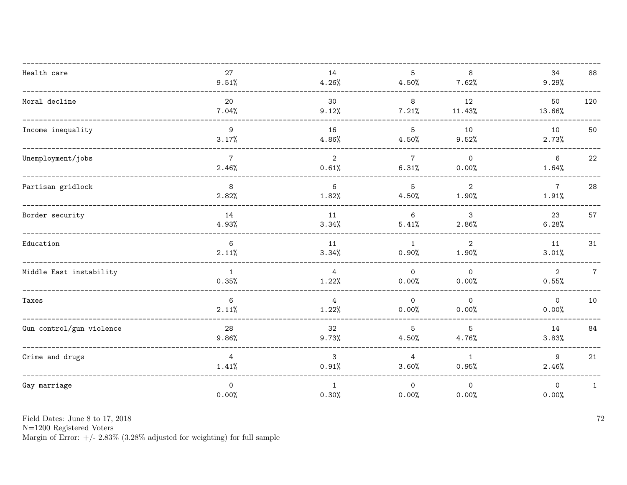| Health care              | 27<br>9.51%              | 14<br>4.26%             | $5\overline{)}$<br>4.50% | 8<br>7.62%              | 34<br>9.29%              | 88             |
|--------------------------|--------------------------|-------------------------|--------------------------|-------------------------|--------------------------|----------------|
| Moral decline            | 20<br>7.04%              | 30<br>9.12%             | 8<br>7.21%               | 12<br>11.43%            | 50<br>13.66%             | 120            |
| Income inequality        | 9<br>3.17%               | 16<br>4.86%             | 5<br>4.50%               | 10<br>9.52%             | 10<br>2.73%              | 50             |
| Unemployment/jobs        | $7\overline{ }$<br>2.46% | $\overline{2}$<br>0.61% | $7\overline{ }$<br>6.31% | $\mathsf{O}$<br>0.00%   | $6\overline{6}$<br>1.64% | 22             |
| Partisan gridlock        | $\mathbf{8}$<br>2.82%    | 6<br>1.82%              | $5\overline{)}$<br>4.50% | $\overline{2}$<br>1.90% | $7\overline{ }$<br>1.91% | 28             |
| Border security          | 14<br>4.93%              | 11<br>3.34%             | 6<br>5.41%               | 3<br>2.86%              | 23<br>6.28%              | 57             |
| Education                | 6<br>2.11%               | 11<br>3.34%             | 1<br>0.90%               | $\overline{2}$<br>1.90% | 11<br>3.01%              | 31             |
| Middle East instability  | $\overline{1}$<br>0.35%  | $\overline{4}$<br>1.22% | $\overline{0}$<br>0.00%  | $\Omega$<br>0.00%       | 2<br>0.55%               | $\overline{7}$ |
| Taxes                    | 6<br>2.11%               | $\overline{4}$<br>1.22% | $\circ$<br>0.00%         | $\circ$<br>0.00%        | $\mathsf{O}$<br>0.00%    | 10             |
| Gun control/gun violence | 28<br>9.86%              | 32<br>9.73%             | 5<br>4.50%               | 5<br>4.76%              | 14<br>3.83%              | 84             |
| Crime and drugs          | $4\overline{ }$<br>1.41% | 3<br>0.91%              | $4\overline{ }$<br>3.60% | 1<br>0.95%              | 9<br>2.46%               | 21             |
| Gay marriage             | $\mathsf{O}$<br>0.00%    | $\mathbf{1}$<br>0.30%   | $\circ$<br>0.00%         | $\mathsf{O}$<br>0.00%   | $\mathbf 0$<br>0.00%     | $\mathbf{1}$   |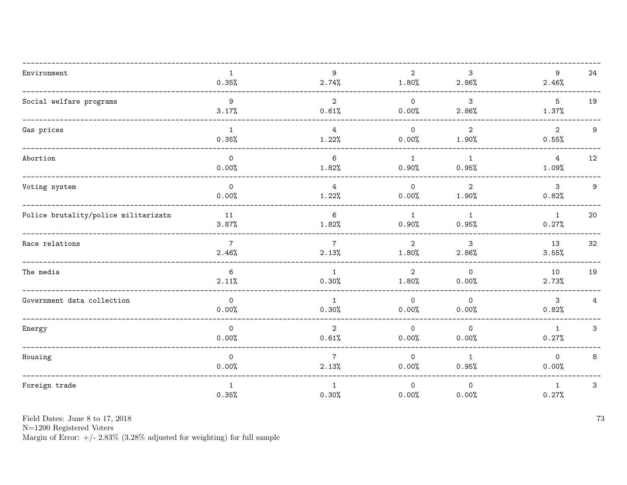| Environment                          | $\mathbf{1}$<br>0.35%   | 9<br>2.74%              | $\overline{2}$<br>1.80% | 3<br>2.86%              | 9<br>2.46%               | 24             |
|--------------------------------------|-------------------------|-------------------------|-------------------------|-------------------------|--------------------------|----------------|
| Social welfare programs              | 9<br>3.17%              | $\overline{2}$<br>0.61% | $\circ$<br>0.00%        | $\mathbf{3}$<br>2.86%   | $5\phantom{.0}$<br>1.37% | 19             |
| Gas prices                           | $\mathbf{1}$<br>0.35%   | $\overline{4}$<br>1.22% | $\overline{O}$<br>0.00% | $\overline{2}$<br>1.90% | $\overline{2}$<br>0.55%  | 9              |
| Abortion                             | $\circ$<br>0.00%        | 6<br>1.82%              | 1<br>0.90%              | 1<br>0.95%              | $4\overline{ }$<br>1.09% | 12             |
| Voting system                        | $\mathbf 0$<br>0.00%    | $\overline{4}$<br>1.22% | $\overline{O}$<br>0.00% | $\overline{2}$<br>1.90% | $\mathbf{3}$<br>0.82%    | 9              |
| Police brutality/police militarizatn | 11<br>3.87%             | 6<br>1.82%              | 1<br>0.90%              | 1<br>0.95%              | $\overline{1}$<br>0.27%  | 20             |
| Race relations                       | $\overline{7}$<br>2.46% | $\overline{7}$<br>2.13% | $\overline{2}$<br>1.80% | 3<br>2.86%              | 13<br>3.55%              | 32             |
| The media                            | 6<br>2.11%              | $\mathbf{1}$<br>0.30%   | 2<br>1.80%              | $\Omega$<br>0.00%       | 10<br>2.73%              | 19             |
| Government data collection           | $\overline{0}$<br>0.00% | $\mathbf{1}$<br>0.30%   | $\circ$<br>0.00%        | $\overline{0}$<br>0.00% | $\mathbf{3}$<br>0.82%    | $\overline{4}$ |
| Energy                               | $\mathsf{O}$<br>0.00%   | $\overline{2}$<br>0.61% | $\circ$<br>0.00%        | $\mathsf{O}$<br>0.00%   | $\mathbf{1}$<br>0.27%    | $\mathbf{3}$   |
| Housing                              | $\mathsf{O}$<br>0.00%   | $\overline{7}$<br>2.13% | $\overline{O}$<br>0.00% | $\mathbf{1}$<br>0.95%   | $\mathsf{O}$<br>0.00%    | 8              |
| Foreign trade                        | $\mathbf{1}$<br>0.35%   | $\mathbf{1}$<br>0.30%   | $\circ$<br>0.00%        | $\mathsf{O}$<br>0.00%   | $\mathbf{1}$<br>0.27%    | $\mathbf{3}$   |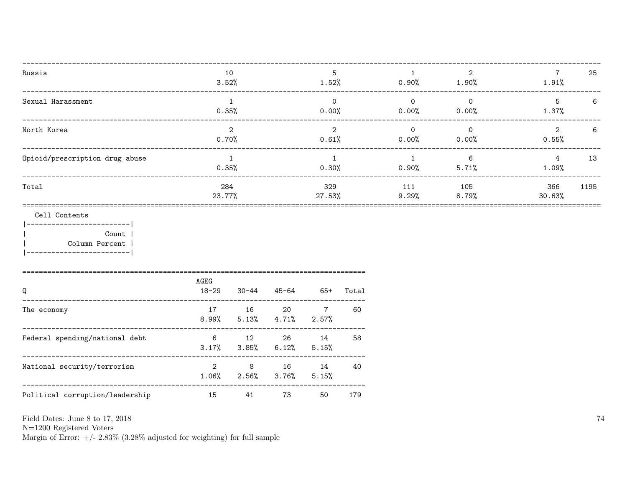| Russia                         | 10<br>3.52%            | 5<br>1.52%             | 0.90%                | $\mathcal{D}$<br>1.90% | 1.91%                  | 25 |
|--------------------------------|------------------------|------------------------|----------------------|------------------------|------------------------|----|
| Sexual Harassment              | 0.35%                  | $\Omega$<br>0.00%      | $\Omega$<br>0.00%    | $\Omega$<br>0.00%      | 5<br>1.37%             | 6  |
| North Korea                    | $\mathcal{D}$<br>0.70% | $\mathcal{D}$<br>0.61% | $\Omega$<br>$0.00\%$ | $\Omega$<br>0.00%      | $\mathcal{D}$<br>0.55% | 6  |
| Opioid/prescription drug abuse | 0.35%                  | 0.30%                  | $0.90\%$             | 6<br>5.71%             | 4<br>1.09%             | 13 |
| Total                          | 284<br>23.77%          | 329<br>27.53%          | 111<br>9.29%         | 105<br>8.79%           | 1195<br>366<br>30.63%  |    |
| $Call$ Contents                |                        |                        |                      |                        |                        |    |

Cell Contents

|------------------------| Count |  $\overline{1}$ Column Percent |  $\mathbf{I}$ |-------------------------|

| Q                               | AGEG<br>$18 - 29$       | $30 - 44$ | 45-64                                            | 65+ | Total |
|---------------------------------|-------------------------|-----------|--------------------------------------------------|-----|-------|
| The economy                     | 17                      | 16        | $\sim 20$<br>$8.99\%$ $5.13\%$ $4.71\%$ $2.57\%$ | 7   | 60    |
| Federal spending/national debt  | 6                       | 12        | 26<br>$3.17\%$ $3.85\%$ $6.12\%$ $5.15\%$        | 14  | 58    |
| National security/terrorism     | $\overline{2}$<br>1.06% | - 8       | 16<br>$2.56\%$ $3.76\%$ $5.15\%$                 | 14  | 40    |
| Political corruption/leadership | 15                      | 41        | 73                                               | 50  | 179   |

Field Dates: June 8 to 17, 2018

 ${\rm N}{=}1200$  Registered Voters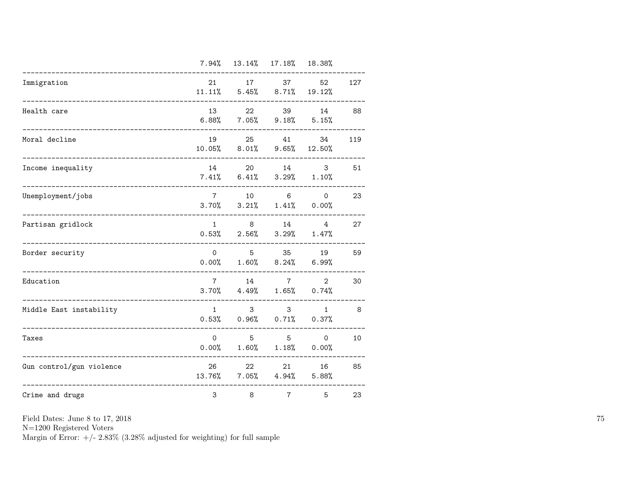|                                    | 7.94%                    |                         | 13.14% 17.18% 18.38%                                |                                                 |     |
|------------------------------------|--------------------------|-------------------------|-----------------------------------------------------|-------------------------------------------------|-----|
| Immigration                        | 21<br>11.11%             | 17                      | 37<br>$5.45\%$ $8.71\%$                             | 52<br>19.12%                                    | 127 |
| Health care                        | 13<br>6.88%              | 22                      | 39<br>$7.05\%$ 9.18% 5.15%                          | 14                                              | 88  |
| Moral decline<br>----------------- | 19<br>10.05%             | 25<br>8.01%             | 41<br>9.65%                                         | 34<br>12.50%                                    | 119 |
| Income inequality                  | 14<br>7.41%              | 20<br>6.41%             |                                                     | 14 and $\overline{a}$<br>3<br>$3.29\%$ $1.10\%$ | 51  |
| Unemployment/jobs                  | $7\overline{ }$          | 10                      | $6\overline{6}$<br>$3.70\%$ $3.21\%$ $1.41\%$ 0.00% | $\mathsf{O}$                                    | 23  |
| Partisan gridlock                  | 1<br>0.53%               | 8<br>$2.56\%$           | 14                                                  | $\overline{4}$<br>$3.29\%$ $1.47\%$             | 27  |
| Border security                    | $\mathsf{O}$<br>0.00%    | 5 <sup>1</sup><br>1.60% | 35<br>8.24%                                         | 19<br>6.99%                                     | 59  |
| Education                          | $7\overline{ }$<br>3.70% | 14<br>4.49%             | $7\overline{ }$<br>1.65%                            | $\overline{2}$<br>0.74%                         | 30  |
| Middle East instability            | $\mathbf{1}$<br>0.53%    | 3<br>0.96%              | 3 <sup>1</sup><br>0.71%                             | $\mathbf{1}$<br>0.37%                           | 8   |
| Taxes                              | 0<br>0.00%               | 5<br>1.60%              | 5 <sup>5</sup><br>1.18%                             | $\circ$<br>0.00%                                | 10  |
| Gun control/gun violence           | 26<br>13.76%             | 22                      | 21<br>$7.05\%$ $4.94\%$                             | 16<br>5.88%                                     | 85  |
| Crime and drugs                    | 3                        | 8                       | $\overline{7}$                                      | 5                                               | 23  |

N=1200 Registered Voters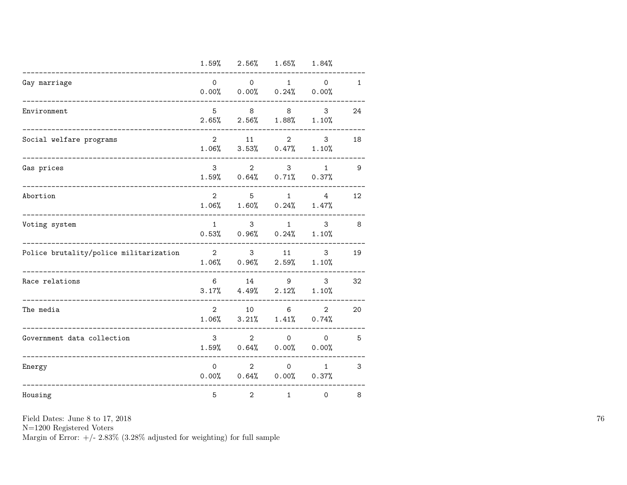|                                        |                         | $1.59\%$ $2.56\%$ $1.65\%$ $1.84\%$                         |                               |                                                |              |
|----------------------------------------|-------------------------|-------------------------------------------------------------|-------------------------------|------------------------------------------------|--------------|
| Gay marriage                           | $\Omega$                | $\overline{0}$<br>$0.00\%$ 0.00% 0.24% 0.00%                | 1                             | $\mathsf{O}$                                   | $\mathbf{1}$ |
| Environment                            | 5<br>2.65%              | 8<br>2.56%                                                  | 8 <sup>8</sup><br>1.88%       | 3<br>1.10%                                     | 24           |
| Social welfare programs                | $\overline{2}$<br>1.06% |                                                             | $3.53\%$ 0.47%                | $\overline{2}$<br>3<br>1.10%                   | 18           |
| Gas prices                             | 3                       | $1.59\%$ 0.64% 0.71% 0.37%                                  | $\overline{2}$<br>$3^{\circ}$ | 1                                              | 9            |
| Abortion                               | $\overline{2}$          | $5^{\circ}$<br>$1.06\%$ $1.60\%$ $0.24\%$ $1.47\%$          | $1 \quad$                     | 4                                              | 12           |
| Voting system                          | 1                       | 3 <sup>7</sup><br>$0.53\%$ 0.96% 0.24% 1.10%                | 1                             | 3                                              | 8            |
| Police brutality/police militarization | $\overline{2}$          | $3 \sim$<br>$1.06\%$ 0.96% 2.59% 1.10%                      | 11                            | 3                                              | 19           |
| Race relations                         |                         | $6 \qquad \qquad 14$<br>$3.17\%$ $4.49\%$ $2.12\%$ $1.10\%$ |                               | $9 \left( \frac{1}{2} \right)$<br>$\mathbf{3}$ | 32           |
| The media                              | $\overline{2}$          | 10<br>$1.06\%$ $3.21\%$ $1.41\%$ $0.74\%$                   | $6\overline{6}$               | $\overline{2}$                                 | 20           |
| Government data collection             | 3 <sup>1</sup>          | $2^{\circ}$<br>$1.59\%$ 0.64% 0.00% 0.00%                   | $\Omega$                      | $\Omega$                                       | 5            |
| Energy                                 | $\Omega$                | $\overline{2}$<br>$0.00\%$ 0.64% 0.00% 0.37%                | $0 \qquad \qquad$             | 1                                              | 3            |
| Housing                                | 5                       | $\overline{2}$                                              | $\mathbf{1}$                  | 0                                              | 8            |

N=1200 Registered Voters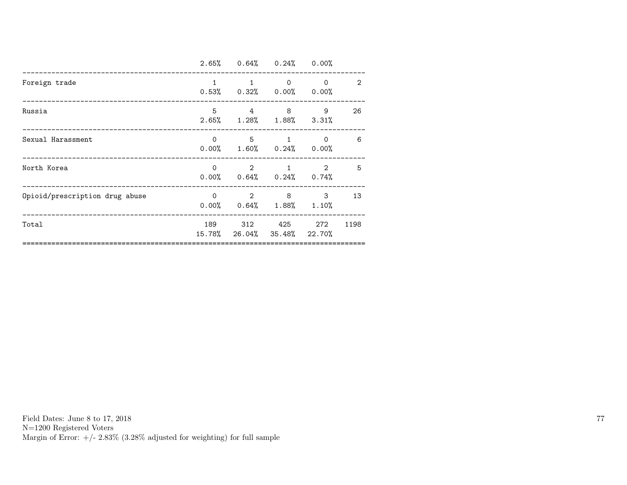|                                |              | $2.65\%$ 0.64% 0.24% 0.00%                                   |             |                        |                |
|--------------------------------|--------------|--------------------------------------------------------------|-------------|------------------------|----------------|
| Foreign trade                  | $\mathbf{1}$ | $0.53\%$ $0.32\%$ $0.00\%$ $0.00\%$                          | $\Omega$    | $\Omega$               | $\overline{2}$ |
| Russia                         |              | $5 \qquad 4 \qquad 8$<br>$2.65\%$ $1.28\%$ $1.88\%$ $3.31\%$ |             | 9                      | 26             |
| Sexual Harassment              |              | $0 \qquad 5 \qquad$<br>$0.00\%$ 1.60% 0.24% 0.00%            |             | 0<br>$1 \qquad \qquad$ | 6              |
| North Korea                    | $\Omega$     | $0.00\%$ $0.64\%$ $0.24\%$ $0.74\%$                          | $2 \quad 1$ | $\overline{2}$         | 5              |
| Opioid/prescription drug abuse | $\Omega$     | $2 \t 8$<br>$0.00\%$ $0.64\%$ $1.88\%$ $1.10\%$              |             | 3                      | 13             |
| Total                          |              | 189 312 425<br>15.78% 26.04% 35.48% 22.70%                   |             | 272                    | 1198           |
|                                |              |                                                              |             |                        |                |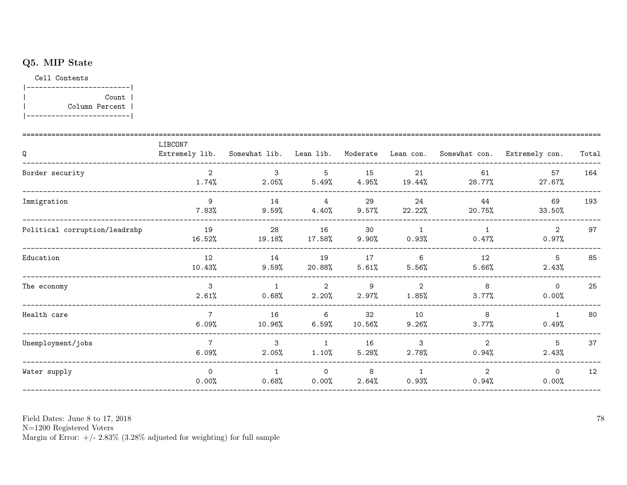## Q5. MIP State

Cell Contents



| Q                             | LIBCON7<br>Extremely lib.  | Somewhat lib. Lean lib.  |                            | Moderate       | Lean con.               |                         | Somewhat con. Extremely con. | Total |
|-------------------------------|----------------------------|--------------------------|----------------------------|----------------|-------------------------|-------------------------|------------------------------|-------|
| Border security               | $\overline{2}$<br>$1.74\%$ | $\mathcal{S}$<br>2.05%   | 5<br>5.49%                 | 15<br>4.95%    | 21<br>19.44%            | 61<br>28.77%            | 57<br>$27.67\%$              | 164   |
| Immigration                   | 9<br>7.83%                 | 14<br>$9.59\%$           | $\overline{4}$<br>$4.40\%$ | 29<br>$9.57\%$ | 24<br>$22.22\%$         | 44<br>20.75%            | 69<br>33.50%                 | 193   |
| Political corruption/leadrshp | 19<br>16.52%               | 28<br>19.18%             | 16<br>$17.58\%$            | 30<br>$9.90\%$ | $\overline{1}$<br>0.93% | $\mathbf{1}$<br>0.47%   | 2<br>0.97%                   | 97    |
| Education                     | 12<br>10.43%               | 14<br>$9.59\%$           | 19<br>20.88%               | 17<br>5.61%    | 6<br>5.56%              | 12<br>5.66%             | 5<br>2.43%                   | 85    |
| The economy                   | 3<br>2.61%                 | $\mathbf{1}$<br>$0.68\%$ | 2<br>2.20%                 | 9<br>2.97%     | 2<br>1.85%              | 8<br>3.77%              | $\Omega$<br>0.00%            | 25    |
| Health care                   | $\overline{7}$<br>6.09%    | 16<br>10.96%             | 6<br>6.59%                 | 32<br>10.56%   | 10<br>9.26%             | 8<br>3.77%              | $\mathbf{1}$<br>0.49%        | 80    |
| Unemployment/jobs             | $\overline{7}$<br>6.09%    | $\mathcal{S}$<br>2.05%   | $\mathbf{1}$<br>1.10%      | 16<br>5.28%    | 3<br>2.78%              | $\overline{2}$<br>0.94% | 5<br>2.43%                   | 37    |
| Water supply                  | $\mathbf 0$<br>0.00%       | $\mathbf{1}$<br>$0.68\%$ | $\circ$<br>$0.00\%$        | 8<br>2.64%     | 1<br>0.93%              | $\overline{2}$<br>0.94% | $\Omega$<br>0.00%            | 12    |

Field Dates: June 8 to 17, 2018

 ${\rm N}{=}1200$  Registered Voters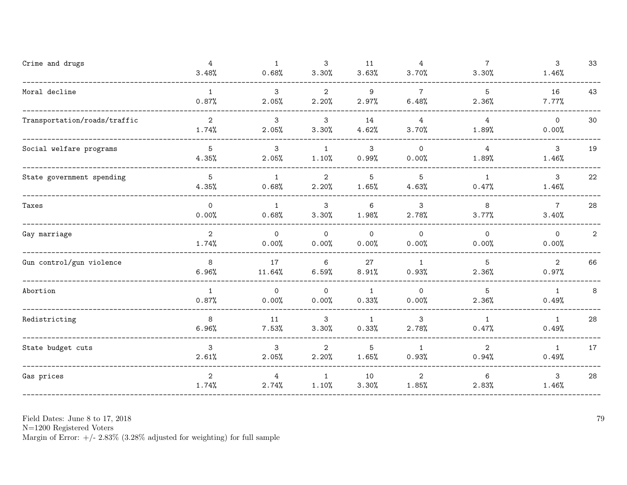| Crime and drugs              | 4<br>3.48%              | $\overline{1}$<br>0.68% | 3<br>3.30%              | 11<br>3.63%             | 4<br>3.70%              | $\overline{7}$<br>3.30% | $\mathbf{3}$<br>1.46%    | 33             |
|------------------------------|-------------------------|-------------------------|-------------------------|-------------------------|-------------------------|-------------------------|--------------------------|----------------|
| Moral decline                | 1<br>0.87%              | $\mathbf{3}$<br>2.05%   | $\overline{2}$<br>2.20% | 9<br>2.97%              | $\overline{7}$<br>6.48% | 5<br>2.36%              | 16<br>7.77%              | 43             |
| Transportation/roads/traffic | $\overline{2}$<br>1.74% | 3<br>2.05%              | 3<br>3.30%              | 14<br>4.62%             | 4<br>3.70%              | $\overline{4}$<br>1.89% | $\Omega$<br>0.00%        | 30             |
| Social welfare programs      | $\overline{5}$<br>4.35% | 3<br>2.05%              | $\mathbf{1}$<br>1.10%   | 3<br>0.99%              | $\mathbf 0$<br>0.00%    | $\overline{4}$<br>1.89% | 3<br>1.46%               | 19             |
| State government spending    | 5<br>4.35%              | $\mathbf{1}$<br>0.68%   | $\overline{2}$<br>2.20% | 5<br>1.65%              | 5<br>4.63%              | $\mathbf{1}$<br>0.47%   | 3<br>1.46%               | $22\,$         |
| Taxes                        | $\circ$<br>0.00%        | $\mathbf{1}$<br>0.68%   | 3<br>3.30%              | 6<br>1.98%              | 3<br>2.78%              | 8<br>3.77%              | $7\overline{ }$<br>3.40% | 28             |
| Gay marriage                 | $\overline{2}$<br>1.74% | $\mathsf{O}$<br>0.00%   | $\mathsf{O}$<br>0.00%   | $\mathsf{O}$<br>0.00%   | $\overline{0}$<br>0.00% | $\Omega$<br>0.00%       | $\mathsf{O}$<br>0.00%    | $\overline{2}$ |
| Gun control/gun violence     | 8<br>6.96%              | 17<br>11.64%            | 6<br>6.59%              | 27<br>8.91%             | 1<br>0.93%              | 5<br>2.36%              | $\overline{2}$<br>0.97%  | 66             |
| Abortion                     | 1<br>0.87%              | $\circ$<br>0.00%        | $\mathbf 0$<br>0.00%    | 1<br>0.33%              | $\Omega$<br>0.00%       | 5<br>2.36%              | 1<br>0.49%               | 8              |
| Redistricting                | 8<br>6.96%              | 11<br>7.53%             | 3<br>3.30%              | $\overline{1}$<br>0.33% | 3<br>2.78%              | $\mathbf{1}$<br>0.47%   | $\mathbf{1}$<br>0.49%    | 28             |
| State budget cuts            | 3<br>2.61%              | 3<br>2.05%              | $\overline{2}$<br>2.20% | $\overline{5}$<br>1.65% | $\mathbf{1}$<br>0.93%   | $\overline{2}$<br>0.94% | $\mathbf{1}$<br>0.49%    | 17             |
| Gas prices                   | $\mathbf{2}$<br>1.74%   | 4<br>2.74%              | $\mathbf{1}$<br>1.10%   | 10<br>3.30%             | $\overline{2}$<br>1.85% | 6<br>2.83%              | 3<br>1.46%               | 28             |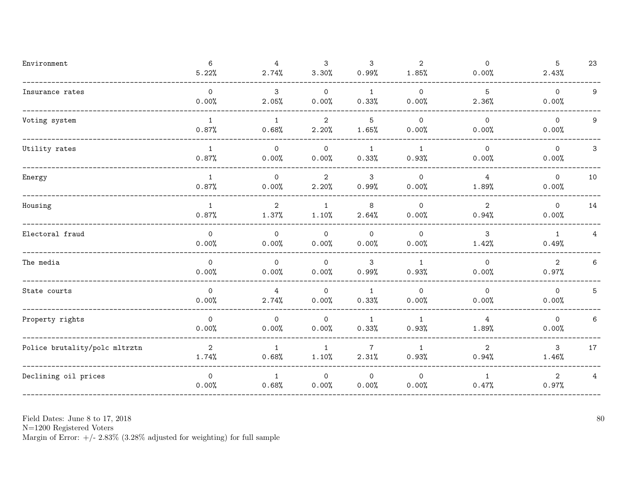| Environment                   | 6<br>5.22%                   | $\overline{4}$<br>2.74% | 3<br>3.30%                   | $\mathbf{3}$<br>0.99%   | $\overline{2}$<br>1.85% | $\mathsf{O}$<br>0.00%   | 5<br>2.43%              | 23 |
|-------------------------------|------------------------------|-------------------------|------------------------------|-------------------------|-------------------------|-------------------------|-------------------------|----|
| Insurance rates               | $\mathsf{O}\xspace$<br>0.00% | 3<br>2.05%              | $\mathsf{O}$<br>0.00%        | $\mathbf{1}$<br>0.33%   | $\mathsf{O}$<br>0.00%   | $\overline{5}$<br>2.36% | $\mathsf{O}$<br>0.00%   | 9  |
| Voting system                 | 1<br>0.87%                   | 1<br>0.68%              | $\overline{2}$<br>2.20%      | 5<br>1.65%              | $\Omega$<br>0.00%       | $\mathsf{O}$<br>0.00%   | $\mathsf{O}$<br>0.00%   | 9  |
| Utility rates                 | 1<br>0.87%                   | $\mathsf{O}$<br>0.00%   | $\mathsf{O}\xspace$<br>0.00% | 1<br>0.33%              | $\mathbf{1}$<br>0.93%   | $\mathsf{O}$<br>0.00%   | $\mathsf{O}$<br>0.00%   | 3  |
| Energy                        | $\mathbf{1}$<br>0.87%        | $\mathsf{O}$<br>0.00%   | $\overline{2}$<br>2.20%      | 3<br>0.99%              | $\mathbf 0$<br>0.00%    | $\overline{4}$<br>1.89% | $\mathsf{O}$<br>0.00%   | 10 |
| Housing                       | 1<br>0.87%                   | $\overline{2}$<br>1.37% | $\mathbf{1}$<br>1.10%        | 8<br>2.64%              | $\Omega$<br>0.00%       | $\overline{2}$<br>0.94% | $\mathsf{O}$<br>0.00%   | 14 |
| Electoral fraud               | $\mathsf{O}$<br>0.00%        | $\mathsf{O}$<br>0.00%   | $\mathsf{O}\xspace$<br>0.00% | $\circ$<br>0.00%        | $\mathbf 0$<br>0.00%    | 3<br>1.42%              | $\mathbf{1}$<br>0.49%   | 4  |
| The media                     | $\mathsf{O}$<br>0.00%        | $\mathsf{O}$<br>0.00%   | $\mathsf{O}$<br>0.00%        | 3<br>0.99%              | $\mathbf{1}$<br>0.93%   | $\mathsf{O}$<br>0.00%   | $\overline{2}$<br>0.97% | 6  |
| State courts                  | $\Omega$<br>0.00%            | $\overline{4}$<br>2.74% | $\mathsf{O}$<br>0.00%        | $\mathbf{1}$<br>0.33%   | $\Omega$<br>0.00%       | $\mathsf{O}$<br>0.00%   | $\mathsf{O}$<br>0.00%   | 5  |
| Property rights               | $\mathsf{O}$<br>0.00%        | $\mathsf{O}$<br>0.00%   | $\Omega$<br>0.00%            | $\mathbf{1}$<br>0.33%   | $\mathbf{1}$<br>0.93%   | $\overline{4}$<br>1.89% | $\Omega$<br>0.00%       | 6  |
| Police brutality/polc mltrztn | $\overline{2}$<br>1.74%      | $\mathbf{1}$<br>0.68%   | $\mathbf{1}$<br>1.10%        | $\overline{7}$<br>2.31% | $\mathbf{1}$<br>0.93%   | $\overline{2}$<br>0.94% | $\mathbf{3}$<br>1.46%   | 17 |
| Declining oil prices          | $\mathsf{O}$<br>0.00%        | $\mathbf{1}$<br>0.68%   | $\mathbf 0$<br>0.00%         | $\mathsf{O}$<br>0.00%   | $\mathbf 0$<br>0.00%    | $\mathbf{1}$<br>0.47%   | $\overline{2}$<br>0.97% | 4  |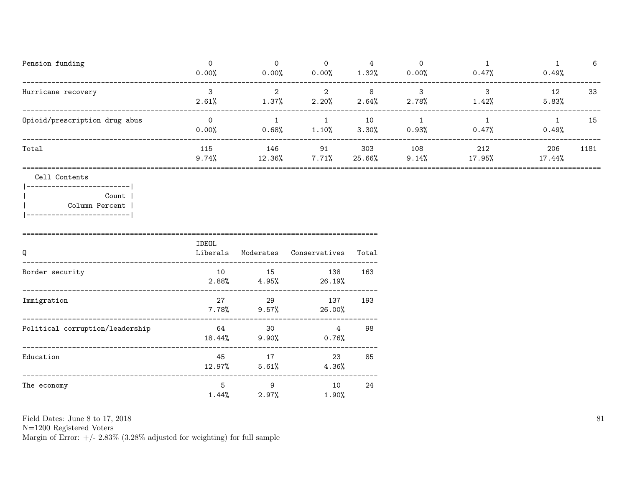| Pension funding               | 0.00%        | 0.00%         | 0<br>0.00%  | 1.32%         | 0.00%        | 0.47%         | 0.49%         | 6    |
|-------------------------------|--------------|---------------|-------------|---------------|--------------|---------------|---------------|------|
| Hurricane recovery            | 2.61%        | 1.37%         | 2.20%       | 8<br>2.64%    | 2.78%        | 1.42%         | 12<br>5.83%   | 33   |
| Opioid/prescription drug abus | 0.00%        | 0.68%         | 1.10%       | 10<br>3.30%   | 0.93%        | 0.47%         | 0.49%         | 15   |
| Total                         | 115<br>9.74% | 146<br>12.36% | 91<br>7.71% | 303<br>25.66% | 108<br>9.14% | 212<br>17.95% | 206<br>17.44% | 1181 |

## Cell Contents

|-------------------------| Count | | Column Percent | |-------------------------|

====================================================================================== IDEOL Q Liberals Moderates Conservatives Total -------------------------------------------------------------------------------------- Border security 10 15 138 163 2.88% 4.95% 26.19% -------------------------------------------------------------------------------------- Immigration 27 29 137 193 7.78% 9.57% 26.00% -------------------------------------------------------------------------------------- Political corruption/leadership 64 30 4 98 18.44% 9.90% 0.76% -------------------------------------------------------------------------------------- Education 45 17 23 85 12.97% 5.61% 4.36% -------------------------------------------------------------------------------------- The economy 5 9 10 24 1.44% 2.97% 1.90%

Field Dates: June 8 to 17, 2018

N=1200 Registered Voters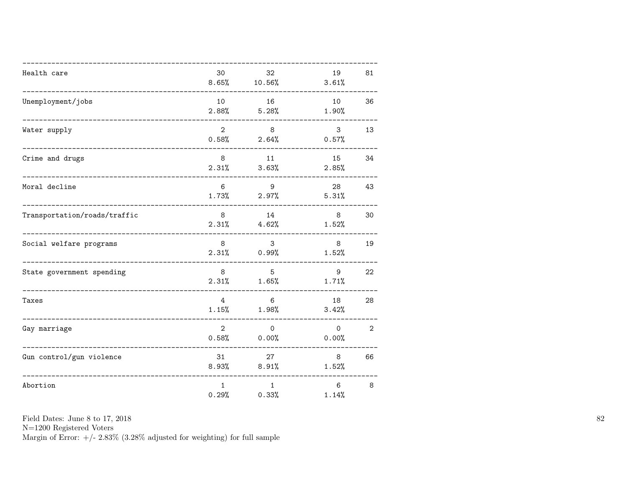| Health care                  | 30<br>8.65%             | 32<br>10.56%                   | 19<br>3.61%              | 81             |
|------------------------------|-------------------------|--------------------------------|--------------------------|----------------|
| Unemployment/jobs            | 10                      | 16<br>$2.88\%$ 5.28%           | 10<br>1.90%              | 36             |
| Water supply                 | $\overline{2}$<br>0.58% | 8<br>2.64%                     | $\mathbf{3}$<br>0.57%    | 13             |
| Crime and drugs              | 8<br>2.31%              | 11<br>3.63%                    | 15<br>2.85%              | 34             |
| Moral decline                | 6<br>1.73%              | 9<br>$2.97\%$                  | 28<br>5.31%              | 43             |
| Transportation/roads/traffic | 8 <sup>8</sup>          | 14<br>$2.31\%$ $4.62\%$        | 8 <sup>8</sup><br>1.52%  | 30             |
| Social welfare programs      | 8                       | 3<br>$2.31\%$ 0.99%            | 8<br>1.52%               | 19             |
| State government spending    | 8<br>2.31%              | 5<br>1.65%                     | 9<br>1.71%               | 22             |
| Taxes                        | $\overline{4}$<br>1.15% | 6<br>1.98%                     | 18<br>3.42%              | 28             |
| Gay marriage                 | $\overline{2}$          | $\mathsf{O}$<br>$0.58\%$ 0.00% | $\circ$<br>0.00%         | $\overline{2}$ |
| Gun control/gun violence     | 31<br>8.93%             | 27<br>8.91%                    | 8<br>1.52%               | 66             |
| Abortion                     | $\mathbf{1}$<br>0.29%   | $\mathbf{1}$<br>0.33%          | $6\overline{6}$<br>1.14% | 8              |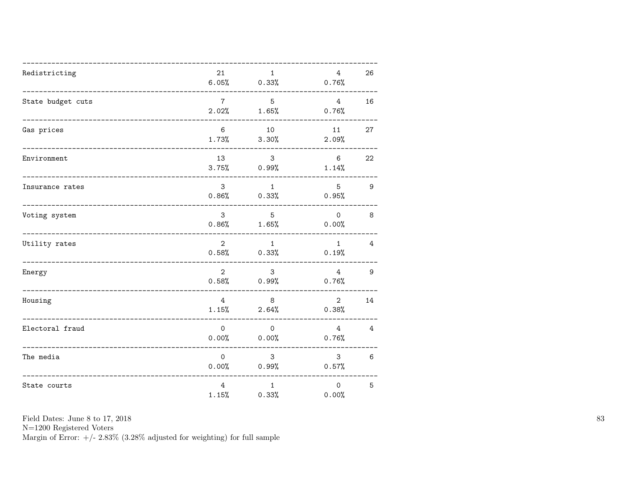| Redistricting     | 21                   | $\mathbf{1}$<br>$6.05\%$ 0.33%   | $4\overline{ }$<br>0.76% | 26             |
|-------------------|----------------------|----------------------------------|--------------------------|----------------|
| State budget cuts | $7\overline{ }$      | 5<br>$2.02\%$ 1.65%              | $4^{\circ}$<br>0.76%     | 16             |
| Gas prices        | 6                    | 10<br>$1.73\%$ $3.30\%$          | 11<br>2.09%              | 27             |
| Environment       | 13                   | 3 <sup>1</sup><br>$3.75\%$ 0.99% | $6\overline{6}$<br>1.14% | 22             |
| Insurance rates   | 3 <sup>7</sup>       | 1<br>$0.86%$ $0.33%$             | 5 <sub>5</sub><br>0.95%  | $\overline{9}$ |
| Voting system     | $\mathbf{3}$         | $5^{\circ}$<br>$0.86\%$ 1.65%    | $\overline{0}$<br>0.00%  | 8              |
| Utility rates     | $\overline{2}$       | 1<br>$0.58\%$ 0.33%              | 1<br>0.19%               | 4              |
| Energy            | $\overline{2}$       | 3<br>$0.58\%$ 0.99%              | $4\overline{ }$<br>0.76% | 9              |
| Housing           | 4                    | 8<br>$1.15\%$ 2.64%              | $\overline{2}$<br>0.38%  | 14             |
| Electoral fraud   | $\mathsf{O}$         | $\overline{O}$<br>$0.00\%$ 0.00% | $4\overline{ }$<br>0.76% | 4              |
| The media         | $\overline{0}$       | 3 <sup>7</sup><br>$0.00\%$ 0.99% | 3 <sup>1</sup><br>0.57%  | 6              |
| State courts      | $4^{\circ}$<br>1.15% | 1<br>0.33%                       | $\mathsf{O}$<br>0.00%    | 5              |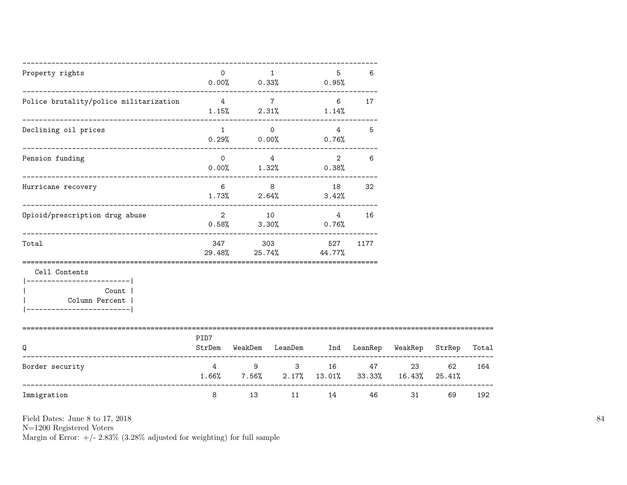| Property rights                                                                                   | $\overline{O}$                        | 0.00%          | $\mathbf{1}$<br>$0.33\%$ 0.95%          | 5                          | 6                    |                                            |              |       |
|---------------------------------------------------------------------------------------------------|---------------------------------------|----------------|-----------------------------------------|----------------------------|----------------------|--------------------------------------------|--------------|-------|
| Police brutality/police militarization                                                            | $4$ 7                                 |                | $1.15\%$ 2.31% $1.14\%$                 | 6                          | 17                   |                                            |              |       |
| Declining oil prices                                                                              |                                       | $\mathbf{1}$   | $\Omega$<br>$0.29\%$ 0.00% 0.76%        |                            | $4\overline{ }$<br>5 |                                            |              |       |
| Pension funding                                                                                   | $\Omega$                              |                | $4\overline{ }$<br>$0.00\%$ 1.32% 0.38% | $\overline{2}$             | 6                    |                                            |              |       |
| Hurricane recovery                                                                                | $6 \quad$                             | 8 <sup>8</sup> | $1.73\%$ 2.64%                          | 18<br>3.42%                | 32                   |                                            |              |       |
| Opioid/prescription drug abuse                                                                    | $\overline{2}$                        | 10             | $0.58\%$ $3.30\%$                       | $\overline{4}$<br>$0.76\%$ | 16                   |                                            |              |       |
| Total                                                                                             |                                       | 347 303        | $29.48\%$ 25.74% 44.77%                 | 527                        | 1177                 |                                            |              |       |
| Cell Contents<br>----------------------- <br>Count  <br>Column Percent<br>----------------------- |                                       |                |                                         |                            |                      |                                            |              |       |
| Q                                                                                                 | PID7                                  |                |                                         |                            |                      | StrDem WeakDem LeanDem Ind LeanRep WeakRep | StrRep       | Total |
| Border security                                                                                   | $1.66\%$ 7.56% $2.17\%$ 13.01% 33.33% |                | 4 9 3                                   | 16 16                      |                      | 23<br>47 — 200<br>16.43%                   | 62<br>25.41% | 164   |
| --------------------------------------<br>Immigration                                             | 8                                     | 13             | 11                                      | 14                         | 46                   | 31                                         | 69           | 192   |

N=1200 Registered Voters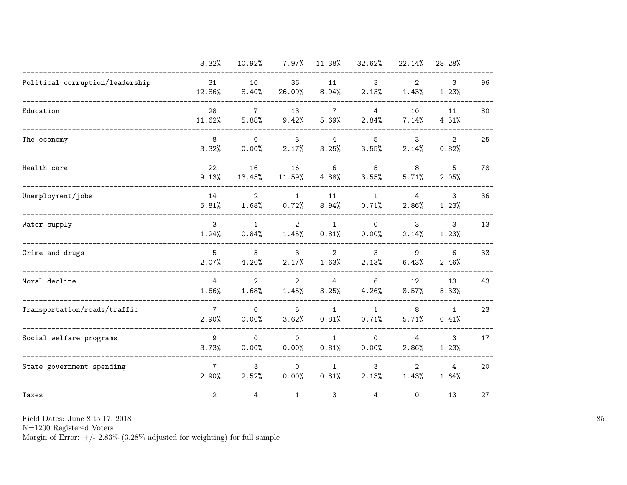|                                 | 3.32%                   | 10.92%                  | $7.97\%$                | 11.38%                  | 32.62%                  | 22.14%                  | 28.28%                  |    |
|---------------------------------|-------------------------|-------------------------|-------------------------|-------------------------|-------------------------|-------------------------|-------------------------|----|
| Political corruption/leadership | 31<br>12.86%            | 10<br>8.40%             | 36<br>26.09%            | 11<br>8.94%             | 3<br>2.13%              | $\overline{2}$<br>1.43% | $\mathbf{3}$<br>1.23%   | 96 |
| Education                       | 28<br>11.62%            | $\overline{7}$<br>5.88% | 13<br>9.42%             | $\overline{7}$<br>5.69% | $\overline{4}$<br>2.84% | 10<br>7.14%             | 11<br>4.51%             | 80 |
| The economy                     | 8<br>3.32%              | $\Omega$<br>0.00%       | 3<br>2.17%              | $\overline{4}$<br>3.25% | 5<br>3.55%              | 3<br>2.14%              | 2<br>0.82%              | 25 |
| Health care                     | 22<br>9.13%             | 16<br>13.45%            | 16<br>11.59%            | 6<br>4.88%              | 5<br>3.55%              | 8<br>5.71%              | 5<br>2.05%              | 78 |
| Unemployment/jobs               | 14<br>5.81%             | $\overline{2}$<br>1.68% | $\mathbf{1}$<br>0.72%   | 11<br>8.94%             | $\mathbf{1}$<br>0.71%   | $\overline{4}$<br>2.86% | 3<br>1.23%              | 36 |
| Water supply                    | 3<br>1.24%              | $\mathbf{1}$<br>0.84%   | $\overline{2}$<br>1.45% | $\mathbf{1}$<br>0.81%   | $\mathsf{O}$<br>0.00%   | 3<br>2.14%              | 3<br>1.23%              | 13 |
| Crime and drugs                 | 5<br>2.07%              | 5<br>4.20%              | 3<br>2.17%              | $\overline{2}$<br>1.63% | 3<br>2.13%              | 9<br>6.43%              | 6<br>2.46%              | 33 |
| Moral decline                   | $\overline{4}$<br>1.66% | $\overline{2}$<br>1.68% | $\overline{2}$<br>1.45% | $\overline{4}$<br>3.25% | 6<br>4.26%              | 12<br>8.57%             | 13<br>5.33%             | 43 |
| Transportation/roads/traffic    | $\overline{7}$<br>2.90% | $\Omega$<br>0.00%       | 5<br>3.62%              | $\mathbf{1}$<br>0.81%   | $\mathbf{1}$<br>0.71%   | 8<br>5.71%              | $\mathbf{1}$<br>0.41%   | 23 |
| Social welfare programs         | 9<br>3.73%              | $\mathsf{O}$<br>0.00%   | $\mathbf 0$<br>0.00%    | $\mathbf{1}$<br>0.81%   | $\mathsf{O}$<br>0.00%   | $\overline{4}$<br>2.86% | 3<br>1.23%              | 17 |
| State government spending       | $\overline{7}$<br>2.90% | 3<br>2.52%              | $\mathbf 0$<br>0.00%    | $\mathbf{1}$<br>0.81%   | 3<br>2.13%              | $\overline{2}$<br>1.43% | $\overline{4}$<br>1.64% | 20 |
| Taxes                           | $\mathbf{2}$            | 4                       | $\mathbf{1}$            | 3                       | $\overline{4}$          | 0                       | 13                      | 27 |

N=1200 Registered Voters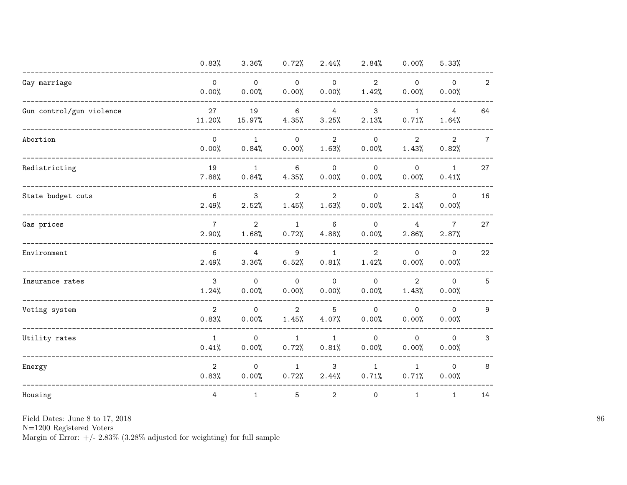|                          | 0.83%                   | 3.36%                   | 0.72%                   | 2.44%                   | 2.84%                   | 0.00%                   | 5.33%                   |                 |
|--------------------------|-------------------------|-------------------------|-------------------------|-------------------------|-------------------------|-------------------------|-------------------------|-----------------|
| Gay marriage             | $\mathsf{O}$<br>0.00%   | $\circ$<br>0.00%        | $\mathsf{O}$<br>0.00%   | $\mathsf{O}$<br>0.00%   | $\overline{2}$<br>1.42% | $\mathbf 0$<br>0.00%    | $\mathsf{O}$<br>0.00%   | $\overline{2}$  |
| Gun control/gun violence | 27<br>11.20%            | 19<br>15.97%            | $\,6\,$<br>4.35%        | $\overline{4}$<br>3.25% | 3<br>2.13%              | $\mathbf{1}$<br>0.71%   | $\overline{4}$<br>1.64% | 64              |
| Abortion                 | $\mathsf{O}$<br>0.00%   | $\mathbf{1}$<br>0.84%   | $\mathsf{O}$<br>0.00%   | $\overline{2}$<br>1.63% | $\mathsf{O}$<br>0.00%   | $\overline{2}$<br>1.43% | $\overline{2}$<br>0.82% | $7\overline{ }$ |
| Redistricting            | 19<br>7.88%             | $\mathbf{1}$<br>0.84%   | 6<br>4.35%              | $\mathsf{O}$<br>0.00%   | $\Omega$<br>0.00%       | $\mathsf{O}$<br>0.00%   | $\mathbf{1}$<br>0.41%   | 27              |
| State budget cuts        | 6<br>2.49%              | 3<br>2.52%              | $\overline{2}$<br>1.45% | $\overline{2}$<br>1.63% | $\mathsf{O}$<br>0.00%   | 3<br>2.14%              | $\mathsf{O}$<br>0.00%   | 16              |
| Gas prices               | $\overline{7}$<br>2.90% | $\overline{2}$<br>1.68% | $\mathbf{1}$<br>0.72%   | 6<br>4.88%              | $\mathsf{O}$<br>0.00%   | 4<br>2.86%              | $\overline{7}$<br>2.87% | 27              |
| Environment              | 6<br>2.49%              | $\overline{4}$<br>3.36% | 9<br>6.52%              | $\mathbf{1}$<br>0.81%   | $\overline{2}$<br>1.42% | $\mathsf{O}$<br>0.00%   | $\mathsf{O}$<br>0.00%   | 22              |
| Insurance rates          | 3<br>1.24%              | $\mathbf{0}$<br>0.00%   | $\mathsf{O}$<br>0.00%   | $\mathsf{O}$<br>0.00%   | $\Omega$<br>0.00%       | $\overline{2}$<br>1.43% | $\mathbf{0}$<br>0.00%   | 5               |
| Voting system            | $\overline{2}$<br>0.83% | $\mathsf{O}$<br>0.00%   | $\overline{2}$<br>1.45% | 5<br>4.07%              | $\mathsf{O}$<br>0.00%   | $\mathsf{O}$<br>0.00%   | $\mathsf{O}$<br>0.00%   | 9               |
| Utility rates            | $\mathbf{1}$<br>0.41%   | $\mathsf{O}$<br>0.00%   | $\mathbf{1}$<br>0.72%   | $\mathbf{1}$<br>0.81%   | $\mathsf{O}$<br>0.00%   | $\mathbf 0$<br>0.00%    | $\mathsf{O}$<br>0.00%   | 3               |
| Energy                   | $\overline{2}$<br>0.83% | $\mathsf{O}$<br>0.00%   | $\mathbf{1}$<br>0.72%   | 3<br>2.44%              | $\mathbf{1}$<br>0.71%   | $\mathbf{1}$<br>0.71%   | $\mathsf{O}$<br>0.00%   | 8               |
| Housing                  | 4                       | $\mathbf{1}$            | 5                       | 2                       | $\mathsf{O}$            | $\mathbf{1}$            | $\mathbf{1}$            | 14              |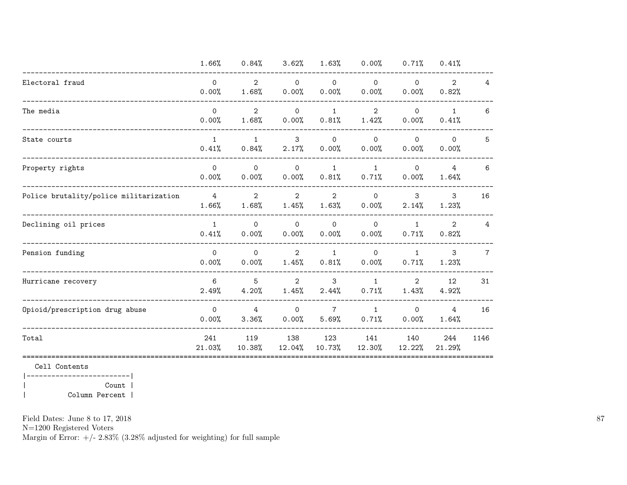|                                        | 1.66%                   | 0.84%                   | 3.62%                   | 1.63%                   | 0.00%                   | 0.71%                 | 0.41%                   |                |
|----------------------------------------|-------------------------|-------------------------|-------------------------|-------------------------|-------------------------|-----------------------|-------------------------|----------------|
| Electoral fraud                        | $\Omega$<br>0.00%       | $\overline{2}$<br>1.68% | $\mathsf{O}$<br>0.00%   | $\mathsf{O}$<br>0.00%   | $\mathbf 0$<br>0.00%    | $\mathbf 0$<br>0.00%  | $\overline{2}$<br>0.82% | 4              |
| The media                              | $\Omega$<br>0.00%       | 2<br>1.68%              | $\mathbf{0}$<br>0.00%   | $\mathbf{1}$<br>0.81%   | $\overline{2}$<br>1.42% | $\mathbf 0$<br>0.00%  | $\mathbf{1}$<br>0.41%   | 6              |
| State courts                           | $\mathbf{1}$<br>0.41%   | $\mathbf{1}$<br>0.84%   | 3<br>2.17%              | $\mathbf 0$<br>0.00%    | $\Omega$<br>0.00%       | $\mathbf 0$<br>0.00%  | $\Omega$<br>0.00%       | 5              |
| Property rights                        | $\Omega$<br>0.00%       | $\Omega$<br>0.00%       | $\Omega$<br>0.00%       | $\mathbf{1}$<br>0.81%   | $\mathbf{1}$<br>0.71%   | $\mathbf 0$<br>0.00%  | 4<br>1.64%              | 6              |
| Police brutality/police militarization | $\overline{4}$<br>1.66% | $\overline{2}$<br>1.68% | $\overline{2}$<br>1.45% | $\mathbf{2}$<br>1.63%   | $\Omega$<br>0.00%       | 3<br>2.14%            | 3<br>1.23%              | 16             |
| Declining oil prices                   | $\mathbf{1}$<br>0.41%   | $\mathbf{0}$<br>0.00%   | $\Omega$<br>0.00%       | $\Omega$<br>0.00%       | $\Omega$<br>0.00%       | $\mathbf{1}$<br>0.71% | 2<br>0.82%              | 4              |
| Pension funding                        | $\Omega$<br>0.00%       | $\Omega$<br>0.00%       | $\overline{2}$<br>1.45% | $\mathbf{1}$<br>0.81%   | $\Omega$<br>0.00%       | $\mathbf{1}$<br>0.71% | 3<br>1.23%              | $\overline{7}$ |
| Hurricane recovery                     | 6<br>2.49%              | 5<br>4.20%              | $\overline{2}$<br>1.45% | 3<br>2.44%              | $\mathbf{1}$<br>0.71%   | 2<br>1.43%            | 12<br>4.92%             | 31             |
| Opioid/prescription drug abuse         | $\Omega$<br>0.00%       | 4<br>3.36%              | $\Omega$<br>0.00%       | $\overline{7}$<br>5.69% | $\mathbf{1}$<br>0.71%   | $\mathbf 0$<br>0.00%  | 4<br>1.64%              | 16             |
| Total                                  | 241<br>21.03%           | 119<br>10.38%           | 138<br>12.04%           | 123<br>10.73%           | 141<br>12.30%           | 140<br>12.22%         | 244<br>21.29%           | 1146           |
|                                        |                         |                         |                         |                         |                         |                       |                         |                |

Cell Contents |-------------------------|

| Count | | Column Percent |

Field Dates: June 8 to 17, 2018

N=1200 Registered Voters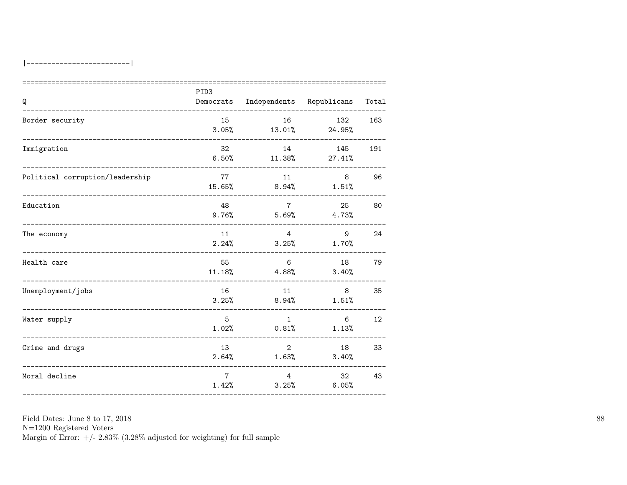| Q                                            | PID <sub>3</sub> | Democrats Independents Republicans |                         | Total |
|----------------------------------------------|------------------|------------------------------------|-------------------------|-------|
| Border security                              | 15<br>3.05%      | 16                                 | 132<br>$13.01\%$ 24.95% | 163   |
| Immigration                                  | 32               | 14<br>$6.50\%$ 11.38% 27.41%       | 145                     | 191   |
| Political corruption/leadership              | 77               | 11<br>$15.65\%$ 8.94% $1.51\%$     | 8                       | 96    |
| Education<br>_______________________________ | 48               | $7\overline{7}$<br>9.76%<br>5.69%  | 25<br>4.73%             | 80    |
| The economy                                  | 11               | 4<br>$2.24\%$ $3.25\%$ $1.70\%$    | 9                       | 24    |
| Health care                                  | 55<br>11.18%     | 6<br>4.88%                         | 3.40%                   | 79    |
| Unemployment/jobs<br>______________________  | 16               | 11<br>$3.25%$ 8.94%                | 8<br>1.51%              | 35    |
| Water supply                                 | $5^{\circ}$      | $\overline{1}$<br>$1.02%$ 0.81%    | 6<br>1.13%              | 12    |
| Crime and drugs                              | 13<br>2.64%      | $2^{\circ}$<br>1.63%               | 18<br>3.40%             | 33    |
| Moral decline                                | $7\phantom{.0}$  | 4<br>1.42%<br>3.25%                | 32<br>6.05%             | 43    |

 ${\rm N}{=}1200$  Registered Voters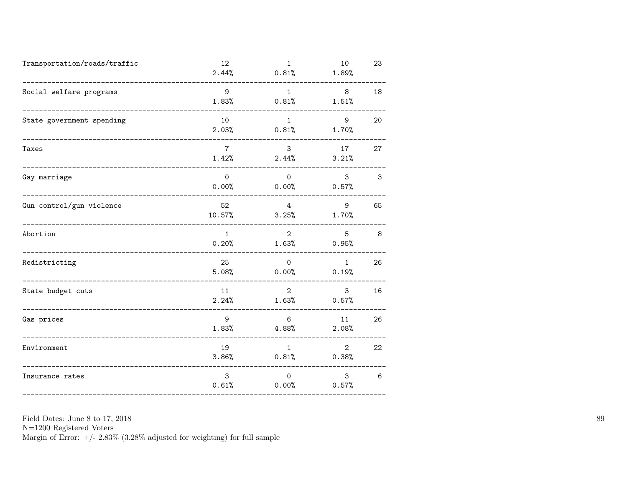| Transportation/roads/traffic          | 12<br>2.44%              | $\mathbf{1}$<br>0.81%   | 10<br>1.89%                      | 23 |
|---------------------------------------|--------------------------|-------------------------|----------------------------------|----|
| Social welfare programs               | 9<br>1.83%               | 1<br>0.81%              | 8 <sup>8</sup><br>1.51%          | 18 |
| State government spending             | 10<br>2.03%              | 1<br>0.81%              | 9<br>1.70%                       | 20 |
| Taxes                                 | $7\overline{ }$<br>1.42% | 3 <sup>7</sup><br>2.44% | 17<br>3.21%                      | 27 |
| Gay marriage<br>.____________________ | $\mathbf 0$<br>0.00%     | $\circ$                 | 3 <sup>1</sup><br>$0.00\%$ 0.57% | 3  |
| Gun control/gun violence              | 52<br>10.57%             | 4<br>3.25%              | 9<br>1.70%                       | 65 |
| Abortion                              | $\mathbf{1}$<br>0.20%    | $2^{\circ}$             | 5 <sup>5</sup><br>$1.63\%$ 0.95% | 8  |
| Redistricting                         | 25<br>5.08%              | $\circ$<br>0.00%        | 1<br>0.19%                       | 26 |
| State budget cuts                     | 11<br>2.24%              | $2^{\circ}$<br>1.63%    | 3<br>0.57%                       | 16 |
| Gas prices                            | 9<br>1.83%               | 6<br>4.88%              | 11<br>2.08%                      | 26 |
| Environment                           | 19<br>3.86%              | 1                       | $2^{\circ}$<br>$0.81\%$ 0.38%    | 22 |
| Insurance rates                       | 3<br>0.61%               | $\mathbf{0}$<br>0.00%   | 3 <sup>1</sup><br>0.57%          | 6  |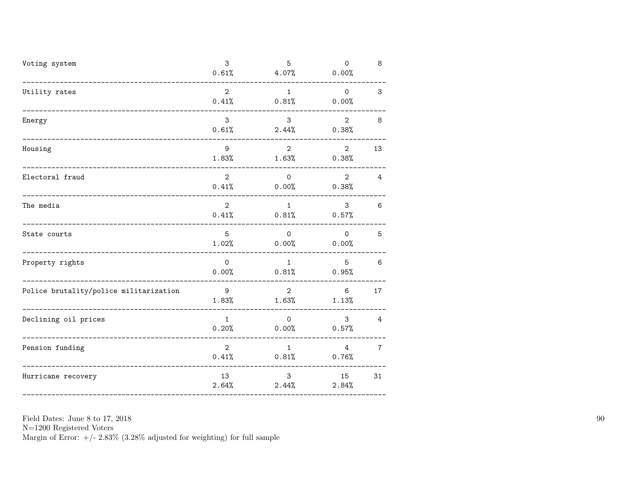| Voting system                                           | 3<br>0.61%              | 5<br>4.07%                             | $\mathbf 0$<br>0.00%     | 8              |
|---------------------------------------------------------|-------------------------|----------------------------------------|--------------------------|----------------|
| Utility rates                                           | $\overline{2}$<br>0.41% | 1<br>0.81%                             | $\overline{O}$<br>0.00%  | 3              |
| Energy                                                  | 3<br>0.61%              | 3 <sup>7</sup><br>2.44%                | $2^{\circ}$<br>0.38%     | 8              |
| Housing<br>------------------------                     | 9<br>1.83%              | $2^{\circ}$<br>$1.63\%$                | $2^{\circ}$<br>0.38%     | 13             |
| Electoral fraud<br>_______________________________      | $\overline{2}$          | $\overline{0}$<br>$0.41\%$ 0.00% 0.38% | $2^{\circ}$              | 4              |
| The media                                               | $\overline{2}$<br>0.41% | 1<br>0.81%                             | $\mathbf{3}$<br>0.57%    | 6              |
| State courts<br>_____________                           | 5<br>1.02%              | $\circ$<br>0.00%                       | $\overline{O}$<br>0.00%  | 5              |
| Property rights                                         | $\mathsf{O}$<br>0.00%   | 1<br>0.81%                             | 5 <sub>5</sub><br>0.95%  | 6              |
| Police brutality/police militarization                  | 9<br>1.83%              | $2^{\circ}$<br>1.63%                   | 6<br>1.13%               | 17             |
| Declining oil prices<br>------------------------------- | 1<br>0.20%              | $\overline{0}$<br>$0.00\%$             | 3 <sup>1</sup><br>0.57%  | 4              |
| Pension funding<br>__________________                   | $\overline{2}$          | 1<br>$0.41\%$ $0.81\%$                 | $4\overline{ }$<br>0.76% | $\overline{7}$ |
| Hurricane recovery                                      | 13<br>2.64%             | 3<br>2.44%                             | 15<br>2.84%              | 31             |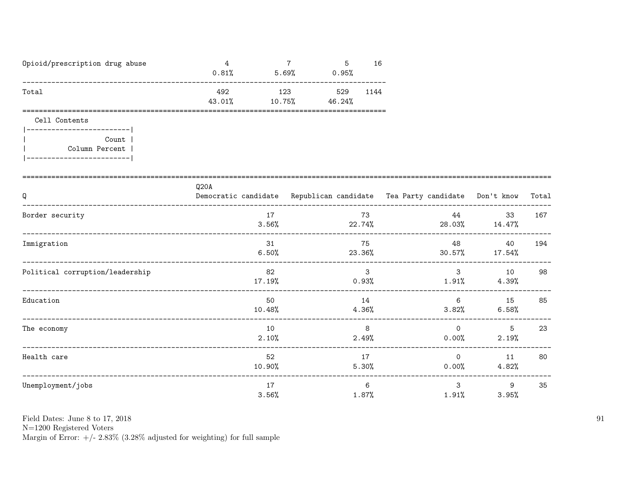| Opioid/prescription drug abuse | 0.81%         | 5.69%         | ь<br>0.95%    | 16   |
|--------------------------------|---------------|---------------|---------------|------|
| Total                          | 492<br>43.01% | 123<br>10.75% | 529<br>46.24% | 1144 |

Cell Contents

| Count          |
|----------------|
| Column Percent |
|                |

| Q                               | Q <sub>20</sub> A | Democratic candidate Republican candidate Tea Party candidate Don't know Total |                      |                     |     |
|---------------------------------|-------------------|--------------------------------------------------------------------------------|----------------------|---------------------|-----|
| Border security                 | 17<br>3.56%       | 73<br>22.74%                                                                   | 44                   | 33<br>28.03% 14.47% | 167 |
| Immigration                     | 31<br>6.50%       | 75<br>23.36%                                                                   | 48<br>30.57%         | 40<br>17.54%        | 194 |
| Political corruption/leadership | 82<br>17.19%      | 3<br>$0.93\%$                                                                  | 3<br>$1.91\%$        | 10<br>4.39%         | 98  |
| Education                       | 50<br>10.48%      | 14<br>$4.36\%$                                                                 | 6<br>$3.82\%$        | 15<br>6.58%         | 85  |
| The economy                     | 10<br>2.10%       | 8<br>2.49%                                                                     | $\Omega$<br>$0.00\%$ | 5<br>2.19%          | 23  |
| Health care                     | 52<br>10.90%      | 17<br>5.30%                                                                    | $\Omega$<br>$0.00\%$ | 11<br>4.82%         | 80  |
| Unemployment/jobs               | 17<br>3.56%       | 6<br>1.87%                                                                     | 3<br>1.91%           | 9<br>3.95%          | 35  |

Field Dates: June 8 to 17, 2018

 ${\rm N}{=}1200$  Registered Voters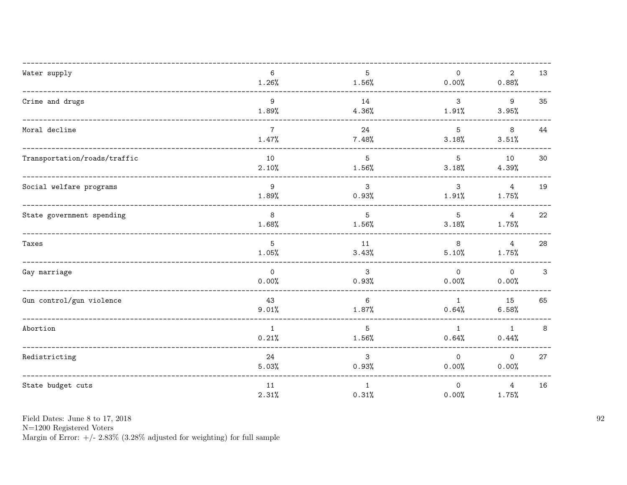| Water supply                                      | 6<br>1.26%               | $5^{\circ}$<br>$1.56\%$    | $\mathsf{O}$<br>0.00%   | $\overline{2}$<br>0.88%          | 13 |
|---------------------------------------------------|--------------------------|----------------------------|-------------------------|----------------------------------|----|
| Crime and drugs<br>---------------------------    | 9<br>1.89%               | 14<br>$4.36\%$             | $\mathbf{3}$<br>1.91%   | $\overline{9}$<br>3.95%          | 35 |
| Moral decline                                     | $7\overline{ }$<br>1.47% | 24<br>7.48%                | 5 <sup>5</sup><br>3.18% | 8<br>3.51%                       | 44 |
| Transportation/roads/traffic                      | 10<br>2.10%              | $5\overline{)}$<br>1.56%   | 5<br>3.18%              | 10<br>4.39%                      | 30 |
| Social welfare programs                           | 9<br>1.89%               | $\mathbf{3}$<br>0.93%      | $\mathbf{3}$<br>1.91%   | $\overline{4}$<br>1.75%          | 19 |
| State government spending                         | 8<br>1.68%               | 5 <sup>5</sup><br>$1.56\%$ | 5 <sup>5</sup><br>3.18% | $4\overline{4}$<br>1.75%         | 22 |
| Taxes                                             | 5<br>1.05%               | 11<br>3.43%                | 8<br>5.10%              | $\overline{4}$<br>$1.75\%$       | 28 |
| Gay marriage<br>--------------------------------- | $\overline{0}$<br>0.00%  | $\mathbf{3}$<br>0.93%      | $\circ$<br>0.00%        | $\overline{\mathbf{0}}$<br>0.00% | 3  |
| Gun control/gun violence                          | 43<br>9.01%              | 6<br>1.87%                 | $\overline{1}$<br>0.64% | 15<br>6.58%                      | 65 |
| Abortion                                          | $\mathbf{1}$<br>0.21%    | $5\overline{)}$<br>1.56%   | 1<br>0.64%              | $\mathbf{1}$<br>0.44%            | 8  |
| Redistricting                                     | 24<br>5.03%              | $\mathbf{3}$<br>0.93%      | $\Omega$<br>$0.00\%$    | $\mathsf{O}$<br>0.00%            | 27 |
| State budget cuts                                 | 11<br>2.31%              | 1<br>0.31%                 | $\circ$<br>0.00%        | $\overline{4}$<br>1.75%          | 16 |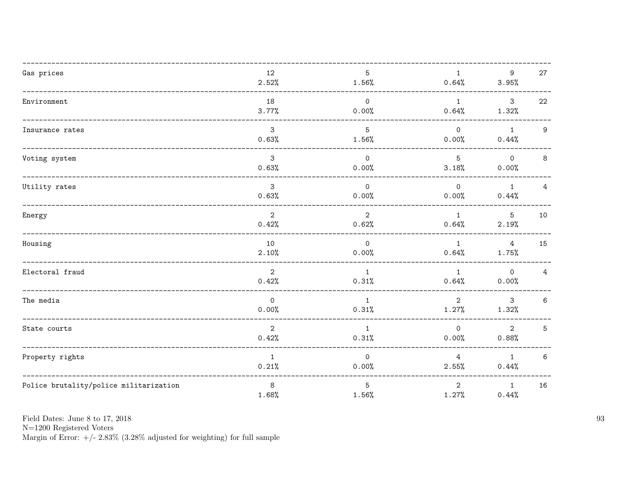| Gas prices                             | 12           | 5              | 1              | 9                       | 27             |
|----------------------------------------|--------------|----------------|----------------|-------------------------|----------------|
|                                        | 2.52%        | 1.56%          | 0.64%          | 3.95%                   |                |
|                                        |              |                |                |                         |                |
| Environment                            | 18           | $\overline{0}$ | $\overline{1}$ | $\overline{\mathbf{3}}$ | 22             |
|                                        | 3.77%        | 0.00%          | 0.64%          | 1.32%                   |                |
|                                        |              |                |                |                         |                |
| Insurance rates                        | 3            | 5              | $\Omega$       | $\mathbf{1}$            | 9              |
|                                        | 0.63%        | 1.56%          | 0.00%          | 0.44%                   |                |
|                                        |              |                |                |                         |                |
| Voting system                          | 3            | $\Omega$       | 5              | $\circ$                 | 8              |
|                                        | 0.63%        | 0.00%          | 3.18%          | 0.00%                   |                |
|                                        |              |                |                |                         |                |
| Utility rates                          | $\mathbf{3}$ | $\overline{0}$ | $\Omega$       | 1                       | $\overline{4}$ |
|                                        | 0.63%        | 0.00%          | 0.00%          | 0.44%                   |                |
|                                        |              |                |                |                         |                |
| Energy                                 | 2            | $\overline{2}$ | $\mathbf{1}$   | $5\overline{)}$         | 10             |
|                                        | 0.42%        | 0.62%          | 0.64%          | 2.19%                   |                |
|                                        |              |                |                |                         |                |
| Housing                                | 10           | $\overline{0}$ | $\mathbf{1}$   | 4                       | 15             |
|                                        | 2.10%        | 0.00%          | 0.64%          | 1.75%                   |                |
|                                        |              |                |                |                         |                |
| Electoral fraud                        | 2            | 1              | 1              | $\overline{\mathbf{0}}$ | 4              |
|                                        | 0.42%        | 0.31%          | 0.64%          | 0.00%                   |                |
|                                        |              |                |                |                         |                |
| The media                              | $\mathsf{O}$ | $\mathbf{1}$   | $\overline{2}$ | $\mathbf{3}$            | 6              |
|                                        | 0.00%        | 0.31%          | 1.27%          | 1.32%                   |                |
|                                        |              |                |                |                         |                |
| State courts                           | 2            | 1              | $\Omega$       | $\overline{2}$          | 5              |
|                                        | 0.42%        | 0.31%          | 0.00%          | 0.88%                   |                |
|                                        |              |                |                |                         |                |
| Property rights                        | $\mathbf{1}$ | $\Omega$       | 4              | $\mathbf{1}$            | $6\,$          |
|                                        | 0.21%        | 0.00%          | 2.55%          | 0.44%                   |                |
|                                        |              |                |                |                         |                |
| Police brutality/police militarization | 8            | 5              | 2              | 1                       | 16             |
|                                        | 1.68%        | 1.56%          | 1.27%          | 0.44%                   |                |
|                                        |              |                |                |                         |                |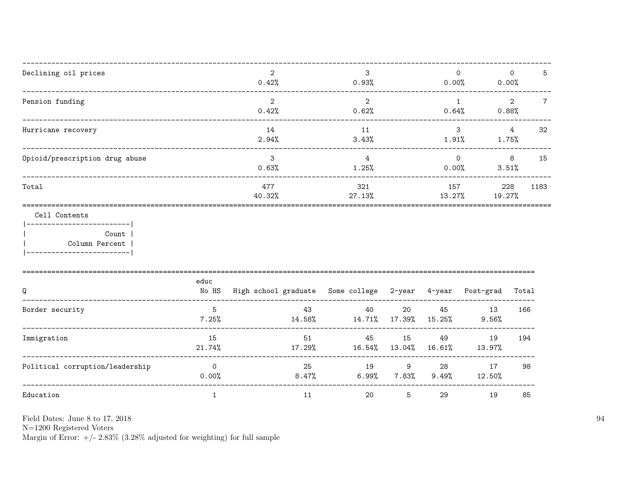| Declining oil prices                                                                                   |                  | $\overline{2}$<br>0.42%                                   | 3<br>0.93%                       |                        |               | $\Omega$<br>0.00%<br>$0.00\%$ | $\Omega$<br>5                              |
|--------------------------------------------------------------------------------------------------------|------------------|-----------------------------------------------------------|----------------------------------|------------------------|---------------|-------------------------------|--------------------------------------------|
| Pension funding                                                                                        |                  | $\overline{2}$<br>0.42%                                   | 2<br>0.62%                       |                        | 0.64%         | $\overline{1}$                | $\overline{2}$<br>$7\overline{ }$<br>0.88% |
| Hurricane recovery                                                                                     |                  | 14<br>2.94%                                               | 11<br>3.43%                      |                        | 1.91%         | $\mathbf{3}$                  | $4\overline{ }$<br>32<br>1.75%             |
| Opioid/prescription drug abuse                                                                         |                  | $\mathbf{3}$<br>0.63%                                     | $\overline{4}$<br>1.25%          |                        | 0.00%         | $\Omega$<br>3.51%             | 8<br>15                                    |
| Total                                                                                                  |                  | 477<br>40.32%                                             | 321<br>27.13%                    |                        | 157<br>13.27% | 19.27%                        | 228<br>1183                                |
| Cell Contents<br>------------------------ <br>Count  <br>Column Percent  <br>------------------------- |                  |                                                           |                                  |                        |               |                               |                                            |
| Q                                                                                                      | educ<br>No HS    | High school graduate Some college 2-year 4-year Post-grad |                                  |                        |               |                               | Total                                      |
| Border security                                                                                        | -5<br>7.25%      | 14.58%                                                    | 40<br>43<br>14.71% 17.39% 15.25% | 20                     | 45            | 13<br>9.56%                   | 166                                        |
| Immigration                                                                                            | 15<br>21.74%     | 17.29%                                                    | 45<br>51<br>$16.54\%$ $13.04\%$  | 15                     | 49<br>16.61%  | 19<br>13.97%                  | 194                                        |
| Political corruption/leadership                                                                        | $\circ$<br>0.00% | 8.47%                                                     | 25                               | 9<br>$6.99\%$ $7.83\%$ | 28<br>9.49%   | 17<br>12.50%                  | 98                                         |
| Education                                                                                              | $\mathbf{1}$     | 11                                                        | 20                               | 5                      | 29            | 19                            | 85                                         |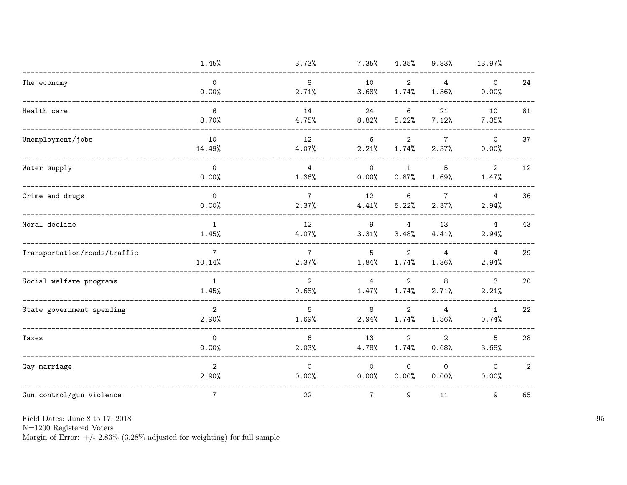|                              | 1.45%                     | 3.73%                    | $7.35\%$                | 4.35%                   | 9.83%                    | 13.97%                  |                |
|------------------------------|---------------------------|--------------------------|-------------------------|-------------------------|--------------------------|-------------------------|----------------|
| The economy                  | $\circ$<br>0.00%          | 8<br>2.71%               | 10<br>3.68%             | $\mathbf{2}$<br>1.74%   | $\overline{4}$<br>1.36%  | $\circ$<br>0.00%        | 24             |
| Health care                  | $6\phantom{1}$<br>8.70%   | 14<br>4.75%              | 24<br>8.82%             | 6<br>5.22%              | 21<br>7.12%              | 10<br>7.35%             | 81             |
| Unemployment/jobs            | 10<br>14.49%              | 12<br>4.07%              | 6<br>2.21%              | $\overline{2}$<br>1.74% | $7^{\circ}$<br>2.37%     | $\circ$<br>0.00%        | 37             |
| Water supply                 | $\mathsf{O}$<br>0.00%     | $\overline{4}$<br>1.36%  | $\overline{0}$<br>0.00% | 1<br>0.87%              | 5<br>1.69%               | $\overline{2}$<br>1.47% | 12             |
| Crime and drugs              | $\mathsf{O}$<br>0.00%     | $\overline{7}$<br>2.37%  | 12<br>4.41%             | $\,6$<br>5.22%          | $7\overline{ }$<br>2.37% | $\overline{4}$<br>2.94% | 36             |
| Moral decline                | 1<br>1.45%                | 12<br>4.07%              | 9<br>3.31%              | 4<br>3.48%              | 13<br>4.41%              | $\overline{4}$<br>2.94% | 43             |
| Transportation/roads/traffic | $7\overline{ }$<br>10.14% | $7\overline{ }$<br>2.37% | 5<br>1.84%              | $\overline{2}$<br>1.74% | $\overline{4}$<br>1.36%  | $\overline{4}$<br>2.94% | 29             |
| Social welfare programs      | $\mathbf{1}$<br>1.45%     | $\overline{2}$<br>0.68%  | $\overline{4}$<br>1.47% | $\overline{2}$<br>1.74% | 8<br>2.71%               | $\mathbf{3}$<br>2.21%   | 20             |
| State government spending    | $\overline{2}$<br>2.90%   | 5<br>1.69%               | 8<br>2.94%              | $\mathbf{2}$<br>1.74%   | $\overline{4}$<br>1.36%  | $\mathbf{1}$<br>0.74%   | 22             |
| Taxes                        | $\mathsf{O}$<br>0.00%     | 6<br>2.03%               | 13<br>4.78%             | $\overline{2}$<br>1.74% | $\overline{2}$<br>0.68%  | 5<br>3.68%              | 28             |
| Gay marriage                 | $\overline{2}$<br>2.90%   | $\Omega$<br>0.00%        | $\overline{O}$<br>0.00% | $\mathsf{O}$<br>0.00%   | $\Omega$<br>0.00%        | $\circ$<br>0.00%        | $\overline{2}$ |
| Gun control/gun violence     | $\overline{7}$            | 22                       | $7\phantom{.}$          | 9                       | 11                       | 9                       | 65             |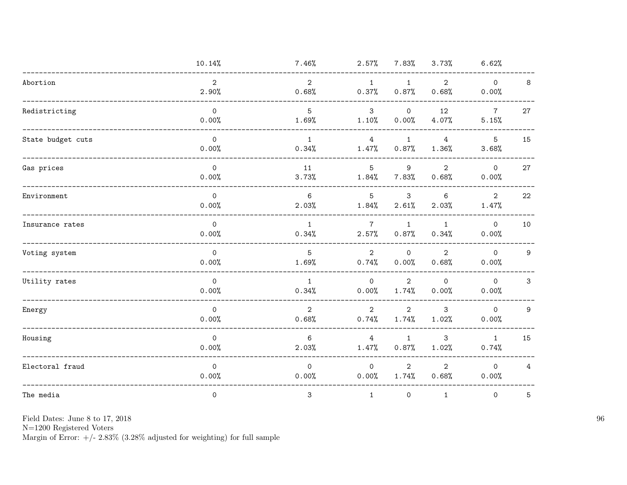|                   | 10.14%                       | 7.46%                   | 2.57%                       | $7.83\%$                | 3.73%                   | 6.62%                   |                |
|-------------------|------------------------------|-------------------------|-----------------------------|-------------------------|-------------------------|-------------------------|----------------|
| Abortion          | $\overline{2}$<br>2.90%      | $\overline{2}$<br>0.68% | $\mathbf{1}$<br>0.37%       | $\mathbf{1}$<br>0.87%   | $\overline{2}$<br>0.68% | $\mathsf{O}$<br>0.00%   | 8              |
| Redistricting     | $\mathsf{O}$<br>0.00%        | 5<br>1.69%              | 3<br>1.10%                  | $\mathsf{O}$<br>0.00%   | 12<br>4.07%             | $\overline{7}$<br>5.15% | 27             |
| State budget cuts | $\mathsf{O}$<br>0.00%        | $\mathbf{1}$<br>0.34%   | $\overline{4}$<br>1.47%     | $\mathbf{1}$<br>0.87%   | $\overline{4}$<br>1.36% | 5<br>3.68%              | 15             |
| Gas prices        | $\mathsf{O}\xspace$<br>0.00% | 11<br>3.73%             | $5\phantom{.0}$<br>$1.84\%$ | 9<br>7.83%              | $\overline{2}$<br>0.68% | $\mathsf{O}$<br>0.00%   | 27             |
| Environment       | $\mathsf{O}$<br>0.00%        | 6<br>2.03%              | $5^{\circ}$<br>$1.84\%$     | 3<br>2.61%              | 6<br>2.03%              | 2<br>1.47%              | 22             |
| Insurance rates   | $\mathsf{O}$<br>0.00%        | $\mathbf{1}$<br>0.34%   | $7\phantom{.0}$<br>2.57%    | $\mathbf{1}$<br>0.87%   | $\mathbf{1}$<br>0.34%   | $\circ$<br>0.00%        | 10             |
| Voting system     | $\Omega$<br>0.00%            | 5<br>1.69%              | 2<br>0.74%                  | $\circ$<br>0.00%        | $\overline{2}$<br>0.68% | $\Omega$<br>0.00%       | 9              |
| Utility rates     | $\overline{0}$<br>0.00%      | $\mathbf{1}$<br>0.34%   | $\overline{0}$<br>0.00%     | $\overline{2}$<br>1.74% | $\mathsf{O}$<br>0.00%   | $\overline{O}$<br>0.00% | 3              |
| Energy            | $\mathsf{O}$<br>0.00%        | $\overline{2}$<br>0.68% | $\overline{2}$<br>0.74%     | $\overline{2}$<br>1.74% | 3<br>1.02%              | $\mathsf{O}$<br>0.00%   | 9              |
| Housing           | $\mathsf{O}$<br>0.00%        | 6<br>2.03%              | 4<br>1.47%                  | $\mathbf{1}$<br>0.87%   | 3<br>1.02%              | $\mathbf{1}$<br>0.74%   | 15             |
| Electoral fraud   | $\mathsf{O}$<br>0.00%        | $\Omega$<br>0.00%       | $\Omega$<br>0.00%           | $\overline{2}$<br>1.74% | $\overline{2}$<br>0.68% | $\Omega$<br>0.00%       | $\overline{4}$ |
| The media         | $\mathsf{O}$                 | $\mathbf{3}$            | $\mathbf{1}$                | $\mathsf{O}$            | $\mathbf{1}$            | $\mathsf{O}$            | 5              |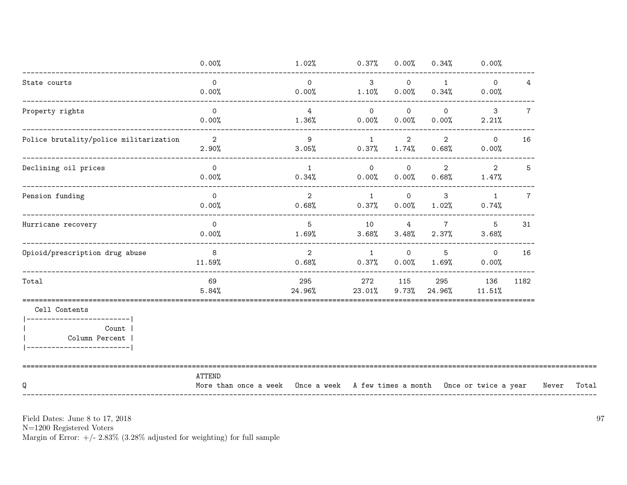|                                                                                                    | 0.00%                                                                                | 1.02%                      | 0.37%                      | 0.00%                      | 0.34%                    | 0.00%                   |                 |       |       |
|----------------------------------------------------------------------------------------------------|--------------------------------------------------------------------------------------|----------------------------|----------------------------|----------------------------|--------------------------|-------------------------|-----------------|-------|-------|
| State courts                                                                                       | $\Omega$<br>0.00%                                                                    | $\Omega$<br>0.00%          | $\mathbf{3}$<br>1.10%      | $\mathsf{O}$<br>0.00%      | $\mathbf{1}$<br>0.34%    | $\overline{0}$<br>0.00% | 4               |       |       |
| ______________________________<br>Property rights                                                  | $\overline{0}$<br>0.00%                                                              | $\overline{4}$<br>$1.36\%$ | $\overline{0}$<br>0.00%    | $\overline{0}$<br>0.00%    | $\Omega$<br>$0.00\%$     | $\mathbf{3}$<br>2.21%   | $\overline{7}$  |       |       |
| Police brutality/police militarization                                                             | $\overline{\mathbf{2}}$<br>2.90%                                                     | 9<br>3.05%                 | 1<br>$0.37\%$              | $\overline{2}$<br>1.74%    | $\overline{2}$<br>0.68%  | $\Omega$<br>$0.00\%$    | 16              |       |       |
| Declining oil prices                                                                               | $\overline{0}$<br>0.00%                                                              | $\overline{1}$<br>0.34%    | $\overline{O}$<br>$0.00\%$ | $\overline{0}$<br>$0.00\%$ | $\overline{2}$<br>0.68%  | $\overline{2}$<br>1.47% | 5               |       |       |
| Pension funding                                                                                    | $\overline{0}$<br>0.00%                                                              | $\overline{2}$<br>$0.68\%$ | $\overline{1}$<br>0.37%    | $\overline{0}$<br>$0.00\%$ | 3<br>1.02%               | $\mathbf{1}$<br>0.74%   | $7\phantom{.0}$ |       |       |
| Hurricane recovery                                                                                 | $\circ$<br>0.00%                                                                     | $5^{\circ}$<br>1.69%       | 10<br>3.68%                | $4\overline{ }$<br>3.48%   | $7\overline{ }$<br>2.37% | 5<br>3.68%              | 31              |       |       |
| Opioid/prescription drug abuse                                                                     | 8 <sup>8</sup><br>11.59%                                                             | 2<br>0.68%                 | $\overline{1}$<br>0.37%    | $\overline{0}$<br>0.00%    | 5<br>1.69%               | $\overline{0}$<br>0.00% | 16              |       |       |
| Total                                                                                              | 69<br>5.84%                                                                          | 295<br>24.96%              | 272<br>$23.01\%$           | 115<br>9.73%               | 295<br>24.96%            | 136<br>11.51%           | 1182            |       |       |
| Cell Contents<br>------------------------- <br>Count  <br>Column Percent<br>---------------------- |                                                                                      |                            |                            |                            |                          |                         |                 |       |       |
| Q                                                                                                  | ATTEND<br>More than once a week Once a week A few times a month Once or twice a year |                            |                            |                            |                          |                         |                 | Never | Total |

 ${\rm N}{=}1200$  Registered Voters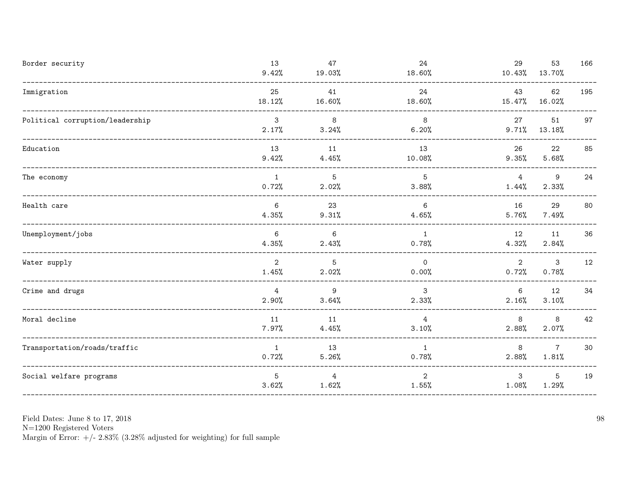| Border security                 | 13<br>9.42%             | 47<br>19.03%            | 24<br>18.60%            | 29<br>10.43%             | 53<br>13.70%             | 166 |
|---------------------------------|-------------------------|-------------------------|-------------------------|--------------------------|--------------------------|-----|
| Immigration                     | 25<br>18.12%            | 41<br>16.60%            | 24<br>18.60%            | 43<br>15.47%             | 62<br>16.02%             | 195 |
| Political corruption/leadership | $\mathbf{3}$<br>2.17%   | 8<br>3.24%              | 8<br>6.20%              | 27<br>9.71%              | 51<br>13.18%             | 97  |
| Education                       | 13<br>9.42%             | 11<br>4.45%             | 13<br>10.08%            | 26<br>$9.35\%$           | 22<br>5.68%              | 85  |
| The economy                     | $\mathbf{1}$<br>0.72%   | 5<br>2.02%              | 5<br>3.88%              | $\overline{4}$<br>1.44%  | 9<br>2.33%               | 24  |
| Health care                     | 6<br>4.35%              | 23<br>9.31%             | - 6<br>4.65%            | 16<br>5.76%              | 29<br>7.49%              | 80  |
| Unemployment/jobs               | 6<br>4.35%              | 6<br>2.43%              | $\mathbf{1}$<br>0.78%   | 12<br>4.32%              | 11<br>2.84%              | 36  |
| Water supply                    | $\overline{2}$<br>1.45% | 5<br>2.02%              | $\mathbf 0$<br>0.00%    | 2<br>0.72%               | 3<br>0.78%               | 12  |
| Crime and drugs                 | $\overline{4}$<br>2.90% | 9<br>3.64%              | 3<br>2.33%              | 6<br>2.16%               | 12<br>3.10%              | 34  |
| Moral decline                   | 11<br>$7.97\%$          | 11<br>4.45%             | $\overline{4}$<br>3.10% | 8<br>2.88%               | 8<br>2.07%               | 42  |
| Transportation/roads/traffic    | $\mathbf{1}$<br>0.72%   | 13<br>5.26%             | $\mathbf{1}$<br>0.78%   | 8<br>2.88%               | $7\overline{ }$<br>1.81% | 30  |
| Social welfare programs         | 5<br>3.62%              | $\overline{4}$<br>1.62% | $\overline{2}$<br>1.55% | $\mathbf{3}$<br>$1.08\%$ | $5\phantom{.0}$<br>1.29% | 19  |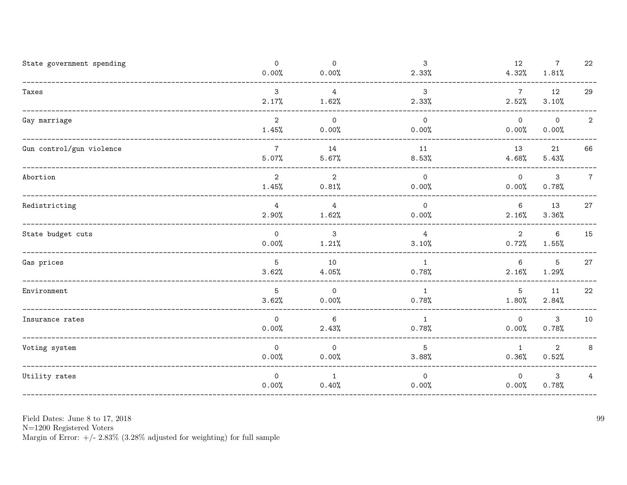| State government spending                         | $\mathsf{O}$<br>0.00%   | $\mathsf{O}$<br>0.00%   | 3<br>2.33%              | 12<br>4.32%              | $\overline{7}$<br>1.81%  | 22              |
|---------------------------------------------------|-------------------------|-------------------------|-------------------------|--------------------------|--------------------------|-----------------|
| Taxes                                             | 3<br>2.17%              | $\overline{4}$<br>1.62% | 3<br>2.33%              | $7\phantom{.0}$<br>2.52% | 12<br>3.10%              | 29              |
| Gay marriage                                      | $\overline{2}$<br>1.45% | $\circ$<br>0.00%        | $\mathsf{O}$<br>0.00%   | $\mathsf{O}$<br>0.00%    | $\circ$<br>0.00%         | $\overline{2}$  |
| Gun control/gun violence                          | $\overline{7}$<br>5.07% | 14<br>5.67%             | 11<br>8.53%             | 13<br>4.68%              | 21<br>5.43%              | 66              |
| Abortion                                          | $\overline{2}$<br>1.45% | $\overline{2}$<br>0.81% | $\overline{0}$<br>0.00% | $\circ$<br>0.00%         | $\mathbf{3}$<br>0.78%    | $7\overline{ }$ |
| Redistricting<br>-------------------------------- | $\overline{4}$<br>2.90% | $\overline{4}$<br>1.62% | $\Omega$<br>0.00%       | 6<br>2.16%               | 13<br>3.36%              | 27              |
| State budget cuts                                 | $\circ$<br>0.00%        | $\mathbf{3}$<br>1.21%   | 4<br>3.10%              | $\overline{2}$<br>0.72%  | $6\phantom{.}6$<br>1.55% | 15              |
| Gas prices                                        | 5<br>3.62%              | 10<br>4.05%             | $\mathbf{1}$<br>0.78%   | 6<br>2.16%               | 5<br>1.29%               | 27              |
| Environment                                       | 5<br>3.62%              | $\mathsf{O}$<br>0.00%   | $\mathbf{1}$<br>0.78%   | $5\overline{)}$<br>1.80% | 11<br>2.84%              | 22              |
| Insurance rates                                   | $\Omega$<br>0.00%       | 6<br>2.43%              | $\mathbf{1}$<br>0.78%   | $\circ$<br>0.00%         | $\mathbf{3}$<br>0.78%    | 10              |
| Voting system                                     | $\mathsf{O}$<br>0.00%   | $\circ$<br>0.00%        | 5<br>3.88%              | 1<br>0.36%               | $\overline{2}$<br>0.52%  | $\mathbf{8}$    |
| Utility rates                                     | $\mathsf{O}$<br>0.00%   | 1<br>0.40%              | $\mathsf{O}$<br>0.00%   | $\circ$<br>0.00%         | $\mathbf{3}$<br>0.78%    | $\overline{4}$  |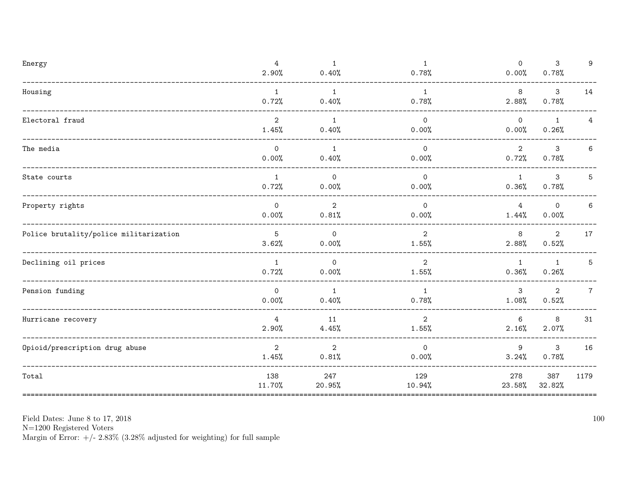| Energy                                            | $\overline{4}$<br>2.90%  | $\mathbf{1}$<br>0.40%   | $\mathbf{1}$<br>0.78%   | $\mathsf{O}$<br>0.00%   | 3<br>0.78%              | 9              |
|---------------------------------------------------|--------------------------|-------------------------|-------------------------|-------------------------|-------------------------|----------------|
| Housing                                           | $\mathbf{1}$<br>0.72%    | $\mathbf{1}$<br>0.40%   | $\mathbf{1}$<br>0.78%   | 8<br>2.88%              | 3<br>0.78%              | 14             |
| Electoral fraud                                   | 2<br>1.45%               | $\overline{1}$<br>0.40% | $\overline{0}$<br>0.00% | $\overline{0}$<br>0.00% | $\mathbf{1}$<br>0.26%   | 4              |
| The media<br>____________________________________ | $\mathsf{O}$<br>0.00%    | $\overline{1}$<br>0.40% | $\circ$<br>0.00%        | $\overline{2}$<br>0.72% | $\mathbf{3}$<br>0.78%   | 6              |
| State courts                                      | $\mathbf{1}$<br>0.72%    | $\circ$<br>0.00%        | $\overline{0}$<br>0.00% | $\mathbf{1}$<br>0.36%   | 3<br>0.78%              | 5              |
| Property rights                                   | $\Omega$<br>0.00%        | 2<br>0.81%              | $\overline{0}$<br>0.00% | 4<br>1.44%              | $\mathbf 0$<br>0.00%    | 6              |
| Police brutality/police militarization            | $5\phantom{.0}$<br>3.62% | $\circ$<br>0.00%        | $\overline{2}$<br>1.55% | 8<br>2.88%              | $\overline{2}$<br>0.52% | 17             |
| Declining oil prices                              | $\mathbf{1}$<br>0.72%    | $\circ$<br>0.00%        | $\overline{2}$<br>1.55% | $\mathbf{1}$<br>0.36%   | $\mathbf{1}$<br>0.26%   | 5              |
| Pension funding                                   | $\Omega$<br>0.00%        | $\overline{1}$<br>0.40% | 1<br>0.78%              | 3<br>1.08%              | 2<br>0.52%              | $\overline{7}$ |
| Hurricane recovery                                | $\overline{4}$<br>2.90%  | 11<br>4.45%             | $\overline{2}$<br>1.55% | 6<br>2.16%              | 8<br>2.07%              | 31             |
| Opioid/prescription drug abuse                    | 2<br>1.45%               | 2<br>0.81%              | $\Omega$<br>0.00%       | 9<br>3.24%              | 3<br>0.78%              | 16             |
| Total                                             | 138<br>11.70%            | 247<br>20.95%           | 129<br>10.94%           | 278<br>23.58%           | 387<br>32.82%           | 1179           |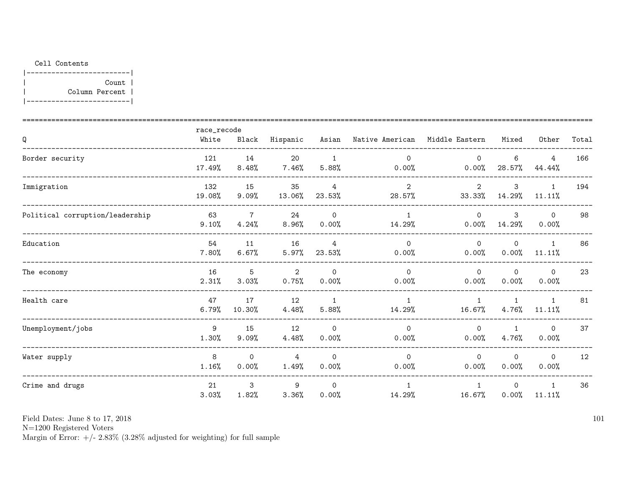## Cell Contents

|-------------------------| Count |  $\overline{\phantom{a}}$ Column Percent |  $\mathbf{I}$  $|---------------$ 

|                                 | race_recode   |                         |                         |                       |                          |                          |                       |                        |       |
|---------------------------------|---------------|-------------------------|-------------------------|-----------------------|--------------------------|--------------------------|-----------------------|------------------------|-------|
| Q                               | White         | Black                   | Hispanic                | Asian                 | Native American          | Middle Eastern           | Mixed                 | Other                  | Total |
| Border security                 | 121<br>17.49% | 14<br>8.48%             | 20<br>7.46%             | $\mathbf{1}$<br>5.88% | $\Omega$<br>0.00%        | $\Omega$<br>0.00%        | 6<br>28.57%           | 4<br>44.44%            | 166   |
| Immigration                     | 132<br>19.08% | 15<br>9.09%             | 35<br>13.06%            | 4<br>23.53%           | $\overline{2}$<br>28.57% | $\overline{2}$<br>33.33% | 3<br>14.29%           | $\mathbf{1}$<br>11.11% | 194   |
| Political corruption/leadership | 63<br>9.10%   | $\overline{7}$<br>4.24% | 24<br>8.96%             | $\Omega$<br>0.00%     | $\overline{1}$<br>14.29% | $\Omega$<br>0.00%        | 3<br>14.29%           | $\Omega$<br>0.00%      | 98    |
| Education                       | 54<br>7.80%   | 11<br>6.67%             | 16<br>5.97%             | 4<br>23.53%           | $\mathbf{0}$<br>0.00%    | $\Omega$<br>0.00%        | $\mathbf 0$<br>0.00%  | $\mathbf{1}$<br>11.11% | 86    |
| The economy                     | 16<br>2.31%   | 5<br>3.03%              | $\overline{2}$<br>0.75% | $\Omega$<br>0.00%     | $\Omega$<br>0.00%        | $\Omega$<br>0.00%        | $\Omega$<br>0.00%     | $\Omega$<br>0.00%      | 23    |
| Health care                     | 47<br>6.79%   | 17<br>10.30%            | 12<br>4.48%             | $\mathbf{1}$<br>5.88% | $\mathbf{1}$<br>14.29%   | $\overline{1}$<br>16.67% | $\mathbf{1}$<br>4.76% | $\mathbf{1}$<br>11.11% | 81    |
| Unemployment/jobs               | 9<br>1.30%    | 15<br>9.09%             | 12<br>4.48%             | $\Omega$<br>0.00%     | $\mathbf{0}$<br>0.00%    | $\mathsf{O}$<br>0.00%    | $\mathbf{1}$<br>4.76% | $\mathbf{0}$<br>0.00%  | 37    |
| Water supply                    | 8<br>1.16%    | $\Omega$<br>0.00%       | 4<br>1.49%              | $\Omega$<br>0.00%     | $\Omega$<br>0.00%        | $\Omega$<br>0.00%        | $\Omega$<br>0.00%     | $\mathbf 0$<br>0.00%   | 12    |
| Crime and drugs                 | 21<br>3.03%   | 3<br>1.82%              | 9<br>3.36%              | $\Omega$<br>0.00%     | $\mathbf{1}$<br>14.29%   | $\overline{1}$<br>16.67% | $\Omega$<br>0.00%     | 1<br>11.11%            | 36    |

Field Dates: June 8 to 17, 2018

 ${\rm N}{=}1200$  Registered Voters

Margin of Error:  $+/- 2.83\%$  (3.28% adjusted for weighting) for full sample

101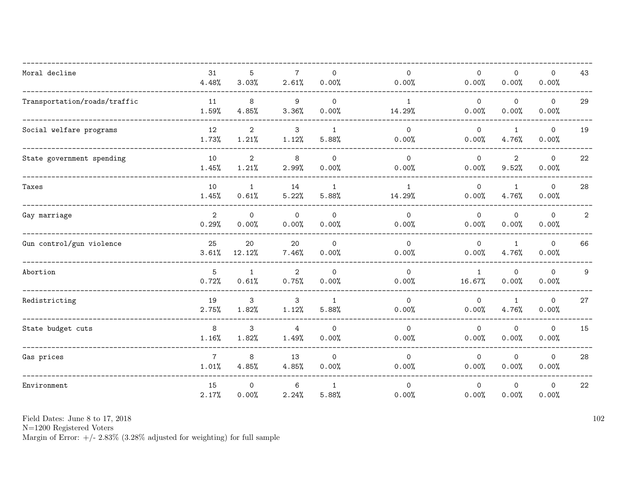| Moral decline                | 31<br>4.48%             | 5<br>3.03%            | $7\overline{ }$<br>2.61% | $\Omega$<br>0.00%     | $\Omega$<br>0.00%      | $\Omega$<br>0.00%      | $\mathbf 0$<br>0.00%    | $\mathbf 0$<br>0.00%  | 43           |
|------------------------------|-------------------------|-----------------------|--------------------------|-----------------------|------------------------|------------------------|-------------------------|-----------------------|--------------|
| Transportation/roads/traffic | 11<br>1.59%             | 8<br>4.85%            | 9<br>3.36%               | $\Omega$<br>0.00%     | $\mathbf{1}$<br>14.29% | $\mathsf{O}$<br>0.00%  | $\mathbf 0$<br>0.00%    | $\mathsf{O}$<br>0.00% | 29           |
| Social welfare programs      | 12<br>1.73%             | $\mathbf{2}$<br>1.21% | 3<br>1.12%               | $\mathbf{1}$<br>5.88% | $\mathsf{O}$<br>0.00%  | $\mathsf{O}$<br>0.00%  | $\mathbf{1}$<br>4.76%   | $\mathbf 0$<br>0.00%  | 19           |
| State government spending    | 10<br>1.45%             | $\mathbf{2}$<br>1.21% | 8<br>2.99%               | $\Omega$<br>0.00%     | $\Omega$<br>0.00%      | $\circ$<br>0.00%       | 2<br>9.52%              | $\mathsf{O}$<br>0.00% | 22           |
| Taxes                        | 10<br>1.45%             | $\mathbf{1}$<br>0.61% | 14<br>5.22%              | $\mathbf{1}$<br>5.88% | $\mathbf{1}$<br>14.29% | $\circ$<br>0.00%       | $\overline{1}$<br>4.76% | $\mathbf 0$<br>0.00%  | 28           |
| Gay marriage                 | $\overline{2}$<br>0.29% | $\mathsf{O}$<br>0.00% | $\mathsf{O}$<br>0.00%    | $\mathsf{O}$<br>0.00% | $\mathsf{O}$<br>0.00%  | $\mathsf{O}$<br>0.00%  | $\mathbf 0$<br>0.00%    | $\mathsf{O}$<br>0.00% | $\mathbf{2}$ |
| Gun control/gun violence     | 25<br>3.61%             | 20<br>12.12%          | 20<br>7.46%              | $\mathbf 0$<br>0.00%  | $\mathbf 0$<br>0.00%   | $\mathsf{O}$<br>0.00%  | $\mathbf{1}$<br>4.76%   | $\mathsf{O}$<br>0.00% | 66           |
| Abortion                     | 5<br>0.72%              | $\mathbf{1}$<br>0.61% | $\overline{2}$<br>0.75%  | $\Omega$<br>0.00%     | $\Omega$<br>0.00%      | $\mathbf{1}$<br>16.67% | $\mathbf 0$<br>0.00%    | $\Omega$<br>0.00%     | 9            |
| Redistricting                | 19<br>2.75%             | 3<br>1.82%            | $\mathbf{3}$<br>1.12%    | $\mathbf{1}$<br>5.88% | $\mathsf{O}$<br>0.00%  | $\mathsf{O}$<br>0.00%  | 1<br>4.76%              | $\mathsf{O}$<br>0.00% | 27           |
| State budget cuts            | 8<br>1.16%              | 3<br>1.82%            | $\overline{4}$<br>1.49%  | $\mathsf{O}$<br>0.00% | $\circ$<br>0.00%       | $\mathsf{O}$<br>0.00%  | $\mathbf 0$<br>0.00%    | $\mathbf 0$<br>0.00%  | 15           |
| Gas prices                   | $\overline{7}$<br>1.01% | 8<br>4.85%            | 13<br>4.85%              | $\Omega$<br>0.00%     | $\mathsf{O}$<br>0.00%  | $\Omega$<br>0.00%      | $\Omega$<br>0.00%       | $\mathbf 0$<br>0.00%  | 28           |
| Environment                  | 15<br>2.17%             | $\mathbf 0$<br>0.00%  | 6<br>2.24%               | $\mathbf{1}$<br>5.88% | $\mathsf{O}$<br>0.00%  | $\mathbf 0$<br>0.00%   | $\mathbf 0$<br>0.00%    | $\mathbf 0$<br>0.00%  | 22           |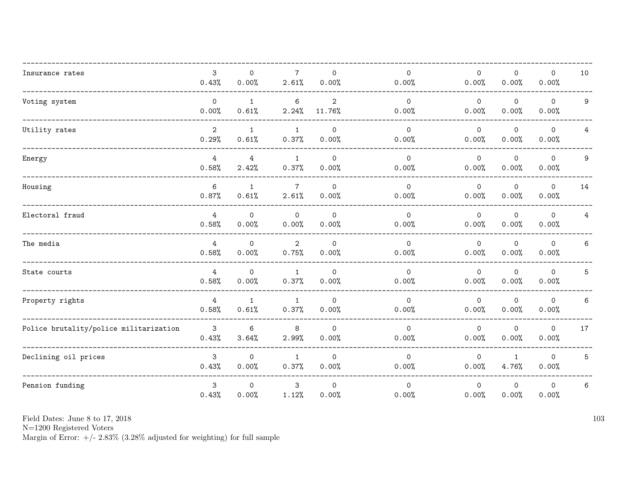| Insurance rates                        | $\mathbf{3}$<br>0.43%   | $\mathbf{0}$<br>0.00% | $\overline{7}$<br>2.61% | $\Omega$<br>0.00%        | $\Omega$<br>0.00%     | $\Omega$<br>0.00%     | $\mathbf 0$<br>0.00%  | $\mathbf 0$<br>0.00%  | 10 |
|----------------------------------------|-------------------------|-----------------------|-------------------------|--------------------------|-----------------------|-----------------------|-----------------------|-----------------------|----|
| Voting system                          | $\mathsf{O}$<br>0.00%   | $\mathbf{1}$<br>0.61% | 6<br>2.24%              | $\overline{2}$<br>11.76% | $\mathsf{O}$<br>0.00% | $\mathsf{O}$<br>0.00% | $\mathbf 0$<br>0.00%  | $\mathsf{O}$<br>0.00% | 9  |
| Utility rates                          | $\overline{2}$<br>0.29% | $\mathbf{1}$<br>0.61% | $\mathbf{1}$<br>0.37%   | $\Omega$<br>0.00%        | $\mathsf{O}$<br>0.00% | $\mathsf{O}$<br>0.00% | $\mathbf 0$<br>0.00%  | $\mathsf{O}$<br>0.00% | 4  |
| Energy                                 | $\overline{4}$<br>0.58% | 4<br>2.42%            | $\mathbf{1}$<br>0.37%   | $\mathbf 0$<br>0.00%     | $\mathsf{O}$<br>0.00% | $\mathsf{O}$<br>0.00% | $\mathbf 0$<br>0.00%  | $\circ$<br>0.00%      | 9  |
| Housing                                | $\,6\,$<br>0.87%        | $\mathbf{1}$<br>0.61% | $\overline{7}$<br>2.61% | $\Omega$<br>0.00%        | $\mathsf{O}$<br>0.00% | $\mathsf{O}$<br>0.00% | $\mathbf 0$<br>0.00%  | $\mathbf 0$<br>0.00%  | 14 |
| Electoral fraud                        | $\overline{4}$<br>0.58% | $\mathbf 0$<br>0.00%  | $\mathbf 0$<br>0.00%    | $\mathsf{O}$<br>0.00%    | $\mathsf{O}$<br>0.00% | $\mathsf{O}$<br>0.00% | $\mathbf 0$<br>0.00%  | $\mathbf 0$<br>0.00%  | 4  |
| The media                              | 4<br>0.58%              | $\mathbf 0$<br>0.00%  | $\overline{2}$<br>0.75% | $\mathbf 0$<br>0.00%     | $\mathsf{O}$<br>0.00% | $\mathsf{O}$<br>0.00% | $\mathbf 0$<br>0.00%  | $\mathbf 0$<br>0.00%  | 6  |
| State courts                           | $\overline{4}$<br>0.58% | $\Omega$<br>0.00%     | $\mathbf{1}$<br>0.37%   | $\Omega$<br>0.00%        | $\Omega$<br>0.00%     | $\Omega$<br>0.00%     | $\Omega$<br>0.00%     | $\Omega$<br>0.00%     | 5  |
| Property rights                        | $\overline{4}$<br>0.58% | $\mathbf{1}$<br>0.61% | $\mathbf{1}$<br>0.37%   | $\Omega$<br>0.00%        | $\mathsf{O}$<br>0.00% | $\mathsf{O}$<br>0.00% | $\mathbf 0$<br>0.00%  | $\mathsf{O}$<br>0.00% | 6  |
| Police brutality/police militarization | 3<br>0.43%              | 6<br>3.64%            | 8<br>2.99%              | $\mathsf{O}$<br>0.00%    | $\mathsf{O}$<br>0.00% | $\mathsf{O}$<br>0.00% | $\mathbf 0$<br>0.00%  | $\mathbf 0$<br>0.00%  | 17 |
| Declining oil prices                   | 3<br>0.43%              | $\mathbf 0$<br>0.00%  | $\mathbf{1}$<br>0.37%   | $\mathsf{O}$<br>0.00%    | $\Omega$<br>0.00%     | $\Omega$<br>0.00%     | $\mathbf{1}$<br>4.76% | $\mathbf 0$<br>0.00%  | 5  |
| Pension funding                        | 3<br>0.43%              | $\Omega$<br>0.00%     | 3<br>1.12%              | $\Omega$<br>0.00%        | $\Omega$<br>0.00%     | $\Omega$<br>0.00%     | $\mathbf 0$<br>0.00%  | $\mathbf 0$<br>0.00%  | 6  |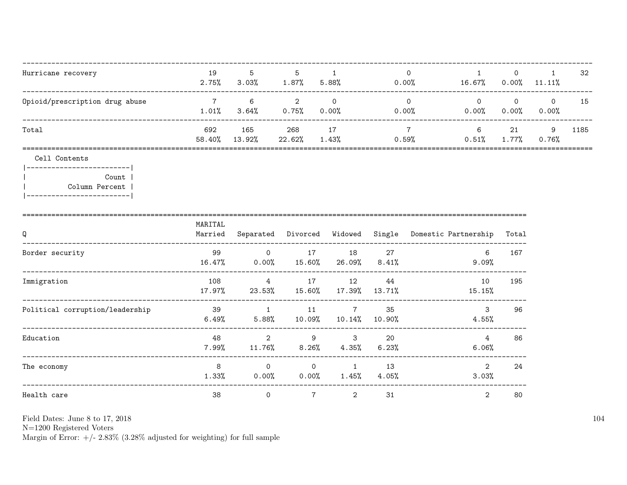| Hurricane recovery             | 19<br>2.75%   | 5<br>3.03%    | 5<br>$1.87\%$ | 5.88%       | 0.00% | 16.67%            | $0.00\%$       | $11.11\%$         | -32  |
|--------------------------------|---------------|---------------|---------------|-------------|-------|-------------------|----------------|-------------------|------|
| Opioid/prescription drug abuse | 1.01%         | 6<br>3.64%    | $0.75\%$      | $0.00\%$    | 0.00% | $\Omega$<br>0.00% | $0.00\%$       | $\Omega$<br>0.00% | 15   |
| Total                          | 692<br>58.40% | 165<br>13.92% | 268<br>22.62% | 17<br>1.43% | 0.59% | 6<br>0.51%        | 21<br>$1.77\%$ | 9<br>$0.76\%$     | 1185 |

Cell Contents

|-------------------------| Count |  $\overline{1}$ Column Percent | |------------------------|

| Q                               | MARITAL<br>Married |                         | Separated Divorced         | Widowed                    |                 | Single Domestic Partnership | Total |
|---------------------------------|--------------------|-------------------------|----------------------------|----------------------------|-----------------|-----------------------------|-------|
| Border security                 | 99<br>16.47%       | $\mathbf 0$<br>$0.00\%$ | 17<br>15.60%               | 18<br>26.09%               | 27<br>$8.41\%$  | 6<br>$9.09\%$               | 167   |
| Immigration                     | 108<br>17.97%      | 4<br>23.53%             | 17<br>15.60%               | 12<br>17.39%               | 44<br>13.71%    | 10<br>15.15%                | 195   |
| Political corruption/leadership | 39<br>6.49%        | 1<br>$5.88\%$           | 11<br>10.09%               | $7\phantom{.0}$<br>10.14%  | 35<br>$10.90\%$ | 3<br>4.55%                  | 96    |
| Education                       | 48<br>7.99%        | 2<br>11.76%             | 9<br>$8.26\%$              | $\mathbf{3}$<br>$4.35\%$   | 20<br>$6.23\%$  | 4<br>6.06%                  | 86    |
| The economy                     | 8<br>1.33%         | $\Omega$<br>$0.00\%$    | $\overline{0}$<br>$0.00\%$ | $\overline{1}$<br>$1.45\%$ | 13<br>4.05%     | 2<br>3.03%                  | 24    |
| Health care                     | 38                 | $\mathbf 0$             | 7                          | $\overline{2}$             | 31              | 2                           | 80    |

Field Dates: June 8 to 17, 2018

 ${\rm N}{=}1200$  Registered Voters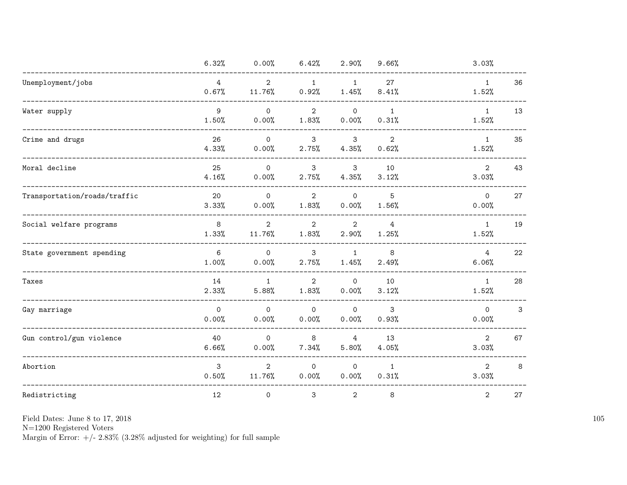|                              | 6.32%                   | 0.00%                        | 6.42%                   | 2.90%                        | 9.66%                   | 3.03%                    |    |
|------------------------------|-------------------------|------------------------------|-------------------------|------------------------------|-------------------------|--------------------------|----|
| Unemployment/jobs            | $\overline{4}$<br>0.67% | $\overline{2}$<br>11.76%     | $\mathbf{1}$<br>0.92%   | $\mathbf{1}$<br>1.45%        | 27<br>8.41%             | $\mathbf{1}$<br>1.52%    | 36 |
| Water supply                 | 9<br>1.50%              | $\Omega$<br>0.00%            | $\overline{2}$<br>1.83% | $\mathsf{O}$<br>0.00%        | $\mathbf{1}$<br>0.31%   | $\mathbf{1}$<br>1.52%    | 13 |
| Crime and drugs              | 26<br>4.33%             | $\mathsf{O}$<br>0.00%        | $\mathbf{3}$<br>2.75%   | 3<br>4.35%                   | $\overline{2}$<br>0.62% | $\mathbf{1}$<br>1.52%    | 35 |
| Moral decline                | 25<br>4.16%             | $\mathsf{O}$<br>0.00%        | 3<br>2.75%              | $\mathbf{3}$<br>4.35%        | 10<br>3.12%             | $\overline{2}$<br>3.03%  | 43 |
| Transportation/roads/traffic | 20<br>3.33%             | $\mathsf{O}\xspace$<br>0.00% | $\overline{2}$<br>1.83% | $\mathsf{O}\xspace$<br>0.00% | 5<br>1.56%              | $\overline{0}$<br>0.00%  | 27 |
| Social welfare programs      | 8<br>1.33%              | 2<br>11.76%                  | $\overline{2}$<br>1.83% | $\overline{2}$<br>2.90%      | $\overline{4}$<br>1.25% | $\mathbf{1}$<br>1.52%    | 19 |
| State government spending    | 6<br>1.00%              | $\mathsf{O}$<br>0.00%        | 3<br>2.75%              | $\mathbf{1}$<br>1.45%        | 8<br>2.49%              | $4\overline{ }$<br>6.06% | 22 |
| Taxes                        | 14<br>2.33%             | $\mathbf{1}$<br>5.88%        | $\overline{2}$<br>1.83% | $\mathsf{O}$<br>0.00%        | 10<br>3.12%             | $\mathbf{1}$<br>1.52%    | 28 |
| Gay marriage                 | $\mathsf{O}$<br>0.00%   | $\mathsf{O}$<br>0.00%        | $\mathsf{O}$<br>0.00%   | $\mathsf{O}\xspace$<br>0.00% | 3<br>0.93%              | $\overline{0}$<br>0.00%  | 3  |
| Gun control/gun violence     | 40<br>6.66%             | $\mathsf{O}$<br>0.00%        | 8<br>7.34%              | 4<br>5.80%                   | 13<br>4.05%             | $\overline{2}$<br>3.03%  | 67 |
| Abortion                     | 3<br>0.50%              | 2<br>11.76%                  | $\mathsf{O}$<br>0.00%   | $\mathsf{O}$<br>0.00%        | 1<br>0.31%              | 2<br>3.03%               | 8  |
| Redistricting                | 12                      | 0                            | $\mathbf{3}$            | $\mathbf{2}$                 | 8                       | $\overline{2}$           | 27 |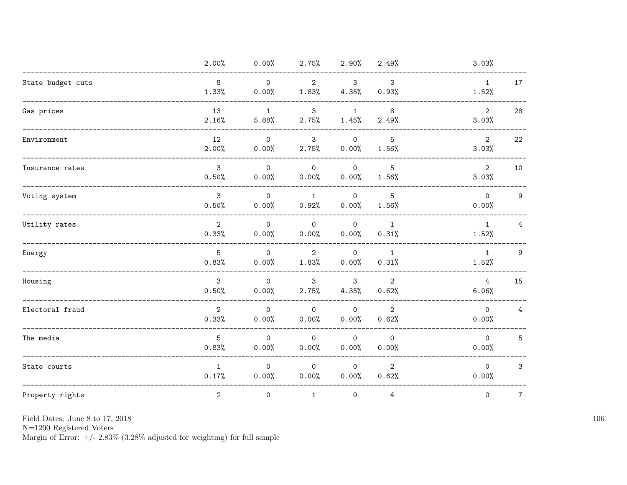|                   | 2.00%                   | $0.00\%$              | 2.75%                   | 2.90%                        | 2.49%                    | 3.03%                   |                 |
|-------------------|-------------------------|-----------------------|-------------------------|------------------------------|--------------------------|-------------------------|-----------------|
| State budget cuts | 8<br>1.33%              | $\mathsf{O}$<br>0.00% | $\overline{2}$<br>1.83% | $\mathbf{3}$<br>4.35%        | 3<br>0.93%               | $\mathbf{1}$<br>1.52%   | 17              |
| Gas prices        | 13<br>2.16%             | $\mathbf{1}$<br>5.88% | 3<br>2.75%              | $\mathbf{1}$<br>1.45%        | 8<br>2.49%               | $\overline{2}$<br>3.03% | 28              |
| Environment       | 12<br>2.00%             | $\mathsf{O}$<br>0.00% | $\mathbf{3}$<br>2.75%   | $\circ$<br>0.00%             | $5\overline{)}$<br>1.56% | $\overline{2}$<br>3.03% | 22              |
| Insurance rates   | $\mathbf{3}$<br>0.50%   | $\mathsf{O}$<br>0.00% | $\mathsf{O}$<br>0.00%   | $\overline{0}$<br>0.00%      | 5<br>1.56%               | $\overline{2}$<br>3.03% | 10              |
| Voting system     | 3<br>0.50%              | $\mathsf{O}$<br>0.00% | $\mathbf{1}$<br>0.92%   | $\mathsf{O}$<br>0.00%        | 5<br>1.56%               | $\mathsf{O}$<br>0.00%   | 9               |
| Utility rates     | 2<br>0.33%              | $\mathsf{O}$<br>0.00% | $\mathsf{O}$<br>0.00%   | $\overline{0}$<br>0.00%      | $\mathbf{1}$<br>0.31%    | $\mathbf{1}$<br>1.52%   | 4               |
| Energy            | 5<br>0.83%              | $\circ$<br>0.00%      | $\overline{2}$<br>1.83% | $\circ$<br>0.00%             | $\overline{1}$<br>0.31%  | 1<br>1.52%              | 9               |
| Housing           | 3<br>0.50%              | $\mathsf{O}$<br>0.00% | $\mathbf{3}$<br>2.75%   | $\mathbf{3}$<br>4.35%        | $\overline{2}$<br>0.62%  | $\overline{4}$<br>6.06% | 15              |
| Electoral fraud   | $\overline{2}$<br>0.33% | $\mathsf{O}$<br>0.00% | $\mathsf{O}$<br>0.00%   | $\mathsf{O}\xspace$<br>0.00% | $\overline{2}$<br>0.62%  | $\overline{0}$<br>0.00% | 4               |
| The media         | 5<br>0.83%              | $\mathsf{O}$<br>0.00% | $\mathsf{O}$<br>0.00%   | $\mathsf{O}$<br>0.00%        | $\mathsf{O}$<br>0.00%    | $\Omega$<br>0.00%       | $5\overline{)}$ |
| State courts      | $\mathbf{1}$<br>0.17%   | $\mathsf{O}$<br>0.00% | $\mathsf{O}$<br>0.00%   | $\mathsf{O}$<br>0.00%        | $\overline{2}$<br>0.62%  | $\Omega$<br>0.00%       | 3               |
| Property rights   | $\overline{2}$          | $\mathsf{O}$          | $\mathbf{1}$            | $\mathsf{O}$                 | $4\overline{ }$          | $\mathsf{O}$            | $\overline{7}$  |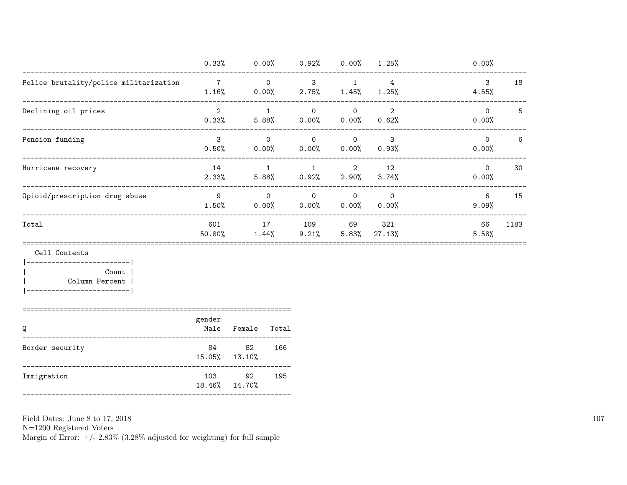|                                        | 0.33%                   | 0.00%                 | 0.92%                    | 0.00%                   | 1.25%                   | 0.00%             |      |
|----------------------------------------|-------------------------|-----------------------|--------------------------|-------------------------|-------------------------|-------------------|------|
| Police brutality/police militarization | 7<br>1.16%              | $\mathbf 0$<br>0.00%  | 3<br>$2.75\%$            | $1.45\%$                | 4<br>1.25%              | 3<br>4.55%        | 18   |
| Declining oil prices                   | $\overline{2}$<br>0.33% | $\mathbf{1}$<br>5.88% | $\Omega$<br>0.00%        | $\circ$<br>0.00%        | $\overline{2}$<br>0.62% | $\Omega$<br>0.00% | 5    |
| Pension funding                        | 3<br>0.50%              | $\mathbf 0$<br>0.00%  | $\mathbf{0}$<br>$0.00\%$ | $\mathbf 0$<br>$0.00\%$ | 3<br>$0.93\%$           | $\Omega$<br>0.00% | 6    |
| Hurricane recovery                     | 14<br>2.33%             | 5.88%                 | 0.92%                    | $\overline{2}$<br>2.90% | 12<br>3.74%             | $\Omega$<br>0.00% | 30   |
| Opioid/prescription drug abuse         | 9<br>1.50%              | $\mathbf 0$<br>0.00%  | $\mathbf{0}$<br>0.00%    | $\mathbf 0$<br>0.00%    | $\mathbf 0$<br>0.00%    | 6<br>9.09%        | 15   |
| Total                                  | 601<br>50.80%           | 17<br>1.44%           | 109<br>9.21%             | 69<br>5.83%             | 321<br>27.13%           | 66<br>5.58%       | 1183 |

Cell Contents

 $|----------|$ Count | Column Percent |  $|----------|$ 

|                 | gender                    |        |       |  |  |  |  |
|-----------------|---------------------------|--------|-------|--|--|--|--|
|                 | Male                      | Female | Total |  |  |  |  |
| Border security | 84<br>$15.05\%$ $13.10\%$ | -82    | 166   |  |  |  |  |

103

92

195

18.46% 14.70% 

Field Dates: June 8 to 17, 2018

 ${\rm N}{=}1200$  Registered Voters

Immigration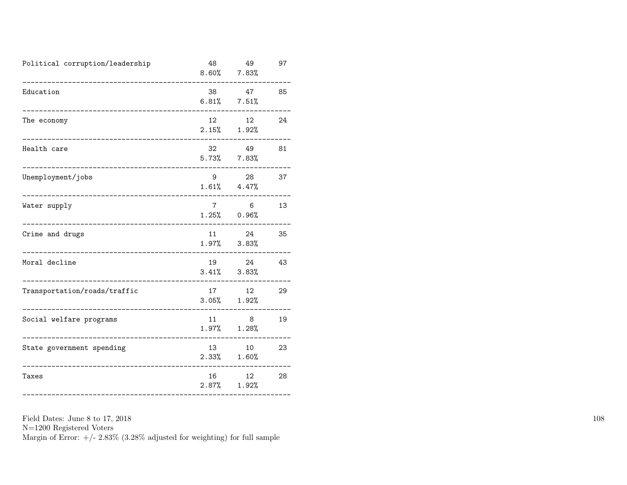| Political corruption/leadership | 48                        | 49<br>$8.60\%$ $7.83\%$  | 97 |
|---------------------------------|---------------------------|--------------------------|----|
| Education                       | 38<br>6.81%               | 47<br>7.51%              | 85 |
| The economy                     | 12 <sup>12</sup><br>2.15% | 12 <sup>°</sup><br>1.92% | 24 |
| Health care                     | 32<br>5.73%               | 49<br>$7.83\%$           | 81 |
| Unemployment/jobs               | 9                         | 28<br>$1.61\%$ $4.47\%$  | 37 |
| Water supply                    | $7\phantom{.0}$           | 6<br>$1.25\%$ 0.96%      | 13 |
| Crime and drugs                 | 11<br>$1.97\%$            | 24<br>3.83%              | 35 |
| Moral decline                   | 19<br>3.41%               | 24<br>3.83%              | 43 |
| Transportation/roads/traffic    | 17<br>$3.05\%$            | 12<br>1.92%              | 29 |
| Social welfare programs         | 11<br>1.97%               | 8<br>1.28%               | 19 |
| State government spending       | 13<br>$2.33\%$            | 10<br>1.60%              | 23 |
| Taxes                           | 16<br>$2.87\%$            | 12 <sup>°</sup><br>1.92% | 28 |

Field Dates: June 8 to 17, 2018 N=1200 Registered Voters Margin of Error:  $+/- 2.83\%$  (3.28% adjusted for weighting) for full sample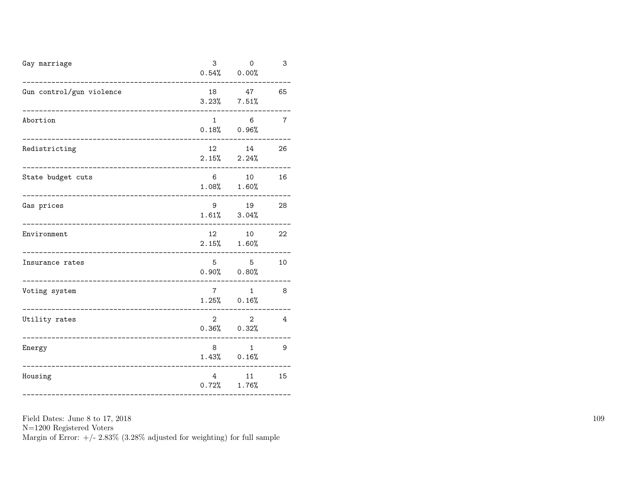| Gun control/gun violence<br>18<br>47<br>65<br>$3.23\%$ $7.51\%$<br>$\mathbf{1}$<br>6<br>Abortion<br>7<br>$0.18\%$ 0.96%<br>12 <sup>12</sup><br>14<br>Redistricting<br>26<br>2.15%<br>2.24%<br>6<br>16<br>State budget cuts<br>10<br>$1.08\%$ $1.60\%$<br>9<br>19<br>28<br>Gas prices<br>$1.61\%$ $3.04\%$<br>12<br>22<br>10<br>Environment<br>2.15%<br>1.60%<br>5<br>5<br>10<br>Insurance rates<br>$0.90%$ $0.80%$<br>$7^{\circ}$<br>$\mathbf{1}$<br>8<br>Voting system<br>$1.25\%$ 0.16%<br>2<br>2<br>$\overline{4}$<br>Utility rates<br>$0.36\%$ $0.32\%$<br>8<br>$\mathbf{1}$<br>9<br>Energy<br>$1.43\%$ 0.16%<br>$\overline{4}$<br>15<br>Housing<br>11<br>$0.72\%$ 1.76% | Gay marriage | 3 | $\Omega$<br>$0.54\%$ 0.00% | 3 |
|------------------------------------------------------------------------------------------------------------------------------------------------------------------------------------------------------------------------------------------------------------------------------------------------------------------------------------------------------------------------------------------------------------------------------------------------------------------------------------------------------------------------------------------------------------------------------------------------------------------------------------------------------------------------------|--------------|---|----------------------------|---|
|                                                                                                                                                                                                                                                                                                                                                                                                                                                                                                                                                                                                                                                                              |              |   |                            |   |
|                                                                                                                                                                                                                                                                                                                                                                                                                                                                                                                                                                                                                                                                              |              |   |                            |   |
|                                                                                                                                                                                                                                                                                                                                                                                                                                                                                                                                                                                                                                                                              |              |   |                            |   |
|                                                                                                                                                                                                                                                                                                                                                                                                                                                                                                                                                                                                                                                                              |              |   |                            |   |
|                                                                                                                                                                                                                                                                                                                                                                                                                                                                                                                                                                                                                                                                              |              |   |                            |   |
|                                                                                                                                                                                                                                                                                                                                                                                                                                                                                                                                                                                                                                                                              |              |   |                            |   |
|                                                                                                                                                                                                                                                                                                                                                                                                                                                                                                                                                                                                                                                                              |              |   |                            |   |
|                                                                                                                                                                                                                                                                                                                                                                                                                                                                                                                                                                                                                                                                              |              |   |                            |   |
|                                                                                                                                                                                                                                                                                                                                                                                                                                                                                                                                                                                                                                                                              |              |   |                            |   |
|                                                                                                                                                                                                                                                                                                                                                                                                                                                                                                                                                                                                                                                                              |              |   |                            |   |
|                                                                                                                                                                                                                                                                                                                                                                                                                                                                                                                                                                                                                                                                              |              |   |                            |   |

N=1200 Registered Voters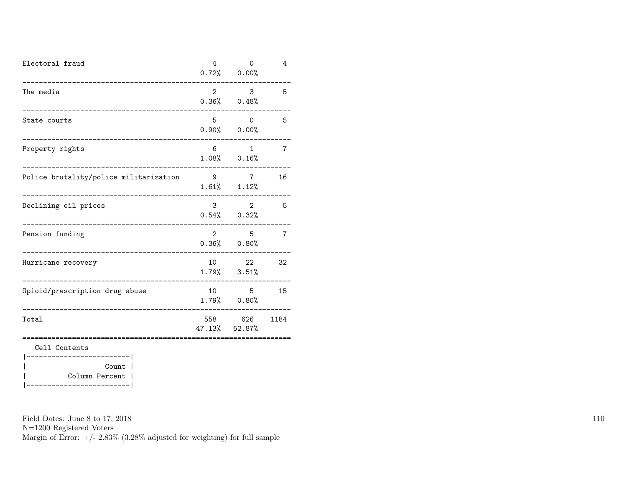| Electoral fraud                                        | 4              | 0<br>$0.72\%$ 0.00%                 | 4              |
|--------------------------------------------------------|----------------|-------------------------------------|----------------|
| The media                                              | 2              | 3<br>$0.36\%$ 0.48%                 | 5              |
| State courts                                           | 5              | 0<br>$0.90%$ $0.00%$                | 5              |
| Property rights                                        | 6              | $\mathbf{1}$<br>$1.08\%$ $0.16\%$   | $\overline{7}$ |
| Police brutality/police militarization                 | 9              | $7^{\circ}$<br>$1.61\%$ $1.12\%$    | 16             |
| Declining oil prices<br>______________________________ | 3 <sup>1</sup> | $\overline{2}$<br>$0.54\%$ $0.32\%$ | 5              |
| Pension funding                                        | $\overline{2}$ | 5<br>$0.36\%$ 0.80%                 | $\overline{7}$ |
| Hurricane recovery                                     |                | 22<br>$1.79\%$ $3.51\%$             | 32             |
| Opioid/prescription drug abuse                         | 10             | 5<br>$1.79\%$ 0.80%                 | 15             |
| Total                                                  |                | 558 626<br>47.13% 52.87%            | 1184           |
| Cell Contents<br>-------                               |                |                                     |                |
| Count<br>Column Percent                                |                |                                     |                |

|-------------------------|

Field Dates: June 8 to 17, 2018

N=1200 Registered Voters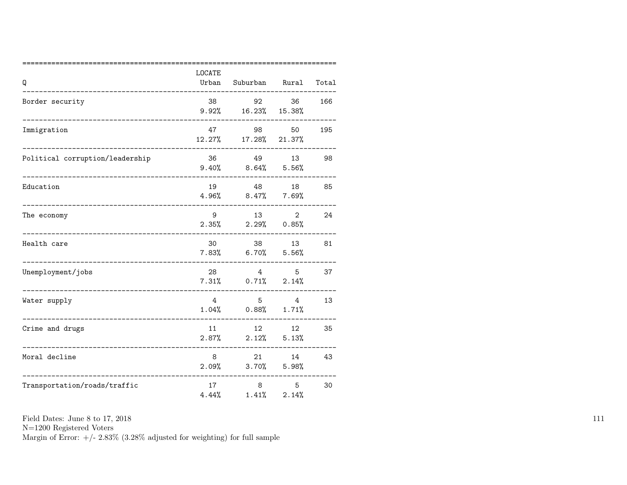| Q                               | LOCATE<br>Urban | Suburban Rural                   |                                       | Total |
|---------------------------------|-----------------|----------------------------------|---------------------------------------|-------|
| Border security                 | 38<br>9.92%     | 92<br>16.23%                     | 36<br>15.38%                          | 166   |
| Immigration                     | 47<br>12.27%    | 98<br>17.28%                     | 50<br>21.37%                          | 195   |
| Political corruption/leadership | 36              | 49<br>$9.40\%$ $8.64\%$          | 13<br>5.56%                           | 98    |
| Education                       | 19              | 48<br>$4.96\%$ $8.47\%$ 7.69%    | 18                                    | 85    |
| The economy                     | 9               | 13<br>$2.35\%$ $2.29\%$ 0.85%    | $\overline{2}$                        | 24    |
| Health care                     | 30              | $7.83\%$ 6.70% 5.56%             | 13                                    | 81    |
| Unemployment/jobs               | 28              | $7.31\%$ 0.71\%                  | 5 <sup>5</sup><br>$4\degree$<br>2.14% | 37    |
| Water supply                    | $\overline{4}$  | 5 <sub>1</sub><br>$1.04\%$ 0.88% | $\overline{4}$<br>1.71%               | 13    |
| Crime and drugs                 | 11<br>2.87%     | 12<br>2.12%                      | 12<br>5.13%                           | 35    |
| Moral decline                   | 8<br>2.09%      | 21 7<br>3.70%                    | 14<br>5.98%                           | 43    |
| Transportation/roads/traffic    | 17<br>4.44%     | 8<br>1.41%                       | 5<br>2.14%                            | 30    |

N=1200 Registered Voters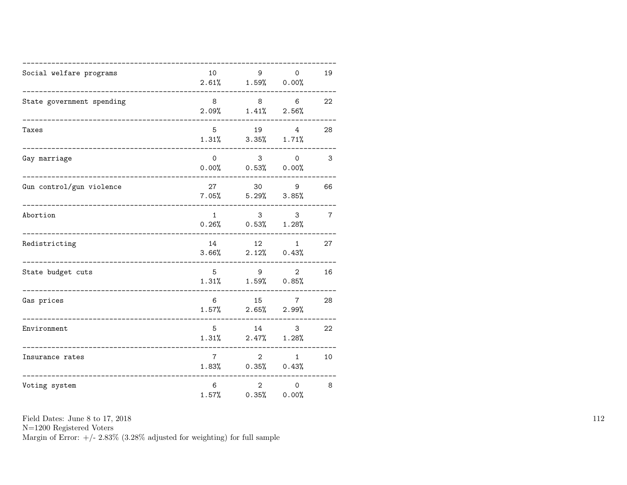| Social welfare programs   | 10             | $9 \left( \frac{1}{2} \right)$<br>$2.61\%$ $1.59\%$ 0.00% | $\mathbf 0$                                      | 19                      |
|---------------------------|----------------|-----------------------------------------------------------|--------------------------------------------------|-------------------------|
| State government spending | 8              | $2.09\%$ $1.41\%$ $2.56\%$                                | 8 6                                              | 22                      |
| Taxes                     | 5 <sup>5</sup> | $1.31\%$ $3.35\%$ $1.71\%$                                | 19 4                                             | 28                      |
| Gay marriage              | $\Omega$       | $0.00\%$ 0.53% 0.00%                                      | $3 \quad \blacksquare$<br>$\Omega$               | $\overline{\mathbf{3}}$ |
| Gun control/gun violence  | 27             | $7.05\%$ $5.29\%$ $3.85\%$                                | 30 9                                             | 66                      |
| Abortion                  | 1              | $\overline{\mathbf{3}}$<br>$0.26\%$ $0.53\%$ $1.28\%$     | $\overline{\phantom{a}}$ 3                       | $\overline{7}$          |
| Redistricting             |                | 14 12<br>$3.66\%$ $2.12\%$ $0.43\%$                       | 1                                                | 27                      |
| State budget cuts         | $5^{\circ}$    | $1.31\%$ $1.59\%$ $0.85\%$                                | $9 \left( \frac{1}{2} \right)$<br>$\overline{2}$ | 16                      |
| Gas prices                | 6              | $1.57\%$ 2.65% 2.99%                                      | 15 7                                             | 28                      |
| Environment               | 5              | 14 \,<br>$1.31\%$ $2.47\%$ $1.28\%$                       | 3 <sup>1</sup>                                   | 22                      |
| Insurance rates           | 7 <sup>7</sup> | $1.83\%$ 0.35% 0.43%                                      | $\overline{2}$<br>1                              | 10                      |
| Voting system             | 6<br>1.57%     | $2^{\circ}$<br>0.35%                                      | $\Omega$<br>0.00%                                | 8                       |

N=1200 Registered Voters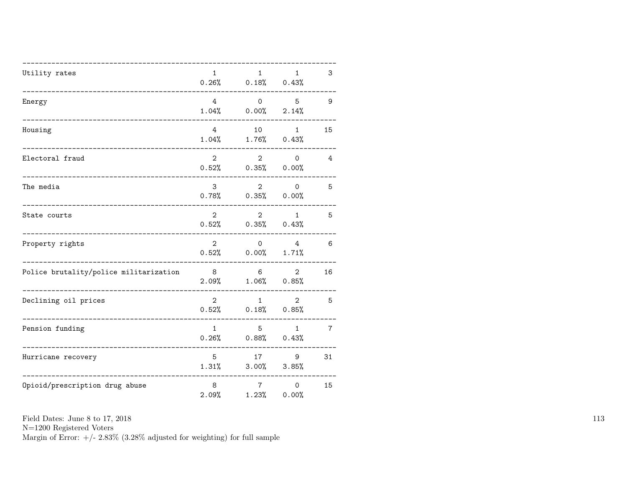| Utility rates                          | $\mathbf{1}$            | $\mathbf{1}$<br>$0.26\%$ $0.18\%$ $0.43\%$   | $\mathbf{1}$             | 3              |
|----------------------------------------|-------------------------|----------------------------------------------|--------------------------|----------------|
| Energy                                 | $\overline{4}$          | $\Omega$<br>$1.04\%$ 0.00%                   | 5 <sup>5</sup><br>2.14%  | 9              |
| Housing                                | $\overline{4}$<br>1.04% | 10                                           | 1<br>$1.76\%$ 0.43%      | 15             |
| Electoral fraud                        | $2^{\circ}$             | $\overline{2}$<br>$0.52\%$ $0.35\%$ $0.00\%$ | $\circ$                  | 4              |
| The media                              | 3                       | $2^{\circ}$<br>$0.78\%$ $0.35\%$ $0.00\%$    | $\Omega$                 | 5              |
| State courts                           | $\overline{2}$          | $2^{\circ}$<br>$0.52\%$ $0.35\%$ $0.43\%$    | 1                        | 5              |
| Property rights                        | $\overline{2}$          | $\overline{O}$<br>$0.52\%$ 0.00%             | $4\overline{ }$<br>1.71% | 6              |
| Police brutality/police militarization | 8 <sup>8</sup>          | 6<br>$2.09\%$ $1.06\%$ $0.85\%$              | $\overline{2}$           | 16             |
| Declining oil prices                   | $\overline{2}$          | 1<br>$0.52\%$ $0.18\%$ $0.85\%$              | $2^{\circ}$              | 5              |
| Pension funding                        | 1                       | $5 -$<br>$0.26\%$ $0.88\%$ $0.43\%$          | 1                        | $\overline{7}$ |
| Hurricane recovery                     | 5<br>1.31%              | 17 (1)                                       | 9<br>$3.00\%$ $3.85\%$   | 31             |
| Opioid/prescription drug abuse         | 8<br>2.09%              | 7 <sup>7</sup><br>1.23%                      | $\Omega$<br>0.00%        | 15             |

N=1200 Registered Voters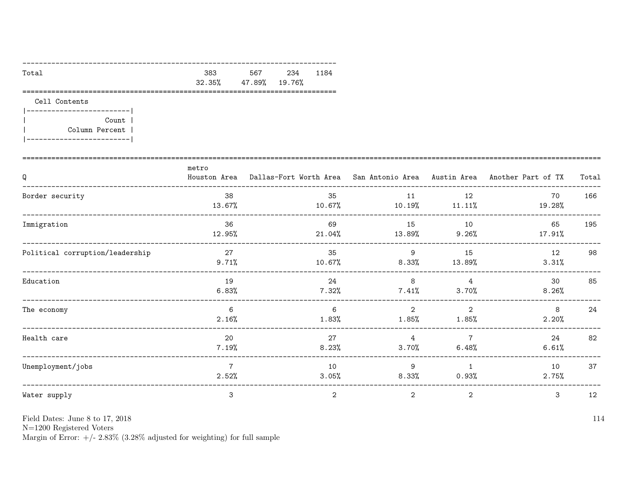| Total | 383 | 567 234 1184         |  |
|-------|-----|----------------------|--|
|       |     | 32.35% 47.89% 19.76% |  |
|       |     |                      |  |

Cell Contents

|-------------------------| Count |  $\overline{\phantom{a}}$ Column Percent |  $\mathbf{I}$ |-------------------------|

| Q                               | metro                   | Houston Area Dallas-Fort Worth Area San Antonio Area Austin Area Another Part of TX |                            |                           |                | Total |
|---------------------------------|-------------------------|-------------------------------------------------------------------------------------|----------------------------|---------------------------|----------------|-------|
| Border security                 | 38<br>13.67%            | 35<br>10.67%                                                                        | 11                         | 12<br>$10.19\%$ $11.11\%$ | 70<br>19.28%   | 166   |
| Immigration                     | 36<br>12.95%            | 69<br>21.04%                                                                        | 15<br>13.89%               | 10<br>9.26%               | 65<br>17.91%   | 195   |
| Political corruption/leadership | 27<br>$9.71\%$          | 35<br>10.67%                                                                        | 9<br>8.33%                 | 15<br>13.89%              | 12<br>3.31%    | 98    |
| Education                       | 19<br>6.83%             | 24<br>7.32%                                                                         | 8<br>7.41%                 | $\overline{4}$<br>3.70%   | 30<br>$8.26\%$ | 85    |
| The economy                     | 6<br>2.16%              | 6<br>1.83%                                                                          | $\overline{2}$<br>$1.85\%$ | $\overline{2}$<br>1.85%   | 8<br>2.20%     | 24    |
| Health care                     | 20<br>7.19%             | 27<br>8.23%                                                                         | $\overline{4}$<br>3.70%    | 7<br>6.48%                | 24<br>6.61%    | 82    |
| Unemployment/jobs               | $\overline{7}$<br>2.52% | 10<br>3.05%                                                                         | 9<br>8.33%                 | $\overline{1}$<br>0.93%   | 10<br>2.75%    | 37    |
| Water supply                    | 3                       | 2                                                                                   | $\overline{2}$             | $\overline{2}$            | 3              | 12    |

Field Dates: June 8 to 17, 2018

 ${\rm N}{=}1200$  Registered Voters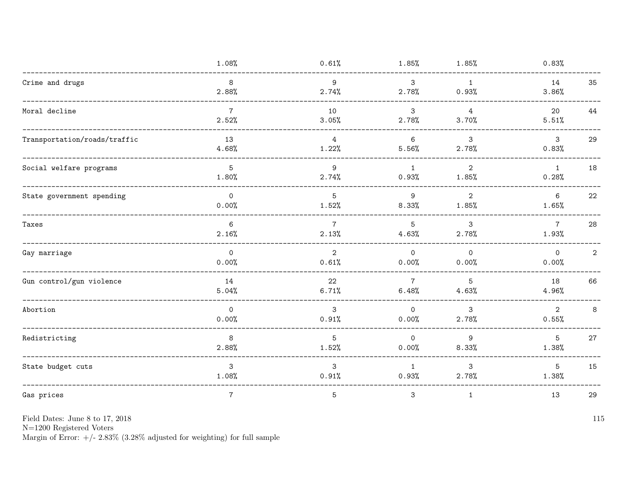|                              | 1.08%                    | 0.61%                    | 1.85%                   | 1.85%                   | 0.83%                                   |
|------------------------------|--------------------------|--------------------------|-------------------------|-------------------------|-----------------------------------------|
| Crime and drugs              | 8<br>2.88%               | $9\,$<br>2.74%           | $\mathbf{3}$<br>2.78%   | 1<br>0.93%              | 14<br>35<br>3.86%                       |
| Moral decline                | $7\overline{ }$<br>2.52% | 10<br>3.05%              | $\mathbf{3}$<br>2.78%   | $\overline{4}$<br>3.70% | 20<br>44<br>5.51%                       |
| Transportation/roads/traffic | 13<br>4.68%              | $\overline{4}$<br>1.22%  | 6<br>5.56%              | 3<br>2.78%              | 29<br>$\mathbf{3}$<br>0.83%             |
| Social welfare programs      | 5<br>1.80%               | 9<br>2.74%               | 1<br>0.93%              | $\overline{2}$<br>1.85% | $\mathbf{1}$<br>18<br>0.28%             |
| State government spending    | $\mathsf{O}$<br>0.00%    | $5\phantom{.0}$<br>1.52% | 9<br>8.33%              | $\overline{2}$<br>1.85% | $6\,$<br>22<br>1.65%                    |
| Taxes                        | 6<br>2.16%               | $\overline{7}$<br>2.13%  | 5<br>4.63%              | 3<br>2.78%              | 28<br>$7\overline{ }$<br>1.93%          |
| Gay marriage                 | $\mathbf 0$<br>0.00%     | $\overline{2}$<br>0.61%  | $\mathbf 0$<br>0.00%    | $\mathbf{0}$<br>0.00%   | $\overline{2}$<br>$\mathsf{O}$<br>0.00% |
| Gun control/gun violence     | 14<br>5.04%              | 22<br>6.71%              | $\overline{7}$<br>6.48% | 5<br>4.63%              | 66<br>18<br>4.96%                       |
| Abortion                     | $\overline{0}$<br>0.00%  | 3<br>0.91%               | $\Omega$<br>0.00%       | 3<br>2.78%              | $\overline{2}$<br>8<br>0.55%            |
| Redistricting                | 8<br>2.88%               | 5<br>1.52%               | $\overline{0}$<br>0.00% | 9<br>8.33%              | $5\overline{)}$<br>27<br>1.38%          |
| State budget cuts            | 3<br>1.08%               | 3<br>0.91%               | $\mathbf{1}$<br>0.93%   | 3<br>2.78%              | 5<br>15<br>1.38%                        |
| Gas prices                   | $\overline{7}$           | $\overline{5}$           | 3                       | $\mathbf{1}$            | 29<br>13                                |

N=1200 Registered Voters<br>Margin of Error:  $+/- 2.83\%$  (3.28% adjusted for weighting) for full sample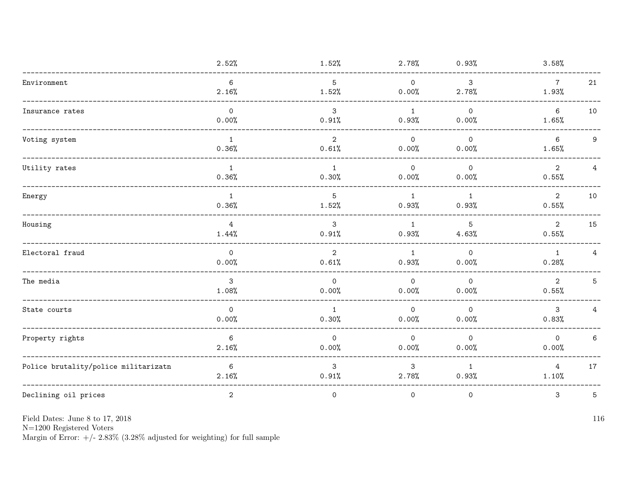|                                      | 2.52%                      | 1.52%                   | 2.78%                   | 0.93%                   | 3.58%                                      |
|--------------------------------------|----------------------------|-------------------------|-------------------------|-------------------------|--------------------------------------------|
| Environment                          | 6<br>2.16%                 | 5<br>1.52%              | $\Omega$<br>0.00%       | $\mathbf{3}$<br>2.78%   | $7\overline{ }$<br>21<br>1.93%             |
| Insurance rates                      | $\mathsf{O}$<br>0.00%      | 3<br>0.91%              | 1<br>0.93%              | $\Omega$<br>0.00%       | 6<br>10<br>1.65%                           |
| Voting system                        | $\mathbf{1}$<br>0.36%      | $\overline{2}$<br>0.61% | $\overline{O}$<br>0.00% | $\mathsf{O}$<br>0.00%   | $6\overline{6}$<br>9<br>1.65%              |
| Utility rates                        | $\mathbf{1}$<br>0.36%      | $\mathbf{1}$<br>0.30%   | $\Omega$<br>0.00%       | $\circ$<br>0.00%        | $\overline{2}$<br>$\overline{4}$<br>0.55%  |
| Energy                               | $\mathbf{1}$<br>0.36%      | $\overline{5}$<br>1.52% | $\mathbf{1}$<br>0.93%   | $\mathbf{1}$<br>0.93%   | $\overline{2}$<br>10<br>0.55%              |
| Housing                              | $\overline{4}$<br>$1.44\%$ | $\mathbf{3}$<br>0.91%   | 1<br>0.93%              | 5<br>4.63%              | $\overline{2}$<br>15<br>0.55%              |
| Electoral fraud                      | $\mathsf{O}$<br>0.00%      | 2<br>0.61%              | 1<br>0.93%              | $\circ$<br>0.00%        | 1<br>4<br>0.28%                            |
| The media                            | $\mathbf{3}$<br>1.08%      | $\circ$<br>0.00%        | $\circ$<br>0.00%        | $\circ$<br>0.00%        | $\overline{2}$<br>$5\phantom{.0}$<br>0.55% |
| State courts                         | $\Omega$<br>0.00%          | 1<br>0.30%              | $\Omega$<br>0.00%       | $\Omega$<br>0.00%       | $\mathbf{3}$<br>$\overline{4}$<br>0.83%    |
| Property rights                      | $6\phantom{.}6$<br>2.16%   | $\circ$<br>0.00%        | $\circ$<br>0.00%        | $\overline{0}$<br>0.00% | $\mathsf{O}$<br>6<br>0.00%                 |
| Police brutality/police militarizatn | 6<br>2.16%                 | 3<br>0.91%              | 3<br>2.78%              | 1<br>0.93%              | $\overline{4}$<br>17<br>1.10%              |
| Declining oil prices                 | $\mathbf{2}$               | $\mathsf{O}$            | 0                       | $\mathsf{O}$            | 3<br>5                                     |

Field Dates: June 8 to 17,  $2018\,$ 

N=1200 Registered Voters<br>Margin of Error:  $+/- 2.83\%$  (3.28% adjusted for weighting) for full sample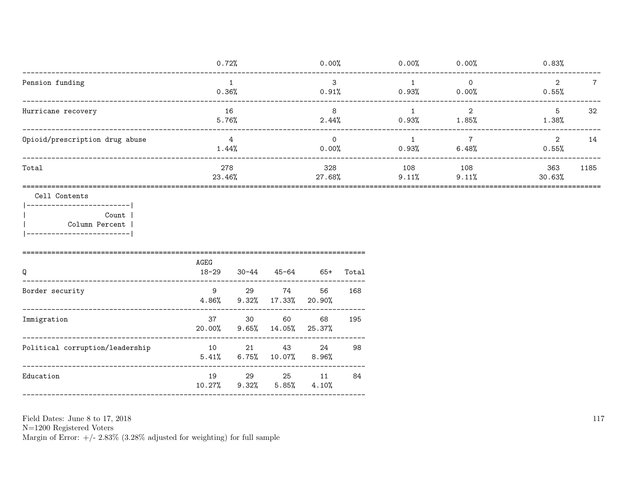|                                          | 0.72%         | 0.00%                | 0.00%        | 0.00%        | 0.83%                            |
|------------------------------------------|---------------|----------------------|--------------|--------------|----------------------------------|
| Pension funding                          | 0.36%         | 3<br>0.91%           | 0.93%        | 0<br>0.00%   | 2<br>$7\phantom{.}$<br>0.55%     |
| Hurricane recovery                       | 16<br>5.76%   | 8<br>2.44%           | $0.93\%$     | 2<br>1.85%   | 32<br>5<br>1.38%                 |
| Opioid/prescription drug abuse           | 4<br>1.44%    | $\mathbf 0$<br>0.00% | 0.93%        | 6.48%        | 14<br>$\mathcal{D}_{1}$<br>0.55% |
| Total                                    | 278<br>23.46% | 328<br>27.68%        | 108<br>9.11% | 108<br>9.11% | 363<br>1185<br>30.63%            |
| Cell Contents<br>Count<br>Column Percent |               |                      |              |              |                                  |

| Q                               | AGEG<br>18-29 | 30-44 | 45-64                                       | 65+          | Total |
|---------------------------------|---------------|-------|---------------------------------------------|--------------|-------|
| Border security                 | 9             | 29    | 74<br>$4.86\%$ $9.32\%$ $17.33\%$ $20.90\%$ | 56           | 168   |
| Immigration                     | 37<br>20.00%  | -30   | 60<br>9.65%14.05%                           | 68<br>25.37% | 195   |
| Political corruption/leadership | 10            | 21    | 43<br>$5.41\%$ 6.75% 10.07% 8.96%           | 24           | 98    |
| Education                       | 19<br>10.27%  | 29    | 25<br>$9.32\%$ 5.85% 4.10%                  | 11           | 84    |

 ${\cal N}{=}1200$  Registered Voters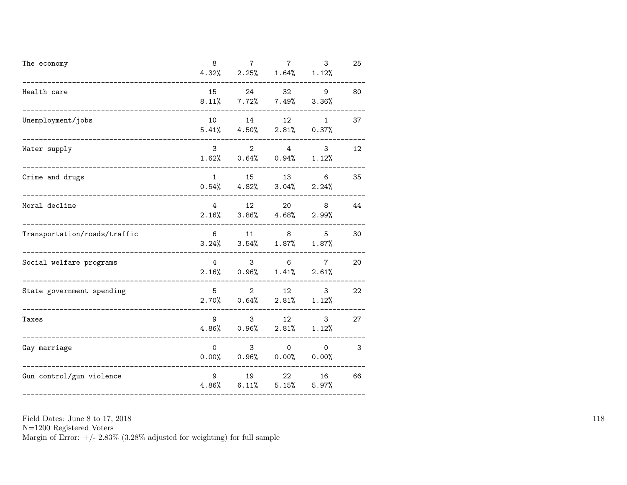| The economy                  | 8<br>4.32%      | $\overline{7}$                               | $7^{\circ}$<br>$2.25\%$ $1.64\%$ | 3<br>1.12%               | 25 |
|------------------------------|-----------------|----------------------------------------------|----------------------------------|--------------------------|----|
| Health care                  | 15              | 24<br>$8.11\%$ $7.72\%$ $7.49\%$             | 32                               | 9<br>3.36%               | 80 |
| Unemployment/jobs            | 10              | 14<br>$5.41\%$ $4.50\%$                      | 12<br>2.81%                      | $1\overline{ }$<br>0.37% | 37 |
| Water supply                 | 3 <sup>1</sup>  | $\overline{2}$<br>$1.62\%$ 0.64% 0.94% 1.12% |                                  | 3<br>$4\degree$          | 12 |
| Crime and drugs              | $1 \quad$       | 15<br>$0.54\%$ 4.82% 3.04% 2.24%             | 13                               | 6                        | 35 |
| Moral decline                | 4<br>2.16%      | 12                                           | 20<br>$3.86\%$ $4.68\%$ $2.99\%$ | 8                        | 44 |
| Transportation/roads/traffic | 6               | $3.24\%$ $3.54\%$ $1.87\%$ $1.87\%$          | 11 8                             | 5                        | 30 |
| Social welfare programs      | $4\overline{ }$ | $2.16\%$ 0.96% 1.41% 2.61%                   | $3 \t 6$                         | $7\phantom{.0}$          | 20 |
| State government spending    | 5               | $2^{\circ}$<br>$2.70\%$ 0.64% $2.81\%$ 1.12% | 12 and $\overline{a}$            | 3 <sup>1</sup>           | 22 |
| Taxes                        | 9               | 3 <sup>1</sup><br>$4.86\%$ 0.96%             | 12<br>2.81%                      | 3<br>1.12%               | 27 |
| Gay marriage                 | $\Omega$        | $3^{\circ}$<br>$0.00\%$ 0.96% 0.00% 0.00%    | $0 \qquad \qquad$                | $\overline{0}$           | 3  |
| Gun control/gun violence     | 9<br>4.86%      | 19                                           | 22<br>$6.11\%$ $5.15\%$          | 16<br>5.97%              | 66 |

N=1200 Registered Voters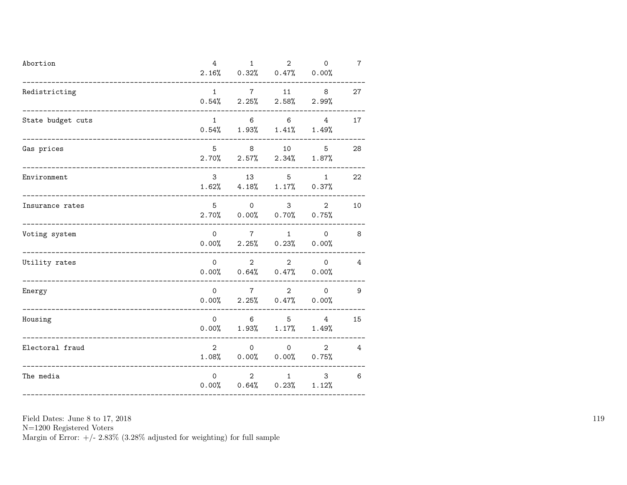| Abortion          | 4              | 1<br>$2.16\%$ 0.32% 0.47% 0.00%               | $2^{\circ}$                    | $\mathsf{O}$                     | $\overline{7}$ |
|-------------------|----------------|-----------------------------------------------|--------------------------------|----------------------------------|----------------|
| Redistricting     | $1 \quad$      | $0.54\%$ 2.25% 2.58% 2.99%                    | $7 \qquad 11 \qquad 8$         |                                  | 27             |
| State budget cuts | 1              | $0.54\%$ 1.93% 1.41% 1.49%                    | 6 6                            | 4                                | 17             |
| Gas prices        | 5 <sup>5</sup> | $2.70\%$ $2.57\%$ $2.34\%$ $1.87\%$           | 8 10                           | 5 <sup>5</sup>                   | 28             |
| Environment       |                | 3 13 5<br>$1.62\%$ $4.18\%$ $1.17\%$ $0.37\%$ |                                | 1                                | 22             |
| Insurance rates   | 5              | $\overline{O}$<br>$2.70\%$ 0.00% 0.70% 0.75%  |                                | $3 \sim$<br>$\overline{2}$       | 10             |
| Voting system     | $\circ$        | $7\overline{ }$<br>$0.00\%$ 2.25% 0.23% 0.00% |                                | $1 \qquad \qquad 0$              | 8 <sup>8</sup> |
| Utility rates     |                | $\overline{0}$<br>$0.00\%$ 0.64% 0.47% 0.00%  | $\overline{2}$                 | $\overline{2}$<br>$\overline{0}$ | $\overline{4}$ |
| Energy            | $\Omega$       | $0.00\%$ 2.25% 0.47% 0.00%                    | $7 \overline{}$                | $\overline{2}$<br>$\overline{0}$ | 9              |
| Housing           | $\Omega$       | $0.00\%$ 1.93% 1.17% 1.49%                    | 6 5 4                          |                                  | 15             |
| Electoral fraud   | $\mathbf{2}$   | $\Omega$<br>$1.08\%$ 0.00% 0.00% 0.75%        | $\Omega$                       | $\overline{2}$                   | 4              |
| The media         | $\mathbf{0}$   | $0.00\%$ $0.64\%$ $0.23\%$ $1.12\%$           | $2 \left( \frac{1}{2} \right)$ | 3<br>$1 \qquad \qquad$           | 6              |

N=1200 Registered Voters<br>Margin of Error:  $+/- 2.83\%$  (3.28% adjusted for weighting) for full sample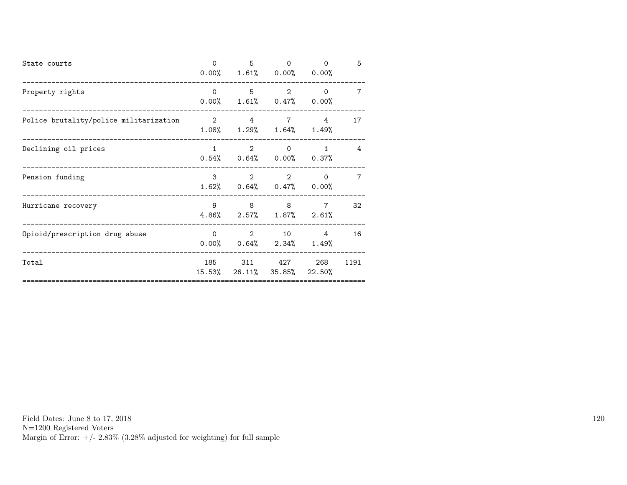| State courts                           | $\Omega$     | 5   | $\Omega$<br>$0.00\%$ 1.61% 0.00% 0.00%                 | $\Omega$       | 5    |
|----------------------------------------|--------------|-----|--------------------------------------------------------|----------------|------|
| Property rights                        |              |     | $0 \qquad 5 \qquad 2$<br>$0.00\%$ 1.61% 0.47% 0.00%    | $\Omega$       | 7    |
| Police brutality/police militarization |              | 2 4 | $7\overline{ }$<br>$1.08\%$ $1.29\%$ $1.64\%$ $1.49\%$ | 4              | 17   |
| Declining oil prices                   | $1 \quad$    |     | $2 \qquad \qquad 0$<br>$0.54\%$ 0.64% 0.00% 0.37%      | $\mathbf{1}$   | 4    |
| Pension funding                        | $\mathbf{3}$ |     | 2 2<br>$1.62\%$ 0.64% 0.47% 0.00%                      | $\Omega$       | 7    |
| Hurricane recovery                     | $9^{\circ}$  |     | 888<br>$4.86\%$ 2.57% 1.87% 2.61%                      | $\overline{7}$ | 32   |
| Opioid/prescription drug abuse         | $\Omega$     |     | $2 \t 10$<br>$0.00\%$ $0.64\%$ $2.34\%$ $1.49\%$       | 4              | 16   |
| Total                                  |              |     | 185 311 427<br>15.53% 26.11% 35.85% 22.50%             | 268            | 1191 |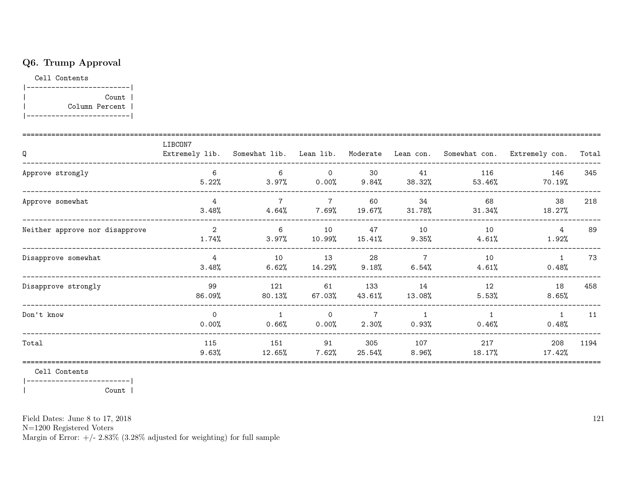## Q6. Trump Approval

Cell Contents

|-------------------------| Count | Column Percent |  $\overline{\phantom{a}}$  $|----------$ 

| Q                              | LIBCON7                 | Extremely lib. Somewhat lib. Lean lib. Moderate |                         |                  |                            |                 | Lean con. Somewhat con. Extremely con. | Total |
|--------------------------------|-------------------------|-------------------------------------------------|-------------------------|------------------|----------------------------|-----------------|----------------------------------------|-------|
| Approve strongly               | 6<br>5.22%              | 6<br>3.97%                                      | $\overline{0}$<br>0.00% | 30<br>9.84%      | 41<br>38.32%               | 116<br>53.46%   | 146<br>70.19%                          | 345   |
| Approve somewhat               | 4<br>3.48%              | $\overline{7}$<br>4.64%                         | $\overline{7}$<br>7.69% | 60<br>19.67%     | 34<br>31.78%               | 68<br>$31.34\%$ | 38<br>18.27%                           | 218   |
| Neither approve nor disapprove | $\overline{2}$<br>1.74% | 6<br>$3.97\%$                                   | 10<br>10.99%            | 47<br>15.41%     | 10<br>9.35%                | 10<br>4.61%     | 4<br>1.92%                             | 89    |
| Disapprove somewhat            | 4<br>3.48%              | 10<br>$6.62\%$                                  | 13<br>14.29%            | 28<br>9.18%      | $\overline{7}$<br>$6.54\%$ | 10<br>4.61%     | $\mathbf{1}$<br>0.48%                  | 73    |
| Disapprove strongly            | 99<br>86.09%            | 121<br>80.13%                                   | 61<br>67.03%            | 133<br>43.61%    | 14<br>13.08%               | 12<br>5.53%     | 18<br>8.65%                            | 458   |
| Don't know                     | $\Omega$<br>0.00%       | $\mathbf{1}$<br>0.66%                           | $\Omega$<br>0.00%       | 2.30%            | 0.93%                      | $0.46\%$        | $\mathbf{1}$<br>0.48%                  | 11    |
| Total                          | 115<br>9.63%            | 151<br>12.65%                                   | 91<br>7.62%             | 305<br>$25.54\%$ | 107<br>8.96%               | 217<br>18.17%   | 208<br>17.42%                          | 1194  |

Cell Contents

|-------------------------|  $\mathbf{I}$ 

 $Count$  |

Field Dates: June 8 to 17, 2018

 ${\rm N}{=}1200$  Registered Voters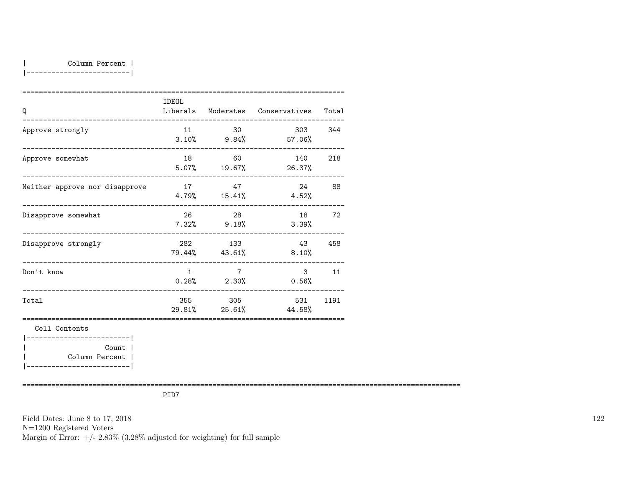|-------------------------|

| Q                                                         | IDEOL     |                          | Liberals Moderates Conservatives Total |      |
|-----------------------------------------------------------|-----------|--------------------------|----------------------------------------|------|
| Approve strongly                                          | 11        | 30                       | 303 344<br>$3.10\%$ 9.84% 57.06%       |      |
| Approve somewhat                                          |           | 18 60                    | 140<br>$5.07\%$ 19.67% 26.37%          | 218  |
| Neither approve nor disapprove                            |           | 17 47                    | 24 88<br>$4.79\%$ $15.41\%$ $4.52\%$   |      |
| Disapprove somewhat                                       |           | 26 28<br>$7.32\%$ 9.18%  | 18 72<br>3.39%                         |      |
| Disapprove strongly                                       |           | 282 133<br>79.44% 43.61% | 43 458<br>$8.10\%$                     |      |
| _______________________________<br>Don't know             | $1 \quad$ | $7\overline{7}$          | $\mathbf{3}$<br>$0.28\%$ 2.30% 0.56%   | 11   |
| _________________________________<br>Total                |           | 355 305                  | 531<br>29.81% 25.61% 44.58%            | 1191 |
| Cell Contents<br>-----------------------                  |           |                          |                                        |      |
| Count  <br>Column Percent  <br>-------------------------- |           |                          |                                        |      |

==========================================================================================================

PID7

Field Dates: June 8 to 17, 2018 N=1200 Registered Voters Margin of Error:  $+/- 2.83\%$  (3.28% adjusted for weighting) for full sample 122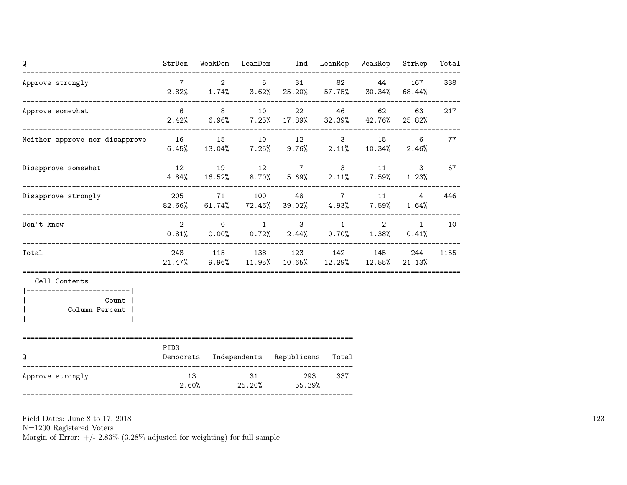| Q                                                     | StrDem           |                                     |             | WeakDem LeanDem Ind LeanRep WeakRep                                           |          |       | StrRep                       | Total |
|-------------------------------------------------------|------------------|-------------------------------------|-------------|-------------------------------------------------------------------------------|----------|-------|------------------------------|-------|
| Approve strongly                                      | $7\overline{7}$  |                                     | $2 \quad 5$ | 31<br>$2.82\%$ $1.74\%$ $3.62\%$ $25.20\%$ $57.75\%$ $30.34\%$                |          | 82 44 | 167<br>68.44%                | 338   |
| Approve somewhat                                      | $6\overline{6}$  |                                     | 8 10        | 22<br>$2.42\%$ 6.96% 7.25% 17.89% 32.39% 42.76% 25.82%                        | 46 — 10  | 62    | 63                           | 217   |
| Neither approve nor disapprove 16 15 10 12 3 15       |                  |                                     |             | 6.45% 13.04% 7.25% 9.76% 2.11% 10.34% 2.46%                                   |          |       | $6\overline{6}$              | 77    |
| Disapprove somewhat                                   |                  |                                     |             | 12 19 12 7 3 11 3<br>$4.84\%$ 16.52% 8.70% 5.69% 2.11% 7.59%                  |          |       | 1.23%                        | 67    |
| Disapprove strongly                                   |                  |                                     |             | 205 71 100 48 7 11<br>82.66%  61.74%  72.46%  39.02%   4.93%   7.59%          |          |       | $\overline{4}$<br>$1.64\%$   | 446   |
| Don't know                                            |                  | $2 \qquad \qquad 0 \qquad \qquad 1$ |             | $0.81\%$ $0.00\%$ $0.72\%$ $2.44\%$ $0.70\%$ $1.38\%$                         | $3 \t 1$ |       | $\overline{2}$<br>1<br>0.41% | 10    |
| Total                                                 |                  |                                     |             | 248 115 138 123 142 145<br>$21.47\%$ 9.96% 11.95% 10.65% 12.29% 12.55% 21.13% |          |       | 244                          | 1155  |
| Cell Contents<br>--------------------------           |                  |                                     |             |                                                                               |          |       |                              |       |
| Count  <br>Column Percent  <br>---------------------- |                  |                                     |             |                                                                               |          |       |                              |       |
| -------------------------------------<br>Q            | PID <sub>3</sub> |                                     |             | Democrats Independents Republicans Total                                      |          |       |                              |       |
| Approve strongly                                      | 13               |                                     | 31          | 293<br>$2.60\%$ 25.20% 55.39%                                                 | 337      |       |                              |       |

N=1200 Registered Voters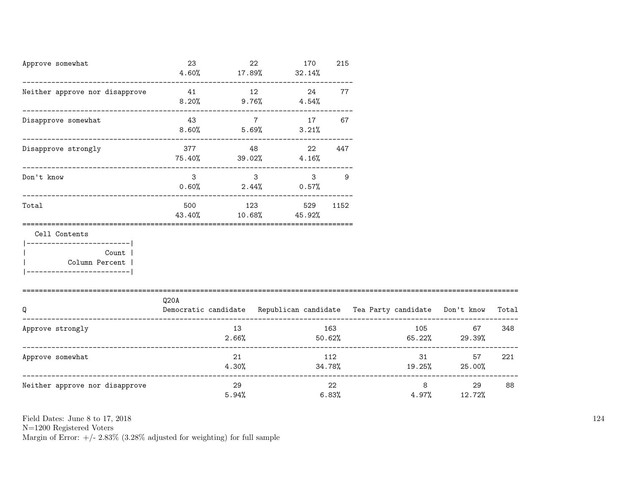| Approve somewhat<br>___________________________                                                            | 23<br>4.60%                                                                      | 17.89%                  | 22              | 170<br>32.14%              | 215            |  |       |                                     |       |
|------------------------------------------------------------------------------------------------------------|----------------------------------------------------------------------------------|-------------------------|-----------------|----------------------------|----------------|--|-------|-------------------------------------|-------|
| Neither approve nor disapprove<br>-------------------------------                                          | 41<br>-----------------------------                                              |                         | 12              | 24<br>$8.20\%$ 9.76% 4.54% | 77             |  |       |                                     |       |
| Disapprove somewhat                                                                                        | 43                                                                               | $8.60\%$ 5.69%          | $7\overline{7}$ | 17                         | 67<br>3.21%    |  |       |                                     |       |
| Disapprove strongly                                                                                        | $75.40\%$ 39.02%                                                                 | 377 48                  |                 | 22<br>4.16%                | 447            |  |       |                                     |       |
| Don't know                                                                                                 | $\mathbf{3}$                                                                     | $\overline{\mathbf{3}}$ |                 | $0.60\%$ 2.44% 0.57%       | $3^9$          |  |       |                                     |       |
| Total                                                                                                      | 500<br>43.40%                                                                    | 123                     |                 | $10.68\%$ 45.92%           | 529 1152       |  |       |                                     |       |
| Cell Contents<br>----------------------- <br><b>Count</b><br>  Column Percent  <br>----------------------- |                                                                                  |                         |                 |                            |                |  |       |                                     |       |
| Q                                                                                                          | Q20A<br>Democratic candidate Republican candidate Tea Party candidate Don't know |                         |                 |                            |                |  |       |                                     | Total |
| Approve strongly                                                                                           |                                                                                  | 13<br>2.66%             |                 |                            | 163<br>50.62%  |  | 105   | 67<br>$65.22\%$ 29.39%              | 348   |
| Approve somewhat                                                                                           |                                                                                  | 21<br>4.30%             |                 |                            | 112            |  |       | 31<br>57<br>$34.78\%$ 19.25% 25.00% | 221   |
| Neither approve nor disapprove                                                                             |                                                                                  | 29<br>5.94%             |                 |                            | 22<br>$6.83\%$ |  | 4.97% | $8 - 8$<br>29<br>12.72%             | 88    |

N=1200 Registered Voters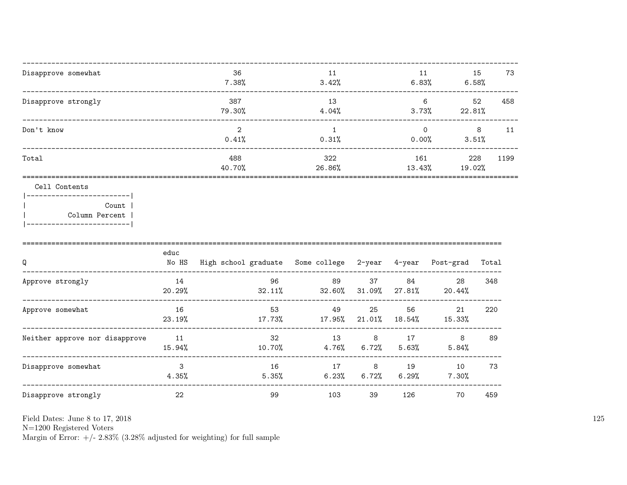| Disapprove somewhat                                                                                     |                         | 36<br>7.38%                                                     | 11<br>3.42%                                   |                |                  | 11<br>6.83%                                                                                                                                                                                                                                     | 15<br>73<br>6.58% |
|---------------------------------------------------------------------------------------------------------|-------------------------|-----------------------------------------------------------------|-----------------------------------------------|----------------|------------------|-------------------------------------------------------------------------------------------------------------------------------------------------------------------------------------------------------------------------------------------------|-------------------|
| Disapprove strongly                                                                                     |                         | 387<br>79.30%                                                   | 13<br>4.04%                                   |                |                  | 6<br>$3.73\%$ 22.81%                                                                                                                                                                                                                            | 52<br>458         |
| Don't know                                                                                              |                         | $\overline{2}$<br>0.41%                                         | 1<br>0.31%                                    |                |                  | $\Omega$<br>$0.00\%$ 3.51%                                                                                                                                                                                                                      | 8<br>11           |
| Total<br>------------------------                                                                       |                         | 488<br>40.70%                                                   | 322<br>26.86%<br>======================       |                | 161              | 13.43%<br>19.02%<br>==================================                                                                                                                                                                                          | 228<br>1199       |
| Cell Contents<br>---------------------------<br>Count<br>Column Percent  <br>__________________________ |                         |                                                                 |                                               |                |                  |                                                                                                                                                                                                                                                 |                   |
| Q                                                                                                       | educ                    | No HS High school graduate Some college 2-year 4-year Post-grad |                                               |                |                  |                                                                                                                                                                                                                                                 | Total             |
| Approve strongly                                                                                        | 14<br>20.29%            | 96                                                              | 89<br>$32.11\%$ $32.60\%$ $31.09\%$ $27.81\%$ | 37 — 17        |                  | 84 — 100 — 100 — 100 — 100 — 100 — 100 — 100 — 100 — 100 — 100 — 100 — 100 — 100 — 100 — 100 — 100 — 100 — 100 — 100 — 100 — 100 — 100 — 100 — 100 — 100 — 100 — 100 — 100 — 100 — 100 — 100 — 100 — 100 — 100 — 100 — 100 — 10<br>28<br>20.44% | 348               |
| Approve somewhat<br>_________________                                                                   | 16<br>23.19%            | 53<br>17.73%                                                    | 49<br>$17.95\%$                               | 25             | $21.01\%$ 18.54% | 56 7 10<br>21<br>15.33%                                                                                                                                                                                                                         | 220               |
| Neither approve nor disapprove                                                                          | 11<br>15.94%            | 32<br>10.70%                                                    | 13                                            | $4.76\%$ 6.72% | 8 17<br>5.63%    | 8<br>$5.84\%$                                                                                                                                                                                                                                   | 89                |
| Disapprove somewhat                                                                                     | 3 <sup>1</sup><br>4.35% | 16<br>$5.35\%$                                                  | 17<br>6.23%                                   | 6.72%          |                  | 19 10<br>$6.29\%$ 7.30%                                                                                                                                                                                                                         | 73                |
| Disapprove strongly                                                                                     | 22                      | 99                                                              | 103                                           | 39             | 126              | 70                                                                                                                                                                                                                                              | 459               |

 ${\cal N}{=}1200$  Registered Voters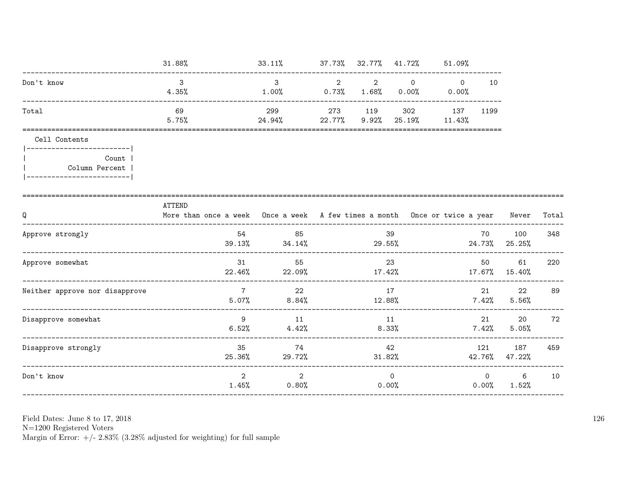|                                                           | $31.88\%$                                                                                               | 33.11%                                  |   | 37.73% 32.77% 41.72%       |          | 51.09%                           |                |                      |     |
|-----------------------------------------------------------|---------------------------------------------------------------------------------------------------------|-----------------------------------------|---|----------------------------|----------|----------------------------------|----------------|----------------------|-----|
| Don't know                                                | $\mathcal{B}$<br>$4.35\%$                                                                               | $\mathbf{3}$<br>$1.00\%$ 0.73% $1.68\%$ | 2 | $\sim$ 2                   | $\Omega$ | $\overline{0}$<br>$0.00\%$ 0.00% | 10             |                      |     |
| Total                                                     | 69<br>5.75%                                                                                             | 299<br>24.94%                           |   | 273 119<br>$22.77\%$ 9.92% | 302      | 137 1199<br>25.19% 11.43%        |                |                      |     |
| Cell Contents<br>--------------------------               |                                                                                                         |                                         |   |                            |          |                                  |                |                      |     |
| Count  <br>Column Percent  <br>-------------------------- |                                                                                                         |                                         |   |                            |          |                                  |                |                      |     |
| Q                                                         | <b>ATTEND</b><br>More than once a week Once a week A few times a month Once or twice a year Never Total |                                         |   |                            |          |                                  |                |                      |     |
| Approve strongly                                          | 54                                                                                                      | 85<br>$39.13\%$ $34.14\%$ $29.55\%$     |   |                            | 39       |                                  | 70             | 100<br>24.73% 25.25% | 348 |
| Approve somewhat                                          | 31                                                                                                      | 55<br>$22.46\%$ 22.09%                  |   | 17.42%                     | 23       | $17.67\%$ $15.40\%$              | 50             | 61                   | 220 |
| Neither approve nor disapprove                            | $7\overline{7}$<br>5.07%                                                                                | 22<br>8.84%                             |   | 17<br>12.88%               |          |                                  | 7.42%          | 22<br>5.56%          | 89  |
| Disapprove somewhat                                       | 9<br>6.52%                                                                                              | 11<br>4.42%                             |   | 11<br>8.33%                |          |                                  | 7.42%          | 20<br>5.05%          | 72  |
| Disapprove strongly                                       | 35<br>25.36%                                                                                            | 74<br>29.72%                            |   | 31.82%                     | 42       |                                  | 121            | 187<br>42.76% 47.22% | 459 |
| Don't know                                                | $\overline{2}$<br>1.45%                                                                                 | 2<br>0.80%                              |   | 0.00%                      | $\Omega$ |                                  | $\overline{0}$ | 6<br>$0.00\%$ 1.52%  | 10  |

N=1200 Registered Voters<br>Margin of Error:  $+/- 2.83\%$  (3.28% adjusted for weighting) for full sample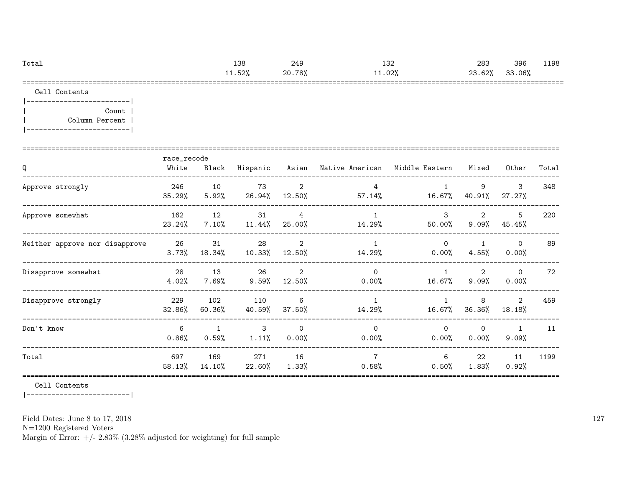| Total | 138   | 249         | າລເ<br>⊥ບ∠ | 283    | 396    | 1198 |
|-------|-------|-------------|------------|--------|--------|------|
|       | 1.52% | .78%<br>20. | $.1.02\%$  | 23.62% | 33.06% |      |
| ----  |       |             |            |        |        |      |

Cell Contents

|-------------------------| | Count | | Column Percent | |-------------------------|

| Q                              | race_recode<br>White | Black                 | Hispanic              |                          | Asian Native American   | Middle Eastern       | Mixed                      | Other                 | Total |
|--------------------------------|----------------------|-----------------------|-----------------------|--------------------------|-------------------------|----------------------|----------------------------|-----------------------|-------|
| Approve strongly               | 246<br>35.29%        | 10<br>5.92%           | 73<br>26.94%          | 2<br>12.50%              | 4<br>$57.14\%$          | 16.67%               | 9<br>40.91%                | 3<br>27.27%           | 348   |
| Approve somewhat               | 162<br>23.24%        | 12<br>$7.10\%$        | 31<br>11.44%          | $\overline{4}$<br>25.00% | 14.29%                  | 3<br>50.00%          | $\overline{2}$<br>$9.09\%$ | 5<br>45.45%           | 220   |
| Neither approve nor disapprove | 26<br>3.73%          | 31<br>18.34%          | 28<br>10.33%          | 2<br>12.50%              | 14.29%                  | $\Omega$<br>$0.00\%$ | $4.55\%$                   | $\Omega$<br>0.00%     | 89    |
| Disapprove somewhat            | 28<br>4.02%          | 13<br>$7.69\%$        | 26<br>$9.59\%$        | $\overline{2}$<br>12.50% | $\Omega$<br>$0.00\%$    | 16.67%               | $\overline{2}$<br>9.09%    | $\circ$<br>$0.00\%$   | 72    |
| Disapprove strongly            | 229<br>32.86%        | 102<br>60.36%         | 110<br>40.59%         | 6<br>37.50%              | $\mathbf{1}$<br>14.29%  | 16.67%               | 8<br>36.36%                | 2<br>18.18%           | 459   |
| Don't know                     | 6<br>$0.86\%$        | $\mathbf{1}$<br>0.59% | $\mathbf{3}$<br>1.11% | $\Omega$<br>0.00%        | $\Omega$<br>0.00%       | $\Omega$<br>$0.00\%$ | $\Omega$<br>0.00%          | $\mathbf{1}$<br>9.09% | 11    |
| Total                          | 697<br>58.13%        | 169<br>14.10%         | 271<br>22.60%         | 16<br>1.33%              | $\overline{7}$<br>0.58% | 6<br>0.50%           | 22<br>1.83%                | 11<br>0.92%           | 1199  |

Cell Contents

|-------------------------|

Field Dates: June 8 to 17, 2018

N=1200 Registered Voters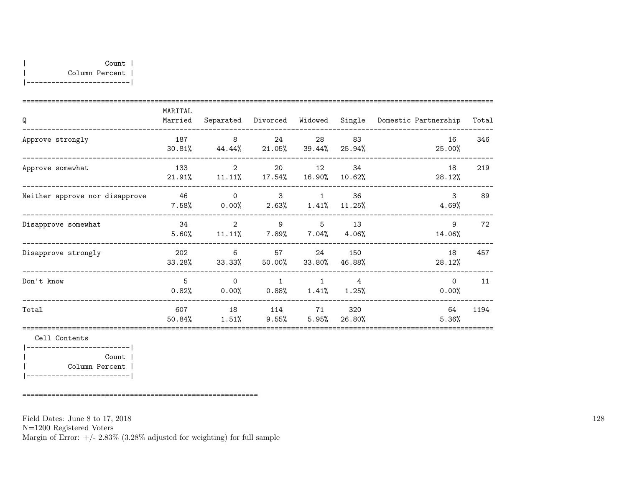| Q                              | MARITAL<br>Married   |                                                           | Separated Divorced                          | Widowed Single          |                | Domestic Partnership | Total |
|--------------------------------|----------------------|-----------------------------------------------------------|---------------------------------------------|-------------------------|----------------|----------------------|-------|
| Approve strongly               | 187                  | 8 <sup>8</sup><br>$30.81\%$ $44.44\%$ $21.05\%$ $39.44\%$ | 24                                          | 28                      | 83<br>25.94%   | 16<br>25.00%         | 346   |
| Approve somewhat               | 133                  | 2<br>$21.91\%$ $11.11\%$                                  | 20<br>$17.54\%$                             | 12<br>16.90%            | 34<br>10.62%   | 18<br>28.12%         | 219   |
| Neither approve nor disapprove | 46<br>$7.58\%$       | $\Omega$                                                  | $\mathbf{3}$<br>$0.00\%$ 2.63% 1.41% 11.25% | $\mathbf{1}$            | 36             | 3<br>4.69%           | 89    |
| Disapprove somewhat            | - 34<br>5.60%        | 2<br>$11.11\%$ 7.89% 7.04% 4.06%                          | 9                                           | $5\overline{)}$         | 13             | 9<br>14.06%          | 72    |
| Disapprove strongly            | 202                  | 6<br>$33.28\%$ $33.33\%$                                  | 50.00%                                      | 57 — 10<br>24<br>33.80% | 150<br>46.88%  | 18<br>28.12%         | 457   |
| Don't know                     | $5^{\circ}$<br>0.82% | $\Omega$<br>0.00%                                         | $\mathbf{1}$<br>$0.88\%$ $1.41\%$ $1.25\%$  | $\mathbf{1}$            | $\overline{4}$ | $\Omega$<br>0.00%    | 11    |
| Total                          | 607<br>50.84%        | 18<br>1.51%                                               | 114 71<br>$9.55\%$ 5.95%                    |                         | 320<br>26.80%  | 64<br>5.36%          | 1194  |

|-------------------------| | Count | | Column Percent | |-------------------------|

=========================================================

Field Dates: June 8 to 17, 2018 N=1200 Registered Voters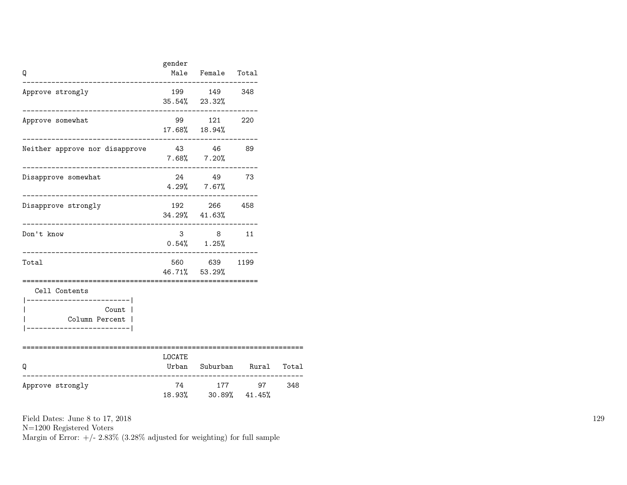| Q                                                                                                    | gender                 | Male Female Total                                                             |                            |  |
|------------------------------------------------------------------------------------------------------|------------------------|-------------------------------------------------------------------------------|----------------------------|--|
| Approve strongly                                                                                     |                        | 199 149 348<br>$35.54\%$ 23.32%                                               |                            |  |
| Approve somewhat                                                                                     |                        | 99 121 220<br>17.68% 18.94%                                                   |                            |  |
| Neither approve nor disapprove                                                                       |                        | 43 46 89<br>$7.68\%$ $7.20\%$                                                 |                            |  |
| Disapprove somewhat                                                                                  | ---------------------- | 24 49 73<br>$4.29\%$ 7.67%                                                    |                            |  |
| Disapprove strongly                                                                                  |                        | 192 266 458<br>34.29% 41.63%                                                  |                            |  |
| Don't know                                                                                           |                        | $\begin{array}{ccccccccc}\n3 & & & 8 & & & 11\n\end{array}$<br>$0.54\%$ 1.25% |                            |  |
| Total                                                                                                |                        | 560 639 1199<br>46.71% 53.29%                                                 |                            |  |
| Cell Contents<br>----------------------- <br>Count  <br>Column Percent  <br>------------------------ |                        |                                                                               |                            |  |
| Q<br>------------                                                                                    | LOCATE                 |                                                                               | Urban Suburban Rural Total |  |
| Approve strongly                                                                                     | 74                     | 18.93% 30.89% 41.45%                                                          | 177 97 348                 |  |

N=1200 Registered Voters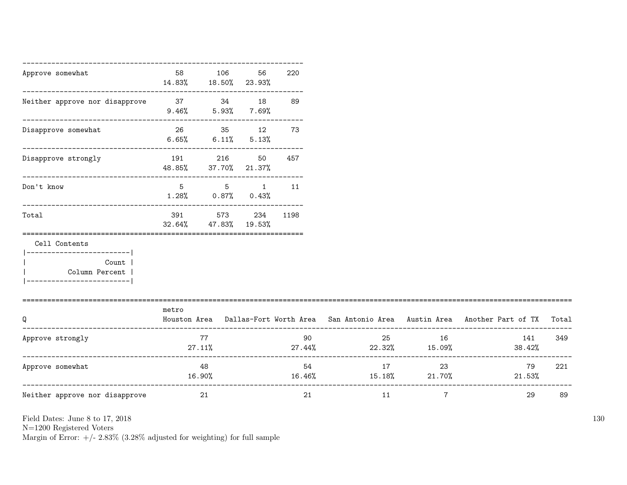| Approve somewhat                                                                                     | 58            | 106<br>14.83% 18.50% 23.93%                                  | 56                  | 220                    |                                     |                |                                                                                     |       |
|------------------------------------------------------------------------------------------------------|---------------|--------------------------------------------------------------|---------------------|------------------------|-------------------------------------|----------------|-------------------------------------------------------------------------------------|-------|
| Neither approve nor disapprove 37 34 18                                                              | 9.46%         |                                                              | $5.93\%$ $7.69\%$   | 89                     |                                     |                |                                                                                     |       |
| Disapprove somewhat                                                                                  | 6.65%         | 26 35 12                                                     | $6.11\%$ $5.13\%$   | 73                     |                                     |                |                                                                                     |       |
| Disapprove strongly                                                                                  | 191<br>48.85% | 216                                                          | 50<br>37.70% 21.37% | 457                    |                                     |                |                                                                                     |       |
| Don't know                                                                                           | 5             | 5<br>$1.28\%$ 0.87% 0.43%                                    |                     | $1 \quad \cdots$<br>11 |                                     |                |                                                                                     |       |
| Total                                                                                                | 391<br>32.64% | ____________________________________<br>573<br>47.83% 19.53% |                     | 234 1198               |                                     |                |                                                                                     |       |
| Cell Contents<br>------------------------- <br>Count  <br>Column Percent  <br>---------------------- |               |                                                              |                     |                        |                                     |                |                                                                                     |       |
| Q                                                                                                    | metro         |                                                              |                     |                        |                                     |                | Houston Area Dallas-Fort Worth Area San Antonio Area Austin Area Another Part of TX | Total |
| Approve strongly                                                                                     |               | 77<br>27.11%                                                 |                     | 90                     | $27.44\%$ 22.32% 15.09%             | 25 16          | 141<br>38.42%                                                                       | 349   |
| Approve somewhat                                                                                     | 16.90%        | 48                                                           |                     | 54                     | 17<br>$16.46\%$ $15.18\%$ $21.70\%$ | 23             | 79<br>$21.53\%$                                                                     | 221   |
| Neither approve nor disapprove                                                                       |               | 21                                                           |                     | 21                     | 11                                  | $\overline{7}$ | 29                                                                                  | 89    |

N=1200 Registered Voters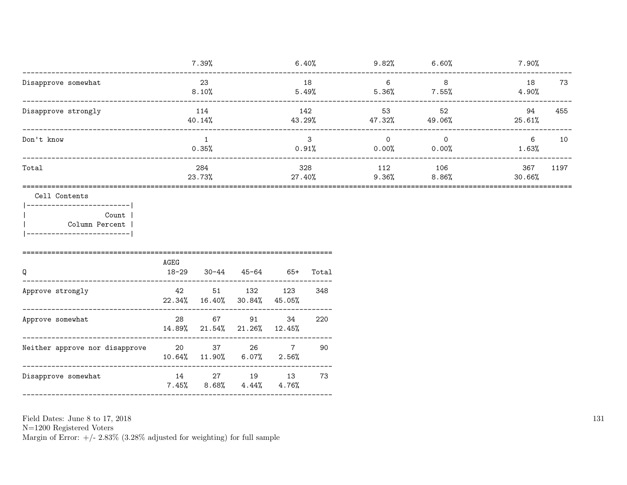| 7.39%         | 6.40%         |                 |             | 7.90%                                                                           |
|---------------|---------------|-----------------|-------------|---------------------------------------------------------------------------------|
| 23<br>8.10%   | 18<br>5.49%   | - 6<br>5.36%    | -8          | 18<br>73<br>4.90%                                                               |
| 114<br>40.14% | 142<br>43.29% | 53              | 52          | 94<br>455<br>25.61%                                                             |
| 0.35%         | 3             | $\overline{0}$  | $\mathbf 0$ | 6<br>10<br>1.63%                                                                |
| 284<br>23.73% | 328<br>27.40% | 112<br>$9.36\%$ | 106         | 367<br>1197<br>30.66%                                                           |
|               |               |                 |             |                                                                                 |
|               |               |                 |             | $9.82\%$ 6.60%<br>7.55%<br>$47.32\%$ $49.06\%$<br>$0.91\%$ 0.00% 0.00%<br>8.86% |

| Q                              | AGEG<br>$18 - 29$ | 30-44                           | 45-64                             | $65+$       | Total |
|--------------------------------|-------------------|---------------------------------|-----------------------------------|-------------|-------|
| Approve strongly               | 42                | 51<br>$22.34\%$ 16.40%          | 132<br>$30.84\%$ $45.05\%$        | 123         | 348   |
| Approve somewhat               | 28                | 67                              | 91<br>14.89% 21.54% 21.26% 12.45% | 34          | 220   |
| Neither approve nor disapprove | 20                | 37<br>$10.64\%$ $11.90\%$ 6.07% | 26                                | 7<br>2.56%  | 90    |
| Disapprove somewhat            | 14<br>$7.45\%$    | 27<br>8.68%                     | 19<br>4.44%                       | 13<br>4.76% | 73    |

N=1200 Registered Voters <br>Margin of Error: +/- 2.83% (3.28% adjusted for weighting) for full sample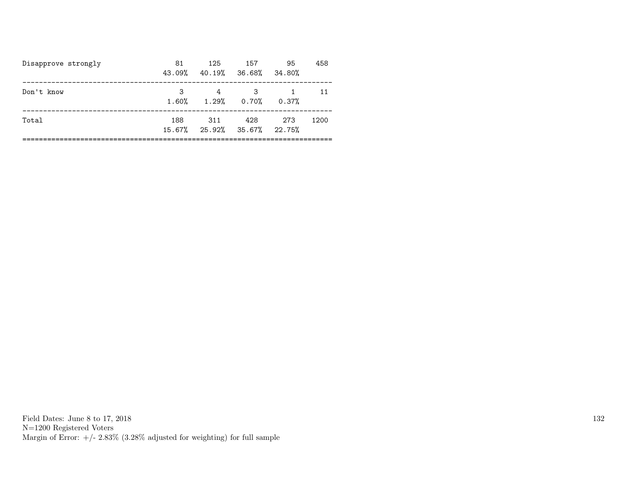| Disapprove strongly | 81<br>43.09% | 125<br>40.19% 36.68% 34.80%                    | 157 | 95    | 458  |
|---------------------|--------------|------------------------------------------------|-----|-------|------|
| Don't know          | 3            | 4<br>$1.60\%$ $1.29\%$ 0.70%                   | -3  | 0.37% | 11   |
| Total               | 188          | 311<br>$15.67\%$ $25.92\%$ $35.67\%$ $22.75\%$ | 428 | 273   | 1200 |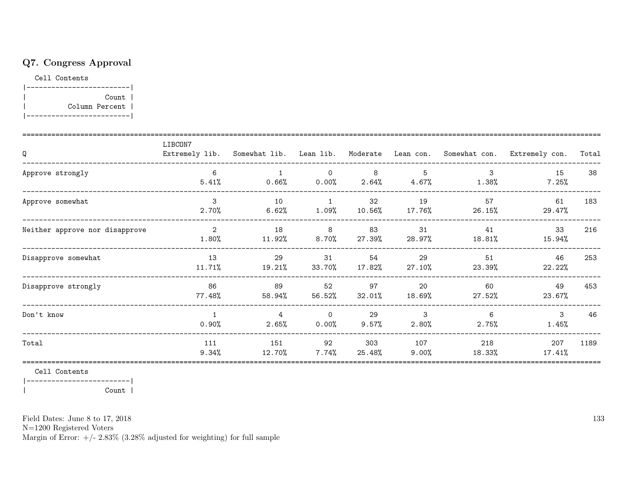## Q7. Congress Approval

Cell Contents

|-------------------------| | Count | | Column Percent | |-------------------------|

| Q                              | LIBCON7                 |                         |                            |                 |                 |               | Extremely lib. Somewhat lib. Lean lib. Moderate Lean con. Somewhat con. Extremely con. | Total |
|--------------------------------|-------------------------|-------------------------|----------------------------|-----------------|-----------------|---------------|----------------------------------------------------------------------------------------|-------|
| Approve strongly               | 6<br>5.41%              | $0.66\%$                | $\overline{0}$<br>$0.00\%$ | 8<br>2.64%      | 5<br>$4.67\%$   | 3<br>1.38%    | 15<br>7.25%                                                                            | 38    |
| Approve somewhat               | $\mathcal{E}$<br>2.70%  | 10<br>6.62%             | $\overline{1}$<br>1.09%    | 32<br>$10.56\%$ | 19<br>17.76%    | 57<br>26.15%  | 61<br>29.47%                                                                           | 183   |
| Neither approve nor disapprove | $\overline{2}$<br>1.80% | 18<br>11.92%            | 8<br>$8.70\%$              | 83<br>27.39%    | 31<br>28.97%    | 41<br>18.81%  | 33<br>15.94%                                                                           | 216   |
| Disapprove somewhat            | 13<br>11.71%            | 29<br>19.21%            | 31<br>33.70%               | 54<br>17.82%    | 29<br>27.10%    | 51<br>23.39%  | 46<br>22.22%                                                                           | 253   |
| Disapprove strongly            | 86<br>77.48%            | 89<br>58.94%            | 52<br>56.52%               | 97<br>$32.01\%$ | 20<br>18.69%    | 60<br>27.52%  | 49<br>23.67%                                                                           | 453   |
| Don't know                     | 0.90%                   | $\overline{4}$<br>2.65% | $\overline{0}$<br>0.00%    | 29<br>9.57%     | 3<br>2.80%      | 6<br>$2.75\%$ | $\mathbf{3}$<br>1.45%                                                                  | 46    |
| Total                          | 111<br>9.34%            | 151<br>12.70%           | 92<br>$7.74\%$             | 303<br>25.48%   | 107<br>$9.00\%$ | 218<br>18.33% | 207<br>17.41%                                                                          | 1189  |

Cell Contents

|-------------------------| | Count |

Field Dates: June 8 to 17, 2018

N=1200 Registered Voters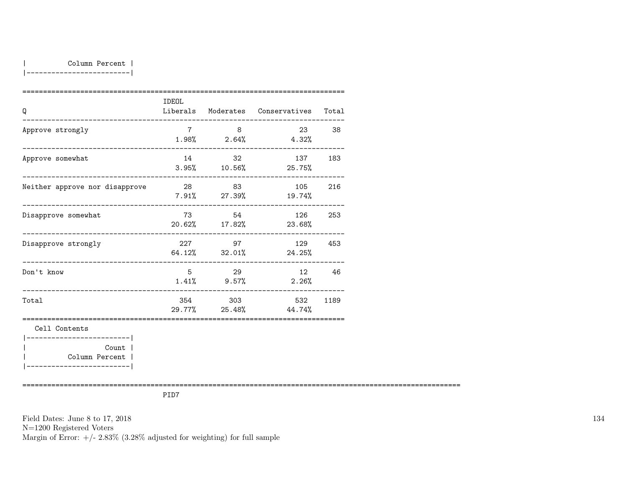|-------------------------|

| Q                                                          | IDEOL       |                           | Liberals Moderates Conservatives Total |       |
|------------------------------------------------------------|-------------|---------------------------|----------------------------------------|-------|
| Approve strongly                                           | $7^{\circ}$ | 8 <sup>8</sup>            | $1.98\%$ 2.64% 4.32%                   | 23 38 |
| --------------------------------------<br>Approve somewhat |             | 14 32                     | 137<br>$3.95\%$ $10.56\%$ $25.75\%$    | 183   |
| Neither approve nor disapprove                             |             | 28 83                     | 105<br>$7.91\%$ 27.39% 19.74%          | 216   |
| Disapprove somewhat                                        |             | 73 54<br>$20.62\%$ 17.82% | 126 253<br>23.68%                      |       |
| Disapprove strongly                                        |             | 227 97                    | 129 453<br>64.12% 32.01% 24.25%        |       |
| ______________________________<br>Don't know               | 5           | 29<br>$1.41\%$ 9.57%      | 2.26%                                  | 12 46 |
| ---------------------------------<br>Total                 |             | 354 303                   | 532<br>$29.77\%$ 25.48% 44.74%         | 1189  |
| Cell Contents<br>-----------------------                   |             |                           |                                        |       |
| Count  <br>Column Percent  <br>___________________________ |             |                           |                                        |       |

==========================================================================================================

PID7

Field Dates: June 8 to 17, 2018 N=1200 Registered Voters Margin of Error:  $+/- 2.83\%$  (3.28% adjusted for weighting) for full sample 134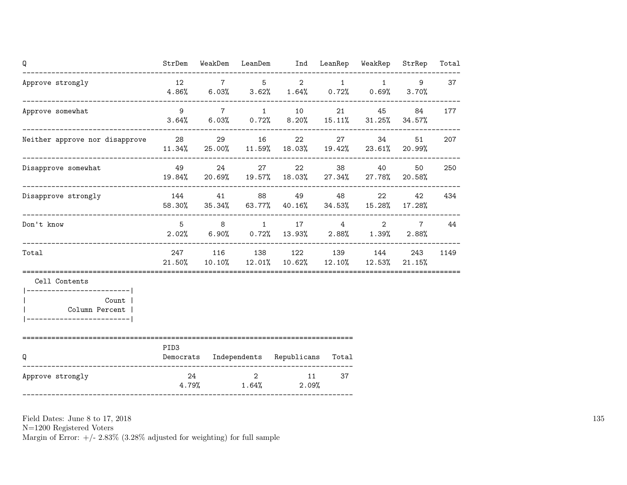| Q                                                                        | StrDem           |                         |             | WeakDem LeanDem Ind LeanRep WeakRep                                           |          |                      | StrRep                   | Total |
|--------------------------------------------------------------------------|------------------|-------------------------|-------------|-------------------------------------------------------------------------------|----------|----------------------|--------------------------|-------|
| Approve strongly                                                         | 12               |                         | $7 \quad 5$ | $4.86\%$ 6.03% 3.62% 1.64% 0.72%                                              | $2 \t 1$ | 1<br>0.69%           | 9<br>3.70%               | 37    |
| Approve somewhat                                                         | $\overline{9}$   |                         | 7 1         | $3.64\%$ 6.03% 0.72% 8.20% 15.11% 31.25% 34.57%                               |          | 21 45                | 84                       | 177   |
| Neither approve nor disapprove 28                                        |                  |                         | 29 16       | 22 and $\sim$<br>$11.34\%$ 25.00% 11.59% 18.03% 19.42% 23.61% 20.99%          |          | 27 34                | 51                       | 207   |
| Disapprove somewhat                                                      | 49               |                         | 24 27       | 22<br>19.84% 20.69% 19.57% 18.03% 27.34% 27.78% 20.58%                        |          | 38 40                | 50                       | 250   |
| Disapprove strongly                                                      |                  |                         |             | 144 41 88 49 48<br>58.30% 35.34% 63.77% 40.16% 34.53% 15.28% 17.28%           |          | 22                   | 42                       | 434   |
| Don't know                                                               |                  |                         |             | $5 \qquad 8 \qquad 1 \qquad 17 \qquad 4$<br>$2.02\%$ 6.90% 0.72% 13.93% 2.88% |          | $2^{\circ}$<br>1.39% | $7\overline{ }$<br>2.88% | 44    |
| Total                                                                    |                  |                         |             | 247 116 138 122 139 144<br>21.50% 10.10% 12.01% 10.62% 12.10% 12.53% 21.15%   |          |                      | 243                      | 1149  |
| Cell Contents<br>------------------------- <br>Count  <br>Column Percent |                  |                         |             |                                                                               |          |                      |                          |       |
| Q                                                                        | PID <sub>3</sub> |                         |             | Democrats Independents Republicans Total                                      |          |                      |                          |       |
| Approve strongly                                                         |                  | 24<br>$4.79\%$ $1.64\%$ | $2^{\circ}$ | 11<br>$2.09\%$                                                                | 37       |                      |                          |       |

N=1200 Registered Voters

Margin of Error:  $+/- 2.83\%$  (3.28% adjusted for weighting) for full sample

135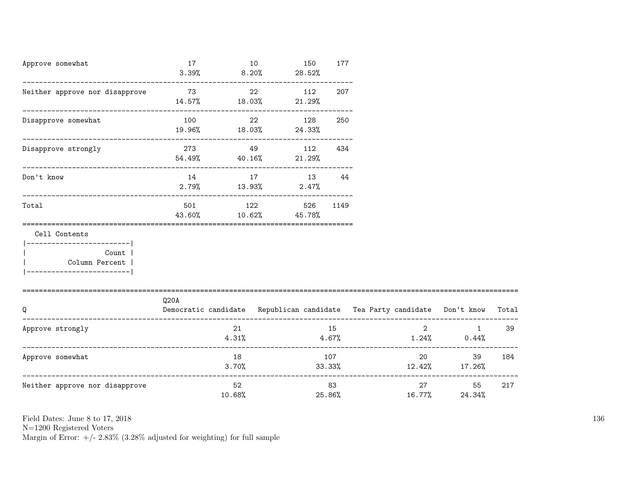| Approve somewhat<br>_______________________________                                                              | 17                      | 10<br>$3.39%$ 8.20% | 150<br>28.52%                           | 177         |        |             |                                                                                |        |
|------------------------------------------------------------------------------------------------------------------|-------------------------|---------------------|-----------------------------------------|-------------|--------|-------------|--------------------------------------------------------------------------------|--------|
| Neither approve nor disapprove                                                                                   | 73                      | 22                  | 112<br>$14.57\%$ $18.03\%$ $21.29\%$    | 207         |        |             |                                                                                |        |
| Disapprove somewhat                                                                                              | 100 22<br>19.96% 18.03% |                     | 128<br>24.33%                           | 250         |        |             |                                                                                |        |
| Disapprove strongly                                                                                              | 273 and $\sim$          |                     | 49 112<br>$54.49\%$ $40.16\%$ $21.29\%$ | 434         |        |             |                                                                                |        |
| Don't know                                                                                                       | 14                      |                     | 17 13 44<br>$2.79\%$ $13.93\%$ $2.47\%$ |             |        |             |                                                                                |        |
| Total                                                                                                            | 501<br>43.60%           |                     | 122 526 1149<br>$10.62\%$ 45.78%        |             |        |             |                                                                                |        |
| Cell Contents<br> ------------------------- <br><b>Count</b><br>  Column Percent  <br> ------------------------- |                         |                     |                                         |             |        |             |                                                                                |        |
| Q                                                                                                                | Q20A                    |                     |                                         |             |        |             | Democratic candidate Republican candidate Tea Party candidate Don't know Total |        |
| Approve strongly                                                                                                 |                         | 21<br>4.31%         |                                         | 15<br>4.67% |        | $2^{\circ}$ | $1.24\%$ 0.44%                                                                 | 1 39   |
| Approve somewhat                                                                                                 |                         | 18                  |                                         | 107         |        |             | 20<br>$3.70\%$ $33.33\%$ $12.42\%$ $17.26\%$                                   | 39 184 |
| Neither approve nor disapprove                                                                                   |                         | 52<br>10.68%        |                                         | 83          | 25.86% | 16.77%      | 27 and $\sim$<br>55<br>24.34%                                                  | 217    |

N=1200 Registered Voters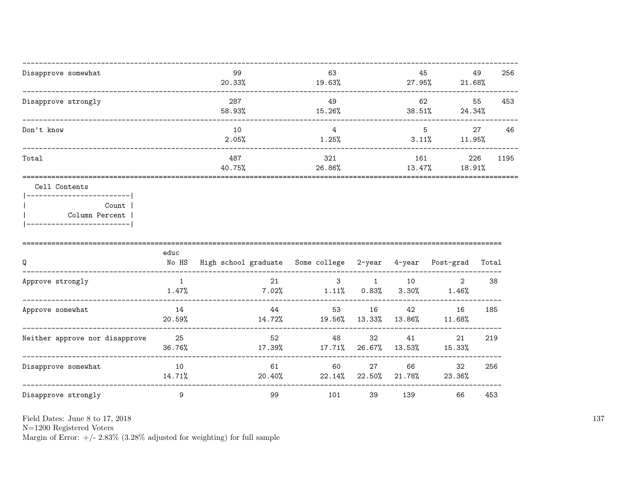| Disapprove somewhat                                               | 99<br>20.33%  | 63<br>19.63%  | 45<br>$27.95\%$ | 49<br>21.68%  | 256  |
|-------------------------------------------------------------------|---------------|---------------|-----------------|---------------|------|
| Disapprove strongly                                               | 287<br>58.93% | 49<br>15.26%  | 62<br>38.51%    | 55<br>24.34%  | 453  |
| Don't know                                                        | 10<br>2.05%   | 4<br>1.25%    | 5<br>$3.11\%$   | 27<br>11.95%  | 46   |
| Total                                                             | 487<br>40.75% | 321<br>26.86% | 161<br>13.47%   | 226<br>18.91% | 1195 |
| Cell Contents<br>---------------------<br>Count<br>Column Percent |               |               |                 |               |      |

|  | ----------------------- |  |
|--|-------------------------|--|
|  |                         |  |

| Q                              | educ<br>No HS | High school graduate Some college 2-year |              |              | 4-year         | Post-grad    | Total |
|--------------------------------|---------------|------------------------------------------|--------------|--------------|----------------|--------------|-------|
| Approve strongly               | 1.47%         | 21<br>7.02%                              | 3<br>1.11%   | 0.83%        | 10<br>$3.30\%$ | 2<br>1.46%   | 38    |
| Approve somewhat               | 14<br>20.59%  | 44<br>14.72%                             | 53<br>19.56% | 16<br>13.33% | 42<br>13.86%   | 16<br>11.68% | 185   |
| Neither approve nor disapprove | 25<br>36.76%  | 52<br>17.39%                             | 48<br>17.71% | 32<br>26.67% | 41<br>13.53%   | 21<br>15.33% | 219   |
| Disapprove somewhat            | 10<br>14.71%  | 61<br>20.40%                             | 60<br>22.14% | 27<br>22.50% | 66<br>21.78%   | 32<br>23.36% | 256   |
| Disapprove strongly            | 9             | 99                                       | 101          | 39           | 139            | 66           | 453   |

Field Dates: June 8 to 17,  $2018\,$ 

N=1200 Registered Voters<br>Margin of Error:  $+/- 2.83\%$  (3.28% adjusted for weighting) for full sample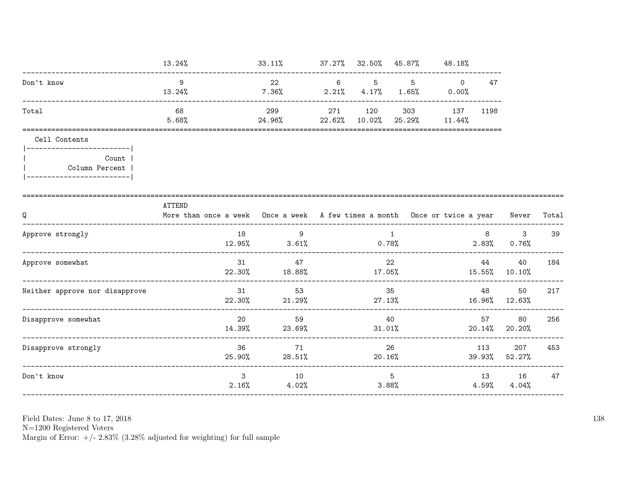|                                                            | 13.24%                                                                                           | 33.11%                              |     | 37.27% 32.50% 45.87% |                | 48.18%                                 |                         |                        |     |
|------------------------------------------------------------|--------------------------------------------------------------------------------------------------|-------------------------------------|-----|----------------------|----------------|----------------------------------------|-------------------------|------------------------|-----|
| Don't know                                                 | 9<br>13.24%                                                                                      | 22<br>7.36%                         | 6   | 5 <sup>5</sup>       | 5 <sup>5</sup> | $\Omega$<br>$2.21\%$ 4.17% 1.65% 0.00% | 47                      |                        |     |
| Total                                                      | 68<br>5.68%                                                                                      | 299<br>24.96%                       | 271 | 120<br>22.62% 10.02% | 303            | 137 1198<br>25.29% 11.44%              |                         |                        |     |
| Cell Contents<br>-------------------------                 |                                                                                                  |                                     |     |                      |                |                                        |                         |                        |     |
| Count  <br>Column Percent  <br>.__________________________ |                                                                                                  |                                     |     |                      |                |                                        |                         |                        |     |
| Q                                                          | ATTEND<br>More than once a week Once a week A few times a month Once or twice a year Never Total |                                     |     |                      |                |                                        |                         |                        |     |
| Approve strongly                                           | 18                                                                                               | 9<br>$12.95\%$ 3.61% 0.78%          |     |                      | $\overline{1}$ |                                        | 8 <sup>8</sup><br>2.83% | $3^{\circ}$<br>0.76%   | 39  |
| Approve somewhat                                           | 31                                                                                               | 47<br>$22.30\%$ 18.88%              |     | 17.05%               | 22             |                                        | 44                      | 40<br>15.55% 10.10%    | 184 |
| Neither approve nor disapprove                             |                                                                                                  | 31<br>53<br>$22.30\%$ 21.29% 27.13% |     |                      | 35             |                                        | 48 —                    | 50<br>16.96% 12.63%    | 217 |
| Disapprove somewhat                                        | 20<br>14.39%                                                                                     | 59<br>23.69%                        |     | 40<br>$31.01\%$      |                |                                        | 57                      | 80<br>$20.14\%$ 20.20% | 256 |
| Disapprove strongly                                        | 36<br>25.90%                                                                                     | 71<br>28.51%                        |     | 26<br>$20.16\%$      |                |                                        | 113<br>39.93%           | 207<br>52.27%          | 453 |
| Don't know                                                 | $\mathbf{3}$                                                                                     | 10<br>$2.16\%$ 4.02%                |     | 3.88%                | 5 <sup>5</sup> |                                        | $4.59\%$                | 13 16<br>4.04%         | 47  |

N=1200 Registered Voters<br>Margin of Error:  $+/- 2.83\%$  (3.28% adjusted for weighting) for full sample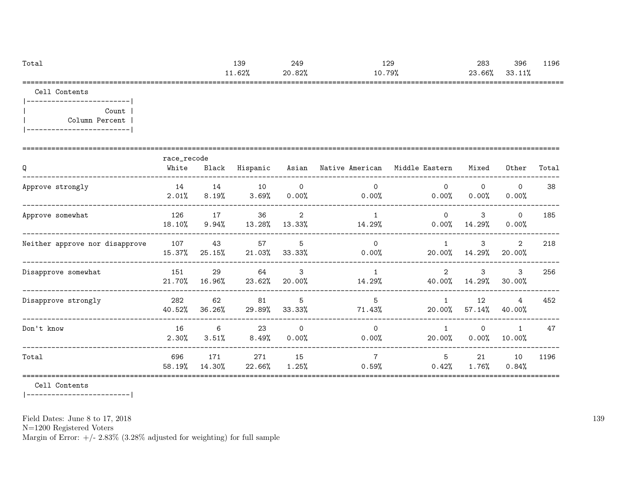| Total | 139    | 249    | 129        | 283    | 396    | 1196 |
|-------|--------|--------|------------|--------|--------|------|
|       | 11.62% | 20.82% | 79%<br>10. | 23.66% | 33.11% |      |
| ----  |        |        |            |        |        |      |

Cell Contents

|-------------------------| | Count | | Column Percent | |-------------------------|

|                                | race_recode   |               |                 |                            |                                      |                                       |                         |                         |       |
|--------------------------------|---------------|---------------|-----------------|----------------------------|--------------------------------------|---------------------------------------|-------------------------|-------------------------|-------|
| Q                              | White         | Black         | Hispanic        |                            | Asian Native American Middle Eastern |                                       | Mixed                   | Other                   | Total |
| Approve strongly               | 14<br>2.01%   | 14<br>8.19%   | 10<br>3.69%     | $\overline{0}$<br>$0.00\%$ | $\Omega$<br>$0.00\%$                 | $\Omega$<br>$0.00\%$                  | $\mathbf 0$<br>$0.00\%$ | $\Omega$<br>0.00%       | 38    |
| Approve somewhat               | 126<br>18.10% | 17<br>9.94%   | 36<br>13.28%    | 2<br>13.33%                | $\mathbf{1}$<br>14.29%               | $\Omega$<br>$0.00\%$                  | 3<br>14.29%             | $\mathsf{O}$<br>0.00%   | 185   |
| Neither approve nor disapprove | 107<br>15.37% | 43<br>25.15%  | 57<br>$21.03\%$ | 5<br>33.33%                | $\Omega$<br>$0.00\%$                 | $\mathbf{1}$<br>20.00%                | 3<br>14.29%             | $\mathcal{L}$<br>20.00% | 218   |
| Disapprove somewhat            | 151<br>21.70% | 29<br>16.96%  | 64<br>23.62%    | 3<br>20.00%                | $\mathbf{1}$<br>14.29%               | $\mathcal{D}_{\mathcal{L}}$<br>40.00% | 3<br>14.29%             | 3<br>30.00%             | 256   |
| Disapprove strongly            | 282<br>40.52% | 62<br>36.26%  | 81<br>29.89%    | 5<br>33.33%                | 5<br>71.43%                          | $\mathbf{1}$<br>20.00%                | 12<br>57.14%            | 4<br>40.00%             | 452   |
| Don't know                     | 16<br>2.30%   | 6<br>3.51%    | 23<br>8.49%     | $\Omega$<br>0.00%          | $\Omega$<br>0.00%                    | $\mathbf{1}$<br>20.00%                | $\mathbf 0$<br>0.00%    | $\mathbf{1}$<br>10.00%  | 47    |
| Total                          | 696<br>58.19% | 171<br>14.30% | 271<br>22.66%   | 15<br>$1.25\%$             | $\overline{7}$<br>0.59%              | 5<br>0.42%                            | 21<br>$1.76\%$          | 10<br>0.84%             | 1196  |

Cell Contents

|-------------------------|

Field Dates: June 8 to 17, 2018

N=1200 Registered Voters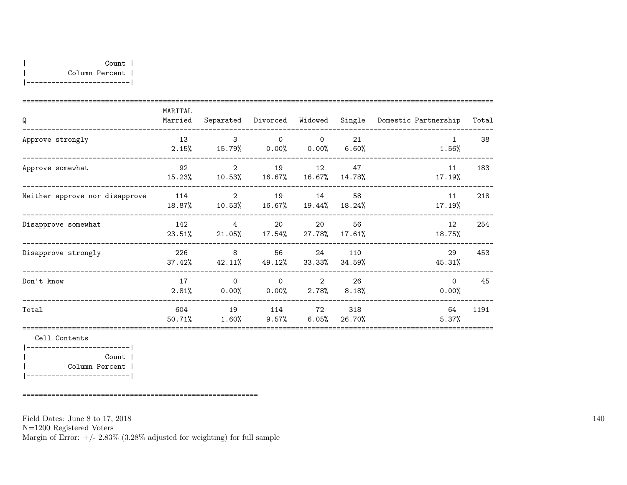| Q                              | MARITAL<br>Married | Separated                          | Divorced Widowed     |                         | Single          | Domestic Partnership  | Total |
|--------------------------------|--------------------|------------------------------------|----------------------|-------------------------|-----------------|-----------------------|-------|
| Approve strongly               | 13<br>2.15%        | $\mathbf{3}$<br>15.79% 0.00% 0.00% | $\Omega$             | $\Omega$                | 21<br>6.60%     | $\mathbf{1}$<br>1.56% | 38    |
| Approve somewhat               | 92<br>15.23%       | 2<br>$10.53\%$                     | 19<br>16.67%         | 12<br>16.67%            | 47<br>14.78%    | 11<br>17.19%          | 183   |
| Neither approve nor disapprove | 114<br>18.87%      | 2<br>10.53%                        | 19<br>16.67%         | 14<br>19.44%            | 58<br>18.24%    | 11<br>17.19%          | 218   |
| Disapprove somewhat            | 142<br>23.51%      | 4<br>$21.05\%$                     | 20<br>17.54%         | 20<br>27.78%            | 56<br>$17.61\%$ | 12<br>18.75%          | 254   |
| Disapprove strongly            | 226<br>37.42%      | 8<br>$42.11\%$                     | 56<br>49.12%         | 24<br>33.33%            | 110<br>34.59%   | 29<br>45.31%          | 453   |
| Don't know                     | 17<br>2.81%        | $\Omega$<br>$0.00\%$               | $\Omega$<br>$0.00\%$ | $\overline{2}$<br>2.78% | 26<br>$8.18\%$  | $\Omega$<br>0.00%     | 45    |
| Total                          | 604<br>50.71%      | 19<br>1.60%                        | $9.57\%$             | 114 72<br>$6.05\%$      | 318<br>26.70%   | 64<br>5.37%           | 1191  |

Cell Contents |-------------------------| | Count | | Column Percent | |-------------------------|

=========================================================

Field Dates: June 8 to 17, 2018

N=1200 Registered Voters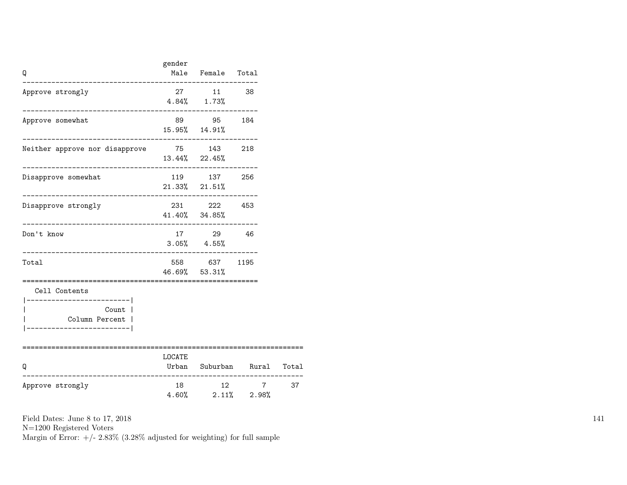| Q                                                                                                   | gender            | Male Female Total<br>-----------------                        |                            |    |
|-----------------------------------------------------------------------------------------------------|-------------------|---------------------------------------------------------------|----------------------------|----|
| Approve strongly<br>________                                                                        | $4.84\%$ $1.73\%$ | 27 11 38                                                      |                            |    |
| Approve somewhat                                                                                    |                   | 89 95 184<br>15.95% 14.91%                                    |                            |    |
| Neither approve nor disapprove 75 143 218<br>--------------------------------------                 |                   | $13.44\%$ $22.45\%$                                           |                            |    |
| Disapprove somewhat<br>----------------------                                                       |                   | 119 137 256<br>$21.33\%$ $21.51\%$<br>----------------------- |                            |    |
| Disapprove strongly<br>------------------------                                                     |                   | 231 222 453<br>41.40% 34.85%                                  |                            |    |
| Don't know                                                                                          |                   | 17 29 46<br>$3.05\%$ $4.55\%$                                 |                            |    |
| Total                                                                                               | ==========        | 558 637 1195<br>46.69% 53.31%                                 |                            |    |
| Cell Contents<br>----------------------- <br>Count  <br>Column Percent  <br>----------------------- |                   |                                                               |                            |    |
| Q                                                                                                   | LOCATE            |                                                               | Urban Suburban Rural Total |    |
| Approve strongly                                                                                    | 18                | 12<br>$4.60\%$ 2.11% 2.98%                                    | $7^{\circ}$                | 37 |

N=1200 Registered Voters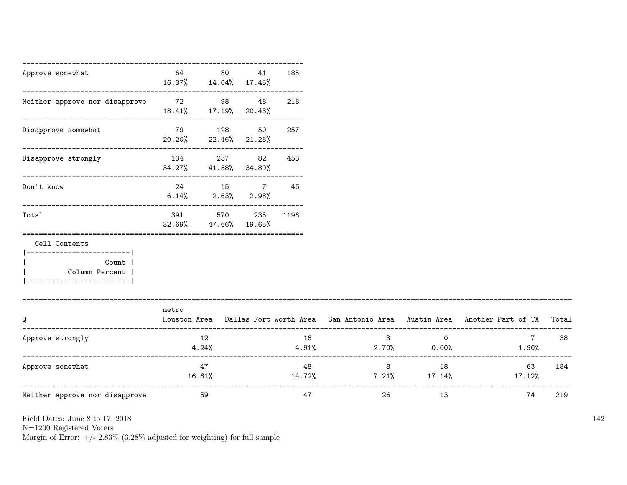| Approve somewhat                                                                                    | 64            | 80<br>16.37% 14.04% 17.45%                            | 41                  | 185  |                           |                                  |                                                                                           |     |
|-----------------------------------------------------------------------------------------------------|---------------|-------------------------------------------------------|---------------------|------|---------------------------|----------------------------------|-------------------------------------------------------------------------------------------|-----|
| Neither approve nor disapprove 72 98 48                                                             |               | -----------------------------<br>18.41% 17.19% 20.43% |                     | 218  |                           |                                  |                                                                                           |     |
| ____________________________<br>Disapprove somewhat                                                 | 20.20%        | -----------------------------------<br>79 128         | 50<br>22.46% 21.28% | 257  |                           |                                  |                                                                                           |     |
| Disapprove strongly                                                                                 | 134           | 237<br>34.27% 41.58% 34.89%                           | 82                  | 453  |                           |                                  |                                                                                           |     |
| Don't know                                                                                          | 6.14%         | 24 15 7                                               | $2.63\%$ $2.98\%$   | 46   |                           |                                  |                                                                                           |     |
| Total                                                                                               | 391<br>32.69% | ----------------------------------<br>570<br>47.66%   | 235<br>19.65%       | 1196 |                           |                                  |                                                                                           |     |
| Cell Contents<br>.________________________<br>Count  <br>Column Percent  <br>---------------------- |               |                                                       |                     |      |                           |                                  |                                                                                           |     |
| Q                                                                                                   | metro         |                                                       |                     |      |                           |                                  | Houston Area Dallas-Fort Worth Area San Antonio Area Austin Area Another Part of TX Total |     |
| Approve strongly                                                                                    |               | 12<br>4.24%                                           |                     | 16   | $3^{\circ}$<br>4.91%      | $\overline{0}$<br>$2.70\%$ 0.00% | $7 \overline{}$<br>$1.90\%$                                                               | 38  |
| Approve somewhat                                                                                    | 16.61%        | 47                                                    |                     | 48   | $8\overline{)}$<br>14.72% | 18                               | 63<br>$7.21\%$ $17.14\%$ $17.12\%$                                                        | 184 |
| Neither approve nor disapprove                                                                      |               | 59                                                    |                     | 47   | 26                        | 13                               | 74                                                                                        | 219 |

N=1200 Registered Voters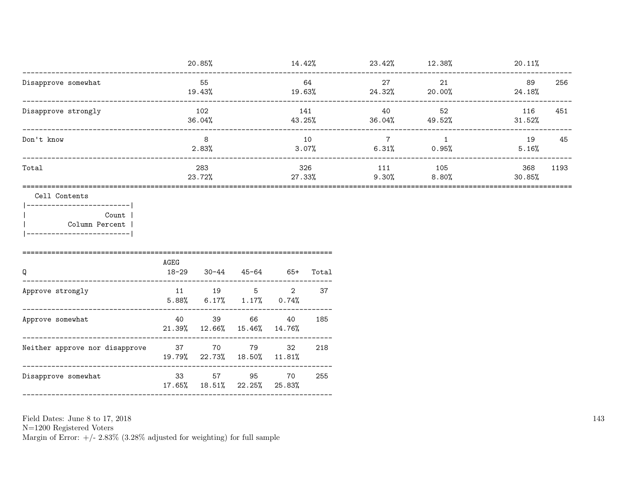|                     | 20.85%        | 14.42%        | 23.42%       | 12.38%       | 20.11%                |
|---------------------|---------------|---------------|--------------|--------------|-----------------------|
| Disapprove somewhat | 55<br>19.43%  | 64<br>19.63%  | 27<br>24.32% | 21<br>20.00% | 256<br>89<br>24.18%   |
| Disapprove strongly | 102<br>36.04% | 141<br>43.25% | 40<br>36.04% | 52<br>49.52% | 451<br>116<br>31.52%  |
| Don't know          | 8<br>2.83%    | 10<br>3.07%   | 6.31%        | 0.95%        | 19<br>45<br>5.16%     |
| Total               | 283<br>23.72% | 326<br>27.33% | 111<br>9.30% | 105<br>8.80% | 1193<br>368<br>30.85% |

Cell Contents

 $|----------$ Count | Column Percent |  $\overline{1}$ |------------------------|

| Q                              | AGEG<br>$18 - 29$ | $30 - 44$                                     | 45-64 | $65+$         | Total |
|--------------------------------|-------------------|-----------------------------------------------|-------|---------------|-------|
| Approve strongly               | 11                | 19<br>$5.88\%$ 6.17% 1.17% 0.74%              | 5     | $\mathcal{D}$ | 37    |
| Approve somewhat               | 40                | 39<br>$21.39\%$ $12.66\%$ $15.46\%$ $14.76\%$ | 66    | 40            | 185   |
| Neither approve nor disapprove | 37                | 70<br>19.79% 22.73% 18.50% 11.81%             | 79    | 32            | 218   |
| Disapprove somewhat            | 33                | 57<br>17.65% 18.51% 22.25% 25.83%             | 95    | 70            | 255   |

Field Dates: June 8 to 17, 2018

 ${\rm N}{=}1200$  Registered Voters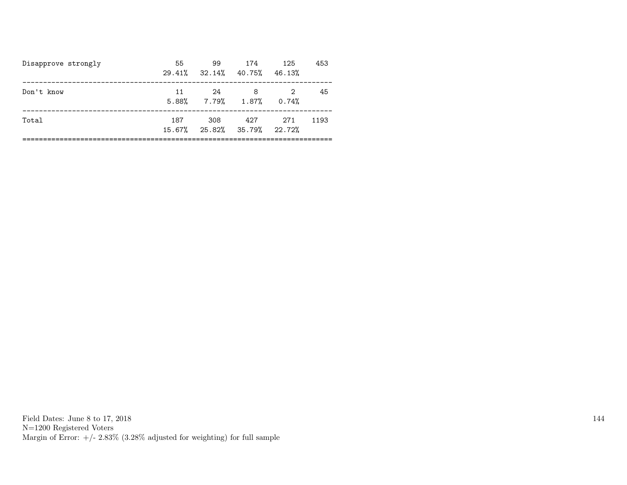| Disapprove strongly | 55  | 99<br>$29.41\%$ $32.14\%$ $40.75\%$ | 174                                      | 125<br>46.13% | 453  |
|---------------------|-----|-------------------------------------|------------------------------------------|---------------|------|
| Don't know          | 11  | 24                                  | 8<br>$5.88\%$ $7.79\%$ $1.87\%$ $0.74\%$ | 2             | 45   |
| Total               | 187 | 308                                 | 427<br>15.67% 25.82% 35.79% 22.72%       | 271           | 1193 |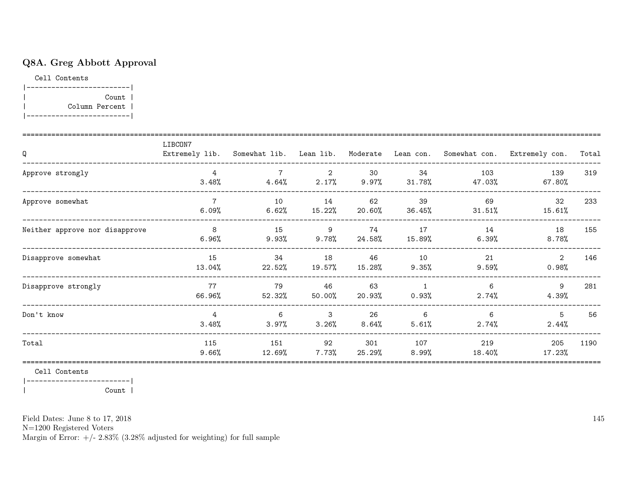## Q8A. Greg Abbott Approval

Cell Contents |-------------------------|

| Count | | Column Percent | |-------------------------|

| Q                              | LIBCON7                 |                |              |               |                         |                | Extremely lib. Somewhat lib. Lean lib. Moderate Lean con. Somewhat con. Extremely con. | Total |
|--------------------------------|-------------------------|----------------|--------------|---------------|-------------------------|----------------|----------------------------------------------------------------------------------------|-------|
| Approve strongly               | $\overline{4}$<br>3.48% | 4.64%          | 2<br>2.17%   | 30<br>9.97%   | 34<br>$31.78\%$         | 103<br>47.03%  | 139<br>67.80%                                                                          | 319   |
| Approve somewhat               | 6.09%                   | 10<br>6.62%    | 14<br>15.22% | 62<br>20.60%  | 39<br>36.45%            | 69<br>31.51%   | 32<br>15.61%                                                                           | 233   |
| Neither approve nor disapprove | 8<br>6.96%              | 15<br>$9.93\%$ | 9<br>9.78%   | 74<br>24.58%  | 17<br>15.89%            | 14<br>6.39%    | 18<br>$8.78\%$                                                                         | 155   |
| Disapprove somewhat            | 15<br>13.04%            | 34<br>22.52%   | 18<br>19.57% | 46<br>15.28%  | 10<br>9.35%             | 21<br>$9.59\%$ | 2<br>0.98%                                                                             | 146   |
| Disapprove strongly            | 77<br>66.96%            | 79<br>52.32%   | 46<br>50.00% | 63<br>20.93%  | $\overline{1}$<br>0.93% | 6<br>$2.74\%$  | 9<br>4.39%                                                                             | 281   |
| Don't know                     | $\overline{4}$<br>3.48% | 6<br>3.97%     | 3<br>3.26%   | 26<br>8.64%   | 6<br>5.61%              | 6<br>$2.74\%$  | 5<br>2.44%                                                                             | 56    |
| Total                          | 115<br>$9.66\%$         | 151<br>12.69%  | 92<br>7.73%  | 301<br>25.29% | 107<br>$8.99\%$         | 219<br>18.40%  | 205<br>17.23%                                                                          | 1190  |

Cell Contents

|-------------------------|

| Count |

Field Dates: June 8 to 17, 2018

N=1200 Registered Voters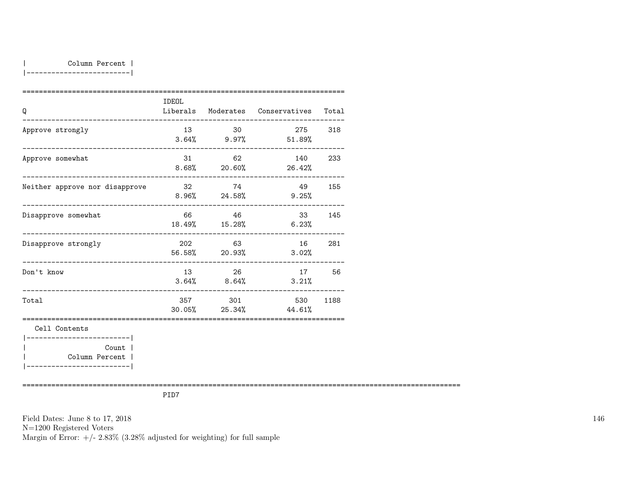|-------------------------|

| Q                                                        | IDEOL |                          | Liberals Moderates Conservatives Total |        |
|----------------------------------------------------------|-------|--------------------------|----------------------------------------|--------|
| Approve strongly                                         | 13    | 30                       | 275 318<br>$3.64\%$ 9.97% 51.89%       |        |
| ____________________________________<br>Approve somewhat |       | 31 62                    | 140<br>$8.68\%$ 20.60% 26.42%          | 233    |
| Neither approve nor disapprove                           |       | 32 74<br>$8.96\%$ 24.58% | 49 155<br>$9.25\%$                     |        |
| Disapprove somewhat                                      |       | 66 46<br>18.49% 15.28%   | 33 145<br>6.23%                        |        |
| -----------------------<br>Disapprove strongly           |       | 202 63<br>56.58% 20.93%  | 3.02%                                  | 16 281 |
| Don't know                                               | 13    | 26<br>$3.64\%$ 8.64%     | 17 56<br>3.21%                         |        |
| Total                                                    |       | 357 301                  | 530<br>$30.05\%$ 25.34% 44.61%         | 1188   |
| Cell Contents<br>-------------------------               |       |                          |                                        |        |
| Count  <br>Column Percent                                |       |                          |                                        |        |

==========================================================================================================

PID7

Field Dates: June 8 to 17, 2018 N=1200 Registered Voters Margin of Error:  $+/- 2.83\%$  (3.28% adjusted for weighting) for full sample 146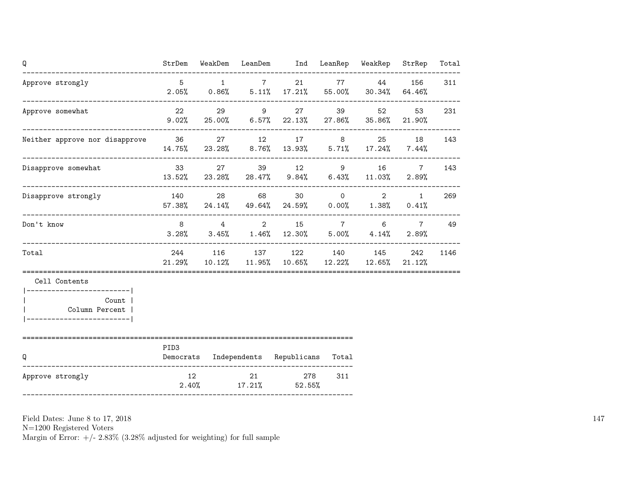| Q                                                                                                    | StrDem           |          | WeakDem LeanDem Ind LeanRep WeakRep                                                              |     |                                       | StrRep                                        | Total |
|------------------------------------------------------------------------------------------------------|------------------|----------|--------------------------------------------------------------------------------------------------|-----|---------------------------------------|-----------------------------------------------|-------|
| Approve strongly                                                                                     | $5\overline{)}$  | $1 \t 7$ | 21<br>$2.05\%$ 0.86% 5.11% 17.21% 55.00% 30.34% 64.46%                                           |     | 77 44                                 | 156                                           | 311   |
| Approve somewhat                                                                                     | 22 and $\sim$    |          | 29 9 27<br>$9.02\%$ 25.00% 6.57% 22.13%                                                          |     | 52 and $\sim$<br>27.86% 35.86% 21.90% | 53                                            | 231   |
| Neither approve nor disapprove 36                                                                    |                  |          | 27 12 17 8 25<br>14.75% 23.28% 8.76% 13.93% 5.71% 17.24% 7.44%                                   |     |                                       | 18                                            | 143   |
| Disapprove somewhat                                                                                  |                  |          | 33 27 39 12 9 16<br>$13.52\%$ 23.28% 28.47% 9.84% 6.43% 11.03%                                   |     |                                       | $7\overline{ }$<br>2.89%                      | 143   |
| Disapprove strongly                                                                                  |                  |          | 140 28 68 30 0<br>$57.38\%$ 24.14% 49.64% 24.59% 0.00% 1.38%                                     |     |                                       | $\overline{2}$<br>1<br>0.41%                  | 269   |
| Don't know                                                                                           |                  |          | 8 4 2 15 7<br>$3.28\%$ $3.45\%$ $1.46\%$ $12.30\%$ $5.00\%$ $4.14\%$                             |     |                                       | $6 \qquad \qquad$<br>$7\overline{ }$<br>2.89% | 49    |
| Total                                                                                                |                  |          | 244 116 137 122 140 145<br>$21.29\%$ $10.12\%$ $11.95\%$ $10.65\%$ $12.22\%$ $12.65\%$ $21.12\%$ |     |                                       | 242                                           | 1146  |
| Cell Contents<br>------------------------- <br>Count  <br>Column Percent  <br>---------------------- |                  |          |                                                                                                  |     |                                       |                                               |       |
| Q                                                                                                    | PID <sub>3</sub> |          | Democrats Independents Republicans Total                                                         |     |                                       |                                               |       |
| Approve strongly                                                                                     | 12               | 21       | 278<br>$2.40\%$ 17.21% 52.55%                                                                    | 311 |                                       |                                               |       |

N=1200 Registered Voters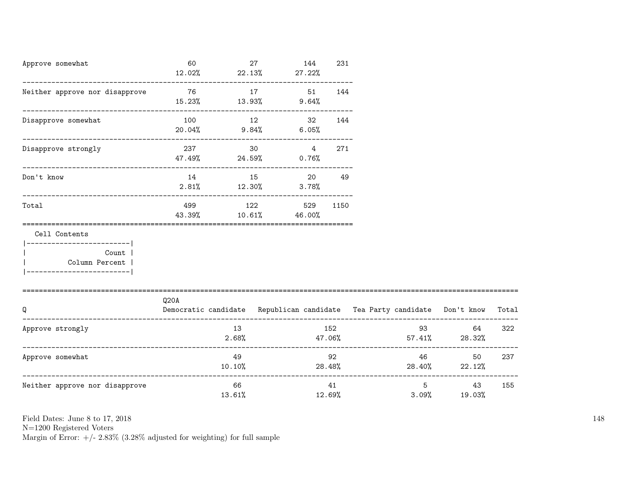| Approve somewhat                                                                  | 60                                       |              | 27 | 144<br>$12.02\%$ 22.13% 27.22%           | 231 |                                                                          |                             |        |
|-----------------------------------------------------------------------------------|------------------------------------------|--------------|----|------------------------------------------|-----|--------------------------------------------------------------------------|-----------------------------|--------|
| Neither approve nor disapprove                                                    | 76<br>$15.23\%$ $13.93\%$ $9.64\%$       |              |    | 17 51 144                                |     |                                                                          |                             |        |
| Disapprove somewhat                                                               | 100                                      |              | 12 | 32 144<br>$20.04\%$ 9.84% 6.05%          |     |                                                                          |                             |        |
| Disapprove strongly                                                               | 237 and $\sim$<br>$47.49\%$ 24.59% 0.76% |              | 30 | $4\overline{4}$                          | 271 |                                                                          |                             |        |
| Don't know                                                                        | $2.81\%$ $12.30\%$                       |              |    | 14 15 20<br>$3.78\%$                     | 49  |                                                                          |                             |        |
| Total                                                                             |                                          |              |    | 499 122 529 1150<br>43.39% 10.61% 46.00% |     |                                                                          |                             |        |
| Cell Contents                                                                     |                                          |              |    |                                          |     |                                                                          |                             |        |
| --------------------- <br>Count  <br>Column Percent<br>__________________________ |                                          |              |    |                                          |     |                                                                          |                             |        |
|                                                                                   | Q20A                                     |              |    |                                          |     |                                                                          |                             |        |
| Q                                                                                 |                                          |              |    |                                          |     | Democratic candidate Republican candidate Tea Party candidate Don't know |                             | Total  |
| Approve strongly                                                                  |                                          | 13           |    |                                          | 152 | $2.68\%$ $47.06\%$ $57.41\%$ $28.32\%$                                   | 64 —                        | 322    |
| Approve somewhat                                                                  |                                          | 49           |    |                                          | 92  | $10.10\%$ 28.48% 28.40% 22.12%                                           | 46                          | 50 237 |
| Neither approve nor disapprove                                                    |                                          | 66<br>13.61% |    |                                          | 41  | 3.09%<br>12.69%                                                          | $5^{\circ}$<br>43<br>19.03% | 155    |

 $\rm N{=}1200$  Registered Voters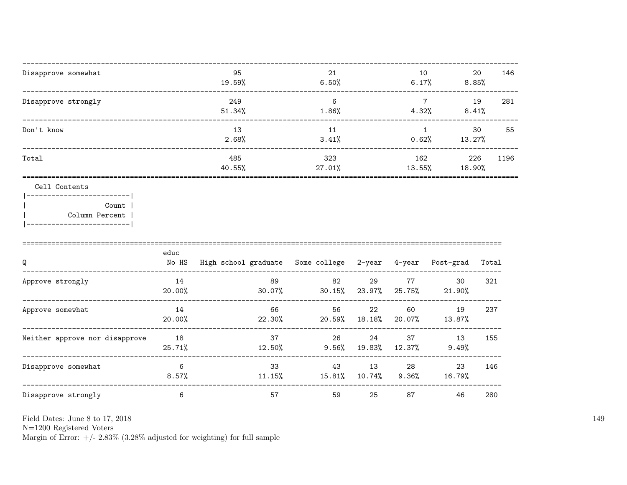| Disapprove somewhat                                                 | 95<br>19.59%  | 21<br>6.50%      | 10<br>6.17%             | 20<br>8.85%   | 146  |
|---------------------------------------------------------------------|---------------|------------------|-------------------------|---------------|------|
| Disapprove strongly                                                 | 249<br>51.34% | 6<br>1.86%       | $\overline{7}$<br>4.32% | 19<br>8.41%   | 281  |
| Don't know                                                          | 13<br>2.68%   | 11<br>3.41%      | 0.62%                   | 30<br>13.27%  | 55   |
| Total                                                               | 485<br>40.55% | 323<br>$27.01\%$ | 162<br>13.55%           | 226<br>18.90% | 1196 |
| Cell Contents<br>-----------------------<br>Count<br>Column Percent |               |                  |                         |               |      |

|------------------------|

| Q                              | educ<br>No HS | High school graduate Some college 2-year 4-year |                |              |              | Post-grad    | Total |
|--------------------------------|---------------|-------------------------------------------------|----------------|--------------|--------------|--------------|-------|
| Approve strongly               | 14<br>20.00%  | 89<br>30.07%                                    | 82<br>30.15%   | 29<br>23.97% | 77<br>25.75% | 30<br>21.90% | 321   |
| Approve somewhat               | 14<br>20.00%  | 66<br>22.30%                                    | 56<br>20.59%   | 22<br>18.18% | 60<br>20.07% | 19<br>13.87% | 237   |
| Neither approve nor disapprove | 18<br>25.71%  | 37<br>12.50%                                    | 26<br>$9.56\%$ | 24<br>19.83% | 37<br>12.37% | 13<br>9.49%  | 155   |
| Disapprove somewhat            | 6<br>$8.57\%$ | 33<br>11.15%                                    | 43<br>15.81%   | 13<br>10.74% | 28<br>9.36%  | 23<br>16.79% | 146   |
| Disapprove strongly            | 6             | 57                                              | 59             | 25           | 87           | 46           | 280   |

Field Dates: June 8 to 17, 2018

 ${\rm N}{=}1200$  Registered Voters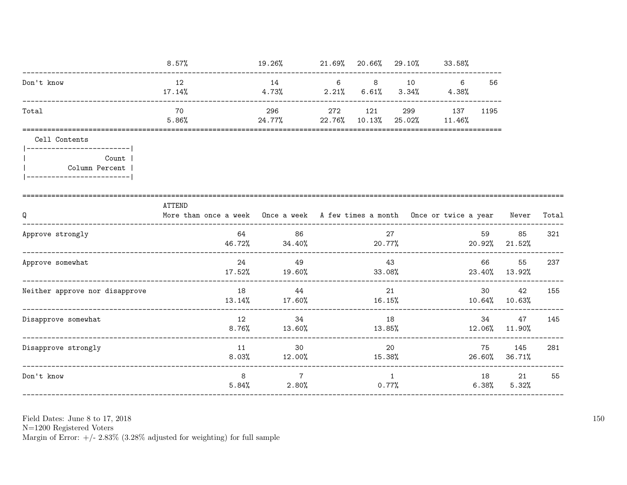|                                                                                         | $8.57\%$                                                                                   | $19.26\%$ 21.69% 20.66% 29.10% 33.58%                      |                |                |                            |                 |                      |       |
|-----------------------------------------------------------------------------------------|--------------------------------------------------------------------------------------------|------------------------------------------------------------|----------------|----------------|----------------------------|-----------------|----------------------|-------|
| Don't know                                                                              | 12<br>$17.14\%$                                                                            | 14<br>4.73%                                                | $2.21\%$ 6.61% |                | 6 8 10 6<br>$3.34\%$ 4.38% | 56              |                      |       |
| Total                                                                                   | 70<br>5.86%                                                                                | 296<br>$24.77\%$ 22.76% 10.13%                             | 272 121        | 299            | 137 1195<br>25.02% 11.46%  |                 |                      |       |
| Cell Contents                                                                           |                                                                                            |                                                            |                |                |                            |                 |                      |       |
| ------------------------- <br>Count  <br>Column Percent  <br> ------------------------- |                                                                                            |                                                            |                |                |                            |                 |                      |       |
| Q<br>------------------------                                                           | ATTEND<br>More than once a week Once a week A few times a month Once or twice a year Never |                                                            |                |                |                            |                 |                      | Total |
| Approve strongly                                                                        | 64                                                                                         | 86<br>$46.72\%$ $34.40\%$ $20.77\%$                        |                | 27             |                            | 59              | 85<br>20.92% 21.52%  | 321   |
| Approve somewhat                                                                        | 24                                                                                         | 49<br>$17.52\%$ 19.60% 33.08%                              | 43             |                |                            | 66 —            | 55<br>23.40% 13.92%  | 237   |
| Neither approve nor disapprove                                                          |                                                                                            | 18 44<br>$13.14\%$ $17.60\%$ $16.15\%$ $10.64\%$ $10.63\%$ |                | 21             |                            | 30 <sub>2</sub> | 42                   | 155   |
| Disapprove somewhat                                                                     | 12                                                                                         | 34<br>$8.76\%$ $13.60\%$                                   | 18<br>13.85%   |                | $12.06\%$ 11.90%           | 34 7            | 47                   | 145   |
| Disapprove strongly                                                                     | 11                                                                                         | 30<br>$8.03\%$ $12.00\%$                                   |                | 20             | 15.38%                     | 75              | 145<br>26.60% 36.71% | 281   |
| Don't know                                                                              | 8                                                                                          | $7\overline{ }$<br>$5.84\%$ 2.80%                          |                | $\overline{1}$ | 0.77%                      | $6.38\%$        | 18 21<br>5.32%       | 55    |

Field Dates: June 8 to 17,  $2018\,$ 

N=1200 Registered Voters<br>Margin of Error:  $+/- 2.83\%$  (3.28% adjusted for weighting) for full sample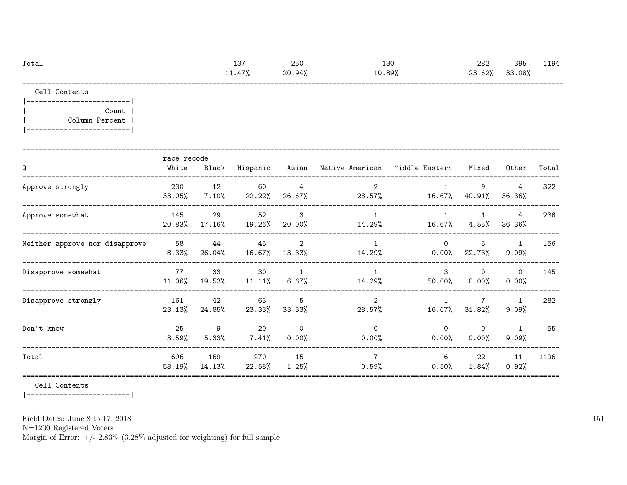| Total       | 10 <sup>o</sup><br>∘ ت⊥ | 250    | 130    | 282    | 395    | 1194 |
|-------------|-------------------------|--------|--------|--------|--------|------|
|             | $7 - 9$<br>11. TI 10    | 20.94% | 10.89% | 23.62% | 33.08% |      |
| ____<br>--- |                         |        |        |        |        |      |

Cell Contents

|-------------------------| | Count | | Column Percent | |-------------------------|

| Q                              | race_recode<br>White | Black         | Hispanic        |                          | Asian Native American Middle Eastern |                      | Mixed                | Other                    | Total |
|--------------------------------|----------------------|---------------|-----------------|--------------------------|--------------------------------------|----------------------|----------------------|--------------------------|-------|
| Approve strongly               | 230<br>33.05%        | 12<br>7.10%   | 60<br>22.22%    | $\overline{4}$<br>26.67% | $\overline{2}$<br>28.57%             | 16.67%               | 9<br>40.91%          | 4<br>36.36%              | 322   |
| Approve somewhat               | 145<br>20.83%        | 29<br>17.16%  | 52<br>19.26%    | $\mathbf{3}$<br>20.00%   | $\mathbf{1}$<br>14.29%               | 16.67%               | $4.55\%$             | 4<br>36.36%              | 236   |
| Neither approve nor disapprove | 58<br>8.33%          | 44<br>26.04%  | 45<br>$16.67\%$ | 2<br>13.33%              | 14.29%                               | $\Omega$<br>$0.00\%$ | 5<br>22.73%          | $\mathbf{1}$<br>9.09%    | 156   |
| Disapprove somewhat            | 77<br>11.06%         | 33<br>19.53%  | 30<br>$11.11\%$ | $\mathbf{1}$<br>$6.67\%$ | $\mathbf{1}$<br>14.29%               | 3<br>50.00%          | $\Omega$<br>$0.00\%$ | $\circ$<br>0.00%         | 145   |
| Disapprove strongly            | 161<br>23.13%        | 42<br>24.85%  | 63<br>23.33%    | 5<br>$33.33\%$           | $\overline{2}$<br>28.57%             | $16.67\%$            | 7<br>31.82%          | $\mathbf{1}$<br>$9.09\%$ | 282   |
| Don't know                     | 25<br>3.59%          | 9<br>5.33%    | 20<br>$7.41\%$  | $\Omega$<br>0.00%        | $\Omega$<br>0.00%                    | $\Omega$<br>$0.00\%$ | $\Omega$<br>0.00%    | 1<br>9.09%               | 55    |
| Total                          | 696<br>58.19%        | 169<br>14.13% | 270<br>22.58%   | 15<br>$1.25\%$           | $\overline{7}$<br>0.59%              | 6<br>0.50%           | 22<br>$1.84\%$       | 11<br>0.92%              | 1196  |

Cell Contents

|-------------------------|

Field Dates: June 8 to 17, 2018

N=1200 Registered Voters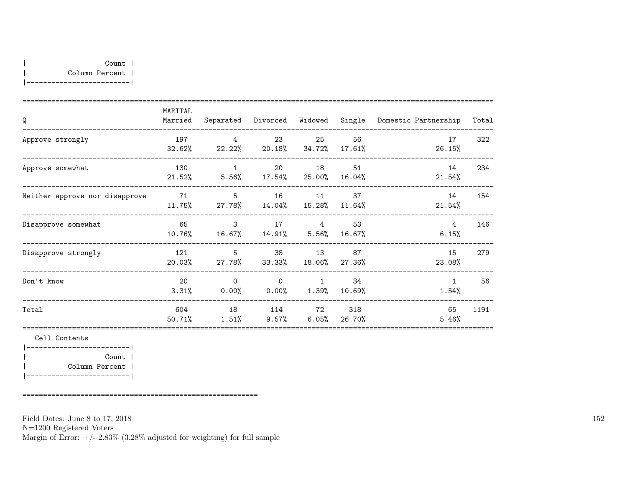| Q                              | MARITAL<br>Married |                                                                 |                                 |                |                 | Separated Divorced Widowed Single Domestic Partnership | Total |
|--------------------------------|--------------------|-----------------------------------------------------------------|---------------------------------|----------------|-----------------|--------------------------------------------------------|-------|
| Approve strongly               | 197                | $\overline{4}$<br>$32.62\%$ 22.22\% 20.18\% 34.72\%             | 23                              | 25             | 56<br>$17.61\%$ | 17<br>26.15%                                           | 322   |
| Approve somewhat               | 130                | $\mathbf 1$<br>$21.52\%$ $5.56\%$ $17.54\%$ $25.00\%$ $16.04\%$ |                                 | 20 18 51       |                 | 14<br>21.54%                                           | 234   |
| Neither approve nor disapprove |                    | 71 5<br>11.75% 27.78% 14.04% 15.28% 11.64%                      |                                 | 16 11 37       |                 | 14<br>21.54%                                           | 154   |
| Disapprove somewhat            | 65<br>10.76%       | $\mathbf{3}$<br>$16.67\%$ $14.91\%$ $5.56\%$                    | 17                              | 4              | 53<br>16.67%    | 4<br>6.15%                                             | 146   |
| Disapprove strongly            | 121                | $5\,$<br>$20.03\%$ 27.78% 33.33% 18.06% 27.36%                  |                                 | 38 13          | 87              | 15<br>23.08%                                           | 279   |
| Don't know                     | 20<br>3.31%        | $\Omega$<br>$0.00\%$ 0.00% 1.39%                                | $\Omega$                        | $\overline{1}$ | 34<br>10.69%    | $\mathbf{1}$<br>1.54%                                  | 56    |
| Total                          | 604<br>50.71%      | 18<br>1.51%                                                     | 114 72<br>$9.57\%$ 6.05% 26.70% |                | 318             | 65<br>5.46%                                            | 1191  |

|-------------------------| | Count | | Column Percent | |-------------------------|

=========================================================

Field Dates: June 8 to 17, 2018

N=1200 Registered Voters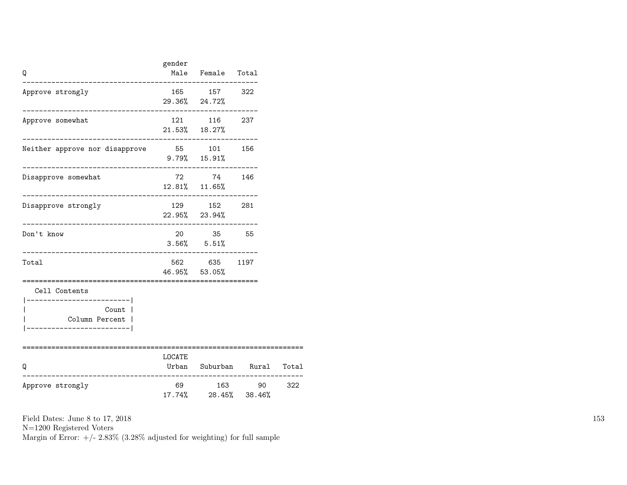| Q                                                                                              | gender | Male Female Total                                            |                                                                     |     |
|------------------------------------------------------------------------------------------------|--------|--------------------------------------------------------------|---------------------------------------------------------------------|-----|
| Approve strongly                                                                               |        | 165 157 322<br>29.36% 24.72%                                 |                                                                     |     |
| Approve somewhat                                                                               |        | 121 116 237<br>$21.53\%$ $18.27\%$                           |                                                                     |     |
| Neither approve nor disapprove 55 101 156                                                      |        | $9.79\%$ 15.91%                                              |                                                                     |     |
| Disapprove somewhat                                                                            |        | 72 74 146<br>12.81% 11.65%                                   |                                                                     |     |
| Disapprove strongly                                                                            |        | 129 152 281<br>22.95% 23.94%                                 |                                                                     |     |
| Don't know                                                                                     |        | 20 35 55<br>$3.56\%$ $5.51\%$                                |                                                                     |     |
| Total                                                                                          |        | 562 635 1197<br>46.95% 53.05%<br>___________________________ |                                                                     |     |
| Cell Contents<br>______________________<br>Count  <br>Column Percent  <br>-------------------- |        |                                                              |                                                                     |     |
| Q<br>------------                                                                              | LOCATE |                                                              | Urban Suburban Rural Total<br>------------------------------------- |     |
| Approve strongly                                                                               |        | 17.74% 28.45% 38.46%                                         | 69 163 90                                                           | 322 |

N=1200 Registered Voters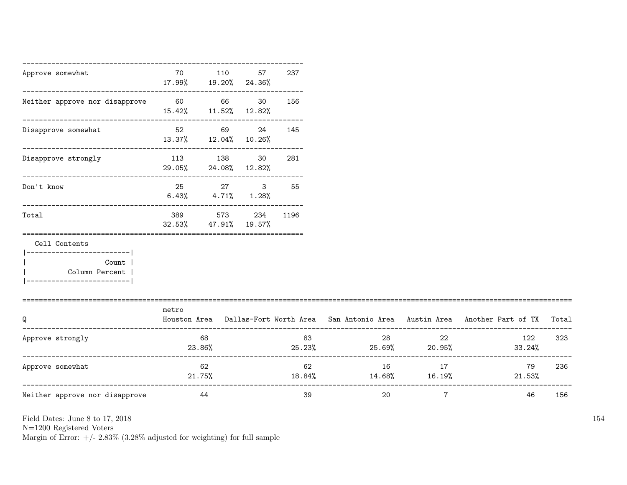| Approve somewhat                                                                                 | 70            | 110<br>17.99% 19.20% 24.36%                                   | 57             | 237  |                                     |                |                                                                                           |     |
|--------------------------------------------------------------------------------------------------|---------------|---------------------------------------------------------------|----------------|------|-------------------------------------|----------------|-------------------------------------------------------------------------------------------|-----|
| Neither approve nor disapprove                                                                   | 60 66         | 15.42% 11.52% 12.82%                                          | 30             | 156  |                                     |                |                                                                                           |     |
| ----------------------------<br>Disapprove somewhat                                              |               | ----------------------------<br>52 69<br>13.37% 12.04% 10.26% | 24             | 145  |                                     |                |                                                                                           |     |
| ---------------------------------<br>Disapprove strongly                                         |               | 113 138<br>29.05% 24.08% 12.82%                               | 30             | 281  |                                     |                |                                                                                           |     |
| Don't know                                                                                       | 25            | 27<br>$6.43\%$ $4.71\%$ $1.28\%$                              | 3 <sup>1</sup> | 55   |                                     |                |                                                                                           |     |
| Total                                                                                            | 389<br>32.53% | ._________________________<br>573<br>47.91%                   | 234<br>19.57%  | 1196 |                                     |                |                                                                                           |     |
| Cell Contents<br>---------------------- <br>Count  <br>Column Percent<br>----------------------- |               |                                                               |                |      |                                     |                |                                                                                           |     |
| Q                                                                                                | metro         |                                                               |                |      |                                     |                | Houston Area Dallas-Fort Worth Area San Antonio Area Austin Area Another Part of TX Total |     |
| Approve strongly                                                                                 |               | 68<br>23.86%                                                  |                | 83   | 28<br>$25.23\%$ 25.69% 20.95%       | 22             | 122<br>33.24%                                                                             | 323 |
| Approve somewhat                                                                                 |               | 62<br>$21.75\%$                                               |                | 62   | 16<br>$18.84\%$ $14.68\%$ $16.19\%$ | 17             | 79<br>$21.53\%$                                                                           | 236 |
| Neither approve nor disapprove                                                                   |               | 44                                                            |                | 39   | 20                                  | $\overline{7}$ | 46                                                                                        | 156 |

N=1200 Registered Voters

Margin of Error:  $+/- 2.83\%$  (3.28% adjusted for weighting) for full sample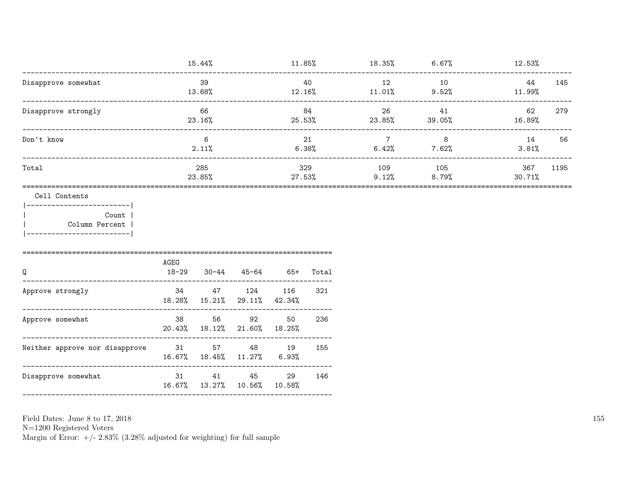|                        | 15.44%        | $11.85\%$     | 18.35%       | 6.67%        | $12.53\%$             |
|------------------------|---------------|---------------|--------------|--------------|-----------------------|
| Disapprove somewhat    | 39<br>13.68%  | 40<br>12.16%  | 12<br>11.01% | 10<br>9.52%  | 145<br>44<br>11.99%   |
| Disapprove strongly    | 66<br>23.16%  | 84<br>25.53%  | 26<br>23.85% | 41<br>39.05% | 62<br>279<br>16.89%   |
| Don't know             | 6<br>2.11%    | 21<br>6.38%   | 7<br>6.42%   | 8<br>7.62%   | 14<br>56<br>3.81%     |
| Total                  | 285<br>23.85% | 329<br>27.53% | 109<br>9.12% | 105<br>8.79% | 1195<br>367<br>30.71% |
| Cell Contents<br>Count |               |               |              |              |                       |

Column Percent | |-------------------------|

|                                | AGEG      |                                               |       |              |       |
|--------------------------------|-----------|-----------------------------------------------|-------|--------------|-------|
| Q                              | $18 - 29$ | $30 - 44$                                     | 45-64 | $65+$        | Total |
| Approve strongly               | 34        | 47<br>$18.28\%$ $15.21\%$ $29.11\%$ $42.34\%$ | 124   | - 116        | 321   |
| Approve somewhat               | 38        | 56<br>20.43% 18.12% 21.60% 18.25%             | 92    | 50           | 236   |
| Neither approve nor disapprove | 31        | 57<br>$16.67\%$ $18.45\%$ $11.27\%$           | 48    | 19<br>6.93%  | 155   |
| Disapprove somewhat            | 31        | 41<br>16.67% 13.27% 10.56%                    | 45    | 29<br>10.58% | 146   |

Field Dates: June 8 to 17, 2018

 ${\rm N}{=}1200$  Registered Voters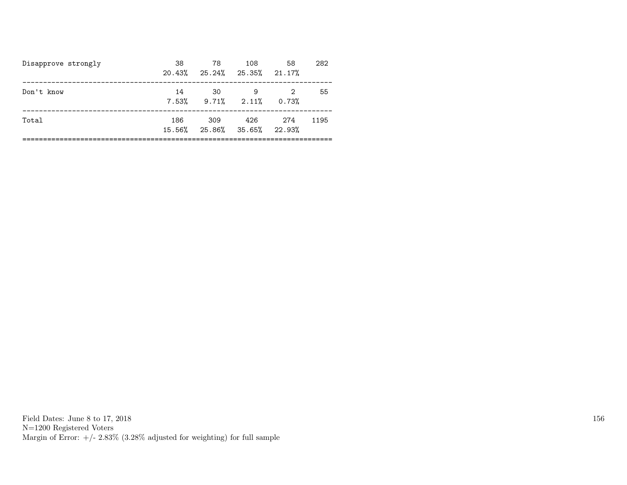| Disapprove strongly | 38<br>20.43%  | 78<br>25.24% 25.35% 21.17%   | 108 | 58    | 282  |
|---------------------|---------------|------------------------------|-----|-------|------|
| Don't know          | 14            | 30<br>$7.53\%$ 9.71\% 2.11\% | 9   | 0.73% | 55   |
| Total               | 186<br>15.56% | 309<br>25.86% 35.65% 22.93%  | 426 | 274   | 1195 |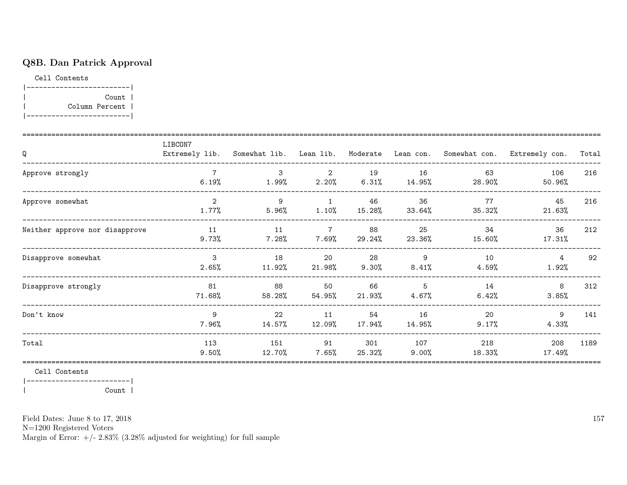## Q8B. Dan Patrick Approval

Cell Contents |-------------------------| | Count | | Column Percent | |-------------------------|

| Q                              | LIBCON7                |                 |                          |               |                 |                | Extremely lib. Somewhat lib. Lean lib. Moderate Lean con. Somewhat con. Extremely con. | Total |
|--------------------------------|------------------------|-----------------|--------------------------|---------------|-----------------|----------------|----------------------------------------------------------------------------------------|-------|
| Approve strongly               | 6.19%                  | 3<br>$1.99\%$   | 2<br>2.20%               | 19<br>6.31%   | 16<br>14.95%    | 63<br>28.90%   | 106<br>$50.96\%$                                                                       | 216   |
| Approve somewhat               | 2<br>1.77%             | 9<br>5.96%      | $\overline{1}$<br>1.10%  | 46<br>15.28%  | 36<br>33.64%    | 77<br>35.32%   | 45<br>21.63%                                                                           | 216   |
| Neither approve nor disapprove | 11<br>9.73%            | 11<br>7.28%     | $7\overline{ }$<br>7.69% | 88<br>29.24%  | 25<br>23.36%    | 34<br>15.60%   | 36<br>17.31%                                                                           | 212   |
| Disapprove somewhat            | $\mathcal{E}$<br>2.65% | 18<br>11.92%    | 20<br>21.98%             | 28<br>9.30%   | 9<br>$8.41\%$   | 10<br>4.59%    | $\overline{4}$<br>1.92%                                                                | 92    |
| Disapprove strongly            | 81<br>71.68%           | 88<br>58.28%    | 50<br>54.95%             | 66<br>21.93%  | 5<br>$4.67\%$   | 14<br>6.42%    | 8<br>3.85%                                                                             | 312   |
| Don't know                     | 9<br>7.96%             | 22<br>$14.57\%$ | 11<br>12.09%             | 54<br>17.94%  | 16<br>14.95%    | 20<br>$9.17\%$ | 9<br>4.33%                                                                             | 141   |
| Total                          | 113<br>9.50%           | 151<br>12.70%   | 91<br>$7.65\%$           | 301<br>25.32% | 107<br>$9.00\%$ | 218<br>18.33%  | 208<br>17.49%                                                                          | 1189  |

Cell Contents

|-------------------------|

| Count |

Field Dates: June 8 to 17, 2018

N=1200 Registered Voters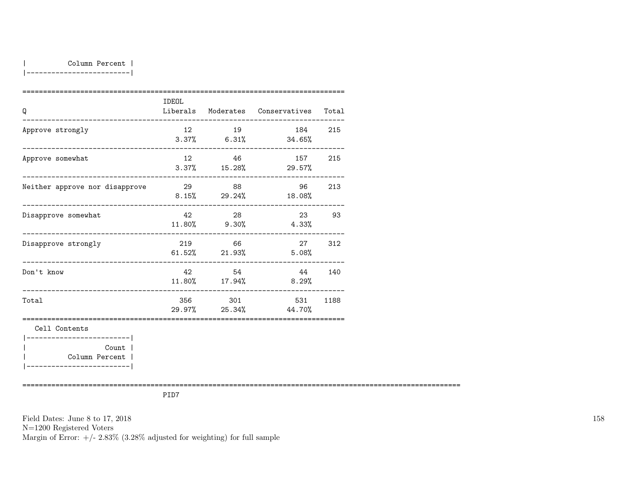|-------------------------|

| Q                                                          | IDEOL                 |                            | Liberals Moderates Conservatives Total |        |
|------------------------------------------------------------|-----------------------|----------------------------|----------------------------------------|--------|
| Approve strongly                                           | 12                    | 19                         | 184 215<br>$3.37\%$ 6.31% 34.65%       |        |
| --------------------------------------<br>Approve somewhat |                       | 12 46                      | 157<br>$3.37\%$ 15.28% 29.57%          | 215    |
| Neither approve nor disapprove                             |                       | 29 88                      | 96<br>$8.15\%$ 29.24% 18.08%           | 213    |
| Disapprove somewhat                                        | 42 and $\overline{a}$ | 28<br>$11.80\%$ 9.30%      | 23 93<br>4.33%                         |        |
| Disapprove strongly                                        |                       | 219 66<br>$61.52\%$ 21.93% | 5.08%                                  | 27 312 |
| _______________________________<br>Don't know              | 42                    | 54                         | $11.80\%$ $17.94\%$ 8.29%              | 44 140 |
| __________________________________<br>Total                |                       | 356 301                    | 531<br>$29.97\%$ 25.34% 44.70%         | 1188   |
| Cell Contents<br>-----------------------                   |                       |                            |                                        |        |
| Count  <br>Column Percent  <br>__________________________  |                       |                            |                                        |        |

==========================================================================================================

PID7

Field Dates: June 8 to 17, 2018 N=1200 Registered Voters Margin of Error:  $+/- 2.83\%$  (3.28% adjusted for weighting) for full sample 158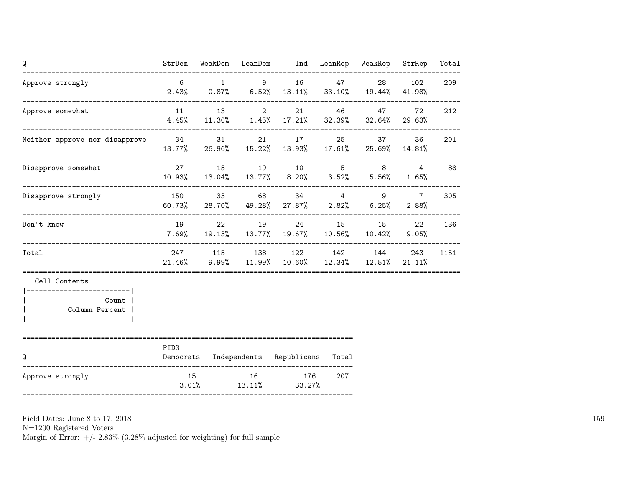| Q                                                                                      |                  |  | StrDem WeakDem LeanDem Ind LeanRep WeakRep                                        |     | StrRep                      | Total |
|----------------------------------------------------------------------------------------|------------------|--|-----------------------------------------------------------------------------------|-----|-----------------------------|-------|
| Approve strongly<br>-----------------------------------                                |                  |  | 6 1 9 16 47 28<br>$2.43\%$ 0.87% 6.52% 13.11% 33.10% 19.44% 41.98%                |     | 102                         | 209   |
| Approve somewhat                                                                       |                  |  | 11 13 2 21 46 47 72<br>4.45% 11.30% 1.45% 17.21% 32.39% 32.64% 29.63%             |     |                             | 212   |
| Neither approve nor disapprove 34 31                                                   |                  |  | 21 17 25 37<br>13.77% 26.96% 15.22% 13.93% 17.61% 25.69% 14.81%                   |     | 36                          | 201   |
| Disapprove somewhat                                                                    |                  |  | 27 15 19 10 5 8 4 88<br>10.93% 13.04% 13.77% 8.20% 3.52% 5.56%                    |     | $1.65\%$                    |       |
| Disapprove strongly                                                                    |                  |  | 150 33 68 34 4 9<br>$60.73\%$ 28.70% 49.28% 27.87% 2.82% 6.25%                    |     | $7\overline{ }$<br>$2.88\%$ | 305   |
| Don't know                                                                             |                  |  | 19 22 19 24 15 15 22<br>$7.69\%$ 19.13% 13.77% 19.67% 10.56% 10.42% 9.05%         |     |                             | 136   |
| Total                                                                                  |                  |  | 247 115 138 122 142 144 243<br>$21.46\%$ 9.99% 11.99% 10.60% 12.34% 12.51% 21.11% |     |                             | 1151  |
| Cell Contents                                                                          |                  |  |                                                                                   |     |                             |       |
| -------------------------- <br>Count  <br>Column Percent  <br>________________________ |                  |  |                                                                                   |     |                             |       |
| ___________________________________<br>Q                                               | PID <sub>3</sub> |  | Democrats Independents Republicans Total                                          |     |                             |       |
| Approve strongly                                                                       |                  |  | 15 16 176<br>$3.01\%$ $13.11\%$ $33.27\%$                                         | 207 |                             |       |

N=1200 Registered Voters

Margin of Error:  $+/- 2.83\%$  (3.28% adjusted for weighting) for full sample

159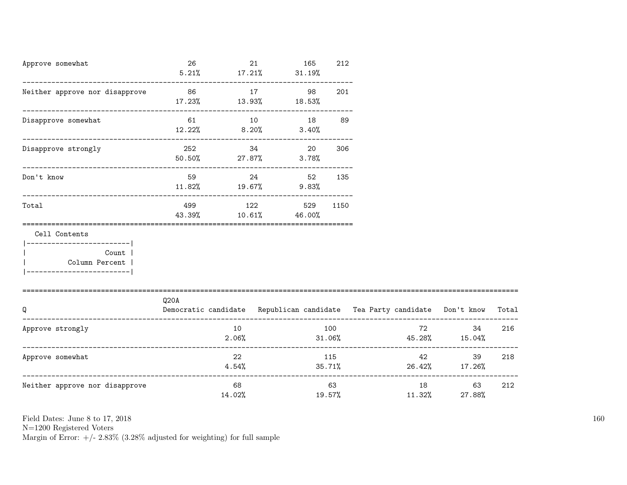| Approve somewhat<br>-------------------------------                                                               | 26<br>5.21%                                                                      |                | 21 | 165<br>$17.21\%$ $31.19\%$                | 212 |        |                       |                                      |       |
|-------------------------------------------------------------------------------------------------------------------|----------------------------------------------------------------------------------|----------------|----|-------------------------------------------|-----|--------|-----------------------|--------------------------------------|-------|
| Neither approve nor disapprove                                                                                    | 86 17                                                                            |                |    | 98<br>$17.23\%$ $13.93\%$ $18.53\%$       | 201 |        |                       |                                      |       |
| Disapprove somewhat                                                                                               | 61 10<br>$12.22\%$ 8.20%                                                         |                |    | 18 89<br>3.40%                            |     |        |                       |                                      |       |
| Disapprove strongly                                                                                               | 252 200                                                                          |                |    | 34<br>20<br>$50.50\%$ 27.87% 3.78%        | 306 |        |                       |                                      |       |
| Don't know                                                                                                        | 59 30 31 32 33 43 44 59 45                                                       |                |    | 24 52 135<br>$11.82\%$ $19.67\%$ $9.83\%$ |     |        |                       |                                      |       |
| Total                                                                                                             | 499<br>43.39%                                                                    |                |    | 122 529 1150<br>$10.61\%$ 46.00%          |     |        |                       |                                      |       |
| Cell Contents<br>------------------------- <br><b>Count</b><br>  Column Percent  <br>  __________________________ |                                                                                  |                |    |                                           |     |        |                       |                                      |       |
| Q<br>-----------------------                                                                                      | Q20A<br>Democratic candidate Republican candidate Tea Party candidate Don't know |                |    |                                           |     |        |                       |                                      | Total |
| Approve strongly                                                                                                  |                                                                                  | 10<br>2.06%    |    | 31.06%                                    | 100 |        |                       | 72 — 10<br>34<br>$45.28\%$ $15.04\%$ | 216   |
| Approve somewhat                                                                                                  |                                                                                  | 22<br>$4.54\%$ |    |                                           | 115 |        | 42 and $\overline{a}$ | 39<br>$35.71\%$ 26.42% 17.26%        | 218   |
| Neither approve nor disapprove                                                                                    |                                                                                  | 68<br>14.02%   |    |                                           | 63  | 19.57% |                       | 63<br>$11.32\%$ 27.88%               | 212   |

N=1200 Registered Voters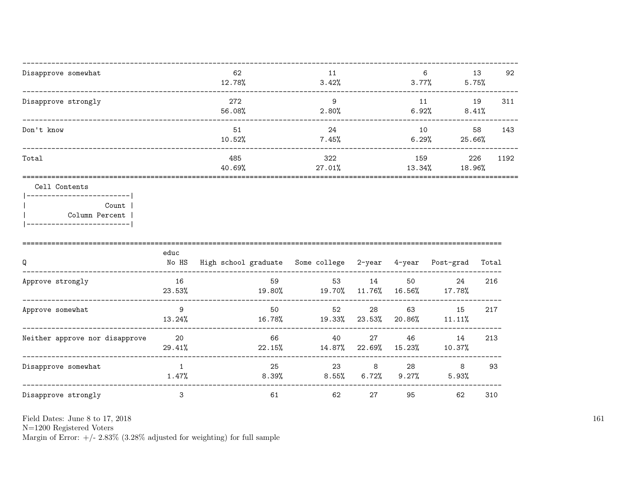| Disapprove somewhat                      | 62<br>12.78%  | 11<br>3.42%      | 6<br>3.77%     | 13<br>5.75%   | 92   |
|------------------------------------------|---------------|------------------|----------------|---------------|------|
| Disapprove strongly                      | 272<br>56.08% | 9<br>2.80%       | 11<br>6.92%    | 19<br>8.41%   | 311  |
| Don't know                               | 51<br>10.52%  | 24<br>7.45%      | 10<br>$6.29\%$ | 58<br>25.66%  | 143  |
| Total                                    | 485<br>40.69% | 322<br>$27.01\%$ | 159<br>13.34%  | 226<br>18.96% | 1192 |
| Cell Contents<br>Count<br>Column Percent |               |                  |                |               |      |

|                                | educ         |                                          |                |               |              |              |       |
|--------------------------------|--------------|------------------------------------------|----------------|---------------|--------------|--------------|-------|
| Q                              | No HS        | High school graduate Some college 2-year |                |               | 4-year       | Post-grad    | Total |
| Approve strongly               | 16<br>23.53% | 59<br>19.80%                             | 53<br>19.70%   | 14<br>11.76%  | 50<br>16.56% | 24<br>17.78% | 216   |
| Approve somewhat               | 9<br>13.24%  | 50<br>16.78%                             | 52<br>19.33%   | 28<br>23.53%  | 63<br>20.86% | 15<br>11.11% | 217   |
| Neither approve nor disapprove | 20<br>29.41% | 66<br>22.15%                             | 40<br>14.87%   | 27<br>22.69%  | 46<br>15.23% | 14<br>10.37% | 213   |
| Disapprove somewhat            | 1.47%        | 25<br>$8.39\%$                           | 23<br>$8.55\%$ | 8<br>$6.72\%$ | 28<br>9.27%  | 8<br>5.93%   | 93    |
| Disapprove strongly            | 3            | 61                                       | 62             | 27            | 95           | 62           | 310   |

Field Dates: June 8 to 17,  $2018\,$ 

N=1200 Registered Voters<br>Margin of Error:  $+/- 2.83\%$  (3.28% adjusted for weighting) for full sample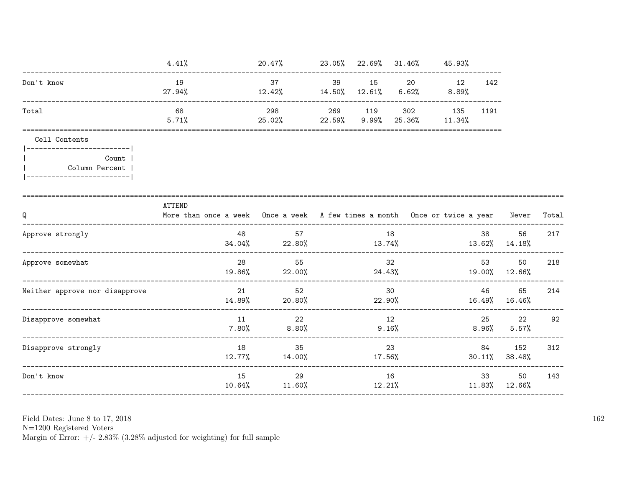|                                                                                                | 4.41%                                                                                      | $20.47\%$ 23.05% 22.69% 31.46% 45.93%               |        |       |                                       |                  |                            |       |
|------------------------------------------------------------------------------------------------|--------------------------------------------------------------------------------------------|-----------------------------------------------------|--------|-------|---------------------------------------|------------------|----------------------------|-------|
| Don't know                                                                                     | 19<br>27.94%                                                                               | $12.42\%$ $14.50\%$ $12.61\%$ $6.62\%$ $8.89\%$     |        |       | 37 39 15 20 12                        | 142              |                            |       |
| Total                                                                                          | 68<br>5.71%                                                                                | 298<br>$25.02\%$ 22.59% 9.99%                       |        |       | 269 119 302 135 1191<br>25.36% 11.34% |                  |                            |       |
| Cell Contents                                                                                  |                                                                                            |                                                     |        |       |                                       |                  |                            |       |
| ------------------------- <br><b>Count</b>  <br>Column Percent  <br> ------------------------- |                                                                                            |                                                     |        |       |                                       |                  |                            |       |
| Q<br>----------------------------                                                              | ATTEND<br>More than once a week Once a week A few times a month Once or twice a year Never |                                                     |        |       |                                       |                  |                            | Total |
| Approve strongly                                                                               | 48                                                                                         | 57<br>$34.04\%$ 22.80% 13.74% 13.62% 14.18%         |        | 18    |                                       | 38 — 1           | 56                         | 217   |
| Approve somewhat                                                                               | 28                                                                                         | 55<br>19.86% 22.00%                                 | 32     |       | $24.43\%$ $19.00\%$ $12.66\%$         |                  | 50                         | 218   |
| Neither approve nor disapprove                                                                 | 14.89%                                                                                     | 21<br>52<br>$20.80\%$ $22.90\%$ $16.49\%$ $16.46\%$ |        | 30    |                                       | 46 — 10          | 65                         | 214   |
| Disapprove somewhat                                                                            | 11<br>7.80%                                                                                | 22<br>8.80%                                         | 12     | 9.16% |                                       | 25 3<br>$8.96\%$ | 22<br>5.57%                | 92    |
| Disapprove strongly                                                                            | 18                                                                                         | 35<br>$12.77\%$ $14.00\%$                           | 17.56% | 23    |                                       | 84               | 152<br>$30.11\%$ $38.48\%$ | 312   |
| Don't know                                                                                     | 15                                                                                         | 29<br>$10.64\%$ $11.60\%$                           |        | 16    | 12.21%                                |                  | 33 50<br>11.83% 12.66%     | 143   |
|                                                                                                |                                                                                            |                                                     |        |       |                                       |                  |                            |       |

Field Dates: June 8 to 17,  $2018\,$ 

N=1200 Registered Voters<br>Margin of Error:  $+/- 2.83\%$  (3.28% adjusted for weighting) for full sample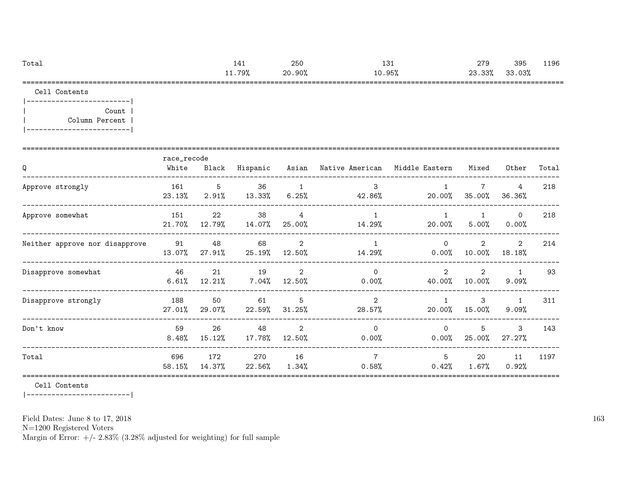| Total       | ᆠᆂᆂ    | 250    | $\sim$<br>⊥∪⊥ | 279    | 395    | 1196 |
|-------------|--------|--------|---------------|--------|--------|------|
|             | 11.79% | 20.90% | 0.95%         | 23.33% | 33.03% |      |
| ----<br>--- |        |        |               |        |        |      |

Cell Contents

|-------------------------| | Count | | Column Percent | |-------------------------|

| Q                              | race_recode<br>White | Black         | Hispanic        |                          | Asian Native American Middle Eastern |                          | Mixed                    | Other                    | Total |
|--------------------------------|----------------------|---------------|-----------------|--------------------------|--------------------------------------|--------------------------|--------------------------|--------------------------|-------|
| Approve strongly               | 161<br>23.13%        | 5<br>2.91%    | 36<br>13.33%    | 1<br>6.25%               | 3<br>42.86%                          | 20.00%                   | $\overline{7}$<br>35.00% | 4<br>36.36%              | 218   |
| Approve somewhat               | 151<br>21.70%        | 22<br>12.79%  | 38<br>14.07%    | $\overline{4}$<br>25.00% | $\mathbf{1}$<br>14.29%               | 20.00%                   | 5.00%                    | $\circ$<br>0.00%         | 218   |
| Neither approve nor disapprove | 91<br>13.07%         | 48<br>27.91%  | 68<br>$25.19\%$ | 2<br>12.50%              | 14.29%                               | $\Omega$<br>$0.00\%$     | 2<br>10.00%              | 2<br>18.18%              | 214   |
| Disapprove somewhat            | 46<br>6.61%          | 21<br>12.21%  | 19<br>7.04%     | 2<br>12.50%              | $\Omega$<br>$0.00\%$                 | $\overline{2}$<br>40.00% | $\overline{2}$<br>10.00% | $\mathbf{1}$<br>$9.09\%$ | 93    |
| Disapprove strongly            | 188<br>27.01%        | 50<br>29.07%  | 61<br>22.59%    | 5<br>$31.25\%$           | $\overline{2}$<br>28.57%             | 20.00%                   | 3<br>15.00%              | $\mathbf{1}$<br>9.09%    | 311   |
| Don't know                     | 59<br>$8.48\%$       | 26<br>15.12%  | 48<br>17.78%    | $\overline{2}$<br>12.50% | $\Omega$<br>0.00%                    | $\Omega$<br>$0.00\%$     | 5<br>25.00%              | 3<br>27.27%              | 143   |
| Total                          | 696<br>58.15%        | 172<br>14.37% | 270<br>22.56%   | 16<br>$1.34\%$           | $\overline{7}$<br>0.58%              | 5<br>0.42%               | 20<br>1.67%              | 11<br>0.92%              | 1197  |

Cell Contents

|-------------------------|

Field Dates: June 8 to 17, 2018

N=1200 Registered Voters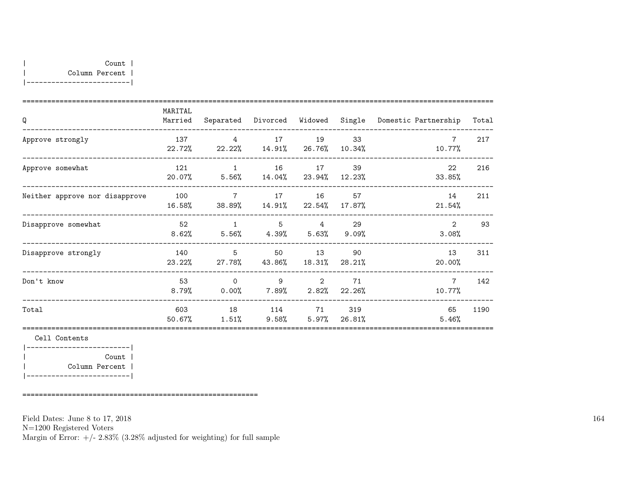| Q                              | MARITAL<br>Married |                                                      |            |       |              | Separated Divorced Widowed Single Domestic Partnership | Total |
|--------------------------------|--------------------|------------------------------------------------------|------------|-------|--------------|--------------------------------------------------------|-------|
| Approve strongly               | 137                | $\overline{4}$<br>22.72% 22.22% 14.91% 26.76%        | 17         | 19    | 33<br>10.34% | $7\phantom{.0}$<br>10.77%                              | 217   |
| Approve somewhat               | 121                | 20.07% 5.56% 14.04% 23.94% 12.23%                    | 1 16 17 39 |       |              | $22 \overline{ }$<br>33.85%                            | 216   |
| Neither approve nor disapprove | 100                | $\overline{7}$<br>16.58% 38.89% 14.91% 22.54% 17.87% |            | 16    | 57           | 14<br>21.54%                                           | 211   |
| Disapprove somewhat            | 52<br>8.62%        | $5.56\%$ $4.39\%$ $5.63\%$ $9.09\%$                  | 1 5 4      |       | 29           | $2^{1}$<br>3.08%                                       | 93    |
| Disapprove strongly            | 140                | 5 <sup>5</sup><br>23.22% 27.78% 43.86% 18.31%        |            | 50 13 | 90<br>28.21% | 13<br>20.00%                                           | 311   |
| Don't know                     | 53<br>8.79%        | $\Omega$<br>$0.00\%$ $7.89\%$ $2.82\%$               | 9          | 2     | 71<br>22.26% | $7\overline{ }$<br>10.77%                              | 142   |
| Total                          | 603<br>50.67%      | 18<br>$1.51\%$ 9.58% 5.97% 26.81%                    | 114 71     |       | 319          | 65<br>5.46%                                            | 1190  |

|-------------------------| | Count | | Column Percent | |-------------------------|

=========================================================

Field Dates: June 8 to 17, 2018

N=1200 Registered Voters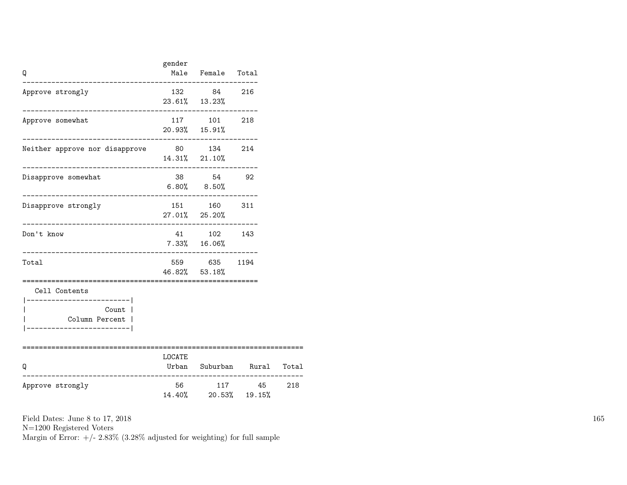| Q                                                                                                                             | gender                                       | Male Female Total                                        |                            |  |
|-------------------------------------------------------------------------------------------------------------------------------|----------------------------------------------|----------------------------------------------------------|----------------------------|--|
| Approve strongly                                                                                                              |                                              | 132 84 216<br>23.61% 13.23%                              |                            |  |
| Approve somewhat                                                                                                              |                                              | $117 \qquad \quad 101 \qquad \quad 218$<br>20.93% 15.91% |                            |  |
| Neither approve nor disapprove 80 134 214                                                                                     |                                              | $14.31\%$ $21.10\%$<br>------------------------          |                            |  |
| Disapprove somewhat                                                                                                           | $6.80\%$ $8.50\%$<br>.______________________ | 38 54 92                                                 |                            |  |
| Disapprove strongly                                                                                                           |                                              | 151 160 311<br>$27.01\%$ $25.20\%$                       |                            |  |
| Don't know                                                                                                                    |                                              | 41 102 143<br>$7.33\%$ $16.06\%$                         |                            |  |
| Total                                                                                                                         |                                              | 559 635 1194<br>46.82% 53.18%                            |                            |  |
| Cell Contents<br>----------------------- <br>Count  <br>Column Percent  <br>----------------------- <br>===================== |                                              |                                                          |                            |  |
| Q<br>___________________                                                                                                      | LOCATE<br>______________                     |                                                          | Urban Suburban Rural Total |  |
| Approve strongly                                                                                                              | 56 100                                       | 14.40% 20.53% 19.15%                                     | 117 45 218                 |  |

N=1200 Registered Voters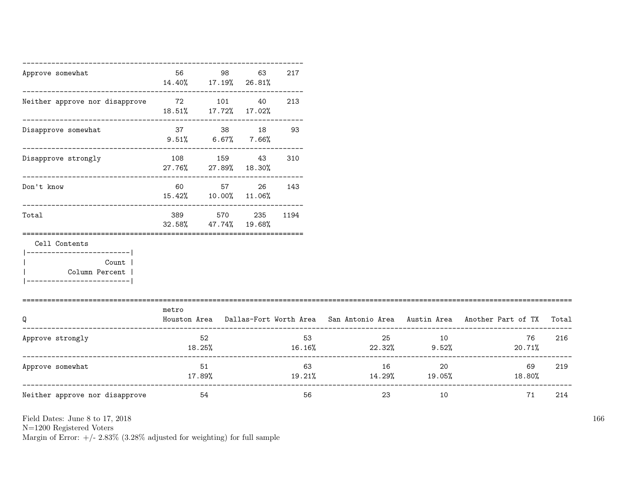| Approve somewhat                                      | 56            | 98<br>14.40% 17.19% 26.81%       | 63 | 217      |                                     |       |                                                                                     |       |
|-------------------------------------------------------|---------------|----------------------------------|----|----------|-------------------------------------|-------|-------------------------------------------------------------------------------------|-------|
| Neither approve nor disapprove 72 101 40              |               | 18.51% 17.72% 17.02%             |    | 213      |                                     |       |                                                                                     |       |
| Disapprove somewhat                                   |               | 37 38 18<br>$9.51\%$ 6.67% 7.66% |    | 93       |                                     |       |                                                                                     |       |
| Disapprove strongly                                   | 108 159 43    | 27.76% 27.89% 18.30%             |    | 310      |                                     |       |                                                                                     |       |
| Don't know                                            | 60 000        | 57 — 17<br>15.42% 10.00% 11.06%  | 26 | 143      |                                     |       |                                                                                     |       |
| Total                                                 | 389<br>32.58% | 570<br>47.74% 19.68%             |    | 235 1194 |                                     |       |                                                                                     |       |
| Cell Contents                                         |               |                                  |    |          |                                     |       |                                                                                     |       |
| Count  <br>Column Percent  <br>---------------------- |               |                                  |    |          |                                     |       |                                                                                     |       |
| Q                                                     | metro         |                                  |    |          |                                     |       | Houston Area Dallas-Fort Worth Area San Antonio Area Austin Area Another Part of TX | Total |
| Approve strongly                                      |               | 52<br>$18.25\%$                  |    | 53       | $16.16\%$ 22.32%                    | 25 10 | 76<br>9.52%<br>20.71%                                                               | 216   |
| Approve somewhat                                      | 17.89%        | 51                               |    | 63       | 16<br>$19.21\%$ $14.29\%$ $19.05\%$ | 20    | 69<br>$18.80\%$                                                                     | 219   |
| Neither approve nor disapprove                        | 54            |                                  |    | 56       | 23                                  | 10    | 71                                                                                  | 214   |

N=1200 Registered Voters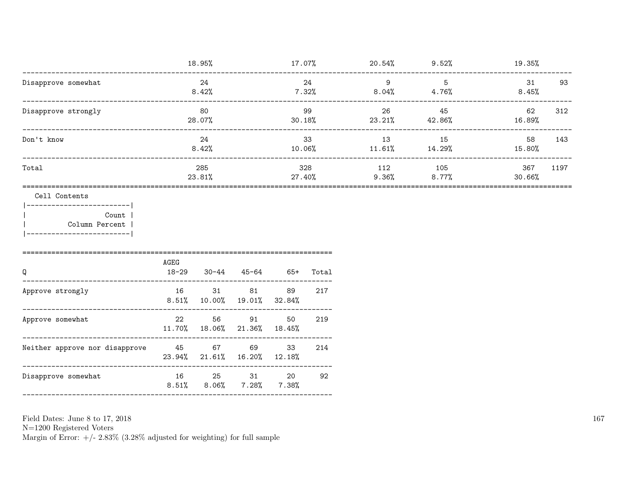|                     | 18.95%        | 17.07%        | 20.54%        | 9.52%           | 19.35%                   |  |
|---------------------|---------------|---------------|---------------|-----------------|--------------------------|--|
| Disapprove somewhat | 24<br>8.42%   | 24<br>7.32%   | 9<br>$8.04\%$ | 5<br>4.76%      | 93<br>31<br>8.45%        |  |
| Disapprove strongly | 80<br>28.07%  | 99<br>30.18%  | 26<br>23.21%  | 45<br>42.86%    | 62<br>312<br>16.89%      |  |
| Don't know          | 24<br>8.42%   | 33<br>10.06%  | 13<br>11.61%  | 15<br>14.29%    | 58<br>143<br>15.80%      |  |
| Total               | 285<br>23.81% | 328<br>27.40% | 112<br>9.36%  | 105<br>$8.77\%$ | 367<br>1197<br>$30.66\%$ |  |
|                     |               |               |               |                 |                          |  |

Cell Contents

 $|----------|$ Count | Column Percent |  $\overline{\phantom{a}}$ |-------------------------|

| AGEG<br>$18 - 29$ |                | 45-64          | - 65+                                           | Total                                                                    |
|-------------------|----------------|----------------|-------------------------------------------------|--------------------------------------------------------------------------|
| 16                | 31             | 81             | 89                                              | 217                                                                      |
| 22                | 56             | 91             | 50                                              | 219                                                                      |
| - 45              | 67             | 69             | 33<br>12.18%                                    | 214                                                                      |
| 16<br>8.51%       | 25<br>$8.06\%$ | 31<br>$7.28\%$ | 20<br>7.38%                                     | 92                                                                       |
|                   |                |                | 30-44<br>$8.51\%$ 10.00%<br>$23.94\%$ $21.61\%$ | $19.01\%$ $32.84\%$<br>$11.70\%$ $18.06\%$ $21.36\%$ $18.45\%$<br>16.20% |

Field Dates: June 8 to 17, 2018

 ${\rm N}{=}1200$  Registered Voters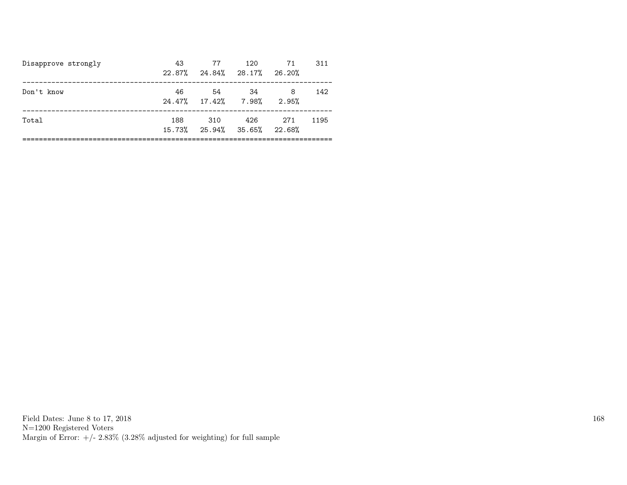| Disapprove strongly | 43<br>22.87% | 77<br>24.84% 28.17% 26.20%         | 120 | 71         | 311  |
|---------------------|--------------|------------------------------------|-----|------------|------|
| Don't know          | 46           | .54<br>24.47% 17.42% 7.98%         | -34 | 8<br>2.95% | 142  |
| Total               | 188          | 310<br>15.73% 25.94% 35.65% 22.68% | 426 | 271        | 1195 |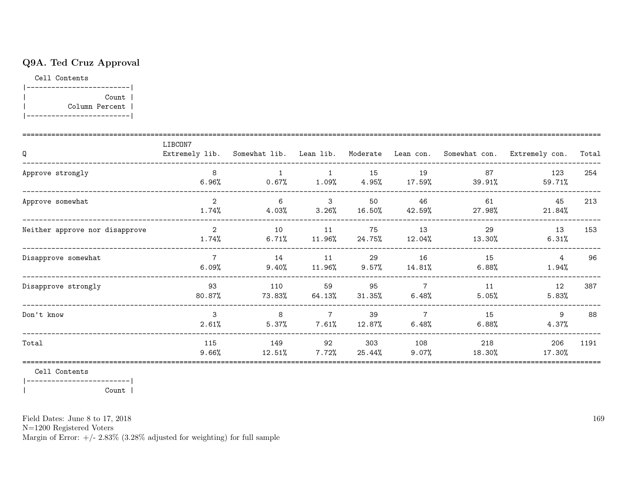## Q9A. Ted Cruz Approval

Cell Contents

|-------------------------| | Count | | Column Percent | |-------------------------|

| Q                              | LIBCON7                 |                            |                            |                |                          |                | Extremely lib. Somewhat lib. Lean lib. Moderate Lean con. Somewhat con. Extremely con. | Total |
|--------------------------------|-------------------------|----------------------------|----------------------------|----------------|--------------------------|----------------|----------------------------------------------------------------------------------------|-------|
| Approve strongly               | 8<br>$6.96\%$           | $\overline{1}$<br>$0.67\%$ | $\mathbf{1}$<br>$1.09\%$   | 15<br>$4.95\%$ | 19<br>17.59%             | 87<br>39.91%   | 123<br>59.71%                                                                          | 254   |
| Approve somewhat               | $\overline{2}$<br>1.74% | 6<br>4.03%                 | 3<br>3.26%                 | 50<br>16.50%   | 46<br>42.59%             | 61<br>27.98%   | 45<br>21.84%                                                                           | 213   |
| Neither approve nor disapprove | 2<br>1.74%              | 10<br>$6.71\%$             | 11<br>11.96%               | 75<br>24.75%   | 13<br>12.04%             | 29<br>13.30%   | 13<br>6.31%                                                                            | 153   |
| Disapprove somewhat            | $\overline{7}$<br>6.09% | 14<br>9.40%                | 11<br>11.96%               | 29<br>9.57%    | 16<br>14.81%             | 15<br>$6.88\%$ | $4\overline{ }$<br>$1.94\%$                                                            | 96    |
| Disapprove strongly            | 93<br>$80.87\%$         | 110<br>73.83%              | 59<br>64.13%               | 95<br>31.35%   | $7\overline{ }$<br>6.48% | 11<br>5.05%    | 12<br>5.83%                                                                            | 387   |
| Don't know                     | $\mathcal{S}$<br>2.61%  | 8<br>5.37%                 | $\overline{7}$<br>$7.61\%$ | 39<br>12.87%   | $\overline{7}$<br>6.48%  | 15<br>$6.88\%$ | 9<br>4.37%                                                                             | 88    |
| Total                          | 115<br>9.66%            | 149<br>12.51%              | 92<br>7.72%                | 303<br>25.44%  | 108<br>9.07%             | 218<br>18.30%  | 206<br>17.30%                                                                          | 1191  |

Cell Contents

|-------------------------|

| Count |

Field Dates: June 8 to 17, 2018

N=1200 Registered Voters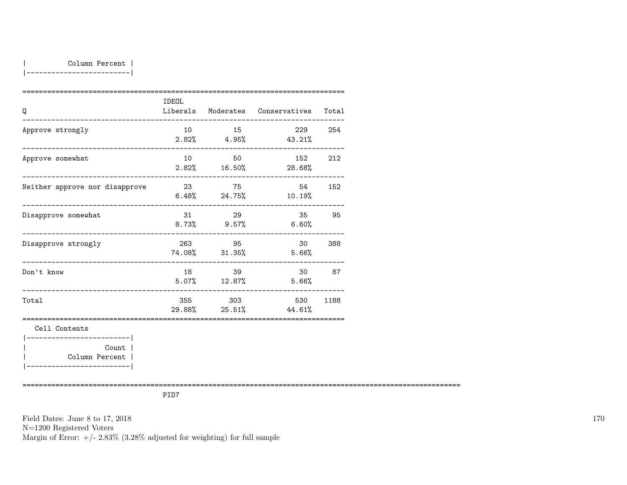|-------------------------|

| Q                                                     | IDEOL |                         | Liberals Moderates Conservatives Total |        |
|-------------------------------------------------------|-------|-------------------------|----------------------------------------|--------|
| Approve strongly                                      | 10    | 15                      | 229 254<br>$2.82\%$ 4.95% 43.21%       |        |
| Approve somewhat                                      |       | 10 50                   | 152<br>$2.82\%$ 16.50% 28.68%          | 212    |
| Neither approve nor disapprove                        |       | 23 75                   | 54 152<br>$6.48\%$ 24.75% 10.19%       |        |
| Disapprove somewhat                                   |       | 31 29<br>$8.73\%$ 9.57% | 35 95<br>$6.60\%$                      |        |
| Disapprove strongly<br>______________________________ |       | 263 95<br>74.08% 31.35% | $5.66\%$                               | 30 388 |
| Don't know                                            | 18    | 39                      | $5.07\%$ $12.87\%$ $5.66\%$            | 30 87  |
| __________________________________<br>Total           |       | 355 303                 | 530<br>29.88% 25.51% 44.61%            | 1188   |
| Cell Contents<br>-----------------------              |       |                         |                                        |        |
| Count  <br>Column Percent                             |       |                         |                                        |        |

==========================================================================================================

PID7

Field Dates: June 8 to 17, 2018 N=1200 Registered Voters Margin of Error:  $+/- 2.83\%$  (3.28% adjusted for weighting) for full sample 170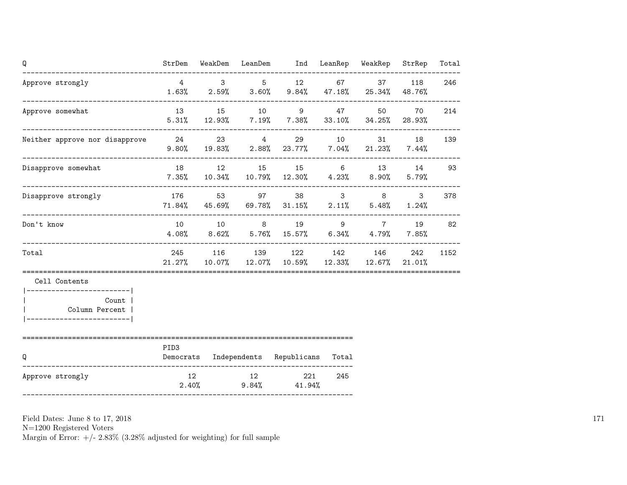| Q                                                                        | StrDem           |       | WeakDem LeanDem Ind LeanRep WeakRep                                                                                       |          |       | StrRep                | Total |
|--------------------------------------------------------------------------|------------------|-------|---------------------------------------------------------------------------------------------------------------------------|----------|-------|-----------------------|-------|
| Approve strongly<br>----------------------------------                   | $\overline{4}$   |       | $3 \qquad 5 \qquad 12$<br>$1.63\%$ $2.59\%$ $3.60\%$ $9.84\%$ $47.18\%$ $25.34\%$ $48.76\%$                               |          | 67 37 | 118                   | 246   |
| Approve somewhat                                                         | 13               | 15 10 | $9 \left( \frac{1}{2} \right)$<br>$5.31\%$ $12.93\%$ $7.19\%$ $7.38\%$ $33.10\%$ $34.25\%$ $28.93\%$                      | 47 — 200 | 50    | 70                    | 214   |
| Neither approve nor disapprove 24                                        |                  |       | --------------------------------------<br>23 4 29 10<br>$9.80\%$ $19.83\%$ $2.88\%$ $23.77\%$ $7.04\%$ $21.23\%$ $7.44\%$ |          | 31 7  | 18                    | 139   |
| Disapprove somewhat                                                      |                  |       | 18 12 15 15 6 13 14 93<br>$7.35\%$ 10.34% 10.79% 12.30% 4.23% 8.90%                                                       |          |       | 5.79%                 |       |
| Disapprove strongly<br>---------------------------------                 |                  |       | 176 53 97 38 3 8<br>$71.84\%$ $45.69\%$ $69.78\%$ $31.15\%$ $2.11\%$ $5.48\%$                                             |          |       | $\mathbf{3}$<br>1.24% | 378   |
| Don't know                                                               | 10               |       | 10 8 19 9 7<br>$4.08\%$ $8.62\%$ $5.76\%$ $15.57\%$ $6.34\%$ $4.79\%$ $7.85\%$                                            |          |       | 19                    | 82    |
| Total                                                                    |                  |       | 245 116 139 122 142 146<br>$21.27\%$ $10.07\%$ $12.07\%$ $10.59\%$ $12.33\%$ $12.67\%$ $21.01\%$                          |          |       | 242                   | 1152  |
| Cell Contents<br>------------------------- <br>Count  <br>Column Percent |                  |       |                                                                                                                           |          |       |                       |       |
| Q                                                                        | PID <sub>3</sub> |       | Democrats Independents Republicans Total                                                                                  |          |       |                       |       |
| Approve strongly                                                         | 12               | 12    | 221<br>$2.40\%$ 9.84% $41.94\%$                                                                                           | 245      |       |                       |       |

N=1200 Registered Voters

Margin of Error:  $+/- 2.83\%$  (3.28% adjusted for weighting) for full sample

171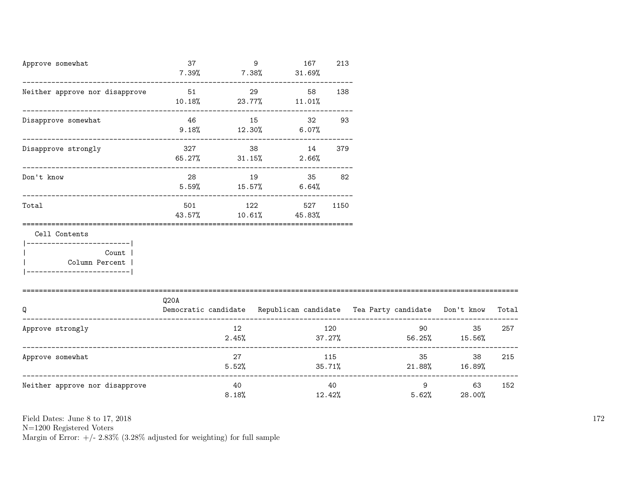| Approve somewhat                                                                                             | 37<br>7.39%   | 9           | 167<br>$7.38\%$ $31.69\%$                                                      | 213 |        |                                                                                                                                                                                                                                 |                                                |     |
|--------------------------------------------------------------------------------------------------------------|---------------|-------------|--------------------------------------------------------------------------------|-----|--------|---------------------------------------------------------------------------------------------------------------------------------------------------------------------------------------------------------------------------------|------------------------------------------------|-----|
| Neither approve nor disapprove 51                                                                            |               |             | 29<br>58<br>$10.18\%$ 23.77% $11.01\%$                                         | 138 |        |                                                                                                                                                                                                                                 |                                                |     |
| Disapprove somewhat                                                                                          |               | 46 15       | 32 93<br>$9.18\%$ $12.30\%$ $6.07\%$                                           |     |        |                                                                                                                                                                                                                                 |                                                |     |
| Disapprove strongly                                                                                          |               | 327         | 38 14<br>$65.27\%$ $31.15\%$ $2.66\%$                                          | 379 |        |                                                                                                                                                                                                                                 |                                                |     |
| Don't know                                                                                                   |               |             | 28 19 35 82<br>$5.59\%$ $15.57\%$ $6.64\%$                                     |     |        |                                                                                                                                                                                                                                 |                                                |     |
| Total                                                                                                        | 501<br>43.57% |             | 122 527 1150<br>$10.61\%$ 45.83%                                               |     |        |                                                                                                                                                                                                                                 |                                                |     |
| Cell Contents<br>------------------------- <br><b>Count</b><br>  Column Percent  <br>----------------------- |               |             |                                                                                |     |        |                                                                                                                                                                                                                                 |                                                |     |
| Q                                                                                                            | Q20A          |             | Democratic candidate Republican candidate Tea Party candidate Don't know Total |     |        |                                                                                                                                                                                                                                 |                                                |     |
| Approve strongly                                                                                             |               | 12<br>2.45% | 37.27%                                                                         | 120 |        | 90 — 100 — 100 — 100 — 100 — 100 — 100 — 100 — 100 — 100 — 100 — 100 — 100 — 100 — 100 — 100 — 100 — 100 — 100 — 100 — 100 — 100 — 100 — 100 — 100 — 100 — 100 — 100 — 100 — 100 — 100 — 100 — 100 — 100 — 100 — 100 — 100 — 10 | 35<br>$56.25\%$ 15.56%                         | 257 |
| Approve somewhat                                                                                             |               | 27          | $5.52\%$ $35.71\%$ $21.88\%$ $16.89\%$                                         | 115 |        |                                                                                                                                                                                                                                 | 35<br>38                                       | 215 |
| Neither approve nor disapprove                                                                               |               | 40<br>8.18% |                                                                                | 40  | 12.42% | 5.62%                                                                                                                                                                                                                           | $9 \left( \frac{1}{2} \right)$<br>63<br>28.00% | 152 |

N=1200 Registered Voters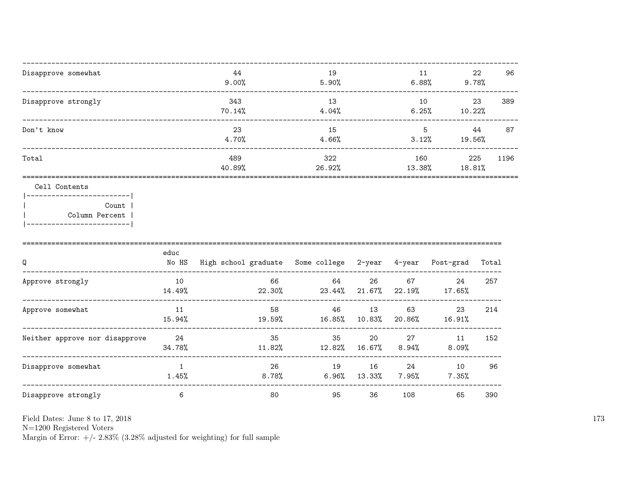| Disapprove somewhat                      | 44<br>9.00%   | 19<br>5.90%   | 11<br>6.88%   | 22<br>9.78%   | 96   |
|------------------------------------------|---------------|---------------|---------------|---------------|------|
| Disapprove strongly                      | 343<br>70.14% | 13<br>4.04%   | 10<br>6.25%   | 23<br>10.22%  | 389  |
| Don't know                               | 23<br>4.70%   | 15<br>4.66%   | 5<br>3.12%    | 44<br>19.56%  | 87   |
| Total                                    | 489<br>40.89% | 322<br>26.92% | 160<br>13.38% | 225<br>18.81% | 1196 |
| Cell Contents<br>Count<br>Column Percent |               |               |               |               |      |

 $\mathbf{I}$ 

| Q                              | educ<br>No HS | High school graduate | Some college   | 2-year          | 4-year         | Post-grad    | Total |
|--------------------------------|---------------|----------------------|----------------|-----------------|----------------|--------------|-------|
| Approve strongly               | 10<br>14.49%  | 66<br>22.30%         | 64<br>23.44%   | 26<br>$21.67\%$ | 67<br>22.19%   | 24<br>17.65% | 257   |
| Approve somewhat               | 11<br>15.94%  | 58<br>19.59%         | 46<br>16.85%   | 13<br>10.83%    | 63<br>20.86%   | 23<br>16.91% | 214   |
| Neither approve nor disapprove | 24<br>34.78%  | 35<br>11.82%         | 35<br>12.82%   | 20<br>16.67%    | 27<br>$8.94\%$ | 11<br>8.09%  | 152   |
| Disapprove somewhat            | 1.45%         | 26<br>8.78%          | 19<br>$6.96\%$ | 16<br>13.33%    | 24<br>7.95%    | 10<br>7.35%  | 96    |
| Disapprove strongly            | 6             | 80                   | 95             | 36              | 108            | 65           | 390   |

Field Dates: June 8 to 17, 2018

 ${\rm N}{=}1200$  Registered Voters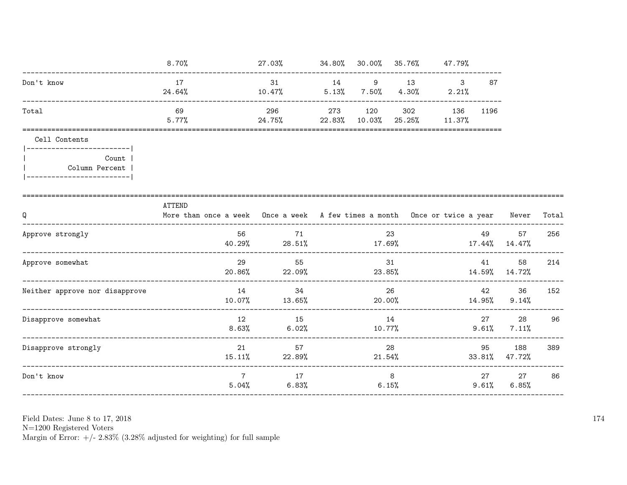|                                                                                         | 8.70%                                                                                      | 27.03%                                             |              |                | 34.80% 30.00% 35.76% 47.79%                         |          |                               |       |
|-----------------------------------------------------------------------------------------|--------------------------------------------------------------------------------------------|----------------------------------------------------|--------------|----------------|-----------------------------------------------------|----------|-------------------------------|-------|
| Don't know                                                                              | 17<br>24.64%                                                                               | 31 14 9 13<br>10.47%                               |              |                | $\mathbf{3}$<br>$5.13\%$ $7.50\%$ $4.30\%$ $2.21\%$ | 87       |                               |       |
| Total                                                                                   | 69<br>5.77%                                                                                | 296<br>$24.75\%$ 22.83% 10.03%                     | 273 120 302  |                | 136 1196<br>$25.25\%$ 11.37%                        |          |                               |       |
| Cell Contents                                                                           |                                                                                            |                                                    |              |                |                                                     |          |                               |       |
| ------------------------- <br>Count  <br>Column Percent  <br> ------------------------- |                                                                                            |                                                    |              |                |                                                     |          |                               |       |
| Q                                                                                       | ATTEND<br>More than once a week Once a week A few times a month Once or twice a year Never |                                                    |              |                |                                                     |          |                               | Total |
| Approve strongly                                                                        | 56 —                                                                                       | 71<br>$40.29%$ 28.51% 17.69% 17.144% 17.44% 14.47% |              | 23             |                                                     | 49       | 57                            | 256   |
| Approve somewhat                                                                        | 29                                                                                         | 55<br>$20.86\%$ 22.09% 23.85% 14.59% 14.72%        | 31           |                |                                                     | 41       | 58                            | 214   |
| Neither approve nor disapprove                                                          |                                                                                            | 14<br>34<br>$10.07\%$ 13.65% 20.00% 14.95%         |              | 26             |                                                     | 42       | 36<br>$9.14\%$                | 152   |
| Disapprove somewhat                                                                     | 12                                                                                         | 15<br>$8.63\%$ 6.02%                               | 14<br>10.77% |                |                                                     |          | 27 28 96<br>$9.61\%$ $7.11\%$ |       |
| Disapprove strongly                                                                     | 21                                                                                         | 57<br>$15.11\%$ 22.89%                             |              | 28             | 21.54%                                              | 95       | 188<br>33.81% 47.72%          | 389   |
| Don't know                                                                              | $7^{\circ}$                                                                                | 17<br>$5.04\%$ 6.83%                               |              | 8 <sup>8</sup> | 6.15%                                               | $9.61\%$ | 27 27<br>6.85%                | 86    |

N=1200 Registered Voters<br>Margin of Error:  $+/- 2.83\%$  (3.28% adjusted for weighting) for full sample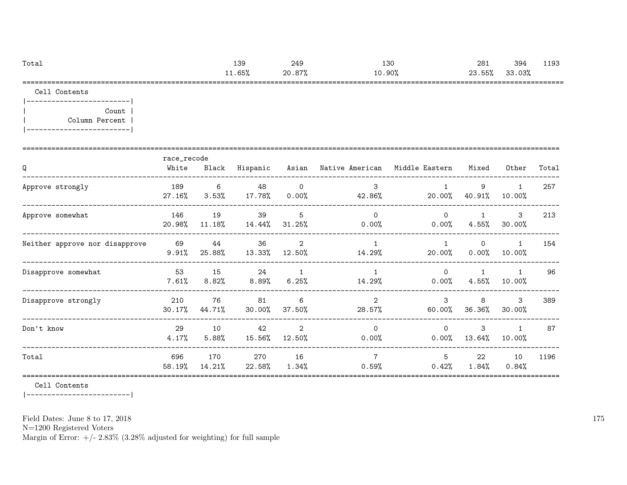| Total | 139    | 249                      | 130    | 281    | 394    | 1102<br>ᆂᆂ୰୳ |
|-------|--------|--------------------------|--------|--------|--------|--------------|
|       | ⊥1.65% | 70.87°′∠<br><i>' 1</i> 0 | 10.90% | 23.55% | 33.03% |              |
| ----  |        |                          |        |        |        | _____        |

Cell Contents

|-------------------------| | Count | | Column Percent | |-------------------------|

| Q                              | race_recode<br>White | Black         | Hispanic      |                            | Asian Native American Middle Eastern |                         | Mixed                    | Other                    | Total |
|--------------------------------|----------------------|---------------|---------------|----------------------------|--------------------------------------|-------------------------|--------------------------|--------------------------|-------|
| Approve strongly               | 189<br>27.16%        | 6<br>3.53%    | 48<br>17.78%  | $\overline{0}$<br>$0.00\%$ | 3<br>42.86%                          | $20.00\%$               | 9<br>40.91%              | $\mathbf{1}$<br>10.00%   | 257   |
| Approve somewhat               | 146<br>20.98%        | 19<br>11.18%  | 39<br>14.44%  | 5<br>31.25%                | $\Omega$<br>$0.00\%$                 | $\Omega$<br>$0.00\%$    | $4.55\%$                 | $\mathbf{3}$<br>30.00%   | 213   |
| Neither approve nor disapprove | 69<br>9.91%          | 44<br>25.88%  | 36<br>13.33%  | 2<br>12.50%                | $\mathbf{1}$<br>14.29%               | $\mathbf{1}$<br>20.00%  | $\Omega$<br>0.00%        | $\overline{1}$<br>10.00% | 154   |
| Disapprove somewhat            | 53<br>$7.61\%$       | 15<br>8.82%   | 24<br>8.89%   | $\mathbf{1}$<br>6.25%      | $\mathbf{1}$<br>14.29%               | $\Omega$<br>$0.00\%$    | $\mathbf{1}$<br>$4.55\%$ | $\overline{1}$<br>10.00% | 96    |
| Disapprove strongly            | 210<br>30.17%        | 76<br>44.71%  | 81<br>30.00%  | 6<br>37.50%                | 2<br>28.57%                          | $\mathcal{S}$<br>60.00% | 8<br>36.36%              | 3<br>30.00%              | 389   |
| Don't know                     | 29<br>4.17%          | 10<br>5.88%   | 42<br>15.56%  | $\overline{2}$<br>12.50%   | $\Omega$<br>$0.00\%$                 | $\Omega$<br>$0.00\%$    | 3<br>13.64%              | $\mathbf{1}$<br>10.00%   | 87    |
| Total                          | 696<br>58.19%        | 170<br>14.21% | 270<br>22.58% | 16<br>$1.34\%$             | $\overline{7}$<br>$0.59\%$           | 5<br>0.42%              | 22<br>$1.84\%$           | 10<br>0.84%              | 1196  |

Cell Contents

|-------------------------|

Field Dates: June 8 to 17, 2018

N=1200 Registered Voters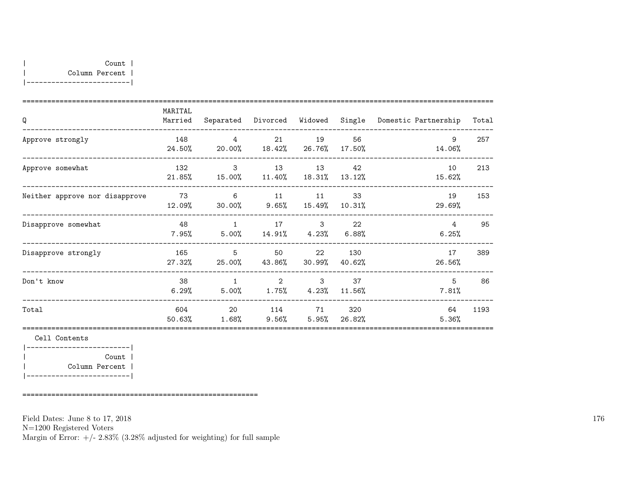| Q                              | MARITAL<br>Married | Separated                | Divorced     | Widowed                 | Single         | Domestic Partnership | Total |
|--------------------------------|--------------------|--------------------------|--------------|-------------------------|----------------|----------------------|-------|
| Approve strongly               | 148<br>24.50%      | $\overline{4}$<br>20.00% | 21<br>18.42% | 19<br>26.76%            | 56<br>17.50%   | 9<br>14.06%          | 257   |
| Approve somewhat               | 132<br>21.85%      | $\mathbf{3}$<br>15.00%   | 13<br>11.40% | 13<br>18.31%            | 42<br>13.12%   | 10<br>15.62%         | 213   |
| Neither approve nor disapprove | 73<br>12.09%       | 6<br>$30.00\%$           | 11<br>9.65%  | 11<br>15.49%            | - 33<br>10.31% | 19<br>29.69%         | 153   |
| Disapprove somewhat            | 48<br>$7.95\%$     | 1<br>$5.00\%$            | 17           | 3<br>$14.91\%$ $4.23\%$ | 22<br>$6.88\%$ | 4<br>6.25%           | 95    |
| Disapprove strongly            | 165<br>27.32%      | 5<br>25.00%              | 50<br>43.86% | 22<br>30.99%            | 130<br>40.62%  | 17<br>26.56%         | 389   |
| Don't know                     | 38<br>6.29%        | $\overline{1}$<br>5.00%  | 2<br>1.75%   | 3<br>4.23%              | 37<br>11.56%   | 5<br>7.81%           | 86    |
| Total                          | 604<br>50.63%      | 20<br>$1.68\%$           | $9.56\%$     | 114 71<br>5.95%         | 320<br>26.82%  | 64<br>5.36%          | 1193  |

Cell Contents |-------------------------| | Count | | Column Percent | |-------------------------|

=========================================================

Field Dates: June 8 to 17, 2018

N=1200 Registered Voters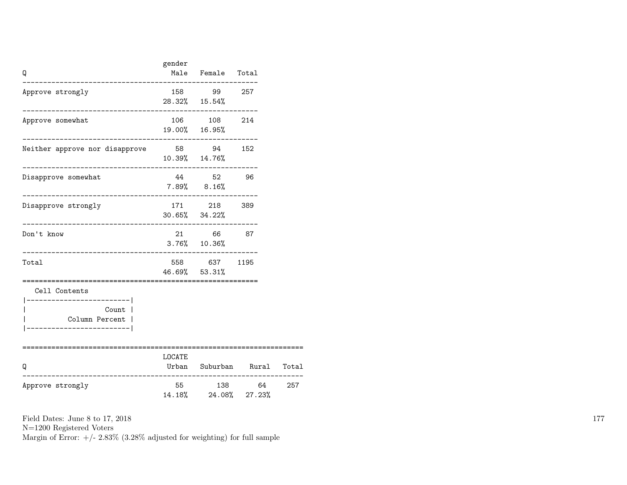| Q                                                                                             | gender | Male Female Total<br>. _ _ _ _ _ _ _ _ _ _ _ _           |      |       |
|-----------------------------------------------------------------------------------------------|--------|----------------------------------------------------------|------|-------|
| Approve strongly                                                                              |        | 158 99 257<br>28.32% 15.54%                              |      |       |
| Approve somewhat                                                                              |        | $106 \qquad \quad 108 \qquad \quad 214$<br>19.00% 16.95% |      |       |
| Neither approve nor disapprove 58 94 152                                                      |        | 10.39% 14.76%                                            |      |       |
| Disapprove somewhat                                                                           |        | 44 52 96<br>$7.89\%$ $8.16\%$                            |      |       |
| Disapprove strongly                                                                           |        | 171 218 389<br>$30.65\%$ $34.22\%$                       |      |       |
| Don't know<br>--------------------------                                                      |        | 21 66 87<br>$3.76\%$ 10.36%                              |      |       |
| Total                                                                                         |        | 558 637<br>46.69% 53.31%<br>====================         | 1195 |       |
| Cell Contents<br>-------------------- <br>Count  <br>Column Percent  <br>-------------------- |        |                                                          |      |       |
| Q<br>-------------                                                                            | LOCATE | Urban Suburban Rural<br>-----------------------------    |      | Total |
| Approve strongly                                                                              |        | 55 138 64<br>14.18% 24.08% 27.23%                        |      | 257   |

N=1200 Registered Voters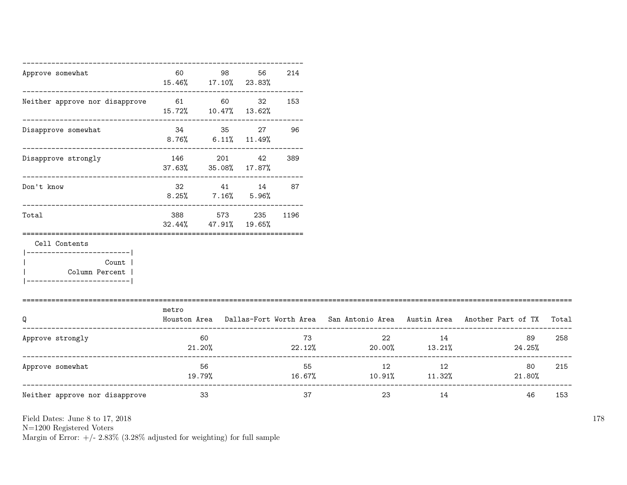| Approve somewhat                                                                                       | 60            | 98<br>15.46% 17.10% 23.83%          | 56                       | 214      |                                  |    |                                                                                           |     |
|--------------------------------------------------------------------------------------------------------|---------------|-------------------------------------|--------------------------|----------|----------------------------------|----|-------------------------------------------------------------------------------------------|-----|
| Neither approve nor disapprove                                                                         | 61 60         | 15.72% 10.47% 13.62%                | 32                       | 153      |                                  |    |                                                                                           |     |
| Disapprove somewhat                                                                                    | $8.76\%$      | 34 35                               | 27<br>$6.11\%$ $11.49\%$ | 96       |                                  |    |                                                                                           |     |
| Disapprove strongly                                                                                    | 146<br>37.63% | 201                                 | 42<br>35.08% 17.87%      | 389      |                                  |    |                                                                                           |     |
| Don't know                                                                                             |               | 32 41 14 87<br>$8.25\%$ 7.16% 5.96% |                          |          |                                  |    |                                                                                           |     |
| Total                                                                                                  | 388<br>32.44% | 573<br>47.91%                       | 19.65%                   | 235 1196 |                                  |    |                                                                                           |     |
| Cell Contents<br>------------------------- <br>Count  <br>Column Percent  <br>._______________________ |               |                                     |                          |          |                                  |    |                                                                                           |     |
| Q                                                                                                      | metro         |                                     |                          |          |                                  |    | Houston Area Dallas-Fort Worth Area San Antonio Area Austin Area Another Part of TX Total |     |
| Approve strongly                                                                                       | 21.20%        | 60                                  |                          | 73       | 22<br>$22.12\%$ 20.00% $13.21\%$ | 14 | 89<br>24.25%                                                                              | 258 |
| Approve somewhat                                                                                       | 19.79%        | 56                                  |                          | 55       | 12<br>$16.67\%$ 10.91% 11.32%    | 12 | 80<br>21.80%                                                                              | 215 |
| Neither approve nor disapprove                                                                         |               | 33                                  |                          | 37       | 23                               | 14 | 46                                                                                        | 153 |

N=1200 Registered Voters

Margin of Error:  $+/- 2.83\%$  (3.28% adjusted for weighting) for full sample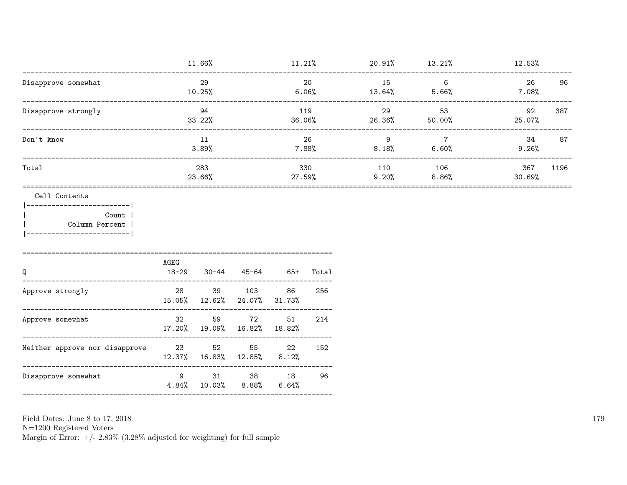|                     | 11.66%        | 11.21%        | 20.91%       | 13.21%          | 12.53%        |      |
|---------------------|---------------|---------------|--------------|-----------------|---------------|------|
| Disapprove somewhat | 29<br>10.25%  | 20<br>6.06%   | 15<br>13.64% | 6<br>5.66%      | 26<br>7.08%   | 96   |
| Disapprove strongly | 94<br>33.22%  | 119<br>36.06% | 29<br>26.36% | 53<br>$50.00\%$ | 92<br>25.07%  | 387  |
| Don't know          | 11<br>3.89%   | 26<br>7.88%   | 9<br>8.18%   | 7<br>6.60%      | 34<br>9.26%   | 87   |
| Total               | 283<br>23.66% | 330<br>27.59% | 110<br>9.20% | 106<br>8.86%    | 367<br>30.69% | 1196 |

## Cell Contents

 $|----------$ Count |  $\overline{1}$ Column Percent |  $\mathbf{I}$  $|---------------$ 

| Q                              | AGEG<br>$18 - 29$ | 30-44                             | 45-64        | $65+$       | Total |
|--------------------------------|-------------------|-----------------------------------|--------------|-------------|-------|
| Approve strongly               | 28                | 39<br>15.05% 12.62% 24.07% 31.73% | 103          | 86          | 256   |
| Approve somewhat               | 32                | 59<br>17.20% 19.09% 16.82% 18.82% | 72           | 51          | 214   |
| Neither approve nor disapprove | -23               | 52<br>$12.37\%$ $16.83\%$         | 55<br>12.85% | 22<br>8.12% | 152   |
| Disapprove somewhat            | 9                 | 31<br>$4.84\%$ $10.03\%$ $8.88\%$ | 38           | 18<br>6.64% | 96    |

Field Dates: June 8 to 17, 2018

 ${\rm N}{=}1200$  Registered Voters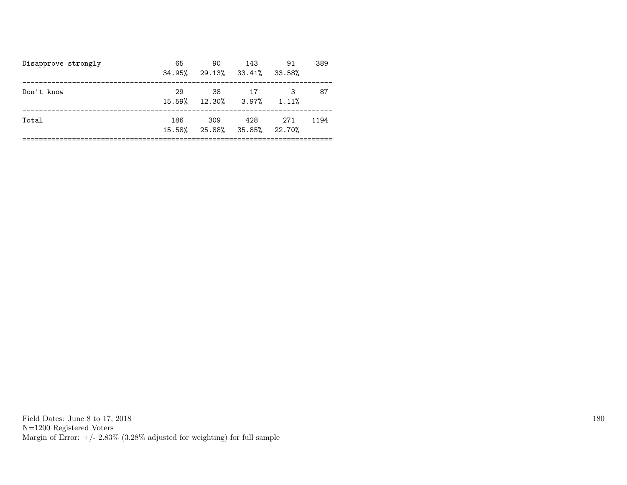| Disapprove strongly | 65<br>34.95%  | 90<br>29.13% 33.41%         | 143 | 91<br>33.58% | 389  |
|---------------------|---------------|-----------------------------|-----|--------------|------|
| Don't know          | 29            | 38<br>15.59% 12.30% 3.97%   | 17  | 1.11%        | 87   |
| Total               | 186<br>15.58% | 309<br>25.88% 35.85% 22.70% | 428 | 271          | 1194 |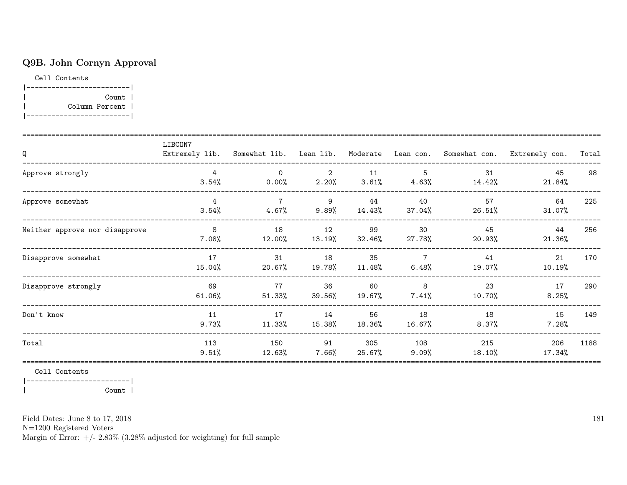# Q9B. John Cornyn Approval

Cell Contents

|-------------------------| | Count | | Column Percent | |-------------------------|

| Q                              | LIBCON7                     |                            |                |               |                            |                  | Extremely lib. Somewhat lib. Lean lib. Moderate Lean con. Somewhat con. Extremely con. | Total |
|--------------------------------|-----------------------------|----------------------------|----------------|---------------|----------------------------|------------------|----------------------------------------------------------------------------------------|-------|
| Approve strongly               | 3.54%                       | $\mathbf 0$<br>$0.00\%$    | 2<br>2.20%     | 11<br>3.61%   | 5<br>$4.63\%$              | 31<br>14.42%     | 45<br>21.84%                                                                           | 98    |
| Approve somewhat               | $4\overline{ }$<br>$3.54\%$ | $\overline{7}$<br>$4.67\%$ | -9<br>$9.89\%$ | 44<br>14.43%  | 40<br>37.04%               | 57<br>26.51%     | 64<br>31.07%                                                                           | 225   |
| Neither approve nor disapprove | 8 <sup>1</sup><br>$7.08\%$  | 18<br>$12.00\%$            | 12<br>13.19%   | 99<br>32.46%  | 30<br>27.78%               | 45<br>20.93%     | 44<br>21.36%                                                                           | 256   |
| Disapprove somewhat            | 17<br>15.04%                | 31<br>20.67%               | 18<br>19.78%   | 35<br>11.48%  | $\overline{7}$<br>6.48%    | 41<br>19.07%     | 21<br>10.19%                                                                           | 170   |
| Disapprove strongly            | 69<br>$61.06\%$             | 77<br>$51.33\%$            | 36<br>39.56%   | 60<br>19.67%  | 8 <sup>8</sup><br>$7.41\%$ | 23<br>10.70%     | 17<br>8.25%                                                                            | 290   |
| Don't know                     | 11<br>9.73%                 | 17<br>11.33%               | 14<br>15.38%   | 56<br>18.36%  | 18<br>16.67%               | 18<br>$8.37\%$   | 15<br>$7.28\%$                                                                         | 149   |
| Total                          | 113<br>9.51%                | 150<br>12.63%              | 91<br>$7.66\%$ | 305<br>25.67% | 108<br>$9.09\%$            | 215<br>$18.10\%$ | 206<br>17.34%                                                                          | 1188  |

Cell Contents

|-------------------------| | Count |

Field Dates: June 8 to 17, 2018

N=1200 Registered Voters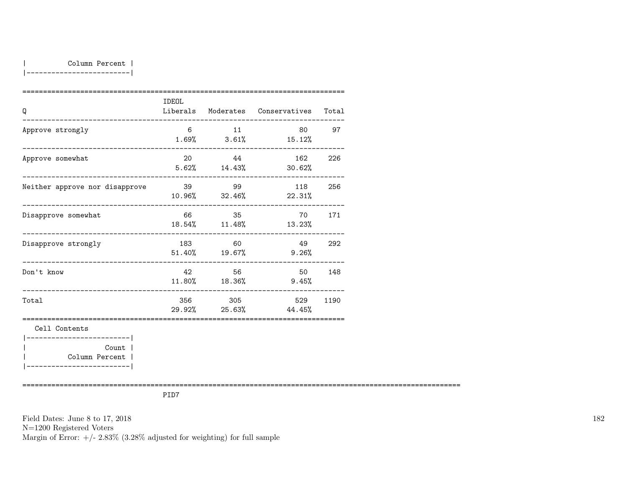|-------------------------|

| Q                                                         | <b>IDEOL</b> |                              | Liberals Moderates Conservatives     | Total  |
|-----------------------------------------------------------|--------------|------------------------------|--------------------------------------|--------|
| Approve strongly                                          | 6            | 11                           | $1.69\%$ $3.61\%$ $15.12\%$          | 80 97  |
| Approve somewhat                                          | 20           | 44                           | 162<br>$5.62\%$ $14.43\%$ $30.62\%$  | 226    |
| Neither approve nor disapprove                            | 39 99        |                              | 118<br>$10.96\%$ $32.46\%$ $22.31\%$ | 256    |
| Disapprove somewhat                                       |              | 66 35<br>$18.54\%$ $11.48\%$ | 13.23%                               | 70 171 |
| Disapprove strongly<br>---------------------------------- |              | 183 60<br>51.40% 19.67%      | 49 292<br>$9.26\%$                   |        |
| Don't know<br>____________________________                | 42.          | 56                           | 50 148<br>11.80% 18.36% 9.45%        |        |
| Total                                                     |              | 356 305                      | 529<br>$29.92\%$ 25.63% 44.45%       | 1190   |
| Cell Contents<br>-----------------------                  |              |                              |                                      |        |
| Count  <br>Column Percent                                 |              |                              |                                      |        |

==========================================================================================================

PID7

Field Dates: June 8 to 17, 2018 N=1200 Registered Voters Margin of Error:  $+/- 2.83\%$  (3.28% adjusted for weighting) for full sample 182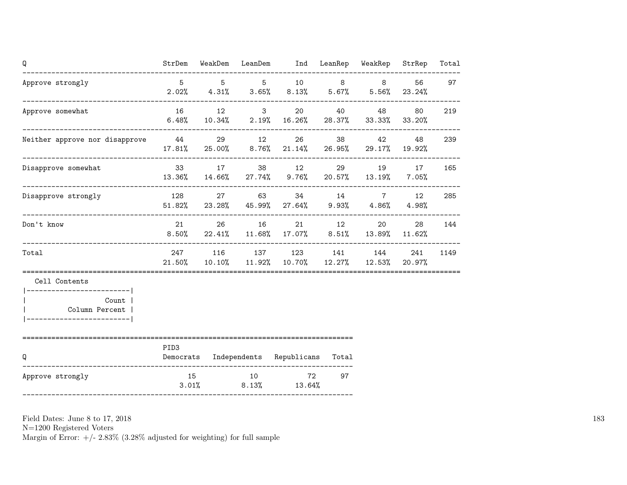| Q                                                                                                        |                  |          | StrDem WeakDem LeanDem Ind LeanRep WeakRep StrRep                                           |    |          |       | Total |
|----------------------------------------------------------------------------------------------------------|------------------|----------|---------------------------------------------------------------------------------------------|----|----------|-------|-------|
| Approve strongly<br>-----------------------------------                                                  | $5 - 5$          |          | 5 5 10 8 8 56<br>$2.02\%$ $4.31\%$ $3.65\%$ $8.13\%$ $5.67\%$ $5.56\%$ $23.24\%$            |    |          |       | 97    |
| Approve somewhat                                                                                         |                  |          | 16 12 3 20 40 48<br>$6.48\%$ $10.34\%$ $2.19\%$ $16.26\%$ $28.37\%$ $33.33\%$ $33.20\%$     |    |          | 80 —  | 219   |
| Neither approve nor disapprove $44$ 29 12 26                                                             |                  |          | $17.81\%$ 25.00% 8.76% 21.14% 26.95% 29.17% 19.92%                                          |    | 38 42    | 48    | 239   |
| Disapprove somewhat                                                                                      |                  |          | 33 17 38 12 29 19 17<br>$13.36\%$ $14.66\%$ $27.74\%$ $9.76\%$ $20.57\%$ $13.19\%$ $7.05\%$ |    |          |       | 165   |
| Disapprove strongly                                                                                      |                  |          | 128 27 63 34 14 7 12<br>$51.82\%$ 23.28% 45.99% 27.64% 9.93% 4.86%                          |    |          | 4.98% | 285   |
| Don't know                                                                                               |                  | 21 26 16 | $8.50\%$ 22.41% 11.68% 17.07% 8.51% 13.89% 11.62%                                           |    | 21 12 20 | 28    | 144   |
| Total                                                                                                    |                  |          | 247 116 137 123 141 144<br>21.50% 10.10% 11.92% 10.70% 12.27% 12.53% 20.97%                 |    |          | 241   | 1149  |
| Cell Contents<br>============================<br>Count  <br>Column Percent  <br>________________________ |                  |          |                                                                                             |    |          |       |       |
| ;==================================<br>Q                                                                 | PID <sub>3</sub> |          | Democrats Independents Republicans Total                                                    |    |          |       |       |
| Approve strongly                                                                                         |                  |          | 15 10 72<br>$3.01\%$ $8.13\%$ $13.64\%$                                                     | 97 |          |       |       |

N=1200 Registered Voters

Margin of Error:  $+/- 2.83\%$  (3.28% adjusted for weighting) for full sample

183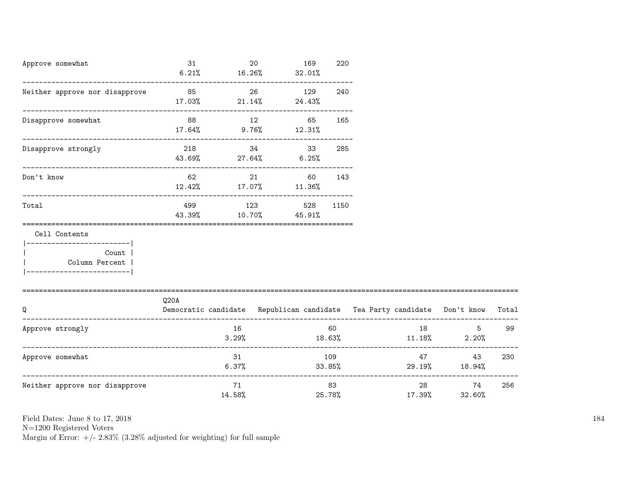| Approve somewhat<br>_____________________________                                                                 | 31                                                                                     | $\sim$ 20    | 169<br>$6.21\%$ $16.26\%$ $32.01\%$ | 220  |        |          |                     |      |
|-------------------------------------------------------------------------------------------------------------------|----------------------------------------------------------------------------------------|--------------|-------------------------------------|------|--------|----------|---------------------|------|
| Neither approve nor disapprove                                                                                    | 85                                                                                     | $\sim$ 26    | 129<br>$17.03\%$ 21.14% 24.43%      | 240  |        |          |                     |      |
| Disapprove somewhat                                                                                               | 88 12                                                                                  |              | 65 165<br>$17.64\%$ 9.76% $12.31\%$ |      |        |          |                     |      |
| Disapprove strongly                                                                                               | 218<br>$43.69\%$ 27.64% 6.25%                                                          |              | 34<br>33                            | 285  |        |          |                     |      |
| Don't know                                                                                                        |                                                                                        |              | 21 60 143<br>12.42% 17.07% 11.36%   |      |        |          |                     |      |
| Total                                                                                                             | 499                                                                                    |              | 123 528<br>43.39% 10.70% 45.91%     | 1150 |        |          |                     |      |
| Cell Contents<br> ------------------------- <br><b>Count</b><br>  Column Percent  <br>___________________________ |                                                                                        |              |                                     |      |        |          |                     |      |
| Q                                                                                                                 | Q20A<br>Democratic candidate Republican candidate Tea Party candidate Don't know Total |              |                                     |      |        |          |                     |      |
| Approve strongly                                                                                                  |                                                                                        | 16<br>3.29%  | 18.63%                              | 60   |        | 18       | $11.18\%$ 2.20%     | 5 99 |
| Approve somewhat                                                                                                  |                                                                                        | 31<br>6.37%  | 33.85%                              | 109  |        | 47 — 200 | 43<br>29.19% 18.94% | 230  |
| Neither approve nor disapprove                                                                                    |                                                                                        | 71<br>14.58% |                                     | 83   | 25.78% | 17.39%   | 74<br>32.60%        | 256  |

N=1200 Registered Voters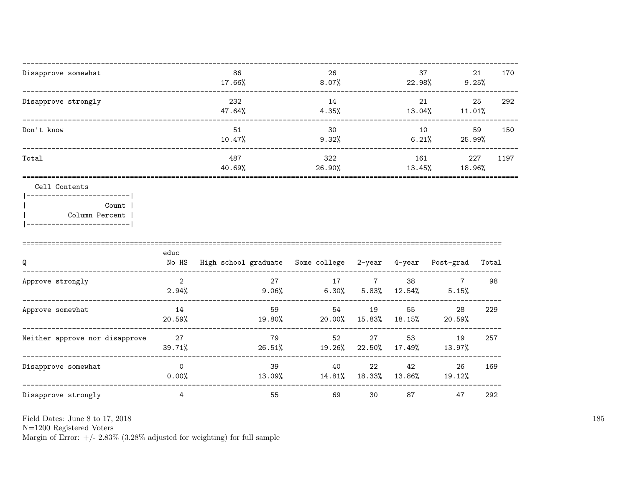| Disapprove somewhat | 86<br>17.66%  | 26<br>8.07%   | 37<br>22.98%  | 21<br>9.25%   | 170  |
|---------------------|---------------|---------------|---------------|---------------|------|
| Disapprove strongly | 232<br>47.64% | 14<br>4.35%   | 21<br>13.04%  | 25<br>11.01%  | 292  |
| Don't know          | 51<br>10.47%  | 30<br>9.32%   | 10<br>6.21%   | 59<br>25.99%  | 150  |
| Total               | 487<br>40.69% | 322<br>26.90% | 161<br>13.45% | 227<br>18.96% | 1197 |
| Cell Contents       |               |               |               |               |      |

|  | Count 1        |
|--|----------------|
|  | Column Percent |
|  |                |

| Q                              | educ<br>No HS           | High school graduate Some college 2-year 4-year |                |              |              | Post-grad    | Total |
|--------------------------------|-------------------------|-------------------------------------------------|----------------|--------------|--------------|--------------|-------|
| Approve strongly               | $\overline{2}$<br>2.94% | 27<br>9.06%                                     | 17<br>$6.30\%$ | 5.83%        | 38<br>12.54% | 5.15%        | 98    |
| Approve somewhat               | 14<br>20.59%            | 59<br>19.80%                                    | 54<br>20.00%   | 19<br>15.83% | 55<br>18.15% | 28<br>20.59% | 229   |
| Neither approve nor disapprove | 27<br>39.71%            | 79<br>26.51%                                    | 52<br>19.26%   | 27<br>22.50% | 53<br>17.49% | 19<br>13.97% | 257   |
| Disapprove somewhat            | $\Omega$<br>0.00%       | 39<br>13.09%                                    | 40<br>14.81%   | 22<br>18.33% | 42<br>13.86% | 26<br>19.12% | 169   |
| Disapprove strongly            | 4                       | 55                                              | 69             | 30           | 87           | 47           | 292   |

 ${\rm N}{=}1200$  Registered Voters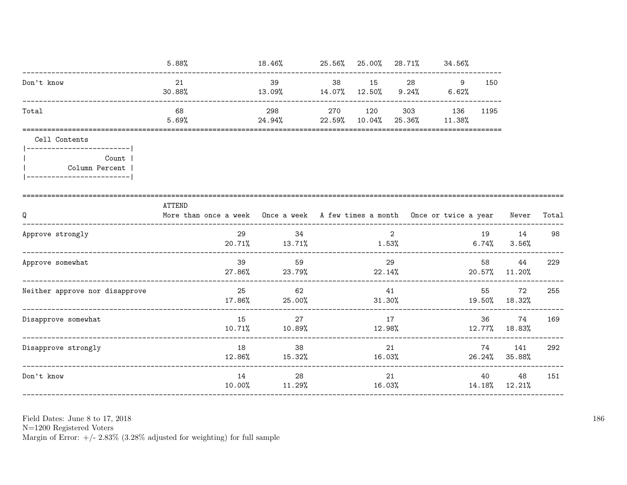|                                                                                       | 5.88%                                                                                            | $18.46\%$ 25.56% 25.00% 28.71% 34.56%              |              |                |                               |       |                           |     |
|---------------------------------------------------------------------------------------|--------------------------------------------------------------------------------------------------|----------------------------------------------------|--------------|----------------|-------------------------------|-------|---------------------------|-----|
| Don't know                                                                            | 21<br>30.88%                                                                                     | 39<br>$13.09\%$ $14.07\%$ $12.50\%$ $9.24\%$ 6.62% |              |                | 38 15 28 9                    | 150   |                           |     |
| Total                                                                                 | 68<br>5.69%                                                                                      | 298<br>$24.94\%$ 22.59% 10.04%                     | 270 120      |                | 303 136 1195<br>25.36% 11.38% |       |                           |     |
| Cell Contents                                                                         | ===============                                                                                  |                                                    |              |                |                               |       |                           |     |
| ------------------------- <br>Count  <br>Column Percent<br> ------------------------- |                                                                                                  |                                                    |              |                |                               |       |                           |     |
| Q<br>_________________________                                                        | ATTEND<br>More than once a week Once a week A few times a month Once or twice a year Never Total |                                                    |              |                |                               |       |                           |     |
| Approve strongly                                                                      | 29                                                                                               | 34<br>$20.71\%$ $13.71\%$ $1.53\%$                 |              | $\overline{2}$ |                               | 6.74% | 19 14<br>3.56%            | 98  |
| Approve somewhat                                                                      | 39                                                                                               | 59<br>27.86% 23.79%                                |              | 29             | 22.14%                        | 58    | 44<br>20.57% 11.20%       | 229 |
| Neither approve nor disapprove                                                        |                                                                                                  | 25<br>62<br>$17.86\%$ 25.00%                       | 41           |                | $31.30\%$ $19.50\%$ $18.32\%$ | 55    | 72                        | 255 |
| Disapprove somewhat                                                                   |                                                                                                  | 15<br>27<br>10.71% 10.89%                          | 17<br>12.98% |                |                               |       | 36 74<br>$12.77\%$ 18.83% | 169 |
| Disapprove strongly                                                                   | 18                                                                                               | 38<br>$12.86\%$ $15.32\%$                          | 16.03%       | 21             |                               | 74    | 141<br>$26.24\%$ 35.88%   | 292 |
| Don't know                                                                            | 14                                                                                               | 28<br>$10.00\%$ $11.29\%$                          |              | 21             | 16.03%                        |       | 40 48<br>14.18% 12.21%    | 151 |
|                                                                                       |                                                                                                  |                                                    |              |                |                               |       |                           |     |

N=1200 Registered Voters<br>Margin of Error:  $+/- 2.83\%$  (3.28% adjusted for weighting) for full sample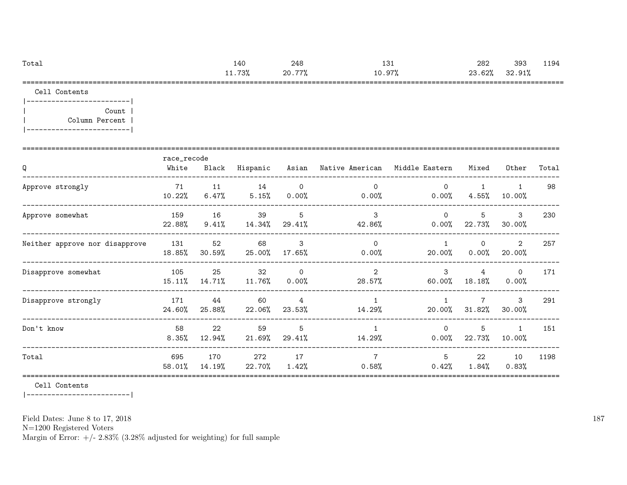| Totai                                      | 40ء          | 248                         | $\cdot$ n $\cdot$<br>ᅩᇰ        | nor<br>202                                                                                      | 393                     | 1194  |
|--------------------------------------------|--------------|-----------------------------|--------------------------------|-------------------------------------------------------------------------------------------------|-------------------------|-------|
|                                            | 700<br>ە / ب | ົ<br>$- - -$<br>zv.<br>- 70 | $\sim$<br>. .<br>◡<br>10.J'    | $\sim$ $\sim$ $\sim$<br>ດລ<br>026<br>ـ ت<br>the contract of the contract of the contract of the | $\sim$<br>91°<br>32.91% |       |
| --------<br>___________<br>_______<br>____ | ____         | ______________________      | ___________<br>____<br>_______ |                                                                                                 |                         | _____ |

Cell Contents

|-------------------------| | Count | | Column Percent | |-------------------------|

| Q                              | race_recode<br>White | Black         | Hispanic        |                            | Asian – Native American – Middle Eastern |                        | Mixed                    | Other                  | Total |
|--------------------------------|----------------------|---------------|-----------------|----------------------------|------------------------------------------|------------------------|--------------------------|------------------------|-------|
| Approve strongly               | 71<br>10.22%         | 11<br>6.47%   | 14<br>5.15%     | $\circ$<br>$0.00\%$        | $\Omega$<br>$0.00\%$                     | $\Omega$<br>$0.00\%$   | $\mathbf{1}$<br>$4.55\%$ | $\mathbf{1}$<br>10.00% | 98    |
| Approve somewhat               | 159<br>22.88%        | 16<br>9.41%   | 39<br>14.34%    | 5 <sup>5</sup><br>29.41%   | 3<br>42.86%                              | $\Omega$<br>0.00%      | 5<br>22.73%              | 3<br>30.00%            | 230   |
| Neither approve nor disapprove | 131<br>18.85%        | 52<br>30.59%  | 68<br>25.00%    | 3<br>17.65%                | $\Omega$<br>$0.00\%$                     | $\mathbf{1}$<br>20.00% | $\Omega$<br>0.00%        | 2<br>20.00%            | 257   |
| Disapprove somewhat            | 105<br>$15.11\%$     | 25<br>14.71%  | 32<br>$11.76\%$ | $\overline{0}$<br>$0.00\%$ | 2<br>28.57%                              | 3<br>60.00%            | 4<br>18.18%              | $\circ$<br>$0.00\%$    | 171   |
| Disapprove strongly            | 171<br>24.60%        | 44<br>25.88%  | 60<br>22.06%    | $\overline{4}$<br>23.53%   | $\mathbf{1}$<br>14.29%                   | $\mathbf{1}$<br>20.00% | $\mathbf{7}$<br>31.82%   | 3<br>30.00%            | 291   |
| Don't know                     | 58<br>$8.35\%$       | 22<br>12.94%  | 59<br>21.69%    | 5<br>29.41%                | $\mathbf{1}$<br>14.29%                   | $\Omega$<br>$0.00\%$   | 5<br>22.73%              | $\mathbf{1}$<br>10.00% | 151   |
| Total                          | 695<br>58.01%        | 170<br>14.19% | 272<br>22.70%   | 17<br>$1.42\%$             | $\overline{7}$<br>$0.58\%$               | 5<br>0.42%             | 22<br>$1.84\%$           | 10<br>0.83%            | 1198  |

Cell Contents

|-------------------------|

Field Dates: June 8 to 17, 2018

N=1200 Registered Voters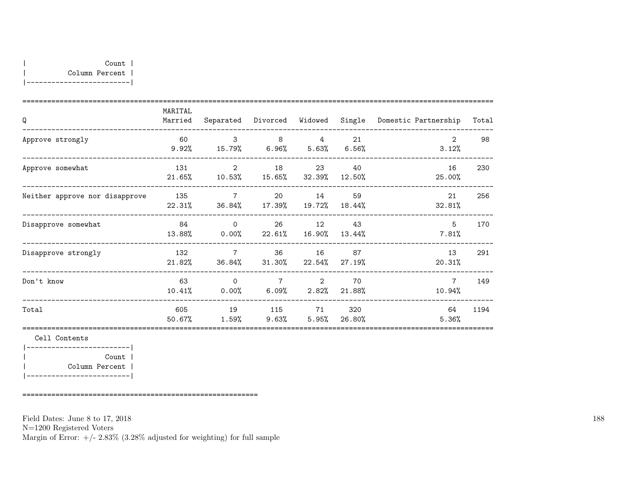| Q                              | MARITAL<br>Married | Separated                               | Divorced Widowed         |                 | Single         | Domestic Partnership      | Total |
|--------------------------------|--------------------|-----------------------------------------|--------------------------|-----------------|----------------|---------------------------|-------|
| Approve strongly               | 60<br>9.92%        | $\mathcal{S}$<br>15.79% 6.96% 5.63%     | 8                        | $\overline{4}$  | 21<br>$6.56\%$ | 2<br>3.12%                | 98    |
| Approve somewhat               | 131<br>$21.65\%$   | 2<br>10.53%                             | 18<br>15.65%             | 23<br>32.39%    | 40<br>12.50%   | 16<br>25.00%              | 230   |
| Neither approve nor disapprove | 135<br>22.31%      | $\overline{7}$<br>36.84%                | 20<br>17.39%             | 14<br>19.72%    | 59<br>18.44%   | 21<br>32.81%              | 256   |
| Disapprove somewhat            | 84<br>13.88%       | $\circ$<br>$0.00\%$ 22.61%              |                          | 26 12<br>16.90% | 43<br>13.44%   | 5<br>7.81%                | 170   |
| Disapprove strongly            | 132<br>$21.82\%$   | $7\phantom{.0}$<br>36.84%               | 36<br>31.30%             | 16<br>22.54%    | 87<br>27.19%   | 13<br>20.31%              | 291   |
| Don't know                     | 63                 | $\Omega$<br>$10.41\%$ 0.00% 6.09% 2.82% | $\overline{7}$           | $\sim$ 2        | 70<br>21.88%   | $7\phantom{.0}$<br>10.94% | 149   |
| Total                          | 605<br>$50.67\%$   | 19<br>1.59%                             | 115 71<br>$9.63\%$ 5.95% |                 | 320<br>26.80%  | 64<br>5.36%               | 1194  |

Cell Contents |-------------------------| | Count | | Column Percent | |-------------------------|

=========================================================

Field Dates: June 8 to 17, 2018

N=1200 Registered Voters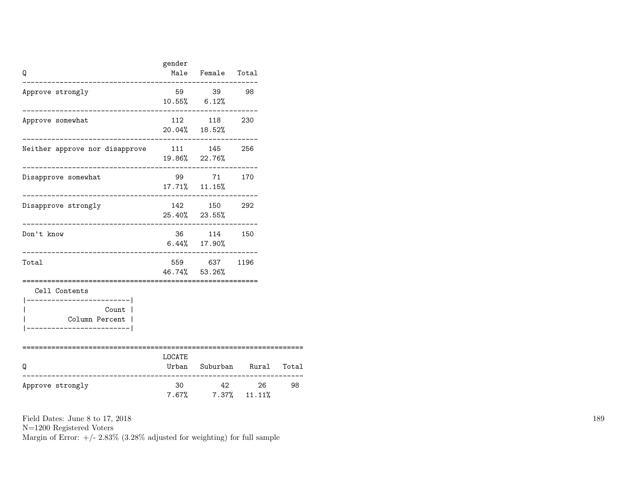| Q                                                                            | gender     | Male Female Total<br>________________                        |                            |    |
|------------------------------------------------------------------------------|------------|--------------------------------------------------------------|----------------------------|----|
| Approve strongly                                                             |            | 59 39 98<br>$10.55\%$ 6.12%                                  |                            |    |
| Approve somewhat                                                             |            | 112 118 230<br>20.04% 18.52%                                 |                            |    |
| Neither approve nor disapprove 111 145 256<br>------------------------------ |            | 19.86% 22.76%                                                |                            |    |
| Disapprove somewhat<br>._____________________                                |            | 99 71 170<br>$17.71\%$ $11.15\%$<br>________________________ |                            |    |
| Disapprove strongly<br>-------------------------                             |            | 142 150 292<br>25.40% 23.55%                                 |                            |    |
| Don't know                                                                   |            | 36 114 150<br>$6.44\%$ 17.90%                                |                            |    |
| Total                                                                        | ========== | 559 637 1196<br>46.74% 53.26%                                |                            |    |
| Cell Contents<br>----------------------- <br>Count  <br>Column Percent       |            |                                                              |                            |    |
| Q                                                                            | LOCATE     |                                                              | Urban Suburban Rural Total |    |
| Approve strongly                                                             | 30         | $7.67\%$ $7.37\%$ $11.11\%$                                  | 42 26                      | 98 |

N=1200 Registered Voters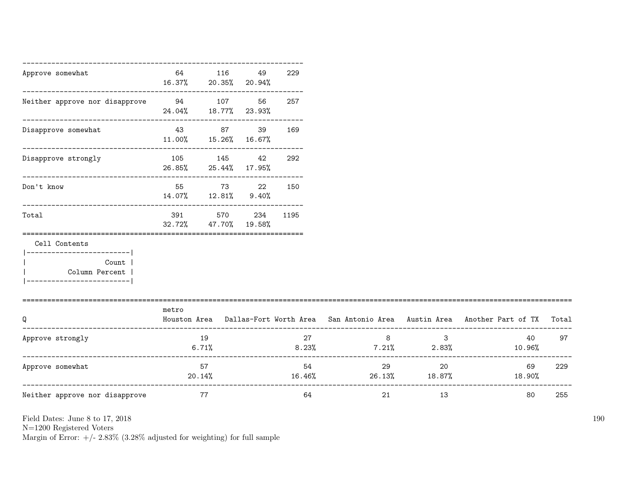| Approve somewhat                                                                                      | 64                                        | 116<br>16.37% 20.35% 20.94%                                  | 49     | 229      |                             |                            |                                                                                     |       |
|-------------------------------------------------------------------------------------------------------|-------------------------------------------|--------------------------------------------------------------|--------|----------|-----------------------------|----------------------------|-------------------------------------------------------------------------------------|-------|
| Neither approve nor disapprove                                                                        | -------------------------------<br>94 107 | 24.04% 18.77% 23.93%                                         | 56     | 257      |                             |                            |                                                                                     |       |
| Disapprove somewhat                                                                                   |                                           | ---------------------------<br>43 87<br>11.00% 15.26% 16.67% | 39     | 169      |                             |                            |                                                                                     |       |
| Disapprove strongly                                                                                   |                                           | 105 145<br>26.85% 25.44% 17.95%                              | 42     | 292      |                             |                            |                                                                                     |       |
| Don't know                                                                                            |                                           | 55 73<br>14.07% 12.81% 9.40%                                 | 22     | 150      |                             |                            |                                                                                     |       |
| Total                                                                                                 | 391<br>32.72%                             | ----------------------------------<br>570<br>47.70%          | 19.58% | 234 1195 |                             |                            |                                                                                     |       |
| Cell Contents<br>__________________________<br>Count  <br>Column Percent  <br>----------------------- |                                           |                                                              |        |          |                             |                            |                                                                                     |       |
| O                                                                                                     | metro                                     |                                                              |        |          |                             |                            | Houston Area Dallas-Fort Worth Area San Antonio Area Austin Area Another Part of TX | Total |
| Approve strongly                                                                                      |                                           | 19<br>6.71%                                                  |        | 27       | 8<br>$8.23\%$ 7.21\% 2.83\% | $\overline{\phantom{a}}$ 3 | 40<br>10.96%                                                                        | 97    |
| Approve somewhat                                                                                      |                                           | 57<br>20.14%                                                 |        | 54       | 29<br>16.46%                | 20<br>26.13% 18.87%        | 69<br>18.90%                                                                        | 229   |
| Neither approve nor disapprove                                                                        | 77                                        |                                                              |        | 64       | 21                          | 13                         | 80                                                                                  | 255   |

N=1200 Registered Voters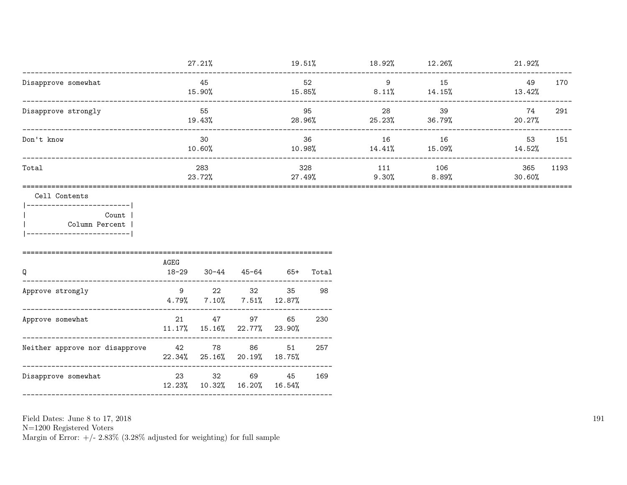|                     | 27.21%        | 19.51%        | 18.92%       | 12.26%       | 21.92%        |      |
|---------------------|---------------|---------------|--------------|--------------|---------------|------|
| Disapprove somewhat | 45<br>15.90%  | 52<br>15.85%  | 9<br>8.11%   | 15<br>14.15% | 49<br>13.42%  | 170  |
| Disapprove strongly | 55<br>19.43%  | 95<br>28.96%  | 28<br>25.23% | 39<br>36.79% | 74<br>20.27%  | 291  |
| Don't know          | 30<br>10.60%  | 36<br>10.98%  | 16<br>14.41% | 16<br>15.09% | 53<br>14.52%  | 151  |
| Total               | 283<br>23.72% | 328<br>27.49% | 111<br>9.30% | 106<br>8.89% | 365<br>30.60% | 1193 |

#### Cell Contents

 $|----------|$ Count | Column Percent |  $\mathbf{I}$ |-------------------------|

| AGEG<br>$18 - 29$ |    |    | 65+         | Total                                                                                                                                                                         |
|-------------------|----|----|-------------|-------------------------------------------------------------------------------------------------------------------------------------------------------------------------------|
| 9                 | 22 | 32 | 35          | 98                                                                                                                                                                            |
| 21                | 47 | 97 | 65          | 230                                                                                                                                                                           |
|                   | 78 | 86 | 51          | 257                                                                                                                                                                           |
| 23                | 32 |    | 45          | 169                                                                                                                                                                           |
|                   |    | 42 | 30-44 45-64 | $4.79\%$ $7.10\%$ $7.51\%$ $12.87\%$<br>$11.17\%$ $15.16\%$ $22.77\%$ $23.90\%$<br>$22.34\%$ $25.16\%$ $20.19\%$ $18.75\%$<br>69 —<br>$12.23\%$ $10.32\%$ $16.20\%$ $16.54\%$ |

Field Dates: June 8 to 17, 2018

 ${\rm N}{=}1200$  Registered Voters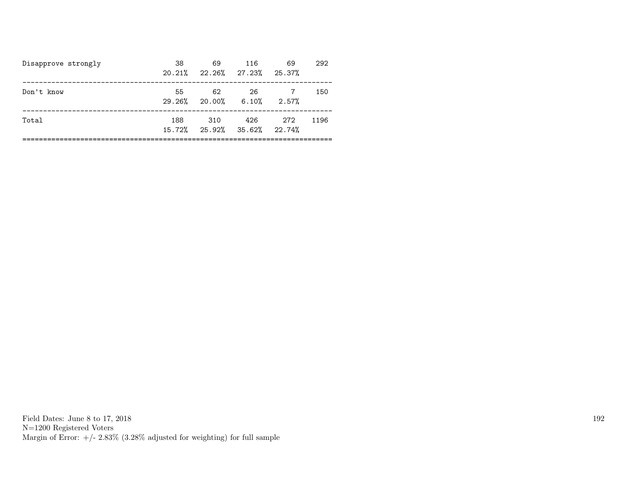| Disapprove strongly | 38  | 69<br>$20.21\%$ $22.26\%$ $27.23\%$ $25.37\%$  | 116 | 69    | 292  |
|---------------------|-----|------------------------------------------------|-----|-------|------|
| Don't know          | 55  | 62<br>$29.26\%$ 20.00% 6.10%                   | 26  | 2.57% | 150  |
| Total               | 188 | 310<br>$15.72\%$ $25.92\%$ $35.62\%$ $22.74\%$ | 426 | 272   | 1196 |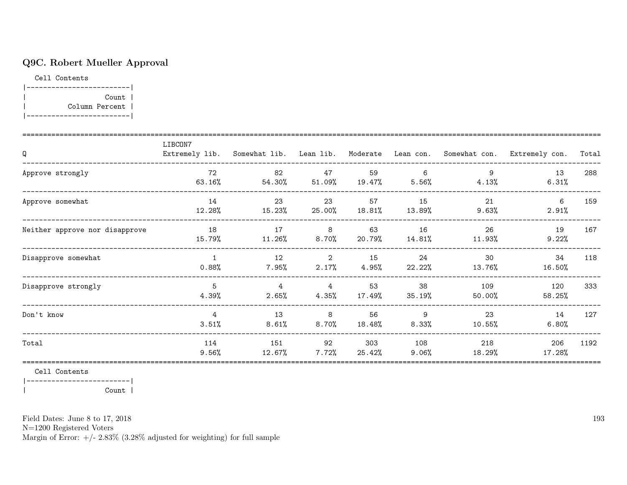## Q9C. Robert Mueller Approval

Cell Contents

|-------------------------| | Count | | Column Percent | |-------------------------|

| Q                              | LIBCON7                  |                         |                 |               |                 |                | Extremely lib. Somewhat lib. Lean lib. Moderate Lean con. Somewhat con. Extremely con. | Total |
|--------------------------------|--------------------------|-------------------------|-----------------|---------------|-----------------|----------------|----------------------------------------------------------------------------------------|-------|
| Approve strongly               | 72<br>63.16%             | 82<br>54.30%            | 47<br>$51.09\%$ | 59<br>19.47%  | 6<br>5.56%      | 4.13%          | 13<br>6.31%                                                                            | 288   |
| Approve somewhat               | 14<br>12.28%             | 23<br>15.23%            | 23<br>25.00%    | 57<br>18.81%  | 15<br>13.89%    | 21<br>$9.63\%$ | 6<br>2.91%                                                                             | 159   |
| Neither approve nor disapprove | 18<br>15.79%             | 17<br>$11.26\%$         | 8<br>8.70%      | 63<br>20.79%  | 16<br>14.81%    | 26<br>11.93%   | 19<br>9.22%                                                                            | 167   |
| Disapprove somewhat            | $\mathbf{1}$<br>$0.88\%$ | 12<br>$7.95\%$          | 2<br>2.17%      | 15<br>4.95%   | 24<br>22.22%    | 30<br>13.76%   | 34<br>16.50%                                                                           | 118   |
| Disapprove strongly            | 5<br>4.39%               | $\overline{4}$<br>2.65% | 4<br>4.35%      | 53<br>17.49%  | 38<br>35.19%    | 109<br>50.00%  | 120<br>58.25%                                                                          | 333   |
| Don't know                     | $\overline{4}$<br>3.51%  | 13<br>8.61%             | 8<br>$8.70\%$   | 56<br>18.48%  | 9<br>8.33%      | 23<br>10.55%   | 14<br>6.80%                                                                            | 127   |
| Total                          | 114<br>9.56%             | 151<br>12.67%           | 92<br>$7.72\%$  | 303<br>25.42% | 108<br>$9.06\%$ | 218<br>18.29%  | 206<br>17.28%                                                                          | 1192  |

Cell Contents

|-------------------------|

| Count |

Field Dates: June 8 to 17, 2018

N=1200 Registered Voters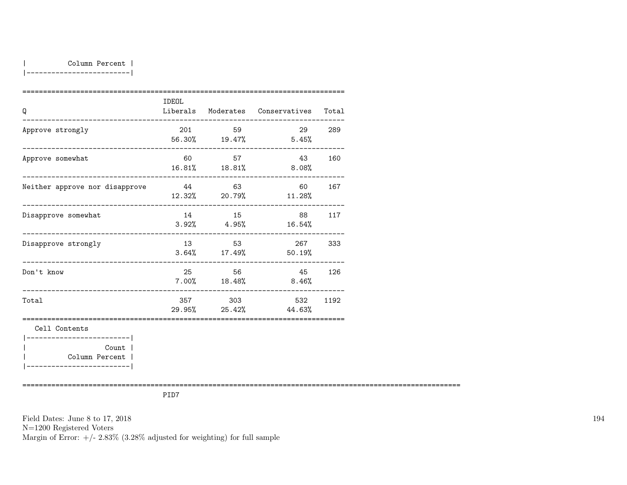|-------------------------|

| Q                                                                                       | <b>IDEOL</b> |                         | Liberals Moderates Conservatives Total |        |
|-----------------------------------------------------------------------------------------|--------------|-------------------------|----------------------------------------|--------|
| Approve strongly                                                                        | 201          | 59                      | $56.30\%$ 19.47% 5.45%                 | 29 289 |
| Approve somewhat                                                                        |              | 60 57                   | 43<br>$16.81\%$ $18.81\%$ $8.08\%$     | 160    |
| Neither approve nor disapprove 544 63                                                   |              |                         | 60<br>12.32% 20.79% 11.28%             | 167    |
| Disapprove somewhat                                                                     |              | 14 15<br>$3.92\%$ 4.95% | 88 117<br>16.54%                       |        |
| Disapprove strongly                                                                     |              | 13 53                   | 267 333<br>$3.64\%$ 17.49% 50.19%      |        |
| __________________________________<br>Don't know<br>___________________________________ | 25           | 56                      | 45 126<br>$7.00\%$ 18.48% 8.46%        |        |
| Total                                                                                   |              | 357 303                 | 532<br>29.95% 25.42% 44.63%            | 1192   |
| Cell Contents<br>-----------------------                                                |              |                         |                                        |        |
| Count  <br>Column Percent  <br>-------------------------                                |              |                         |                                        |        |

==========================================================================================================

PID7

Field Dates: June 8 to 17, 2018 N=1200 Registered Voters Margin of Error:  $+/- 2.83\%$  (3.28% adjusted for weighting) for full sample 194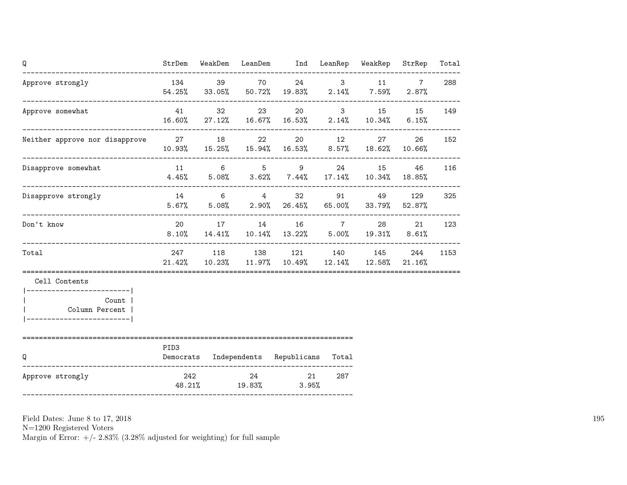| Q                                                                                    | StrDem           |                     | WeakDem LeanDem Ind LeanRep WeakRep                                                              |     |           | StrRep                   | Total |
|--------------------------------------------------------------------------------------|------------------|---------------------|--------------------------------------------------------------------------------------------------|-----|-----------|--------------------------|-------|
| Approve strongly                                                                     | 134              |                     | 39 70 24 3 11<br>$54.25\%$ 33.05% 50.72% 19.83% 2.14% 7.59%                                      |     |           | $7\overline{ }$<br>2.87% | 288   |
| Approve somewhat                                                                     | 41               | 32                  | 23<br>16.60% 27.12% 16.67% 16.53% 2.14% 10.34% 6.15%                                             |     | 20 3 15   | 15                       | 149   |
| Neither approve nor disapprove 27 27 18                                              |                  |                     | 22 20 12 27<br>$10.93\%$ $15.25\%$ $15.94\%$ $16.53\%$ $8.57\%$ $18.62\%$ $10.66\%$              |     |           | 26                       | 152   |
| Disapprove somewhat                                                                  |                  |                     | 11 6 5 9<br>$4.45\%$ $5.08\%$ $3.62\%$ $7.44\%$ $17.14\%$ $10.34\%$ $18.85\%$                    |     | 24 15 46  |                          | 116   |
| Disapprove strongly                                                                  |                  |                     | 14 6 4 32<br>$5.67\%$ $5.08\%$ $2.90\%$ $26.45\%$ $65.00\%$ $33.79\%$                            |     | 91 49 129 | 52.87%                   | 325   |
| Don't know                                                                           |                  |                     | 20 17 14 16 7 28<br>$8.10\%$ $14.41\%$ $10.14\%$ $13.22\%$ $5.00\%$ $19.31\%$ $8.61\%$           |     |           | 21                       | 123   |
| Total                                                                                |                  |                     | 247 118 138 121 140 145<br>$21.42\%$ $10.23\%$ $11.97\%$ $10.49\%$ $12.14\%$ $12.58\%$ $21.16\%$ |     |           | 244                      | 1153  |
| Cell Contents                                                                        |                  |                     |                                                                                                  |     |           |                          |       |
| -------------------------- <br>Count  <br>Column Percent  <br>---------------------- |                  |                     |                                                                                                  |     |           |                          |       |
| Q                                                                                    | PID <sub>3</sub> |                     | Democrats Independents Republicans Total                                                         |     |           |                          |       |
| Approve strongly                                                                     | 242              | 24<br>48.21% 19.83% | 21<br>$3.95\%$                                                                                   | 287 |           |                          |       |

N=1200 Registered Voters

Margin of Error:  $+/- 2.83\%$  (3.28% adjusted for weighting) for full sample

195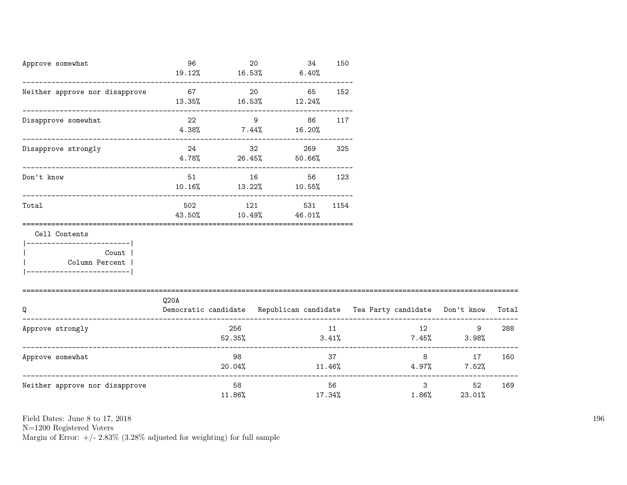| Approve somewhat                                                                                    | 96                            |              | 20 | 34<br>$19.12\%$ $16.53\%$ $6.40\%$        | 150    |                                                                          |                                            |        |
|-----------------------------------------------------------------------------------------------------|-------------------------------|--------------|----|-------------------------------------------|--------|--------------------------------------------------------------------------|--------------------------------------------|--------|
| Neither approve nor disapprove                                                                      | $13.35\%$ $16.53\%$ $12.24\%$ |              | 20 | 65 —                                      | 152    |                                                                          |                                            |        |
| Disapprove somewhat                                                                                 | 22                            |              |    | $9$ 86<br>$4.38\%$ 7.44% 16.20%           | 117    |                                                                          |                                            |        |
| Disapprove strongly                                                                                 |                               |              |    | 24 32 269<br>$4.78\%$ 26.45% 50.66%       | 325    |                                                                          |                                            |        |
| Don't know                                                                                          |                               |              |    | 51 16 56<br>$10.16\%$ $13.22\%$ $10.55\%$ | 123    |                                                                          |                                            |        |
| Total                                                                                               | 502                           |              |    | 121 531 1154<br>43.50% 10.49% 46.01%      |        |                                                                          |                                            |        |
| Cell Contents<br>---------------------- <br>Count  <br>Column Percent<br>__________________________ |                               |              |    |                                           |        |                                                                          |                                            |        |
| O                                                                                                   | Q20A                          |              |    |                                           |        | Democratic candidate Republican candidate Tea Party candidate Don't know |                                            | Total  |
| Approve strongly                                                                                    |                               | 256 20       |    | 52.35%                                    | 11 \,  | 12<br>$3.41\%$ $7.45\%$ $3.98\%$                                         | 9                                          | 288    |
| Approve somewhat                                                                                    |                               | 98           |    |                                           | 37 — 1 | $20.04\%$ $11.46\%$ $4.97\%$ $7.52\%$                                    | $8 \overline{)}$                           | 17 160 |
| Neither approve nor disapprove                                                                      |                               | 58<br>11.86% |    |                                           | 56 —   | 1.86%<br>17.34%                                                          | $3 \overline{\phantom{a}}$<br>52<br>23.01% | 169    |

N=1200 Registered Voters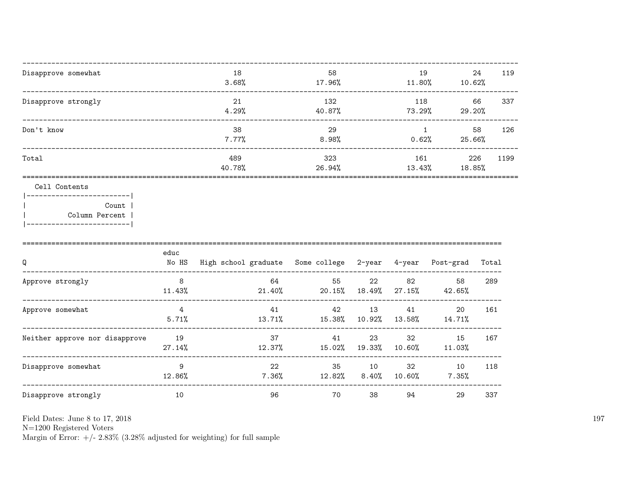| Disapprove somewhat                           | 18<br>3.68%   | 58<br>17.96%  | 19<br>11.80%  | 24<br>10.62%  | 119  |
|-----------------------------------------------|---------------|---------------|---------------|---------------|------|
| Disapprove strongly                           | 21<br>4.29%   | 132<br>40.87% | 118<br>73.29% | 66<br>29.20%  | 337  |
| Don't know                                    | 38<br>7.77%   | 29<br>8.98%   | 0.62%         | 58<br>25.66%  | 126  |
| Total                                         | 489<br>40.78% | 323<br>26.94% | 161<br>13.43% | 226<br>18.85% | 1199 |
| Cell Contents<br>  __________________________ |               |               |               |               |      |

Count |  $\overline{\phantom{a}}$ Column Percent |  $\overline{\phantom{a}}$ |-------------------------|

| Q                              | educ<br>No HS | High school graduate Some college |              | 2-year       | 4-year       | Post-grad    | Total |
|--------------------------------|---------------|-----------------------------------|--------------|--------------|--------------|--------------|-------|
| Approve strongly               | 8<br>11.43%   | 64<br>21.40%                      | 55<br>20.15% | 22<br>18.49% | 82<br>27.15% | 58<br>42.65% | 289   |
| Approve somewhat               | 4<br>5.71%    | 41<br>13.71%                      | 42<br>15.38% | 13<br>10.92% | 41<br>13.58% | 20<br>14.71% | 161   |
| Neither approve nor disapprove | 19<br>27.14%  | 37<br>12.37%                      | 41<br>15.02% | 23<br>19.33% | 32<br>10.60% | 15<br>11.03% | 167   |
| Disapprove somewhat            | 9<br>12.86%   | 22<br>$7.36\%$                    | 35<br>12.82% | 10<br>8.40%  | 32<br>10.60% | 10<br>7.35%  | 118   |
| Disapprove strongly            | 10            | 96                                | 70           | 38           | 94           | 29           | 337   |

Field Dates: June 8 to 17, 2018

 ${\rm N}{=}1200$  Registered Voters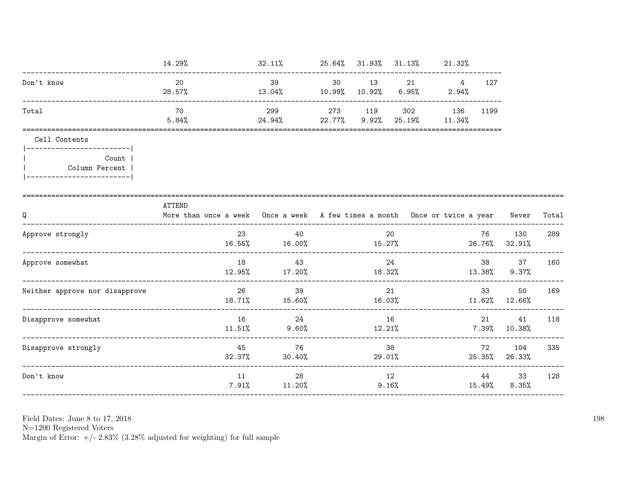|                                                           | 14.29%                                                                                     | $32.11\%$ 25.64% 31.93% 31.13% 21.32%                         |              |    |                               |                 |                          |       |
|-----------------------------------------------------------|--------------------------------------------------------------------------------------------|---------------------------------------------------------------|--------------|----|-------------------------------|-----------------|--------------------------|-------|
| Don't know                                                | 20<br>28.57%                                                                               | 39<br>$13.04\%$ $10.99\%$ $10.92\%$ $6.95\%$ $2.94\%$         |              |    | 30 13 21 4                    | 127             |                          |       |
| Total                                                     | 70<br>5.84%                                                                                | 299<br>$24.94\%$ 22.77% 9.92%                                 | 273 119      |    | 302 136 1199<br>25.19% 11.34% |                 |                          |       |
| Cell Contents<br> --------------------------              |                                                                                            |                                                               |              |    |                               |                 |                          |       |
| Count  <br>Column Percent  <br> ------------------------- |                                                                                            |                                                               |              |    |                               |                 |                          |       |
| Q<br>------------------------                             | ATTEND<br>More than once a week Once a week A few times a month Once or twice a year Never |                                                               |              |    |                               | _______________ |                          | Total |
| Approve strongly                                          | 23                                                                                         | 40<br>$16.55\%$ 16.00% 15.27%                                 |              | 20 |                               |                 | 76 130<br>26.76% 32.91%  | 289   |
| Approve somewhat                                          | 18                                                                                         | 43<br>$12.95\%$ $17.20\%$ $18.32\%$ $13.38\%$ $9.37\%$        |              | 24 |                               | 38 — 10         | 37                       | 160   |
| Neither approve nor disapprove                            |                                                                                            | 26<br>39<br>$18.71\%$ $15.60\%$ $16.03\%$ $11.62\%$ $12.66\%$ |              | 21 |                               | 33              | 50                       | 169   |
| Disapprove somewhat                                       |                                                                                            | 16 24<br>$11.51\%$ 9.60%                                      | 16<br>12.21% |    |                               |                 | 41<br>$7.39\%$ 10.38%    | 118   |
| Disapprove strongly                                       | 45                                                                                         | 76<br>$32.37\%$ $30.40\%$                                     | 29.01%       | 38 |                               | 72              | 104<br>25.35% 26.33%     | 335   |
| Don't know                                                | 11                                                                                         | 28<br>$7.91\%$ $11.20\%$                                      |              | 12 | 9.16%                         |                 | 44 33<br>$15.49\%$ 8.35% | 128   |
|                                                           |                                                                                            |                                                               |              |    |                               |                 |                          |       |

N=1200 Registered Voters<br>Margin of Error:  $+/- 2.83\%$  (3.28% adjusted for weighting) for full sample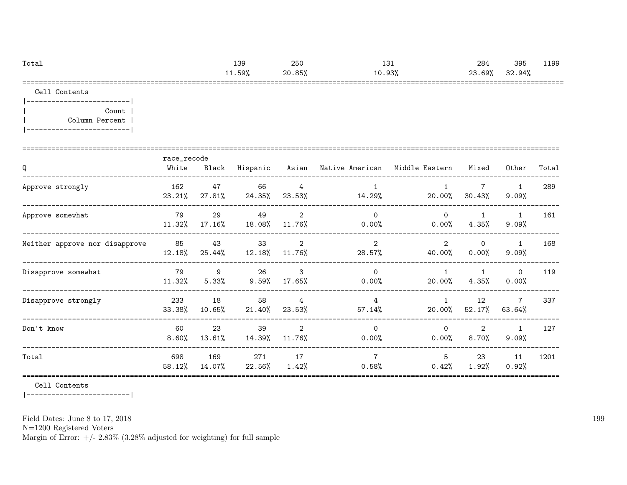| Total | 139   | 250    | $\cdot$ $\sim$<br>⊥∪⊥ | 284    | 395    | 1199<br>ن ن ن ن |
|-------|-------|--------|-----------------------|--------|--------|-----------------|
|       | 1.59% | 20.85% | $0.93\%$<br>10        | 23.69% | 32.94% |                 |
| ----  |       |        |                       |        |        | _____           |

Cell Contents

|-------------------------| | Count | | Column Percent | |-------------------------|

| Q                              | race_recode<br>White | Black           | Hispanic        |                          | Asian – Native American – Middle Eastern |                          | Mixed                    | Other                    | Total |
|--------------------------------|----------------------|-----------------|-----------------|--------------------------|------------------------------------------|--------------------------|--------------------------|--------------------------|-------|
| Approve strongly               | 162<br>23.21%        | 47<br>27.81%    | 66<br>24.35%    | 4<br>23.53%              | 14.29%                                   | 20.00%                   | $\mathbf{7}$<br>30.43%   | $\mathbf{1}$<br>9.09%    | 289   |
| Approve somewhat               | 79<br>11.32%         | 29<br>$17.16\%$ | 49<br>18.08%    | 2<br>11.76%              | $\mathsf{O}$<br>0.00%                    | $\Omega$<br>$0.00\%$     | $\mathbf{1}$<br>$4.35\%$ | 1<br>$9.09\%$            | 161   |
| Neither approve nor disapprove | 85<br>12.18%         | 43<br>25.44%    | 33<br>$12.18\%$ | 2<br>11.76%              | $\overline{2}$<br>28.57%                 | $\overline{2}$<br>40.00% | $\Omega$<br>$0.00\%$     | $\mathbf{1}$<br>9.09%    | 168   |
| Disapprove somewhat            | 79<br>11.32%         | 9<br>5.33%      | 26<br>$9.59\%$  | $\mathbf{3}$<br>17.65%   | $\Omega$<br>$0.00\%$                     | $\mathbf{1}$<br>20.00%   | 4.35%                    | $\circ$<br>$0.00\%$      | 119   |
| Disapprove strongly            | 233<br>33.38%        | 18<br>10.65%    | 58<br>21.40%    | $\overline{4}$<br>23.53% | 4<br>$57.14\%$                           | $\mathbf{1}$<br>20.00%   | 12<br>52.17%             | 7<br>63.64%              | 337   |
| Don't know                     | 60<br>8.60%          | 23<br>13.61%    | 39<br>14.39%    | 2<br>11.76%              | $\Omega$<br>$0.00\%$                     | $\Omega$<br>$0.00\%$     | $\overline{2}$<br>8.70%  | $\mathbf{1}$<br>$9.09\%$ | 127   |
| Total                          | 698<br>58.12%        | 169<br>14.07%   | 271<br>22.56%   | 17<br>$1.42\%$           | $\overline{7}$<br>$0.58\%$               | 5<br>0.42%               | 23<br>$1.92\%$           | 11<br>0.92%              | 1201  |

Cell Contents

|-------------------------|

Field Dates: June 8 to 17, 2018

N=1200 Registered Voters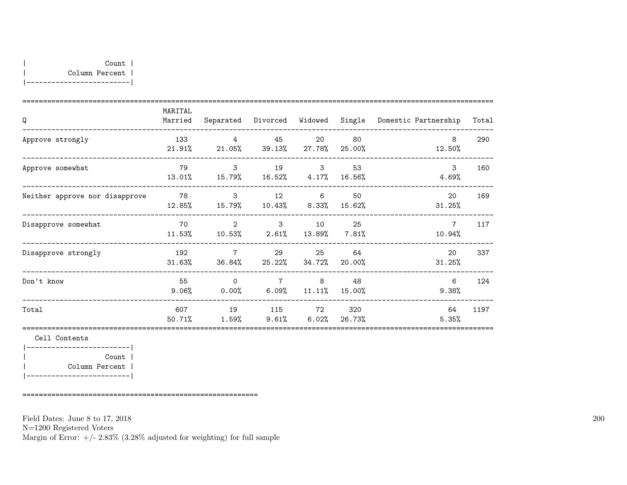| MARITAL<br>Married |                      |              |                                          |                                                                                                         |                                                                                                                                        | Total                                                  |
|--------------------|----------------------|--------------|------------------------------------------|---------------------------------------------------------------------------------------------------------|----------------------------------------------------------------------------------------------------------------------------------------|--------------------------------------------------------|
| 133                | $\overline{4}$       |              | 20                                       | 80                                                                                                      | 8<br>12.50%                                                                                                                            | 290                                                    |
| 79                 | $\mathbf{3}$         |              |                                          | 53<br>$16.56\%$                                                                                         | 3<br>4.69%                                                                                                                             | 160                                                    |
| 78<br>12.85%       |                      |              |                                          | 50                                                                                                      | 20<br>31.25%                                                                                                                           | 169                                                    |
| 70<br>11.53%       | $\overline{2}$       | $\mathbf{3}$ | 10                                       | 25                                                                                                      | $7\overline{ }$<br>10.94%                                                                                                              | 117                                                    |
| 192<br>31.63%      | $\overline{7}$       |              | 25                                       | 64<br>20.00%                                                                                            | 20<br>31.25%                                                                                                                           | 337                                                    |
| 55<br>$9.06\%$     | $\Omega$<br>$0.00\%$ |              |                                          | 48                                                                                                      | 6<br>9.38%                                                                                                                             | 124                                                    |
| 607<br>50.71%      | 19                   |              |                                          | 320                                                                                                     | 64<br>5.35%                                                                                                                            | 1197                                                   |
|                    |                      | 1.59%        | $\mathbf{3}$<br>36.84%<br>$\overline{7}$ | 45<br>19 3<br>13.01% 15.79% 16.52% 4.17%<br>12 6<br>29<br>25.22% 34.72%<br>$6.09\%$ $11.11\%$<br>115 72 | $21.91\%$ 21.05% 39.13% 27.78% 25.00%<br>15.79% 10.43% 8.33% 15.62%<br>$10.53\%$ 2.61% 13.89% 7.81%<br>15.00%<br>$9.61\%$ 6.02% 26.73% | Separated Divorced Widowed Single Domestic Partnership |

|-------------------------| | Count | | Column Percent | |-------------------------|

=========================================================

Field Dates: June 8 to 17, 2018

N=1200 Registered Voters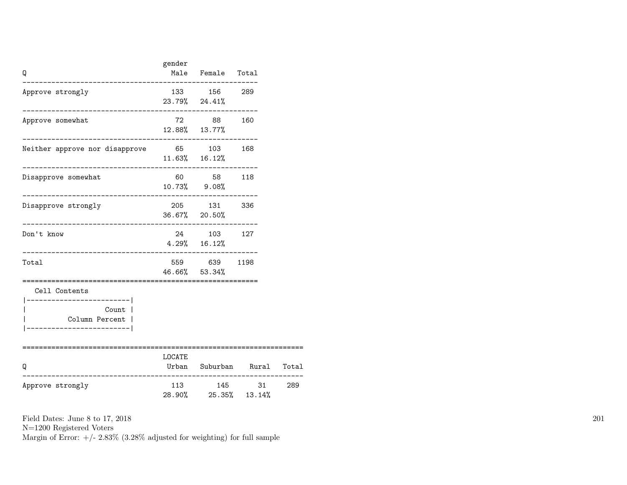| Q                                                                                              | gender | Male Female Total                                                |                                                                    |  |
|------------------------------------------------------------------------------------------------|--------|------------------------------------------------------------------|--------------------------------------------------------------------|--|
| Approve strongly                                                                               |        | 133 156 289<br>$23.79\%$ $24.41\%$                               |                                                                    |  |
| Approve somewhat                                                                               |        | 72 88 160<br>12.88% 13.77%                                       |                                                                    |  |
| Neither approve nor disapprove 65 103 168                                                      |        | $11.63\%$ $16.12\%$                                              |                                                                    |  |
| Disapprove somewhat                                                                            |        | 60 58 118<br>10.73% 9.08%                                        |                                                                    |  |
| Disapprove strongly                                                                            |        | 205 131 336<br>36.67% 20.50%                                     |                                                                    |  |
| Don't know                                                                                     |        | 24 103 127<br>$4.29\%$ 16.12%<br>--------------------------      |                                                                    |  |
| Total                                                                                          |        | 559 639 1198<br>46.66% 53.34%<br>=============================== |                                                                    |  |
| Cell Contents<br>---------------------- <br>Count  <br>Column Percent  <br>------------------- |        |                                                                  |                                                                    |  |
| Q<br>-------------                                                                             | LOCATE |                                                                  | Urban Suburban Rural Total<br>------------------------------------ |  |
| Approve strongly                                                                               |        | 28.90% 25.35% 13.14%                                             | 113 145 31 289                                                     |  |

N=1200 Registered Voters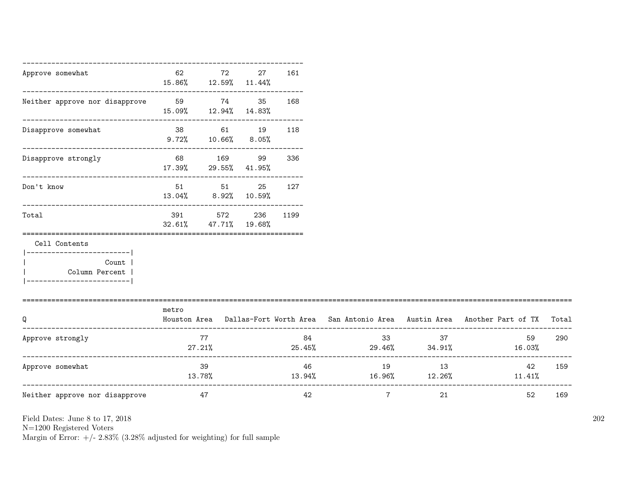| Approve somewhat                                                                                     | 62                                        | 72<br>15.86% 12.59% 11.44%     | 27              | 161      |                 |          |                                                                                           |     |
|------------------------------------------------------------------------------------------------------|-------------------------------------------|--------------------------------|-----------------|----------|-----------------|----------|-------------------------------------------------------------------------------------------|-----|
| Neither approve nor disapprove 59 59 74                                                              |                                           | 15.09% 12.94% 14.83%           | 35              | 168      |                 |          |                                                                                           |     |
| --------------------------------<br>Disapprove somewhat                                              | -----------------------------<br>$9.72\%$ | 38 61 19 118                   | $10.66\%$ 8.05% |          |                 |          |                                                                                           |     |
| Disapprove strongly                                                                                  |                                           | 68 169<br>17.39% 29.55% 41.95% | 99              | 336      |                 |          |                                                                                           |     |
| Don't know                                                                                           |                                           | 51 51<br>13.04% 8.92% 10.59%   | 25              | 127      |                 |          |                                                                                           |     |
| Total                                                                                                | 391<br>32.61%                             | 572<br>47.71%                  | 19.68%          | 236 1199 |                 |          |                                                                                           |     |
| Cell Contents<br>----------------------- <br>Count  <br>Column Percent  <br>._______________________ |                                           |                                |                 |          |                 |          |                                                                                           |     |
| Q                                                                                                    | metro                                     |                                |                 |          |                 |          | Houston Area Dallas-Fort Worth Area San Antonio Area Austin Area Another Part of TX Total |     |
| Approve strongly                                                                                     |                                           | 77<br>$27.21\%$                |                 | 84       |                 | 33<br>37 | 59<br>$25.45\%$ 29.46% $34.91\%$ 16.03%                                                   | 290 |
| Approve somewhat                                                                                     | 13.78%                                    | 39                             |                 | 46       | 19              | 13       | 42<br>$13.94\%$ $16.96\%$ $12.26\%$ $11.41\%$                                             | 159 |
| Neither approve nor disapprove                                                                       | 47                                        |                                |                 | 42       | $7\overline{ }$ | 21       | 52                                                                                        | 169 |

N=1200 Registered Voters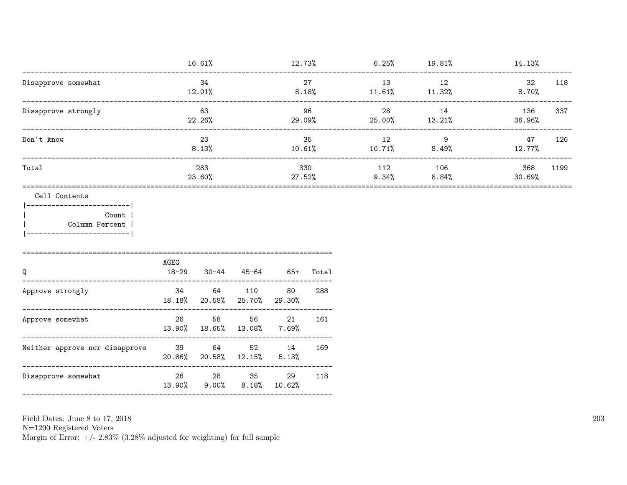|                     | 16.61%        | 12.73%           | 6.25%        | 19.81%          | 14.13%                |
|---------------------|---------------|------------------|--------------|-----------------|-----------------------|
| Disapprove somewhat | 34<br>12.01%  | 27<br>8.18%      | 13<br>11.61% | 12<br>11.32%    | 118<br>32<br>8.70%    |
| Disapprove strongly | 63<br>22.26%  | 96<br>29.09%     | 28<br>25.00% | 14<br>$13.21\%$ | 337<br>136<br>36.96%  |
| Don't know          | 23<br>8.13%   | 35<br>10.61%     | 12<br>10.71% | 9<br>8.49%      | 47<br>126<br>12.77%   |
| Total               | 283<br>23.60% | 330<br>$27.52\%$ | 112<br>9.34% | 106<br>8.84%    | 1199<br>368<br>30.69% |

Cell Contents

|-------------------------| Count | Column Percent |  $\mathbf{I}$ |-------------------------|

| Q                              | AGEG<br>$18 - 29$ | $30 - 44$           | 45-64                   | 65+          | Total |
|--------------------------------|-------------------|---------------------|-------------------------|--------------|-------|
| Approve strongly               | 34                | 64<br>18.18% 20.58% | 110<br>$25.70\%$ 29.30% | 80           | 288   |
| Approve somewhat               | 26                | 58<br>13.90% 18.65% | 56<br>13.08%            | 21<br>7.69%  | 161   |
| Neither approve nor disapprove | -39<br>$20.86\%$  | 64<br>20.58%        | 52<br>12.15%            | 14<br>5.13%  | 169   |
| Disapprove somewhat            | 26<br>13.90%      | 28<br>$9.00\%$      | -35<br>$8.18\%$         | 29<br>10.62% | 118   |

Field Dates: June 8 to 17, 2018

 ${\rm N}{=}1200$  Registered Voters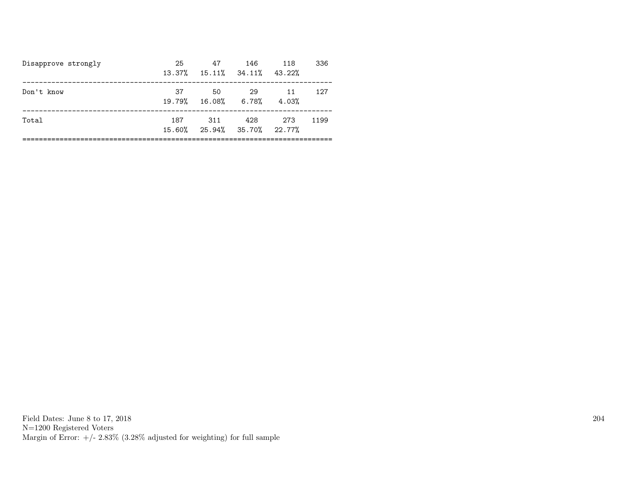| Disapprove strongly | 25<br>13.37% | 47                         | 146<br>$15.11\%$ $34.11\%$ $43.22\%$ | 118         | 336  |
|---------------------|--------------|----------------------------|--------------------------------------|-------------|------|
| Don't know          | 37           | .50<br>19.79% 16.08% 6.78% | -29                                  | 11<br>4.03% | 127  |
| Total               | 187          | 311                        | 428<br>15.60% 25.94% 35.70% 22.77%   | 273         | 1199 |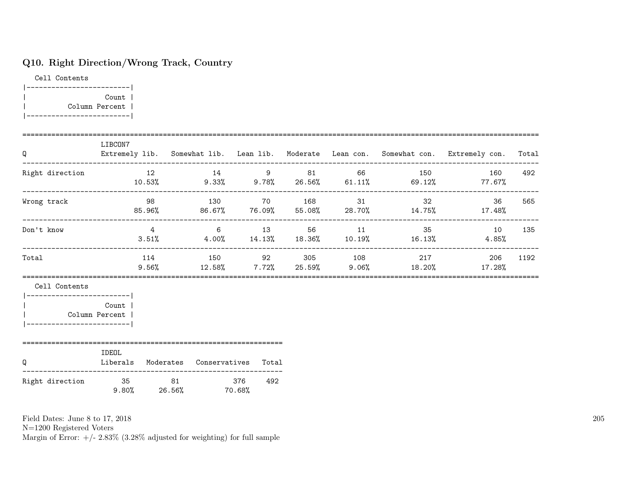### Q10. Right Direction/Wrong Track, Country

Cell Contents |-------------------------| | Count | | Column Percent | |-------------------------|

| Q                                                                                               | LIBCON7           |                               |            |  |                                                                                    | Extremely lib. Somewhat lib. Lean lib. Moderate Lean con. Somewhat con. Extremely con.   | Total |
|-------------------------------------------------------------------------------------------------|-------------------|-------------------------------|------------|--|------------------------------------------------------------------------------------|------------------------------------------------------------------------------------------|-------|
| Right direction                                                                                 |                   |                               |            |  | 12 14 9 81 66 150<br>$10.53\%$ 9.33% 9.78% 26.56% 61.11% 69.12%                    | 160<br>77.67%                                                                            | 492   |
| Wrong track                                                                                     |                   | 98 130 70 168 31              |            |  |                                                                                    | $32 - 32$<br>36<br>$85.96\%$ $86.67\%$ $76.09\%$ $55.08\%$ $28.70\%$ $14.75\%$ $17.48\%$ | 565   |
| Don't know                                                                                      |                   |                               |            |  |                                                                                    | 4 6 13 56 11 35 10<br>$3.51\%$ 4.00% $14.13\%$ 18.36% 10.19% 16.13% 4.85%                | 135   |
| Total                                                                                           |                   |                               |            |  | 114 150 92 305 108 217<br>$9.56\%$ $12.58\%$ $7.72\%$ $25.59\%$ $9.06\%$ $18.20\%$ | 206<br>17.28%                                                                            | 1192  |
| Cell Contents<br>___________________________<br>Column Percent  <br> -------------------------- | Count             |                               |            |  |                                                                                    |                                                                                          |       |
| Q                                                                                               | IDEOL<br>Liberals | Moderates Conservatives Total |            |  |                                                                                    |                                                                                          |       |
| Right direction                                                                                 | 35 81             | $9.80\%$ 26.56% 70.68%        | 376<br>492 |  |                                                                                    |                                                                                          |       |

Field Dates: June 8 to 17, 2018

N=1200 Registered Voters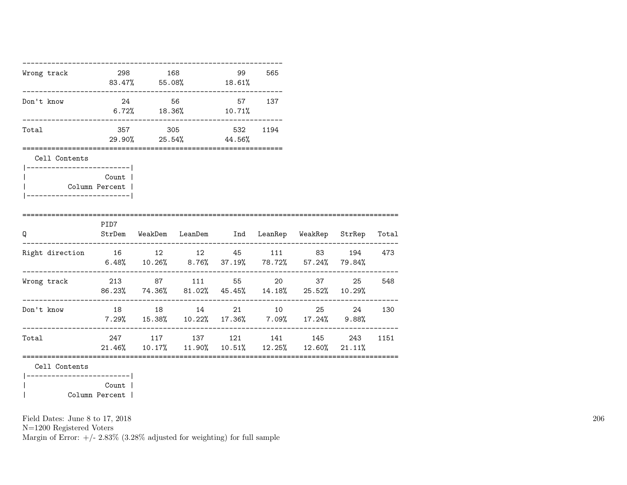| Wrong track 298 168                                                 |       | $83.47\%$ 55.08% 18.61%                                                                 | 99 | 565  |  |        |
|---------------------------------------------------------------------|-------|-----------------------------------------------------------------------------------------|----|------|--|--------|
| Don't know                                                          |       | 24 56 57 137<br>$6.72\%$ $18.36\%$ $10.71\%$                                            |    |      |  |        |
| Total                                                               |       | 357 305 532<br>29.90% 25.54% 44.56%                                                     |    | 1194 |  |        |
| ====================<br>Cell Contents<br> ------------------------- |       | =====================================                                                   |    |      |  |        |
| Column Percent  <br>_________________________                       | Count |                                                                                         |    |      |  |        |
| Q                                                                   | PID7  | StrDem WeakDem LeanDem Ind LeanRep WeakRep StrRep Total                                 |    |      |  |        |
| Right direction 16 12 12 45 111 83 194 473                          |       | $6.48\%$ $10.26\%$ $8.76\%$ $37.19\%$ $78.72\%$ $57.24\%$ $79.84\%$                     |    |      |  |        |
| Wrong track 213 87 111 55 20 37                                     |       | 86.23% 74.36% 81.02% 45.45% 14.18% 25.52% 10.29%                                        |    |      |  | 25 548 |
| Don't know                                                          |       | 18 18 14 21 10 25 24<br>$7.29\%$ 15.38% 10.22% 17.36% 7.09% 17.24% 9.88%                |    |      |  | 130    |
| Total                                                               |       | 247 117 137 121 141 145 243 1151<br>$21.46\%$ 10.17% 11.90% 10.51% 12.25% 12.60% 21.11% |    |      |  |        |
| Cell Contents<br>-----------------------                            |       |                                                                                         |    |      |  |        |

| Count | | Column Percent |

Field Dates: June 8 to 17, 2018

N=1200 Registered Voters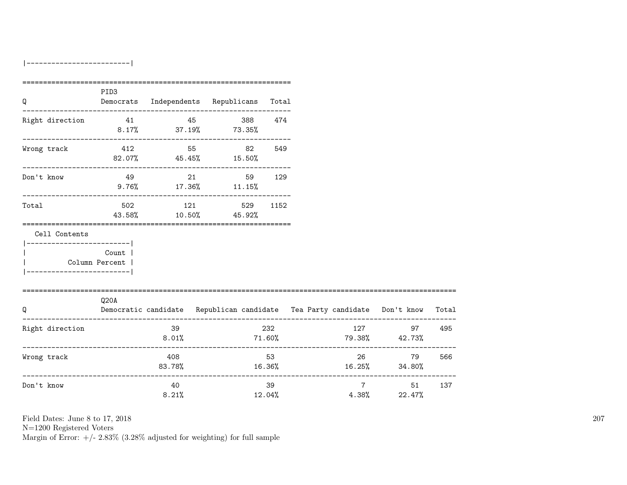|-------------------------|

|                                                                          | PID <sub>3</sub>                    |                                   |                                          |              |                                                                                |                                          |  |
|--------------------------------------------------------------------------|-------------------------------------|-----------------------------------|------------------------------------------|--------------|--------------------------------------------------------------------------------|------------------------------------------|--|
| Q                                                                        |                                     |                                   | Democrats Independents Republicans Total |              |                                                                                |                                          |  |
| Right direction $41$ 45 388 474                                          |                                     | $8.17\%$ 37.19% 73.35%            |                                          |              |                                                                                |                                          |  |
| Wrong track                                                              |                                     | 412 55 82<br>82.07% 45.45% 15.50% |                                          | 549          |                                                                                |                                          |  |
| Don't know                                                               | 49                                  | 21<br>$9.76\%$ 17.36% 11.15%      | 59 129                                   |              |                                                                                |                                          |  |
| Total                                                                    |                                     | 502 121<br>43.58% 10.50% 45.92%   |                                          | 529 1152     |                                                                                |                                          |  |
| Cell Contents<br>------------------------ <br>__________________________ | Count<br>Column Percent             |                                   |                                          |              |                                                                                |                                          |  |
| Q                                                                        | Q20A                                |                                   |                                          |              | Democratic candidate Republican candidate Tea Party candidate Don't know Total |                                          |  |
| Right direction                                                          |                                     | 39<br>8.01%                       |                                          | 232          | $71.60\%$ $79.38\%$ $42.73\%$                                                  | 127 97                                   |  |
| Wrong track                                                              | .__________________________________ | 408<br>83.78%                     |                                          | 53           | $16.36\%$ $16.25\%$ $34.80\%$                                                  | 26<br>79                                 |  |
| Don't know                                                               |                                     | 40<br>8.21%                       |                                          | 39<br>12.04% |                                                                                | $7 \overline{}$<br>51<br>$4.38\%$ 22.47% |  |

Field Dates: June 8 to 17, 2018

N=1200 Registered Voters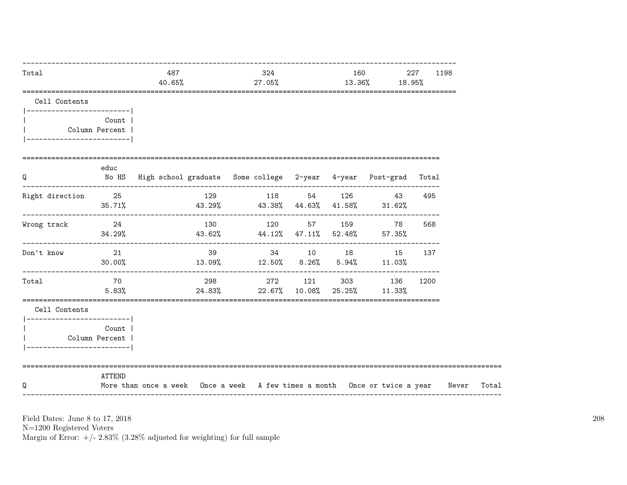| Total                                                     |                           | 487<br>40.65%                                                                          | 27.05% | 324 |  | $13.36\%$ 18.95%                                             | 227  | 1198 |
|-----------------------------------------------------------|---------------------------|----------------------------------------------------------------------------------------|--------|-----|--|--------------------------------------------------------------|------|------|
| Cell Contents                                             |                           |                                                                                        |        |     |  |                                                              |      |      |
| ------------------------- <br>___________________________ | Count  <br>Column Percent |                                                                                        |        |     |  |                                                              |      |      |
| =====================================<br>Q                | educ                      | No HS High school graduate Some college 2-year 4-year Post-grad Total                  |        |     |  |                                                              |      |      |
| Right direction 25                                        | 35.71%                    | $43.29\%$ $43.38\%$ $44.63\%$ $41.58\%$ $31.62\%$                                      |        |     |  | 129 118 54 126 43 495                                        |      |      |
| Wrong track                                               | 24                        | $34.29\%$ $43.62\%$ $44.12\%$ $47.11\%$ $52.48\%$ $57.35\%$                            |        |     |  | 130 120 57 159 78                                            | 568  |      |
| Don't know                                                | 21<br>30.00%              | $13.09\%$ $12.50\%$ $8.26\%$ $5.94\%$ $11.03\%$                                        |        |     |  | 39 34 10 18 15 137                                           |      |      |
| Total                                                     | 70<br>5.83%               |                                                                                        |        |     |  | 298 272 121 303 136<br>$24.83\%$ 22.67% 10.08% 25.25% 11.33% | 1200 |      |
| Cell Contents<br>-------------------------                |                           |                                                                                        |        |     |  |                                                              |      |      |
| Column Percent                                            | Count                     |                                                                                        |        |     |  |                                                              |      |      |
| Q                                                         | ATTEND                    | More than once a week Once a week A few times a month Once or twice a year Never Total |        |     |  |                                                              |      |      |

N=1200 Registered Voters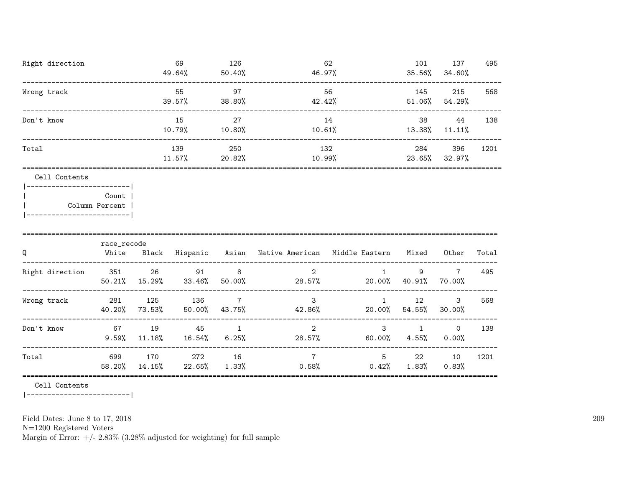| Right direction | 69<br>49.64%  | 126<br>50.40% | 62<br>46.97%  | 101<br>$35.56\%$ | 137<br>34.60% | 495  |
|-----------------|---------------|---------------|---------------|------------------|---------------|------|
| Wrong track     | 55<br>39.57%  | 97<br>38.80%  | 56<br>42.42%  | 145<br>51.06%    | 215<br>54.29% | 568  |
| Don't know      | 15<br>10.79%  | 27<br>10.80%  | 14<br>10.61%  | 38<br>13.38%     | 44<br>11.11%  | 138  |
| Total           | 139<br>11.57% | 250<br>20.82% | 132<br>10.99% | 284<br>23.65%    | 396<br>32.97% | 1201 |
| Cell Contents   |               |               |               |                  |               |      |

|  | Count 1        |  |
|--|----------------|--|
|  | Column Percent |  |
|  |                |  |

| Q               | race_recode<br>White | Black         | Hispanic      | Asian                    | Native American          | Middle Eastern | Mixed        | Other                    | Total |
|-----------------|----------------------|---------------|---------------|--------------------------|--------------------------|----------------|--------------|--------------------------|-------|
| Right direction | 351<br>50.21%        | -26<br>15.29% | 91<br>33.46%  | 8<br>50.00%              | 2<br>28.57%              | 20.00%         | 9<br>40.91%  | $\overline{7}$<br>70.00% | 495   |
| Wrong track     | 281<br>40.20%        | 125<br>73.53% | 136<br>50.00% | $\overline{7}$<br>43.75% | 3<br>42.86%              | 20.00%         | 12<br>54.55% | 3<br>30.00%              | 568   |
| Don't know      | 67<br>9.59%          | 19<br>11.18%  | 45<br>16.54%  | 6.25%                    | $\overline{2}$<br>28.57% | 3<br>60.00%    | 4.55%        | $\mathbf 0$<br>0.00%     | 138   |
| Total           | 699<br>58.20%        | 170<br>14.15% | 272<br>22.65% | 16<br>1.33%              | $\overline{7}$<br>0.58%  | 5<br>0.42%     | 22<br>1.83%  | 10<br>$0.83\%$           | 1201  |

Cell Contents

|-------------------------|

Field Dates: June 8 to 17, 2018

N=1200 Registered Voters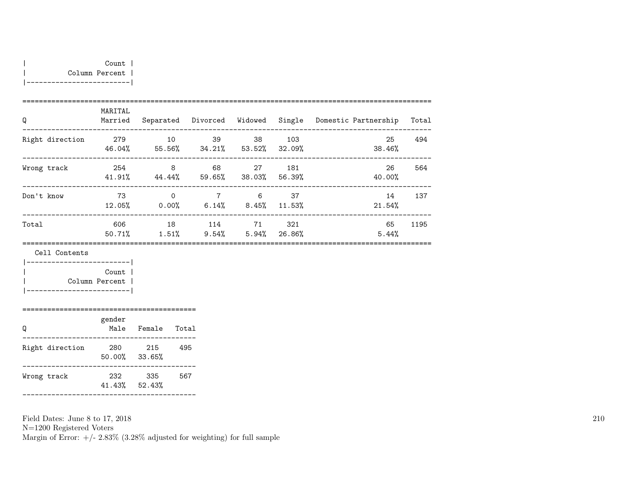|-------------------------|

|                 | MARITAL       |                      |                            |               |               |                      |       |
|-----------------|---------------|----------------------|----------------------------|---------------|---------------|----------------------|-------|
| Q               | Married       |                      | Separated Divorced Widowed |               | Single        | Domestic Partnership | Total |
| Right direction | 279<br>46.04% | 10<br>55.56%         | 39<br>34.21%               | 38<br>53.52%  | 103<br>32.09% | 25<br>38.46%         | 494   |
| Wrong track     | 254<br>41.91% | 8<br>44.44%          | 68<br>59.65%               | 27<br>38.03%  | 181<br>56.39% | 26<br>40.00%         | 564   |
| Don't know      | 73<br>12.05%  | $\Omega$<br>$0.00\%$ | $\overline{7}$<br>6.14%    | 6<br>$8.45\%$ | 37<br>11.53%  | 14<br>21.54%         | 137   |
| Total           | 606<br>50.71% | 18<br>1.51%          | 114<br>$9.54\%$            | 71<br>5.94%   | 321<br>26.86% | 65<br>5.44%          | 1195  |

Cell Contents

| Count          |  |
|----------------|--|
| Column Percent |  |
|                |  |

#### ========================================== gender Q Male Female Total ------------------------------------------ Right direction 280 215 495 50.00% 33.65% ------------------------------------------

Wrong track 232 335 567 41.43% 52.43% ------------------------------------------

Field Dates: June 8 to 17, 2018 N=1200 Registered Voters Margin of Error:  $+/- 2.83\%$  (3.28% adjusted for weighting) for full sample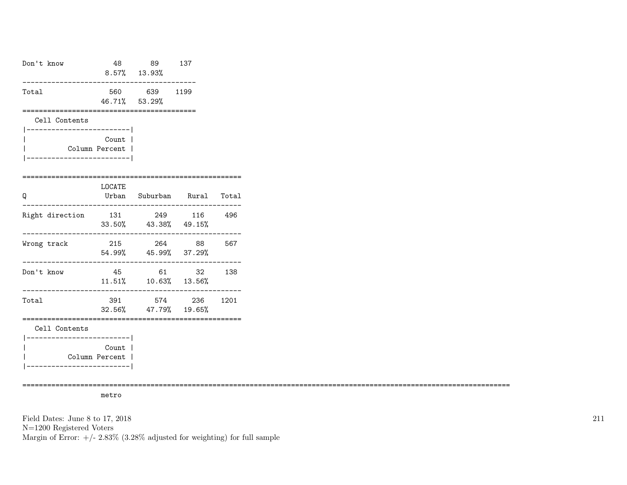| Don't know                                  |                                                | 48 89<br>8.57% 13.93%                           | 137                    |        |
|---------------------------------------------|------------------------------------------------|-------------------------------------------------|------------------------|--------|
| Total                                       |                                                | 560 639 1199<br>46.71% 53.29%                   |                        |        |
| Cell Contents<br>-------------------------- |                                                |                                                 |                        |        |
|                                             | Count  <br>Column Percent  <br>--------------- |                                                 |                        |        |
| Q                                           | LOCATE<br>__________                           | Urban Suburban Rural Total                      |                        |        |
| Right direction                             |                                                | 131 249 116 496<br>33.50% 43.38% 49.15%         |                        |        |
| Wrong track<br>___________________________  | 215                                            | 54.99% 45.99% 37.29%<br>. _ _ _ _ _ _ _ _ _ _ _ | 264 88 567             |        |
| Don't know                                  | 45                                             | 61<br>$11.51\%$ $10.63\%$ $13.56\%$             |                        | 32 138 |
| Total                                       | ===========                                    | 391 574 236 1201<br>32.56% 47.79% 19.65%        | ====================== |        |
| Cell Contents<br>----------------------     |                                                |                                                 |                        |        |
|                                             | Count  <br>Column Percent  <br>--------------- |                                                 |                        |        |

======================================================================================================================

metro

Field Dates: June 8 to 17, 2018 N=1200 Registered Voters Margin of Error:  $+/- 2.83\%$  (3.28% adjusted for weighting) for full sample 211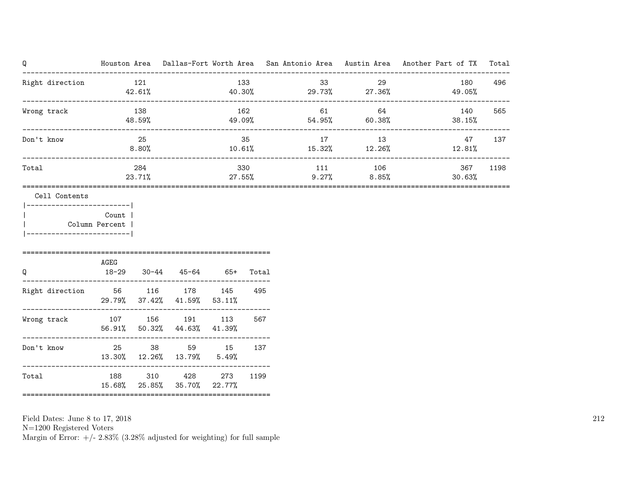| Q                              |       |                |                                                |               |       |                                        |         | Houston Area Dallas-Fort Worth Area San Antonio Area Austin Area Another Part of TX Total |      |
|--------------------------------|-------|----------------|------------------------------------------------|---------------|-------|----------------------------------------|---------|-------------------------------------------------------------------------------------------|------|
| Right direction 121            |       | 42.61%         |                                                |               |       | 133 and 133<br>$40.30\%$ 29.73% 27.36% | 33 29   | 180<br>49.05%                                                                             | 496  |
| Wrong track                    |       | 138<br>48.59%  |                                                | 162<br>49.09% |       | 61<br>$54.95\%$ 60.38%                 | 64      | 140<br>38.15%                                                                             | 565  |
| Don't know                     |       | 25<br>$8.80\%$ |                                                |               | 35    | 17<br>$10.61\%$ $15.32\%$ $12.26\%$    | 13      | 47<br>12.81%                                                                              | 137  |
| Total<br>===================== |       | 284<br>23.71%  | =============================                  |               | 330   | $27.55\%$ $9.27\%$ $8.85\%$            | 111 106 | 367<br>$30.63\%$                                                                          | 1198 |
| Cell Contents                  |       |                |                                                |               |       |                                        |         |                                                                                           |      |
| Column Percent                 | Count |                |                                                |               |       |                                        |         |                                                                                           |      |
| Q                              | AGEG  |                | 18-29 30-44 45-64 65+                          |               | Total |                                        |         |                                                                                           |      |
| Right direction 56 116 178 145 |       |                | 29.79% 37.42% 41.59% 53.11%                    |               | 495   |                                        |         |                                                                                           |      |
| Wrong track 107 156 191 113    |       |                | 56.91% 50.32% 44.63% 41.39%                    |               | 567   |                                        |         |                                                                                           |      |
| Don't know                     |       |                | 25 38 59 15<br>13.30% 12.26% 13.79%            | 5.49%         | 137   |                                        |         |                                                                                           |      |
| Total                          |       |                | 188 310 428 273<br>15.68% 25.85% 35.70% 22.77% |               | 1199  |                                        |         |                                                                                           |      |

N=1200 Registered Voters

Margin of Error:  $+/- 2.83\%$  (3.28% adjusted for weighting) for full sample

212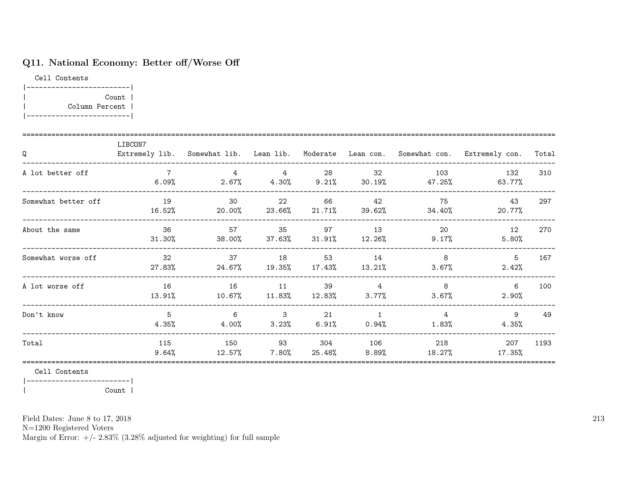### Q11. National Economy: Better off/Worse Off

Cell Contents |-------------------------| | Count | | Column Percent | |-------------------------|

| Q                   | LIBCON7              |                                                        |                            |                 |                                    |                            | Extremely lib. Somewhat lib. Lean lib. Moderate Lean con. Somewhat con. Extremely con. | Total |
|---------------------|----------------------|--------------------------------------------------------|----------------------------|-----------------|------------------------------------|----------------------------|----------------------------------------------------------------------------------------|-------|
| A lot better off    | 6.09%                | $\overline{4}$<br>$2.67\%$ $4.30\%$ $9.21\%$ $30.19\%$ | $\overline{4}$             | 28              | 32                                 | 103<br>47.25%              | 132<br>63.77%                                                                          | 310   |
| Somewhat better off | 19<br>16.52%         | $\overline{30}$<br>20.00%                              | 22                         | 66              | 42<br>23.66% 21.71% 39.62%         | 75<br>34.40%               | 43<br>20.77%                                                                           | 297   |
| About the same      | 36<br>31.30%         | 57<br>38.00%                                           | 35<br>37.63%               | 97              | 13<br>$31.91\%$ $12.26\%$          | 20<br>9.17%                | 12<br>5.80%                                                                            | 270   |
| Somewhat worse off  | 32<br>27.83%         | 37<br>24.67%                                           | 18<br>$19.35\%$ 17.43%     | 53              | 14<br>13.21%                       | 8 <sup>8</sup><br>$3.67\%$ | 5<br>2.42%                                                                             | 167   |
| A lot worse off     | 16<br>13.91%         | 16<br>$10.67\%$ 11.83%                                 | 11                         | 39<br>$12.83\%$ | $\overline{4}$                     | 8<br>3.77%<br>$3.67\%$     | 6<br>2.90%                                                                             | 100   |
| Don't know          | $5^{\circ}$<br>4.35% | $6\overline{6}$<br>4.00%                               | $\overline{\phantom{a}}$ 3 | 21              | $\sim$ 1<br>$3.23\%$ 6.91\% 0.94\% | $4\overline{ }$            | 9<br>1.83%<br>4.35%                                                                    | 49    |
| Total               | 115<br>9.64%         | 150<br>12.57%                                          | 93<br>$7.80\%$             | 304<br>25.48%   | 106<br>8.89%                       | 218<br>18.27%              | 207<br>$17.35\%$                                                                       | 1193  |

Cell Contents

|-------------------------| | Count |

Field Dates: June 8 to 17, 2018

N=1200 Registered Voters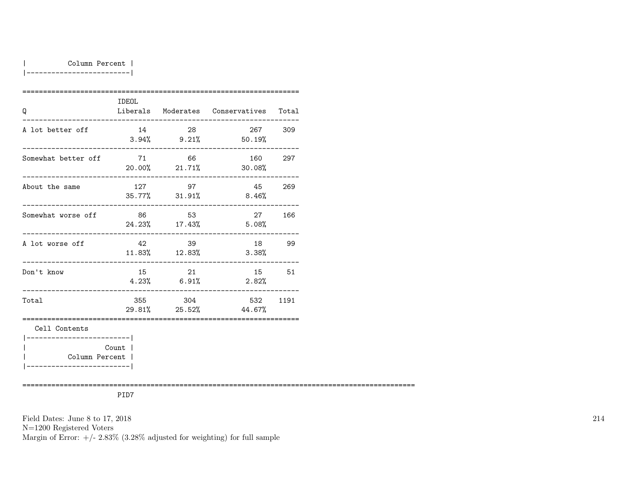#### | Column Percent |

|-------------------------|

| Q                                           | <b>IDEOL</b> |                         | Liberals Moderates Conservatives Total |     |
|---------------------------------------------|--------------|-------------------------|----------------------------------------|-----|
| A lot better off                            | 14           | 28                      | 267<br>$3.94\%$ 9.21% 50.19%           | 309 |
| Somewhat better off                         | 71           | 66                      | 160<br>20.00% 21.71% 30.08%            | 297 |
| About the same                              |              | 127 97<br>35.77% 31.91% | 45 269<br>8.46%                        |     |
| Somewhat worse off                          | 86           | 53<br>24.23% 17.43%     | 27<br>5.08%                            | 166 |
| A lot worse off                             | 42           | 39<br>11.83% 12.83%     | 18<br>3.38%                            | 99  |
| Don't know                                  | 15           | 21<br>$4.23\%$ 6.91%    | 15 51<br>2.82%                         |     |
| Total                                       |              | 355 304                 | 532 1191<br>29.81% 25.52% 44.67%       |     |
| Cell Contents                               |              |                         |                                        |     |
| Column Percent  <br>_______________________ | Count        |                         |                                        |     |

===============================================================================================

PID7

Field Dates: June 8 to 17, 2018

N=1200 Registered Voters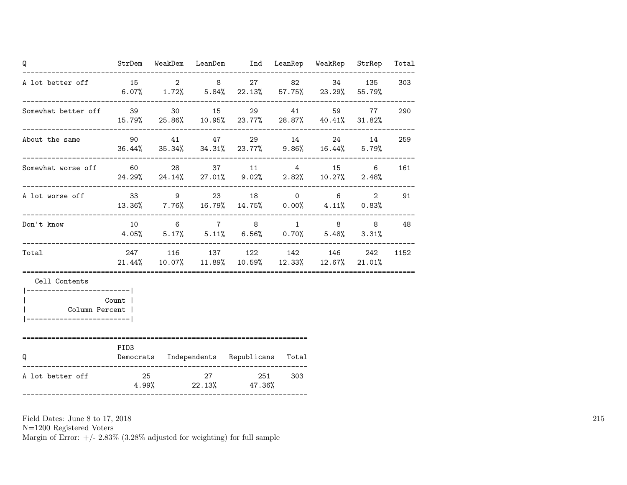| Q                                                                       |                  | ------------------------ | StrDem WeakDem LeanDem Ind LeanRep WeakRep StrRep                                                          |     |  | Total |
|-------------------------------------------------------------------------|------------------|--------------------------|------------------------------------------------------------------------------------------------------------|-----|--|-------|
| A lot better of f = 15 = 2 = 8 = 27 = 82 = 34 = 135                     |                  |                          | $6.07\%$ $1.72\%$ $5.84\%$ $22.13\%$ $57.75\%$ $23.29\%$ $55.79\%$                                         |     |  | 303   |
| Somewhat better off 39 30 15 29 41 59 77 290                            |                  |                          | 15.79% 25.86% 10.95% 23.77% 28.87% 40.41% 31.82%                                                           |     |  |       |
| About the same<br>-----------------------                               |                  |                          | 90 41 47 29 14 24 14 259<br>$36.44\%$ $35.34\%$ $34.31\%$ $23.77\%$ $9.86\%$ $16.44\%$ $5.79\%$            |     |  |       |
| Somewhat worse off 60 28 37 11 4 15 6                                   |                  |                          | 24.29% 24.14% 27.01% 9.02% 2.82% 10.27% 2.48%                                                              |     |  | 161   |
| A lot worse off<br>----------------------                               |                  |                          | $33 \t 9 \t 23 \t 18 \t 0 \t 6 \t 2$<br>$13.36\%$ $7.76\%$ $16.79\%$ $14.75\%$ $0.00\%$ $4.11\%$ $0.83\%$  |     |  | 91    |
| Don't know                                                              |                  |                          | $10 \qquad 6 \qquad 7 \qquad 8 \qquad 1 \qquad 8 \qquad 8$<br>$4.05\%$ 5.17% 5.11% 6.56% 0.70% 5.48% 3.31% |     |  | 48    |
| Total                                                                   |                  |                          | 247 116 137 122 142 146 242<br>$21.44\%$ $10.07\%$ $11.89\%$ $10.59\%$ $12.33\%$ $12.67\%$ $21.01\%$       |     |  | 1152  |
| Cell Contents                                                           |                  |                          |                                                                                                            |     |  |       |
| ------------------------ <br>Column Percent  <br>---------------------- | Count            |                          |                                                                                                            |     |  |       |
| Q                                                                       | PID <sub>3</sub> |                          | Democrats Independents Republicans Total                                                                   |     |  |       |
| A lot better off                                                        |                  |                          | 25 27 251<br>$4.99\%$ 22.13% 47.36%                                                                        | 303 |  |       |

N=1200 Registered Voters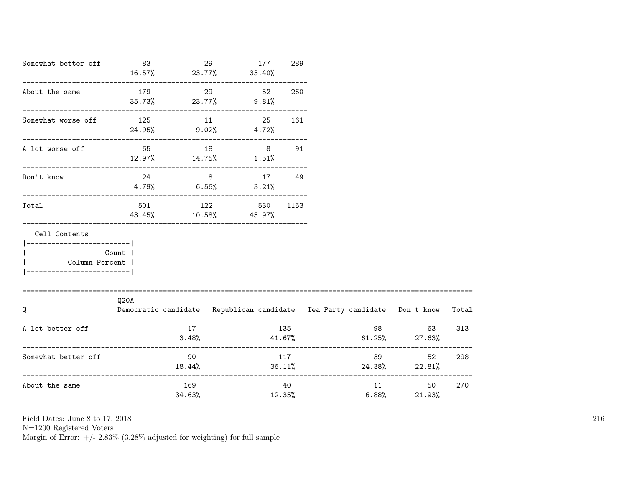| Somewhat better off 83                                                                         |                                 | 16.57% 23.77% 33.40%                     | 177<br>29 |       | 289           |                                                                                |                    |     |
|------------------------------------------------------------------------------------------------|---------------------------------|------------------------------------------|-----------|-------|---------------|--------------------------------------------------------------------------------|--------------------|-----|
| About the same                                                                                 | 179                             | 29<br>$35.73\%$ 23.77% 9.81%             |           | 52    | 260           |                                                                                |                    |     |
| Somewhat worse off                                                                             | 125 11<br>$24.95\%$ 9.02% 4.72% |                                          |           | 25    | 161           |                                                                                |                    |     |
| A lot worse off                                                                                |                                 | 65 18<br>$12.97\%$ $14.75\%$ $1.51\%$    |           |       | $8 - 8$<br>91 |                                                                                |                    |     |
| Don't know                                                                                     |                                 | 24 8 17 49<br>$4.79%$ 6.56%              |           | 3.21% |               |                                                                                |                    |     |
| Total                                                                                          |                                 | 501 122 530 1153<br>43.45% 10.58% 45.97% |           |       |               |                                                                                |                    |     |
| Cell Contents<br>------------------------- <br>  Column Percent  <br>------------------------- | Count                           |                                          |           |       |               |                                                                                |                    |     |
| =====================================<br>Q                                                     | Q20A                            |                                          |           |       |               | Democratic candidate Republican candidate Tea Party candidate Don't know Total |                    |     |
| A lot better off                                                                               |                                 | 17<br>3.48%                              |           |       | 135           | $41.67\%$ 61.25% 27.63%                                                        | 98 — 100<br>63 — 1 | 313 |
| Somewhat better off                                                                            |                                 | 90 —<br>18.44%                           |           |       | 117           | $36.11\%$ 24.38% 22.81%                                                        | 39<br>52           | 298 |
| About the same                                                                                 |                                 | 169<br>34.63%                            |           |       | 40            | 6.88%<br>12.35%                                                                | 50 —<br>21.93%     | 270 |

N=1200 Registered Voters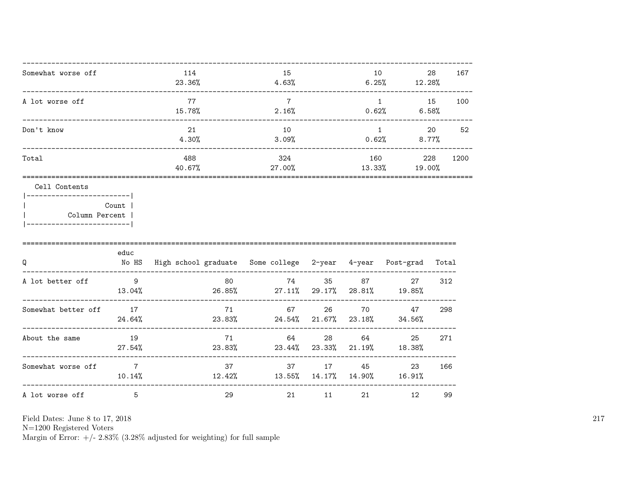| Somewhat worse off | 114<br>23.36% | 15<br>4.63%   | 10<br>6.25%   | 28<br>12.28%   | 167  |
|--------------------|---------------|---------------|---------------|----------------|------|
| A lot worse off    | 77<br>15.78%  | 2.16%         | 0.62%         | 15<br>6.58%    | 100  |
| Don't know         | 21<br>4.30%   | 10<br>3.09%   | 0.62%         | 20<br>$8.77\%$ | 52   |
| Total              | 488<br>40.67% | 324<br>27.00% | 160<br>13.33% | 228<br>19.00%  | 1200 |

| Count          |  |
|----------------|--|
| Column Percent |  |

| ---------------------- |  |
|------------------------|--|
|                        |  |

| Q                   | educ<br>No HS            | High school graduate Some college 2-year 4-year |                 |              |              | Post-grad    | Total |
|---------------------|--------------------------|-------------------------------------------------|-----------------|--------------|--------------|--------------|-------|
| A lot better off    | 9<br>13.04%              | 80<br>26.85%                                    | 74<br>$27.11\%$ | 35<br>29.17% | 87<br>28.81% | 27<br>19.85% | 312   |
| Somewhat better off | 17<br>24.64%             | 71<br>23.83%                                    | 67<br>24.54%    | 26<br>21.67% | 70<br>23.18% | 47<br>34.56% | 298   |
| About the same      | 19<br>27.54%             | 71<br>23.83%                                    | 64<br>23.44%    | 28<br>23.33% | 64<br>21.19% | 25<br>18.38% | 271   |
| Somewhat worse off  | $\overline{7}$<br>10.14% | 37<br>12.42%                                    | 37<br>13.55%    | 17<br>14.17% | 45<br>14.90% | 23<br>16.91% | 166   |
| A lot worse off     | 5                        | 29                                              | 21              | 11           | 21           | 12           | 99    |

Field Dates: June 8 to 17, 2018

N=1200 Registered Voters<br>Margin of Error: +/- 2.83% (3.28% adjusted for weighting) for full sample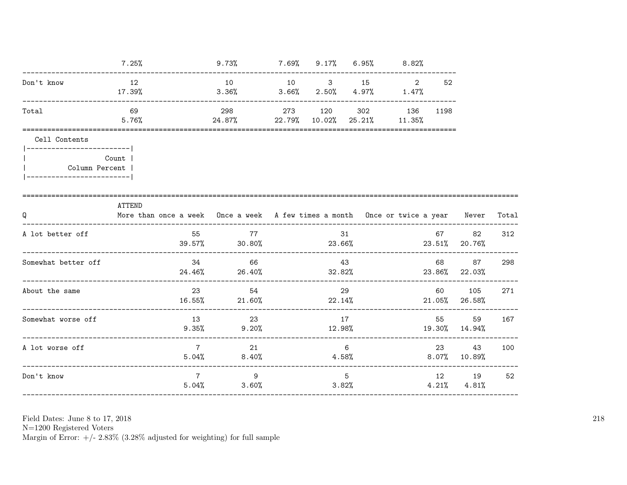|                                                                  |                 | 7.25%                                                                                  | 9.73%                                                             |              |    | $7.69\%$ 9.17% 6.95% 8.82% |           |                            |     |
|------------------------------------------------------------------|-----------------|----------------------------------------------------------------------------------------|-------------------------------------------------------------------|--------------|----|----------------------------|-----------|----------------------------|-----|
| Don't know                                                       | 12<br>$17.39\%$ | $3.36\%$ $3.66\%$ $2.50\%$ $4.97\%$ $1.47\%$                                           | 10 10 3 15 2                                                      |              |    |                            | 52        |                            |     |
| Total                                                            |                 | 69<br>5.76%                                                                            | 298 273 120 302 136 1198<br>$24.87\%$ 22.79% 10.02% 25.21% 11.35% |              |    |                            |           |                            |     |
| Cell Contents<br>  Column Percent<br> -------------------------- | Count           |                                                                                        |                                                                   |              |    |                            |           |                            |     |
| Q                                                                | ATTEND          | More than once a week Once a week A few times a month Once or twice a year Never Total |                                                                   |              |    |                            |           |                            |     |
| A lot better off                                                 |                 | 55                                                                                     | 77<br>$39.57\%$ 30.80% 23.66% 23.66% 23.51% 20.76%                |              | 31 |                            |           | 67 82                      | 312 |
| Somewhat better off                                              |                 |                                                                                        | 34 66<br>$24.46\%$ 26.40% 28.82% 23.86% 22.03%                    |              | 43 |                            |           | 68 87                      | 298 |
| About the same                                                   |                 |                                                                                        | 23<br>54<br>$16.55\%$ 21.60% 22.14% 20.14% 21.05% 26.58%          |              | 29 |                            |           | 60 105                     | 271 |
| Somewhat worse off                                               |                 |                                                                                        | 13 23<br>$9.35\%$ $9.20\%$                                        | 17<br>12.98% |    |                            | 55 — 10   | 59<br>19.30% 14.94%        | 167 |
| A lot worse off                                                  |                 | $7\overline{7}$                                                                        | 21<br>$5.04\%$ 8.40%                                              |              | 6  | 4.58%                      | 23 and 23 | 43<br>$8.07\%$ 10.89%      | 100 |
| Don't know                                                       |                 | $7^{\circ}$                                                                            | 9<br>$5.04\%$ $3.60\%$                                            |              | 5  | 3.82%                      |           | 12 19<br>$4.21\%$ $4.81\%$ | 52  |

Field Dates: June 8 to 17,  $2018\,$ 

N=1200 Registered Voters<br>Margin of Error:  $+/- 2.83\%$  (3.28% adjusted for weighting) for full sample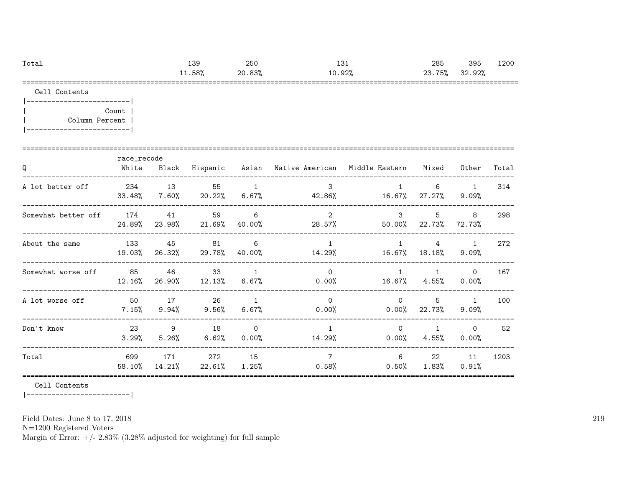| Tota.       | ס פ<br>⊥ບປ | 250              | ᆂᇦᆂ                    | 285                        | $\sim$ $\sim$ $\sim$<br>39F | 1200   |
|-------------|------------|------------------|------------------------|----------------------------|-----------------------------|--------|
|             | 1.58%      | 83%<br>nn.<br>zu | 92%<br>10.92%          | nn.<br>75일<br>'ರಿ ⁄<br>ں∠  | $\sim$<br>o c<br>.926       |        |
| -----<br>__ |            | _____<br>_____   | ______________________ | __________________________ |                             | ------ |

|-------------------------| | Count | | Column Percent | |-------------------------|

|                     | race_recode     |                |                 |                         |                                          |                           |                          |                            |       |
|---------------------|-----------------|----------------|-----------------|-------------------------|------------------------------------------|---------------------------|--------------------------|----------------------------|-------|
| Q                   | White           | Black          | Hispanic Asian  |                         | Native American – Middle Eastern – Mixed |                           |                          | Other                      | Total |
| A lot better off    | 234<br>33.48%   | 13<br>$7.60\%$ | 55<br>$20.22\%$ | 1<br>$6.67\%$           | 3<br>42.86%                              | $\mathbf{1}$<br>$16.67\%$ | 6<br>27.27%              | $\overline{1}$<br>9.09%    | 314   |
| Somewhat better off | 174<br>24.89%   | 41<br>23.98%   | 59<br>21.69%    | 6<br>40.00%             | $\mathcal{L}$<br>28.57%                  | $\mathbf{3}$<br>50.00%    | 5<br>22.73%              | 8<br>72.73%                | 298   |
| About the same      | 133<br>19.03%   | 45<br>26.32%   | 81<br>29.78%    | 6<br>40.00%             | $\mathbf{1}$<br>14.29%                   | $\mathbf{1}$<br>16.67%    | $\overline{4}$<br>18.18% | $\overline{1}$<br>9.09%    | 272   |
| Somewhat worse off  | 85<br>$12.16\%$ | 46<br>26.90%   | 33<br>12.13%    | 1<br>$6.67\%$           | $\Omega$<br>0.00%                        | $\mathbf{1}$              | 1<br>$16.67\%$ $4.55\%$  | $\Omega$<br>0.00%          | 167   |
| A lot worse off     | 50<br>7.15%     | 17<br>9.94%    | 26<br>9.56%     | $\overline{1}$<br>6.67% | $\Omega$<br>0.00%                        | $\Omega$<br>$0.00\%$      | 5<br>22.73%              | $\overline{1}$<br>$9.09\%$ | 100   |
| Don't know          | 23<br>3.29%     | 9<br>5.26%     | 18<br>6.62%     | $\Omega$<br>0.00%       | $\mathbf{1}$<br>14.29%                   | $\Omega$<br>$0.00\%$      | $\mathbf{1}$<br>$4.55\%$ | $\Omega$<br>0.00%          | 52    |
| Total               | 699<br>58.10%   | 171<br>14.21%  | 272<br>22.61%   | 15<br>$1.25\%$          | 0.58%                                    | 6<br>0.50%                | 22<br>1.83%              | 11<br>0.91%                | 1203  |

Cell Contents

|-------------------------|

Field Dates: June 8 to 17, 2018

N=1200 Registered Voters

Margin of Error:  $+/- 2.83\%$  (3.28% adjusted for weighting) for full sample

219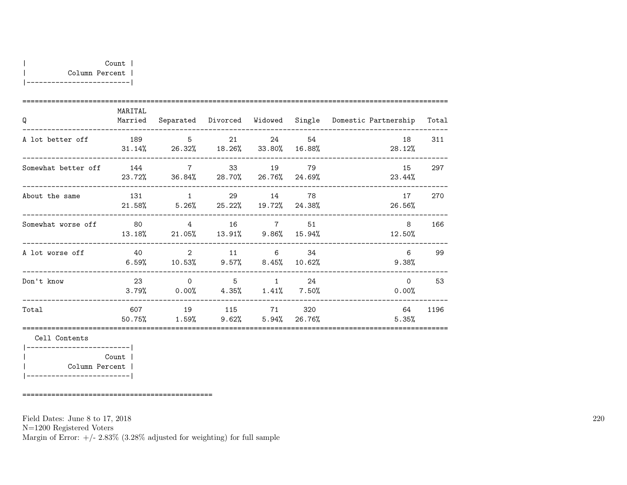| Q                   | MARITAL<br>Married |                                                |                                               |          |                 | Separated Divorced Widowed Single Domestic Partnership | Total |
|---------------------|--------------------|------------------------------------------------|-----------------------------------------------|----------|-----------------|--------------------------------------------------------|-------|
| A lot better off    |                    | 189 5<br>$31.14\%$ 26.32% 18.26% 33.80%        | 21                                            |          | - 54<br>16.88%  | 18<br>28.12%                                           | 311   |
| Somewhat better off |                    | 144 7<br>23.72% 36.84% 28.70% 26.76% 24.69%    | 33                                            | 19 79    |                 | 15<br>23.44%                                           | 297   |
| About the same      | 131<br>21.58%      | $\mathbf{1}$<br>$5.26\%$ 25.22% 19.72% 24.38%  | 29                                            | 14       | - 78            | 17<br>26.56%                                           | 270   |
| Somewhat worse off  | 13.18%             | 80 4<br>$21.05\%$ $13.91\%$ $9.86\%$ $15.94\%$ |                                               | 16 7 51  |                 | 8<br>12.50%                                            | 166   |
| A lot worse off     | 40<br>6.59%        | $\sim$ 2                                       | $\overline{11}$<br>$10.53\%$ 9.57% 8.45%      | $\sim$ 6 | 34<br>$10.62\%$ | 6<br>9.38%                                             | 99    |
| Don't know          | 23<br>3.79%        | $\overline{0}$<br>0.00%                        | $5\overline{)}$<br>$4.35\%$ $1.41\%$ $7.50\%$ | $\sim$ 1 | - 24            | $\Omega$<br>0.00%                                      | 53    |
| Total               | 607 — 10<br>50.75% | $1.59\%$ 9.62% 5.94%                           | 19 115 71 320                                 |          | 26.76%          | 64<br>5.35%                                            | 1196  |
|                     |                    |                                                |                                               |          |                 |                                                        |       |

|-------------------------| | Count | | Column Percent | |-------------------------|

==============================================

Field Dates: June 8 to 17, 2018

N=1200 Registered Voters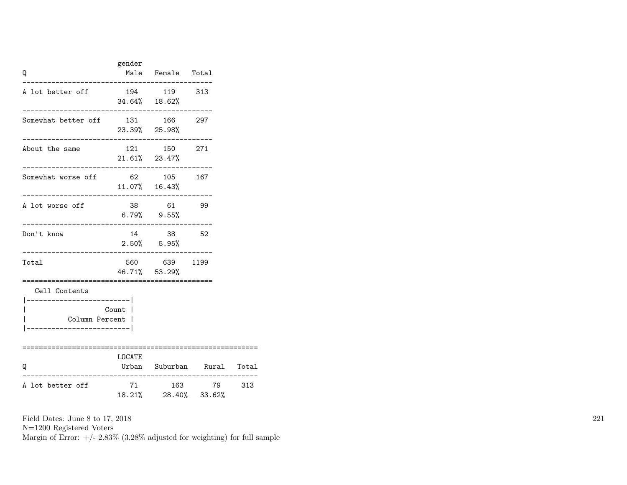| Q                                                                         | gender                                          | Male Female Total               |        |     |
|---------------------------------------------------------------------------|-------------------------------------------------|---------------------------------|--------|-----|
| A lot better off                                                          |                                                 | 194 119 313<br>$34.64\%$ 18.62% |        |     |
| Somewhat better off 131 166 297                                           | 23.39% 25.98%                                   |                                 |        |     |
| About the same                                                            |                                                 | 121 150 271<br>$21.61\%$ 23.47% |        |     |
| Somewhat worse off                                                        | . _ _ _ _ _ _ .<br>62 105 167<br>11.07%  16.43% |                                 |        |     |
| A lot worse off<br>-------------------------------                        | $6.79\%$ $9.55\%$                               | 38 61 99                        |        |     |
| Don't know<br>------------------------------------                        |                                                 | 14 38<br>$2.50\%$ 5.95%         | - 52   |     |
| Total                                                                     |                                                 | 560 639 1199<br>46.71% 53.29%   |        |     |
| Cell Contents<br>---------------- <br>Column Percent  <br>--------------- | Count                                           | ==========================      |        |     |
| Q                                                                         | LOCATE<br>Urban Suburban Rural Total            |                                 |        |     |
| A lot better off                                                          | 71                                              | 18.21% 28.40% 33.62%            | 163 79 | 313 |

N=1200 Registered Voters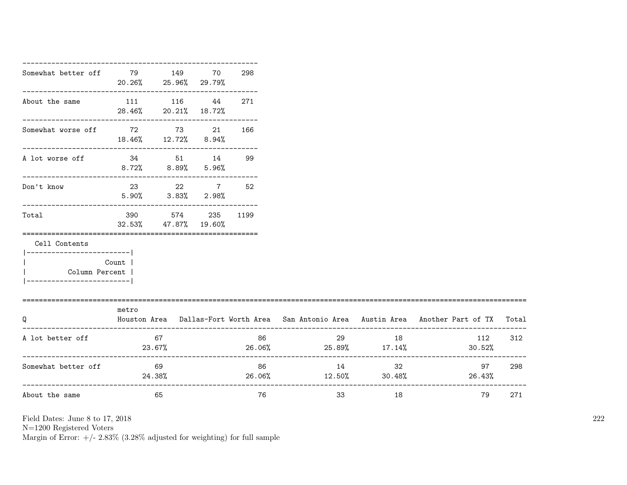| Somewhat better off 79 149                |                              | 20.26% 25.96% 29.79%                     | 70 | 298          |                               |    |                                                                                           |
|-------------------------------------------|------------------------------|------------------------------------------|----|--------------|-------------------------------|----|-------------------------------------------------------------------------------------------|
| About the same 111 116 44                 | 28.46% 20.21% 18.72%         |                                          |    | 271          |                               |    |                                                                                           |
| Somewhat worse off 72 73 21               | $18.46\%$ $12.72\%$ $8.94\%$ |                                          |    | 166          |                               |    |                                                                                           |
| A lot worse off 34 51 14                  | $8.72\%$ $8.89\%$ $5.96\%$   |                                          |    | 99           |                               |    |                                                                                           |
| Don't know                                |                              | 23 22 7 52<br>$5.90\%$ $3.83\%$ $2.98\%$ |    |              |                               |    |                                                                                           |
| Total                                     |                              | 390 574 235 1199<br>32.53% 47.87% 19.60% |    |              |                               |    |                                                                                           |
| Cell Contents<br>------------------------ |                              |                                          |    |              |                               |    |                                                                                           |
| Column Percent  <br>--------------------  | Count                        |                                          |    |              |                               |    |                                                                                           |
| Q                                         | metro                        |                                          |    |              |                               |    | Houston Area Dallas-Fort Worth Area San Antonio Area Austin Area Another Part of TX Total |
| A lot better off                          | $23.67\%$                    | 67                                       |    | 86           | 29 18<br>26.06% 25.89% 17.14% |    | 112<br>$30.52\%$                                                                          |
| Somewhat better off                       |                              | 69<br>24.38%                             |    | 86<br>26.06% | 14<br>$12.50\%$ 30.48%        | 32 | 97 298<br>26.43%                                                                          |
| About the same                            |                              | 65                                       |    | 76           | 33                            | 18 | 79                                                                                        |

N=1200 Registered Voters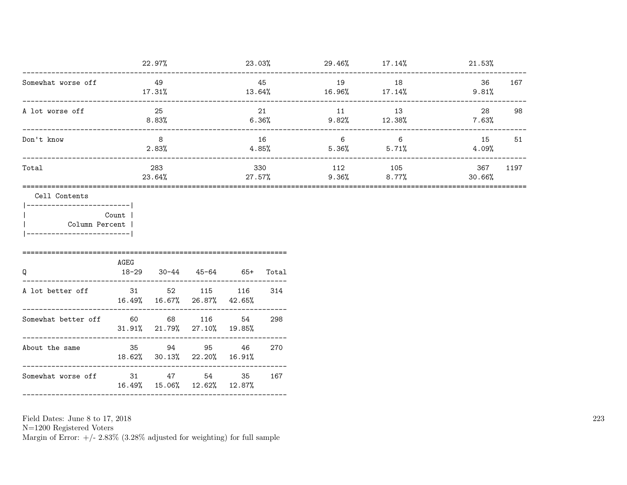|                    | 22.97%        | 23.03%        | 29.46%       | $17.14\%$       | 21.53%                |
|--------------------|---------------|---------------|--------------|-----------------|-----------------------|
| Somewhat worse off | 49<br>17.31%  | 45<br>13.64%  | 19<br>16.96% | 18<br>$17.14\%$ | 36<br>167<br>9.81%    |
| A lot worse off    | 25<br>8.83%   | 21<br>6.36%   | 11<br>9.82%  | 13<br>12.38%    | 28<br>98<br>7.63%     |
| Don't know         | 8<br>2.83%    | 16<br>4.85%   | 6<br>5.36%   | 6<br>5.71%      | 15<br>51<br>4.09%     |
| Total              | 283<br>23.64% | 330<br>27.57% | 112<br>9.36% | 105<br>$8.77\%$ | 1197<br>367<br>30.66% |
|                    |               |               |              |                 |                       |

|-------------------------| | Count | | Column Percent | |-------------------------|

| Q                   | AGEG | $18-29$ $30-44$ $45-64$ $65+$                |    | Total |
|---------------------|------|----------------------------------------------|----|-------|
| A lot better off    |      | 31 52 115 116<br>16.49% 16.67% 26.87% 42.65% |    | -314  |
| Somewhat better off | 60 — | 68 116<br>$31.91\%$ 21.79% 27.10% 19.85%     | 54 | 298   |
| About the same      |      | 35 94 95 46<br>18.62% 30.13% 22.20% 16.91%   |    | 270   |
| Somewhat worse off  |      | 31 47 54<br>16.49% 15.06% 12.62% 12.87%      | 35 | 167   |
|                     |      |                                              |    |       |

Field Dates: June 8 to 17, 2018

N=1200 Registered Voters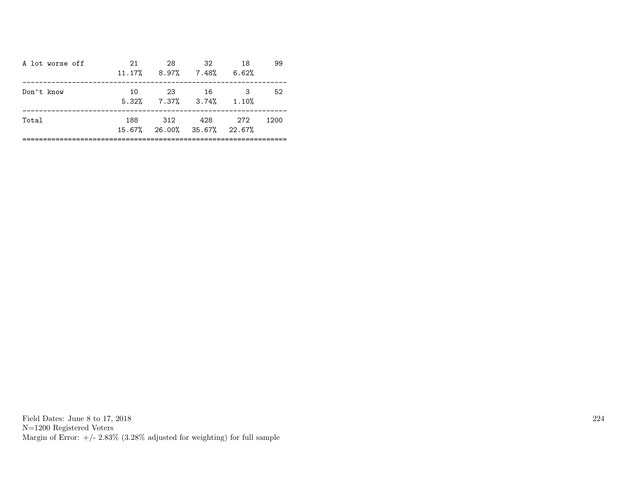| A lot worse off | 21  | 28<br>$11.17\%$ 8.97% 7.48% 6.62%         | 32.         | 18 | 99   |
|-----------------|-----|-------------------------------------------|-------------|----|------|
| Don't know      | 10  | 23<br>$5.32\%$ $7.37\%$ $3.74\%$ $1.10\%$ | 16          | 3  | 52   |
| Total           | 188 | 15.67% 26.00% 35.67% 22.67%               | 312 428 272 |    | 1200 |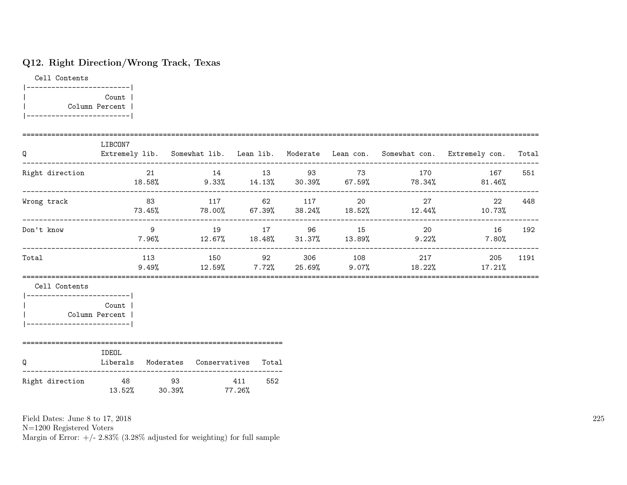# Q12. Right Direction/Wrong Track, Texas

Cell Contents |-------------------------| | Count | | Column Percent | |-------------------------|

| Q                                                              | LIBCON7                                         |                      |     |  |                                                                                    | Extremely lib. Somewhat lib. Lean lib. Moderate Lean con. Somewhat con. Extremely con. | Total |
|----------------------------------------------------------------|-------------------------------------------------|----------------------|-----|--|------------------------------------------------------------------------------------|----------------------------------------------------------------------------------------|-------|
| Right direction                                                |                                                 |                      |     |  | $21$ 14 13 93 73 170<br>18.58% 9.33% 14.13% 30.39% 67.59% 78.34%                   | 167<br>81.46%                                                                          | 551   |
| Wrong track                                                    |                                                 |                      |     |  | 83 117 62 117 20 27<br>$73.45\%$ $78.00\%$ $67.39\%$ $38.24\%$ $18.52\%$ $12.44\%$ | 22<br>10.73%                                                                           | 448   |
| Don't know                                                     |                                                 |                      |     |  |                                                                                    | 9 19 17 96 15 20 16<br>$7.96\%$ 12.67% 18.48% 31.37% 13.89% 9.22% 7.80%                | 192   |
| Total                                                          |                                                 |                      |     |  | 113 150 92 306 108 217<br>$9.49\%$ $12.59\%$ $7.72\%$ $25.69\%$ $9.07\%$ $18.22\%$ | 205<br>$17.21\%$                                                                       | 1191  |
| Cell Contents<br>Column Percent<br> -------------------------- | <b>Count</b>                                    |                      |     |  |                                                                                    |                                                                                        |       |
| Q                                                              | IDEOL<br>Liberals Moderates Conservatives Total |                      |     |  |                                                                                    |                                                                                        |       |
| Right direction                                                | 48 93 411                                       | 13.52% 30.39% 77.26% | 552 |  |                                                                                    |                                                                                        |       |

Field Dates: June 8 to 17, 2018

N=1200 Registered Voters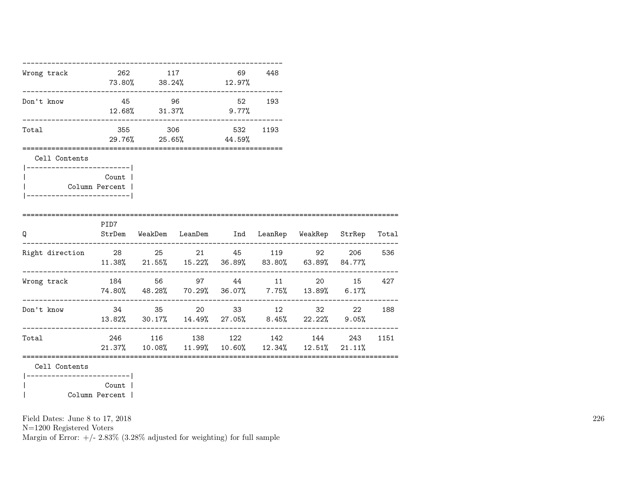| Wrong track 262 117                           |                | $73.80\%$ $38.24\%$ $12.97\%$                                                           | 69 448 |      |  |     |
|-----------------------------------------------|----------------|-----------------------------------------------------------------------------------------|--------|------|--|-----|
| Don't know                                    |                | 45 96 52 193<br>12.68% 31.37% 9.77%                                                     |        |      |  |     |
| Total                                         |                | 355 306 532<br>29.76% 25.65% 44.59%<br>=============================                    |        | 1193 |  |     |
| Cell Contents<br> ------------------------    |                |                                                                                         |        |      |  |     |
| Column Percent  <br>_________________________ | <b>Count</b> 1 |                                                                                         |        |      |  |     |
| $\Omega$                                      | PID7           | StrDem WeakDem LeanDem Ind LeanRep WeakRep StrRep Total                                 |        |      |  |     |
| Right direction 28 25 21 45 119 92 206 536    |                | $11.38\%$ 21.55% 15.22% 36.89% 83.80% 63.89% 84.77%                                     |        |      |  |     |
| Wrong track $184$ 56 97 44 11 20 15 427       |                | $74.80\%$ $48.28\%$ $70.29\%$ $36.07\%$ $7.75\%$ $13.89\%$ $6.17\%$                     |        |      |  |     |
| Don't know                                    |                | 34 35 20 33 12 32 22<br>13.82% 30.17% 14.49% 27.05% 8.45% 22.22% 9.05%                  |        |      |  | 188 |
| Total                                         |                | 246 116 138 122 142 144 243 1151<br>$21.37\%$ 10.08% 11.99% 10.60% 12.34% 12.51% 21.11% |        |      |  |     |
| Cell Contents<br>-------------------------    |                |                                                                                         |        |      |  |     |

| Count | | Column Percent |

Field Dates: June 8 to 17, 2018

N=1200 Registered Voters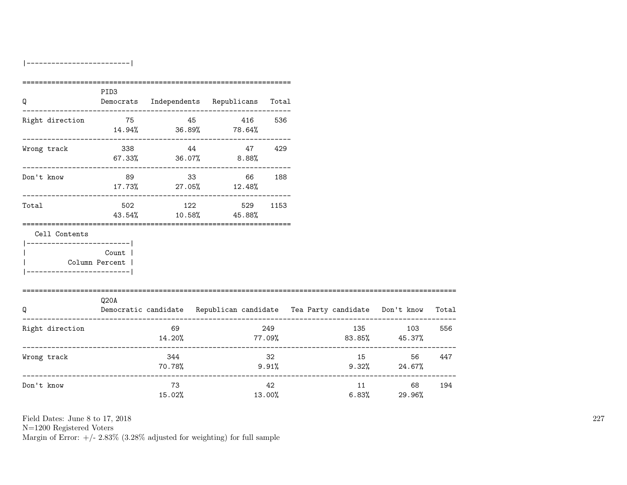|-------------------------|

|                                                                         | PID <sub>3</sub>                 |               |                                          |              |                                                                                |                                                    |     |
|-------------------------------------------------------------------------|----------------------------------|---------------|------------------------------------------|--------------|--------------------------------------------------------------------------------|----------------------------------------------------|-----|
| Q                                                                       |                                  |               | Democrats Independents Republicans Total |              |                                                                                |                                                    |     |
| Right direction 75 45 416                                               |                                  |               | $14.94\%$ 36.89% 78.64%                  | 536          |                                                                                |                                                    |     |
| Wrong track                                                             |                                  | $338$ 44 47   | $67.33\%$ $36.07\%$ $8.88\%$             | 429          |                                                                                |                                                    |     |
| Don't know                                                              | 89                               | 33            | 66<br>$17.73\%$ 27.05% $12.48\%$         | 188          |                                                                                |                                                    |     |
| Total                                                                   |                                  | 502 122       | 43.54% 10.58% 45.88%                     | 529 1153     |                                                                                |                                                    |     |
| Cell Contents<br>----------------------- <br>__________________________ | Count<br>Column Percent          |               |                                          |              |                                                                                |                                                    |     |
| =================================<br>Q                                  | Q20A                             |               |                                          |              | Democratic candidate Republican candidate Tea Party candidate Don't know Total |                                                    |     |
| Right direction<br>_________________________________                    |                                  | 69<br>14.20%  |                                          | 249          | $77.09\%$ 83.85% 45.37%<br>.________________________                           | 135 103                                            | 556 |
| Wrong track                                                             | ________________________________ | 344<br>70.78% |                                          | 32<br>9.91%  | $9.32\%$ 24.67%                                                                | 15 and $\overline{15}$<br>56 —                     | 447 |
| Don't know                                                              |                                  | 73<br>15.02%  |                                          | 42<br>13.00% |                                                                                | ______________________<br>11 68<br>$6.83\%$ 29.96% | 194 |

Field Dates: June 8 to 17, 2018

N=1200 Registered Voters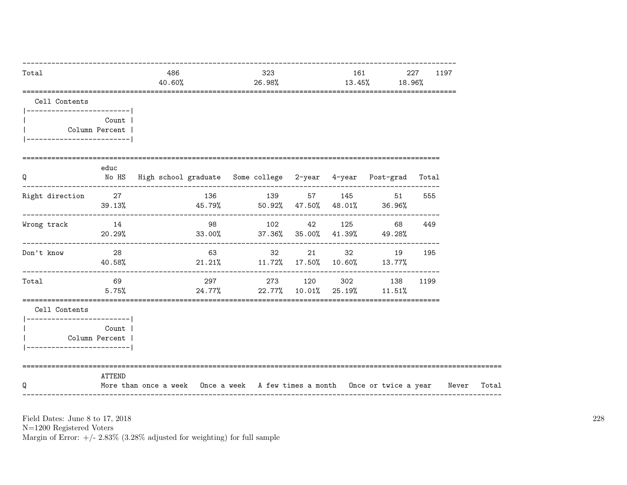| Total                                       |                           | 486<br>40.60%                                                                    |     | 323<br>26.98%                      |                                | 161<br>$13.45\%$ 18.96% | 227 | 1197 |  |
|---------------------------------------------|---------------------------|----------------------------------------------------------------------------------|-----|------------------------------------|--------------------------------|-------------------------|-----|------|--|
| Cell Contents<br> ------------------------- |                           |                                                                                  |     |                                    |                                |                         |     |      |  |
| ------------------------                    | Count  <br>Column Percent |                                                                                  |     |                                    |                                |                         |     |      |  |
| Q                                           | educ                      | No HS High school graduate Some college 2-year 4-year Post-grad Total            |     |                                    |                                |                         |     |      |  |
| Right direction 27                          | 39.13%                    | $45.79\%$ 50.92% $47.50\%$ $48.01\%$ 36.96%                                      |     | 136 139 57 145 51                  |                                |                         |     | 555  |  |
| Wrong track                                 | 14<br>20.29%              | $33.00\%$ $37.36\%$ $35.00\%$ $41.39\%$ $49.28\%$                                | 98  | 102                                | ------------------------------ | 42 125 68               |     | 449  |  |
| Don't know                                  | $\sim$ 28<br>40.58%       | $21.21\%$ $11.72\%$ $17.50\%$ $10.60\%$ $13.77\%$                                | 63  |                                    | 32 21 32 19                    |                         |     | 195  |  |
| Total                                       | 69<br>5.75%               |                                                                                  | 297 | 24.77% 22.77% 10.01% 25.19% 11.51% | 273 120 302 138                |                         |     | 1199 |  |
| Cell Contents<br> ------------------------- | Count                     |                                                                                  |     |                                    |                                |                         |     |      |  |
| ________________________                    | Column Percent            |                                                                                  |     |                                    |                                |                         |     |      |  |
| Q                                           | ATTEND                    | More than once a week Once a week A few times a month Once or twice a year Never |     |                                    |                                |                         |     |      |  |

N=1200 Registered Voters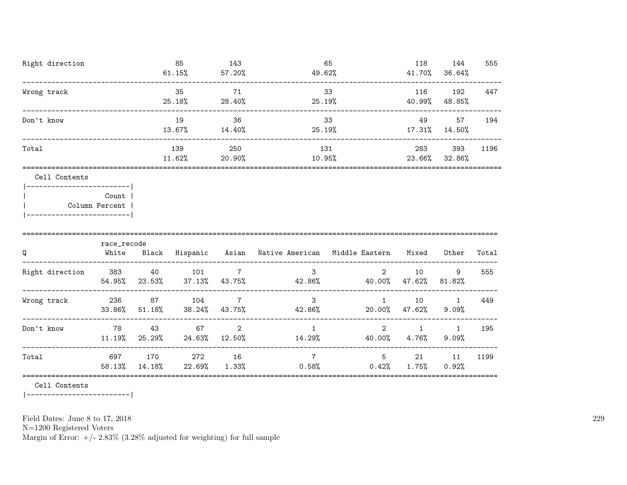| Right direction | 85     | 143       | 65     | 118    | 144    | 555  |
|-----------------|--------|-----------|--------|--------|--------|------|
|                 | 61.15% | $57.20\%$ | 49.62% | 41.70% | 36.64% |      |
| Wrong track     | 35     | 71        | 33     | 116    | 192    | 447  |
|                 | 25.18% | 28.40%    | 25.19% | 40.99% | 48.85% |      |
| Don't know      | 19     | 36        | 33     | 49     | 57     | 194  |
|                 | 13.67% | 14.40%    | 25.19% | 17.31% | 14.50% |      |
| Total           | 139    | 250       | 131    | 283    | 393    | 1196 |
|                 | 11.62% | 20.90%    | 10.95% | 23.66% | 32.86% |      |
| Cell Contents   |        |           |        |        |        |      |

| Count          |  |
|----------------|--|
| Column Percent |  |
|                |  |

| Q               | race_recode<br>White | Black         | Hispanic      | Asian                    | Native American | Middle Eastern | Mixed        | Other         | Total |  |  |
|-----------------|----------------------|---------------|---------------|--------------------------|-----------------|----------------|--------------|---------------|-------|--|--|
| Right direction | 383<br>54.95%        | 40<br>23.53%  | 101<br>37.13% | 7<br>43.75%              | 3<br>42.86%     | 2<br>40.00%    | 10<br>47.62% | 9<br>81.82%   | 555   |  |  |
| Wrong track     | 236<br>33.86%        | 87<br>51.18%  | 104<br>38.24% | $\overline{7}$<br>43.75% | 3<br>42.86%     | 20.00%         | 10<br>47.62% | $9.09\%$      | 449   |  |  |
| Don't know      | 78<br>11.19%         | 43<br>25.29%  | 67<br>24.63%  | 2<br>12.50%              | 14.29%          | 2<br>40.00%    | 4.76%        | 1<br>$9.09\%$ | 195   |  |  |
| Total           | 697<br>58.13%        | 170<br>14.18% | 272<br>22.69% | 16<br>1.33%              | 7<br>0.58%      | 5<br>0.42%     | 21<br>1.75%  | 11<br>0.92%   | 1199  |  |  |

|-------------------------|

Field Dates: June 8 to 17, 2018

N=1200 Registered Voters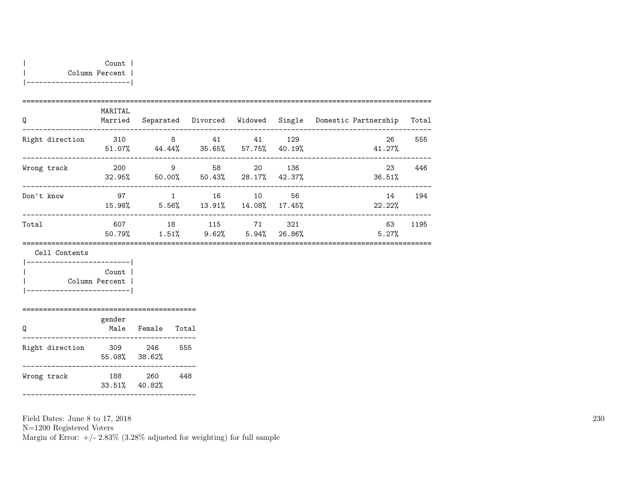| Q               | MARITAL<br>Married |                       | Separated Divorced Widowed |                     |                 | Single Domestic Partnership | Total |
|-----------------|--------------------|-----------------------|----------------------------|---------------------|-----------------|-----------------------------|-------|
| Right direction | 310<br>51.07%      | 8<br>44.44%           | 41                         | 41<br>35.65% 57.75% | 129<br>40.19%   | 26<br>41.27%                | 555   |
| Wrong track     | 200<br>32.95%      | 9<br>50.00%           | 58<br>50.43%               | -20<br>28.17%       | 136<br>42.37%   | 23<br>36.51%                | 446   |
| Don't know      | 97<br>15.98%       | $\mathbf{1}$<br>5.56% | 16<br>13.91%               | 10<br>14.08%        | 56<br>17.45%    | 14<br>22.22%                | 194   |
| Total           | 607<br>50.79%      | 18<br>1.51%           | 115<br>9.62%               | 71<br>5.94%         | - 321<br>26.86% | 63<br>5.27%                 | 1195  |

| Count          |  |
|----------------|--|
| Column Percent |  |
|                |  |

|                 | gender        |               |       |  |  |  |  |  |  |  |  |
|-----------------|---------------|---------------|-------|--|--|--|--|--|--|--|--|
|                 | Male          | Female        | Total |  |  |  |  |  |  |  |  |
| Right direction | 309<br>55.08% | 246<br>38.62% | 555   |  |  |  |  |  |  |  |  |
| Wrong track     | 188<br>33.51% | 260<br>40.82% | 448   |  |  |  |  |  |  |  |  |

------------------------------------------

Field Dates: June 8 to 17, 2018 N=1200 Registered Voters Margin of Error:  $+/- 2.83\%$  (3.28% adjusted for weighting) for full sample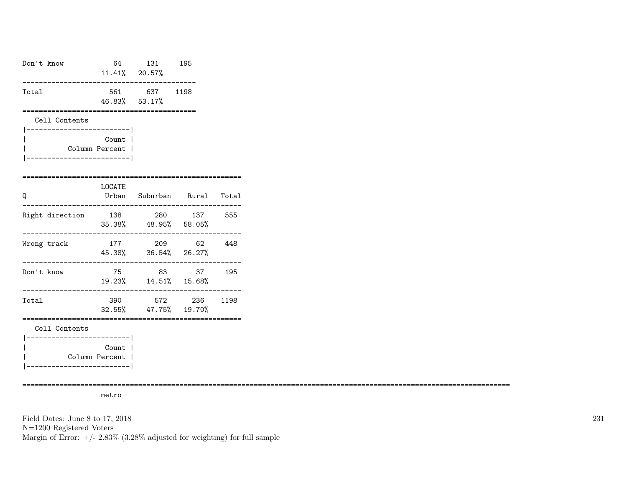| Don't know                                  |                                                | 64 131 195<br>11.41% 20.57%                                                       |                  |  |
|---------------------------------------------|------------------------------------------------|-----------------------------------------------------------------------------------|------------------|--|
| Total                                       |                                                | 561 637 1198<br>46.83% 53.17%                                                     |                  |  |
| Cell Contents<br>-------------------------- |                                                |                                                                                   |                  |  |
|                                             | Count  <br>Column Percent  <br>--------------- |                                                                                   |                  |  |
| Q                                           | LOCATE<br>_______________                      | Urban Suburban Rural Total                                                        |                  |  |
| Right direction                             |                                                | 138 280 137 555<br>$35.38\%$ $48.95\%$ $58.05\%$                                  |                  |  |
| Wrong track<br>--------------------------   | 177                                            | 209 62 448<br>45.38% 36.54% 26.27%                                                | ________________ |  |
| Don't know                                  | 75                                             | $19.23\% \qquad 14.51\% \qquad 15.68\%$                                           | 83 37 195        |  |
| Total                                       |                                                | 390 572 236 1198<br>32.55% 47.75% 19.70%<br>------------------------------------- |                  |  |
| Cell Contents<br>_______________________    |                                                |                                                                                   |                  |  |
|                                             | Count  <br>Column Percent  <br>--------------- |                                                                                   |                  |  |

======================================================================================================================

metro

Field Dates: June 8 to 17, 2018 N=1200 Registered Voters Margin of Error:  $+/- 2.83\%$  (3.28% adjusted for weighting) for full sample 231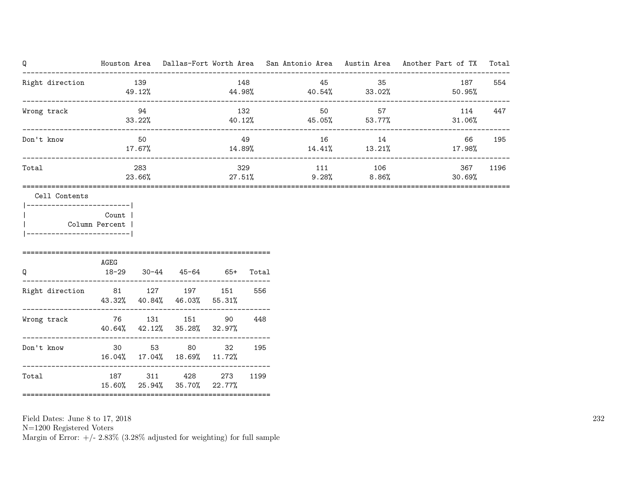| Q                                              |       |               |                             |     |       |                                     |         | Houston Area Dallas-Fort Worth Area San Antonio Area Austin Area Another Part of TX | Total |
|------------------------------------------------|-------|---------------|-----------------------------|-----|-------|-------------------------------------|---------|-------------------------------------------------------------------------------------|-------|
| Right direction                                | 139   | 49.12%        |                             |     | 148   | $44.98\%$ $40.54\%$ $33.02\%$       | 45 35   | 187<br>50.95%                                                                       | 554   |
| Wrong track                                    |       | 94<br>33.22%  |                             | 132 |       | 50<br>$40.12\%$ $45.05\%$ $53.77\%$ | 57      | 114<br>$31.06\%$                                                                    | 447   |
| Don't know                                     |       | 50<br>17.67%  |                             |     | 49    | 16                                  | 14      | 66<br>$14.89\%$ $14.41\%$ $13.21\%$ $17.98\%$                                       | 195   |
| Total                                          |       | 283<br>23.66% |                             |     | 329   | $27.51\%$ 9.28% 8.86%               | 111 106 | 367<br>30.69%                                                                       | 1196  |
| Cell Contents<br> --------------------------   |       |               |                             |     |       |                                     |         |                                                                                     |       |
| Column Percent  <br> ------------------------- | Count |               |                             |     |       |                                     |         |                                                                                     |       |
| Q                                              | AGEG  |               | 18-29 30-44 45-64 65+       |     | Total |                                     |         |                                                                                     |       |
| Right direction 81 127 197 151                 |       |               | 43.32% 40.84% 46.03% 55.31% |     | 556   |                                     |         |                                                                                     |       |
| Wrong track $76$ 131 151 90 448                |       |               |                             |     |       |                                     |         |                                                                                     |       |

N=1200 Registered Voters

Margin of Error:  $+/- 2.83\%$  (3.28% adjusted for weighting) for full sample

40.64% 42.12% 35.28% 32.97%

16.04% 17.04% 18.69% 11.72%

15.60% 25.94% 35.70% 22.77%

------------------------------------------------------------ Don't know 30 53 80 32 195

------------------------------------------------------------ Total 187 311 428 273 1199

============================================================

232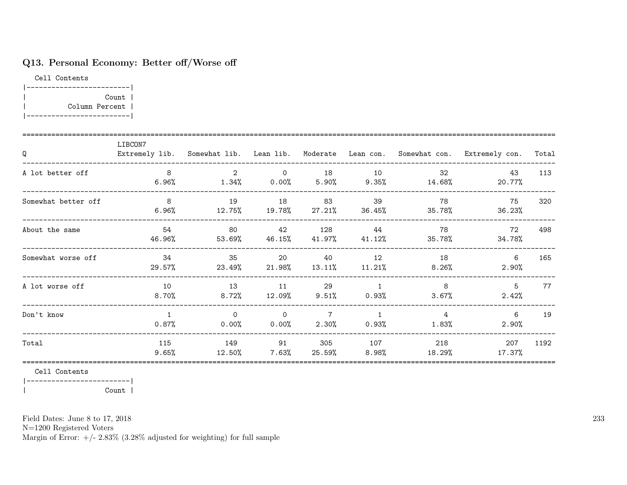# Q13. Personal Economy: Better off/Worse off

Cell Contents |-------------------------| | Count | | Column Percent | |-------------------------|

| Q                   | LIBCON7                    |                                      |                 |                  |                                                    |                                         | Extremely lib. Somewhat lib. Lean lib. Moderate Lean con. Somewhat con. Extremely con. | Total |
|---------------------|----------------------------|--------------------------------------|-----------------|------------------|----------------------------------------------------|-----------------------------------------|----------------------------------------------------------------------------------------|-------|
| A lot better off    | 8<br>6.96%                 | $\overline{2}$                       | $\overline{0}$  | 18               | 10                                                 | 32<br>$1.34\%$ 0.00% 5.90% 9.35% 14.68% | 43<br>20.77%                                                                           | 113   |
| Somewhat better off | 8 <sup>8</sup><br>$6.96\%$ | 19<br>12.75%  19.78%  27.21%  36.45% | 18              | 83               | 39                                                 | 78<br>35.78%                            | 75<br>36.23%                                                                           | 320   |
| About the same      | 54<br>46.96%               | 80<br>53.69%                         | 42<br>$46.15\%$ | 128              | 44<br>$41.97\%$ $41.12\%$                          | 78<br>35.78%                            | 72<br>34.78%                                                                           | 498   |
| Somewhat worse off  | 34<br>29.57%               | 35<br>23.49%                         | 20<br>21.98%    | 40               | 12<br>13.11% 11.21%                                | 18<br>$8.26\%$                          | 6<br>$2.90\%$                                                                          | 165   |
| A lot worse off     | 10<br>8.70%                | 13                                   |                 | 29<br>11 \,      | $\mathbf{1}$<br>$8.72\%$ $12.09\%$ $9.51\%$ 0.93\% | 8<br>$3.67\%$                           | 5<br>2.42%                                                                             | 77    |
| Don't know          | $\overline{1}$<br>0.87%    | $\Omega$<br>0.00%                    | $\overline{0}$  | $7\overline{ }$  | $0.00\%$ 2.30% 0.93%                               | $\overline{4}$<br>$1.83\%$              | 6<br>2.90%                                                                             | 19    |
| Total               | 115<br>$9.65\%$            | 149<br>$12.50\%$                     | 91<br>$7.63\%$  | 305<br>$25.59\%$ | 107<br>8.98%                                       | 218<br>18.29%                           | 207<br>17.37%                                                                          | 1192  |

Cell Contents

|-------------------------| | Count |

Field Dates: June 8 to 17, 2018

N=1200 Registered Voters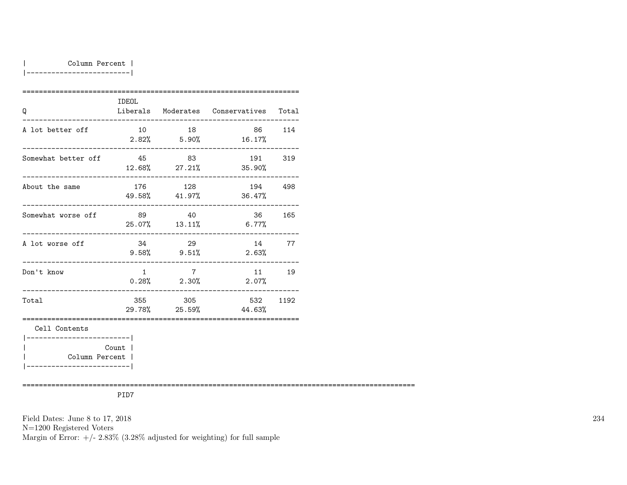#### | Column Percent |

|-------------------------|

|                                              | <b>IDEOL</b>   |                                   |                                        |     |
|----------------------------------------------|----------------|-----------------------------------|----------------------------------------|-----|
| Q                                            |                |                                   | Liberals Moderates Conservatives Total |     |
| A lot better off                             | 10             | 18                                | 86<br>$2.82\%$ 5.90% 16.17%            | 114 |
| Somewhat better off 545                      |                | 83                                | 191 319<br>12.68% 27.21% 35.90%        |     |
| About the same                               |                | 176 128<br>49.58% 41.97%          | 194 498<br>36.47%                      |     |
| Somewhat worse off                           | 89             | 40                                | 36 36<br>$25.07\%$ 13.11\% 6.77\%      | 165 |
| A lot worse off                              | 34             | 29<br>$9.58\%$ $9.51\%$           | 14<br>2.63%                            | 77  |
| Don't know                                   | $\overline{1}$ | $7\overline{7}$<br>$0.28\%$ 2.30% | 11 19<br>2.07%                         |     |
| Total                                        |                | 355 305                           | 532 1192<br>29.78% 25.59% 44.63%       |     |
| Cell Contents                                |                |                                   |                                        |     |
| Column Percent  <br>________________________ | Count          |                                   |                                        |     |

===============================================================================================

PID7

Field Dates: June 8 to 17, 2018

N=1200 Registered Voters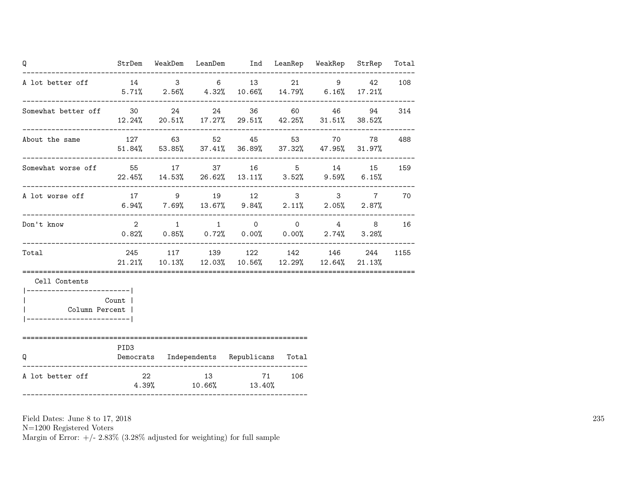| Q                                                             |                  |  | StrDem WeakDem LeanDem Ind LeanRep WeakRep StrRep                                                                           |     |  | Total |
|---------------------------------------------------------------|------------------|--|-----------------------------------------------------------------------------------------------------------------------------|-----|--|-------|
| A lot better off 14 3 6 13 21 9 42                            |                  |  | $5.71\%$ 2.56% $4.32\%$ 10.66% 14.79% 6.16% 17.21%                                                                          |     |  | 108   |
| Somewhat better off 30 24 24 36 60 46 94 314                  |                  |  | $12.24\%$ 20.51% 17.27% 29.51% 42.25% 31.51% 38.52%                                                                         |     |  |       |
| About the same                                                |                  |  | 127 63 52 45 53 70 78 488<br>$51.84\%$ $53.85\%$ $37.41\%$ $36.89\%$ $37.32\%$ $47.95\%$ $31.97\%$                          |     |  |       |
| Somewhat worse off 55 17 37 16 5 14 15                        |                  |  | $22.45\%$ 14.53% 26.62% 13.11% 3.52% 9.59% 6.15%                                                                            |     |  | 159   |
| A lot worse off<br>------------------------                   |                  |  | 17 9 19 12 3 3 7<br>$6.94\%$ $7.69\%$ $13.67\%$ $9.84\%$ $2.11\%$ $2.05\%$ $2.87\%$                                         |     |  | 70    |
| Don't know                                                    |                  |  | $2 \qquad 1 \qquad 1 \qquad 0 \qquad 0 \qquad 4 \qquad 8$<br>$0.82\%$ $0.85\%$ $0.72\%$ $0.00\%$ $0.00\%$ $2.74\%$ $3.28\%$ |     |  | 16    |
| Total                                                         |                  |  | 245 117 139 122 142 146 244<br>$21.21\%$ $10.13\%$ $12.03\%$ $10.56\%$ $12.29\%$ $12.64\%$ $21.13\%$                        |     |  | 1155  |
| Cell Contents<br> ------------------------ <br>Column Percent | Count            |  |                                                                                                                             |     |  |       |
| Q                                                             | PID <sub>3</sub> |  | Democrats Independents Republicans Total                                                                                    |     |  |       |
| A lot better off                                              |                  |  | 22 13 71<br>$4.39\%$ $10.66\%$ $13.40\%$                                                                                    | 106 |  |       |

N=1200 Registered Voters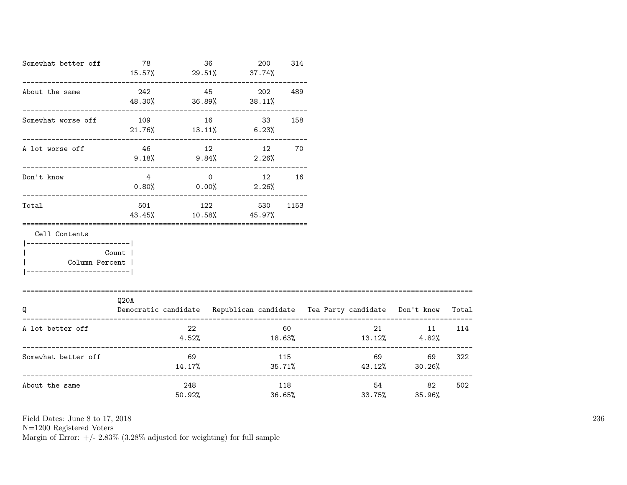| Somewhat better off 78                                       |                                  | $15.57\%$ 29.51% 37.74%                | 36    | 200 | 314  |                                                                                |                        |     |
|--------------------------------------------------------------|----------------------------------|----------------------------------------|-------|-----|------|--------------------------------------------------------------------------------|------------------------|-----|
| About the same                                               | 242                              | 48.30% 36.89% 38.11%                   | 45    | 202 | 489  |                                                                                |                        |     |
| Somewhat worse off                                           | 109<br>$21.76\%$ $13.11\%$ 6.23% |                                        | 16 33 |     | 158  |                                                                                |                        |     |
| A lot worse off                                              |                                  | 46 12 12<br>$9.18\%$ $9.84\%$ $2.26\%$ |       |     | 70   |                                                                                |                        |     |
| Don't know                                                   |                                  | 4 0 12 16<br>$0.80\%$ 0.00% 2.26%      |       |     |      |                                                                                |                        |     |
| Total                                                        | 43.45%                           | 501 122 530<br>$10.58\%$ 45.97%        |       |     | 1153 |                                                                                |                        |     |
| Cell Contents<br>------------------------ <br>Column Percent | Count                            |                                        |       |     |      |                                                                                |                        |     |
| =============================<br>Q                           | Q20A                             |                                        |       |     |      | Democratic candidate Republican candidate Tea Party candidate Don't know Total |                        |     |
| A lot better off                                             |                                  | 22<br>4.52%                            |       |     | 60   | 21 —<br>$18.63\%$ $13.12\%$ $4.82\%$                                           | 11 114                 |     |
| Somewhat better off                                          |                                  | 69<br>14.17%                           |       |     | 115  | $35.71\%$ $43.12\%$ $30.26\%$                                                  | 69 — 100<br>69 —       | 322 |
| About the same                                               |                                  | 248<br>50.92%                          |       |     | 118  | 33.75%<br>36.65%                                                               | 54 7<br>82 —<br>35.96% | 502 |

N=1200 Registered Voters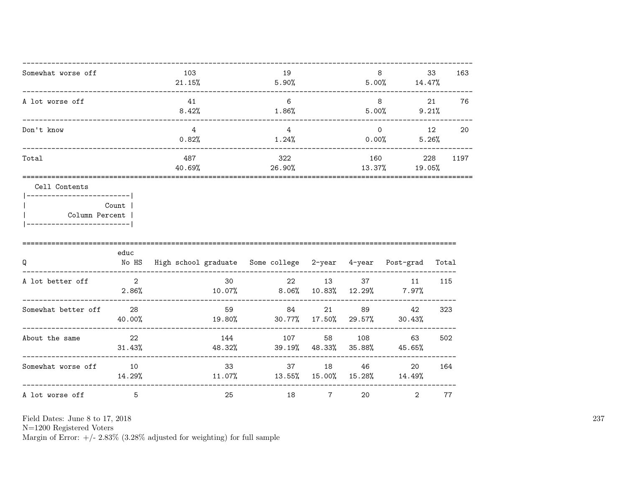| Somewhat worse off | 103<br>21.15% | 19<br>5.90%   | 8<br>5.00%        | 33<br>14.47%  | 163  |
|--------------------|---------------|---------------|-------------------|---------------|------|
| A lot worse off    | 41<br>8.42%   | 6<br>1.86%    | 8<br>5.00%        | 21<br>9.21%   | 76   |
| Don't know         | 4<br>0.82%    | 4<br>1.24%    | $\Omega$<br>0.00% | 12<br>5.26%   | 20   |
| Total              | 487<br>40.69% | 322<br>26.90% | 160<br>13.37%     | 228<br>19.05% | 1197 |

| -------------------- |  |
|----------------------|--|
| Count 1              |  |
| Column Percent       |  |

|  |  |  | ---------------------- | ___ |  |
|--|--|--|------------------------|-----|--|
|  |  |  |                        |     |  |

| Q                   | educ<br>No HS            | High school graduate Some college 2-year 4-year |               |                |               | Post-grad      | Total |
|---------------------|--------------------------|-------------------------------------------------|---------------|----------------|---------------|----------------|-------|
| A lot better off    | $\mathbf{2}$<br>$2.86\%$ | 30<br>10.07%                                    | 22<br>8.06%   | 13<br>10.83%   | 37<br>12.29%  | 11<br>7.97%    | 115   |
| Somewhat better off | 28<br>40.00%             | 59<br>19.80%                                    | 84<br>30.77%  | 21<br>17.50%   | 89<br>29.57%  | 42<br>30.43%   | 323   |
| About the same      | -22<br>31.43%            | 144<br>48.32%                                   | 107<br>39.19% | 58<br>48.33%   | 108<br>35.88% | 63<br>45.65%   | 502   |
| Somewhat worse off  | 10<br>14.29%             | 33<br>11.07%                                    | 37<br>13.55%  | 18<br>15.00%   | 46<br>15.28%  | 20<br>14.49%   | 164   |
| A lot worse off     | 5                        | 25                                              | 18            | $\overline{7}$ | 20            | $\mathfrak{D}$ | 77    |

Field Dates: June 8 to 17, 2018

N=1200 Registered Voters<br>Margin of Error: +/- 2.83% (3.28% adjusted for weighting) for full sample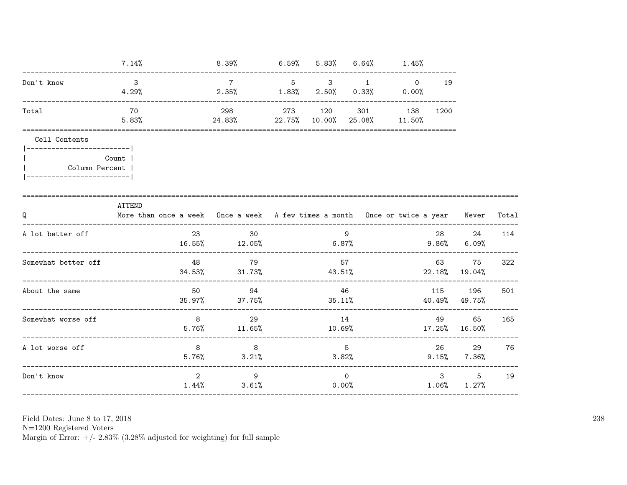|                                                              | 7.14%        | 8.39%                                                                            |                                                                 |        |          | $6.59\%$ $5.83\%$ $6.64\%$ $1.45\%$ |      |                            |       |
|--------------------------------------------------------------|--------------|----------------------------------------------------------------------------------|-----------------------------------------------------------------|--------|----------|-------------------------------------|------|----------------------------|-------|
| Don't know                                                   | - 3<br>4.29% |                                                                                  | $7\phantom{0}7$<br>$2.35\%$ $1.83\%$ $2.50\%$ $0.33\%$ $0.00\%$ |        | 5 3 1    | $\circ$                             | 19   |                            |       |
| Total                                                        | 70<br>5.83%  |                                                                                  | 298 273 120<br>$24.83\%$ 22.75% 10.00% 25.08% 11.50%            |        |          | 301 138                             | 1200 |                            |       |
| Cell Contents<br>Column Percent<br>------------------------- | Count        |                                                                                  |                                                                 |        |          |                                     |      |                            |       |
| Q                                                            | ATTEND       | More than once a week Once a week A few times a month Once or twice a year Mever |                                                                 |        |          |                                     |      |                            | Total |
| A lot better off                                             |              |                                                                                  | 23 30<br>$16.55\%$ $12.05\%$ $6.87\%$ $9.86\%$ $6.09\%$         |        | 9        |                                     |      | 28 24                      | 114   |
| Somewhat better off                                          |              | 48                                                                               | 79<br>$34.53\%$ $31.73\%$                                       |        | 57       | $43.51\%$ 22.18% 19.04%             |      | 63 75                      | 322   |
| About the same                                               |              |                                                                                  | 50 94<br>$35.97\%$ 37.75% 35.11% 40.49% 49.75%                  |        | 46       |                                     |      | 115 196                    | 501   |
| Somewhat worse off                                           |              |                                                                                  | 8 29<br>$5.76\%$ $11.65\%$                                      | 10.69% | 14       |                                     | 49   | 65<br>17.25% 16.50%        | 165   |
| A lot worse off                                              |              | 8 <sup>1</sup>                                                                   | $5.76\%$ $3.21\%$                                               |        | 5        | 3.82%                               |      | 26 29<br>$9.15\%$ $7.36\%$ | 76    |
| Don't know                                                   |              | $2^{\circ}$                                                                      | 9<br>$1.44\%$ $3.61\%$ 0.00%                                    |        | $\Omega$ |                                     |      | 355<br>$1.06\%$ $1.27\%$   | 19    |

N=1200 Registered Voters<br>Margin of Error:  $+/- 2.83\%$  (3.28% adjusted for weighting) for full sample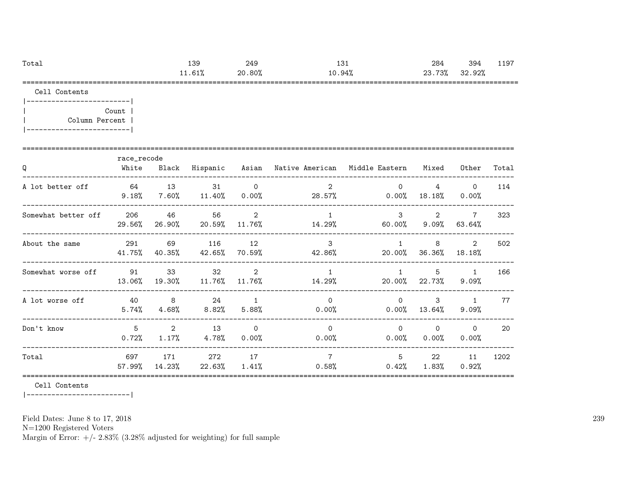| Total | $\sim$<br>ن ب⊥ | 249    | ⊥∪⊥       | 284              | 394        | ᅩᅩ         |
|-------|----------------|--------|-----------|------------------|------------|------------|
|       | 11.01/         | 20.80% | ۹∆°<br>τV | 73%<br>ົດລ<br>∠◡ | 92%<br>n c |            |
|       |                |        |           |                  |            | ---------- |

|-------------------------| | Count | | Column Percent | |-------------------------|

|                     | race_recode   |                         |                 |                            |                                  |                        |                            |                          |       |
|---------------------|---------------|-------------------------|-----------------|----------------------------|----------------------------------|------------------------|----------------------------|--------------------------|-------|
| Q                   | White         | Black                   | Hispanic        | Asian                      | Native American – Middle Eastern |                        | Mixed                      | Other                    | Total |
| A lot better off    | 64<br>9.18%   | 13<br>7.60%             | 31<br>$11.40\%$ | $\overline{0}$<br>$0.00\%$ | $\overline{2}$<br>28.57%         | $\Omega$<br>0.00%      | $\overline{4}$<br>18.18%   | $\Omega$<br>0.00%        | 114   |
| Somewhat better off | 206<br>29.56% | 46<br>26.90%            | 56<br>20.59%    | $\overline{2}$<br>11.76%   | $\mathbf{1}$<br>14.29%           | 3<br>60.00%            | $\overline{2}$<br>$9.09\%$ | $\overline{7}$<br>63.64% | 323   |
| About the same      | 291<br>41.75% | 69<br>40.35%            | 116<br>42.65%   | 12<br>70.59%               | 3<br>42.86%                      | $\mathbf{1}$<br>20.00% | 8<br>36.36%                | 2<br>18.18%              | 502   |
| Somewhat worse off  | 91<br>13.06%  | 33<br>19.30%            | 32<br>11.76%    | $\overline{2}$<br>11.76%   | $\mathbf{1}$<br>14.29%           | $\mathbf{1}$<br>20.00% | 5<br>22.73%                | $\mathbf{1}$<br>$9.09\%$ | 166   |
| A lot worse off     | 40<br>5.74%   | 8<br>$4.68\%$           | 24<br>$8.82\%$  | $\overline{1}$<br>5.88%    | $\Omega$<br>0.00%                | $\Omega$<br>$0.00\%$   | 3<br>13.64%                | $\mathbf{1}$<br>$9.09\%$ | 77    |
| Don't know          | 5<br>$0.72\%$ | $\overline{2}$<br>1.17% | 13<br>4.78%     | $\Omega$<br>0.00%          | $\Omega$<br>0.00%                | $\Omega$<br>$0.00\%$   | $\Omega$<br>$0.00\%$       | $\Omega$<br>0.00%        | 20    |
| Total               | 697<br>57.99% | 171<br>14.23%           | 272<br>22.63%   | 17<br>1.41%                | $\overline{7}$<br>0.58%          | 5<br>0.42%             | 22<br>1.83%                | 11<br>0.92%              | 1202  |

Cell Contents

|-------------------------|

Field Dates: June 8 to 17, 2018

N=1200 Registered Voters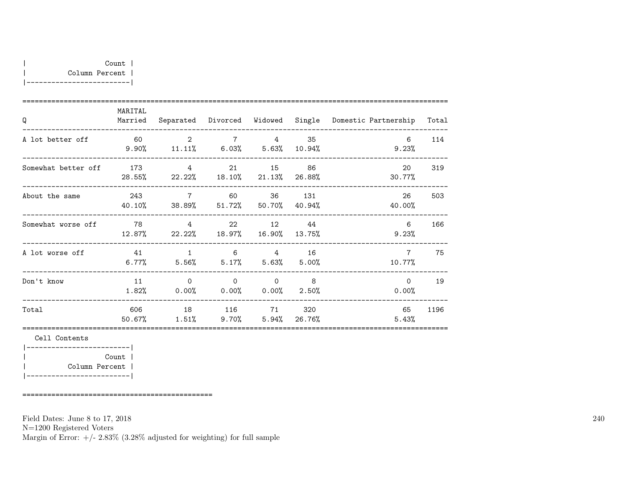| Q                   | MARITAL<br>Married |                                             |                         |                                              |                         | Separated Divorced Widowed Single Domestic-Partnership Total |      |
|---------------------|--------------------|---------------------------------------------|-------------------------|----------------------------------------------|-------------------------|--------------------------------------------------------------|------|
| A lot better off    |                    | 60 2<br>$9.90\%$ 11.11% 6.03% 5.63% 10.94%  |                         | 7 4                                          | 35                      | 6<br>$9.23\%$                                                | 114  |
| Somewhat better off |                    | 173 4<br>28.55% 22.22% 18.10% 21.13% 26.88% |                         |                                              | 15 86                   | 20<br>30.77%                                                 | 319  |
| About the same      | 40.10%             | 243 7<br>38.89% 51.72% 50.70% 40.94%        | 60 60                   |                                              | 36 131                  | 26<br>40.00%                                                 | 503  |
| Somewhat worse off  | 78                 | $\overline{4}$<br>$12.87\%$ 22.22%          |                         | 22 12 44<br>18.97% 16.90% 13.75%             |                         | 6<br>9.23%                                                   | 166  |
| A lot worse off     | 41<br>$6.77\%$     | $5.56\%$ $5.17\%$                           | $1 \quad 6 \quad 4$     |                                              | 16<br>$5.63\%$ $5.00\%$ | $\overline{7}$<br>10.77%                                     | 75   |
| Don't know          | 11<br>1.82%        | $\overline{0}$<br>0.00%                     | $\overline{0}$<br>0.00% | $\begin{array}{ccc} & & 0 & & 8 \end{array}$ | $0.00\%$ 2.50%          | $\Omega$<br>0.00%                                            | 19   |
| Total               | 606<br>50.67%      | $1.51\%$ 9.70% 5.94% 26.76%                 | 18 116 71               |                                              | 320                     | 65<br>5.43%                                                  | 1196 |
|                     |                    |                                             |                         |                                              |                         |                                                              |      |

|-------------------------| | Count | | Column Percent | |-------------------------|

==============================================

Field Dates: June 8 to 17, 2018

N=1200 Registered Voters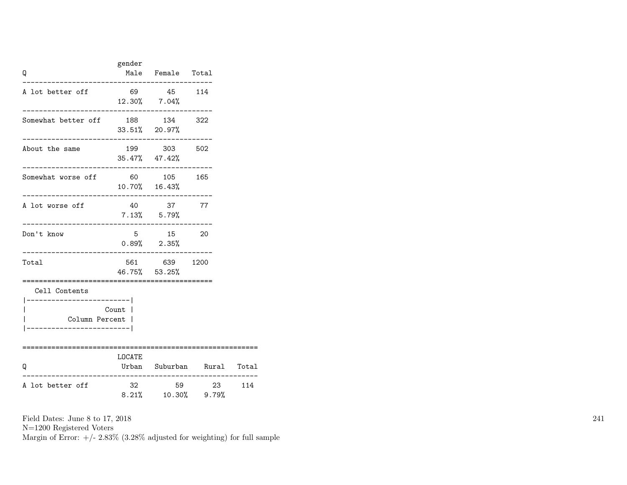| Q                                                                        | gender                      | Male Female Total                          |       |     |
|--------------------------------------------------------------------------|-----------------------------|--------------------------------------------|-------|-----|
| A lot better off                                                         |                             | 69 45 114<br>$12.30\%$ 7.04%               |       |     |
| Somewhat better off 188 134 322                                          | 33.51% 20.97%               |                                            |       |     |
| About the same                                                           |                             | 199 303 502<br>$35.47\%$ $47.42\%$         |       |     |
| Somewhat worse off<br>_____________________                              | 60 105 165<br>10.70% 16.43% |                                            |       |     |
| A lot worse off<br>--------------------------------                      |                             | 40 37 77<br>$7.13\%$ 5.79%                 |       |     |
| Don't know<br>--------------------------------                           |                             | 5 15<br>$0.89%$ 2.35%                      | 20    |     |
| Total                                                                    | 46.75% 53.25%               | 561 639 1200<br>========================== |       |     |
| Cell Contents<br>--------------- <br>Column Percent  <br>_______________ | Count                       |                                            |       |     |
| Q                                                                        | LOCATE                      | Urban Suburban Rural Total                 |       |     |
| A lot better off                                                         | 32                          | $8.21\%$ 10.30% 9.79%                      | 59 23 | 114 |

N=1200 Registered Voters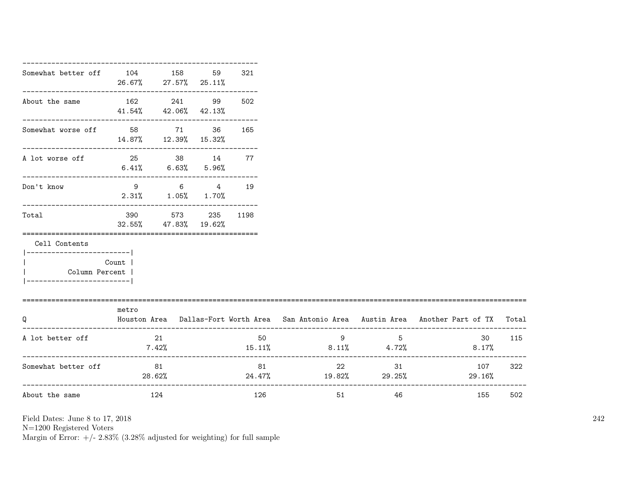| Somewhat better off 104 158                |                                             | 26.67% 27.57% 25.11%                              | 59 | 321 |                                        |                                               |                                                                                           |     |
|--------------------------------------------|---------------------------------------------|---------------------------------------------------|----|-----|----------------------------------------|-----------------------------------------------|-------------------------------------------------------------------------------------------|-----|
| About the same                             | 162 241 99<br>$41.54\%$ $42.06\%$ $42.13\%$ |                                                   |    | 502 |                                        |                                               |                                                                                           |     |
| Somewhat worse off 58 71 36                |                                             |                                                   |    | 165 |                                        |                                               |                                                                                           |     |
| A lot worse off                            | 25 38 14 77<br>$6.41\%$ $6.63\%$ $5.96\%$   |                                                   |    |     |                                        |                                               |                                                                                           |     |
| ------------------------<br>Don't know     |                                             | 9 6 4 19<br>$2.31\%$ $1.05\%$ $1.70\%$            |    |     |                                        |                                               |                                                                                           |     |
| Total                                      |                                             | 390 573 235 1198<br>$32.55\%$ $47.83\%$ $19.62\%$ |    |     |                                        |                                               |                                                                                           |     |
| Cell Contents<br>-----------------------   |                                             |                                                   |    |     |                                        |                                               |                                                                                           |     |
| Column Percent  <br>______________________ | Count                                       |                                                   |    |     |                                        |                                               |                                                                                           |     |
| Q                                          | metro                                       |                                                   |    |     |                                        |                                               | Houston Area Dallas-Fort Worth Area San Antonio Area Austin Area Another Part of TX Total |     |
| A lot better off                           | 7.42%                                       | 21                                                |    | 50  | $15.11\%$ 8.11\% 4.72\%                | $9 \left( \frac{1}{2} \right)$<br>$5^{\circ}$ | 30<br>$8.17\%$                                                                            | 115 |
| Somewhat better off                        | 81<br>28.62%                                |                                                   |    | 81  | 22 22<br>$24.47\%$ $19.82\%$ $29.25\%$ | 31                                            | 107 322<br>29.16%                                                                         |     |
| About the same                             | 124                                         |                                                   |    | 126 |                                        | 51 7<br>46                                    | 155                                                                                       | 502 |

N=1200 Registered Voters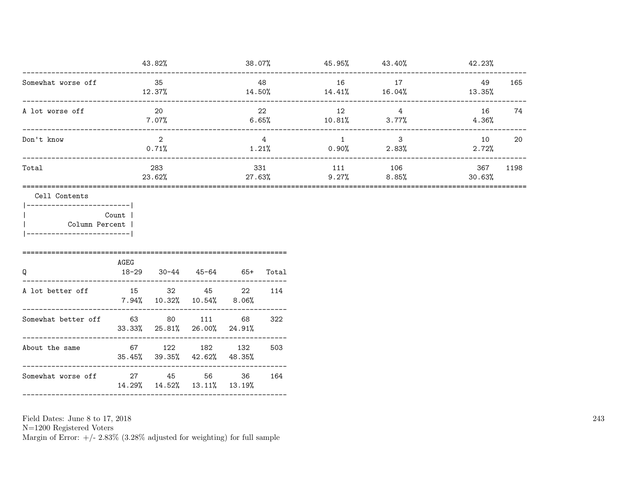| 43.82%     | 38.07%     | 45.95%    | 43.40%     | 42.23%      |      |
|------------|------------|-----------|------------|-------------|------|
| 35         | 48         | 16        | 17         | 49          | 165  |
| 12.37%     | 14.50%     | 14.41%    | 16.04%     | 13.35%      |      |
| 20         | 22         | 12        | 4          | 16          | 74   |
| 7.07%      | 6.65%      | $10.81\%$ | 3.77%      | 4.36%       |      |
| 2<br>0.71% | 4<br>1.21% | $0.90\%$  | 3<br>2.83% | 10<br>2.72% | 20   |
| 283        | 331        | 111       | 106        | 367         | 1198 |
| 23.62%     | 27.63%     | 9.27%     | 8.85%      | 30.63%      |      |
|            |            |           |            |             |      |

|-------------------------| | Count | | Column Percent | |-------------------------|

| Q                   | AGEG | 18-29 30-44 45-64                                         |        | 65+ | Total |
|---------------------|------|-----------------------------------------------------------|--------|-----|-------|
| A lot better off    |      | 15 32 45 22<br>$7.94\%$ 10.32\% 10.54\% 8.06\%            |        |     | 114   |
| Somewhat better off | 63   | $33.33\%$ $25.81\%$ $26.00\%$ $24.91\%$                   | 80 111 | 68  | 322   |
| About the same      |      | 67 122 182 132<br>$35.45\%$ $39.35\%$ $42.62\%$ $48.35\%$ |        |     | 503   |
| Somewhat worse off  |      | 27 45<br>14.29% 14.52% 13.11% 13.19%                      | 56 -   | 36  | 164   |
|                     |      |                                                           |        |     |       |

Field Dates: June 8 to 17, 2018

N=1200 Registered Voters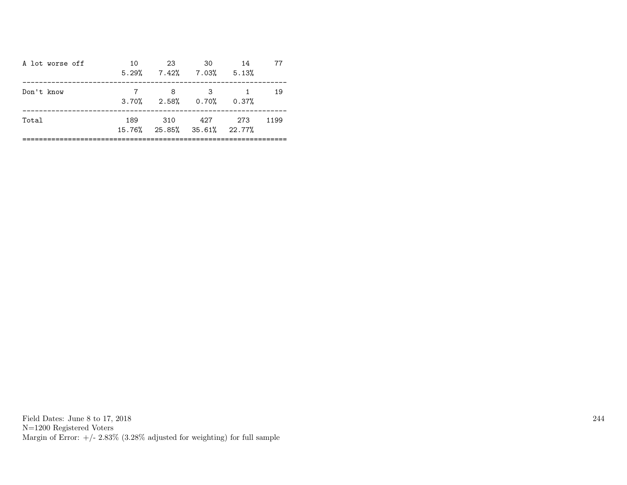| A lot worse off | 10  | 23<br>$5.29\%$ $7.42\%$ $7.03\%$ $5.13\%$  | .30                     | 14 | 77   |
|-----------------|-----|--------------------------------------------|-------------------------|----|------|
| Don't know      |     | - 8<br>$3.70\%$ $2.58\%$ $0.70\%$ $0.37\%$ | $\overline{\mathbf{3}}$ |    | 19   |
| Total           | 189 | 310 427 273<br>15.76% 25.85% 35.61% 22.77% |                         |    | 1199 |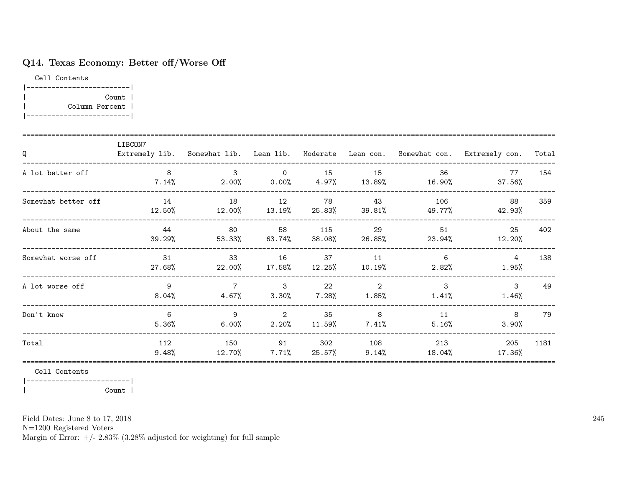## Q14. Texas Economy: Better off/Worse Off

Cell Contents |-------------------------| | Count | | Column Percent | |-------------------------|

| Q                   | LIBCON7       |                                  |                   |                 |                 |                          | Extremely lib. Somewhat lib. Lean lib. Moderate Lean con. Somewhat con. Extremely con. | Total |
|---------------------|---------------|----------------------------------|-------------------|-----------------|-----------------|--------------------------|----------------------------------------------------------------------------------------|-------|
| A lot better off    | 8<br>$7.14\%$ | 3<br>$2.00\%$ 0.00% 4.97% 13.89% | $\Omega$          | 15              | 15              | 36<br>16.90%             | 77<br>37.56%                                                                           | 154   |
| Somewhat better off | 14<br>12.50%  | 18<br>12.00%                     | 12<br>$13.19\%$   | 78<br>25.83%    | 43<br>39.81%    | 106<br>49.77%            | 88<br>42.93%                                                                           | 359   |
| About the same      | 44<br>39.29%  | 80<br>53.33%                     | 58<br>63.74%      | 115<br>38.08%   | 29<br>26.85%    | 51<br>23.94%             | 25<br>12.20%                                                                           | 402   |
| Somewhat worse off  | 31<br>27.68%  | 33<br>$22.00\%$                  | 16<br>17.58%      | 37<br>$12.25\%$ | 11<br>10.19%    | 6<br>2.82%               | $4\overline{ }$<br>$1.95\%$                                                            | 138   |
| A lot worse off     | 9<br>$8.04\%$ | $\overline{7}$<br>$4.67\%$       | $\sim$ 3<br>3.30% | 22<br>$7.28\%$  | 2<br>$1.85\%$   | $\mathbf{3}$<br>$1.41\%$ | $\mathbf{3}$<br>$1.46\%$                                                               | 49    |
| Don't know          | 6<br>5.36%    | 9<br>6.00%                       | 2<br>2.20%        | 35<br>11.59%    | 8<br>$7.41\%$   | 11<br>$5.16\%$           | 8<br>3.90%                                                                             | 79    |
| Total               | 112<br>9.48%  | 150<br>12.70%                    | 91<br>$7.71\%$    | 302<br>25.57%   | 108<br>$9.14\%$ | 213<br>18.04%            | 205<br>17.36%                                                                          | 1181  |

Cell Contents

|-------------------------|

| Count |

Field Dates: June 8 to 17, 2018

N=1200 Registered Voters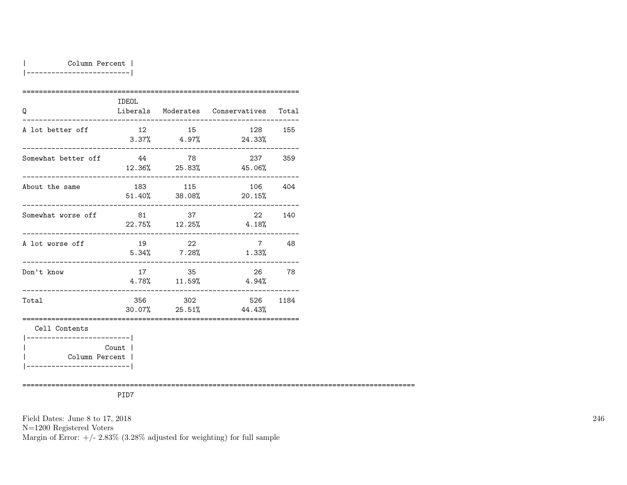#### | Column Percent |

|-------------------------|

| Q                                            | <b>IDEOL</b>                                                                                                                                                                                                                    |                          | Liberals Moderates Conservatives Total |         |
|----------------------------------------------|---------------------------------------------------------------------------------------------------------------------------------------------------------------------------------------------------------------------------------|--------------------------|----------------------------------------|---------|
| A lot better off                             | 12                                                                                                                                                                                                                              | 15                       | 128<br>$3.37\%$ 4.97% 24.33%           | 155     |
| Somewhat better off                          | 44                                                                                                                                                                                                                              | 78                       | 237<br>$12.36\%$ 25.83% 45.06%         | 359     |
| About the same                               | 183 — 183 — 184 — 185 — 186 — 187 — 187 — 188 — 188 — 188 — 188 — 188 — 188 — 188 — 188 — 188 — 188 — 188 — 188 — 188 — 188 — 188 — 188 — 188 — 188 — 188 — 188 — 188 — 188 — 188 — 188 — 188 — 188 — 188 — 188 — 188 — 188 — 1 | 115<br>$51.40\%$ 38.08%  | $20.15\%$                              | 106 404 |
| Somewhat worse off                           | 81                                                                                                                                                                                                                              | 37                       | 22<br>$22.75\%$ $12.25\%$ $4.18\%$     | 140     |
| A lot worse off                              | 19                                                                                                                                                                                                                              | 22<br>$5.34\%$ 7.28%     | $\overline{7}$<br>1.33%                | 48      |
| Don't know<br>_________________              | 17                                                                                                                                                                                                                              | 35<br>$4.78\%$ $11.59\%$ | 26<br>4.94%                            | 78      |
| Total                                        |                                                                                                                                                                                                                                 | 356 302                  | 526 1184<br>$30.07\%$ 25.51% 44.43%    |         |
| Cell Contents<br>__________________________  |                                                                                                                                                                                                                                 |                          |                                        |         |
| Column Percent  <br>________________________ | Count                                                                                                                                                                                                                           |                          |                                        |         |

===============================================================================================

PID7

Field Dates: June 8 to 17, 2018

N=1200 Registered Voters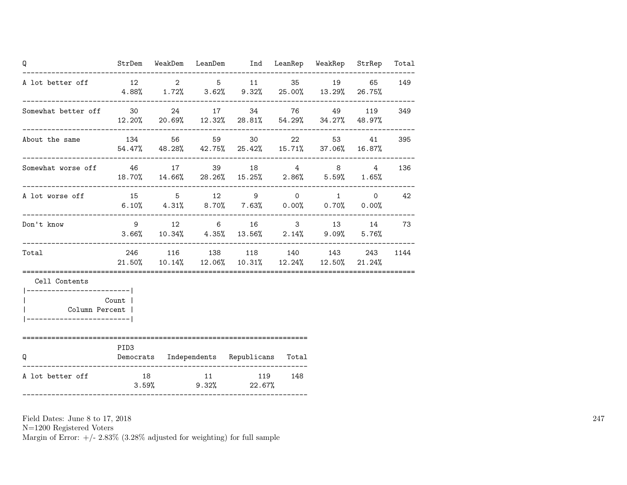| Q                                                              |                                                                                   | .__________________________ | StrDem WeakDem LeanDem Ind LeanRep WeakRep StrRep                                                    |               | Total |
|----------------------------------------------------------------|-----------------------------------------------------------------------------------|-----------------------------|------------------------------------------------------------------------------------------------------|---------------|-------|
| A lot better off 12 2 5 11 35 19 65                            | $4.88\%$ $1.72\%$ $3.62\%$ $9.32\%$ $25.00\%$ $13.29\%$ $26.75\%$                 |                             |                                                                                                      |               | 149   |
| Somewhat better off 30 24 17 34 76 49 119 349                  | $12.20\%$ 20.69% $12.32\%$ 28.81% 54.29% 34.27% 48.97%                            |                             |                                                                                                      |               |       |
| About the same $134$ 56 59 30 22 53 41 395                     |                                                                                   |                             | $54.47\%$ $48.28\%$ $42.75\%$ $25.42\%$ $15.71\%$ $37.06\%$ $16.87\%$                                |               |       |
| Somewhat worse off 46 17 39 18 4 8 4                           | 18.70% 14.66% 28.26% 15.25% 2.86% 5.59% 1.65%                                     |                             |                                                                                                      |               | 136   |
| A lot worse off<br>-------------------------                   | 15 5 12 9 0 1 0<br>$6.10\%$ $4.31\%$ $8.70\%$ $7.63\%$ $0.00\%$ $0.70\%$ $0.00\%$ |                             |                                                                                                      |               | 42    |
| Don't know                                                     | 9 12 6                                                                            |                             | $3.66\%$ $10.34\%$ $4.35\%$ $13.56\%$ $2.14\%$ $9.09\%$ $5.76\%$                                     | 16 3 13 14 73 |       |
| Total                                                          |                                                                                   |                             | 246 116 138 118 140 143 243<br>$21.50\%$ $10.14\%$ $12.06\%$ $10.31\%$ $12.24\%$ $12.50\%$ $21.24\%$ |               | 1144  |
| Cell Contents<br> ------------------------- <br>Column Percent | Count                                                                             |                             |                                                                                                      |               |       |
| Q                                                              | PID <sub>3</sub><br>Democrats Independents Republicans Total                      |                             |                                                                                                      |               |       |
| A lot better off                                               | 18 11 119 148                                                                     |                             | $3.59\%$ 9.32% 22.67%                                                                                |               |       |

N=1200 Registered Voters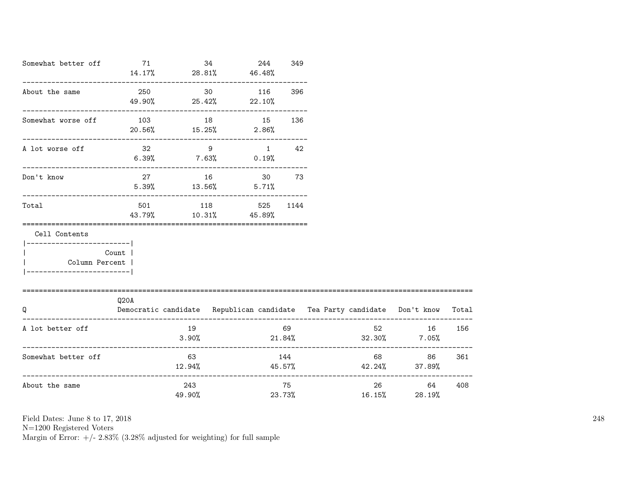| Somewhat better off                          | 71                      | $14.17\%$ 28.81% 46.48%                    | 34 | 244            | 349                    |                                                                                                   |              |       |
|----------------------------------------------|-------------------------|--------------------------------------------|----|----------------|------------------------|---------------------------------------------------------------------------------------------------|--------------|-------|
| About the same                               | 250                     | $49.90\%$ 25.42% 22.10%                    | 30 | 116            | 396                    |                                                                                                   |              |       |
| Somewhat worse off                           | 103<br>$20.56\%$ 15.25% |                                            | 18 | 15<br>$2.86\%$ | 136                    |                                                                                                   |              |       |
| A lot worse off                              |                         | $32 \qquad \qquad 9$<br>$6.39\%$ 7.63%     |    | $0.19\%$       | $1 \quad \cdots$<br>42 |                                                                                                   |              |       |
| Don't know                                   |                         | 27 16 30 73<br>$5.39\%$ $13.56\%$ $5.71\%$ |    |                |                        |                                                                                                   |              |       |
| Total                                        | 501                     | 118<br>43.79% 10.31% 45.89%                |    | 525 1144       |                        |                                                                                                   |              |       |
| Cell Contents<br>-----------------------     |                         |                                            |    |                |                        |                                                                                                   |              |       |
| Column Percent  <br>------------------------ | Count                   |                                            |    |                |                        |                                                                                                   |              |       |
| Q                                            | Q20A                    |                                            |    |                |                        | Democratic candidate Republican candidate Tea Party candidate Don't know                          |              | Total |
| A lot better off                             |                         | 19<br>3.90%                                |    |                | 69                     | 52<br>$21.84\%$ $32.30\%$ $7.05\%$                                                                | 16           | 156   |
| Somewhat better off                          |                         | 63<br>$12.94\%$                            |    |                | 144                    | -------------------------------------<br>$45.57\%$ $42.24\%$ $37.89\%$<br>----------------------- | 86 — 1       | 361   |
| About the same                               |                         | 243<br>49.90%                              |    |                | 75<br>23.73%           | 26<br>16.15%                                                                                      | 64<br>28.19% | 408   |

N=1200 Registered Voters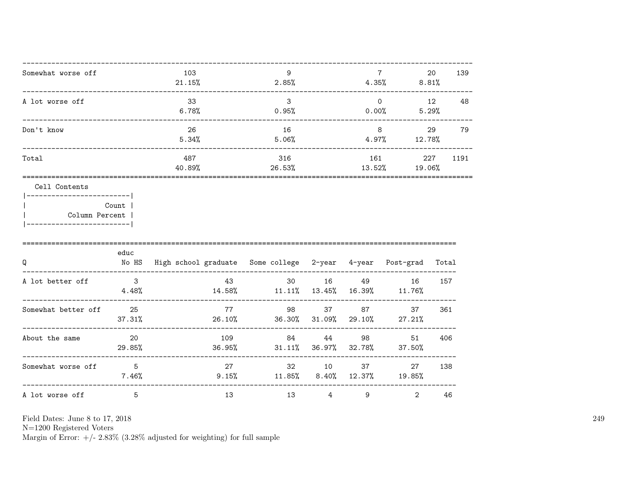| Somewhat worse off | 103<br>21.15% | 9<br>2.85%    | 4.35%             | 20<br>8.81%   | 139  |
|--------------------|---------------|---------------|-------------------|---------------|------|
| A lot worse off    | 33<br>6.78%   | 3<br>0.95%    | $\Omega$<br>0.00% | 12<br>5.29%   | 48   |
| Don't know         | 26<br>5.34%   | 16<br>5.06%   | 8<br>4.97%        | 29<br>12.78%  | 79   |
| Total              | 487<br>40.89% | 316<br>26.53% | 161<br>13.52%     | 227<br>19.06% | 1191 |

|  | Count 1        |  |
|--|----------------|--|
|  | Column Percent |  |
|  |                |  |

| Q                   | educ<br>No HS | High school graduate Some college 2-year |                 |                | 4-year       | Post-grad    | Total |
|---------------------|---------------|------------------------------------------|-----------------|----------------|--------------|--------------|-------|
| A lot better off    | 3<br>4.48%    | 43<br>14.58%                             | 30<br>11.11%    | 16<br>13.45%   | 49<br>16.39% | 16<br>11.76% | 157   |
| Somewhat better off | 25<br>37.31%  | 77<br>26.10%                             | 98<br>36.30%    | 37<br>31.09%   | 87<br>29.10% | 37<br>27.21% | 361   |
| About the same      | -20<br>29.85% | 109<br>36.95%                            | 84<br>$31.11\%$ | 44<br>36.97%   | 98<br>32.78% | 51<br>37.50% | 406   |
| Somewhat worse off  | 5<br>7.46%    | 27<br>9.15%                              | 32<br>11.85%    | 10<br>$8.40\%$ | 37<br>12.37% | 27<br>19.85% | 138   |
| A lot worse off     | 5             | 13                                       | 13              | 4              | 9            | 2            | 46    |

Field Dates: June 8 to 17, 2018

 ${\rm N}{=}1200$  Registered Voters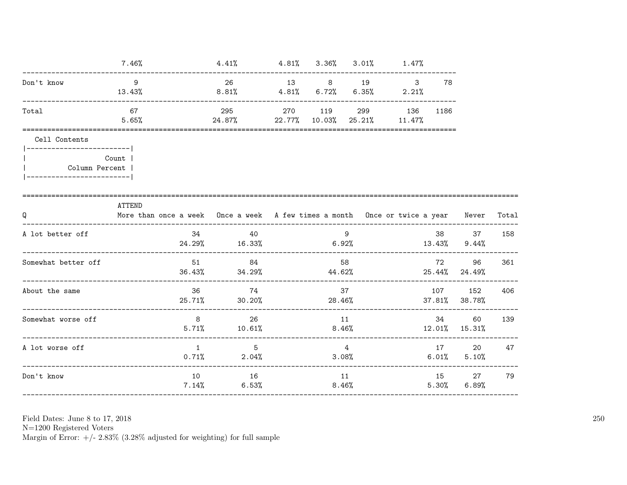| $7.46\%$                                             |              | 4.41% |                                                                               |                |                                                        |                                                                                                |                                                                         |                                                                                                                                                                                                                                                                                                                                                                |
|------------------------------------------------------|--------------|-------|-------------------------------------------------------------------------------|----------------|--------------------------------------------------------|------------------------------------------------------------------------------------------------|-------------------------------------------------------------------------|----------------------------------------------------------------------------------------------------------------------------------------------------------------------------------------------------------------------------------------------------------------------------------------------------------------------------------------------------------------|
| - 9<br>13.43%                                        |              |       |                                                                               |                |                                                        | 78                                                                                             |                                                                         |                                                                                                                                                                                                                                                                                                                                                                |
| 67<br>5.65%                                          |              |       |                                                                               |                |                                                        | 1186                                                                                           |                                                                         |                                                                                                                                                                                                                                                                                                                                                                |
| Count<br>Column Percent<br>------------------------- |              |       |                                                                               |                |                                                        |                                                                                                |                                                                         |                                                                                                                                                                                                                                                                                                                                                                |
| ATTEND                                               |              |       |                                                                               |                |                                                        |                                                                                                |                                                                         | Total                                                                                                                                                                                                                                                                                                                                                          |
|                                                      |              | 40    |                                                                               |                |                                                        |                                                                                                |                                                                         | 158                                                                                                                                                                                                                                                                                                                                                            |
|                                                      |              |       |                                                                               |                |                                                        |                                                                                                |                                                                         | 361                                                                                                                                                                                                                                                                                                                                                            |
|                                                      |              |       |                                                                               |                |                                                        |                                                                                                |                                                                         | 406                                                                                                                                                                                                                                                                                                                                                            |
|                                                      |              |       |                                                                               |                |                                                        |                                                                                                | 60                                                                      | 139                                                                                                                                                                                                                                                                                                                                                            |
|                                                      | $\mathbf{1}$ | 5     |                                                                               |                |                                                        |                                                                                                |                                                                         | 47                                                                                                                                                                                                                                                                                                                                                             |
|                                                      |              |       |                                                                               |                |                                                        |                                                                                                |                                                                         | 79                                                                                                                                                                                                                                                                                                                                                             |
|                                                      |              |       | 34<br>51 84<br>36 74<br>8 26<br>$5.71\%$ $10.61\%$<br>$0.71\%$ 2.04%<br>10 16 | $7.14\%$ 6.53% | 295 270 119<br>9<br>58<br>37<br>11<br>8.46%<br>4<br>11 | $4.81\%$ $3.36\%$ $3.01\%$ $1.47\%$<br>$24.87\%$ 22.77% 10.03% 25.21% 11.47%<br>3.08%<br>8.46% | 26 13 8 19 3<br>$8.81\%$ $4.81\%$ $6.72\%$ $6.35\%$ $2.21\%$<br>299 136 | More than once a week Once a week A few times a month Once or twice a year Never<br>38 37<br>$24.29\%$ 16.33% 6.92% 13.43% 9.44%<br>72 96<br>$36.43\%$ $34.29\%$ $44.62\%$ $25.44\%$ $24.49\%$<br>107<br>152<br>$25.71\%$ 30.20% 28.46% 37.81% 38.78%<br>34 and $\overline{a}$<br>$12.01\%$ 15.31%<br>17<br>20<br>$6.01\%$ $5.10\%$<br>15 27<br>$5.30\%$ 6.89% |

N=1200 Registered Voters<br>Margin of Error:  $+/- 2.83\%$  (3.28% adjusted for weighting) for full sample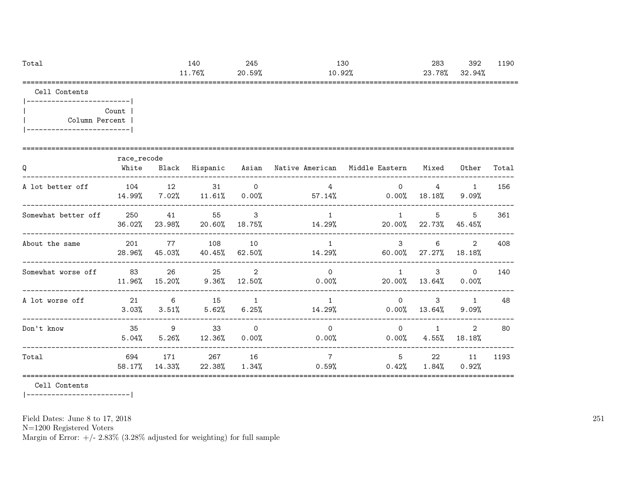| Tota. | $\Lambda$<br><b>⊥⊤</b> ∨ | 245             | $\sim$<br>⊥∪∪                                           | 283                           | 392         | 1190   |
|-------|--------------------------|-----------------|---------------------------------------------------------|-------------------------------|-------------|--------|
|       | 76°<br>, ט ו             | 59%<br>∩∩<br>zυ | $\sim$ $\sim$ 0.<br>ч<br>ΙV<br>$\cdot$ $\sim$ $\sim$ 10 | 78%<br>ົດ<br>ں∡               | .94%<br>o c |        |
|       |                          |                 | ______________________________                          | _____________________________ |             | ------ |

|-------------------------| | Count | | Column Percent | |-------------------------|

|                     | race_recode   |                            |                                  |                                      |                                                     |                                |                                  |                         |       |
|---------------------|---------------|----------------------------|----------------------------------|--------------------------------------|-----------------------------------------------------|--------------------------------|----------------------------------|-------------------------|-------|
| Q                   | White         | Black                      |                                  |                                      | Hispanic Asian Native-American Middle-Eastern Mixed |                                |                                  | Other                   | Total |
| A lot better off    | 104<br>14.99% | 12                         | 31<br>$7.02\%$ $11.61\%$ 0.00%   | $\circ$                              | $\overline{4}$<br>$57.14\%$                         | $\Omega$<br>$0\,.\,00\%$       | $\overline{4}$<br>18.18%         | $\overline{1}$<br>9.09% | 156   |
| Somewhat better off | 250<br>36.02% | 41                         | 55<br>23.98% 20.60%              | $\overline{\phantom{a}}$ 3<br>18.75% | $\overline{1}$<br>14.29%                            | $\overline{1}$                 | $5\overline{)}$<br>20.00% 22.73% | 5<br>45.45%             | 361   |
| About the same      | 201<br>28.96% | 77<br>45.03%               | 108<br>40.45%                    | 10<br>62.50%                         | $\overline{1}$<br>14.29%                            | $\mathbf{3}$<br>60.00%         | 6<br>27.27%                      | $2^{\circ}$<br>18.18%   | 408   |
| Somewhat worse off  | 83<br>11.96%  | 26<br>15.20%               | 25<br>9.36%                      | 2<br>12.50%                          | $\Omega$<br>$0.00\%$                                | 1                              | $\mathbf{3}$<br>20.00% 13.64%    | $\circ$<br>$0.00\%$     | 140   |
| A lot worse off     | 21<br>3.03%   | $\overline{6}$<br>$3.51\%$ | 15<br>5.62%                      | 1<br>6.25%                           | $\mathbf{1}$                                        | $\Omega$<br>14.29%<br>$0.00\%$ | $\mathbf{3}$<br>13.64%           | $\overline{1}$<br>9.09% | 48    |
| Don't know          | 35<br>5.04%   | 9                          | 33<br>$5.26\%$ $12.36\%$         | $\Omega$<br>$0.00\%$                 | $\Omega$<br>$0.00\%$                                | $\Omega$                       | $\mathbf{1}$<br>$0.00\%$ 4.55%   | $\mathcal{L}$<br>18.18% | 80    |
| Total               | 694<br>58.17% | 171                        | 267<br>$14.33\%$ 22.38% $1.34\%$ | 16                                   | $7\overline{ }$<br>0.59%                            | 5<br>0.42%                     | 22<br>$1.84\%$                   | 11<br>0.92%             | 1193  |

Cell Contents

|-------------------------|

Field Dates: June 8 to 17, 2018

N=1200 Registered Voters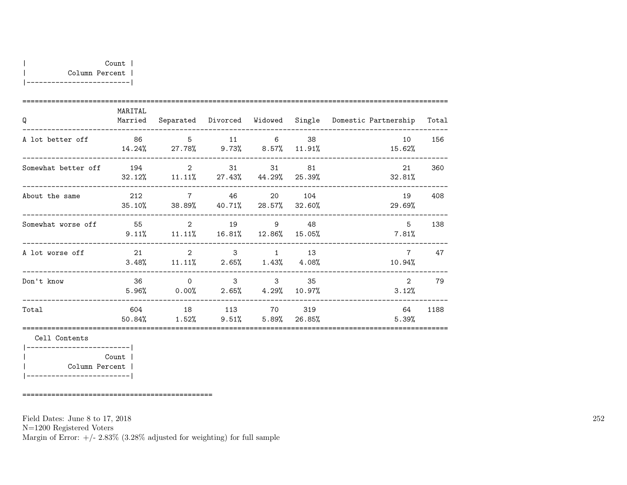| MARITAL<br>Married |  |                           |          |                                                                                                                                                                                                                                                                                                                                                                                                                                                                                                                                                                                                                                                                                                       |                                                              |
|--------------------|--|---------------------------|----------|-------------------------------------------------------------------------------------------------------------------------------------------------------------------------------------------------------------------------------------------------------------------------------------------------------------------------------------------------------------------------------------------------------------------------------------------------------------------------------------------------------------------------------------------------------------------------------------------------------------------------------------------------------------------------------------------------------|--------------------------------------------------------------|
|                    |  |                           |          | 10<br>15.62%                                                                                                                                                                                                                                                                                                                                                                                                                                                                                                                                                                                                                                                                                          | 156                                                          |
|                    |  |                           |          | 21<br>32.81%                                                                                                                                                                                                                                                                                                                                                                                                                                                                                                                                                                                                                                                                                          | 360                                                          |
|                    |  |                           |          | 19<br>29.69%                                                                                                                                                                                                                                                                                                                                                                                                                                                                                                                                                                                                                                                                                          | 408                                                          |
|                    |  |                           |          | 5<br>7.81%                                                                                                                                                                                                                                                                                                                                                                                                                                                                                                                                                                                                                                                                                            | 138                                                          |
|                    |  |                           |          | $7^{\circ}$<br>10.94%                                                                                                                                                                                                                                                                                                                                                                                                                                                                                                                                                                                                                                                                                 | 47                                                           |
| 36<br>5.96%        |  |                           |          | $\overline{2}$<br>3.12%                                                                                                                                                                                                                                                                                                                                                                                                                                                                                                                                                                                                                                                                               | 79                                                           |
| 50.84%             |  |                           |          | 64<br>5.39%                                                                                                                                                                                                                                                                                                                                                                                                                                                                                                                                                                                                                                                                                           | 1188                                                         |
|                    |  | 86 5 11<br>$\overline{0}$ | 212 7 46 | $6 \qquad \qquad 38$<br>14.24% 27.78% 9.73% 8.57% 11.91%<br>Somewhat better off 194 2 31 31 81<br>32.12% 11.11% 27.43% 44.29% 25.39%<br>20 104<br>$35.10\%$ $38.89\%$ $40.71\%$ $28.57\%$ $32.60\%$<br>55 2 19 9 48<br>$9.11\%$ $11.11\%$ $16.81\%$ $12.86\%$ $15.05\%$<br>21 2 3 1 13<br>$3.48\%$ $11.11\%$ $2.65\%$ $1.43\%$ $4.08\%$<br>3 3 3 3 3 3 3 4 3 4 3 4 3 4 3 4 3 4 $\sim$ 3 4 $\sim$ 3 + 3 + 3 + $\sim$ 3 + $\sim$ 3 + $\sim$ 3 + $\sim$ 3 + $\sim$ 3 + $\sim$ 3 + $\sim$ 3 + $\sim$ 4 + $\sim$ 4 + $\sim$ 4 + $\sim$ 4 + $\sim$ 4 + $\sim$ 4 + $\sim$ 4 + $\sim$ 4 + $\sim$ 4 + $\sim$ 4 + $\sim$ 4 +<br>$0.00\%$ 2.65% 4.29% 10.97%<br>604 18 113 70 319<br>$1.52\%$ 9.51% 5.89% 26.85% | Separated Divorced Widowed Single Domestic-Partnership Total |

|-------------------------| | Count | | Column Percent | |-------------------------|

==============================================

Field Dates: June 8 to 17, 2018

N=1200 Registered Voters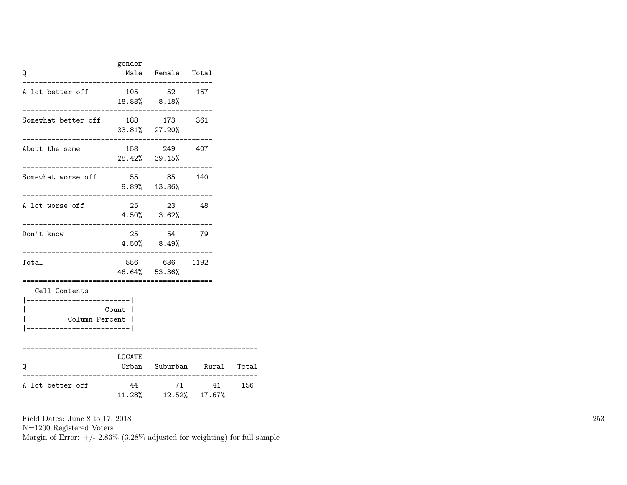| Q                                                            | gender                               | Male Female Total                                   |          |     |
|--------------------------------------------------------------|--------------------------------------|-----------------------------------------------------|----------|-----|
| A lot better off                                             | 105 52 157<br>$18.88\%$ 8.18%        |                                                     |          |     |
| Somewhat better off 188 173 361                              | $33.81\%$ 27.20%                     |                                                     |          |     |
| About the same                                               |                                      | 158 249 407<br>28.42% 39.15%                        |          |     |
| Somewhat worse off<br>----------------------                 | 55 85 140                            | $9.89\%$ 13.36%                                     |          |     |
| A lot worse off<br>-------------------------------------     |                                      | 25 23<br>$4.50\%$ $3.62\%$                          | - 48     |     |
| Don't know                                                   |                                      | 25 54 79<br>$4.50\%$ 8.49%                          |          |     |
| Total<br>---------------                                     |                                      | 556 636 1192<br>46.64% 53.36%<br>------------------ |          |     |
| Cell Contents<br>------------------------ <br>Column Percent | Count l                              |                                                     |          |     |
| Q                                                            | LOCATE<br>Urban Suburban Rural Total |                                                     |          |     |
| A lot better off                                             |                                      | 11.28%  12.52%  17.67%                              | 44 71 41 | 156 |

N=1200 Registered Voters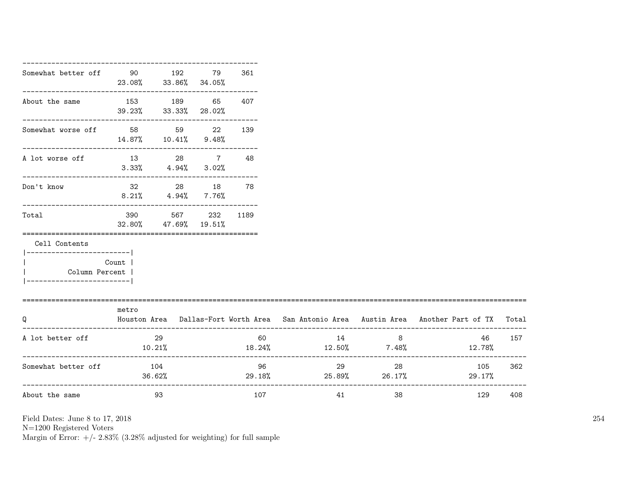| Somewhat better off 90 90 192                                        |                              | 23.08% 33.86% 34.05%                                   | 79           | 361          |                           |    |                                                                                           |     |
|----------------------------------------------------------------------|------------------------------|--------------------------------------------------------|--------------|--------------|---------------------------|----|-------------------------------------------------------------------------------------------|-----|
| About the same                                                       | 153 189                      | ------------------------------<br>39.23% 33.33% 28.02% | 65           | 407          |                           |    |                                                                                           |     |
| Somewhat worse off 58 59 22                                          | $14.87\%$ $10.41\%$ $9.48\%$ |                                                        |              | 139          |                           |    |                                                                                           |     |
| A lot worse off 13 28 7 48                                           | $3.33\%$ $4.94\%$ $3.02\%$   |                                                        |              |              |                           |    |                                                                                           |     |
| -------------------------<br>Don't know                              |                              | 32 28 18 78<br>$8.21\%$ $4.94\%$ $7.76\%$              |              |              |                           |    |                                                                                           |     |
| Total                                                                | 390 390                      | 32.80% 47.69% 19.51%                                   | 567 232 1189 |              |                           |    |                                                                                           |     |
| Cell Contents                                                        |                              |                                                        |              |              |                           |    |                                                                                           |     |
| ----------------------- <br>Column Percent  <br>-------------------- | Count                        |                                                        |              |              |                           |    |                                                                                           |     |
| Q                                                                    | metro                        |                                                        |              |              |                           |    | Houston Area Dallas-Fort Worth Area San Antonio Area Austin Area Another Part of TX Total |     |
| A lot better off                                                     | 10.21%                       | 29                                                     |              | 60 —         | 14                        | 8  | 46<br>$18.24\%$ $12.50\%$ $7.48\%$ $12.78\%$                                              | 157 |
| Somewhat better off                                                  |                              | 104<br>36.62%                                          |              | 96<br>29.18% | 29 29<br>$25.89\%$ 26.17% | 28 | 105<br>29.17%                                                                             | 362 |
| About the same                                                       |                              | 93                                                     |              | 107          | 41                        | 38 | 129                                                                                       | 408 |

N=1200 Registered Voters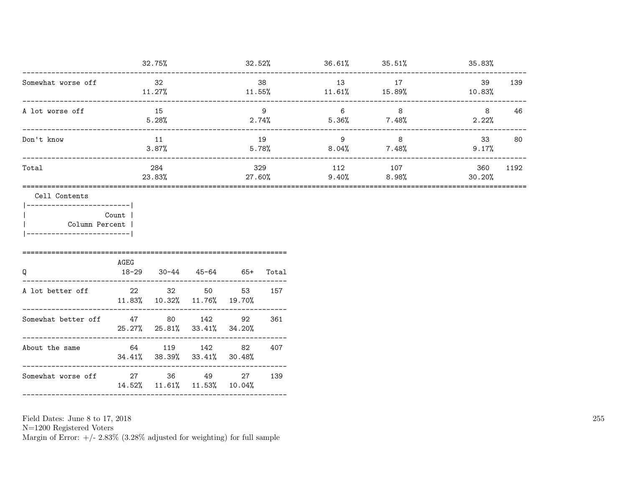|                    | 32.75%        | 32.52%        | 36.61%          | 35.51%       | 35.83%                |
|--------------------|---------------|---------------|-----------------|--------------|-----------------------|
| Somewhat worse off | 32<br>11.27%  | 38<br>11.55%  | 13<br>$11.61\%$ | 17<br>15.89% | 39<br>139<br>10.83%   |
| A lot worse off    | 15<br>5.28%   | 9<br>2.74%    | 6<br>5.36%      | 8<br>7.48%   | 46<br>8<br>2.22%      |
| Don't know         | 11<br>3.87%   | 19<br>5.78%   | 9<br>$8.04\%$   | 8<br>7.48%   | 33<br>80<br>9.17%     |
| Total              | 284<br>23.83% | 329<br>27.60% | 112<br>$9.40\%$ | 107<br>8.98% | 1192<br>360<br>30.20% |

Cell Contents

|-------------------------| | Count | | Column Percent | |-------------------------|

| Q                   | AGEG | 18-29 30-44 45-64                                     |     | -65+ | Total |
|---------------------|------|-------------------------------------------------------|-----|------|-------|
| A lot better off    | 22   | 32<br>$11.83\%$ $10.32\%$ $11.76\%$ $19.70\%$         | 50  | 53   | 157   |
| Somewhat better off |      | 47 80<br>$25.27\%$ $25.81\%$ $33.41\%$ $34.20\%$      | 142 | 92   | 361   |
| About the same      |      | 64 119 142<br>$34.41\%$ $38.39\%$ $33.41\%$ $30.48\%$ |     | 82   | 407   |
| Somewhat worse off  | 27   | 36<br>$14.52\%$ $11.61\%$ $11.53\%$ $10.04\%$         | 49  | 27   | 139   |
|                     |      |                                                       |     |      |       |

Field Dates: June 8 to 17, 2018

N=1200 Registered Voters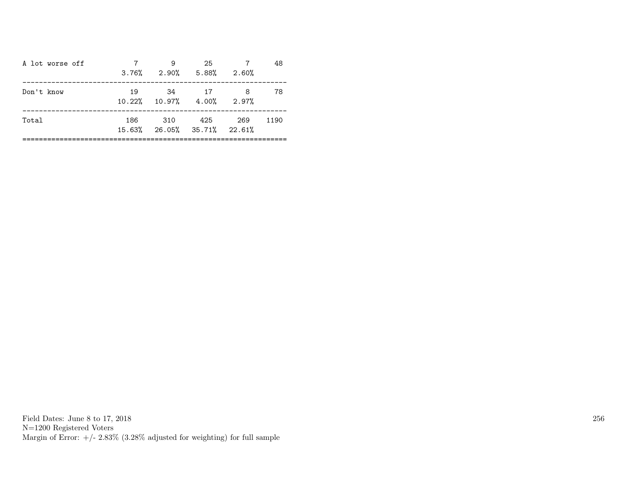| A lot worse off |     | 9<br>$3.76\%$ $2.90\%$ $5.88\%$ $2.60\%$     | 25  |       | 48   |
|-----------------|-----|----------------------------------------------|-----|-------|------|
| Don't know      | 19  | -34<br>$10.22\%$ $10.97\%$ $4.00\%$ $2.97\%$ | 17  | 8     | 78   |
| Total           | 186 | 310<br>15.63% 26.05% 35.71% 22.61%           | 425 | - 269 | 1190 |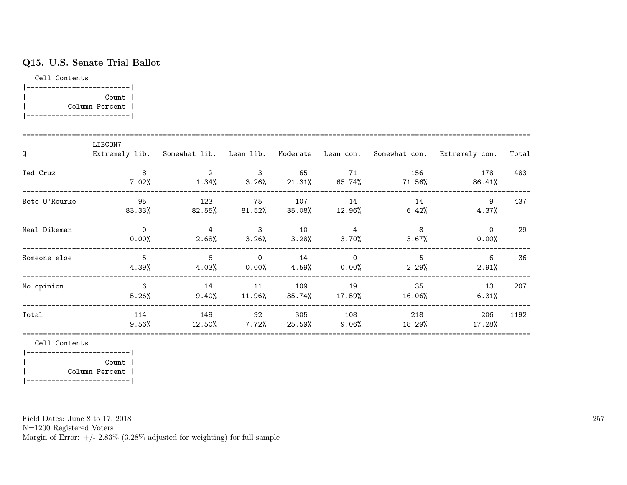# Q15. U.S. Senate Trial Ballot

Cell Contents

| Count          |  |
|----------------|--|
| Column Percent |  |
|                |  |

| Q             | LIBCON7           |                      |                                        |               |                                     |               | Extremely lib. Somewhat lib. Lean lib. Moderate Lean con. Somewhat con. Extremely con. | Total |
|---------------|-------------------|----------------------|----------------------------------------|---------------|-------------------------------------|---------------|----------------------------------------------------------------------------------------|-------|
| Ted Cruz      | 8<br>$7.02\%$     | 2<br>$1.34\%$        | $\mathbf{3}$<br>$3.26\%$ 21.31% 65.74% | 65            | 71                                  | 156<br>71.56% | 178<br>86.41%                                                                          | 483   |
| Beto O'Rourke | 95<br>83.33%      | 123<br>82.55%        | 75                                     | 107           | 14<br>$81.52\%$ $35.08\%$ $12.96\%$ | 14<br>6.42%   | 9<br>4.37%                                                                             | 437   |
| Neal Dikeman  | $\Omega$<br>0.00% | $4^{\circ}$<br>2.68% | 3<br>$3.26\%$ $3.28\%$ $3.70\%$        | 10            | 4                                   | 8<br>$3.67\%$ | $\Omega$<br>0.00%                                                                      | 29    |
| Someone else  | 5<br>4.39%        | 6<br>4.03%           | $\overline{0}$<br>0.00%                | 14<br>4.59%   | $\overline{0}$<br>0.00%             | 5<br>$2.29\%$ | 6<br>2.91%                                                                             | 36    |
| No opinion    | 6<br>5.26%        | 14<br>$9.40\%$       | 11<br>$11.96\%$                        | 109<br>35.74% | 19<br>17.59%                        | 35<br>16.06%  | 13<br>6.31%                                                                            | 207   |
| Total         | 114<br>$9.56\%$   | 149<br>12.50%        | 92<br>$7.72\%$                         | 305<br>25.59% | 108<br>9.06%                        | 218<br>18.29% | 206<br>$17.28\%$                                                                       | 1192  |

Cell Contents

|-------------------------| | Count | | Column Percent | |-------------------------|

Field Dates: June 8 to 17, 2018

N=1200 Registered Voters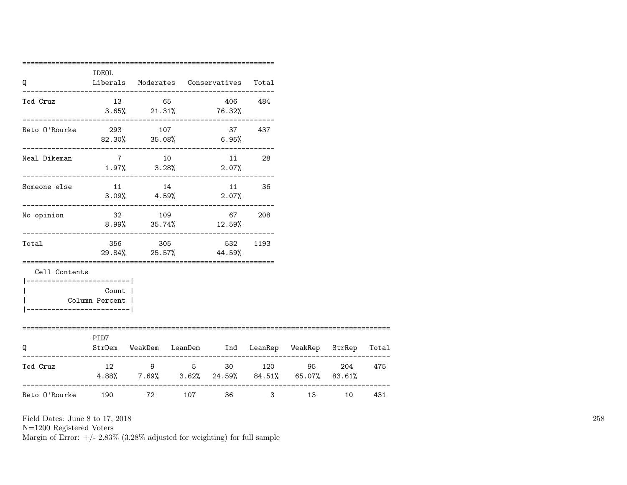| Q                                          | IDEOL                     |                              | Liberals Moderates Conservatives Total                                                         |        |                       |    |     |
|--------------------------------------------|---------------------------|------------------------------|------------------------------------------------------------------------------------------------|--------|-----------------------|----|-----|
| Ted Cruz                                   |                           | 13 65                        | 406<br>$3.65\%$ 21.31% 76.32%                                                                  | 484    |                       |    |     |
| Beto O'Rourke                              |                           | 293 107                      | $82.30\%$ $35.08\%$ 6.95%                                                                      | 37 437 |                       |    |     |
| Neal Dikeman                               | 7 10                      |                              | $1.97\%$ $3.28\%$ $2.07\%$                                                                     | 11 28  |                       |    |     |
| Someone else                               | 11 14                     |                              | 11 36<br>$3.09\%$ $4.59\%$ $2.07\%$                                                            |        |                       |    |     |
| No opinion                                 |                           | 32 109<br>$8.99\%$ $35.74\%$ | 67 208<br>12.59%                                                                               |        |                       |    |     |
| Total                                      |                           | 356 305                      | 532<br>29.84% 25.57% 44.59%                                                                    | 1193   |                       |    |     |
| Cell Contents<br>_________________________ |                           |                              |                                                                                                |        |                       |    |     |
| -----------------------                    | Count  <br>Column Percent |                              |                                                                                                |        |                       |    |     |
| 0                                          | PID7                      |                              | StrDem WeakDem LeanDem Ind LeanRep WeakRep StrRep Total                                        |        |                       |    |     |
| Ted Cruz                                   |                           |                              | 12 9 5 30 120 95 204 475<br>$4.88\%$ $7.69\%$ $3.62\%$ $24.59\%$ $84.51\%$ $65.07\%$ $83.61\%$ |        |                       |    |     |
| Beto 0'Rourke 190 72 107 36                |                           |                              |                                                                                                |        | 13 and 13<br>$3 \sim$ | 10 | 431 |

N=1200 Registered Voters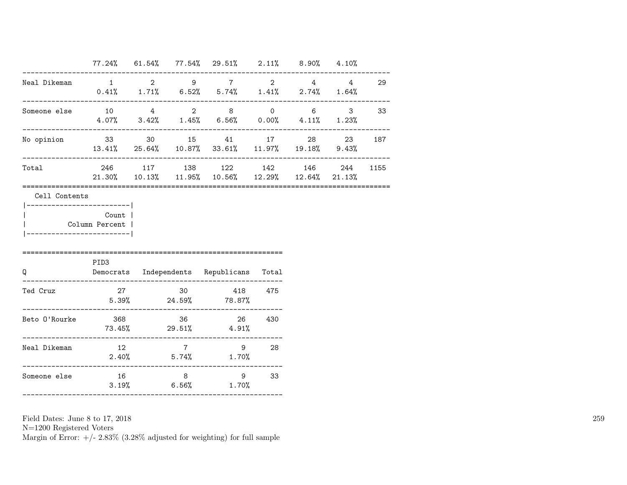|                                                      |          |  | $77.24\%$ 61.54% 77.54% 29.51% 2.11% 8.90% 4.10%                                                          |      |                          |          |        |
|------------------------------------------------------|----------|--|-----------------------------------------------------------------------------------------------------------|------|--------------------------|----------|--------|
| Neal Dikeman                                         |          |  | $1 \qquad 2 \qquad 9 \qquad 7 \qquad 2 \qquad 4 \qquad 4$<br>$0.41\%$ 1.71% 6.52% 5.74% 1.41% 2.74% 1.64% |      |                          | -------- | 29     |
|                                                      |          |  | $4.07\%$ $3.42\%$ $1.45\%$ $6.56\%$ $0.00\%$ $4.11\%$ $1.23\%$                                            |      | ------------------------ |          |        |
| No opinion                                           |          |  | 33 30 15 41 17 28<br>$13.41\%$ 25.64% $10.87\%$ 33.61% $11.97\%$ 19.18% 9.43%                             |      |                          |          | 23 187 |
| Total                                                |          |  | 246 117 138 122 142 146<br>21.30% 10.13% 11.95% 10.56% 12.29% 12.64% 21.13%                               |      |                          | 244      | 1155   |
| ----------------------- <br>Column Percent           | Count    |  |                                                                                                           |      |                          |          |        |
| $\mathsf Q$                                          | PID3     |  | Democrats Independents Republicans Total                                                                  |      |                          |          |        |
| Ted Cruz                                             |          |  | 27 30 418 475<br>$5.39\%$ 24.59% 78.87%                                                                   |      |                          |          |        |
|                                                      |          |  | $73.45\%$ 29.51% 4.91%                                                                                    |      |                          |          |        |
| Neal Dikeman<br>------------------------------------ | $12$ $7$ |  | $2.40\%$ 5.74% 1.70%                                                                                      | 9 28 |                          |          |        |
| Someone else                                         | 16       |  | 8 9 33<br>$3.19\%$ 6.56% 1.70%                                                                            |      |                          |          |        |

N=1200 Registered Voters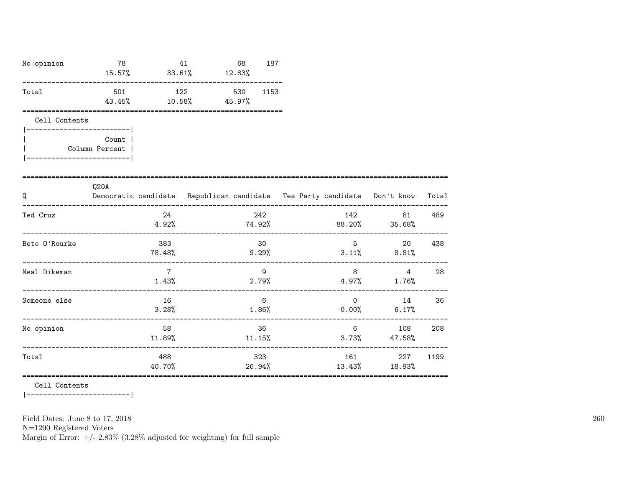| No opinion    | 78                                                            | 41<br>$15.57\%$ 33.61% $12.83\%$ | 68  | 187            |       |                                       |                                                                                |      |
|---------------|---------------------------------------------------------------|----------------------------------|-----|----------------|-------|---------------------------------------|--------------------------------------------------------------------------------|------|
| Total         | 501<br>43.45%                                                 | 122<br>$10.58\%$ 45.97%          | 530 | 1153           |       |                                       |                                                                                |      |
| Cell Contents |                                                               |                                  |     |                |       |                                       |                                                                                |      |
|               | <b>Count</b> l<br>Column Percent  <br>----------------------- |                                  |     |                |       |                                       |                                                                                |      |
| Q             | Q20A                                                          |                                  |     |                |       |                                       | Democratic candidate Republican candidate Tea Party candidate Don't know Total |      |
| Ted Cruz      |                                                               | 24                               |     | 242            |       |                                       | 142 81<br>$4.92\%$ $74.92\%$ $88.20\%$ $35.68\%$                               | 489  |
| Beto O'Rourke |                                                               | 383<br>78.48%                    |     | 30<br>$9.29\%$ |       |                                       | 5 <sup>1</sup><br>20<br>$3.11\%$ 8.81%                                         | 438  |
| Neal Dikeman  |                                                               | $7\phantom{.0}$<br>1.43%         |     | 9              | 2.79% | 8                                     | 4<br>$4.97\%$ 1.76%                                                            | 28   |
| Someone else  |                                                               | 16<br>3.28%                      |     | 6<br>1.86%     |       | 0.00%<br>---------------------------- | $\sim$ 0 14<br>6.17%                                                           | 36   |
| No opinion    |                                                               | 58<br>11.89%                     |     | 36<br>11.15%   |       |                                       | $6 \quad \sigma$<br>108<br>$3.73\%$ 47.58%                                     | 208  |
| Total         |                                                               | 488                              |     | 323            |       | 161                                   | 227                                                                            | 1199 |

40.70% 26.94% 13.43% 18.93%

=======================================================================================================

Cell Contents

|-------------------------|

Field Dates: June 8 to 17, 2018

N=1200 Registered Voters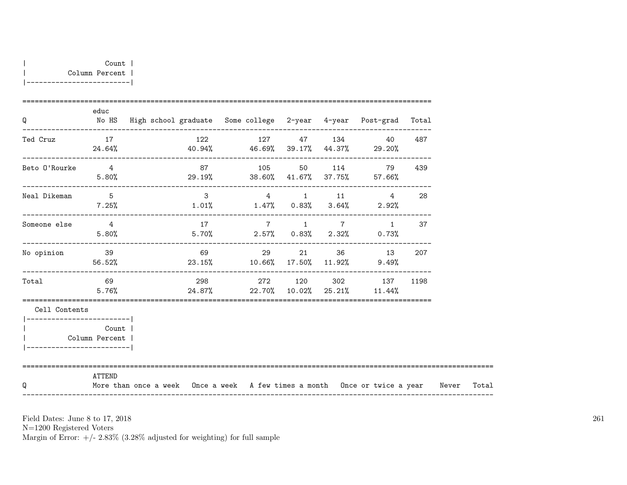| Count 1        |  |
|----------------|--|
| Column Percent |  |
|                |  |

| Q                                            | educ                      | No HS  High school graduate  Some college  2-year  4-year  Post-grad  Total            |                |  |          |                                                                             |      |  |
|----------------------------------------------|---------------------------|----------------------------------------------------------------------------------------|----------------|--|----------|-----------------------------------------------------------------------------|------|--|
| Ted Cruz                                     | 17                        | $24.64\%$ $40.94\%$ $46.69\%$ $39.17\%$ $44.37\%$ $29.20\%$                            | 122 127 47 134 |  |          | 40                                                                          | 487  |  |
| Beto O'Rourke 4                              | 5.80%                     | $29.19\%$ 38.60% $41.67\%$ 37.75% 57.66%                                               | 87 105 50 114  |  |          | 79                                                                          | 439  |  |
| Neal Dikeman                                 | $5\overline{)}$           | $7.25\%$ $1.01\%$ $1.47\%$ $0.83\%$ $3.64\%$ $2.92\%$                                  |                |  |          | $\begin{array}{ccccccccccccc}\n3 & & & 4 & & 1 & & 11 & & & 4\n\end{array}$ | 28   |  |
| Someone else 4                               | 5.80%                     |                                                                                        |                |  |          | $17$ $7$ $1$ $7$ $1$ $37$<br>$5.70\%$ 2.57% 0.83% 2.32% 0.73%               |      |  |
| No opinion 39                                |                           | $56.52\%$ 23.15% $10.66\%$ 17.50% $11.92\%$ 9.49%                                      | 69             |  | 29 21 36 | 13                                                                          | 207  |  |
| Total 69                                     | 5.76%                     |                                                                                        |                |  |          | 298 272 120 302 137<br>$24.87\%$ 22.70% 10.02% 25.21% 11.44%                | 1198 |  |
| Cell Contents<br>___________________________ |                           |                                                                                        |                |  |          |                                                                             |      |  |
| __________________________                   | Count  <br>Column Percent |                                                                                        |                |  |          |                                                                             |      |  |
| Q                                            | ATTEND                    | More than once a week Once a week A few times a month Once or twice a year Never Total |                |  |          |                                                                             |      |  |

N=1200 Registered Voters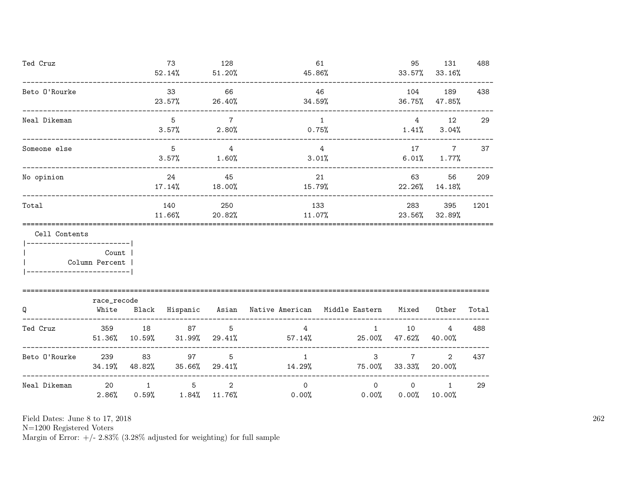| Ted Cruz                          |                                |                     | 73<br>$52.14\%$                      | 128<br>51.20%            | 61<br>45.86%                                                                             |                                  | 95<br>33.57%        | 131<br>33.16%                       | 488   |
|-----------------------------------|--------------------------------|---------------------|--------------------------------------|--------------------------|------------------------------------------------------------------------------------------|----------------------------------|---------------------|-------------------------------------|-------|
| Beto O'Rourke                     |                                |                     | 33<br>23.57%                         | 66<br>26.40%             | 34.59%                                                                                   | 46                               | 104<br>36.75%       | 189<br>47.85%                       | 438   |
| Neal Dikeman                      | ------------------------------ |                     | 5<br>3.57%                           | $7\overline{7}$<br>2.80% |                                                                                          | $\mathbf{1}$<br>$0.75\%$         | 4                   | 12<br>$1.41\%$ $3.04\%$             | 29    |
| Someone else                      |                                |                     | $5^{\circ}$<br>3.57%                 | $\overline{4}$<br>1.60%  |                                                                                          | $\overline{4}$<br>$3.01\%$       | 17                  | $\overline{7}$<br>$6.01\%$ $1.77\%$ | 37    |
| No opinion                        |                                |                     | 24<br>$17.14\%$                      | 45<br>18.00%             | 15.79%                                                                                   | 21                               | 63<br>22.26%        | 56<br>14.18%                        | 209   |
| Total                             |                                |                     | 140<br>11.66% 20.82%                 | 250                      | 133<br>11.07%                                                                            |                                  | 283                 | 395<br>23.56% 32.89%                | 1201  |
| Cell Contents<br>  Column Percent | Count                          |                     |                                      |                          |                                                                                          |                                  |                     |                                     |       |
| Q                                 | race_recode<br>White           |                     |                                      |                          | Black Hispanic Asian Native-American Middle-Eastern                                      |                                  | Mixed               | Other                               | Total |
| Ted Cruz                          |                                |                     | 359 18 87                            | 5                        | $4\overline{ }$<br>$51.36\%$ $10.59\%$ $31.99\%$ $29.41\%$ $57.14\%$ $25.00\%$ $47.62\%$ | 1                                | 10                  | 4<br>40.00%                         | 488   |
| Beto 0'Rourke 239                 |                                | 83<br>34.19% 48.82% | 97<br>35.66% 29.41%                  | 5                        | $\mathbf{1}$                                                                             | 3<br>14.29% 75.00% 33.33% 20.00% | $7\phantom{0}$      | $\overline{2}$                      | 437   |
| Neal Dikeman                      | 20<br>2.86%                    | $\overline{1}$      | $5^{\circ}$<br>$0.59\%$ 1.84% 11.76% | 2                        | $\overline{0}$<br>0.00%                                                                  | $\circ$<br>$0.00\%$              | $\circ$<br>$0.00\%$ | $\mathbf{1}$<br>10.00%              | 29    |

N=1200 Registered Voters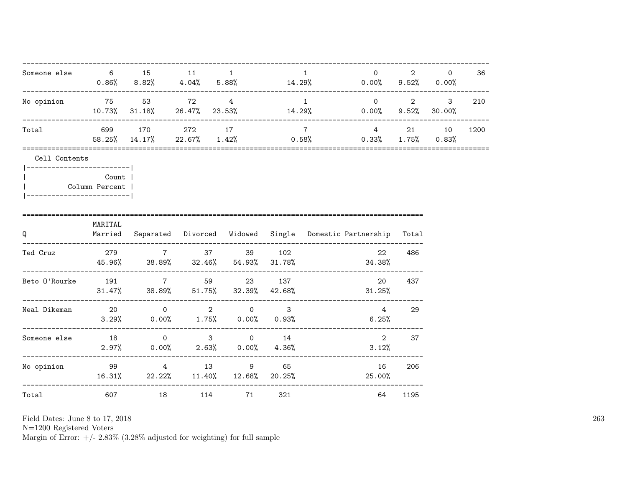| Someone else 6 15 11                             |                                |                                                   | $\sim$ 1 | $\mathbf{1}$    | $\overline{0}$ and $\overline{0}$ and $\overline{0}$ and $\overline{0}$ and $\overline{0}$ and $\overline{0}$ and $\overline{0}$ and $\overline{0}$ and $\overline{0}$ and $\overline{0}$ and $\overline{0}$ and $\overline{0}$ and $\overline{0}$ and $\overline{0}$ and $\overline{0}$ and $\overline{0}$ and $\overline{0}$ and<br>$0.86\%$ $8.82\%$ $4.04\%$ $5.88\%$ $14.29\%$ $0.00\%$ $9.52\%$ $0.00\%$ | ----------------- | $2 \left( \frac{1}{2} \right)$<br>$\circ$ | 36   |
|--------------------------------------------------|--------------------------------|---------------------------------------------------|----------|-----------------|----------------------------------------------------------------------------------------------------------------------------------------------------------------------------------------------------------------------------------------------------------------------------------------------------------------------------------------------------------------------------------------------------------------|-------------------|-------------------------------------------|------|
| No opinion 55 53 72 4                            |                                |                                                   |          | $\sim$ 1        | $10.73\%$ 31.18% 26.47% 23.53% 14.29% 0.00% 9.52% 30.00%                                                                                                                                                                                                                                                                                                                                                       |                   | $0 \qquad \qquad 2 \qquad \qquad 3$       | 210  |
| Total                                            |                                | 699 170 272 17                                    |          | $7\overline{ }$ | 4 21 10<br>58.25% 14.17% 22.67% 1.42% 0.58% 0.33% 1.75% 0.83%                                                                                                                                                                                                                                                                                                                                                  |                   |                                           | 1200 |
| Cell Contents<br> ------------------------       |                                |                                                   |          |                 |                                                                                                                                                                                                                                                                                                                                                                                                                |                   |                                           |      |
| -------------------------                        | <b>Count</b><br>Column Percent |                                                   |          |                 |                                                                                                                                                                                                                                                                                                                                                                                                                |                   |                                           |      |
| Q                                                | MARITAL                        | ----------------------                            |          |                 | Married Separated Divorced Widowed Single Domestic-Partnership Total                                                                                                                                                                                                                                                                                                                                           |                   |                                           |      |
| Ted Cruz 279 279 7 37 39 102                     |                                |                                                   |          |                 | 22<br>$45.96\%$ $38.89\%$ $32.46\%$ $54.93\%$ $31.78\%$ $31.78\%$ $34.38\%$                                                                                                                                                                                                                                                                                                                                    | 486               |                                           |      |
| Beto 0'Rourke 191 7 59 23 137                    |                                | $31.47\%$ $38.89\%$ $51.75\%$ $32.39\%$ $42.68\%$ |          |                 | 20<br>$31.25\%$                                                                                                                                                                                                                                                                                                                                                                                                | 437               |                                           |      |
| Neal Dikeman $20$ $0$ $2$ $0$ $3$                |                                | $3.29\%$ 0.00% 1.75% 0.00% 0.93%                  |          |                 | $4 \quad$<br>6.25%                                                                                                                                                                                                                                                                                                                                                                                             | 29                |                                           |      |
| Someone else $18$ 0 3 0 14                       |                                | $2.97\%$ 0.00% 2.63% 0.00% 4.36%                  |          |                 | 3.12%                                                                                                                                                                                                                                                                                                                                                                                                          | 2 37              |                                           |      |
| ._________________<br>No opinion 99 39 4 13 9 65 |                                |                                                   |          |                 | 16<br>$16.31\%$ 22.22% $11.40\%$ 12.68% 20.25% 25.00%                                                                                                                                                                                                                                                                                                                                                          | 206               |                                           |      |
| Total                                            |                                | 607 18 114 71 321                                 |          |                 |                                                                                                                                                                                                                                                                                                                                                                                                                | 64 1195           |                                           |      |

N=1200 Registered Voters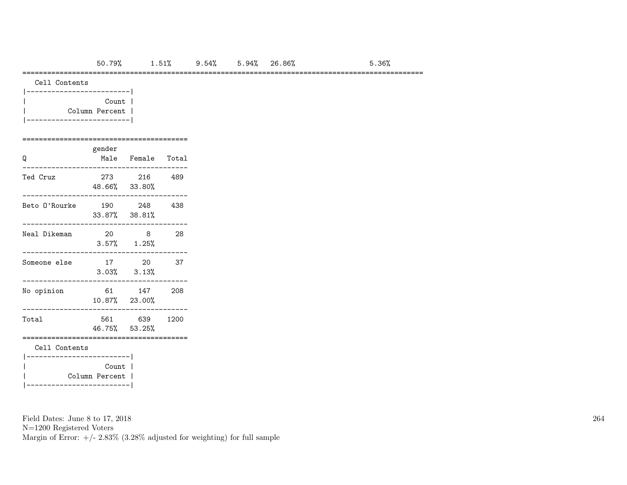### =================================================================================================

Cell Contents

| Count          |  |
|----------------|--|
| Column Percent |  |
|                |  |

### ========================================

| Q                                                    | gender<br>Male | Female Total               |      |  |  |  |  |  |  |  |
|------------------------------------------------------|----------------|----------------------------|------|--|--|--|--|--|--|--|
| Ted Cruz                                             | 273            | 216<br>48.66% 33.80%       | 489  |  |  |  |  |  |  |  |
| Beto O'Rourke                                        | 190            | 248<br>$33.87\%$ $38.81\%$ | 438  |  |  |  |  |  |  |  |
| Neal Dikeman                                         | 20<br>$3.57\%$ | 8<br>$1.25\%$              | 28   |  |  |  |  |  |  |  |
| Someone else                                         | 17<br>3.03%    | 20<br>3.13%                | 37   |  |  |  |  |  |  |  |
| No opinion                                           | 61             | 147<br>10.87% 23.00%       | 208  |  |  |  |  |  |  |  |
| Total                                                | 561            | 639<br>46.75% 53.25%       | 1200 |  |  |  |  |  |  |  |
| Cell Contents                                        |                |                            |      |  |  |  |  |  |  |  |
| Count<br>Column Percent  <br>. _ _ _ _ _ _ _ _ _ _ _ |                |                            |      |  |  |  |  |  |  |  |

Field Dates: June 8 to 17, 2018

N=1200 Registered Voters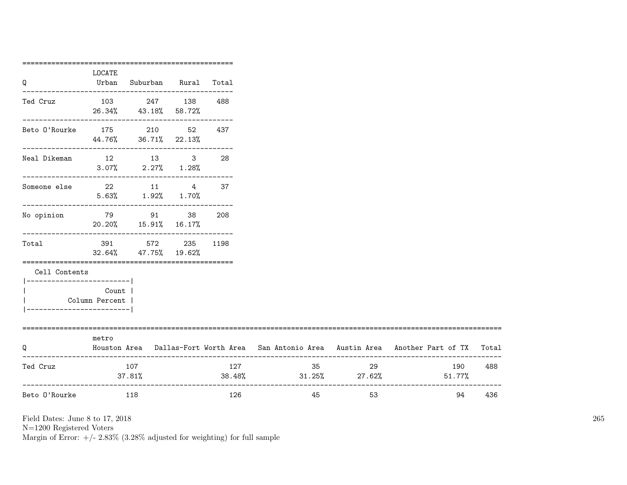|                                   | LOCATE                    |                                                           |     |                               |          |                                                                                           |     |
|-----------------------------------|---------------------------|-----------------------------------------------------------|-----|-------------------------------|----------|-------------------------------------------------------------------------------------------|-----|
| Q                                 |                           | Urban Suburban Rural Total                                |     |                               |          |                                                                                           |     |
| Ted Cruz                          |                           | 103 247 138 488<br>26.34% 43.18% 58.72%                   |     |                               |          |                                                                                           |     |
| Beto 0'Rourke 175 210 52 437      |                           | ---------------------------------<br>44.76% 36.71% 22.13% |     |                               |          |                                                                                           |     |
| Neal Dikeman                      |                           | 12 13 3<br>$3.07\%$ 2.27% 1.28%                           | 28  |                               |          |                                                                                           |     |
| Someone else 22 11 4 37           |                           | $5.63\%$ $1.92\%$ $1.70\%$                                |     |                               |          |                                                                                           |     |
| No opinion 579 591 591 592 91     |                           | 20.20% 15.91% 16.17%                                      |     |                               |          |                                                                                           |     |
| Total                             |                           | 391 572 235 1198<br>32.64% 47.75% 19.62%                  |     |                               |          |                                                                                           |     |
| Cell Contents                     |                           |                                                           |     |                               |          |                                                                                           |     |
| ----------------------            | Count  <br>Column Percent |                                                           |     |                               |          |                                                                                           |     |
| Q                                 | metro                     |                                                           |     |                               |          | Houston Area Dallas-Fort Worth Area San Antonio Area Austin Area Another Part of TX Total |     |
| Ted Cruz                          | 107                       | 37.81%                                                    | 127 | $38.48\%$ $31.25\%$ $27.62\%$ | 35<br>29 | 190<br>51.77%                                                                             | 488 |
| ________________<br>Beto O'Rourke | 118                       |                                                           | 126 | 45                            | 53       | 94                                                                                        | 436 |

N=1200 Registered Voters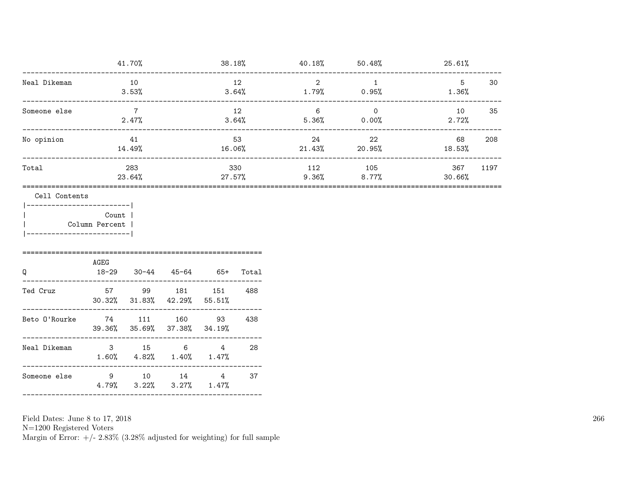|              | 41.70%        | 38.18%        | 40.18%       | 50.48%            | 25.61%        |      |
|--------------|---------------|---------------|--------------|-------------------|---------------|------|
| Neal Dikeman | 10<br>3.53%   | 12<br>3.64%   | 2<br>1.79%   | 0.95%             | 5<br>1.36%    | 30   |
| Someone else | 2.47%         | 12<br>3.64%   | 6<br>5.36%   | $\Omega$<br>0.00% | 10<br>2.72%   | 35   |
| No opinion   | 41<br>14.49%  | 53<br>16.06%  | 24<br>21.43% | 22<br>20.95%      | 68<br>18.53%  | 208  |
| Total        | 283<br>23.64% | 330<br>27.57% | 112<br>9.36% | 105<br>$8.77\%$   | 367<br>30.66% | 1197 |
|              |               |               |              |                   |               |      |

Cell Contents

|-------------------------| Count | Column Percent |  $\overline{1}$ 

 $|---------------$ 

| Q             | AGEG<br>18-29 |        | 30-44 45-64                                       | 65+ | Total |
|---------------|---------------|--------|---------------------------------------------------|-----|-------|
| Ted Cruz      | 57            |        | 99 181<br>$30.32\%$ $31.83\%$ $42.29\%$ $55.51\%$ | 151 | 488   |
| Beto O'Rourke | 74            | 111    | 160<br>39.36% 35.69% 37.38% 34.19%                | 93  | 438   |
| Neal Dikeman  | $\mathbf{3}$  | 15     | 6<br>$1.60\%$ $4.82\%$ $1.40\%$ $1.47\%$          | 4   | 28    |
| Someone else  | 9             | $10-1$ | 14<br>$4.79\%$ $3.22\%$ $3.27\%$ $1.47\%$         | 4   | 37    |

Field Dates: June 8 to 17, 2018

 ${\rm N}{=}1200$  Registered Voters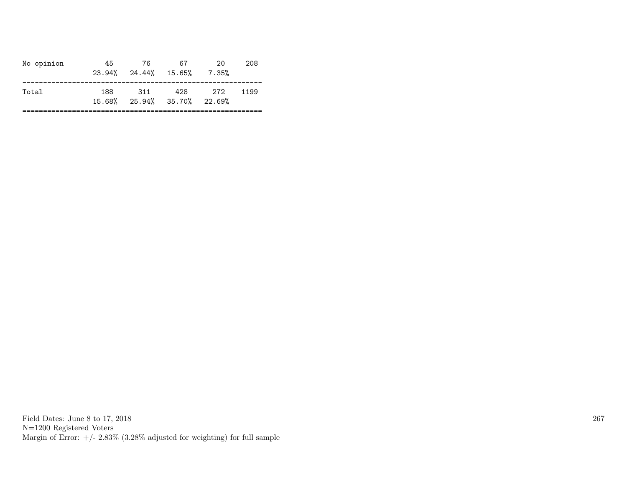| No opinion | 45  | 76.<br>$23.94\%$ $24.44\%$ $15.65\%$ | 67  | 20<br>7.35% | 208  |
|------------|-----|--------------------------------------|-----|-------------|------|
| Total      | 188 | 311<br>15.68% 25.94% 35.70% 22.69%   | 428 | - 272       | 1199 |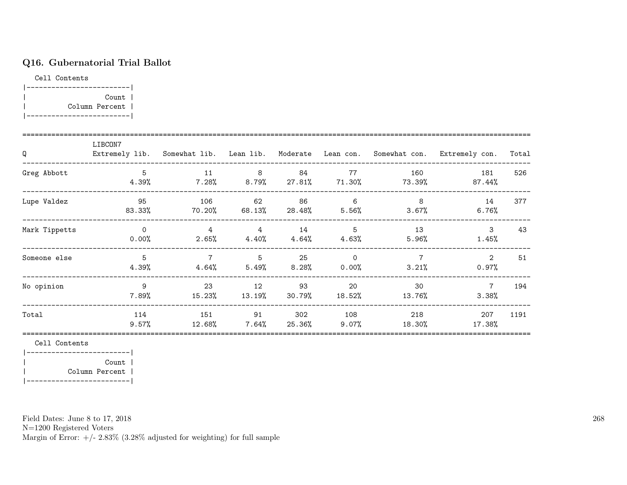# Q16. Gubernatorial Trial Ballot

Cell Contents

| Count          |  |
|----------------|--|
| Column Percent |  |
|                |  |

| Q             | LIBCON7           |                            |                             |                |                      |                         | Extremely lib. Somewhat lib. Lean lib. Moderate Lean con. Somewhat con. Extremely con. | Total |
|---------------|-------------------|----------------------------|-----------------------------|----------------|----------------------|-------------------------|----------------------------------------------------------------------------------------|-------|
| Greg Abbott   | 5<br>$4.39\%$     | 11<br>$7.28\%$             | 8<br>$8.79\%$ 27.81% 71.30% | - 84           | 77                   | 160<br>73.39%           | 181<br>$87.44\%$                                                                       | 526   |
| Lupe Valdez   | 95<br>83.33%      | 106<br>70.20%              | 62<br>68.13%                | 86<br>28.48%   | 6<br>$5.56\%$        | 8<br>3.67%              | 14<br>6.76%                                                                            | 377   |
| Mark Tippetts | $\Omega$<br>0.00% | 4<br>2.65%                 | 4<br>4.40%                  | 14<br>4.64%    | 5<br>4.63%           | 13<br>5.96%             | 3<br>1.45%                                                                             | 43    |
| Someone else  | 5<br>4.39%        | $\overline{7}$<br>$4.64\%$ | 5<br>5.49%                  | 25<br>$8.28\%$ | $\Omega$<br>$0.00\%$ | $\overline{7}$<br>3.21% | $\overline{2}$<br>$0.97\%$                                                             | 51    |
| No opinion    | 9<br>7.89%        | 23<br>15.23%               | 12<br>13.19%                | 93<br>30.79%   | 20<br>18.52%         | 30<br>13.76%            | $\overline{7}$<br>3.38%                                                                | 194   |
| Total         | 114<br>9.57%      | 151<br>12.68%              | 91<br>7.64%                 | 302<br>25.36%  | 108<br>$9.07\%$      | 218<br>18.30%           | 207<br>17.38%                                                                          | 1191  |

Cell Contents

|-------------------------| | Count | | Column Percent | |-------------------------|

Field Dates: June 8 to 17, 2018

N=1200 Registered Voters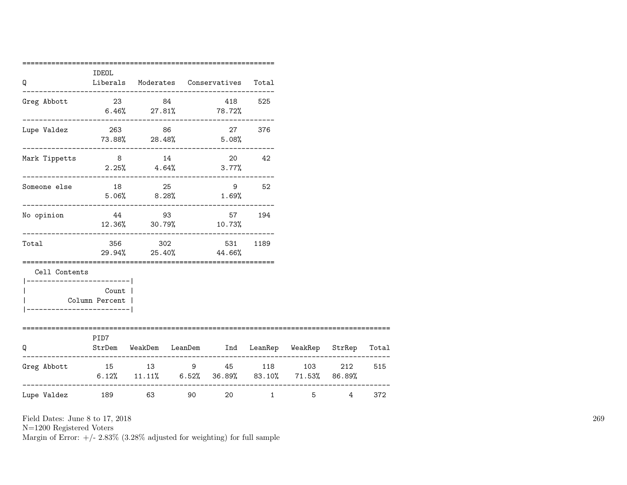| Q                                        | IDEOL                             | Liberals Moderates Conservatives Total                              |    |                  |              |         |            |     |
|------------------------------------------|-----------------------------------|---------------------------------------------------------------------|----|------------------|--------------|---------|------------|-----|
| Greg Abbott                              |                                   | 23 84<br>$6.46\%$ 27.81% 78.72%                                     |    |                  | 418 525      |         |            |     |
| Lupe Valdez                              | $73.88\%$ 28.48% 5.08%            | 263 86                                                              |    |                  | 27 376       |         |            |     |
| Mark Tippetts                            | 8 14                              | $2.25\%$ $4.64\%$ $3.77\%$                                          |    | 20 42            |              |         |            |     |
| Someone else                             |                                   | 18 25<br>$5.06\%$ 8.28% 1.69%                                       |    |                  | 9 52         |         |            |     |
| No opinion                               |                                   | 44 93<br>12.36% 30.79%                                              |    | 57 194<br>10.73% |              |         |            |     |
| Total                                    |                                   | 356 302<br>29.94% 25.40% 44.66%                                     |    | 531              | 1189         |         |            |     |
| Cell Contents<br>----------------------- | ----------------                  |                                                                     |    |                  |              |         |            |     |
| Column Percent                           | Count  <br>---------------------- |                                                                     |    |                  |              |         |            |     |
| ================================<br>O    | PID7                              | StrDem WeakDem LeanDem Ind LeanRep WeakRep StrRep Total             |    |                  |              |         |            |     |
| Greg Abbott 15 13 9 45 118 103 212       |                                   | $6.12\%$ $11.11\%$ $6.52\%$ $36.89\%$ $83.10\%$ $71.53\%$ $86.89\%$ |    |                  |              |         |            | 515 |
| Lupe Valdez                              | 189 63                            |                                                                     | 90 | 20               | $\mathbf{1}$ | $5 - 5$ | $4\degree$ | 372 |

N=1200 Registered Voters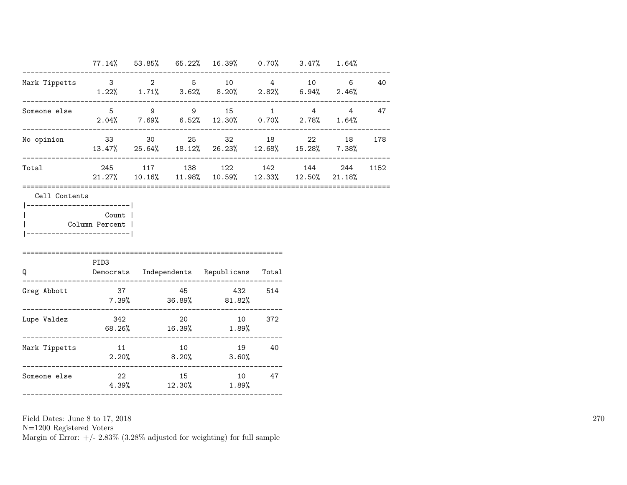|                                                                                            |       |  | 77.14% 53.85% 65.22% 16.39% 0.70% 3.47% 1.64%                                   |  |                |        |
|--------------------------------------------------------------------------------------------|-------|--|---------------------------------------------------------------------------------|--|----------------|--------|
| Mark Tippetts 3 2 5 10 4 10 6 40                                                           |       |  | $1.22\%$ $1.71\%$ $3.62\%$ $8.20\%$ $2.82\%$ $6.94\%$ $2.46\%$                  |  |                |        |
| Someone else 5 9 9 9 15 1 4 4 47                                                           |       |  | $2.04\%$ 7.69% 6.52% 12.30% 0.70% 2.78% 1.64%                                   |  | ______________ |        |
| No opinion                                                                                 |       |  | 33 30 25 32 18 22<br>13.47% 25.64% 18.12% 26.23% 12.68% 15.28% 7.38%            |  |                | 18 178 |
| Total                                                                                      |       |  | 245 117 138 122 142 144 244<br>21.27% 10.16% 11.98% 10.59% 12.33% 12.50% 21.18% |  |                | 1152   |
| Cell Contents<br>------------------------- <br>Column Percent  <br>----------------------- | Count |  |                                                                                 |  |                |        |
| $\Omega$                                                                                   | PID3  |  | Democrats Independents Republicans Total                                        |  |                |        |
| Greg Abbott<br>._____________________                                                      | 37    |  | 45 432 514<br>$7.39\%$ 36.89% 81.82%                                            |  |                |        |
| Lupe Valdez                                                                                |       |  | 342 20 10 372<br>$68.26\%$ 16.39% 1.89%                                         |  |                |        |
| Mark Tippetts                                                                              |       |  | 11 10 19 40<br>$2.20\%$ 8.20% 3.60%                                             |  |                |        |
| Someone else                                                                               | 22    |  | 15 10 47<br>$4.39\%$ $12.30\%$ $1.89\%$                                         |  |                |        |

N=1200 Registered Voters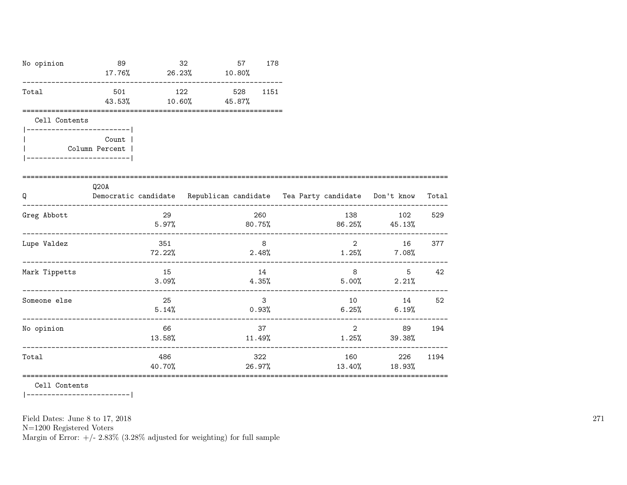| No opinion                  | 89                                    | 17.76% 26.23% 10.80% | 32               | 57            | 178                   |       |                                           |                                                                                                                                                                                                                                                                                                                                                               |      |
|-----------------------------|---------------------------------------|----------------------|------------------|---------------|-----------------------|-------|-------------------------------------------|---------------------------------------------------------------------------------------------------------------------------------------------------------------------------------------------------------------------------------------------------------------------------------------------------------------------------------------------------------------|------|
| Total                       | 501<br>43.53%                         | 122<br>10.60%        |                  | 528<br>45.87% | 1151                  |       |                                           |                                                                                                                                                                                                                                                                                                                                                               |      |
| Cell Contents               |                                       |                      |                  |               |                       |       |                                           |                                                                                                                                                                                                                                                                                                                                                               |      |
| ___________________________ | Count  <br>Column Percent             |                      |                  |               |                       |       |                                           |                                                                                                                                                                                                                                                                                                                                                               |      |
| Q                           | Q20A                                  |                      |                  |               |                       |       |                                           | Democratic candidate Republican candidate Tea Party candidate Don't know Total                                                                                                                                                                                                                                                                                |      |
| Greg Abbott                 |                                       | 29                   |                  |               | 260                   |       | 138                                       | 102<br>$5.97\%$ 80.75% 80.75% 86.25% 45.13%                                                                                                                                                                                                                                                                                                                   | 529  |
| Lupe Valdez                 |                                       | 351<br>72.22%        |                  |               | 8<br>2.48%            |       |                                           | $\overline{2}$<br>16 —<br>$1.25\%$ 7.08%                                                                                                                                                                                                                                                                                                                      | 377  |
| Mark Tippetts               |                                       | 15<br>3.09%          |                  |               | 14                    | 4.35% |                                           | $8 \overline{)}$<br>5<br>$5.00\%$ 2.21%                                                                                                                                                                                                                                                                                                                       | 42   |
| Someone else                | ------------------------------------- | 25<br>5.14%          | ________________ |               | $\mathbf{3}$<br>0.93% |       | 6.25%<br>________________________________ | 10 14 52<br>6.19%                                                                                                                                                                                                                                                                                                                                             |      |
| No opinion                  |                                       | 66<br>13.58%         |                  |               | 37<br>11.49%          |       |                                           | $\overline{2}$ and $\overline{2}$ and $\overline{2}$ and $\overline{2}$ and $\overline{2}$ and $\overline{2}$ and $\overline{2}$ and $\overline{2}$ and $\overline{2}$ and $\overline{2}$ and $\overline{2}$ and $\overline{2}$ and $\overline{2}$ and $\overline{2}$ and $\overline{2}$ and $\overline{2}$ and $\overline{2}$ and<br>89 —<br>$1.25\%$ 39.38% | 194  |
| Total                       |                                       | 486                  |                  |               | 322                   |       | 160                                       | 226                                                                                                                                                                                                                                                                                                                                                           | 1194 |

40.70% 26.97% 13.40% 18.93%

=======================================================================================================

Cell Contents

|-------------------------|

Field Dates: June 8 to 17, 2018

N=1200 Registered Voters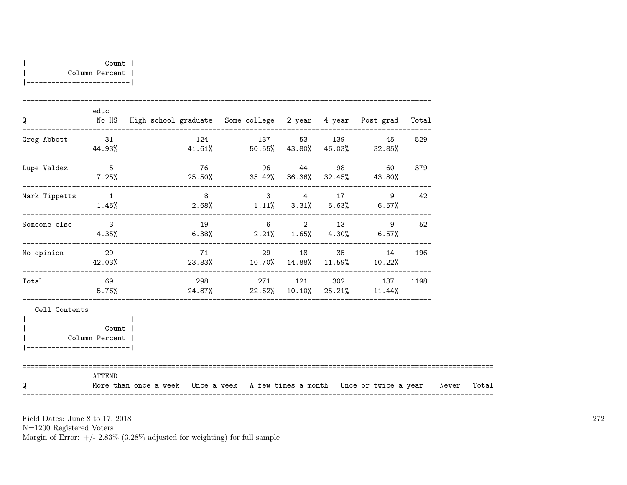| Q                                                        | educ                                 | No HS High school graduate Some college 2-year 4-year Post-grad Total                  |             |                |  |          |    |        |  |
|----------------------------------------------------------|--------------------------------------|----------------------------------------------------------------------------------------|-------------|----------------|--|----------|----|--------|--|
| Greg Abbott 31                                           |                                      | 124 137 53 139 45<br>$44.93\%$ $41.61\%$ $50.55\%$ $43.80\%$ $46.03\%$ $32.85\%$       |             |                |  |          |    | 529    |  |
| Lupe Valdez 5                                            | $7.25\%$                             | $25.50\%$ 35.42% 36.36% 32.45% 43.80%                                                  | 76 96 44 98 |                |  |          |    | 60 379 |  |
| Mark Tippetts                                            | $\sim$ 1                             | $1.45\%$ $2.68\%$ $1.11\%$ $3.31\%$ $5.63\%$ $6.57\%$                                  |             | $3 \t 4 \t 17$ |  |          | 9  | 42     |  |
| Someone else 3                                           | 4.35%                                | $6.38\%$ 2.21% 1.65% 4.30% 6.57%                                                       | 19 6 2 13 9 |                |  |          |    | 52     |  |
| No opinion                                               | 29                                   | $42.03\%$ 23.83% $10.70\%$ $14.88\%$ $11.59\%$ $10.22\%$                               | 71          |                |  | 29 18 35 | 14 | 196    |  |
| Total                                                    | 69<br>5.76%                          | 298 271 121 302 137<br>$24.87\%$ 22.62% 10.10% 25.21% 11.44%                           |             |                |  |          |    | 1198   |  |
| Cell Contents                                            |                                      |                                                                                        |             |                |  |          |    |        |  |
| __________________________<br>__________________________ | Count<br>Column Percent              |                                                                                        |             |                |  |          |    |        |  |
| Q                                                        | ==========================<br>ATTEND | More than once a week Once a week A few times a month Once or twice a year Never Total |             |                |  |          |    |        |  |

N=1200 Registered Voters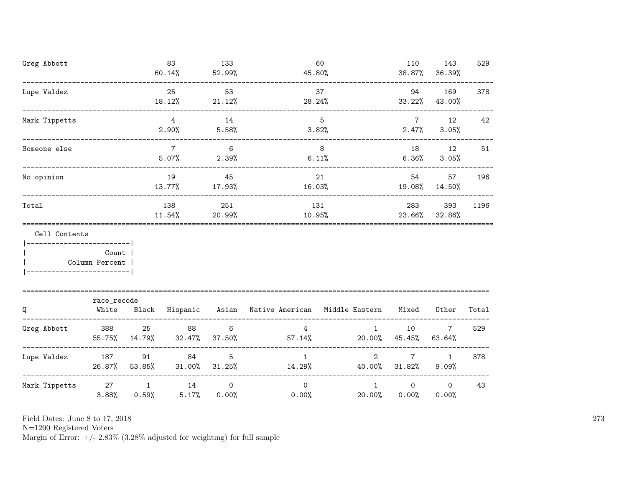| Greg Abbott                                                   |                      |                 | 83<br>60.14%              | 133<br>52.99%            |                                                     | 60<br>45.80%                           |                             | 143<br>38.87%<br>36.39%   | 529   |
|---------------------------------------------------------------|----------------------|-----------------|---------------------------|--------------------------|-----------------------------------------------------|----------------------------------------|-----------------------------|---------------------------|-------|
| Lupe Valdez                                                   |                      |                 | 25<br>18.12%              | 53<br>21.12%             | 28.24%                                              | 37                                     | 94<br>33.22%                | 169<br>43.00%             | 378   |
| Mark Tippetts                                                 |                      |                 | $\overline{4}$<br>2.90%   | 14<br>5.58%              |                                                     | 5<br>3.82%                             | $7\phantom{.0}$<br>$2.47\%$ | 12<br>3.05%               | 42    |
| Someone else                                                  |                      |                 | $7\overline{7}$<br>5.07%  | 6<br>2.39%               | 8 <sup>8</sup>                                      | 6.11%                                  | 18<br>6.36%                 | 12<br>3.05%               | 51    |
| No opinion                                                    |                      |                 | 19<br>13.77%              | 45<br>17.93%             | 16.03%                                              | 21                                     | 19.08%                      | 57<br>54 7<br>14.50%      | 196   |
| Total                                                         |                      |                 | 138<br>11.54%             | 251<br>20.99%            |                                                     | 131<br>10.95%                          |                             | 393<br>23.66%<br>32.86%   | 1196  |
| Cell Contents<br>----------------------- <br>  Column Percent | Count                |                 |                           |                          |                                                     |                                        |                             |                           |       |
| Q                                                             | race_recode<br>White |                 |                           |                          | Black Hispanic Asian Native American Middle Eastern |                                        | Mixed                       | Other                     | Total |
| Greg Abbott 388                                               | 55.75%               | 25<br>14.79%    | 88<br>$32.47\%$ $37.50\%$ | 6                        | 4<br>57.14%                                         | $\mathbf{1}$                           | 10<br>$20.00\%$ 45.45%      | $7\overline{ }$<br>63.64% | 529   |
| Lupe Valdez 187                                               | 26.87%               | 91<br>$53.85\%$ | 84<br>$31.00\%$           | 5<br>$31.25\%$           | $\mathbf{1}$                                        | $\overline{2}$<br>14.29% 40.00% 31.82% | $7\overline{ }$             | 1<br>9.09%                | 378   |
| Mark Tippetts                                                 | 3.88%                | 0.59%           | 27 1 14<br>5.17%          | $\mathsf{O}$<br>$0.00\%$ | $\Omega$<br>$0.00\%$                                | $\mathbf{1}$<br>20.00%                 | $\circ$<br>0.00%            | $\circ$<br>0.00%          | 43    |

N=1200 Registered Voters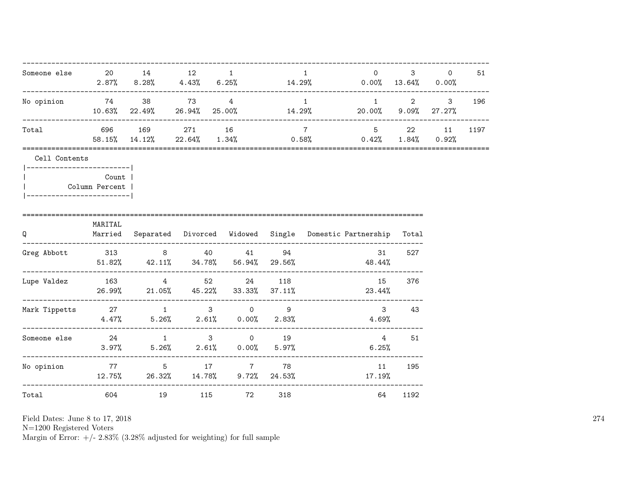| Someone else 20 14 12                        |                                |                                              | $\sim$ 1 | $\mathbf{1}$    | $\overline{0}$<br>$2.87\%$ $8.28\%$ $4.43\%$ $6.25\%$ $14.29\%$ $0.00\%$ $13.64\%$ $0.00\%$ |                        | $3 \sim$<br>$\circ$                 | 51   |
|----------------------------------------------|--------------------------------|----------------------------------------------|----------|-----------------|---------------------------------------------------------------------------------------------|------------------------|-------------------------------------|------|
| No opinion 574 38 573 573 574                |                                | $10.63\%$ 22.49% 26.94% 25.00% 14.29%        |          | $\overline{1}$  | 20.00% 9.09% 27.27%                                                                         | ---------------------- | $1 \qquad \qquad 2 \qquad \qquad 3$ | 196  |
| Total                                        |                                | 696 169 271 16                               |          | $7\overline{ }$ | 5 22 11<br>58.15% 14.12% 22.64% 1.34% 0.58% 0.42% 1.84% 0.92%                               |                        |                                     | 1197 |
| Cell Contents<br> ------------------------   |                                |                                              |          |                 |                                                                                             |                        |                                     |      |
| -------------------------                    | <b>Count</b><br>Column Percent |                                              |          |                 |                                                                                             |                        |                                     |      |
| Q                                            | MARITAL                        |                                              |          |                 | Married Separated Divorced Widowed Single Domestic-Partnership Total                        |                        |                                     |      |
| Greg Abbott 313 8 40 41 94                   |                                |                                              |          |                 | 31<br>$51.82\%$ $42.11\%$ $34.78\%$ $56.94\%$ $29.56\%$ $48.44\%$                           | 527                    |                                     |      |
| Lupe Valdez 163 4 52 24 118                  |                                | 26.99% 21.05% 45.22% 33.33% 37.11%           |          |                 | 15<br>$23.44\%$                                                                             | 376                    |                                     |      |
| Mark Tippetts 27 13 0 9                      |                                | $4.47\%$ 5.26% 2.61% 0.00% 2.83%             |          |                 | $3^{\circ}$<br>4.69%                                                                        | 43                     |                                     |      |
| Someone else $24$ and $1$ and $3$ and $19$   |                                | $3.97\%$ $5.26\%$ $2.61\%$ $0.00\%$ $5.97\%$ |          |                 | 6.25%                                                                                       | 4 51                   |                                     |      |
| _________________<br>No opinion 77 5 17 7 78 |                                |                                              |          |                 | $12.75\%$ 26.32% $14.78\%$ 9.72% 24.53% 17.19%                                              | 11 195                 |                                     |      |
| Total                                        |                                | 604 19 115 72 318                            |          |                 |                                                                                             | 64 1192                |                                     |      |

N=1200 Registered Voters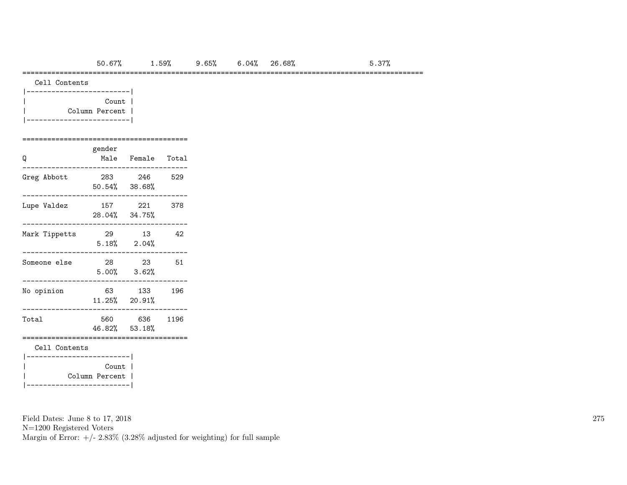### =================================================================================================

| Cell Contents |
|---------------|
|---------------|

| Count          |  |
|----------------|--|
| Column Percent |  |
|                |  |

#### ========================================

| Q             | gender<br>Male          | Female               | Total |
|---------------|-------------------------|----------------------|-------|
| Greg Abbott   | 283<br>$50.54\%$ 38.68% | 246                  | 529   |
| Lupe Valdez   | 157<br>28.04% 34.75%    | 221                  | 378   |
| Mark Tippetts | 29<br>5.18%             | - 13<br>2.04%        | 42    |
| Someone else  | 28<br>5.00%             | - 23<br>3.62%        | 51    |
| No opinion    | 63                      | 133<br>11.25% 20.91% | 196   |
| Total         | 560<br>46.82% 53.18%    | 636                  | 1196  |
| Cell Contents |                         |                      |       |
|               | Count<br>Column Percent |                      |       |

Field Dates: June 8 to 17, 2018

N=1200 Registered Voters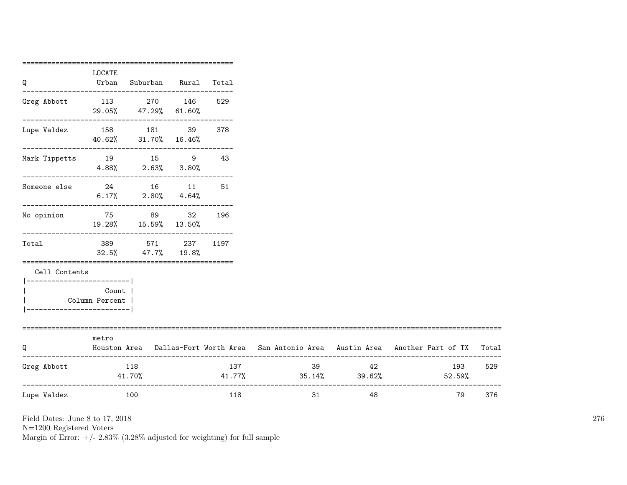| Q                                          | LOCATE<br>Urban           | Suburban Rural Total                                  |     |                         |       |                                                                                           |     |
|--------------------------------------------|---------------------------|-------------------------------------------------------|-----|-------------------------|-------|-------------------------------------------------------------------------------------------|-----|
| Greg Abbott 113 270 146 529                |                           | 29.05% 47.29% 61.60%                                  |     |                         |       |                                                                                           |     |
| Lupe Valdez  158  181  39  378             |                           | 40.62% 31.70% 16.46%                                  |     |                         |       |                                                                                           |     |
| Mark Tippetts 19 15 9                      |                           | $4.88\%$ $2.63\%$ $3.80\%$                            | 43  |                         |       |                                                                                           |     |
| Someone else                               |                           | 24 16 11<br>$6.17\%$ $2.80\%$ $4.64\%$                | 51  |                         |       |                                                                                           |     |
| No opinion 75 89 32                        |                           | 19.28% 15.59% 13.50%<br>_____________________________ | 196 |                         |       |                                                                                           |     |
| Total                                      |                           | 389 571 237 1197<br>$32.5\%$ $47.7\%$ $19.8\%$        |     |                         |       |                                                                                           |     |
| Cell Contents<br>------------------------- |                           |                                                       |     |                         |       |                                                                                           |     |
| ----------------------                     | Count  <br>Column Percent |                                                       |     |                         |       |                                                                                           |     |
| Q                                          | metro                     |                                                       |     |                         |       | Houston Area Dallas-Fort Worth Area San Antonio Area Austin Area Another Part of TX Total |     |
| Greg Abbott                                | 118                       | 41.70%                                                | 137 | $41.77\%$ 35.14% 39.62% | 39 42 | 193<br>52.59%                                                                             | 529 |
| Lupe Valdez                                | 100                       |                                                       | 118 | 31                      | 48    | 79                                                                                        | 376 |

N=1200 Registered Voters

Margin of Error:  $+/- 2.83\%$  (3.28% adjusted for weighting) for full sample

===================================================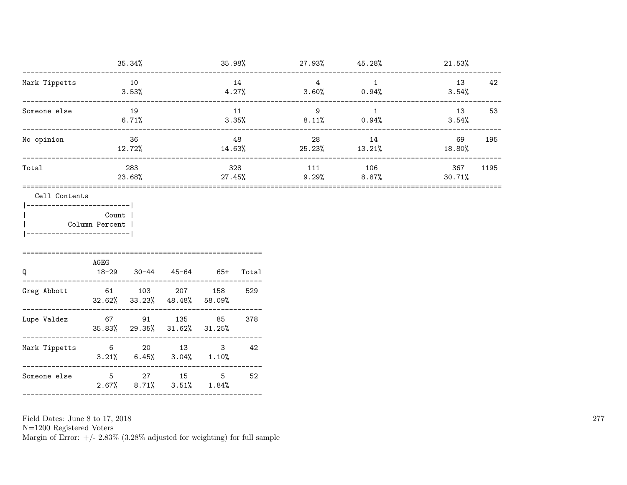|               | 35.34%        | 35.98%           | 27.93%       | 45.28%          | 21.53%        |      |
|---------------|---------------|------------------|--------------|-----------------|---------------|------|
| Mark Tippetts | 10<br>3.53%   | 14<br>4.27%      | 4<br>3.60%   | 0.94%           | 13<br>3.54%   | 42   |
| Someone else  | 19<br>6.71%   | 11<br>3.35%      | 9<br>8.11%   | 0.94%           | 13<br>3.54%   | 53   |
| No opinion    | 36<br>12.72%  | 48<br>14.63%     | 28<br>25.23% | 14<br>13.21%    | 69<br>18.80%  | 195  |
| Total         | 283<br>23.68% | 328<br>$27.45\%$ | 111<br>9.29% | 106<br>$8.87\%$ | 367<br>30.71% | 1195 |
| Cell Contents |               |                  |              |                 |               |      |

|-------------------------|

| Count |

| Column Percent | |-------------------------|

| Q             | AGEG<br>18-29 | 30-44 | 45-64                                       | 65+        | Total |
|---------------|---------------|-------|---------------------------------------------|------------|-------|
| Greg Abbott   | 61            | 103   | 207<br>$32.62\%$ $33.23\%$ $48.48\%$ 58.09% | 158        | 529   |
| Lupe Valdez   | 67            | 91    | 135<br>35.83% 29.35% 31.62% 31.25%          | 85         | 378   |
| Mark Tippetts | 6             | 20    | 13<br>$3.21\%$ 6.45% $3.04\%$ 1.10%         | 3          | 42    |
| Someone else  | 5             | 27    | 15<br>$2.67\%$ $8.71\%$ $3.51\%$            | 5<br>1.84% | 52    |
|               |               |       |                                             |            |       |

Field Dates: June 8 to 17, 2018

N=1200 Registered Voters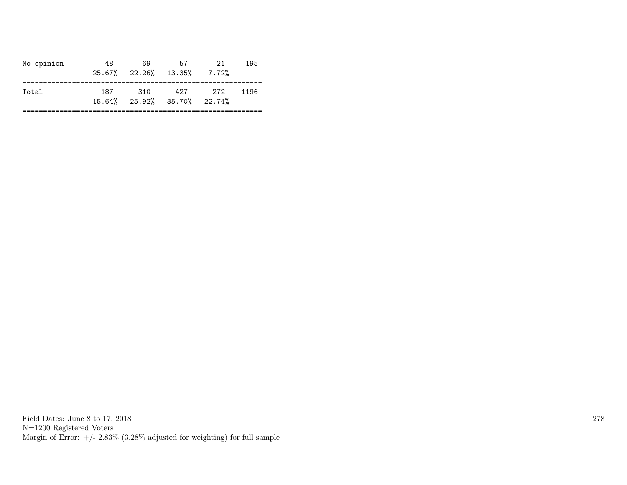| No opinion | 48. | 69<br>$25.67\%$ $22.26\%$ $13.35\%$ | 57                                             | 21<br>7.72% | 195  |
|------------|-----|-------------------------------------|------------------------------------------------|-------------|------|
| Total      | 187 | 310                                 | 427<br>$15.64\%$ $25.92\%$ $35.70\%$ $22.74\%$ | 272         | 1196 |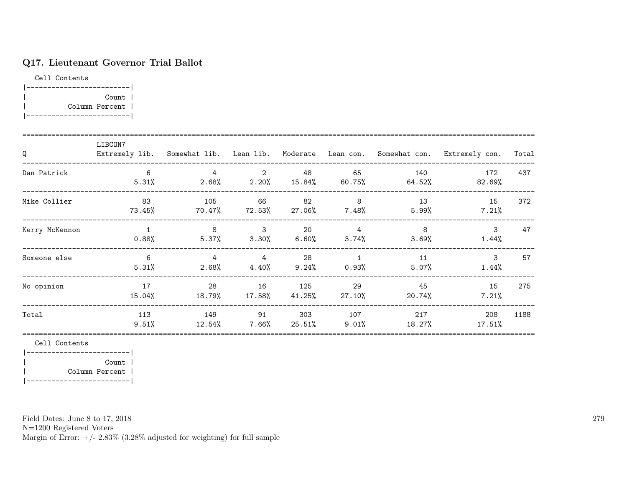# Q17. Lieutenant Governor Trial Ballot

Cell Contents |-------------------------| | Count | | Column Percent | |-------------------------|

| Q              | LIBCON7      |                  |                                   |               |                                |                     | Extremely lib. Somewhat lib. Lean lib. Moderate Lean con. Somewhat con. Extremely con. | Total |
|----------------|--------------|------------------|-----------------------------------|---------------|--------------------------------|---------------------|----------------------------------------------------------------------------------------|-------|
| Dan Patrick    | -6<br>5.31%  | 4<br>2.68%       | $\overline{2}$<br>2.20%           | 48            | 65<br>15.84% 60.75%            | 140<br>64.52%       | 172<br>$82.69\%$                                                                       | 437   |
| Mike Collier   | 83<br>73.45% | 105<br>$70.47\%$ | 66<br>72.53%                      | 82<br>27.06%  | 8<br>7.48%                     | 13<br>5.99%         | 15<br>7.21%                                                                            | 372   |
| Kerry McKennon | $0.88\%$     | 8                | $\mathbf{3}$<br>$5.37\%$ $3.30\%$ | 20            | 4<br>$6.60\%$ $3.74\%$         | 8<br>$3.69\%$       | 3<br>$1.44\%$                                                                          | 47    |
| Someone else   | 6<br>5.31%   | 4                | $\overline{4}$<br>$2.68\%$ 4.40%  | 28            | $\mathbf{1}$<br>$9.24\%$ 0.93% | 11<br>$5.07\%$      | $\mathcal{S}$<br>$1.44\%$                                                              | 57    |
| No opinion     | 17<br>15.04% | 28<br>$18.79\%$  | 16<br>17.58%                      | 125<br>41.25% | 29<br>27.10%                   | 45<br>20.74%        | 15<br>7.21%                                                                            | 275   |
| Total          | 113<br>9.51% | 149<br>12.54%    | 91<br>7.66%                       | 303<br>25.51% | $9.01\%$                       | 107 — 107<br>18.27% | 217<br>208<br>17.51%                                                                   | 1188  |

Cell Contents

|-------------------------| | Count | | Column Percent | |-------------------------|

Field Dates: June 8 to 17, 2018

N=1200 Registered Voters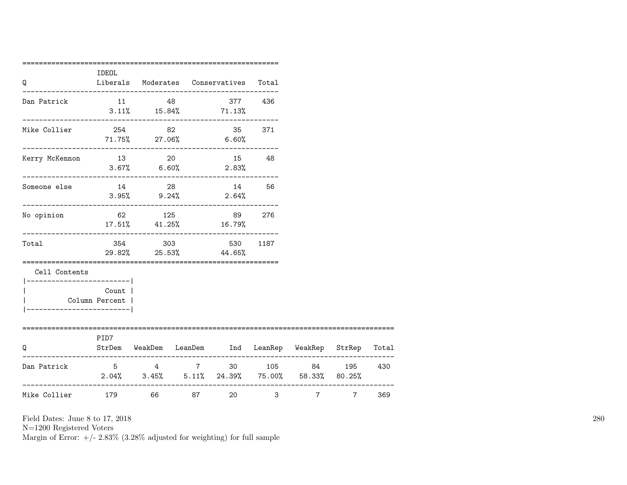| Q                                          | IDEOL                |         | Liberals Moderates Conservatives                                                              | Total   |        |           |     |
|--------------------------------------------|----------------------|---------|-----------------------------------------------------------------------------------------------|---------|--------|-----------|-----|
| Dan Patrick                                |                      | 11 48   | $3.11\%$ $15.84\%$ 71.13%                                                                     | 377 436 |        |           |     |
| Mike Collier                               | 254                  | 82      | $71.75\%$ 27.06% 6.60%                                                                        | 35 371  |        |           |     |
| Kerry McKennon                             | 13 20                |         | 15 48<br>$3.67\%$ 6.60% 2.83%                                                                 |         |        |           |     |
| ____________________<br>Someone else       |                      |         | 14 28 14 56<br>$3.95\%$ 9.24% 2.64%                                                           |         |        |           |     |
| No opinion                                 |                      | 62 125  | 89 276<br>17.51% 41.25% 16.79%                                                                |         |        |           |     |
| Total                                      |                      | 354 303 | 530<br>29.82% 25.53% 44.65%                                                                   | 1187    |        |           |     |
| Cell Contents<br>---------------------     |                      |         |                                                                                               |         |        |           |     |
| Column Percent  <br>---------------------- | Count                |         |                                                                                               |         |        |           |     |
| Q                                          | ============<br>PID7 |         | ============================<br>StrDem WeakDem LeanDem Ind LeanRep WeakRep StrRep Total       |         |        |           |     |
| Dan Patrick                                |                      |         | 5 4 7 30 105 84 195 430<br>$2.04\%$ $3.45\%$ $5.11\%$ $24.39\%$ $75.00\%$ $58.33\%$ $80.25\%$ |         |        |           |     |
| Mike Collier 179 66 87                     |                      |         |                                                                                               |         | 20 3 7 | $7 \quad$ | 369 |

N=1200 Registered Voters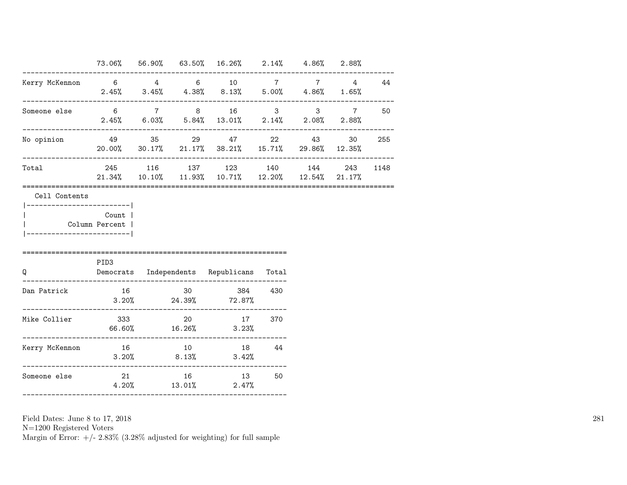|                                                                                          |       |    | 73.06% 56.90% 63.50% 16.26% 2.14% 4.86% 2.88%                                              |         |    |      |
|------------------------------------------------------------------------------------------|-------|----|--------------------------------------------------------------------------------------------|---------|----|------|
| Kerry McKennon 6    4    6    10    7    7    4    44                                    |       |    | $2.45\%$ $3.45\%$ $4.38\%$ $8.13\%$ $5.00\%$ $4.86\%$ $1.65\%$                             |         |    |      |
| Someone else 6 7 8 16 3 3 7 50                                                           |       |    | $2.45\%$ 6.03% 5.84% 13.01% 2.14% 2.08% 2.88%                                              |         |    |      |
| No opinion                                                                               |       |    | 49 35 29 47 22 43<br>$20.00\%$ $30.17\%$ $21.17\%$ $38.21\%$ $15.71\%$ $29.86\%$ $12.35\%$ |         | 30 | 255  |
| Total<br>:========================                                                       |       |    | 245 116 137 123 140 144 243<br>$21.34\%$ 10.10% 11.93% 10.71% 12.20% 12.54% 21.17%         |         |    | 1148 |
| Cell Contents<br>----------------------- <br>Column Percent  <br>----------------------- | Count |    |                                                                                            |         |    |      |
| $\mathsf Q$                                                                              | PID3  |    | Democrats Independents Republicans Total                                                   |         |    |      |
| Dan Patrick                                                                              | 16    | 30 | $3.20\%$ 24.39% 72.87%                                                                     | 384 430 |    |      |
|                                                                                          |       |    | $66.60\%$ 16.26% 3.23%                                                                     |         |    |      |
| Kerry McKennon                                                                           |       |    | 16 10 18 44<br>$3.20\%$ 8.13% 3.42%                                                        |         |    |      |
| Someone else                                                                             |       |    | 21 16 13<br>$4.20\%$ $13.01\%$ $2.47\%$                                                    | 50      |    |      |

N=1200 Registered Voters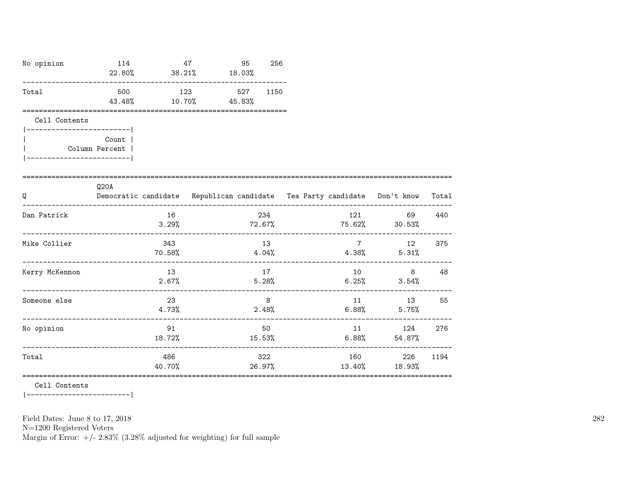| No opinion                                                                                 | 114                               | 47            | 95<br>$22.80\%$ $38.21\%$ $18.03\%$ |                            | 256  |                 |                                                                          |       |
|--------------------------------------------------------------------------------------------|-----------------------------------|---------------|-------------------------------------|----------------------------|------|-----------------|--------------------------------------------------------------------------|-------|
| Total                                                                                      | 43.48%                            | 10.70%        | 500 123<br>45.83%                   | 527                        | 1150 |                 |                                                                          |       |
| Cell Contents<br>----------------------- <br>Column Percent  <br>_________________________ | Count                             |               |                                     |                            |      |                 |                                                                          |       |
| Q                                                                                          | ---------------------<br>Q20A     |               |                                     |                            |      |                 | Democratic candidate Republican candidate Tea Party candidate Don't know | Total |
| Dan Patrick                                                                                |                                   | 16<br>3.29%   |                                     | 234                        |      |                 | 121 69<br>$72.67\%$ $75.62\%$ 30.53%                                     | 440   |
| Mike Collier                                                                               |                                   | 343<br>70.58% | $4.04%$ $4.38%$                     | 13                         |      | $7\overline{ }$ | 12<br>5.31%                                                              | 375   |
| Kerry McKennon                                                                             | --------------------------------- | 13<br>2.67%   |                                     | 17                         |      | 10              | 8<br>$5.28\%$ 6.25% 3.54%                                                | 48    |
| Someone else                                                                               |                                   | 23<br>4.73%   |                                     | 8 <sup>8</sup><br>$2.48\%$ |      | 6.88%           | 11 13<br>5.75%                                                           | 55    |
| No opinion                                                                                 |                                   | 91<br>18.72%  |                                     | 50<br>15.53%               |      |                 | 124<br>$6.88\%$ $54.87\%$                                                | 276   |
| Total                                                                                      |                                   | 486<br>40.70% |                                     | 322<br>26.97%              |      | 13.40%          | 160 000<br>226<br>18.93%                                                 | 1194  |

========================================================================================================

Cell Contents

|-------------------------|

Field Dates: June 8 to 17, 2018

N=1200 Registered Voters

Margin of Error:  $+/- 2.83\%$  (3.28% adjusted for weighting) for full sample

282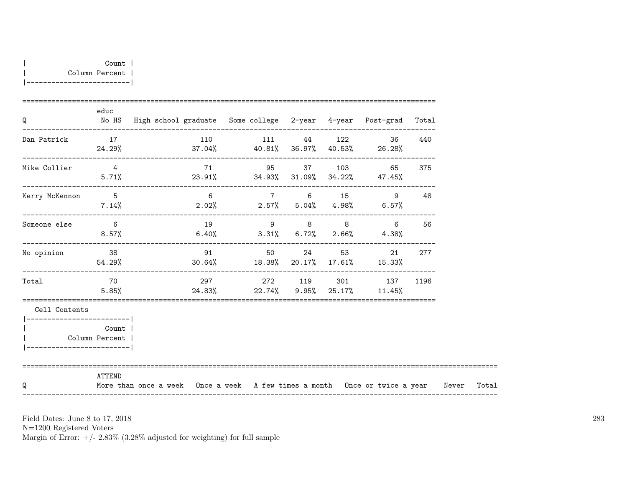| Count 1        |  |
|----------------|--|
| Column Percent |  |
|                |  |

| Q                           | educ                      | No HS High school graduate Some college 2-year 4-year Post-grad Total                  |                |  |          |                                                             |        |  |
|-----------------------------|---------------------------|----------------------------------------------------------------------------------------|----------------|--|----------|-------------------------------------------------------------|--------|--|
| Dan Patrick                 | 17                        | $24.29\%$ $37.04\%$ $40.81\%$ $36.97\%$ $40.53\%$ $26.28\%$                            | 110 111 44 122 |  |          | 36                                                          | 440    |  |
| Mike Collier                | $\overline{4}$<br>5.71%   | $23.91\%$ $34.93\%$ $31.09\%$ $34.22\%$ $47.45\%$                                      | 71 95 37 103   |  |          |                                                             | 65 375 |  |
| Kerry McKennon 5            | 7.14%                     | $2.02\%$ $2.57\%$ $5.04\%$ $4.98\%$ $6.57\%$                                           | $\overline{6}$ |  | 7 6 15   | 9                                                           | 48     |  |
| Someone else 6              | $8.57\%$                  |                                                                                        |                |  |          | 19 9 8 8 6<br>$6.40\%$ $3.31\%$ $6.72\%$ $2.66\%$ $4.38\%$  | 56     |  |
| No opinion                  | 38                        | $54.29\%$ 30.64% $18.38\%$ 20.17% $17.61\%$ 15.33%                                     | 91             |  | 50 24 53 | 21                                                          | 277    |  |
| Total                       | <b>2012</b><br>5.85%      |                                                                                        |                |  |          | 297 272 119 301 137<br>$24.83\%$ 22.74% 9.95% 25.17% 11.45% | 1196   |  |
| Cell Contents               |                           |                                                                                        |                |  |          |                                                             |        |  |
| ___________________________ | Count  <br>Column Percent |                                                                                        |                |  |          |                                                             |        |  |
| Q                           | ATTEND                    | More than once a week Once a week A few times a month Once or twice a year Never Total |                |  |          |                                                             |        |  |

N=1200 Registered Voters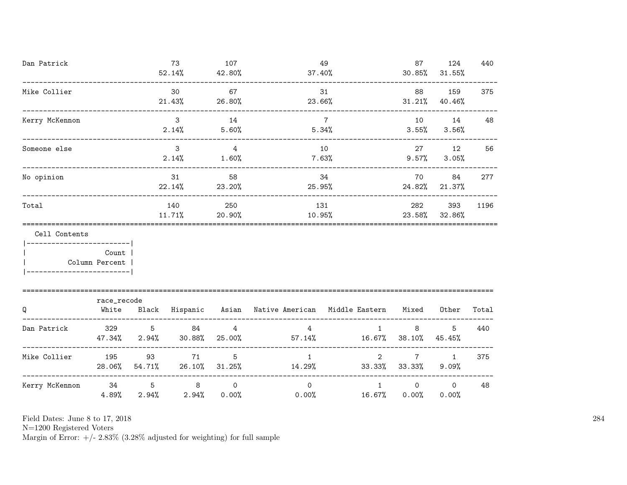| Dan Patrick                                   |             |       | 73<br>$52.14\%$ $42.80\%$       | 107                      | 37.40%                                              | 49                                     | 87<br>30.85%          | 124<br>31.55%    | 440   |
|-----------------------------------------------|-------------|-------|---------------------------------|--------------------------|-----------------------------------------------------|----------------------------------------|-----------------------|------------------|-------|
| Mike Collier                                  |             |       | 30<br>21.43%                    | 67<br>26.80%             | 23.66%                                              | 31                                     | 88<br>31.21%          | 159<br>40.46%    | 375   |
| Kerry McKennon                                |             |       | $\mathbf{3}$<br>$2.14\%$        | 14<br>5.60%              |                                                     | $7\overline{ }$<br>5.34%               | 10<br>3.55%           | 14<br>3.56%      | 48    |
| Someone else                                  |             |       | $\mathbf{3}$<br>2.14%           | 4<br>1.60%               | 10                                                  | $7.63\%$                               | 27<br>$9.57\%$        | 12<br>3.05%      | 56    |
| No opinion                                    |             |       | 31<br>22.14%                    | 58<br>23.20%             | 34<br>25.95%                                        |                                        | 70<br>24.82%          | 84<br>21.37%     | 277   |
| Total                                         |             |       | 140<br>11.71%                   | 250<br>$20.90\%$         |                                                     | 131<br>10.95%                          |                       |                  | 1196  |
| Cell Contents<br>_________________________    |             |       |                                 |                          |                                                     |                                        |                       |                  |       |
| Column Percent  <br>------------------------- | Count       |       |                                 |                          |                                                     |                                        |                       |                  |       |
|                                               | race_recode |       |                                 |                          |                                                     |                                        |                       |                  |       |
| Q                                             | White       |       |                                 |                          | Black Hispanic Asian Native-American Middle-Eastern |                                        | Mixed                 | Other            | Total |
| Dan Patrick                                   |             |       | 329 5 84<br>47.34% 2.94% 30.88% | $\overline{4}$<br>25.00% | 4                                                   | $\mathbf{1}$<br>$57.14\%$ 16.67%       | 8<br>38.10%           | 5<br>45.45%      | 440   |
| Mike Collier 195                              | 28.06%      |       | 71<br>54.71% 26.10% 31.25%      | 5                        | $\mathbf{1}$                                        | $\overline{2}$<br>14.29% 33.33% 33.33% | $7\overline{ }$       | 1<br>9.09%       | 375   |
| Kerry McKennon                                | 4.89%       | 2.94% | $34$ 5 8<br>$2.94\%$            | $\Omega$<br>0.00%        | $\Omega$<br>$0.00\%$                                | 1<br>$16.67\%$                         | $\mathsf{O}$<br>0.00% | $\circ$<br>0.00% | 48    |

N=1200 Registered Voters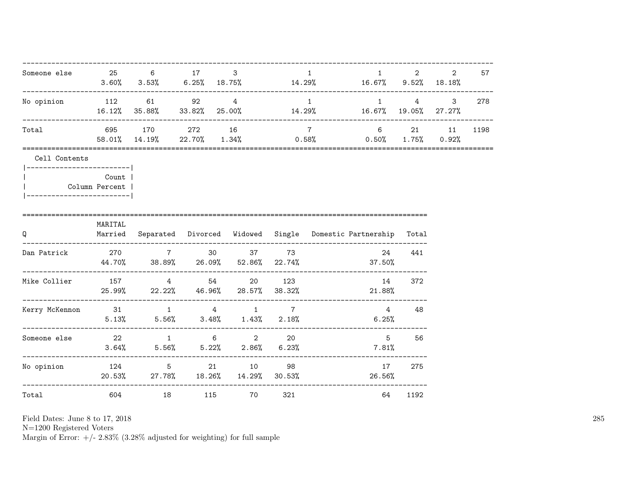| Someone else 25 6 17                                                                            |                |                                              | 3 | $\mathbf{1}$    | $1 \qquad \qquad$<br>$3.60\%$ $3.53\%$ $6.25\%$ $18.75\%$ $14.29\%$ $16.67\%$ $9.52\%$ $18.18\%$ | $2 \left( \frac{1}{2} \right)$ | 2     | 57   |
|-------------------------------------------------------------------------------------------------|----------------|----------------------------------------------|---|-----------------|--------------------------------------------------------------------------------------------------|--------------------------------|-------|------|
| No opinion 112 61 92 4                                                                          |                |                                              |   | $\overline{1}$  | $16.12\%$ 35.88% 33.82% 25.00% 14.29% 16.67% 19.05% 27.27%                                       |                                | 1 4 3 | 278  |
| Total                                                                                           |                | 695 170 272 16                               |   | $7\overline{7}$ | 6 21 11<br>58.01% 14.19% 22.70% 1.34% 0.58% 0.50% 1.75% 0.92%                                    |                                |       | 1198 |
| Cell Contents<br> ------------------------- <br>Column Percent  <br>___________________________ | <b>Count</b> 1 |                                              |   |                 |                                                                                                  |                                |       |      |
| Q                                                                                               | MARITAL        | ---------------------------                  |   |                 | Married Separated Divorced Widowed Single Domestic Partnership Total                             |                                |       |      |
| Dan Patrick                                                                                     |                | 270 7 30 37 73                               |   |                 | 24<br>$44.70\%$ 38.89% 26.09% 52.86% 22.74% 37.50%                                               | 441                            |       |      |
| Mike Collier $157$ 4 54 20 123                                                                  |                | $25.99\%$ 22.22% 46.96% 28.57% 38.32%        |   |                 | 14<br>21.88%                                                                                     | 372                            |       |      |
| Kerry McKennon and 31 and 31 and 4 and 4 and 7                                                  |                | $5.13\%$ $5.56\%$ $3.48\%$ $1.43\%$ $2.18\%$ |   |                 | $6.25\%$                                                                                         | 4 48                           |       |      |
| Someone else 22 1 6 2 20                                                                        |                | $3.64\%$ $5.56\%$ $5.22\%$ $2.86\%$ $6.23\%$ |   |                 |                                                                                                  | $5^{\circ}$<br>56<br>7.81%     |       |      |
| --------------------------------<br>No opinion 124 5 21 10 98                                   |                | 20.53% 27.78% 18.26% 14.29% 30.53%           |   |                 | 17<br>26.56%                                                                                     | 275                            |       |      |
| Total                                                                                           |                | 604 18 115 70 321                            |   |                 |                                                                                                  | 64 1192                        |       |      |

N=1200 Registered Voters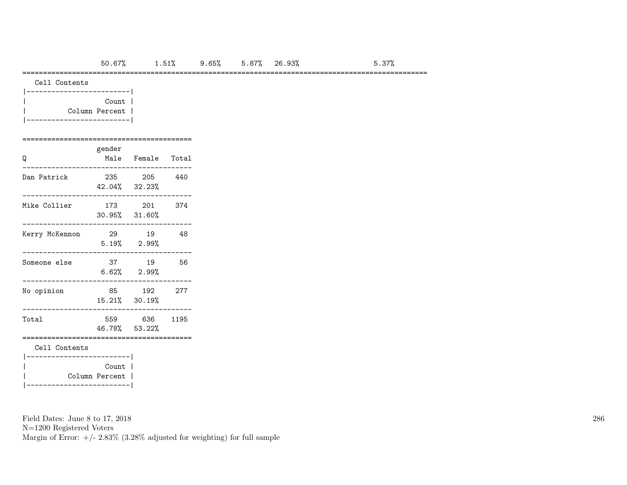## ==================================================================================================

Cell Contents

| Count          |  |
|----------------|--|
| Column Percent |  |
|                |  |

### =========================================

| Q              | gender<br>Male                          | Female Total            |      |
|----------------|-----------------------------------------|-------------------------|------|
| Dan Patrick    | 235<br>42.04% 32.23%                    | 205                     | 440  |
| Mike Collier   | 173<br>$30.95\%$ $31.60\%$              | 201                     | 374  |
| Kerry McKennon | - 29                                    | 19<br>$5.19\%$ 2.99%    | 48   |
| Someone else   | 37                                      | 19<br>$6.62\%$ $2.99\%$ | 56   |
| No opinion     | 85<br>15.21% 30.19%                     | 192                     | 277  |
| Total          | 559<br>46.78% 53.22%                    | 636                     | 1195 |
| Cell Contents  |                                         |                         |      |
|                | Count<br>Column Percent  <br>__________ |                         |      |

Field Dates: June 8 to 17, 2018

N=1200 Registered Voters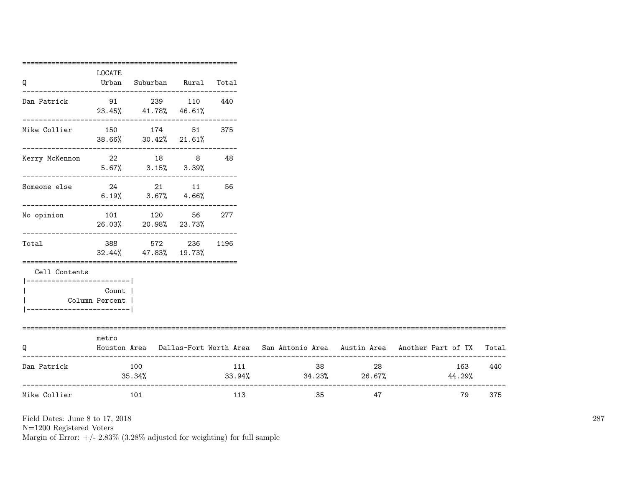|                                                      | =============<br>LOCATE   |                                                               |     |                               |                |                                                                                     |       |
|------------------------------------------------------|---------------------------|---------------------------------------------------------------|-----|-------------------------------|----------------|-------------------------------------------------------------------------------------|-------|
| Q                                                    |                           | Urban Suburban Rural Total                                    |     |                               |                |                                                                                     |       |
| Dan Patrick                                          |                           | 91 239 110 440<br>23.45% 41.78% 46.61%                        |     |                               |                |                                                                                     |       |
|                                                      |                           | -------------------------------------<br>38.66% 30.42% 21.61% |     |                               |                |                                                                                     |       |
| Kerry McKennon 22 18 8 48                            |                           | $5.67\%$ $3.15\%$ $3.39\%$                                    |     |                               |                |                                                                                     |       |
| Someone else                                         |                           | 24 21 11 56<br>$6.19\%$ $3.67\%$ $4.66\%$                     |     |                               |                |                                                                                     |       |
| No opinion                                           |                           | 101 120 56 277<br>26.03% 20.98% 23.73%                        |     |                               |                |                                                                                     |       |
| Total                                                |                           | 388 572 236 1196<br>32.44% 47.83% 19.73%                      |     |                               |                |                                                                                     |       |
| Cell Contents                                        |                           |                                                               |     |                               |                |                                                                                     |       |
| __________________________<br>---------------------- | Count  <br>Column Percent |                                                               |     |                               |                |                                                                                     |       |
| Q                                                    | ===============<br>metro  |                                                               |     |                               |                | Houston Area Dallas-Fort Worth Area San Antonio Area Austin Area Another Part of TX | Total |
| Dan Patrick                                          |                           | 100<br>35.34%                                                 | 111 | $33.94\%$ $34.23\%$ $26.67\%$ | $38 - 1$<br>28 | 163<br>44.29%                                                                       | 440   |
| Mike Collier                                         | 101                       |                                                               | 113 | 35                            | 47             | _______________<br>79                                                               | 375   |

N=1200 Registered Voters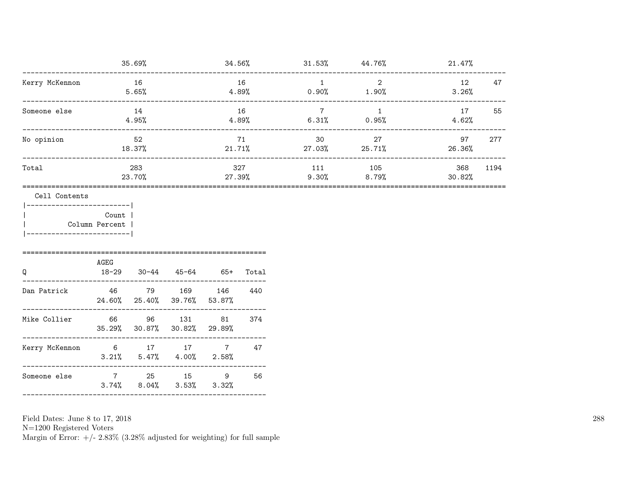|                                                                              |                                                                                      | 35.69%         |                                     | 34.56% |       |                                         | $31.53\%$ $44.76\%$     | 21.47%                           |      |
|------------------------------------------------------------------------------|--------------------------------------------------------------------------------------|----------------|-------------------------------------|--------|-------|-----------------------------------------|-------------------------|----------------------------------|------|
| Kerry McKennon                                                               |                                                                                      | 16<br>$5.65\%$ |                                     |        | 16    | $1 \quad \blacksquare$                  | $\overline{\mathbf{c}}$ | 12<br>$4.89\%$ 0.90% 1.90% 3.26% | 47   |
| Someone else                                                                 |                                                                                      | 14<br>4.95%    |                                     | 16     |       | $7\overline{ }$<br>$4.89\%$ 6.31% 0.95% | $\overline{\mathbf{1}}$ | 4.62%                            | 55   |
| No opinion                                                                   |                                                                                      | 52             |                                     |        | 71    | $18.37\%$ 21.71% 27.03% 25.71%          | 30 <sup>2</sup><br>27   | 97<br>26.36%                     | 277  |
| Total                                                                        |                                                                                      | 283<br>23.70%  |                                     |        | 327   | $27.39\%$ 9.30% 8.79%                   | 111 105                 | 368<br>30.82%                    | 1194 |
| __________________________<br>=================================<br>Q         | ------------------- <br>Count  <br>Column Percent  <br>AGEG<br>18-29 30-44 45-64 65+ |                |                                     |        | Total |                                         |                         |                                  |      |
| Dan Patrick $46$ 79 169 146 440                                              | 24.60% 25.40% 39.76% 53.87%                                                          |                |                                     |        |       |                                         |                         |                                  |      |
| __________________<br>Mike Collier 66 96 131 81 374<br>--------------------- | 35.29% 30.87% 30.82% 29.89%                                                          |                |                                     |        |       |                                         |                         |                                  |      |
| Kerry McKennon 6 17 17 7 47                                                  |                                                                                      |                | $3.21\%$ $5.47\%$ $4.00\%$ $2.58\%$ |        |       |                                         |                         |                                  |      |
| Someone else                                                                 | 7 25 15 9                                                                            |                | $3.74\%$ $8.04\%$ $3.53\%$ $3.32\%$ |        | 56    |                                         |                         |                                  |      |

N=1200 Registered Voters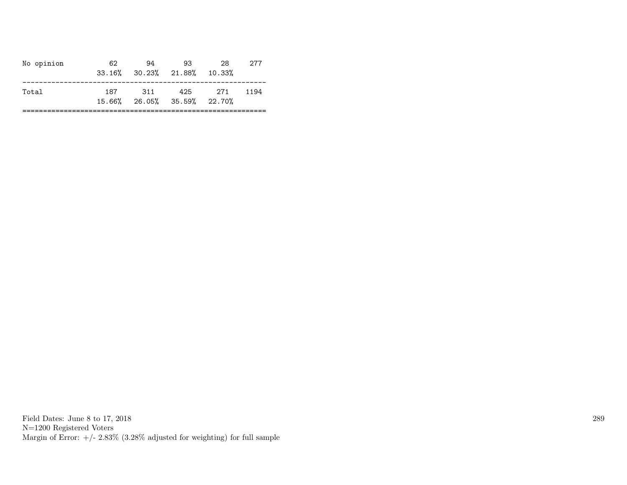| No opinion | 62. | 94  | 93.<br>33.16% 30.23% 21.88% 10.33% | 28  | 277  |
|------------|-----|-----|------------------------------------|-----|------|
| Total      | 187 | 311 | 425<br>15.66% 26.05% 35.59% 22.70% | 271 | 1194 |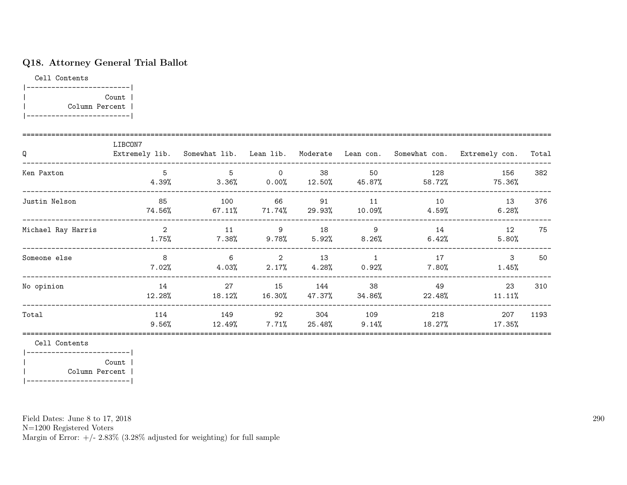# Q18. Attorney General Trial Ballot

Cell Contents

|-------------------------| | Count | | Column Percent | |-------------------------|

| Q                  | LIBCON7       |                |                            |                         |                     | Extremely lib. Somewhat lib. Lean lib. Moderate Lean con. Somewhat con. | Extremely con. | Total |
|--------------------|---------------|----------------|----------------------------|-------------------------|---------------------|-------------------------------------------------------------------------|----------------|-------|
| Ken Paxton         | 5<br>4.39%    | 5<br>$3.36\%$  | $\circ$<br>$0.00\%$ 12.50% | 38                      | 50<br>45.87%        | 128<br>58.72%                                                           | 156<br>75.36%  | 382   |
| Justin Nelson      | 85<br>74.56%  | 100<br>67.11%  | 66<br>$71.74\%$            | 91                      | 11<br>29.93% 10.09% | 10<br>$4.59\%$                                                          | 13<br>6.28%    | 376   |
| Michael Ray Harris | 2<br>1.75%    | 11<br>$7.38\%$ | 9<br>$9.78\%$ 5.92%        | 18                      | 9<br>$8.26\%$       | 14<br>6.42%                                                             | 12<br>5.80%    | 75    |
| Someone else       | 8<br>$7.02\%$ | 6<br>4.03%     | 2                          | 13<br>$2.17\%$ $4.28\%$ | 1<br>$0.92\%$       | 17<br>$7.80\%$                                                          | 3<br>$1.45\%$  | 50    |
| No opinion         | 14<br>12.28%  | 27<br>18.12%   | 15<br>16.30%               | 144<br>47.37%           | 38<br>34.86%        | 49<br>22.48%                                                            | 23<br>11.11%   | 310   |
| Total              | 114<br>9.56%  | 149<br>12.49%  | 92<br>$7.71\%$             | 304<br>25.48%           | 109<br>9.14%        | 218<br>18.27%                                                           | 207<br>17.35%  | 1193  |

Cell Contents

|-------------------------| | Count | | Column Percent | |-------------------------|

Field Dates: June 8 to 17, 2018

N=1200 Registered Voters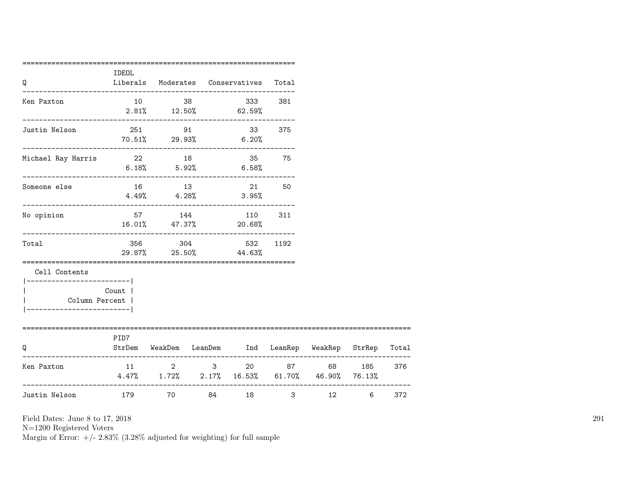| Q                               | IDEOL                                                              |                                      | Liberals Moderates Conservatives Total    |        |                                                         |                         |     |
|---------------------------------|--------------------------------------------------------------------|--------------------------------------|-------------------------------------------|--------|---------------------------------------------------------|-------------------------|-----|
| Ken Paxton                      |                                                                    | 10 38                                | $2.81\%$ $12.50\%$ 62.59%                 | 381    |                                                         |                         |     |
| Justin Nelson                   | $70.51\%$ 29.93% 6.20%                                             | 251 91                               |                                           | 33 375 |                                                         |                         |     |
| Michael Ray Harris              | 22 18 35 75                                                        |                                      | $6.18\%$ $5.92\%$ $6.58\%$                |        |                                                         |                         |     |
| Someone else                    |                                                                    |                                      | 16 13 21 50<br>$4.49\%$ $4.28\%$ $3.95\%$ |        |                                                         |                         |     |
| No opinion                      |                                                                    | 57 144                               | 110 311<br>16.01% 47.37% 20.68%           |        |                                                         |                         |     |
| Total                           |                                                                    |                                      | 356 304 532 1192<br>29.87% 25.50% 44.63%  |        |                                                         |                         |     |
| Cell Contents<br>Column Percent | Count                                                              |                                      |                                           |        |                                                         |                         |     |
| O                               | PID7                                                               |                                      |                                           |        | StrDem WeakDem LeanDem Ind LeanRep WeakRep StrRep Total |                         |     |
| Ken Paxton                      | $4.47\%$ $1.72\%$ $2.17\%$ $16.53\%$ $61.70\%$ $46.90\%$ $76.13\%$ | $11 \qquad \qquad 2 \qquad \qquad 3$ |                                           |        | 20 87 68 185                                            |                         | 376 |
| Justin Nelson                   | 179                                                                | 70 — 20                              | 84 — 10                                   | 18 7   | $3 \sim$                                                | 12<br>$6 \qquad \qquad$ | 372 |

N=1200 Registered Voters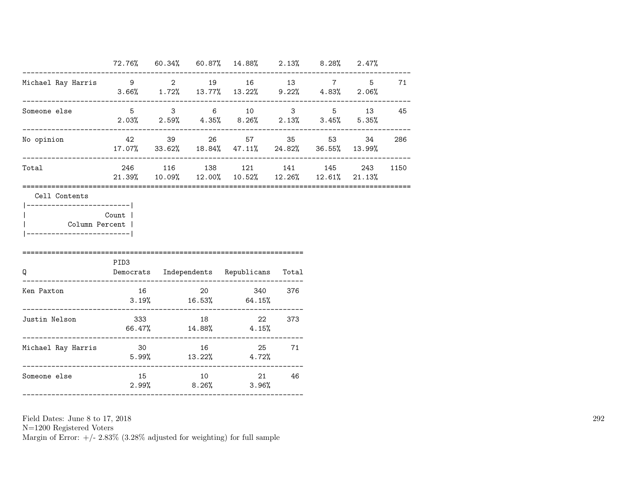|                                                                                |                                                                  |        | $72.76\%$ 60.34% 60.87% 14.88% 2.13% 8.28% 2.47%                               |        |     |      |
|--------------------------------------------------------------------------------|------------------------------------------------------------------|--------|--------------------------------------------------------------------------------|--------|-----|------|
| Michael Ray Harris 9 2 19 16 13 7 5                                            | $3.66\%$ $1.72\%$ $13.77\%$ $13.22\%$ $9.22\%$ $4.83\%$ $2.06\%$ |        |                                                                                |        |     | 71   |
| Someone else                                                                   | $5 \t 3 \t 6 \t 10 \t 3 \t 5 \t 13 \t 45$                        |        | $2.03\%$ $2.59\%$ $4.35\%$ $8.26\%$ $2.13\%$ $3.45\%$ $5.35\%$                 |        |     |      |
| No opinion                                                                     |                                                                  |        | 42 39 26 57 35 53<br>$17.07\%$ 33.62% $18.84\%$ 47.11% $24.82\%$ 36.55% 13.99% |        | 34  | 286  |
| Total                                                                          |                                                                  |        | 246 116 138 121 141 145<br>21.39% 10.09% 12.00% 10.52% 12.26% 12.61% 21.13%    |        | 243 | 1150 |
|                                                                                |                                                                  |        |                                                                                |        |     |      |
| Column Percent  <br>-----------------------                                    | Count  <br>PID <sub>3</sub>                                      |        |                                                                                |        |     |      |
|                                                                                |                                                                  |        | Democrats Independents Republicans Total                                       |        |     |      |
|                                                                                | 16                                                               |        | 20 340 376<br>$3.19\%$ 16.53% 64.15%                                           |        |     |      |
| Q<br>Ken Paxton<br>Justin Nelson                                               | $66.47\%$ 14.88% $4.15\%$                                        | 333 18 |                                                                                | 22 373 |     |      |
| --------------------------<br>Michael Ray Harris<br>-------------------------- | 30 16                                                            |        | $5.99\%$ $13.22\%$ $4.72\%$                                                    | 25 71  |     |      |

N=1200 Registered Voters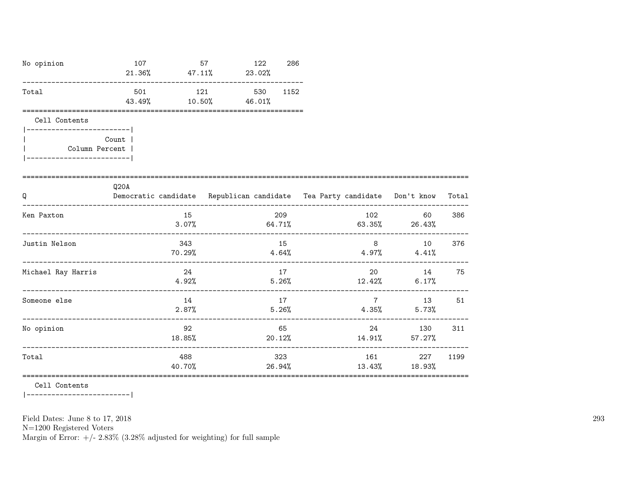| No opinion                                              | 107<br>------------------------------  |               | 57<br>$21.36\%$ $47.11\%$ $23.02\%$ | 122            | 286  |                                                                          |                                       |       |
|---------------------------------------------------------|----------------------------------------|---------------|-------------------------------------|----------------|------|--------------------------------------------------------------------------|---------------------------------------|-------|
| Total                                                   | 501<br>43.49%                          | 121<br>10.50% | 46.01%                              | 530            | 1152 |                                                                          |                                       |       |
| Cell Contents<br>____________________<br>Column Percent | Count                                  |               |                                     |                |      |                                                                          |                                       |       |
| Q                                                       | Q20A                                   |               |                                     |                |      | Democratic candidate Republican candidate Tea Party candidate Don't know |                                       | Total |
| Ken Paxton                                              | -------------------------------        | 15<br>3.07%   |                                     | 209            |      | $64.71\%$ 63.35% 26.43%                                                  | 102<br>60                             | 386   |
| Justin Nelson                                           |                                        | 343<br>70.29% |                                     | 15<br>$4.64\%$ |      | $4.97\%$ $4.41\%$                                                        | $8 \overline{)}$<br>10                | 376   |
| Michael Ray Harris                                      |                                        | 24<br>4.92%   |                                     | 17             |      | 20<br>$5.26\%$ $12.42\%$ $6.17\%$                                        | 14                                    | 75    |
| Someone else                                            | ----------------------------           | 14<br>2.87%   |                                     | 17<br>5.26%    |      | $7\overline{7}$                                                          | $4.35\%$ 5.73%                        | 13 51 |
| No opinion                                              | -------------------------------------- | 92<br>18.85%  |                                     | 20.12%         | 65   |                                                                          | 24 and $\sim$<br>130<br>14.91% 57.27% | 311   |
| Total                                                   |                                        | 488<br>40.70% |                                     | 323            |      | 161<br>26.94%                                                            | 227<br>13.43% 18.93%                  | 1199  |

Cell Contents

 $|----------$ 

Field Dates: June 8 to 17, 2018

 ${\rm N}{=}1200$  Registered Voters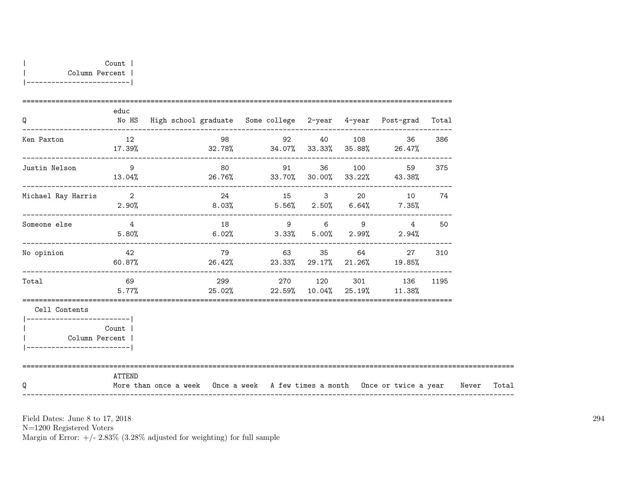| Q                                           | educ                       | No HS High school graduate Some college 2-year 4-year Post-grad Total            |                                                              |  | ---------------------------------- |  |      |       |
|---------------------------------------------|----------------------------|----------------------------------------------------------------------------------|--------------------------------------------------------------|--|------------------------------------|--|------|-------|
| Ken Paxton                                  | 12<br>17.39%               | $32.78\%$ $34.07\%$ $33.33\%$ $35.88\%$ $26.47\%$                                | 98                                                           |  | 92 40 108 36                       |  | 386  |       |
| Justin Nelson                               | $\overline{9}$<br>13.04%   | $26.76\%$ 33.70% 30.00% 33.22% 43.38%                                            | 80 91 36 100 59                                              |  |                                    |  | 375  |       |
| Michael Ray Harris                          | $\overline{\phantom{a}}$ 2 | $2.90\%$ $8.03\%$ $5.56\%$ $2.50\%$ $6.64\%$ $7.35\%$                            | 24                                                           |  | 15 3 20 10 74                      |  |      |       |
| Someone else                                | $\overline{4}$<br>5.80%    |                                                                                  | $18$ 9 6 9 4<br>$6.02\%$ $3.33\%$ $5.00\%$ $2.99\%$ $2.94\%$ |  |                                    |  | 50   |       |
| No opinion                                  | 42                         | $60.87\%$ 28.42% 23.33% 29.17% 21.26% 19.85%                                     | 79                                                           |  | 63 35 64 27                        |  | 310  |       |
| Total                                       | 69<br>5.77%                |                                                                                  | 299 270 120 301 136<br>$25.02\%$ 22.59% 10.04% 25.19% 11.38% |  |                                    |  | 1195 |       |
| Cell Contents<br>-----------------------    |                            |                                                                                  |                                                              |  |                                    |  |      |       |
| Column Percent<br>------------------------- | Count                      |                                                                                  |                                                              |  |                                    |  |      |       |
| O                                           | ATTEND                     | More than once a week Once a week A few times a month Once or twice a year Never |                                                              |  |                                    |  |      | Total |

N=1200 Registered Voters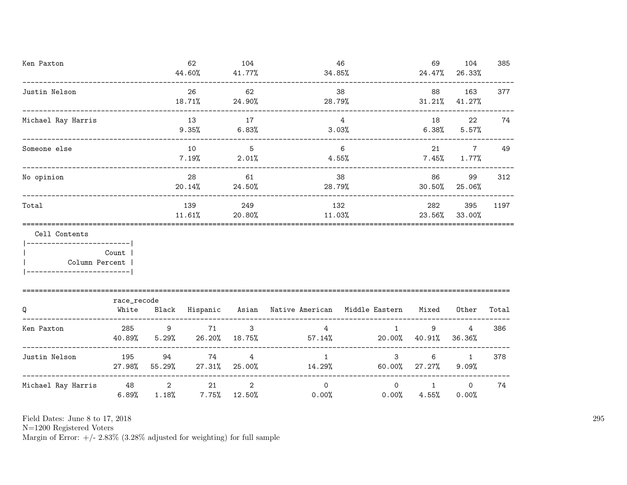| Ken Paxton                                                     |                      |              |                                     | 104<br>41.77%           | 34.85%                                                                             | 46                                | 69<br>24.47%             | 104<br>26.33%           | 385   |
|----------------------------------------------------------------|----------------------|--------------|-------------------------------------|-------------------------|------------------------------------------------------------------------------------|-----------------------------------|--------------------------|-------------------------|-------|
| Justin Nelson                                                  |                      |              | 26<br>18.71%                        | 62<br>24.90%            | 28.79%                                                                             | 38                                | 88<br>$31.21\%$          | 163<br>41.27%           | 377   |
| Michael Ray Harris                                             |                      |              | 13<br>9.35%<br>6.83%                |                         | 4<br>$3.03\%$                                                                      |                                   |                          | 22<br>$6.38\%$ $5.57\%$ | 74    |
| Someone else                                                   |                      |              |                                     | $\overline{5}$<br>2.01% | 6<br>4.55%                                                                         |                                   | $7.45\%$ 1.77%           | $7\overline{ }$<br>21   | 49    |
| No opinion                                                     |                      | 28<br>20.14% | 61<br>24.50%                        | 28.79%                  | 38                                                                                 | 86<br>30.50%                      | 99<br>25.06%             | 312                     |       |
| Total                                                          |                      |              | 139<br>$11.61\%$ 20.80%             | 249                     | 132                                                                                | 11.03%                            | 282<br>23.56%            | 395<br>33.00%           | 1197  |
| Cell Contents<br>_________________________<br>  Column Percent | Count                |              |                                     |                         |                                                                                    |                                   |                          |                         |       |
| Q                                                              | race_recode<br>White |              |                                     |                         | Black Hispanic Asian Native-American Middle-Eastern Mixed                          |                                   |                          | Other                   | Total |
| Ken Paxton                                                     |                      |              | 285 9 71                            |                         | $3 \left( \frac{1}{2} \right)$<br>$40.89\%$ $5.29\%$ $26.20\%$ $18.75\%$ $57.14\%$ | $4\overline{ }$<br>1              | 9<br>20.00% 40.91%       | 4<br>36.36%             | 386   |
| Justin Nelson                                                  | 195                  |              | 94 74                               | 4                       | 27.98% 55.29% 27.31% 25.00% 14.29%                                                 | $1 \qquad \qquad$<br>$\mathbf{3}$ | 6<br>$60.00\%$ 27.27%    | 1<br>9.09%              | 378   |
| Michael Ray Harris                                             | 6.89%                |              | 48 2 21<br>$1.18\%$ 7.75% $12.50\%$ | 2                       | $\overline{0}$<br>$0.00\%$                                                         | $\overline{O}$<br>0.00%           | $\mathbf{1}$<br>$4.55\%$ | $\Omega$<br>0.00%       | 74    |

N=1200 Registered Voters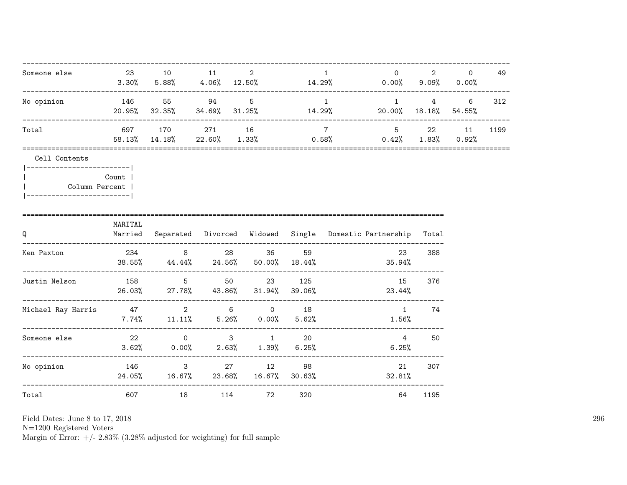| Someone else                                                                                             |         | 23 10 11<br>---------------                           |      | $\overline{\phantom{a}}$ 2 |  | $\mathbf{1}$   | $\overline{0}$<br>$3.30\%$ 5.88% 4.06% 12.50% 14.29% 0.00% 9.09% 0.00%                        | 2     | $\Omega$  | 49   |
|----------------------------------------------------------------------------------------------------------|---------|-------------------------------------------------------|------|----------------------------|--|----------------|-----------------------------------------------------------------------------------------------|-------|-----------|------|
| No opinion                                                                                               |         | 146 55 94 5                                           |      |                            |  | $\overline{1}$ | $20.95\%$ 32.35% 34.69% 31.25% 14.29% 20.00% 18.18% 54.55%                                    |       | 1 4 6 312 |      |
| Total                                                                                                    |         | 697 170 271 16                                        |      |                            |  | 7              | $5 \t 22 \t 11$<br>$58.13\%$ $14.18\%$ $22.60\%$ $1.33\%$ $0.58\%$ $0.42\%$ $1.83\%$ $0.92\%$ |       |           | 1199 |
| Cell Contents<br> ------------------------ <br>Count  <br>Column Percent  <br>__________________________ |         |                                                       |      |                            |  |                |                                                                                               |       |           |      |
| Q                                                                                                        | MARITAL |                                                       |      |                            |  |                | Married Separated Divorced Widowed Single Domestic Partnership                                | Total |           |      |
| Ken Paxton<br>_____________________                                                                      |         | 234 8 28 36 59                                        |      |                            |  |                | 23<br>$38.55\%$ $44.44\%$ $24.56\%$ $50.00\%$ $18.44\%$ $35.94\%$                             | 388   |           |      |
| Justin Nelson                                                                                            |         | 158 5 50 23 125<br>26.03% 27.78% 43.86% 31.94% 39.06% |      |                            |  |                | 15<br>23.44%                                                                                  | 376   |           |      |
| Michael Ray Harris $47$ 2 6 0 18                                                                         |         | $7.74\%$ 11.11% 5.26% 0.00% 5.62%                     |      |                            |  |                | $\sim$ 1<br>$1.56\%$                                                                          | 74    |           |      |
| Someone else                                                                                             |         | 22 0 3 1 20<br>$3.62\%$ 0.00% 2.63% 1.39% 6.25%       |      |                            |  |                | $4\overline{4}$<br>$6.25\%$                                                                   | 50    |           |      |
| No opinion 146 327 12 98                                                                                 |         | 24.05% 16.67% 23.68% 16.67% 30.63%                    |      |                            |  |                | 21<br>32.81%                                                                                  | 307   |           |      |
| Total                                                                                                    |         | 607 — 100                                             | 18 7 | 114 72 320                 |  |                | 64                                                                                            | 1195  |           |      |

N=1200 Registered Voters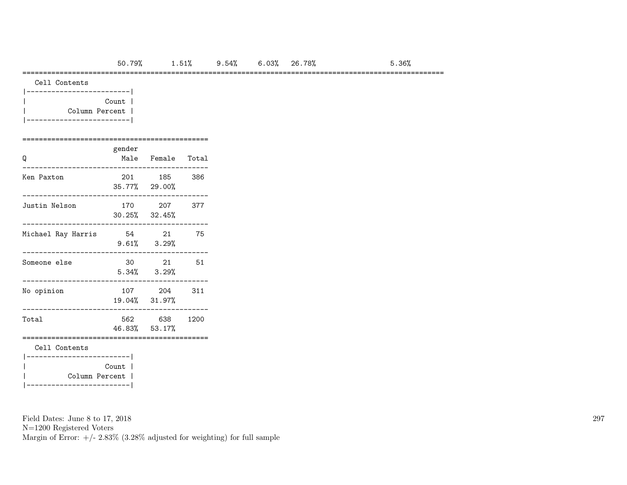======================================================================================================

Cell Contents

| Count          |  |
|----------------|--|
| Column Percent |  |
|                |  |

### =============================================

| Q                                  | gender | Male Female Total              |      |
|------------------------------------|--------|--------------------------------|------|
| Ken Paxton                         |        | 201 185<br>35.77% 29.00%       | 386  |
| Justin Nelson                      |        | 170 207<br>$30.25\%$ $32.45\%$ | 377  |
| Michael Ray Harris                 |        | 54 21<br>$9.61\%$ $3.29\%$     | 75   |
| Someone else                       | 30     | 21<br>$5.34\%$ $3.29\%$        | 51   |
| No opinion                         |        | 107 204<br>19.04% 31.97%       | 311  |
| Total                              |        | 562 638<br>46.83% 53.17%       | 1200 |
| Cell Contents                      |        |                                |      |
| Column Percent  <br>-------------- | Count  |                                |      |

Field Dates: June 8 to 17, 2018

N=1200 Registered Voters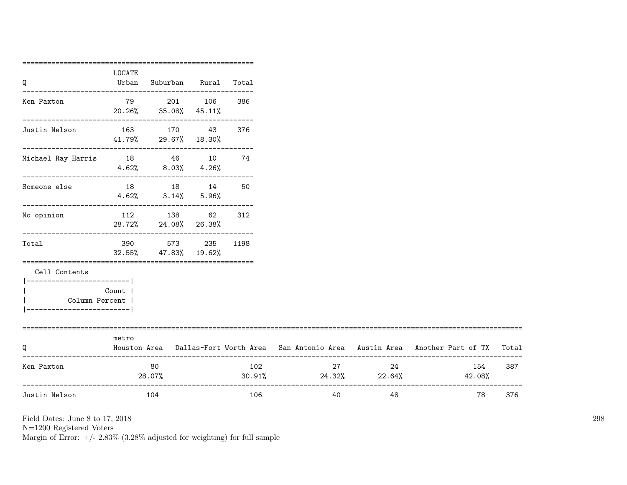|                                                                          | ===========<br>LOCATE |                                                                             |     |      |                           |                     |                                                                                     |       |
|--------------------------------------------------------------------------|-----------------------|-----------------------------------------------------------------------------|-----|------|---------------------------|---------------------|-------------------------------------------------------------------------------------|-------|
| Q                                                                        |                       | Urban Suburban Rural Total                                                  |     |      |                           |                     |                                                                                     |       |
| Ken Paxton                                                               |                       | 79 201 106<br>20.26% 35.08% 45.11%<br>------------------------------------- |     | 386  |                           |                     |                                                                                     |       |
| Justin Nelson                                                            |                       | 163 170 43<br>41.79% 29.67% 18.30%                                          |     | 376  |                           |                     |                                                                                     |       |
| Michael Ray Harris 18 16 10 74                                           |                       | $4.62\%$ $8.03\%$ $4.26\%$                                                  |     |      |                           |                     |                                                                                     |       |
| Someone else                                                             |                       | 18 18 14<br>$4.62\%$ $3.14\%$ $5.96\%$                                      |     | 50   |                           |                     |                                                                                     |       |
| _________________<br>No opinion                                          |                       | 112 138 62 312<br>28.72% 24.08% 26.38%                                      |     |      |                           |                     |                                                                                     |       |
| Total                                                                    |                       | ---------------------------------<br>390 573<br>32.55% 47.83% 19.62%        | 235 | 1198 |                           |                     |                                                                                     |       |
| Cell Contents                                                            |                       |                                                                             |     |      |                           |                     |                                                                                     |       |
| ------------------------- <br>Column Percent  <br>---------------------- | Count 1               |                                                                             |     |      |                           |                     |                                                                                     |       |
| Q                                                                        | metro                 |                                                                             |     |      |                           |                     | Houston Area Dallas-Fort Worth Area San Antonio Area Austin Area Another Part of TX | Total |
| Ken Paxton                                                               |                       | 80<br>28.07%                                                                |     | 102  | $30.91\%$ 24.32\% 22.64\% | 27 and $\sim$<br>24 | 154<br>42.08%                                                                       | 387   |
| _______________________<br>Justin Nelson                                 |                       | - 104                                                                       |     | 106  | 40                        | 48                  | 78                                                                                  | 376   |

N=1200 Registered Voters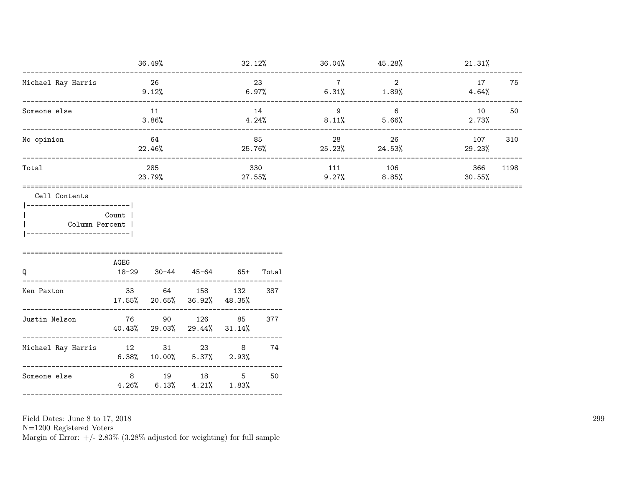|                                                                                 |                        | 36.49%                                       |                            | 32.12%       |             |                                              |                        | $36.04\%$ 45.28%<br>21.31% |      |
|---------------------------------------------------------------------------------|------------------------|----------------------------------------------|----------------------------|--------------|-------------|----------------------------------------------|------------------------|----------------------------|------|
| ------------------------------<br>Michael Ray Harris                            | 26                     | 9.12%                                        |                            | 23           |             | $\overline{7}$<br>$6.97\%$ $6.31\%$ $1.89\%$ | $\overline{2}$         | 17<br>$4.64\%$             | 75   |
| Someone else                                                                    | 11<br>3.86%            |                                              |                            |              | 14<br>4.24% | $\overline{9}$<br>$8.11\%$ 5.66%             | 6                      | 10<br>2.73%                | 50   |
| No opinion                                                                      | 64<br>22.46%           |                                              |                            | 85<br>25.76% |             | 28                                           | 26<br>$25.23\%$ 24.53% | 107<br>29.23%              | 310  |
| Total                                                                           |                        | 285<br>23.79%                                |                            | $27.55\%$    | 330         | 111                                          | 106<br>$9.27\%$ 8.85%  | 366<br>30.55%              | 1198 |
| _________________________<br>  Column Percent<br>-------------------------<br>Q | Count<br>AGEG<br>18-29 |                                              | $30-44$ $45-64$ $65+$      |              | Total       |                                              |                        |                            |      |
| Ken Paxton                                                                      |                        | 33 64 158 132<br>17.55% 20.65% 36.92% 48.35% |                            |              | 387         |                                              |                        |                            |      |
| Justin Nelson                                                                   |                        | 76 90 126<br>40.43% 29.03% 29.44% 31.14%     |                            | 85           | 377         |                                              |                        |                            |      |
| Michael Ray Harris 12 31 23 8 74                                                |                        | $6.38\%$ 10.00% 5.37% 2.93%                  |                            |              |             |                                              |                        |                            |      |
| Someone else                                                                    | 4.26%                  | 8 19 18                                      | $6.13\%$ $4.21\%$ $1.83\%$ | $5^{\circ}$  | 50          |                                              |                        |                            |      |

N=1200 Registered Voters<br>Margin of Error: +/- 2.83% (3.28% adjusted for weighting) for full sample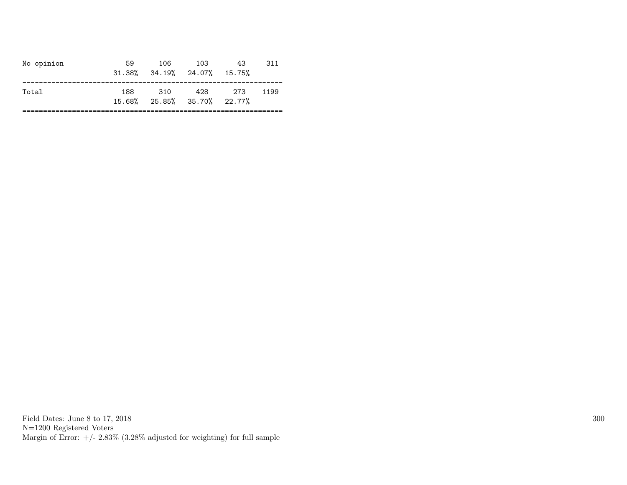| No opinion | 59  | 106   | 103<br>$31.38\%$ $34.19\%$ $24.07\%$ $15.75\%$     | 43 | 311  |
|------------|-----|-------|----------------------------------------------------|----|------|
| Total      | 188 | - 310 | 428 273<br>$15.68\%$ $25.85\%$ $35.70\%$ $22.77\%$ |    | 1199 |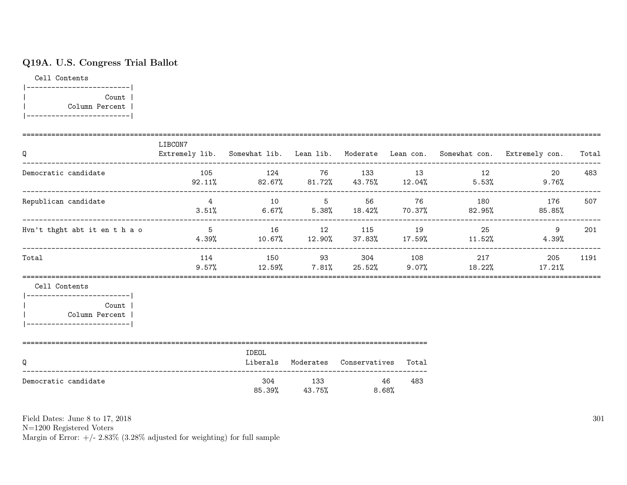### Q19A. U.S. Congress Trial Ballot

Cell Contents |-------------------------| | Count | | Column Percent | |-------------------------|

| Q                                                                                                            | LIBCON7 |       |                                            |     |                        | Extremely lib. Somewhat lib. Lean lib. Moderate Lean con. Somewhat con. Extremely con. Total |      |
|--------------------------------------------------------------------------------------------------------------|---------|-------|--------------------------------------------|-----|------------------------|----------------------------------------------------------------------------------------------|------|
| Democratic candidate                                                                                         |         |       |                                            |     | 105 124 76 133 13 12   | $20 -$<br>$92.11\%$ 82.67% 81.72% 43.75% 12.04% 5.53% 9.76%                                  | 483  |
| Republican candidate                                                                                         |         |       |                                            |     |                        | 4 10 5 56 76 180 176<br>$3.51\%$ 6.67% 5.38% 18.42% 70.37% 82.95% 85.85%                     | 507  |
| Hvn't thght abt it en t h a o                                                                                |         |       |                                            |     | 5 16 12 115 19 25      | 9<br>$4.39\%$ $10.67\%$ $12.90\%$ $37.83\%$ $17.59\%$ $11.52\%$ $4.39\%$                     | 201  |
| Total                                                                                                        |         |       |                                            |     | 114 150 93 304 108 217 | 205<br>$9.57\%$ 12.59% 7.81% 25.52% 9.07% 18.22% 17.21%                                      | 1191 |
| Cell Contents<br> ------------------------- <br>Count  <br>  Column Percent  <br> -------------------------- |         |       |                                            |     |                        |                                                                                              |      |
| Q                                                                                                            |         | IDEOL | Liberals Moderates Conservatives Total     |     |                        |                                                                                              |      |
| Democratic candidate                                                                                         |         |       | 304 133 46<br>$85.39\%$ $43.75\%$ $8.68\%$ | 483 |                        |                                                                                              |      |

Field Dates: June 8 to 17, 2018

N=1200 Registered Voters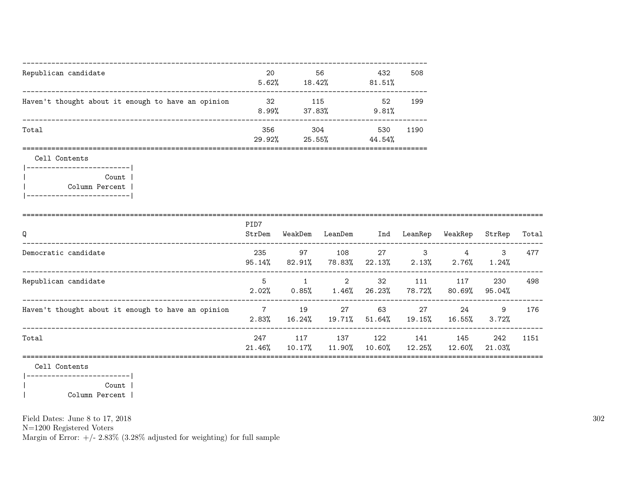| Republican candidate                               | 20<br>5.62%   | 56<br>18.42%  | 432<br>81.51% | 508  |
|----------------------------------------------------|---------------|---------------|---------------|------|
| Haven't thought about it enough to have an opinion | 32<br>8.99%   | 115<br>37.83% | 52<br>9.81%   | 199  |
| Total                                              | 356<br>29.92% | 304<br>25.55% | 530<br>44.54% | 1190 |

Cell Contents

|-------------------------| | Count | | Column Percent | |-------------------------|

| Q                                                  | PID7<br>StrDem             | WeakDem          | LeanDem       | Ind             | LeanRep       | WeakRep                    | StrRep           | Total |
|----------------------------------------------------|----------------------------|------------------|---------------|-----------------|---------------|----------------------------|------------------|-------|
| Democratic candidate                               | 235<br>$95.14\%$           | 97<br>82.91%     | 108<br>78.83% | 27<br>22.13%    | 3<br>$2.13\%$ | $\overline{4}$<br>$2.76\%$ | 3<br>1.24%       | 477   |
| Republican candidate                               | 5<br>2.02%                 | 1<br>0.85%       | 2<br>$1.46\%$ | 32<br>26.23%    | 111<br>78.72% | 117<br>80.69%              | 230<br>95.04%    | 498   |
| Haven't thought about it enough to have an opinion | $\overline{7}$<br>$2.83\%$ | 19<br>16.24%     | 27<br>19.71%  | 63<br>$51.64\%$ | 27<br>19.15%  | 24<br>16.55%               | 9<br>3.72%       | 176   |
| Total                                              | 247<br>$21.46\%$           | 117<br>$10.17\%$ | 137<br>11.90% | 122<br>10.60%   | 141<br>12.25% | 145<br>12.60%              | 242<br>$21.03\%$ | 1151  |
| Cell Contents<br>__________________________        |                            |                  |               |                 |               |                            |                  |       |

| Count | | Column Percent |

Field Dates: June 8 to 17, 2018

N=1200 Registered Voters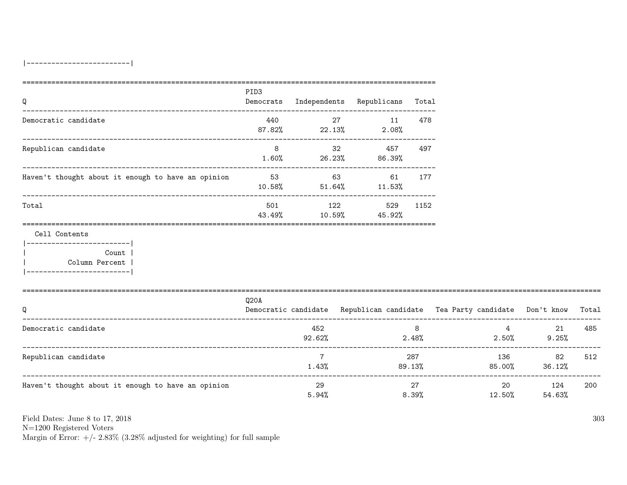| Q                                                                                                            | PID <sub>3</sub> |                  | Democrats Independents Republicans Total |               |                                                                                |                       |     |
|--------------------------------------------------------------------------------------------------------------|------------------|------------------|------------------------------------------|---------------|--------------------------------------------------------------------------------|-----------------------|-----|
| Democratic candidate                                                                                         |                  |                  | 440 27 11 478<br>$87.82\%$ 22.13% 2.08%  |               |                                                                                |                       |     |
| Republican candidate                                                                                         | 8                |                  | 32 457<br>$1.60\%$ 26.23% 86.39%         | 497           |                                                                                |                       |     |
| Haven't thought about it enough to have an opinion 53 63 63 61 177                                           |                  |                  | $10.58\%$ $51.64\%$ $11.53\%$            |               |                                                                                |                       |     |
| Total                                                                                                        |                  | 43.49% 10.59%    | 501 122<br>45.92%                        | 529 1152      |                                                                                |                       |     |
| Cell Contents<br> ------------------------- <br>Count  <br>  Column Percent  <br> -------------------------- |                  |                  |                                          |               |                                                                                |                       |     |
| Q                                                                                                            | Q20A             |                  |                                          |               | Democratic candidate Republican candidate Tea Party candidate Don't know Total |                       |     |
| Democratic candidate                                                                                         |                  | 452<br>$92.62\%$ |                                          | 8             | $2.48\%$ $2.50\%$                                                              | $4 \t 21$<br>$9.25\%$ | 485 |
| Republican candidate                                                                                         |                  | 7<br>1.43%       |                                          | 287<br>89.13% | 136<br>$85.00\%$ 36.12%                                                        | 82                    | 512 |
| Haven't thought about it enough to have an opinion                                                           |                  | 29<br>5.94%      |                                          | 27<br>8.39%   | 12.50%                                                                         | 20 124<br>54.63%      | 200 |

N=1200 Registered Voters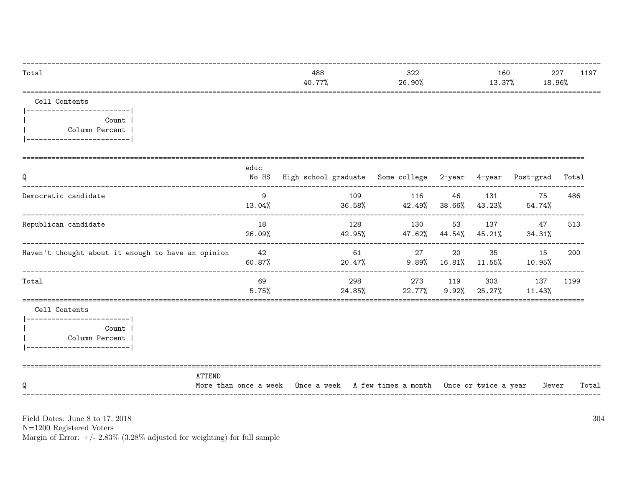| Total                                                                                                   |               | 488<br>40.77%                                                              | 322<br>26.90%                                            |                     |               | 160<br>13.37%<br>18.96%         | 227<br>1197 |
|---------------------------------------------------------------------------------------------------------|---------------|----------------------------------------------------------------------------|----------------------------------------------------------|---------------------|---------------|---------------------------------|-------------|
| Cell Contents<br>____________________________<br>Count  <br>Column Percent<br>------------------------- |               |                                                                            | =====================                                    |                     |               | =============================== |             |
| Q                                                                                                       | educ<br>No HS | High school graduate Some college 2-year 4-year Post-grad                  |                                                          |                     |               |                                 | Total       |
| Democratic candidate                                                                                    | - 9           | 109<br>13.04%                                                              | 116<br>36.58% 42.49% 38.66% 43.23% 54.74%                | 46                  |               | 131<br>75                       | 486         |
| Republican candidate                                                                                    | 18<br>26.09%  | 128                                                                        | 130<br>$42.95\%$ $47.62\%$ $44.54\%$ $45.21\%$ $34.31\%$ |                     |               | 53 137 47                       | 513         |
| Haven't thought about it enough to have an opinion                                                      | 42<br>60.87%  | 61                                                                         | 27<br>$20.47\%$ 9.89% 16.81% 11.55%                      | 20                  |               | 35 15<br>10.95%                 | 200         |
| Total                                                                                                   | 69<br>5.75%   | 298<br>24.85%                                                              | 22.77%                                                   | 273 119<br>$9.92\%$ | 303<br>25.27% | 137<br>11.43%                   | 1199        |
| Cell Contents<br>------------------------- <br>Count<br>Column Percent<br>------------------------      |               |                                                                            |                                                          |                     |               |                                 |             |
| ATTEND<br>Q                                                                                             |               | More than once a week Once a week A few times a month Once or twice a year |                                                          |                     |               | Never                           | Total       |

N=1200 Registered Voters<br>Margin of Error:  $+/- 2.83\%$  (3.28% adjusted for weighting) for full sample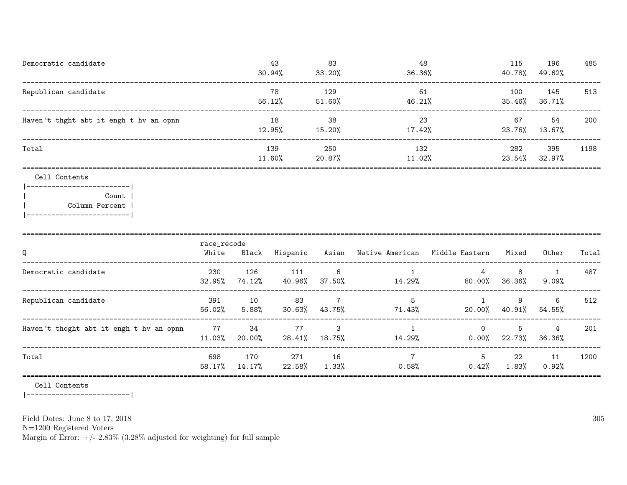| Democratic candidate                   | 43<br>30.94%  | 83<br>33.20%     | 48<br>36.36%  | 115<br>40.78% | 196<br>49.62% | 485  |
|----------------------------------------|---------------|------------------|---------------|---------------|---------------|------|
| Republican candidate                   | 78<br>56.12%  | 129<br>51.60%    | 61<br>46.21%  | 100<br>35.46% | 145<br>36.71% | 513  |
| Haven't thght abt it engh t hv an opnn | 18<br>12.95%  | 38<br>15.20%     | 23<br>17.42%  | 67<br>23.76%  | 54<br>13.67%  | 200  |
| Total                                  | 139<br>11.60% | 250<br>$20.87\%$ | 132<br>11.02% | 282<br>23.54% | 395<br>32.97% | 1198 |
|                                        |               |                  |               |               |               |      |

#### Cell Contents

|-------------------------| | Count | | Column Percent | |-------------------------|

| Q                                       | race_recode<br>White | Black         | Hispanic      | Asian                                       | Native American Middle Eastern |                      | Mixed          | Other                    | Total |
|-----------------------------------------|----------------------|---------------|---------------|---------------------------------------------|--------------------------------|----------------------|----------------|--------------------------|-------|
| Democratic candidate                    | 230<br>32.95%        | 126<br>74.12% | 111<br>40.96% | -6<br>37.50%                                | 14.29%                         | 4<br>80.00%          | 8<br>36.36%    | 9.09%                    | 487   |
| Republican candidate                    | 391<br>56.02%        | 10<br>5.88%   | 83<br>30.63%  | 7<br>43.75%                                 | 5<br>71.43%                    | 20.00%               | 9<br>40.91%    | 6<br>54.55%              | 512   |
| Haven't thoght abt it engh t hv an opnn | 77<br>11.03%         | 34<br>20.00%  | 77            | $\overline{\phantom{a}}$ 3<br>28.41% 18.75% | 14.29%                         | $\Omega$<br>$0.00\%$ | 5<br>22.73%    | $\overline{4}$<br>36.36% | 201   |
| Total                                   | 698<br>58.17%        | 170<br>14.17% | 271<br>22.58% | 16<br>$1.33\%$                              | 0.58%                          | 5<br>0.42%           | 22<br>$1.83\%$ | 11<br>0.92%              | 1200  |
|                                         |                      |               |               |                                             |                                |                      |                |                          |       |

Cell Contents

|-------------------------|

Field Dates: June 8 to 17, 2018

N=1200 Registered Voters

Margin of Error:  $+/- 2.83\%$  (3.28% adjusted for weighting) for full sample

305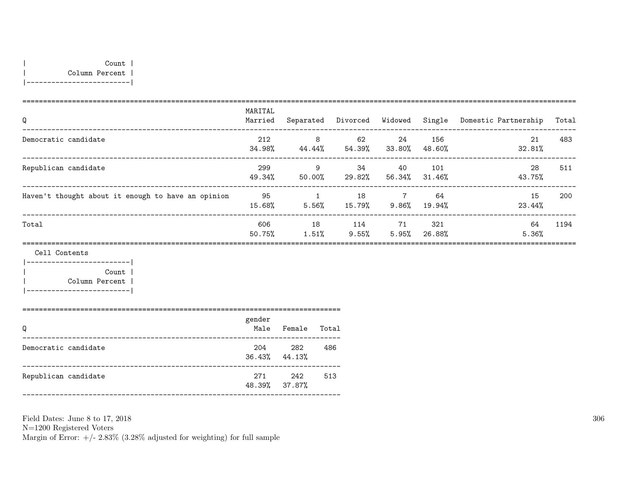| Count | | Column Percent | |-------------------------|

| Q                                                  | MARITAL<br>Married | Separated   | Divorced Widowed |                 | Single        | Domestic Partnership | Total |
|----------------------------------------------------|--------------------|-------------|------------------|-----------------|---------------|----------------------|-------|
| Democratic candidate                               | 212<br>34.98%      | 8<br>44.44% | 62<br>54.39%     | 24<br>33.80%    | 156<br>48.60% | 21<br>32.81%         | 483   |
| Republican candidate                               | 299<br>49.34%      | 9<br>50.00% | -34<br>29.82%    | 40<br>56.34%    | 101<br>31.46% | 28<br>43.75%         | 511   |
| Haven't thought about it enough to have an opinion | 95<br>15.68%       | 5.56%       | 18<br>15.79%     | - 7<br>$9.86\%$ | 64<br>19.94%  | 15<br>23.44%         | 200   |
| Total                                              | 606<br>50.75%      | 18<br>1.51% | 114<br>9.55%     | -71<br>5.95%    | 321<br>26.88% | 64<br>5.36%          | 1194  |

Cell Contents

|-------------------------| | Count | | Column Percent | |-------------------------|

=============================================================================

| Q                    | gender<br>Male | Female                     | Total |
|----------------------|----------------|----------------------------|-------|
| Democratic candidate | 204            | 282<br>$36.43\%$ $44.13\%$ | 486   |
| Republican candidate | 271            | 242<br>48.39% 37.87%       | 513   |

Field Dates: June 8 to 17, 2018 N=1200 Registered Voters Margin of Error:  $+/- 2.83\%$  (3.28% adjusted for weighting) for full sample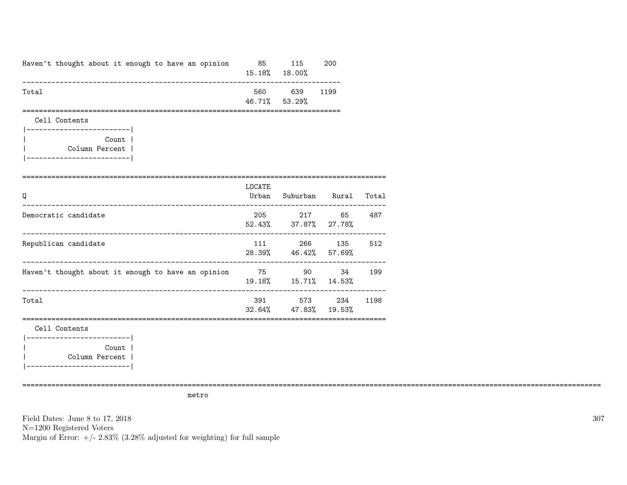| Haven't thought about it enough to have an opinion 85<br>-------------------------------------- |        | 115<br>15.18% 18.00%          | 200                                 |        |
|-------------------------------------------------------------------------------------------------|--------|-------------------------------|-------------------------------------|--------|
| Total                                                                                           |        | 560 639<br>46.71% 53.29%      | 1199                                |        |
| Cell Contents<br>-------------------------                                                      |        |                               |                                     |        |
| Count  <br>Column Percent  <br> ------------------------                                        |        |                               |                                     |        |
| Q                                                                                               | LOCATE |                               | Urban Suburban Rural Total          |        |
| Democratic candidate                                                                            |        | 52.43% 37.87% 27.78%          | 205 217 65 487                      |        |
| Republican candidate                                                                            |        |                               | 111 266 135<br>28.39% 46.42% 57.69% | 512    |
| Haven't thought about it enough to have an opinion 75 90                                        |        |                               | 19.18%  15.71%  14.53%              | 34 199 |
| Total                                                                                           |        | $32.64\%$ $47.83\%$ $19.53\%$ | 391 573 234                         | 1198   |
| Cell Contents                                                                                   |        |                               |                                     |        |
| Count  <br>Column Percent                                                                       |        |                               |                                     |        |

metro

============================================================================================================================================

Field Dates: June 8 to 17, 2018 N=1200 Registered Voters Margin of Error:  $+/- 2.83\%$  (3.28% adjusted for weighting) for full sample 307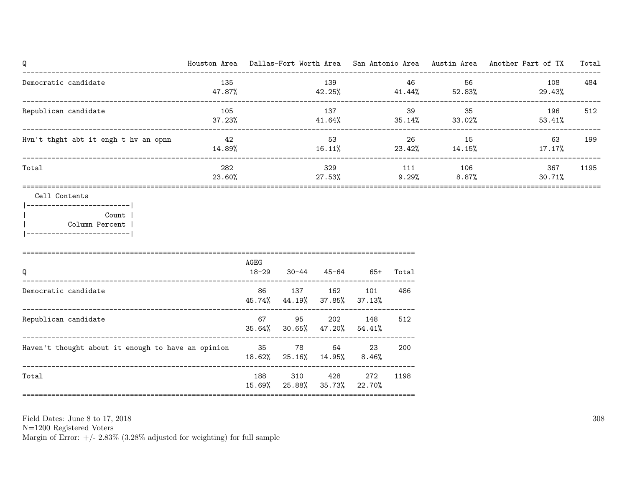|               |      |                    |        |                                                                       |                                                                                                                                                         |                                     |                                        | Total                                                                                                                                                         |
|---------------|------|--------------------|--------|-----------------------------------------------------------------------|---------------------------------------------------------------------------------------------------------------------------------------------------------|-------------------------------------|----------------------------------------|---------------------------------------------------------------------------------------------------------------------------------------------------------------|
| 135<br>47.87% |      |                    |        |                                                                       |                                                                                                                                                         | 56<br>52.83%                        | 108<br>29.43%                          | 484                                                                                                                                                           |
| 37.23%        |      |                    |        |                                                                       |                                                                                                                                                         |                                     | 196<br>53.41%                          | 512                                                                                                                                                           |
| 14.89%        |      |                    |        |                                                                       |                                                                                                                                                         |                                     | 63<br>$17.17\%$                        | 199                                                                                                                                                           |
| 282<br>23.60% |      |                    | 27.53% |                                                                       | $9.29\%$                                                                                                                                                |                                     | 367<br>30.71%                          | 1195                                                                                                                                                          |
|               |      |                    |        |                                                                       |                                                                                                                                                         |                                     |                                        |                                                                                                                                                               |
|               | AGEG |                    |        |                                                                       |                                                                                                                                                         |                                     |                                        |                                                                                                                                                               |
|               | 86   |                    |        | 37.13%                                                                | 486                                                                                                                                                     |                                     |                                        |                                                                                                                                                               |
|               | 67   | 95                 | 202    | 148                                                                   | 512                                                                                                                                                     |                                     |                                        |                                                                                                                                                               |
|               |      |                    |        | $8.46\%$                                                              | 200                                                                                                                                                     |                                     |                                        |                                                                                                                                                               |
|               | 188  | 310                | 428    | 272                                                                   | 1198                                                                                                                                                    |                                     |                                        |                                                                                                                                                               |
|               |      | 105<br>42<br>18-29 |        | $30 - 44$<br>Haven't thought about it enough to have an opinion 35 78 | 139<br>137<br>329<br>137 162 101<br>45.74% 44.19% 37.85%<br>35.64% 30.65% 47.20% 54.41%<br>64 23<br>18.62% 25.16% 14.95%<br>15.69% 25.88% 35.73% 22.70% | 41.64%<br>16.11%<br>45-64 65+ Total | 46<br>$42.25\%$ $41.44\%$<br>39<br>111 | Houston Area Dallas-Fort Worth Area San Antonio Area Austin Area Another Part of TX<br>35<br>$35.14\%$ $33.02\%$<br>26 15<br>$23.42\%$ 14.15%<br>106<br>8.87% |

N=1200 Registered Voters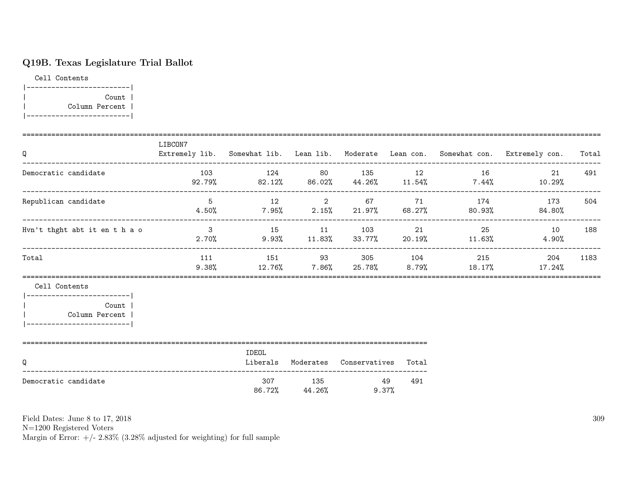# Q19B. Texas Legislature Trial Ballot

Cell Contents |-------------------------| | Count | | Column Percent | |-------------------------|

| Q                                                                                                            | LIBCON7 |       |                                         |     |                                  | Extremely lib. Somewhat lib. Lean lib. Moderate Lean con. Somewhat con. Extremely con. Total |      |
|--------------------------------------------------------------------------------------------------------------|---------|-------|-----------------------------------------|-----|----------------------------------|----------------------------------------------------------------------------------------------|------|
| Democratic candidate                                                                                         |         |       |                                         |     | $103$ $124$ $80$ $135$ $12$ $16$ | 21<br>$92.79\%$ 82.12% 86.02% 44.26% 11.54% 7.44% 10.29%                                     | 491  |
| Republican candidate                                                                                         |         |       |                                         |     |                                  | 5 12 2 67 71 174 173<br>$4.50\%$ 7.95% 2.15% 21.97% 68.27% 80.93% 84.80%                     | 504  |
| Hvn't thght abt it en t h a o                                                                                |         |       |                                         |     |                                  | 3 15 11 103 21 25 10 188<br>$2.70\%$ 9.93% 11.83% 33.77% 20.19% 11.63% 4.90%                 |      |
| Total                                                                                                        | 111     |       |                                         |     | 151 93 305 104 215               | 204<br>$9.38\%$ 12.76% 7.86% 25.78% 8.79% 18.17% 17.24%                                      | 1183 |
| Cell Contents<br> ------------------------- <br>Count  <br>  Column Percent  <br> -------------------------- |         |       |                                         |     |                                  |                                                                                              |      |
| Q                                                                                                            |         | IDEOL | Liberals Moderates Conservatives Total  |     |                                  |                                                                                              |      |
| Democratic candidate                                                                                         |         |       | 307 135 49<br>$86.72\%$ $44.26\%$ 9.37% | 491 |                                  |                                                                                              |      |

Field Dates: June 8 to 17, 2018

N=1200 Registered Voters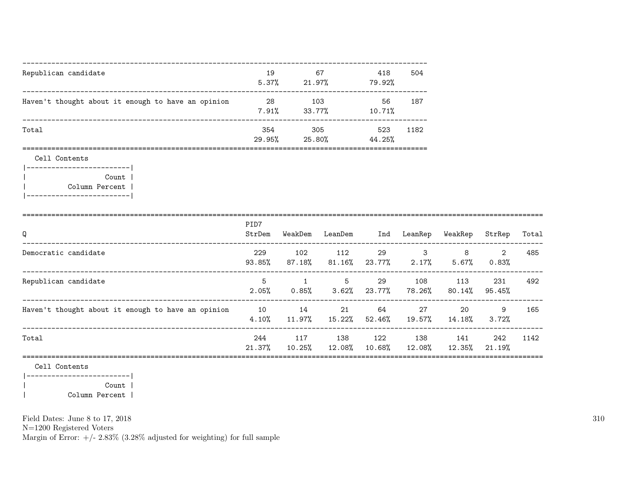| Republican candidate                               | 19<br>5.37%   | 67<br>21.97%  | 418<br>504<br>79.92%  |  |
|----------------------------------------------------|---------------|---------------|-----------------------|--|
| Haven't thought about it enough to have an opinion | 28<br>7.91%   | 103<br>33.77% | 56<br>187<br>10.71%   |  |
| Total                                              | 354<br>29.95% | 305<br>25.80% | 523<br>1182<br>44.25% |  |

Cell Contents

|-------------------------| | Count | | Column Percent | |-------------------------|

|                                                    | PID7             |               |                  |               |               |               |               |       |
|----------------------------------------------------|------------------|---------------|------------------|---------------|---------------|---------------|---------------|-------|
| Q                                                  | StrDem           | WeakDem       | LeanDem          | Ind           | LeanRep       | WeakRep       | StrRep        | Total |
| Democratic candidate                               | 229<br>93.85%    | 102<br>87.18% | 112<br>$81.16\%$ | 29<br>23.77%  | 3<br>$2.17\%$ | 8<br>5.67%    | 2<br>0.83%    | 485   |
| Republican candidate                               | 5<br>2.05%       | 1<br>$0.85\%$ | 5<br>3.62%       | 29<br>23.77%  | 108<br>78.26% | 113<br>80.14% | 231<br>95.45% | 492   |
| Haven't thought about it enough to have an opinion | 10<br>4.10%      | 14<br>11.97%  | 21<br>15.22%     | 64<br>52.46%  | 27<br>19.57%  | 20<br>14.18%  | 9<br>3.72%    | 165   |
| Total                                              | 244<br>$21.37\%$ | 117<br>10.25% | 138<br>12.08%    | 122<br>10.68% | 138<br>12.08% | 141<br>12.35% | 242<br>21.19% | 1142  |
| Cell Contents                                      |                  |               |                  |               |               |               |               |       |

|-------------------------| | Count | | Column Percent |

Field Dates: June 8 to 17, 2018

N=1200 Registered Voters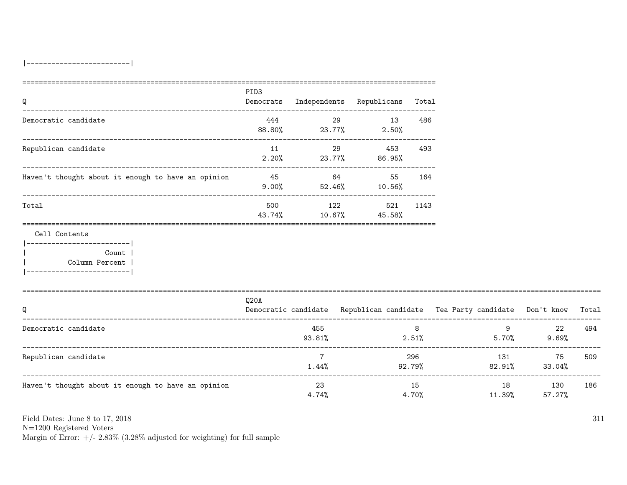| Q                                                                                                       | PID <sub>3</sub> |                             | Democrats Independents Republicans Total |                |                                                                                |                          |     |
|---------------------------------------------------------------------------------------------------------|------------------|-----------------------------|------------------------------------------|----------------|--------------------------------------------------------------------------------|--------------------------|-----|
| Democratic candidate                                                                                    |                  |                             | 444 29 13<br>88.80% 23.77% 2.50%         | 486            |                                                                                |                          |     |
| Republican candidate                                                                                    | 11               |                             | 29 453<br>$2.20\%$ 23.77% 86.95%         | 493            |                                                                                |                          |     |
| Haven't thought about it enough to have an opinion 45 64 64 55 164                                      |                  |                             | $9.00\%$ 52.46% 10.56%                   |                |                                                                                |                          |     |
| Total                                                                                                   |                  | 43.74% 10.67%               | 500 122 521<br>45.58%                    | 1143           |                                                                                |                          |     |
| Cell Contents<br>._________________________<br>Count  <br>Column Percent  <br>------------------------- |                  |                             |                                          |                |                                                                                |                          |     |
| Q                                                                                                       | Q20A             |                             |                                          |                | Democratic candidate Republican candidate Tea Party candidate Don't know Total |                          |     |
| Democratic candidate                                                                                    |                  | 455<br>93.81%               | 2.51%                                    | 8 <sup>8</sup> |                                                                                | $9$ 22<br>$5.70\%$ 9.69% | 494 |
| Republican candidate                                                                                    |                  | $7\overline{ }$<br>$1.44\%$ |                                          | 296<br>92.79%  | $82.91\%$ 33.04%                                                               | 131 75                   | 509 |
| Haven't thought about it enough to have an opinion                                                      |                  | 23<br>$4.74\%$              |                                          | 15<br>$4.70\%$ | 11.39%                                                                         | 18 130<br>57.27%         | 186 |

N=1200 Registered Voters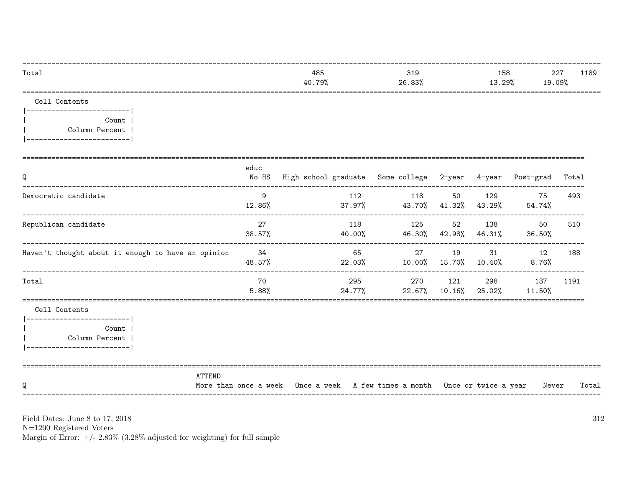| Total                                                                                                   |              | 485<br>40.79%                                                              | 319<br>26.83% |                             |               | 158<br>13.29%<br>19.09% | 227<br>1189 |
|---------------------------------------------------------------------------------------------------------|--------------|----------------------------------------------------------------------------|---------------|-----------------------------|---------------|-------------------------|-------------|
| Cell Contents<br>__________________________                                                             |              |                                                                            |               |                             |               |                         |             |
| Count l<br>Column Percent  <br>__________________________                                               |              |                                                                            |               |                             |               |                         |             |
| Q                                                                                                       | educ         | No HS High school graduate Some college 2-year 4-year Post-grad            |               |                             |               |                         | Total       |
| Democratic candidate                                                                                    | 9            | 112<br>$12.86\%$ $37.97\%$ $43.70\%$ $41.32\%$ $43.29\%$ $54.74\%$         | 118           | 50                          |               | 129<br>75               | 493         |
| Republican candidate                                                                                    | 27<br>38.57% | 118<br>$40.00\%$ $46.30\%$ $42.98\%$ $46.31\%$ $36.50\%$                   | 125           | 52                          | 138           | 50                      | 510         |
| Haven't thought about it enough to have an opinion 34                                                   | 48.57%       | 65<br>22.03% 10.00% 15.70% 10.40%                                          |               | 27 19                       | 31            | 12<br>$8.76\%$          | 188         |
| Total                                                                                                   | 70<br>5.88%  | 295<br>24.77%                                                              |               | 270 121<br>$22.67\%$ 10.16% | 298<br>25.02% | 137<br>11.50%           | 1191        |
| Cell Contents<br>------------------------- <br>Count  <br>Column Percent  <br>_________________________ |              |                                                                            |               |                             |               |                         |             |
| <b>ATTEND</b><br>Q                                                                                      |              | More than once a week Once a week A few times a month Once or twice a year |               |                             |               | Never                   | Total       |

N=1200 Registered Voters<br>Margin of Error:  $+/- 2.83\%$  (3.28% adjusted for weighting) for full sample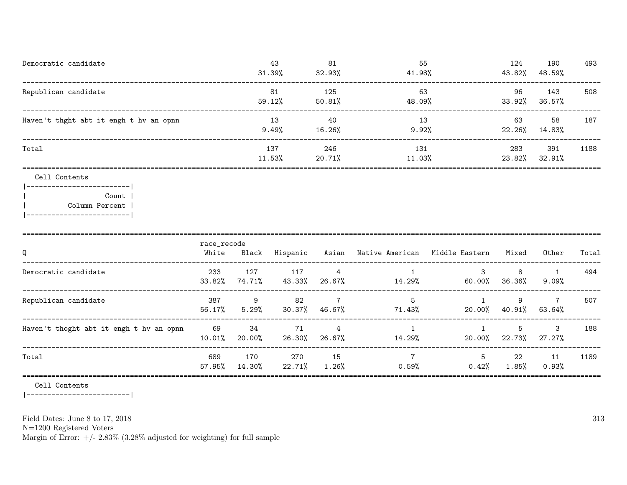| Democratic candidate                   | 43<br>31.39%   | 81<br>32.93%  | 55<br>41.98%  | 124<br>43.82% | 190<br>48.59% | 493  |
|----------------------------------------|----------------|---------------|---------------|---------------|---------------|------|
| Republican candidate                   | 81<br>59.12%   | 125<br>50.81% | 63<br>48.09%  | 96<br>33.92%  | 143<br>36.57% | 508  |
| Haven't thght abt it engh t hv an opnn | 13<br>$9.49\%$ | 40<br>16.26%  | 13<br>9.92%   | 63<br>22.26%  | 58<br>14.83%  | 187  |
| Total                                  | 137<br>11.53%  | 246<br>20.71% | 131<br>11.03% | 283<br>23.82% | 391<br>32.91% | 1188 |
|                                        |                |               |               |               |               |      |

### Cell Contents

|-------------------------| | Count | | Column Percent | |-------------------------|

| Q                                       | race_recode<br>White | Black         | Hispanic      |                                    | Asian Native American Middle Eastern |             | Mixed       | Other                    | Total |
|-----------------------------------------|----------------------|---------------|---------------|------------------------------------|--------------------------------------|-------------|-------------|--------------------------|-------|
| Democratic candidate                    | 233<br>33.82%        | 127<br>74.71% | 117<br>43.33% | $\overline{4}$<br>26.67%           | 14.29%                               | 3<br>60.00% | 8<br>36.36% | 9.09%                    | 494   |
| Republican candidate                    | 387<br>56.17%        | -9<br>5.29%   | 82            | $\overline{7}$<br>$30.37\%$ 46.67% | 5<br>71.43%                          | 20.00%      | 9<br>40.91% | $\overline{7}$<br>63.64% | 507   |
| Haven't thoght abt it engh t hv an opnn | 69<br>10.01%         | -34<br>20.00% | 71<br>26.30%  | 4<br>26.67%                        | 14.29%                               | 20.00%      | 5<br>22.73% | 3<br>$27.27\%$           | 188   |
| Total                                   | 689<br>57.95%        | 170<br>14.30% | 270<br>22.71% | 15<br>1.26%                        | $0.59\%$                             | 5<br>0.42%  | 22<br>1.85% | 11<br>0.93%              | 1189  |
|                                         |                      |               |               |                                    |                                      |             |             |                          |       |

Cell Contents

|-------------------------|

Field Dates: June 8 to 17, 2018

N=1200 Registered Voters

Margin of Error:  $+/- 2.83\%$  (3.28% adjusted for weighting) for full sample

313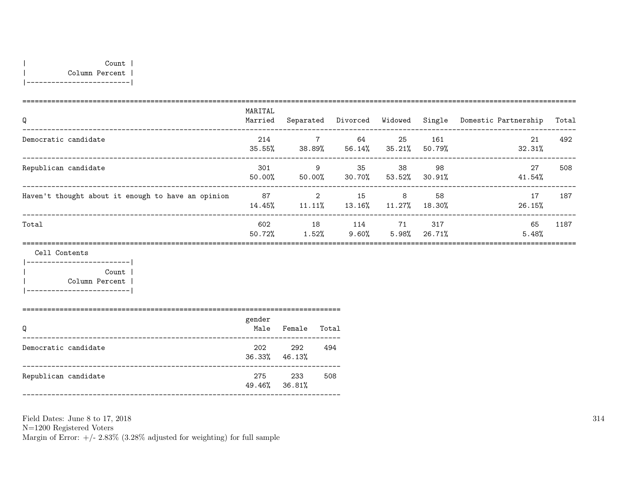| Count | | Column Percent | |-------------------------|

| Q                                                  | MARITAL<br>Married | Separated                                | Divorced Widowed |               |               | Single Domestic Partnership | Total |
|----------------------------------------------------|--------------------|------------------------------------------|------------------|---------------|---------------|-----------------------------|-------|
| Democratic candidate                               | 214<br>35.55%      | $7\phantom{.0}$<br>38.89%                | 64<br>56.14%     | -25<br>35.21% | 161<br>50.79% | 21<br>32.31%                | 492   |
| Republican candidate                               | 301<br>50.00%      | 9<br>50.00%                              | 35<br>30.70%     | 38<br>53.52%  | 98<br>30.91%  | 27<br>41.54%                | 508   |
| Haven't thought about it enough to have an opinion | 87<br>14.45%       | $\mathcal{D}_{\mathcal{L}}$<br>$11.11\%$ | 15<br>$13.16\%$  | 8<br>11.27%   | 58<br>18.30%  | 17<br>26.15%                | 187   |
| Total                                              | 602<br>50.72%      | 18<br>1.52%                              | 114<br>9.60%     | 71<br>5.98%   | 317<br>26.71% | 65<br>5.48%                 | 1187  |
|                                                    |                    |                                          |                  |               |               |                             |       |

Cell Contents

|-------------------------| | Count | | Column Percent | |-------------------------|

=============================================================================

| Q                    | gender<br>Male | Female                     | Total |
|----------------------|----------------|----------------------------|-------|
| Democratic candidate | 202            | 292<br>$36.33\%$ $46.13\%$ | 494   |
| Republican candidate | 275            | 233<br>49.46% 36.81%       | 508   |

Field Dates: June 8 to 17, 2018 N=1200 Registered Voters Margin of Error:  $+/- 2.83\%$  (3.28% adjusted for weighting) for full sample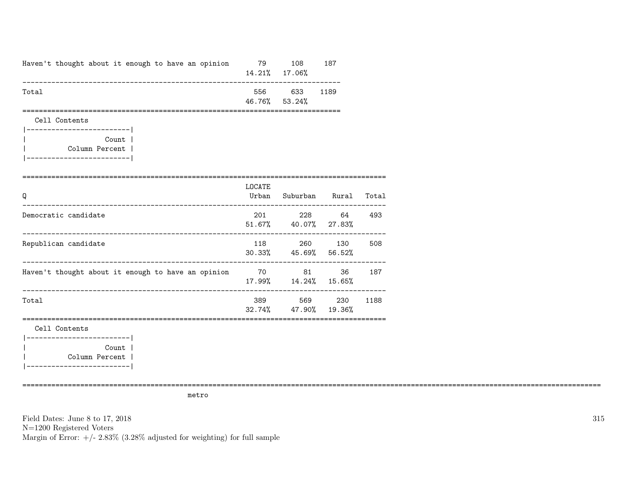| Haven't thought about it enough to have an opinion 79                                                                           |                                  | 108 187<br>14.21% 17.06% |                            |        |
|---------------------------------------------------------------------------------------------------------------------------------|----------------------------------|--------------------------|----------------------------|--------|
| Total                                                                                                                           |                                  | 556 633<br>46.76% 53.24% | 1189                       |        |
| ==================<br>Cell Contents<br> ------------------------- <br>Count  <br>Column Percent  <br> ------------------------- |                                  |                          |                            |        |
| =======================<br>Q                                                                                                    | ======================<br>LOCATE |                          | Urban Suburban Rural Total |        |
| Democratic candidate                                                                                                            |                                  | 51.67% 40.07% 27.83%     | 201 228 64 493             |        |
| Republican candidate                                                                                                            |                                  | 30.33% 45.69% 56.52%     | 118 260 130                | 508    |
| Haven't thought about it enough to have an opinion 70 81                                                                        |                                  | 17.99%  14.24%  15.65%   |                            | 36 187 |
| Total                                                                                                                           |                                  | 32.74% 47.90% 19.36%     | 389 569 230                | 1188   |
| Cell Contents                                                                                                                   |                                  |                          |                            |        |
| ------------------------- <br>Count  <br>Column Percent  <br>__________________________                                         |                                  |                          |                            |        |

metro

============================================================================================================================================

Field Dates: June 8 to 17, 2018 N=1200 Registered Voters Margin of Error:  $+/- 2.83\%$  (3.28% adjusted for weighting) for full sample 315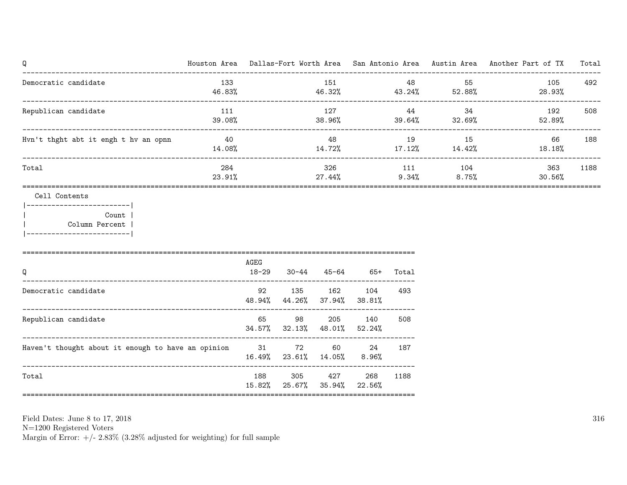| Q                                                                                                          |               |               |                             |                      |                     |                 |                                     | Houston Area Dallas-Fort Worth Area San Antonio Area Austin Area Another Part of TX | Total        |
|------------------------------------------------------------------------------------------------------------|---------------|---------------|-----------------------------|----------------------|---------------------|-----------------|-------------------------------------|-------------------------------------------------------------------------------------|--------------|
| Democratic candidate                                                                                       | 133<br>46.83% |               |                             | 151                  |                     | 48              | 55<br>$46.32\%$ $43.24\%$ $52.88\%$ | 105<br>28.93%                                                                       | 492          |
| Republican candidate                                                                                       | 111<br>39.08% |               |                             | 127<br>38.96%        |                     | 39.64%          | 44<br>34                            | 192<br>32.69%<br>52.89%                                                             | 508<br>----- |
| Hvn't thght abt it engh t hv an opnn                                                                       | 40<br>14.08%  |               |                             | 48                   | 14.72%              |                 | 19 15<br>$17.12\%$ $14.42\%$        | 66<br>18.18%                                                                        | 188          |
| Total                                                                                                      | 284<br>23.91% |               |                             | 326<br>27.44%        |                     | 111<br>$9.34\%$ | 104<br>$8.75\%$                     | 363<br>30.56%                                                                       | 1188         |
| Cell Contents<br> ------------------------ <br>Count  <br>  Column Percent  <br> ------------------------- |               |               |                             |                      |                     |                 |                                     |                                                                                     |              |
| Q                                                                                                          |               | AGEG<br>18-29 | 30-44                       |                      | $45-64$ $65+$ Total |                 |                                     |                                                                                     |              |
| Democratic candidate                                                                                       |               | 92<br>48.94%  | 135                         | 162<br>44.26% 37.94% | 104<br>38.81%       | 493             |                                     |                                                                                     |              |
| Republican candidate                                                                                       |               | 65            | 98<br>$34.57\%$ $32.13\%$   | 205<br>48.01%        | 140<br>52.24%       | 508             |                                     |                                                                                     |              |
| Haven't thought about it enough to have an opinion 31                                                      |               |               | 72<br>16.49% 23.61% 14.05%  | 60                   | 24<br>8.96%         | 187             |                                     |                                                                                     |              |
| Total                                                                                                      |               | 188           | 305<br>15.82% 25.67% 35.94% | 427                  | 268<br>22.56%       | 1188            |                                     |                                                                                     |              |
|                                                                                                            |               |               |                             |                      |                     |                 |                                     |                                                                                     |              |

N=1200 Registered Voters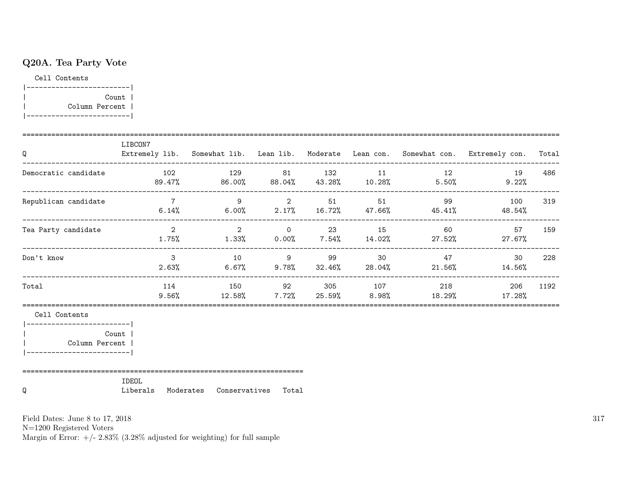# Q20A. Tea Party Vote

Cell Contents

|-------------------------| | Count | | Column Percent | |-------------------------|

| Q                                                                                          | LIBCON7                    |    |  |         |                                                        | Extremely lib. Somewhat lib. Lean lib. Moderate Lean con. Somewhat con. Extremely con. Total   |      |
|--------------------------------------------------------------------------------------------|----------------------------|----|--|---------|--------------------------------------------------------|------------------------------------------------------------------------------------------------|------|
| Democratic candidate<br>---------------------------                                        |                            |    |  |         |                                                        | 102 129 81 132 11 12 19<br>$89.47\%$ $86.00\%$ $88.04\%$ $43.28\%$ $10.28\%$ $5.50\%$ $9.22\%$ | 486  |
| Republican candidate                                                                       |                            |    |  |         |                                                        | 7 9 9 2 51 51 99 100<br>$6.14\%$ $6.00\%$ $2.17\%$ $16.72\%$ $47.66\%$ $45.41\%$ $48.54\%$     | 319  |
| Tea Party candidate                                                                        | $\overline{\phantom{a}}$ 2 |    |  |         | 2 0 23 15 60                                           | 57<br>$1.75\%$ $1.33\%$ $0.00\%$ $7.54\%$ $14.02\%$ $27.52\%$ $27.67\%$                        | 159  |
| Don't know                                                                                 | $\mathcal{B}$              | 10 |  | 9 99 30 | 47<br>$2.63\%$ 6.67% 9.78% 32.46% 28.04% 21.56% 14.56% | 30                                                                                             | 228  |
| Total                                                                                      |                            |    |  |         |                                                        | 114 150 92 305 107 218 206<br>$9.56\%$ 12.58% 7.72% 25.59% 8.98% 18.29% 17.28%                 | 1192 |
| Cell Contents                                                                              |                            |    |  |         |                                                        |                                                                                                |      |
| ___________________________<br>Count  <br>  Column Percent  <br>__________________________ |                            |    |  |         |                                                        |                                                                                                |      |
|                                                                                            | <b>IDEOL</b>               |    |  |         |                                                        |                                                                                                |      |

Q Liberals Moderates Conservatives Total

Field Dates: June 8 to 17, 2018

N=1200 Registered Voters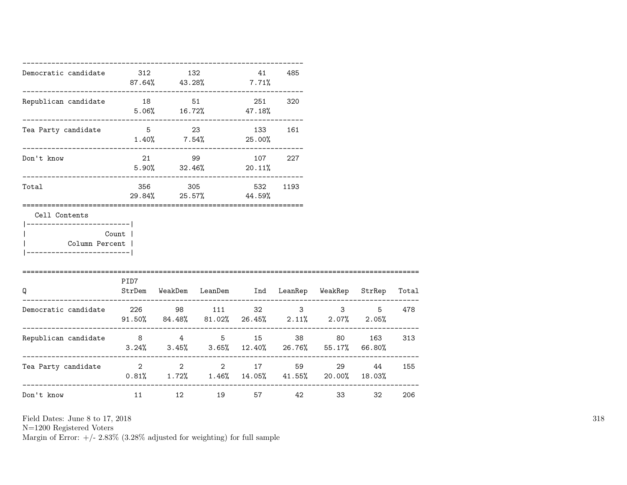| Democratic candidate                                                                      | 312 132                             |         | $87.64\%$ $43.28\%$ $7.71\%$                  | 41  | 485     |                                                                                     |    |     |
|-------------------------------------------------------------------------------------------|-------------------------------------|---------|-----------------------------------------------|-----|---------|-------------------------------------------------------------------------------------|----|-----|
| Republican candidate                                                                      | --------------------------<br>18 51 |         | $5.06\%$ $16.72\%$ $47.18\%$                  |     | 251 320 |                                                                                     |    |     |
| Tea Party candidate                                                                       |                                     |         | 5 23 133 161<br>$1.40\%$ 7.54% 25.00%         |     |         |                                                                                     |    |     |
| Don't know                                                                                |                                     |         | 21 99 107 227<br>$5.90\%$ $32.46\%$ $20.11\%$ |     |         |                                                                                     |    |     |
| Total                                                                                     |                                     | 356 305 | 29.84% 25.57% 44.59%                          | 532 | 1193    |                                                                                     |    |     |
| Cell Contents<br>------------------------- <br>Column Percent  <br>______________________ | Count                               |         |                                               |     |         |                                                                                     |    |     |
| Q                                                                                         | PID7                                |         |                                               |     |         | StrDem WeakDem LeanDem Ind LeanRep WeakRep StrRep Total                             |    |     |
| Democratic candidate 226 98 111 32 3 3 5                                                  |                                     |         |                                               |     |         | $91.50\%$ 84.48% 81.02% 26.45% 2.11% 2.07% 2.05%                                    |    | 478 |
| Republican candidate 8 4 5 15 38 80 163 313<br>------------------------                   |                                     |         |                                               |     |         | $3.24\%$ $3.45\%$ $3.65\%$ $12.40\%$ $26.76\%$ $55.17\%$ 66.80%                     |    |     |
| Tea Party candidate $\qquad \qquad 2 \qquad \qquad 2 \qquad \qquad 17$                    |                                     |         |                                               |     |         | 59 7 10<br>29<br>$0.81\%$ $1.72\%$ $1.46\%$ $14.05\%$ $41.55\%$ $20.00\%$ $18.03\%$ | 44 | 155 |
| Don't know                                                                                | 11 \,                               |         | 12 19                                         |     | 57 42   |                                                                                     | 32 | 206 |

N=1200 Registered Voters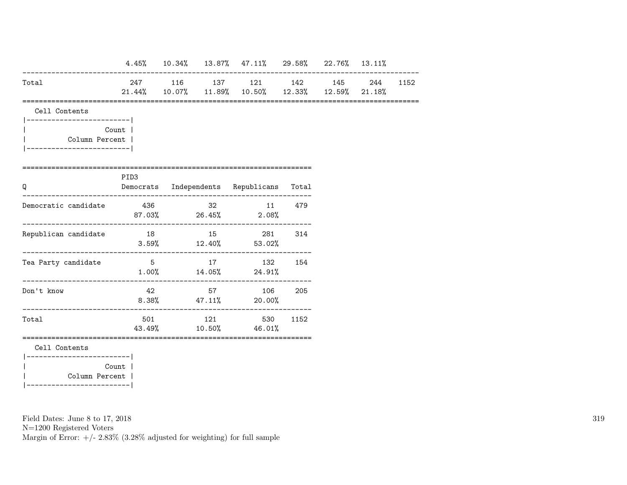|                                              |       |  | $4.45\%$ 10.34% 13.87% 47.11% 29.58% 22.76% 13.11%                             |     |  |          |
|----------------------------------------------|-------|--|--------------------------------------------------------------------------------|-----|--|----------|
| Total                                        |       |  | 247 116 137 121 142 145<br>$21.44\%$ 10.07% 11.89% 10.50% 12.33% 12.59% 21.18% |     |  | 244 1152 |
| Cell Contents                                |       |  |                                                                                |     |  |          |
| Column Percent  <br>________________________ | Count |  |                                                                                |     |  |          |
| Q                                            | PID3  |  | Democrats Independents Republicans Total                                       |     |  |          |
| Democratic candidate                         | 436   |  | 32 11<br>$87.03\%$ 26.45% 2.08%                                                | 479 |  |          |
| Republican candidate                         |       |  | 18 15 281<br>$3.59\%$ $12.40\%$ $53.02\%$                                      | 314 |  |          |
| Tea Party candidate                          |       |  | 5 17 132 154<br>$1.00\%$ $14.05\%$ $24.91\%$                                   |     |  |          |
| Don't know                                   | 42    |  | 57 106<br>$8.38\%$ 47.11% 20.00%                                               | 205 |  |          |
| Total                                        |       |  | 501 121 530 1152<br>43.49% 10.50% 46.01%                                       |     |  |          |
| Cell Contents<br>__________________________  |       |  |                                                                                |     |  |          |
| Column Percent                               | Count |  |                                                                                |     |  |          |

|-------------------------|

N=1200 Registered Voters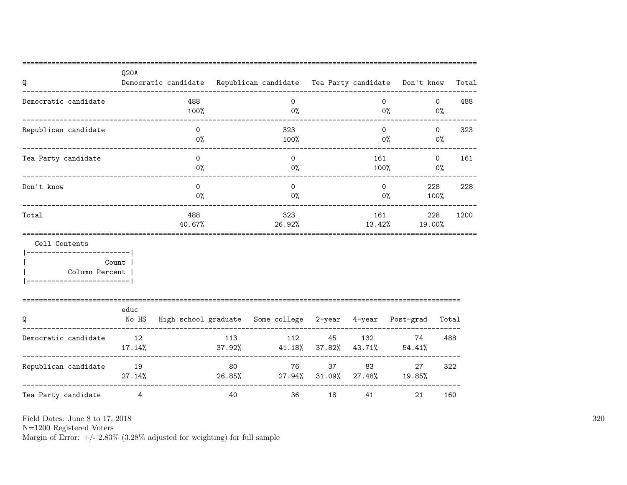| Q                                             | Q20A         |                   |     | Democratic candidate Republican candidate Tea Party candidate Don't know |         |       |                   |                | Total |
|-----------------------------------------------|--------------|-------------------|-----|--------------------------------------------------------------------------|---------|-------|-------------------|----------------|-------|
| Democratic candidate                          |              | 488<br>100%       |     | $\Omega$<br>$0\%$                                                        |         |       | $\Omega$<br>$0\%$ | $\Omega$<br>0% | 488   |
| Republican candidate<br>--------------------- |              | $\Omega$<br>$0\%$ |     | 323<br>100%                                                              |         |       | $\Omega$<br>$0\%$ | $\circ$<br>0%  | 323   |
| Tea Party candidate                           |              | $\Omega$<br>$0\%$ |     | $\Omega$<br>0%                                                           |         |       | 161<br>100%       | $\Omega$<br>0% | 161   |
| Don't know                                    |              | $\Omega$<br>$0\%$ |     | $\Omega$<br>0%                                                           |         |       | $\Omega$<br>0%    | 228<br>100%    | 228   |
| Total                                         |              | 488<br>40.67%     |     | 323<br>26.92%                                                            |         |       | 161<br>13.42%     | 228<br>19.00%  | 1200  |
| Cell Contents<br>Column Percent               | Count        |                   |     |                                                                          |         |       |                   |                |       |
| Q                                             | educ         |                   |     | No HS High school graduate Some college 2-year 4-year Post-grad Total    |         |       |                   |                |       |
| Democratic candidate                          | 12<br>17.14% |                   | 113 | 37.92% 41.18% 37.82% 43.71% 54.41%                                       |         |       | 112 45 132 74     | 488            |       |
| Republican candidate 19                       | $27.14\%$    |                   | 80  | 26.85% 27.94% 31.09% 27.48% 19.85%                                       | 76 — 17 | 37 83 | 27                |                | 322   |
| Tea Party candidate                           | 4            |                   | 40  | 36                                                                       | 18      | 41    | 21                |                | 160   |

N=1200 Registered Voters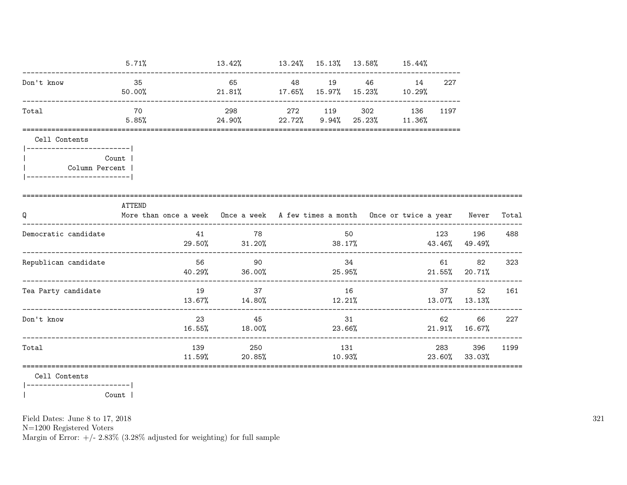|                                            | 5.71%         |                                                                                        | $13.42\%$ $13.24\%$ $15.13\%$ $13.58\%$ $15.44\%$    |         |              |     |         |                       |      |
|--------------------------------------------|---------------|----------------------------------------------------------------------------------------|------------------------------------------------------|---------|--------------|-----|---------|-----------------------|------|
| Don't know                                 | 35<br>50.00%  |                                                                                        | 65 48 19 46 14<br>21.81% 17.65% 15.97% 15.23% 10.29% |         |              |     | 227     |                       |      |
| Total                                      | 70<br>5.85%   | $24.90\%$ 22.72% 9.94% 25.23% 11.36%                                                   | 298                                                  | 272 119 | 302          | 136 | 1197    |                       |      |
| Cell Contents<br>------------------------- |               |                                                                                        |                                                      |         |              |     |         |                       |      |
| <b>Count</b> I<br>Column Percent           |               |                                                                                        |                                                      |         |              |     |         |                       |      |
| Q                                          | <b>ATTEND</b> | More than once a week Once a week A few times a month Once or twice a year Never Total |                                                      |         |              |     |         |                       |      |
| Democratic candidate                       |               |                                                                                        | 41 78<br>$29.50\%$ 31.20% 36.17% 43.46% 49.49%       |         | 50 — 10      |     |         | 123 196 488           |      |
| Republican candidate                       |               | 56                                                                                     | 90<br>$40.29\%$ 36.00% 25.95%                        |         | 34           |     | 61      | 82<br>21.55% 20.71%   | 323  |
| Tea Party candidate                        |               | 19                                                                                     | 37<br>$13.67\%$ 14.80% 12.21% 13.07% 13.13%          |         | 16           |     | 37 8    | 52                    | 161  |
| Don't know                                 |               |                                                                                        | 23<br>45<br>16.55% 18.00%                            |         | 31<br>23.66% |     | 62 — 10 | 66 —<br>21.91% 16.67% | 227  |
| Total                                      |               | 139                                                                                    | 250<br>$11.59\%$ 20.85% 10.93% 23.60% 33.03%         |         | 131          |     | 283     | 396                   | 1199 |
| $0.11 \quad 0.00000000$                    |               |                                                                                        |                                                      |         |              |     |         |                       |      |

Cell Contents

 $|---------------$ Count |  $\overline{\phantom{a}}$ 

Field Dates: June 8 to 17, 2018

 ${\rm N}{=}1200$  Registered Voters

Margin of Error:  $+/- 2.83\%$  (3.28% adjusted for weighting) for full sample

321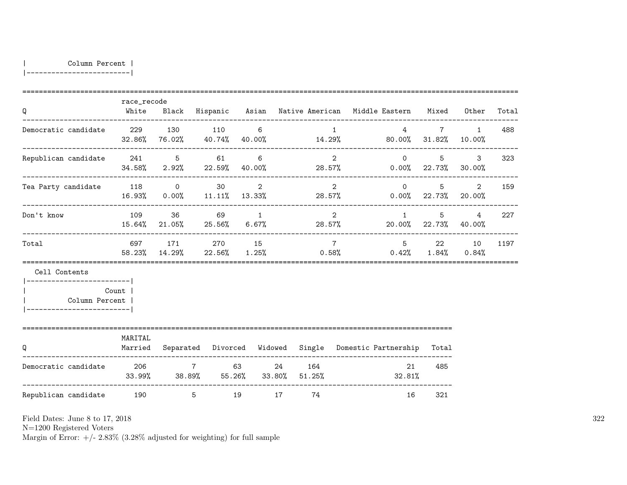| Column Percent |

|-------------------------|

| Q                                                               | race_recode        |                                         |    |                |    |           |                 | White Black Hispanic Asian Native-American Middle-Eastern Mixed Other      |             |                            | Total |
|-----------------------------------------------------------------|--------------------|-----------------------------------------|----|----------------|----|-----------|-----------------|----------------------------------------------------------------------------|-------------|----------------------------|-------|
| Democratic candidate 229 130 110 6                              |                    |                                         |    |                |    |           | $\overline{1}$  | $32.86\%$ 76.02% $40.74\%$ 40.00% $14.29\%$ 80.00% $31.82\%$ 10.00%        | $4$ 7       | $\overline{1}$             | 488   |
| Republican candidate 241 5 61                                   |                    |                                         |    | -6             |    |           | $\mathcal{D}$   | $\Omega$<br>$34.58\%$ 2.92% 22.59% 40.00% 28.57% 0.00% 22.73% 30.00%       | 5           | $\mathbf{3}$               | 323   |
| Tea Party candidate 118 0 30 2                                  |                    | 16.93% 0.00% 11.11% 13.33%              |    |                |    |           |                 | $2 \t\t 0$<br>28.57% 0.00% 22.73% 20.00%                                   |             | $5^{\circ}$<br>$2^{\circ}$ | 159   |
| Don't know                                                      | 109                | 36 36                                   | 69 | $\overline{1}$ |    |           | $2^{\circ}$     | $1 \quad$<br>$15.64\%$ 21.05% 25.56% 6.67% 28.57% 20.00% 22.73% 40.00%     | $5^{\circ}$ | $\overline{4}$             | 227   |
| Total                                                           |                    | 697 171 270 15                          |    |                |    |           | $7\overline{7}$ | $58.23\%$ $14.29\%$ $22.56\%$ $1.25\%$ $0.58\%$ $0.42\%$ $1.84\%$ $0.84\%$ | 5 22 10     |                            | 1197  |
| Cell Contents<br>------------------------- <br>  Column Percent | Count              |                                         |    |                |    |           |                 |                                                                            |             |                            |       |
| Q                                                               | MARITAL<br>Married |                                         |    |                |    |           |                 | Separated Divorced Widowed Single Domestic Partnership                     | Total       |                            |       |
| Democratic candidate $206$ 7 63 24 164                          |                    | $33.99\%$ $38.89\%$ $55.26\%$ $33.80\%$ |    |                |    | $51.25\%$ |                 | 21<br>32.81%                                                               | 485         |                            |       |
| Republican candidate 190                                        |                    | $5^{\circ}$                             |    | 19             | 17 | 74        |                 | 16                                                                         | 321         |                            |       |

Field Dates: June 8 to 17, 2018

N=1200 Registered Voters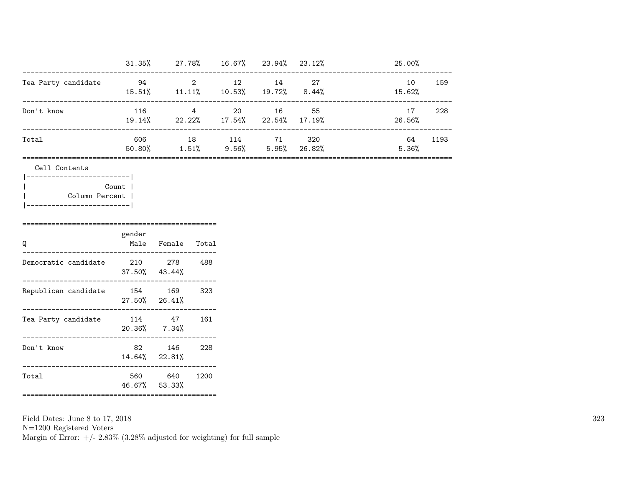|                     | 31.35%        | 27.78%         |                 | 16.67% 23.94% | $23.12\%$      | 25.00%       |      |
|---------------------|---------------|----------------|-----------------|---------------|----------------|--------------|------|
| Tea Party candidate | 94<br>15.51%  | 2<br>$11.11\%$ | 12<br>10.53%    | 14<br>19.72%  | 27<br>$8.44\%$ | 10<br>15.62% | 159  |
| Don't know          | 116<br>19.14% | 4<br>22.22%    | 20<br>17.54%    | 16<br>22.54%  | 55<br>17.19%   | 17<br>26.56% | 228  |
| Total               | 606<br>50.80% | 18<br>1.51%    | 114<br>$9.56\%$ | 71<br>5.95%   | 320<br>26.82%  | 64<br>5.36%  | 1193 |

========================================================================================================

Cell Contents

| Count          |
|----------------|
| Column Percent |
|                |

| Q                    | gender                     | Male Female Total                      |      |
|----------------------|----------------------------|----------------------------------------|------|
| Democratic candidate | 210                        | 278<br>$37.50\%$ $43.44\%$             | 488  |
| Republican candidate | 154<br>$27.50\%$ $26.41\%$ | 169                                    | 323  |
| Tea Party candidate  | 114<br>$20.36\%$ 7.34%     | 47                                     | 161  |
| Don't know           | 82                         | 146<br>14.64% 22.81%                   | 228  |
| Total                | 560<br>46.67% 53.33%       | 640<br>=============================== | 1200 |

Field Dates: June 8 to 17, 2018 N=1200 Registered Voters Margin of Error:  $+/- 2.83\%$  (3.28% adjusted for weighting) for full sample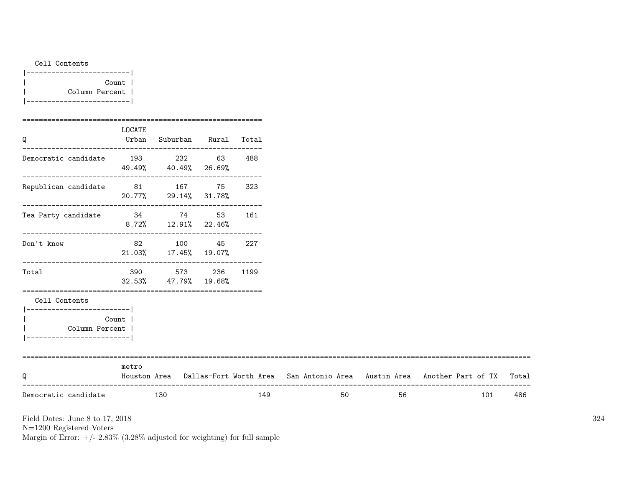| Cell Contents     |  |
|-------------------|--|
| _________________ |  |
| Count             |  |
| Column Percent    |  |
| --------------    |  |

| Q                                            | LOCATE | Urban Suburban Rural Total               |     |    |                                                                                     |     |       |
|----------------------------------------------|--------|------------------------------------------|-----|----|-------------------------------------------------------------------------------------|-----|-------|
| Democratic candidate 193 232 63              |        | 49.49% 40.49% 26.69%                     | 488 |    |                                                                                     |     |       |
| Republican candidate 81 167 75               |        | 20.77% 29.14% 31.78%                     | 323 |    |                                                                                     |     |       |
| Tea Party candidate<br>34<br>74<br>53<br>161 |        | $8.72\%$ $12.91\%$ $22.46\%$             |     |    |                                                                                     |     |       |
| ---------------------<br>Don't know          |        | 82 100 45<br>21.03% 17.45% 19.07%        | 227 |    |                                                                                     |     |       |
| Total                                        |        | 390 573 236 1199<br>32.53% 47.79% 19.68% |     |    |                                                                                     |     |       |
| Cell Contents<br>---------------------       |        |                                          |     |    |                                                                                     |     |       |
| Column Percent<br>---------------------      | Count  |                                          |     |    |                                                                                     |     |       |
| Q                                            | metro  |                                          |     |    | Houston Area Dallas-Fort Worth Area San Antonio Area Austin Area Another Part of TX |     | Total |
| Democratic candidate                         |        | 130                                      | 149 | 50 | 56                                                                                  | 101 | 486   |

N=1200 Registered Voters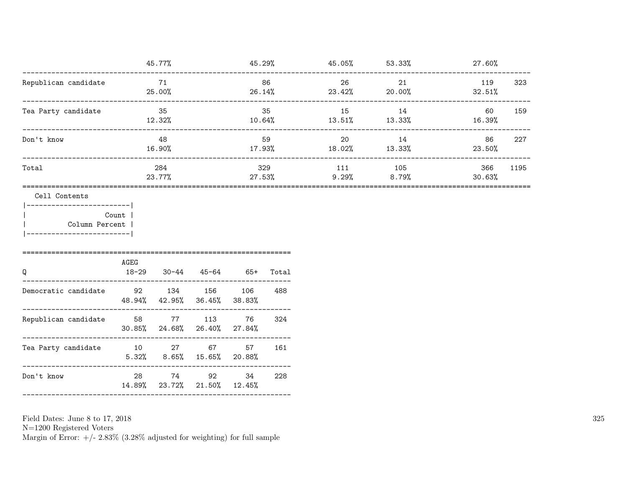|                                                                    |                 | 45.77%        |                                         |                             |               | $45.29\%$ $45.05\%$ $53.33\%$       |                       | 27.60%                |  |  |  |  |  |                           |    |                     |
|--------------------------------------------------------------------|-----------------|---------------|-----------------------------------------|-----------------------------|---------------|-------------------------------------|-----------------------|-----------------------|--|--|--|--|--|---------------------------|----|---------------------|
| Republican candidate                                               |                 | 71<br>25.00%  |                                         | $26.14\%$                   | 86            | 26<br>$23.42\%$ 20.00%              | 21                    | 119<br>323<br>32.51%  |  |  |  |  |  |                           |    |                     |
| Tea Party candidate                                                |                 | 35<br>12.32%  |                                         | 35<br>10.64%                |               |                                     |                       |                       |  |  |  |  |  | 15<br>$13.51\%$ $13.33\%$ | 14 | 60<br>159<br>16.39% |
| Don't know                                                         |                 | 48<br>16.90%  |                                         |                             | 59            | 20<br>$17.93\%$ $18.02\%$ $13.33\%$ | 14                    | 86<br>227<br>23.50%   |  |  |  |  |  |                           |    |                     |
| Total                                                              |                 | 284<br>23.77% |                                         |                             | 329<br>27.53% | 111                                 | 105<br>$9.29\%$ 8.79% | 366<br>1195<br>30.63% |  |  |  |  |  |                           |    |                     |
| ----------------- <br>Column Percent<br>._________________________ | Count  <br>AGEG |               |                                         |                             |               |                                     |                       |                       |  |  |  |  |  |                           |    |                     |
| Q                                                                  |                 |               |                                         | 18-29 30-44 45-64 65+ Total |               |                                     |                       |                       |  |  |  |  |  |                           |    |                     |
| Democratic candidate<br>_________________                          | 92 134 156      |               | 48.94% 42.95% 36.45% 38.83%             | 106                         | 488           |                                     |                       |                       |  |  |  |  |  |                           |    |                     |
| Republican candidate<br>_____________________                      | 58 77 113       |               | 30.85% 24.68% 26.40% 27.84%             | 76                          | 324           |                                     |                       |                       |  |  |  |  |  |                           |    |                     |
| Tea Party candidate                                                | 10 27 67        |               | $5.32\%$ $8.65\%$ $15.65\%$ 20.88%      | 57                          | 161           |                                     |                       |                       |  |  |  |  |  |                           |    |                     |
| Don't know                                                         |                 |               | 28 74 92<br>14.89% 23.72% 21.50% 12.45% | 34                          | 228           |                                     |                       |                       |  |  |  |  |  |                           |    |                     |
|                                                                    |                 |               |                                         |                             |               |                                     |                       |                       |  |  |  |  |  |                           |    |                     |

N=1200 Registered Voters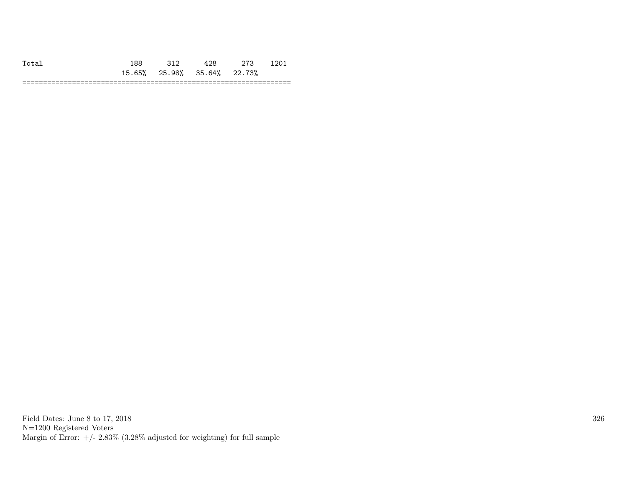| $\circ$                    |        | $\mu$            |       |              |
|----------------------------|--------|------------------|-------|--------------|
| <b>65%</b><br>15.<br>◡◡ ៸。 | 25.98% | $35.64\%$ 22.73% |       |              |
|                            |        |                  | ----- | ___<br>_____ |

Field Dates: June 8 to 17, 2018 N=1200 Registered Voters Margin of Error:  $+/- 2.83\%$  (3.28% adjusted for weighting) for full sample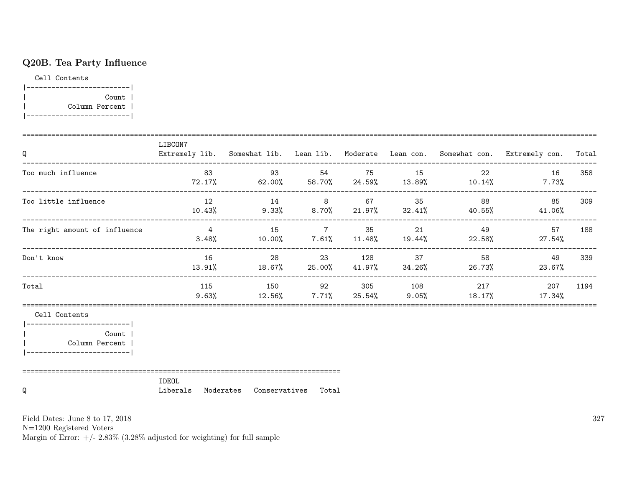# Q20B. Tea Party Influence

Cell Contents

|-------------------------| | Count | | Column Percent | |-------------------------|

| Q                                                                                  | LIBCON7           |                               |  |    | Extremely lib. Somewhat lib. Lean lib. Moderate Lean con. Somewhat con. Extremely con. Total |      |
|------------------------------------------------------------------------------------|-------------------|-------------------------------|--|----|----------------------------------------------------------------------------------------------|------|
| Too much influence                                                                 |                   |                               |  |    | 83 33 54 75 15 22 16 358<br>$72.17\%$ 62.00% 58.70% 24.59% 13.89% 10.14% 7.73%               |      |
| Too little influence                                                               |                   | 12 14 8 67 35                 |  | 88 | 85<br>$10.43\%$ $9.33\%$ $8.70\%$ $21.97\%$ $32.41\%$ $40.55\%$ $41.06\%$                    | 309  |
| The right amount of influence                                                      |                   | 4 15 7 35 21                  |  | 49 | 57 188<br>$3.48\%$ $10.00\%$ $7.61\%$ $11.48\%$ $19.44\%$ $22.58\%$ $27.54\%$                |      |
| Don't know                                                                         | 16                | 28 23 128 37                  |  | 58 | 49<br>$13.91\%$ 18.67% 25.00% 41.97% 34.26% 26.73% 23.67%                                    | 339  |
| Total                                                                              | 115               |                               |  |    | 150 92 305 108 217 207<br>$9.63\%$ $12.56\%$ $7.71\%$ $25.54\%$ $9.05\%$ $18.17\%$ $17.34\%$ | 1194 |
| Cell Contents<br><b>Count</b><br>  Column Percent  <br> -------------------------- |                   |                               |  |    |                                                                                              |      |
| Q                                                                                  | IDEOL<br>Liberals | Moderates Conservatives Total |  |    |                                                                                              |      |

Field Dates: June 8 to 17, 2018

N=1200 Registered Voters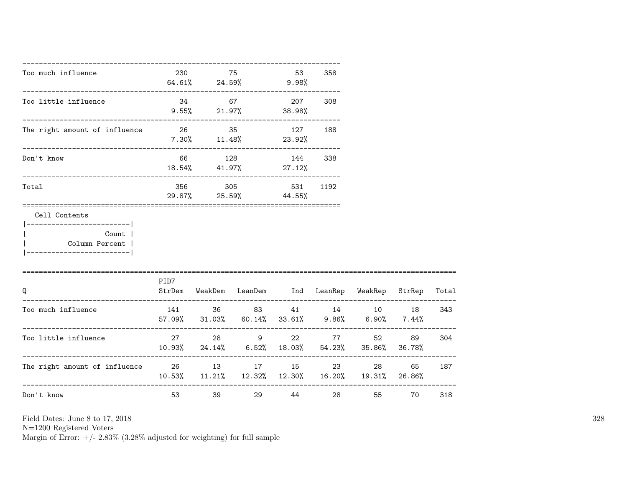| Too much influence                                                                                     | 230  |       | 75<br>64.61% 24.59% 9.98%                                              | 53      | 358 |       |       |     |
|--------------------------------------------------------------------------------------------------------|------|-------|------------------------------------------------------------------------|---------|-----|-------|-------|-----|
| Too little influence                                                                                   | 34   |       | $9.55\%$ 21.97% 38.98%                                                 | 207     | 308 |       |       |     |
| The right amount of influence                                                                          |      |       | 26 35<br>$7.30\%$ $11.48\%$ $23.92\%$                                  | 127 188 |     |       |       |     |
| Don't know                                                                                             |      |       | 66 128 144 338<br>$18.54\%$ $41.97\%$ $27.12\%$                        |         |     |       |       |     |
| Total                                                                                                  |      |       | 356 305 531 1192<br>29.87% 25.59% 44.55%                               |         |     |       |       |     |
| Cell Contents<br>------------------------- <br>Count  <br>Column Percent  <br>------------------------ |      |       |                                                                        |         |     |       |       |     |
| Q                                                                                                      | PID7 |       | StrDem WeakDem LeanDem Ind LeanRep WeakRep StrRep Total                |         |     |       |       |     |
| Too much influence                                                                                     |      |       | 141 36 83 41 14 10 18<br>57.09% 31.03% 60.14% 33.61% 9.86% 6.90% 7.44% |         |     |       |       | 343 |
| Too little influence                                                                                   |      |       | 27 28 9 22<br>$10.93\%$ 24.14% 6.52% 18.03% 54.23% 35.86% 36.78%       |         |     | 77 52 | 89    | 304 |
| The right amount of influence $26$ $13$ $17$ $15$ $23$ $28$<br>---------------------------------       |      |       | $10.53\%$ $11.21\%$ $12.32\%$ $12.30\%$ $16.20\%$ $19.31\%$ $26.86\%$  |         |     |       | 65 —  | 187 |
| Don't know                                                                                             |      | 53 39 |                                                                        | 29 44   |     |       | 55 70 | 318 |

N=1200 Registered Voters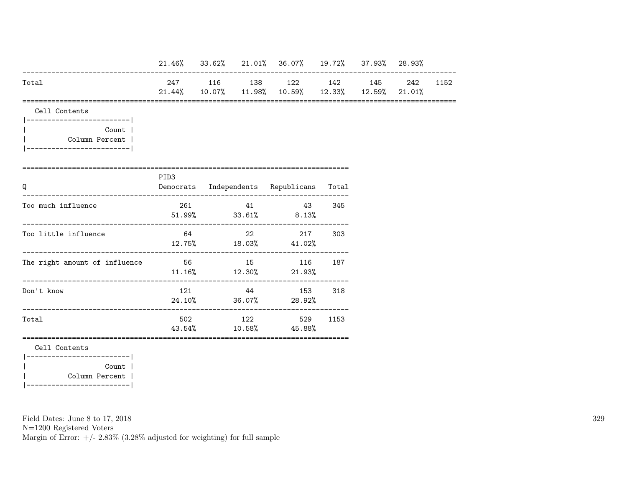|                                                       |                  |  | 21.46% 33.62% 21.01% 36.07% 19.72% 37.93% 28.93%                               |     |  |          |
|-------------------------------------------------------|------------------|--|--------------------------------------------------------------------------------|-----|--|----------|
| Total                                                 |                  |  | 247 116 138 122 142 145<br>$21.44\%$ 10.07% 11.98% 10.59% 12.33% 12.59% 21.01% |     |  | 242 1152 |
| Cell Contents                                         |                  |  |                                                                                |     |  |          |
| ----------------------- <br>Count  <br>Column Percent |                  |  |                                                                                |     |  |          |
| Q                                                     | PID <sub>3</sub> |  | Democrats Independents Republicans Total                                       |     |  |          |
| Too much influence                                    | 261              |  | 41 43<br>$51.99\%$ $33.61\%$ $8.13\%$                                          | 345 |  |          |
| Too little influence                                  |                  |  | 64 22 217<br>$12.75\%$ $18.03\%$ $41.02\%$                                     | 303 |  |          |
| The right amount of influence                         |                  |  | 56 15 116 187<br>$11.16\%$ $12.30\%$ $21.93\%$                                 |     |  |          |
| Don't know                                            | 121              |  | 44 153<br>24.10% 36.07% 28.92%                                                 | 318 |  |          |
| Total                                                 |                  |  | 502 122 529 1153<br>43.54% 10.58% 45.88%                                       |     |  |          |
| Cell Contents                                         |                  |  |                                                                                |     |  |          |
| Count  <br>Column Percent                             |                  |  |                                                                                |     |  |          |

|-------------------------|

Field Dates: June 8 to 17, 2018

N=1200 Registered Voters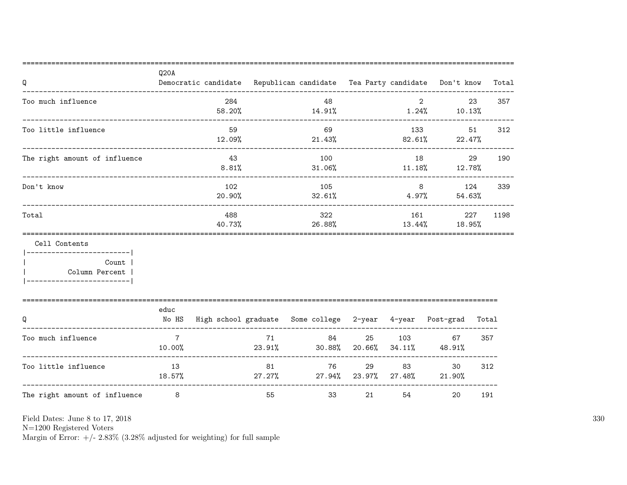| Q<br>_________________________________                                                   | Q20A                      |                |              | Democratic candidate Republican candidate Tea Party candidate Don't know |    |                |                     |       | Total |
|------------------------------------------------------------------------------------------|---------------------------|----------------|--------------|--------------------------------------------------------------------------|----|----------------|---------------------|-------|-------|
| Too much influence                                                                       |                           | 284<br>58.20%  |              | 48<br>14.91%                                                             |    | $\overline{2}$ | $1.24\%$ $10.13\%$  | 23    | 357   |
| Too little influence<br>__________________________________                               |                           | 59<br>12.09%   |              | 69<br>21.43%                                                             |    | 133            | $82.61\%$ 22.47%    | 51    | 312   |
| The right amount of influence                                                            |                           | 43<br>8.81%    |              | 100<br>$31.06\%$                                                         |    |                | $11.18\%$ $12.78\%$ | 29    | 190   |
| Don't know                                                                               |                           | 102<br>20.90%  |              | 105<br>32.61%                                                            |    | 4.97%          | 8 124<br>54.63%     |       | 339   |
| Total                                                                                    |                           | 488<br>40.73%  |              | 322<br>26.88%                                                            |    | 161            | 13.44%<br>18.95%    | 227   | 1198  |
| Cell Contents                                                                            |                           | -------------- |              |                                                                          |    |                |                     |       |       |
| ------------------------- <br>Count  <br>Column Percent  <br> -------------------------- |                           |                |              |                                                                          |    |                |                     |       |       |
| Q                                                                                        | educ                      |                |              | No HS High school graduate Some college 2-year 4-year Post-grad          |    |                |                     | Total |       |
| Too much influence                                                                       | $7\overline{7}$<br>10.00% |                | 71<br>23.91% | 84 — 10<br>$30.88\%$ 20.66% $34.11\%$ 48.91%                             |    | 25 103 67      |                     | 357   |       |
| ------------------------------------<br>Too little influence                             | 13<br>18.57%              |                | 81           | 76 — 17<br>$27.27\%$ 27.94% 23.97% 27.48% 21.90%                         |    | 29 83          | 30                  | 312   |       |
| The right amount of influence                                                            | 8                         |                | 55           | 33                                                                       | 21 |                | 54 7<br>20          | 191   |       |

N=1200 Registered Voters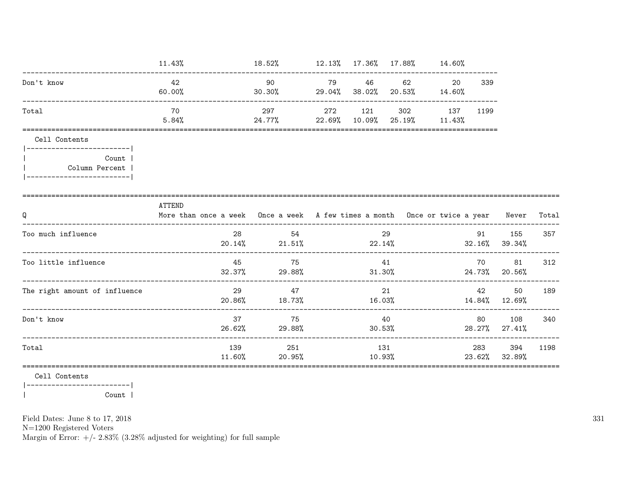|                                                            | 11.43%                                                                                     | $18.52\%$ $12.13\%$ $17.36\%$ $17.88\%$ $14.60\%$ |        |                                     |                  |      |                            |        |
|------------------------------------------------------------|--------------------------------------------------------------------------------------------|---------------------------------------------------|--------|-------------------------------------|------------------|------|----------------------------|--------|
| Don't know                                                 | 42<br>60.00%                                                                               | 90 — 10<br>$30.30\%$ 29.04% 38.02% 20.53% 14.60%  |        | 79 46 62                            | 20               | 339  |                            |        |
| Total                                                      | 70<br>$24.77\%$ 22.69% 10.09% 25.19% 11.43%<br>5.84%                                       | 297                                               |        | 272 121 302 137                     |                  | 1199 |                            |        |
| Cell Contents<br> -------------------------                |                                                                                            |                                                   |        |                                     |                  |      |                            |        |
| Count  <br>Column Percent  <br> -------------------------- |                                                                                            |                                                   |        |                                     |                  |      |                            |        |
| Q                                                          | ATTEND<br>More than once a week Once a week A few times a month Once or twice a year Never |                                                   |        |                                     |                  |      |                            | Total  |
| Too much influence                                         |                                                                                            | 28 54<br>$20.14\%$ 21.51% 22.14%                  |        | 29                                  | $32.16\%$ 39.34% |      | 91 155                     | 357    |
| Too little influence                                       |                                                                                            | 45 75<br>$32.37\%$ 29.88% $31.30\%$               |        | 41                                  |                  | 70   | 81<br>24.73% 20.56%        | 312    |
| The right amount of influence                              | 29                                                                                         | 47<br>$20.86\%$ 18.73%                            |        | 21<br>$16.03\%$ $14.84\%$ $12.69\%$ |                  | 42   |                            | 50 189 |
| Don't know                                                 | 37                                                                                         | 75<br>26.62% 29.88%                               | 30.53% | 40                                  |                  |      | 80 108<br>28.27% 27.41%    | 340    |
| Total                                                      |                                                                                            | 139 251<br>$11.60\%$ 20.95%                       | 10.93% | 131                                 |                  | 283  | 394<br>$23.62\%$ $32.89\%$ | 1198   |
|                                                            |                                                                                            |                                                   |        |                                     |                  |      |                            |        |

Cell Contents |------------------------|

Count |  $\overline{\phantom{a}}$ 

Field Dates: June 8 to 17, 2018

 ${\rm N}{=}1200$  Registered Voters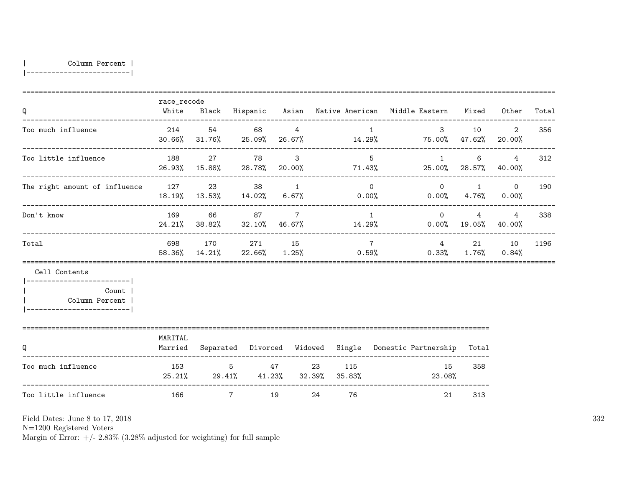| Column Percent |

|-------------------------|

| Q                                                                                          | race_recode        |                                                       |       |                 |    |    |                 | White Black Hispanic Asian Native-American Middle-Eastern Mixed Other                     |           |                               | Total |
|--------------------------------------------------------------------------------------------|--------------------|-------------------------------------------------------|-------|-----------------|----|----|-----------------|-------------------------------------------------------------------------------------------|-----------|-------------------------------|-------|
| Too much influence                                                                         |                    | 214 54 68 4                                           |       |                 |    |    |                 | 3 10 2<br>$30.66\%$ $31.76\%$ $25.09\%$ $26.67\%$ $14.29\%$ $75.00\%$ $47.62\%$ $20.00\%$ |           |                               | 356   |
| Too little influence                                                                       | 188                |                                                       | 27 78 | $\mathbf{3}$    |    |    | $5^{\circ}$     | $\mathbf{1}$<br>$26.93\%$ 15.88% 28.78% 20.00% 71.43% 25.00% 28.57% 40.00%                | 6         | 4                             | 312   |
| The right amount of influence $127$ $23$ $38$ $1$ 0 0 1 0                                  |                    |                                                       |       |                 |    |    |                 | $18.19\%$ $13.53\%$ $14.02\%$ 6.67% 0.00% 0.00% 0.00% 4.76% 0.00%                         |           |                               | 190   |
| Don't know                                                                                 | 169                |                                                       | 66 87 | $7\overline{ }$ |    |    | $\overline{1}$  | $\Omega$<br>$24.21\%$ 38.82% 32.10% 46.67% 14.29% 0.00% 19.05% 40.00%                     |           | $\overline{4}$<br>$4^{\circ}$ | 338   |
| Total                                                                                      |                    | 698 170 271 15                                        |       |                 |    |    | $7\overline{7}$ | 58.36% 14.21% 22.66% 1.25% 0.59% 0.33% 1.76% 0.84%                                        |           | 4 21 10                       | 1196  |
| Cell Contents                                                                              |                    |                                                       |       |                 |    |    |                 |                                                                                           |           |                               |       |
| __________________________<br>Count  <br>  Column Percent  <br>___________________________ |                    |                                                       |       |                 |    |    |                 |                                                                                           |           |                               |       |
| Q                                                                                          | MARITAL<br>Married |                                                       |       |                 |    |    |                 | Separated Divorced Widowed Single Domestic Partnership                                    | Total     |                               |       |
| Too much influence                                                                         |                    | 153 5 47 23 115<br>25.21% 29.41% 41.23% 32.39% 35.83% |       |                 |    |    |                 | 23.08%                                                                                    | 15<br>358 |                               |       |
| Too little influence                                                                       |                    | $7\overline{ }$                                       | 19    |                 | 24 | 76 |                 | 21                                                                                        | 313       |                               |       |

Field Dates: June 8 to 17, 2018

N=1200 Registered Voters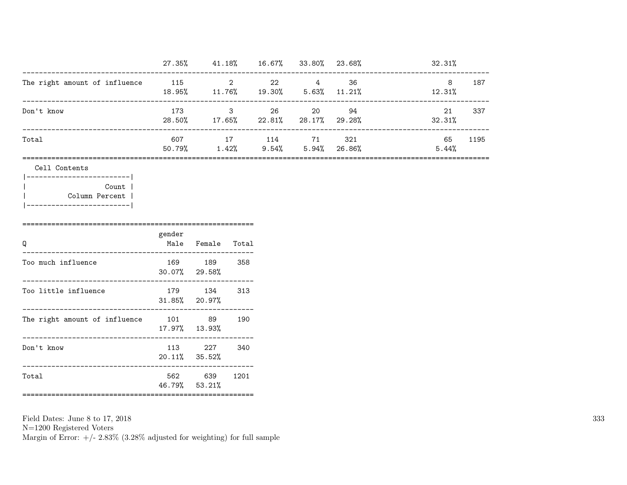|                               | 27.35%          | 41.18%      | 16.67%       | 33.80%         | 23.68%          | 32.31%              |  |
|-------------------------------|-----------------|-------------|--------------|----------------|-----------------|---------------------|--|
| The right amount of influence | - 115<br>18.95% | 11.76%      | 22<br>19.30% | 4<br>$5.63\%$  | 36<br>$11.21\%$ | 8<br>187<br>12.31%  |  |
| Don't know                    | 173<br>28.50%   | 3<br>17.65% | 26<br>22.81% | 20<br>28.17%   | 94<br>29.28%    | 337<br>21<br>32.31% |  |
| Total                         | 607<br>50.79%   | 17<br>1.42% | 114<br>9.54% | 71<br>$5.94\%$ | 321<br>26.86%   | 1195<br>65<br>5.44% |  |

=================================================================================================================

| Cell Contents |
|---------------|
|               |

| --------       |
|----------------|
| Count          |
| Column Percent |
|                |

| O                                    | gender | Male Female Total<br>--------------- |      |
|--------------------------------------|--------|--------------------------------------|------|
| Too much influence                   |        | 169 189<br>$30.07\%$ 29.58%          | -358 |
| Too little influence                 |        | 179 134<br>$31.85\%$ 20.97%          | 313  |
| The right amount of influence 101 89 |        | 17.97% 13.93%                        | 190  |
| Don't know                           |        | 113 227<br>$20.11\%$ 35.52%          | 340  |
| Total                                |        | 562 639 1201<br>46.79% 53.21%        |      |

Field Dates: June 8 to 17, 2018 N=1200 Registered Voters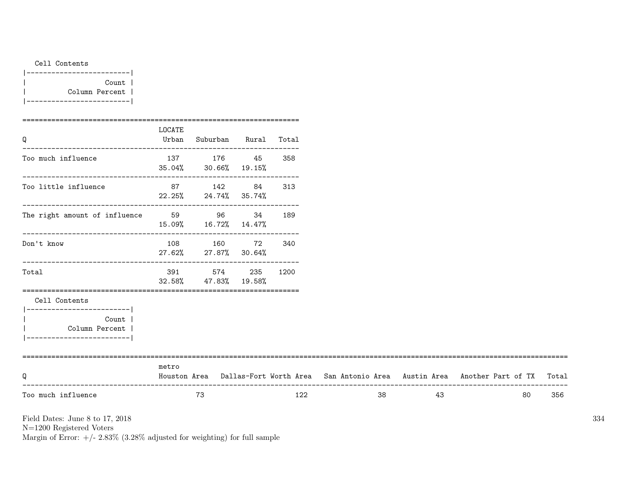| Cell Contents |  |
|---------------|--|
|               |  |

|-------------------------| | Count | | Column Percent | |-------------------------|

|                                                                                   | LOCATE | Urban Suburban Rural Total                  |     |    |    |                                                                                           |     |
|-----------------------------------------------------------------------------------|--------|---------------------------------------------|-----|----|----|-------------------------------------------------------------------------------------------|-----|
| ----------------------<br>Too much influence                                      |        | 137 176 45<br>$35.04\%$ $30.66\%$ $19.15\%$ | 358 |    |    |                                                                                           |     |
| Too little influence                                                              |        | 87 142 84<br>$22.25\%$ 24.74% 35.74%        | 313 |    |    |                                                                                           |     |
| The right amount of influence 59 59 96 34 189                                     |        | 15.09% 16.72% 14.47%                        |     |    |    |                                                                                           |     |
| Don't know                                                                        |        | 108 160 72<br>27.62% 27.87% 30.64%          | 340 |    |    |                                                                                           |     |
| ----------------------------<br>Total                                             |        | 391 574 235 1200<br>32.58% 47.83% 19.58%    |     |    |    |                                                                                           |     |
| Cell Contents                                                                     |        |                                             |     |    |    |                                                                                           |     |
| _______________________<br>Count<br>Column Percent<br>___________________________ |        |                                             |     |    |    |                                                                                           |     |
| Q                                                                                 | metro  |                                             |     |    |    | Houston Area Dallas-Fort Worth Area San Antonio Area Austin Area Another Part of TX Total |     |
| Too much influence                                                                |        | 73                                          | 122 | 38 | 43 | 80                                                                                        | 356 |

Field Dates: June 8 to 17, 2018

N=1200 Registered Voters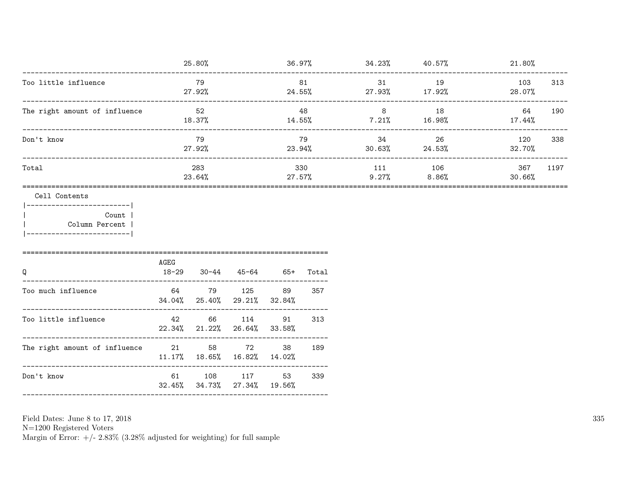| -------------------------------------                                                                            |                                         | 25.80%       |                                           |                     |                  | $36.97\%$ $34.23\%$ $40.57\%$ |              | 21.80%        |      |
|------------------------------------------------------------------------------------------------------------------|-----------------------------------------|--------------|-------------------------------------------|---------------------|------------------|-------------------------------|--------------|---------------|------|
| Too little influence                                                                                             |                                         | 79<br>27.92% |                                           | 81                  |                  | 31<br>$24.55\%$ 27.93% 17.92% | 19           | 103<br>28.07% | 313  |
| The right amount of influence                                                                                    |                                         | 52<br>18.37% |                                           | $14.55\%$           | 48               | 8 <sup>8</sup><br>7.21%       | 18<br>16.98% | 64<br>17.44%  | 190  |
| Don't know                                                                                                       |                                         | 79<br>27.92% |                                           |                     | 79               | 34<br>$23.94\%$ 30.63% 24.53% | 26           | 120<br>32.70% | 338  |
| Total                                                                                                            | 283<br>23.64%                           |              |                                           |                     | 330<br>$27.57\%$ | 111<br>9.27%                  | 106<br>8.86% | 367<br>30.66% | 1197 |
| Cell Contents<br> ------------------------- <br><b>Count</b>  <br>  Column Percent<br>__________________________ | AGEG                                    |              |                                           |                     |                  |                               |              |               |      |
| Q<br>Too much influence                                                                                          | 18-29<br>64 79 125 89                   | $30 - 44$    | $34.04\%$ 25.40% 29.21%                   | 45-64 65+<br>32.84% | Total<br>357     |                               |              |               |      |
| Too little influence 42                                                                                          |                                         | 66           | 114<br>22.34% 21.22% 26.64%               | 91<br>33.58%        | 313              |                               |              |               |      |
| The right amount of influence                                                                                    | 21 58 72<br>11.17% 18.65% 16.82% 14.02% |              |                                           | 38                  | 189              |                               |              |               |      |
| Don't know                                                                                                       |                                         |              | 61 108 117<br>32.45% 34.73% 27.34% 19.56% | 53                  | 339              |                               |              |               |      |
|                                                                                                                  |                                         |              |                                           |                     |                  |                               |              |               |      |

N=1200 Registered Voters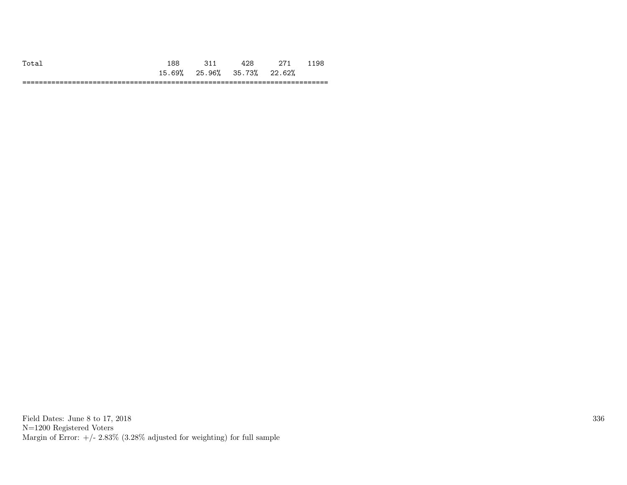| $T_{0} + T_{1}$ | ΩS                   |                      |                              | .98 |
|-----------------|----------------------|----------------------|------------------------------|-----|
|                 | ഭാ″<br>15.<br>∪ ⊘ /ი | 25.96% 35.73% 22.62% |                              |     |
|                 |                      |                      | ---------------------------- | --- |

Field Dates: June 8 to 17, 2018 N=1200 Registered Voters Margin of Error:  $+/- 2.83\%$  (3.28% adjusted for weighting) for full sample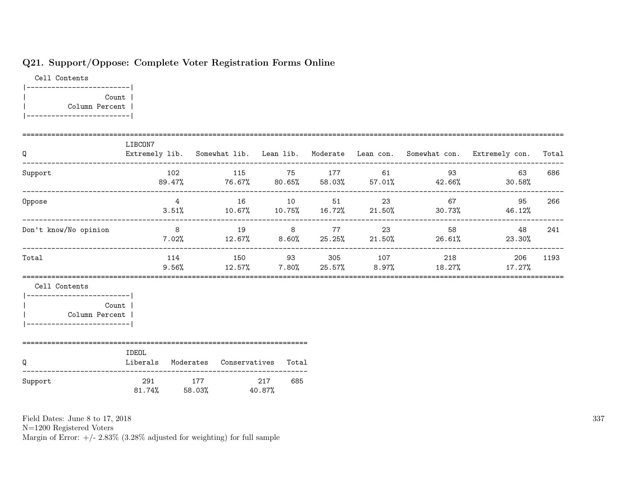# Q21. Support/Oppose: Complete Voter Registration Forms Online

Cell Contents |-------------------------| | Count | | Column Percent | |-------------------------|

| Q                                                                                                            | LIBCON7        |                      |        |                                        |               |                                                  | Extremely lib. Somewhat lib. Lean lib. Moderate Lean con. Somewhat con. Extremely con. | Total |
|--------------------------------------------------------------------------------------------------------------|----------------|----------------------|--------|----------------------------------------|---------------|--------------------------------------------------|----------------------------------------------------------------------------------------|-------|
| Support                                                                                                      |                | 102<br>89.47%        |        |                                        | 115 75 177 61 | 93<br>76.67% 80.65% 58.03% 57.01% 42.66%         | 63<br>30.58%                                                                           | 686   |
| Oppose                                                                                                       |                | $4\overline{4}$      |        |                                        | 16 10 51 23   | 67                                               | 95<br>$3.51\%$ 10.67% 10.75% 16.72% 21.50% 30.73% 46.12%                               | 266   |
| Don't know/No opinion                                                                                        | 8 <sup>8</sup> |                      |        |                                        | 19 8 77 23    | 58<br>$7.02\%$ 12.67% 8.60% 25.25% 21.50% 26.61% | 48<br>23.30%                                                                           | 241   |
| Total                                                                                                        |                | 114                  |        |                                        |               | 150 93 305 107 218                               | 206<br>$9.56\%$ $12.57\%$ $7.80\%$ $25.57\%$ $8.97\%$ $18.27\%$ $17.27\%$              | 1193  |
| Cell Contents<br>___________________________<br><b>Count</b><br>Column Percent<br>__________________________ |                |                      |        |                                        |               |                                                  |                                                                                        |       |
| Q                                                                                                            | IDEOL          |                      |        | Liberals Moderates Conservatives Total |               |                                                  |                                                                                        |       |
| Support                                                                                                      | 291            | 177<br>81.74% 58.03% | 40.87% | 217<br>685                             |               |                                                  |                                                                                        |       |

Field Dates: June 8 to 17, 2018

N=1200 Registered Voters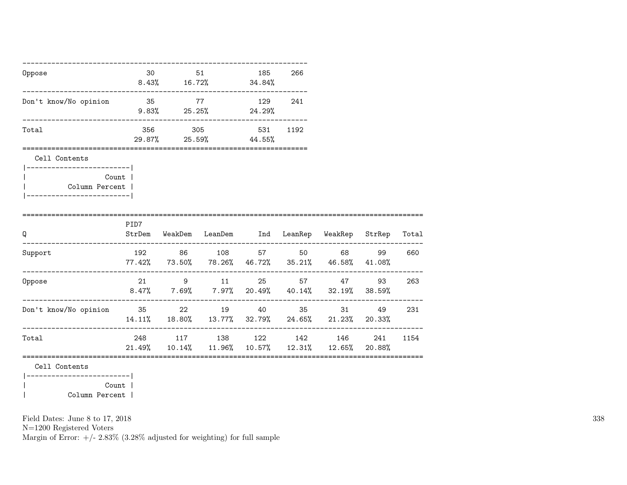| Oppose                                                    |       | 30 <sub>2</sub> | $8.43\%$ 16.72\% 34.84\%                                                             | 185 | 266  |       |     |
|-----------------------------------------------------------|-------|-----------------|--------------------------------------------------------------------------------------|-----|------|-------|-----|
| Don't know/No opinion                                     | 35 77 |                 | $9.83\%$ 25.25% 24.29%                                                               | 129 | 241  |       |     |
| Total                                                     |       |                 | 356 305<br>29.87% 25.59% 44.55%                                                      | 531 | 1192 |       |     |
| Cell Contents                                             |       |                 |                                                                                      |     |      |       |     |
| Count  <br>Column Percent  <br> ------------------------- |       |                 |                                                                                      |     |      |       |     |
| Q                                                         | PID7  |                 | StrDem WeakDem LeanDem Ind LeanRep WeakRep StrRep Total                              |     |      |       |     |
| Support                                                   |       |                 | 192 86 108 57 50 68<br>77.42% 73.50% 78.26% 46.72% 35.21% 46.58% 41.08%              |     |      | 99    | 660 |
| Oppose                                                    |       |                 | 21 9 11 25 57 47<br>$8.47\%$ 7.69% 7.97% 20.49% 40.14% 32.19% 38.59%                 |     |      | 93    | 263 |
| Don't know/No opinion 35 22 19 40 35                      |       |                 | $14.11\%$ $18.80\%$ $13.77\%$ $32.79\%$ $24.65\%$ $21.23\%$ $20.33\%$                |     |      | 31 49 | 231 |
| Total                                                     |       |                 | 248 117 138 122 142 146 241 1154<br>21.49% 10.14% 11.96% 10.57% 12.31% 12.65% 20.88% |     |      |       |     |
| Cell Contents<br> -------------------------               |       |                 |                                                                                      |     |      |       |     |

|<br>| Column Percent |<br>| Column Percent | | Column Percent |

Field Dates: June 8 to 17, 2018

N=1200 Registered Voters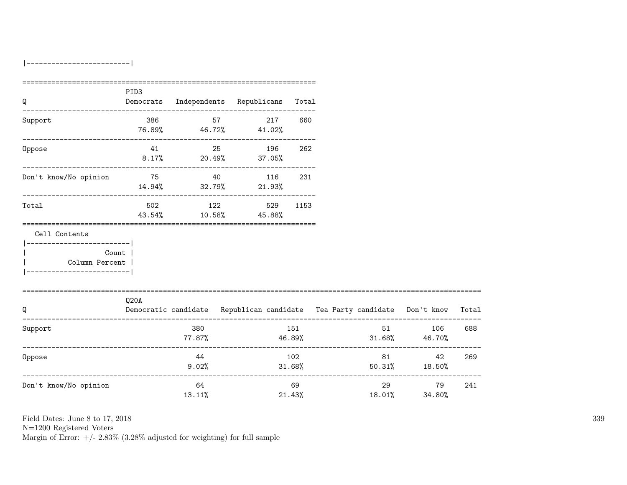|-------------------------|

| Q                                   | PID <sub>3</sub> |                                          |    |     |           |        |                                                                                |     |
|-------------------------------------|------------------|------------------------------------------|----|-----|-----------|--------|--------------------------------------------------------------------------------|-----|
|                                     |                  | Democrats Independents Republicans Total |    |     |           |        |                                                                                |     |
| Support                             |                  |                                          |    | 217 | 660       |        |                                                                                |     |
|                                     |                  | $76.89\%$ 46.72% 41.02%                  |    |     |           |        |                                                                                |     |
| Oppose                              | 41               |                                          | 25 | 196 | 262       |        |                                                                                |     |
|                                     |                  | $8.17\%$ 20.49% 37.05%                   |    |     |           |        |                                                                                |     |
| Don't know/No opinion               | 75 40            |                                          |    | 116 | 231       |        |                                                                                |     |
|                                     |                  | $14.94\%$ 32.79% 21.93%                  |    |     |           |        |                                                                                |     |
| Total                               |                  | 502 122                                  |    | 529 | 1153      |        |                                                                                |     |
|                                     |                  | 43.54% 10.58% 45.88%                     |    |     |           |        |                                                                                |     |
| Cell Contents                       |                  |                                          |    |     |           |        |                                                                                |     |
| ------------------------- <br>Count |                  |                                          |    |     |           |        |                                                                                |     |
| Column Percent                      |                  |                                          |    |     |           |        |                                                                                |     |
| -----------------------             |                  |                                          |    |     |           |        |                                                                                |     |
| ============================        | Q20A             |                                          |    |     |           |        |                                                                                |     |
| Q                                   |                  |                                          |    |     |           |        | Democratic candidate Republican candidate Tea Party candidate Don't know Total |     |
| Support                             |                  | 380                                      |    |     | 151       |        | 51 7<br>106                                                                    | 688 |
|                                     |                  | 77.87%                                   |    |     |           |        | 46.89% 31.68% 46.70%                                                           |     |
| Oppose                              |                  | 44                                       |    |     | 102       |        | 81 — 100<br>42                                                                 | 269 |
|                                     |                  | 9.02%                                    |    |     | $31.68\%$ |        | $50.31\%$ 18.50%                                                               |     |
| Don't know/No opinion               |                  | 64                                       |    |     | 69        |        | ---------------------------<br>29<br>79                                        | 241 |
|                                     |                  | 13.11%                                   |    |     | 21.43%    | 18.01% | 34.80%                                                                         |     |

Field Dates: June 8 to 17, 2018

N=1200 Registered Voters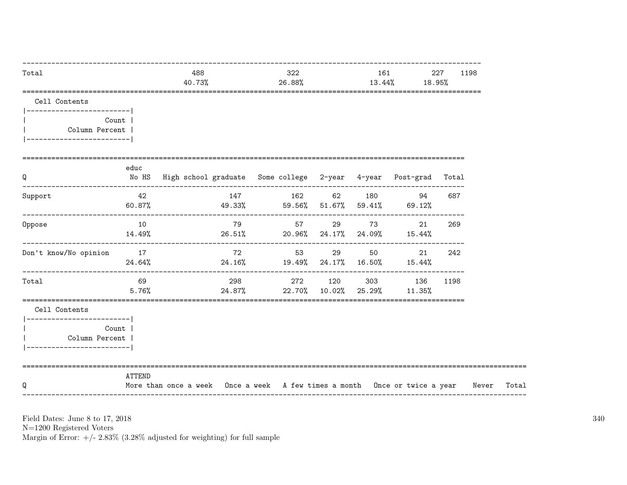| Total                                           |              | 488<br>40.73%                                                               |       | 322<br>26.88% | 161<br>13.44%               |                                                         | 227<br>18.95% | 1198  |
|-------------------------------------------------|--------------|-----------------------------------------------------------------------------|-------|---------------|-----------------------------|---------------------------------------------------------|---------------|-------|
| Cell Contents<br> ------------------------      |              |                                                                             |       |               |                             |                                                         |               |       |
| Column Percent<br>-------------------------     | Count        |                                                                             |       |               |                             |                                                         |               |       |
| Q                                               | educ         | No HS  High school graduate  Some college  2-year  4-year  Post-grad  Total |       |               |                             |                                                         |               |       |
| Support                                         | 42<br>60.87% | ----------------------------------<br>49.33% 59.56% 51.67% 59.41% 69.12%    | 147   | 162           | 62 180                      | 94                                                      | 687           |       |
| Oppose                                          | 10<br>14.49% |                                                                             | 79 57 |               | 29 73                       | 21<br>$26.51\%$ 20.96% 24.17% 24.09% 15.44%             | 269           |       |
| Don't know/No opinion 17                        | 24.64%       |                                                                             | 72    | 53            | 29 50                       | 21<br>$24.16\%$ $19.49\%$ $24.17\%$ $16.50\%$ $15.44\%$ | 242           |       |
| Total                                           | 69<br>5.76%  |                                                                             |       |               | 24.87% 22.70% 10.02% 25.29% | 298 272 120 303 136<br>11.35%                           | 1198          |       |
| Cell Contents<br> -------------------------     |              |                                                                             |       |               |                             |                                                         |               |       |
| Column Percent  <br> -------------------------- | Count        |                                                                             |       |               |                             |                                                         |               |       |
| Q                                               | ATTEND       | More than once a week Once a week A few times a month Once or twice a year  |       |               |                             |                                                         |               | Never |

N=1200 Registered Voters<br>Margin of Error:  $+/- 2.83\%$  (3.28% adjusted for weighting) for full sample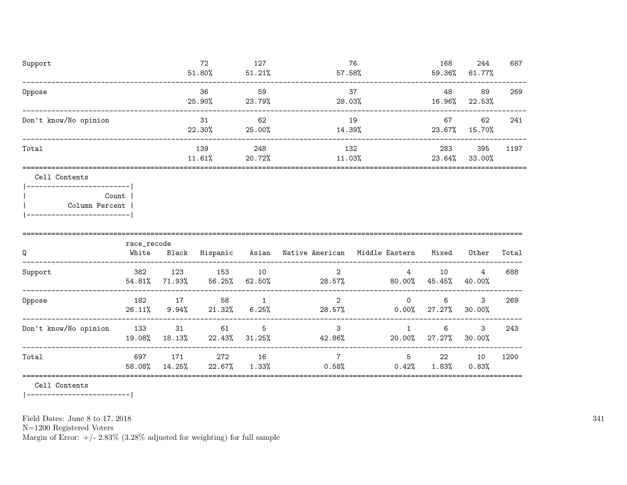| 72     | 127    | 76                         | 168    | 244    | 687  |
|--------|--------|----------------------------|--------|--------|------|
| 51.80% | 51.21% | $57.58\%$                  | 59.36% | 61.77% |      |
| 36     | 59     | 37                         | 48     | 89     | 269  |
| 25.90% |        | 28.03%                     | 16.96% | 22.53% |      |
| 31     | 62     | 19                         | 67     | 62     | 241  |
| 22.30% |        | 14.39%                     | 23.67% | 15.70% |      |
| 139    | 248    | 132                        | 283    | 395    | 1197 |
|        |        | 11.03%                     | 23.64% | 33.00% |      |
|        |        |                            |        |        |      |
|        |        |                            |        |        |      |
|        |        |                            |        |        |      |
|        |        |                            |        |        |      |
|        |        |                            |        |        |      |
|        |        |                            |        |        |      |
|        | 11.61% | 23.79%<br>25.00%<br>20.72% |        |        |      |

| Q                     | race_recode<br>White | Black         | Hispanic      | Asian        | Native American | Middle Eastern       | Mixed        | Other       | Total |
|-----------------------|----------------------|---------------|---------------|--------------|-----------------|----------------------|--------------|-------------|-------|
| Support               | 382<br>54.81%        | 123<br>71.93% | 153<br>56.25% | 10<br>62.50% | 2<br>$28.57\%$  | 4<br>80.00%          | 10<br>45.45% | 4<br>40.00% | 688   |
| Oppose                | 182<br>26.11%        | 17<br>9.94%   | 58<br>21.32%  | 6.25%        | 2<br>28.57%     | $\Omega$<br>$0.00\%$ | 6<br>27.27%  | 3<br>30.00% | 269   |
| Don't know/No opinion | 133<br>19.08%        | -31<br>18.13% | 61<br>22.43%  | 5<br>31.25%  | 3<br>42.86%     | 20.00%               | 6<br>27.27%  | 3<br>30.00% | 243   |
| Total                 | 697<br>58.08%        | 171<br>14.25% | 272<br>22.67% | 16<br>1.33%  | 0.58%           | 5<br>0.42%           | 22<br>1.83%  | 10<br>0.83% | 1200  |

Cell Contents

|-------------------------|

Field Dates: June 8 to 17, 2018

N=1200 Registered Voters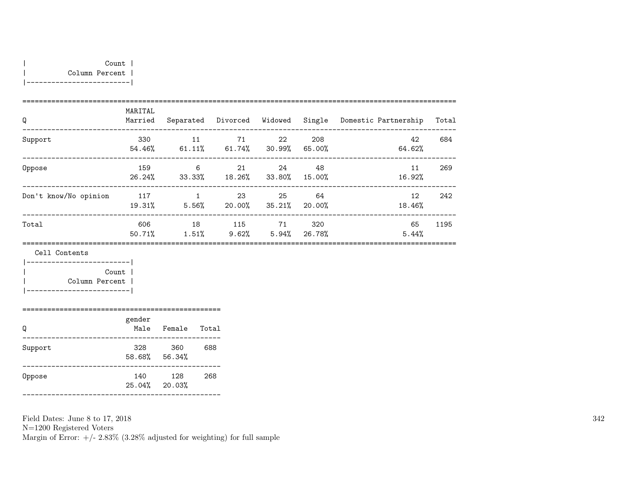| Q                     | MARITAL<br>Married | Separated             | Divorced        | Widowed       |                | Single Domestic Partnership | Total |
|-----------------------|--------------------|-----------------------|-----------------|---------------|----------------|-----------------------------|-------|
| Support               | 330<br>54.46%      | 11<br>61.11%          | 71<br>$61.74\%$ | 22<br>30.99%  | 208<br>65.00%  | 42<br>64.62%                | 684   |
| Oppose                | 159<br>26.24%      | 6<br>33.33%           | 21<br>18.26%    | 24<br>33.80%  | 48<br>15.00%   | 11<br>16.92%                | 269   |
| Don't know/No opinion | 117<br>19.31%      | $\mathbf{1}$<br>5.56% | 23<br>20.00%    | -25<br>35.21% | - 64<br>20.00% | 12<br>18.46%                | 242   |
| Total                 | 606<br>50.71%      | 18<br>1.51%           | 115<br>9.62%    | 71<br>5.94%   | 320<br>26.78%  | 65<br>5.44%                 | 1195  |

Cell Contents

|-------------------------| | Count | | Column Percent | |-------------------------|

| Q       | gender<br>Male | Female        | Total |
|---------|----------------|---------------|-------|
| Support | 328<br>58.68%  | 360<br>56.34% | 688   |
| Oppose  | 140<br>25.04%  | 128<br>20.03% | 268   |

================================================

Field Dates: June 8 to 17, 2018

N=1200 Registered Voters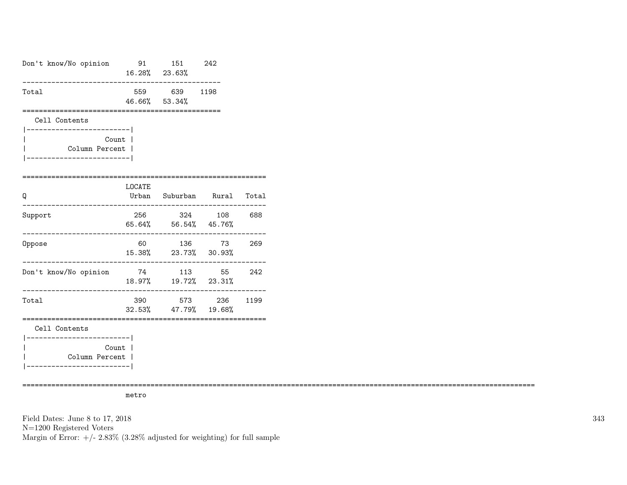| Don't know/No opinion                                              |        | 91 151 242<br>16.28% 23.63%             |              |     |
|--------------------------------------------------------------------|--------|-----------------------------------------|--------------|-----|
| Total                                                              |        | 559 639 1198<br>46.66% 53.34%           |              |     |
| Cell Contents                                                      |        |                                         |              |     |
| Count l<br>Column Percent  <br>__________________________          |        |                                         |              |     |
| Q                                                                  | LOCATE | Urban Suburban Rural Total              |              |     |
| Support                                                            |        | 256 324 108 688<br>65.64% 56.54% 45.76% |              |     |
| Oppose                                                             | 60     | 136 73<br>15.38% 23.73% 30.93%          |              | 269 |
| Don't know/No opinion                                              |        | 74 113 55<br>18.97%  19.72%  23.31%     |              | 242 |
| Total                                                              | 390    | 32.53% 47.79% 19.68%                    | 573 236 1199 |     |
| Cell Contents                                                      |        |                                         |              |     |
| --------------- <br>Count<br>Column Percent  <br>_________________ |        |                                         |              |     |

============================================================================================================================

metro

Field Dates: June 8 to 17, 2018 N=1200 Registered Voters Margin of Error:  $+/- 2.83\%$  (3.28% adjusted for weighting) for full sample 343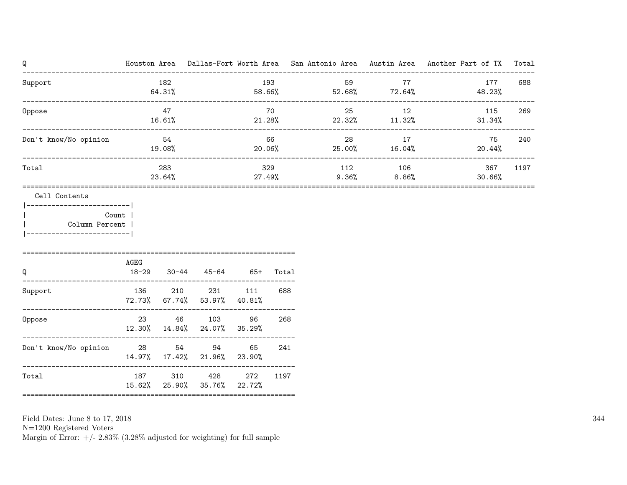| Q                                                               |                 |               |                                                                       |               |               |        |     |                            | Houston Area Dallas-Fort Worth Area San Antonio Area Austin Area Another Part of TX | Total |
|-----------------------------------------------------------------|-----------------|---------------|-----------------------------------------------------------------------|---------------|---------------|--------|-----|----------------------------|-------------------------------------------------------------------------------------|-------|
| Support<br>-----------------------------------                  |                 | 182<br>64.31% |                                                                       |               | 193           |        | 59  | 77<br>58.66% 52.68% 72.64% | 177<br>48.23%                                                                       | 688   |
| Oppose                                                          |                 | 47<br>16.61%  |                                                                       |               | 70            | 21.28% | 25  | 12<br>22.32% 11.32%        | 115<br>31.34%                                                                       | 269   |
| Don't know/No opinion                                           |                 | 54<br>19.08%  |                                                                       |               | 66<br>20.06%  |        | 28  | 17<br>25.00% 16.04%        | 75<br>20.44%                                                                        | 240   |
| Total                                                           |                 | 283<br>23.64% |                                                                       |               | 329<br>27.49% |        | 112 | 106<br>$9.36\%$ 8.86%      | 367<br>30.66%                                                                       | 1197  |
| ________________ <br>Column Percent<br>________________________ | Count  <br>AGEG |               |                                                                       |               |               |        |     |                            |                                                                                     |       |
| Q<br>Support                                                    | 18-29           |               | $30 - 44$ $45 - 64$ $65 +$<br>136 210 231 111<br>72.73% 67.74% 53.97% | 40.81%        | Total<br>688  |        |     |                            |                                                                                     |       |
| Oppose                                                          |                 |               | 23 46 103<br>12.30% 14.84% 24.07%                                     | 96<br>35.29%  | 268           |        |     |                            |                                                                                     |       |
| Don't know/No opinion 28 54 94                                  |                 |               | 14.97% 17.42% 21.96%                                                  | 65<br>23.90%  | 241           |        |     |                            |                                                                                     |       |
| Total                                                           |                 | 15.62% 25.90% | 187 310 428<br>35.76%                                                 | 272<br>22.72% | 1197          |        |     |                            |                                                                                     |       |

N=1200 Registered Voters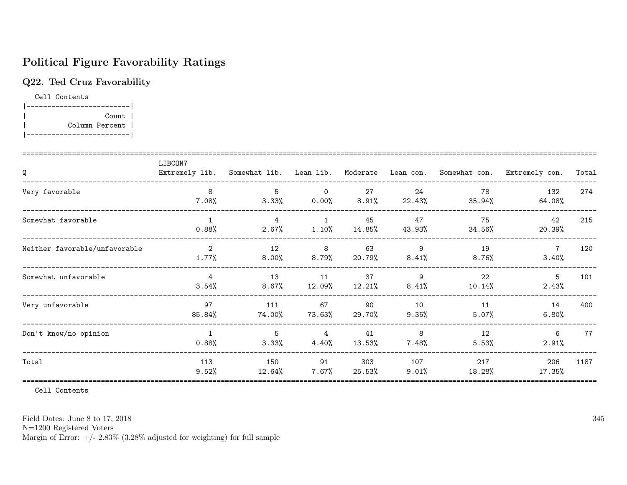# Political Figure Favorability Ratings

### Q22. Ted Cruz Favorability

Cell Contents |-------------------------| | Count | | Column Percent | |-------------------------|

| Q                             | LIBCON7               |                            |                            |                 |               |                 | Extremely lib. Somewhat lib. Lean lib. Moderate Lean con. Somewhat con. Extremely con. | Total |
|-------------------------------|-----------------------|----------------------------|----------------------------|-----------------|---------------|-----------------|----------------------------------------------------------------------------------------|-------|
| Very favorable                | 8<br>$7.08\%$         | 5<br>3.33%                 | $\Omega$<br>$0.00\%$       | 27<br>$8.91\%$  | 24<br>22.43%  | 78<br>35.94%    | 132<br>64.08%                                                                          | 274   |
| Somewhat favorable            | $\mathbf{1}$<br>0.88% | $\overline{4}$<br>$2.67\%$ | $\overline{1}$<br>1.10%    | 45<br>14.85%    | 47<br>43.93%  | 75<br>34.56%    | 42<br>20.39%                                                                           | 215   |
| Neither favorable/unfavorable | 2<br>1.77%            | 12<br>$8.00\%$             | 8<br>8.79%                 | 63<br>20.79%    | 9<br>8.41%    | 19<br>8.76%     | $\overline{7}$<br>3.40%                                                                | 120   |
| Somewhat unfavorable          | 4<br>$3.54\%$         | 13<br>$8.67\%$             | 11<br>12.09%               | 37<br>$12.21\%$ | 9<br>8.41%    | 22<br>$10.14\%$ | 5<br>2.43%                                                                             | 101   |
| Very unfavorable              | 97<br>85.84%          | 111<br>74.00%              | 67<br>73.63%               | 90<br>29.70%    | 10<br>9.35%   | 11<br>$5.07\%$  | 14<br>$6.80\%$                                                                         | 400   |
| Don't know/no opinion         | $\mathbf{1}$<br>0.88% | 5<br>$3.33\%$              | $\overline{4}$<br>$4.40\%$ | 41<br>13.53%    | 8<br>$7.48\%$ | 12<br>5.53%     | 6<br>2.91%                                                                             | 77    |
| Total                         | 113<br>9.52%          | 150<br>12.64%              | 91<br>$7.67\%$             | 303<br>25.53%   | 107<br>9.01%  | 217<br>18.28%   | 206<br>17.35%                                                                          | 1187  |

Cell Contents

Field Dates: June 8 to 17, 2018

N=1200 Registered Voters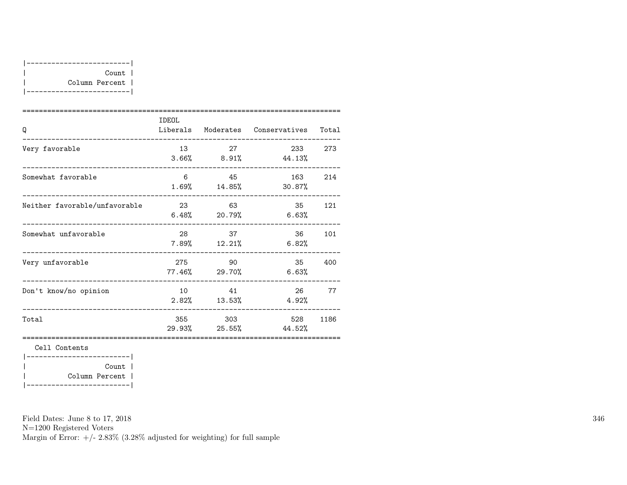| Count 1        |
|----------------|
| Column Percent |
|                |

|                               | IDEOL          |                             |                                     |       |
|-------------------------------|----------------|-----------------------------|-------------------------------------|-------|
| O                             |                |                             | Liberals Moderates Conservatives    | Total |
| Very favorable                | 13             | 27                          | 233 273<br>$3.66\%$ 8.91% 44.13%    |       |
| Somewhat favorable            | 6 <sup>6</sup> | 45                          | 163<br>$1.69\%$ $14.85\%$ $30.87\%$ | 214   |
| Neither favorable/unfavorable | 23 23          | 63                          | 35<br>$6.48\%$ 20.79% 6.63%         | 121   |
| Somewhat unfavorable          |                | 28 37<br>$7.89\%$ $12.21\%$ | 36 —<br>6.82%                       | 101   |
| Very unfavorable              | 275            | 90<br>77.46% 29.70%         | 35<br>6.63%                         | 400   |
| Don't know/no opinion         |                | 10 41<br>$2.82\%$ $13.53\%$ | 26<br>4.92%                         | 77    |
| Total                         |                | 355 303                     | 528<br>$29.93\%$ 25.55% 44.52%      | 1186  |
|                               |                |                             |                                     |       |

Cell Contents

|-------------------------| | Count | | Column Percent | |-------------------------|

Field Dates: June 8 to 17, 2018

N=1200 Registered Voters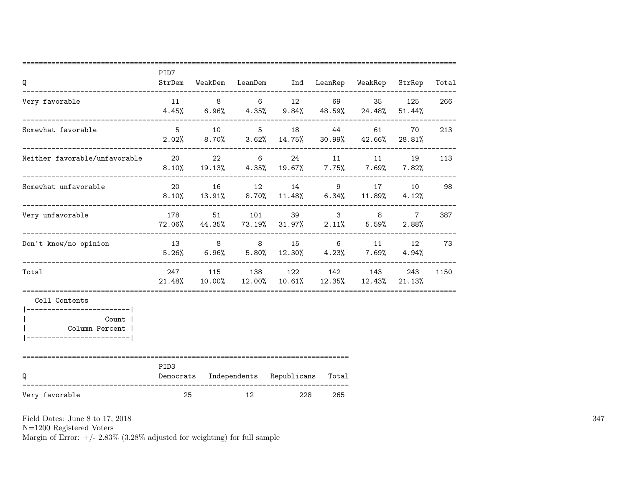| Q                                                                                                  | PID7<br>StrDem                |                |                | WeakDem LeanDem Ind LeanRep WeakRep StrRep                                                               |                 |                           |                          | Total |
|----------------------------------------------------------------------------------------------------|-------------------------------|----------------|----------------|----------------------------------------------------------------------------------------------------------|-----------------|---------------------------|--------------------------|-------|
| Very favorable                                                                                     | 11                            | 8 <sup>8</sup> | 6              | 12 69 35<br>$4.45\%$ 6.96% $4.35\%$ 9.84% $48.59\%$ 24.48%                                               |                 |                           | 125<br>51.44%            | 266   |
| Somewhat favorable                                                                                 | 5 <sup>5</sup><br>2.02%       | 10<br>$8.70\%$ | 5 <sup>5</sup> | 18 18<br>$3.62\%$ 14.75%                                                                                 | 44              | 61<br>$30.99\%$ $42.66\%$ | 70<br>28.81%             | 213   |
| Neither favorable/unfavorable                                                                      | 20                            |                | 22             | 24 and $\sim$<br>$6 \quad \text{or}$<br>$8.10\%$ $19.13\%$ $4.35\%$ $19.67\%$ $7.75\%$ $7.69\%$ $7.82\%$ | 11 \,           | 11                        | 19                       | 113   |
| Somewhat unfavorable                                                                               | 20                            | 16             |                | 12 14<br>$8.10\%$ $13.91\%$ $8.70\%$ $11.48\%$ $6.34\%$ $11.89\%$ $4.12\%$                               |                 | 9 17 10                   |                          | 98    |
| Very unfavorable                                                                                   | 178<br>72.06%                 | 51             | 101            | 44.35% 73.19% 31.97% 2.11% 5.59%                                                                         | $3^{\circ}$     | 8                         | $7\overline{ }$<br>2.88% | 387   |
| Don't know/no opinion                                                                              | 13 8 8                        |                |                | 15<br>$5.26\%$ $6.96\%$ $5.80\%$ $12.30\%$ $4.23\%$ $7.69\%$                                             | $6\overline{6}$ | 11                        | 12<br>4.94%              | 73    |
| Total                                                                                              |                               |                |                | 247 115 138 122 142<br>$21.48\%$ $10.00\%$ $12.00\%$ $10.61\%$ $12.35\%$ $12.43\%$                       |                 | 143                       | 243<br>21.13%            | 1150  |
| Cell Contents<br>--------------------- <br>Count  <br>Column Percent  <br>________________________ |                               |                |                |                                                                                                          |                 |                           |                          |       |
| Q                                                                                                  | PID <sub>3</sub><br>Democrats |                |                | Independents Republicans Total                                                                           |                 |                           |                          |       |
| Very favorable                                                                                     | 25                            |                | 12             | 228                                                                                                      | 265             |                           |                          |       |

N=1200 Registered Voters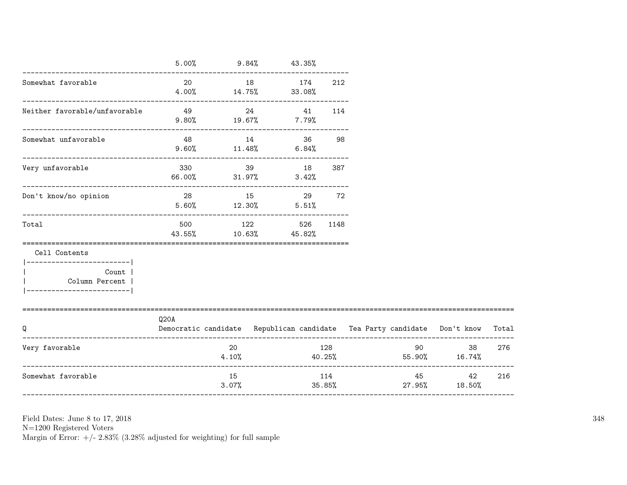|                                                       | 5.00% | $9.84\%$ 43.35%                    |           |       |               |        |              |                                                                          |       |
|-------------------------------------------------------|-------|------------------------------------|-----------|-------|---------------|--------|--------------|--------------------------------------------------------------------------|-------|
| Somewhat favorable                                    |       | 20<br>$4.00\%$ $14.75\%$ $33.08\%$ | 18 174    |       | 212           |        |              |                                                                          |       |
| Neither favorable/unfavorable                         |       | $9.80\%$ 19.67% 7.79%              | 24 41 114 |       |               |        |              |                                                                          |       |
| Somewhat unfavorable                                  | 48    | $9.60\%$ 11.48% 6.84%              | 14 36     |       | 98            |        |              |                                                                          |       |
| Very unfavorable                                      |       | 330 39 18<br>66.00% 31.97%         |           | 3.42% | 387           |        |              |                                                                          |       |
| Don't know/no opinion                                 |       | 28 15 29 72<br>$5.60\%$ $12.30\%$  |           | 5.51% |               |        |              |                                                                          |       |
| Total                                                 |       | 500 122<br>43.55% 10.63% 45.82%    |           | 526   | 1148          |        |              |                                                                          |       |
| Cell Contents<br>------------------------             |       |                                    |           |       |               |        |              |                                                                          |       |
| Count<br>Column Percent  <br>________________________ |       |                                    |           |       |               |        |              |                                                                          |       |
| Q                                                     | Q20A  |                                    |           |       |               |        |              | Democratic candidate Republican candidate Tea Party candidate Don't know | Total |
| Very favorable                                        |       | 20                                 | 4.10%     |       | 128           | 40.25% |              | 90<br>38<br>55.90% 16.74%                                                | 276   |
| Somewhat favorable                                    |       | 15<br>3.07%                        |           |       | 114<br>35.85% |        | 45<br>27.95% | 42<br>18.50%                                                             | 216   |

-----------------------------------------------------------------------------------------------------------------------

Field Dates: June 8 to 17, 2018

N=1200 Registered Voters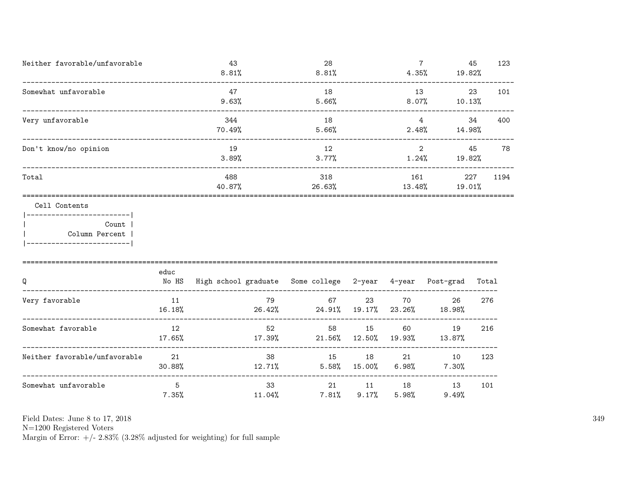| Neither favorable/unfavorable                                                              |               | 43<br>8.81%                                               |                         | 28<br>8.81%    |              |               | $7\overline{ }$<br>4.35%<br>19.82%      | 45    | 123  |
|--------------------------------------------------------------------------------------------|---------------|-----------------------------------------------------------|-------------------------|----------------|--------------|---------------|-----------------------------------------|-------|------|
| Somewhat unfavorable                                                                       |               | 47<br>9.63%                                               |                         | 18<br>5.66%    |              | 8.07%         | 13<br>10.13%                            | 23    | 101  |
| Very unfavorable                                                                           |               | 344<br>70.49%                                             |                         | 18<br>5.66%    |              | 2.48%         | $\overline{4}$<br>14.98%                | 34    | 400  |
| Don't know/no opinion                                                                      |               | 19<br>3.89%                                               |                         | 12<br>3.77%    |              | $1.24\%$      | $\overline{2}$<br>19.82%                | 45    | 78   |
| Total                                                                                      |               | 488<br>40.87%                                             | 26.63%                  | 318            |              | 161<br>13.48% | 19.01%                                  | 227   | 1194 |
| Cell Contents                                                                              |               |                                                           |                         |                |              |               |                                         |       |      |
| ------------------------- <br><b>Count</b><br>Column Percent  <br>------------------------ |               |                                                           |                         |                |              |               |                                         |       |      |
| Q                                                                                          | educ<br>No HS | High school graduate Some college 2-year 4-year Post-grad |                         |                |              |               |                                         | Total |      |
| Very favorable                                                                             | 11<br>16.18%  | 79<br>26.42%                                              | $24.91\%$ 19.17% 23.26% | 67 — 10        | 23           | 70            | 26<br>18.98%                            | 276   |      |
| Somewhat favorable                                                                         | 12<br>17.65%  | 17.39%                                                    | 52<br>21.56%            | 58             | 15<br>12.50% | 60<br>19.93%  | 19<br>13.87%                            | 216   |      |
| Neither favorable/unfavorable                                                              | 21<br>30.88%  | 12.71%                                                    | 38                      | 15             | 18           |               | 10<br>$5.58\%$ $15.00\%$ $6.98\%$ 7.30% | 123   |      |
| Somewhat unfavorable                                                                       | 5<br>7.35%    | $11.04\%$                                                 | 33                      | 21<br>$7.81\%$ | 11<br>9.17%  | $5.98\%$      | 13<br>9.49%                             | 101   |      |

N=1200 Registered Voters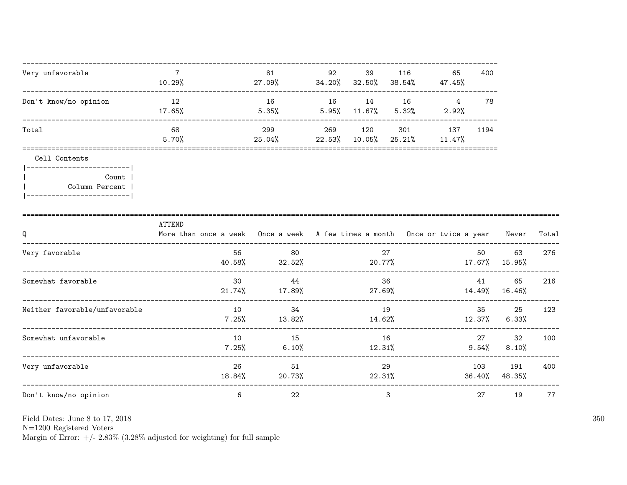| Very unfavorable                                                                                     | 7<br>10.29%                                                                                | 81<br>27.09%     | 92<br>$34.20\%$ $32.50\%$ | 39                    | 116<br>38.54%    | 65<br>47.45%        | 400            |                     |       |
|------------------------------------------------------------------------------------------------------|--------------------------------------------------------------------------------------------|------------------|---------------------------|-----------------------|------------------|---------------------|----------------|---------------------|-------|
| Don't know/no opinion                                                                                | 12<br>17.65%                                                                               | 16<br>5.35%      | 16                        | 14<br>$5.95\%$ 11.67% | 16<br>5.32%      | 4<br>2.92%          | 78             |                     |       |
| Total                                                                                                | 68<br>5.70%                                                                                | 299<br>$25.04\%$ | 269<br>22.53%             | 120<br>$10.05\%$      | 301<br>$25.21\%$ | 137<br>11.47%       | 1194           |                     |       |
| Cell Contents<br>___________________________<br>Count  <br>Column Percent<br>_______________________ |                                                                                            |                  |                           |                       |                  |                     |                |                     |       |
| Q                                                                                                    | ATTEND<br>More than once a week Once a week A few times a month Once or twice a year Never |                  |                           |                       |                  |                     |                |                     | Total |
| Very favorable                                                                                       | 56<br>40.58%                                                                               | 80<br>32.52%     |                           | 20.77%                | 27               | $17.67\%$ $15.95\%$ | 50             | 63                  | 276   |
| Somewhat favorable                                                                                   | 30<br>21.74%                                                                               | 44<br>17.89%     |                           | 27.69%                | 36               |                     | 41             | 65<br>14.49% 16.46% | 216   |
| Neither favorable/unfavorable                                                                        | 10<br>7.25%                                                                                | 34<br>13.82%     |                           | 14.62%                | 19               |                     | 35<br>12.37%   | 25<br>$6.33\%$      | 123   |
| Somewhat unfavorable<br>-----------------                                                            | 10<br>7.25%                                                                                | 15<br>6.10%      |                           | 12.31%                | 16               |                     | 27<br>$9.54\%$ | 32<br>8.10%         | 100   |
| Very unfavorable                                                                                     | 26<br>18.84%                                                                               | 51<br>20.73%     |                           | 22.31%                | 29               |                     | 103<br>36.40%  | 191<br>48.35%       | 400   |
| Don't know/no opinion                                                                                | ____________________________<br>6                                                          | 22               |                           |                       | 3                |                     | 27             | 19                  | 77    |

N=1200 Registered Voters <br>Margin of Error: +/-  $2.83\%$  (3.28% adjusted for weighting) for full sample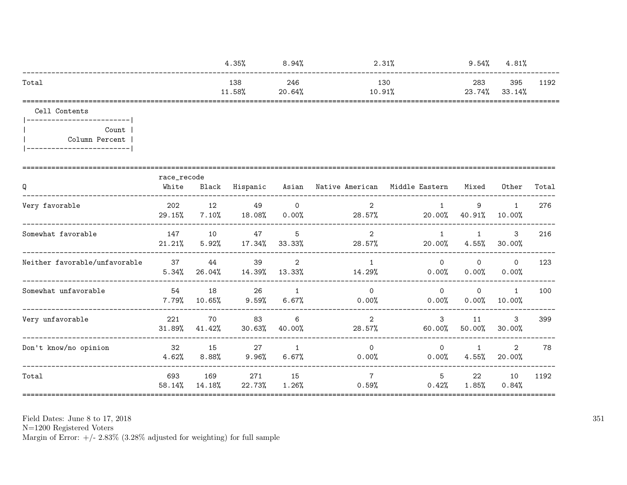|                               | 4.35%                |                       |                     | 8.94%                   | 2.31%                                      | 9.54%                  | 4.81%                    |                           |       |
|-------------------------------|----------------------|-----------------------|---------------------|-------------------------|--------------------------------------------|------------------------|--------------------------|---------------------------|-------|
| Total                         |                      |                       | 138<br>11.58%       | 246<br>20.64%           | 130<br>10.91%                              |                        | 283<br>23.74%            | 395<br>33.14%             | 1192  |
| Cell Contents                 |                      |                       |                     |                         |                                            |                        |                          |                           |       |
| Count  <br>Column Percent     |                      |                       |                     |                         |                                            |                        |                          |                           |       |
| Q                             | race_recode<br>White |                       | Black Hispanic      |                         | Asian Native American Middle Eastern Mixed |                        |                          | Other                     | Total |
| Very favorable                | 202<br>29.15%        | 12<br>$7.10\%$        | 49<br>$18.08\%$     | $\Omega$<br>$0.00\%$    | 2<br>28.57%                                | $\mathbf{1}$<br>20.00% | 9<br>40.91%              | $\mathbf{1}$<br>$10.00\%$ | 276   |
| Somewhat favorable            | 147<br>$21.21\%$     | 5.92%                 | 10 47<br>17.34%     | 5<br>33.33%             | 2<br>28.57%                                | $\mathbf{1}$<br>20.00% | $\mathbf{1}$<br>4.55%    | $\mathbf{3}$<br>30.00%    | 216   |
| Neither favorable/unfavorable | 37<br>5.34%          | 44<br>26.04%          | 39<br>14.39% 13.33% | $\overline{2}$          | $\mathbf{1}$<br>14.29%                     | $\Omega$<br>$0.00\%$   | $\Omega$<br>0.00%        | $\Omega$<br>0.00%         | 123   |
| Somewhat unfavorable          | 54                   | 18<br>$7.79\%$ 10.65% | 26<br>$9.59\%$      | $\overline{1}$<br>6.67% | $\Omega$<br>$0.00\%$                       | $\Omega$<br>$0.00\%$   | $\Omega$<br>0.00%        | 1<br>$10.00\%$            | 100   |
| Very unfavorable              | 221<br>31.89%        | 70<br>41.42%          | 83<br>$30.63\%$     | 6<br>40.00%             | $\overline{2}$<br>28.57%                   | 3<br>60.00%            | 11<br>50.00%             | $\mathbf{3}$<br>30.00%    | 399   |
| Don't know/no opinion         | 32<br>4.62%          | 15<br>8.88%           | 27<br>$9.96\%$      | $\overline{1}$<br>6.67% | $\circ$<br>$0.00\%$                        | $\circ$<br>$0.00\%$    | $\mathbf{1}$<br>$4.55\%$ | $\overline{2}$<br>20.00%  | 78    |
| Total                         | 693<br>58.14%        | 169<br>14.18%         | 271<br>22.73%       | 15<br>1.26%             | $7\overline{ }$                            | 5<br>0.59%<br>0.42%    | 22<br>1.85%              | 10<br>0.84%               | 1192  |

Field Dates: June 8 to 17,  $2018\,$ 

N=1200 Registered Voters<br>Margin of Error: +/- 2.83% (3.28% adjusted for weighting) for full sample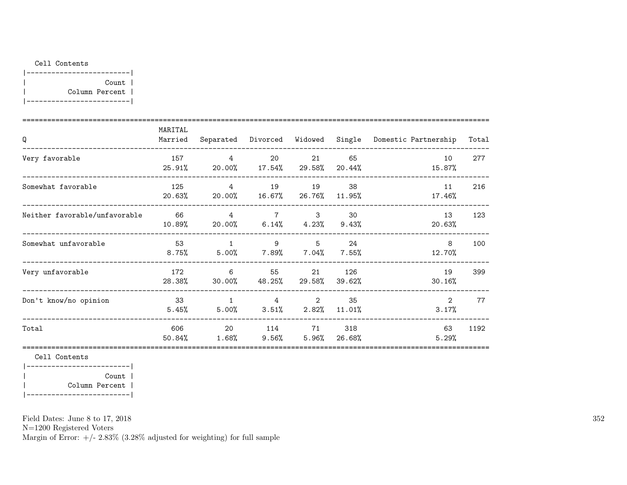#### Cell Contents

| Count          |  |
|----------------|--|
| Column Percent |  |
|                |  |

| Q                             | MARITAL<br>Married |                                              |                                              |                        |               | Separated Divorced Widowed Single Domestic Partnership | Total |
|-------------------------------|--------------------|----------------------------------------------|----------------------------------------------|------------------------|---------------|--------------------------------------------------------|-------|
| Very favorable                | 157<br>25.91%      | $\overline{4}$<br>20.00%  17.54%  29.58%     | 20                                           | 21                     | 65<br>20.44%  | 10<br>15.87%                                           | 277   |
| Somewhat favorable            | 125<br>20.63%      | $\overline{4}$<br>$20.00\%$                  | 19<br>16.67%26.76%                           | 19                     | 38<br>11.95%  | 11<br>17.46%                                           | 216   |
| Neither favorable/unfavorable | 66<br>10.89%       | $\overline{4}$                               | $7\overline{}$<br>20.00% 6.14% 4.23% 9.43%   | $\mathbf{3}$           | 30            | 13<br>20.63%                                           | 123   |
| Somewhat unfavorable          | - 53<br>$8.75\%$   | $\overline{1}$<br>$5.00\%$ 7.89% 7.04% 7.55% | 9                                            | $5^{\circ}$            | 24            | 8<br>12.70%                                            | 100   |
| Very unfavorable              | 172<br>28.38%      | 6<br>30.00%                                  | 55<br>48.25%                                 | 21<br>29.58%           | 126<br>39.62% | 19<br>30.16%                                           | 399   |
| Don't know/no opinion         | 33<br>5.45%        | $\overline{1}$                               | $\overline{4}$<br>$5.00\%$ $3.51\%$ $2.82\%$ | 2                      | 35<br>11.01%  | $\overline{2}$<br>3.17%                                | 77    |
| Total                         | 606<br>50.84%      | 20<br>$1.68\%$                               | 114                                          | 71 —<br>$9.56\%$ 5.96% | 318<br>26.68% | 63<br>5.29%                                            | 1192  |

Cell Contents

|-------------------------| | Count | | Column Percent | |-------------------------|

Field Dates: June 8 to 17, 2018

N=1200 Registered Voters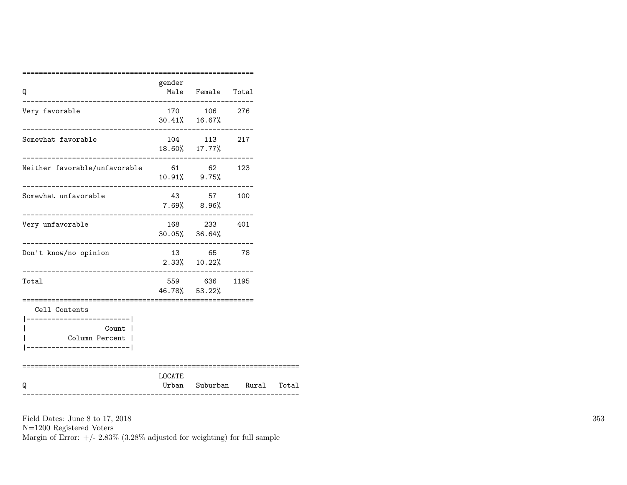|                                                                                                       | gender          |                                                                  |  |
|-------------------------------------------------------------------------------------------------------|-----------------|------------------------------------------------------------------|--|
| Q<br>--------------------------------------                                                           |                 | Male Female Total                                                |  |
| Very favorable                                                                                        |                 | 170 106 276<br>$30.41\%$ 16.67%<br>._________________            |  |
| Somewhat favorable<br>____________________________                                                    |                 | 104 113 217<br>18.60% 17.77%                                     |  |
| Neither favorable/unfavorable 61 62 123                                                               |                 | $10.91\%$ 9.75%                                                  |  |
| Somewhat unfavorable                                                                                  | $7.69%$ $8.96%$ | 43 57 100                                                        |  |
| Very unfavorable                                                                                      |                 | 168 233 401<br>$30.05\%$ $36.64\%$                               |  |
| Don't know/no opinion                                                                                 |                 | 13 65 78<br>$2.33\%$ $10.22\%$                                   |  |
| Total                                                                                                 |                 | 559 636 1195<br>46.78% 53.22%<br>------------------------------- |  |
| Cell Contents<br>------------------------- <br>Count l<br>Column Percent  <br>----------------------- |                 |                                                                  |  |
| Q                                                                                                     | LOCATE          | Urban Suburban Rural Total                                       |  |

Field Dates: June 8 to 17, 2018 N=1200 Registered Voters Margin of Error:  $+/- 2.83\%$  (3.28% adjusted for weighting) for full sample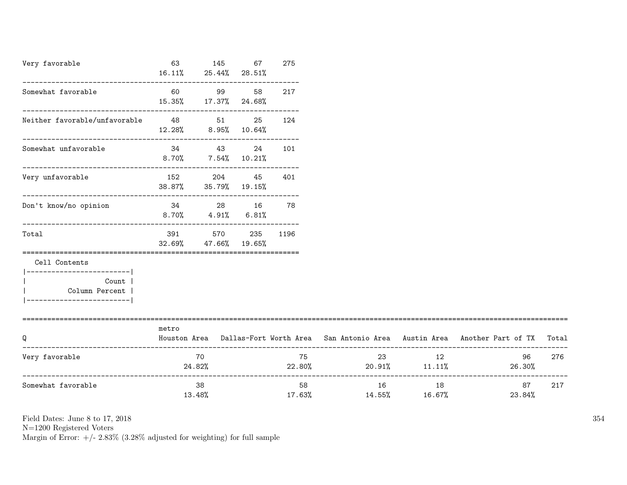| Very favorable                                                         | 63             | 145 67 275<br>$16.11\%$ 25.44% 28.51%             |           |    |
|------------------------------------------------------------------------|----------------|---------------------------------------------------|-----------|----|
| Somewhat favorable                                                     |                | 15.35% 17.37% 24.68%                              | 99 58 217 |    |
| Neither favorable/unfavorable                                          | 48 48          | 12.28% 8.95% 10.64%                               | 51 25 124 |    |
| Somewhat unfavorable                                                   |                | 34 43 24 101<br>8.70% 7.54% 10.21%                |           |    |
| Very unfavorable                                                       | 152 204 45 401 | 38.87% 35.79% 19.15%                              |           |    |
| Don't know/no opinion                                                  | 34             | 28 — 10<br>$8.70\%$ $4.91\%$ $6.81\%$             | 16 —      | 78 |
| Total                                                                  |                | 391 570 235 1196<br>$32.69\%$ $47.66\%$ $19.65\%$ |           |    |
| Cell Contents                                                          |                |                                                   |           |    |
| Count  <br>$\mathbf{L}$<br>Column Percent  <br>----------------------- |                |                                                   |           |    |

| Q                  | metro<br>Houston Area | Dallas-Fort Worth Area   San Antonio Area   Austin Area   Another Part of TX   Total |              |              |              |     |
|--------------------|-----------------------|--------------------------------------------------------------------------------------|--------------|--------------|--------------|-----|
| Very favorable     | 70<br>24.82%          | 75<br>22.80%                                                                         | 23<br>20.91% | 12<br>11.11% | 96<br>26.30% | 276 |
| Somewhat favorable | 38<br>13.48%          | 58<br>17.63%                                                                         | 16<br>14.55% | 18<br>16.67% | 87<br>23.84% | 217 |

N=1200 Registered Voters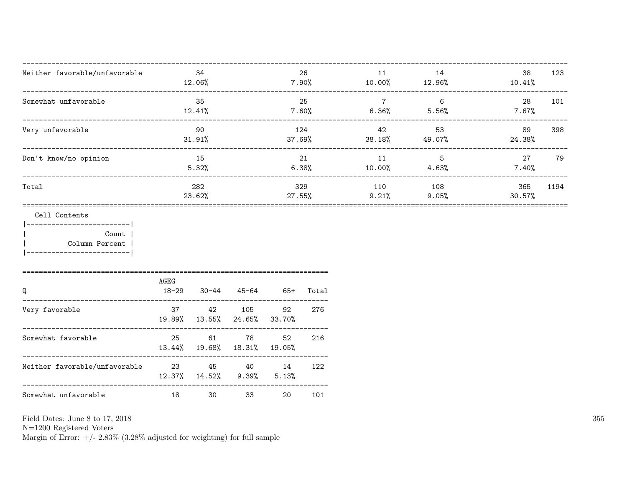| Neither favorable/unfavorable                                                         | $12.06\%$                         | 34            |                                       |                   | 26    | 11<br>$7.90\%$ 10.00% | 14<br>12.96%                        | 38<br>10.41%   | 123  |
|---------------------------------------------------------------------------------------|-----------------------------------|---------------|---------------------------------------|-------------------|-------|-----------------------|-------------------------------------|----------------|------|
| Somewhat unfavorable                                                                  |                                   | 35<br>12.41%  |                                       | 7.60%             | 25    | $\overline{7}$        | 6<br>$6.36\%$ $5.56\%$              | 28<br>$7.67\%$ | 101  |
| Very unfavorable                                                                      | 90<br>31.91%                      |               |                                       |                   | 124   | 42 and $\overline{a}$ | 53<br>$37.69\%$ $38.18\%$ $49.07\%$ | 89<br>24.38%   | 398  |
| Don't know/no opinion                                                                 |                                   | 15<br>5.32%   |                                       | 21<br>$6.38\%$    |       | 11<br>10.00%          | $5^{\circ}$<br>4.63%                | 27<br>$7.40\%$ | 79   |
| Total                                                                                 |                                   | 282<br>23.62% |                                       | 329<br>27.55%     |       | 110<br>9.21%          | 108<br>$9.05\%$                     | 365<br>30.57%  | 1194 |
| Cell Contents<br>Count  <br>Column Percent<br> -------------------------              |                                   |               |                                       |                   |       |                       |                                     |                |      |
| Q                                                                                     | AGEG<br>18-29 30-44               |               | $45 - 64$                             | 65+               | Total |                       |                                     |                |      |
| ----------------------------------<br>Very favorable<br>_____________________________ | 37 37                             |               | 42 105<br>19.89% 13.55% 24.65% 33.70% | 92                | 276   |                       |                                     |                |      |
| Somewhat favorable                                                                    | 25<br>13.44% 19.68% 18.31% 19.05% | 61            | 78                                    | 52                | 216   |                       |                                     |                |      |
| Neither favorable/unfavorable<br>23 45 40 14                                          | 12.37%  14.52%                    |               |                                       | $9.39\%$ $5.13\%$ | 122   |                       |                                     |                |      |
| Somewhat unfavorable                                                                  | 18                                | 30            | 33                                    | 20                | 101   |                       |                                     |                |      |

Field Dates: June 8 to 17,  $2018\,$ 

N=1200 Registered Voters<br>Margin of Error:  $+/- 2.83\%$  (3.28% adjusted for weighting) for full sample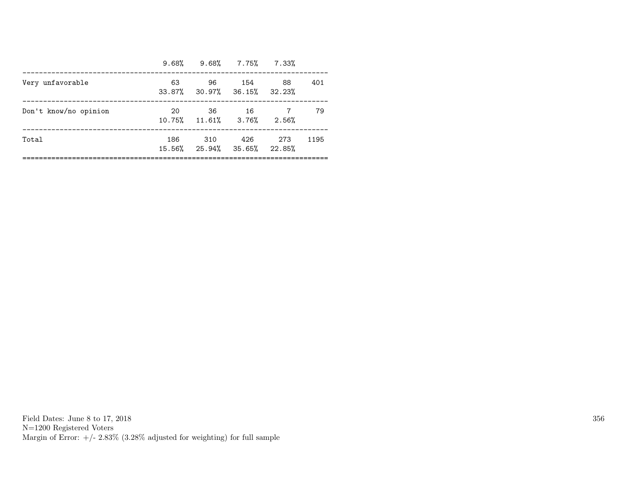|                       |     | $9.68\%$ $9.68\%$ $7.75\%$ $7.33\%$           |      |     |      |
|-----------------------|-----|-----------------------------------------------|------|-----|------|
| Very unfavorable      | 63  | 96<br>$33.87\%$ $30.97\%$ $36.15\%$ $32.23\%$ | 154  | 88  | 401  |
| Don't know/no opinion | 20  | 36<br>10.75% 11.61% 3.76% 2.56%               | - 16 |     | 79   |
| Total                 | 186 | - 310<br>15.56% 25.94% 35.65% 22.85%          | 426  | 273 | 1195 |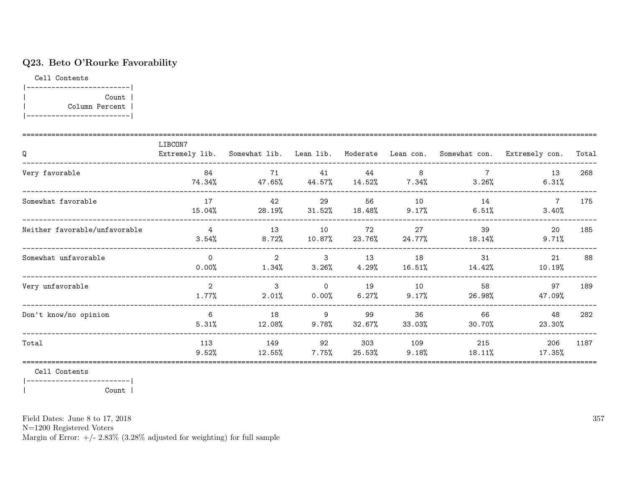# Q23. Beto O'Rourke Favorability

Cell Contents



| Q                             | LIBCON7                    |                |                       |               |                |                  | Extremely lib. Somewhat lib. Lean lib. Moderate Lean con. Somewhat con. Extremely con. | Total |
|-------------------------------|----------------------------|----------------|-----------------------|---------------|----------------|------------------|----------------------------------------------------------------------------------------|-------|
| Very favorable                | 84<br>74.34%               | 71<br>47.65%   | 41<br>44.57%          | 44<br>14.52%  | 8<br>$7.34\%$  | 3.26%            | 13<br>6.31%                                                                            | 268   |
| Somewhat favorable            | 17<br>15.04%               | 42<br>28.19%   | 29<br>31.52%          | 56<br>18.48%  | 10<br>9.17%    | 14<br>6.51%      | $\overline{7}$<br>3.40%                                                                | 175   |
| Neither favorable/unfavorable | $\overline{4}$<br>3.54%    | 13<br>$8.72\%$ | 10<br>$10.87\%$       | 72<br>23.76%  | 27<br>24.77%   | 39<br>18.14%     | 20<br>9.71%                                                                            | 185   |
| Somewhat unfavorable          | $\Omega$<br>0.00%          | 2<br>$1.34\%$  | $\mathbf{3}$<br>3.26% | 13<br>4.29%   | 18<br>16.51%   | 31<br>14.42%     | 21<br>10.19%                                                                           | 88    |
| Very unfavorable              | $\overline{2}$<br>$1.77\%$ | 3<br>$2.01\%$  | $\Omega$<br>0.00%     | 19<br>6.27%   | 10<br>$9.17\%$ | 58<br>26.98%     | 97<br>47.09%                                                                           | 189   |
| Don't know/no opinion         | 6<br>5.31%                 | 18<br>12.08%   | 9<br>$9.78\%$         | 99<br>32.67%  | 36<br>33.03%   | 66<br>30.70%     | 48<br>23.30%                                                                           | 282   |
| Total                         | 113<br>9.52%               | 149<br>12.55%  | 92<br>$7.75\%$        | 303<br>25.53% | 109<br>9.18%   | 215<br>$18.11\%$ | 206<br>17.35%                                                                          | 1187  |

Cell Contents

|-------------------------|

| Count |

Field Dates: June 8 to 17, 2018

N=1200 Registered Voters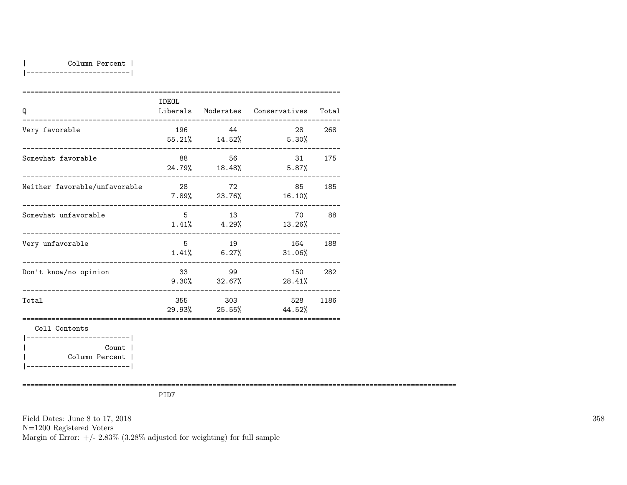| Column Percent |

|-------------------------|

| Q                                                                       | IDEOL          |         | Liberals Moderates Conservatives    | Total  |
|-------------------------------------------------------------------------|----------------|---------|-------------------------------------|--------|
| Very favorable                                                          | 196 — 196      | 44      | 55.21% 14.52% 5.30%                 | 28 268 |
| Somewhat favorable                                                      | 88             | 56      | 24.79% 18.48% 5.87%                 | 31 175 |
| Neither favorable/unfavorable                                           | 28             | 72      | 85 185<br>$7.89\%$ 23.76% 16.10%    |        |
| Somewhat unfavorable                                                    | 5              | 13      | 70<br>$1.41\%$ $4.29\%$ $13.26\%$   | 88     |
| Very unfavorable                                                        | 5 <sup>5</sup> | 19      | 164<br>$1.41\%$ 6.27% 31.06%        | 188    |
| Don't know/no opinion                                                   |                | 33 99   | 150<br>$9.30\%$ $32.67\%$ $28.41\%$ | 282    |
| Total                                                                   |                | 355 303 | 528<br>$29.93\%$ 25.55% 44.52%      | 1186   |
| Cell Contents<br>------------------------ <br>Count  <br>Column Percent |                |         |                                     |        |

|-------------------------|

=========================================================================================================

PID7

Field Dates: June 8 to 17, 2018 N=1200 Registered Voters Margin of Error:  $+/- 2.83\%$  (3.28% adjusted for weighting) for full sample 358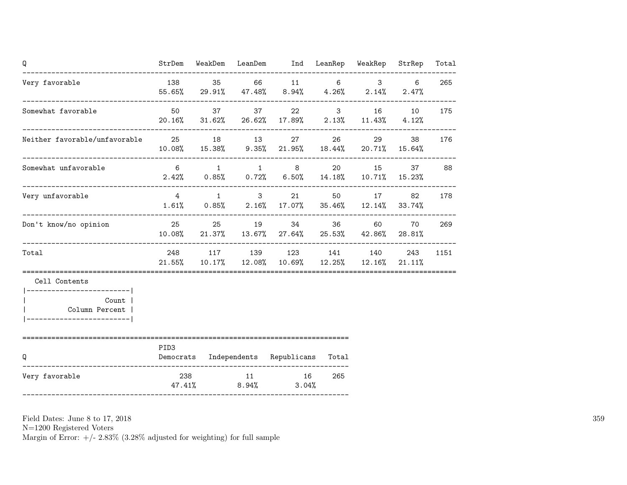|      |                 |       |                                                                                                                                        |                          | Total                                                                                                                                                                                                                                                                                                                                                                                                                                                                                                                                                                                 |
|------|-----------------|-------|----------------------------------------------------------------------------------------------------------------------------------------|--------------------------|---------------------------------------------------------------------------------------------------------------------------------------------------------------------------------------------------------------------------------------------------------------------------------------------------------------------------------------------------------------------------------------------------------------------------------------------------------------------------------------------------------------------------------------------------------------------------------------|
|      |                 |       |                                                                                                                                        | $6\overline{6}$<br>2.47% | 265                                                                                                                                                                                                                                                                                                                                                                                                                                                                                                                                                                                   |
|      |                 |       |                                                                                                                                        |                          | 175                                                                                                                                                                                                                                                                                                                                                                                                                                                                                                                                                                                   |
|      |                 |       |                                                                                                                                        |                          | 176                                                                                                                                                                                                                                                                                                                                                                                                                                                                                                                                                                                   |
|      |                 |       |                                                                                                                                        |                          | 37 88                                                                                                                                                                                                                                                                                                                                                                                                                                                                                                                                                                                 |
|      |                 |       |                                                                                                                                        | 82                       | 178                                                                                                                                                                                                                                                                                                                                                                                                                                                                                                                                                                                   |
|      |                 |       |                                                                                                                                        |                          | 269                                                                                                                                                                                                                                                                                                                                                                                                                                                                                                                                                                                   |
|      |                 |       |                                                                                                                                        |                          | 1151                                                                                                                                                                                                                                                                                                                                                                                                                                                                                                                                                                                  |
|      |                 |       |                                                                                                                                        |                          |                                                                                                                                                                                                                                                                                                                                                                                                                                                                                                                                                                                       |
|      |                 |       |                                                                                                                                        |                          |                                                                                                                                                                                                                                                                                                                                                                                                                                                                                                                                                                                       |
| PID3 |                 |       |                                                                                                                                        |                          |                                                                                                                                                                                                                                                                                                                                                                                                                                                                                                                                                                                       |
|      |                 | 265   |                                                                                                                                        |                          |                                                                                                                                                                                                                                                                                                                                                                                                                                                                                                                                                                                       |
|      | 50 50<br>47.41% | 8.94% | Neither favorable/unfavorable 25 18 13 27<br>4 1 3 21<br>25 25 19 34<br>Democrats Independents Republicans Total<br>238 11 16<br>3.04% | 26 30                    | StrDem WeakDem LeanDem Ind LeanRep WeakRep StrRep<br>138 35 66 11 6 3<br>$55.65\%$ 29.91% 47.48% 8.94% 4.26% 2.14%<br>37 22 3 16 10<br>20.16% 31.62% 26.62% 17.89% 2.13% 11.43% 4.12%<br>29<br>38<br>$10.08\%$ $15.38\%$ $9.35\%$ $21.95\%$ $18.44\%$ $20.71\%$ $15.64\%$<br>6 1 1 8 20 15<br>$2.42\%$ 0.85% 0.72% 6.50% 14.18% 10.71% 15.23%<br>50 17<br>$1.61\%$ 0.85% 2.16% 17.07% 35.46% 12.14% 33.74%<br>36 60<br>70<br>10.08% 21.37% 13.67% 27.64% 25.53% 42.86% 28.81%<br>248 117 139 123 141 140 243<br>$21.55\%$ $10.17\%$ $12.08\%$ $10.69\%$ $12.25\%$ $12.16\%$ $21.11\%$ |

N=1200 Registered Voters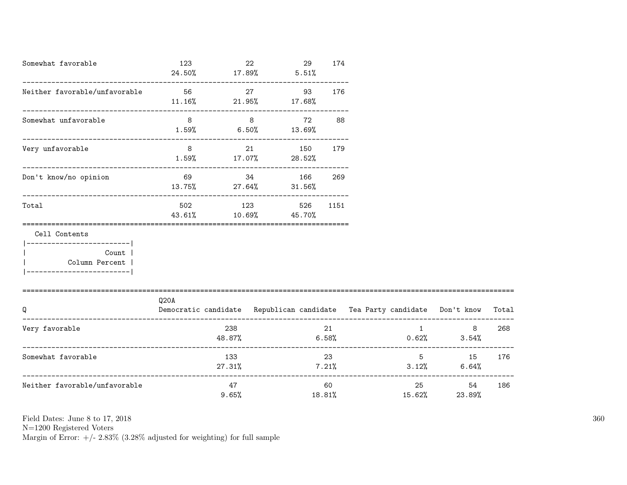| Somewhat favorable                                                                                  | 123<br>24.50%                                                                    | 22          | $17.89\%$ 5.51%                      | 29 | 174            |        |                                          |       |
|-----------------------------------------------------------------------------------------------------|----------------------------------------------------------------------------------|-------------|--------------------------------------|----|----------------|--------|------------------------------------------|-------|
| Neither favorable/unfavorable                                                                       | 56<br>$11.16\%$ 21.95% 17.68%                                                    | 27          |                                      | 93 | 176            |        |                                          |       |
| Somewhat unfavorable                                                                                | 8<br>$1.59\%$ 6.50% 13.69%                                                       | $8 - 8$     |                                      | 72 | 88             |        |                                          |       |
| Very unfavorable                                                                                    | $8\overline{)}$                                                                  |             | 21 150 179<br>$1.59\%$ 17.07% 28.52% |    |                |        |                                          |       |
| Don't know/no opinion                                                                               | 69 34 166<br>$13.75\%$ 27.64% 31.56%                                             |             |                                      |    | 269            |        |                                          |       |
| Total<br>==================================                                                         | 43.61% 10.69% 45.70%                                                             |             | 502 123 526 1151                     |    |                |        |                                          |       |
| Cell Contents<br>---------------------- <br>Count<br>  Column Percent<br>__________________________ |                                                                                  |             |                                      |    |                |        |                                          |       |
| Q                                                                                                   | Q20A<br>Democratic candidate Republican candidate Tea Party candidate Don't know |             |                                      |    |                |        |                                          | Total |
| Very favorable                                                                                      | 48.87%                                                                           | 238         |                                      |    | 21             |        | $\mathbf 1$<br>8<br>$6.58\%$ 0.62% 3.54% | 268   |
| Somewhat favorable                                                                                  |                                                                                  | 133         | $27.31\%$ $7.21\%$                   |    | 23             |        | $5^{\circ}$<br>15<br>$3.12\%$ 6.64%      | 176   |
| Neither favorable/unfavorable                                                                       |                                                                                  | 47<br>9.65% |                                      |    | 60 —<br>18.81% | 15.62% | 25 and $\sim$<br>54<br>23.89%            | 186   |

N=1200 Registered Voters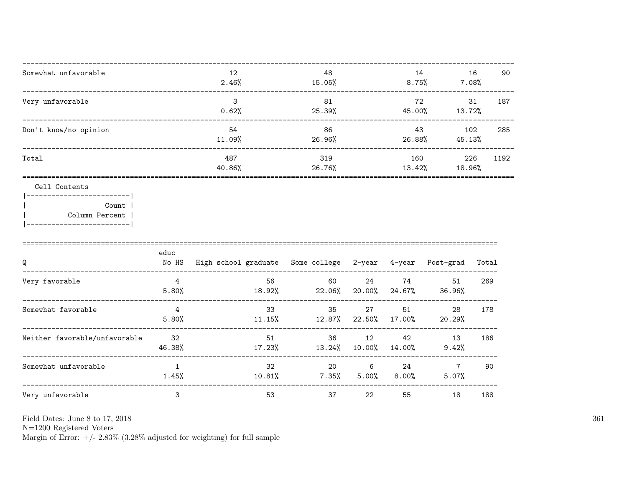| Somewhat unfavorable  | 12<br>2.46%   | 48<br>15.05%  | 14<br>8.75%   | 16<br>$7.08\%$ | 90   |
|-----------------------|---------------|---------------|---------------|----------------|------|
| Very unfavorable      | 3<br>0.62%    | 81<br>25.39%  | 72<br>45.00%  | 31<br>13.72%   | 187  |
| Don't know/no opinion | 54<br>11.09%  | 86<br>26.96%  | 43<br>26.88%  | 102<br>45.13%  | 285  |
| Total                 | 487<br>40.86% | 319<br>26.76% | 160<br>13.42% | 226<br>18.96%  | 1192 |
|                       |               |               |               |                |      |

Cell Contents

|------------------------| Count | Column Percent |  $\overline{\phantom{a}}$ |-------------------------|

| Q                             | educ<br>No HS | High school graduate Some college 2-year 4-year |                |              |              | Post-grad               | Total |
|-------------------------------|---------------|-------------------------------------------------|----------------|--------------|--------------|-------------------------|-------|
| Very favorable                | 4<br>5.80%    | 56<br>18.92%                                    | 60<br>22.06%   | 24<br>20.00% | 74<br>24.67% | 51<br>36.96%            | 269   |
| Somewhat favorable            | 4<br>5.80%    | 33<br>11.15%                                    | 35<br>12.87%   | 27<br>22.50% | 51<br>17.00% | 28<br>20.29%            | 178   |
| Neither favorable/unfavorable | -32<br>46.38% | 51<br>17.23%                                    | 36<br>13.24%   | 12<br>10.00% | 42<br>14.00% | 13<br>9.42%             | 186   |
| Somewhat unfavorable          | 1<br>1.45%    | 32<br>$10.81\%$                                 | 20<br>$7.35\%$ | 6<br>5.00%   | 24<br>8.00%  | $\overline{7}$<br>5.07% | 90    |
| Very unfavorable              | 3             | 53                                              | 37             | 22           | 55           | 18                      | 188   |

Field Dates: June 8 to 17, 2018

 ${\rm N}{=}1200$  Registered Voters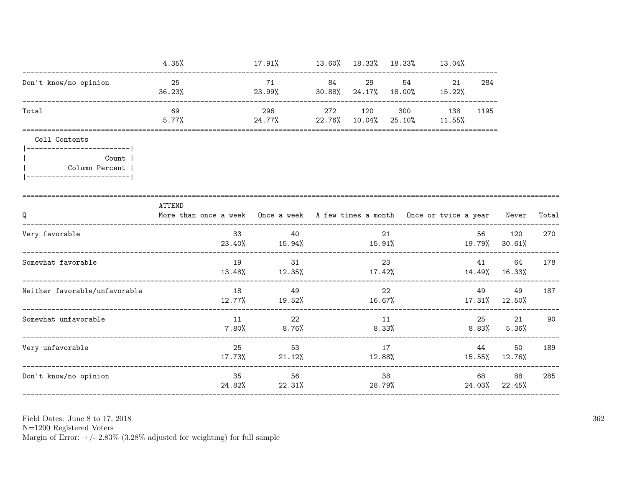|                                                                                      | 4.35%                                                                                      | $17.91\%$ $13.60\%$ $18.33\%$ $18.33\%$ $13.04\%$  |    |             |                        |     |              |                     |       |
|--------------------------------------------------------------------------------------|--------------------------------------------------------------------------------------------|----------------------------------------------------|----|-------------|------------------------|-----|--------------|---------------------|-------|
| Don't know/no opinion                                                                | 25<br>36.23%                                                                               | 71<br>$23.99\%$ 30.88% $24.17\%$ 18.00% 15.22%     | 84 | 29          | 54 7                   | 21  | 284          |                     |       |
| Total                                                                                | 69<br>5.77%                                                                                | 296<br>24.77% 22.76% 10.04% 25.10% 11.55%          |    | 272 120     | 300                    | 138 | 1195         |                     |       |
| Cell Contents                                                                        |                                                                                            |                                                    |    |             |                        |     |              |                     |       |
| ------------------------- <br>Count<br>Column Percent<br> -------------------------- |                                                                                            |                                                    |    |             |                        |     |              |                     |       |
| Q<br>-------------------------                                                       | ATTEND<br>More than once a week Once a week A few times a month Once or twice a year Never |                                                    |    |             |                        |     |              |                     | Total |
| Very favorable                                                                       | 33                                                                                         | 40<br>$23.40\%$ 15.94% 15.91% 17.91% 19.79% 30.61% |    |             | 21                     |     | 56           | 120                 | 270   |
| Somewhat favorable                                                                   | 19                                                                                         | 31<br>$13.48\%$ $12.35\%$ $17.42\%$                |    |             | 23                     |     | 41 — 1       | 64<br>14.49% 16.33% | 178   |
| Neither favorable/unfavorable                                                        | 18                                                                                         | 49<br>$12.77\%$ 19.52% 16.67% 17.31% 12.50%        |    |             | 22                     |     | 49           | 49                  | 187   |
| Somewhat unfavorable                                                                 | 11                                                                                         | 22<br>$7.80\%$ 8.76%                               |    | 11<br>8.33% |                        |     | 25           | 21<br>8.83% 5.36%   | 90    |
| Very unfavorable                                                                     | 25<br>17.73%                                                                               | 53<br>21.12%                                       |    | 12.88%      | 17                     |     | 44           | 50<br>15.55% 12.76% | 189   |
| Don't know/no opinion<br>____________________________________                        | 35<br>24.82%                                                                               | 56                                                 |    |             | 38<br>$22.31\%$ 28.79% |     | 68<br>24.03% | 88<br>22.45%        | 285   |

N=1200 Registered Voters<br>Margin of Error:  $+/- 2.83\%$  (3.28% adjusted for weighting) for full sample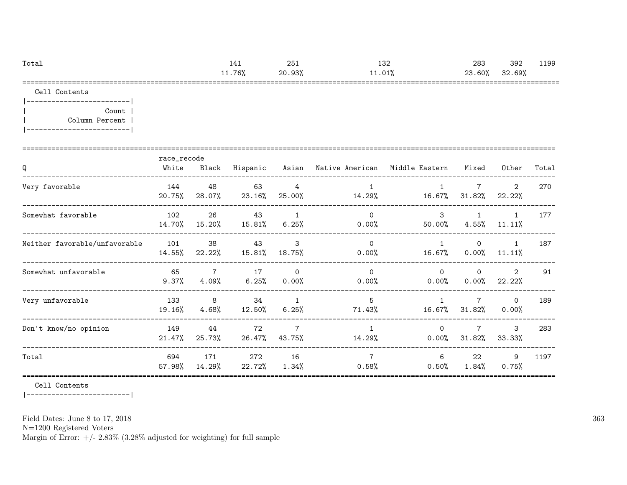| Total | 141    | 251    | 132    | 283    | 392    | 1199 |
|-------|--------|--------|--------|--------|--------|------|
|       | 11.76% | 20.93% | 11.01% | 23.60% | 32.69% |      |
|       |        |        |        |        |        |      |

Cell Contents

|-------------------------| | Count | | Column Percent | |-------------------------|

| Q                             | race_recode<br>White | Black                   | Hispanic        |                            | Asian – Native American – Middle Eastern |                        | Mixed                     | Other                     | Total |
|-------------------------------|----------------------|-------------------------|-----------------|----------------------------|------------------------------------------|------------------------|---------------------------|---------------------------|-------|
| Very favorable                | 144<br>20.75%        | 48<br>28.07%            | 63<br>23.16%    | 4<br>25.00%                | 14.29%                                   | 16.67%                 | $\overline{7}$<br>31.82%  | $\overline{2}$<br>22.22%  | 270   |
| Somewhat favorable            | 102<br>14.70%        | 26<br>15.20%            | 43<br>$15.81\%$ | 1<br>$6.25\%$              | $\Omega$<br>$0.00\%$                     | $\mathbf{3}$<br>50.00% | $\mathbf{1}$<br>$4.55\%$  | $\mathbf{1}$<br>$11.11\%$ | 177   |
| Neither favorable/unfavorable | 101<br>14.55%        | 38<br>22.22%            | 43<br>15.81%    | 3<br>18.75%                | $\Omega$<br>$0.00\%$                     | $\mathbf{1}$<br>16.67% | $\Omega$<br>$0.00\%$      | $\mathbf{1}$<br>11.11%    | 187   |
| Somewhat unfavorable          | 65<br>9.37%          | $\overline{7}$<br>4.09% | 17<br>6.25%     | $\Omega$<br>$0.00\%$       | $\Omega$<br>$0.00\%$                     | $\Omega$<br>$0.00\%$   | $\Omega$<br>$0.00\%$      | 2<br>22.22%               | 91    |
| Very unfavorable              | 133<br>19.16%        | 8<br>$4.68\%$           | 34<br>12.50%    | $\overline{1}$<br>$6.25\%$ | 5<br>71.43%                              | 16.67%                 | $7\overline{ }$<br>31.82% | $\Omega$<br>$0.00\%$      | 189   |
| Don't know/no opinion         | 149<br>21.47%        | 44<br>25.73%            | 72<br>26.47%    | $\overline{7}$<br>43.75%   | $\mathbf{1}$<br>14.29%                   | $\Omega$<br>$0.00\%$   | $\overline{7}$<br>31.82%  | 3<br>33.33%               | 283   |
| Total                         | 694<br>57.98%        | 171<br>14.29%           | 272<br>22.72%   | 16<br>$1.34\%$             | $\overline{7}$<br>0.58%                  | 6<br>0.50%             | 22<br>1.84%               | 9<br>0.75%                | 1197  |

Cell Contents

|-------------------------|

Field Dates: June 8 to 17, 2018

N=1200 Registered Voters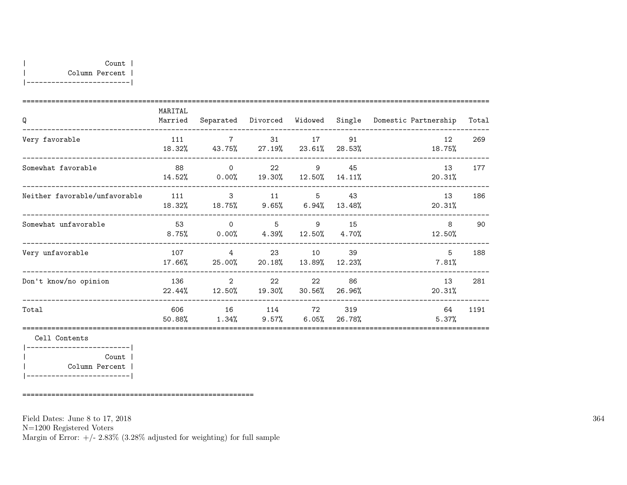|-------------------------|

| Q                             | MARITAL<br>Married |                                                                       |               |                           |              | Separated Divorced Widowed Single Domestic Partnership | Total |
|-------------------------------|--------------------|-----------------------------------------------------------------------|---------------|---------------------------|--------------|--------------------------------------------------------|-------|
| Very favorable                |                    | 111 7 31 17 91<br>18.32% 43.75% 27.19% 23.61% 28.53%                  |               |                           |              | 12<br>18.75%                                           | 269   |
| Somewhat favorable            | 88                 | $\overline{0}$<br>$14.52\%$ 0.00% 19.30% 12.50% 14.11%                |               | 22<br>9                   | 45           | 13<br>20.31%                                           | 177   |
| Neither favorable/unfavorable |                    | 111 3 11 5<br>18.32% 18.75% 9.65% 6.94% 13.48%                        |               |                           | 43           | 13<br>20.31%                                           | 186   |
| Somewhat unfavorable          | 53<br>$8.75\%$     | $\overline{0}$<br>$0.00\%$ 4.39% 12.50% 4.70%                         | 5 9 15        |                           |              | 8<br>12.50%                                            | 90    |
| Very unfavorable              | 17.66%             | 107 4<br>25.00%                                                       |               | 23 10 39<br>20.18% 13.89% | 12.23%       | 5<br>7.81%                                             | 188   |
| Don't know/no opinion         | 136                | $\overline{\phantom{a}}$ 2<br>$22.44\%$ $12.50\%$ $19.30\%$ $30.56\%$ |               | 22 and $\sim$<br>22       | 86<br>26.96% | 13<br>20.31%                                           | 281   |
| Total                         | 606 100            | 50.88% 1.34% 9.57% 6.05% 26.78%                                       | 16 114 72 319 |                           |              | 64<br>5.37%                                            | 1191  |
| Cell Contents                 |                    |                                                                       |               |                           |              |                                                        |       |

| Count |

| Column Percent | |-------------------------|

========================================================

Field Dates: June 8 to 17, 2018

N=1200 Registered Voters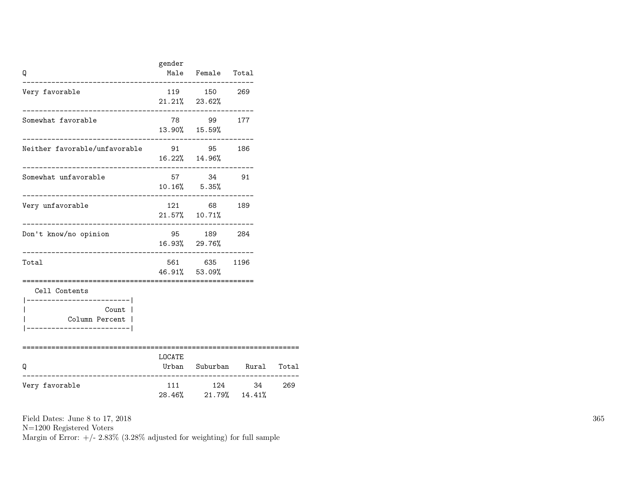| Q                                                                                                                      | gender   | Male Female Total                  |                      |       |
|------------------------------------------------------------------------------------------------------------------------|----------|------------------------------------|----------------------|-------|
| Very favorable                                                                                                         |          | 119 150 269<br>$21.21\%$ 23.62%    |                      |       |
| Somewhat favorable                                                                                                     |          | 78 99 177<br>13.90% 15.59%         |                      |       |
| Neither favorable/unfavorable<br>91 95 186                                                                             |          | 16.22% 14.96%                      |                      |       |
| Somewhat unfavorable                                                                                                   |          | 57 34 91<br>$10.16\%$ 5.35%        |                      |       |
| Very unfavorable<br>_______________                                                                                    |          | 121 68 189<br>$21.57\%$ 10.71%     |                      |       |
| Don't know/no opinion                                                                                                  |          | 95 189 284<br>16.93% 29.76%        |                      |       |
| Total                                                                                                                  |          | 561 635 1196<br>46.91% 53.09%      |                      |       |
| Cell Contents<br>___________________ <br>Count  <br>Column Percent  <br>______________________<br>==================== | ======== |                                    |                      |       |
| Q<br>.__________________                                                                                               | LOCATE   | ______________________             | Urban Suburban Rural | Total |
| Very favorable                                                                                                         |          | 111 124 34<br>28.46% 21.79% 14.41% |                      | 269   |

N=1200 Registered Voters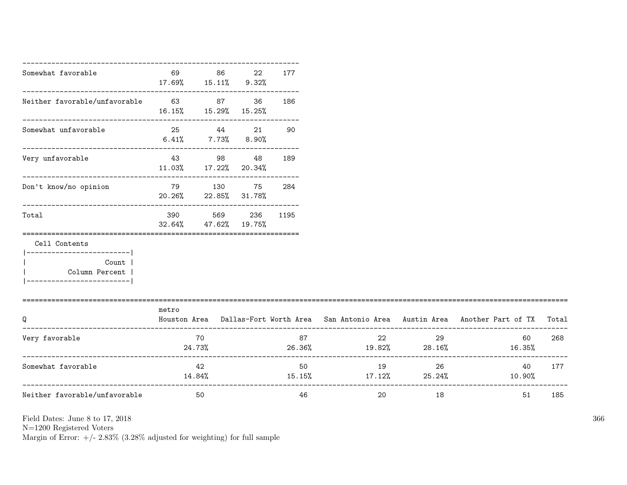| Somewhat favorable                                                                   | 69<br>$17.69\%$ $15.11\%$ $9.32\%$ | 86                                 | 22 | 177  |                                     |    |                                                                                     |       |
|--------------------------------------------------------------------------------------|------------------------------------|------------------------------------|----|------|-------------------------------------|----|-------------------------------------------------------------------------------------|-------|
| Neither favorable/unfavorable 63 67 36                                               | $16.15\%$ $15.29\%$ $15.25\%$      | .--------------------------------- |    | 186  |                                     |    |                                                                                     |       |
| Somewhat unfavorable                                                                 |                                    | 25 44 21<br>$6.41\%$ 7.73% 8.90%   |    | 90   |                                     |    |                                                                                     |       |
| ----------------------------------<br>Very unfavorable                               | 11.03% 17.22% 20.34%               | 43 98 48                           |    | 189  |                                     |    |                                                                                     |       |
| Don't know/no opinion                                                                | 79 130 75<br>20.26% 22.85% 31.78%  |                                    |    | 284  |                                     |    |                                                                                     |       |
| Total                                                                                | $32.64\%$ $47.62\%$ $19.75\%$      | 390 569 236                        |    | 1195 |                                     |    |                                                                                     |       |
| Cell Contents                                                                        |                                    |                                    |    |      |                                     |    |                                                                                     |       |
| ----------------------- <br>Count  <br>  Column Percent<br>------------------------- |                                    |                                    |    |      |                                     |    |                                                                                     |       |
| Q                                                                                    | metro                              |                                    |    |      |                                     |    | Houston Area Dallas-Fort Worth Area San Antonio Area Austin Area Another Part of TX | Total |
| Very favorable                                                                       |                                    | 70<br>24.73%                       |    | 87   | 22                                  | 29 | 60<br>$26.36\%$ 19.82% 28.16% 16.35%                                                | 268   |
| Somewhat favorable                                                                   |                                    | 42<br>14.84%                       |    | 50   | 19<br>$15.15\%$ $17.12\%$ $25.24\%$ | 26 | 40<br>10.90%                                                                        | 177   |
| Neither favorable/unfavorable                                                        |                                    | 50                                 |    | 46   | 20                                  | 18 | 51                                                                                  | 185   |

N=1200 Registered Voters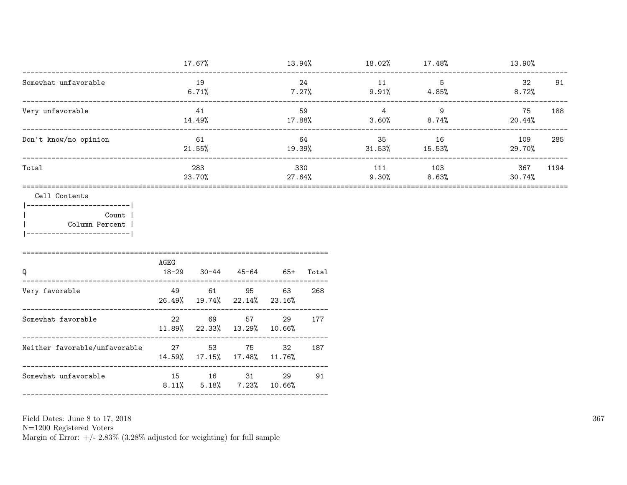|                                                                                                            |                      | 17.67%               |                             |                 |                  | $13.94\%$ $18.02\%$ $17.48\%$ |                               | 13.90%         |      |
|------------------------------------------------------------------------------------------------------------|----------------------|----------------------|-----------------------------|-----------------|------------------|-------------------------------|-------------------------------|----------------|------|
| Somewhat unfavorable<br>________________________________                                                   |                      | 19<br>6.71%          |                             |                 | 24<br>7.27%      | 11                            | $5^{\circ}$<br>$9.91\%$ 4.85% | 32<br>$8.72\%$ | 91   |
| Very unfavorable<br>_________________________________                                                      |                      | 41<br>14.49%         |                             | 17.88%          | 59               | $\sim$ 4<br>3.60%             | 9<br>8.74%                    | 75<br>20.44%   | 188  |
| Don't know/no opinion                                                                                      | 61<br>$21.55\%$      |                      |                             | 64<br>19.39%    |                  | 35<br>$31.53\%$ $15.53\%$     | 16                            | 109<br>29.70%  | 285  |
| Total                                                                                                      |                      | 283<br>23.70%        |                             |                 | 330<br>$27.64\%$ | 111<br>9.30%                  | 103<br>8.63%                  | 367<br>30.74%  | 1194 |
| Cell Contents<br> -------------------------- <br>Count  <br>  Column Percent<br> ------------------------- |                      |                      |                             |                 |                  |                               |                               |                |      |
| Q                                                                                                          | AGEG<br>$18 - 29$    |                      | $30-44$ $45-64$ $65+$       |                 | Total            |                               |                               |                |      |
| ------------------------------------<br>Very favorable                                                     | 49                   | 26.49% 19.74% 22.14% | 61 95                       | 63<br>23.16%    | 268              |                               |                               |                |      |
| Somewhat favorable                                                                                         | 22<br>11.89% 22.33%  | 69                   | 57<br>13.29%                | 29<br>10.66%    | 177              |                               |                               |                |      |
| Neither favorable/unfavorable 27 53                                                                        | 14.59% 17.15% 17.48% |                      | 75                          | 32<br>$11.76\%$ | 187              |                               |                               |                |      |
| Somewhat unfavorable                                                                                       | 8.11%                | 5.18%                | 15 16 31<br>$7.23\%$ 10.66% | 29              | 91               |                               |                               |                |      |
|                                                                                                            |                      |                      |                             |                 |                  |                               |                               |                |      |

Field Dates: June 8 to 17,  $2018\,$ 

N=1200 Registered Voters<br>Margin of Error:  $+/- 2.83\%$  (3.28% adjusted for weighting) for full sample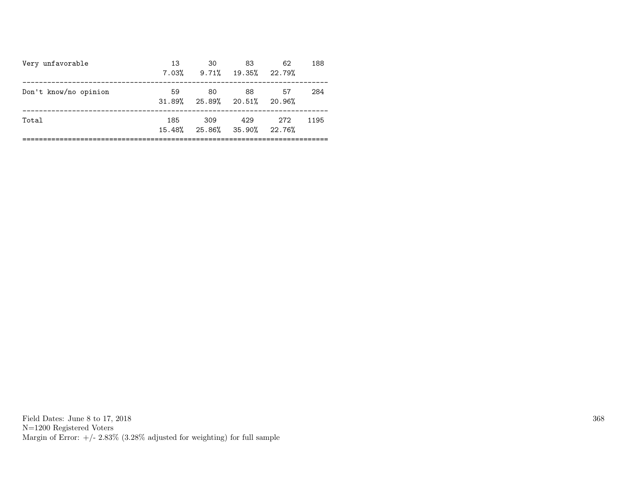| Very unfavorable      | 13<br>7.03%   | 30<br>$9.71\%$ 19.35% 22.79%         | 83  | 62    | 188  |
|-----------------------|---------------|--------------------------------------|-----|-------|------|
| Don't know/no opinion | 59            | 80<br>$31.89\%$ 25.89% 20.51% 20.96% | 88  | 57    | 284  |
| Total                 | 185<br>15.48% | 309<br>25.86% 35.90% 22.76%          | 429 | - 272 | 1195 |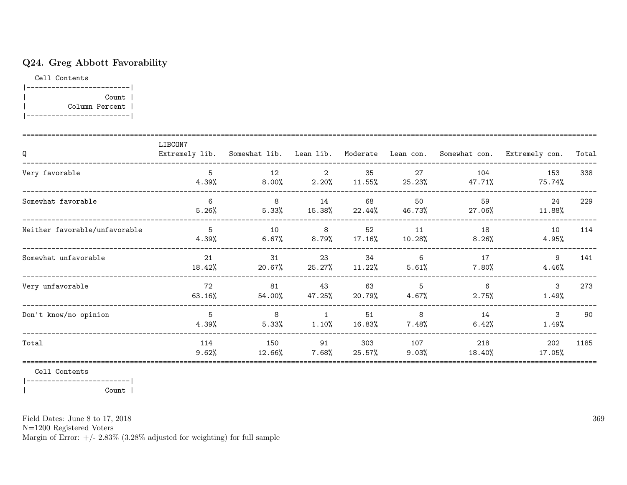# Q24. Greg Abbott Favorability

Cell Contents



| Q                             | LIBCON7      |                |                         |                 |               |                | Extremely lib. Somewhat lib. Lean lib. Moderate Lean con. Somewhat con. Extremely con. | Total |
|-------------------------------|--------------|----------------|-------------------------|-----------------|---------------|----------------|----------------------------------------------------------------------------------------|-------|
| Very favorable                | 5<br>4.39%   | 12<br>8.00%    | $\overline{2}$<br>2.20% | 35<br>11.55%    | 27<br>25.23%  | 104<br>47.71%  | 153<br>75.74%                                                                          | 338   |
| Somewhat favorable            | 6<br>5.26%   | 8<br>5.33%     | 14<br>15.38%            | 68<br>22.44%    | 50<br>46.73%  | 59<br>27.06%   | 24<br>11.88%                                                                           | 229   |
| Neither favorable/unfavorable | 5<br>4.39%   | 10<br>$6.67\%$ | 8<br>8.79%              | 52<br>$17.16\%$ | 11<br>10.28%  | 18<br>$8.26\%$ | 10<br>4.95%                                                                            | 114   |
| Somewhat unfavorable          | 21<br>18.42% | 31<br>20.67%   | 23<br>25.27%            | 34<br>11.22%    | 6<br>5.61%    | 17<br>7.80%    | 9<br>4.46%                                                                             | 141   |
| Very unfavorable              | 72<br>63.16% | 81<br>54.00%   | 43<br>47.25%            | 63<br>20.79%    | 5<br>4.67%    | 6<br>$2.75\%$  | 3<br>1.49%                                                                             | 273   |
| Don't know/no opinion         | 5<br>4.39%   | 8<br>5.33%     | $\overline{1}$<br>1.10% | 51<br>16.83%    | 8<br>$7.48\%$ | 14<br>6.42%    | 3<br>1.49%                                                                             | 90    |
| Total                         | 114<br>9.62% | 150<br>12.66%  | 91<br>7.68%             | 303<br>25.57%   | 107<br>9.03%  | 218<br>18.40%  | 202<br>17.05%                                                                          | 1185  |

Cell Contents

|-------------------------| | Count |

Field Dates: June 8 to 17, 2018

N=1200 Registered Voters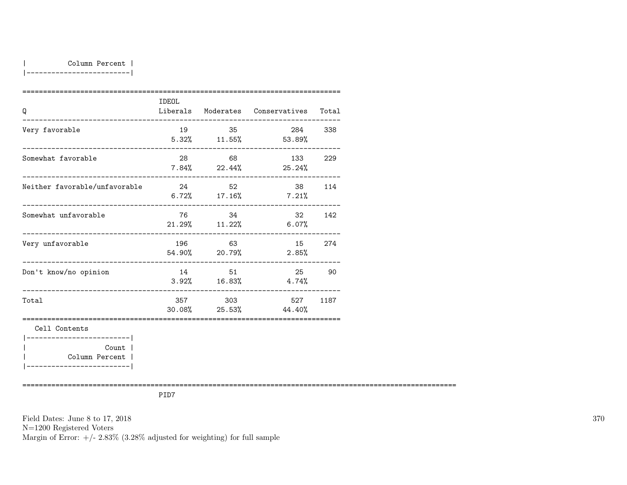| Column Percent |

|-------------------------|

| Q                                                                       | IDEOL |         | Liberals Moderates Conservatives        | Total  |
|-------------------------------------------------------------------------|-------|---------|-----------------------------------------|--------|
| Very favorable                                                          | 19    | 35      | 284 338<br>$5.32\%$ $11.55\%$ $53.89\%$ |        |
| Somewhat favorable                                                      | 28    | 68      | 133<br>$7.84\%$ 22.44% 25.24%           | 229    |
| Neither favorable/unfavorable                                           | 24    | 52      | $6.72\%$ $17.16\%$ $7.21\%$             | 38 114 |
| Somewhat unfavorable                                                    |       | 76 34   | 32<br>$21.29\%$ $11.22\%$ 6.07%         | 142    |
| Very unfavorable                                                        |       | 196 63  | 15<br>$54.90\%$ 20.79% 2.85%            | 274    |
| Don't know/no opinion                                                   |       | 14 51   | 25<br>$3.92\%$ $16.83\%$ $4.74\%$       | 90     |
| Total                                                                   |       | 357 303 | 527<br>$30.08\%$ 25.53% 44.40%          | 1187   |
| Cell Contents<br>------------------------ <br>Count  <br>Column Percent |       |         |                                         |        |

|-------------------------|

=========================================================================================================

PID7

Field Dates: June 8 to 17, 2018 N=1200 Registered Voters Margin of Error:  $+/- 2.83\%$  (3.28% adjusted for weighting) for full sample 370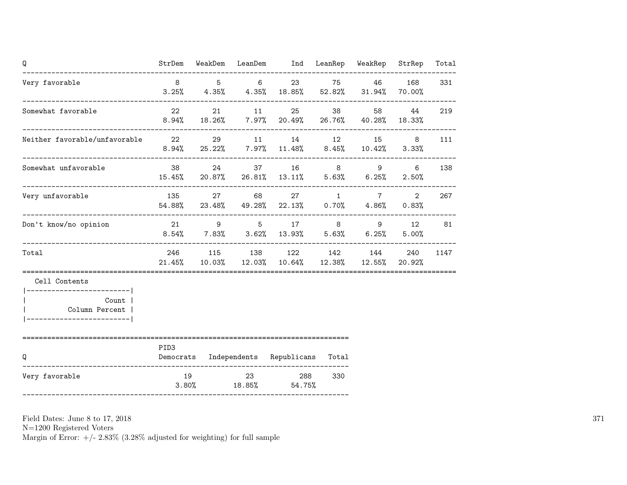| Q                                                                                    |                  |       | StrDem WeakDem LeanDem Ind LeanRep WeakRep                                                     |            |       | StrRep                  | Total |
|--------------------------------------------------------------------------------------|------------------|-------|------------------------------------------------------------------------------------------------|------------|-------|-------------------------|-------|
| Very favorable                                                                       | 8 <sup>8</sup>   | 5 6   | 23 and $\sim$<br>$3.25\%$ $4.35\%$ $4.35\%$ $18.85\%$ $52.82\%$ $31.94\%$ $70.00\%$            |            | 75 46 | 168                     | 331   |
| Somewhat favorable                                                                   | 22               | 21 11 | 25<br>$8.94\%$ 18.26% 7.97% 20.49% 26.76% 40.28% 18.33%                                        |            | 58    | 44                      | 219   |
| Neither favorable/unfavorable 22 29                                                  |                  |       | 11 14 12 15<br>$8.94\%$ 25.22% 7.97% 11.48% 8.45% 10.42%                                       |            |       | 8<br>$3.33\%$           | 111   |
| Somewhat unfavorable                                                                 |                  |       | 38 24 37 16 8<br>15.45% 20.87% 26.81% 13.11% 5.63% 6.25%                                       |            | 9     | 6<br>2.50%              | 138   |
| Very unfavorable                                                                     |                  |       | 135 27 68 27 1 7<br>$54.88\%$ 23.48% 49.28% 22.13% 0.70% 4.86%<br>---------------------------- |            |       | $\overline{2}$<br>0.83% | 267   |
| Don't know/no opinion                                                                |                  |       | 21 9 5 17 8 9 12<br>$8.54\%$ $7.83\%$ $3.62\%$ $13.93\%$ $5.63\%$ $6.25\%$                     |            |       | 5.00%                   | 81    |
| Total                                                                                |                  |       | 246 115 138 122 142 144<br>21.45% 10.03% 12.03% 10.64% 12.38% 12.55% 20.92%                    |            |       | 240                     | 1147  |
| Cell Contents                                                                        |                  |       |                                                                                                |            |       |                         |       |
| ------------------------- <br>Count  <br>Column Percent  <br>_______________________ |                  |       |                                                                                                |            |       |                         |       |
| Q                                                                                    | PID <sub>3</sub> |       | Democrats Independents Republicans                                                             | Total      |       |                         |       |
| Very favorable<br>--------------------------------------                             | 19<br>3.80%      | 23    | $18.85\%$ 54.75%                                                                               | 288<br>330 |       |                         |       |

N=1200 Registered Voters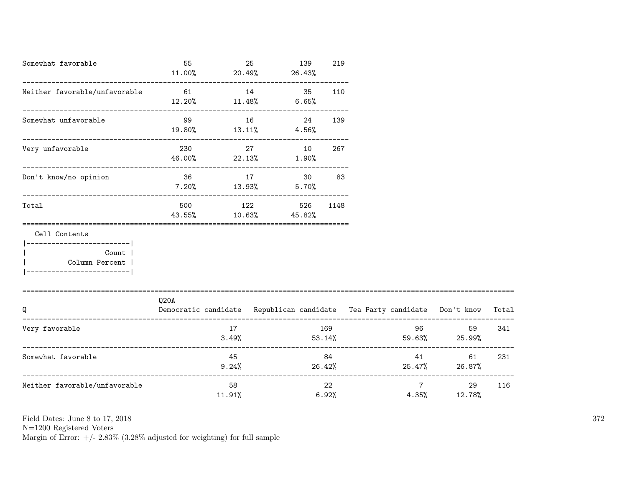| Somewhat favorable                                                                                  | 55<br>$11.00\%$ | 25           | 139<br>$20.49\%$ 26.43%            | 219         |                                                                          |                                       |       |
|-----------------------------------------------------------------------------------------------------|-----------------|--------------|------------------------------------|-------------|--------------------------------------------------------------------------|---------------------------------------|-------|
| Neither favorable/unfavorable                                                                       | 61<br>12.20%    | 14<br>11.48% | 35<br>6.65%                        | 110         |                                                                          |                                       |       |
| Somewhat unfavorable                                                                                | 99              | 16           | 24<br>$19.80\%$ $13.11\%$ $4.56\%$ | 139         |                                                                          |                                       |       |
| Very unfavorable                                                                                    | 230             | 27           | 10<br>$46.00\%$ 22.13% 1.90%       | 267         |                                                                          |                                       |       |
| Don't know/no opinion                                                                               | $7.20\%$ 13.93% |              | 36 17 30<br>5.70%                  | 83          |                                                                          |                                       |       |
| Total                                                                                               |                 |              | 500 122<br>43.55% 10.63% 45.82%    | 526 1148    |                                                                          |                                       |       |
| Cell Contents<br>---------------------- <br>Count<br>  Column Percent<br>__________________________ |                 |              |                                    |             |                                                                          |                                       |       |
| Q                                                                                                   | Q20A            |              |                                    |             | Democratic candidate Republican candidate Tea Party candidate Don't know |                                       | Total |
| Very favorable                                                                                      |                 | 17           |                                    | 169         | $3.49\%$ $53.14\%$ $59.63\%$ $25.99\%$                                   | 96 — 100<br>59                        | 341   |
| Somewhat favorable                                                                                  |                 | 45           | $9.24%$ 26.42%                     | 84          |                                                                          | 61 —<br>25.47% 26.87%                 | 231   |
| Neither favorable/unfavorable                                                                       |                 | 58<br>11.91% |                                    | 22<br>6.92% |                                                                          | $7 \overline{}$<br>29<br>4.35% 12.78% | 116   |

N=1200 Registered Voters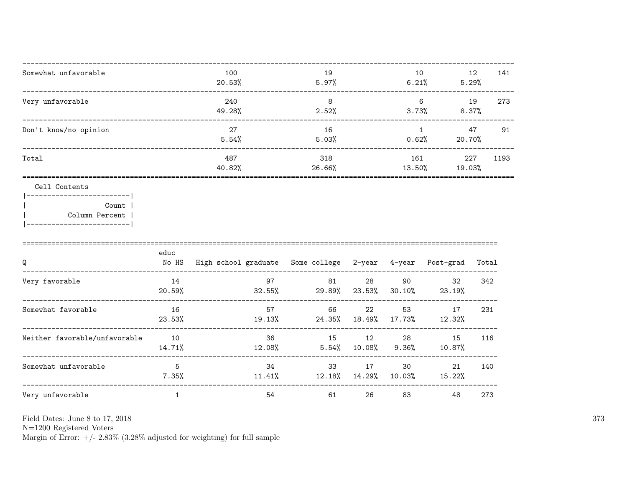| 141<br>12             |
|-----------------------|
| 5.29%                 |
| 273<br>19<br>8.37%    |
| 47<br>91<br>20.70%    |
| 227<br>1193<br>19.03% |
|                       |

### Cell Contents

|  | Count 1        |
|--|----------------|
|  | Column Percent |
|  |                |

| Q                             | educ<br>No HS | High school graduate | Some college | 2-year       | 4-year       | Post-grad    | Total |
|-------------------------------|---------------|----------------------|--------------|--------------|--------------|--------------|-------|
| Very favorable                | 14<br>20.59%  | 97<br>32.55%         | 81<br>29.89% | 28<br>23.53% | 90<br>30.10% | 32<br>23.19% | 342   |
| Somewhat favorable            | 16<br>23.53%  | 57<br>19.13%         | 66<br>24.35% | 22<br>18.49% | 53<br>17.73% | 17<br>12.32% | 231   |
| Neither favorable/unfavorable | 10<br>14.71%  | 36<br>12.08%         | 15<br>5.54%  | 12<br>10.08% | 28<br>9.36%  | 15<br>10.87% | 116   |
| Somewhat unfavorable          | 5<br>7.35%    | 34<br>11.41%         | 33<br>12.18% | 17<br>14.29% | 30<br>10.03% | 21<br>15.22% | 140   |
| Very unfavorable              |               | 54                   | 61           | 26           | 83           | 48           | 273   |

Field Dates: June 8 to 17, 2018

 ${\rm N}{=}1200$  Registered Voters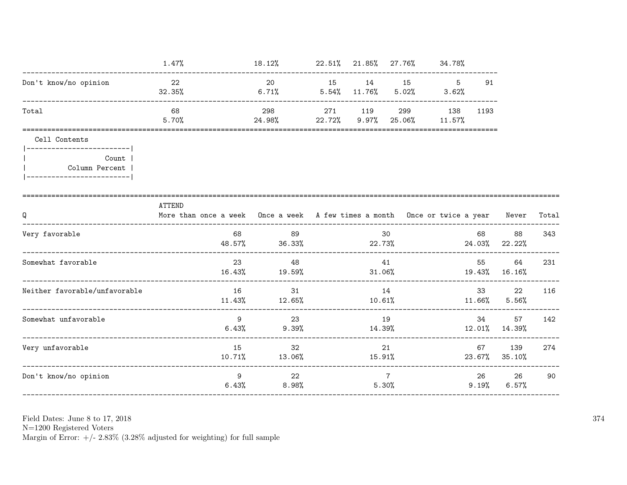|                                                                                     | $1.47\%$                                                                                   | 18.12% 22.51% 21.85% 27.76% 34.78%        |       |         |                          |                   |                |                       |       |
|-------------------------------------------------------------------------------------|--------------------------------------------------------------------------------------------|-------------------------------------------|-------|---------|--------------------------|-------------------|----------------|-----------------------|-------|
| Don't know/no opinion                                                               | 22<br>32.35%                                                                               | 20<br>$6.71\%$ $5.54\%$ $11.76\%$         | 15    |         | 14 15 5                  | $5.02\%$ $3.62\%$ | 91             |                       |       |
| Total                                                                               | 68<br>5.70%                                                                                | 298<br>24.98% 22.72% 9.97% 25.06% 11.57%  |       | 271 119 | 299                      | 138               | 1193           |                       |       |
| Cell Contents                                                                       |                                                                                            |                                           |       |         |                          |                   |                |                       |       |
| ------------------------ <br>Count<br>Column Percent<br> -------------------------- |                                                                                            |                                           |       |         |                          |                   |                |                       |       |
| Q<br>_________________________                                                      | ATTEND<br>More than once a week Once a week A few times a month Once or twice a year Never |                                           |       |         |                          |                   |                |                       | Total |
| Very favorable                                                                      | 68                                                                                         | 89<br>48.57% 36.33% 22.73%                |       |         | 30                       |                   | 68<br>24.03%   | 88<br>22.22%          | 343   |
| Somewhat favorable                                                                  | 23                                                                                         | 48<br>$16.43\%$ $19.59\%$                 |       |         | 41<br>31.06%             |                   | 55             | 64<br>19.43% 16.16%   | 231   |
| Neither favorable/unfavorable                                                       |                                                                                            | 16<br>31<br>$11.43\%$ $12.65\%$ $10.61\%$ |       | 14      |                          |                   |                | 22<br>$11.66\%$ 5.56% | 116   |
| Somewhat unfavorable                                                                | 9<br>6.43%                                                                                 | 23<br>9.39%                               |       | 14.39%  | 19                       |                   | 34             | 57<br>12.01% 14.39%   | 142   |
| Very unfavorable                                                                    | 15                                                                                         | 32<br>$10.71\%$ $13.06\%$                 |       | 15.91%  | 21                       |                   | 67             | 139<br>23.67% 35.10%  | 274   |
| Don't know/no opinion                                                               | 9                                                                                          | 22<br>6.43%                               | 8.98% |         | $7\phantom{.0}$<br>5.30% |                   | 26<br>$9.19\%$ | 26<br>$6.57\%$        | 90    |

Field Dates: June 8 to 17,  $2018\,$ 

N=1200 Registered Voters<br>Margin of Error:  $+/- 2.83\%$  (3.28% adjusted for weighting) for full sample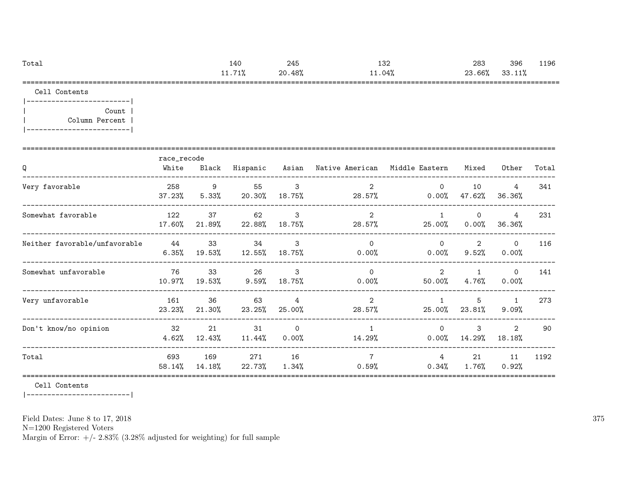| Total | 140                                      | 245    | 132    | 283    | 396    | 1196 |
|-------|------------------------------------------|--------|--------|--------|--------|------|
|       | 71%<br>11<br><b>LL</b> . $I$ <b>L</b> /a | 20.48% | -1.04% | 23.66% | 33.11% |      |
|       |                                          |        |        |        |        |      |

Cell Contents

|-------------------------| | Count | | Column Percent | |-------------------------|

| Q                             | race_recode<br>White | Black           | Hispanic        |                          | Asian – Native American – Middle Eastern |                        | Mixed                 | Other                    | Total |
|-------------------------------|----------------------|-----------------|-----------------|--------------------------|------------------------------------------|------------------------|-----------------------|--------------------------|-------|
| Very favorable                | 258<br>37.23%        | 9<br>5.33%      | 55<br>20.30%    | 3<br>18.75%              | $\overline{2}$<br>28.57%                 | $\Omega$<br>$0.00\%$   | 10<br>47.62%          | 4<br>36.36%              | 341   |
| Somewhat favorable            | 122<br>17.60%        | 37<br>21.89%    | 62<br>22.88%    | 3<br>18.75%              | 2<br>28.57%                              | 1<br>25.00%            | $\Omega$<br>$0.00\%$  | 4<br>36.36%              | 231   |
| Neither favorable/unfavorable | 44<br>6.35%          | 33<br>19.53%    | 34<br>12.55%    | 3<br>18.75%              | $\Omega$<br>$0.00\%$                     | $\Omega$<br>$0.00\%$   | 2<br>9.52%            | $\Omega$<br>0.00%        | 116   |
| Somewhat unfavorable          | 76<br>10.97%         | 33<br>19.53%    | 26<br>$9.59\%$  | $\mathbf{3}$<br>18.75%   | $\Omega$<br>$0.00\%$                     | 2<br>50.00%            | $\mathbf{1}$<br>4.76% | $\circ$<br>$0.00\%$      | 141   |
| Very unfavorable              | 161<br>23.23%        | 36<br>$21.30\%$ | 63<br>23.25%    | $\overline{4}$<br>25.00% | $\overline{2}$<br>28.57%                 | $\mathbf{1}$<br>25.00% | 5<br>23.81%           | $\mathbf{1}$<br>9.09%    | 273   |
| Don't know/no opinion         | 32<br>4.62%          | 21<br>12.43%    | 31<br>$11.44\%$ | $\circ$<br>$0.00\%$      | $\overline{1}$<br>14.29%                 | $\Omega$<br>$0.00\%$   | 3<br>14.29%           | $\overline{2}$<br>18.18% | 90    |
| Total                         | 693<br>58.14%        | 169<br>14.18%   | 271<br>22.73%   | 16<br>$1.34\%$           | $\overline{7}$<br>0.59%                  | 4<br>$0.34\%$          | 21<br>1.76%           | 11<br>0.92%              | 1192  |

Cell Contents

|-------------------------|

Field Dates: June 8 to 17, 2018

N=1200 Registered Voters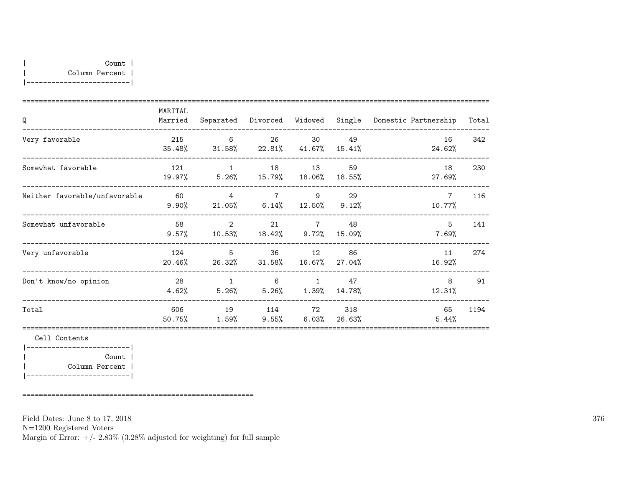|-------------------------|

| Q                             | MARITAL<br>Married | Separated                                                            | Divorced                                  | Widowed                          | Single        | Domestic Partnership      | Total |
|-------------------------------|--------------------|----------------------------------------------------------------------|-------------------------------------------|----------------------------------|---------------|---------------------------|-------|
| Very favorable                | 215<br>35.48%      | 6<br>$31.58\%$                                                       | 26                                        | 30<br>$22.81\%$ $41.67\%$        | 49<br>15.41%  | 16<br>24.62%              | 342   |
| Somewhat favorable            | 121<br>19.97%      | $\overline{1}$<br>$5.26\%$ $15.79\%$ $18.06\%$                       |                                           | 18 13                            | 59<br>18.55%  | 18<br>27.69%              | 230   |
| Neither favorable/unfavorable | 60<br>$9.90\%$     | $\overline{4}$                                                       | $21.05\%$ 6.14% 12.50% 9.12%              | 7 9                              | 29            | $7\overline{ }$<br>10.77% | 116   |
| Somewhat unfavorable          | 58<br>$9.57\%$     | $\overline{\phantom{a}}$ 2<br>$10.53\%$ $18.42\%$ $9.72\%$ $15.09\%$ | 21                                        | $\overline{7}$                   | 48            | 5<br>7.69%                | 141   |
| Very unfavorable              | 124<br>20.46%      | $5^{\circ}$<br>26.32%                                                | 36                                        | 12<br>$31.58\%$ $16.67\%$ 27.04% | 86            | 11<br>16.92%              | 274   |
| Don't know/no opinion         | 28<br>4.62%        | $\mathbf{1}$                                                         | 6<br>$5.26\%$ $5.26\%$ $1.39\%$ $14.78\%$ | $\mathbf{1}$                     | 47            | 8<br>12.31%               | 91    |
| Total                         | 606<br>50.75%      | 19<br>$1.59\%$                                                       | 114<br>$9.55\%$                           | 72<br>$6.03\%$                   | 318<br>26.63% | 65<br>5.44%               | 1194  |
| Cell Contents                 |                    |                                                                      |                                           |                                  |               |                           |       |
| Count                         |                    |                                                                      |                                           |                                  |               |                           |       |

| Column Percent | |-------------------------|

========================================================

Field Dates: June 8 to 17, 2018

N=1200 Registered Voters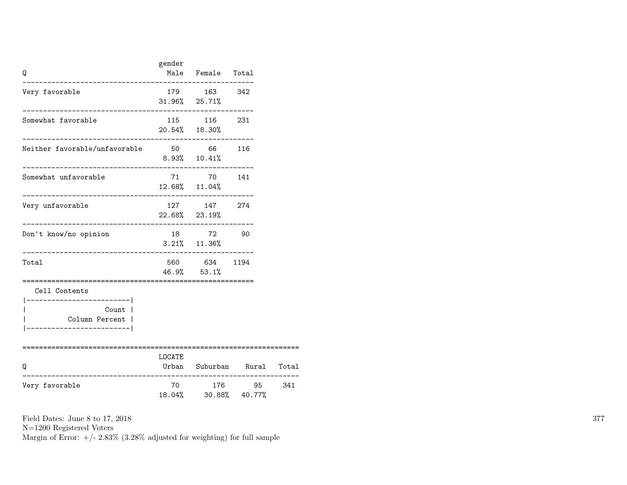| Q                                                                                                                       | gender   | Male Female Total                 |                      |       |
|-------------------------------------------------------------------------------------------------------------------------|----------|-----------------------------------|----------------------|-------|
| Very favorable                                                                                                          |          | 179 163 342<br>$31.96\%$ 25.71%   |                      |       |
| Somewhat favorable                                                                                                      |          | 115 116 231<br>20.54% 18.30%      |                      |       |
| Neither favorable/unfavorable 50 66 116                                                                                 |          | $8.93\%$ 10.41%                   |                      |       |
| Somewhat unfavorable                                                                                                    |          | 71 70 141<br>12.68% 11.04%        |                      |       |
| Very unfavorable<br>_______________                                                                                     |          | 127 147 274<br>22.68% 23.19%      |                      |       |
| Don't know/no opinion                                                                                                   |          | 18 72 90<br>$3.21\%$ 11.36%       |                      |       |
| Total                                                                                                                   |          | 560 634 1194<br>$46.9\%$ $53.1\%$ |                      |       |
| Cell Contents<br>___________________ <br>Count  <br>Column Percent  <br>_______________________<br>==================== | ======== |                                   |                      |       |
| Q<br>------------------                                                                                                 | LOCATE   |                                   | Urban Suburban Rural | Total |
| Very favorable                                                                                                          |          | 70 176 95<br>18.04% 30.88% 40.77% |                      | 341   |

N=1200 Registered Voters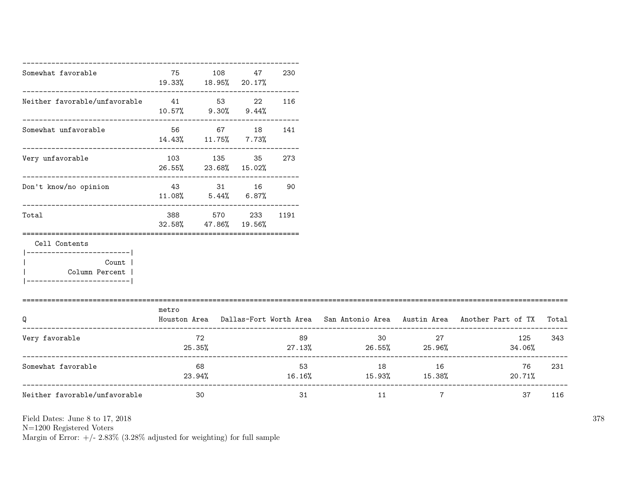| Somewhat favorable                                   | 75<br>19.33% 18.95% 20.17%        | 108                          | 47 | 230      |                               |                              |                                                                                     |       |
|------------------------------------------------------|-----------------------------------|------------------------------|----|----------|-------------------------------|------------------------------|-------------------------------------------------------------------------------------|-------|
| Neither favorable/unfavorable<br>41<br>53<br>22      | $10.57\%$ 9.30% 9.44%             |                              |    | 116      |                               |                              |                                                                                     |       |
| Somewhat unfavorable                                 | $14.43\%$ $11.75\%$ 7.73%         | 56 67 18                     |    | 141      |                               |                              |                                                                                     |       |
| --------------------------------<br>Very unfavorable | 103 135<br>26.55% 23.68% 15.02%   | ---------------------------- | 35 | 273      |                               |                              |                                                                                     |       |
| Don't know/no opinion                                | 43 31 16<br>$11.08\%$ 5.44% 6.87% |                              |    | 90       |                               |                              |                                                                                     |       |
| Total                                                | 32.58%                            | 388 570<br>47.86% 19.56%     |    | 233 1191 |                               |                              |                                                                                     |       |
| Cell Contents<br>-----------------------             |                                   |                              |    |          |                               |                              |                                                                                     |       |
| Count  <br>Column Percent                            |                                   |                              |    |          |                               |                              |                                                                                     |       |
| Q                                                    | metro                             |                              |    |          |                               |                              | Houston Area Dallas-Fort Worth Area San Antonio Area Austin Area Another Part of TX | Total |
| Very favorable                                       | $25.35\%$                         | 72                           |    | 89       | $27.13\%$ 26.55% 25.96%       | 30 <sub>2</sub><br>27        | 125<br>34.06%                                                                       | 343   |
| Somewhat favorable                                   | 23.94%                            | 68                           |    |          | $16.16\%$ $15.93\%$ $15.38\%$ | $18 \quad \text{or}$<br>16 — | 76<br>20.71%                                                                        | 231   |
| Neither favorable/unfavorable                        |                                   | 30                           |    | 31       | 11                            | $7\overline{ }$              | 37                                                                                  | 116   |

N=1200 Registered Voters

Margin of Error:  $+/- 2.83\%$  (3.28% adjusted for weighting) for full sample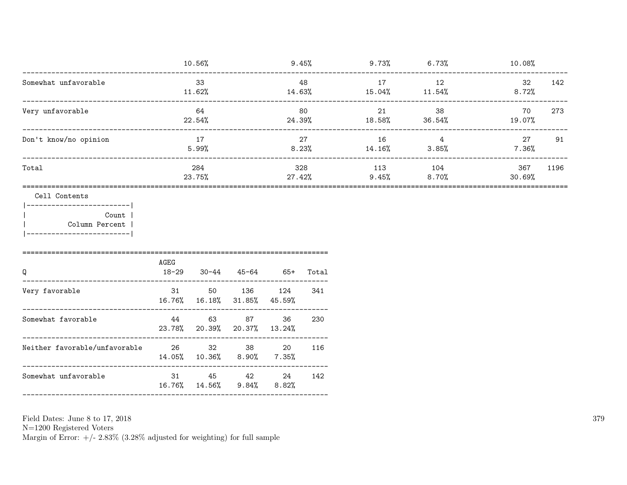| ---------------------------                                                                             |                     | 10.56%        |                     |                       |                 | $9.45\%$ $9.73\%$ 6.73% |                | 10.08%        |      |
|---------------------------------------------------------------------------------------------------------|---------------------|---------------|---------------------|-----------------------|-----------------|-------------------------|----------------|---------------|------|
| Somewhat unfavorable                                                                                    | 33<br>11.62%        |               | 48<br>14.63%        |                       | 17<br>$15.04\%$ | 12<br>11.54%            | 32<br>$8.72\%$ | 142           |      |
| Very unfavorable                                                                                        | 64<br>22.54%        |               |                     | 80<br>24.39%          |                 | 21<br>18.58%            | 38<br>36.54%   | 70<br>19.07%  | 273  |
| Don't know/no opinion                                                                                   | 17<br>5.99%         |               | 27<br>$8.23\%$      |                       | 16<br>14.16%    | $\overline{4}$<br>3.85% | 27<br>$7.36\%$ | 91            |      |
| Total                                                                                                   |                     | 284<br>23.75% |                     | 27.42%                | 328             | 113<br>9.45%            | 104<br>8.70%   | 367<br>30.69% | 1196 |
| Cell Contents<br> ------------------------ <br>Count  <br>  Column Percent<br> ------------------------ |                     |               |                     |                       |                 |                         |                |               |      |
| Q                                                                                                       | AGEG<br>18-29       |               | $30-44$ $45-64$ 65+ |                       | Total           |                         |                |               |      |
| Very favorable                                                                                          | 31<br>16.76% 16.18% | 50            | 136 124<br>31.85%   | 45.59%                | 341             |                         |                |               |      |
| Somewhat favorable                                                                                      | 44<br>23.78%        | 63<br>20.39%  | 87<br>20.37%        | 36<br>13.24%          | 230             |                         |                |               |      |
| _________________________________                                                                       | 14.05% 10.36%       | 32            | 38<br>8.90%         | 20<br>$7.35\%$        | 116             |                         |                |               |      |
| Somewhat unfavorable                                                                                    | 31                  | 16.76% 14.56% | $9.84\%$            | 45 42 24 142<br>8.82% |                 |                         |                |               |      |
|                                                                                                         |                     |               |                     |                       |                 |                         |                |               |      |

Field Dates: June 8 to 17,  $2018\,$ 

N=1200 Registered Voters<br>Margin of Error:  $+/- 2.83\%$  (3.28% adjusted for weighting) for full sample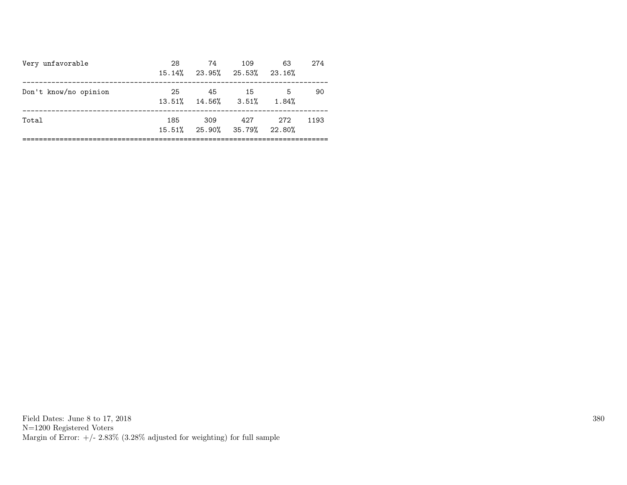| Very unfavorable      | 28  | 74<br>15.14% 23.95% 25.53% 23.16%    | 109  | 63          | 274  |
|-----------------------|-----|--------------------------------------|------|-------------|------|
| Don't know/no opinion | 25  | 45<br>$13.51\%$ $14.56\%$ $3.51\%$   | - 15 | -5<br>1.84% | 90   |
| Total                 | 185 | - 309<br>15.51% 25.90% 35.79% 22.80% | 427  | 272         | 1193 |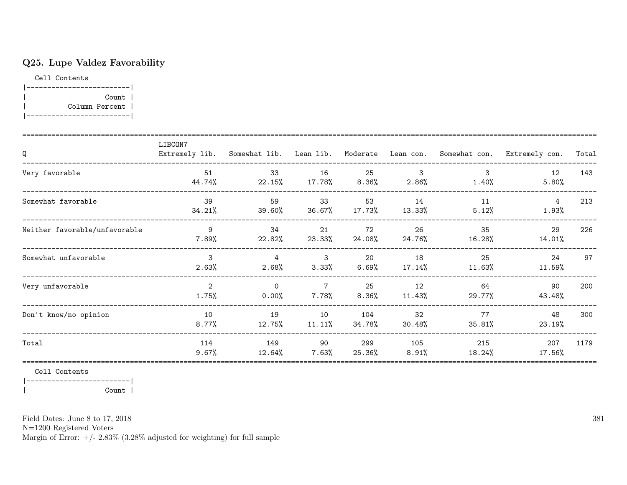# Q25. Lupe Valdez Favorability

Cell Contents

|-------------------------| | Count | | Column Percent | |-------------------------|

| Q                             | LIBCON7                 |                         |                         |                |              |                           | Extremely lib. Somewhat lib. Lean lib. Moderate Lean con. Somewhat con. Extremely con. | Total |
|-------------------------------|-------------------------|-------------------------|-------------------------|----------------|--------------|---------------------------|----------------------------------------------------------------------------------------|-------|
| Very favorable                | 51<br>44.74%            | 33<br>$22.15\%$ 17.78%  | 16                      | 25<br>$8.36\%$ | 3<br>2.86%   | $\mathcal{B}$<br>$1.40\%$ | 12<br>5.80%                                                                            | 143   |
| Somewhat favorable            | 39<br>34.21%            | 59<br>39.60%            | 33<br>36.67%            | 53<br>17.73%   | 14<br>13.33% | 11<br>5.12%               | 4<br>$1.93\%$                                                                          | 213   |
| Neither favorable/unfavorable | 9<br>7.89%              | 34<br>22.82%            | 21<br>$23.33\%$         | 72<br>24.08%   | 26<br>24.76% | 35<br>16.28%              | 29<br>14.01%                                                                           | 226   |
| Somewhat unfavorable          | 3<br>2.63%              | $\overline{4}$<br>2.68% | $\mathbf{3}$<br>3.33%   | 20<br>6.69%    | 18<br>17.14% | 25<br>11.63%              | 24<br>11.59%                                                                           | 97    |
| Very unfavorable              | $\overline{2}$<br>1.75% | $\Omega$<br>$0.00\%$    | $\overline{7}$<br>7.78% | 25<br>$8.36\%$ | 12<br>11.43% | 64<br>29.77%              | 90<br>43.48%                                                                           | 200   |
| Don't know/no opinion         | 10<br>$8.77\%$          | 19<br>12.75%            | 10<br>11.11%            | 104<br>34.78%  | 32<br>30.48% | 77<br>35.81%              | 48<br>23.19%                                                                           | 300   |
| Total                         | 114<br>9.67%            | 149<br>12.64%           | 90<br>7.63%             | 299<br>25.36%  | 105<br>8.91% | 215<br>18.24%             | 207<br>17.56%                                                                          | 1179  |

Cell Contents

|-------------------------|

| Count |

Field Dates: June 8 to 17, 2018

N=1200 Registered Voters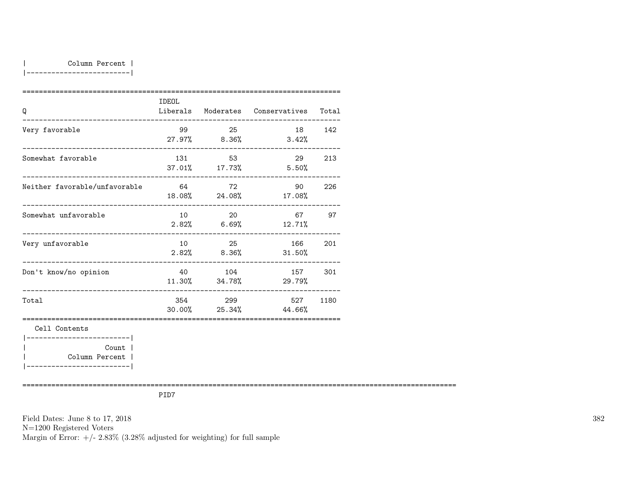|-------------------------|

| Q                                                                        | IDEOL |          | Liberals Moderates Conservatives   | Total  |
|--------------------------------------------------------------------------|-------|----------|------------------------------------|--------|
| Very favorable                                                           |       | 99 25    | 27.97% 8.36% 3.42%                 | 18 142 |
| Somewhat favorable                                                       | 131   | 53       | 29<br>37.01% 17.73% 5.50%          | 213    |
| Neither favorable/unfavorable<br>________________ <b>_______________</b> | 64    | 72       | 90<br>$18.08\%$ 24.08% 17.08%      | 226    |
| Somewhat unfavorable                                                     | 10    | 20       | 67<br>$2.82\%$ 6.69% 12.71%        | 97     |
| Very unfavorable                                                         | 10    | 25       | 166<br>$2.82\%$ $8.36\%$ $31.50\%$ | 201    |
| Don't know/no opinion                                                    |       | 40   104 | 157<br>$11.30\%$ $34.78\%$ 29.79%  | 301    |
| Total                                                                    |       | 354 299  | 527<br>$30.00\%$ 25.34% 44.66%     | 1180   |
| Cell Contents<br>------------------------                                |       |          |                                    |        |
| Count l                                                                  |       |          |                                    |        |
| Column Percent                                                           |       |          |                                    |        |

|-------------------------|

=========================================================================================================

PID7

Field Dates: June 8 to 17, 2018 N=1200 Registered Voters Margin of Error:  $+/- 2.83\%$  (3.28% adjusted for weighting) for full sample 382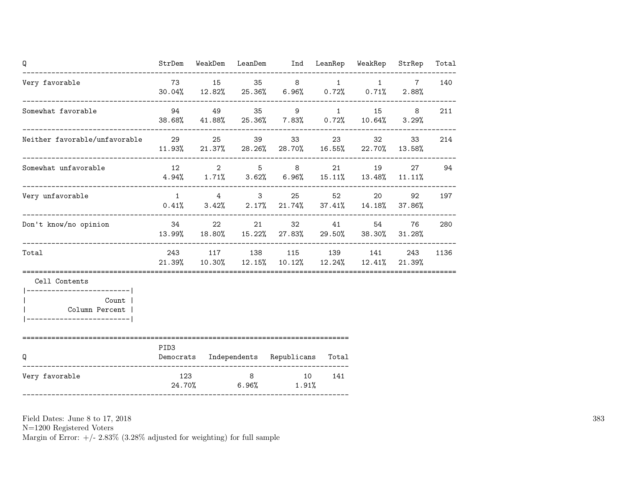| Q                                                                      |               |  | StrDem WeakDem LeanDem Ind LeanRep WeakRep                                                           |     |       | StrRep          | Total |
|------------------------------------------------------------------------|---------------|--|------------------------------------------------------------------------------------------------------|-----|-------|-----------------|-------|
| Very favorable<br>------ <b>----------------------------</b> --        |               |  | 73 15 35 8 1 1<br>$30.04\%$ $12.82\%$ $25.36\%$ $6.96\%$ $0.72\%$ $0.71\%$ $2.88\%$                  |     |       | $7\overline{ }$ | 140   |
| Somewhat favorable                                                     |               |  | 94 49 35 9 1 15<br>38.68% 41.88% 25.36% 7.83% 0.72% 10.64% 3.29%                                     |     |       | 8               | 211   |
| Neither favorable/unfavorable<br>29 25 39 33                           |               |  | $11.93\%$ 21.37% 28.26% 28.70% 16.55% 22.70% 13.58%                                                  |     | 23 32 | 33              | 214   |
| Somewhat unfavorable                                                   |               |  | 12 2 5 8 21 19 27 94<br>$4.94\%$ $1.71\%$ $3.62\%$ $6.96\%$ $15.11\%$ $13.48\%$ $11.11\%$            |     |       |                 |       |
| Very unfavorable                                                       |               |  | $1 \t 4 \t 3 \t 25$<br>$0.41\%$ $3.42\%$ $2.17\%$ $21.74\%$ $37.41\%$ $14.18\%$ $37.86\%$            |     | 52 20 | 92              | 197   |
| Don't know/no opinion                                                  |               |  | 34 22 21 32 41 54<br>13.99% 18.80% 15.22% 27.83% 29.50% 38.30% 31.28%                                |     |       | 76              | 280   |
| Total                                                                  |               |  | 243 117 138 115 139 141 243<br>$21.39\%$ $10.30\%$ $12.15\%$ $10.12\%$ $12.24\%$ $12.41\%$ $21.39\%$ |     |       |                 | 1136  |
| Cell Contents<br>Count  <br>Column Percent<br>------------------------ |               |  |                                                                                                      |     |       |                 |       |
| -----------------------------------<br>Q                               | PID3          |  | Democrats Independents Republicans Total                                                             |     |       |                 |       |
| Very favorable                                                         | 123<br>24.70% |  | 8 10<br>$6.96\%$ 1.91%                                                                               | 141 |       |                 |       |

N=1200 Registered Voters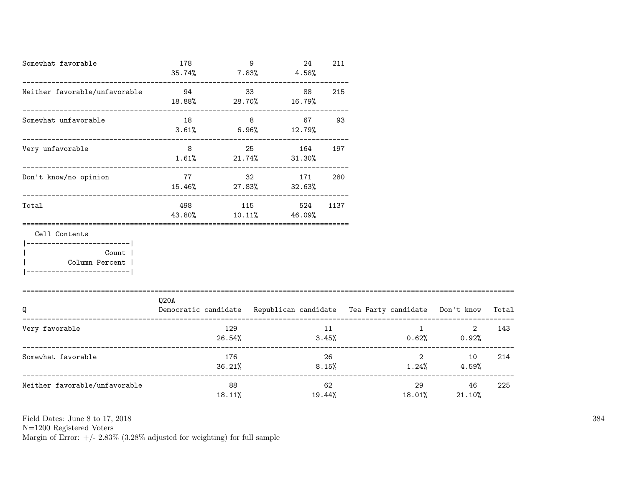| Somewhat favorable                                                                                  | 178<br>35.74%   | 9             | 24<br>$7.83\%$ 4.58%                     | 211          |                                                                          |                            |       |
|-----------------------------------------------------------------------------------------------------|-----------------|---------------|------------------------------------------|--------------|--------------------------------------------------------------------------|----------------------------|-------|
| Neither favorable/unfavorable                                                                       | 94<br>$18.88\%$ | 33            | 88<br>$28.70\%$ 16.79%                   | 215          |                                                                          |                            |       |
| Somewhat unfavorable                                                                                | 18              | $8 - 8$       | 67<br>$3.61\%$ 6.96% 12.79%              | 93           |                                                                          |                            |       |
| Very unfavorable                                                                                    | $8\overline{)}$ |               | 25<br>164<br>$1.61\%$ 21.74% 31.30%      | 197          |                                                                          |                            |       |
| Don't know/no opinion                                                                               |                 |               | 77 32 171<br>$15.46\%$ 27.83% 32.63%     | 280          |                                                                          |                            |       |
| Total<br>==================================                                                         |                 |               | 498 115 524 1137<br>43.80% 10.11% 46.09% |              |                                                                          |                            |       |
| Cell Contents<br>---------------------- <br>Count<br>  Column Percent<br>__________________________ |                 |               |                                          |              |                                                                          |                            |       |
| Q                                                                                                   | Q20A            |               |                                          |              | Democratic candidate Republican candidate Tea Party candidate Don't know |                            | Total |
| Very favorable                                                                                      |                 | 129<br>26.54% |                                          | 11           | $3.45\%$ 0.62% 0.92%                                                     | $2^{\circ}$<br>$\mathbf 1$ | 143   |
| Somewhat favorable                                                                                  |                 | 176           |                                          | 26           | $36.21\%$ $8.15\%$ $1.24\%$ $4.59\%$                                     | $\overline{2}$<br>10       | 214   |
| Neither favorable/unfavorable                                                                       |                 | 88<br>18.11%  |                                          | 62<br>19.44% | 18.01%                                                                   | 46<br>21.10%               | 225   |

N=1200 Registered Voters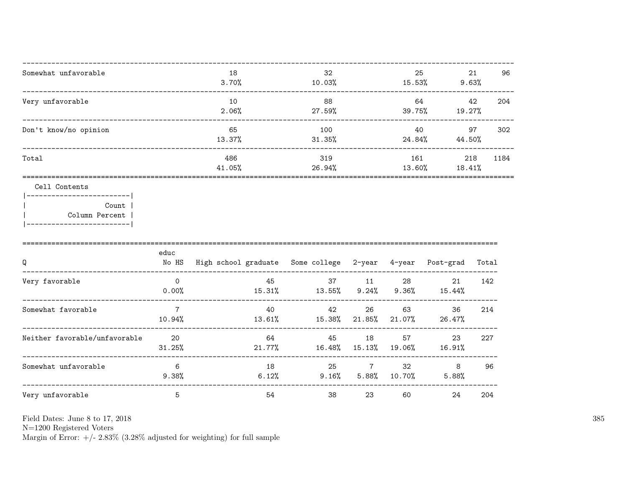| Somewhat unfavorable  | 18<br>3.70%   | 32<br>10.03%  | 25<br>15.53%  | 21<br>9.63%   | 96   |
|-----------------------|---------------|---------------|---------------|---------------|------|
| Very unfavorable      | 10<br>2.06%   | 88<br>27.59%  | 64<br>39.75%  | 42<br>19.27%  | 204  |
| Don't know/no opinion | 65<br>13.37%  | 100<br>31.35% | 40<br>24.84%  | 97<br>44.50%  | 302  |
| Total                 | 486<br>41.05% | 319<br>26.94% | 161<br>13.60% | 218<br>18.41% | 1184 |

#### Cell Contents

|  | Count 1        |
|--|----------------|
|  | Column Percent |
|  |                |

| Q                             | educ<br>No HS            | High school graduate | Some college 2-year |              | 4-year          | Post-grad    | Total |
|-------------------------------|--------------------------|----------------------|---------------------|--------------|-----------------|--------------|-------|
| Very favorable                | $\Omega$<br>0.00%        | 45<br>15.31%         | 37<br>13.55%        | 11<br>9.24%  | 28<br>9.36%     | 21<br>15.44% | 142   |
| Somewhat favorable            | $\overline{7}$<br>10.94% | 40<br>13.61%         | 42<br>15.38%        | 26<br>21.85% | 63<br>$21.07\%$ | 36<br>26.47% | 214   |
| Neither favorable/unfavorable | 20<br>31.25%             | 64<br>21.77%         | 45<br>16.48%        | 18<br>15.13% | 57<br>19.06%    | 23<br>16.91% | 227   |
| Somewhat unfavorable          | 6<br>$9.38\%$            | 18<br>6.12%          | 25<br>9.16%         | 5.88%        | 32<br>10.70%    | 8<br>5.88%   | 96    |
| Very unfavorable              | 5                        | 54                   | 38                  | 23           | 60              | 24           | 204   |

Field Dates: June 8 to 17, 2018

 ${\rm N}{=}1200$  Registered Voters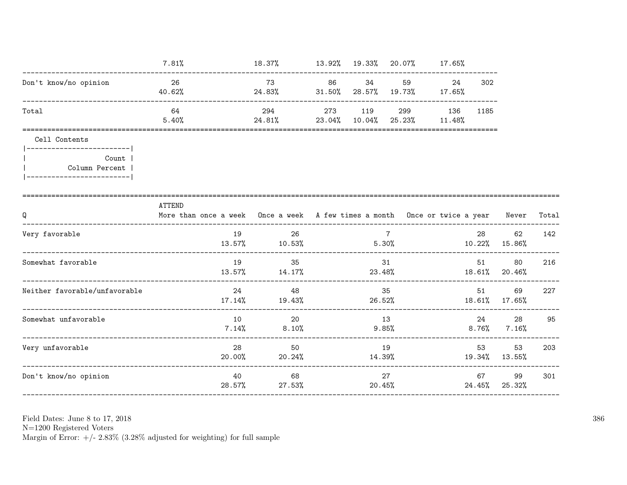|                                                                                         | 7.81%                                                                                             | 18.37% 13.92% 19.33% 20.07% 17.65%                     |    |              |                 |          |                |                         |       |
|-----------------------------------------------------------------------------------------|---------------------------------------------------------------------------------------------------|--------------------------------------------------------|----|--------------|-----------------|----------|----------------|-------------------------|-------|
| Don't know/no opinion                                                                   | 26<br>40.62%                                                                                      | 73<br>$24.83\%$ 31.50% 28.57% 19.73% 17.65%            | 86 | 34           |                 | 24       | 302            |                         |       |
| Total                                                                                   | 64<br>5.40%                                                                                       | 294<br>24.81% 23.04% 10.04% 25.23% 11.48%              |    | 273 119      | 299             | 136 1185 |                |                         |       |
| Cell Contents                                                                           |                                                                                                   |                                                        |    |              |                 |          |                |                         |       |
| ------------------------- <br>Count  <br>Column Percent  <br> ------------------------- |                                                                                                   |                                                        |    |              |                 |          |                |                         |       |
| Q                                                                                       | <b>ATTEND</b><br>More than once a week Once a week A few times a month Once or twice a year Never |                                                        |    |              |                 |          | ______________ |                         | Total |
| Very favorable                                                                          | 19                                                                                                | 26<br>$13.57\%$ $10.53\%$ $5.30\%$ $10.22\%$ $15.86\%$ |    |              | $7\overline{ }$ |          | 28             | 62                      | 142   |
| Somewhat favorable                                                                      | 19                                                                                                | 35<br>$13.57\%$ 14.17% 23.48% 18.61% 20.46%            |    |              | 31              |          | 51 7           | 80                      | 216   |
| Neither favorable/unfavorable                                                           |                                                                                                   | 24<br>48<br>$17.14\%$ 19.43% 26.52% 18.61% 17.65%      |    |              | 35              |          | 51             | 69                      | 227   |
| Somewhat unfavorable                                                                    | 10                                                                                                | 20<br>$7.14\%$ 8.10%                                   |    | 13<br>9.85%  |                 |          | 24             | 28<br>$8.76\%$ $7.16\%$ | 95    |
| Very unfavorable                                                                        | 28<br>$20.00\%$                                                                                   | 50<br>20.24%                                           |    | 19<br>14.39% |                 |          | 53             | 53<br>19.34% 13.55%     | 203   |
| Don't know/no opinion                                                                   | 40                                                                                                | 68<br>28.57% 27.53%                                    |    |              | 27<br>20.45%    |          | 67             | 99<br>24.45% 25.32%     | 301   |

N=1200 Registered Voters<br>Margin of Error:  $+/- 2.83\%$  (3.28% adjusted for weighting) for full sample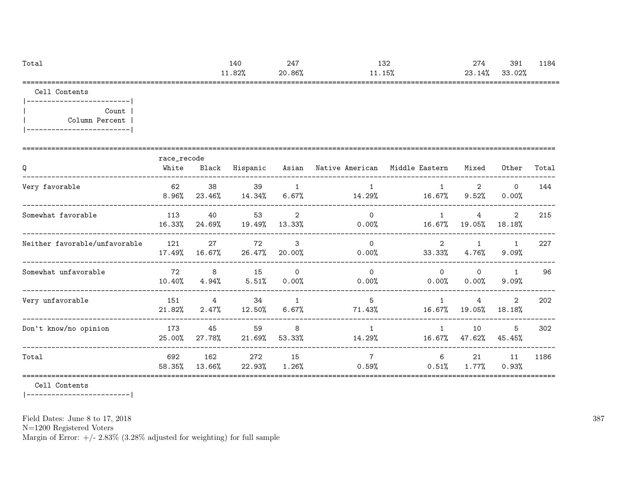| Total | 140   | 247    | 132    | 274    | 39 <sup>2</sup> | 1184 |
|-------|-------|--------|--------|--------|-----------------|------|
|       | 1.82% | 20.86% | 11.15% | 23.14% | 33.02%          |      |
|       |       |        |        |        |                 |      |

Cell Contents

|-------------------------| | Count | | Column Percent | |-------------------------|

| Q                             | race_recode<br>White | Black                   | Hispanic       |                            | Asian – Native American – Middle Eastern |                          | Mixed                    | Other                    | Total |
|-------------------------------|----------------------|-------------------------|----------------|----------------------------|------------------------------------------|--------------------------|--------------------------|--------------------------|-------|
| Very favorable                | 62<br>8.96%          | 38<br>23.46%            | 39<br>14.34%   | 1<br>$6.67\%$              | 14.29%                                   | 16.67%                   | 2<br>$9.52\%$            | $\Omega$<br>0.00%        | 144   |
| Somewhat favorable            | 113<br>16.33%        | 40<br>24.69%            | 53<br>19.49%   | 2<br>13.33%                | $\Omega$<br>$0.00\%$                     | 1<br>16.67%              | 4<br>19.05%              | $\overline{2}$<br>18.18% | 215   |
| Neither favorable/unfavorable | 121<br>17.49%        | 27<br>16.67%            | 72<br>26.47%   | 3<br>20.00%                | $\Omega$<br>$0.00\%$                     | $2^{\circ}$<br>33.33%    | $\mathbf{1}$<br>$4.76\%$ | $\mathbf{1}$<br>9.09%    | 227   |
| Somewhat unfavorable          | 72<br>10.40%         | 8<br>4.94%              | 15<br>$5.51\%$ | $\Omega$<br>$0.00\%$       | $\Omega$<br>$0.00\%$                     | $\Omega$<br>$0.00\%$     | $\Omega$<br>$0.00\%$     | $\mathbf{1}$<br>9.09%    | 96    |
| Very unfavorable              | 151<br>21.82%        | $\overline{4}$<br>2.47% | 34<br>12.50%   | $\overline{1}$<br>$6.67\%$ | 5<br>71.43%                              | $\overline{1}$<br>16.67% | 4<br>19.05%              | 2<br>18.18%              | 202   |
| Don't know/no opinion         | 173<br>25.00%        | 45<br>27.78%            | 59<br>21.69%   | 8<br>53.33%                | $\mathbf{1}$<br>14.29%                   | $\mathbf{1}$<br>16.67%   | 10<br>47.62%             | 5<br>45.45%              | 302   |
| Total                         | 692<br>58.35%        | 162<br>13.66%           | 272<br>22.93%  | 15<br>$1.26\%$             | $\overline{7}$<br>0.59%                  | 6<br>0.51%               | 21<br>1.77%              | 11<br>0.93%              | 1186  |

Cell Contents

|-------------------------|

Field Dates: June 8 to 17, 2018

N=1200 Registered Voters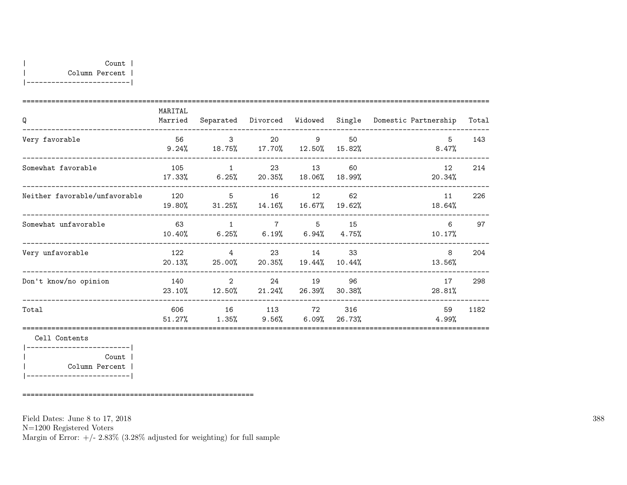|-------------------------|

| Q                             | MARITAL<br>Married |                                                       | Separated Divorced |                | Widowed Single | Domestic Partnership | Total |
|-------------------------------|--------------------|-------------------------------------------------------|--------------------|----------------|----------------|----------------------|-------|
| Very favorable                | 56<br>9.24%        | $\mathcal{B}$<br>18.75% 17.70% 12.50%                 | 20                 | $\overline{9}$ | 50<br>15.82%   | 5<br>8.47%           | 143   |
| Somewhat favorable            | 105<br>17.33%      | $\overline{1}$<br>$6.25\%$ 20.35% 18.06%              |                    | 23 13          | 60<br>18.99%   | 12<br>20.34%         | 214   |
| Neither favorable/unfavorable | 120<br>19.80%      | $5^{\circ}$<br>$31.25\%$ $14.16\%$ $16.67\%$          |                    | 16 12          | 62<br>19.62%   | 11<br>18.64%         | 226   |
| Somewhat unfavorable          | 63<br>10.40%       | $\overline{1}$<br>$6.25\%$ $6.19\%$ $6.94\%$ $4.75\%$ |                    | 7 5            | 15             | 6<br>10.17%          | 97    |
| Very unfavorable              | 122<br>20.13%      | $\overline{4}$<br>25.00% 20.35% 19.44%                | 23                 | 14             | 33<br>10.44%   | 8<br>13.56%          | 204   |
| Don't know/no opinion         | 140<br>23.10%      | 2<br>$12.50\%$                                        | 24<br>$21.24\%$    | 19<br>26.39%   | 96<br>30.38%   | 17<br>28.81%         | 298   |
| Total                         | 606<br>51.27%      | 16<br>$1.35\%$                                        | 113 72<br>$9.56\%$ | $6.09\%$       | 316<br>26.73%  | 59<br>4.99%          | 1182  |
| Cell Contents                 |                    |                                                       |                    |                |                |                      |       |
| Count                         |                    |                                                       |                    |                |                |                      |       |

| Column Percent | |-------------------------|

========================================================

Field Dates: June 8 to 17, 2018

N=1200 Registered Voters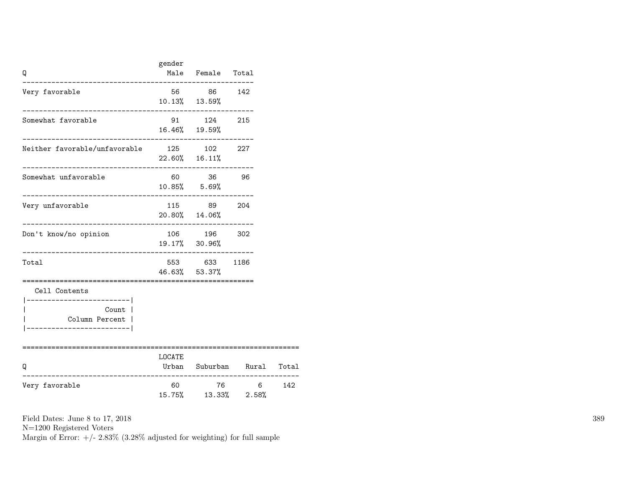| Q                                                                      | gender | Male Female Total                                               |                      |       |
|------------------------------------------------------------------------|--------|-----------------------------------------------------------------|----------------------|-------|
| Very favorable                                                         |        | 56 86 142<br>10.13% 13.59%                                      |                      |       |
| Somewhat favorable                                                     |        | 91 124 215<br>16.46% 19.59%                                     |                      |       |
| Neither favorable/unfavorable 125 102 227                              |        | $22.60\%$ 16.11%                                                |                      |       |
| Somewhat unfavorable<br>____________________________                   |        | 60 36 96<br>10.85% 5.69%<br>. _ _ _ _ _ _ _ _ _ _ _ _ _ _ _ _ _ |                      |       |
| Very unfavorable                                                       |        | 115 89 204<br>20.80% 14.06%                                     |                      |       |
| Don't know/no opinion                                                  |        | 106 196<br>19.17% 30.96%                                        | 302                  |       |
| Total                                                                  |        | 553 633<br>46.63% 53.37%                                        | 1186                 |       |
| Cell Contents<br>----------------------- <br>Count  <br>Column Percent |        |                                                                 |                      |       |
| O<br>--------------------                                              | LOCATE |                                                                 | Urban Suburban Rural | Total |
| Very favorable                                                         | 60     | 76<br>15.75% 13.33% 2.58%                                       | 6 <sup>6</sup>       | 142   |

N=1200 Registered Voters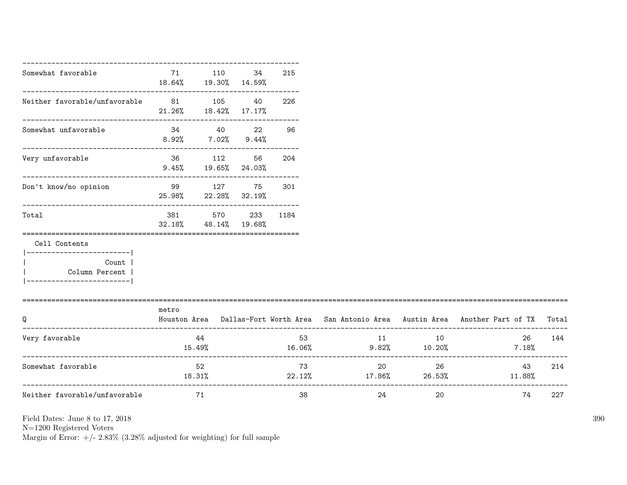| Somewhat favorable                                                                       | 71<br>18.64% 19.30% 14.59%    | 110                                               | 34   | 215 |                         |          |                                                                                           |        |
|------------------------------------------------------------------------------------------|-------------------------------|---------------------------------------------------|------|-----|-------------------------|----------|-------------------------------------------------------------------------------------------|--------|
| Neither favorable/unfavorable 81 105 40                                                  | $21.26\%$ $18.42\%$ $17.17\%$ |                                                   |      | 226 |                         |          |                                                                                           |        |
| Somewhat unfavorable                                                                     | $8.92\%$ $7.02\%$ $9.44\%$    | 34 40 22 96                                       |      |     |                         |          |                                                                                           |        |
| Very unfavorable                                                                         |                               | 36 112<br>$9.45\%$ 19.65% 24.03%                  | 56 — | 204 |                         |          |                                                                                           |        |
| Don't know/no opinion                                                                    |                               | 99 127 75<br>25.98% 22.28% 32.19%                 |      | 301 |                         |          |                                                                                           |        |
| Total                                                                                    |                               | 381 570 233 1184<br>$32.18\%$ $48.14\%$ $19.68\%$ |      |     |                         |          |                                                                                           |        |
| Cell Contents                                                                            |                               |                                                   |      |     |                         |          |                                                                                           |        |
| ------------------------- <br>Count  <br>  Column Percent  <br>------------------------- |                               |                                                   |      |     |                         |          |                                                                                           |        |
| Q                                                                                        | metro                         |                                                   |      |     |                         |          | Houston Area Dallas-Fort Worth Area San Antonio Area Austin Area Another Part of TX Total |        |
| Very favorable                                                                           |                               | 44<br>15.49%                                      |      |     | 53 11 12<br>16.06%      |          | $10 \hspace{1.5cm}$<br>$9.82\%$ 10.20% 7.18%                                              | 26 144 |
| Somewhat favorable                                                                       |                               | 52<br>18.31%                                      |      | 73  | $22.12\%$ 17.86% 26.53% | 20<br>26 | 43<br>$11.88\%$                                                                           | 214    |
| Neither favorable/unfavorable                                                            |                               | 71                                                |      | 38  | 24                      | 20       | 74                                                                                        | 227    |

N=1200 Registered Voters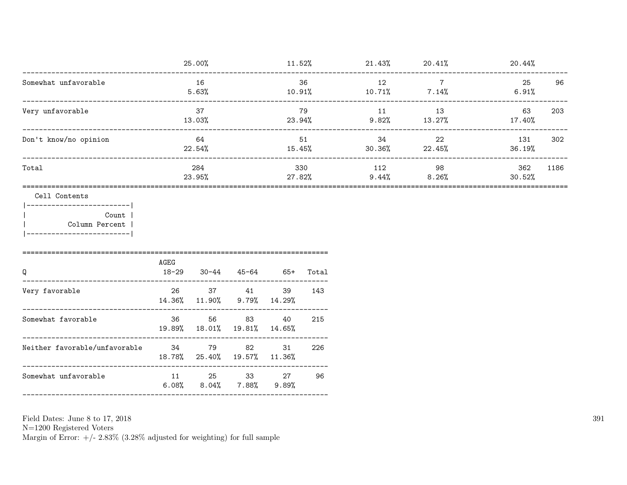|                                                                                                           |                             | 25.00%                       |                                   |                                                    |                          | $11.52\%$ 21.43% 20.41% |                        | 20.44%         |     |
|-----------------------------------------------------------------------------------------------------------|-----------------------------|------------------------------|-----------------------------------|----------------------------------------------------|--------------------------|-------------------------|------------------------|----------------|-----|
| Somewhat unfavorable<br>-------------------------------------                                             |                             | 16<br>5.63%                  |                                   | 36<br>$36$<br>10.91%<br>10.71%<br>20.71%<br>20.71% |                          | 12                      | $\overline{7}$         | 25<br>$6.91\%$ | 96  |
| Very unfavorable                                                                                          |                             | 37<br>79<br>23.94%<br>13.03% |                                   | 11                                                 | 13<br>$9.82\%$ $13.27\%$ | 63<br>17.40%            | 203                    |                |     |
| Don't know/no opinion                                                                                     | 64<br>22.54%                |                              |                                   | 51<br>15.45%                                       |                          | 34                      | 22<br>$30.36\%$ 22.45% | 131<br>36.19%  | 302 |
| Total                                                                                                     | 284<br>23.95%               |                              | 330<br>27.82%                     |                                                    | 112<br>9.44%             | 98<br>$8.26\%$          | 362<br>30.52%          | 1186           |     |
| Cell Contents<br>----------------------- <br>Count  <br>  Column Percent<br>  ___________________________ | AGEG                        |                              |                                   |                                                    |                          |                         |                        |                |     |
| Q<br>-----------------------------                                                                        | 18-29                       |                              | 30-44 45-64 65+ Total             |                                                    |                          |                         |                        |                |     |
| Very favorable                                                                                            | 14.36% 11.90%               |                              | 26 37 41                          | 39<br>$9.79\%$ $14.29\%$                           | 143                      |                         |                        |                |     |
| Somewhat favorable                                                                                        | 36 11                       | 56                           | 83<br>19.89% 18.01% 19.81% 14.65% | 40                                                 | 215                      |                         |                        |                |     |
| Neither favorable/unfavorable 34 79<br>---------------------------------                                  | 18.78% 25.40% 19.57% 11.36% |                              | 82                                | 31                                                 | 226                      |                         |                        |                |     |
| Somewhat unfavorable                                                                                      | $6.08\%$                    | $8.04\%$                     | 11 25 33 27                       | $7.88\%$ $9.89\%$                                  | 96                       |                         |                        |                |     |
|                                                                                                           |                             |                              |                                   |                                                    |                          |                         |                        |                |     |

Field Dates: June 8 to 17,  $2018\,$ 

N=1200 Registered Voters<br>Margin of Error:  $+/- 2.83\%$  (3.28% adjusted for weighting) for full sample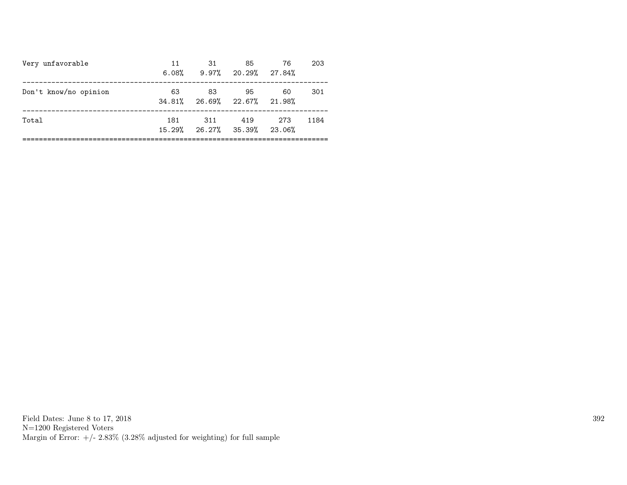| Very unfavorable      | 11<br>$6.08\%$ | 31<br>$9.97\%$ 20.29% 27.84%       | 85  | -76   | 203  |
|-----------------------|----------------|------------------------------------|-----|-------|------|
| Don't know/no opinion | 63             | -83<br>34.81% 26.69% 22.67% 21.98% | 95  | 60    | 301  |
| Total                 | 181            | 311<br>15.29% 26.27% 35.39% 23.06% | 419 | - 273 | 1184 |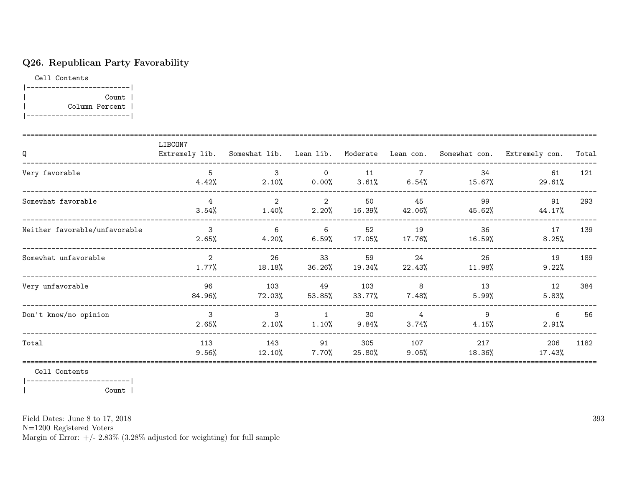# Q26. Republican Party Favorability

Cell Contents |-------------------------| | Count | | Column Percent | |-------------------------|

| Q                             | LIBCON7                | Extremely lib. Somewhat lib. Lean lib. |                            |               |                         |               | Moderate Lean con. Somewhat con. Extremely con. | Total |
|-------------------------------|------------------------|----------------------------------------|----------------------------|---------------|-------------------------|---------------|-------------------------------------------------|-------|
| Very favorable                | 5<br>4.42%             | 3<br>$2.10\%$                          | $\overline{0}$<br>0.00%    | 11<br>3.61%   | $\overline{7}$<br>6.54% | 34<br>15.67%  | 61<br>29.61%                                    | 121   |
| Somewhat favorable            | 4<br>3.54%             | $\overline{2}$<br>$1.40\%$             | 2<br>2.20%                 | 50<br>16.39%  | 45<br>42.06%            | 99<br>45.62%  | 91<br>44.17%                                    | 293   |
| Neither favorable/unfavorable | 3<br>2.65%             | 6<br>$4.20\%$                          | 6<br>6.59%                 | 52<br>17.05%  | 19<br>17.76%            | 36<br>16.59%  | 17<br>8.25%                                     | 139   |
| Somewhat unfavorable          | $\mathcal{L}$<br>1.77% | 26<br>18.18%                           | 33<br>36.26%               | 59<br>19.34%  | 24<br>22.43%            | 26<br>11.98%  | 19<br>9.22%                                     | 189   |
| Very unfavorable              | 96<br>84.96%           | 103<br>72.03%                          | 49<br>$53.85\%$            | 103<br>33.77% | 8<br>$7.48\%$           | 13<br>5.99%   | 12<br>5.83%                                     | 384   |
| Don't know/no opinion         | 3<br>2.65%             | 3<br>2.10%                             | $\overline{1}$<br>$1.10\%$ | 30<br>9.84%   | $\overline{4}$<br>3.74% | 9<br>4.15%    | 6<br>2.91%                                      | 56    |
| Total                         | 113<br>9.56%           | 143<br>12.10%                          | 91<br>$7.70\%$             | 305<br>25.80% | 107<br>9.05%            | 217<br>18.36% | 206<br>17.43%                                   | 1182  |

Cell Contents

|-------------------------| | Count |

Field Dates: June 8 to 17, 2018

N=1200 Registered Voters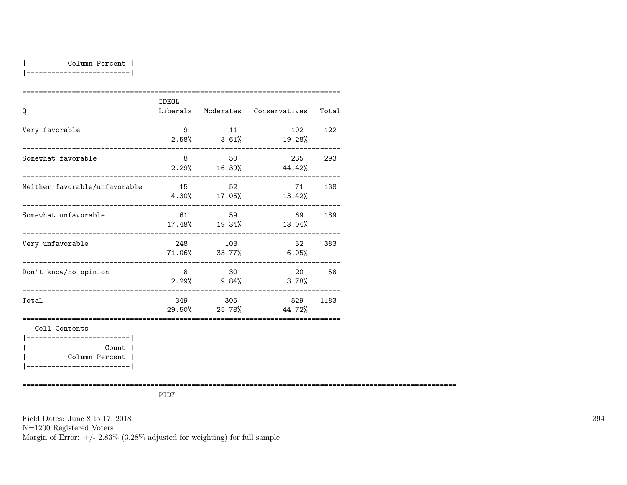|-------------------------|

| Q                                         | IDEOL       |           | Liberals Moderates Conservatives Total |      |
|-------------------------------------------|-------------|-----------|----------------------------------------|------|
| Very favorable                            | $9^{\circ}$ | 11        | 102 122<br>$2.58\%$ $3.61\%$ $19.28\%$ |      |
| Somewhat favorable                        | 8           | 50        | 235 293<br>$2.29\%$ 16.39% 44.42%      |      |
| Neither favorable/unfavorable             | 15          | 52        | 71 —<br>$4.30\%$ 17.05% 13.42%         | 138  |
| Somewhat unfavorable                      |             | 61 59     | 69<br>$17.48\%$ $19.34\%$ $13.04\%$    | 189  |
| Very unfavorable                          |             | 248 103   | 32<br>71.06% 33.77% 6.05%              | 383  |
| Don't know/no opinion                     | 8           | $\sim$ 30 | 20<br>$2.29%$ 9.84% 3.78%              | 58   |
| Total                                     |             | 349 305   | 529<br>$29.50\%$ 25.78% 44.72%         | 1183 |
| Cell Contents<br>------------------------ |             |           |                                        |      |
| Count l                                   |             |           |                                        |      |
| Column Percent                            |             |           |                                        |      |

|-------------------------|

=========================================================================================================

PID7

Field Dates: June 8 to 17, 2018 N=1200 Registered Voters Margin of Error:  $+/- 2.83\%$  (3.28% adjusted for weighting) for full sample 394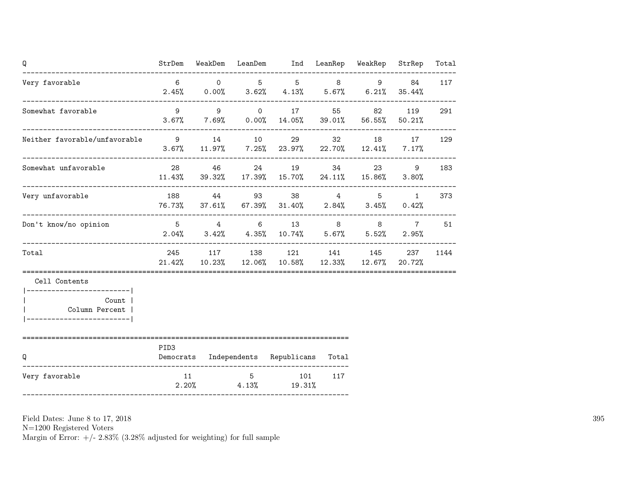| Q                                                                                     |                  |  | StrDem WeakDem LeanDem Ind LeanRep WeakRep                                                                                                                                                                                                               |     |       | StrRep        | Total |
|---------------------------------------------------------------------------------------|------------------|--|----------------------------------------------------------------------------------------------------------------------------------------------------------------------------------------------------------------------------------------------------------|-----|-------|---------------|-------|
| Very favorable<br>_______ <b>_____________________</b>                                | $6\overline{6}$  |  | $\begin{matrix}0\end{matrix}\qquad \begin{matrix}5\end{matrix}\qquad \begin{matrix}5\end{matrix}\qquad \begin{matrix}8\end{matrix}\qquad \begin{matrix}9\end{matrix}\qquad \begin{matrix}1\end{matrix}$<br>$2.45\%$ 0.00% 3.62% 4.13% 5.67% 6.21% 35.44% |     |       | 84            | 117   |
| Somewhat favorable                                                                    | 9                |  | $9 \qquad \qquad 0 \qquad \qquad 17$<br>$3.67\%$ $7.69\%$ $0.00\%$ $14.05\%$ $39.01\%$ $56.55\%$                                                                                                                                                         |     | 55 82 | 119<br>50.21% | 291   |
| Neither favorable/unfavorable 9 14 10 29                                              |                  |  | $3.67\%$ 11.97% 7.25% 23.97% 22.70% 12.41% 7.17%                                                                                                                                                                                                         |     | 32 18 | 17            | 129   |
| Somewhat unfavorable                                                                  |                  |  | 28 46 24 19<br>$11.43\%$ 39.32% 17.39% 15.70% 24.11% 15.86%                                                                                                                                                                                              |     | 34 23 | 9<br>$3.80\%$ | 183   |
| Very unfavorable                                                                      |                  |  | 188 44 93 38 4 5<br>76.73% 37.61% 67.39% 31.40% 2.84% 3.45%                                                                                                                                                                                              |     |       | 1<br>0.42%    | 373   |
| Don't know/no opinion                                                                 |                  |  | 5 4 6 13 8 8<br>$2.04\%$ $3.42\%$ $4.35\%$ $10.74\%$ $5.67\%$ $5.52\%$                                                                                                                                                                                   |     |       | 7<br>2.95%    | 51    |
| Total                                                                                 |                  |  | 245 117 138 121 141 145 237<br>$21.42\%$ $10.23\%$ $12.06\%$ $10.58\%$ $12.33\%$ $12.67\%$ $20.72\%$                                                                                                                                                     |     |       |               | 1144  |
| Cell Contents                                                                         |                  |  |                                                                                                                                                                                                                                                          |     |       |               |       |
| ------------------------- <br>Count  <br>Column Percent  <br>________________________ |                  |  |                                                                                                                                                                                                                                                          |     |       |               |       |
| Q                                                                                     | PID <sub>3</sub> |  | Democrats Independents Republicans Total                                                                                                                                                                                                                 |     |       |               |       |
| Very favorable                                                                        | 11               |  | 5 101<br>$2.20\%$ 4.13% 19.31%                                                                                                                                                                                                                           | 117 |       |               |       |

N=1200 Registered Voters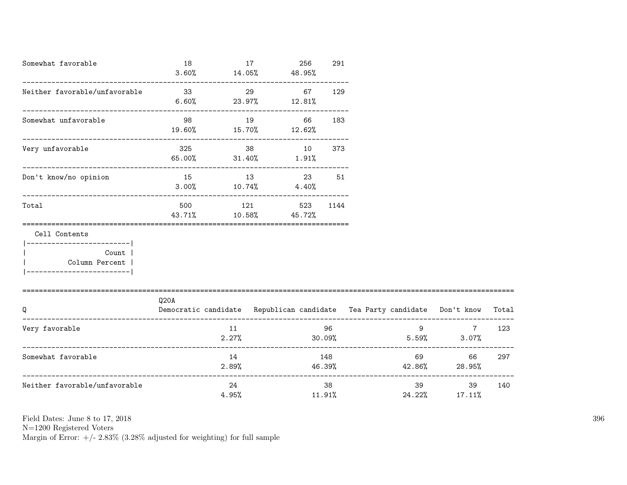| Somewhat favorable                                                                                     | 18<br>3.60%   | $14.05\%$ $48.95\%$                  | 17  | 256                     | 291          |   |                                                                          |       |
|--------------------------------------------------------------------------------------------------------|---------------|--------------------------------------|-----|-------------------------|--------------|---|--------------------------------------------------------------------------|-------|
| Neither favorable/unfavorable                                                                          | 33            | $6.60\%$ 23.97% 12.81%               | 29  | 67                      | 129          |   |                                                                          |       |
| Somewhat unfavorable                                                                                   | 98            | 19.60% 15.70% 12.62%                 | 19  | 66                      | 183          |   |                                                                          |       |
| Very unfavorable                                                                                       | 325           | 65.00% 31.40%                        |     | $38 - 1$<br>10<br>1.91% | 373          |   |                                                                          |       |
| Don't know/no opinion                                                                                  |               | 15 13<br>$3.00\%$ $10.74\%$ $4.40\%$ |     |                         | 23<br>51     |   |                                                                          |       |
| Total                                                                                                  | 500<br>43.71% | $10.58\%$ 45.72%                     | 121 | 523                     | 1144         |   |                                                                          |       |
| Cell Contents<br>----------------------- <br>Count  <br>  Column Percent  <br>________________________ |               |                                      |     |                         |              |   |                                                                          |       |
| Q                                                                                                      | Q20A          |                                      |     |                         |              |   | Democratic candidate Republican candidate Tea Party candidate Don't know | Total |
| Very favorable                                                                                         |               | 11<br>2.27%                          |     |                         | 96<br>30.09% | 9 | $\overline{7}$<br>$5.59\%$ 3.07%                                         | 123   |
| Somewhat favorable                                                                                     |               | 14<br>2.89%                          |     |                         | 148          |   | 69 — 100<br>66<br>$46.39\%$ $42.86\%$ 28.95%                             | 297   |
| Neither favorable/unfavorable                                                                          |               | 24<br>4.95%                          |     |                         | 38<br>11.91% |   | 39<br>24.22% 17.11%                                                      | 140   |

N=1200 Registered Voters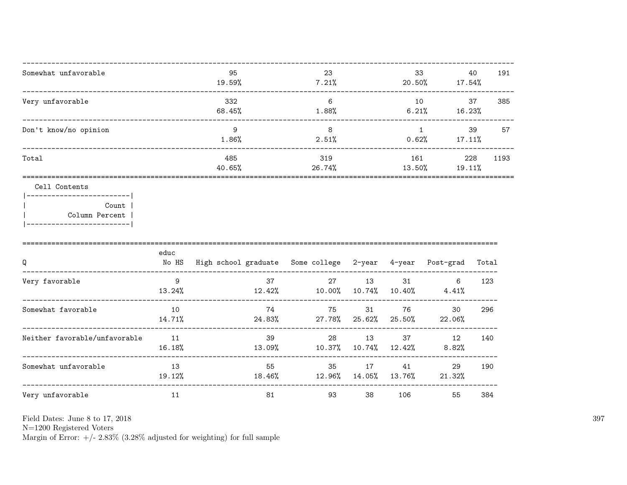| Somewhat unfavorable  | 95<br>19.59%  | 23<br>7.21%   | 33<br>20.50%  | 40<br>17.54%     | 191  |
|-----------------------|---------------|---------------|---------------|------------------|------|
| Very unfavorable      | 332<br>68.45% | 6<br>1.88%    | 10<br>6.21%   | 37<br>16.23%     | 385  |
| Don't know/no opinion | 9<br>1.86%    | 8<br>2.51%    | 0.62%         | 39<br>$17.11\%$  | 57   |
| Total                 | 485<br>40.65% | 319<br>26.74% | 161<br>13.50% | 228<br>$19.11\%$ | 1193 |
|                       |               |               |               |                  |      |

### Cell Contents

|  | Count 1        |
|--|----------------|
|  | Column Percent |
|  |                |

| Q                             | educ<br>No HS | High school graduate Some college 2-year |              |              | 4-year       | Post-grad    | Total |
|-------------------------------|---------------|------------------------------------------|--------------|--------------|--------------|--------------|-------|
| Very favorable                | 9<br>13.24%   | 37<br>12.42%                             | 27<br>10.00% | 13<br>10.74% | 31<br>10.40% | 6<br>4.41%   | 123   |
| Somewhat favorable            | 10<br>14.71%  | 74<br>24.83%                             | 75<br>27.78% | 31<br>25.62% | 76<br>25.50% | 30<br>22.06% | 296   |
| Neither favorable/unfavorable | 11<br>16.18%  | 39<br>13.09%                             | 28<br>10.37% | 13<br>10.74% | 37<br>12.42% | 12<br>8.82%  | 140   |
| Somewhat unfavorable          | 13<br>19.12%  | 55<br>18.46%                             | 35<br>12.96% | 17<br>14.05% | 41<br>13.76% | 29<br>21.32% | 190   |
| Very unfavorable              | 11            | 81                                       | 93           | 38           | 106          | 55           | 384   |

Field Dates: June 8 to 17, 2018

 ${\rm N}{=}1200$  Registered Voters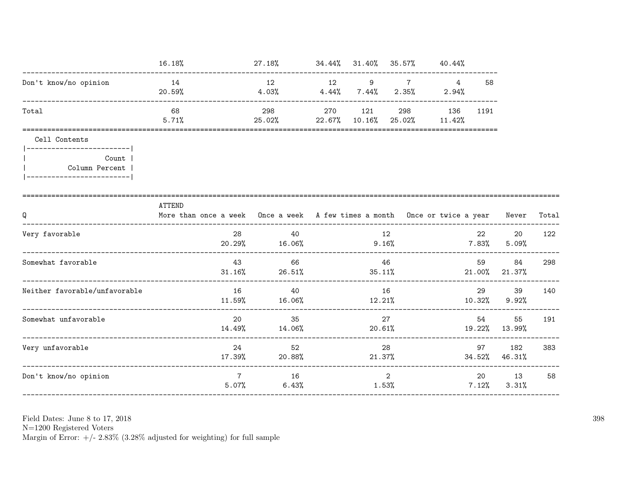|                                                      | 16.18%                                                                                     | $27.18\%$ $34.44\%$ $31.40\%$ $35.57\%$ $40.44\%$ |     |                     |                             |                         |                |                     |       |
|------------------------------------------------------|--------------------------------------------------------------------------------------------|---------------------------------------------------|-----|---------------------|-----------------------------|-------------------------|----------------|---------------------|-------|
| Don't know/no opinion                                | 14<br>20.59%                                                                               | 12<br>4.03%                                       | 12  | 9<br>$4.44\%$ 7.44% | $7\overline{ }$<br>$2.35\%$ | $\overline{4}$<br>2.94% | 58             |                     |       |
| Total                                                | 68<br>5.71%                                                                                | 298<br>$25.02\%$ 22.67% 10.16%                    | 270 | 121                 | 298<br>25.02% 11.42%        | 136                     | 1191           |                     |       |
| Cell Contents                                        |                                                                                            |                                                   |     |                     |                             |                         |                |                     |       |
| Count<br>Column Percent<br>------------------------- |                                                                                            |                                                   |     |                     |                             |                         |                |                     |       |
| Q                                                    | ATTEND<br>More than once a week Once a week A few times a month Once or twice a year Never |                                                   |     |                     |                             |                         |                |                     | Total |
| Very favorable                                       | 28<br>20.29%                                                                               | 40<br>$16.06\%$                                   |     | 12<br>9.16%         |                             |                         | 22<br>$7.83\%$ | 20<br>5.09%         | 122   |
| Somewhat favorable                                   | 43<br>$31.16\%$<br>________________________________                                        | 66<br>26.51%                                      |     | 35.11%              | 46                          |                         | 59             | 84<br>21.00% 21.37% | 298   |
| Neither favorable/unfavorable                        | 16<br>$11.59\%$                                                                            | 40<br>16.06%                                      |     | 12.21%              | 16                          |                         | 29<br>10.32%   | 39<br>9.92%         | 140   |
| Somewhat unfavorable                                 | 20<br>14.49%                                                                               | 35<br>14.06%                                      |     | 20.61%              | 27                          |                         | 54             | 55<br>19.22% 13.99% | 191   |
| Very unfavorable                                     | 24<br>17.39%                                                                               | 52<br>20.88%                                      |     | 21.37%              | 28                          |                         | 97<br>34.52%   | 182<br>46.31%       | 383   |
| Don't know/no opinion                                | $7\overline{ }$                                                                            | 16<br>5.07%<br>6.43%                              |     | 1.53%               | $\overline{2}$              |                         | 7.12%          | 20 13<br>3.31%      | 58    |

Field Dates: June 8 to 17,  $2018\,$ 

N=1200 Registered Voters<br>Margin of Error:  $+/- 2.83\%$  (3.28% adjusted for weighting) for full sample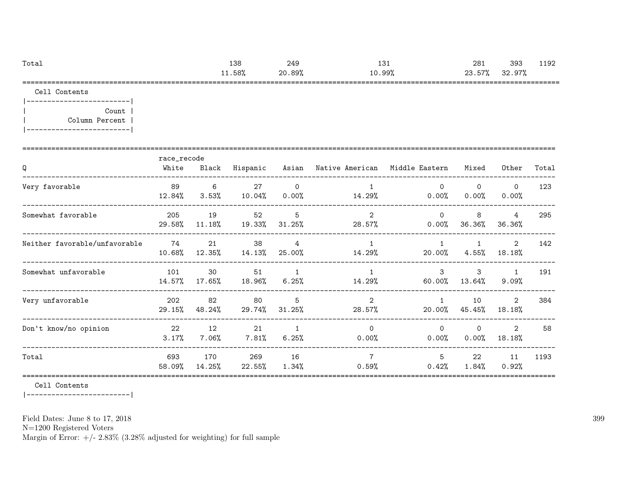| Total | 138  | 249    | 12'<br>⊥د⊥ | 281    | 393    | 1192 |
|-------|------|--------|------------|--------|--------|------|
|       | .58% | 20.89% | 10.99%     | 23.57% | 32.97% |      |
|       |      |        |            |        |        |      |

Cell Contents

|-------------------------| | Count | | Column Percent | |-------------------------|

| Q                             | race_recode<br>White | Black           | Hispanic         |                            | Asian – Native American – Middle Eastern |                          | Mixed                 | Other                 | Total |
|-------------------------------|----------------------|-----------------|------------------|----------------------------|------------------------------------------|--------------------------|-----------------------|-----------------------|-------|
| Very favorable                | 89<br>12.84%         | 6<br>$3.53\%$   | 27<br>10.04%     | $\mathbf 0$<br>$0.00\%$    | 14.29%                                   | $\Omega$<br>$0.00\%$     | $\Omega$<br>$0.00\%$  | $\mathbf 0$<br>0.00%  | 123   |
| Somewhat favorable            | 205<br>29.58%        | 19<br>$11.18\%$ | 52<br>19.33%     | 5<br>$31.25\%$             | $\overline{2}$<br>28.57%                 | $\Omega$<br>$0.00\%$     | 8<br>36.36%           | 4<br>36.36%           | 295   |
| Neither favorable/unfavorable | 74<br>10.68%         | 21<br>12.35%    | 38<br>$14.13\%$  | $\overline{4}$<br>25.00%   | $\mathbf{1}$<br>14.29%                   | $\overline{1}$<br>20.00% | $\mathbf{1}$<br>4.55% | 2<br>18.18%           | 142   |
| Somewhat unfavorable          | 101<br>14.57%        | 30<br>17.65%    | 51<br>18.96%     | $\overline{1}$<br>$6.25\%$ | $\overline{1}$<br>14.29%                 | $\mathcal{S}$<br>60.00%  | 3<br>13.64%           | $\mathbf{1}$<br>9.09% | 191   |
| Very unfavorable              | 202<br>29.15%        | 82<br>48.24%    | 80<br>29.74%     | 5<br>$31.25\%$             | $\overline{2}$<br>28.57%                 | $\mathbf{1}$<br>20.00%   | 10<br>45.45%          | 2<br>18.18%           | 384   |
| Don't know/no opinion         | 22<br>3.17%          | 12<br>$7.06\%$  | 21<br>$7.81\%$   | $\overline{1}$<br>6.25%    | $\Omega$<br>0.00%                        | $\Omega$<br>$0.00\%$     | $\Omega$<br>0.00%     | 2<br>18.18%           | 58    |
| Total                         | 693<br>58.09%        | 170<br>14.25%   | 269<br>$22.55\%$ | 16<br>$1.34\%$             | $\overline{7}$<br>0.59%                  | 5<br>0.42%               | 22<br>1.84%           | 11<br>0.92%           | 1193  |

Cell Contents

|-------------------------|

Field Dates: June 8 to 17, 2018

N=1200 Registered Voters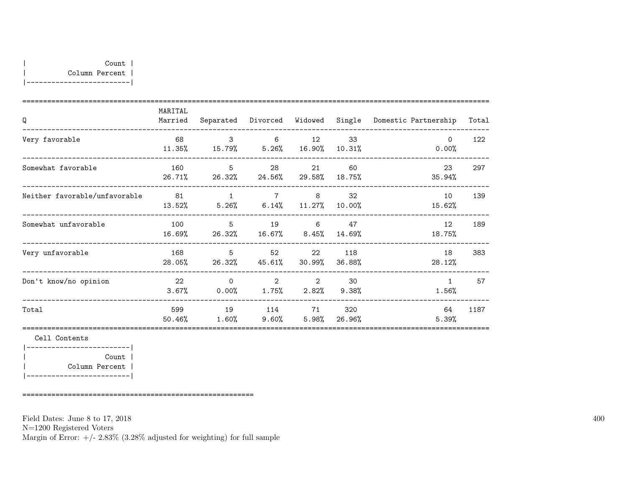|-------------------------|

| Q                             | MARITAL<br>Married |                                         | Separated Divorced                        | Widowed             | Single        | Domestic Partnership  | Total |
|-------------------------------|--------------------|-----------------------------------------|-------------------------------------------|---------------------|---------------|-----------------------|-------|
| Very favorable                | 68<br>11.35%       | $\mathcal{S}$                           | 6<br>15.79% 5.26%                         | 12<br>16.90%        | 33<br>10.31%  | $\Omega$<br>0.00%     | 122   |
| Somewhat favorable            | 160<br>26.71%      | 5<br>26.32%                             | 28                                        | 21<br>24.56% 29.58% | 60<br>18.75%  | 23<br>35.94%          | 297   |
| Neither favorable/unfavorable | 81<br>13.52%       | $\overline{1}$<br>$5.26\%$ 6.14% 11.27% |                                           | 7 8                 | 32<br>10.00%  | 10<br>15.62%          | 139   |
| Somewhat unfavorable          | 100<br>16.69%      | -5                                      | 26.32% 16.67% 8.45%                       | 19 6                | 47<br>14.69%  | 12<br>18.75%          | 189   |
| Very unfavorable              | 168<br>28.05%      | -5<br>26.32%                            |                                           | 22<br>45.61% 30.99% | 118<br>36.88% | 18<br>28.12%          | 383   |
| Don't know/no opinion         | 22<br>3.67%        | $\Omega$<br>0.00%                       | $2^{\circ}$<br>$1.75\%$ $2.82\%$ $9.38\%$ | 2                   | 30            | $\mathbf{1}$<br>1.56% | 57    |
| Total                         | 599<br>50.46%      | 19<br>1.60%                             | 114<br>$9.60\%$                           | 71<br>5.98%         | 320<br>26.96% | 64<br>5.39%           | 1187  |
| Cell Contents                 |                    |                                         |                                           |                     |               |                       |       |
| Count                         |                    |                                         |                                           |                     |               |                       |       |

| Column Percent | |-------------------------|

========================================================

Field Dates: June 8 to 17, 2018

N=1200 Registered Voters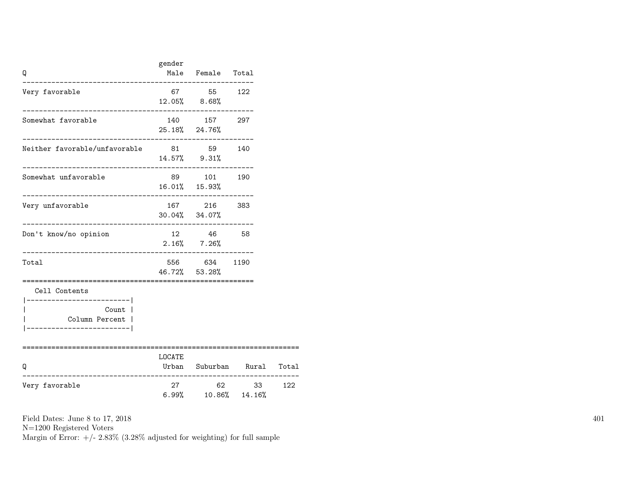| Q                                                                                              | gender | Male Female Total                                  |                            |     |
|------------------------------------------------------------------------------------------------|--------|----------------------------------------------------|----------------------------|-----|
| Very favorable                                                                                 |        | 67 55 122<br>12.05% 8.68%                          |                            |     |
| Somewhat favorable                                                                             |        | 140   157   297<br>25.18% 24.76%                   |                            |     |
| Neither favorable/unfavorable 81 59 140                                                        |        | 14.57% 9.31%                                       |                            |     |
| Somewhat unfavorable                                                                           |        | 89 101 190<br>16.01% 15.93%<br>------------------- |                            |     |
| Very unfavorable<br>---------------------                                                      |        | 167 216 383<br>$30.04\%$ $34.07\%$                 |                            |     |
| Don't know/no opinion<br>___________________________                                           |        | 12 46 58<br>$2.16\%$ 7.26%                         |                            |     |
| Total                                                                                          |        | 556 634 1190<br>46.72% 53.28%                      |                            |     |
| Cell Contents<br>____________________<br>Count  <br>Column Percent  <br>______________________ |        |                                                    |                            |     |
| ======================================<br>Q                                                    | LOCATE |                                                    | Urban Suburban Rural Total |     |
| Very favorable                                                                                 | 27     | $6.99\%$ $10.86\%$ $14.16\%$                       | 62 33                      | 122 |

N=1200 Registered Voters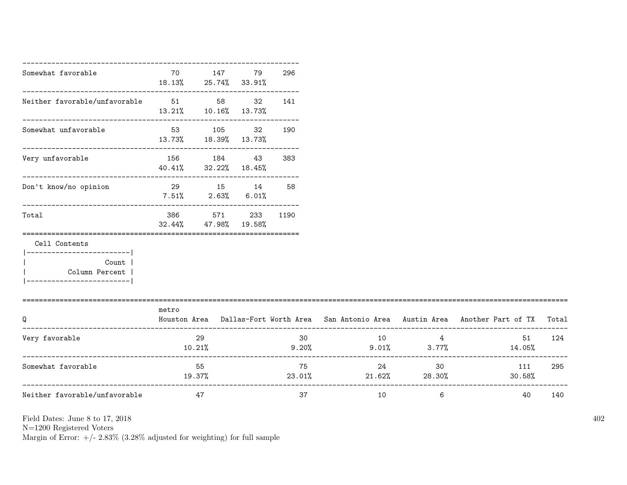| Somewhat favorable                                                                                    | 70<br>18.13% 25.74% 33.91%                                        | 147    | 79                     | 296 |             |                                  |                                                                                     |       |
|-------------------------------------------------------------------------------------------------------|-------------------------------------------------------------------|--------|------------------------|-----|-------------|----------------------------------|-------------------------------------------------------------------------------------|-------|
| Neither favorable/unfavorable 51 58                                                                   | --------------------------------<br>$13.21\%$ $10.16\%$ $13.73\%$ |        | 32                     | 141 |             |                                  |                                                                                     |       |
| Somewhat unfavorable                                                                                  | 13.73%                                                            | 53 105 | 32<br>18.39% 13.73%    | 190 |             |                                  |                                                                                     |       |
| Very unfavorable                                                                                      | 156 184<br>40.41% 32.22% 18.45%                                   |        | 43                     | 383 |             |                                  |                                                                                     |       |
| Don't know/no opinion                                                                                 | 29 15 14<br>$7.51\%$ 2.63%                                        |        | 6.01%                  | 58  |             |                                  |                                                                                     |       |
| Total                                                                                                 | 386<br>$32.44\%$ $47.98\%$                                        |        | 571 233 1190<br>19.58% |     |             |                                  |                                                                                     |       |
| Cell Contents<br>------------------------- <br>Count  <br>Column Percent  <br>----------------------- |                                                                   |        |                        |     |             |                                  |                                                                                     |       |
| Q                                                                                                     | metro                                                             |        |                        |     |             |                                  | Houston Area Dallas-Fort Worth Area San Antonio Area Austin Area Another Part of TX | Total |
| Very favorable                                                                                        | 10.21%                                                            | 29     |                        | 30  | 10<br>9.20% | $\overline{4}$<br>$9.01\%$ 3.77% | 51<br>14.05%                                                                        | 124   |
| Somewhat favorable                                                                                    | 55<br>19.37%                                                      |        |                        | 75  | 23.01%      | 24<br>30<br>$21.62\%$ 28.30%     | 111<br>30.58%                                                                       | 295   |
| Neither favorable/unfavorable                                                                         | 47                                                                |        |                        | 37  | 10          | -6                               | 40                                                                                  | 140   |

N=1200 Registered Voters

Margin of Error:  $+/- 2.83\%$  (3.28% adjusted for weighting) for full sample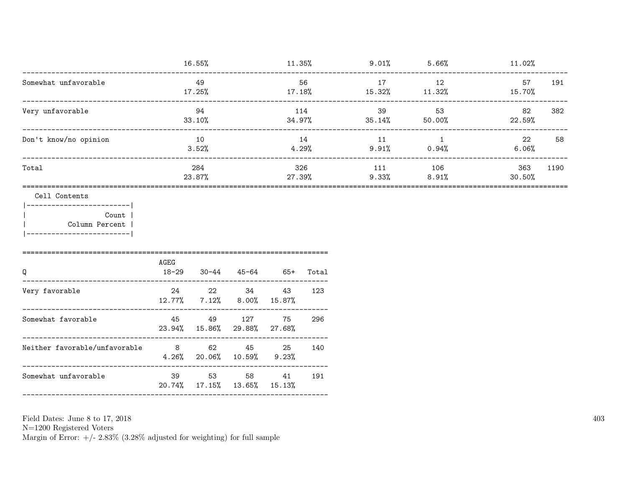|                                                                             | 16.55%                       |               |                                         | $11.35\%$                           |               | $9.01\%$ 5.66% |                           | $11.02\%$      |      |
|-----------------------------------------------------------------------------|------------------------------|---------------|-----------------------------------------|-------------------------------------|---------------|----------------|---------------------------|----------------|------|
| Somewhat unfavorable                                                        |                              | 49<br>17.25%  |                                         | 56<br>$17.18\%$ $15.32\%$ $11.32\%$ |               | 17             | 12                        | 57<br>15.70%   | 191  |
| Very unfavorable                                                            | 94<br>33.10%                 |               |                                         | 114<br>34.97%                       |               | 39             | 53<br>$35.14\%$ 50.00%    | 82<br>22.59%   | 382  |
| Don't know/no opinion                                                       | 10<br>3.52%                  |               |                                         | 14<br>4.29%                         |               |                | 11 1<br>$9.91\%$ 0.94%    | 22<br>$6.06\%$ | 58   |
| Total                                                                       |                              | 284<br>23.87% |                                         |                                     | 326<br>27.39% |                | 111 106<br>$9.33\%$ 8.91% | 363<br>30.50%  | 1190 |
| Cell Contents<br>Count  <br>Column Percent  <br> -------------------------- |                              |               |                                         |                                     |               |                |                           |                |      |
| Q<br>____________________________                                           | AGEG<br>$18 - 29$            |               | 30-44 45-64 65+ Total                   |                                     |               |                |                           |                |      |
| Very favorable                                                              |                              | 12.77% 7.12%  | 24 22 34                                | 43<br>$8.00\%$ 15.87%               | 123           |                |                           |                |      |
| Somewhat favorable                                                          | 45 49                        |               | 127<br>23.94% 15.86% 29.88% 27.68%      | 75                                  | 296           |                |                           |                |      |
| Neither favorable/unfavorable 8 62 45 25<br>------------------------------  | $4.26\%$ 20.06% 10.59% 9.23% |               |                                         |                                     | 140           |                |                           |                |      |
| Somewhat unfavorable                                                        |                              |               | 39 53 58<br>20.74% 17.15% 13.65% 15.13% | 41                                  | 191           |                |                           |                |      |
|                                                                             |                              |               |                                         |                                     |               |                |                           |                |      |

N=1200 Registered Voters<br>Margin of Error:  $+/- 2.83\%$  (3.28% adjusted for weighting) for full sample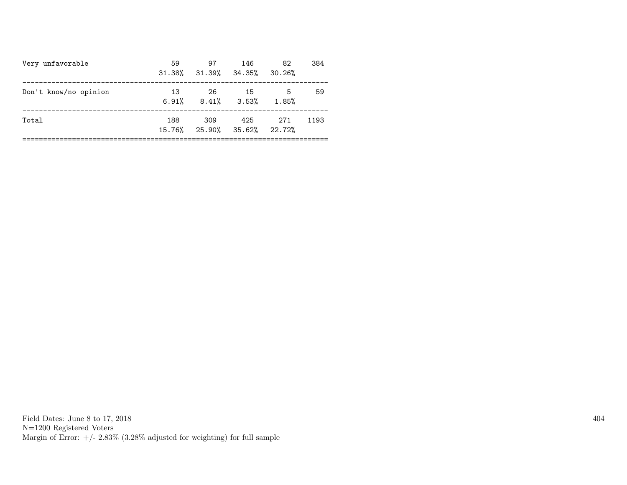| Very unfavorable      | 59          | 97<br>31.38% 31.39% 34.35% 30.26%  | 146  | 82          | 384  |
|-----------------------|-------------|------------------------------------|------|-------------|------|
| Don't know/no opinion | 13<br>6.91% | -26<br>$8.41\%$ $3.53\%$           | - 15 | -5<br>1.85% | 59   |
| Total                 | 188         | 309<br>15.76% 25.90% 35.62% 22.72% | 425  | 271         | 1193 |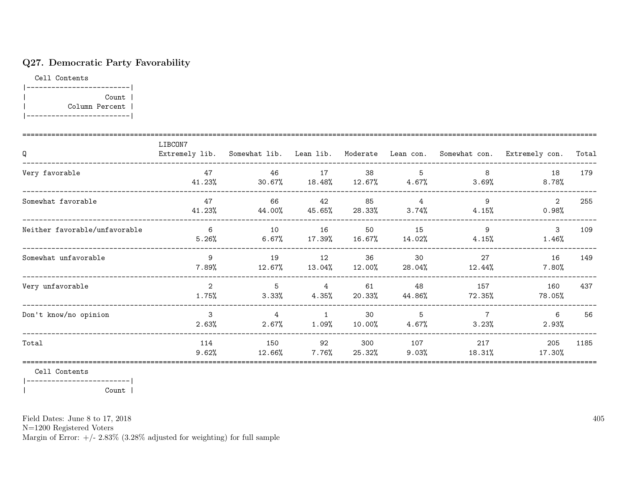# Q27. Democratic Party Favorability

Cell Contents |-------------------------| | Count | | Column Percent | |-------------------------|

| Q                             | LIBCON7                 | Extremely lib. Somewhat lib. Lean lib. |                            |                 |                         |                         | Moderate Lean con. Somewhat con. Extremely con. | Total |
|-------------------------------|-------------------------|----------------------------------------|----------------------------|-----------------|-------------------------|-------------------------|-------------------------------------------------|-------|
| Very favorable                | 47<br>41.23%            | 46<br>30.67%                           | 17<br>$18.48\%$            | 38<br>$12.67\%$ | 5<br>$4.67\%$           | 8<br>3.69%              | 18<br>$8.78\%$                                  | 179   |
| Somewhat favorable            | 47<br>41.23%            | 66<br>44.00%                           | 42<br>45.65%               | 85<br>28.33%    | $\overline{4}$<br>3.74% | 9<br>4.15%              | 2<br>$0.98\%$                                   | 255   |
| Neither favorable/unfavorable | 6<br>5.26%              | 10<br>$6.67\%$                         | 16<br>$17.39\%$            | 50<br>$16.67\%$ | 15<br>14.02%            | 9<br>$4.15\%$           | 3<br>1.46%                                      | 109   |
| Somewhat unfavorable          | 9<br>7.89%              | 19<br>12.67%                           | 12<br>13.04%               | 36<br>12.00%    | 30<br>28.04%            | 27<br>12.44%            | 16<br>$7.80\%$                                  | 149   |
| Very unfavorable              | $\overline{2}$<br>1.75% | 5<br>$3.33\%$                          | 4<br>4.35%                 | 61<br>20.33%    | 48<br>44.86%            | 157<br>72.35%           | 160<br>78.05%                                   | 437   |
| Don't know/no opinion         | 3<br>2.63%              | $\overline{4}$<br>2.67%                | $\overline{1}$<br>$1.09\%$ | 30<br>10.00%    | 5<br>4.67%              | $\overline{7}$<br>3.23% | 6<br>2.93%                                      | 56    |
| Total                         | 114<br>9.62%            | 150<br>12.66%                          | 92<br>7.76%                | 300<br>25.32%   | 107<br>9.03%            | 217<br>18.31%           | 205<br>17.30%                                   | 1185  |

Cell Contents

|-------------------------| | Count |

Field Dates: June 8 to 17, 2018

N=1200 Registered Voters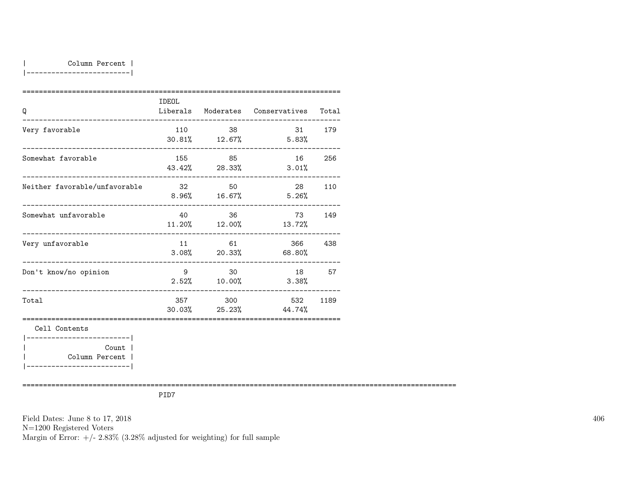| Column Percent |

|-------------------------|

| Q                                                                       | IDEOL |         | Liberals Moderates Conservatives Total |        |
|-------------------------------------------------------------------------|-------|---------|----------------------------------------|--------|
| Very favorable                                                          | 110   | 38      | $30.81\%$ 12.67% 5.83%                 | 31 179 |
| Somewhat favorable                                                      | 155 — | 85      | 16 —<br>43.42% 28.33% 3.01%            | 256    |
| Neither favorable/unfavorable                                           | 32    | 50      | $8.96\%$ 16.67% 5.26%                  | 28 110 |
| Somewhat unfavorable                                                    | 40    | 36      | 73 —<br>11.20% 12.00% 13.72%           | 149    |
| Very unfavorable                                                        |       | 11 61   | 366<br>$3.08\%$ 20.33% 68.80%          | 438    |
| Don't know/no opinion                                                   |       | 9 30    | 18<br>$2.52\%$ 10.00% 3.38%            | 57     |
| Total                                                                   |       | 357 300 | 532<br>$30.03\%$ 25.23% 44.74%         | 1189   |
| Cell Contents<br>------------------------ <br>Count  <br>Column Percent |       |         |                                        |        |

|-------------------------|

=========================================================================================================

PID7

Field Dates: June 8 to 17, 2018 N=1200 Registered Voters Margin of Error:  $+/- 2.83\%$  (3.28% adjusted for weighting) for full sample 406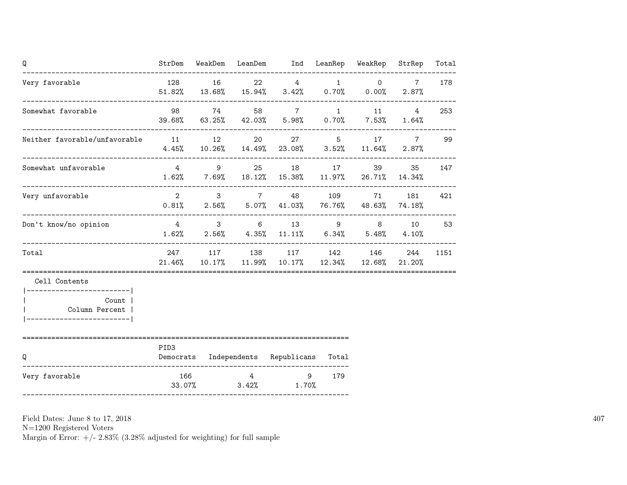| Q                                                     |               |                     | StrDem WeakDem LeanDem Ind LeanRep WeakRep StrRep                                                                |                    |                          | Total |
|-------------------------------------------------------|---------------|---------------------|------------------------------------------------------------------------------------------------------------------|--------------------|--------------------------|-------|
| Very favorable                                        |               | 128 16              | $22 \qquad \qquad 4 \qquad \qquad 1 \qquad \qquad 0$<br>$51.82\%$ $13.68\%$ $15.94\%$ $3.42\%$ $0.70\%$ $0.00\%$ |                    | $7\overline{ }$<br>2.87% | 178   |
| Somewhat favorable                                    |               |                     | 98 74 58 7 1 11<br>39.68% 63.25% 42.03% 5.98% 0.70% 7.53% 1.64%                                                  |                    | $4 \quad$                | 253   |
| Neither favorable/unfavorable 11 12                   |               |                     | 20 27 5 17<br>$4.45\%$ $10.26\%$ $14.49\%$ $23.08\%$ $3.52\%$ $11.64\%$ $2.87\%$                                 |                    |                          | 7 99  |
| Somewhat unfavorable                                  |               | $4 \qquad \qquad 9$ | 25 18 17 39<br>$1.62\%$ 7.69% 18.12% 15.38% 11.97% 26.71% 14.34%                                                 |                    | 35                       | 147   |
| Very unfavorable                                      |               |                     | 2 3 7 48 109 71<br>$0.81\%$ 2.56% 5.07% 41.03% 76.76% 48.63% 74.18%                                              |                    | 181                      | 421   |
| Don't know/no opinion                                 |               |                     | 4 3 6 13 9 8 10<br>$1.62\%$ $2.56\%$ $4.35\%$ $11.11\%$ $6.34\%$ $5.48\%$ $4.10\%$                               |                    |                          | 53    |
| Total                                                 |               |                     | 247 117 138 117 142 146 244<br>$21.46\%$ $10.17\%$ $11.99\%$ $10.17\%$ $12.34\%$ $12.68\%$ $21.20\%$             |                    |                          | 1151  |
| Cell Contents                                         |               |                     |                                                                                                                  |                    |                          |       |
| Count  <br>Column Percent<br>------------------------ |               |                     |                                                                                                                  |                    |                          |       |
| Q                                                     | PID3          |                     | Democrats Independents Republicans Total                                                                         |                    |                          |       |
| Very favorable                                        | 166<br>33.07% |                     | $4\overline{ }$<br>$3.42\%$ $1.70\%$                                                                             | 179<br>$9^{\circ}$ |                          |       |

N=1200 Registered Voters

Margin of Error:  $+/- 2.83\%$  (3.28% adjusted for weighting) for full sample

407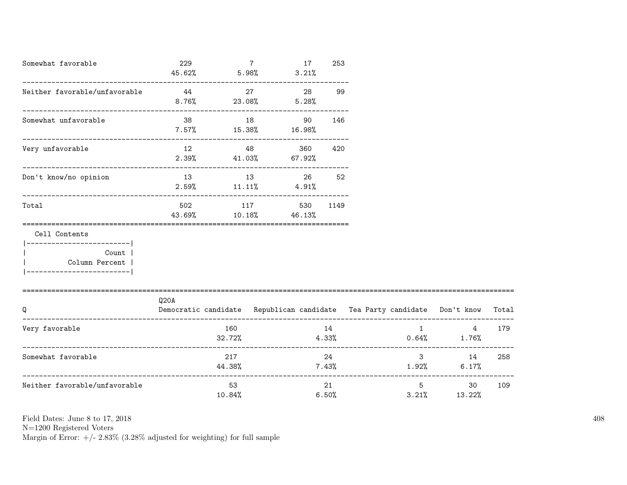| Somewhat favorable                                                                                  | 229<br>45.62%                |              | $7^{\circ}$<br>5.98%                     | 17<br>3.21% | 253 |                                                                          |                                         |       |
|-----------------------------------------------------------------------------------------------------|------------------------------|--------------|------------------------------------------|-------------|-----|--------------------------------------------------------------------------|-----------------------------------------|-------|
| Neither favorable/unfavorable                                                                       | 44<br>$8.76\%$               |              | 27<br>$23.08\%$ 5.28%                    | 28          | 99  |                                                                          |                                         |       |
| Somewhat unfavorable                                                                                | 38<br>$7.57\%$ 15.38% 16.98% | 18           | 90                                       |             | 146 |                                                                          |                                         |       |
| Very unfavorable                                                                                    | 12                           | 48           | $2.39\%$ 41.03% 67.92%                   | 360 —       | 420 |                                                                          |                                         |       |
| Don't know/no opinion                                                                               |                              |              | 13 13 26<br>$2.59\%$ 11.11% 4.91%        |             | 52  |                                                                          |                                         |       |
| Total<br>____________________________________                                                       |                              |              | 502 117 530 1149<br>43.69% 10.18% 46.13% |             |     |                                                                          |                                         |       |
| Cell Contents<br>---------------------- <br>Count<br>  Column Percent<br>__________________________ |                              |              |                                          |             |     |                                                                          |                                         |       |
| Q                                                                                                   | Q20A                         |              |                                          |             |     | Democratic candidate Republican candidate Tea Party candidate Don't know |                                         | Total |
| Very favorable                                                                                      |                              | 160          |                                          |             | 14  | $32.72\%$ $4.33\%$ $0.64\%$ $1.76\%$                                     | $1 \quad \cdots \quad \cdots$           | 4 179 |
| Somewhat favorable                                                                                  |                              | 217          |                                          |             | 24  | $44.38\%$ $7.43\%$ $1.92\%$ $6.17\%$                                     | $3 \quad \text{or} \quad$<br>14         | 258   |
| Neither favorable/unfavorable                                                                       |                              | 53<br>10.84% |                                          | 6.50%       | 21  |                                                                          | $5^{\circ}$<br>30<br>$3.21\%$ $13.22\%$ | 109   |

N=1200 Registered Voters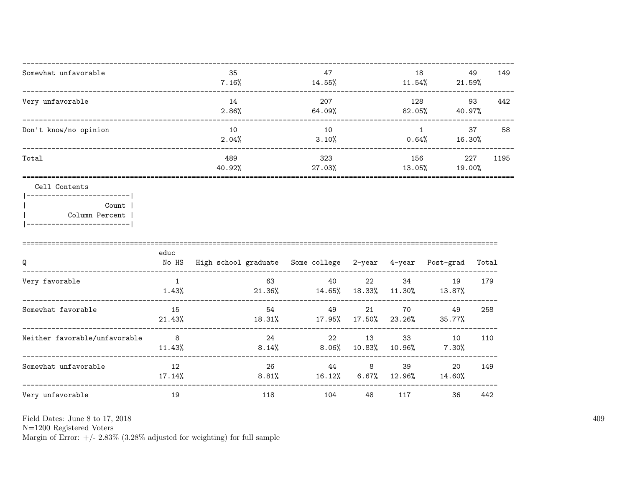| 35<br>7.16% | 47<br>14.55%  | 18<br>11.54%  | 49<br>21.59%               | 149  |
|-------------|---------------|---------------|----------------------------|------|
| 14<br>2.86% | 207<br>64.09% | 128<br>82.05% | 93<br>40.97%               | 442  |
| 10<br>2.04% | 10<br>3.10%   | 0.64%         | 37<br>16.30%               | 58   |
| 489         | 323           | 156           | 227<br>19.00%              | 1195 |
|             |               |               | 40.92%<br>27.03%<br>13.05% |      |

|  |  |  | Contents |  |  |  |  |  |
|--|--|--|----------|--|--|--|--|--|
|  |  |  |          |  |  |  |  |  |

| Count 1        |  |
|----------------|--|
| Column Percent |  |

|  | ----------------------- |  |  |  |  |  |
|--|-------------------------|--|--|--|--|--|
|  |                         |  |  |  |  |  |

| Q                             | educ<br>No HS   | High school graduate Some college 2-year 4-year |                 |               |              | Post-grad      | Total |
|-------------------------------|-----------------|-------------------------------------------------|-----------------|---------------|--------------|----------------|-------|
| Very favorable                | 1.43%           | 63<br>21.36%                                    | 40<br>14.65%    | 22<br>18.33%  | 34<br>11.30% | 19<br>13.87%   | 179   |
| Somewhat favorable            | 15<br>21.43%    | 54<br>18.31%                                    | 49<br>17.95%    | 21<br>17.50%  | 70<br>23.26% | 49<br>35.77%   | 258   |
| Neither favorable/unfavorable | 8<br>11.43%     | 24<br>8.14%                                     | 22<br>$8.06\%$  | 13<br>10.83%  | 33<br>10.96% | 10<br>$7.30\%$ | 110   |
| Somewhat unfavorable          | 12<br>$17.14\%$ | 26<br>$8.81\%$                                  | 44<br>$16.12\%$ | 8<br>$6.67\%$ | 39<br>12.96% | 20<br>14.60%   | 149   |
| Very unfavorable              | 19              | 118                                             | 104             | 48            | 117          | 36             | 442   |

 ${\rm N}{=}1200$  Registered Voters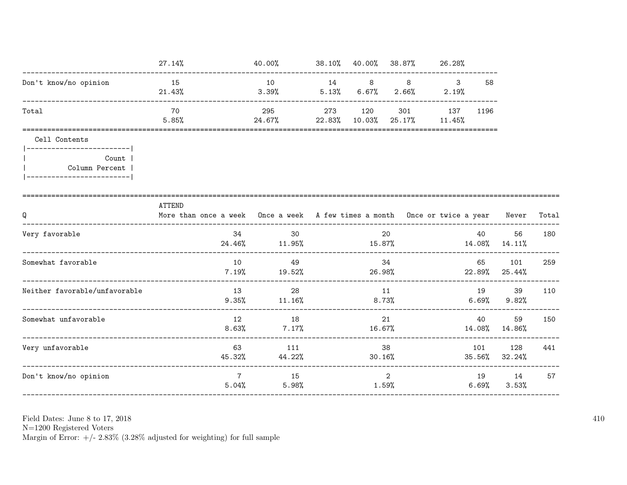|                                                          | $27.14\%$                                                                                         | 40.00%          |     |                         |     | 38.10% 40.00% 38.87% 26.28%    |               |                           |       |
|----------------------------------------------------------|---------------------------------------------------------------------------------------------------|-----------------|-----|-------------------------|-----|--------------------------------|---------------|---------------------------|-------|
| Don't know/no opinion                                    | 15<br>21.43%                                                                                      | 10<br>3.39%     |     | 14 8<br>$5.13\%$ 6.67%  | 8   | $\mathbf{3}$<br>$2.66\%$ 2.19% | 58            |                           |       |
| Total                                                    | 70<br>5.85%                                                                                       | 295<br>24.67%   | 273 | 120<br>$22.83\%$ 10.03% | 301 | 137<br>25.17% 11.45%           | 1196          |                           |       |
| Cell Contents<br>-------------------------               |                                                                                                   |                 |     |                         |     |                                |               |                           |       |
| Count  <br>Column Percent  <br>------------------------- |                                                                                                   |                 |     |                         |     |                                |               |                           |       |
| Q                                                        | <b>ATTEND</b><br>More than once a week Once a week A few times a month Once or twice a year Never |                 |     |                         |     |                                |               |                           | Total |
| Very favorable                                           | 34<br>24.46%                                                                                      | 30<br>11.95%    |     | 15.87%                  | 20  |                                | 40            | 56<br>$14.08\%$ $14.11\%$ | 180   |
| Somewhat favorable                                       | 10<br>7.19%<br>------------------------------                                                     | 49<br>19.52%    |     |                         | 34  | $26.98\%$ 22.89% 25.44%        | 65 — 1        | 101                       | 259   |
| Neither favorable/unfavorable                            | 13<br>9.35%                                                                                       | 28<br>$11.16\%$ |     | 11<br>8.73%             |     |                                | 19<br>6.69%   | 39<br>9.82%               | 110   |
| Somewhat unfavorable                                     | 12<br>8.63%                                                                                       | 18<br>7.17%     |     | 16.67%                  | 21  |                                | 40            | 59<br>14.08% 14.86%       | 150   |
| Very unfavorable                                         | 63<br>45.32%                                                                                      | 111<br>44.22%   |     | 30.16%                  | 38  |                                | 101<br>35.56% | 128<br>32.24%             | 441   |
| Don't know/no opinion                                    | $\overline{7}$<br>5.04%                                                                           | 15<br>$5.98\%$  |     | 1.59%                   | 2   |                                | $6.69\%$      | 19 14<br>3.53%            | 57    |

Field Dates: June 8 to 17,  $2018\,$ 

N=1200 Registered Voters<br>Margin of Error:  $+/- 2.83\%$  (3.28% adjusted for weighting) for full sample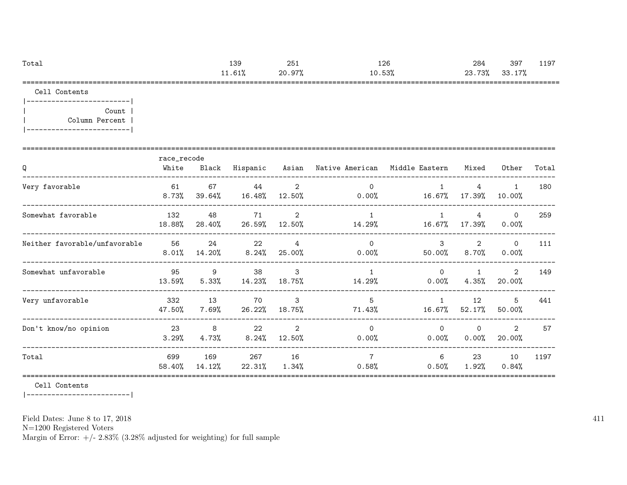| Total | 139   | 251    | 126    | 284         | 397          | 1197<br>ᅩᅩ |
|-------|-------|--------|--------|-------------|--------------|------------|
|       | 1.61% | 20.97% | 10.53% | 73%<br>23.7 | 33.17%<br>ろろ |            |
|       |       |        |        |             |              |            |

Cell Contents

|-------------------------| | Count | | Column Percent | |-------------------------|

| Q                             | race_recode<br>White | Black         | Hispanic       |                          | Asian – Native American – Middle Eastern |                           | Mixed                    | Other                    | Total |
|-------------------------------|----------------------|---------------|----------------|--------------------------|------------------------------------------|---------------------------|--------------------------|--------------------------|-------|
| Very favorable                | 61<br>$8.73\%$       | 67<br>39.64%  | 44<br>16.48%   | 2<br>12.50%              | $\Omega$<br>$0.00\%$                     | 16.67%                    | 4<br>17.39%              | $\mathbf{1}$<br>10.00%   | 180   |
| Somewhat favorable            | 132<br>18.88%        | 48<br>28.40%  | 71<br>26.59%   | 2<br>12.50%              | $\overline{1}$<br>14.29%                 | 1<br>16.67%               | 4<br>17.39%              | $\circ$<br>$0.00\%$      | 259   |
| Neither favorable/unfavorable | 56<br>8.01%          | 24<br>14.20%  | 22<br>8.24%    | $\overline{4}$<br>25.00% | $\Omega$<br>$0.00\%$                     | $\mathcal{S}$<br>50.00%   | 2<br>8.70%               | $\Omega$<br>0.00%        | 111   |
| Somewhat unfavorable          | 95<br>13.59%         | 9<br>5.33%    | 38<br>14.23%   | 3<br>18.75%              | $\overline{1}$<br>14.29%                 | $\Omega$<br>$0.00\%$      | $\mathbf{1}$<br>$4.35\%$ | 2<br>20.00%              | 149   |
| Very unfavorable              | 332<br>47.50%        | 13<br>7.69%   | 70<br>26.22%   | 3<br>18.75%              | 5<br>71.43%                              | $\mathbf{1}$<br>$16.67\%$ | 12<br>$52.17\%$          | 5<br>50.00%              | 441   |
| Don't know/no opinion         | 23<br>3.29%          | 8<br>4.73%    | 22<br>$8.24\%$ | $\overline{2}$<br>12.50% | $\Omega$<br>$0.00\%$                     | $\Omega$<br>$0.00\%$      | $\Omega$<br>0.00%        | $\overline{2}$<br>20.00% | 57    |
| Total                         | 699<br>58.40%        | 169<br>14.12% | 267<br>22.31%  | 16<br>$1.34\%$           | $\overline{7}$<br>0.58%                  | 6<br>0.50%                | 23<br>1.92%              | 10<br>0.84%              | 1197  |

Cell Contents

|-------------------------|

Field Dates: June 8 to 17, 2018

N=1200 Registered Voters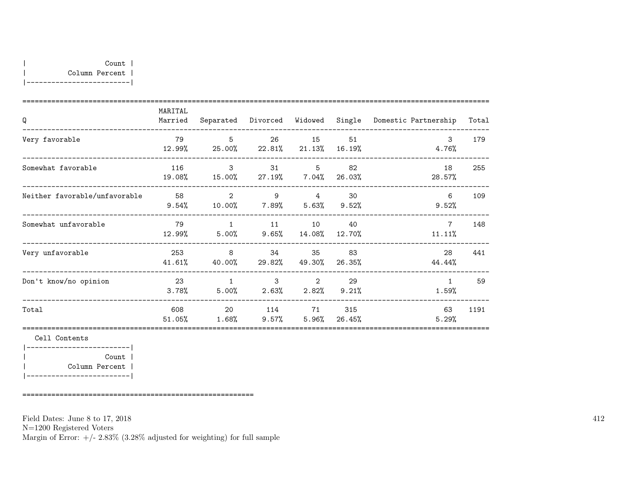|-------------------------|

| Q                             | MARITAL<br>Married | Separated                                               | Divorced                                              | Widowed                     | Single          | Domestic Partnership      | Total |
|-------------------------------|--------------------|---------------------------------------------------------|-------------------------------------------------------|-----------------------------|-----------------|---------------------------|-------|
| Very favorable                | 79<br>12.99%       | $5^{\circ}$<br>25.00%                                   | 26<br>22.81%                                          | 15<br>$21.13\%$             | 51<br>$16.19\%$ | $\mathcal{S}$<br>4.76%    | 179   |
| Somewhat favorable            | 116<br>19.08%      | $\mathbf{R}$<br>15.00%                                  | 31                                                    | $5^{\circ}$<br>27.19% 7.04% | 82<br>26.03%    | 18<br>28.57%              | 255   |
| Neither favorable/unfavorable | 58<br>9.54%        | 2<br>$10.00\%$ 7.89% 5.63% 9.52%                        | $9 \t 4$                                              |                             | 30              | 6<br>9.52%                | 109   |
| Somewhat unfavorable          | 79                 | $\overline{1}$<br>$12.99\%$ $5.00\%$ $9.65\%$ $14.08\%$ |                                                       | 11 10                       | 40<br>12.70%    | $7\overline{ }$<br>11.11% | 148   |
| Very unfavorable              | 253<br>41.61%      | $\overline{\phantom{0}}$ 8<br>40.00%                    |                                                       | 34<br>35<br>29.82%  49.30%  | 83<br>26.35%    | 28<br>44.44%              | 441   |
| Don't know/no opinion         | 23<br>3.78%        | 1<br>5.00%                                              | $\overline{\mathbf{3}}$<br>$2.63\%$ $2.82\%$ $9.21\%$ | $\overline{\phantom{a}}$ 2  | 29              | $\mathbf{1}$<br>1.59%     | 59    |
| Total                         | 608<br>51.05%      | 20<br>$1.68\%$                                          | 114<br>$9.57\%$                                       | 71<br>$5.96\%$              | 315<br>26.45%   | 63<br>5.29%               | 1191  |
| Cell Contents                 |                    |                                                         |                                                       |                             |                 |                           |       |
| Count                         |                    |                                                         |                                                       |                             |                 |                           |       |

| Column Percent | |-------------------------|

========================================================

Field Dates: June 8 to 17, 2018

N=1200 Registered Voters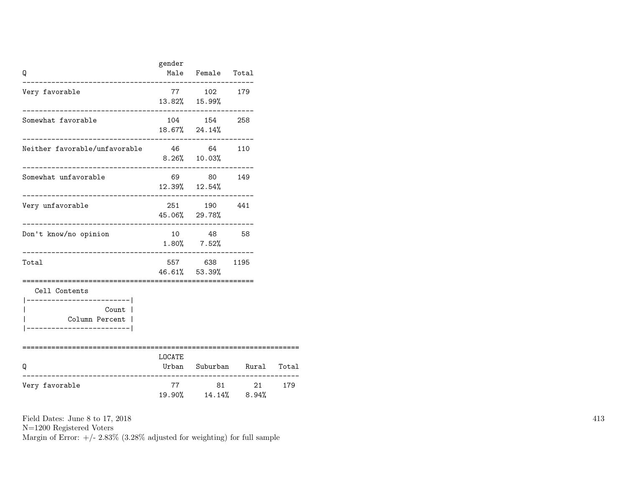| Q                                                                                              | gender                   | Male Female Total                               |                      |       |
|------------------------------------------------------------------------------------------------|--------------------------|-------------------------------------------------|----------------------|-------|
| Very favorable                                                                                 |                          | 77 102 179<br>13.82% 15.99%                     |                      |       |
| Somewhat favorable                                                                             |                          | 104 154 258<br>18.67% 24.14%                    |                      |       |
| Neither favorable/unfavorable                                                                  |                          | 46 64 110<br>$8.26\%$ 10.03%                    |                      |       |
| Somewhat unfavorable                                                                           |                          | 69 80 149<br>12.39% 12.54%<br>----------------- |                      |       |
| Very unfavorable                                                                               |                          | 251 190 441<br>45.06% 29.78%                    |                      |       |
| Don't know/no opinion<br>_________________________________                                     |                          | 10 48 58<br>$1.80\%$ 7.52%                      |                      |       |
| Total                                                                                          |                          | 557 638 1195<br>46.61% 53.39%                   |                      |       |
| Cell Contents<br>------------------- <br>Count  <br>Column Percent  <br>______________________ |                          |                                                 |                      |       |
| Q                                                                                              | ==============<br>LOCATE |                                                 | Urban Suburban Rural | Total |
| Very favorable                                                                                 | 77                       | -----------------------<br>19.90% 14.14% 8.94%  | 81 21 179            |       |

N=1200 Registered Voters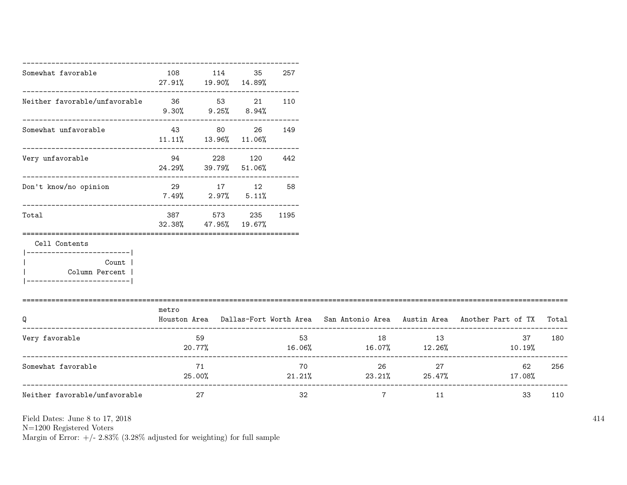| Somewhat favorable                                                                         | 108                           | 114<br>27.91% 19.90% 14.89%                                 | 35      | 257      |                |                   |                                                                                           |     |
|--------------------------------------------------------------------------------------------|-------------------------------|-------------------------------------------------------------|---------|----------|----------------|-------------------|-------------------------------------------------------------------------------------------|-----|
| Neither favorable/unfavorable 36 53 21                                                     |                               | -----------------------------<br>$9.30\%$ $9.25\%$ $8.94\%$ |         | 110      |                |                   |                                                                                           |     |
| Somewhat unfavorable                                                                       | $11.11\%$ $13.96\%$ $11.06\%$ | 43 80                                                       | 26      | 149      |                |                   |                                                                                           |     |
| Very unfavorable                                                                           | 94 — 100                      | 24.29% 39.79% 51.06%                                        | 228 120 | 442      |                |                   |                                                                                           |     |
| Don't know/no opinion                                                                      | 29 17 12                      | $7.49\%$ 2.97% 5.11%                                        |         | 58       |                |                   |                                                                                           |     |
| Total                                                                                      | 387<br>32.38%                 | 573<br>47.95% 19.67%                                        |         | 235 1195 |                |                   |                                                                                           |     |
| Cell Contents<br>-------------------<br>Count<br>Column Percent<br>----------------------- |                               |                                                             |         |          |                |                   |                                                                                           |     |
| Q                                                                                          | metro                         |                                                             |         |          |                |                   | Houston Area Dallas-Fort Worth Area San Antonio Area Austin Area Another Part of TX Total |     |
| Very favorable                                                                             | 20.77%                        | 59                                                          |         | 53       |                | 18 13             | 37<br>$16.06\%$ $16.07\%$ $12.26\%$ $10.19\%$                                             | 180 |
| Somewhat favorable                                                                         |                               | 71<br>25.00%                                                |         | 70       |                | $26 \quad \sigma$ | 27 — 27<br>62<br>$21.21\%$ $23.21\%$ $25.47\%$ $17.08\%$                                  | 256 |
| Neither favorable/unfavorable                                                              |                               | 27                                                          |         | 32       | $\overline{7}$ | 11                | 33                                                                                        | 110 |

N=1200 Registered Voters

Margin of Error:  $+/- 2.83\%$  (3.28% adjusted for weighting) for full sample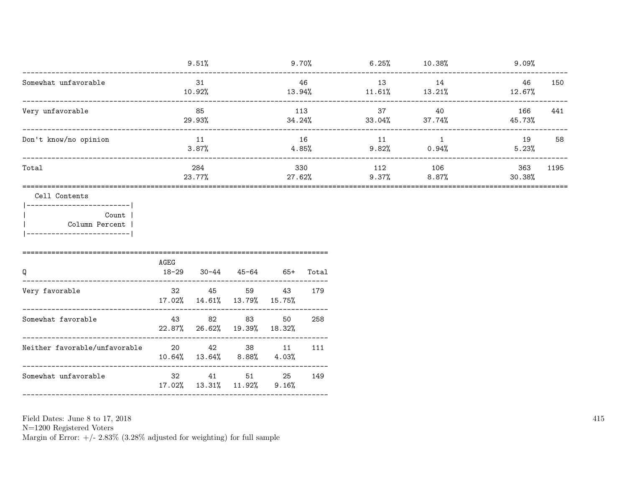| --------------------------------------                                                             |               | 9.51%         |                                               |                |                                     |     | $9.70\%$ 6.25% 10.38%           | 9.09%         |      |
|----------------------------------------------------------------------------------------------------|---------------|---------------|-----------------------------------------------|----------------|-------------------------------------|-----|---------------------------------|---------------|------|
| Somewhat unfavorable                                                                               | 31<br>10.92%  |               | 46                                            |                | 13<br>$13.94\%$ $11.61\%$ $13.21\%$ | 14  | 46<br>$12.67\%$                 | 150           |      |
| Very unfavorable<br>--------------------------------                                               | 85<br>29.93%  |               |                                               | 113            | 34.24%                              | 37  | 40<br>$33.04\%$ $37.74\%$       | 166<br>45.73% | 441  |
| Don't know/no opinion                                                                              | 11<br>3.87%   |               |                                               | 16<br>$4.85\%$ |                                     | 11  | $\overline{1}$<br>$9.82%$ 0.94% | 19<br>5.23%   | 58   |
| Total                                                                                              |               | 284<br>23.77% |                                               |                | 330<br>27.62%                       | 112 | 106<br>$9.37\%$ 8.87%           | 363<br>30.38% | 1195 |
| Cell Contents<br>__________________ <br>Count  <br>Column Percent  <br> -------------------------- |               |               |                                               |                |                                     |     |                                 |               |      |
| Q<br>------------------------                                                                      | AGEG<br>18-29 |               | 30-44 45-64 65+ Total                         |                |                                     |     |                                 |               |      |
| Very favorable                                                                                     |               |               | 32 45 59<br>17.02%  14.61%  13.79%  15.75%    | 43             | 179                                 |     |                                 |               |      |
| Somewhat favorable                                                                                 | 43 82         |               | 83 83<br>22.87% 26.62% 19.39% 18.32%          | 50             | 258                                 |     |                                 |               |      |
| Neither favorable/unfavorable<br>20<br>42<br>38<br>11                                              |               |               | $10.64\%$ $13.64\%$ $8.88\%$ $4.03\%$         |                | 111                                 |     |                                 |               |      |
| Somewhat unfavorable                                                                               |               |               | 32 41 51 25 149<br>17.02% 13.31% 11.92% 9.16% |                |                                     |     |                                 |               |      |
|                                                                                                    |               |               |                                               |                |                                     |     |                                 |               |      |

N=1200 Registered Voters<br>Margin of Error:  $+/- 2.83\%$  (3.28% adjusted for weighting) for full sample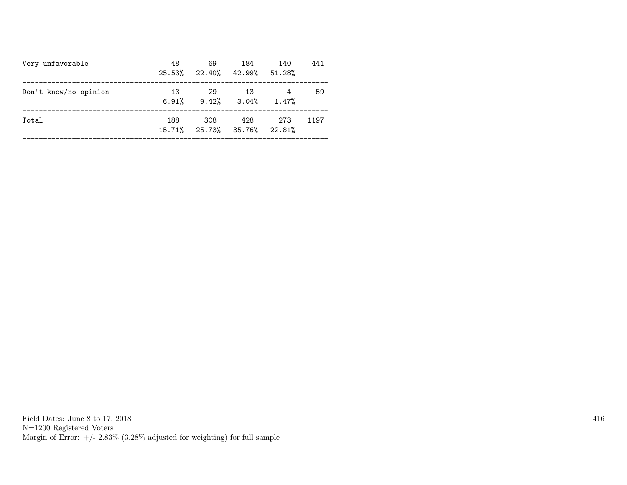| Very unfavorable      | 48<br>25.53% | 69<br>22.40% 42.99% 51.28%         | 184 | 140   | 441  |
|-----------------------|--------------|------------------------------------|-----|-------|------|
| Don't know/no opinion | 13<br>6.91%  | -29<br>$9.42\%$ $3.04\%$ $1.47\%$  | -13 | 4     | 59   |
| Total                 | 188          | 308<br>15.71% 25.73% 35.76% 22.81% | 428 | - 273 | 1197 |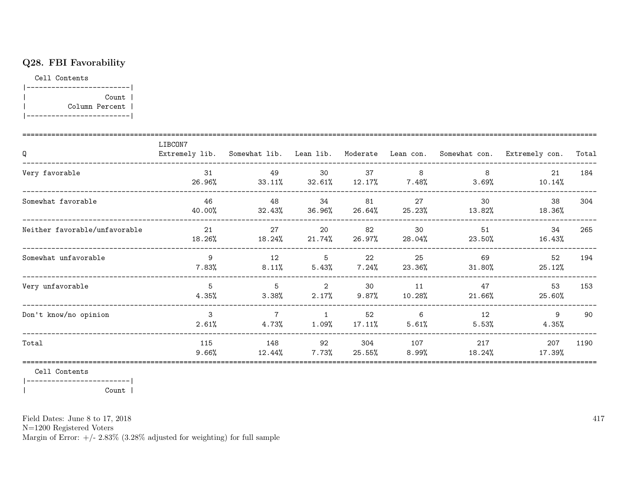### Q28. FBI Favorability

Cell Contents

|-------------------------| | Count | | Column Percent | |-------------------------|

| Q                             | LIBCON7<br>Extremely lib. Somewhat lib. Lean lib. |                            |                            |                 |              |                 | Moderate Lean con. Somewhat con. Extremely con. | Total |
|-------------------------------|---------------------------------------------------|----------------------------|----------------------------|-----------------|--------------|-----------------|-------------------------------------------------|-------|
| Very favorable                | 31<br>26.96%                                      | 49<br>33.11%               | 30<br>$32.61\%$            | 37<br>12.17%    | 8<br>7.48%   | 8<br>3.69%      | 21<br>10.14%                                    | 184   |
| Somewhat favorable            | 46<br>40.00%                                      | 48<br>32.43%               | 34<br>36.96%               | 81<br>26.64%    | 27<br>25.23% | 30<br>13.82%    | 38<br>18.36%                                    | 304   |
| Neither favorable/unfavorable | 21<br>18.26%                                      | 27<br>18.24%               | 20<br>$21.74\%$            | 82<br>26.97%    | 30<br>28.04% | 51<br>23.50%    | 34<br>16.43%                                    | 265   |
| Somewhat unfavorable          | 9<br>7.83%                                        | 12<br>$8.11\%$             | - 5<br>5.43%               | 22<br>$7.24\%$  | 25<br>23.36% | 69<br>31.80%    | 52<br>25.12%                                    | 194   |
| Very unfavorable              | 5<br>4.35%                                        | 5<br>$3.38\%$              | $\overline{2}$<br>$2.17\%$ | 30<br>9.87%     | 11<br>10.28% | 47<br>$21.66\%$ | 53<br>25.60%                                    | 153   |
| Don't know/no opinion         | 3<br>2.61%                                        | $\overline{7}$<br>$4.73\%$ | $\overline{1}$<br>$1.09\%$ | 52<br>$17.11\%$ | 6<br>5.61%   | 12<br>5.53%     | 9<br>4.35%                                      | 90    |
| Total                         | 115<br>9.66%                                      | 148<br>12.44%              | 92<br>$7.73\%$             | 304<br>25.55%   | 107<br>8.99% | 217<br>18.24%   | 207<br>17.39%                                   | 1190  |

Cell Contents

|-------------------------|

| Count |

Field Dates: June 8 to 17, 2018

N=1200 Registered Voters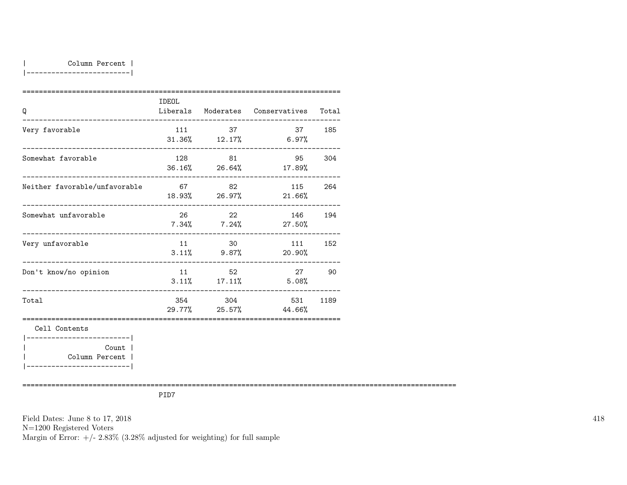|-------------------------|

| Q                                                                       | IDEOL                 |         | Liberals Moderates Conservatives Total |      |
|-------------------------------------------------------------------------|-----------------------|---------|----------------------------------------|------|
| Very favorable                                                          | 111                   | 37      | 37 185<br>$31.36\%$ $12.17\%$ 6.97%    |      |
| Somewhat favorable                                                      | 128                   | 81      | 95 304<br>36.16% 26.64% 17.89%         |      |
| Neither favorable/unfavorable<br>_______________ <b>_______________</b> | 67                    | 82      | 115<br>18.93% 26.97% 21.66%            | 264  |
| Somewhat unfavorable                                                    | 26                    | 22      | 146<br>$7.34\%$ $7.24\%$ 27.50%        | 194  |
| Very unfavorable                                                        | --------------------- | 11 30   | 111<br>$3.11\%$ 9.87% 20.90%           | 152  |
| Don't know/no opinion<br>__________________________                     |                       | 11 52   | 27<br>$3.11\%$ 17.11% 5.08%            | 90   |
| Total                                                                   |                       | 354 304 | 531<br>$29.77\%$ 25.57% 44.66%         | 1189 |
| Cell Contents<br>------------------------                               |                       |         |                                        |      |
| Count                                                                   |                       |         |                                        |      |
| Column Percent                                                          |                       |         |                                        |      |

|-------------------------|

=========================================================================================================

PID7

Field Dates: June 8 to 17, 2018 N=1200 Registered Voters Margin of Error:  $+/- 2.83\%$  (3.28% adjusted for weighting) for full sample 418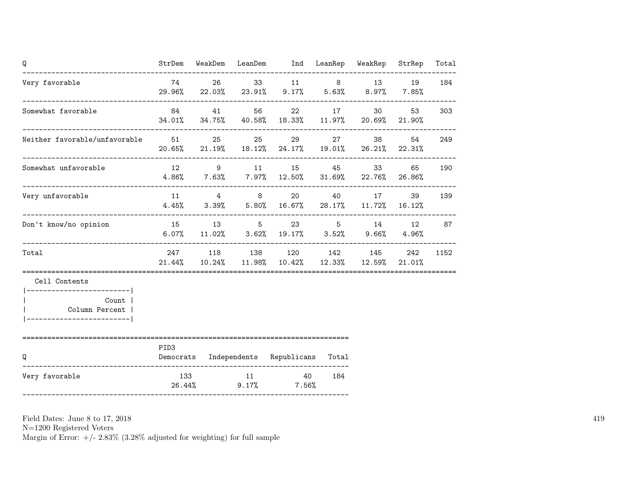| Q                                                   |        |       | StrDem WeakDem LeanDem Ind LeanRep WeakRep StrRep                                      |     |                 |          | Total |
|-----------------------------------------------------|--------|-------|----------------------------------------------------------------------------------------|-----|-----------------|----------|-------|
| Very favorable                                      |        |       | 74 26 33 11 8 13 19<br>$29.96\%$ 22.03% 23.91% 9.17% 5.63% 8.97%                       |     |                 | $7.85\%$ | 184   |
| Somewhat favorable                                  |        | 84 41 | 56 22<br>34.01% 34.75% 40.58% 18.33% 11.97% 20.69% 21.90%                              |     | 30 <sub>2</sub> | 53       | 303   |
| Neither favorable/unfavorable 51 51 25              |        |       | 25 29<br>$20.65\%$ 21.19% 18.12% 24.17% 19.01% 26.21% 22.31%                           |     | 27 38           | 54       | 249   |
| Somewhat unfavorable                                |        |       | 12 9 11 15 45 33<br>$4.86\%$ 7.63% 7.97% 12.50% 31.69% 22.76% 26.86%                   |     |                 | 65 —     | 190   |
| Very unfavorable                                    |        |       | 11 4 8 20 40 17<br>$4.45\%$ $3.39\%$ $5.80\%$ $16.67\%$ $28.17\%$ $11.72\%$ $16.12\%$  |     |                 | 39       | 139   |
| Don't know/no opinion                               |        |       | 15 13 5 23 5 14 12<br>$6.07\%$ $11.02\%$ $3.62\%$ $19.17\%$ $3.52\%$ $9.66\%$ $4.96\%$ |     |                 |          | 87    |
| Total                                               |        |       | 247 118 138 120 142 145 242<br>21.44% 10.24% 11.98% 10.42% 12.33% 12.59% 21.01%        |     |                 |          | 1152  |
| Cell Contents                                       |        |       |                                                                                        |     |                 |          |       |
| Count  <br>Column Percent<br>______________________ |        |       |                                                                                        |     |                 |          |       |
| Q                                                   | PID3   |       | Democrats Independents Republicans Total                                               |     |                 |          |       |
| Very favorable                                      | 26.44% |       | 133 11 40<br>$9.17\%$ 7.56%                                                            | 184 |                 |          |       |

N=1200 Registered Voters

Margin of Error:  $+/- 2.83\%$  (3.28% adjusted for weighting) for full sample

419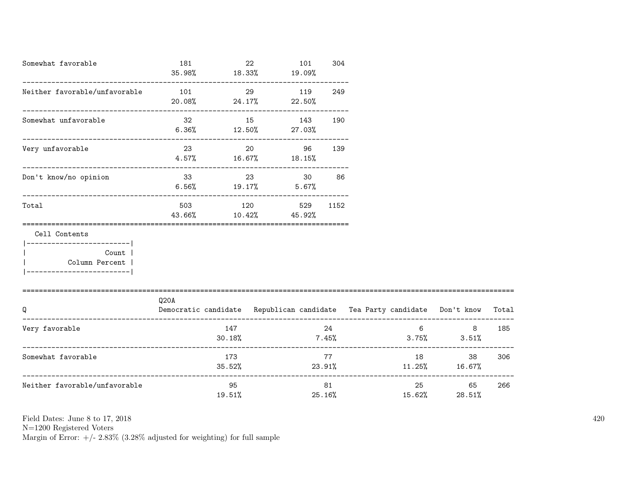| Somewhat favorable                                                                               | 181<br>35.98% | 22              | 101<br>$18.33\%$ $19.09\%$               | 304            |                                                                          |                               |       |
|--------------------------------------------------------------------------------------------------|---------------|-----------------|------------------------------------------|----------------|--------------------------------------------------------------------------|-------------------------------|-------|
| Neither favorable/unfavorable                                                                    | 101<br>20.08% | 29<br>24.17%    | 119<br>$22.50\%$                         | 249            |                                                                          |                               |       |
| Somewhat unfavorable                                                                             | 32            | 15              | 143<br>$6.36\%$ $12.50\%$ $27.03\%$      | 190            |                                                                          |                               |       |
| Very unfavorable                                                                                 | 23            |                 | 20<br>96<br>$4.57\%$ 16.67% 18.15%       | 139            |                                                                          |                               |       |
| Don't know/no opinion                                                                            |               | $6.56\%$ 19.17% | 33 23 30<br>$5.67\%$                     | 86             |                                                                          |                               |       |
| Total                                                                                            |               |                 | 503 120 529 1152<br>43.66% 10.42% 45.92% |                |                                                                          |                               |       |
| Cell Contents<br>------------------- <br>Count<br>  Column Percent<br>__________________________ |               |                 |                                          |                |                                                                          |                               |       |
| Q                                                                                                | Q20A          |                 |                                          |                | Democratic candidate Republican candidate Tea Party candidate Don't know |                               | Total |
| Very favorable                                                                                   |               | 147<br>30.18%   |                                          | 24             | $7.45\%$ 3.75% 3.51%                                                     | $6 \qquad \qquad$<br>8        | 185   |
| Somewhat favorable                                                                               |               | 173             |                                          | 77             | $35.52\%$ 23.91% $11.25\%$ 16.67%                                        | 38                            | 306   |
| Neither favorable/unfavorable                                                                    |               | 95<br>$19.51\%$ |                                          | 81 —<br>25.16% | 15.62%                                                                   | 25 and $\sim$<br>65<br>28.51% | 266   |

N=1200 Registered Voters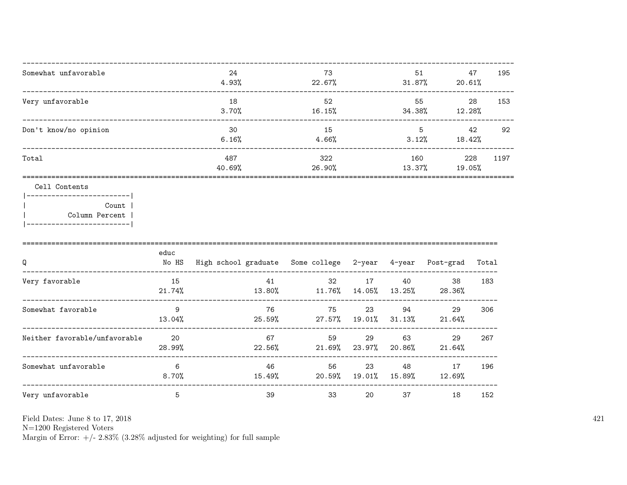| 24     | 73        | 51     | 47     | 195  |
|--------|-----------|--------|--------|------|
| 4.93%  | $22.67\%$ | 31.87% | 20.61% |      |
| 18     | 52        | 55     | 28     | 153  |
| 3.70%  | 16.15%    | 34.38% | 12.28% |      |
| 30     | 15        | 5      | 42     | 92   |
| 6.16%  | 4.66%     | 3.12%  | 18.42% |      |
| 487    | 322       | 160    | 228    | 1197 |
| 40.69% | 26.90%    | 13.37% | 19.05% |      |
|        |           |        |        |      |

### Cell Contents

|  | Count 1        |
|--|----------------|
|  | Column Percent |
|  |                |

| Q                             | educ<br>No HS | High school graduate Some college 2-year 4-year |              |              |              | Post-grad    | Total |
|-------------------------------|---------------|-------------------------------------------------|--------------|--------------|--------------|--------------|-------|
| Very favorable                | 15<br>21.74%  | 41<br>13.80%                                    | 32<br>11.76% | 17<br>14.05% | 40<br>13.25% | 38<br>28.36% | 183   |
| Somewhat favorable            | 9<br>13.04%   | 76<br>25.59%                                    | 75<br>27.57% | 23<br>19.01% | 94<br>31.13% | 29<br>21.64% | 306   |
| Neither favorable/unfavorable | -20<br>28.99% | 67<br>22.56%                                    | 59<br>21.69% | 29<br>23.97% | 63<br>20.86% | 29<br>21.64% | 267   |
| Somewhat unfavorable          | 6<br>$8.70\%$ | 46<br>15.49%                                    | 56<br>20.59% | 23<br>19.01% | 48<br>15.89% | 17<br>12.69% | 196   |
| Very unfavorable              | 5             | 39                                              | 33           | 20           | 37           | 18           | 152   |

Field Dates: June 8 to 17, 2018

 ${\rm N}{=}1200$  Registered Voters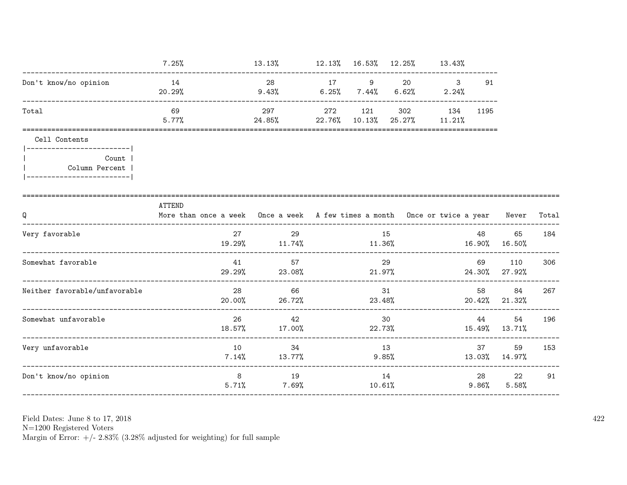|                                                      | 7.25%                                                                                      | $13.13\%$ $12.13\%$ $16.53\%$ $12.25\%$ $13.43\%$ |             |                       |                            |                     |                        |       |
|------------------------------------------------------|--------------------------------------------------------------------------------------------|---------------------------------------------------|-------------|-----------------------|----------------------------|---------------------|------------------------|-------|
| Don't know/no opinion                                | 14<br>20.29%                                                                               | 28<br>$9.43\%$ 6.25% 7.44%                        | 17 9        | 20<br>$6.62\%$ 2.24%  | $\overline{\phantom{a}}$ 3 | 91                  |                        |       |
| Total                                                | 69<br>5.77%                                                                                | 297<br>$24.85\%$ 22.76% 10.13% 25.27% 11.21%      | 272 121     | 302                   | 134                        | 1195                |                        |       |
| Cell Contents<br>-------------------------           |                                                                                            |                                                   |             |                       |                            |                     |                        |       |
| Count<br>Column Percent<br>------------------------- |                                                                                            |                                                   |             |                       |                            |                     |                        |       |
| Q                                                    | ATTEND<br>More than once a week Once a week A few times a month Once or twice a year Never |                                                   |             |                       |                            |                     |                        | Total |
| Very favorable                                       | 27<br>19.29%                                                                               | 29<br>11.74%                                      | 11.36%      | 15                    | $16.90\%$ $16.50\%$        | 48                  | 65                     | 184   |
| Somewhat favorable                                   | 41<br>29.29%                                                                               | 57<br>23.08%                                      |             | 29<br>21.97%          |                            | 69 — 10             | 110<br>24.30% 27.92%   | 306   |
| Neither favorable/unfavorable                        | 20.00%                                                                                     | 28<br>66<br>26.72%                                |             | 31<br>23.48%          |                            | 58 — 10             | 84<br>$20.42\%$ 21.32% | 267   |
| Somewhat unfavorable                                 | 26                                                                                         | 42<br>18.57% 17.00%                               | 22.73%      | 30                    |                            | 44 — 200            | 54<br>15.49% 13.71%    | 196   |
| Very unfavorable                                     | 10                                                                                         | 34<br>$7.14\%$ $13.77\%$                          | 13<br>9.85% |                       |                            | 37                  | 59<br>13.03% 14.97%    | 153   |
| Don't know/no opinion                                | 8                                                                                          | 19<br>5.71%                                       |             | 14<br>$7.69\%$ 10.61% |                            | 28 — 10<br>$9.86\%$ | 22<br>5.58%            | 91    |

N=1200 Registered Voters<br>Margin of Error:  $+/- 2.83\%$  (3.28% adjusted for weighting) for full sample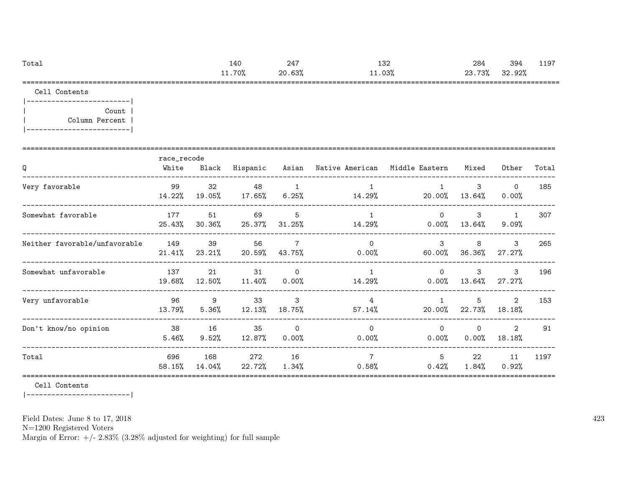| Total | 140    | $24^{\circ}$ | 132    | 284    | 394    | 197<br>. |
|-------|--------|--------------|--------|--------|--------|----------|
|       | 11.70% | 20.63%       | 11.03% | 23.73% | 32.92% |          |
|       |        |              |        |        |        |          |

Cell Contents

|-------------------------| | Count | | Column Percent | |-------------------------|

| Q                             | race_recode<br>White | Black           | Hispanic        |                      | Asian – Native American – Middle Eastern |                         | Mixed             | Other                           | Total |
|-------------------------------|----------------------|-----------------|-----------------|----------------------|------------------------------------------|-------------------------|-------------------|---------------------------------|-------|
| Very favorable                | 99<br>14.22%         | 32<br>19.05%    | 48<br>$17.65\%$ | 1<br>$6.25\%$        | 14.29%                                   | 20.00%                  | 3<br>13.64%       | $\mathbf{0}$<br>0.00%           | 185   |
| Somewhat favorable            | 177<br>25.43%        | 51<br>$30.36\%$ | 69<br>25.37%    | 5<br>$31.25\%$       | $\mathbf{1}$<br>14.29%                   | $\Omega$<br>$0.00\%$    | $\mathbf{3}$      | $\mathbf{1}$<br>$13.64\%$ 9.09% | 307   |
| Neither favorable/unfavorable | 149<br>21.41%        | 39<br>23.21%    | 56<br>20.59%    | 7<br>43.75%          | $\Omega$<br>0.00%                        | $\mathcal{B}$<br>60.00% | 8<br>36.36%       | 3<br>27.27%                     | 265   |
| Somewhat unfavorable          | 137<br>19.68%        | 21<br>12.50%    | 31<br>$11.40\%$ | $\Omega$<br>$0.00\%$ | $\overline{1}$<br>14.29%                 | $\Omega$<br>$0.00\%$    | 3<br>13.64%       | $\mathbf{3}$<br>$27.27\%$       | 196   |
| Very unfavorable              | 96<br>13.79%         | 9<br>5.36%      | 33<br>12.13%    | 3<br>18.75%          | 4<br>$57.14\%$                           | $\mathbf{1}$<br>20.00%  | 5<br>22.73%       | $\overline{2}$<br>18.18%        | 153   |
| Don't know/no opinion         | 38<br>5.46%          | 16<br>$9.52\%$  | 35<br>12.87%    | $\circ$<br>$0.00\%$  | $\Omega$<br>$0.00\%$                     | $\Omega$<br>$0.00\%$    | $\Omega$<br>0.00% | $\overline{2}$<br>$18.18\%$     | 91    |
| Total                         | 696<br>58.15%        | 168<br>14.04%   | 272<br>22.72%   | 16<br>$1.34\%$       | $\overline{7}$<br>0.58%                  | 5<br>0.42%              | 22<br>1.84%       | 11<br>0.92%                     | 1197  |

Cell Contents

|-------------------------|

Field Dates: June 8 to 17, 2018

N=1200 Registered Voters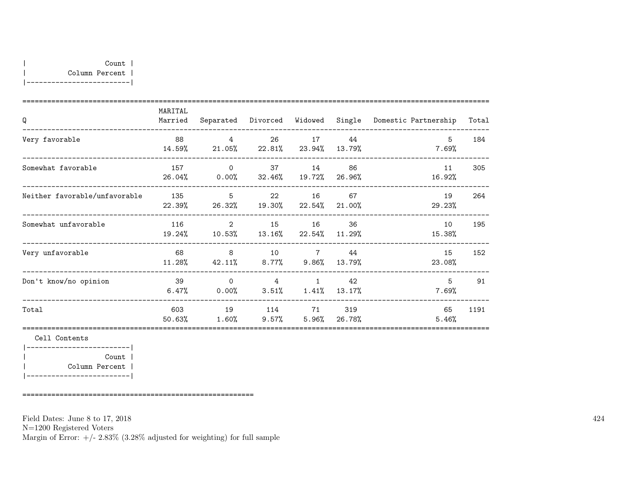|-------------------------|

| Q                             | MARITAL<br>Married | Separated                                                 | Divorced                                 | Widowed             | Single                 | Domestic Partnership | Total |
|-------------------------------|--------------------|-----------------------------------------------------------|------------------------------------------|---------------------|------------------------|----------------------|-------|
| Very favorable                | 88<br>14.59%       | $\overline{4}$<br>21.05%                                  | 26                                       | 17<br>22.81% 23.94% | 44<br>13.79%           | -5<br>7.69%          | 184   |
| Somewhat favorable            | 157                | $\overline{O}$<br>$26.04\%$ 0.00% 32.46% 19.72% 26.96%    |                                          | 37 14               | 86                     | 11<br>16.92%         | 305   |
| Neither favorable/unfavorable | 135<br>22.39%      | $5^{\circ}$<br>$26.32\%$                                  | 19.30% 22.54% 21.00%                     | 22 16               | 67                     | 19<br>29.23%         | 264   |
| Somewhat unfavorable          | 116<br>19.24%      | $\overline{\phantom{a}}$ 2<br>10.53% 13.16% 22.54% 11.29% | 15                                       | 16                  | 36                     | 10<br>15.38%         | 195   |
| Very unfavorable              | 68<br>11.28%       | $\overline{8}$<br>42.11%                                  | 10<br>$8.77\%$ $9.86\%$                  | $7\overline{7}$     | 44<br>13.79%           | 15<br>23.08%         | 152   |
| Don't know/no opinion         | 39<br>6.47%        | $\Omega$<br>0.00%                                         | $4 \quad$<br>$3.51\%$ $1.41\%$ $13.17\%$ | $\mathbf{1}$        | 42                     | 5<br>7.69%           | 91    |
| Total                         | 603<br>50.63%      | 19<br>1.60%                                               | 114<br>$9.57\%$                          | 71                  | 319<br>$5.96\%$ 26.78% | 65<br>5.46%          | 1191  |
| Cell Contents                 |                    |                                                           |                                          |                     |                        |                      |       |
| Count                         |                    |                                                           |                                          |                     |                        |                      |       |

| Column Percent | |-------------------------|

========================================================

Field Dates: June 8 to 17, 2018

N=1200 Registered Voters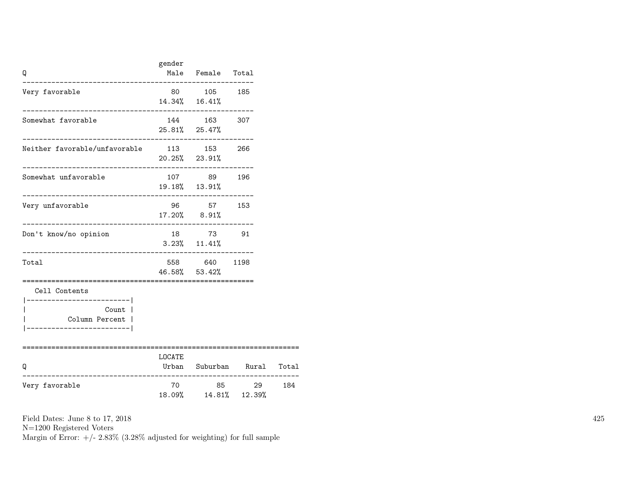| Q                                                                                            | gender                 | Male Female Total             |                      |       |
|----------------------------------------------------------------------------------------------|------------------------|-------------------------------|----------------------|-------|
| Very favorable                                                                               |                        | 80 105 185<br>14.34% 16.41%   |                      |       |
| Somewhat favorable                                                                           |                        | 144 163 307<br>25.81% 25.47%  |                      |       |
| Neither favorable/unfavorable 113 153 266                                                    |                        | $20.25\%$ 23.91%              |                      |       |
| Somewhat unfavorable                                                                         |                        | 107 89 196<br>19.18% 13.91%   |                      |       |
| Very unfavorable                                                                             |                        | 96 57 153<br>$17.20\%$ 8.91%  |                      |       |
| Don't know/no opinion<br>____________________________                                        |                        | 18 73 91<br>$3.23\%$ 11.41%   |                      |       |
| Total                                                                                        |                        | 558 640 1198<br>46.58% 53.42% |                      |       |
| Cell Contents<br>------------------ <br>Count  <br>Column Percent  <br>_____________________ |                        |                               |                      |       |
| Q                                                                                            | ============<br>LOCATE |                               | Urban Suburban Rural | Total |
| Very favorable                                                                               | 70                     | 18.09%  14.81%  12.39%        | 85 29                | 184   |

N=1200 Registered Voters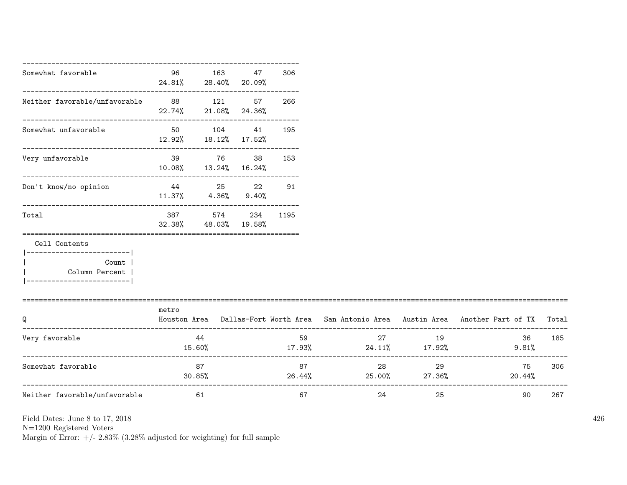| Somewhat favorable                                                                                      | 96<br>24.81% 28.40% 20.09% | 163                                     | 47 | 306    |                                          |          |                                                                                           |     |
|---------------------------------------------------------------------------------------------------------|----------------------------|-----------------------------------------|----|--------|------------------------------------------|----------|-------------------------------------------------------------------------------------------|-----|
| Neither favorable/unfavorable 88 121 57                                                                 | 22.74% 21.08% 24.36%       |                                         |    | 266    |                                          |          |                                                                                           |     |
| Somewhat unfavorable                                                                                    | 12.92% 18.12% 17.52%       | 50 104                                  | 41 | 195    |                                          |          |                                                                                           |     |
| --------------------------------<br>Very unfavorable                                                    | 10.08% 13.24% 16.24%       | 39 76                                   |    | 38 153 |                                          |          |                                                                                           |     |
| Don't know/no opinion                                                                                   |                            | 44 25 22<br>$11.37\%$ $4.36\%$ $9.40\%$ |    | 91     |                                          |          |                                                                                           |     |
| Total                                                                                                   |                            | 387 574 234<br>32.38% 48.03% 19.58%     |    | 1195   |                                          |          |                                                                                           |     |
| Cell Contents<br>__________________________<br>Count  <br>Column Percent  <br>------------------------- |                            |                                         |    |        |                                          |          |                                                                                           |     |
| Q                                                                                                       | metro                      |                                         |    |        |                                          |          | Houston Area Dallas-Fort Worth Area San Antonio Area Austin Area Another Part of TX Total |     |
| Very favorable                                                                                          | 15.60%                     | 44                                      |    | 59     | $17.93\%$ 24.11% $17.92\%$               | 27<br>19 | 36<br>9.81%                                                                               | 185 |
| Somewhat favorable                                                                                      |                            | 87<br>$30.85\%$                         |    |        | 87 — 10<br>$26.44\%$ $25.00\%$ $27.36\%$ | 29       | 75<br>20.44%                                                                              | 306 |
| Neither favorable/unfavorable                                                                           |                            | 61                                      |    | 67     | 24                                       | 25       | 90                                                                                        | 267 |

N=1200 Registered Voters

Margin of Error:  $+/- 2.83\%$  (3.28% adjusted for weighting) for full sample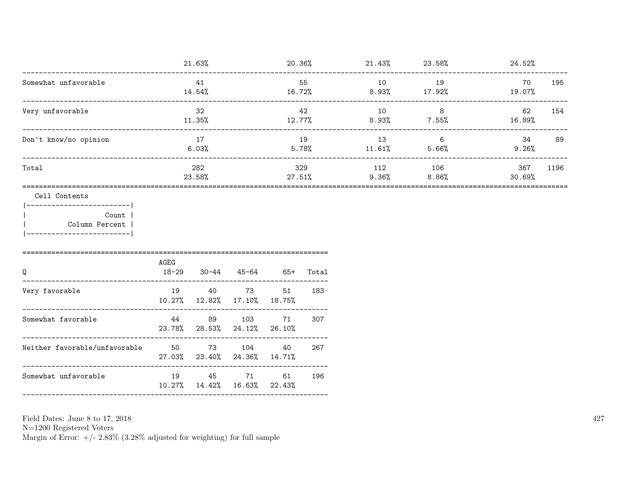|                                                                       | 21.63%              |              |                                    | 20.36%          |              | $21.43\%$ 23.58% |                             | 24.52%         |     |
|-----------------------------------------------------------------------|---------------------|--------------|------------------------------------|-----------------|--------------|------------------|-----------------------------|----------------|-----|
| Somewhat unfavorable<br>___________________________________           |                     | 41<br>14.54% |                                    | 16.72%          | 55           | 10<br>$8.93\%$   | 19<br>17.92%                | 70<br>19.07%   | 195 |
| Very unfavorable                                                      | 32<br>11.35%        |              |                                    | 12.77%          | 42           | 10<br>8.93%      | 8 <sup>8</sup><br>7.55%     | 62<br>16.89%   | 154 |
| Don't know/no opinion                                                 | 17<br>6.03%         |              |                                    | 19<br>5.78%     |              | 13<br>$11.61\%$  | $6\overline{6}$<br>$5.66\%$ | 34<br>$9.26\%$ | 89  |
| Total                                                                 | 282<br>23.58%       |              | $27.51\%$                          | 329             | 112<br>9.36% | 106<br>8.86%     | 367<br>30.69%               | 1196           |     |
| Cell Contents<br>_______________________<br>Count  <br>Column Percent | AGEG                |              |                                    |                 |              |                  |                             |                |     |
| Q                                                                     | $18 - 29$           |              | $30 - 44$ $45 - 64$ $65 +$         |                 | Total        |                  |                             |                |     |
| Very favorable                                                        | 19<br>$10.27\%$     | 40<br>12.82% | 73<br>$17.10\%$                    | 51<br>$18.75\%$ | 183          |                  |                             |                |     |
| Somewhat favorable                                                    | 44<br>23.78% 28.53% | 89           | 103<br>24.12%                      | 71<br>26.10%    | 307          |                  |                             |                |     |
| Neither favorable/unfavorable 50                                      | 27.03% 23.40%       | 73           | 104<br>24.36%                      | 40<br>14.71%    | 267          |                  |                             |                |     |
| Somewhat unfavorable                                                  |                     |              | 19 45 71<br>10.27%  14.42%  16.63% | 61<br>22.43%    | 196          |                  |                             |                |     |
|                                                                       |                     |              |                                    |                 |              |                  |                             |                |     |

Field Dates: June 8 to 17,  $2018\,$ 

N=1200 Registered Voters<br>Margin of Error:  $+/- 2.83\%$  (3.28% adjusted for weighting) for full sample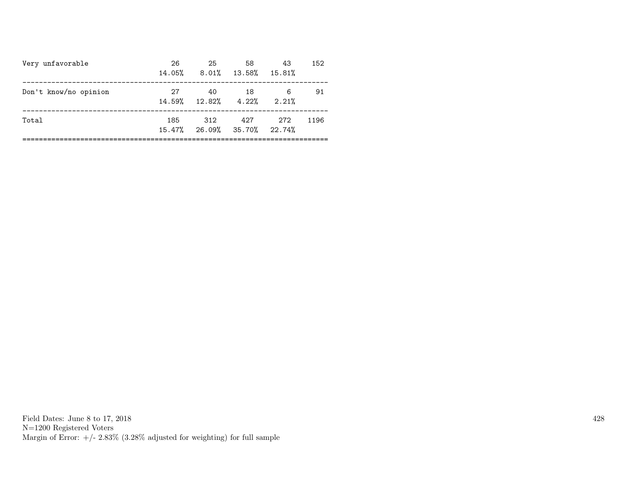| Very unfavorable      | 26<br>14.05% | 25<br>$8.01\%$ $13.58\%$ $15.81\%$ | 58  | 43         | 152  |
|-----------------------|--------------|------------------------------------|-----|------------|------|
| Don't know/no opinion | 27           | 40<br>$14.59\%$ $12.82\%$ $4.22\%$ | -18 | 6<br>2.21% | 91   |
| Total                 | 185          | 312<br>15.47% 26.09% 35.70% 22.74% | 427 | 272        | 1196 |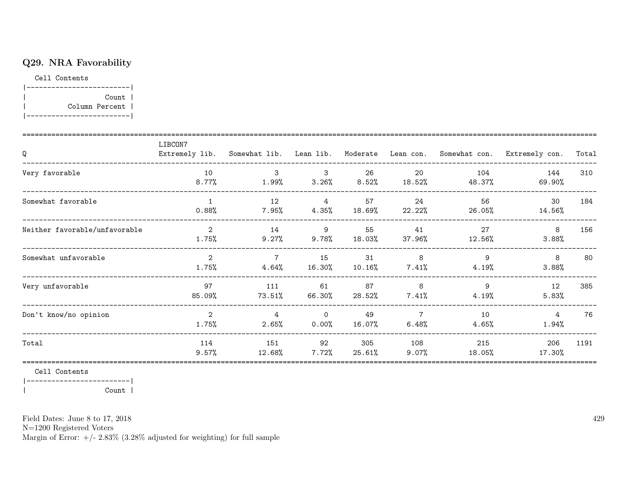# Q29. NRA Favorability

Cell Contents

|-------------------------| | Count | | Column Percent | |-------------------------|

| Q                             | LIBCON7<br>Extremely lib. Somewhat lib. Lean lib. |                            |                         |                 |                         |               | Moderate Lean con. Somewhat con. Extremely con. | Total |
|-------------------------------|---------------------------------------------------|----------------------------|-------------------------|-----------------|-------------------------|---------------|-------------------------------------------------|-------|
| Very favorable                | 10<br>8.77%                                       | 3<br>1.99%                 | $\mathbf{3}$<br>3.26%   | 26<br>8.52%     | 20<br>18.52%            | 104<br>48.37% | 144<br>69.90%                                   | 310   |
| Somewhat favorable            | $\overline{1}$<br>0.88%                           | 12<br>$7.95\%$             | $\overline{4}$<br>4.35% | 57<br>18.69%    | 24<br>22.22%            | 56<br>26.05%  | 30<br>14.56%                                    | 184   |
| Neither favorable/unfavorable | $\overline{2}$<br>1.75%                           | 14<br>9.27%                | 9<br>9.78%              | 55<br>18.03%    | 41<br>37.96%            | 27<br>12.56%  | 8<br>3.88%                                      | 156   |
| Somewhat unfavorable          | $\mathcal{L}$<br>1.75%                            | $\overline{7}$<br>4.64%    | 15<br>16.30%            | 31<br>$10.16\%$ | 8<br>7.41%              | 9<br>4.19%    | 8<br>3.88%                                      | 80    |
| Very unfavorable              | 97<br>85.09%                                      | 111<br>73.51%              | 61<br>66.30%            | 87<br>28.52%    | 8<br>7.41%              | 9<br>$4.19\%$ | 12<br>5.83%                                     | 385   |
| Don't know/no opinion         | 2<br>1.75%                                        | $\overline{4}$<br>$2.65\%$ | $\Omega$<br>0.00%       | 49<br>16.07%    | $\overline{7}$<br>6.48% | 10<br>4.65%   | $\overline{4}$<br>1.94%                         | 76    |
| Total                         | 114<br>9.57%                                      | 151<br>12.68%              | 92<br>7.72%             | 305<br>25.61%   | 108<br>$9.07\%$         | 215<br>18.05% | 206<br>17.30%                                   | 1191  |

Cell Contents

|-------------------------| | Count |

Field Dates: June 8 to 17, 2018

N=1200 Registered Voters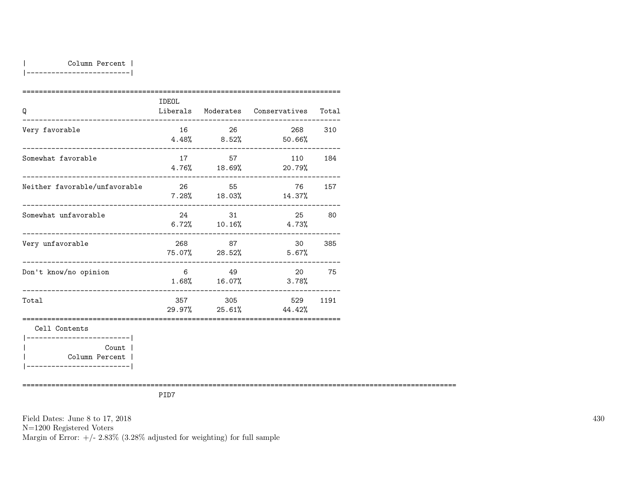|-------------------------|

| Q                                        | IDEOL |         | Liberals Moderates Conservatives     | Total |
|------------------------------------------|-------|---------|--------------------------------------|-------|
| Very favorable                           |       | 16 26   | 268 310<br>$4.48\%$ $8.52\%$ 50.66%  |       |
| Somewhat favorable                       | 17    | 57      | 110 184<br>$4.76\%$ $18.69\%$ 20.79% |       |
| Neither favorable/unfavorable            | 26    | 55      | 76 —<br>$7.28\%$ 18.03% 14.37%       | 157   |
| Somewhat unfavorable                     |       | 24 31   | 25<br>$6.72\%$ $10.16\%$ $4.73\%$    | 80    |
| Very unfavorable                         | 268   | 87      | 30<br>75.07% 28.52% 5.67%            | 385   |
| Don't know/no opinion                    |       | 6 49    | 20<br>$1.68\%$ $16.07\%$ $3.78\%$    | 75    |
| Total                                    |       | 357 305 | 529<br>$29.97\%$ 25.61% 44.42%       | 1191  |
| Cell Contents<br>----------------------- |       |         |                                      |       |
| Count  <br>Column Percent                |       |         |                                      |       |

|-------------------------|

=========================================================================================================

PID7

Field Dates: June 8 to 17, 2018 N=1200 Registered Voters Margin of Error:  $+/- 2.83\%$  (3.28% adjusted for weighting) for full sample 430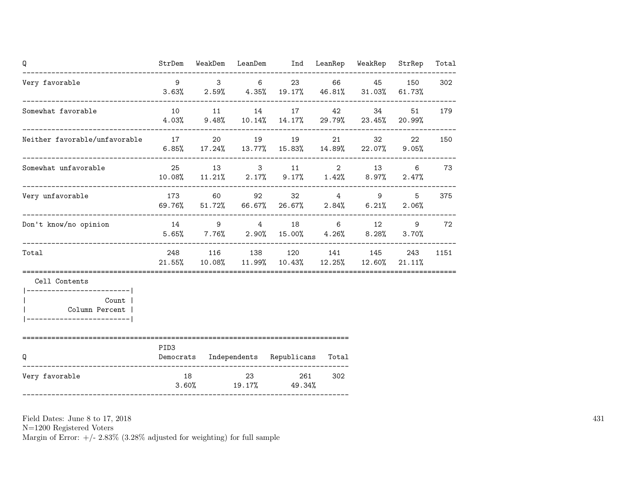| Q                                                       |                  |       |          | StrDem WeakDem LeanDem Ind LeanRep WeakRep StrRep                                      |               |              |            | Total |
|---------------------------------------------------------|------------------|-------|----------|----------------------------------------------------------------------------------------|---------------|--------------|------------|-------|
| Very favorable                                          | $\overline{9}$   |       | $3 \t 6$ | $3.63\%$ $2.59\%$ $4.35\%$ $19.17\%$ $46.81\%$ $31.03\%$                               |               | 23 66 45 150 | 61.73%     | 302   |
| Somewhat favorable                                      |                  |       |          | 10 11 14 17<br>$4.03\%$ 9.48% 10.14% 14.17% 29.79% 23.45% 20.99%                       | 42 and $\sim$ | 34 7         | 51         | 179   |
| Neither favorable/unfavorable 17 20 19 19               |                  |       |          | $6.85\%$ 17.24% 13.77% 15.83% 14.89% 22.07% 9.05%                                      |               | 21 32        | 22         | 150   |
| Somewhat unfavorable                                    |                  |       |          | 25 13 3 11 2 13 6 73<br>$10.08\%$ $11.21\%$ $2.17\%$ $9.17\%$ $1.42\%$ $8.97\%$        |               |              | 2.47%      |       |
| Very unfavorable                                        |                  |       |          | 173 60 92 32 4 9<br>$69.76\%$ $51.72\%$ $66.67\%$ $26.67\%$ $2.84\%$ $6.21\%$ $2.06\%$ |               |              | $5 -$      | 375   |
| Don't know/no opinion                                   |                  |       |          | 14 9 4 18 6 12<br>$5.65\%$ $7.76\%$ $2.90\%$ $15.00\%$ $4.26\%$ $8.28\%$               |               |              | 9<br>3.70% | 72    |
| Total                                                   |                  |       |          | 248 116 138 120 141 145 243<br>21.55% 10.08% 11.99% 10.43% 12.25% 12.60% 21.11%        |               |              |            | 1151  |
| Cell Contents                                           |                  |       |          |                                                                                        |               |              |            |       |
| Count  <br>Column Percent  <br>________________________ |                  |       |          |                                                                                        |               |              |            |       |
| Q                                                       | PID <sub>3</sub> |       |          | Democrats Independents Republicans Total                                               |               |              |            |       |
| Very favorable                                          |                  | 18 23 |          | $3.60\%$ 19.17% 49.34%                                                                 | 261<br>302    |              |            |       |

N=1200 Registered Voters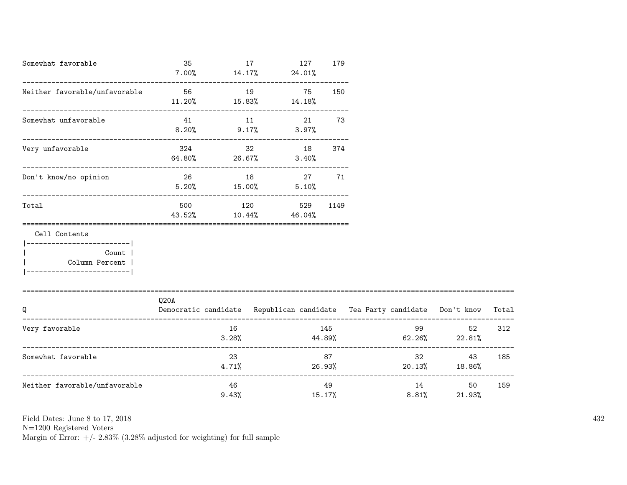| Somewhat favorable                                                              | 35<br>$7.00\%$          |                    | 17 | 127<br>$14.17\%$ 24.01%                  | 179          |                                                                          |                                                                                                                                                                                                                                       |       |
|---------------------------------------------------------------------------------|-------------------------|--------------------|----|------------------------------------------|--------------|--------------------------------------------------------------------------|---------------------------------------------------------------------------------------------------------------------------------------------------------------------------------------------------------------------------------------|-------|
| Neither favorable/unfavorable                                                   | 56<br>11.20%            | 19                 |    | 75 150<br>$15.83\%$ $14.18\%$            |              |                                                                          |                                                                                                                                                                                                                                       |       |
| Somewhat unfavorable                                                            | 41                      | 11                 |    | 21<br>$8.20\%$ 9.17% 3.97%               | 73           |                                                                          |                                                                                                                                                                                                                                       |       |
| Very unfavorable                                                                | 324<br>$64.80\%$ 26.67% |                    |    | 32 18<br>$3.40\%$                        | 374          |                                                                          |                                                                                                                                                                                                                                       |       |
| Don't know/no opinion                                                           |                         | $5.20\%$ $15.00\%$ |    | 26 18 27<br>5.10%                        | 71           |                                                                          |                                                                                                                                                                                                                                       |       |
| Total                                                                           |                         |                    |    | 500 120 529 1149<br>43.52% 10.44% 46.04% |              |                                                                          |                                                                                                                                                                                                                                       |       |
| Cell Contents                                                                   |                         |                    |    |                                          |              |                                                                          |                                                                                                                                                                                                                                       |       |
| ----------------------- <br>Count<br>Column Percent<br>________________________ |                         |                    |    |                                          |              |                                                                          |                                                                                                                                                                                                                                       |       |
| Q                                                                               | Q20A                    |                    |    |                                          |              | Democratic candidate Republican candidate Tea Party candidate Don't know |                                                                                                                                                                                                                                       | Total |
|                                                                                 |                         |                    |    |                                          |              |                                                                          |                                                                                                                                                                                                                                       |       |
| Very favorable                                                                  |                         |                    |    |                                          | 145          | $3.28\%$ $44.89\%$ $62.26\%$ $22.81\%$                                   | 99 — 100 — 100 — 100 — 100 — 100 — 100 — 100 — 100 — 100 — 100 — 100 — 100 — 100 — 100 — 100 — 100 — 100 — 100 — 100 — 100 — 100 — 100 — 100 — 100 — 100 — 100 — 100 — 100 — 100 — 100 — 100 — 100 — 100 — 100 — 100 — 100 — 10<br>52 | 312   |
| Somewhat favorable                                                              |                         | 23                 |    |                                          | 87 — 1       | $4.71\%$ 26.93%                                                          | $32 - 32$<br>43<br>20.13% 18.86%                                                                                                                                                                                                      | 185   |
| Neither favorable/unfavorable                                                   |                         | 46<br>9.43%        |    |                                          | 49<br>15.17% |                                                                          | 14<br>50<br>8.81%<br>21.93%                                                                                                                                                                                                           | 159   |

N=1200 Registered Voters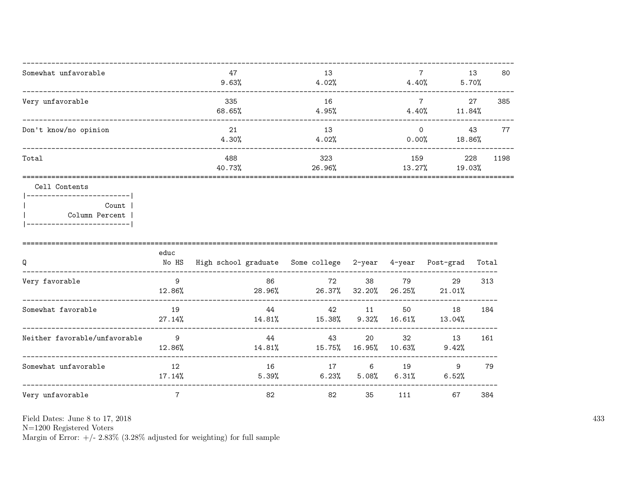| Somewhat unfavorable  | 47<br>9.63%   | 13<br>4.02%   | 4.40%             | 13<br>5.70%   | 80   |
|-----------------------|---------------|---------------|-------------------|---------------|------|
| Very unfavorable      | 335<br>68.65% | 16<br>4.95%   | 4.40%             | 27<br>11.84%  | 385  |
| Don't know/no opinion | 21<br>4.30%   | 13<br>4.02%   | $\Omega$<br>0.00% | 43<br>18.86%  | 77   |
| Total                 | 488<br>40.73% | 323<br>26.96% | 159<br>13.27%     | 228<br>19.03% | 1198 |
|                       |               |               |                   |               |      |

Cell Contents

|------------------------| Count | Column Percent |  $\overline{\phantom{a}}$ |-------------------------|

| Q                             | educ<br>No HS | High school graduate Some college 2-year |                |               | 4-year         | Post-grad    | Total |
|-------------------------------|---------------|------------------------------------------|----------------|---------------|----------------|--------------|-------|
| Very favorable                | 9<br>12.86%   | 86<br>28.96%                             | 72<br>26.37%   | 38<br>32.20%  | 79<br>26.25%   | 29<br>21.01% | 313   |
| Somewhat favorable            | 19<br>27.14%  | 44<br>14.81%                             | 42<br>15.38%   | 11<br>9.32%   | 50<br>16.61%   | 18<br>13.04% | 184   |
| Neither favorable/unfavorable | 9<br>12.86%   | 44<br>14.81%                             | 43<br>15.75%   | 20<br>16.95%  | 32<br>10.63%   | 13<br>9.42%  | 161   |
| Somewhat unfavorable          | 12<br>17.14%  | 16<br>5.39%                              | 17<br>$6.23\%$ | 6<br>$5.08\%$ | 19<br>$6.31\%$ | 9<br>6.52%   | 79    |
| Very unfavorable              | 7             | 82                                       | 82             | 35            | 111            | 67           | 384   |

Field Dates: June 8 to 17, 2018

 ${\rm N}{=}1200$  Registered Voters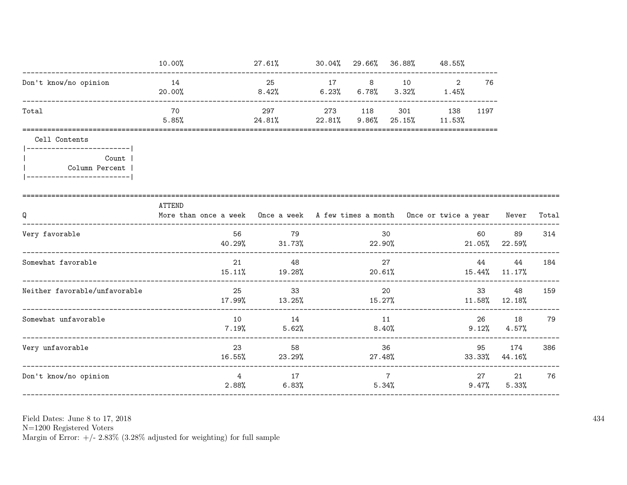|                                                                                     | 10.00%                                                                                     | 27.61% 30.04% 29.66% 36.88% 48.55%                      |              |                          |                     |                 |                |       |
|-------------------------------------------------------------------------------------|--------------------------------------------------------------------------------------------|---------------------------------------------------------|--------------|--------------------------|---------------------|-----------------|----------------|-------|
| Don't know/no opinion                                                               | 14<br>20.00%                                                                               | 25<br>$8.42\%$ 6.23% 6.78%                              | 17 8 10      | $3.32\%$ 1.45%           | 2                   | 76              |                |       |
| Total                                                                               | 70<br>5.85%                                                                                | 297<br>$24.81\%$ 22.81\% 9.86\% 25.15\% 11.53\%         | 273 118      |                          | 301 138             | 1197            |                |       |
| Cell Contents                                                                       |                                                                                            |                                                         |              |                          |                     |                 |                |       |
| ------------------------- <br>Count<br>Column Percent<br>__________________________ |                                                                                            |                                                         |              |                          |                     |                 |                |       |
| Q                                                                                   | ATTEND<br>More than once a week Once a week A few times a month Once or twice a year Never |                                                         |              |                          |                     |                 |                | Total |
| Very favorable                                                                      | 56<br>40.29%                                                                               | 79<br>$31.73\%$                                         | 30<br>22.90% |                          |                     | 60<br>$21.05\%$ | 89<br>22.59%   | 314   |
| Somewhat favorable                                                                  | 21<br>15.11%                                                                               | 48<br>19.28%                                            | 20.61%       | 27                       | $15.44\%$ $11.17\%$ | 44              | 44             | 184   |
| Neither favorable/unfavorable                                                       | 25                                                                                         | 33<br>$17.99\%$ $13.25\%$ $15.27\%$ $11.58\%$ $12.18\%$ |              | 20                       |                     |                 | 48             | 159   |
| Somewhat unfavorable                                                                | 10<br>7.19%                                                                                | 14<br>$5.62\%$                                          | 11<br>8.40%  |                          |                     | 26<br>9.12%     | 18<br>$4.57\%$ | 79    |
| Very unfavorable                                                                    | 23<br>16.55%                                                                               | 58<br>23.29%                                            | 36<br>27.48% |                          |                     | 95<br>33.33%    | 174<br>44.16%  | 386   |
| Don't know/no opinion                                                               | $4^{\circ}$<br>2.88%                                                                       | 17<br>6.83%                                             |              | $7\phantom{.0}$<br>5.34% |                     | 27<br>$9.47\%$  | 21<br>5.33%    | 76    |

Field Dates: June 8 to 17,  $2018\,$ 

N=1200 Registered Voters<br>Margin of Error:  $+/- 2.83\%$  (3.28% adjusted for weighting) for full sample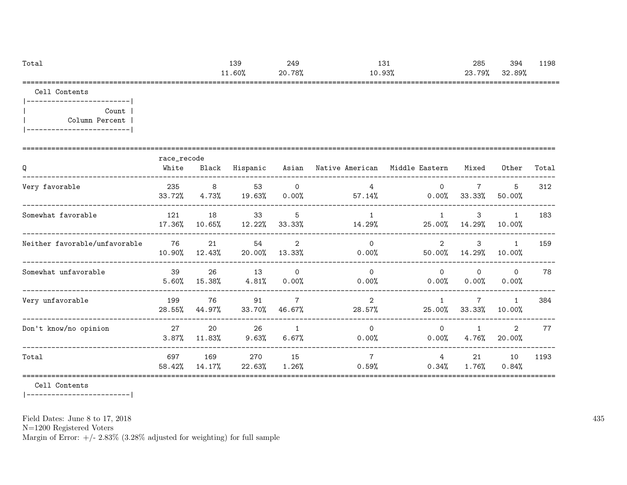| Total | 139    | 249    | 121<br>⊥د⊥ | 285    | 394    | 1198 |
|-------|--------|--------|------------|--------|--------|------|
|       | 11.60% | 20.78% | 10.93%     | 23.79% | 32.89% |      |
|       |        |        |            |        |        |      |

Cell Contents

|-------------------------| | Count | | Column Percent | |-------------------------|

| Q                             | race_recode<br>White | Black            | Hispanic      |                            | Asian – Native American – Middle Eastern |                         | Mixed                    | Other                           | Total |
|-------------------------------|----------------------|------------------|---------------|----------------------------|------------------------------------------|-------------------------|--------------------------|---------------------------------|-------|
| Very favorable                | 235<br>33.72%        | 8<br>4.73%       | 53<br>19.63%  | $\mathbf 0$<br>$0.00\%$    | 4<br>57.14%                              | $\Omega$<br>$0.00\%$    | $\overline{7}$<br>33.33% | 5<br>50.00%                     | 312   |
| Somewhat favorable            | 121<br>17.36%        | 18<br>$10.65\%$  | 33<br>12.22%  | 5<br>33.33%                | 14.29%                                   | 25.00%                  | 3<br>14.29%              | $\mathbf{1}$<br>10.00%          | 183   |
| Neither favorable/unfavorable | 76<br>10.90%         | 21<br>12.43%     | 54<br>20.00%  | 2<br>13.33%                | $\Omega$<br>0.00%                        | $\mathcal{L}$<br>50.00% | 3<br>14.29%              | $\mathbf{1}$<br>10.00%          | 159   |
| Somewhat unfavorable          | 39<br>5.60%          | 26<br>15.38%     | 13<br>4.81%   | $\Omega$<br>$0.00\%$       | $\Omega$<br>0.00%                        | $\Omega$<br>$0.00\%$    | $\Omega$<br>$0.00\%$     | $\Omega$<br>0.00%               | 78    |
| Very unfavorable              | 199<br>28.55%        | 76<br>44.97%     | 91<br>33.70%  | $\overline{7}$<br>46.67%   | 2<br>28.57%                              | 25.00%                  | $\mathbf{7}$<br>33.33%   | $\mathbf{1}$<br>10.00%          | 384   |
| Don't know/no opinion         | 27<br>3.87%          | 20<br>11.83%     | 26<br>9.63%   | $\overline{1}$<br>$6.67\%$ | $\Omega$<br>0.00%                        | $\Omega$<br>$0.00\%$    | $\mathbf{1}$<br>4.76%    | $\mathbf{2}^{\prime}$<br>20.00% | 77    |
| Total                         | 697<br>58.42%        | 169<br>$14.17\%$ | 270<br>22.63% | 15<br>$1.26\%$             | $\overline{7}$<br>0.59%                  | 4<br>0.34%              | 21<br>1.76%              | 10<br>0.84%                     | 1193  |

Cell Contents

|-------------------------|

Field Dates: June 8 to 17, 2018

N=1200 Registered Voters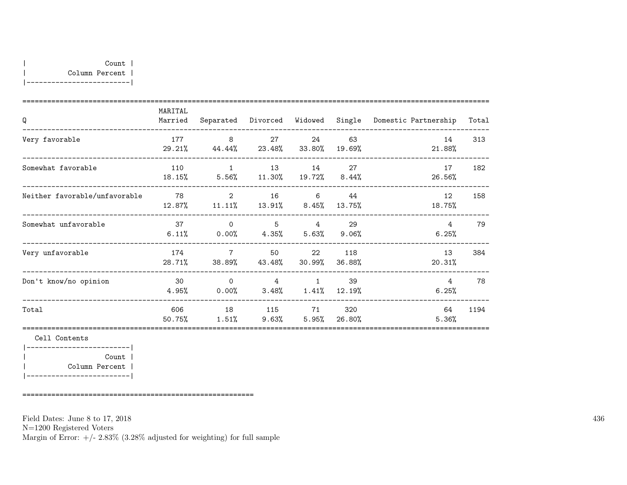| MARITAL<br>Married | Separated                  |                |                                     |               | Domestic Partnership                                                                               | Total              |
|--------------------|----------------------------|----------------|-------------------------------------|---------------|----------------------------------------------------------------------------------------------------|--------------------|
| 177<br>29.21%      | 8                          | 27             | 24<br>33.80%                        | 63<br>19.69%  | 14<br>21.88%                                                                                       | 313                |
| 110<br>18.15%      | $\overline{1}$             | 13             | 14                                  | 27            | 17<br>26.56%                                                                                       | 182                |
| 78<br>12.87%       | $\mathcal{D}$<br>$11.11\%$ | 16<br>13.91%   | 6                                   | 44<br>13.75%  | 12<br>18.75%                                                                                       | 158                |
| 37<br>6.11%        | $\Omega$<br>$0.00\%$       | 5              | 4                                   | 29            | 4<br>6.25%                                                                                         | 79                 |
| 174<br>28.71%      | $\overline{7}$<br>38.89%   | 50<br>43.48%   | 22<br>30.99%                        | 118<br>36.88% | 13<br>20.31%                                                                                       | 384                |
| 30<br>4.95%        | $\overline{0}$<br>$0.00\%$ | $\overline{4}$ | $\mathbf{1}$                        | 39<br>12.19%  | 4<br>6.25%                                                                                         | 78                 |
| 606<br>50.75%      | 18<br>1.51%                | 115            | 71                                  | 320<br>26.80% | 64<br>5.36%                                                                                        | 1194               |
|                    |                            |                | 44.44% 23.48%<br>$5.56\%$ $11.30\%$ | $8.45\%$      | Divorced Widowed<br>$19.72\%$ 8.44%<br>$4.35\%$ $5.63\%$ $9.06\%$<br>$3.48\%$ $1.41\%$<br>$5.95\%$ | Single<br>$9.63\%$ |

|-------------------------| | Count | | Column Percent | |-------------------------|

========================================================

Field Dates: June 8 to 17, 2018

N=1200 Registered Voters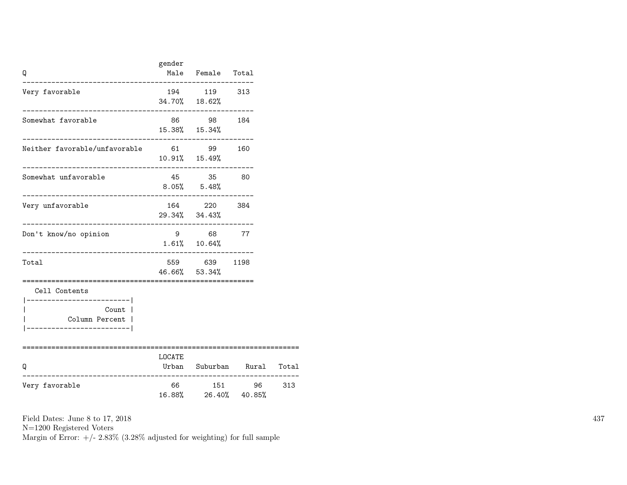| Q                                                                    | gender                    | Male Female Total                                         |                      |       |
|----------------------------------------------------------------------|---------------------------|-----------------------------------------------------------|----------------------|-------|
| Very favorable                                                       |                           | 194 119 313<br>34.70% 18.62%                              |                      |       |
| Somewhat favorable                                                   |                           | 86 98 184<br>15.38% 15.34%                                |                      |       |
| Neither favorable/unfavorable 61 99 160<br>_____________________     |                           | $10.91\%$ $15.49\%$                                       |                      |       |
| Somewhat unfavorable                                                 |                           | 45 35 80<br>$8.05\%$ $5.48\%$                             |                      |       |
| Very unfavorable<br>----------------------                           |                           | 164 220 384<br>29.34% 34.43%<br>_________________________ |                      |       |
| Don't know/no opinion                                                |                           | 9 68 77<br>$1.61\%$ $10.64\%$                             |                      |       |
| Total                                                                |                           | 559 639 1198<br>46.66% 53.34%                             |                      |       |
| Cell Contents<br>______________________<br>Count  <br>Column Percent |                           |                                                           |                      |       |
| Q                                                                    | ===============<br>LOCATE |                                                           | Urban Suburban Rural | Total |
| Very favorable                                                       |                           | 66 151 96<br>16.88% 26.40% 40.85%                         |                      | 313   |

N=1200 Registered Voters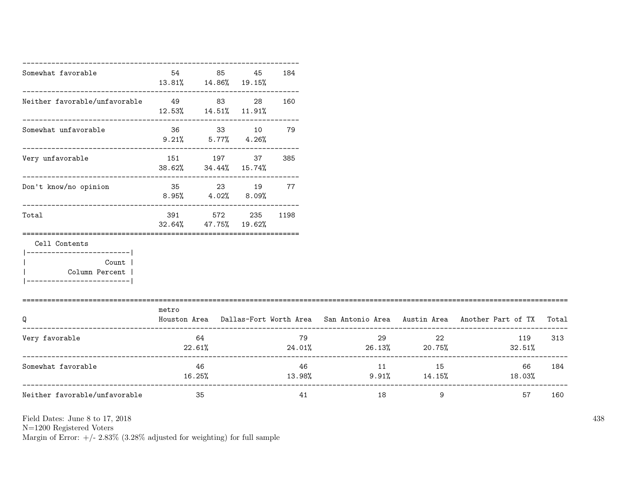| Somewhat favorable                                                                          | 54                                  | 85<br>$13.81\%$ $14.86\%$ $19.15\%$ | 45 | 184      |                         |          |                                                                                           |     |
|---------------------------------------------------------------------------------------------|-------------------------------------|-------------------------------------|----|----------|-------------------------|----------|-------------------------------------------------------------------------------------------|-----|
| Neither favorable/unfavorable 49 83 28                                                      | $12.53\%$ $14.51\%$ $11.91\%$       |                                     |    | 160      |                         |          |                                                                                           |     |
| Somewhat unfavorable                                                                        | 36 33 10 79<br>$9.21\%$ 5.77% 4.26% |                                     |    |          |                         |          |                                                                                           |     |
| Very unfavorable                                                                            |                                     | 151 197<br>38.62% 34.44% 15.74%     | 37 | 385      |                         |          |                                                                                           |     |
| Don't know/no opinion                                                                       | 35 23 19 77                         | $8.95\%$ $4.02\%$ $8.09\%$          |    |          |                         |          |                                                                                           |     |
| Total                                                                                       | 391<br>32.64%                       | 572<br>47.75% 19.62%                |    | 235 1198 |                         |          |                                                                                           |     |
| Cell Contents<br>____________________<br>Count<br>Column Percent<br>----------------------- |                                     |                                     |    |          |                         |          |                                                                                           |     |
| Q                                                                                           | metro                               |                                     |    |          |                         |          | Houston Area Dallas-Fort Worth Area San Antonio Area Austin Area Another Part of TX Total |     |
| Very favorable                                                                              | 22.61%                              | 64                                  |    | 79       | $24.01\%$ 26.13% 20.75% | 29<br>22 | 119<br>$32.51\%$                                                                          | 313 |
| Somewhat favorable                                                                          |                                     | 46<br>16.25%                        |    |          | 46 — 16<br>13.98%       | 11 15    | 66<br>$9.91\%$ 14.15% 18.03%                                                              | 184 |
| Neither favorable/unfavorable                                                               |                                     | 35                                  |    | 41       | 18                      | 9        | 57                                                                                        | 160 |

N=1200 Registered Voters

Margin of Error:  $+/- 2.83\%$  (3.28% adjusted for weighting) for full sample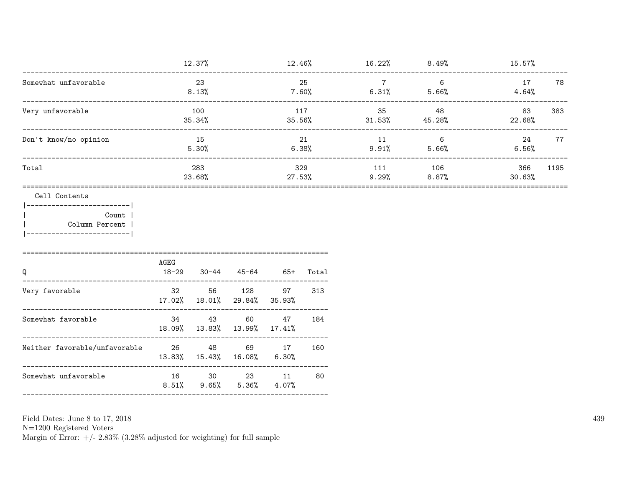|                                                                                                           |                             | 12.37%         |                                                    | $12.46\%$ |               |                | $16.22\%$ 8.49%                         | $15.57\%$      |      |
|-----------------------------------------------------------------------------------------------------------|-----------------------------|----------------|----------------------------------------------------|-----------|---------------|----------------|-----------------------------------------|----------------|------|
| Somewhat unfavorable                                                                                      |                             | 23<br>$8.13\%$ |                                                    |           | 25            | $\overline{7}$ | $6\overline{6}$<br>$7.60\%$ 6.31% 5.66% | 17<br>4.64%    | 78   |
| Very unfavorable                                                                                          |                             | 100<br>35.34%  |                                                    | 117       | $35.56\%$     | 35 48          | $31.53\%$ $45.28\%$                     | 83<br>22.68%   | 383  |
| Don't know/no opinion                                                                                     |                             | 15<br>5.30%    |                                                    |           | 21<br>6.38%   | 11             | $\overline{6}$<br>$9.91\%$ 5.66%        | 24<br>$6.56\%$ | 77   |
| Total                                                                                                     |                             | 283<br>23.68%  |                                                    |           | 329<br>27.53% |                | 111 106<br>$9.29%$ 8.87%                | 366<br>30.63%  | 1195 |
| Cell Contents<br>------------------------- <br>Count  <br>Column Percent  <br> -------------------------- | AGEG                        |                |                                                    |           |               |                |                                         |                |      |
| Q                                                                                                         | 18-29 30-44 45-64 65+ Total |                |                                                    |           |               |                |                                         |                |      |
| Very favorable                                                                                            |                             |                | 32 56 128<br>17.02% 18.01% 29.84% 35.93%           |           | 97 313        |                |                                         |                |      |
| Somewhat favorable                                                                                        |                             |                | 34 43 60<br>18.09% 13.83% 13.99% 17.41%            | 47        | 184           |                |                                         |                |      |
| Neither favorable/unfavorable 26 48 69 17                                                                 |                             |                | 13.83% 15.43% 16.08% 6.30%                         |           | 160           |                |                                         |                |      |
| Somewhat unfavorable                                                                                      |                             |                | 16 30 23 11<br>$8.51\%$ $9.65\%$ $5.36\%$ $4.07\%$ |           | 80            |                |                                         |                |      |
|                                                                                                           |                             |                |                                                    |           |               |                |                                         |                |      |

N=1200 Registered Voters<br>Margin of Error:  $+/- 2.83\%$  (3.28% adjusted for weighting) for full sample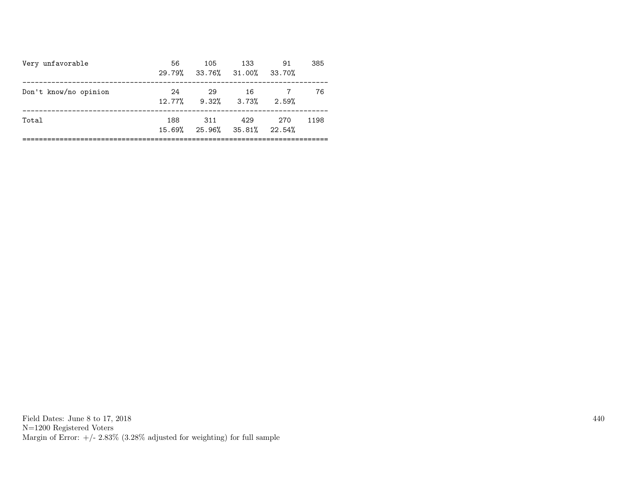| Very unfavorable      | 56  | 105<br>29.79% 33.76% 31.00% 33.70%             | - 133 | 91    | 385  |
|-----------------------|-----|------------------------------------------------|-------|-------|------|
| Don't know/no opinion | 24  | 29<br>$12.77\%$ 9.32% 3.73%                    | -16   | 2.59% | 76   |
| Total                 | 188 | 311<br>$15.69\%$ $25.96\%$ $35.81\%$ $22.54\%$ | 429   | 270   | 1198 |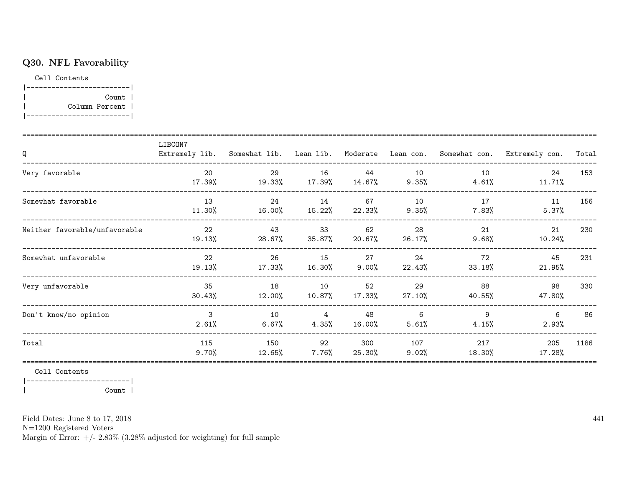## Q30. NFL Favorability

Cell Contents

|-------------------------| | Count | | Column Percent | |-------------------------|

| Q                             | LIBCON7         |               |                         |                 |                 |                | Extremely lib. Somewhat lib. Lean lib. Moderate Lean con. Somewhat con. Extremely con. | Total |
|-------------------------------|-----------------|---------------|-------------------------|-----------------|-----------------|----------------|----------------------------------------------------------------------------------------|-------|
| Very favorable                | 20<br>17.39%    | 29<br>19.33%  | 16<br>17.39%            | 44<br>14.67%    | 10<br>9.35%     | 10<br>4.61%    | 24<br>11.71%                                                                           | 153   |
| Somewhat favorable            | 13<br>11.30%    | 24<br>16.00%  | 14<br>15.22%            | 67<br>22.33%    | 10<br>9.35%     | 17<br>$7.83\%$ | 11<br>5.37%                                                                            | 156   |
| Neither favorable/unfavorable | 22<br>19.13%    | 43<br>28.67%  | 33<br>35.87%            | 62<br>20.67%    | 28<br>$26.17\%$ | 21<br>9.68%    | 21<br>10.24%                                                                           | 230   |
| Somewhat unfavorable          | 22<br>19.13%    | 26<br>17.33%  | 15<br>16.30%            | 27<br>$9.00\%$  | 24<br>22.43%    | 72<br>33.18%   | 45<br>21.95%                                                                           | 231   |
| Very unfavorable              | 35<br>30.43%    | 18<br>12.00%  | 10<br>10.87%            | 52<br>$17.33\%$ | 29<br>27.10%    | 88<br>40.55%   | 98<br>47.80%                                                                           | 330   |
| Don't know/no opinion         | 3<br>2.61%      | 10<br>6.67%   | $\overline{4}$<br>4.35% | 48<br>16.00%    | 6<br>5.61%      | 9<br>4.15%     | 6<br>2.93%                                                                             | 86    |
| Total                         | 115<br>$9.70\%$ | 150<br>12.65% | 92<br>7.76%             | 300<br>25.30%   | 107<br>9.02%    | 217<br>18.30%  | 205<br>17.28%                                                                          | 1186  |

Cell Contents

|-------------------------| | Count |

Field Dates: June 8 to 17, 2018

N=1200 Registered Voters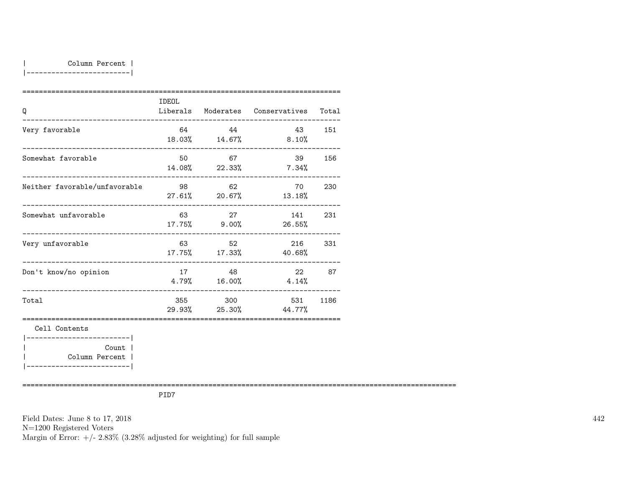| Column Percent |

|-------------------------|

| Q                                                                       | IDEOL |         | Liberals Moderates Conservatives Total |        |
|-------------------------------------------------------------------------|-------|---------|----------------------------------------|--------|
| Very favorable                                                          | 64    | 44      | 43 151<br>18.03% 14.67% 8.10%          |        |
| Somewhat favorable                                                      | 50    | 67      | 14.08% 22.33% 7.34%                    | 39 156 |
| Neither favorable/unfavorable                                           | 98    | 62      | 70<br>$27.61\%$ 20.67% 13.18%          | 230    |
| Somewhat unfavorable                                                    | 63    | 27      | 141<br>17.75% 9.00% 26.55%             | 231    |
| Very unfavorable                                                        |       | 63 52   | 216<br>$17.75\%$ $17.33\%$ $40.68\%$   | 331    |
| Don't know/no opinion                                                   |       | 17 48   | 22<br>$4.79\%$ $16.00\%$ $4.14\%$      | 87     |
| ------------------------<br>Total                                       |       | 355 300 | 531<br>$29.93\%$ 25.30% 44.77%         | 1186   |
| Cell Contents<br>------------------------ <br>Count  <br>Column Percent |       |         |                                        |        |

|-------------------------|

=========================================================================================================

PID7

Field Dates: June 8 to 17, 2018 N=1200 Registered Voters Margin of Error:  $+/- 2.83\%$  (3.28% adjusted for weighting) for full sample 442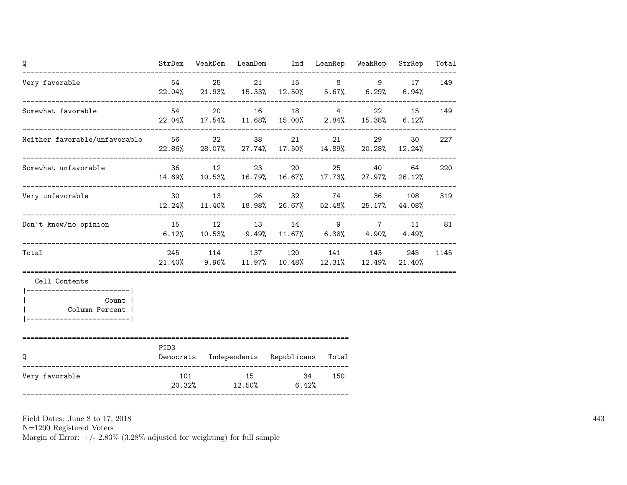| Q                                                   |        |       | StrDem WeakDem LeanDem Ind LeanRep WeakRep StrRep                                              |     |       |                 | Total |
|-----------------------------------------------------|--------|-------|------------------------------------------------------------------------------------------------|-----|-------|-----------------|-------|
| Very favorable                                      |        | 54 25 | 21 15 8 9 17<br>$22.04\%$ 21.93% 15.33% 12.50% 5.67% 6.29%                                     |     |       | $6.94\%$        | 149   |
| Somewhat favorable                                  | 54 7   |       | 20 16 18 4<br>$22.04\%$ $17.54\%$ $11.68\%$ $15.00\%$ $2.84\%$ $15.38\%$ 6.12%                 |     |       | 22 15           | 149   |
| Neither favorable/unfavorable 56 32 38              |        |       | $22.86\%$ 28.07% 27.74% 17.50% 14.89% 20.28% 12.24%                                            | 21  | 29    | 30 <sub>2</sub> | 227   |
| Somewhat unfavorable                                |        | 36 12 | 23 20<br>14.69% 10.53% 16.79% 16.67% 17.73% 27.97% 26.12%                                      |     | 25 40 | 64              | 220   |
| Very unfavorable                                    |        |       | 30 13 26 32 74 36 108<br>$12.24\%$ $11.40\%$ $18.98\%$ $26.67\%$ $52.48\%$ $25.17\%$ $44.08\%$ |     |       |                 | 319   |
| Don't know/no opinion                               |        |       | 15 12 13 14 9 7 11<br>$6.12\%$ $10.53\%$ $9.49\%$ $11.67\%$ $6.38\%$ $4.90\%$                  |     |       | 4.49%           | 81    |
| Total                                               |        |       | 245 114 137 120 141 143 245<br>21.40% 9.96% 11.97% 10.48% 12.31% 12.49% 21.40%                 |     |       |                 | 1145  |
| Cell Contents                                       |        |       |                                                                                                |     |       |                 |       |
| Count  <br>Column Percent<br>______________________ |        |       |                                                                                                |     |       |                 |       |
| Q                                                   | PID3   |       | Democrats Independents Republicans Total                                                       |     |       |                 |       |
| Very favorable                                      | 20.32% |       | 101 15 34<br>$12.50\%$ 6.42%                                                                   | 150 |       |                 |       |

N=1200 Registered Voters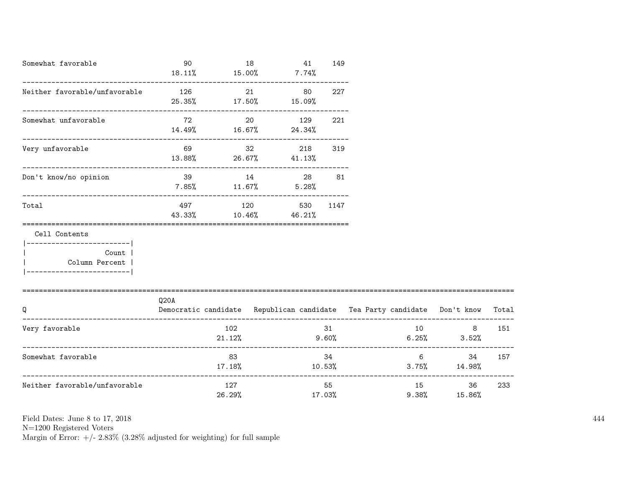| Somewhat favorable                                                                                    | 90<br>18.11%            | $15.00\%$ 7.74%               | 18        | 41       | 149           |             |                                                                          |       |
|-------------------------------------------------------------------------------------------------------|-------------------------|-------------------------------|-----------|----------|---------------|-------------|--------------------------------------------------------------------------|-------|
| Neither favorable/unfavorable                                                                         | 126                     | 25.35% 17.50% 15.09%          | 21        | 80       | 227           |             |                                                                          |       |
| Somewhat unfavorable                                                                                  | 72                      | $14.49\%$ $16.67\%$ $24.34\%$ | 20        | 129      | 221           |             |                                                                          |       |
| Very unfavorable                                                                                      | $13.88\%$ 26.67% 41.13% | 69 — 100                      | $32 - 32$ | 218      | 319           |             |                                                                          |       |
| Don't know/no opinion                                                                                 |                         | 39 14<br>$7.85\%$ 11.67%      |           | $5.28\%$ | 28 — 10<br>81 |             |                                                                          |       |
| Total                                                                                                 | 497<br>43.33%           | $10.46\%$ $46.21\%$           | 120       | 530      | 1147          |             |                                                                          |       |
| Cell Contents<br>----------------------- <br>Count  <br>  Column Percent  <br>----------------------- |                         |                               |           |          |               |             |                                                                          |       |
| Q                                                                                                     | Q20A                    |                               |           |          |               |             | Democratic candidate Republican candidate Tea Party candidate Don't know | Total |
| Very favorable                                                                                        |                         | 102<br>21.12%                 |           | 9.60%    | 31            | 10          | 8<br>$6.25\%$ $3.52\%$                                                   | 151   |
| Somewhat favorable                                                                                    |                         | 83<br>17.18%                  |           |          | 34            |             | $6 \qquad \qquad$<br>34<br>$10.53\%$ 3.75% $14.98\%$                     | 157   |
| Neither favorable/unfavorable                                                                         |                         | 127<br>26.29%                 |           |          | 55<br>17.03%  | 15<br>9.38% | 36<br>15.86%                                                             | 233   |

N=1200 Registered Voters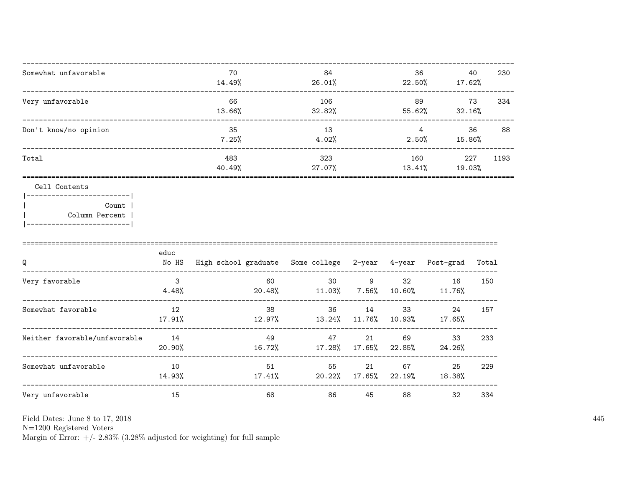| 70     | 84     | 36     | 40     | 230  |
|--------|--------|--------|--------|------|
| 14.49% | 26.01% | 22.50% | 17.62% |      |
| 66     | 106    | 89     | 73     | 334  |
| 13.66% | 32.82% | 55.62% | 32.16% |      |
| 35     | 13     | 4      | 36     | 88   |
| 7.25%  | 4.02%  | 2.50%  | 15.86% |      |
| 483    | 323    | 160    | 227    | 1193 |
| 40.49% | 27.07% | 13.41% | 19.03% |      |
|        |        |        |        |      |

### Cell Contents

| Count 1        |
|----------------|
| Column Percent |
|                |

| Q                             | educ<br>No HS | High school graduate Some college 2-year 4-year |                 |              |              | Post-grad    | Total |
|-------------------------------|---------------|-------------------------------------------------|-----------------|--------------|--------------|--------------|-------|
| Very favorable                | 3<br>4.48%    | 60<br>20.48%                                    | 30<br>11.03%    | 9<br>7.56%   | 32<br>10.60% | 16<br>11.76% | 150   |
| Somewhat favorable            | 12<br>17.91%  | -38<br>12.97%                                   | 36<br>13.24%    | 14<br>11.76% | 33<br>10.93% | 24<br>17.65% | 157   |
| Neither favorable/unfavorable | 14<br>20.90%  | 49<br>16.72%                                    | 47<br>17.28%    | 21<br>17.65% | 69<br>22.85% | 33<br>24.26% | 233   |
| Somewhat unfavorable          | 10<br>14.93%  | 51<br>$17.41\%$                                 | 55<br>$20.22\%$ | 21<br>17.65% | 67<br>22.19% | 25<br>18.38% | 229   |
| Very unfavorable              | 15            | 68                                              | 86              | 45           | 88           | 32           | 334   |

Field Dates: June 8 to 17, 2018

 ${\rm N}{=}1200$  Registered Voters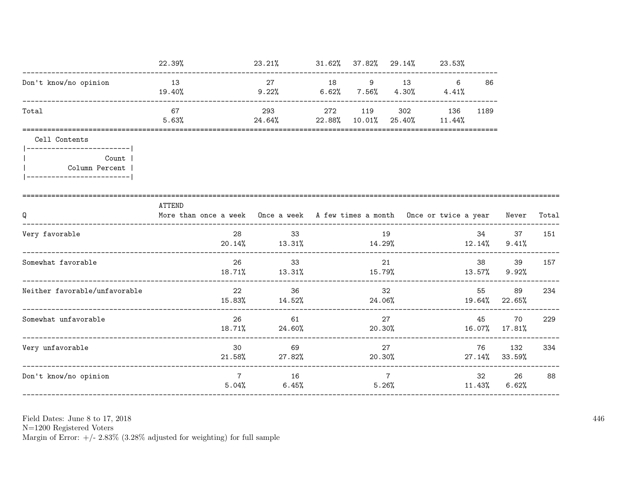|                                                      | 22.39%                                                                                     | $23.21\%$ $31.62\%$ $37.82\%$ $29.14\%$ $23.53\%$ |        |                          |                                      |                         |                     |       |
|------------------------------------------------------|--------------------------------------------------------------------------------------------|---------------------------------------------------|--------|--------------------------|--------------------------------------|-------------------------|---------------------|-------|
| Don't know/no opinion                                | 13<br>19.40%                                                                               | 27<br>$9.22\%$ 6.62% 7.56%                        |        | 18 9 13                  | $6\overline{6}$<br>$4.30\%$ $4.41\%$ | 86                      |                     |       |
| Total                                                | 67<br>5.63%                                                                                | 293<br>$24.64\%$ 22.88% 10.01%                    |        | 272 119 302 136          | $25.40\%$ 11.44%                     | 1189                    |                     |       |
| Cell Contents                                        |                                                                                            |                                                   |        |                          |                                      |                         |                     |       |
| Count<br>Column Percent<br>------------------------- |                                                                                            |                                                   |        |                          |                                      |                         |                     |       |
| Q                                                    | ATTEND<br>More than once a week Once a week A few times a month Once or twice a year Never |                                                   |        |                          |                                      |                         |                     | Total |
| Very favorable                                       | 28                                                                                         | 33<br>$20.14\%$ $13.31\%$ $14.29\%$               |        | 19                       | 12.14%                               | 34                      | 37<br>9.41%         | 151   |
| Somewhat favorable                                   | 26                                                                                         | 33<br>$18.71\%$ $13.31\%$ $15.79\%$ $13.57\%$     |        | 21                       |                                      | 38 — 13                 | 39<br>9.92%         | 157   |
| Neither favorable/unfavorable                        | 22                                                                                         | 36<br>15.83% 14.52%                               | 24.06% | 32                       |                                      | 55                      | 89<br>19.64% 22.65% | 234   |
| Somewhat unfavorable                                 | 26<br>18.71%                                                                               | 61<br>24.60%                                      | 20.30% | 27                       |                                      | 45                      | 70<br>16.07% 17.81% | 229   |
| Very unfavorable                                     | 30<br>21.58%                                                                               | 69<br>27.82%                                      | 20.30% | 27                       |                                      | 76<br>27.14%            | 132<br>33.59%       | 334   |
| Don't know/no opinion                                | $\overline{7}$                                                                             | 16<br>5.04%<br>$6.45\%$                           |        | $7\phantom{.0}$<br>5.26% |                                      | 32 and $\sim$<br>11.43% | 26<br>6.62%         | 88    |

N=1200 Registered Voters<br>Margin of Error:  $+/- 2.83\%$  (3.28% adjusted for weighting) for full sample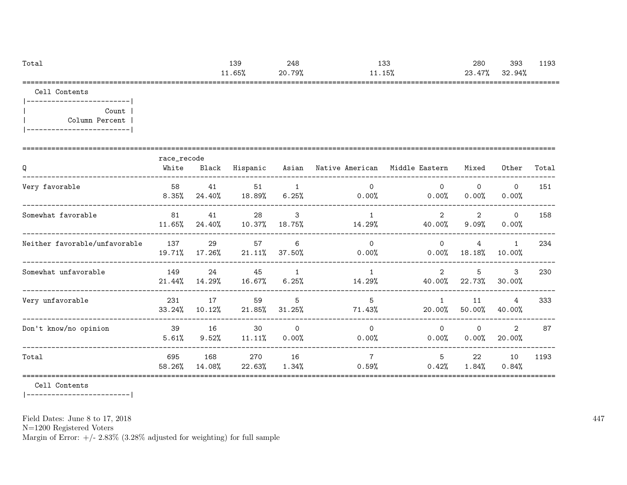| Total | 139    | 248    | 133    | 280                 | 393        | 193<br>. |
|-------|--------|--------|--------|---------------------|------------|----------|
|       | 11.65% | 20.79% | 11.15% | . 47%<br>ດລ<br>20.4 | .94%<br>32 |          |
|       |        |        |        |                     |            |          |

Cell Contents

|-------------------------| | Count | | Column Percent | |-------------------------|

| Q                             | race_recode<br>White | Black           | Hispanic        |                            | Asian – Native American – Middle Eastern |                          | Mixed                      | Other                  | Total |
|-------------------------------|----------------------|-----------------|-----------------|----------------------------|------------------------------------------|--------------------------|----------------------------|------------------------|-------|
| Very favorable                | 58<br>$8.35\%$       | 41<br>24.40%    | 51<br>18.89%    | 1<br>$6.25\%$              | $\Omega$<br>$0.00\%$                     | $\Omega$<br>$0.00\%$     | $\Omega$<br>$0.00\%$       | $\mathbf 0$<br>0.00%   | 151   |
| Somewhat favorable            | 81<br>11.65%         | 41<br>24.40%    | 28<br>10.37%    | 3<br>18.75%                | $\mathbf{1}$<br>14.29%                   | 2<br>40.00%              | $\overline{2}$<br>$9.09\%$ | $\circ$<br>0.00%       | 158   |
| Neither favorable/unfavorable | 137<br>19.71%        | 29<br>$17.26\%$ | 57<br>$21.11\%$ | 6<br>37.50%                | $\Omega$<br>$0.00\%$                     | $\Omega$<br>$0.00\%$     | 4<br>$18.18\%$             | $\mathbf{1}$<br>10.00% | 234   |
| Somewhat unfavorable          | 149<br>21.44%        | 24<br>14.29%    | 45<br>16.67%    | $\overline{1}$<br>$6.25\%$ | $\overline{1}$<br>14.29%                 | $\mathcal{L}$<br>40.00%  | 5<br>22.73%                | 3<br>30.00%            | 230   |
| Very unfavorable              | 231<br>33.24%        | 17<br>10.12%    | 59<br>21.85%    | 5<br>$31.25\%$             | 5<br>71.43%                              | $\overline{1}$<br>20.00% | 11<br>$50.00\%$            | 4<br>40.00%            | 333   |
| Don't know/no opinion         | 39<br>5.61%          | 16<br>$9.52\%$  | 30<br>$11.11\%$ | $\mathbf 0$<br>$0.00\%$    | $\Omega$<br>$0.00\%$                     | $\Omega$<br>$0.00\%$     | $\Omega$<br>0.00%          | 2<br>20.00%            | 87    |
| Total                         | 695<br>58.26%        | 168<br>14.08%   | 270<br>22.63%   | 16<br>1.34%                | $\overline{7}$<br>0.59%                  | 5<br>0.42%               | 22<br>1.84%                | 10<br>0.84%            | 1193  |

Cell Contents

|-------------------------|

Field Dates: June 8 to 17, 2018

N=1200 Registered Voters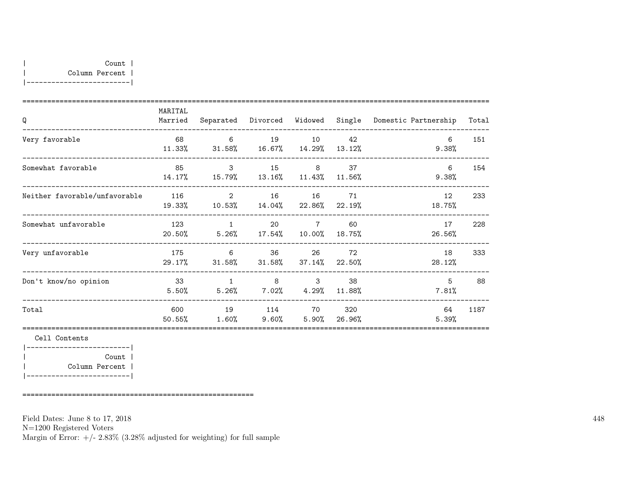| MARITAL<br>Married | Separated       |                                   |                                | Domestic Partnership                                                                                                                                                                                                                                        | Total  |
|--------------------|-----------------|-----------------------------------|--------------------------------|-------------------------------------------------------------------------------------------------------------------------------------------------------------------------------------------------------------------------------------------------------------|--------|
| 68<br>11.33%       | $6\overline{6}$ | 10                                | 42<br>13.12%                   | -6<br>9.38%                                                                                                                                                                                                                                                 | 151    |
| 85<br>14.17%       |                 |                                   |                                | 6<br>9.38%                                                                                                                                                                                                                                                  | 154    |
| 116<br>19.33%      | 2               | 16                                | 71                             | 12<br>18.75%                                                                                                                                                                                                                                                | 233    |
| 123<br>20.50%      | $\overline{1}$  | $7\overline{ }$                   | 60<br>18.75%                   | 17<br>26.56%                                                                                                                                                                                                                                                | 228    |
| 175<br>29.17%      | $\overline{6}$  | 26                                | 72<br>22.50%                   | 18<br>28.12%                                                                                                                                                                                                                                                | 333    |
| 33<br>5.50%        | 1               | $\mathbf{3}$                      | 38<br>11.88%                   | 5<br>7.81%                                                                                                                                                                                                                                                  | 88     |
| 600<br>50.55%      | 19<br>1.60%     |                                   | 26.96%                         | 64<br>5.39%                                                                                                                                                                                                                                                 | 1187   |
|                    |                 | $\overline{\mathbf{3}}$<br>31.58% | 19<br>16<br>20<br>36<br>8 - 10 | Divorced Widowed<br>$31.58\%$ $16.67\%$ $14.29\%$<br>15 8 37<br>15.79% 13.16% 11.43% 11.56%<br>$10.53\%$ $14.04\%$ $22.86\%$ $22.19\%$<br>$5.26\%$ $17.54\%$ $10.00\%$<br>$31.58\%$ $37.14\%$<br>$5.26\%$ $7.02\%$ $4.29\%$<br>114 70 320<br>$9.60\%$ 5.90% | Single |

|-------------------------| | Count | | Column Percent | |-------------------------|

========================================================

Field Dates: June 8 to 17, 2018

N=1200 Registered Voters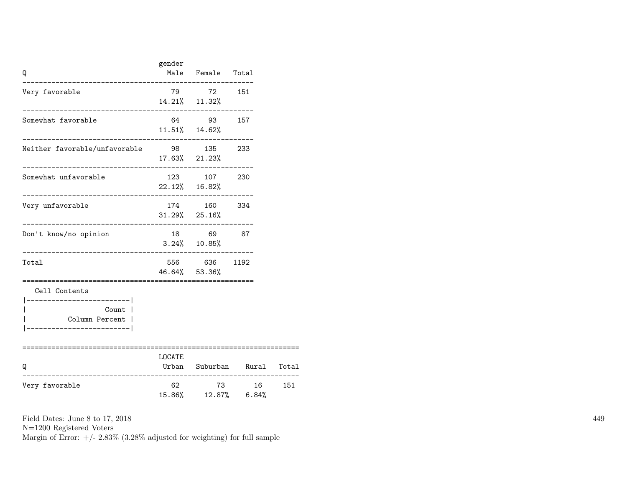| Q                                                                    | gender                     | Male Female Total                                       |                      |       |
|----------------------------------------------------------------------|----------------------------|---------------------------------------------------------|----------------------|-------|
| Very favorable                                                       |                            | 79 72 151<br>14.21% 11.32%                              |                      |       |
| Somewhat favorable                                                   |                            | 64 93 157<br>$11.51\%$ $14.62\%$                        |                      |       |
| Neither favorable/unfavorable 98 135 233                             |                            | 17.63% 21.23%                                           |                      |       |
| Somewhat unfavorable<br>_________________________                    |                            | 123 107 230<br>$22.12\%$ 16.82%<br>-------------------- |                      |       |
| Very unfavorable                                                     |                            | 174 160 334<br>$31.29\%$ 25.16%                         |                      |       |
| Don't know/no opinion                                                |                            | 18 69 87<br>$3.24\%$ 10.85%                             |                      |       |
| Total                                                                |                            | 556 636 1192<br>46.64% 53.36%                           |                      |       |
| Cell Contents<br>______________________<br>Count  <br>Column Percent |                            |                                                         |                      |       |
| O                                                                    | ================<br>LOCATE |                                                         | Urban Suburban Rural | Total |
| Very favorable                                                       | 62                         | 15.86% 12.87% 6.84%                                     | 73 16                | 151   |

N=1200 Registered Voters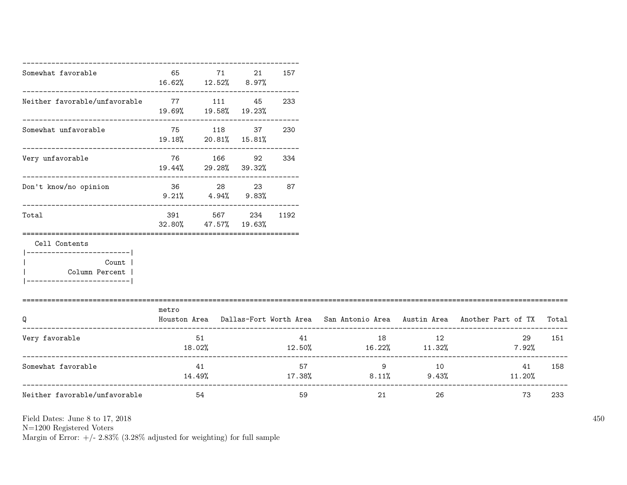| Somewhat favorable                                                                           | 65<br>16.62% 12.52% 8.97%  | 71                         | 21 | 157      |                                                                                                                                                                                                                                                                  |       |                                                                                           |     |
|----------------------------------------------------------------------------------------------|----------------------------|----------------------------|----|----------|------------------------------------------------------------------------------------------------------------------------------------------------------------------------------------------------------------------------------------------------------------------|-------|-------------------------------------------------------------------------------------------|-----|
| Neither favorable/unfavorable 77 111 45                                                      | 19.69%  19.58%  19.23%     |                            |    | 233      |                                                                                                                                                                                                                                                                  |       |                                                                                           |     |
| Somewhat unfavorable                                                                         | $19.18\%$ 20.81% $15.81\%$ | 75 118 37                  |    | 230      |                                                                                                                                                                                                                                                                  |       |                                                                                           |     |
| Very unfavorable                                                                             | 19.44% 29.28% 39.32%       | 76 166                     | 92 | 334      |                                                                                                                                                                                                                                                                  |       |                                                                                           |     |
| Don't know/no opinion                                                                        | 36 28 23                   | $9.21\%$ $4.94\%$ $9.83\%$ |    | 87       |                                                                                                                                                                                                                                                                  |       |                                                                                           |     |
| Total                                                                                        | 391<br>32.80%              | 567<br>47.57% 19.63%       |    | 234 1192 |                                                                                                                                                                                                                                                                  |       |                                                                                           |     |
| Cell Contents<br>____________________<br>Count<br>Column Percent<br>________________________ |                            |                            |    |          |                                                                                                                                                                                                                                                                  |       |                                                                                           |     |
| Q                                                                                            | metro                      |                            |    |          |                                                                                                                                                                                                                                                                  |       | Houston Area Dallas-Fort Worth Area San Antonio Area Austin Area Another Part of TX Total |     |
| Very favorable                                                                               | 18.02%                     | 51                         |    |          | 41 — 2007 — 2008 — 2008 — 2008 — 2008 — 2008 — 2008 — 2008 — 2008 — 2008 — 2008 — 2008 — 2008 — 2008 — 2008 — 2008 — 2008 — 2008 — 2008 — 2008 — 2008 — 2008 — 2008 — 2008 — 2008 — 2008 — 2008 — 2008 — 2008 — 2008 — 2008 — 2<br>$12.50\%$ $16.22\%$ $11.32\%$ | 18 12 | 29<br>$7.92\%$                                                                            | 151 |
| Somewhat favorable                                                                           |                            | 41                         |    |          |                                                                                                                                                                                                                                                                  | 9 10  | 41<br>$14.49\%$ $17.38\%$ $8.11\%$ $9.43\%$ $11.20\%$                                     | 158 |
| Neither favorable/unfavorable                                                                |                            | 54                         |    | 59       | 21                                                                                                                                                                                                                                                               | 26    | 73                                                                                        | 233 |

N=1200 Registered Voters

Margin of Error:  $+/- 2.83\%$  (3.28% adjusted for weighting) for full sample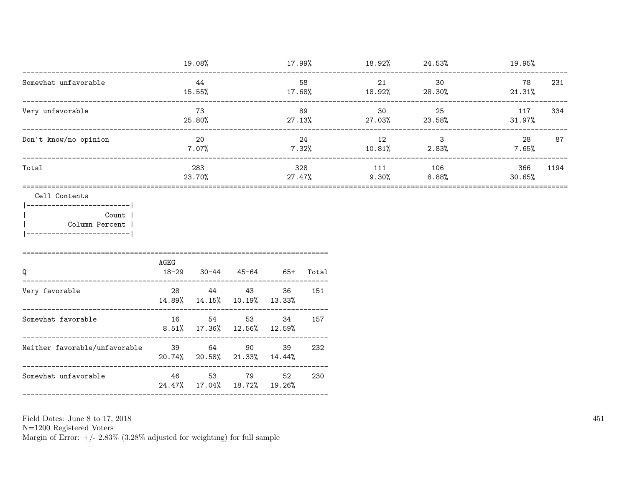|                                                                                              |               | 19.08%         |                                                                                                                                              |                       |               | $17.99\%$ 18.92% 24.53%    |                                              | 19.95%         |      |
|----------------------------------------------------------------------------------------------|---------------|----------------|----------------------------------------------------------------------------------------------------------------------------------------------|-----------------------|---------------|----------------------------|----------------------------------------------|----------------|------|
| ---------------------------------<br>Somewhat unfavorable<br>------------------------------- |               | 44<br>15.55%   |                                                                                                                                              |                       | 58            | 21<br>17.68% 18.92% 28.30% | 30                                           | 78<br>21.31%   | 231  |
| Very unfavorable<br>-------------------------------                                          |               | 73<br>25.80%   |                                                                                                                                              |                       | 89<br>27.13%  | 30                         | 25<br>27.03% 23.58%                          | 117<br>31.97%  | 334  |
| Don't know/no opinion                                                                        |               | 20<br>$7.07\%$ |                                                                                                                                              |                       | 24<br>7.32%   | 12                         | $\overline{\phantom{a}}$ 3<br>$10.81%$ 2.83% | 28<br>$7.65\%$ | 87   |
| Total                                                                                        |               | 283<br>23.70%  |                                                                                                                                              |                       | 328<br>27.47% | 111<br>9.30%               | 106<br>$8.88\%$                              | 366<br>30.65%  | 1194 |
| Cell Contents<br>________________________<br>Count  <br>Column Percent                       |               |                |                                                                                                                                              |                       |               |                            |                                              |                |      |
| Q                                                                                            | AGEG<br>18-29 |                |                                                                                                                                              | 30-44 45-64 65+ Total |               |                            |                                              |                |      |
| Very favorable<br>---------------------------                                                | 14.89% 14.15% |                | 28 44 43<br>10.19% 13.33%                                                                                                                    | 36                    | 151           |                            |                                              |                |      |
| Somewhat favorable                                                                           |               |                | 16 54 53<br>$8.51\%$ 17.36% 12.56% 12.59%                                                                                                    | 34                    | 157           |                            |                                              |                |      |
| Neither favorable/unfavorable                                                                | 39 64 90      |                | $20.74\%$ 20.58% $21.33\%$ 14.44%                                                                                                            | 39                    | 232           |                            |                                              |                |      |
| Somewhat unfavorable                                                                         |               | 46 53          | 79 — 179 — 179 — 179 — 179 — 179 — 179 — 179 — 179 — 179 — 179 — 179 — 179 — 179 — 179 — 179 — 179 — 179 — 17<br>24.47% 17.04% 18.72% 19.26% | 52                    | 230           |                            |                                              |                |      |
|                                                                                              |               |                |                                                                                                                                              |                       |               |                            |                                              |                |      |

N=1200 Registered Voters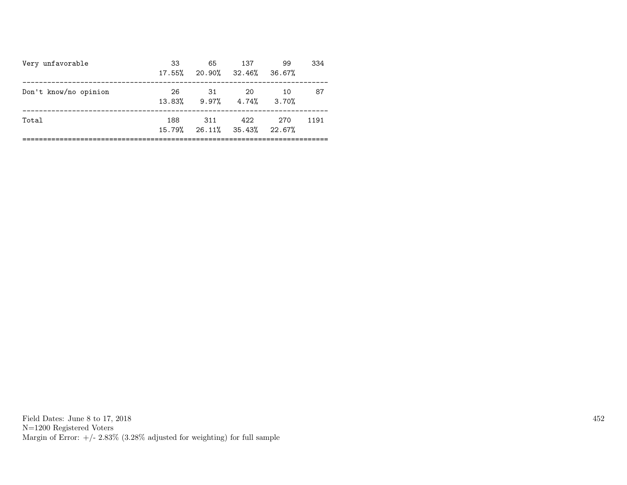| Very unfavorable      | 33<br>$17.55\%$ | 65<br>20.90% 32.46% 36.67%            | 137 | 99  | 334  |
|-----------------------|-----------------|---------------------------------------|-----|-----|------|
| Don't know/no opinion | 26              | -31<br>$13.83\%$ 9.97% $4.74\%$ 3.70% | -20 | 10  | 87   |
| Total                 | 188             | 311<br>15.79% 26.11% 35.43% 22.67%    | 422 | 270 | 1191 |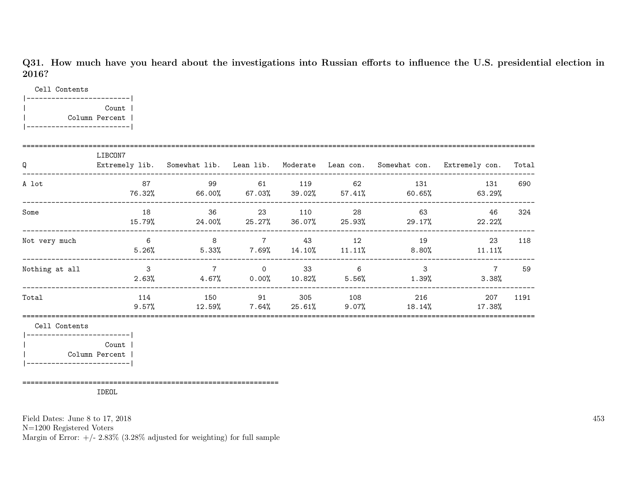Q31. How much have you heard about the investigations into Russian efforts to influence the U.S. presidential election in 2016?

Cell Contents

|-------------------------| | Count | | Column Percent | |-------------------------|

| Q              | LIBCON7         |                                         |                                         |     |                                             |                           | Extremely lib. Somewhat lib. Lean lib. Moderate Lean con. Somewhat con. Extremely con. | Total |
|----------------|-----------------|-----------------------------------------|-----------------------------------------|-----|---------------------------------------------|---------------------------|----------------------------------------------------------------------------------------|-------|
| A lot          | 87<br>76.32%    | 99<br>66.00%   67.03%   39.02%   57.41% | 61                                      | 119 | 62                                          | 131<br>60.65%             | 131<br>63.29%                                                                          | 690   |
| Some           | 18<br>15.79%    | 36<br>24.00%                            | 23                                      | 110 | 28<br>$25.27\%$ 36.07% 25.93%               | 63<br>29.17%              | 46<br>22.22%                                                                           | 324   |
| Not very much  | -6<br>$5.26\%$  | 8                                       | $\overline{7}$                          | 43  | 12<br>$5.33\%$ $7.69\%$ $14.10\%$ $11.11\%$ | 19<br>8.80%               | 23<br>11.11%                                                                           | 118   |
| Nothing at all | 3<br>$2.63\%$   | $7\overline{ }$                         | $\overline{0}$<br>$4.67\%$ 0.00% 10.82% | 33  | $\sim$ 6                                    | 3<br>$5.56\%$<br>$1.39\%$ | $\overline{7}$<br>3.38%                                                                | 59    |
| Total          | 114<br>$9.57\%$ | 150<br>12.59%                           | 91<br>$7.64\%$ 25.61%                   | 305 | 108<br>9.07%                                | 216<br>18.14%             | 207<br>17.38%                                                                          | 1191  |
| Cell Contents  |                 |                                         |                                         |     |                                             |                           |                                                                                        |       |

|-------------------------| | Count | | Column Percent | |-------------------------|

==============================================================

IDEOL

Field Dates: June 8 to 17, 2018

N=1200 Registered Voters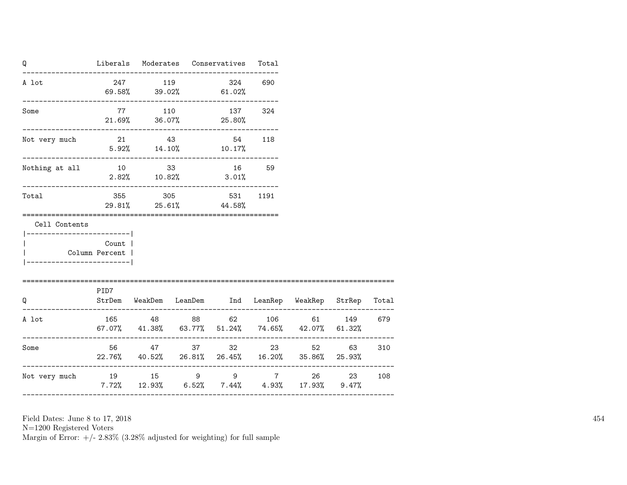| Q                                          |       |                 | Liberals Moderates Conservatives Total                                                               |                              |         |        |
|--------------------------------------------|-------|-----------------|------------------------------------------------------------------------------------------------------|------------------------------|---------|--------|
| A lot                                      |       | 247 119         | 324 690<br>$69.58\%$ $39.02\%$ $61.02\%$                                                             |                              |         |        |
| Some                                       |       | 77 110          | 137 324<br>$21.69\%$ $36.07\%$ $25.80\%$                                                             |                              |         |        |
| Not very much                              |       |                 | 21 43 54 118<br>$5.92\%$ $14.10\%$ $10.17\%$                                                         |                              |         |        |
| Nothing at all $10$ 33 3 16 59             |       | $2.82\%$ 10.82% | 3.01%                                                                                                |                              |         |        |
| Total                                      |       | 355 305         | 531 1191<br>29.81% 25.61% 44.58%                                                                     |                              |         |        |
| Cell Contents<br>-----------------------   |       |                 |                                                                                                      |                              |         |        |
| Column Percent  <br>---------------------- | Count |                 |                                                                                                      |                              |         |        |
| =====================<br>O                 | PID7  |                 | StrDem WeakDem LeanDem Ind LeanRep WeakRep StrRep Total                                              |                              |         |        |
| A lot                                      |       |                 | 165 48 88 62 106 61 149 679<br>$67.07\%$ $41.38\%$ $63.77\%$ $51.24\%$ $74.65\%$ $42.07\%$ $61.32\%$ | ---------                    |         |        |
| Some                                       |       |                 | 56 47 37 32 23 52<br>22.76% 40.52% 26.81% 26.45% 16.20% 35.86% 25.93%                                |                              | 63 — 10 | 310    |
| Not very much                              |       |                 | 19 15 9 9 7 26<br>$7.72\%$ 12.93% 6.52% 7.44% 4.93% 17.93% 9.47%                                     | ---------------------------- |         | 23 108 |
|                                            |       |                 |                                                                                                      |                              |         |        |

N=1200 Registered Voters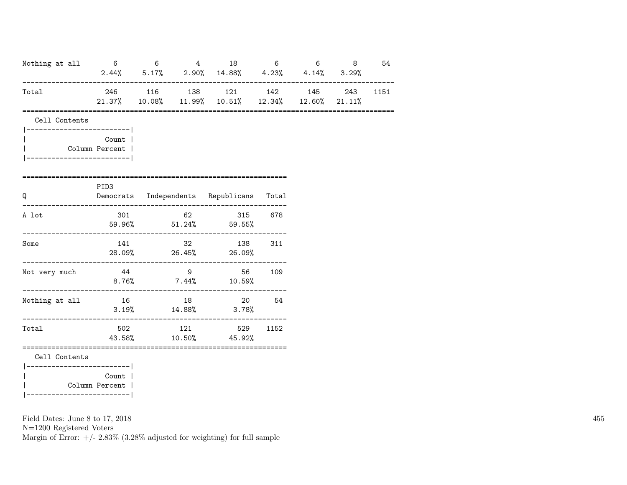| Nothing at all |                                            | $6\qquad 6$ |                | 4 18<br>$2.44\%$ 5.17% 2.90% 14.88% 4.23% 4.14% 3.29%                                                  | 6    | $6$ 8 | 54   |
|----------------|--------------------------------------------|-------------|----------------|--------------------------------------------------------------------------------------------------------|------|-------|------|
| Total          |                                            |             |                | 246 116 138 121 142 145<br>$21.37\%$ 10.08 $\%$ 11.99 $\%$ 10.51 $\%$ 12.34 $\%$ 12.60 $\%$ 21.11 $\%$ |      | 243   | 1151 |
| Cell Contents  |                                            |             |                |                                                                                                        |      |       |      |
|                | Count  <br>Column Percent                  |             |                |                                                                                                        |      |       |      |
| Q              | ======================<br>PID <sub>3</sub> |             |                | Democrats Independents Republicans Total                                                               |      |       |      |
| A lot          |                                            |             |                | 301 62 315 678<br>59.96% 51.24% 59.55%                                                                 |      |       |      |
| Some           |                                            |             |                | 141 32 138 311<br>28.09% 26.45% 26.09%                                                                 |      |       |      |
| Not very much  | 44                                         |             | $\overline{9}$ | 56 109<br>$8.76\%$ 7.44% 10.59%                                                                        |      |       |      |
| Nothing at all | 16 18                                      |             |                | 20 54<br>$3.19%$ $14.88%$ $3.78%$                                                                      |      |       |      |
| Total          |                                            |             | 502 121        | 529<br>43.58% 10.50% 45.92%                                                                            | 1152 |       |      |

Cell Contents

|-------------------------| | Count | | Column Percent | |-------------------------|

Field Dates: June 8 to 17, 2018

N=1200 Registered Voters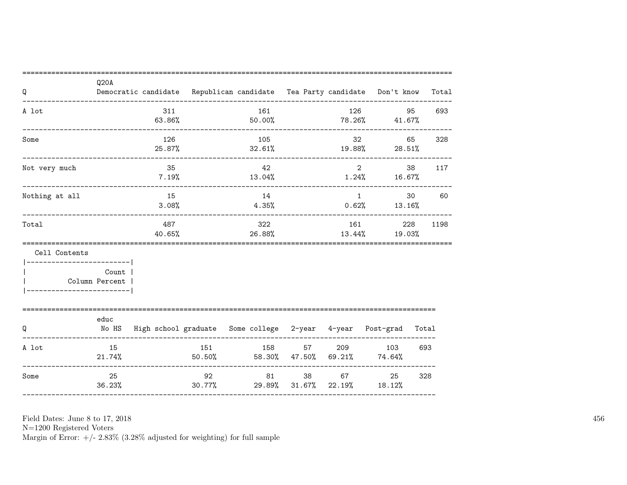| Q                                 | Q20A                     |                               |                       | Democratic candidate Republican candidate Tea Party candidate Don't know Total |                                       |         |                         |                       |
|-----------------------------------|--------------------------|-------------------------------|-----------------------|--------------------------------------------------------------------------------|---------------------------------------|---------|-------------------------|-----------------------|
| A lot                             |                          | 311                           |                       | 161                                                                            |                                       | 126     | 95                      | 693                   |
|                                   |                          | $63.86\%$                     |                       |                                                                                |                                       |         | $50.00\%$ 78.26% 41.67% |                       |
| Some                              |                          | 126                           |                       | 105                                                                            | ------------------------------------- | 32      | 65                      | 328                   |
|                                   | ________________________ | 25.87%                        |                       |                                                                                | 32.61%                                |         | $19.88\%$ 28.51%        |                       |
| Not very much                     |                          | 35                            |                       | 42                                                                             |                                       |         | $\overline{2}$          | 38<br>117             |
|                                   |                          | $7.19\%$                      |                       | $13.04\%$                                                                      |                                       |         | $1.24\%$ 16.67%         |                       |
| Nothing at all                    |                          | 15                            |                       | 14                                                                             |                                       | 1       |                         | 30 <sub>2</sub><br>60 |
| --------------------------------- |                          | 3.08%                         |                       | 4.35%                                                                          | ----------------------                |         | $0.62\%$ 13.16%         |                       |
| Total                             |                          | 487                           |                       | 322                                                                            |                                       | 161     |                         | 228<br>1198           |
|                                   |                          | 40.65%<br>------------------- | _____________________ | 26.88%                                                                         |                                       |         | $13.44\%$ $19.03\%$     |                       |
| Cell Contents                     |                          |                               |                       |                                                                                |                                       |         |                         |                       |
|                                   | Count                    |                               |                       |                                                                                |                                       |         |                         |                       |
|                                   | Column Percent           |                               |                       |                                                                                |                                       |         |                         |                       |
| --------------------------        |                          |                               |                       |                                                                                |                                       |         |                         |                       |
|                                   | educ                     |                               |                       |                                                                                |                                       |         |                         |                       |
| Q                                 |                          |                               |                       | No HS High school graduate Some college 2-year 4-year Post-grad Total          |                                       |         |                         |                       |
| A lot                             | 15                       |                               |                       | 151                                                                            | 158 57 209 103                        |         |                         | 693                   |
|                                   | $21.74\%$                |                               |                       | $50.50\%$ $58.30\%$ $47.50\%$ $69.21\%$ $74.64\%$                              |                                       |         |                         |                       |
| Some                              | 25                       |                               | 92                    |                                                                                | 81 — 10                               | 67 — 10 | 25                      | 328                   |
|                                   | 36.23%                   |                               | 30.77%                | 29.89%                                                                         |                                       |         | $31.67\%$ 22.19% 18.12% |                       |

Field Dates: June 8 to 17, 2018

 ${\rm N}{=}1200$  Registered Voters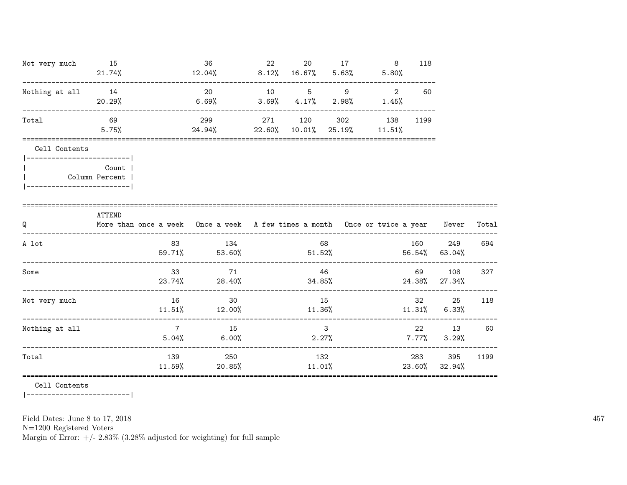| Not very much 15                                                              |          |                | - 36                                                                             | 22 |    | 20 17           |   | 118           |                   |       |
|-------------------------------------------------------------------------------|----------|----------------|----------------------------------------------------------------------------------|----|----|-----------------|---|---------------|-------------------|-------|
|                                                                               | 21.74%   |                | $12.04\%$ 8.12% 16.67% 5.63% 5.80%                                               |    |    |                 |   |               |                   |       |
| Nothing at all 14                                                             |          |                | 20 10 5 9                                                                        |    |    |                 | 2 | 60            |                   |       |
|                                                                               | 20.29%   |                | $6.69\%$ $3.69\%$ $4.17\%$ $2.98\%$ $1.45\%$                                     |    |    |                 |   |               |                   |       |
| Total                                                                         | 69       |                | 299                                                                              |    |    | 271 120 302 138 |   | 1199          |                   |       |
|                                                                               | $5.75\%$ |                | $24.94\%$ 22.60% 10.01% 25.19% 11.51%                                            |    |    |                 |   |               |                   |       |
| Cell Contents                                                                 |          |                |                                                                                  |    |    |                 |   |               |                   |       |
| ------------------------- <br>  Column Percent  <br> ------------------------ | Count    |                |                                                                                  |    |    |                 |   |               |                   |       |
|                                                                               |          |                |                                                                                  |    |    |                 |   |               |                   |       |
|                                                                               | ATTEND   |                |                                                                                  |    |    |                 |   |               |                   |       |
| Q                                                                             |          |                | More than once a week Once a week A few times a month Once or twice a year Never |    |    |                 |   |               |                   | Total |
| A lot                                                                         |          | 83             | 134                                                                              |    |    | 68              |   | 160           | 249               | 694   |
|                                                                               |          |                | 59.71% 53.60% 51.52% 56.54% 63.04%                                               |    |    |                 |   |               |                   |       |
| Some                                                                          |          |                | 33 71                                                                            |    |    | 46              |   |               | 69 108            | 327   |
|                                                                               |          |                | $23.74\%$ 28.40% 34.85%                                                          |    |    |                 |   |               | 24.38% 27.34%     |       |
| Not very much                                                                 |          | 16             | 30                                                                               |    | 15 |                 |   | 32 and $\sim$ | 25                | 118   |
|                                                                               |          |                | $11.51\%$ $12.00\%$ $11.36\%$ $11.31\%$ 6.33%                                    |    |    |                 |   |               |                   |       |
| Nothing at all                                                                |          | $\overline{7}$ | 15                                                                               |    |    | $\mathbf{3}$    |   |               | 22 13             | 60    |
|                                                                               |          |                | $5.04\%$ 6.00%                                                                   |    |    | 2.27%           |   |               | $7.77\%$ $3.29\%$ |       |
| Total                                                                         |          |                | 139 250                                                                          |    |    | 132             |   | 283           | 395               | 1199  |
|                                                                               |          |                | $11.59\%$ 20.85%                                                                 |    |    | 11.01%          |   | 23.60%        | 32.94%            |       |
|                                                                               |          |                |                                                                                  |    |    |                 |   |               |                   |       |

Cell Contents

|-------------------------|

Field Dates: June 8 to 17, 2018

N=1200 Registered Voters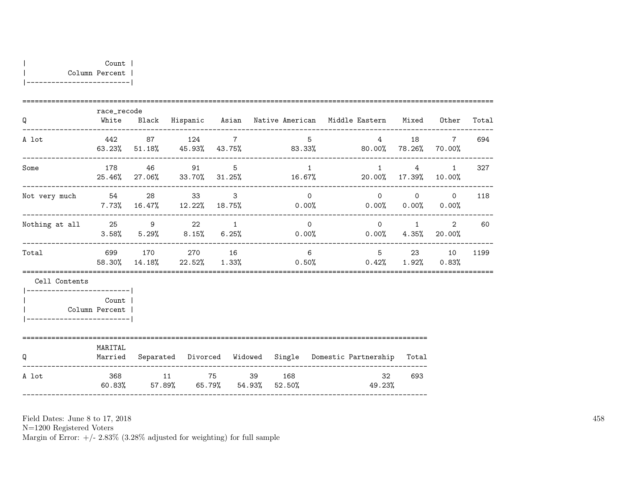|  | Count 1        |  |
|--|----------------|--|
|  | Column Percent |  |

|-------------------------|

|                            | race_recode |                |                                                                             |                |                |                                   |                                                                                                                  |      |
|----------------------------|-------------|----------------|-----------------------------------------------------------------------------|----------------|----------------|-----------------------------------|------------------------------------------------------------------------------------------------------------------|------|
| Q                          |             |                | White Black Hispanic Asian Native-American Middle-Eastern Mixed Other Total |                |                |                                   |                                                                                                                  |      |
| A lot                      |             | 442 87 124 7   | $63.23\%$ 51.18% 45.93% 43.75% 83.33% 80.00% 78.26% 70.00%                  | $5^{\circ}$    | $\overline{4}$ |                                   | 18 7                                                                                                             | 694  |
| Some                       |             | 178 46 91 5    | 25.46% 27.06% 33.70% 31.25% 16.67% 20.00% 17.39% 10.00%                     | $\sim$ 1       |                |                                   | $1 \qquad 4 \qquad 1$                                                                                            | 327  |
| Not very much 54 28 33 3   |             |                | $7.73\%$ 16.47% 12.22% 18.75% 0.00% 0.00% 0.00% 0.00% 0.00%                 | $\Omega$       |                | $0\qquad \qquad 0\qquad \qquad 0$ |                                                                                                                  | 118  |
| Nothing at all $25$ 9 22 1 |             |                | $3.58\%$ $5.29\%$ $8.15\%$ $6.25\%$ $0.00\%$ $0.00\%$ $4.35\%$ $20.00\%$    | $\overline{0}$ |                |                                   | $\begin{matrix}0\\1\end{matrix}\qquad\quad \begin{matrix}2\\2\end{matrix}\qquad \begin{matrix}60\\1\end{matrix}$ |      |
| Total                      |             | 699 170 270 16 | 58.30% 14.18% 22.52% 1.33% 0.50% 0.42% 1.92% 0.83%                          | 6              | $5^{\circ}$    |                                   | 23 10                                                                                                            | 1199 |
| Cell Contents              |             |                |                                                                             |                |                |                                   |                                                                                                                  |      |
| Column Percent             | Count       |                |                                                                             |                |                |                                   |                                                                                                                  |      |
| Q                          | MARITAL     |                | Married Separated Divorced Widowed Single Domestic-Partnership Total        |                |                |                                   |                                                                                                                  |      |
| A lot                      |             |                | 368 11 75 39 168<br>60.83% 57.89% 65.79% 54.93% 52.50%                      |                | 49.23%         | 32<br>693                         |                                                                                                                  |      |

Field Dates: June 8 to 17, 2018

N=1200 Registered Voters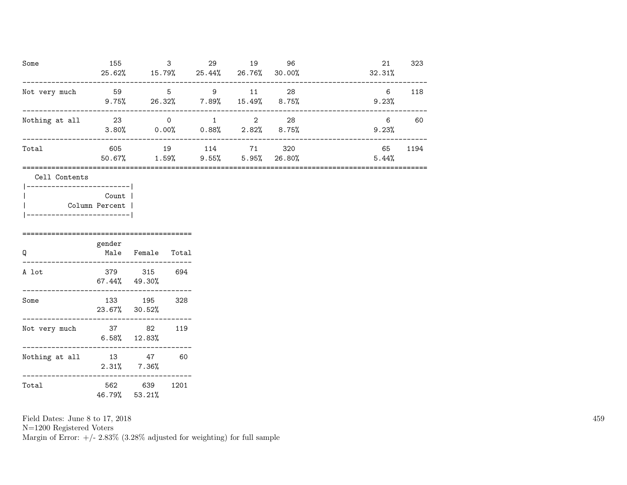| Some           | 155<br>25.62% | 3<br>15.79% | 29<br>25.44%    | 19<br>26.76%           | 96<br>30.00%   | 21<br>32.31% | 323  |
|----------------|---------------|-------------|-----------------|------------------------|----------------|--------------|------|
| Not very much  | 59<br>9.75%   | 5<br>26.32% | 9<br>$7.89\%$   | 11<br>15.49%           | 28<br>$8.75\%$ | 6<br>9.23%   | 118  |
| Nothing at all | 23<br>3.80%   | 0<br>0.00%  | 0.88%           | $\mathcal{D}$<br>2.82% | 28<br>8.75%    | 6<br>9.23%   | 60   |
| Total          | 605<br>50.67% | 19<br>1.59% | 114<br>$9.55\%$ | 71<br>5.95%            | 320<br>26.80%  | 65<br>5.44%  | 1194 |
|                |               |             |                 |                        |                |              |      |

|  | Cell Contents |                |
|--|---------------|----------------|
|  |               |                |
|  |               | Count          |
|  |               | Column Percent |
|  |               |                |

| Q              | gender<br>Male | Female                     | Total |
|----------------|----------------|----------------------------|-------|
| A lot          | 379            | 315<br>$67.44\%$ $49.30\%$ | 694   |
| Some           | 133<br>23.67%  | 195<br>30.52%              | 328   |
| Not very much  | 37             | 82<br>$6.58\%$ 12.83%      | 119   |
| Nothing at all | 13<br>2.31%    | 47<br>7.36%                | 60    |
| Total          | 562<br>46.79%  | 639<br>53.21%              | 1201  |

N=1200 Registered Voters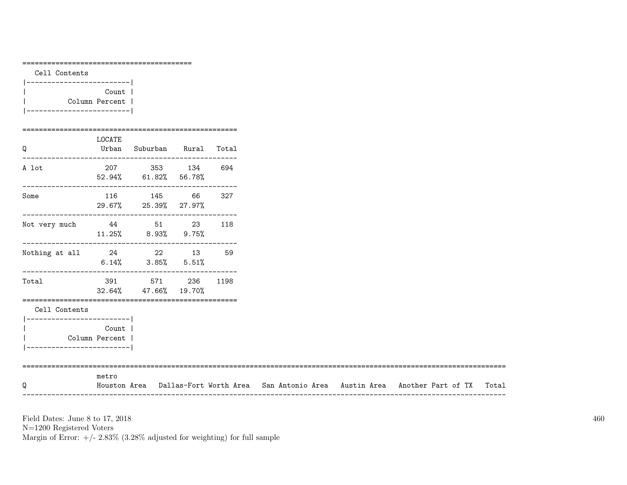| Cell Contents<br> -------------------------                    |        |                                               |     |  |  |                                                                                           |
|----------------------------------------------------------------|--------|-----------------------------------------------|-----|--|--|-------------------------------------------------------------------------------------------|
| $\mathbf{L}$<br>Column Percent  <br>__________________________ | Count  |                                               |     |  |  |                                                                                           |
| ========================                                       | LOCATE |                                               |     |  |  |                                                                                           |
| Q<br>A lot                                                     |        | Urban Suburban Rural Total<br>207 353 134 694 |     |  |  |                                                                                           |
|                                                                |        | 52.94% 61.82% 56.78%                          |     |  |  |                                                                                           |
| Some                                                           |        | 116 145 66 327<br>29.67% 25.39% 27.97%        |     |  |  |                                                                                           |
| Not very much 44 51 23<br>$11.25\%$ 8.93% 9.75%                |        |                                               | 118 |  |  |                                                                                           |
| Nothing at all $24$ 22 13 59                                   |        | $6.14\%$ $3.85\%$ $5.51\%$                    |     |  |  |                                                                                           |
| Total                                                          |        | 391 571 236 1198<br>32.64% 47.66% 19.70%      |     |  |  |                                                                                           |
| Cell Contents<br> -------------------------                    |        |                                               |     |  |  |                                                                                           |
| Column Percent                                                 | Count  |                                               |     |  |  |                                                                                           |
| Q                                                              | metro  |                                               |     |  |  | Houston Area Dallas-Fort Worth Area San Antonio Area Austin Area Another Part of TX Total |

 $\rm N{=}1200$  Registered Voters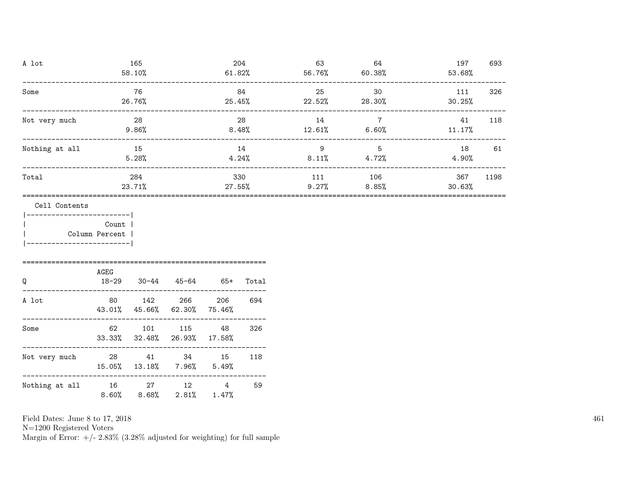| A lot                                           | 165<br>58.10%                              |           |                                           | 204             | 61.82% | 63      | 64<br>$56.76\%$ 60.38% | 197<br>53.68%                                                              | 693           |     |
|-------------------------------------------------|--------------------------------------------|-----------|-------------------------------------------|-----------------|--------|---------|------------------------|----------------------------------------------------------------------------|---------------|-----|
| Some                                            | -----------------------                    |           | 76<br>26.76%                              | _______________ | 84     |         | 25                     | 30<br>$25.45\%$ $22.52\%$ $28.30\%$                                        | 111<br>30.25% | 326 |
| Not very much                                   |                                            |           | 28<br>$9.86\%$                            |                 |        | 28      | 14                     | $\overline{7}$<br>$8.48\%$ $12.61\%$ $6.60\%$ $11.17\%$                    | 41            | 118 |
| Nothing at all                                  |                                            | $\sim$ 15 | 5.28%                                     |                 |        | 14      |                        | $9 \left( \frac{1}{2} \right)$<br>5<br>$4.24\%$ $8.11\%$ $4.72\%$ $4.90\%$ | 18            | 61  |
| Total                                           | 284<br>23.71%                              |           |                                           |                 | 330    | 111 106 | $27.55\%$ 9.27% 8.85%  | 367<br>30.63%                                                              | 1198          |     |
|                                                 | Cell Contents<br>_________________________ |           |                                           |                 |        |         |                        |                                                                            |               |     |
| Column Percent  <br> -------------------------- | <b>Count</b>                               |           |                                           |                 |        |         |                        |                                                                            |               |     |
| Q                                               |                                            | AGEG      | 18-29 30-44 45-64 65+ Total               |                 |        |         |                        |                                                                            |               |     |
| A lot                                           |                                            |           | 80 142 266<br>43.01% 45.66% 62.30% 75.46% |                 | 206    | 694     |                        |                                                                            |               |     |
| Some                                            |                                            | 62        | 101                                       | 115 48          |        | 326     |                        |                                                                            |               |     |

N=1200 Registered Voters

Margin of Error:  $+/- 2.83\%$  (3.28% adjusted for weighting) for full sample

33.33% 32.48% 26.93% 17.58%

15.05% 13.18% 7.96% 5.49%

8.60% 8.68% 2.81% 1.47%

----------------------------------------------------------- Not very much 28 41 34 15 118<br>15.05% 13.18% 7.96% 5.49%

----------------------------------------------------------- Nothing at all  $16$  27 12 4 59<br>8.60% 8.68% 2.81% 1.47%

461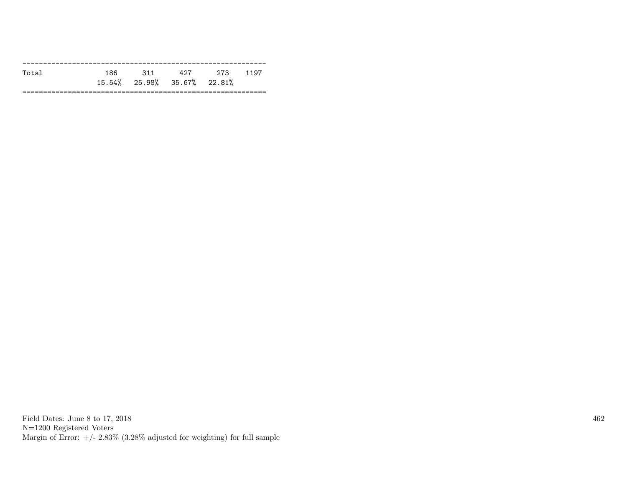| Total | 186. | - 311 | 497                            | 273 | 1197 |
|-------|------|-------|--------------------------------|-----|------|
|       |      |       | $15.54\%$ 25.98% 35.67% 22.81% |     |      |
|       |      |       |                                |     |      |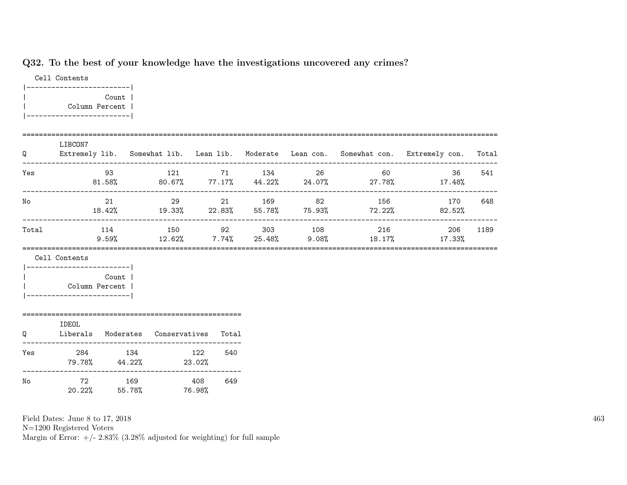# Q32. To the best of your knowledge have the investigations uncovered any crimes?

|  | Cell Contents |                |  |
|--|---------------|----------------|--|
|  | ------        |                |  |
|  |               | Count          |  |
|  |               | Column Percent |  |
|  |               |                |  |

| Q     | LIBCON7<br>Extremely lib. Somewhat lib. Lean lib. Moderate Lean con. Somewhat con. Extremely con. Total     |           |  |  |                                                                                              |      |
|-------|-------------------------------------------------------------------------------------------------------------|-----------|--|--|----------------------------------------------------------------------------------------------|------|
| Yes   | 93                                                                                                          |           |  |  | 121 71 134 26 60 36<br>$81.58\%$ $80.67\%$ $77.17\%$ $44.22\%$ $24.07\%$ $27.78\%$ $17.48\%$ | 541  |
| No    | 21                                                                                                          | $\sim$ 29 |  |  | 21 169 82 156 170<br>$18.42\%$ $19.33\%$ $22.83\%$ $55.78\%$ $75.93\%$ $72.22\%$ $82.52\%$   | 648  |
| Total | 114                                                                                                         |           |  |  | $9.59\%$ $12.62\%$ $7.74\%$ $25.48\%$ $9.08\%$ $18.17\%$ $17.33\%$                           | 1189 |
|       | Cell Contents                                                                                               |           |  |  |                                                                                              |      |
|       | ------------------------- <br>Count  <br>  Column Percent  <br> -------------------------                   |           |  |  |                                                                                              |      |
|       | IDEOL<br>$\overline{a}$ , and $\overline{a}$ , and $\overline{a}$ , and $\overline{a}$ , and $\overline{a}$ |           |  |  |                                                                                              |      |

| Q   | IDEUL<br>Liberals | Moderates     | Conservatives | Total |
|-----|-------------------|---------------|---------------|-------|
| Yes | 284<br>79.78%     | 134<br>44.22% | 122<br>23.02% | 540   |
| No  | 72<br>20.22%      | 169<br>55.78% | 408<br>76.98% | 649   |

Field Dates: June 8 to 17, 2018

N=1200 Registered Voters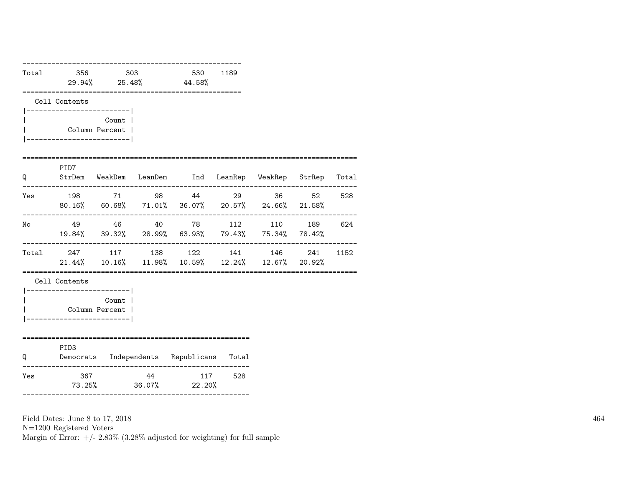| Total | 356<br>29.94% | 25.48% | 303 | 530<br>44.58% | 1189 |
|-------|---------------|--------|-----|---------------|------|
|       | Cell Contents |        |     |               |      |
|       |               | Count  |     |               |      |

|                             | Column Percent |  |
|-----------------------------|----------------|--|
| --------------------------- |                |  |

#### =================================================================================

| Q     | PID7<br>StrDem | WeakDem       | LeanDem       | Ind           | LeanRep             | WeakRep       | StrRep        | Total |
|-------|----------------|---------------|---------------|---------------|---------------------|---------------|---------------|-------|
| Yes   | 198<br>80.16%  | 71<br>60.68%  | 98<br>71.01%  | 44            | 29<br>36.07% 20.57% | 36<br>24.66%  | 52<br>21.58%  | 528   |
| No    | 49<br>19.84%   | 46<br>39.32%  | 40<br>28.99%  | 78<br>63.93%  | 112<br>79.43%       | 110<br>75.34% | 189<br>78.42% | 624   |
| Total | 247<br>21.44%  | 117<br>10.16% | 138<br>11.98% | 122<br>10.59% | 141<br>12.24%       | 146<br>12.67% | 241<br>20.92% | 1152  |

=================================================================================

Cell Contents

|  | Count          |  |
|--|----------------|--|
|  | Column Percent |  |
|  |                |  |

### ======================================================= **PID3**

| Q   | ں سد ت<br>Democrats | Independents | Republicans   | Total |
|-----|---------------------|--------------|---------------|-------|
| Yes | 367<br>73.25%       | 44<br>36.07% | 117<br>22.20% | 528   |

Field Dates: June 8 to 17, 2018

N=1200 Registered Voters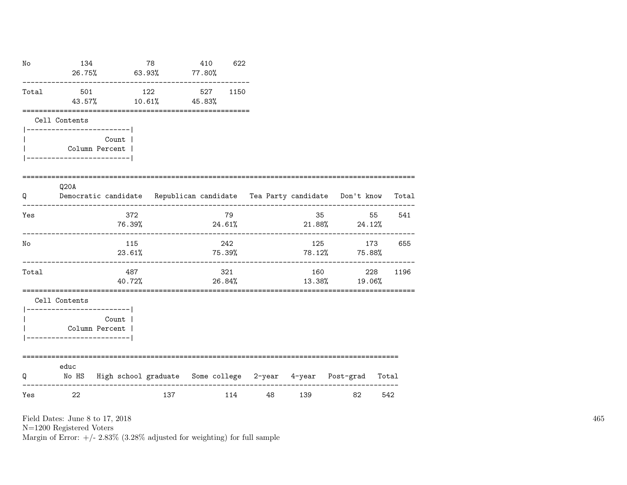| No    | 134<br>26.75%                                                          | 63.93%                    | 78                                                                       | 410<br>$77.80\%$ | 622           |                       |     |                     |             |
|-------|------------------------------------------------------------------------|---------------------------|--------------------------------------------------------------------------|------------------|---------------|-----------------------|-----|---------------------|-------------|
| Total | 501<br>43.57%                                                          |                           | 122<br>$10.61\%$ $45.83\%$                                               | 527              | 1150          |                       |     |                     |             |
|       | Cell Contents<br>------------------------- <br>----------------------- | Count 1<br>Column Percent |                                                                          |                  |               |                       |     |                     |             |
| Q     | Q20A                                                                   |                           | Democratic candidate Republican candidate Tea Party candidate Don't know |                  |               |                       |     |                     | Total       |
| Yes   |                                                                        | 372<br>76.39%             |                                                                          |                  | 79<br>24.61%  |                       | 35  | $21.88\%$ $24.12\%$ | 55<br>541   |
| No    | ____________________                                                   | 115<br>23.61%             |                                                                          | 75.39%           | 242           | --------------------- | 125 | 78.12% 75.88%       | 173<br>655  |
| Total |                                                                        | 487<br>40.72%             |                                                                          |                  | 321<br>26.84% |                       | 160 | 13.38%<br>19.06%    | 228<br>1196 |
|       | Cell Contents<br>------------------------ <br>-----------------------  | Count  <br>Column Percent |                                                                          |                  |               |                       |     |                     |             |
| Q     | educ                                                                   |                           | No HS  High school graduate  Some college  2-year  4-year  Post-grad     |                  |               |                       |     |                     | Total       |
| Yes   | 22                                                                     |                           | 137                                                                      |                  | 114           | 48                    | 139 | 82                  | 542         |

N=1200 Registered Voters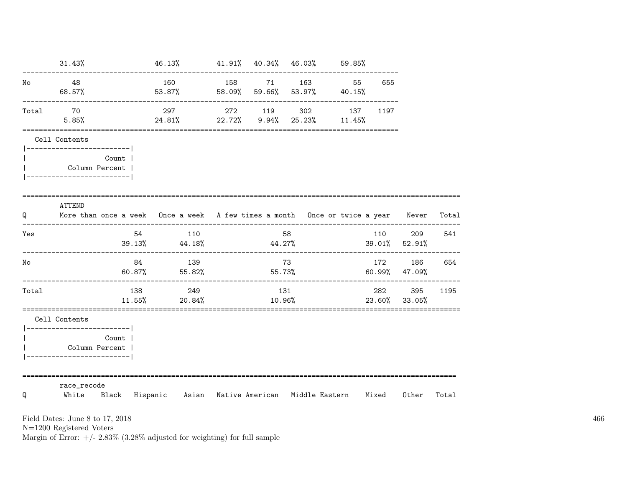|       | 31.43%                                     |       | 46.13%                                                                           | 41.91% 40.34% 46.03% |               |                                                                              | $59.85\%$ |               |                            |       |
|-------|--------------------------------------------|-------|----------------------------------------------------------------------------------|----------------------|---------------|------------------------------------------------------------------------------|-----------|---------------|----------------------------|-------|
| No    | 48<br>68.57%                               |       | 160<br>53.87%                                                                    | 158                  | 71            | 163<br>58.09% 59.66% 53.97% 40.15%                                           | 55        | 655           |                            |       |
| Total | 70<br>5.85%                                |       | 297<br>24.81%                                                                    |                      |               | -------------------------------<br>272 119 302<br>22.72% 9.94% 25.23% 11.45% | 137       | 1197          |                            |       |
|       | Cell Contents<br>------------------------- |       |                                                                                  |                      |               |                                                                              |           |               |                            |       |
|       | Column Percent<br>-----------------------  | Count |                                                                                  |                      |               |                                                                              |           |               |                            |       |
| Q     | ATTEND                                     |       | More than once a week Once a week A few times a month Once or twice a year Never |                      |               |                                                                              |           |               |                            | Total |
| Yes   |                                            | 54    | 110<br>$39.13\%$ 44.18%                                                          |                      |               | 58<br>44.27%                                                                 |           | 110           | 209<br>$39.01\%$ 52.91%    | 541   |
| No    |                                            | 84    | 139<br>60.87% 55.82%<br>--------------------                                     |                      |               | 73<br>55.73%                                                                 |           | 172           | 186<br>$60.99\%$ $47.09\%$ | 654   |
| Total |                                            | 138   | 249<br>$11.55\%$ 20.84%                                                          |                      | 131<br>10.96% |                                                                              |           | 282<br>23.60% | 395<br>33.05%              | 1195  |
|       | Cell Contents<br>------------------------  |       |                                                                                  |                      |               |                                                                              |           |               |                            |       |
|       | Column Percent<br>-----------------------  | Count |                                                                                  |                      |               |                                                                              |           |               |                            |       |
|       | ===================                        |       | =====================================                                            |                      |               |                                                                              |           |               |                            |       |

N=1200 Registered Voters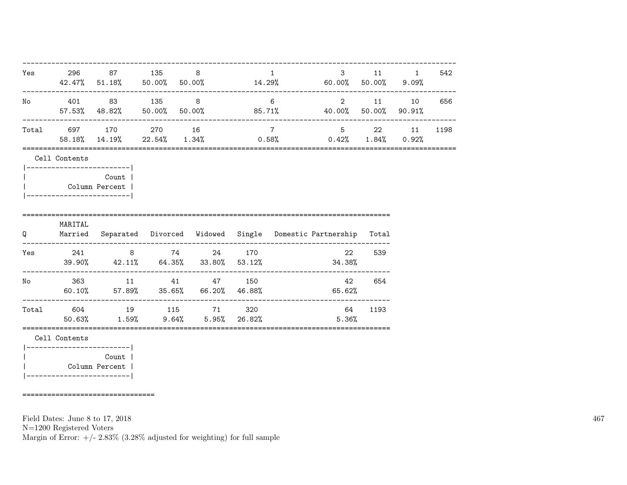| Yes |                                             | 296 87 135 8                                                              |  |                | 1<br>$42.47\%$ 51.18% 50.00% 50.00% 14.29% 60.00% 50.00% 9.09%       |              | $3 \t 11$            | $\mathbf{1}$ | 542    |
|-----|---------------------------------------------|---------------------------------------------------------------------------|--|----------------|----------------------------------------------------------------------|--------------|----------------------|--------------|--------|
|     |                                             | No 401 83 135 8 6                                                         |  |                | 57.53% 48.82% 50.00% 50.00% 85.71% 40.00% 50.00% 90.91%              |              | $2 \qquad \qquad 11$ |              | 10 656 |
|     |                                             | Total 697 170 270 16                                                      |  | $\overline{7}$ | 58.18%, 14.19%, 22.54%, 1.34%, 0.58%, 0.42%, 1.84%, 0.92%,           | 5 22 11 1198 |                      |              |        |
|     | Cell Contents<br>-------------------------- |                                                                           |  |                |                                                                      |              |                      |              |        |
|     | Column Percent                              | Count                                                                     |  |                |                                                                      |              |                      |              |        |
| Q   | MARITAL                                     |                                                                           |  |                | Married Separated Divorced Widowed Single Domestic-Partnership Total |              |                      |              |        |
|     |                                             | Yes 241 8 74                                                              |  | 24 170         | $39.90\%$ $42.11\%$ $64.35\%$ $33.80\%$ $53.12\%$                    | 22<br>34.38% | 539                  |              |        |
|     |                                             | No 363 11 41 47 150<br>$60.10\%$ 57.89% 35.65% 66.20% 46.88%              |  |                |                                                                      | 42<br>65.62% | 654                  |              |        |
|     |                                             | Total 604 19 115 71 320<br>$50.63\%$ $1.59\%$ $9.64\%$ $5.95\%$ $26.82\%$ |  |                |                                                                      | 64<br>5.36%  | 1193                 |              |        |
|     | Cell Contents<br>-------------------------  |                                                                           |  |                |                                                                      |              |                      |              |        |
|     | Column Percent                              | Count                                                                     |  |                |                                                                      |              |                      |              |        |

================================

Field Dates: June 8 to 17, 2018

N=1200 Registered Voters

Margin of Error:  $+/- 2.83\%$  (3.28% adjusted for weighting) for full sample

467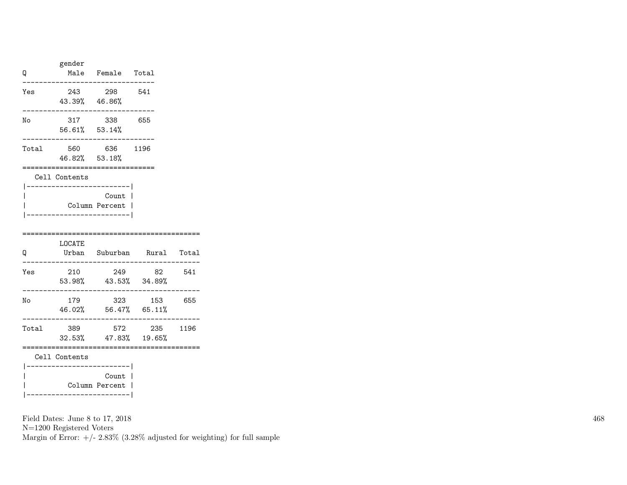| Q     | gender                                       | Male Female Total         |     |
|-------|----------------------------------------------|---------------------------|-----|
| Yes   | 43.39% 46.86%                                | 243 298                   | 541 |
| No    | 56.61% 53.14%                                | 317 338                   | 655 |
| Total | 46.82% 53.18%                                | 560 636 1196              |     |
|       | Cell Contents<br>___________________________ |                           |     |
|       | --------------------                         | Count  <br>Column Percent |     |
|       | I NCATE                                      |                           |     |

| Q     | LOCATE<br>Urban                        | Suburban                        | Rural         | Total |
|-------|----------------------------------------|---------------------------------|---------------|-------|
| Yes   | 210<br>53.98%                          | 249<br>43.53%                   | 82<br>34.89%  | 541   |
| Νo    | 179<br>46.02%                          | 323<br>56.47%                   | 153<br>65.11% | 655   |
| Total | 389<br>32.53%                          | 572<br>47.83% 19.65%            | 235           | 1196  |
|       | Cell Contents<br>--------------------- | $C_{\alpha n}$ + $\blacksquare$ |               |       |

| Count | | Column Percent | |-------------------------|

Field Dates: June 8 to 17, 2018

N=1200 Registered Voters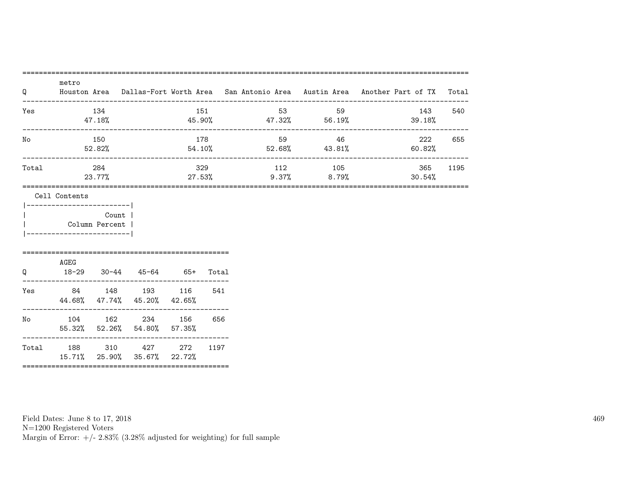| Q     | metro                                        |                      |                                                                                                                                  |     |  |                                     |                       | Houston Area  Dallas-Fort Worth Area  San Antonio Area  Austin Area  Another Part of TX | Total |
|-------|----------------------------------------------|----------------------|----------------------------------------------------------------------------------------------------------------------------------|-----|--|-------------------------------------|-----------------------|-----------------------------------------------------------------------------------------|-------|
| Yes   |                                              | - 134<br>47.18%      |                                                                                                                                  | 151 |  | 53<br>$45.90\%$ $47.32\%$ $56.19\%$ | 59                    | 143<br>39.18%                                                                           | 540   |
| No    |                                              | 178<br>150<br>52.82% |                                                                                                                                  |     |  | $54.10\%$ $52.68\%$ $43.81\%$       | ____________<br>59 46 | 222<br>60.82%                                                                           | 655   |
| Total |                                              | 284<br>23.77%        | ------------------------<br>_______________<br>--------------------------------<br>105<br>329<br>112<br>$9.37\%$ 8.79%<br>27.53% |     |  |                                     | 365<br>30.54%         | 1195                                                                                    |       |
|       | ------------------------- <br>Column Percent | <b>Count</b>         |                                                                                                                                  |     |  |                                     |                       |                                                                                         |       |
| O     | AGEG                                         |                      | 18-29 30-44 45-64 65+ Total                                                                                                      |     |  |                                     |                       |                                                                                         |       |
|       |                                              |                      | Yes 84 148 193 116 541<br>44.68% 47.74% 45.20% 42.65%                                                                            |     |  |                                     |                       |                                                                                         |       |
| No    |                                              |                      | 104 162 234 156 656<br>55.32% 52.26% 54.80% 57.35%                                                                               |     |  |                                     |                       |                                                                                         |       |
|       |                                              |                      | Total 188 310 427 272 1197<br>15.71% 25.90% 35.67% 22.72%                                                                        |     |  |                                     |                       |                                                                                         |       |

Field Dates: June 8 to 17, 2018 N=1200 Registered Voters

Margin of Error:  $+/- 2.83\%$  (3.28% adjusted for weighting) for full sample

469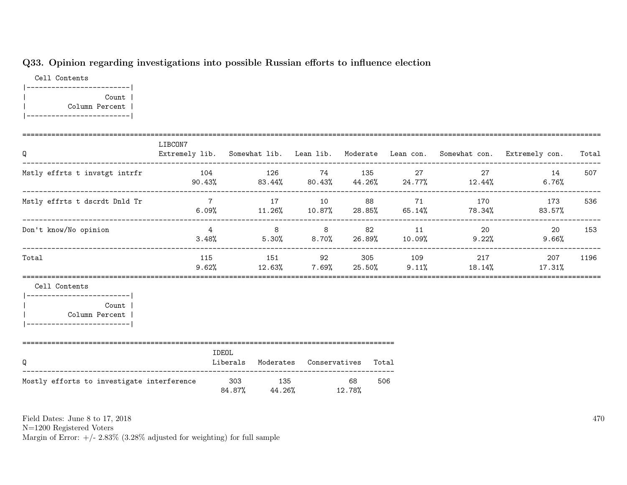## Q33. Opinion regarding investigations into possible Russian efforts to influence election

============================================================================================================================================

Cell Contents |-------------------------| | Count | | Column Percent | |-------------------------|

| Q                                                                                                                 | LIBCON7<br>Extremely lib. Somewhat lib. Lean lib. Moderate Lean con. Somewhat con. Extremely con. |                                        |           |                                                                            |                                                                                     | Total |
|-------------------------------------------------------------------------------------------------------------------|---------------------------------------------------------------------------------------------------|----------------------------------------|-----------|----------------------------------------------------------------------------|-------------------------------------------------------------------------------------|-------|
| Mstly effrts t invstgt intrfr                                                                                     | 104 126 74 135 27                                                                                 |                                        |           |                                                                            | 27<br>14<br>90.43% 83.44% 80.43% 44.26% 24.77% 12.44% 6.76%                         | 507   |
| Mstly effrts t dscrdt Dnld Tr                                                                                     |                                                                                                   | 7 17 10 88 71                          |           |                                                                            | 170 173 536<br>$6.09\%$ $11.26\%$ $10.87\%$ $28.85\%$ $65.14\%$ $78.34\%$ $83.57\%$ |       |
| Don't know/No opinion                                                                                             | $\overline{4}$                                                                                    |                                        |           | 8 8 82 11 20 20<br>$3.48\%$ $5.30\%$ $8.70\%$ $26.89\%$ $10.09\%$ $9.22\%$ | 9.66%                                                                               | 153   |
| Total                                                                                                             |                                                                                                   |                                        |           | 115 151 92 305 109 217                                                     | 207<br>$9.62\%$ 12.63% 7.69% 25.50% 9.11% 18.14% 17.31%                             | 1196  |
| Cell Contents<br> ------------------------- <br><b>Count</b><br>  Column Percent  <br> -------------------------- |                                                                                                   |                                        |           |                                                                            |                                                                                     |       |
| Q                                                                                                                 | IDEOL                                                                                             | Liberals Moderates Conservatives Total |           |                                                                            |                                                                                     |       |
| Mostly efforts to investigate interference                                                                        |                                                                                                   | 303 135<br>84.87% 44.26% 12.78%        | 68<br>506 |                                                                            |                                                                                     |       |

Field Dates: June 8 to 17, 2018

N=1200 Registered Voters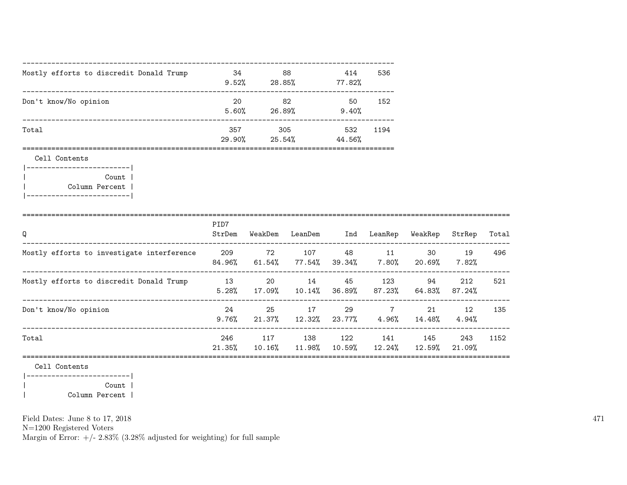| Mostly efforts to discredit Donald Trump | 34<br>9.52%   | 88<br>28.85%  | 536<br>414<br>77.82%  |  |
|------------------------------------------|---------------|---------------|-----------------------|--|
| Don't know/No opinion                    | 20<br>5.60%   | 82<br>26.89%  | 152<br>50<br>9.40%    |  |
| Total                                    | 357<br>29.90% | 305<br>25.54% | 532<br>1194<br>44.56% |  |

Cell Contents



|                                            | PID7          |               |               |                 |               |               |               |       |
|--------------------------------------------|---------------|---------------|---------------|-----------------|---------------|---------------|---------------|-------|
| Q                                          | StrDem        | WeakDem       | LeanDem       | Ind             | LeanRep       | WeakRep       | StrRep        | Total |
| Mostly efforts to investigate interference | 209<br>84.96% | 72<br>61.54%  | 107<br>77.54% | 48<br>39.34%    | 11<br>7.80%   | 30<br>20.69%  | 19<br>7.82%   | 496   |
| Mostly efforts to discredit Donald Trump   | 13<br>5.28%   | 20<br>17.09%  | 14<br>10.14%  | 45<br>36.89%    | 123<br>87.23% | 94<br>64.83%  | 212<br>87.24% | 521   |
| Don't know/No opinion                      | 24<br>9.76%   | 25<br>21.37%  | 17<br>12.32%  | 29<br>$23.77\%$ | 7<br>4.96%    | 21<br>14.48%  | 12<br>4.94%   | 135   |
| Total                                      | 246<br>21.35% | 117<br>10.16% | 138<br>11.98% | 122<br>10.59%   | 141<br>12.24% | 145<br>12.59% | 243<br>21.09% | 1152  |
| Cell Contents                              |               |               |               |                 |               |               |               |       |

|-------------------------| | Count | | Column Percent |

Field Dates: June 8 to 17, 2018

N=1200 Registered Voters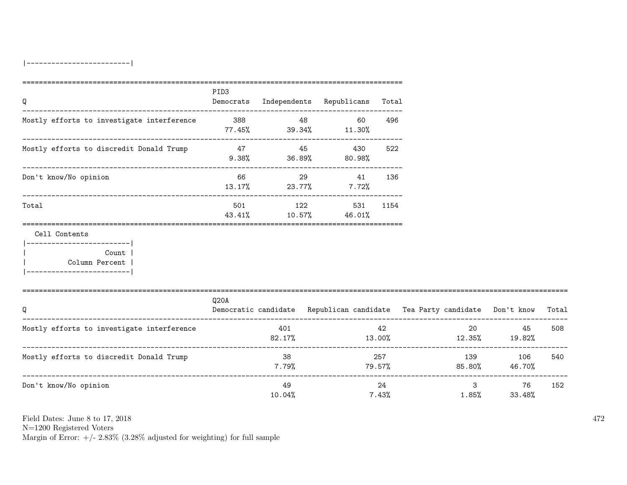|-------------------------|

| Q                                                                                                    | PID3  |                              |    | Democrats Independents Republicans Total |             |                                                                          |              |       |
|------------------------------------------------------------------------------------------------------|-------|------------------------------|----|------------------------------------------|-------------|--------------------------------------------------------------------------|--------------|-------|
| Mostly efforts to investigate interference 388 388 48                                                |       | $77.45\%$ 39.34% 11.30%      |    | 60                                       | 496         |                                                                          |              |       |
| Mostly efforts to discredit Donald Trump                                                             | 47 45 | $9.38\%$ $36.89\%$ $80.98\%$ |    | 430                                      | 522         |                                                                          |              |       |
| Don't know/No opinion                                                                                | 66    | $13.17\%$ 23.77% 7.72%       | 29 | 41                                       | 136         |                                                                          |              |       |
| Total                                                                                                |       | 43.41% 10.57% 46.01%         |    | 501 122 531 1154                         |             |                                                                          |              |       |
| Cell Contents<br>________________________<br>Count<br>  Column Percent<br>__________________________ |       |                              |    |                                          |             |                                                                          |              |       |
| Q                                                                                                    | Q20A  |                              |    |                                          |             | Democratic candidate Republican candidate Tea Party candidate Don't know |              | Total |
| Mostly efforts to investigate interference                                                           |       | 401<br>82.17%                |    |                                          | 42          | $13.00\%$ $12.35\%$ $19.82\%$                                            | 20 45        | 508   |
| Mostly efforts to discredit Donald Trump                                                             |       | 38<br>7.79%                  |    |                                          | 257         | 139<br>$79.57\%$ 85.80% 46.70%                                           | 106          | 540   |
| Don't know/No opinion                                                                                |       | 49<br>10.04%                 |    |                                          | 24<br>7.43% | $\mathbf{3}$<br>$1.85\%$                                                 | 76<br>33.48% | 152   |

Field Dates: June 8 to 17, 2018

N=1200 Registered Voters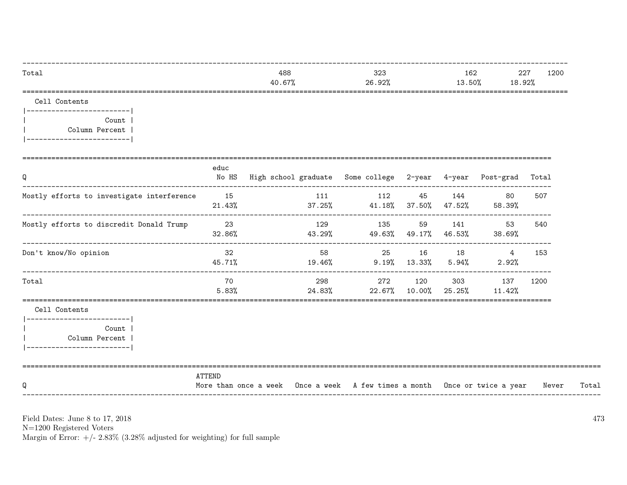| Total         | 488<br>40.67% | 323<br>26.92% | 162<br>13.50% | 227<br>1200<br>18.92% |
|---------------|---------------|---------------|---------------|-----------------------|
| Cell Contents |               |               |               |                       |

|------------------------| Count | Column Percent | |------------------------|

| Q                                                                                                 | educ            | No HS High school graduate Some college 2-year 4-year Post-grad Total      |                                                                                                                                                                                                                                 |             |     |       |       |
|---------------------------------------------------------------------------------------------------|-----------------|----------------------------------------------------------------------------|---------------------------------------------------------------------------------------------------------------------------------------------------------------------------------------------------------------------------------|-------------|-----|-------|-------|
| Mostly efforts to investigate interference                                                        | 15<br>$21.43\%$ | $37.25\%$ 41.18% $37.50\%$ 47.52% 58.39%                                   | 111 112 45 144                                                                                                                                                                                                                  |             | 80  | 507   |       |
| Mostly efforts to discredit Donald Trump                                                          | 23<br>32.86%    | $43.29\%$ $49.63\%$ $49.17\%$ $46.53\%$ $38.69\%$                          | 129 135 59 141                                                                                                                                                                                                                  |             | 53  | 540   |       |
| Don't know/No opinion                                                                             | 32<br>45.71%    | 58<br>$19.46\%$ $9.19\%$ $13.33\%$ $5.94\%$ 2.92%                          | 25 16 18                                                                                                                                                                                                                        |             | 4   | 153   |       |
| Total                                                                                             | 70<br>5.83%     | $24.83\%$ 22.67% 10.00% 25.25% 11.42%                                      | 298 — 100 — 100 — 100 — 100 — 100 — 100 — 100 — 100 — 100 — 100 — 100 — 100 — 100 — 100 — 100 — 100 — 100 — 100 — 100 — 100 — 100 — 100 — 100 — 100 — 100 — 100 — 100 — 100 — 100 — 100 — 100 — 100 — 100 — 100 — 100 — 100 — 1 | 272 120 303 | 137 | 1200  |       |
| Cell Contents<br>-----------------------<br>Count<br>Column Percent<br>__________________________ |                 |                                                                            |                                                                                                                                                                                                                                 |             |     |       |       |
| Q                                                                                                 | ATTEND          | More than once a week Once a week A few times a month Once or twice a year |                                                                                                                                                                                                                                 |             |     | Never | Total |

Field Dates: June 8 to 17, 2018

 ${\rm N}{=}1200$  Registered Voters

Margin of Error:  $+/- 2.83\%$  (3.28% adjusted for weighting) for full sample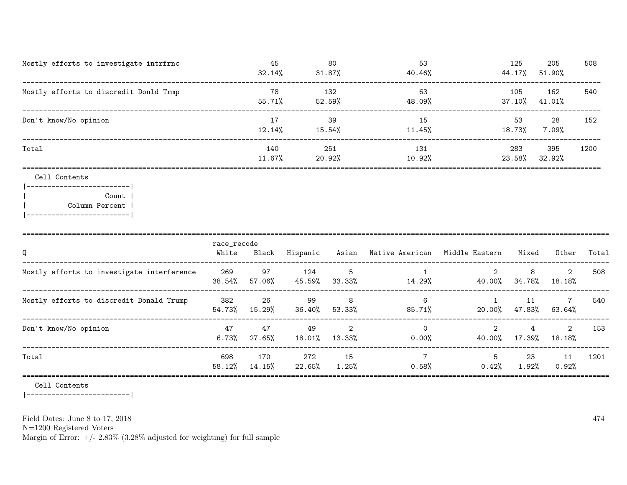| Mostly efforts to investigate intrfrnc | 45<br>32.14%  | -80<br>$31.87\%$ | 53<br>40.46%  | 125<br>44.17%    | 205<br>51.90% | 508  |
|----------------------------------------|---------------|------------------|---------------|------------------|---------------|------|
| Mostly efforts to discredit Donld Trmp | 78<br>55.71%  | 132<br>52.59%    | 63<br>48.09%  | 105<br>$37.10\%$ | 162<br>41.01% | 540  |
| Don't know/No opinion                  | 17<br>12.14%  | 39<br>15.54%     | 15<br>11.45%  | 53<br>18.73%     | 28<br>7.09%   | 152  |
| Total                                  | 140<br>11.67% | 251<br>20.92%    | 131<br>10.92% | 283<br>23.58%    | 395<br>32.92% | 1200 |
|                                        |               |                  |               |                  |               |      |

#### Cell Contents

|-------------------------| | Count | | Column Percent | |-------------------------|

| Q                                          | race_recode<br>White | Black           | Hispanic      | Asian       | Native American      | Middle Eastern                        | Mixed        | Other                     | Total |
|--------------------------------------------|----------------------|-----------------|---------------|-------------|----------------------|---------------------------------------|--------------|---------------------------|-------|
| Mostly efforts to investigate interference | 269<br>38.54%        | 97<br>$57.06\%$ | 124<br>45.59% | 5<br>33.33% | 14.29%               | 2<br>40.00%                           | 8<br>34.78%  | 2<br>18.18%               | 508   |
| Mostly efforts to discredit Donald Trump   | 382<br>54.73%        | -26<br>15.29%   | 99<br>36.40%  | 8<br>53.33% | 6<br>85.71%          | 20.00%                                | 11<br>47.83% | $7\overline{ }$<br>63.64% | 540   |
| Don't know/No opinion                      | 47<br>6.73%          | 47<br>27.65%    | 49<br>18.01%  | 2<br>13.33% | $\Omega$<br>$0.00\%$ | $\mathcal{D}_{\mathcal{L}}$<br>40.00% | 4<br>17.39%  | $2^{\circ}$<br>18.18%     | 153   |
| Total                                      | 698<br>58.12%        | 170<br>14.15%   | 272<br>22.65% | 15<br>1.25% | 7<br>$0.58\%$        | 5<br>$0.42\%$                         | 23<br>1.92%  | 11<br>$0.92\%$            | 1201  |
|                                            |                      |                 |               |             |                      |                                       |              |                           |       |

Cell Contents

|-------------------------|

Field Dates: June 8 to 17, 2018

N=1200 Registered Voters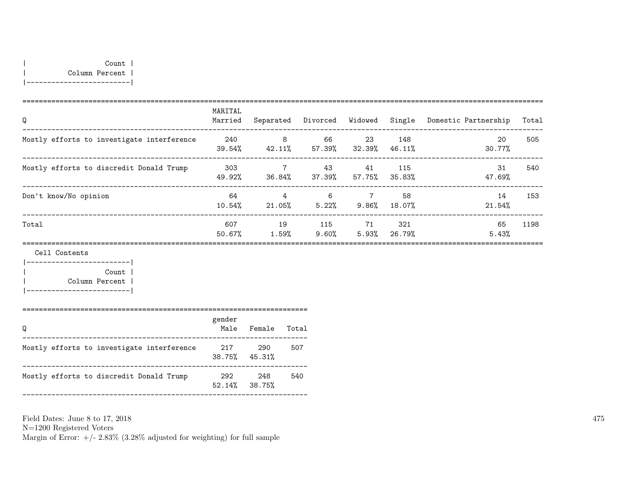| Count | | Column Percent | |-------------------------|

| Q                                          | MARITAL<br>Married | Separated                | Divorced Widowed Single |              |               | Domestic Partnership | Total |
|--------------------------------------------|--------------------|--------------------------|-------------------------|--------------|---------------|----------------------|-------|
| Mostly efforts to investigate interference | 240<br>39.54%      | 8<br>42.11%              | 66<br>57.39%            | 23<br>32.39% | 148<br>46.11% | 20<br>30.77%         | 505   |
| Mostly efforts to discredit Donald Trump   | 303<br>49.92%      | $\overline{7}$<br>36.84% | 43<br>37.39%            | 41<br>57.75% | 115<br>35.83% | 31<br>47.69%         | 540   |
| Don't know/No opinion                      | 64<br>$10.54\%$    | $\overline{4}$<br>21.05% | 6<br>5.22%              | 7<br>9.86%   | 58<br>18.07%  | 14<br>21.54%         | 153   |
| Total                                      | 607<br>50.67%      | 19<br>1.59%              | 115<br>$9.60\%$         | 71<br>5.93%  | 321<br>26.79% | 65<br>5.43%          | 1198  |
| Cell Contents                              |                    |                          |                         |              |               |                      |       |

|-------------------------| | Count | | Column Percent | |-------------------------|

| Q                                          | gender<br>Male             | Female | Total |
|--------------------------------------------|----------------------------|--------|-------|
| Mostly efforts to investigate interference | 217<br>$38.75\%$ $45.31\%$ | 290    | 507   |
| Mostly efforts to discredit Donald Trump   | 292<br>$52.14\%$ 38.75%    | 248    | 540   |

Field Dates: June 8 to 17, 2018 N=1200 Registered Voters Margin of Error:  $+/- 2.83\%$  (3.28% adjusted for weighting) for full sample 475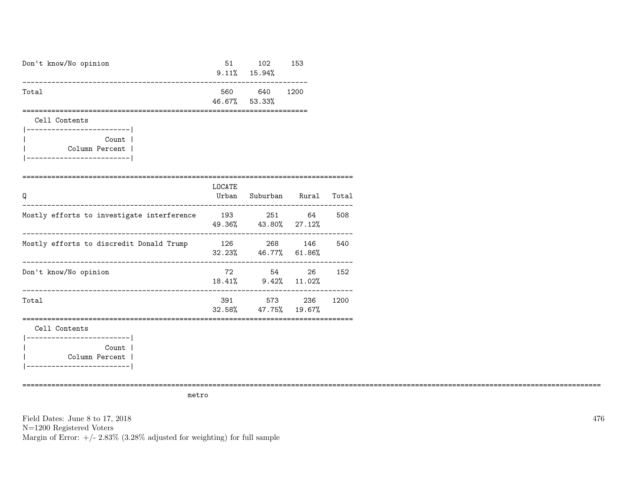| Don't know/No opinion                                 | 51  | 102<br>$9.11\%$ 15.94% | 153  |
|-------------------------------------------------------|-----|------------------------|------|
| Total                                                 | 560 | 640<br>46.67% 53.33%   | 1200 |
| Cell Contents<br>___________________________<br>Count |     |                        |      |

| Column Percent | |-------------------------|

| Q                                          | LOCATE<br>Urban  | Suburban                    | Rural | Total |
|--------------------------------------------|------------------|-----------------------------|-------|-------|
| Mostly efforts to investigate interference | 193 — 193        | 251<br>49.36% 43.80% 27.12% | 64    | 508   |
| Mostly efforts to discredit Donald Trump   | 126<br>32.23%    | 268<br>46.77% 61.86%        | 146   | 540   |
| Don't know/No opinion                      | 72<br>18.41%     | 54<br>$9.42\%$ 11.02%       | 26    | 152   |
| Total                                      | 391<br>$32.58\%$ | 573<br>47.75% 19.67%        | 236   | 1200  |

Cell Contents

|-------------------------| Count | | Column Percent | |-------------------------|

metro

============================================================================================================================================

Field Dates: June 8 to 17, 2018 N=1200 Registered Voters Margin of Error:  $+/- 2.83\%$  (3.28% adjusted for weighting) for full sample 476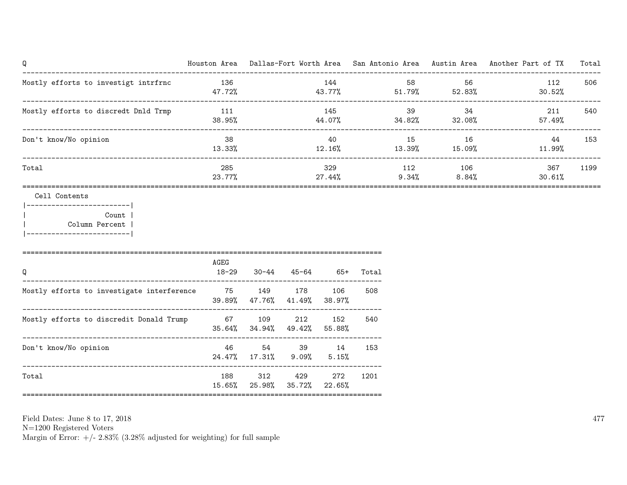| Q                                    | Houston Area  | Dallas-Fort Worth Area | San Antonio Area Austin Area |              | Another Part of TX | Total |
|--------------------------------------|---------------|------------------------|------------------------------|--------------|--------------------|-------|
| Mostly efforts to investigt intrfrnc | 136<br>47.72% | 144<br>43.77%          | 58<br>51.79%                 | 56<br>52.83% | 112<br>$30.52\%$   | 506   |
| Mostly efforts to discredt Dnld Trmp | 111<br>38.95% | 145<br>44.07%          | 39<br>34.82%                 | 34<br>32.08% | 211<br>57.49%      | 540   |
| Don't know/No opinion                | 38<br>13.33%  | 40<br>12.16%           | 15<br>13.39%                 | 16<br>15.09% | 44<br>11.99%       | 153   |
| Total                                | 285<br>23.77% | 329<br>27.44%          | 112<br>9.34%                 | 106<br>8.84% | 367<br>30.61%      | 1199  |
|                                      |               |                        |                              |              |                    |       |

Cell Contents

|-------------------------| | Count | | Column Percent | |-------------------------|

| Q                                          | AGEG<br>$18 - 29$ | 30-44                       | 45-64          | -65+          | Total |
|--------------------------------------------|-------------------|-----------------------------|----------------|---------------|-------|
| Mostly efforts to investigate interference | 75                | 39.89% 47.76% 41.49% 38.97% | 149 178        | 106           | 508   |
| Mostly efforts to discredit Donald Trump   | 67                | 35.64% 34.94% 49.42% 55.88% | 109 212        | 152           | 540   |
| Don't know/No opinion                      | 46                | 54<br>24.47% 17.31%         | 39<br>$9.09\%$ | -14<br>5.15%  | 153   |
| Total                                      | 188               | 312<br>15.65% 25.98% 35.72% | 429            | 272<br>22.65% | 1201  |

Field Dates: June 8 to 17, 2018

N=1200 Registered Voters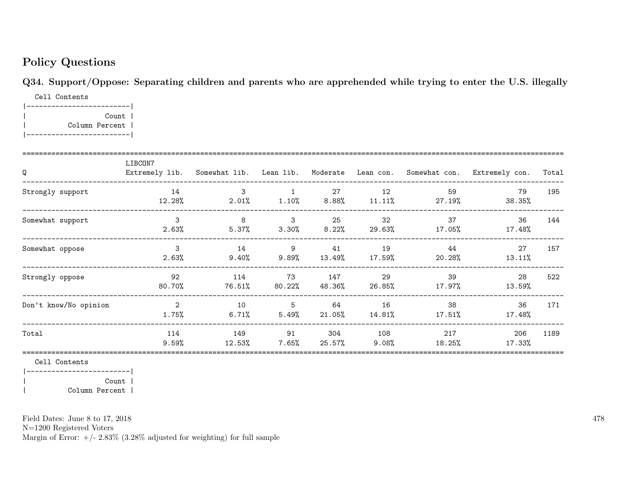# Policy Questions

Q34. Support/Oppose: Separating children and parents who are apprehended while trying to enter the U.S. illegally

Cell Contents |-------------------------| | Count | | Column Percent | |-------------------------|

| Q                     | LIBCON7                    |                |                          |                      |                 |                                          | Extremely lib. Somewhat lib. Lean lib. Moderate Lean con. Somewhat con. Extremely con. | Total |
|-----------------------|----------------------------|----------------|--------------------------|----------------------|-----------------|------------------------------------------|----------------------------------------------------------------------------------------|-------|
| Strongly support      | 14<br>12.28%               | $\mathbf{3}$   | $\overline{1}$           | 27                   | 12              | 59<br>$2.01\%$ 1.10% 8.88% 11.11% 27.19% | 79<br>38.35%                                                                           | 195   |
| Somewhat support      | $\mathbf{3}$<br>$2.63\%$   | 8<br>$5.37\%$  | $\overline{\mathbf{3}}$  | 25<br>$3.30\%$ 8.22% | 32<br>29.63%    | 37<br>$17.05\%$                          | 36<br>17.48%                                                                           | 144   |
| Somewhat oppose       | 3<br>2.63%                 | 14<br>$9.40\%$ | 9<br>$9.89\%$            | 41<br>13.49%         | 19<br>$17.59\%$ | 44<br>20.28%                             | 27<br>13.11%                                                                           | 157   |
| Strongly oppose       | 92<br>80.70%               | 114<br>76.51%  | 73<br>80.22%             | 147<br>48.36%        | 29<br>26.85%    | 39<br>17.97%                             | 28<br>13.59%                                                                           | 522   |
| Don't know/No opinion | $\overline{2}$<br>$1.75\%$ | 10<br>$6.71\%$ | $5\overline{5}$<br>5.49% | 64<br>21.05%         | 16<br>14.81%    | 38<br>17.51%                             | 36<br>17.48%                                                                           | 171   |
| Total                 | 114<br>$9.59\%$            | 149<br>12.53%  | 91<br>$7.65\%$           | 304<br>25.57%        | 108<br>9.08%    | 217<br>18.25%                            | 206<br>17.33%                                                                          | 1189  |

Cell Contents

|-------------------------| | Count | | Column Percent |

Field Dates: June 8 to 17, 2018

N=1200 Registered Voters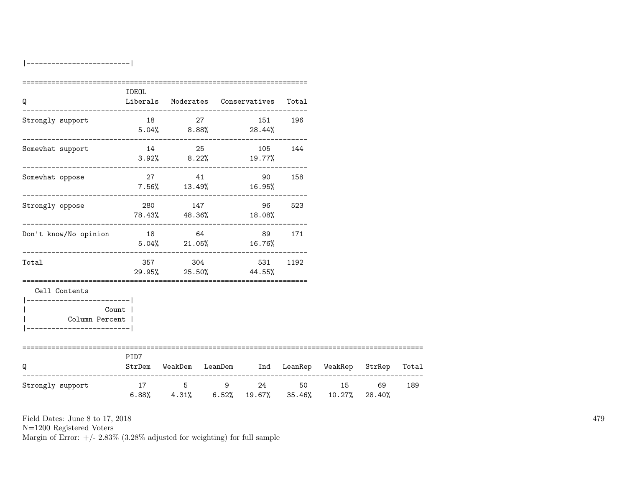|-------------------------|

| Q                                                                                                    | IDEOL |  | Liberals Moderates Conservatives Total                  |         |                                                                    |     |
|------------------------------------------------------------------------------------------------------|-------|--|---------------------------------------------------------|---------|--------------------------------------------------------------------|-----|
| Strongly support                                                                                     | 18 27 |  | $5.04\%$ $8.88\%$ 28.44%                                | 151 196 |                                                                    |     |
| Somewhat support                                                                                     |       |  | 14 25 105 144<br>$3.92\%$ $8.22\%$ $19.77\%$            |         |                                                                    |     |
| Somewhat oppose                                                                                      |       |  | 27 41 90 158<br>$7.56\%$ 13.49% 16.95%                  |         |                                                                    |     |
| Strongly oppose                                                                                      |       |  | 280 147 96 523<br>78.43% 48.36% 18.08%                  |         |                                                                    |     |
| Don't know/No opinion                                                                                |       |  | 18 64 89 171<br>$5.04\%$ 21.05% 16.76%                  |         |                                                                    |     |
| Total                                                                                                |       |  | 357 304 531 1192<br>29.95% 25.50% 44.55%                |         |                                                                    |     |
| Cell Contents<br>------------------------ <br>Count  <br>Column Percent  <br>----------------------- |       |  |                                                         |         |                                                                    |     |
| ===========================<br>Q                                                                     | PID7  |  | StrDem WeakDem LeanDem Ind LeanRep WeakRep StrRep Total |         |                                                                    |     |
| Strongly support                                                                                     |       |  | 17 5 9 24 50 15 69                                      |         | $6.88\%$ $4.31\%$ $6.52\%$ $19.67\%$ $35.46\%$ $10.27\%$ $28.40\%$ | 189 |

Field Dates: June 8 to 17, 2018

N=1200 Registered Voters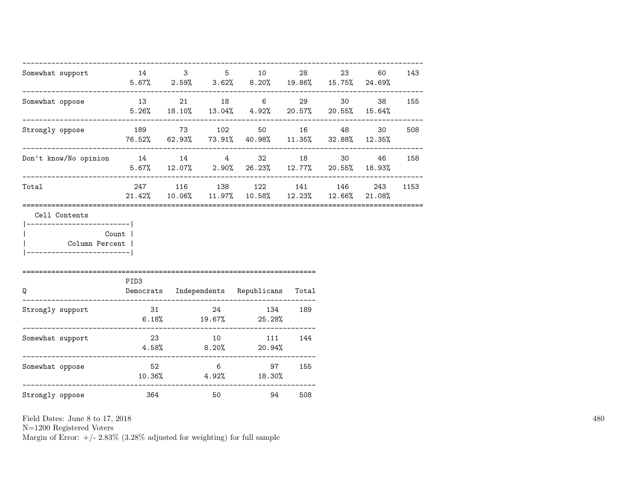| Somewhat support                                                         |                  |                 | 14 3 5 10<br>$5.67\%$ 2.59% 3.62% 8.20% 19.86% 15.75% 24.69%                                     | 28     | 23 | 60        | 143  |
|--------------------------------------------------------------------------|------------------|-----------------|--------------------------------------------------------------------------------------------------|--------|----|-----------|------|
| Somewhat oppose                                                          |                  |                 | 13 21 18 6 29 30 38 155<br>$5.26\%$ $18.10\%$ $13.04\%$ $4.92\%$ $20.57\%$ $20.55\%$ $15.64\%$   |        |    |           |      |
| Strongly oppose                                                          |                  |                 | 189 73 102 50 16 48 30<br>76.52% 62.93% 73.91% 40.98% 11.35% 32.88% 12.35%                       |        |    |           | 508  |
| Don't know/No opinion 14 14 14 32 18                                     |                  |                 | $5.67\%$ $12.07\%$ $2.90\%$ $26.23\%$ $12.77\%$ $20.55\%$ $18.93\%$                              |        |    | 30 46 158 |      |
| Total                                                                    |                  |                 | 247 116 138 122 141 146<br>$21.42\%$ $10.06\%$ $11.97\%$ $10.58\%$ $12.23\%$ $12.66\%$ $21.08\%$ |        |    | 243       | 1153 |
| ------------------------- <br>Column Percent  <br>---------------------- | Count            |                 |                                                                                                  |        |    |           |      |
| Q                                                                        | PID <sub>3</sub> |                 | Democrats Independents Republicans Total                                                         |        |    |           |      |
| Strongly support                                                         |                  |                 | 31 24 134<br>$6.18\%$ $19.67\%$ $25.28\%$                                                        | 189    |    |           |      |
| Somewhat support                                                         | 23               | 10              | 111 144<br>$4.58\%$ $8.20\%$ 20.94%                                                              |        |    |           |      |
| Somewhat oppose                                                          | 52               | $6\overline{6}$ | $10.36\%$ $4.92\%$ $18.30\%$                                                                     | 97 155 |    |           |      |
| Strongly oppose                                                          | 364              | 50              | 94                                                                                               | 508    |    |           |      |

N=1200 Registered Voters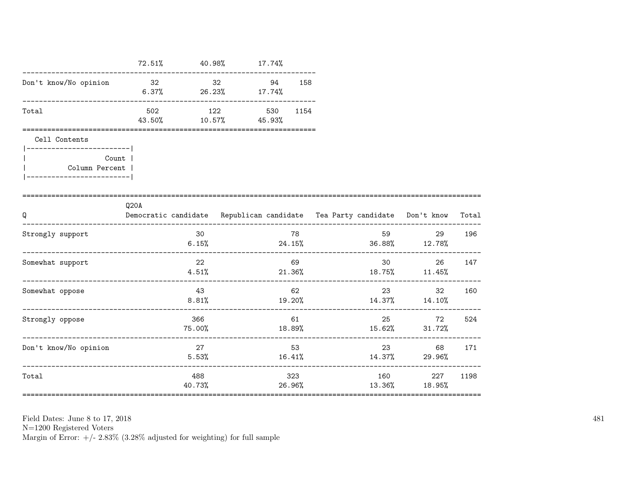|                           | $72.51\%$                              | $40.98\%$ 17.74% |                 |     |                                                                          |                                        |        |
|---------------------------|----------------------------------------|------------------|-----------------|-----|--------------------------------------------------------------------------|----------------------------------------|--------|
| Don't know/No opinion     | 32 32 94 158<br>$6.37\%$ 26.23% 17.74% |                  |                 |     |                                                                          |                                        |        |
| Total                     | 502<br>43.50% 10.57% 45.93%            | 122 200          | 530 1154        |     |                                                                          |                                        |        |
| Cell Contents             |                                        |                  |                 |     |                                                                          |                                        |        |
| Count  <br>Column Percent |                                        |                  |                 |     |                                                                          |                                        |        |
| Q                         | Q20A                                   |                  |                 |     | Democratic candidate Republican candidate Tea Party candidate Don't know |                                        | Total  |
| Strongly support          |                                        | 30<br>6.15%      |                 | 78  | $24.15\%$ 36.88% 12.78%                                                  | 29<br>____________________________     | 196    |
| Somewhat support          |                                        | 22<br>4.51%      | 69<br>$21.36\%$ |     |                                                                          | 30 <sup>1</sup><br>$18.75\%$ $11.45\%$ | 26 147 |
| Somewhat oppose           |                                        | 43<br>8.81%      |                 | 62  | $19.20\%$ $14.37\%$ $14.10\%$                                            | 23 and $\sim$                          | 32 160 |
| Strongly oppose           |                                        | 366<br>75.00%    |                 | 61  | 18.89% 15.62% 31.72%                                                     | 25 72 524                              |        |
| Don't know/No opinion     |                                        | 27<br>5.53%      | 16.41%          | 53  | 23<br>$14.37\%$ 29.96%                                                   | 68 —                                   | 171    |
| Total                     |                                        | 488<br>40.73%    |                 | 323 | $26.96\%$ 13.36% 18.95%                                                  | 160 227                                | 1198   |

N=1200 Registered Voters <br>Margin of Error: +/- 2.83% (3.28% adjusted for weighting) for full sample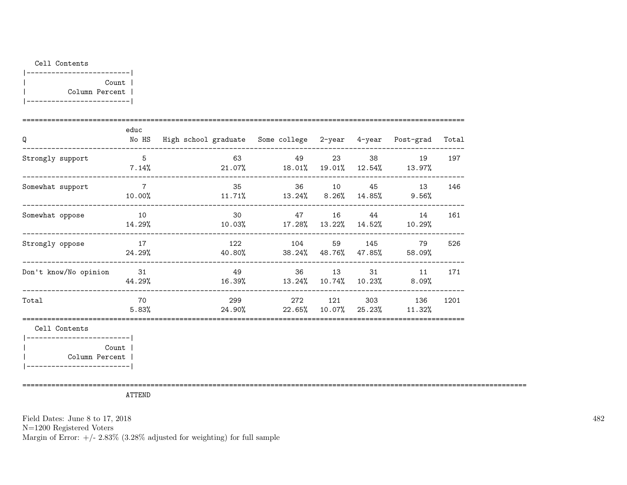### Cell Contents

| Count          |  |
|----------------|--|
| Column Percent |  |
|                |  |

| Q                                        | educ<br>No HS            | High school graduate Some college 2-year 4-year Post-grad |                                                            |         |          |                                    | Total |
|------------------------------------------|--------------------------|-----------------------------------------------------------|------------------------------------------------------------|---------|----------|------------------------------------|-------|
| Strongly support                         | $-5$<br>$7.14\%$         | 63                                                        | $21.07\%$ 18.01% 19.01% 12.54% 13.97%                      |         | 49 23 38 | 19<br>_________                    | 197   |
| Somewhat support<br>-------------------- | $\overline{7}$<br>10.00% | 35                                                        | $11.71\%$ $13.24\%$ $8.26\%$ $14.85\%$ $9.56\%$            |         |          | 36 10 45 13                        | 146   |
| Somewhat oppose                          | 10<br>14.29%             |                                                           | 30 <sub>2</sub><br>$10.03\%$ 17.28% 13.22% 14.52% 10.29%   |         |          | 47 16 44 14                        | 161   |
| Strongly oppose                          | 17<br>24.29%             |                                                           | 122 104 59 145 79<br>$40.80\%$ 38.24% 48.76% 47.85% 58.09% |         |          |                                    | 526   |
| Don't know/No opinion                    | 31<br>44.29%             | 49                                                        | $16.39\%$ $13.24\%$                                        |         |          | 36 13 31 11<br>10.74% 10.23% 8.09% | 171   |
| Total                                    | 70<br>5.83%              | $24.90\%$ 22.65%                                          | 299 — 200                                                  | 272 121 | 303      | 136<br>$10.07\%$ 25.23% $11.32\%$  | 1201  |
| Cell Contents                            |                          |                                                           |                                                            |         |          |                                    |       |

==========================================================================================================================

|-------------------------| | Count | | Column Percent |

|-------------------------|

ATTEND

Field Dates: June 8 to 17, 2018

N=1200 Registered Voters

Margin of Error:  $+/- 2.83\%$  (3.28% adjusted for weighting) for full sample

482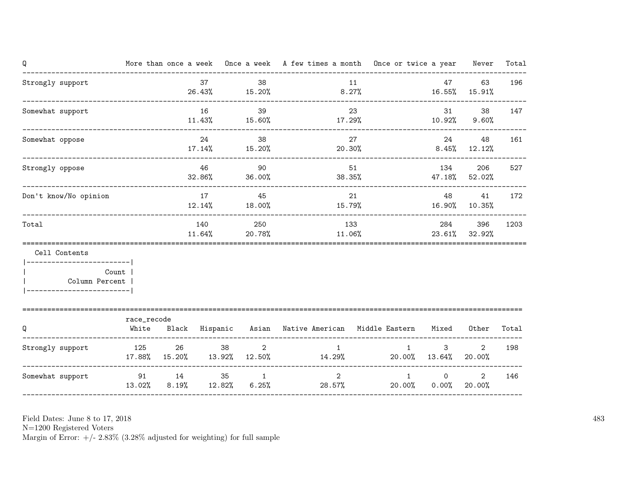| Q                                                        |             |                     |              |                           |                  |                | More than once a week Once a week A few times a month Once or twice a year Never |                                    |                          | Total |
|----------------------------------------------------------|-------------|---------------------|--------------|---------------------------|------------------|----------------|----------------------------------------------------------------------------------|------------------------------------|--------------------------|-------|
| Strongly support                                         |             |                     | 37           | 38<br>26.43% 15.20%       | 8.27%            | 11             | $16.55\%$ 15.91%                                                                 | 47                                 | 63                       | 196   |
| Somewhat support                                         |             |                     | 16           | 39<br>$11.43\%$ $15.60\%$ |                  | 23             | $17.29\%$ $10.92\%$ $9.60\%$                                                     |                                    | 38<br>31                 | 147   |
| Somewhat oppose                                          |             |                     | 24           | 38<br>$17.14\%$ $15.20\%$ | 20.30%           | 27             |                                                                                  | 24<br>$8.45\%$ 12.12%              | 48                       | 161   |
| Strongly oppose                                          |             |                     | 46<br>32.86% | 90<br>36.00%              | 38.35%           | 51             | $47.18\%$ 52.02%                                                                 | 134                                | 206                      | 527   |
| Don't know/No opinion                                    |             |                     | 17           | 45                        | $12.14\%$ 18.00% | 21             | $15.79\%$ $16.90\%$ $10.35\%$                                                    | 48                                 | 41                       | 172   |
| Total                                                    |             |                     | 140          | 250<br>$11.64\%$ 20.78%   | 11.06%           | 133            |                                                                                  |                                    | 284 396<br>23.61% 32.92% | 1203  |
| Cell Contents                                            |             |                     |              |                           |                  |                |                                                                                  |                                    |                          |       |
| -------------------------- <br>Count  <br>Column Percent |             |                     |              |                           |                  |                |                                                                                  |                                    |                          |       |
| Q                                                        | race_recode |                     |              |                           |                  |                | White Black Hispanic Asian Native-American Middle-Eastern Mixed Other            |                                    |                          | Total |
| Strongly support 125 26                                  |             |                     | 38           | $\overline{2}$            |                  | $\mathbf{1}$   | 1<br>$17.88\%$ $15.20\%$ $13.92\%$ $12.50\%$ $14.29\%$ $20.00\%$ $13.64\%$       | $3 \sim$                           | 2<br>20.00%              | 198   |
| Somewhat support 91 91 14                                |             | 13.02% 8.19% 12.82% |              | 35 7<br>1                 | 6.25%            | $\overline{2}$ | 28.57% 20.00% 0.00% 20.00%                                                       | $1 \quad \cdots$<br>$\overline{0}$ | $\overline{2}$           | 146   |

N=1200 Registered Voters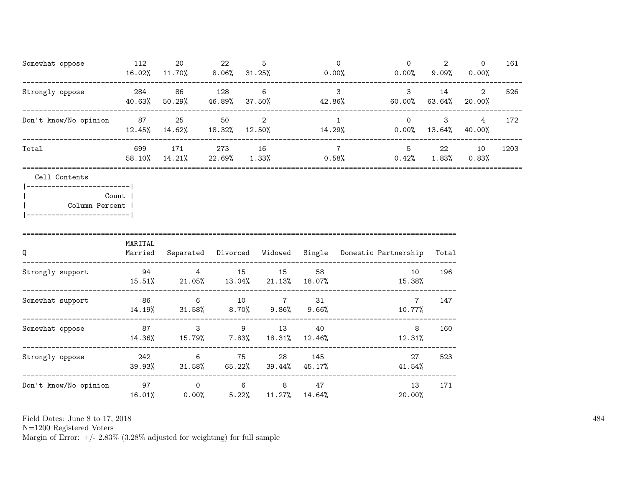| Somewhat oppose                 | 112<br>16.02% | 20<br>11.70%  | 22<br>$8.06\%$ | 5<br>$31.25\%$              | $\Omega$<br>$0.00\%$    | $\Omega$<br>$0.00\%$ | 2<br>9.09%     | $\Omega$<br>0.00% | 161  |
|---------------------------------|---------------|---------------|----------------|-----------------------------|-------------------------|----------------------|----------------|-------------------|------|
| Strongly oppose                 | 284<br>40.63% | 86<br>50.29%  | 128<br>46.89%  | 6<br>37.50%                 | 3<br>42.86%             | 3<br>60.00%          | 14<br>63.64%   | 2<br>20.00%       | 526  |
| Don't know/No opinion           | 87<br>12.45%  | 25<br>14.62%  | 50<br>18.32%   | $\mathcal{D}_{1}$<br>12.50% | 14.29%                  | $\Omega$<br>0.00%    | 3<br>13.64%    | 4<br>40.00%       | 172  |
| Total                           | 699<br>58.10% | 171<br>14.21% | 273<br>22.69%  | 16<br>1.33%                 | $\overline{7}$<br>0.58% | 5<br>0.42%           | 22<br>$1.83\%$ | 10<br>0.83%       | 1203 |
| Cell Contents<br>Column Percent | Count         |               |                |                             |                         |                      |                |                   |      |

| Q                     | MARITAL<br>Married | Separated               | Divorced     | Widowed      | Single         | Domestic Partnership     | Total |
|-----------------------|--------------------|-------------------------|--------------|--------------|----------------|--------------------------|-------|
| Strongly support      | 94<br>15.51%       | 4<br>$21.05\%$          | 15<br>13.04% | 15<br>21.13% | 58<br>18.07%   | 10<br>15.38%             | 196   |
| Somewhat support      | 86<br>14.19%       | 6<br>$31.58\%$          | 10<br>8.70%  | 7<br>9.86%   | 31<br>$9.66\%$ | $\overline{7}$<br>10.77% | 147   |
| Somewhat oppose       | 87<br>14.36%       | 3<br>15.79%             | 9<br>7.83%   | 13<br>18.31% | 40<br>12.46%   | 8<br>12.31%              | 160   |
| Strongly oppose       | 242<br>39.93%      | 6<br>31.58%             | 75<br>65.22% | 28<br>39.44% | 145<br>45.17%  | 27<br>41.54%             | 523   |
| Don't know/No opinion | 97<br>16.01%       | $\mathbf 0$<br>$0.00\%$ | 6<br>5.22%   | 8<br>11.27%  | 47<br>14.64%   | 13<br>20.00%             | 171   |

N=1200 Registered Voters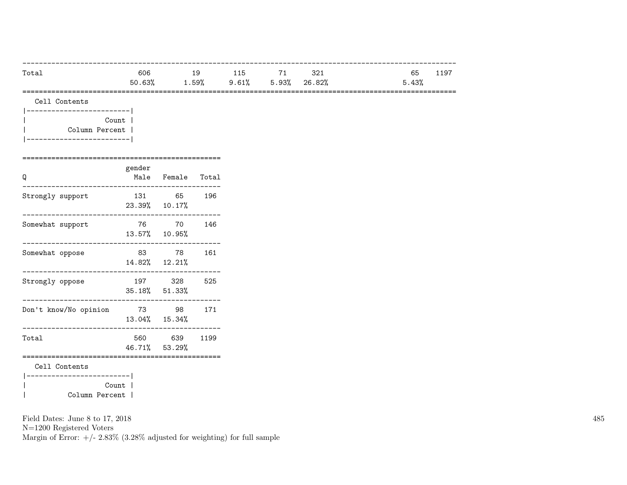| Total | 606    | 19       | 115      | 74              | 321 | 65<br>. 197<br>ᆠᆠ |
|-------|--------|----------|----------|-----------------|-----|-------------------|
|       | 50.63% | $1.59\%$ | $9.61\%$ | $5.93\%$ 26.82% |     | 5.43%             |
|       |        |          |          |                 |     |                   |

| Count          |  |
|----------------|--|
| Column Percent |  |
|                |  |

| Q                     | gender  | Male Female Total        |      |
|-----------------------|---------|--------------------------|------|
| Strongly support      | 131     | 65<br>23.39% 10.17%      | 196  |
| Somewhat support      |         | 76 70<br>13.57% 10.95%   | 146  |
| Somewhat oppose       | 83      | 78<br>14.82% 12.21%      | 161  |
| Strongly oppose       |         | 197 328<br>35.18% 51.33% | 525  |
| Don't know/No opinion |         | 73 98<br>13.04% 15.34%   | 171  |
| Total                 |         | 560 639<br>46.71% 53.29% | 1199 |
| Cell Contents         |         |                          |      |
| ----------------      |         |                          |      |
|                       | Count 1 |                          |      |
| Column Percent        |         |                          |      |

N=1200 Registered Voters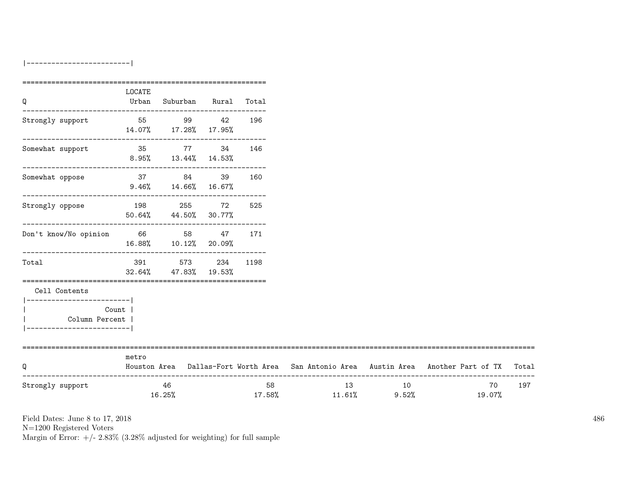|-------------------------|

|                                    |                               | =================             |    |      |    |                              |                                                                                           |
|------------------------------------|-------------------------------|-------------------------------|----|------|----|------------------------------|-------------------------------------------------------------------------------------------|
| Q                                  | LOCATE<br>Urban               | Suburban Rural Total          |    |      |    |                              |                                                                                           |
| Strongly support                   |                               | 55 99 42 196                  |    |      |    |                              |                                                                                           |
|                                    |                               | 14.07% 17.28% 17.95%          |    |      |    |                              |                                                                                           |
| Somewhat support                   |                               | 35 77                         | 34 | 146  |    |                              |                                                                                           |
|                                    |                               | $8.95\%$ $13.44\%$ $14.53\%$  |    |      |    |                              |                                                                                           |
| Somewhat oppose                    | 37 84                         |                               | 39 | 160  |    |                              |                                                                                           |
|                                    |                               | $9.46\%$ $14.66\%$ $16.67\%$  |    |      |    |                              |                                                                                           |
| Strongly oppose                    | 198 255 72 525                |                               |    |      |    |                              |                                                                                           |
|                                    | $50.64\%$ $44.50\%$ $30.77\%$ |                               |    |      |    |                              |                                                                                           |
| Don't know/No opinion 66 58 47 171 |                               |                               |    |      |    |                              |                                                                                           |
|                                    |                               | 16.88% 10.12% 20.09%          |    |      |    |                              |                                                                                           |
| Total                              |                               | 391 573 234                   |    | 1198 |    |                              |                                                                                           |
|                                    |                               | $32.64\%$ $47.83\%$ $19.53\%$ |    |      |    |                              |                                                                                           |
| Cell Contents                      |                               |                               |    |      |    |                              |                                                                                           |
| __________________________         | Count                         |                               |    |      |    |                              |                                                                                           |
| Column Percent                     |                               |                               |    |      |    |                              |                                                                                           |
| --------------------               |                               |                               |    |      |    |                              |                                                                                           |
|                                    | metro                         |                               |    |      |    |                              |                                                                                           |
| Q                                  |                               |                               |    |      |    |                              | Houston Area Dallas-Fort Worth Area San Antonio Area Austin Area Another Part of TX Total |
| Strongly support                   |                               | 46                            |    |      | 58 | 13<br>10                     | 70                                                                                        |
|                                    |                               | 16.25%                        |    |      |    | $17.58\%$ $11.61\%$<br>9.52% | 19.07%                                                                                    |

Field Dates: June 8 to 17, 2018

N=1200 Registered Voters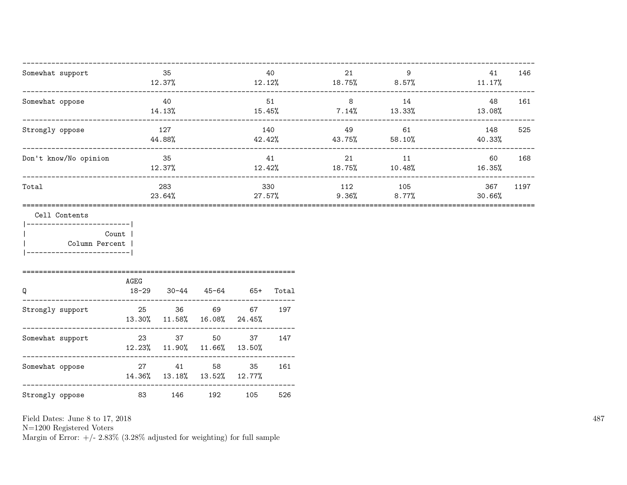| Somewhat support<br>-------------------------------------                                                                          |                                   | 35<br>12.37%  |                     |     | 40        | 21 and $\sim$<br>$12.12\%$ 18.75% 8.57% 11.17%   | 9              | 41            | 146  |
|------------------------------------------------------------------------------------------------------------------------------------|-----------------------------------|---------------|---------------------|-----|-----------|--------------------------------------------------|----------------|---------------|------|
| Somewhat oppose                                                                                                                    |                                   | 40            |                     |     | 51        | $14.13\%$ $15.45\%$ $7.14\%$ $13.33\%$ $13.08\%$ | 8 14           | 48            | 161  |
| Strongly oppose                                                                                                                    |                                   | 127<br>44.88% |                     |     | 140       | $42.42\%$ $43.75\%$ $58.10\%$                    | 49 61          | 148<br>40.33% | 525  |
| Don't know/No opinion                                                                                                              |                                   | 35<br>12.37%  |                     |     | 41        | $12.42\%$ $18.75\%$ $10.48\%$ $16.35\%$          | 21 11          | 60            | 168  |
| Total                                                                                                                              |                                   | 283<br>23.64% |                     |     | 27.57%    | 330 112 105                                      | $9.36\%$ 8.77% | 367<br>30.66% | 1197 |
| Cell Contents<br>------------------------- <br>Column Percent<br>_______________________<br>====================================== | Count                             |               |                     |     |           |                                                  |                |               |      |
| Q                                                                                                                                  | AGEG<br>$18 - 29$                 |               | $30 - 44$ $45 - 64$ |     | 65+ Total |                                                  |                |               |      |
| Strongly support 25 36 69                                                                                                          | 13.30% 11.58% 16.08% 24.45%       |               |                     |     | 67 197    |                                                  |                |               |      |
| Somewhat support                                                                                                                   | 23<br>12.23% 11.90% 11.66% 13.50% | 37 37         | 50                  | 37  | 147       |                                                  |                |               |      |
| Somewhat oppose                                                                                                                    | 14.36% 13.18% 13.52% 12.77%       | 27 41 58      |                     | 35  | 161       |                                                  |                |               |      |
| Strongly oppose 83                                                                                                                 |                                   | 146           | 192                 | 105 | 526       |                                                  |                |               |      |

N=1200 Registered Voters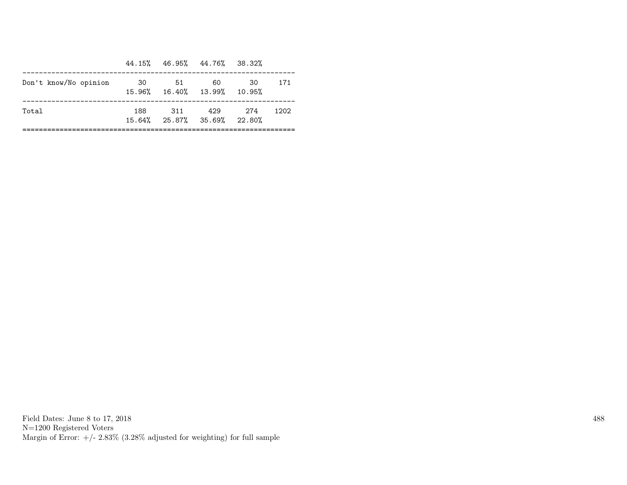|                       |       |       | 44.15% 46.95% 44.76% 38.32%        |     |      |
|-----------------------|-------|-------|------------------------------------|-----|------|
| Don't know/No opinion |       | 30 51 | 60<br>15.96% 16.40% 13.99% 10.95%  | 30  | 171  |
| Total                 | 188 - | 311   | 429<br>15.64% 25.87% 35.69% 22.80% | 274 | 1202 |

Field Dates: June 8 to 17, 2018 N=1200 Registered Voters Margin of Error:  $+/- 2.83\%$  (3.28% adjusted for weighting) for full sample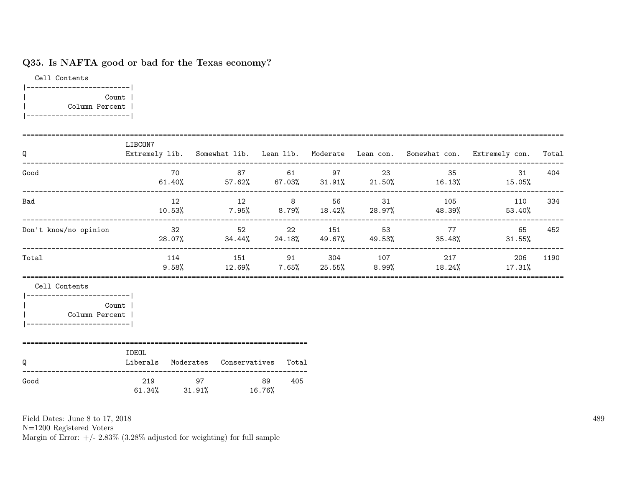## Q35. Is NAFTA good or bad for the Texas economy?

Cell Contents |-------------------------| | Count | | Column Percent | |-------------------------|

| Q                                                                              | LIBCON7                                         |    |                               |     |             |                                                                             | Extremely lib. Somewhat lib. Lean lib. Moderate Lean con. Somewhat con. Extremely con. Total |      |
|--------------------------------------------------------------------------------|-------------------------------------------------|----|-------------------------------|-----|-------------|-----------------------------------------------------------------------------|----------------------------------------------------------------------------------------------|------|
| Good                                                                           |                                                 | 70 |                               |     | 87 61 97 23 | 35                                                                          | 31<br>$61.40\%$ $57.62\%$ $67.03\%$ $31.91\%$ $21.50\%$ $16.13\%$ $15.05\%$                  | 404  |
| Bad                                                                            |                                                 | 12 |                               |     |             | 12 8 56 31 105<br>$10.53\%$ $7.95\%$ $8.79\%$ $18.42\%$ $28.97\%$ $48.39\%$ | 110<br>53.40%                                                                                | 334  |
| Don't know/no opinion                                                          |                                                 | 32 |                               |     |             | 52 22 151 53 77 65<br>28.07% 34.44% 24.18% 49.67% 49.53% 35.48%             | $31.55\%$                                                                                    | 452  |
| Total                                                                          |                                                 |    |                               |     |             | 114 151 91 304 107 217                                                      | 206<br>$9.58\%$ $12.69\%$ $7.65\%$ $25.55\%$ $8.99\%$ $18.24\%$ $17.31\%$                    | 1190 |
| Cell Contents<br><b>Count</b><br>Column Percent<br>___________________________ |                                                 |    |                               |     |             |                                                                             |                                                                                              |      |
| Q                                                                              | IDEOL<br>Liberals Moderates Conservatives Total |    |                               |     |             |                                                                             |                                                                                              |      |
| Good                                                                           | 219                                             |    | 97 89<br>61.34% 31.91% 16.76% | 405 |             |                                                                             |                                                                                              |      |

Field Dates: June 8 to 17, 2018

N=1200 Registered Voters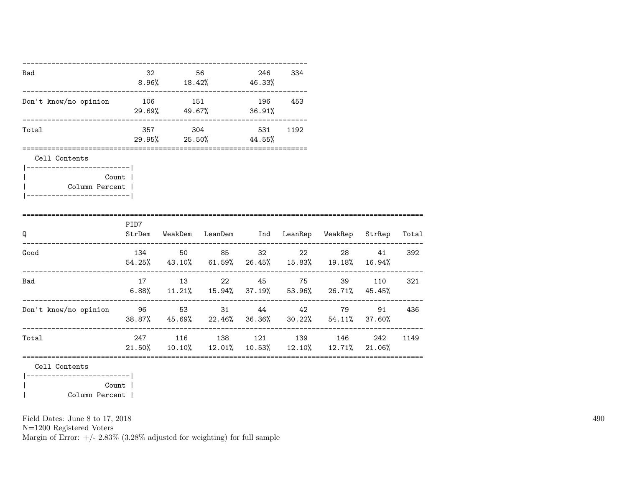| Bad                                                                                           |       | 32 56 | $8.96\%$ 18.42% 46.33%                  |    | 246 334 |                                                                                                                      |        |        |
|-----------------------------------------------------------------------------------------------|-------|-------|-----------------------------------------|----|---------|----------------------------------------------------------------------------------------------------------------------|--------|--------|
| Don't know/no opinion                                                                         |       |       | 106 151 196 453<br>29.69% 49.67% 36.91% |    |         |                                                                                                                      |        |        |
| Total                                                                                         |       |       | 357 304 531<br>29.95% 25.50% 44.55%     |    | 1192    |                                                                                                                      |        |        |
| =============================<br>Cell Contents<br>Column Percent  <br>----------------------- | Count |       |                                         |    |         |                                                                                                                      |        |        |
| Q                                                                                             | PID7  |       |                                         |    |         | StrDem WeakDem LeanDem Ind LeanRep WeakRep StrRep                                                                    |        | Total  |
| Good                                                                                          |       |       | 134 50 85                               | 32 |         | 22 and $\sim$<br>$54.25\% \qquad 43.10\% \qquad 61.59\% \qquad 26.45\% \qquad 15.83\% \qquad 19.18\% \qquad 16.94\%$ | 28 41  | 392    |
| Bad                                                                                           |       |       | 17 13 22 45 75                          |    |         | $6.88\%$ 11.21% 15.94% 37.19% 53.96% 26.71% 45.45%                                                                   | 39 110 | 321    |
| Don't know/no opinion                                                                         |       |       |                                         |    |         | 96 53 31 44 42 79<br>38.87% 45.69% 22.46% 36.36% 30.22% 54.11% 37.60%                                                |        | 91 436 |
| Total                                                                                         |       |       |                                         |    |         | 247 116 138 121 139 146<br>$21.50\%$ $10.10\%$ $12.01\%$ $10.53\%$ $12.10\%$ $12.71\%$ $21.06\%$                     | 242    | 1149   |
| Cell Contents<br> -------------------------                                                   |       |       |                                         |    |         |                                                                                                                      |        |        |

|<br>| Column Percent |<br>| Column Percent | | Column Percent |

Field Dates: June 8 to 17, 2018

N=1200 Registered Voters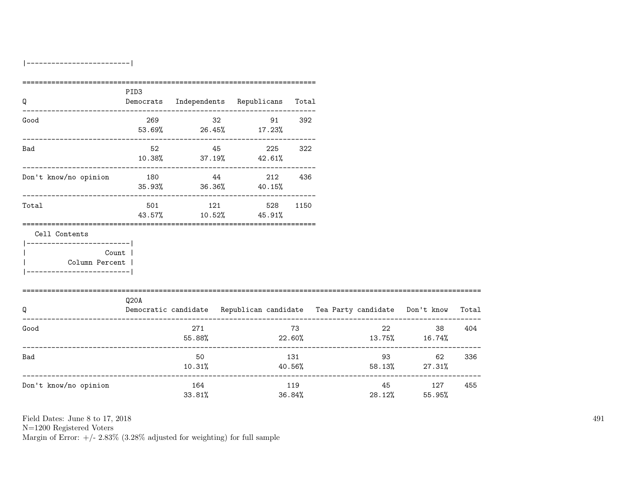|-------------------------|

|                                                                                        | PID3 |                                          |    |               |                                      |                                                                          |       |
|----------------------------------------------------------------------------------------|------|------------------------------------------|----|---------------|--------------------------------------|--------------------------------------------------------------------------|-------|
| Q                                                                                      |      | Democrats Independents Republicans Total |    |               |                                      |                                                                          |       |
| Good                                                                                   |      | 269<br>53.69% 26.45% 17.23%              | 32 | 392<br>91     |                                      |                                                                          |       |
| Bad                                                                                    | 52   | $10.38\%$ $37.19\%$ $42.61\%$            | 45 | 225<br>322    |                                      |                                                                          |       |
| Don't know/no opinion                                                                  | 180  | 44<br>$35.93\%$ $36.36\%$ $40.15\%$      |    | 212<br>436    |                                      |                                                                          |       |
| Total                                                                                  |      | 501 121<br>43.57% 10.52% 45.91%          |    | 528 1150      |                                      |                                                                          |       |
| Cell Contents                                                                          |      |                                          |    |               |                                      |                                                                          |       |
| ------------------------- <br>Count  <br>  Column Percent  <br>_______________________ |      |                                          |    |               |                                      |                                                                          |       |
| Q                                                                                      | Q20A |                                          |    |               |                                      | Democratic candidate Republican candidate Tea Party candidate Don't know | Total |
| Good                                                                                   |      | 271<br>55.88%                            |    | 73            | 22                                   | 38<br>$22.60\%$ 13.75% 16.74%                                            | 404   |
| Bad                                                                                    |      | 50<br>10.31%                             |    | 131<br>40.56% | ------------------------------------ | 62<br>58.13% 27.31%                                                      | 336   |
| Don't know/no opinion                                                                  |      | 164<br>33.81%                            |    | 119<br>36.84% |                                      | -----------------<br>45 127<br>28.12% 55.95%                             | 455   |

Field Dates: June 8 to 17, 2018

N=1200 Registered Voters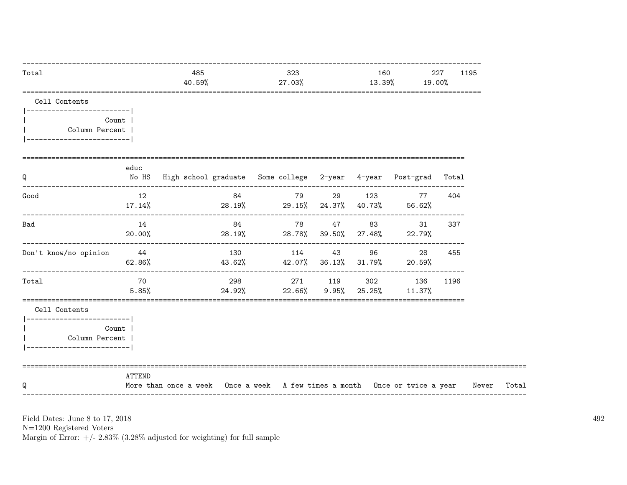| Total                                           |                 | 485<br>40.59%                                                              |     | 323<br>27.03%                                                                                                       |  |                               | 160<br>13.39% 19.00%                                     | 227<br>1195 |       |
|-------------------------------------------------|-----------------|----------------------------------------------------------------------------|-----|---------------------------------------------------------------------------------------------------------------------|--|-------------------------------|----------------------------------------------------------|-------------|-------|
| Cell Contents<br> -------------------------     |                 |                                                                            |     |                                                                                                                     |  |                               |                                                          |             |       |
| Column Percent  <br>___________________________ | Count           |                                                                            |     |                                                                                                                     |  |                               |                                                          |             |       |
| Q                                               | educ            | No HS High school graduate Some college 2-year 4-year Post-grad Total      |     |                                                                                                                     |  |                               |                                                          |             |       |
| Good                                            | 12<br>$17.14\%$ | $28.19\%$ 29.15% 24.37% 40.73% 56.62%                                      | 84  | <u>2001 - 2002 - 2012 - 2012 - 2012 - 2012 - 2012 - 2012 - 2012 - 2012 - 2012 - 2012 - 2013 - 2014 - 2014 - 201</u> |  | 29 123                        | 77                                                       | 404         |       |
| Bad                                             | 14<br>20.00%    |                                                                            | 84  |                                                                                                                     |  | 78 47 83                      | 31<br>$28.19\%$ 28.78% 39.50% 27.48% 22.79%              | 337         |       |
| Don't know/no opinion                           | 44<br>62.86%    |                                                                            | 130 |                                                                                                                     |  | 114 43 96                     | 28<br>$43.62\%$ $42.07\%$ $36.13\%$ $31.79\%$ 20.59 $\%$ | 455         |       |
| Total                                           | 70<br>5.85%     |                                                                            |     |                                                                                                                     |  | $24.92\%$ 22.66% 9.95% 25.25% | 298 271 119 302 136<br>11.37%                            | 1196        |       |
| Cell Contents<br> ------------------------      |                 |                                                                            |     |                                                                                                                     |  |                               |                                                          |             |       |
| Column Percent  <br>-------------------------   | Count           |                                                                            |     |                                                                                                                     |  |                               |                                                          |             |       |
| Q                                               | <b>ATTEND</b>   | More than once a week Once a week A few times a month Once or twice a year |     |                                                                                                                     |  |                               |                                                          |             | Never |

N=1200 Registered Voters<br>Margin of Error:  $+/- 2.83\%$  (3.28% adjusted for weighting) for full sample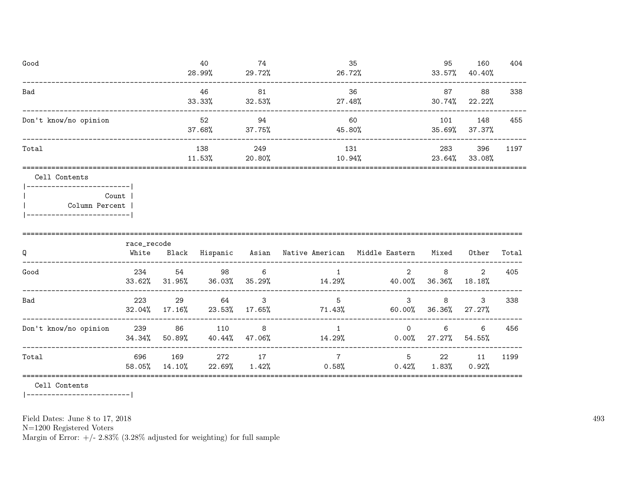| Good                                |             | 40                  | 74  |                                                                 | 35  | 95               | 160    | 404   |
|-------------------------------------|-------------|---------------------|-----|-----------------------------------------------------------------|-----|------------------|--------|-------|
|                                     |             | 28.99% 29.72%       |     | $26.72\%$ 33.57%                                                |     |                  | 40.40% |       |
| Bad                                 |             | 46                  | 81  |                                                                 | 36  | 87 — 1           | 88     | 338   |
|                                     |             | $33.33\%$ $32.53\%$ |     | 27.48%                                                          |     | $30.74\%$ 22.22% |        |       |
| Don't know/no opinion               |             | 52                  | 94  |                                                                 | 60  | 101 148          |        | 455   |
|                                     |             |                     |     | $37.68\%$ $37.75\%$ $45.80\%$                                   |     | 35.69%           | 37.37% |       |
| Total                               |             | 138                 | 249 |                                                                 | 131 | 283              | 396    | 1197  |
|                                     |             | $11.53\%$ 20.80%    |     | 10.94%                                                          |     | 23.64%           | 33.08% |       |
| Cell Contents                       |             |                     |     |                                                                 |     |                  |        |       |
| ------------------------- <br>Count |             |                     |     |                                                                 |     |                  |        |       |
| Column Percent                      |             |                     |     |                                                                 |     |                  |        |       |
| -------------------------           |             |                     |     |                                                                 |     |                  |        |       |
|                                     | race_recode |                     |     |                                                                 |     |                  |        |       |
| Q                                   |             |                     |     | White Black Hispanic Asian Native-American Middle-Eastern Mixed |     |                  | Other  | Total |

| Q                     | White         | Black            | Hispanic      |             | Asian Native American | Middle Eastern       | Mixed       | Other          | Total |
|-----------------------|---------------|------------------|---------------|-------------|-----------------------|----------------------|-------------|----------------|-------|
| Good                  | 234<br>33.62% | 54<br>31.95%     | 98<br>36.03%  | 6<br>35.29% | 14.29%                | 2<br>40.00%          | 8<br>36.36% | 2<br>18.18%    | 405   |
| Bad                   | 223<br>32.04% | -29<br>$17.16\%$ | 64<br>23.53%  | 3<br>17.65% | 5<br>71.43%           | 3<br>60.00%          | 8<br>36.36% | 3<br>$27.27\%$ | 338   |
| Don't know/no opinion | 239<br>34.34% | - 86<br>50.89%   | 110<br>40.44% | 8<br>47.06% | 14.29%                | $\Omega$<br>$0.00\%$ | 6<br>27.27% | -6<br>54.55%   | 456   |
| Total                 | 696<br>58.05% | 169<br>14.10%    | 272<br>22.69% | 17<br>1.42% | 0.58%                 | 5<br>0.42%           | 22<br>1.83% | 11<br>$0.92\%$ | 1199  |

Cell Contents

 $|----------$ 

Field Dates: June 8 to 17, 2018

 ${\rm N}{=}1200$  Registered Voters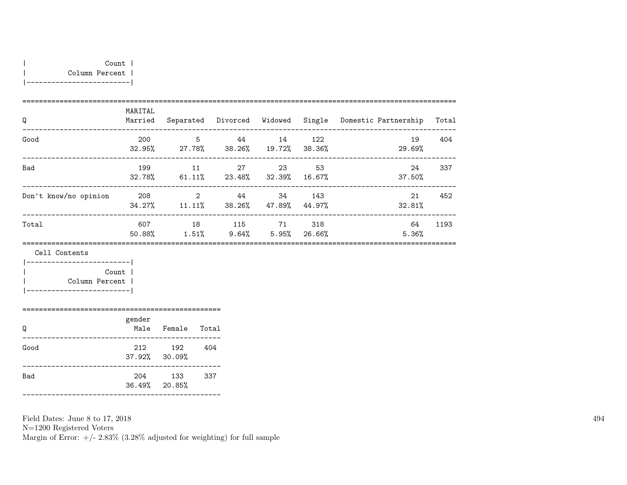| Q                     | MARITAL<br>Married |                          | Separated Divorced Widowed |                |               | Single Domestic Partnership | Total |
|-----------------------|--------------------|--------------------------|----------------------------|----------------|---------------|-----------------------------|-------|
| Good                  | 200<br>32.95%      | 5<br>27.78%              | 44<br>38.26%               | 14<br>19.72%   | 122<br>38.36% | 19<br>29.69%                | 404   |
| Bad                   | 199<br>32.78%      | 11<br>$61.11\%$          | 27<br>23.48%               | 23<br>32.39%   | 53<br>16.67%  | 24<br>$37.50\%$             | 337   |
| Don't know/no opinion | 208<br>34.27%      | $\overline{2}$<br>11.11% | 44<br>38.26%               | -34<br>47.89%  | 143<br>44.97% | 21<br>32.81%                | 452   |
| Total                 | 607<br>50.88%      | 18<br>$1.51\%$           | 115<br>$9.64\%$            | 71<br>$5.95\%$ | 318<br>26.66% | 64<br>5.36%                 | 1193  |

Cell Contents

|  | Count          |  |
|--|----------------|--|
|  | Column Percent |  |
|  |                |  |

| Ω    | gender<br>Male             | Female | Total |
|------|----------------------------|--------|-------|
| Good | 212<br>$37.92\%$ $30.09\%$ | 192    | 404   |
| Bad  | 204<br>$36.49\%$ 20.85%    | 133    | 337   |

================================================

Field Dates: June 8 to 17, 2018

N=1200 Registered Voters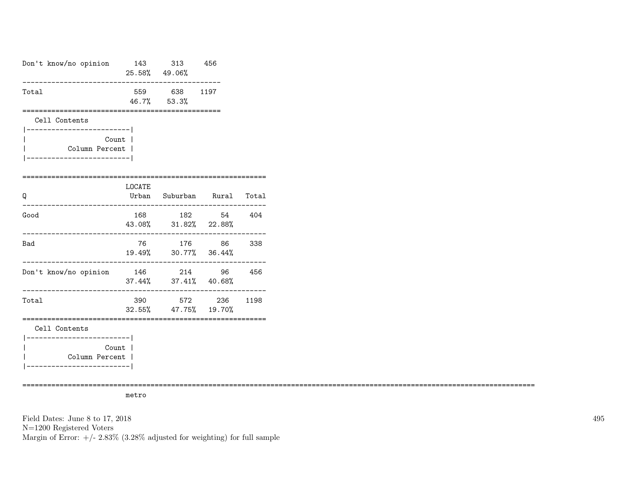| Don't know/no opinion                                                        | 25.58%49.06% | 143 313 456                                         |              |     |
|------------------------------------------------------------------------------|--------------|-----------------------------------------------------|--------------|-----|
| Total                                                                        |              | 559 638 1197<br>46.7% 53.3%                         |              |     |
| Cell Contents<br>-----------------------                                     |              |                                                     |              |     |
| Column Percent                                                               | Count        |                                                     |              |     |
| ==================<br>Q                                                      | LOCATE       | Urban Suburban Rural Total<br>_____________________ |              |     |
| Good                                                                         | 168          | 43.08% 31.82% 22.88%                                | 182 54 404   |     |
| Bad                                                                          |              | 76 176 86 338<br>19.49% 30.77% 36.44%               |              |     |
| Don't know/no opinion                                                        | .            | 146 214 96<br>37.44% 37.41% 40.68%                  |              | 456 |
| Total                                                                        | 390          | 32.55% 47.75% 19.70%                                | 572 236 1198 |     |
| Cell Contents                                                                |              |                                                     |              |     |
| ___________________________<br>Column Percent  <br>_________________________ | Count        |                                                     |              |     |

============================================================================================================================

metro

Field Dates: June 8 to 17, 2018 N=1200 Registered Voters Margin of Error:  $+/- 2.83\%$  (3.28% adjusted for weighting) for full sample 495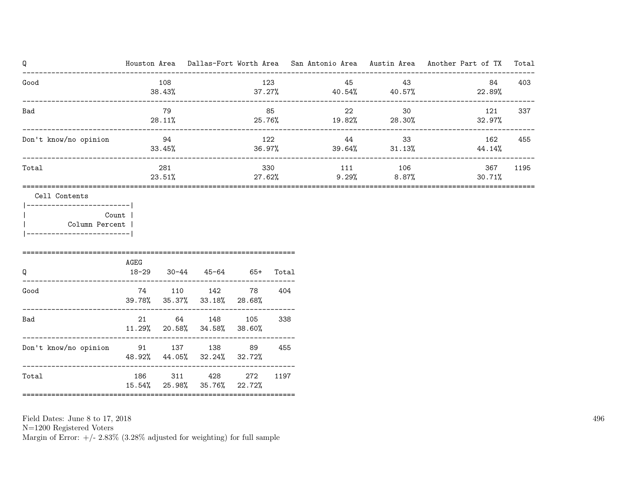| Q                                                                                                            |      |                 |                                          |               |               |        |     |                               | Houston Area Dallas-Fort Worth Area San Antonio Area Austin Area Another Part of TX |               | Total |
|--------------------------------------------------------------------------------------------------------------|------|-----------------|------------------------------------------|---------------|---------------|--------|-----|-------------------------------|-------------------------------------------------------------------------------------|---------------|-------|
| Good                                                                                                         |      | 108<br>38.43%   |                                          |               | 123           |        | 45  | 43<br>$37.27\%$ 40.54% 40.57% |                                                                                     | 84<br>22.89%  | 403   |
| Bad<br>---------------------------------                                                                     |      | 79<br>28.11%    |                                          |               | 85            |        | 22  | 30<br>$25.76\%$ 19.82% 28.30% |                                                                                     | 121<br>32.97% | 337   |
| Don't know/no opinion                                                                                        |      | 94<br>$33.45\%$ |                                          | 122           |               | 36.97% | 44  | 33<br>39.64% 31.13%           |                                                                                     | 162<br>44.14% | 455   |
| Total                                                                                                        |      | 281<br>23.51%   |                                          |               | 330<br>27.62% |        | 111 | 106<br>$9.29\%$ 8.87%         |                                                                                     | 367<br>30.71% | 1195  |
| Cell Contents<br> -------------------------- <br>Count<br>  Column Percent<br>_________________________<br>Q | AGEG |                 | 18-29 30-44 45-64 65+                    |               | Total         |        |     |                               |                                                                                     |               |       |
| Good                                                                                                         |      |                 | 74 110 142 78<br>39.78% 35.37% 33.18%    | 28.68%        | 404           |        |     |                               |                                                                                     |               |       |
| Bad                                                                                                          |      |                 | 21 64 148 105<br>$11.29\%$ 20.58% 34.58% | 38.60%        | 338           |        |     |                               |                                                                                     |               |       |
| Don't know/no opinion 91 137 138 89                                                                          |      |                 | 48.92% 44.05% 32.24% 32.72%              |               | 455           |        |     |                               |                                                                                     |               |       |
| Total                                                                                                        |      |                 | 186 311 428<br>15.54% 25.98% 35.76%      | 272<br>22.72% | 1197          |        |     |                               |                                                                                     |               |       |

N=1200 Registered Voters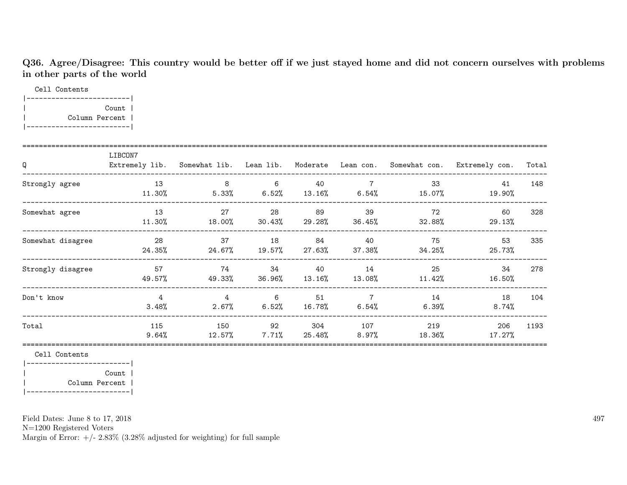Q36. Agree/Disagree: This country would be better off if we just stayed home and did not concern ourselves with problems in other parts of the world

Cell Contents

|-------------------------| | Count | | Column Percent | |-------------------------|

| Q                 | LIBCON7<br>Extremely lib. |                            |                |               |                                   |                | Somewhat lib. Lean lib. Moderate Lean con. Somewhat con. Extremely con. | Total |
|-------------------|---------------------------|----------------------------|----------------|---------------|-----------------------------------|----------------|-------------------------------------------------------------------------|-------|
| Strongly agree    | 13<br>$11.30\%$           | 8<br>5.33%                 | 6<br>6.52%     | 40            | $\overline{7}$<br>$13.16\%$ 6.54% | 33<br>15.07%   | 41<br>19.90%                                                            | 148   |
| Somewhat agree    | 13<br>11.30%              | 27<br>18.00%               | 28<br>30.43%   | 89<br>29.28%  | 39<br>36.45%                      | 72<br>32.88%   | 60<br>29.13%                                                            | 328   |
| Somewhat disagree | - 28<br>24.35%            | 37<br>24.67%               | 18<br>19.57%   | 84<br>27.63%  | 40<br>37.38%                      | 75<br>34.25%   | 53<br>25.73%                                                            | 335   |
| Strongly disagree | 57<br>49.57%              | 74<br>49.33%               | 34<br>36.96%   | 40<br>13.16%  | 14<br>$13.08\%$                   | 25<br>11.42%   | 34<br>16.50%                                                            | 278   |
| Don't know        | $\overline{4}$<br>3.48%   | $\overline{4}$<br>$2.67\%$ | 6<br>$6.52\%$  | 51<br>16.78%  | $\overline{7}$<br>$6.54\%$        | 14<br>$6.39\%$ | 18<br>$8.74\%$                                                          | 104   |
| Total             | 115<br>9.64%              | 150<br>12.57%              | 92<br>$7.71\%$ | 304<br>25.48% | 107<br>$8.97\%$                   | 219<br>18.36%  | 206<br>17.27%                                                           | 1193  |

Cell Contents

|-------------------------| | Count | | Column Percent | |-------------------------|

Field Dates: June 8 to 17, 2018

N=1200 Registered Voters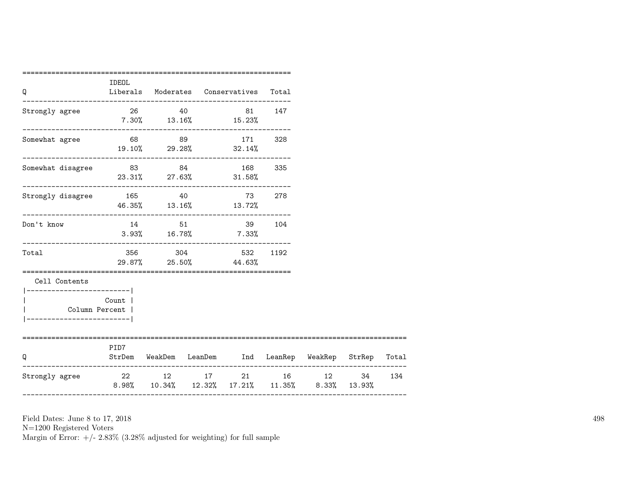| Q                                                                                        | =======<br>IDEOL<br>Liberals Moderates Conservatives Total                                  |       |                                |                                          |     |                                                         |     |
|------------------------------------------------------------------------------------------|---------------------------------------------------------------------------------------------|-------|--------------------------------|------------------------------------------|-----|---------------------------------------------------------|-----|
| Strongly agree                                                                           | 26 40 81 147<br>$7.30\%$ $13.16\%$ $15.23\%$                                                |       |                                |                                          |     |                                                         |     |
| Somewhat agree                                                                           | 68 89 171 328<br>$19.10\%$ 29.28% 32.14%                                                    |       |                                |                                          |     |                                                         |     |
| Somewhat disagree 83 84 168                                                              | $23.31\%$ 27.63% 31.58%                                                                     |       |                                |                                          | 335 |                                                         |     |
| Strongly disagree 165 40                                                                 | 46.35% 13.16% 13.72%                                                                        |       |                                | 73                                       | 278 |                                                         |     |
| Don't know                                                                               | $3.93\%$ 16.78% 7.33%                                                                       | 14 51 | ------------------------------ | 39 104                                   |     |                                                         |     |
| Total                                                                                    |                                                                                             |       |                                | 356 304 532 1192<br>29.87% 25.50% 44.63% |     |                                                         |     |
| Cell Contents<br>----------------------- <br>Column Percent  <br>----------------------- | Count                                                                                       |       |                                |                                          |     |                                                         |     |
| Q                                                                                        | PID7                                                                                        |       |                                |                                          |     | StrDem WeakDem LeanDem Ind LeanRep WeakRep StrRep Total |     |
| Strongly agree                                                                           | 22 12 17 21 16 12 34<br>$8.98\%$ $10.34\%$ $12.32\%$ $17.21\%$ $11.35\%$ $8.33\%$ $13.93\%$ |       |                                |                                          |     |                                                         | 134 |

N=1200 Registered Voters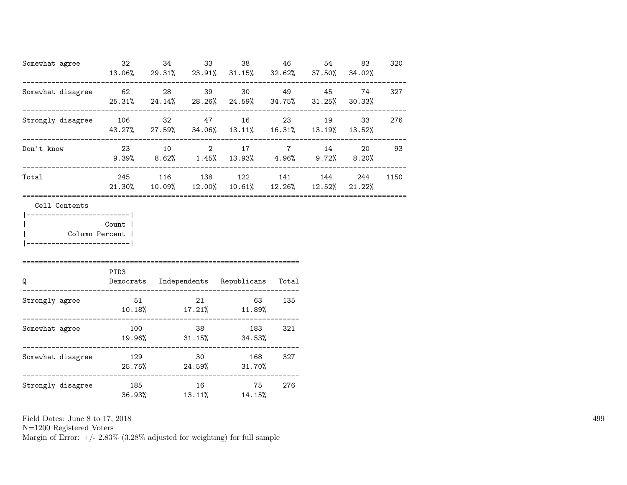| Somewhat agree                                                                         | 32                                        | 34 |              | 38<br>13.06% 29.31% 23.91% 31.15% 32.62% 37.50% 34.02%                                 | 46     | 54 | 83           | 320      |
|----------------------------------------------------------------------------------------|-------------------------------------------|----|--------------|----------------------------------------------------------------------------------------|--------|----|--------------|----------|
| Somewhat disagree 62 28 39 30 49 45                                                    | 25.31% 24.14% 28.26% 24.59% 34.75% 31.25% |    |              |                                                                                        |        |    | 74<br>30.33% | 327      |
| Strongly disagree 106 32 47 16 23 19                                                   |                                           |    |              | 43.27% 27.59% 34.06% 13.11% 16.31% 13.19% 13.52%                                       |        |    | 33           | 276      |
| Don't know                                                                             |                                           |    |              | 23 10 2 17 7 14<br>9.39% 8.62% 1.45% 13.93% 4.96% 9.72% 8.20%                          |        |    |              | 20 93    |
| Total                                                                                  |                                           |    |              | 245 116 138 122 141 144<br>$21.30\%$ $10.09\%$ $12.00\%$ $10.61\%$ $12.26\%$ $12.52\%$ |        |    | 21.22%       | 244 1150 |
| Cell Contents<br>---------------------- <br>Column Percent  <br>---------------------- | Count                                     |    |              |                                                                                        |        |    |              |          |
| $\Omega$                                                                               | PID3                                      |    |              | Democrats Independents Republicans Total                                               |        |    |              |          |
| Strongly agree                                                                         | 51                                        |    |              | $10.18\%$ $17.21\%$ $11.89\%$                                                          | 63 135 |    |              |          |
| Somewhat agree                                                                         | 100<br>$19.96\%$ $31.15\%$ $34.53\%$      |    |              | 38 183 321                                                                             |        |    |              |          |
| Somewhat disagree 129 30 168 327<br>----------------------                             |                                           |    |              | 25.75% 24.59% 31.70%                                                                   |        |    |              |          |
| Strongly disagree                                                                      | 185<br>36.93%                             |    | 16<br>13.11% | 75<br>14.15%                                                                           | 276    |    |              |          |

N=1200 Registered Voters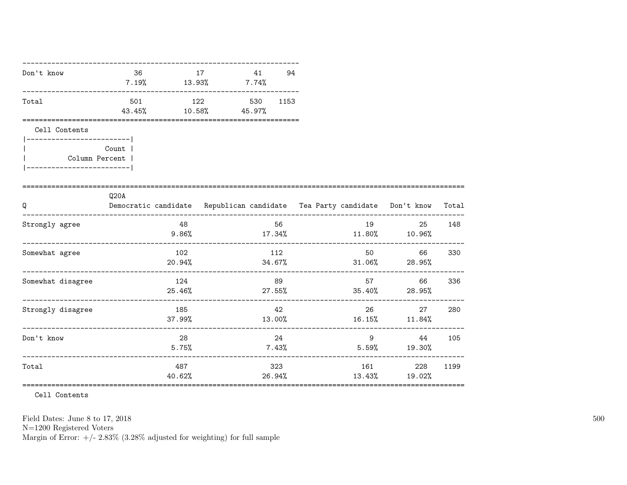| Don't know                                    | 36    | 17<br>$7.19\%$ $13.93\%$ $7.74\%$        | 41  | 94          |                                                                                |                                                |        |
|-----------------------------------------------|-------|------------------------------------------|-----|-------------|--------------------------------------------------------------------------------|------------------------------------------------|--------|
| Total                                         |       | 501 122 530 1153<br>43.45% 10.58% 45.97% |     |             |                                                                                |                                                |        |
| Cell Contents                                 |       |                                          |     |             |                                                                                |                                                |        |
| Column Percent  <br>_________________________ | Count |                                          |     |             |                                                                                |                                                |        |
| Q                                             | Q20A  |                                          |     |             | Democratic candidate Republican candidate Tea Party candidate Don't know Total |                                                |        |
| Strongly agree                                |       | 48 48                                    |     | 56 11       | $9.86\%$ $17.34\%$ $11.80\%$ $10.96\%$                                         | 19                                             | 25 148 |
| Somewhat agree                                |       | 102                                      | 112 |             | $20.94\%$ $34.67\%$ $31.06\%$ $28.95\%$                                        | 50 30 30 31 32 33 43 43 44 45 45 46 47<br>66 — | 330    |
| Somewhat disagree                             |       | 124                                      |     | 89          | $25.46\%$ 27.55% 35.40% 28.95%                                                 | 66 —                                           | 336    |
| Strongly disagree                             |       | 185                                      |     | 42          | $37.99\%$ $13.00\%$ $16.15\%$ $11.84\%$                                        | 26 27 280                                      |        |
| Don't know                                    |       | 28<br>$5.75\%$                           |     | 24<br>7.43% | $5.59\%$ 19.30%                                                                | $9 \t 44$                                      | 105    |
| Total                                         |       | 487                                      |     | 323         | $40.62\%$ 26.94% 13.43% 19.02%                                                 | 161 228                                        | 1199   |

Cell Contents

Field Dates: June 8 to 17, 2018

 ${\rm N}{=}1200$  Registered Voters

Margin of Error:  $+/- 2.83\%$  (3.28% adjusted for weighting) for full sample

500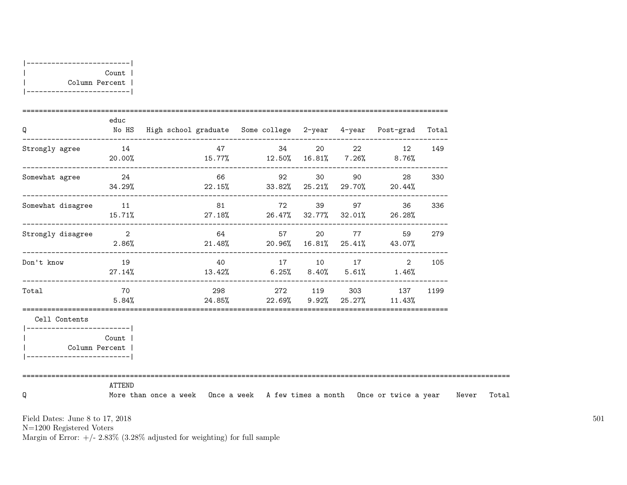| Count          |
|----------------|
| Column Percent |
|                |

| Q                                             | educ         | No HS High school graduate Some college 2-year 4-year Post-grad Total            |                                                          |          |              |                                             |      |
|-----------------------------------------------|--------------|----------------------------------------------------------------------------------|----------------------------------------------------------|----------|--------------|---------------------------------------------|------|
| Strongly agree                                | 14           | $20.00\%$ $15.77\%$ $12.50\%$ $16.81\%$ $7.26\%$ $8.76\%$                        | 47 34                                                    |          |              | 20 22 12                                    | 149  |
| Somewhat agree 24                             | 34.29%       | 66<br>$22.15\%$ 33.82% $25.21\%$ 29.70% 20.44%                                   |                                                          | 92 30 90 |              | -------------------------------------<br>28 | 330  |
| Somewhat disagree 11                          |              | $15.71\%$ 27.18% 26.47% 32.77% 32.01% 26.28%                                     | 81 72 39 97 36 336                                       |          |              |                                             |      |
| Strongly disagree 2                           |              | $2.86\%$ 21.48% 20.96% 16.81% 25.41% 43.07%                                      | 64                                                       | 57 20    | <b>77</b> 17 | --------------------------------<br>59      | 279  |
| Don't know                                    | 19<br>27.14% |                                                                                  | 40 17 10 17 2<br>$13.42\%$ 6.25% 8.40% 5.61% 1.46%       |          |              |                                             | 105  |
| Total                                         | 70<br>5.84%  |                                                                                  | 298 272 119 303 137<br>24.85% 22.69% 9.92% 25.27% 11.43% |          |              |                                             | 1199 |
| Cell Contents                                 |              |                                                                                  |                                                          |          |              |                                             |      |
| Column Percent<br>___________________________ | Count        |                                                                                  |                                                          |          |              |                                             |      |
| Q                                             | ATTEND       | More than once a week Once a week A few times a month Once or twice a year Never |                                                          |          |              |                                             |      |

N=1200 Registered Voters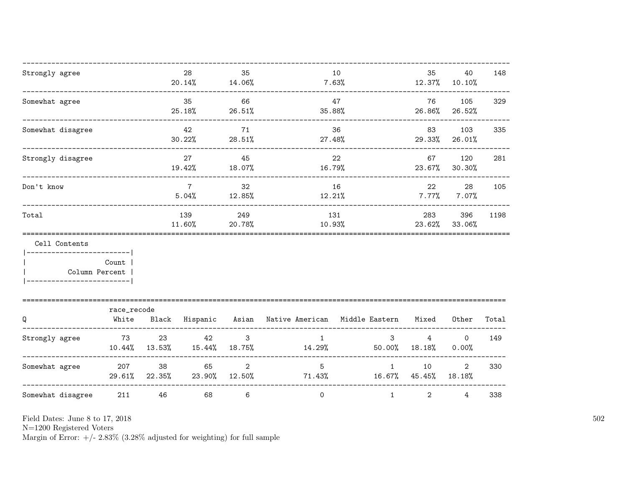| Strongly agree                                          |                      |                           | 28<br>20.14% 14.06%      | 35                              |                                | 10<br>7.63%            | 35<br>12.37%             | 40<br>10.10%               | 148   |
|---------------------------------------------------------|----------------------|---------------------------|--------------------------|---------------------------------|--------------------------------|------------------------|--------------------------|----------------------------|-------|
| Somewhat agree                                          |                      |                           | 35<br>25.18%             | 66<br>26.51%                    | 35.88%                         | 47                     | 76<br>26.86%             | 105<br>26.52%              | 329   |
| Somewhat disagree                                       |                      |                           | 42<br>30.22%             | 71<br>28.51%                    | 27.48%                         | 36                     | 83<br>29.33%             | 103<br>26.01%              | 335   |
| Strongly disagree                                       |                      |                           | 27<br>19.42%             | 45<br>$18.07\%$                 | 16.79%                         | 22                     | 67<br>23.67%             | 120<br>30.30%              | 281   |
| Don't know                                              |                      |                           | $7\overline{ }$<br>5.04% | 32<br>12.85%                    |                                | 16<br>12.21%           |                          | 28<br>$7.77\%$<br>$7.07\%$ | 105   |
| Total                                                   |                      |                           |                          | 249<br>20.78%                   | 131<br>10.93%                  |                        | 283<br>23.62%            | 396<br>33.06%              | 1198  |
| Cell Contents<br>------------------- <br>Column Percent | Count                |                           |                          |                                 |                                |                        |                          |                            |       |
| Q                                                       | race_recode<br>White |                           | Black Hispanic Asian     |                                 | Native American Middle Eastern |                        | Mixed                    | Other                      | Total |
| Strongly agree                                          | 73                   | 23<br>$10.44\%$ $13.53\%$ | 42<br>15.44%             | $\mathbf{3}$<br>18.75%          | $\mathbf{1}$<br>14.29%         | $\mathbf{3}$<br>50.00% | $\overline{4}$<br>18.18% | $\mathbf 0$<br>0.00%       | 149   |
| Somewhat agree                                          | 207                  | 38<br>29.61% 22.35%       | 65                       | $\overline{2}$<br>23.90% 12.50% | 5 <sup>5</sup><br>71.43%       | $\mathbf{1}$<br>16.67% | 10<br>45.45%             | $\overline{2}$<br>18.18%   | 330   |
| Somewhat disagree                                       | 211                  | 46                        | 68                       | 6                               | $\overline{0}$                 | $\mathbf{1}$           | $\overline{2}$           | $\overline{4}$             | 338   |

N=1200 Registered Voters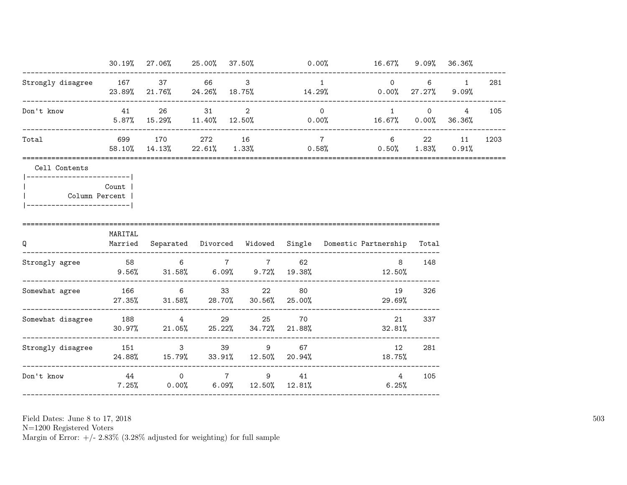|                                                                                               |         | $30.19\%$ 27.06% 25.00% 37.50% 0.00% 16.67% 9.09% 36.36%                                   |  |                      |          |                                     |                       |      |
|-----------------------------------------------------------------------------------------------|---------|--------------------------------------------------------------------------------------------|--|----------------------|----------|-------------------------------------|-----------------------|------|
| Strongly disagree 167 37 66 3                                                                 |         | $23.89\%$ 21.76% 24.26% 18.75% 14.29% 0.00% 27.27% 9.09%                                   |  |                      | $\sim$ 1 |                                     | $0 \qquad 6 \qquad 1$ | 281  |
| Don't know                                                                                    |         | 41 26 31 2 0<br>$5.87\%$ 15.29% 11.40% 12.50% 0.00% 16.67% 0.00% 36.36%                    |  |                      |          | $1 \qquad \qquad 0 \qquad \qquad 4$ |                       | 105  |
| Total                                                                                         |         | 699 170 272 16 7 6 22 11<br>$58.10\%$ $14.13\%$ $22.61\%$ $1.33\%$ 0.58% 0.50% 1.83% 0.91% |  |                      |          |                                     |                       | 1203 |
| Cell Contents<br> ------------------------- <br>Column Percent  <br> ------------------------ | Count   |                                                                                            |  |                      |          |                                     |                       |      |
| Q                                                                                             | MARITAL | Married Separated Divorced Widowed Single Domestic Partnership<br>---------------------    |  | -------------------- |          |                                     | Total                 |      |
| Strongly agree                                                                                |         | 58 6 7 7<br>$9.56\%$ $31.58\%$ $6.09\%$ $9.72\%$ $19.38\%$ $12.50\%$                       |  | 62                   |          | 8                                   | 148                   |      |
| Somewhat agree 166 6 33 22 80                                                                 |         | 27.35% 31.58% 28.70% 30.56% 25.00%                                                         |  |                      |          | 19<br>29.69%                        | 326                   |      |
| Somewhat disagree 188 188 29 25 70                                                            |         | $30.97\%$ 21.05% 25.22% 34.72% 21.88% 32.81%                                               |  |                      |          |                                     | 21 337                |      |
| Strongly disagree 151 3 39 9 67                                                               |         | 24.88% 15.79% 33.91% 12.50% 20.94%                                                         |  |                      |          | 12<br>18.75%                        | 281                   |      |
| Don't know                                                                                    |         | 44 0 7 9 41<br>$7.25\%$ 0.00% 6.09% 12.50% 12.81%                                          |  |                      |          | 4<br>6.25%                          | 105                   |      |
| -----------------------------------                                                           |         |                                                                                            |  |                      |          |                                     |                       |      |

N=1200 Registered Voters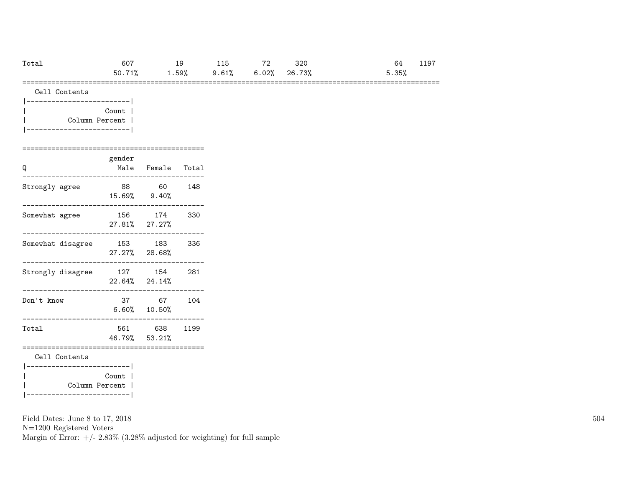| Total | 607 | 19 115 72 320                                  |  | 64 —     | 1197 |
|-------|-----|------------------------------------------------|--|----------|------|
|       |     | $50.71\%$ $1.59\%$ $9.61\%$ $6.02\%$ $26.73\%$ |  | $5.35\%$ |      |

=====================================================================================================

| Cell Contents |  |
|---------------|--|
|---------------|--|

| Count          |  |
|----------------|--|
| Column Percent |  |
|                |  |

#### ============================================

| Q                 | gender<br>Male | Female                         | Total |
|-------------------|----------------|--------------------------------|-------|
| Strongly agree    | 88             | - 60<br>$15.69\%$ 9.40\%       | 148   |
| Somewhat agree    | 156 —          | 174<br>27.81% 27.27%           | 330   |
| Somewhat disagree | 153            | 183<br>27.27% 28.68%           | 336   |
| Strongly disagree |                | 127 154<br>$22.64\%$ $24.14\%$ | 281   |
| Don't know        | 37             | 67<br>$6.60\%$ 10.50%          | 104   |
| Total             | 561 —          | 638<br>46.79% 53.21%           | 1199  |
| Cell Contents     |                |                                |       |
| Column Percent    | Count          |                                |       |

Field Dates: June 8 to 17, 2018

|-------------------------|

N=1200 Registered Voters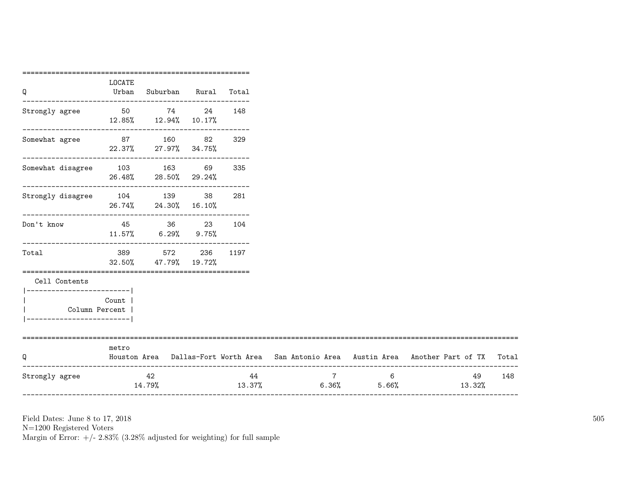| Q                                                                                             | LOCATE<br>Urban | Suburban Rural Total                                                  |     |                                      |                                                                                           |     |
|-----------------------------------------------------------------------------------------------|-----------------|-----------------------------------------------------------------------|-----|--------------------------------------|-------------------------------------------------------------------------------------------|-----|
|                                                                                               |                 | 12.85%  12.94%  10.17%                                                |     |                                      |                                                                                           |     |
| ----------------------<br>Somewhat agree 87 160 82                                            |                 | 22.37% 27.97% 34.75%                                                  | 329 |                                      |                                                                                           |     |
| $\begin{tabular}{llll} Somewhat disagree & 103 & 163 & 69 & 335 \\ \end{tabular}$             |                 | $26.48\%$ 28.50% 29.24%                                               |     |                                      |                                                                                           |     |
| Strongly disagree 104 139 38 281                                                              |                 | 26.74% 24.30% 16.10%                                                  |     |                                      |                                                                                           |     |
| Don't know                                                                                    | 45              | 36 23<br>$11.57\%$ 6.29% 9.75%                                        | 104 |                                      |                                                                                           |     |
| Total                                                                                         | 32.50%          | --------------------------------<br>389 572 236 1197<br>47.79% 19.72% |     |                                      |                                                                                           |     |
| Cell Contents<br>------------------------- <br>Column Percent  <br>__________________________ | Count           |                                                                       |     |                                      |                                                                                           |     |
| ============================<br>Q                                                             | metro           |                                                                       |     |                                      | Houston Area Dallas-Fort Worth Area San Antonio Area Austin Area Another Part of TX Total |     |
| Strongly agree                                                                                |                 | 42<br>14.79%                                                          |     | $7\overline{ }$<br>$6 \qquad \qquad$ | 49<br>$13.37\%$ 6.36% 5.66% 13.32%                                                        | 148 |

N=1200 Registered Voters

Margin of Error:  $+/- 2.83\%$  (3.28% adjusted for weighting) for full sample

=======================================================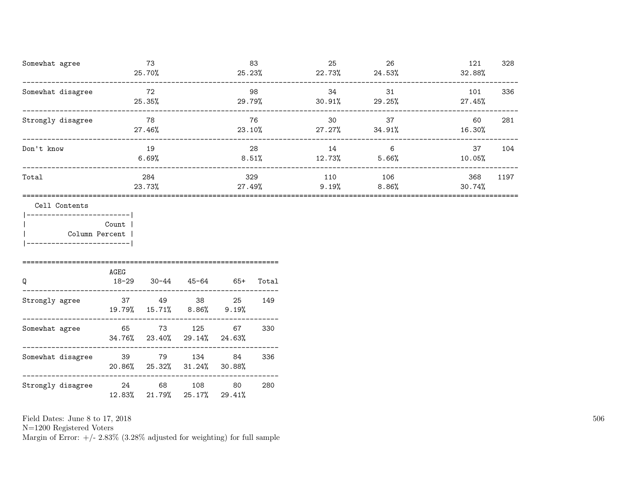| Somewhat agree    | 73<br>25.70%  | 83<br>25.23%   | 25<br>22.73% | 26<br>24.53%    | 121<br>328<br>32.88%  |
|-------------------|---------------|----------------|--------------|-----------------|-----------------------|
| Somewhat disagree | 72<br>25.35%  | 98<br>29.79%   | 34<br>30.91% | 31<br>29.25%    | 336<br>101<br>27.45%  |
| Strongly disagree | 78<br>27.46%  | 76<br>23.10%   | 30<br>27.27% | 37<br>34.91%    | 281<br>60<br>16.30%   |
| Don't know        | 19<br>6.69%   | 28<br>$8.51\%$ | 14<br>12.73% | 6<br>5.66%      | 37<br>104<br>10.05%   |
| Total             | 284<br>23.73% | 329<br>27.49%  | 110<br>9.19% | 106<br>$8.86\%$ | 368<br>1197<br>30.74% |

Cell Contents

|-------------------------| | Count | | Column Percent | |-------------------------|

| Q                 | AGEG<br>$18 - 29$ | $30 - 44$           | 45-64                                 | $65+$        | Total |
|-------------------|-------------------|---------------------|---------------------------------------|--------------|-------|
| Strongly agree    | 37                | 49<br>19.79% 15.71% | 38<br>8.86%                           | 25<br>9.19%  | 149   |
| Somewhat agree    | 65                | 73                  | 125<br>$34.76\%$ 23.40% 29.14% 24.63% | 67           | 330   |
| Somewhat disagree | 39                | 79                  | 134<br>$20.86\%$ $25.32\%$ $31.24\%$  | 84<br>30.88% | 336   |
| Strongly disagree | 24<br>12.83%      | 68<br>21.79% 25.17% | 108                                   | 80<br>29.41% | 280   |

Field Dates: June 8 to 17, 2018

N=1200 Registered Voters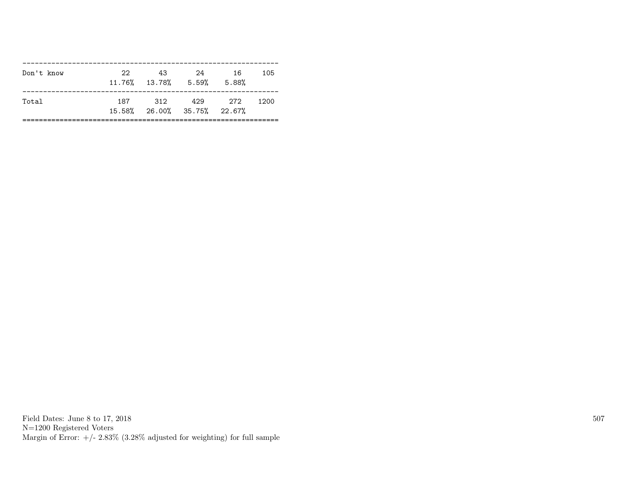| Don't know | 22.   | 43<br>$11.76\%$ $13.78\%$ 5.59% | 24                                     | 16<br>5.88% | 105  |
|------------|-------|---------------------------------|----------------------------------------|-------------|------|
| Total      | 187 - | 312                             | 429 272<br>15.58% 26.00% 35.75% 22.67% |             | 1200 |

Field Dates: June 8 to 17, 2018 N=1200 Registered Voters Margin of Error:  $+/- 2.83\%$  (3.28% adjusted for weighting) for full sample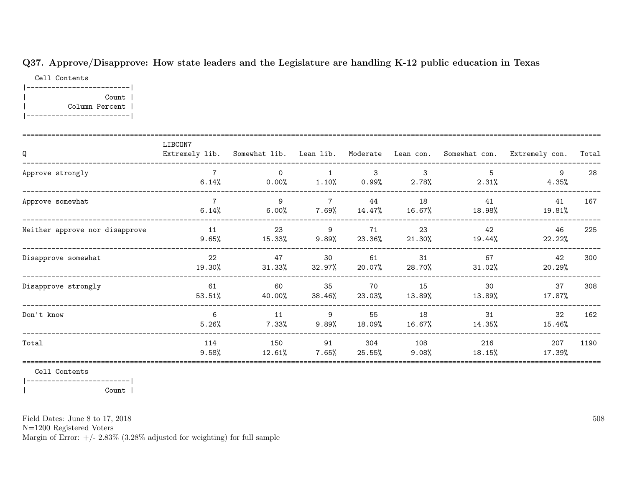### Q37. Approve/Disapprove: How state leaders and the Legislature are handling K-12 public education in Texas

Cell Contents |-------------------------| | Count | | Column Percent | |-------------------------|

| Q                              | LIBCON7      |                      |                          |                |                 |               | Extremely lib. Somewhat lib. Lean lib. Moderate Lean con. Somewhat con. Extremely con. | Total |
|--------------------------------|--------------|----------------------|--------------------------|----------------|-----------------|---------------|----------------------------------------------------------------------------------------|-------|
| Approve strongly               | 6.14%        | $\Omega$<br>$0.00\%$ | 1.10%                    | -3<br>$0.99\%$ | 3<br>$2.78\%$   | 5<br>2.31%    | 4.35%                                                                                  | 28    |
| Approve somewhat               | 6.14%        | 9<br>$6.00\%$        | $7\overline{ }$<br>7.69% | 44<br>14.47%   | 18<br>16.67%    | 41<br>18.98%  | 41<br>19.81%                                                                           | 167   |
| Neither approve nor disapprove | 11<br>9.65%  | 23<br>15.33%         | 9<br>9.89%               | 71<br>23.36%   | 23<br>21.30%    | 42<br>19.44%  | 46<br>22.22%                                                                           | 225   |
| Disapprove somewhat            | 22<br>19.30% | 47<br>31.33%         | 30<br>32.97%             | 61<br>20.07%   | 31<br>28.70%    | 67<br>31.02%  | 42<br>20.29%                                                                           | 300   |
| Disapprove strongly            | 61<br>53.51% | 60<br>40.00%         | 35<br>38.46%             | 70<br>23.03%   | 15<br>13.89%    | 30<br>13.89%  | 37<br>17.87%                                                                           | 308   |
| Don't know                     | 6<br>5.26%   | 11<br>7.33%          | 9<br>9.89%               | 55<br>18.09%   | 18<br>16.67%    | 31<br>14.35%  | 32<br>15.46%                                                                           | 162   |
| Total                          | 114<br>9.58% | 150<br>12.61%        | 91<br>$7.65\%$           | 304<br>25.55%  | 108<br>$9.08\%$ | 216<br>18.15% | 207<br>17.39%                                                                          | 1190  |

Cell Contents

|-------------------------| | Count |

Field Dates: June 8 to 17, 2018

N=1200 Registered Voters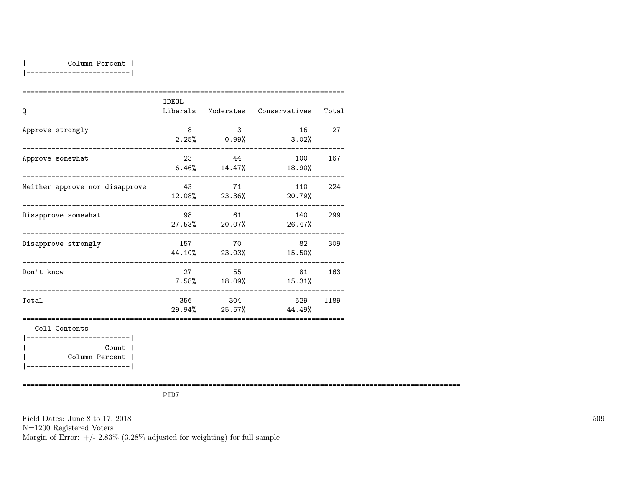|-------------------------|

| Q                                                     | <b>IDEOL</b> |                                  | Liberals Moderates Conservatives Total |        |
|-------------------------------------------------------|--------------|----------------------------------|----------------------------------------|--------|
| Approve strongly                                      | 8            | 3 <sup>1</sup><br>$2.25\%$ 0.99% | 3.02%                                  | 16 27  |
| Approve somewhat                                      | 23           | 44                               | 100<br>$6.46\%$ 14.47% 18.90%          | 167    |
| Neither approve nor disapprove                        | 43 71        |                                  | 110<br>$12.08\%$ 23.36% 20.79%         | 224    |
| Disapprove somewhat                                   |              | 98 61                            | 140 299<br>27.53% 20.07% 26.47%        |        |
| Disapprove strongly<br>______________________________ |              | 157 70                           | 44.10% 23.03% 15.50%                   | 82 309 |
| Don't know<br>__________________________________      | 27           | 55<br>$7.58\%$ 18.09%            | 15.31%                                 | 81 163 |
| Total                                                 |              | 356 304                          | 529<br>29.94% 25.57% 44.49%            | 1189   |
| Cell Contents<br>-----------------------              |              |                                  |                                        |        |
| Count  <br>Column Percent                             |              |                                  |                                        |        |

==========================================================================================================

PID7

Field Dates: June 8 to 17, 2018 N=1200 Registered Voters Margin of Error:  $+/- 2.83\%$  (3.28% adjusted for weighting) for full sample 509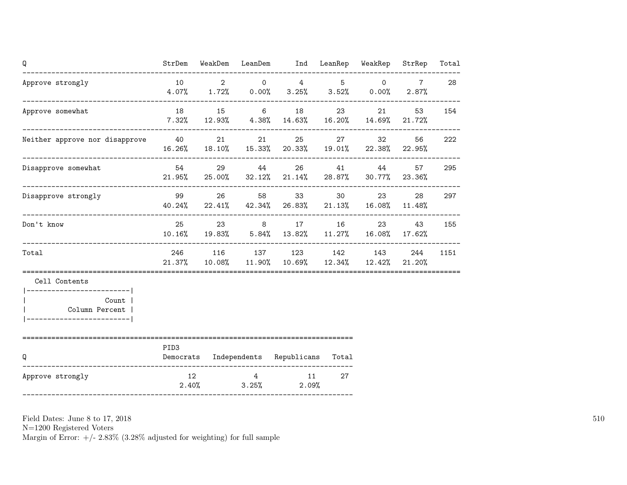| Q                                                                                    | StrDem           |       |                         | WeakDem LeanDem Ind LeanRep WeakRep                                               |               |                | StrRep                      | Total |
|--------------------------------------------------------------------------------------|------------------|-------|-------------------------|-----------------------------------------------------------------------------------|---------------|----------------|-----------------------------|-------|
| Approve strongly<br>----------------------------------                               | 10               |       | $2 \qquad \qquad 0$     | $4\qquad\qquad\qquad 5$<br>$4.07\%$ $1.72\%$ $0.00\%$ $3.25\%$ $3.52\%$ $0.00\%$  |               | $\overline{0}$ | $7\overline{ }$<br>$2.87\%$ | 28    |
| Approve somewhat                                                                     | 18               |       | 15 6                    | $7.32\%$ 12.93% 4.38% 14.63% 16.20% 14.69% 21.72%                                 | 23 and $\sim$ |                | 53                          | 154   |
| Neither approve nor disapprove 40                                                    |                  |       |                         | 21 25<br>16.26% 18.10% 15.33% 20.33% 19.01% 22.38% 22.95%                         |               | 27 32          | 56                          | 222   |
| Disapprove somewhat                                                                  | 54               |       | 29 44                   | $21.95\%$ 25.00% 32.12% 21.14% 28.87% 30.77% 23.36%                               |               | 26 41 44       | 57                          | 295   |
| Disapprove strongly                                                                  | 99               |       |                         | 26 58 33<br>$40.24\%$ $22.41\%$ $42.34\%$ $26.83\%$ $21.13\%$ $16.08\%$ $11.48\%$ |               | 30 23          | 28                          | 297   |
| Don't know                                                                           | 25               |       |                         | 23 8 17<br>10.16% 19.83% 5.84% 13.82% 11.27% 16.08% 17.62%                        |               | 16 23          | 43                          | 155   |
| Total                                                                                |                  |       |                         | 246 116 137 123 142 143<br>21.37% 10.08% 11.90% 10.69% 12.34% 12.42% 21.20%       |               |                | 244                         | 1151  |
| Cell Contents                                                                        |                  |       |                         |                                                                                   |               |                |                             |       |
| -------------------------- <br>Count  <br>Column Percent  <br>---------------------- |                  |       |                         |                                                                                   |               |                |                             |       |
| --------------------------------------<br>Q                                          | PID <sub>3</sub> |       |                         | Democrats Independents Republicans Total                                          |               |                |                             |       |
| Approve strongly                                                                     | 12               | 2.40% | $\overline{4}$<br>3.25% | 11<br>2.09%                                                                       | 27            |                |                             |       |

N=1200 Registered Voters

Margin of Error:  $+/- 2.83\%$  (3.28% adjusted for weighting) for full sample

510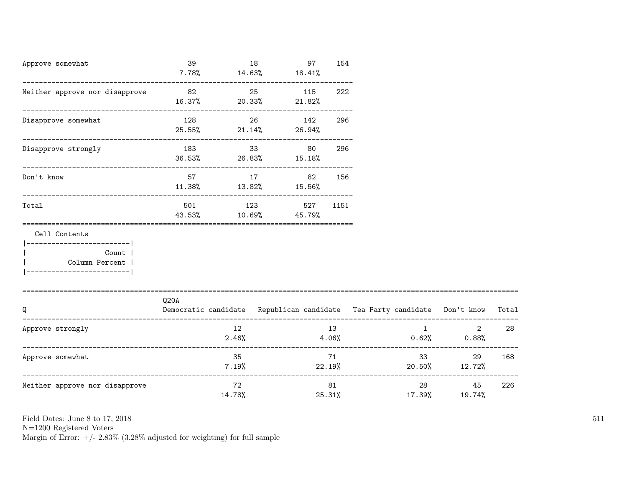| Approve somewhat                                        | 39                            |              | 18 | 97<br>$7.78\%$ 14.63% 18.41%              | 154 |                                                                                |                                      |        |
|---------------------------------------------------------|-------------------------------|--------------|----|-------------------------------------------|-----|--------------------------------------------------------------------------------|--------------------------------------|--------|
| Neither approve nor disapprove                          | 82<br>$16.37\%$ 20.33% 21.82% |              |    | 25 115                                    | 222 |                                                                                |                                      |        |
| Disapprove somewhat                                     | 128                           |              | 26 | 142<br>$25.55\%$ 21.14% 26.94%            | 296 |                                                                                |                                      |        |
| Disapprove strongly                                     |                               |              |    | 183 33 80<br>$36.53\%$ 26.83% 15.18%      | 296 |                                                                                |                                      |        |
| Don't know                                              |                               |              |    | 57 17 82<br>$11.38\%$ $13.82\%$ $15.56\%$ | 156 |                                                                                |                                      |        |
| Total                                                   | 501 700                       |              |    | 123 527 1151<br>43.53% 10.69% 45.79%      |     |                                                                                |                                      |        |
| Cell Contents                                           |                               |              |    |                                           |     |                                                                                |                                      |        |
| ------------------------- <br>Count  <br>Column Percent |                               |              |    |                                           |     |                                                                                |                                      |        |
|                                                         | Q20A                          |              |    |                                           |     |                                                                                |                                      |        |
| Q                                                       |                               |              |    |                                           |     | Democratic candidate Republican candidate Tea Party candidate Don't know Total |                                      |        |
| Approve strongly                                        |                               | 12           |    |                                           | 13  | $2.46\%$ $4.06\%$ $0.62\%$ $0.88\%$                                            | $1 \quad \blacksquare$               | 2 28   |
| Approve somewhat                                        |                               | 35           |    |                                           | 71  | $7.19\%$ 22.19% 20.50% 12.72%                                                  | 33 <sup>1</sup>                      | 29 168 |
| Neither approve nor disapprove                          |                               | 72<br>14.78% |    |                                           | 81  | 25.31%                                                                         | 28 and $\sim$<br>45<br>17.39% 19.74% | 226    |

N=1200 Registered Voters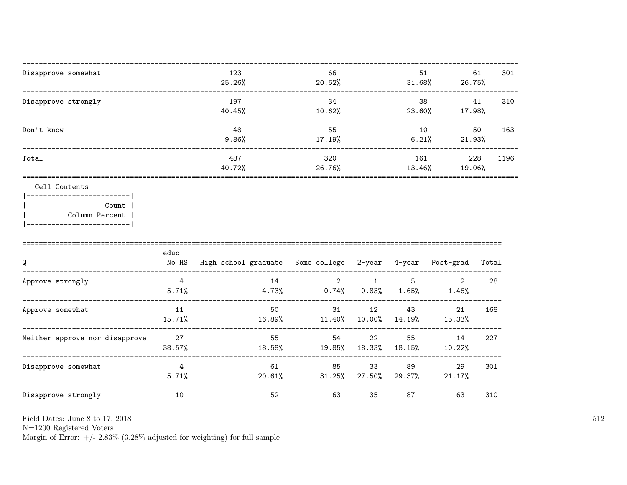| Disapprove somewhat | 123<br>25.26% | 66<br>20.62%  | 51<br>31.68%  | 61<br>26.75%  | 301  |
|---------------------|---------------|---------------|---------------|---------------|------|
| Disapprove strongly | 197<br>40.45% | 34<br>10.62%  | 38<br>23.60%  | 41<br>17.98%  | 310  |
| Don't know          | 48<br>9.86%   | 55<br>17.19%  | 10<br>6.21%   | 50<br>21.93%  | 163  |
| Total               | 487<br>40.72% | 320<br>26.76% | 161<br>13.46% | 228<br>19.06% | 1196 |
| Cell Contents       |               |               |               |               |      |

|  | Count 1        |
|--|----------------|
|  | Column Percent |
|  |                |

| Q                              | educ<br>No HS | High school graduate Some college |                 | 2-year       | 4-year        | Post-grad               | Total |
|--------------------------------|---------------|-----------------------------------|-----------------|--------------|---------------|-------------------------|-------|
| Approve strongly               | 4<br>5.71%    | 14<br>4.73%                       | 2<br>0.74%      | 0.83%        | 5<br>$1.65\%$ | $\overline{2}$<br>1.46% | 28    |
| Approve somewhat               | 11<br>15.71%  | 50<br>16.89%                      | 31<br>$11.40\%$ | 12<br>10.00% | 43<br>14.19%  | 21<br>15.33%            | 168   |
| Neither approve nor disapprove | 27<br>38.57%  | 55<br>18.58%                      | 54<br>19.85%    | 22<br>18.33% | 55<br>18.15%  | 14<br>10.22%            | 227   |
| Disapprove somewhat            | 4<br>5.71%    | 61<br>20.61%                      | 85<br>$31.25\%$ | 33<br>27.50% | 89<br>29.37%  | 29<br>21.17%            | 301   |
| Disapprove strongly            | 10            | 52                                | 63              | 35           | 87            | 63                      | 310   |

 ${\rm N}{=}1200$  Registered Voters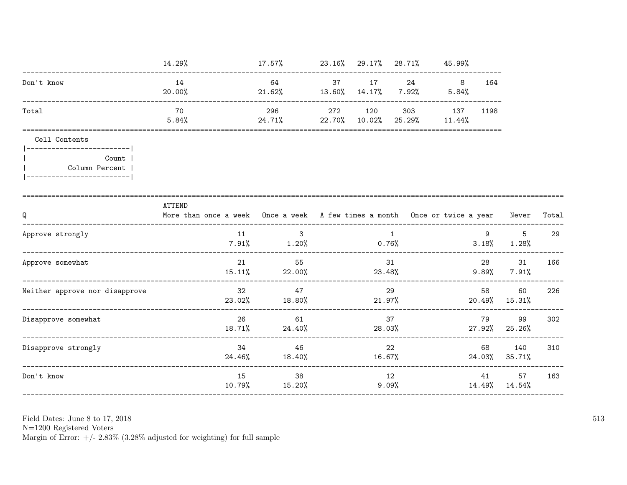|                                                           | 14.29%                                                                                                  | $17.57\%$ 23.16% 29.17% 28.71% 45.99%           |        |                |                                       |         |                                                                    |     |
|-----------------------------------------------------------|---------------------------------------------------------------------------------------------------------|-------------------------------------------------|--------|----------------|---------------------------------------|---------|--------------------------------------------------------------------|-----|
| Don't know                                                | 14<br>20.00%                                                                                            | 21.62% 13.60% 14.17% 7.92%                      |        |                | 64 37 17 24 8<br>5.84%                | 164     |                                                                    |     |
| Total                                                     | 70<br>5.84%                                                                                             | 296<br>24.71% 22.70% 10.02%                     |        |                | 272 120 303 137 1198<br>25.29% 11.44% |         |                                                                    |     |
| Cell Contents<br>--------------------------               |                                                                                                         |                                                 |        |                |                                       |         |                                                                    |     |
| Count  <br>Column Percent  <br> ------------------------- |                                                                                                         |                                                 |        |                |                                       |         |                                                                    |     |
| Q                                                         | <b>ATTEND</b><br>More than once a week Once a week A few times a month Once or twice a year Never Total |                                                 |        |                |                                       |         |                                                                    |     |
| Approve strongly                                          | 11                                                                                                      | $\overline{\mathbf{3}}$<br>$7.91\%$ 1.20% 0.76% |        | $\overline{1}$ |                                       |         | $9 \left( \frac{1}{2} \right)$<br>$5^{\circ}$<br>$3.18\%$ $1.28\%$ | 29  |
| Approve somewhat                                          | 21                                                                                                      | 55<br>$15.11\%$ 22.00%                          | 23.48% | 31             |                                       | 28      | 31<br>$9.89\%$ $7.91\%$                                            | 166 |
| Neither approve nor disapprove                            | 32<br>23.02%                                                                                            | 47<br>18.80%                                    | 21.97% | 29             |                                       | 58 —    | 60<br>$20.49\%$ 15.31%                                             | 226 |
| Disapprove somewhat                                       | 26<br>$18.71\%$                                                                                         | 61<br>24.40%                                    | 28.03% | 37             |                                       | 79 — 10 | 99<br>27.92% 25.26%                                                | 302 |
| Disapprove strongly                                       | 34<br>24.46%                                                                                            | 46<br>18.40%                                    | 16.67% | 22             |                                       | 68      | 140<br>24.03% 35.71%                                               | 310 |
| Don't know                                                | 15<br>10.79%                                                                                            | 38<br>15.20%                                    |        | 12             | 9.09%                                 |         | 41 57<br>14.49% 14.54%                                             | 163 |
|                                                           |                                                                                                         |                                                 |        |                |                                       |         |                                                                    |     |

Field Dates: June 8 to 17,  $2018\,$ 

N=1200 Registered Voters<br>Margin of Error:  $+/- 2.83\%$  (3.28% adjusted for weighting) for full sample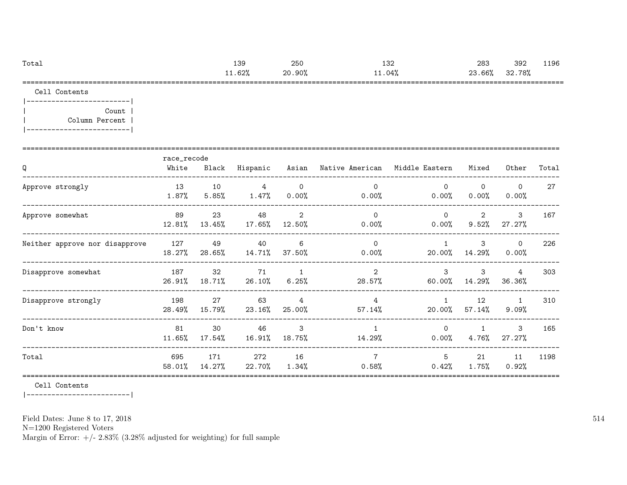| Total | 139    | 250    | م 1 1<br>⊥⊖∠ | 283    | 392    | 1196 |
|-------|--------|--------|--------------|--------|--------|------|
|       | 11.62% | 20.90% | 1.04% د      | 23.66% | 32.78% |      |
| ----  |        |        |              |        |        |      |

Cell Contents

|-------------------------| | Count | | Column Percent | |-------------------------|

| Q                              | race_recode<br>White | Black         | Hispanic      |                          | Asian Native American Middle Eastern |                         | Mixed                      | Other                   | Total |
|--------------------------------|----------------------|---------------|---------------|--------------------------|--------------------------------------|-------------------------|----------------------------|-------------------------|-------|
| Approve strongly               | 13<br>1.87%          | 10<br>5.85%   | 4<br>$1.47\%$ | $\overline{0}$<br>0.00%  | $\Omega$<br>0.00%                    | $\Omega$<br>0.00%       | $\circ$<br>$0.00\%$        | $\mathbf 0$<br>$0.00\%$ | 27    |
| Approve somewhat               | 89<br>12.81%         | 23<br>13.45%  | 48<br>17.65%  | 2<br>12.50%              | $\mathbf 0$<br>0.00%                 | $\Omega$<br>$0.00\%$    | $\overline{2}$<br>$9.52\%$ | $\mathbf{3}$<br>27.27%  | 167   |
| Neither approve nor disapprove | 127<br>18.27%        | 49<br>28.65%  | 40<br>14.71%  | 6<br>37.50%              | $\Omega$<br>0.00%                    | $20.00\%$               | 3<br>14.29%                | $\Omega$<br>0.00%       | 226   |
| Disapprove somewhat            | 187<br>26.91%        | 32<br>18.71%  | 71<br>26.10%  | 1<br>6.25%               | 2<br>28.57%                          | $\mathcal{S}$<br>60.00% | 3<br>14.29%                | 4<br>36.36%             | 303   |
| Disapprove strongly            | 198<br>28.49%        | 27<br>15.79%  | 63<br>23.16%  | $\overline{4}$<br>25.00% | $\overline{4}$<br>$57.14\%$          | $\mathbf{1}$<br>20.00%  | 12<br>57.14%               | $\overline{1}$<br>9.09% | 310   |
| Don't know                     | 81<br>$11.65\%$      | 30<br>17.54%  | 46<br>16.91%  | 3<br>18.75%              | $\mathbf{1}$<br>14.29%               | $\Omega$<br>$0.00\%$    | $\mathbf{1}$<br>$4.76\%$   | 3<br>27.27%             | 165   |
| Total                          | 695<br>58.01%        | 171<br>14.27% | 272<br>22.70% | 16<br>$1.34\%$           | $\overline{7}$<br>0.58%              | 5<br>0.42%              | 21<br>$1.75\%$             | 11<br>0.92%             | 1198  |

Cell Contents

|-------------------------|

Field Dates: June 8 to 17, 2018

N=1200 Registered Voters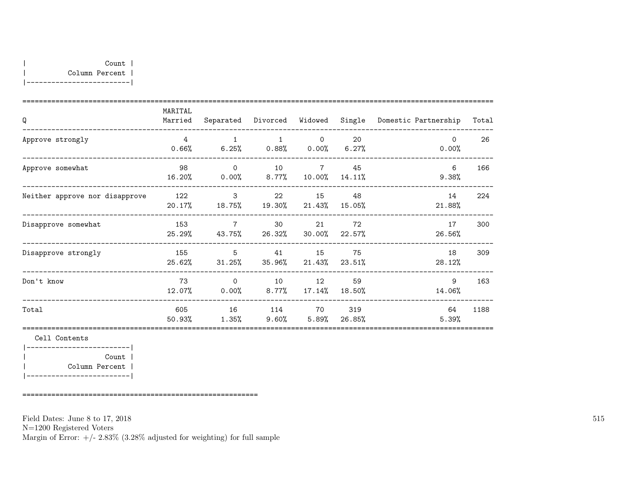| Q                              | MARITAL<br>Married |                                                    | Separated Divorced Widowed |                     |                 | Single Domestic Partnership | Total |
|--------------------------------|--------------------|----------------------------------------------------|----------------------------|---------------------|-----------------|-----------------------------|-------|
| Approve strongly               | $\overline{4}$     | $\overline{1}$<br>$0.66\%$ 6.25% 0.88% 0.00% 6.27% | $\sim$ 1                   | $\overline{0}$      | 20              | $\Omega$<br>0.00%           | 26    |
| Approve somewhat               | 98                 | $\overline{0}$<br>16.20% 0.00% 8.77% 10.00%        | 10 7 45                    |                     | 14.11%          | 6<br>9.38%                  | 166   |
| Neither approve nor disapprove | 122                | $3^{\circ}$<br>20.17% 18.75% 19.30% 21.43%         | 22                         | 15                  | 48<br>$15.05\%$ | 14<br>21.88%                | 224   |
| Disapprove somewhat            | 153<br>25.29%      | $\overline{7}$<br>43.75%                           | 30                         | 21<br>26.32% 30.00% | 72<br>$22.57\%$ | 17<br>26.56%                | 300   |
| Disapprove strongly            | 155                | $\overline{5}$<br>25.62% 31.25%                    | 41 15                      | $35.96\%$ $21.43\%$ | 75<br>23.51%    | 18<br>28.12%                | 309   |
| Don't know                     | 73                 | $\Omega$<br>$12.07\%$ 0.00% 8.77% 17.14%           | 10                         | 12                  | 59<br>18.50%    | 9<br>14.06%                 | 163   |
| Total                          | 605<br>50.93%      | 16<br>$1.35\%$ 9.60% 5.89% 26.85%                  | 114 70                     |                     | 319             | 64<br>5.39%                 | 1188  |

|-------------------------| | Count | | Column Percent | |-------------------------|

=========================================================

Field Dates: June 8 to 17, 2018

N=1200 Registered Voters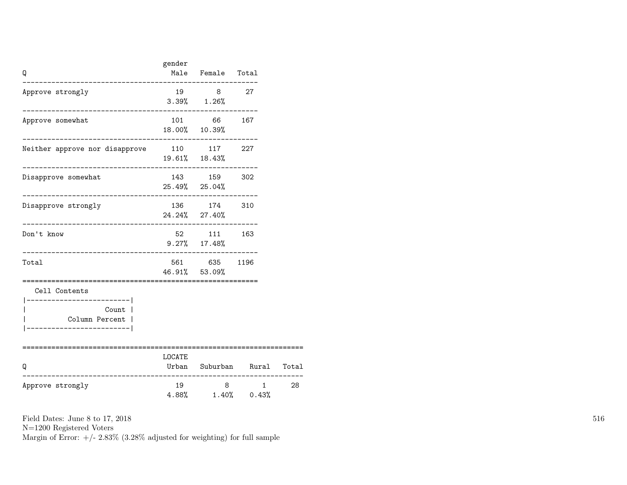| Q                                                                                                | gender | Male Female Total                                       |                            |    |
|--------------------------------------------------------------------------------------------------|--------|---------------------------------------------------------|----------------------------|----|
| Approve strongly                                                                                 |        | 19 8 27<br>$3.39\%$ $1.26\%$                            |                            |    |
| Approve somewhat                                                                                 |        | 101 66 167<br>18.00% 10.39%                             |                            |    |
| Neither approve nor disapprove 110 117 227                                                       |        | 19.61% 18.43%                                           |                            |    |
| Disapprove somewhat                                                                              |        | 143 159 302<br>25.49% 25.04%<br>----------------------- |                            |    |
| Disapprove strongly                                                                              |        | 136 174 310<br>24.24% 27.40%                            |                            |    |
| Don't know<br>___________________________                                                        |        | 52 111 163<br>$9.27\%$ 17.48%                           |                            |    |
| Total                                                                                            |        | 561 635 1196<br>46.91% 53.09%                           |                            |    |
| Cell Contents<br>----------------------- <br>Count  <br>Column Percent  <br>-------------------- |        |                                                         |                            |    |
| Q                                                                                                | LOCATE |                                                         | Urban Suburban Rural Total |    |
| . _ _ _ _ _ _ _ _ _ _ _ _ _ _<br>Approve strongly                                                | 19     | 8 <sup>1</sup><br>$4.88\%$ $1.40\%$ 0.43%               | $1 \quad$                  | 28 |

N=1200 Registered Voters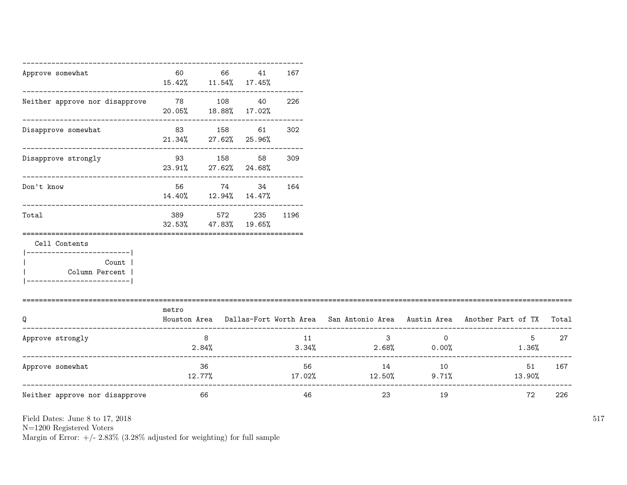| Approve somewhat                                                       | 60            | 66<br>15.42% 11.54% 17.45%     | 41            | 167      |                                  |                                  |                                                                                           |     |
|------------------------------------------------------------------------|---------------|--------------------------------|---------------|----------|----------------------------------|----------------------------------|-------------------------------------------------------------------------------------------|-----|
| Neither approve nor disapprove                                         | 78 108 40     | 20.05% 18.88% 17.02%           |               | 226      |                                  |                                  |                                                                                           |     |
| Disapprove somewhat                                                    |               | 83 158<br>21.34% 27.62% 25.96% | 61 —          | 302      |                                  |                                  |                                                                                           |     |
| Disapprove strongly                                                    | 93 158        | 23.91% 27.62% 24.68%           | 58            | 309      |                                  |                                  |                                                                                           |     |
| Don't know                                                             |               | 56 74<br>14.40% 12.94% 14.47%  | 34            | 164      |                                  |                                  |                                                                                           |     |
| Total                                                                  | 389<br>32.53% | 572                            | 47.83% 19.65% | 235 1196 |                                  |                                  |                                                                                           |     |
| Cell Contents<br>----------------------- <br>Count  <br>Column Percent |               |                                |               |          |                                  |                                  |                                                                                           |     |
| O                                                                      | metro         |                                |               |          |                                  |                                  | Houston Area Dallas-Fort Worth Area San Antonio Area Austin Area Another Part of TX Total |     |
| Approve strongly                                                       |               | 8<br>2.84%                     |               | 11       | $\overline{\mathbf{3}}$<br>3.34% | $\overline{0}$<br>2.68%<br>0.00% | $5^{\circ}$<br>$1.36\%$                                                                   | 27  |
| Approve somewhat                                                       | 12.77%        | 36                             |               | 56       | $17.02\%$ $12.50\%$              | 14 10                            | 51<br>$9.71\%$ 13.90%                                                                     | 167 |
| Neither approve nor disapprove                                         | 66            |                                |               | 46       | 23                               | 19                               | 72                                                                                        | 226 |

N=1200 Registered Voters

Margin of Error:  $+/- 2.83\%$  (3.28% adjusted for weighting) for full sample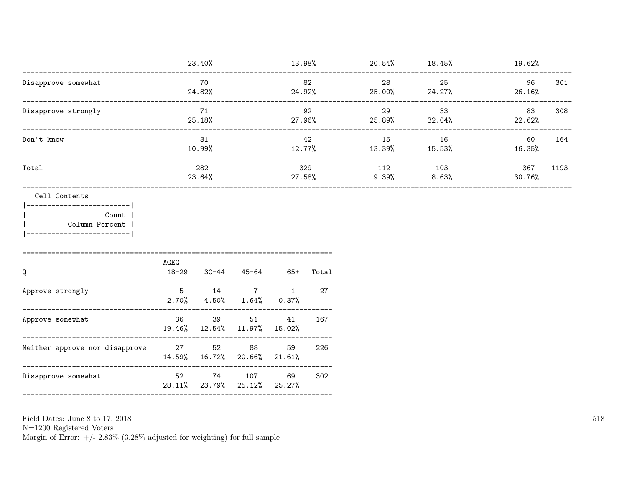|                     | 23.40%        | 13.98%           | 20.54%       | 18.45%          | 19.62%        |      |
|---------------------|---------------|------------------|--------------|-----------------|---------------|------|
| Disapprove somewhat | 70<br>24.82%  | 82<br>24.92%     | 28<br>25.00% | 25<br>24.27%    | 96<br>26.16%  | 301  |
| Disapprove strongly | 71<br>25.18%  | 92<br>27.96%     | 29<br>25.89% | 33<br>$32.04\%$ | 83<br>22.62%  | 308  |
| Don't know          | 31<br>10.99%  | 42<br>12.77%     | 15<br>13.39% | 16<br>15.53%    | 60<br>16.35%  | 164  |
| Total               | 282<br>23.64% | 329<br>$27.58\%$ | 112<br>9.39% | 103<br>8.63%    | 367<br>30.76% | 1193 |

#### Cell Contents

 $|----------|$ Count | Column Percent |  $\mathbf{I}$ |-------------------------|

| AGEG<br>$18 - 29$ |    | 45-64         | 65+         | Total                                                                                                                                            |
|-------------------|----|---------------|-------------|--------------------------------------------------------------------------------------------------------------------------------------------------|
| 5                 | 14 | 7             | $\mathbf 1$ | 27                                                                                                                                               |
| 36                | 39 |               | 41          | 167                                                                                                                                              |
|                   | 52 | 88            | 59          | 226                                                                                                                                              |
|                   | 74 |               | 69          | 302                                                                                                                                              |
|                   |    | 27 — 27<br>52 | 30-44       | $2.70\%$ $4.50\%$ $1.64\%$ $0.37\%$<br>51<br>19.46% 12.54% 11.97% 15.02%<br>14.59% 16.72% 20.66% 21.61%<br>107<br>$28.11\%$ 23.79% 25.12% 25.27% |

Field Dates: June 8 to 17, 2018

 ${\rm N}{=}1200$  Registered Voters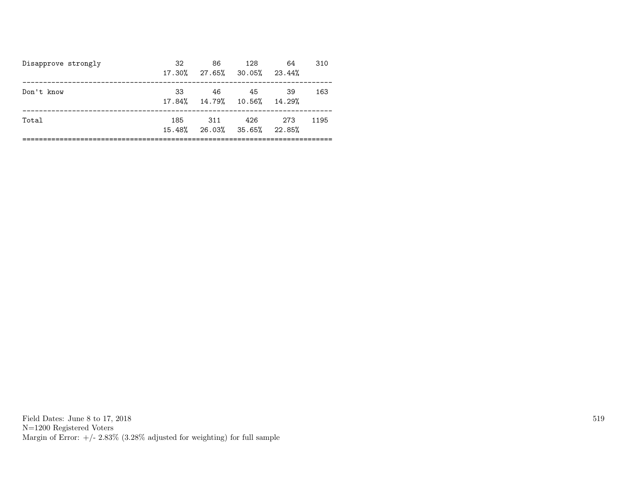| Disapprove strongly | 32<br>17.30%  | 86<br>27.65% 30.05% 23.44% | 128 | 64             | 310  |
|---------------------|---------------|----------------------------|-----|----------------|------|
| Don't know          | 33<br>17.84%  | 46<br>14.79% 10.56% 14.29% | 45  | .39            | 163  |
| Total               | 185<br>15.48% | 311<br>26.03% 35.65%       | 426 | -273<br>22.85% | 1195 |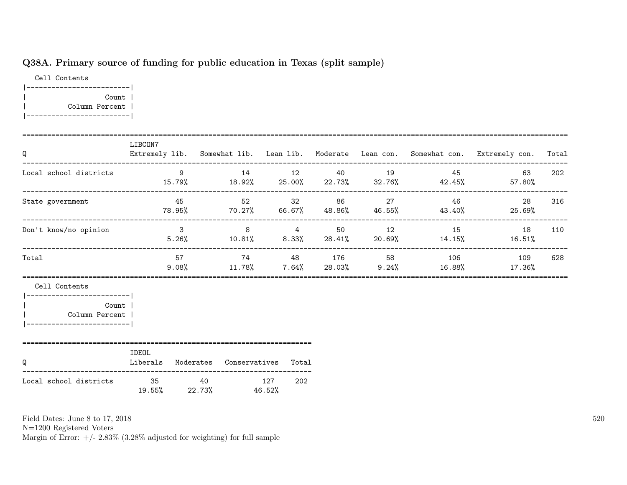# Q38A. Primary source of funding for public education in Texas (split sample)

Cell Contents |-------------------------| | Count | | Column Percent | |-------------------------|

| Q                                                                                         | LIBCON7                                                                                                                                                                                                                                                             |    |                                        |     |  |                | Extremely lib. Somewhat lib. Lean lib. Moderate Lean con. Somewhat con. Extremely con.        | Total |
|-------------------------------------------------------------------------------------------|---------------------------------------------------------------------------------------------------------------------------------------------------------------------------------------------------------------------------------------------------------------------|----|----------------------------------------|-----|--|----------------|-----------------------------------------------------------------------------------------------|-------|
| Local school districts                                                                    | $\sim$ 0.000 $\sim$ 0.000 $\sim$ 0.000 $\sim$ 0.000 $\sim$ 0.000 $\sim$ 0.000 $\sim$ 0.000 $\sim$ 0.000 $\sim$ 0.000 $\sim$ 0.000 $\sim$ 0.000 $\sim$ 0.000 $\sim$ 0.000 $\sim$ 0.000 $\sim$ 0.000 $\sim$ 0.000 $\sim$ 0.000 $\sim$ 0.000 $\sim$ 0.000 $\sim$ 0.000 |    |                                        |     |  | 14 12 40 19 45 | 63                                                                                            | 202   |
| State government                                                                          |                                                                                                                                                                                                                                                                     |    |                                        |     |  |                | 45 52 32 86 27 46 28<br>$78.95\%$ $70.27\%$ $66.67\%$ $48.86\%$ $46.55\%$ $43.40\%$ $25.69\%$ | 316   |
| Don't know/no opinion                                                                     |                                                                                                                                                                                                                                                                     |    |                                        |     |  |                | 3 8 4 50 12 15 18<br>$5.26\%$ $10.81\%$ $8.33\%$ $28.41\%$ $20.69\%$ $14.15\%$ $16.51\%$      | 110   |
| Total                                                                                     |                                                                                                                                                                                                                                                                     | 57 |                                        |     |  |                | 74 48 176 58 106 109<br>$9.08\%$ $11.78\%$ $7.64\%$ $28.03\%$ $9.24\%$ $16.88\%$ $17.36\%$    | 628   |
| Cell Contents<br>--------------------------<br><b>Example 2</b> Count<br>  Column Percent |                                                                                                                                                                                                                                                                     |    |                                        |     |  |                |                                                                                               |       |
| Q                                                                                         | IDEOL                                                                                                                                                                                                                                                               |    | Liberals Moderates Conservatives Total |     |  |                |                                                                                               |       |
| Local school districts                                                                    |                                                                                                                                                                                                                                                                     |    | 35 40 127<br>$19.55\%$ 22.73% 46.52%   | 202 |  |                |                                                                                               |       |

Field Dates: June 8 to 17, 2018

N=1200 Registered Voters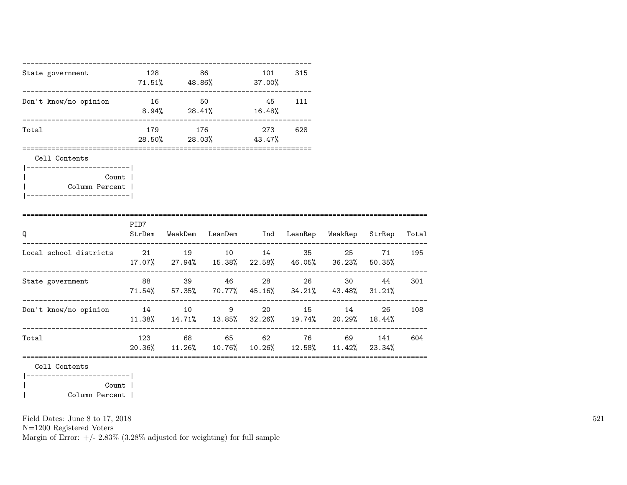|                                                             |      | 128 86  |                                                                                        | 101 315 |     |       |       |        |
|-------------------------------------------------------------|------|---------|----------------------------------------------------------------------------------------|---------|-----|-------|-------|--------|
| State government                                            |      |         | $71.51\%$ 48.86% 37.00%                                                                |         |     |       |       |        |
| Don't know/no opinion                                       |      | 16 50   | $8.94\%$ 28.41\% 16.48\%                                                               | 45 111  |     |       |       |        |
| Total                                                       |      | 179 176 | 28.50% 28.03% 43.47%                                                                   | 273     | 628 |       |       |        |
| Cell Contents<br> -------------------------                 |      |         |                                                                                        |         |     |       |       |        |
| Count  <br>  Column Percent  <br> ------------------------- |      |         |                                                                                        |         |     |       |       |        |
| Q                                                           | PID7 |         | StrDem WeakDem LeanDem Ind LeanRep WeakRep StrRep Total                                |         |     |       |       |        |
| Local school districts 21 19 10 14 35 25 71                 |      |         | 17.07% 27.94% 15.38% 22.58% 46.05% 36.23% 50.35%                                       |         |     |       |       | 195    |
| State government                                            |      |         | 88 39 46 28 26<br>$71.54\%$ 57.35% 70.77% 45.16% 34.21% 43.48% 31.21%                  |         |     |       | 30 44 | 301    |
| Don't know/no opinion                                       |      |         | 14 10 9 20 15<br>$11.38\%$ $14.71\%$ $13.85\%$ $32.26\%$ $19.74\%$ $20.29\%$ $18.44\%$ |         |     | 14 \, |       | 26 108 |
| Total                                                       |      |         | 123 68 65 62 76 69<br>$20.36\%$ 11.26% 10.76% 10.26% 12.58% 11.42% 23.34%              |         |     |       | 141   | 604    |
| Cell Contents                                               |      |         |                                                                                        |         |     |       |       |        |

|-------------------------| | Count | | Column Percent |

Field Dates: June 8 to 17, 2018

N=1200 Registered Voters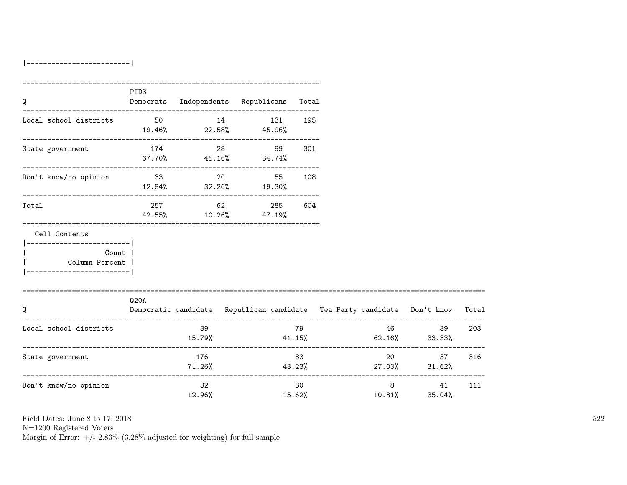|-------------------------|

| Q                                                                                              | PID3  |               | Democrats Independents Republicans Total |              |                                                                          |                                  |       |
|------------------------------------------------------------------------------------------------|-------|---------------|------------------------------------------|--------------|--------------------------------------------------------------------------|----------------------------------|-------|
| Local school districts 50 14 131 195                                                           |       |               | $19.46\%$ 22.58% 45.96%                  |              |                                                                          |                                  |       |
| State government                                                                               |       |               | 174 28 99<br>$67.70\%$ 45.16% 34.74%     | 301          |                                                                          |                                  |       |
| Don't know/no opinion                                                                          | 33 20 |               | 55<br>$12.84\%$ $32.26\%$ $19.30\%$      | 108          |                                                                          |                                  |       |
| Total                                                                                          |       | 257 62        | 285 604<br>42.55% 10.26% 47.19%          |              |                                                                          |                                  |       |
| Cell Contents                                                                                  |       |               |                                          |              |                                                                          |                                  |       |
| ------------------------- <br><b>Count</b><br>  Column Percent  <br>__________________________ |       |               |                                          |              |                                                                          |                                  |       |
| Q                                                                                              | Q20A  |               |                                          |              | Democratic candidate Republican candidate Tea Party candidate Don't know |                                  | Total |
| Local school districts                                                                         |       | 39            |                                          | 79           | $15.79\%$ $41.15\%$ $62.16\%$ $33.33\%$                                  | 46 30<br>39                      | 203   |
| State government                                                                               |       | 176<br>71.26% |                                          | 83           | $43.23\%$ 27.03% $31.62\%$                                               | 20<br>37                         | 316   |
| Don't know/no opinion                                                                          |       | 32<br>12.96%  |                                          | 30<br>15.62% | 10.81%                                                                   | $8 \overline{)}$<br>41<br>35.04% | 111   |

Field Dates: June 8 to 17, 2018

N=1200 Registered Voters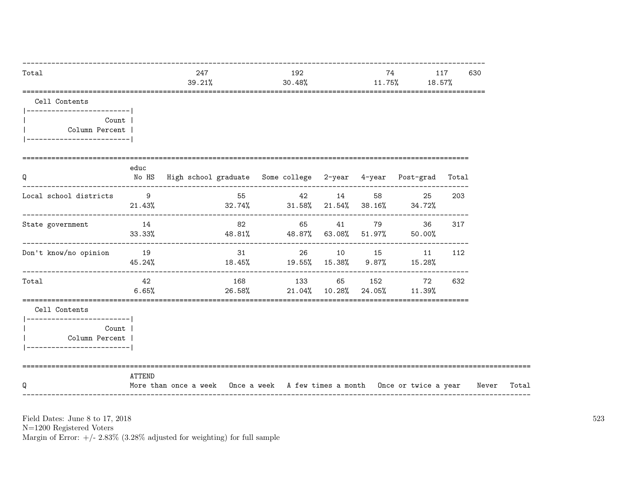| Total                                                        |             | 247<br>39.21%                                                              |      | 30.48% | 192 |             | 74<br>$11.75\%$ 18.57%                                  | 117 | 630   |
|--------------------------------------------------------------|-------------|----------------------------------------------------------------------------|------|--------|-----|-------------|---------------------------------------------------------|-----|-------|
| Cell Contents<br> -------------------------                  |             |                                                                            |      |        |     |             |                                                         |     |       |
| Count  <br>Column Percent  <br> -------------------------    |             |                                                                            |      |        |     |             |                                                         |     |       |
| ______________________________<br>Q                          | educ        | No HS High school graduate Some college 2-year 4-year Post-grad Total      |      |        |     |             |                                                         |     |       |
| Local school districts                                       | 9           | $21.43\%$ $32.74\%$ $31.58\%$ $21.54\%$ $38.16\%$ $34.72\%$                | 55 7 |        |     | 42 14 58    | 25                                                      | 203 |       |
| State government                                             | 14          | $33.33\%$ $48.81\%$ $48.87\%$ $63.08\%$ $51.97\%$ $50.00\%$                |      |        |     | 82 65 41 79 | 36 —                                                    | 317 |       |
| Don't know/no opinion 19                                     | 45.24%      |                                                                            | 31   |        |     |             | 26 10 15 11 112<br>$18.45\%$ 19.55% 15.38% 9.87% 15.28% |     |       |
| Total                                                        | 42<br>6.65% |                                                                            |      |        |     |             | 168 133 65 152 72<br>26.58% 21.04% 10.28% 24.05% 11.39% | 632 |       |
| Cell Contents<br> -------------------------                  |             |                                                                            |      |        |     |             |                                                         |     |       |
| Count  <br>Column Percent  <br>  ___________________________ |             |                                                                            |      |        |     |             |                                                         |     |       |
| Q                                                            | ATTEND      | More than once a week Once a week A few times a month Once or twice a year |      |        |     |             |                                                         |     | Never |

N=1200 Registered Voters <br>Margin of Error: +/-  $2.83\%$  (3.28% adjusted for weighting) for full sample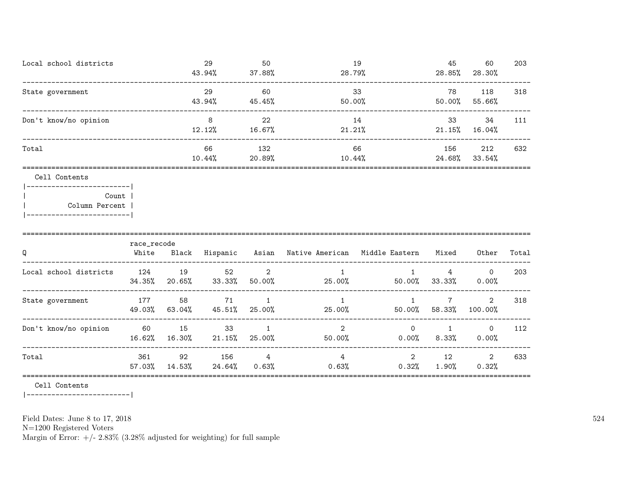| Local school districts | 29<br>43.94% | 50<br>37.88%  | 19<br>28.79%  | 45<br>28.85%  | 60<br>28.30%    | 203 |
|------------------------|--------------|---------------|---------------|---------------|-----------------|-----|
| State government       | 29<br>43.94% | 60<br>45.45%  | -33<br>50.00% | 78<br>50.00%  | 118<br>55.66%   | 318 |
| Don't know/no opinion  | 8<br>12.12%  | 22<br>16.67%  | 14<br>21.21%  | 33<br>21.15%  | 34<br>$16.04\%$ | 111 |
| Total                  | 66<br>10.44% | 132<br>20.89% | 66<br>10.44%  | 156<br>24.68% | 212<br>33.54%   | 632 |
|                        |              |               |               |               |                 |     |

#### Cell Contents

|-------------------------| | Count | | Column Percent | |-------------------------|

| Q                      | race_recode<br>White | Black        | Hispanic        | Asian       | Native American          | Middle Eastern          | Mixed       | Other                | Total |
|------------------------|----------------------|--------------|-----------------|-------------|--------------------------|-------------------------|-------------|----------------------|-------|
| Local school districts | - 124<br>34.35%      | 19<br>20.65% | 52<br>33.33%    | 2<br>50.00% | 25.00%                   | 50.00%                  | 4<br>33.33% | $\Omega$<br>$0.00\%$ | 203   |
| State government       | 177<br>49.03%        | 58<br>63.04% | 71<br>45.51%    | 25.00%      | 25.00%                   | $\mathbf{1}$<br>50.00%  | 58.33%      | $2^{1}$<br>100.00%   | 318   |
| Don't know/no opinion  | 60<br>16.62%         | 15<br>16.30% | 33<br>$21.15\%$ | 25.00%      | $\mathfrak{D}$<br>50.00% | $\Omega$<br>$0.00\%$    | 8.33%       | $\Omega$<br>$0.00\%$ | 112   |
| Total                  | 361<br>57.03%        | 92<br>14.53% | 156<br>24.64%   | 4<br>0.63%  | 4<br>0.63%               | $\overline{2}$<br>0.32% | 12<br>1.90% | 2<br>0.32%           | 633   |

Cell Contents

|-------------------------|

Field Dates: June 8 to 17, 2018

N=1200 Registered Voters

Margin of Error:  $+/- 2.83\%$  (3.28% adjusted for weighting) for full sample

524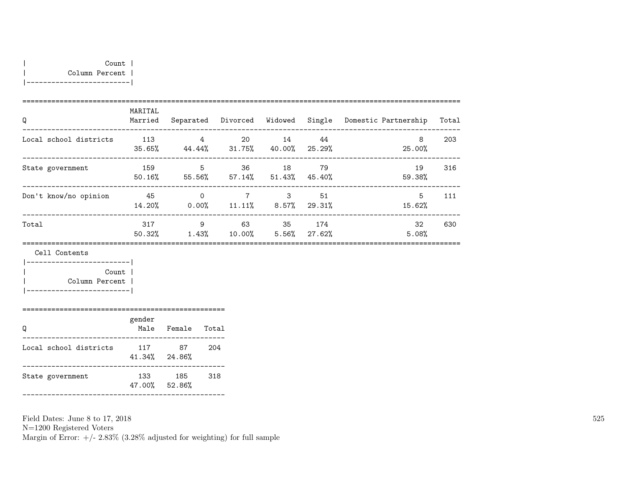|-------------------------|

| Q                      | MARITAL<br>Married |                   | Separated Divorced Widowed |                           |                        | Single Domestic Partnership | Total |
|------------------------|--------------------|-------------------|----------------------------|---------------------------|------------------------|-----------------------------|-------|
| Local school districts | 113<br>35.65%      | 4<br>44.44%       | 20<br>$31.75\%$            | 14<br>40.00%              | 44<br>25.29%           | 8<br>25.00%                 | 203   |
| State government       | 159<br>50.16%      | -5<br>55.56%      | 36<br>57.14%               | 18<br>$51.43\%$ $45.40\%$ | 79                     | 19<br>59.38%                | 316   |
| Don't know/no opinion  | 45<br>14.20%       | $\Omega$<br>0.00% | 7<br>11.11%                | 3<br>$8.57\%$ 29.31%      | 51                     | 5.<br>15.62%                | 111   |
| Total                  | 317<br>50.32%      | 9<br>1.43%        | 63<br>10.00%               | -35                       | 174<br>$5.56\%$ 27.62% | 32<br>5.08%                 | 630   |
|                        |                    |                   |                            |                           |                        |                             |       |

Cell Contents

|-------------------------| | Count | | Column Percent | |-------------------------|

|                        | gender        |             |       |
|------------------------|---------------|-------------|-------|
|                        | Male          | Female      | Total |
| Local school districts | 117<br>41.34% | 87<br>24.86 | 204   |

| State government | 133<br>47.00% 52.86% | 185 | -318 |
|------------------|----------------------|-----|------|
|                  |                      |     |      |

Field Dates: June 8 to 17, 2018

N=1200 Registered Voters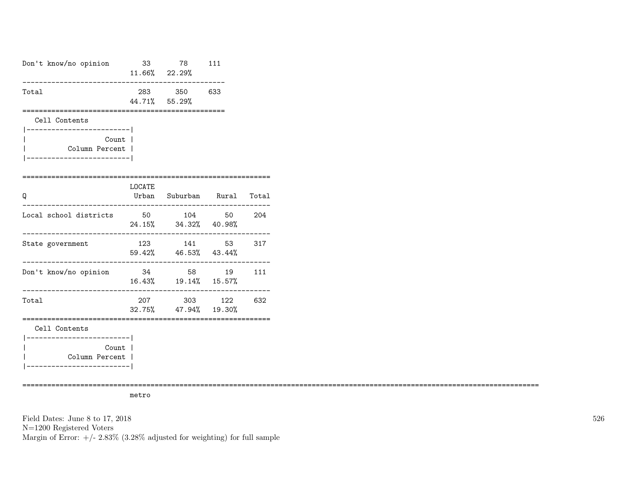| Don't know/no opinion                                                                 |        | 33 78 111<br>$11.66\%$ 22.29%<br>-----------------       |     |
|---------------------------------------------------------------------------------------|--------|----------------------------------------------------------|-----|
| Total                                                                                 |        | 283 350 633<br>44.71% 55.29%                             |     |
| Cell Contents                                                                         |        |                                                          |     |
| ------------------------- <br>Count l<br>Column Percent  <br>------------------------ |        |                                                          |     |
| ;======================<br>Q                                                          | LOCATE | Urban Suburban Rural Total<br>-------------------------- |     |
| Local school districts                                                                |        | 50 104 50 204<br>24.15% 34.32% 40.98%                    |     |
| State government                                                                      |        | 123 141 53 317<br>59.42% 46.53% 43.44%                   |     |
| Don't know/no opinion                                                                 |        | 34 58 19<br>$16.43\%$ $19.14\%$ $15.57\%$                | 111 |
| Total                                                                                 |        | 207 303 122 632<br>32.75% 47.94% 19.30%                  |     |
| Cell Contents                                                                         |        |                                                          |     |
| ----------------------- <br>Count  <br>Column Percent  <br>-----------------          |        |                                                          |     |

=============================================================================================================================

metro

Field Dates: June 8 to 17, 2018 N=1200 Registered Voters Margin of Error:  $+/- 2.83\%$  (3.28% adjusted for weighting) for full sample 526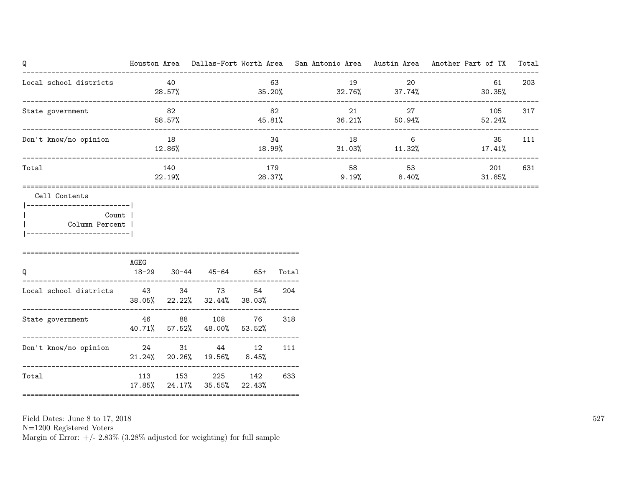| Q                                                                                                            |      |               |                                             |               |     |                                     | ------------------------------- | Houston Area Dallas-Fort Worth Area San Antonio Area Austin Area Another Part of TX Total |     |
|--------------------------------------------------------------------------------------------------------------|------|---------------|---------------------------------------------|---------------|-----|-------------------------------------|---------------------------------|-------------------------------------------------------------------------------------------|-----|
| Local school districts                                                                                       |      | 40<br>28.57%  |                                             |               | 63  | 19<br>$35.20\%$ $32.76\%$ $37.74\%$ | 20                              | 61<br>$30.35\%$                                                                           | 203 |
| State government                                                                                             |      | 82<br>58.57%  |                                             |               | 82  | $45.81\%$ $36.21\%$ $50.94\%$       | 27                              | 105<br>52.24%                                                                             | 317 |
| Don't know/no opinion                                                                                        |      | 18<br>12.86%  |                                             |               | 34  | 18<br>$18.99\%$ $31.03\%$ $11.32\%$ | $6\overline{6}$                 | 35<br>17.41%                                                                              | 111 |
| Total                                                                                                        |      | 140<br>22.19% |                                             |               | 179 | $28.37\%$ 9.19% 8.40%               | 53                              | 201<br>$31.85\%$                                                                          | 631 |
| Cell Contents<br> ------------------------- <br>Count  <br>  Column Percent  <br> -------------------------- |      |               |                                             |               |     |                                     |                                 |                                                                                           |     |
| Q                                                                                                            | AGEG |               | 18-29 30-44 45-64 65+ Total                 |               |     |                                     |                                 |                                                                                           |     |
| Local school districts<br>43<br>34<br>73<br>54<br>---------------------------                                |      |               | 38.05% 22.22% 32.44% 38.03%                 |               | 204 |                                     |                                 |                                                                                           |     |
| State government                                                                                             |      |               | 46 88 108 76<br>40.71% 57.52% 48.00% 53.52% |               | 318 |                                     |                                 |                                                                                           |     |
| Don't know/no opinion 24                                                                                     |      |               | 31 44 12<br>$21.24\%$ 20.26% 19.56% 8.45%   |               | 111 |                                     |                                 |                                                                                           |     |
| Total                                                                                                        | 113  |               | 153<br>225<br>17.85% 24.17% 35.55%          | 142<br>22.43% | 633 |                                     |                                 |                                                                                           |     |

N=1200 Registered Voters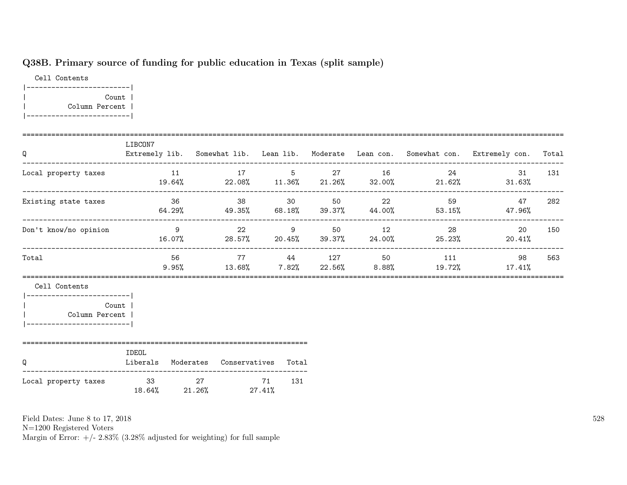# Q38B. Primary source of funding for public education in Texas (split sample)

Cell Contents |-------------------------| | Count | | Column Percent | |-------------------------|

| Q                                                                                                      | LIBCON7                                         |  |     |  |                  | Extremely lib. Somewhat lib. Lean lib. Moderate Lean con. Somewhat con. Extremely con. Total             |     |
|--------------------------------------------------------------------------------------------------------|-------------------------------------------------|--|-----|--|------------------|----------------------------------------------------------------------------------------------------------|-----|
| Local property taxes                                                                                   |                                                 |  |     |  | 11 17 5 27 16 24 | 31<br>$19.64\%$ 22.08% $11.36\%$ 21.26% 32.00% 21.62% 31.63%                                             | 131 |
| Existing state taxes                                                                                   |                                                 |  |     |  |                  | 36       38     30    50     22       59       47<br>$64.29\%$ 49.35% 68.18% 39.37% 44.00% 53.15% 47.96% | 282 |
| Don't know/no opinion                                                                                  |                                                 |  |     |  | 9 22 9 50 12 28  | $\sim$ 20<br>$16.07\%$ 28.57% 20.45% 39.37% 24.00% 25.23% 20.41%                                         | 150 |
| Total                                                                                                  | 56                                              |  |     |  |                  | 77 44 127 50 111 98<br>$9.95\%$ $13.68\%$ $7.82\%$ $22.56\%$ $8.88\%$ $19.72\%$ $17.41\%$                | 563 |
| Cell Contents<br> -------------------------<br>Count<br>  Column Percent<br> ------------------------- |                                                 |  |     |  |                  |                                                                                                          |     |
| Q                                                                                                      | IDEOL<br>Liberals Moderates Conservatives Total |  |     |  |                  |                                                                                                          |     |
| Local property taxes                                                                                   | 33 27 71<br>$18.64\%$ 21.26% 27.41%             |  | 131 |  |                  |                                                                                                          |     |

Field Dates: June 8 to 17, 2018

N=1200 Registered Voters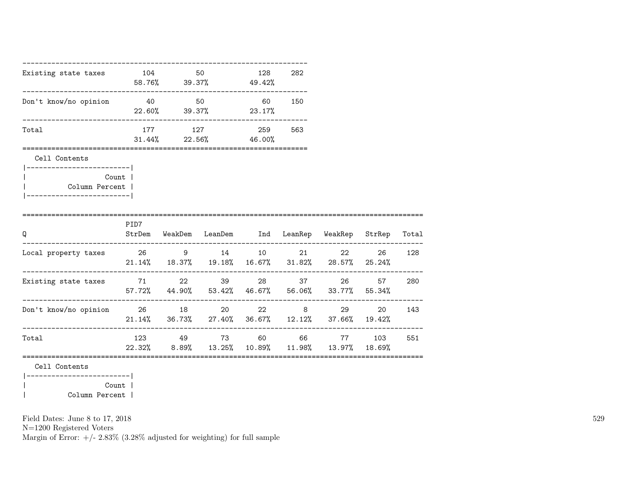|                                                                                             |                                           | 128                                                              | 282                                                                        |                                               |                                                                                         |                                                                                                                                                                                                                                                                                                                             |
|---------------------------------------------------------------------------------------------|-------------------------------------------|------------------------------------------------------------------|----------------------------------------------------------------------------|-----------------------------------------------|-----------------------------------------------------------------------------------------|-----------------------------------------------------------------------------------------------------------------------------------------------------------------------------------------------------------------------------------------------------------------------------------------------------------------------------|
|                                                                                             |                                           |                                                                  |                                                                            |                                               |                                                                                         |                                                                                                                                                                                                                                                                                                                             |
|                                                                                             |                                           |                                                                  | 563                                                                        |                                               |                                                                                         |                                                                                                                                                                                                                                                                                                                             |
|                                                                                             |                                           |                                                                  |                                                                            |                                               |                                                                                         |                                                                                                                                                                                                                                                                                                                             |
|                                                                                             |                                           |                                                                  |                                                                            |                                               |                                                                                         |                                                                                                                                                                                                                                                                                                                             |
|                                                                                             |                                           |                                                                  |                                                                            |                                               |                                                                                         |                                                                                                                                                                                                                                                                                                                             |
|                                                                                             |                                           |                                                                  |                                                                            |                                               |                                                                                         |                                                                                                                                                                                                                                                                                                                             |
|                                                                                             |                                           |                                                                  |                                                                            |                                               | 26                                                                                      | 128                                                                                                                                                                                                                                                                                                                         |
|                                                                                             |                                           |                                                                  |                                                                            |                                               | 57                                                                                      | 280                                                                                                                                                                                                                                                                                                                         |
|                                                                                             |                                           |                                                                  |                                                                            |                                               | 20                                                                                      | 143                                                                                                                                                                                                                                                                                                                         |
|                                                                                             |                                           |                                                                  |                                                                            |                                               |                                                                                         | 551                                                                                                                                                                                                                                                                                                                         |
|                                                                                             |                                           |                                                                  |                                                                            |                                               |                                                                                         |                                                                                                                                                                                                                                                                                                                             |
|                                                                                             |                                           |                                                                  |                                                                            |                                               |                                                                                         |                                                                                                                                                                                                                                                                                                                             |
| ------------------------- <br>Count  <br>Column Percent<br>________________________<br>PID7 | 177<br>;================================= | Existing state taxes 104 50<br>127<br>Existing state taxes 71 22 | $58.76\%$ 39.37% 49.42%<br>22.60% 39.37% 23.17%<br>$31.44\%$ 22.56% 46.00% | Don't know/no opinion  40  50  60  150<br>259 | Local property taxes $26$ 9 14 10 21<br>39 28 37<br>Don't know/no opinion 26 18 20 22 8 | StrDem WeakDem LeanDem Ind LeanRep WeakRep StrRep Total<br>22<br>$21.14\%$ 18.37% 19.18% 16.67% 31.82% 28.57% 25.24%<br>26 30<br>57.72% 44.90% 53.42% 46.67% 56.06% 33.77% 55.34%<br>29<br>$21.14\%$ 36.73% 27.40% 36.67% 12.12% 37.66% 19.42%<br>123 49 73 60 66 77 103<br>22.32% 8.89% 13.25% 10.89% 11.98% 13.97% 18.69% |

| Column Percent |

Field Dates: June 8 to 17, 2018

N=1200 Registered Voters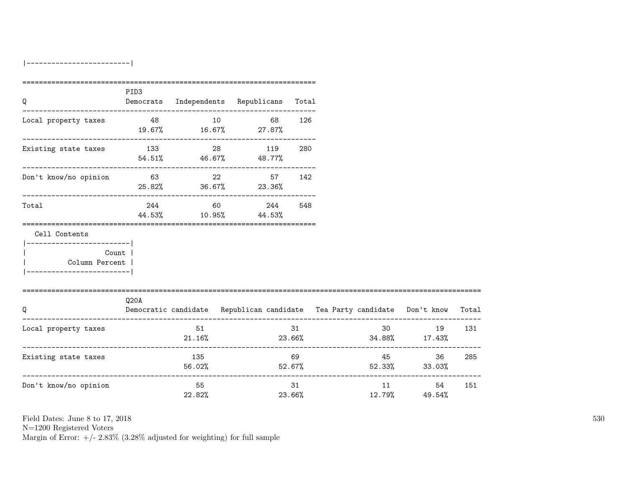|-------------------------|

| Q                                                        | PID <sub>3</sub> |               | Democrats Independents Republicans Total |              |                                                                                |                                                             |     |
|----------------------------------------------------------|------------------|---------------|------------------------------------------|--------------|--------------------------------------------------------------------------------|-------------------------------------------------------------|-----|
| Local property taxes $48$ 10 68 126                      |                  |               | $19.67\%$ $16.67\%$ 27.87%               |              |                                                                                |                                                             |     |
| Existing state taxes                                     | 133 28 119       |               | $54.51\%$ 46.67% 48.77%                  | 280          |                                                                                |                                                             |     |
| Don't know/no opinion                                    |                  |               | 63 22 57 142<br>$25.82\%$ 36.67% 23.36%  |              |                                                                                |                                                             |     |
| Total                                                    |                  | 244 60        | 244<br>44.53% 10.95% 44.53%              | 548          |                                                                                |                                                             |     |
| Cell Contents                                            |                  |               |                                          |              |                                                                                |                                                             |     |
| ------------------------ <br>Count  <br>  Column Percent |                  |               |                                          |              |                                                                                |                                                             |     |
| =================================<br>Q                   | Q20A             |               |                                          |              | Democratic candidate Republican candidate Tea Party candidate Don't know Total |                                                             |     |
| Local property taxes                                     |                  | 51            | 21.16%                                   | 31           | $23.66\%$ $34.88\%$ $17.43\%$                                                  | 30 <sub>2</sub><br>19                                       | 131 |
| Existing state taxes                                     |                  | 135<br>56.02% |                                          | 69<br>52.67% | $52.33\%$ $33.03\%$                                                            | 45 200<br>36                                                | 285 |
| Don't know/no opinion                                    |                  | 55<br>22.82%  |                                          | 31<br>23.66% |                                                                                | ------------------------<br>11 \,<br>54<br>$12.79\%$ 49.54% | 151 |

Field Dates: June 8 to 17, 2018

N=1200 Registered Voters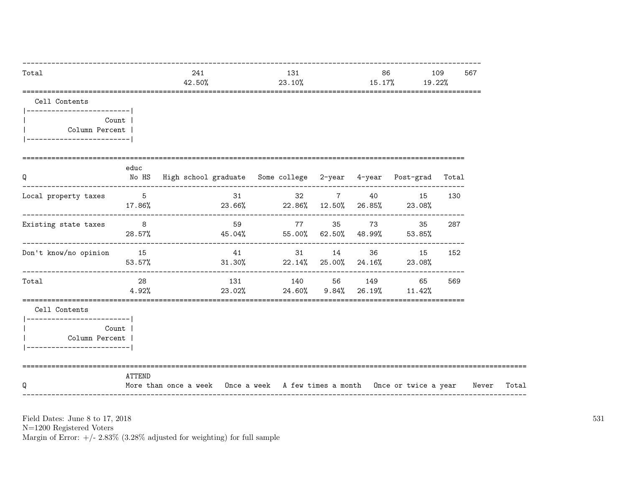| Total                                                                                          |                 | 241<br>42.50%                                                               |        | 131<br>23.10% |              |          | 86 — 1<br>15.17%                                         | 109<br>567<br>19.22% |       |
|------------------------------------------------------------------------------------------------|-----------------|-----------------------------------------------------------------------------|--------|---------------|--------------|----------|----------------------------------------------------------|----------------------|-------|
| Cell Contents<br> -------------------------                                                    |                 |                                                                             |        |               |              |          |                                                          |                      |       |
| Count  <br>Column Percent  <br>-------------------------                                       |                 |                                                                             |        |               |              |          |                                                          |                      |       |
| Q                                                                                              | educ            | No HS  High school graduate  Some college  2-year  4-year  Post-grad  Total |        |               |              |          |                                                          |                      |       |
| Local property taxes                                                                           | $5\overline{)}$ | $17.86\%$ 23.66% 23.66% 22.86% 12.50% 26.85% 23.08%                         | 31     |               |              | 32 7 40  | 15                                                       | 130                  |       |
| Existing state taxes 8                                                                         | 28.57%          | $45.04\%$ $55.00\%$ $62.50\%$ $48.99\%$ $53.85\%$                           | 59     |               |              | 77 35 73 | 35                                                       | 287                  |       |
| Don't know/no opinion 15                                                                       | 53.57%          |                                                                             | 41     |               |              |          | 31 14 36 15 152<br>$31.30\%$ 22.14% 25.00% 24.16% 23.08% |                      |       |
| Total                                                                                          | 28<br>4.92%     |                                                                             | 23.02% |               | 24.60% 9.84% | 26.19%   | 131 140 56 149 65<br>$11.42\%$                           | 569                  |       |
| Cell Contents<br> ------------------------- <br>Column Percent  <br> ------------------------- | Count           |                                                                             |        |               |              |          |                                                          |                      |       |
| Q                                                                                              | ATTEND          | More than once a week Once a week A few times a month Once or twice a year  |        |               |              |          |                                                          |                      | Never |

Field Dates: June 8 to 17,  $2018\,$ 

N=1200 Registered Voters<br>Margin of Error:  $+/- 2.83\%$  (3.28% adjusted for weighting) for full sample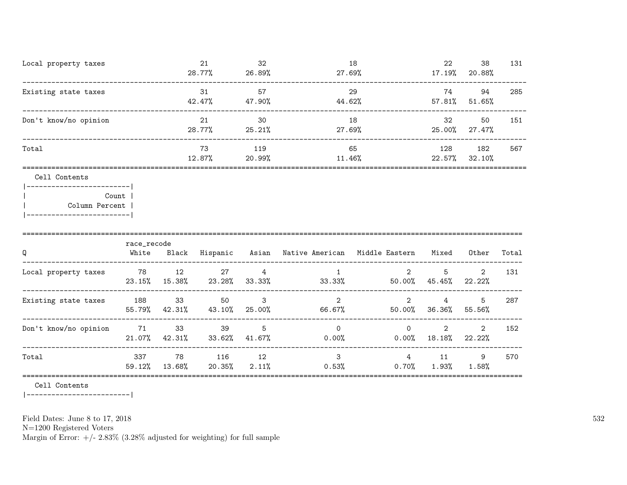| Local property taxes                                    |               |              | 21<br>28.77%                      | 32<br>26.89% | 27.69%                                                                           | 18                       | 22<br>17.19%                                                            | 38<br>20.88%             | 131   |
|---------------------------------------------------------|---------------|--------------|-----------------------------------|--------------|----------------------------------------------------------------------------------|--------------------------|-------------------------------------------------------------------------|--------------------------|-------|
| Existing state taxes                                    |               |              | 31<br>42.47% 47.90%               | 57           | 44.62%                                                                           | 29                       | 74                                                                      | 94<br>57.81% 51.65%      | 285   |
| Don't know/no opinion                                   |               |              | 21<br>28.77%                      | 30<br>25.21% | 27.69%                                                                           | 18                       | 32                                                                      | 50<br>25.00% 27.47%      | 151   |
| Total                                                   |               |              | 73                                | 119          | $12.87\%$ 20.99% 11.46% 22.57% 32.10%                                            | 65                       | 128                                                                     | 182                      | 567   |
| Cell Contents<br>----------------------                 |               |              |                                   |              |                                                                                  |                          |                                                                         |                          |       |
| Count  <br>Column Percent<br> ------------------------- |               |              |                                   |              |                                                                                  |                          |                                                                         |                          |       |
|                                                         | race_recode   |              |                                   |              |                                                                                  |                          |                                                                         |                          |       |
| Q                                                       |               |              |                                   |              | White Black Hispanic Asian Native-American Middle-Eastern Mixed Other            |                          |                                                                         |                          | Total |
| Local property taxes 78 12                              |               |              |                                   | 27 — 27      | $\overline{4}$<br>$1 \quad$<br>$23.15\%$ $15.38\%$ $23.28\%$ $33.33\%$ $33.33\%$ |                          | 5 <sup>5</sup><br>$2 \left( \frac{1}{2} \right)$<br>$50.00\%$ $45.45\%$ | $\overline{2}$<br>22.22% | 131   |
| Existing state taxes 188                                |               | 33           | 50                                | $\mathbf{3}$ | $\mathcal{L}$<br>55.79% 42.31% 43.10% 25.00% 66.67%                              | $\overline{2}$           | $4\overline{ }$<br>50.00% 36.36%                                        | 5<br>55.56%              | 287   |
| Don't know/no opinion 71                                |               | 33           | 39<br>21.07% 42.31% 33.62% 41.67% | $5^{\circ}$  | $\Omega$<br>$0.00\%$ 0.00% 18.18%                                                | $\overline{\phantom{0}}$ | $2^{\circ}$                                                             | $\overline{2}$<br>22.22% | 152   |
| Total                                                   | 337<br>59.12% | 78<br>13.68% | 116 12<br>20.35%                  | 2.11%        | $\mathbf{3}$<br>0.53%                                                            | $4\degree$<br>$0.70\%$   | 11                                                                      | 9<br>$1.93\%$ $1.58\%$   | 570   |

=========================================================================================================================

Cell Contents

|-------------------------|

Field Dates: June 8 to 17, 2018

N=1200 Registered Voters

Margin of Error:  $+/- 2.83\%$  (3.28% adjusted for weighting) for full sample

532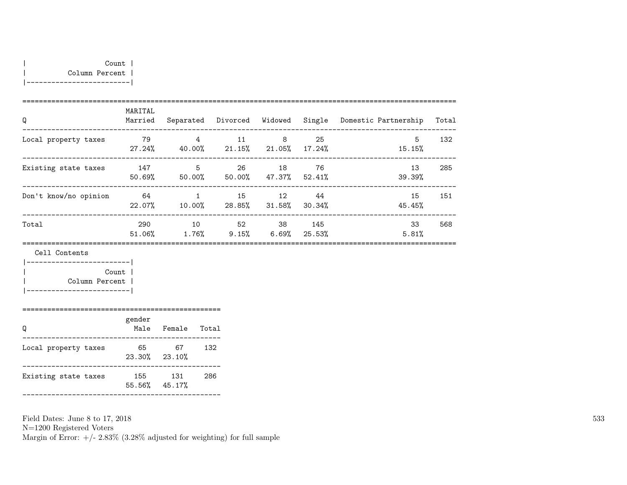| Q                     | MARITAL<br>Married |                | Separated Divorced Widowed |                |                 | Single Domestic Partnership | Total |
|-----------------------|--------------------|----------------|----------------------------|----------------|-----------------|-----------------------------|-------|
| Local property taxes  | 79<br>27.24%       | 4<br>40.00%    | 11<br>21.15%               | 8<br>21.05%    | 25<br>$17.24\%$ | 5<br>15.15%                 | 132   |
| Existing state taxes  | 147<br>50.69%      | 5<br>50.00%    | 26<br>50.00%               | 18<br>47.37%   | 76<br>52.41%    | 13<br>39.39%                | 285   |
| Don't know/no opinion | 64<br>22.07%       | 1<br>10.00%    | 15<br>28.85%               | - 12<br>31.58% | -44<br>30.34%   | 15<br>45.45%                | 151   |
| Total                 | 290<br>51.06%      | 10<br>$1.76\%$ | 52<br>9.15%                | 38<br>6.69%    | 145<br>25.53%   | 33<br>5.81%                 | 568   |

Cell Contents

| Count          |  |
|----------------|--|
| Column Percent |  |
|                |  |

|                      | gender<br>Male | Female        | Total |
|----------------------|----------------|---------------|-------|
| Local property taxes | 65<br>23.30%   | 67<br>23.10%  | 132   |
| Existing state taxes | 155<br>55.56%  | 131<br>45.17% | 286   |

================================================

Field Dates: June 8 to 17, 2018

N=1200 Registered Voters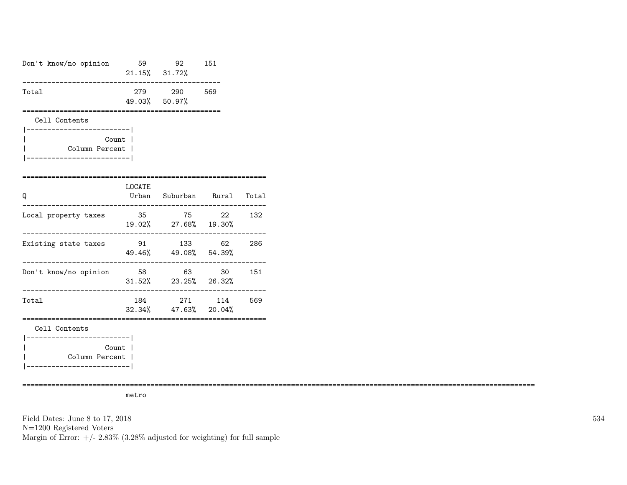| Don't know/no opinion                                                      | 59 30 31        | 92 151<br>21.15% 31.72%                                                |     |
|----------------------------------------------------------------------------|-----------------|------------------------------------------------------------------------|-----|
| Total                                                                      |                 | 279 290 569<br>49.03% 50.97%                                           |     |
| Cell Contents<br>--------------------------                                |                 |                                                                        |     |
| Count  <br>Column Percent  <br>==================                          |                 |                                                                        |     |
| Q                                                                          | <b>LOCATE</b>   | Urban Suburban Rural Total<br>______________________                   |     |
| Local property taxes                                                       | 35              | 75 22 132<br>19.02% 27.68% 19.30%                                      |     |
| Existing state taxes                                                       |                 | 91 133 62<br>49.46% 49.08% 54.39%<br>_________________________________ | 286 |
| Don't know/no opinion                                                      | _______________ | 58 63 30<br>$31.52\%$ 23.25% 26.32%                                    | 151 |
| Total                                                                      | 184             | 271 114 569<br>$32.34\%$ $47.63\%$ $20.04\%$                           |     |
| Cell Contents                                                              |                 |                                                                        |     |
| ------------------------- <br>Count<br>Column Percent  <br>--------------- |                 |                                                                        |     |

============================================================================================================================

metro

Field Dates: June 8 to 17, 2018 N=1200 Registered Voters Margin of Error:  $+/- 2.83\%$  (3.28% adjusted for weighting) for full sample 534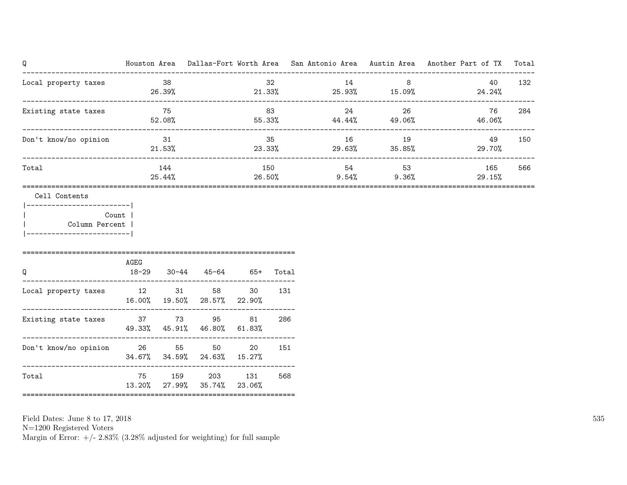| Q                                                                        |           |                 |                                                                  |        |               |                                     |                         |        | Houston Area Dallas-Fort Worth Area San Antonio Area Austin Area Another Part of TX | Total |
|--------------------------------------------------------------------------|-----------|-----------------|------------------------------------------------------------------|--------|---------------|-------------------------------------|-------------------------|--------|-------------------------------------------------------------------------------------|-------|
| Local property taxes                                                     | $\sim$ 38 | 26.39%          |                                                                  |        | 32            | 14<br>$21.33\%$ $25.93\%$ $15.09\%$ |                         | 8      | 40<br>24.24%                                                                        | 132   |
| Existing state taxes<br>-----------------------------------              |           | 75<br>52.08%    |                                                                  | 83     |               | 24<br>$55.33\%$ 44.44% 49.06%       |                         | 26     | 76<br>46.06%                                                                        | 284   |
| Don't know/no opinion                                                    |           | 31<br>$21.53\%$ |                                                                  |        | 35            | 16<br>23.33% 29.63%                 | 19                      | 35.85% | 49<br>29.70%                                                                        | 150   |
| Total                                                                    |           | 144<br>25.44%   |                                                                  |        | 150<br>26.50% | 54                                  | 53<br>$9.54\%$ $9.36\%$ |        | 165<br>29.15%                                                                       | 566   |
| Cell Contents<br>Count<br>  Column Percent<br>__________________________ | AGEG      |                 |                                                                  |        | Total         |                                     |                         |        |                                                                                     |       |
| Q<br>Local property taxes                                                |           |                 | 18-29 30-44 45-64 65+<br>12 31 58<br>16.00% 19.50% 28.57% 22.90% | 30     | 131           |                                     |                         |        |                                                                                     |       |
| Existing state taxes 37 37 395                                           |           |                 | 49.33% 45.91% 46.80% 61.83%                                      | 81     | 286           |                                     |                         |        |                                                                                     |       |
| Don't know/no opinion 26 55 50                                           |           |                 | 34.67% 34.59% 24.63% 15.27%                                      | 20     | 151           |                                     |                         |        |                                                                                     |       |
| Total                                                                    |           | 13.20% 27.99%   | 75 159 203 131<br>35.74%                                         | 23.06% | 568           |                                     |                         |        |                                                                                     |       |

N=1200 Registered Voters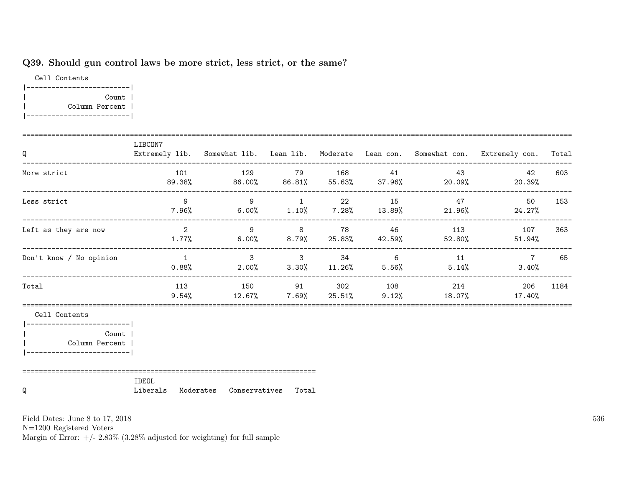### Q39. Should gun control laws be more strict, less strict, or the same?

Cell Contents |-------------------------| | Count | | Column Percent | |-------------------------|

| $\mathsf Q$               | LIBCON7        |                                                                                         |  |                    | Extremely lib. Somewhat lib. Lean lib. Moderate Lean con. Somewhat con. Extremely con. Total |      |
|---------------------------|----------------|-----------------------------------------------------------------------------------------|--|--------------------|----------------------------------------------------------------------------------------------|------|
| More strict               |                | 101 129 79 168 41 43<br>$89.38\%$ $86.00\%$ $86.81\%$ $55.63\%$ $37.96\%$ 20.09% 20.39% |  |                    | 42                                                                                           | 603  |
| Less strict               | 9              | $7.96\%$ 6.00% 1.10% 7.28% 13.89% 21.96% 24.27%                                         |  | 9 1 22 15 47       | 50                                                                                           | 153  |
| Left as they are now      |                | $1.77\%$ 6.00% 8.79% 25.83% 42.59% 52.80% 51.94%                                        |  |                    | 2 3 8 78 46 113 107                                                                          | 363  |
| Don't know / No opinion   | $\overline{1}$ | $3 \qquad 3 \qquad 34 \qquad 6$<br>$0.88\%$ 2.00% 3.30% 11.26% 5.56% 5.14%              |  | 11                 | $7\overline{ }$<br>$3.40\%$                                                                  | 65   |
| Total                     | 113            | $9.54\%$ $12.67\%$ $7.69\%$ $25.51\%$ $9.12\%$ $18.07\%$ $17.40\%$                      |  | 150 91 302 108 214 | 206                                                                                          | 1184 |
| Cell Contents             |                |                                                                                         |  |                    |                                                                                              |      |
| Count<br>  Column Percent |                |                                                                                         |  |                    |                                                                                              |      |
| Q                         | IDEOL          | Liberals Moderates Conservatives Total                                                  |  |                    |                                                                                              |      |

Field Dates: June 8 to 17, 2018

N=1200 Registered Voters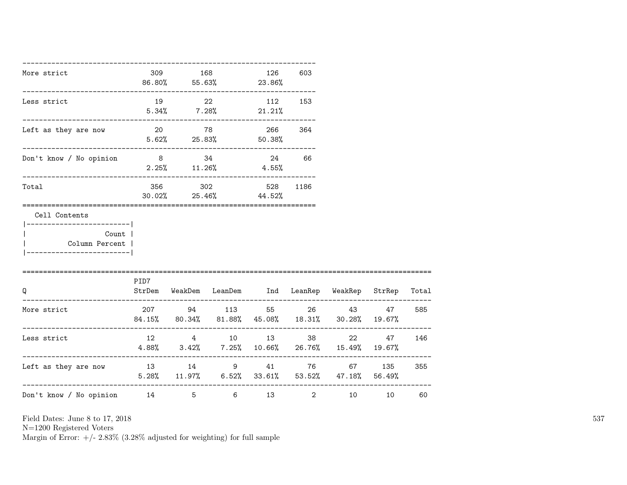| More strict                                                                                          |      | 309 168 | 86.80% 55.63% 23.86%                                                                            | 126     | 603   |    |        |       |
|------------------------------------------------------------------------------------------------------|------|---------|-------------------------------------------------------------------------------------------------|---------|-------|----|--------|-------|
| Less strict                                                                                          | 19   | 22      | $5.34\%$ $7.28\%$ $21.21\%$                                                                     | 112 153 |       |    |        |       |
| Left as they are now                                                                                 |      |         | 20 78 266 364<br>$5.62\%$ 25.83% 50.38%                                                         |         |       |    |        |       |
| Don't know / No opinion                                                                              |      |         | 8 34 34<br>$2.25\%$ 11.26% 4.55%                                                                |         | 24 66 |    |        |       |
| Total                                                                                                |      |         | 356 302 528 1186<br>30.02% 25.46% 44.52%                                                        |         |       |    |        |       |
| Cell Contents<br>------------------------- <br>Count  <br>Column Percent  <br>---------------------- |      |         |                                                                                                 |         |       |    |        |       |
| Q                                                                                                    | PID7 |         | StrDem WeakDem LeanDem Ind LeanRep WeakRep StrRep Total                                         |         |       |    |        |       |
| More strict                                                                                          |      |         | 207 94 113 55 26 43 47<br>$84.15\%$ $80.34\%$ $81.88\%$ $45.08\%$ $18.31\%$ $30.28\%$ $19.67\%$ |         |       |    |        | 585   |
| Less strict                                                                                          |      |         | 12 4 10 13 38<br>$4.88\%$ $3.42\%$ $7.25\%$ 10.66% 26.76% 15.49% 19.67%                         |         |       |    | 22 47  | 146   |
| Left as they are now                                                                                 |      |         | 13 14 9 41 76<br>$5.28\%$ $11.97\%$ $6.52\%$ $33.61\%$ $53.52\%$ $47.18\%$ $56.49\%$            |         |       |    | 67 135 | 355   |
| Don't know / No opinion 14 5 6 13 2                                                                  |      |         |                                                                                                 |         |       | 10 |        | 10 60 |

N=1200 Registered Voters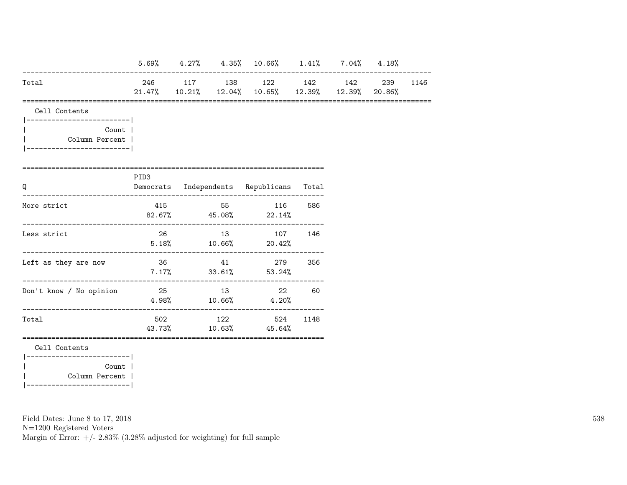|                                                                                     |                  |    | $5.69\%$ $4.27\%$ $4.35\%$ $10.66\%$ $1.41\%$ $7.04\%$ $4.18\%$                      |      |  |  |
|-------------------------------------------------------------------------------------|------------------|----|--------------------------------------------------------------------------------------|------|--|--|
| Total                                                                               |                  |    | 246 117 138 122 142 142 239 1146<br>21.47% 10.21% 12.04% 10.65% 12.39% 12.39% 20.86% |      |  |  |
| Cell Contents                                                                       |                  |    |                                                                                      |      |  |  |
| ----------------------- <br>Count  <br>Column Percent  <br>________________________ |                  |    |                                                                                      |      |  |  |
| Q                                                                                   | PID <sub>3</sub> |    | Democrats Independents Republicans Total                                             |      |  |  |
| More strict                                                                         |                  |    | 415 55 116<br>$82.67\%$ 45.08% 22.14%                                                | 586  |  |  |
| Less strict                                                                         | 26               |    | 13 107 146<br>$5.18\%$ $10.66\%$ $20.42\%$                                           |      |  |  |
| Left as they are now                                                                |                  |    | 36 41 279 356<br>$7.17\%$ 33.61% 53.24%                                              |      |  |  |
| Don't know / No opinion                                                             | 25               | 13 | 22<br>$4.98\%$ $10.66\%$ $4.20\%$                                                    | 60   |  |  |
| Total                                                                               |                  |    | 502 122 524<br>43.73% 10.63% 45.64%                                                  | 1148 |  |  |
| Cell Contents<br>___________________________                                        |                  |    |                                                                                      |      |  |  |
| Count  <br>Column Percent                                                           |                  |    |                                                                                      |      |  |  |

|-------------------------|

Field Dates: June 8 to 17, 2018

N=1200 Registered Voters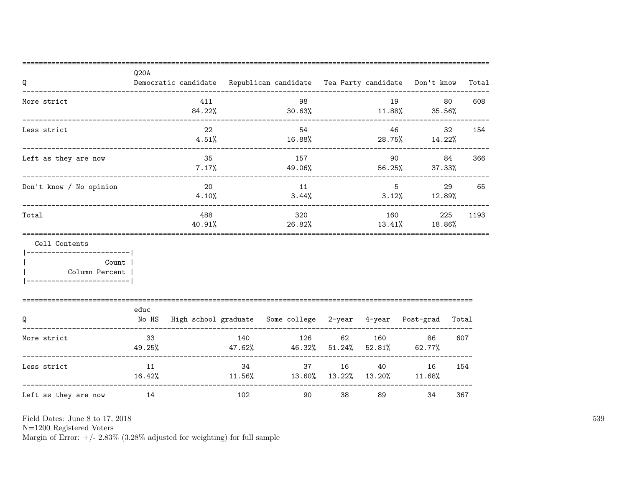| Q                                                                                           | Q20A          |               |               | Democratic candidate Republican candidate Tea Party candidate Don't know |                 |                  |                         |                     | Total |
|---------------------------------------------------------------------------------------------|---------------|---------------|---------------|--------------------------------------------------------------------------|-----------------|------------------|-------------------------|---------------------|-------|
| More strict                                                                                 |               | 411<br>84.22% |               | 98<br>$30.63\%$                                                          |                 | 19               | $11.88\%$ $35.56\%$     | 80                  | 608   |
| Less strict                                                                                 |               | 22<br>4.51%   |               | 54<br>16.88%                                                             |                 |                  | 46<br>28.75% 14.22%     | 32                  | 154   |
| Left as they are now                                                                        |               | 35<br>7.17%   |               | 157<br>49.06%                                                            |                 | 56.25%           | 90                      | 84<br>366<br>37.33% |       |
| Don't know / No opinion                                                                     |               | 20<br>4.10%   |               | 11<br>3.44%                                                              |                 |                  | 5 <sup>5</sup><br>3.12% | 29<br>65<br>12.89%  |       |
| Total                                                                                       |               | 488<br>40.91% |               | 320<br>26.82%                                                            |                 | 160<br>13.41%    |                         | 225<br>18.86%       | 1193  |
| Cell Contents<br>------------------ <br>Count<br>Column Percent  <br>______________________ |               |               |               |                                                                          |                 |                  |                         |                     |       |
| Q                                                                                           | educ<br>No HS |               |               | High school graduate Some college 2-year 4-year Post-grad                |                 |                  |                         | Total               |       |
| More strict                                                                                 | 33<br>49.25%  |               | 140<br>47.62% | 126<br>46.32%                                                            | 62<br>$51.24\%$ | 160<br>$52.81\%$ | 86<br>62.77%            | 607                 |       |
| Less strict                                                                                 | 11<br>16.42%  |               | 34            | 37<br>$11.56\%$ $13.60\%$ $13.22\%$ $13.20\%$                            | 16              | 40               | 16<br>$11.68\%$         | 154                 |       |
| Left as they are now                                                                        | 14            |               | 102           | 90                                                                       | 38              | 89               | 34                      | 367                 |       |

N=1200 Registered Voters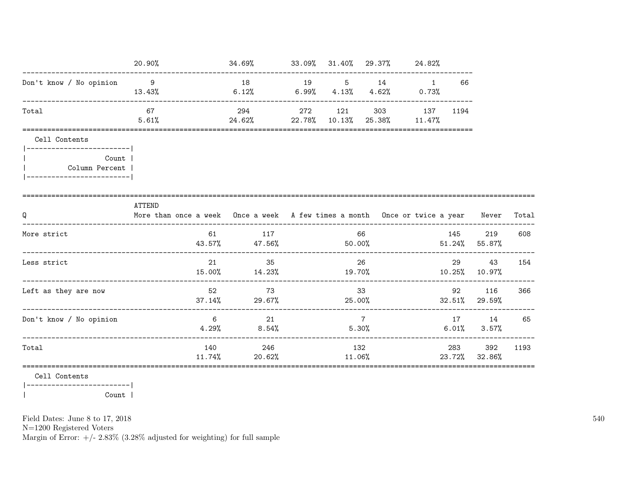|                                                         | 20.90%                                                                                                  | $34.69\%$ $33.09\%$ $31.40\%$ $29.37\%$ $24.82\%$<br>--------------------------------- |         |                |                                  |          |                            |      |
|---------------------------------------------------------|---------------------------------------------------------------------------------------------------------|----------------------------------------------------------------------------------------|---------|----------------|----------------------------------|----------|----------------------------|------|
| Don't know / No opinion 9                               | 13.43%                                                                                                  | 18 19 5 14 1<br>6.12%                                                                  |         |                | $6.99\%$ $4.13\%$ $4.62\%$ 0.73% | 66       |                            |      |
| Total                                                   | 67<br>5.61%                                                                                             | 294<br>24.62% 22.78% 10.13% 25.38% 11.47%                                              | 272 121 |                | 303 137                          | 1194     |                            |      |
| Cell Contents<br> --------------------------            |                                                                                                         |                                                                                        |         |                |                                  |          |                            |      |
| Count  <br>Column Percent<br> ------------------------- |                                                                                                         |                                                                                        |         |                |                                  |          |                            |      |
| Q                                                       | <b>ATTEND</b><br>More than once a week Once a week A few times a month Once or twice a year Never Total |                                                                                        |         |                |                                  |          |                            |      |
| More strict                                             |                                                                                                         | 61 117<br>43.57% 47.56%                                                                |         | 66             | $50.00\%$ 51.24% 55.87%          | 145      | 219                        | 608  |
| Less strict                                             | 21                                                                                                      | 35<br>$15.00\%$ $14.23\%$ $19.70\%$                                                    |         | 26             |                                  | 29       | 43<br>10.25% 10.97%        | 154  |
| Left as they are now                                    | 52                                                                                                      | 73<br>$37.14\%$ 29.67%                                                                 | 33      |                | $25.00\%$ 32.51% 29.59%          |          | 92 116 366                 |      |
| Don't know / No opinion                                 | $6\overline{6}$                                                                                         | 21<br>$4.29\%$ 8.54%                                                                   |         | $\overline{7}$ | $5.30\%$                         |          | 17 14<br>$6.01\%$ $3.57\%$ | 65   |
| Total                                                   | 11.74%                                                                                                  | 140 246<br>20.62%                                                                      | 11.06%  | 132            |                                  | 283 — 10 | 392<br>23.72% 32.86%       | 1193 |
|                                                         |                                                                                                         |                                                                                        |         |                |                                  |          |                            |      |

Cell Contents

 $|---------------$ Count |  $\overline{\phantom{a}}$ 

Field Dates: June 8 to 17, 2018

 ${\rm N}{=}1200$  Registered Voters

Margin of Error:  $+/- 2.83\%$  (3.28% adjusted for weighting) for full sample

540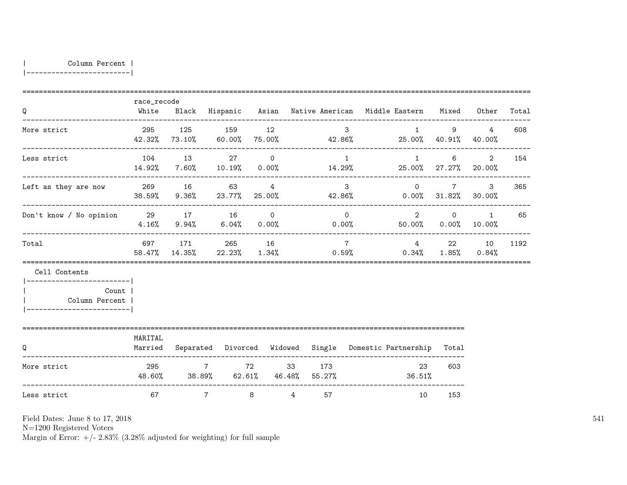| Column Percent |

|-------------------------|

| Q                                                                       | race_recode<br>White |                                                       |                |                |    |                          | Black Hispanic Asian Native-American Middle-Eastern Mixed Other          |                                                        |                                                  | Total |
|-------------------------------------------------------------------------|----------------------|-------------------------------------------------------|----------------|----------------|----|--------------------------|--------------------------------------------------------------------------|--------------------------------------------------------|--------------------------------------------------|-------|
| More strict<br>----------------------                                   |                      | 295 125 159 12<br>42.32% 73.10%                       |                |                |    | $3^{\circ}$              | $\mathbf{1}$<br>$60.00\%$ 75.00% $42.86\%$ 25.00% $40.91\%$ $40.00\%$    |                                                        | $9 \left( \frac{1}{2} \right)$<br>$\overline{4}$ | 608   |
| Less strict                                                             |                      | 104 13 27                                             | $\overline{0}$ |                |    | 1                        | $\mathbf{1}$<br>$14.92\%$ 7.60% 10.19% 0.00% 14.29% 25.00% 27.27% 20.00% | 6                                                      | 2                                                | 154   |
| Left as they are now                                                    |                      | 269 16 63<br>38.59% 9.36% 23.77% 25.00%               | $\overline{4}$ |                |    | $\mathbf{3}$<br>42.86%   |                                                                          | $\overline{0}$<br>$7\degree$<br>$0.00\%$ 31.82% 30.00% | $\mathcal{S}$                                    | 365   |
| Don't know / No opinion 29 17 16 0                                      |                      | $4.16\%$ $9.94\%$ $6.04\%$ $0.00\%$ 0.00%             |                |                |    | $\Omega$                 | $\overline{2}$                                                           | $\Omega$<br>$50.00\%$ 0.00% 10.00%                     | 1                                                | 65    |
| Total                                                                   |                      | 697 171 265 16<br>58.47% 14.35% 22.23% 1.34%          |                |                |    | $7\overline{7}$<br>0.59% |                                                                          | 4 22 10<br>$0.34\%$ $1.85\%$ $0.84\%$                  |                                                  | 1192  |
| Cell Contents<br>------------------------ <br>Count  <br>Column Percent |                      |                                                       |                |                |    |                          |                                                                          |                                                        |                                                  |       |
| Q                                                                       | MARITAL<br>Married   |                                                       |                |                |    |                          | Separated Divorced Widowed Single Domestic-Partnership                   | Total                                                  |                                                  |       |
| More strict                                                             |                      | 295 7 72 33 173<br>48.60% 38.89% 62.61% 46.48% 55.27% |                |                |    |                          | 23<br>36.51%                                                             | 603                                                    |                                                  |       |
| Less strict                                                             | 67                   | $7\overline{ }$                                       | 8              | $\overline{4}$ | 57 |                          | 10                                                                       | 153                                                    |                                                  |       |

Field Dates: June 8 to 17, 2018

N=1200 Registered Voters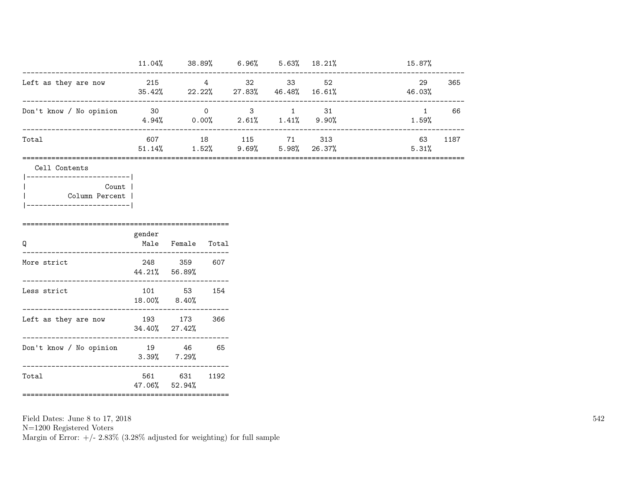|                         | 11.04%        | 38.89%               | 6.96%        |               | $5.63\%$ $18.21\%$ | 15.87%       |      |
|-------------------------|---------------|----------------------|--------------|---------------|--------------------|--------------|------|
| Left as they are now    | 215<br>35.42% | 4<br>22.22%          | 32<br>27.83% | -33<br>46.48% | 52<br>$16.61\%$    | 29<br>46.03% | 365  |
| Don't know / No opinion | - 30<br>4.94% | $\Omega$<br>$0.00\%$ | 3<br>2.61%   | 1.41%         | 31<br>9.90%        | 1.59%        | 66   |
| Total                   | 607<br>51.14% | 18<br>1.52%          | 115<br>9.69% | -71<br>5.98%  | 313<br>26.37%      | 63<br>5.31%  | 1187 |

Cell Contents

|-------------------------| | Count | | Column Percent | |-------------------------|

| Q                       | gender | Male Female Total           |      |
|-------------------------|--------|-----------------------------|------|
| More strict             |        | 248 359<br>44.21% 56.89%    | 607  |
| Less strict             | 101    | 53<br>18.00% 8.40%          | 154  |
| Left as they are now    |        | 193 173<br>$34.40\%$ 27.42% | 366  |
| Don't know / No opinion | 19     | 46<br>$3.39\%$ $7.29\%$     | 65   |
| Total                   |        | 561 631<br>$47.06\%$ 52.94% | 1192 |

==================================================

==================================================

Field Dates: June 8 to 17, 2018 N=1200 Registered Voters Margin of Error:  $+/- 2.83\%$  (3.28% adjusted for weighting) for full sample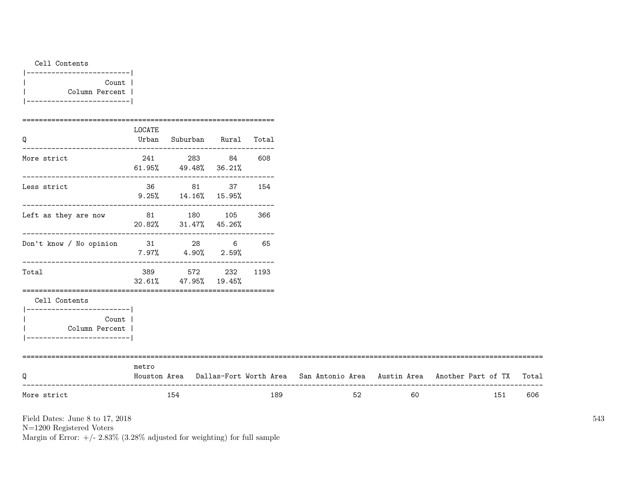|  | Cell Contents |                |  |
|--|---------------|----------------|--|
|  | --------      |                |  |
|  |               | Count          |  |
|  |               | Column Percent |  |

|-------------------------|

| More strict                                                               |        | 154                                             |     | 189  | 52 | 60 | 151                                                                                       | 606 |
|---------------------------------------------------------------------------|--------|-------------------------------------------------|-----|------|----|----|-------------------------------------------------------------------------------------------|-----|
| Q                                                                         | metro  |                                                 |     |      |    |    | Houston Area Dallas-Fort Worth Area San Antonio Area Austin Area Another Part of TX Total |     |
| Column Percent  <br>_______________________                               |        |                                                 |     |      |    |    |                                                                                           |     |
| Cell Contents<br>----------------------- <br>Count                        |        |                                                 |     |      |    |    |                                                                                           |     |
| Total                                                                     | 389    | 572<br>$32.61\%$ $47.95\%$ $19.45\%$            | 232 | 1193 |    |    |                                                                                           |     |
| Don't know / No opinion 31 28 6                                           |        | $7.97\%$ 4.90% 2.59%                            |     | 65   |    |    |                                                                                           |     |
| Left as they are now $31$ $180$ $105$ $366$<br>$20.82%$ $31.47%$ $45.26%$ |        |                                                 |     |      |    |    |                                                                                           |     |
| Less strict                                                               |        | 36 81 37 154<br>$9.25\%$ 14.16% 15.95%          |     |      |    |    |                                                                                           |     |
| More strict                                                               |        | 241 283 84 608<br>$61.95\%$ $49.48\%$ $36.21\%$ |     |      |    |    |                                                                                           |     |
| Q                                                                         | LOCATE | Urban Suburban Rural Total                      |     |      |    |    |                                                                                           |     |

Field Dates: June 8 to 17, 2018

N=1200 Registered Voters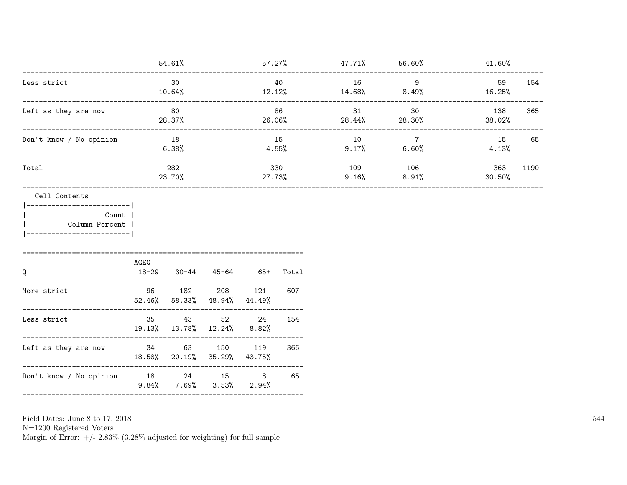|                                                                                                                                                      |                           |                                                               |  |           |         | $54.61\%$ $57.27\%$ $47.71\%$ $56.60\%$ $41.60\%$<br>------------------ |                |      |
|------------------------------------------------------------------------------------------------------------------------------------------------------|---------------------------|---------------------------------------------------------------|--|-----------|---------|-------------------------------------------------------------------------|----------------|------|
| Less strict<br>---------------------------------                                                                                                     |                           | 30<br>$10.64\%$                                               |  | 40        | 16 9    | $12.12\%$ $14.68\%$ $8.49\%$ $16.25\%$                                  | 59             | 154  |
| Left as they are now                                                                                                                                 |                           | 80<br>28.37%                                                  |  | 86        |         | 31 30<br>$26.06\%$ 28.44% 28.30%                                        | 138<br>38.02%  | 365  |
| Don't know / No opinion                                                                                                                              |                           | 18<br>$6.38\%$                                                |  | 15        | 10      | $\overline{7}$<br>$4.55\%$ 9.17% 6.60%                                  | 15<br>$4.13\%$ | 65   |
| Total                                                                                                                                                |                           | 282<br>23.70%                                                 |  | 330       | 109 106 | $27.73\%$ 9.16% 8.91%                                                   | 363<br>30.50%  | 1190 |
| Cell Contents<br> ------------------------- <br>Count  <br>Column Percent  <br> --------------------------<br>====================================== |                           |                                                               |  |           |         |                                                                         |                |      |
| Q                                                                                                                                                    | AGEG<br>18-29 30-44 45-64 | -----------------------------------                           |  | 65+ Total |         |                                                                         |                |      |
| More strict                                                                                                                                          |                           | 96 182 208 121 607<br>$52.46\%$ $58.33\%$ $48.94\%$ $44.49\%$ |  |           |         |                                                                         |                |      |
| Less strict                                                                                                                                          |                           | 35 43 52 24<br>19.13% 13.78% 12.24% 8.82%                     |  | 154       |         |                                                                         |                |      |
| Left as they are now 34 63 150 119                                                                                                                   |                           | 18.58% 20.19% 35.29% 43.75%                                   |  | 366       |         |                                                                         |                |      |
| Don't know / No opinion 18 24 15 8 65                                                                                                                |                           | $9.84\%$ 7.69% 3.53% 2.94%                                    |  |           |         |                                                                         |                |      |
|                                                                                                                                                      |                           |                                                               |  |           |         |                                                                         |                |      |

Field Dates: June 8 to 17,  $2018\,$ 

N=1200 Registered Voters <br>Margin of Error: +/-  $2.83\%$  (3.28% adjusted for weighting) for full sample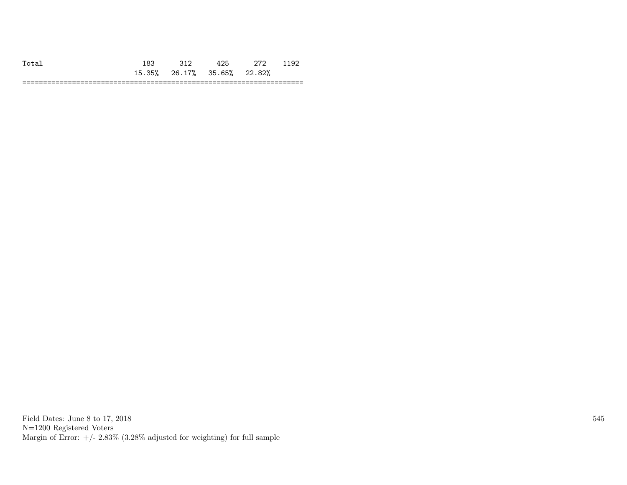|          |                      |        |        |                             | ้                |
|----------|----------------------|--------|--------|-----------------------------|------------------|
|          | つにり<br>1 氏 -<br>ە رى | 26.17% | 35.65% | າາ ຂາ″<br>0 / ک<br><u>.</u> |                  |
| --<br>-- |                      |        | _____  |                             | ----<br>________ |

Field Dates: June 8 to 17, 2018 N=1200 Registered Voters Margin of Error:  $+/- 2.83\%$  (3.28% adjusted for weighting) for full sample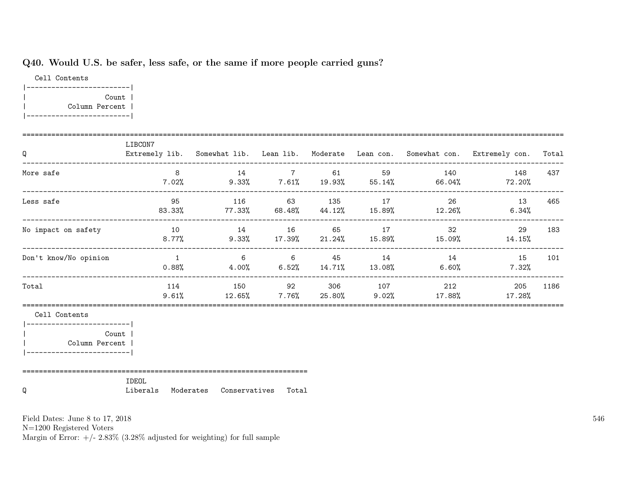# Q40. Would U.S. be safer, less safe, or the same if more people carried guns?

Cell Contents |-------------------------| | Count | | Column Percent | |-------------------------|

| $\mathsf Q$                                           | LIBCON7           |                         |                               |                |                    | Extremely lib. Somewhat lib. Lean lib. Moderate Lean con. Somewhat con. Extremely con. Total |      |
|-------------------------------------------------------|-------------------|-------------------------|-------------------------------|----------------|--------------------|----------------------------------------------------------------------------------------------|------|
| More safe                                             |                   | $\overline{\mathbf{8}}$ |                               |                |                    | 14 7 61 59 140 148<br>$7.02\%$ 9.33% 7.61% 19.93% 55.14% 66.04% 72.20%                       | 437  |
| Less safe                                             | 95                |                         |                               | 116 63 135 17  |                    | 26 13<br>$83.33\%$ 77.33% 68.48% 44.12% 15.89% 12.26% 6.34%                                  | 465  |
| No impact on safety                                   |                   |                         |                               | 10 14 16 65 17 |                    | $32 \left( \frac{1}{2} \right)$<br>29<br>$8.77\%$ 9.33% 17.39% 21.24% 15.89% 15.09% 14.15%   | 183  |
| Don't know/No opinion                                 | $\sim$ 1          |                         |                               |                |                    | 6 6 45 14 14 15 101<br>$0.88\%$ 4.00% 6.52% 14.71% 13.08% 6.60% 7.32%                        |      |
| Total                                                 |                   | 114                     |                               |                | 150 92 306 107 212 | 205<br>$9.61\%$ $12.65\%$ $7.76\%$ $25.80\%$ $9.02\%$ $17.88\%$ $17.28\%$                    | 1186 |
| Cell Contents<br> --------------------------          |                   |                         |                               |                |                    |                                                                                              |      |
| Count<br>Column Percent<br>__________________________ |                   |                         |                               |                |                    |                                                                                              |      |
| Q                                                     | IDEOL<br>Liberals |                         | Moderates Conservatives Total |                |                    |                                                                                              |      |

Field Dates: June 8 to 17, 2018

N=1200 Registered Voters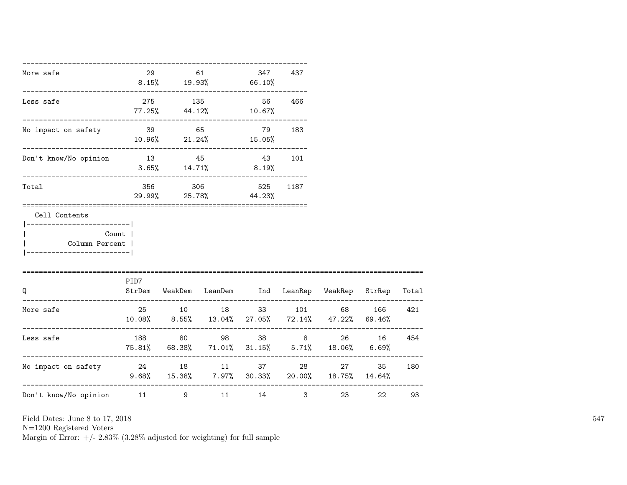| More safe                                    | 29    | 61  | $8.15\%$ 19.93% 66.10%                | 347    | 437                     |                                                                             |       |     |
|----------------------------------------------|-------|-----|---------------------------------------|--------|-------------------------|-----------------------------------------------------------------------------|-------|-----|
| Less safe                                    | 275   | 135 | $77.25\%$ 44.12% 10.67%               |        | 56 466                  |                                                                             |       |     |
| No impact on safety 39 65                    |       |     | $10.96\%$ 21.24% 15.05%               | 79 183 |                         |                                                                             |       |     |
| Don't know/No opinion                        |       |     | 13 45 43 101<br>$3.65\%$ 14.71% 8.19% |        |                         |                                                                             |       |     |
| Total                                        |       |     | 356 306 525<br>29.99% 25.78% 44.23%   |        | 1187                    |                                                                             |       |     |
| Cell Contents<br>-------------------------   |       |     |                                       |        |                         |                                                                             |       |     |
| Column Percent  <br>-----------------------  | Count |     |                                       |        |                         |                                                                             |       |     |
| $\Omega$                                     | PID7  |     |                                       |        |                         | StrDem WeakDem LeanDem Ind LeanRep WeakRep StrRep Total                     |       |     |
| More safe                                    |       |     |                                       |        |                         | 25 10 18 33 101 68<br>$10.08\%$ 8.55% $13.04\%$ 27.05% 72.14% 47.22% 69.46% | 166   | 421 |
| Less safe                                    |       |     | 188 80 98 38 8                        |        |                         | 75.81% 68.38% 71.01% 31.15% 5.71% 18.06% 6.69%                              | 26 16 | 454 |
| No impact on safety and the 24 and 18 and 11 |       |     |                                       | 37 8   |                         | 27 — 27<br>$9.68\%$ 15.38% 7.97% 30.33% 20.00% 18.75% 14.64%                | 35    | 180 |
| Don't know/No opinion 11 9 11                |       |     |                                       | 14     | $\overline{\mathbf{3}}$ | ._________________________<br>23                                            | 22    | 93  |

N=1200 Registered Voters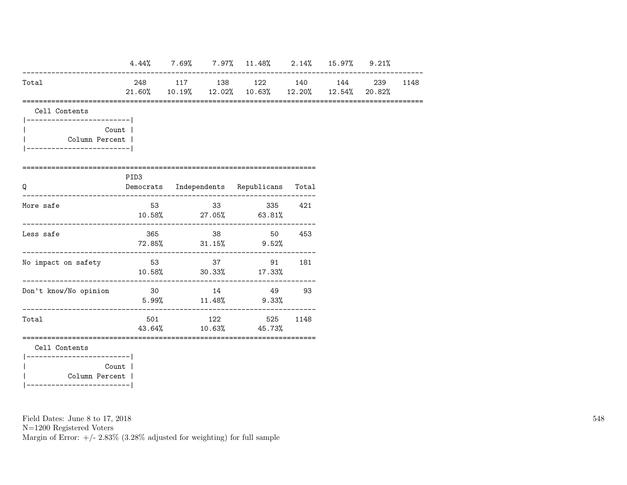|                                             |          |  | $4.44\%$ 7.69% 7.97% 11.48% 2.14% 15.97% 9.21%                              |     |  |          |
|---------------------------------------------|----------|--|-----------------------------------------------------------------------------|-----|--|----------|
| Total                                       |          |  | 248 117 138 122 140 144<br>21.60% 10.19% 12.02% 10.63% 12.20% 12.54% 20.82% |     |  | 239 1148 |
| Cell Contents                               |          |  |                                                                             |     |  |          |
| ------------------------ <br>Column Percent | Count    |  |                                                                             |     |  |          |
| Q                                           | PID3     |  | Democrats Independents Republicans Total                                    |     |  |          |
| More safe                                   |          |  | 53 33 335 421<br>$10.58\%$ 27.05% 63.81%                                    |     |  |          |
| Less safe                                   |          |  | 365 38 50 453<br>$72.85\%$ $31.15\%$ $9.52\%$                               |     |  |          |
| No impact on safety                         | 53 37 91 |  | $10.58\%$ 30.33% 17.33%                                                     | 181 |  |          |
| Don't know/No opinion                       | 30 14 49 |  | $5.99\%$ $11.48\%$ $9.33\%$                                                 | 93  |  |          |
| Total                                       |          |  | 501 122 525 1148<br>43.64% 10.63% 45.73%                                    |     |  |          |
| Cell Contents                               |          |  |                                                                             |     |  |          |
| ------------------------ <br>Column Percent | Count    |  |                                                                             |     |  |          |
|                                             |          |  |                                                                             |     |  |          |

N=1200 Registered Voters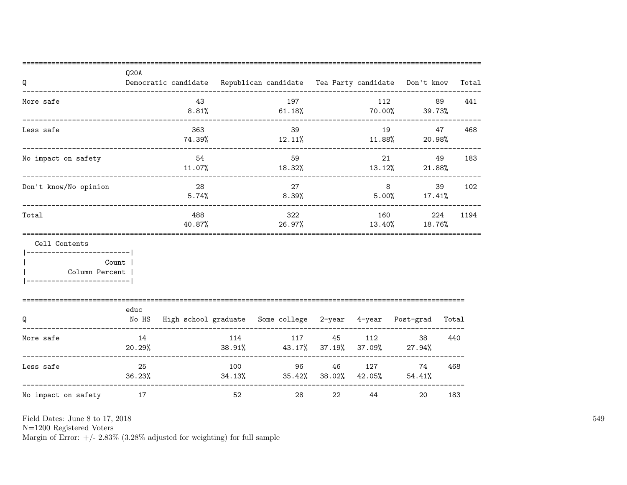| Q                                                                                          | Q20A         |               |     | Democratic candidate Republican candidate Tea Party candidate Don't know |        |    |                            |     | Total |
|--------------------------------------------------------------------------------------------|--------------|---------------|-----|--------------------------------------------------------------------------|--------|----|----------------------------|-----|-------|
| More safe                                                                                  |              | 43<br>8.81%   |     | 197<br>61.18%                                                            |        |    | 112<br>$70.00\%$ 39.73%    | 89  | 441   |
| --------------------------------<br>Less safe                                              |              | 363<br>74.39% |     | 39<br>$12.11\%$                                                          |        |    | 19<br>$11.88\%$ 20.98%     | 47  | 468   |
| No impact on safety                                                                        |              | 54<br>11.07%  |     | 59<br>18.32%                                                             |        |    | $13.12\%$ 21.88%           | 49  | 183   |
| Don't know/No opinion                                                                      |              | 28<br>5.74%   |     | 27<br>8.39%                                                              |        |    | $5.00\%$ 17.41%            | 39  | 102   |
| Total                                                                                      |              | 488<br>40.87% |     | 322<br>26.97%                                                            |        |    | 160<br>$13.40\%$ $18.76\%$ | 224 | 1194  |
| Cell Contents<br>------------------------- <br>Column Percent<br>------------------------- | Count        |               |     |                                                                          |        |    |                            |     |       |
| Q                                                                                          | educ         |               |     | No HS High school graduate Some college 2-year 4-year Post-grad Total    |        |    |                            |     |       |
| More safe                                                                                  | 14<br>20.29% |               | 114 | 38.91% 43.17% 37.19% 37.09% 27.94%                                       | 117 45 |    | 112<br>38                  |     | 440   |
| Less safe                                                                                  | 25<br>36.23% |               | 100 | 96<br>$34.13\%$ $35.42\%$ $38.02\%$ $42.05\%$ $54.41\%$                  | 46 10  |    | 127<br>74                  | 468 |       |
| No impact on safety                                                                        | 17           |               | 52  | 28                                                                       | 22     | 44 | 20                         |     | 183   |

N=1200 Registered Voters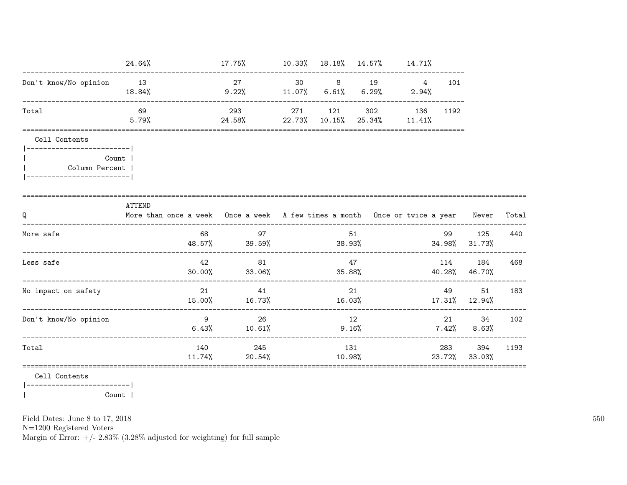|                                                                  | 24.64%    |        | $17.75\%$ 10.33% 18.18% 14.57% 14.71%                                                  |         |     |                               |      |                          |        |
|------------------------------------------------------------------|-----------|--------|----------------------------------------------------------------------------------------|---------|-----|-------------------------------|------|--------------------------|--------|
| Don't know/No opinion 13                                         | $18.84\%$ |        | 27 27<br>$9.22\%$ 11.07% 6.61% 6.29%                                                   | 30 8 19 |     | $4\overline{ }$<br>$2.94\%$   | 101  |                          |        |
| Total                                                            | 69        |        | 293 271 121<br>$5.79\%$ 24.58% 22.73% 10.15% 25.34% 11.41%                             |         |     | 302 136                       | 1192 |                          |        |
| Cell Contents<br>-------------------------                       |           |        |                                                                                        |         |     |                               |      |                          |        |
| <b>Count</b> 1<br>Column Percent  <br>-------------------------- |           |        |                                                                                        |         |     |                               |      |                          |        |
| Q                                                                | ATTEND    |        | More than once a week Once a week A few times a month Once or twice a year Never Total |         |     |                               |      |                          |        |
| More safe                                                        |           |        | 68 97<br>48.57% 39.59%                                                                 |         | 51  | $38.93\%$ $34.98\%$ $31.73\%$ | 99   | 125                      | 440    |
| Less safe                                                        |           | 42     | 81<br>30.00% 33.06%                                                                    | 35.88%  | 47  |                               | 114  | 184<br>40.28%46.70%      | 468    |
| No impact on safety                                              |           |        | 21 41<br>$15.00\%$ 16.73% 16.03% 17.31% 12.94%                                         |         | 21  |                               | 49   |                          | 51 183 |
| Don't know/No opinion                                            |           |        | $9 \t 26$<br>$6.43\%$ $10.61\%$                                                        | 12      |     | 9.16%                         |      | 34<br>$7.42\%$ 8.63%     | 102    |
| Total                                                            |           | 11.74% | 140 245<br>20.54%                                                                      | 10.98%  | 131 |                               |      | 283 394<br>23.72% 33.03% | 1193   |
|                                                                  |           |        |                                                                                        |         |     |                               |      |                          |        |

Cell Contents

 $|---------------$ Count |  $\overline{\phantom{a}}$ 

Field Dates: June 8 to 17, 2018

 ${\rm N}{=}1200$  Registered Voters

Margin of Error:  $+/- 2.83\%$  (3.28% adjusted for weighting) for full sample

550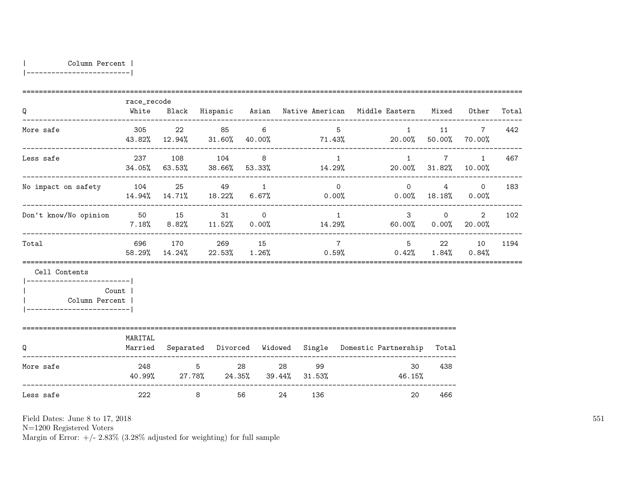| Column Percent |

|-------------------------|

| Q                                                                                             | race_recode<br>White |                                             |        |                           |    |     |                 | Black Hispanic Asian Native-American Middle-Eastern Mixed Other                 |                                    |                | Total |
|-----------------------------------------------------------------------------------------------|----------------------|---------------------------------------------|--------|---------------------------|----|-----|-----------------|---------------------------------------------------------------------------------|------------------------------------|----------------|-------|
| More safe                                                                                     | 305                  | 22                                          | 85 86  | 6                         |    |     | $5 -$           | $43.82\%$ $12.94\%$ $31.60\%$ $40.00\%$ $71.43\%$ $20.00\%$ $50.00\%$ $70.00\%$ | 1 11 7                             |                | 442   |
| Less safe                                                                                     | 237                  | 108                                         | 104    | 8                         |    |     | $\overline{1}$  | 1<br>$34.05\%$ 63.53% 38.66% 53.33% 14.29% 20.00% 31.82% 10.00%                 | $\overline{7}$                     | $\overline{1}$ | 467   |
| No impact on safety 104 25 49 1                                                               |                      |                                             |        |                           |    |     | $\Omega$        | $14.94\%$ $14.71\%$ $18.22\%$ $6.67\%$ $0.00\%$ $0.00\%$ $18.18\%$ $0.00\%$     | $\overline{0}$                     | $4\qquad 0$    | 183   |
| Don't know/No opinion 50 15                                                                   |                      |                                             |        | 31 and $\sim$<br>$\Omega$ |    |     | $\overline{1}$  | $7.18\%$ $8.82\%$ $11.52\%$ $0.00\%$ $14.29\%$ $60.00\%$ $0.00\%$ $20.00\%$     | $3 \quad \blacksquare$<br>$\Omega$ | 2              | 102   |
| Total                                                                                         | 696 170              |                                             | 269 15 |                           |    |     | $7\overline{7}$ | $58.29\%$ $14.24\%$ $22.53\%$ $1.26\%$ $0.59\%$ $0.42\%$ $1.84\%$ $0.84\%$      | 5 22 10                            |                | 1194  |
| Cell Contents<br>------------------------ <br>  Column Percent  <br>------------------------- | Count                |                                             |        |                           |    |     |                 |                                                                                 |                                    |                |       |
| Q                                                                                             | MARITAL<br>Married   |                                             |        |                           |    |     |                 | Separated Divorced Widowed Single Domestic Partnership                          | Total                              |                |       |
| More safe                                                                                     |                      | 248 5<br>40.99% 27.78% 24.35% 39.44% 31.53% |        |                           |    | 99  |                 | 30<br>46.15%                                                                    | 438                                |                |       |
| Less safe                                                                                     | 222                  | 8                                           |        | 56                        | 24 | 136 |                 | 20                                                                              | 466                                |                |       |

Field Dates: June 8 to 17, 2018

N=1200 Registered Voters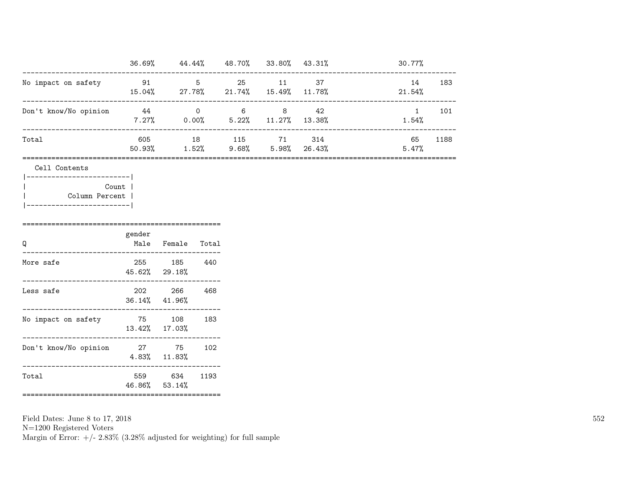|                       | 36.69%        | 44.44%      | 48.70%         | 33.80%         | 43.31%        | 30.77%       |      |
|-----------------------|---------------|-------------|----------------|----------------|---------------|--------------|------|
| No impact on safety   | 91<br>15.04%  | 5<br>27.78% | 25<br>21.74%   | 11<br>15.49%   | -37<br>11.78% | 14<br>21.54% | 183  |
| Don't know/No opinion | -44<br>7.27%  | 0<br>0.00%  | -6<br>$5.22\%$ | 8<br>$11.27\%$ | 42<br>13.38%  | 1.54%        | 101  |
| Total                 | 605<br>50.93% | 18<br>1.52% | 115<br>9.68%   | 71<br>5.98%    | 314<br>26.43% | 65<br>5.47%  | 1188 |

Cell Contents

| Count 1        |
|----------------|
| Column Percent |
|                |

| Q                     | gender                     | Male Female Total                  |      |
|-----------------------|----------------------------|------------------------------------|------|
| More safe             | 45.62% 29.18%              | 255 185                            | 440  |
| Less safe             | 202<br>$36.14\%$ $41.96\%$ | 266                                | 468  |
| No impact on safety   | 75<br>$13.42\%$ $17.03\%$  | 108                                | 183  |
| Don't know/No opinion | 27                         | 75<br>$4.83\%$ $11.83\%$           | 102  |
| Total                 | 559<br>46.86% 53.14%       | 634<br>=========================== | 1193 |

Field Dates: June 8 to 17, 2018 N=1200 Registered Voters Margin of Error:  $+/- 2.83\%$  (3.28% adjusted for weighting) for full sample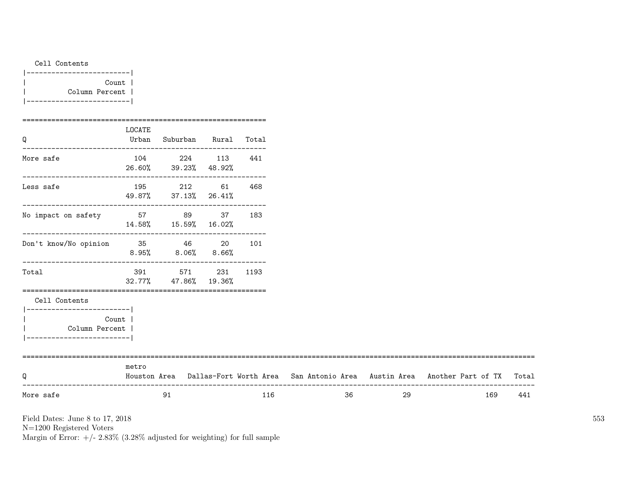| Cell Contents |                |
|---------------|----------------|
| ------        |                |
|               | Count          |
|               | Column Percent |
|               |                |

| Q                                                                                   | LOCATE | Urban Suburban Rural Total          |      |                                                                                           |    |    |     |     |
|-------------------------------------------------------------------------------------|--------|-------------------------------------|------|-------------------------------------------------------------------------------------------|----|----|-----|-----|
| More safe                                                                           |        | 104 224 113<br>26.60% 39.23% 48.92% | 441  |                                                                                           |    |    |     |     |
| Less safe                                                                           |        | 195 212 61<br>49.87% 37.13% 26.41%  | 468  |                                                                                           |    |    |     |     |
| No impact on safety 57 89 37 183                                                    |        | 14.58%  15.59%  16.02%              |      |                                                                                           |    |    |     |     |
| Don't know/No opinion 35 46 20 101                                                  |        | $8.95\%$ $8.06\%$ $8.66\%$          |      |                                                                                           |    |    |     |     |
| Total                                                                               |        | 391 571 231<br>32.77% 47.86% 19.36% | 1193 |                                                                                           |    |    |     |     |
| Cell Contents                                                                       |        |                                     |      |                                                                                           |    |    |     |     |
| ------------------------- <br>Count<br>Column Percent<br>__________________________ |        |                                     |      |                                                                                           |    |    |     |     |
| Q                                                                                   | metro  |                                     |      | Houston Area Dallas-Fort Worth Area San Antonio Area Austin Area Another Part of TX Total |    |    |     |     |
| More safe                                                                           |        | 91                                  | 116  |                                                                                           | 36 | 29 | 169 | 441 |

N=1200 Registered Voters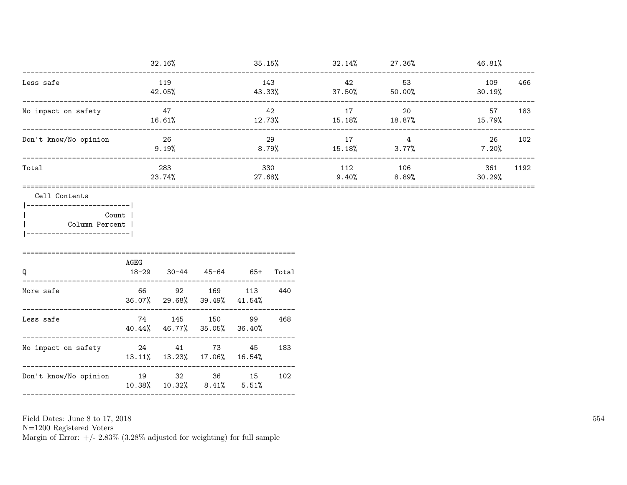|                                                                                                                |                         | 32.16%                             |                       |               | $35.15\%$ $32.14\%$ $27.36\%$     |                 | 46.81%                |  |
|----------------------------------------------------------------------------------------------------------------|-------------------------|------------------------------------|-----------------------|---------------|-----------------------------------|-----------------|-----------------------|--|
| Less safe                                                                                                      |                         | 119<br>42.05%                      |                       | 143           | 42<br>43.33% 37.50% 50.00%        | 53              | 109<br>466<br>30.19%  |  |
| No impact on safety                                                                                            | _______________________ | 47<br>16.61%                       |                       | 42<br>12.73%  | 17<br>15.18%                      | 20<br>18.87%    | 57<br>183<br>15.79%   |  |
| Don't know/No opinion                                                                                          |                         | 26<br>$9.19\%$                     |                       | 29            | 17<br>$8.79\%$ $15.18\%$ $3.77\%$ | $\overline{4}$  | 26<br>102<br>$7.20\%$ |  |
| Total                                                                                                          |                         | 283<br>23.74%                      |                       | 330<br>27.68% | 112<br>9.40%                      | 106<br>$8.89\%$ | 361<br>1192<br>30.29% |  |
| ------------------ <br>Count<br>Column Percent<br>-----------------------                                      |                         |                                    |                       |               |                                   |                 |                       |  |
| Q                                                                                                              | AGEG<br>18-29           |                                    | 30-44 45-64 65+ Total |               |                                   |                 |                       |  |
| More safe                                                                                                      | 66                      | 92 169 113<br>36.07% 29.68% 39.49% | 41.54%                | 440           |                                   |                 |                       |  |
| Less safe                                                                                                      | 74                      | 145 150<br>40.44% 46.77% 35.05%    | 99<br>36.40%          | 468           |                                   |                 |                       |  |
| No impact on safety and the 24 and 24 and 24 and 24 and 25 and 24 and 25 and 26 and 273 and 273 and 273 and 27 |                         | 13.11% 13.23% 17.06% 16.54%        | 45                    | 183           |                                   |                 |                       |  |
| Don't know/No opinion 19 32 36 15                                                                              |                         | 10.38% 10.32% 8.41%                | 5.51%                 | 102           |                                   |                 |                       |  |
|                                                                                                                |                         |                                    |                       |               |                                   |                 |                       |  |

N=1200 Registered Voters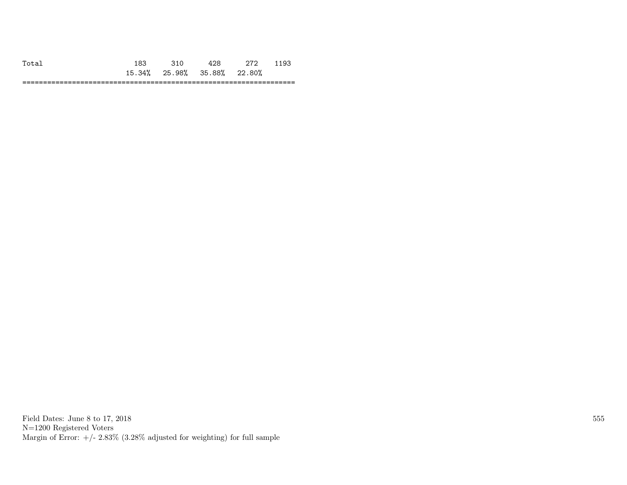|    | .9 <sup>o</sup> |        |        |                     | . .        |
|----|-----------------|--------|--------|---------------------|------------|
|    | 15.34%          | 25.98% | 35.88% | 22.80%<br>$\vee$ /0 |            |
| -- |                 |        |        |                     | ---<br>___ |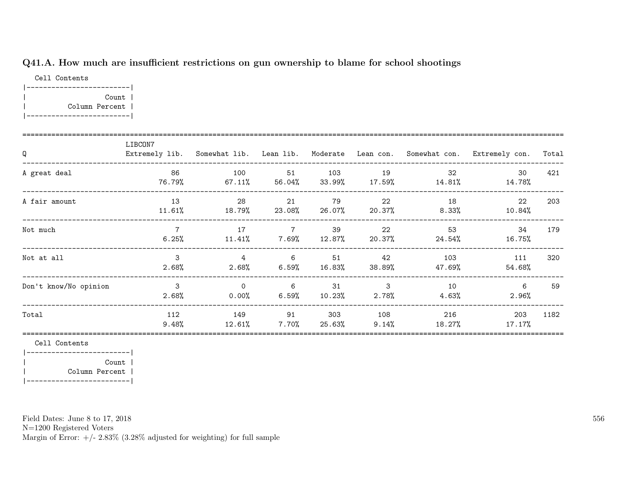## Q41.A. How much are insufficient restrictions on gun ownership to blame for school shootings

Cell Contents |-------------------------| | Count | | Column Percent | |-------------------------|

| Q                     | LIBCON7                    |                         |                                   |                 |                          |                | Extremely lib. Somewhat lib. Lean lib. Moderate Lean con. Somewhat con. Extremely con. | Total |
|-----------------------|----------------------------|-------------------------|-----------------------------------|-----------------|--------------------------|----------------|----------------------------------------------------------------------------------------|-------|
| A great deal          | 86<br>76.79%               | 100<br>67.11%           | 51<br>56.04%                      | 103             | 19<br>$33.99\%$ 17.59%   | 32<br>14.81%   | 30<br>14.78%                                                                           | 421   |
| A fair amount         | 13<br>11.61%               | 28<br>18.79%            | 21<br>23.08% 26.07%               | 79              | 22<br>20.37%             | 18<br>$8.33\%$ | 22<br>$10.84\%$                                                                        | 203   |
| Not much              | $\overline{7}$<br>$6.25\%$ | 17                      | $\overline{7}$<br>$11.41\%$ 7.69% | 39<br>$12.87\%$ | 22<br>20.37%             | 53<br>24.54%   | 34<br>16.75%                                                                           | 179   |
| Not at all            | 3<br>$2.68\%$              | $\overline{4}$<br>2.68% | $6\overline{6}$<br>$6.59\%$       | 51<br>$16.83\%$ | 42<br>38.89%             | 103<br>47.69%  | 111<br>54.68%                                                                          | 320   |
| Don't know/No opinion | 3<br>$2.68\%$              | $\Omega$<br>$0.00\%$    | 6<br>6.59%                        | 31<br>$10.23\%$ | $\mathbf{3}$<br>$2.78\%$ | 10<br>4.63%    | 6<br>$2.96\%$                                                                          | 59    |
| Total                 | 112<br>$9.48\%$            | 149<br>12.61%           | 91<br>7.70%                       | 303<br>25.63%   | 108<br>$9.14\%$          | 216<br>18.27%  | 203<br>$17.17\%$                                                                       | 1182  |

Cell Contents

|-------------------------| | Count | | Column Percent | |-------------------------|

Field Dates: June 8 to 17, 2018

N=1200 Registered Voters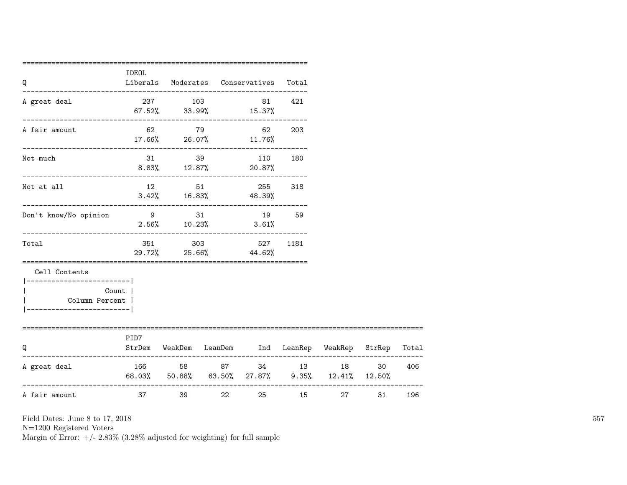| Q                                                                                                    | IDEOL   |         | Liberals Moderates Conservatives                                           | Total |         |    |     |
|------------------------------------------------------------------------------------------------------|---------|---------|----------------------------------------------------------------------------|-------|---------|----|-----|
| A great deal                                                                                         |         | 237 103 | -------------------------------------<br>81 421<br>$67.52\%$ 33.99% 15.37% |       |         |    |     |
| A fair amount                                                                                        |         |         | 62 79 62 203<br>$17.66\%$ 26.07% $11.76\%$                                 |       |         |    |     |
| Not much                                                                                             |         |         | 31 39 110 180<br>$8.83\%$ 12.87% 20.87%                                    |       |         |    |     |
| Not at all                                                                                           |         |         | 12 51 255<br>$3.42\%$ 16.83% 48.39%                                        | 318   |         |    |     |
| Don't know/No opinion                                                                                | 9 31    |         | 19 59<br>$2.56\%$ 10.23% 3.61%                                             |       |         |    |     |
| Total                                                                                                |         |         | 351 303 527<br>29.72% 25.66% 44.62%                                        | 1181  |         |    |     |
| Cell Contents<br>------------------------ <br>Count  <br>Column Percent  <br>----------------------- |         |         |                                                                            |       |         |    |     |
| ===========================<br>Q                                                                     | PID7    |         | StrDem WeakDem LeanDem Ind LeanRep WeakRep StrRep Total                    |       |         |    |     |
| A great deal                                                                                         |         |         | 166 58 87 34 13<br>68.03% 50.88% 63.50% 27.87% 9.35% 12.41% 12.50%         |       | 18 (18) | 30 | 406 |
| A fair amount                                                                                        | 37 — 10 |         | 22                                                                         |       | 27 — 27 | 31 | 196 |

N=1200 Registered Voters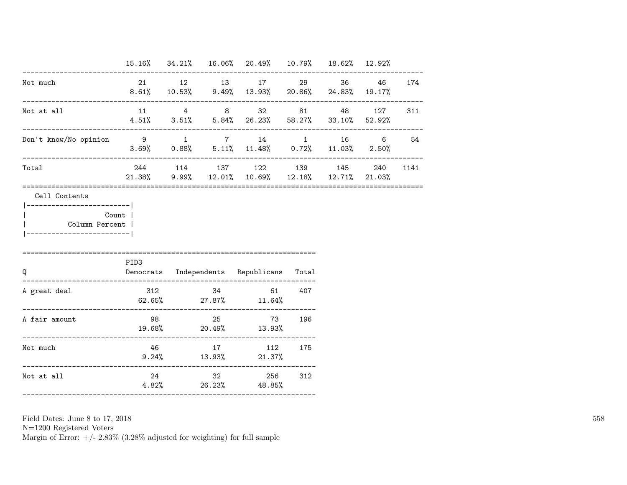|                                                                                         |                                                   |       | 15.16% 34.21% 16.06% 20.49% 10.79% 18.62% 12.92%                                                       |        |           |      |
|-----------------------------------------------------------------------------------------|---------------------------------------------------|-------|--------------------------------------------------------------------------------------------------------|--------|-----------|------|
| Not much                                                                                |                                                   |       | 21 12 13 17 29<br>$8.61\%$ $10.53\%$ $9.49\%$ $13.93\%$ $20.86\%$ $24.83\%$ $19.17\%$                  |        | 36 46 174 |      |
| Not at all                                                                              |                                                   |       | $11 \t 4 \t 8 \t 32 \t 81 \t 48$<br>$4.51\%$ $3.51\%$ $5.84\%$ $26.23\%$ $58.27\%$ $33.10\%$ $52.92\%$ |        | 127       | 311  |
| Don't know/No opinion 9 1 7 14 1 16 6 54<br>.____________________________               | $3.69\%$ 0.88% $5.11\%$ 11.48% 0.72% 11.03% 2.50% |       |                                                                                                        |        |           |      |
| Total                                                                                   |                                                   |       | 244 114 137 122 139 145<br>21.38% 9.99% 12.01% 10.69% 12.18% 12.71% 21.03%                             |        | 240       | 1141 |
| Count  <br>Column Percent  <br>________________________<br>============================ | PID3                                              |       |                                                                                                        |        |           |      |
| $\Omega$                                                                                |                                                   |       |                                                                                                        |        |           |      |
|                                                                                         |                                                   |       | Democrats Independents Republicans Total                                                               |        |           |      |
| A great deal                                                                            | $62.65\%$ 27.87% 11.64%                           |       | 312 34 61 407                                                                                          |        |           |      |
| A fair amount                                                                           | $19.68\%$ 20.49% $13.93\%$                        | 98 25 |                                                                                                        | 73 196 |           |      |
| Not much                                                                                |                                                   |       | 46 17 112 175<br>$9.24\%$ $13.93\%$ $21.37\%$                                                          |        |           |      |

N=1200 Registered Voters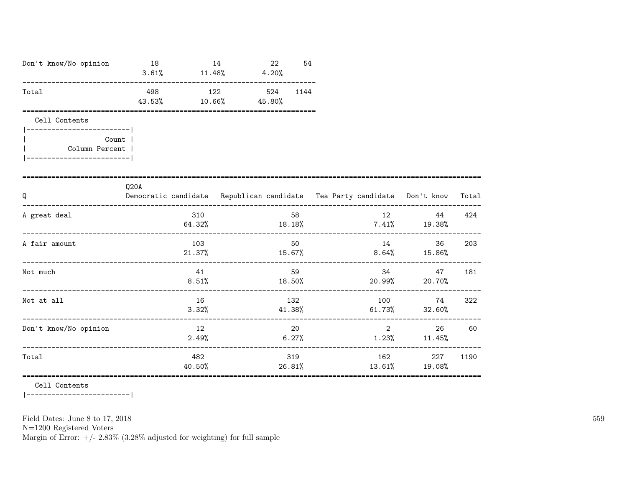| Don't know/No opinion                                                                                 | 18<br>$3.61\%$ $11.48\%$ $4.20\%$                                                | 14             | 22                                     | 54      |    |                                                      |        |
|-------------------------------------------------------------------------------------------------------|----------------------------------------------------------------------------------|----------------|----------------------------------------|---------|----|------------------------------------------------------|--------|
| Total                                                                                                 | 43.53%                                                                           | 10.66%         | 498 122 524<br>45.80%                  | 1144    |    |                                                      |        |
| Cell Contents<br>------------------------- <br>Count  <br>Column Percent  <br>----------------------- |                                                                                  |                |                                        |         |    |                                                      |        |
| Q                                                                                                     | Q20A<br>Democratic candidate Republican candidate Tea Party candidate Don't know |                |                                        |         |    |                                                      | Total  |
| A great deal                                                                                          |                                                                                  | 310            | $64.32\%$ $18.18\%$ $7.41\%$ $19.38\%$ | 58      |    | 44                                                   | 424    |
| A fair amount                                                                                         |                                                                                  | 103            | $21.37\%$ $15.67\%$ $8.64\%$ $15.86\%$ | 50 — 10 | 14 |                                                      | 36 203 |
| Not much                                                                                              |                                                                                  | 41             | 8.51%                                  | 59      |    | 34<br>47<br>$18.50\%$ 20.99% 20.70%                  | 181    |
| Not at all                                                                                            |                                                                                  | 16<br>3.32%    |                                        | 132     |    | 100 74<br>$41.38\%$ 61.73% 32.60%                    | 322    |
| Don't know/No opinion                                                                                 |                                                                                  | 12<br>$2.49\%$ | 6.27%                                  | 20      |    | $2 \left( \frac{1}{2} \right)$<br>$1.23\%$ $11.45\%$ | 26 60  |
| Total                                                                                                 |                                                                                  | 482<br>40.50%  | $26.81\%$ 13.61% 19.08%                | 319     |    | 162 — 162<br>227                                     | 1190   |

Cell Contents

 $|----------$ 

Field Dates: June 8 to 17, 2018

 ${\rm N}{=}1200$  Registered Voters

Margin of Error:  $+/- 2.83\%$  (3.28% adjusted for weighting) for full sample

559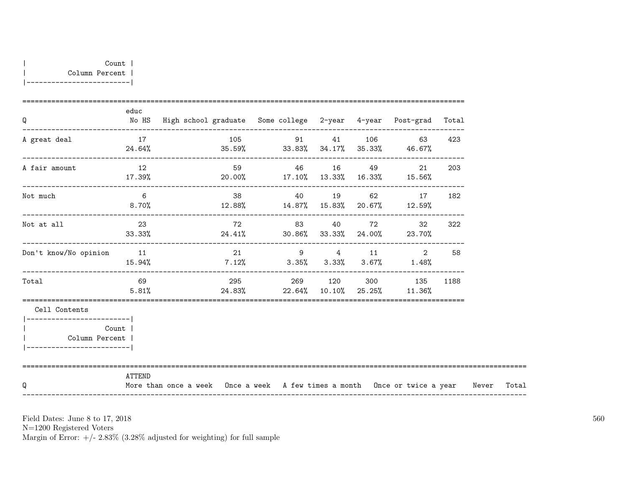| Q                                                              | educ           | No HS High school graduate Some college 2-year 4-year Post-grad Total            |    |                                       |  |        |                          |     |       |
|----------------------------------------------------------------|----------------|----------------------------------------------------------------------------------|----|---------------------------------------|--|--------|--------------------------|-----|-------|
| A great deal                                                   | 17             | $24.64\%$ 35.59% 33.83% 34.17% 35.33% 46.67%                                     |    | 105 91 41 106                         |  |        | 63 — 10                  | 423 |       |
| A fair amount                                                  | 12<br>17.39%   | $20.00\%$ 17.10% 13.33% 16.33% 15.56%                                            |    |                                       |  |        |                          | 203 |       |
| Not much                                                       | 6              | 8.70% 12.88% $14.87\%$ 15.83% 20.67% 12.59%                                      |    |                                       |  |        | 38 40 19 62 17           | 182 |       |
| Not at all                                                     | 23             | $33.33\%$ 24.41% 30.86% 33.33% 24.00% 23.70%                                     |    |                                       |  |        | 72 83 40 72 32           | 322 |       |
| Don't know/No opinion                                          | 11<br>15.94%   | $7.12\%$ $3.35\%$ $3.33\%$ $3.67\%$ $1.48\%$                                     | 21 |                                       |  | 9 4 11 | 2                        | 58  |       |
| Total                                                          | 69 69<br>5.81% |                                                                                  |    | $24.83\%$ 22.64% 10.10% 25.25% 11.36% |  |        | 295 269 120 300 135 1188 |     |       |
| Cell Contents<br>Column Percent  <br>------------------------- | Count          |                                                                                  |    |                                       |  |        |                          |     |       |
| Q                                                              | ATTEND         | More than once a week Once a week A few times a month Once or twice a year Never |    |                                       |  |        |                          |     | Total |

N=1200 Registered Voters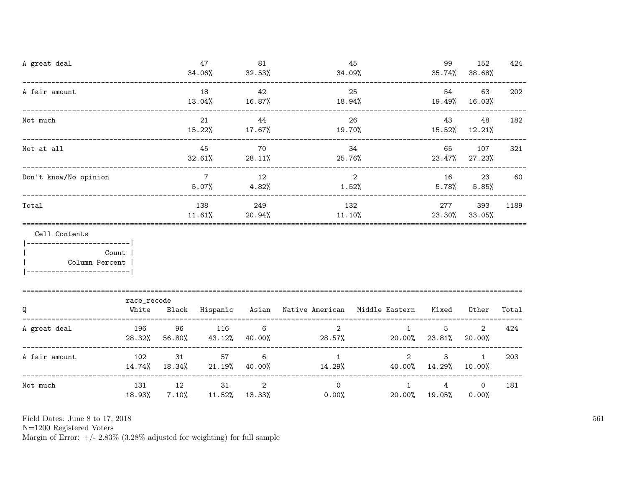| A great deal                                                                                 |                                   | 47<br>34.06% | 81<br>32.53%               | 34.09%                          | 45                                                        | 99                                              | 152<br>$35.74\%$ $38.68\%$ | 424                      |       |
|----------------------------------------------------------------------------------------------|-----------------------------------|--------------|----------------------------|---------------------------------|-----------------------------------------------------------|-------------------------------------------------|----------------------------|--------------------------|-------|
| A fair amount                                                                                | _________________________________ |              | 18<br>13.04%               | 42<br>16.87%                    | 18.94%                                                    | 25                                              | 54                         | 63<br>19.49% 16.03%      | 202   |
| Not much                                                                                     |                                   |              | 21<br>15.22%               | 44<br>$17.67\%$                 | 19.70%                                                    | 26                                              | 43                         | 48<br>15.52% 12.21%      | 182   |
| Not at all                                                                                   |                                   | 45<br>32.61% | 70<br>28.11%               | 34<br>25.76%                    | 65                                                        | 107<br>23.47% 27.23%                            | 321                        |                          |       |
| Don't know/No opinion                                                                        |                                   |              | $\overline{7}$<br>$5.07\%$ | 12<br>4.82%                     | 1.52%                                                     | $\overline{2}$                                  | $5.78\%$                   | 16 23<br>$5.85\%$        | 60    |
| Total                                                                                        |                                   |              | 138<br>$11.61\%$           | 249                             |                                                           | 132<br>$20.94\%$ 11.10%                         |                            |                          | 1189  |
| Cell Contents<br>________________________<br>  Column Percent  <br>------------------------- | Count                             |              |                            |                                 |                                                           |                                                 |                            |                          |       |
| Q                                                                                            | race_recode<br>White              |              |                            |                                 | Black Hispanic Asian Native-American Middle-Eastern Mixed |                                                 |                            | Other                    | Total |
| A great deal                                                                                 | 196<br>28.32%                     | 96<br>56.80% | 116<br>43.12%              | $6\overline{6}$<br>40.00%       | 2                                                         | 1<br>28.57%                                     | 5<br>$20.00\%$ 23.81%      | $\overline{2}$<br>20.00% | 424   |
| -------------<br>A fair amount                                                               | 102                               | 31           | 57<br>14.74% 18.34% 21.19% | $6\phantom{1}6$<br>40.00%       | 1                                                         | $\overline{2}$<br>$14.29\%$ $40.00\%$ $14.29\%$ | 3                          | $\mathbf{1}$<br>10.00%   | 203   |
| Not much                                                                                     | 131<br>18.93%                     | 12<br>7.10%  | 31                         | $\overline{2}$<br>11.52% 13.33% | $\Omega$<br>$0.00\%$                                      | $\mathbf{1}$                                    | 4<br>20.00% 19.05%         | $\overline{0}$<br>0.00%  | 181   |

N=1200 Registered Voters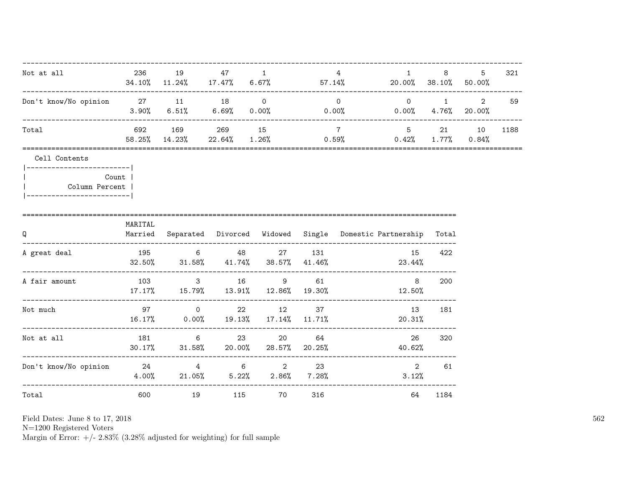| Not at all                                                                                                        | 236     | 19                                 | 47        | $\overline{\phantom{a}}$                                                       | $\overline{4}$<br>$34.10\%$ 11.24% 17.47% 6.67% 57.14% 20.00% 38.10% 50.00% |                                                                                                     | 1            | 8    | 5  | 321  |                                     |    |
|-------------------------------------------------------------------------------------------------------------------|---------|------------------------------------|-----------|--------------------------------------------------------------------------------|-----------------------------------------------------------------------------|-----------------------------------------------------------------------------------------------------|--------------|------|----|------|-------------------------------------|----|
| Don't know/No opinion 27 11 18 0                                                                                  |         |                                    |           |                                                                                |                                                                             | $\overline{0}$<br>$3.90\%$ $6.51\%$ $6.69\%$ $0.00\%$ $0.00\%$ $0.00\%$ $0.00\%$ $4.76\%$ $20.00\%$ |              |      |    |      | $0 \qquad \qquad 1 \qquad \qquad 2$ | 59 |
| Total                                                                                                             |         | 692 169 269 15                     |           | $58.25\%$ $14.23\%$ $22.64\%$ $1.26\%$ $0.59\%$ $0.42\%$ $1.77\%$ $0.84\%$     |                                                                             | $7\overline{ }$                                                                                     | 5 21         |      | 10 | 1188 |                                     |    |
| Cell Contents<br> ------------------------- <br><b>Count</b>  <br>Column Percent  <br>___________________________ |         |                                    |           |                                                                                |                                                                             |                                                                                                     |              |      |    |      |                                     |    |
| Q                                                                                                                 | MARITAL | ---------------------------------- |           | Married Separated Divorced Widowed Single Domestic-Partnership Total           |                                                                             |                                                                                                     |              |      |    |      |                                     |    |
| A great deal                                                                                                      |         |                                    |           | 195 6 48 27 131<br>$32.50\%$ $31.58\%$ $41.74\%$ $38.57\%$ $41.46\%$ $23.44\%$ |                                                                             |                                                                                                     | 15           | 422  |    |      |                                     |    |
| A fair amount                                                                                                     |         |                                    |           | 103 3 16 9 61<br>$17.17\%$ $15.79\%$ $13.91\%$ $12.86\%$ $19.30\%$ $11.50\%$   |                                                                             |                                                                                                     |              | 200  |    |      |                                     |    |
| Not much                                                                                                          |         | 97 0                               |           | 22 12<br>16.17% 0.00% 19.13% 17.14% 11.71%                                     | 37                                                                          |                                                                                                     | 13<br>20.31% | 181  |    |      |                                     |    |
| Not at all                                                                                                        |         | 181 6                              |           | 23 and $\sim$<br>$30.17\%$ $31.58\%$ $20.00\%$ $28.57\%$ $20.25\%$             | 20 64                                                                       |                                                                                                     | 26<br>40.62% | 320  |    |      |                                     |    |
| Don't know/No opinion $24$ 4 6 2 23                                                                               |         |                                    |           | $4.00\%$ 21.05% 5.22% 2.86% 7.28%                                              |                                                                             |                                                                                                     | 2<br>3.12%   | 61   |    |      |                                     |    |
| Total                                                                                                             |         | 600 000                            | 19<br>115 | <b>2012 70</b>                                                                 |                                                                             | 316 72                                                                                              | 64           | 1184 |    |      |                                     |    |

N=1200 Registered Voters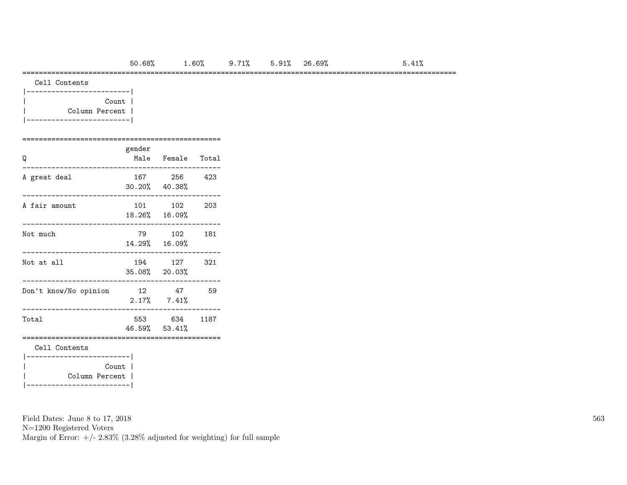### =========================================================================================================

| Count          |  |
|----------------|--|
| Column Percent |  |
|                |  |

## ================================================ gender

| Q                                                    |  | Male Female Total             |     |  |  |  |  |  |  |  |  |
|------------------------------------------------------|--|-------------------------------|-----|--|--|--|--|--|--|--|--|
| A great deal                                         |  | 167 256<br>30.20% 40.38%      | 423 |  |  |  |  |  |  |  |  |
| A fair amount                                        |  | 101 102<br>18.26% 16.09%      | 203 |  |  |  |  |  |  |  |  |
| Not much                                             |  | 79 102<br>14.29% 16.09%       | 181 |  |  |  |  |  |  |  |  |
| Not at all                                           |  | 194 127<br>35.08% 20.03%      | 321 |  |  |  |  |  |  |  |  |
| Don't know/No opinion                                |  | 12 47<br>$2.17\%$ 7.41%       | 59  |  |  |  |  |  |  |  |  |
| Total                                                |  | 553 634 1187<br>46.59% 53.41% |     |  |  |  |  |  |  |  |  |
| Cell Contents                                        |  |                               |     |  |  |  |  |  |  |  |  |
| Count  <br>Column Percent  <br>--------------------- |  |                               |     |  |  |  |  |  |  |  |  |

Field Dates: June 8 to 17, 2018

N=1200 Registered Voters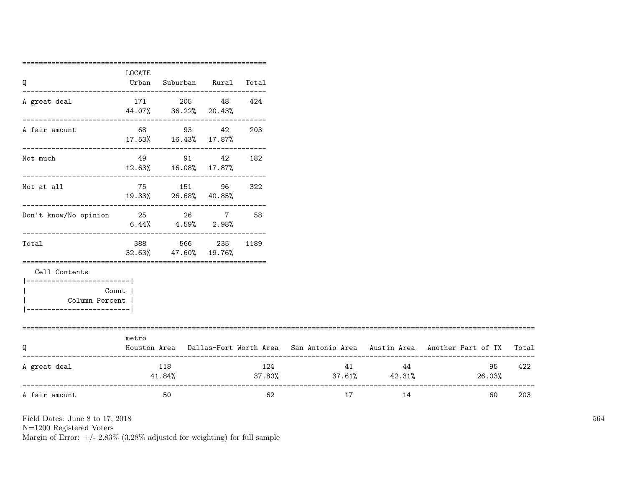|                                  | ================== |                                                               |     |      |                               |                             |                                                                                     |       |
|----------------------------------|--------------------|---------------------------------------------------------------|-----|------|-------------------------------|-----------------------------|-------------------------------------------------------------------------------------|-------|
| Q                                | LOCATE<br>Urban    | Suburban Rural Total                                          |     |      |                               |                             |                                                                                     |       |
|                                  |                    |                                                               |     |      |                               |                             |                                                                                     |       |
| A great deal                     |                    | 171 205 48                                                    |     | 424  |                               |                             |                                                                                     |       |
|                                  |                    | 44.07% 36.22% 20.43%<br>---------------------------           |     |      |                               |                             |                                                                                     |       |
| A fair amount                    |                    | 68 93 42                                                      |     | 203  |                               |                             |                                                                                     |       |
|                                  |                    | 17.53%  16.43%  17.87%<br>----------------------------------- |     |      |                               |                             |                                                                                     |       |
| Not much                         |                    | 49 91 42 182                                                  |     |      |                               |                             |                                                                                     |       |
|                                  |                    | 12.63% 16.08% 17.87%                                          |     |      |                               |                             |                                                                                     |       |
| Not at all                       |                    | 75 151 96                                                     |     | 322  |                               |                             |                                                                                     |       |
|                                  |                    | 19.33% 26.68% 40.85%                                          |     |      |                               |                             |                                                                                     |       |
| Don't know/No opinion 25 26 7 58 |                    |                                                               |     |      |                               |                             |                                                                                     |       |
|                                  |                    | $6.44\%$ $4.59\%$ $2.98\%$                                    |     |      |                               |                             |                                                                                     |       |
| Total                            | 388 388            | 566                                                           | 235 | 1189 |                               |                             |                                                                                     |       |
|                                  |                    | 32.63% 47.60% 19.76%                                          |     |      |                               |                             |                                                                                     |       |
| Cell Contents                    |                    |                                                               |     |      |                               |                             |                                                                                     |       |
|                                  |                    |                                                               |     |      |                               |                             |                                                                                     |       |
| Count  <br>Column Percent        |                    |                                                               |     |      |                               |                             |                                                                                     |       |
| -----------------------          |                    |                                                               |     |      |                               |                             |                                                                                     |       |
|                                  |                    |                                                               |     |      |                               |                             |                                                                                     |       |
| Q                                | metro              |                                                               |     |      |                               |                             | Houston Area Dallas-Fort Worth Area San Antonio Area Austin Area Another Part of TX | Total |
|                                  |                    |                                                               |     |      |                               |                             |                                                                                     |       |
| A great deal                     |                    | 118                                                           |     | 124  |                               | 41 and $\overline{a}$<br>44 | 95                                                                                  | 422   |
|                                  |                    | 41.84%                                                        |     |      | $37.80\%$ $37.61\%$ $42.31\%$ |                             | 26.03%                                                                              |       |
| A fair amount                    |                    | 50                                                            |     | 62   | 17                            | 14                          | 60                                                                                  | 203   |
|                                  |                    |                                                               |     |      |                               |                             |                                                                                     |       |

N=1200 Registered Voters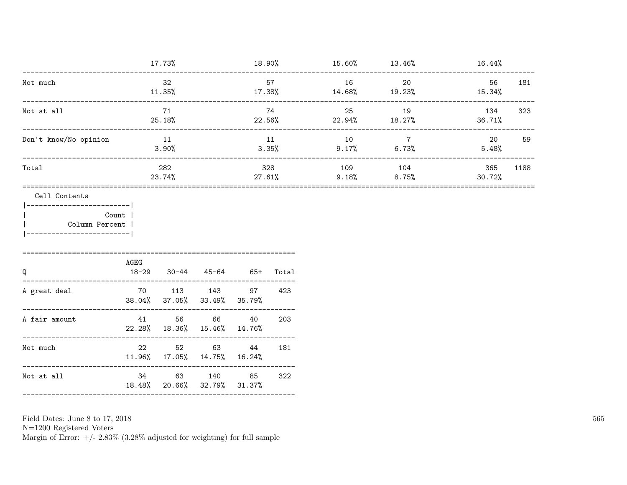|                                                |                            | 17.73%                                   |  |               |             |              | $18.90\%$ $15.60\%$ $13.46\%$ | 16.44%        |      |
|------------------------------------------------|----------------------------|------------------------------------------|--|---------------|-------------|--------------|-------------------------------|---------------|------|
| Not much                                       |                            | 32<br>11.35%                             |  | 57<br>17.38%  |             | 16<br>14.68% | 20<br>19.23%                  | 56<br>15.34%  | 181  |
| Not at all                                     |                            | 71<br>25.18%                             |  | 74<br>22.56%  |             | 25<br>22.94% | 19<br>18.27%                  | 134<br>36.71% | 323  |
| Don't know/No opinion                          |                            | 11<br>3.90%                              |  |               | 11<br>3.35% | 10<br>9.17%  | $7\overline{ }$<br>6.73%      | 20<br>5.48%   | 59   |
| Total                                          |                            | 282<br>23.74%                            |  | 328<br>27.61% |             | 109<br>9.18% | 104<br>8.75%                  | 365<br>30.72% | 1188 |
| Column Percent<br>-----------------------<br>Q | Count<br>AGEG<br>$18 - 29$ | $30-44$ $45-64$ $65+$                    |  |               | Total       |              |                               |               |      |
| A great deal                                   |                            | 70 113 143<br>38.04% 37.05% 33.49%       |  | 97<br>35.79%  | 423         |              |                               |               |      |
| A fair amount                                  | 41<br>22.28%               | 56 66<br>18.36% 15.46%                   |  | 40<br>14.76%  | 203         |              |                               |               |      |
| Not much                                       | 22                         | 52 63<br>11.96% 17.05% 14.75% 16.24%     |  | 44            | 181         |              |                               |               |      |
| Not at all                                     |                            | 34 63 140<br>18.48% 20.66% 32.79% 31.37% |  | 85            | 322         |              |                               |               |      |

Field Dates: June 8 to 17,  $2018\,$ 

N=1200 Registered Voters <br>Margin of Error: +/-  $2.83\%$  (3.28% adjusted for weighting) for full sample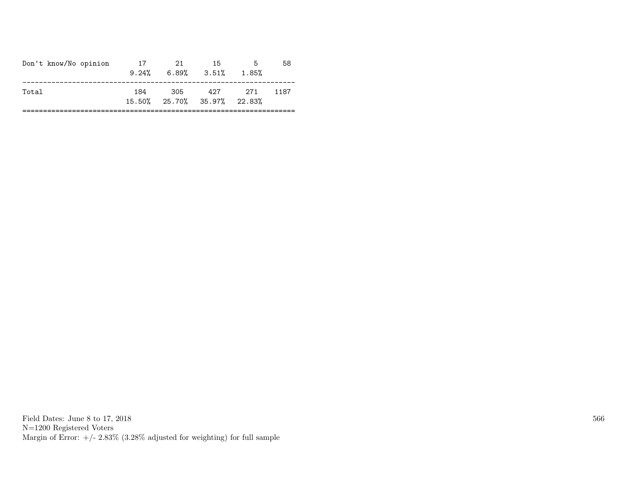| Don't know/No opinion | 17<br>9.24% | 21  | -15<br>$6.89\%$ $3.51\%$           | -5<br>1.85% | 58   |
|-----------------------|-------------|-----|------------------------------------|-------------|------|
| Total                 | 184         | 305 | 427<br>15.50% 25.70% 35.97% 22.83% | 271         | 1187 |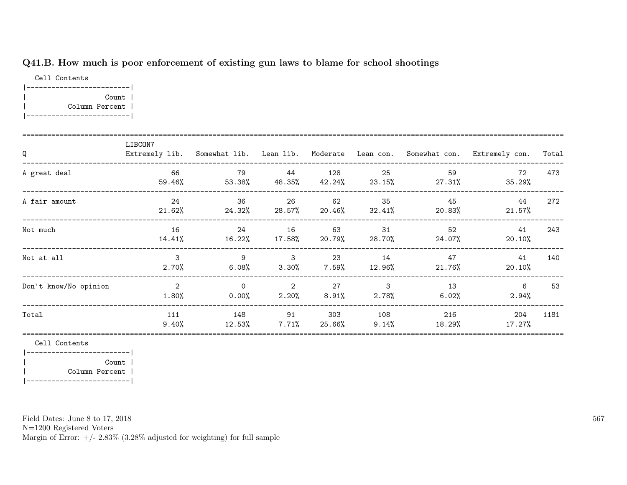# Q41.B. How much is poor enforcement of existing gun laws to blame for school shootings

Cell Contents |-------------------------| | Count | | Column Percent | |-------------------------|

| Q                     | LIBCON7               |                                    |                                        |                |                          |                        | Extremely lib. Somewhat lib. Lean lib. Moderate Lean con. Somewhat con. Extremely con. | Total |
|-----------------------|-----------------------|------------------------------------|----------------------------------------|----------------|--------------------------|------------------------|----------------------------------------------------------------------------------------|-------|
| A great deal          | 66<br>59.46%          | 79<br>53.38%                       | 44<br>48.35%                           | 128<br>42.24%  | 25                       | 59<br>$23.15\%$ 27.31% | 72<br>35.29%                                                                           | 473   |
| A fair amount         | 24<br>21.62%          | -36<br>$24.32\%$ 28.57% 20.46%     | 26                                     | 62             | 35<br>32.41%             | 45<br>20.83%           | 44<br>$21.57\%$                                                                        | 272   |
| Not much              | 16<br>14.41%          | - 24<br>$16.22\%$ $17.58\%$ 20.79% | 16                                     | 63             | 31                       | 52<br>28.70% 24.07%    | 41<br>$20.10\%$                                                                        | 243   |
| Not at all            | $\mathbf{3}$<br>2.70% | -9<br>$6.08\%$                     | $\sim$ 3<br>$3.30\%$                   | 23<br>7.59%    | 14<br>12.96%             | 47<br>21.76%           | 41<br>$20.10\%$                                                                        | 140   |
| Don't know/No opinion | 2<br>1.80%            | $\Omega$<br>$0.00\%$               | $\overline{\phantom{a}}$ 2<br>$2.20\%$ | 27<br>$8.91\%$ | $\mathbf{3}$<br>$2.78\%$ | 13<br>6.02%            | 6<br>$2.94\%$                                                                          | 53    |
| Total                 | 111<br>$9.40\%$       | 148<br>12.53%                      | 91<br>$7.71\%$                         | 303<br>25.66%  | 108<br>$9.14\%$          | 216<br>18.29%          | 204<br>17.27%                                                                          | 1181  |

Cell Contents

|-------------------------| | Count | | Column Percent | |-------------------------|

Field Dates: June 8 to 17, 2018

N=1200 Registered Voters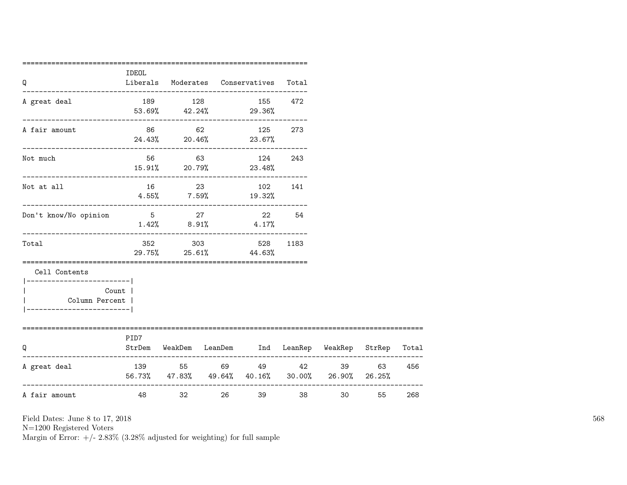| Q                                                                                        | IDEOL  |                              |           | Liberals Moderates Conservatives                                          | Total |                 |       |     |
|------------------------------------------------------------------------------------------|--------|------------------------------|-----------|---------------------------------------------------------------------------|-------|-----------------|-------|-----|
| A great deal                                                                             |        | 189 128                      |           | 155 472<br>$53.69\%$ $42.24\%$ 29.36%                                     |       |                 |       |     |
| A fair amount                                                                            |        |                              |           | 86 62 125 273<br>$24.43\%$ 20.46% 23.67%                                  |       |                 |       |     |
| Not much                                                                                 |        | ---------------------------- |           | 56 63 124 243<br>15.91% 20.79% 23.48%                                     |       |                 |       |     |
| Not at all                                                                               |        | 16 23                        |           | 102 141<br>$4.55\%$ 7.59% 19.32%                                          |       |                 |       |     |
| Don't know/No opinion                                                                    | $5$ 27 |                              |           | 22 54<br>$1.42\%$ 8.91\% 4.17\%                                           |       |                 |       |     |
| Total                                                                                    |        |                              |           | 352 303 528<br>29.75% 25.61% 44.63%                                       | 1183  |                 |       |     |
| Cell Contents<br>----------------------- <br>Column Percent  <br>----------------------- | Count  |                              |           |                                                                           |       |                 |       |     |
| =====================================<br>Q                                               | PID7   |                              |           | StrDem WeakDem LeanDem Ind LeanRep WeakRep StrRep Total                   |       |                 |       |     |
| A great deal                                                                             |        |                              |           | 139 55 69 49 42<br>56.73%, 47.83%, 49.64%, 40.16%, 30.00%, 26.90%, 26.25% |       |                 | 39 63 | 456 |
| A fair amount                                                                            | 48 7   |                              | $32 - 32$ | 26 30<br>39 39                                                            |       | 30 <sub>2</sub> | 55    | 268 |

N=1200 Registered Voters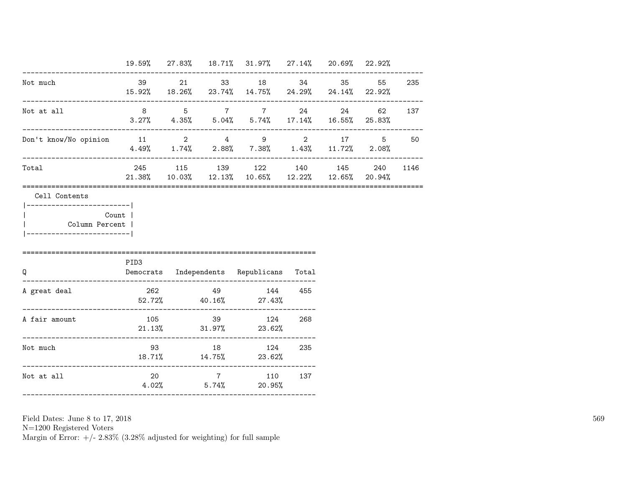|                                                       | 19.59% 27.83% 18.71% 31.97% 27.14% 20.69% 22.92% |  |                                                                                                           |     |           |  |
|-------------------------------------------------------|--------------------------------------------------|--|-----------------------------------------------------------------------------------------------------------|-----|-----------|--|
| Not much                                              |                                                  |  | 39 21 33 18 34<br>15.92% 18.26% 23.74% 14.75% 24.29% 24.14% 22.92%                                        |     | 35 55 235 |  |
| Not at all<br>---------------------------             |                                                  |  | 8 5 7 7 24<br>$3.27\%$ $4.35\%$ $5.04\%$ $5.74\%$ $17.14\%$ $16.55\%$ $25.83\%$                           |     | 24 62 137 |  |
| Don't know/No opinion 11 2 4 9 2 17 5 50              |                                                  |  | $4.49\%$ $1.74\%$ $2.88\%$ $7.38\%$ $1.43\%$ $11.72\%$ $2.08\%$                                           |     |           |  |
| Total                                                 |                                                  |  | 245 115 139 122 140 145 240 1146<br>$21.38\%$ $10.03\%$ $12.13\%$ $10.65\%$ $12.22\%$ $12.65\%$ $20.94\%$ |     |           |  |
| Count  <br>Column Percent  <br>---------------------- | PID3                                             |  |                                                                                                           |     |           |  |
|                                                       |                                                  |  |                                                                                                           |     |           |  |
| Q                                                     |                                                  |  | Democrats Independents Republicans Total                                                                  |     |           |  |
| A great deal                                          |                                                  |  | $52.72\%$ $40.16\%$ $27.43\%$                                                                             |     |           |  |
| A fair amount                                         |                                                  |  | 105 39 124<br>$21.13\%$ $31.97\%$ $23.62\%$                                                               | 268 |           |  |
| Not much                                              |                                                  |  | 93 18 124 235<br>18.71% 14.75% 23.62%                                                                     |     |           |  |

N=1200 Registered Voters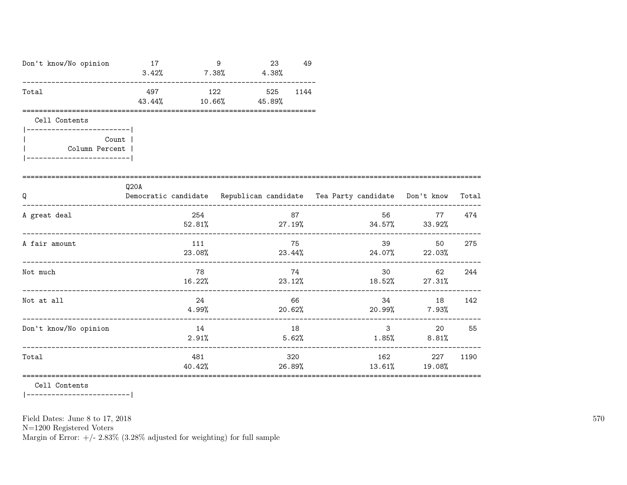| Don't know/No opinion                     | 17            |                | 9<br>$3.42\%$ 7.38% 4.38% | 23     | 49          |               |                                                                          |       |
|-------------------------------------------|---------------|----------------|---------------------------|--------|-------------|---------------|--------------------------------------------------------------------------|-------|
| Total                                     | 497<br>43.44% | $10.66\%$      | 122 525 1144<br>45.89%    |        |             |               |                                                                          |       |
| Cell Contents<br>________________________ |               |                |                           |        |             |               |                                                                          |       |
| Count  <br>Column Percent                 |               |                |                           |        |             |               |                                                                          |       |
| Q                                         | Q20A          |                |                           |        |             |               | Democratic candidate Republican candidate Tea Party candidate Don't know | Total |
| A great deal                              |               | 254            |                           |        | 87          |               | 77<br>$52.81\%$ 27.19% $34.57\%$ 33.92%                                  | 474   |
| A fair amount                             |               | 111            | 23.08%                    |        | 75          |               | 39<br>50<br>$23.44\%$ $24.07\%$ $22.03\%$                                | 275   |
| Not much                                  |               | 78             |                           |        | 74          |               | 30 <sub>2</sub><br>62<br>$16.22\%$ 23.12% $23.12\%$ 18.52% 27.31%        | 244   |
| Not at all                                |               | 24<br>$4.99\%$ |                           | 20.62% | 66          | 34            | 18<br>$20.99\%$ 7.93%                                                    | 142   |
| Don't know/No opinion                     |               | 14<br>2.91%    |                           |        | 18<br>5.62% |               | $3 \overline{\phantom{a}}$<br>20<br>$1.85\%$ 8.81%                       | 55    |
| Total                                     |               | 481<br>40.42%  |                           |        | 320         | 26.89% 13.61% | 162<br>227<br>19.08%                                                     | 1190  |

Cell Contents

|------------------------|

Field Dates: June 8 to 17, 2018

 ${\rm N}{=}1200$  Registered Voters

Margin of Error:  $+/- 2.83\%$  (3.28% adjusted for weighting) for full sample

570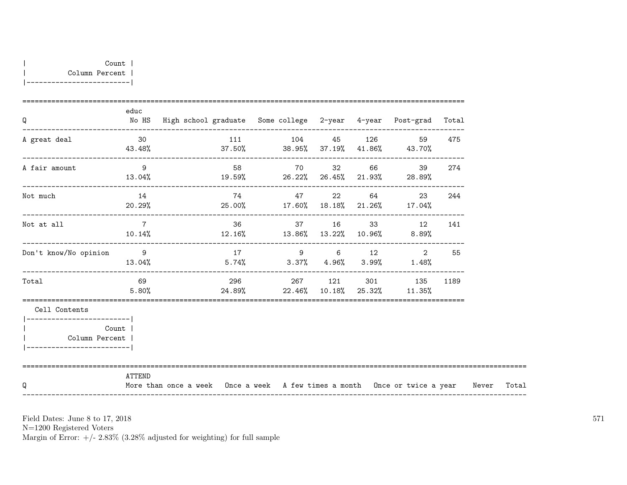| Q                                                                          | educ           | No HS High school graduate Some college 2-year 4-year Post-grad Total                                |                |  |                                                                   |     |  |
|----------------------------------------------------------------------------|----------------|------------------------------------------------------------------------------------------------------|----------------|--|-------------------------------------------------------------------|-----|--|
| A great deal                                                               | 30             | -------------------------------------<br>$43.48\%$ $37.50\%$ $38.95\%$ $37.19\%$ $41.86\%$ $43.70\%$ | 111 104 45 126 |  | 59                                                                | 475 |  |
| A fair amount                                                              | $\overline{9}$ |                                                                                                      | 58 70 32 66    |  | 39                                                                | 274 |  |
| Not much                                                                   | 14             | $20.29%$ 25.00% 17.60% 18.18% 21.26% 17.04%                                                          | 74 47 22 64    |  | 23                                                                | 244 |  |
| Not at all                                                                 | $\overline{7}$ | $10.14%$ $12.16%$ $13.86%$ $13.22%$ $10.96%$ $8.89%$                                                 |                |  | 36 37 16 33 12 141                                                |     |  |
| Don't know/No opinion                                                      | $\overline{9}$ | $13.04\%$ $5.74\%$ $3.37\%$ $4.96\%$ $3.99\%$ $1.48\%$                                               | 17 9 6 12      |  | 2                                                                 | 55  |  |
| Total                                                                      | 69<br>5.80%    |                                                                                                      |                |  | 296 267 121 301 135 1189<br>$24.89\%$ 22.46% 10.18% 25.32% 11.35% |     |  |
| Cell Contents<br>Count  <br>Column Percent  <br>__________________________ |                |                                                                                                      |                |  |                                                                   |     |  |
| Q                                                                          | ATTEND         | More than once a week Once a week A few times a month Once or twice a year Never Total               |                |  |                                                                   |     |  |

N=1200 Registered Voters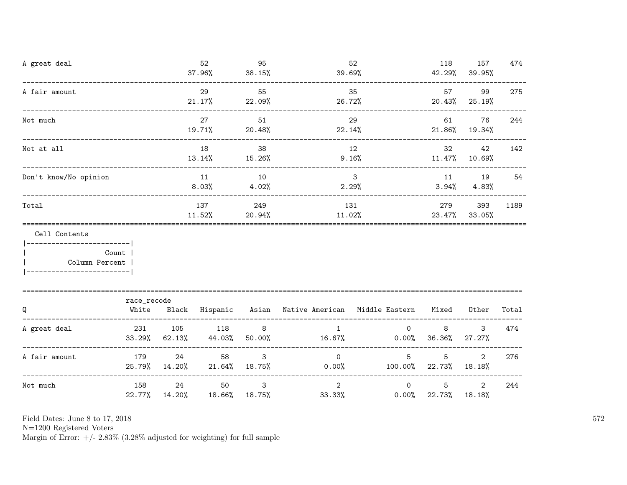| A great deal                                                               |                                                    |     | 52<br>37.96%                      | 95<br>$38.15\%$       | 39.69%                                                    | 52                             | 118                          | 157<br>42.29% 39.95%       | 474   |
|----------------------------------------------------------------------------|----------------------------------------------------|-----|-----------------------------------|-----------------------|-----------------------------------------------------------|--------------------------------|------------------------------|----------------------------|-------|
| A fair amount                                                              |                                                    |     | 29<br>21.17%                      | 55<br>22.09%          | 26.72%                                                    | 35                             | 57                           | 99<br>20.43% 25.19%        | 275   |
| Not much                                                                   |                                                    |     | 27<br>19.71%                      | 51<br>20.48%          | 22.14%                                                    | 29                             | $21.86\%$ 19.34%             | 61 — 10<br>76              | 244   |
| Not at all                                                                 | ----------------------------------<br>18<br>13.14% |     |                                   | 38<br>15.26%          |                                                           | 12<br>9.16%                    | $11.47\%$ 10.69%             | 32<br>42                   | 142   |
| Don't know/No opinion                                                      |                                                    |     | 11<br>8.03%                       | 10<br>4.02%           | 2.29%                                                     | $\mathbf{3}$                   |                              | 11 19<br>$3.94\%$ $4.83\%$ | 54    |
| Total                                                                      |                                                    |     | 137<br>11.52%                     | 249                   | $20.94\%$ $11.02\%$ $23.47\%$ $33.05\%$                   | 131                            | 279                          | 393                        | 1189  |
| Cell Contents<br>------------------------- <br>Count  <br>  Column Percent |                                                    |     |                                   |                       |                                                           |                                |                              |                            |       |
| Q                                                                          | race_recode<br>White                               |     |                                   |                       | Black Hispanic Asian Native-American Middle-Eastern Mixed |                                |                              | Other                      | Total |
| A great deal                                                               | 231<br>33.29%                                      | 105 | 118<br>$62.13\%$ $44.03\%$        | $\sim$ 8<br>$50.00\%$ | $\mathbf{1}$<br>$16.67\%$ 0.00% 36.36%                    |                                | 8<br>$\overline{0}$          | 3<br>27.27%                | 474   |
| A fair amount                                                              | 179                                                | 24  | 58<br>25.79% 14.20% 21.64% 18.75% | $\mathbf{3}$          | $0.00\%$ 100.00% 22.73% 18.18%                            | $\Omega$<br>5 <sup>5</sup>     | 5                            | $\overline{2}$             | 276   |
| Not much                                                                   | 158                                                | 24  | 50<br>22.77% 14.20% 18.66% 18.75% | $\mathbf{3}$          | $\overline{2}$                                            | $\Omega$<br>$33.33\%$<br>0.00% | $5^{\circ}$<br>22.73% 18.18% | $\overline{2}$             | 244   |

N=1200 Registered Voters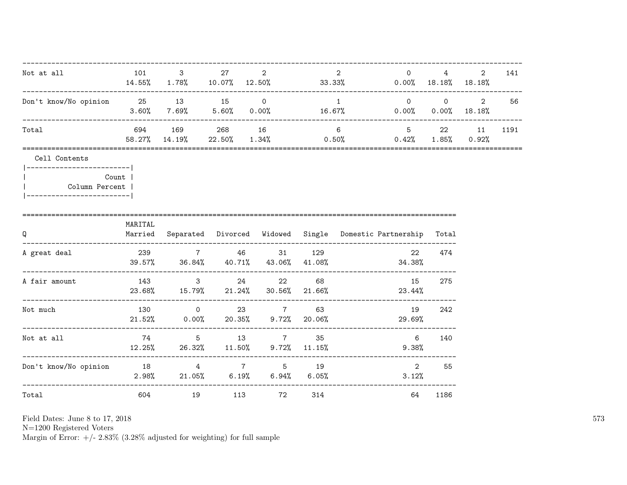| Not at all                                                                                     | 101                              | $3^{\circ}$                     | 27  | 2                                                       |    | 2<br>$14.55\%$ 1.78% 10.07% 12.50% 33.33% 0.00% 18.18% 18.18%                         | $\overline{0}$           | $4\degree$  | $\overline{2}$        | 141  |
|------------------------------------------------------------------------------------------------|----------------------------------|---------------------------------|-----|---------------------------------------------------------|----|---------------------------------------------------------------------------------------|--------------------------|-------------|-----------------------|------|
| Don't know/No opinion 25 13 15 0                                                               |                                  | ----------------                |     |                                                         |    | $\sim$ 1<br>$3.60\%$ $7.69\%$ $5.60\%$ $0.00\%$ $16.67\%$ $0.00\%$ $0.00\%$ $18.18\%$ |                          |             | $0 \qquad 0 \qquad 2$ | 56   |
| Total                                                                                          |                                  | 694 169 268 16<br>58.27% 14.19% |     |                                                         |    | $6\degree$<br>$22.50\%$ $1.34\%$ $0.50\%$ $0.42\%$ $1.85\%$ $0.92\%$                  | 5 22 11                  |             |                       | 1191 |
| Cell Contents<br> ------------------------- <br>Column Percent  <br> ------------------------- | Count                            |                                 |     |                                                         |    |                                                                                       |                          |             |                       |      |
| Q<br>-----------------------------------                                                       | MARITAL                          |                                 |     |                                                         |    | Married Separated Divorced Widowed Single Domestic Partnership Total                  |                          |             |                       |      |
| A great deal                                                                                   |                                  |                                 |     | 239 7 46 31 129                                         |    | $39.57\%$ $36.84\%$ $40.71\%$ $43.06\%$ $41.08\%$ $41.08\%$ $34.38\%$                 | 22                       | 474         |                       |      |
| A fair amount                                                                                  |                                  |                                 |     | 143 3 24 22<br>23.68% 15.79% 21.24% 30.56% 21.66%       | 68 |                                                                                       | 15<br>23.44%             | 275         |                       |      |
| Not much                                                                                       |                                  | 130 0                           |     | 23 7<br>$21.52\%$ 0.00% 20.35% 9.72% 20.06%             | 63 |                                                                                       | 19<br>29.69%             | 242         |                       |      |
| Not at all                                                                                     | 74<br>-------------------------- |                                 |     | 5 13 7 35<br>$12.25\%$ 26.32% $11.50\%$ 9.72% $11.15\%$ |    |                                                                                       | $6\overline{6}$<br>9.38% | 140         |                       |      |
| Don't know/No opinion 18 18 4 7 5 19                                                           |                                  |                                 |     |                                                         |    | $2.98\%$ 21.05% 6.19% 6.94% 6.05%                                                     | 2                        | 55<br>3.12% |                       |      |
| Total                                                                                          | 604                              | 19                              | 113 | 72 314                                                  |    |                                                                                       | 64                       | 1186        |                       |      |

N=1200 Registered Voters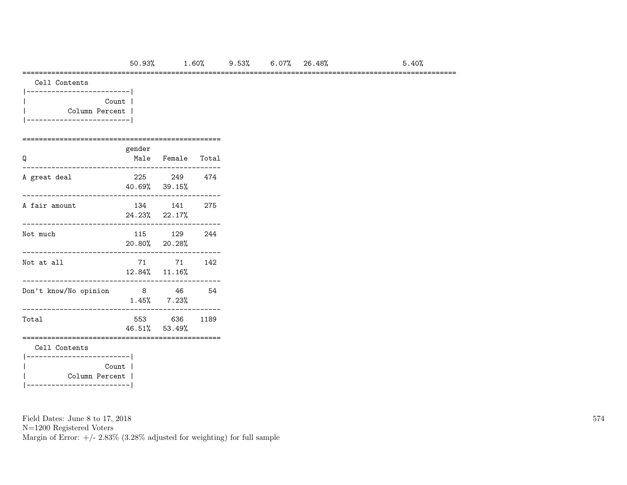### =========================================================================================================

| Cell Contents |
|---------------|
|               |

| Count          |  |
|----------------|--|
| Column Percent |  |
|                |  |

### ================================================ gender

| Q                                          | Kenaer | Male Female Total             |     |
|--------------------------------------------|--------|-------------------------------|-----|
| A great deal                               |        | 225 249 474<br>40.69% 39.15%  |     |
| A fair amount                              |        | 134 141<br>24.23% 22.17%      | 275 |
| Not much                                   |        | 115 129<br>20.80% 20.28%      | 244 |
| Not at all                                 |        | 71 71<br>12.84% 11.16%        | 142 |
| Don't know/No opinion                      | 8 46   | $1.45\%$ $7.23\%$             | 54  |
| Total                                      |        | 553 636 1189<br>46.51% 53.49% |     |
| Cell Contents<br>---------------------     |        |                               |     |
| Column Percent  <br>---------------------- | Count  |                               |     |

Field Dates: June 8 to 17, 2018

N=1200 Registered Voters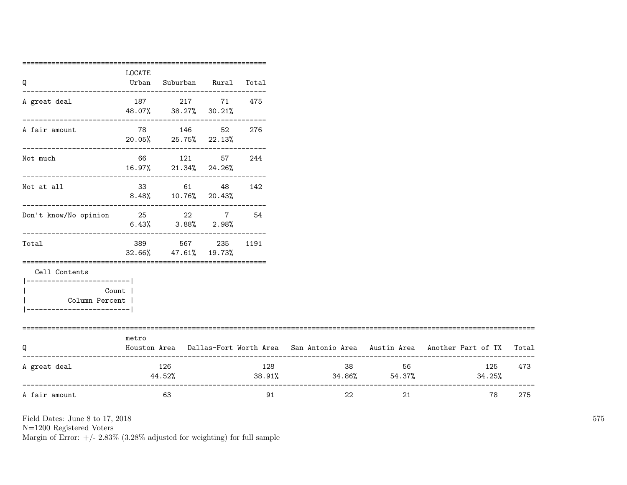|                                  | ===========     |                               |              |     |                               |    |                                                                                     |       |
|----------------------------------|-----------------|-------------------------------|--------------|-----|-------------------------------|----|-------------------------------------------------------------------------------------|-------|
| Q                                | LOCATE<br>Urban | Suburban Rural Total          |              |     |                               |    |                                                                                     |       |
|                                  |                 |                               |              |     |                               |    |                                                                                     |       |
| A great deal                     |                 | 187 217 71                    |              | 475 |                               |    |                                                                                     |       |
|                                  |                 | 48.07% 38.27% 30.21%          |              |     |                               |    |                                                                                     |       |
| A fair amount                    |                 | 78 146 52                     |              | 276 |                               |    |                                                                                     |       |
|                                  |                 | 20.05% 25.75% 22.13%          |              |     |                               |    |                                                                                     |       |
| Not much                         |                 | 66 121 57                     |              | 244 |                               |    |                                                                                     |       |
|                                  |                 | 16.97% 21.34% 24.26%          |              |     |                               |    |                                                                                     |       |
| Not at all                       |                 | 33 61 48                      |              | 142 |                               |    |                                                                                     |       |
|                                  |                 | $8.48\%$ $10.76\%$ $20.43\%$  |              |     |                               |    |                                                                                     |       |
| Don't know/No opinion 25 22 7 54 |                 |                               |              |     |                               |    |                                                                                     |       |
|                                  |                 | $6.43\%$ $3.88\%$ $2.98\%$    |              |     |                               |    |                                                                                     |       |
| Total                            | 389             |                               | 567 235 1191 |     |                               |    |                                                                                     |       |
|                                  |                 | $32.66\%$ $47.61\%$ $19.73\%$ |              |     |                               |    |                                                                                     |       |
| Cell Contents                    |                 |                               |              |     |                               |    |                                                                                     |       |
| -------------------------        |                 |                               |              |     |                               |    |                                                                                     |       |
| Column Percent                   | Count           |                               |              |     |                               |    |                                                                                     |       |
| ---------------------            |                 |                               |              |     |                               |    |                                                                                     |       |
|                                  |                 |                               |              |     |                               |    |                                                                                     |       |
|                                  | metro           |                               |              |     |                               |    |                                                                                     |       |
| Q                                |                 |                               |              |     |                               |    | Houston Area Dallas-Fort Worth Area San Antonio Area Austin Area Another Part of TX | Total |
| A great deal                     |                 | 126                           |              | 128 | 38                            | 56 | 125                                                                                 | 473   |
|                                  |                 | 44.52%                        |              |     | $38.91\%$ $34.86\%$ $54.37\%$ |    | 34.25%                                                                              |       |
| A fair amount                    |                 | 63                            |              | 91  | 22                            | 21 | 78                                                                                  | 275   |
|                                  |                 |                               |              |     |                               |    |                                                                                     |       |

N=1200 Registered Voters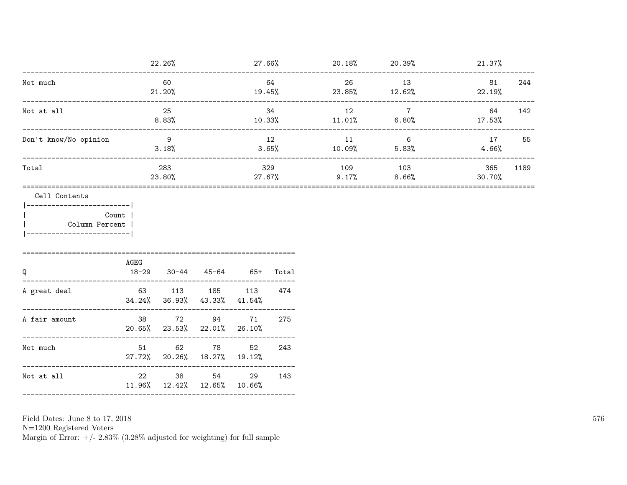|                                                                                    |                                   | 22.26%                  |        |                            |              |              | $27.66\%$ 20.18% 20.39%                           | 21.37%        |      |
|------------------------------------------------------------------------------------|-----------------------------------|-------------------------|--------|----------------------------|--------------|--------------|---------------------------------------------------|---------------|------|
| Not much                                                                           |                                   | 60<br>21.20%            |        | 19.45%                     | 64           | 26<br>23.85% | 13<br>12.62%                                      | 81<br>22.19%  | 244  |
| Not at all                                                                         | ________________                  | 25<br>$8.83\%$          |        | 10.33%                     | 34           | 12<br>11.01% | $7\overline{ }$<br>6.80%<br>_____________________ | 64<br>17.53%  | 142  |
| Don't know/No opinion                                                              |                                   | $\overline{9}$<br>3.18% |        |                            | 12<br>3.65%  | 11<br>10.09% | $6\overline{6}$<br>5.83%                          | 17<br>4.66%   | 55   |
| Total                                                                              |                                   | 283<br>23.80%           |        | 27.67%                     | 329          | 109<br>9.17% | 103<br>8.66%                                      | 365<br>30.70% | 1189 |
| ------------------------- <br>Count<br>Column Percent<br>_________________________ | AGEG                              |                         |        |                            |              |              |                                                   |               |      |
| Q<br>A great deal                                                                  | $18 - 29$<br>63 113 185<br>34.24% | $30 - 44$<br>36.93%     | 43.33% | 45-64 65+<br>113<br>41.54% | Total<br>474 |              |                                                   |               |      |
| A fair amount                                                                      | 38<br>20.65% 23.53% 22.01%        |                         | 72 94  | 71<br>26.10%               | 275          |              |                                                   |               |      |
| Not much                                                                           | 51<br>27.72% 20.26% 18.27% 19.12% |                         | 62 78  | 52                         | 243          |              |                                                   |               |      |
| Not at all                                                                         | 22<br>11.96% 12.42% 12.65% 10.66% |                         | 38 54  | 29                         | 143          |              |                                                   |               |      |
|                                                                                    |                                   |                         |        |                            |              |              |                                                   |               |      |

Field Dates: June 8 to 17,  $2018\,$ 

N=1200 Registered Voters<br>Margin of Error:  $+/- 2.83\%$  (3.28% adjusted for weighting) for full sample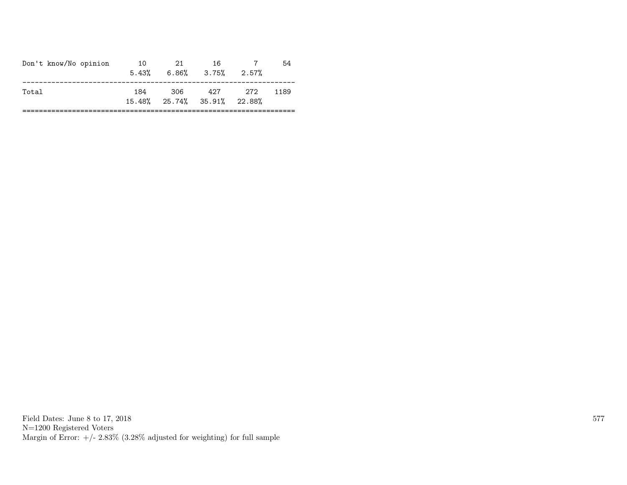| 306<br>427<br>- 272<br>184<br>Total<br>1189<br>15.48% 25.74% 35.91% 22.88% | Don't know/No opinion | 10 | -21<br>$5.43\%$ 6.86\% 3.75\% | 16 | 2.57% | 54 |
|----------------------------------------------------------------------------|-----------------------|----|-------------------------------|----|-------|----|
|                                                                            |                       |    |                               |    |       |    |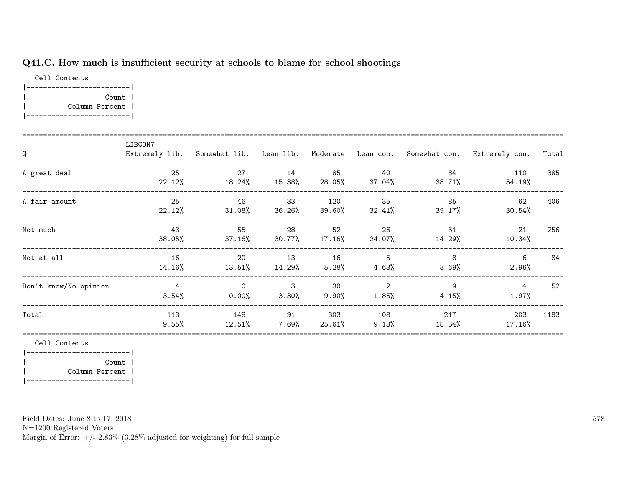## Q41.C. How much is insufficient security at schools to blame for school shootings

Cell Contents |-------------------------| | Count | | Column Percent | |-------------------------|

| Q                     | LIBCON7                    |                                     |                                        |                |                 |                           | Extremely lib. Somewhat lib. Lean lib. Moderate Lean con. Somewhat con. Extremely con. | Total |
|-----------------------|----------------------------|-------------------------------------|----------------------------------------|----------------|-----------------|---------------------------|----------------------------------------------------------------------------------------|-------|
| A great deal          | 25<br>22.12%               | 27<br>$18.24\%$ $15.38\%$ $28.05\%$ | 14                                     | 85             | - 40            | 84<br>$37.04\%$ $38.71\%$ | 110<br>54.19%                                                                          | 385   |
| A fair amount         | 25<br>22.12%               | 46                                  | 33<br>$31.08\%$ $36.26\%$ $39.60\%$    | 120            | 35              | 85<br>$32.41\%$ $39.17\%$ | 62<br>30.54%                                                                           | 406   |
| Not much              | - 43<br>$38.05\%$          | 55                                  | 28<br>$37.16\%$ $30.77\%$ $17.16\%$    | 52             | 26              | 31<br>$24.07\%$ 14.29%    | 21<br>10.34%                                                                           | 256   |
| Not at all            | 16<br>14.16%               | 20<br>13.51%                        | 13<br>14.29%                           | 16<br>5.28%    | 5<br>4.63%      | 8<br>$3.69\%$             | 6<br>$2.96\%$                                                                          | 84    |
| Don't know/No opinion | $\overline{4}$<br>$3.54\%$ | $\Omega$<br>$0.00\%$                | $\overline{\phantom{a}}$ 3<br>$3.30\%$ | 30<br>$9.90\%$ | 2<br>$1.85\%$   | 9<br>4.15%                | $\overline{4}$<br>$1.97\%$                                                             | 52    |
| Total                 | 113<br>$9.55\%$            | 148<br>12.51%                       | 91<br>7.69%                            | 303<br>25.61%  | 108<br>$9.13\%$ | 217<br>18.34%             | 203<br>$17.16\%$                                                                       | 1183  |

Cell Contents

|-------------------------| | Count | | Column Percent | |-------------------------|

Field Dates: June 8 to 17, 2018

N=1200 Registered Voters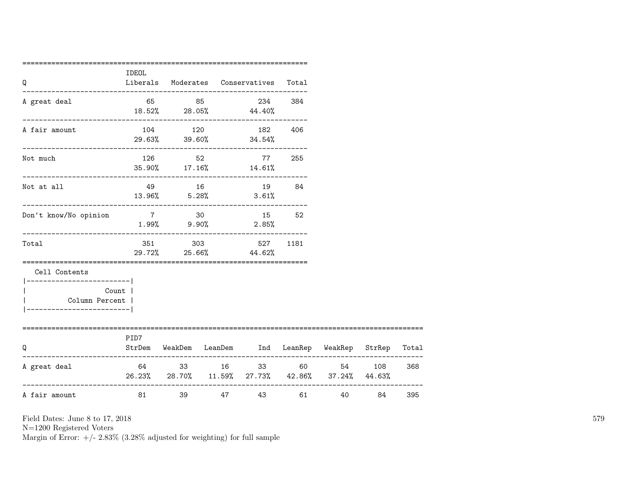| Q                                                                                       | IDEOL   |       | Liberals Moderates Conservatives                                                   | Total |                |         |     |
|-----------------------------------------------------------------------------------------|---------|-------|------------------------------------------------------------------------------------|-------|----------------|---------|-----|
| A great deal                                                                            |         |       | --------------------------------------<br>65 85 234 384<br>$18.52\%$ 28.05% 44.40% |       |                |         |     |
| A fair amount                                                                           |         |       | 104 120 182 406<br>$29.63\%$ $39.60\%$ $34.54\%$                                   |       |                |         |     |
| Not much                                                                                |         |       | 126 52 77 255<br>35.90% 17.16% 14.61%                                              |       |                |         |     |
| Not at all                                                                              |         | 49 16 | 19 84<br>$13.96\%$ $5.28\%$ $3.61\%$                                               |       |                |         |     |
| Don't know/No opinion                                                                   | 7 30    |       | 15 52<br>$1.99\%$ 9.90% 2.85%                                                      |       |                |         |     |
| Total                                                                                   |         |       | 351 303 527<br>29.72% 25.66% 44.62%                                                | 1181  |                |         |     |
| Cell Contents<br>---------------------- <br>Column Percent  <br>----------------------- | Count   |       |                                                                                    |       |                |         |     |
| ===============================<br>Q                                                    | PID7    |       | StrDem WeakDem LeanDem Ind LeanRep WeakRep StrRep Total                            |       |                |         |     |
| A great deal                                                                            |         |       | 64 33 16 33 60<br>26.23% 28.70% 11.59% 27.73% 42.86% 37.24% 44.63%                 |       |                | 54 108  | 368 |
| A fair amount                                                                           | 81 — 10 |       | 39 47 43                                                                           |       | 61 7<br>40 000 | 84 — 10 | 395 |

N=1200 Registered Voters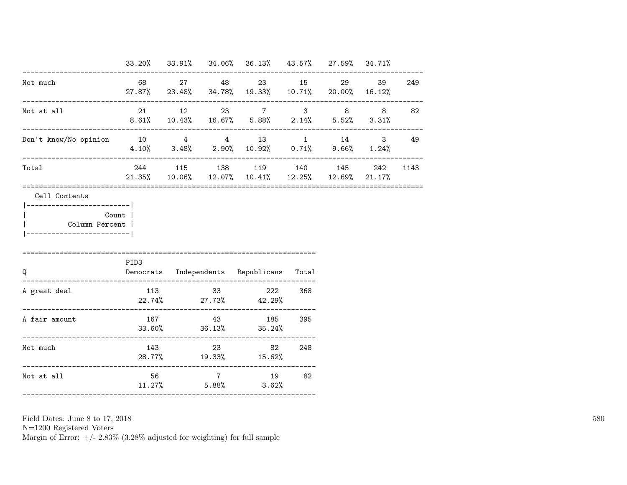|                                                         |                                                                 | ------------------------ | 33.20% 33.91% 34.06% 36.13% 43.57% 27.59% 34.71%                            |        |           |      |
|---------------------------------------------------------|-----------------------------------------------------------------|--------------------------|-----------------------------------------------------------------------------|--------|-----------|------|
| Not much                                                |                                                                 |                          | 68 27 48 23 15<br>$27.87\%$ 23.48% 34.78% 19.33% 10.71% 20.00% 16.12%       |        | 29 39 249 |      |
| Not at all                                              |                                                                 |                          | 21 12 23 7 3 8 8 82<br>$8.61\%$ 10.43% 16.67% 5.88% 2.14% 5.52% 3.31%       |        |           |      |
| Don't know/No opinion 10   4   4   13   1   14   3   49 | $4.10\%$ $3.48\%$ $2.90\%$ $10.92\%$ $0.71\%$ $9.66\%$ $1.24\%$ |                          |                                                                             |        |           |      |
| Total                                                   |                                                                 |                          | 244 115 138 119 140 145<br>21.35% 10.06% 12.07% 10.41% 12.25% 12.69% 21.17% |        | 242       | 1143 |
| Column Percent  <br>----------------------              |                                                                 |                          |                                                                             |        |           |      |
|                                                         |                                                                 |                          |                                                                             |        |           |      |
| Q                                                       | PID3                                                            |                          | Democrats Independents Republicans Total                                    |        |           |      |
|                                                         |                                                                 |                          | 113 33 222 368<br>$22.74\%$ 27.73% 42.29%                                   |        |           |      |
| A great deal<br>A fair amount                           |                                                                 |                          | 167    43    185<br>$33.60\%$ $36.13\%$ $35.24\%$                           | 395    |           |      |
| Not much                                                |                                                                 | 143                      | 23<br>28.77% 19.33% 15.62%                                                  | 82 248 |           |      |

N=1200 Registered Voters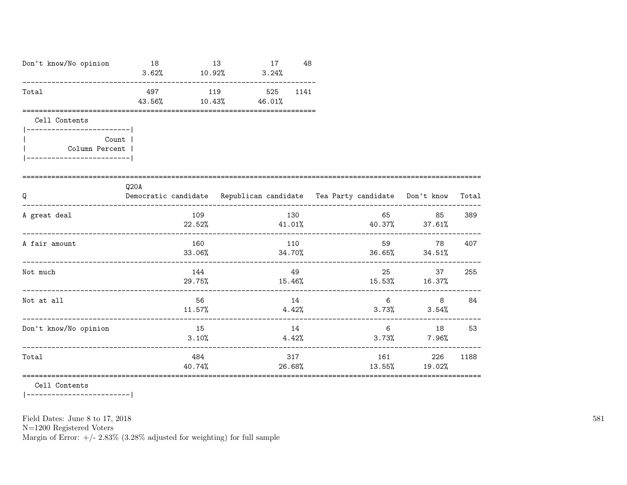| Don't know/No opinion                                                                           | 18<br>$3.62\%$ 10.92% |               | 13                             | 17<br>3.24% | 48            |       |                      |                                                                                                                                                                                                                                                  |       |
|-------------------------------------------------------------------------------------------------|-----------------------|---------------|--------------------------------|-------------|---------------|-------|----------------------|--------------------------------------------------------------------------------------------------------------------------------------------------------------------------------------------------------------------------------------------------|-------|
| Total                                                                                           | 497<br>43.56%         |               | 119 525<br>$10.43\%$ $46.01\%$ |             | 1141          |       |                      |                                                                                                                                                                                                                                                  |       |
| Cell Contents<br>--------------------- <br>Count  <br>Column Percent<br>----------------------- |                       |               |                                |             |               |       |                      |                                                                                                                                                                                                                                                  |       |
| Q<br>----------------------------                                                               | Q20A                  |               |                                |             |               |       |                      | Democratic candidate Republican candidate Tea Party candidate Don't know                                                                                                                                                                         | Total |
| A great deal                                                                                    |                       | 109           |                                |             | 130           |       | 65 30 31 32 33 43 44 | 85<br>$22.52%$ $41.01%$ $40.37%$ $37.61%$<br>---------------------                                                                                                                                                                               | 389   |
| A fair amount                                                                                   |                       | 160<br>33.06% |                                |             | 110           |       |                      | 78<br>$34.70\%$ 36.65% 34.51%                                                                                                                                                                                                                    | 407   |
| Not much                                                                                        |                       | 144           |                                |             | 49            |       | 25                   | 37<br>$29.75\%$ 15.46% 15.53% 16.37%                                                                                                                                                                                                             | 255   |
| Not at all                                                                                      |                       | 56<br>11.57%  |                                |             | 14            | 4.42% | 6                    | 8<br>$3.73\%$ $3.54\%$                                                                                                                                                                                                                           | 84    |
| Don't know/No opinion                                                                           |                       | 15<br>3.10%   |                                |             | 14            | 4.42% |                      | 6 18 53<br>$3.73\%$ 7.96%                                                                                                                                                                                                                        |       |
| Total<br>=====================================                                                  |                       | 484<br>40.74% |                                |             | 317<br>26.68% |       | 13.55%               | 161 — 161 — 161 — 162 — 162 — 162 — 162 — 162 — 162 — 162 — 162 — 162 — 162 — 162 — 162 — 162 — 162 — 162 — 162 — 162 — 162 — 162 — 162 — 162 — 162 — 162 — 162 — 162 — 162 — 162 — 162 — 162 — 162 — 162 — 162 — 162 — 162 — 1<br>226<br>19.02% | 1188  |

 $\mathtt{Cell}$  Contents

 $|----------$ 

Field Dates: June 8 to 17, 2018

 ${\rm N}{=}1200$  Registered Voters

Margin of Error:  $+/- 2.83\%$  (3.28% adjusted for weighting) for full sample

581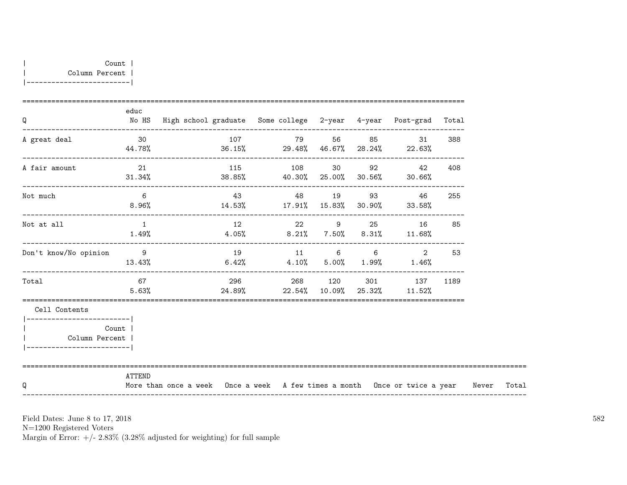| Q                                                                                        | educ           | No HS High school graduate Some college 2-year 4-year Post-grad Total            |    |                                                                   |  |                |     |       |
|------------------------------------------------------------------------------------------|----------------|----------------------------------------------------------------------------------|----|-------------------------------------------------------------------|--|----------------|-----|-------|
| A great deal                                                                             | 30             | $44.78\%$ 36.15% 29.48% 46.67% 28.24% 22.63%                                     |    | 107 79 56 85                                                      |  | 31             | 388 |       |
| A fair amount                                                                            | 21             | $31.34\%$ $38.85\%$ $40.30\%$ $25.00\%$ $30.56\%$ $30.66\%$                      |    | 115 108 30 92 42                                                  |  |                | 408 |       |
| Not much                                                                                 | 6              | $8.96\%$ $14.53\%$ $17.91\%$ $15.83\%$ $30.90\%$ $33.58\%$                       |    | 43 48 19 93 46                                                    |  |                | 255 |       |
| Not at all                                                                               | $\overline{1}$ | $1.49\%$ $4.05\%$ $8.21\%$ $7.50\%$ $8.31\%$ $11.68\%$                           |    | 12 22 9 25 16                                                     |  |                | 85  |       |
| Don't know/No opinion                                                                    | $\overline{9}$ | $13.43\%$ $6.42\%$ $4.10\%$ $5.00\%$ $1.99\%$ $1.46\%$                           | 19 | 11 6 6                                                            |  | $\overline{2}$ | 53  |       |
| Total                                                                                    | 67 67<br>5.63% |                                                                                  |    | 296 268 120 301 137 1189<br>$24.89\%$ 22.54% 10.09% 25.32% 11.52% |  |                |     |       |
| Cell Contents                                                                            |                |                                                                                  |    |                                                                   |  |                |     |       |
| _______________________<br><b>Count</b><br>Column Percent  <br>------------------------- |                |                                                                                  |    |                                                                   |  |                |     |       |
| Q                                                                                        | ATTEND         | More than once a week Once a week A few times a month Once or twice a year Never |    |                                                                   |  |                |     | Total |

N=1200 Registered Voters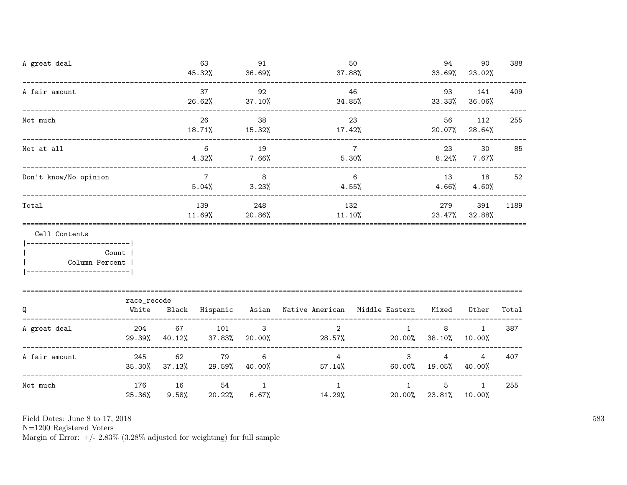| A great deal                                                    |                                   |              | 63<br>45.32%            | 91<br>36.69%                        | 37.88%                                                    | 50                     | 94                                 | 90<br>33.69% 23.02%        | 388   |
|-----------------------------------------------------------------|-----------------------------------|--------------|-------------------------|-------------------------------------|-----------------------------------------------------------|------------------------|------------------------------------|----------------------------|-------|
| A fair amount                                                   | _________________________________ |              | 37<br>26.62%            | 92<br>37.10%                        | 34.85%                                                    | 46                     | 93                                 | 141<br>33.33% 36.06%       | 409   |
| Not much                                                        | -------------------------------   |              | 26<br>18.71%            | 38<br>15.32%                        | 17.42%                                                    | 23                     | 56                                 | 112<br>20.07% 28.64%       | 255   |
| Not at all                                                      |                                   |              | 6<br>4.32%              | 19<br>7.66%                         | $\overline{7}$                                            | 5.30%                  |                                    | 23<br>30<br>$8.24\%$ 7.67% | 85    |
| Don't know/No opinion                                           |                                   |              | $\overline{7}$<br>5.04% | $\overline{\phantom{0}}$ 8<br>3.23% |                                                           | 6<br>4.55%             |                                    | 13 18<br>$4.66\%$ $4.60\%$ | 52    |
| Total                                                           |                                   |              | 139<br>11.69%           | 248<br>$20.86\%$                    | 11.10%                                                    | 132                    | 279                                | 391<br>23.47% 32.88%       | 1189  |
| Cell Contents<br>------------------------- <br>  Column Percent | Count                             |              |                         |                                     |                                                           |                        |                                    |                            |       |
| Q                                                               | race_recode<br>White              |              |                         |                                     | Black Hispanic Asian Native-American Middle-Eastern Mixed |                        |                                    | Other                      | Total |
| A great deal                                                    | 204<br>29.39%                     | 67<br>40.12% | 101<br>37.83%           | $\mathbf{3}$<br>20.00%              | 2<br>28.57%                                               | 1<br>20.00%            | 8<br>38.10%                        | $\mathbf{1}$<br>10.00%     | 387   |
| A fair amount                                                   | 245<br>$35.30\%$                  | 62<br>37.13% | 79<br>29.59%            | 6<br>40.00%                         | $4\overline{ }$                                           | $\mathbf{3}$<br>57.14% | $\overline{4}$<br>$60.00\%$ 19.05% | $\overline{4}$<br>40.00%   | 407   |
| Not much                                                        | 176<br>25.36%                     | 16<br>9.58%  | 54<br>20.22%            | $\overline{1}$                      | $\mathbf{1}$<br>6.67%<br>14.29%                           | $\mathbf{1}$<br>20.00% | 5<br>23.81%                        | $\mathbf{1}$<br>10.00%     | 255   |

N=1200 Registered Voters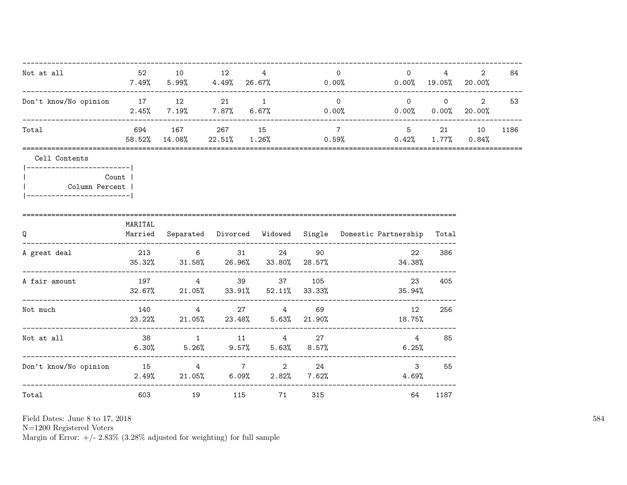| Not at all                                                                                                | 52      | 10              | 12        | $4^{\circ}$<br>$7.49\%$ 5.99% 4.49% 26.67% 0.00%                           |     | $\overline{0}$  | $\overline{0}$             | 4<br>$0.00\%$ 19.05% 20.00% | $\overline{2}$        | 84   |
|-----------------------------------------------------------------------------------------------------------|---------|-----------------|-----------|----------------------------------------------------------------------------|-----|-----------------|----------------------------|-----------------------------|-----------------------|------|
| Don't know/No opinion 17 12 21 1                                                                          | 2.45%   |                 |           | $7.19\%$ $7.87\%$ $6.67\%$ $0.00\%$ $0.00\%$ $0.00\%$ $20.00\%$            |     | $\overline{0}$  |                            |                             | $0 \qquad 0 \qquad 2$ | 53   |
| Total                                                                                                     |         | 58.52% 14.08%   |           | 694 167 267 15<br>$22.51\%$ 1.26% 0.59%                                    |     | $7\overline{7}$ | 5 21 10                    | $0.42\%$ 1.77% $0.84\%$     |                       | 1186 |
| Cell Contents<br> ------------------------- <br>Count  <br>Column Percent  <br> ------------------------- |         |                 |           |                                                                            |     |                 |                            |                             |                       |      |
| Q                                                                                                         | MARITAL |                 |           | Married Separated Divorced Widowed Single Domestic-Partnership Total       |     |                 |                            |                             |                       |      |
| ----------------------------------<br>A great deal<br>------------------------------------                |         |                 |           | 213 6 31 24<br>$35.32\%$ $31.58\%$ $26.96\%$ $33.80\%$ $28.57\%$ $34.38\%$ | 90  |                 | 22                         | 386                         |                       |      |
| A fair amount                                                                                             |         |                 |           | 197 4 39 37 105<br>$32.67\%$ 21.05% 33.91% 52.11% 33.33%                   |     |                 | 23<br>35.94%               | 405                         |                       |      |
| Not much                                                                                                  | 140     | $4\overline{ }$ |           | 27 4<br>$23.22\%$ 21.05% 23.48% 5.63% 21.90%                               | 69  |                 | 12<br>18.75%               | 256                         |                       |      |
| Not at all                                                                                                | 38      |                 |           | 1 11 4 27<br>$6.30\%$ $5.26\%$ $9.57\%$ $5.63\%$ $8.57\%$                  |     |                 | $\overline{4}$<br>6.25%    | 85                          |                       |      |
| Don't know/No opinion 15 15 14 7 2 24                                                                     |         |                 |           | $2.49\%$ 21.05% 6.09% 2.82% 7.62%                                          |     |                 | 3 <sup>1</sup><br>$4.69\%$ | 55                          |                       |      |
| Total                                                                                                     |         | 603 000         | 19<br>115 | 71                                                                         | 315 |                 | 64                         | 1187                        |                       |      |

N=1200 Registered Voters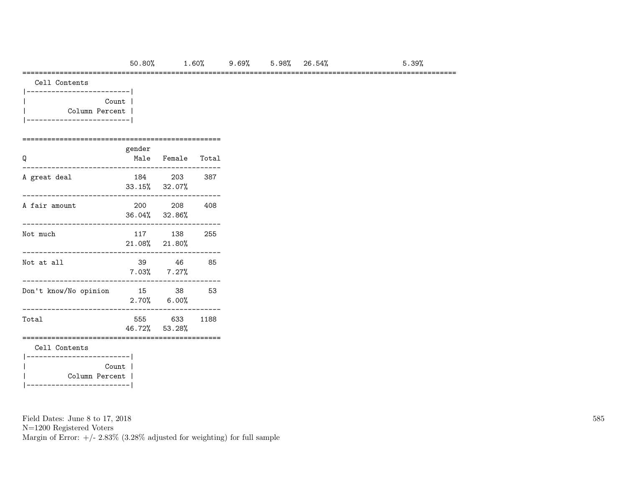#### =========================================================================================================

| Cell Contents |
|---------------|
|               |

| Count          |  |
|----------------|--|
| Column Percent |  |
|                |  |

#### ================================================ gender

| Q                                      | Renaer | Male Female Total             |       |
|----------------------------------------|--------|-------------------------------|-------|
| A great deal                           |        | 184 203<br>33.15% 32.07%      | - 387 |
| A fair amount                          |        | 200 208<br>36.04% 32.86%      | 408   |
| Not much                               |        | 117 138<br>21.08% 21.80%      | 255   |
| Not at all                             |        | 39 46<br>$7.03\%$ $7.27\%$    | 85    |
| Don't know/No opinion                  |        | 15 38<br>$2.70\%$ 6.00%       | 53    |
| Total                                  |        | 555 633 1188<br>46.72% 53.28% |       |
| Cell Contents<br>_____________________ |        |                               |       |
| Column Percent                         | Count  |                               |       |

Field Dates: June 8 to 17, 2018

N=1200 Registered Voters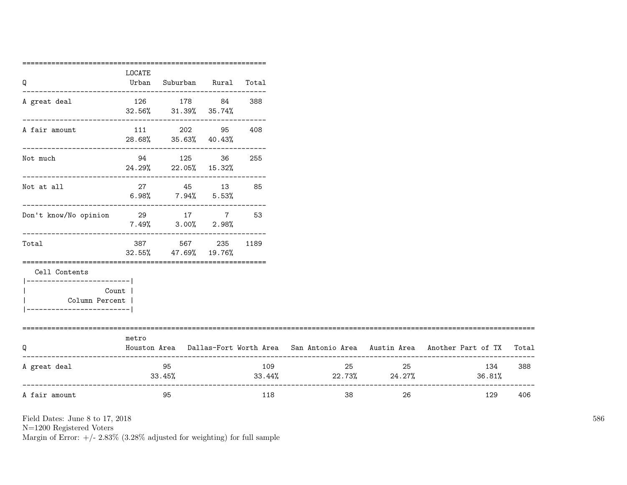|                                  | LOCATE<br>Urban | Suburban Rural Total                                             |              |     |                         |                     |                                                                                     |       |
|----------------------------------|-----------------|------------------------------------------------------------------|--------------|-----|-------------------------|---------------------|-------------------------------------------------------------------------------------|-------|
| Q                                |                 |                                                                  |              |     |                         |                     |                                                                                     |       |
| A great deal                     |                 | 126 178 84                                                       |              | 388 |                         |                     |                                                                                     |       |
|                                  |                 | 32.56% 31.39% 35.74%<br>----------------------------             |              |     |                         |                     |                                                                                     |       |
| A fair amount                    |                 | 111 202 95                                                       |              | 408 |                         |                     |                                                                                     |       |
|                                  |                 | 28.68% 35.63% 40.43%<br>----------------------------             |              |     |                         |                     |                                                                                     |       |
| Not much                         |                 | 94 125 36                                                        |              | 255 |                         |                     |                                                                                     |       |
|                                  |                 | 24.29% 22.05% 15.32%<br>--------------------------------         |              |     |                         |                     |                                                                                     |       |
| Not at all                       |                 | 27 45 13 85                                                      |              |     |                         |                     |                                                                                     |       |
|                                  |                 | $6.98\%$ 7.94% 5.53%                                             |              |     |                         |                     |                                                                                     |       |
| Don't know/No opinion 29 17 7 53 |                 |                                                                  |              |     |                         |                     |                                                                                     |       |
|                                  |                 | $7.49\%$ $3.00\%$ $2.98\%$<br>---------------------------------- |              |     |                         |                     |                                                                                     |       |
| Total                            | 387 — 100       |                                                                  | 567 235 1189 |     |                         |                     |                                                                                     |       |
|                                  |                 | 32.55% 47.69% 19.76%                                             |              |     |                         |                     |                                                                                     |       |
| Cell Contents                    |                 |                                                                  |              |     |                         |                     |                                                                                     |       |
| __________________________       |                 |                                                                  |              |     |                         |                     |                                                                                     |       |
| Count  <br>Column Percent        |                 |                                                                  |              |     |                         |                     |                                                                                     |       |
| ----------------------           |                 |                                                                  |              |     |                         |                     |                                                                                     |       |
| ============================     |                 |                                                                  |              |     |                         |                     |                                                                                     |       |
| Q                                | metro           |                                                                  |              |     |                         |                     | Houston Area Dallas-Fort Worth Area San Antonio Area Austin Area Another Part of TX | Total |
|                                  |                 |                                                                  |              |     |                         |                     |                                                                                     |       |
| A great deal                     |                 | 95                                                               |              | 109 |                         | 25 and $\sim$<br>25 | 134                                                                                 | 388   |
|                                  |                 | $33.45\%$                                                        |              |     | $33.44\%$ 22.73% 24.27% |                     | 36.81%                                                                              |       |
| A fair amount                    |                 | 95                                                               |              | 118 | 38                      | 26                  | 129                                                                                 | 406   |
|                                  |                 |                                                                  |              |     |                         |                     |                                                                                     |       |

N=1200 Registered Voters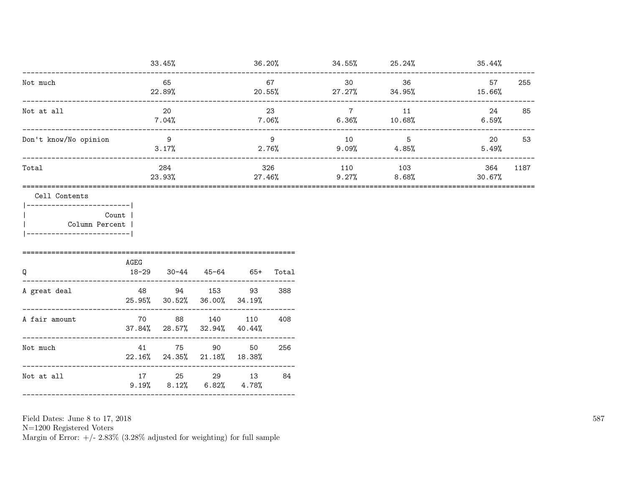|                                             |                   | 33.45%                                 |                                                                                                                                                                                                                                 |                         |               | $36.20\%$ $34.55\%$ $25.24\%$      |                                  | 35.44%        |      |
|---------------------------------------------|-------------------|----------------------------------------|---------------------------------------------------------------------------------------------------------------------------------------------------------------------------------------------------------------------------------|-------------------------|---------------|------------------------------------|----------------------------------|---------------|------|
| Not much                                    |                   | 65<br>22.89%                           |                                                                                                                                                                                                                                 | $20.55\%$               | 67            | 30                                 | 36<br>27.27% 34.95%              | 57<br>15.66%  | 255  |
| Not at all                                  |                   | 20<br>$7.04\%$                         |                                                                                                                                                                                                                                 | $7.06\%$                | 23            | $7\overline{ }$<br>6.36%           | 11<br>10.68%                     | 24<br>6.59%   | 85   |
| Don't know/No opinion                       |                   | $\overline{9}$<br>3.17%                |                                                                                                                                                                                                                                 |                         | 9<br>2.76%    | 10                                 | $5\overline{)}$<br>$9.09%$ 4.85% | 20<br>5.49%   | 53   |
| Total                                       |                   | 284<br>23.93%                          |                                                                                                                                                                                                                                 |                         | 326<br>27.46% | 110                                | 103<br>$9.27\%$ 8.68%            | 364<br>30.67% | 1187 |
| Cell Contents<br> ------------------------- |                   |                                        |                                                                                                                                                                                                                                 |                         |               | __________________________________ |                                  |               |      |
| Column Percent<br>______________________    | Count             |                                        |                                                                                                                                                                                                                                 |                         |               |                                    |                                  |               |      |
| Q                                           | AGEG<br>$18 - 29$ |                                        | $30-44$ $45-64$ $65+$                                                                                                                                                                                                           |                         | Total         |                                    |                                  |               |      |
| A great deal                                |                   | 48 94 153<br>25.95% 30.52% 36.00%      |                                                                                                                                                                                                                                 | 93<br>34.19%            | 388           |                                    |                                  |               |      |
| A fair amount                               |                   | 70 88 140 110<br>37.84% 28.57% 32.94%  |                                                                                                                                                                                                                                 | 40.44%                  | 408           |                                    |                                  |               |      |
| Not much                                    | 41                | 75 — 17<br>22.16% 24.35% 21.18% 18.38% | 90 — 100 — 100 — 100 — 100 — 100 — 100 — 100 — 100 — 100 — 100 — 100 — 100 — 100 — 100 — 100 — 100 — 100 — 100 — 100 — 100 — 100 — 100 — 100 — 100 — 100 — 100 — 100 — 100 — 100 — 100 — 100 — 100 — 100 — 100 — 100 — 100 — 10 | 50                      | 256           |                                    |                                  |               |      |
| Not at all                                  |                   | $9.19\%$ $8.12\%$ $6.82\%$             |                                                                                                                                                                                                                                 | 17 25 29 13 84<br>4.78% |               |                                    |                                  |               |      |
|                                             |                   |                                        |                                                                                                                                                                                                                                 |                         |               |                                    |                                  |               |      |

Field Dates: June 8 to 17,  $2018\,$ 

N=1200 Registered Voters<br>Margin of Error:  $+/- 2.83\%$  (3.28% adjusted for weighting) for full sample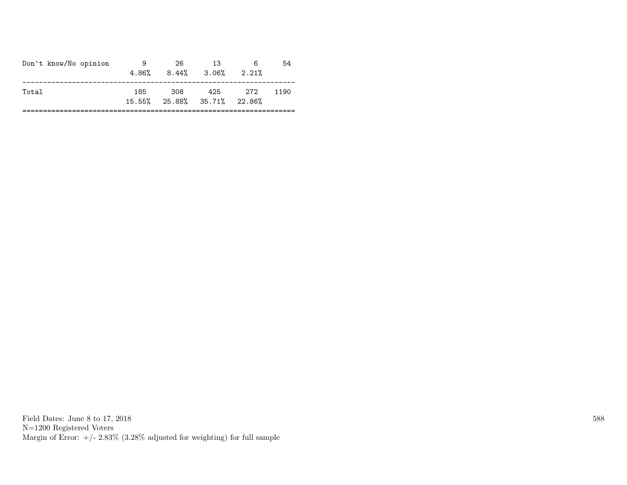| Don't know/No opinion | 9   | 26  | 13<br>$4.86\%$ $8.44\%$ $3.06\%$ $2.21\%$ | 6   | 54   |
|-----------------------|-----|-----|-------------------------------------------|-----|------|
| Total                 | 185 | 308 | 425<br>15.55% 25.88% 35.71% 22.86%        | 272 | 1190 |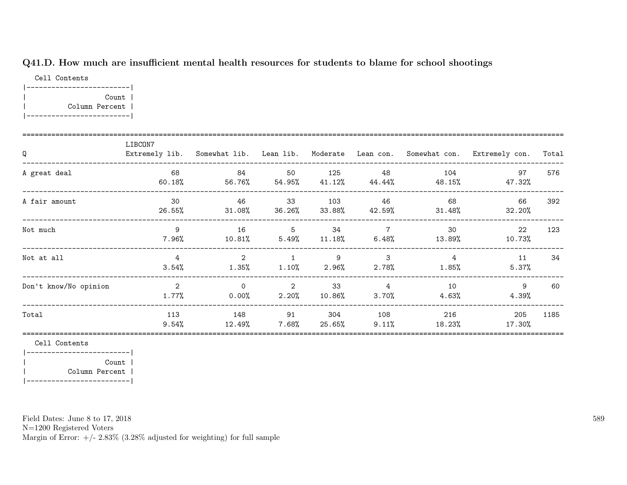# Q41.D. How much are insufficient mental health resources for students to blame for school shootings

Cell Contents |-------------------------| | Count | | Column Percent | |-------------------------|

| Q                     | LIBCON7                 |                      |                                  |                         |                                        |                            | Extremely lib. Somewhat lib. Lean lib. Moderate Lean con. Somewhat con. Extremely con. | Total |
|-----------------------|-------------------------|----------------------|----------------------------------|-------------------------|----------------------------------------|----------------------------|----------------------------------------------------------------------------------------|-------|
| A great deal          | 68<br>$60.18\%$         | 84<br>56.76%         | 50<br>$54.95\%$                  | 125<br>41.12%           | 48<br>44.44%                           | 104<br>48.15%              | 97<br>47.32%                                                                           | 576   |
| A fair amount         | 30<br>26.55%            | 46<br>$31.08\%$      | 33<br>36.26%                     | 103<br>33.88%           | 46<br>42.59%                           | 68<br>31.48%               | 66<br>32.20%                                                                           | 392   |
| Not much              | 9<br>7.96%              | 16<br>10.81%         | 5<br>$5.49\%$                    | 34<br>$11.18\%$         | $\overline{7}$                         | 30<br>$6.48\%$ 13.89%      | 22<br>10.73%                                                                           | 123   |
| Not at all            | $\overline{4}$<br>3.54% | 2<br>$1.35\%$        | $\overline{1}$<br>1.10%          | $\overline{9}$<br>2.96% | $\overline{\phantom{a}}$ 3<br>$2.78\%$ | $\overline{4}$<br>$1.85\%$ | 11<br>5.37%                                                                            | 34    |
| Don't know/No opinion | 2<br>$1.77\%$           | $\Omega$<br>$0.00\%$ | $\overline{\mathbf{2}}$<br>2.20% | 33<br>$10.86\%$         | $\overline{4}$<br>3.70%                | 10<br>4.63%                | 9<br>4.39%                                                                             | 60    |
| Total                 | 113<br>$9.54\%$         | 148<br>12.49%        | 91<br>7.68%                      | 304<br>25.65%           | 108<br>$9.11\%$                        | 216<br>18.23%              | 205<br>17.30%                                                                          | 1185  |

Cell Contents

|-------------------------| | Count | | Column Percent | |-------------------------|

Field Dates: June 8 to 17, 2018

N=1200 Registered Voters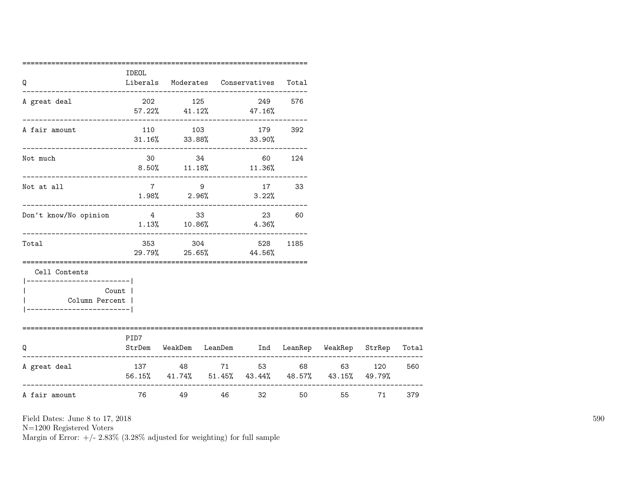| Q                                                                                          | <b>IDEOL</b>   |                                   |       | Liberals Moderates Conservatives                                           | Total |                                                                                                                                                                                                                                         |    |     |
|--------------------------------------------------------------------------------------------|----------------|-----------------------------------|-------|----------------------------------------------------------------------------|-------|-----------------------------------------------------------------------------------------------------------------------------------------------------------------------------------------------------------------------------------------|----|-----|
| A great deal                                                                               |                | --------------------------------- |       | 202 125 249 576<br>$57.22\%$ $41.12\%$ $47.16\%$                           |       |                                                                                                                                                                                                                                         |    |     |
| A fair amount                                                                              |                |                                   |       | 110 103 179 392<br>$31.16\%$ $33.88\%$ $33.90\%$                           |       |                                                                                                                                                                                                                                         |    |     |
| Not much                                                                                   |                |                                   |       | 30 34 60 124<br>$8.50\%$ 11.18% 11.36%                                     |       |                                                                                                                                                                                                                                         |    |     |
| Not at all                                                                                 |                | 7 9                               |       | 17 33<br>$1.98\%$ 2.96% 3.22%                                              |       |                                                                                                                                                                                                                                         |    |     |
| Don't know/No opinion                                                                      | 4 33           |                                   |       | 23<br>$1.13\%$ $10.86\%$ $4.36\%$                                          | 60    |                                                                                                                                                                                                                                         |    |     |
| __________________________<br>Total                                                        |                |                                   |       | 353 304 528<br>29.79% 25.65% 44.56%                                        | 1185  |                                                                                                                                                                                                                                         |    |     |
| Cell Contents<br>------------------------- <br>Column Percent  <br>----------------------- | Count          |                                   |       |                                                                            |       |                                                                                                                                                                                                                                         |    |     |
| Q                                                                                          | PID7           |                                   |       | StrDem WeakDem LeanDem Ind LeanRep WeakRep StrRep Total                    |       |                                                                                                                                                                                                                                         |    |     |
| A great deal                                                                               |                |                                   |       | 137 48 71 53 68 63 120<br>56.15% 41.74% 51.45% 43.44% 48.57% 43.15% 49.79% |       |                                                                                                                                                                                                                                         |    | 560 |
| A fair amount                                                                              | <b>2012 76</b> |                                   | 49 46 | 32 and $\sim$                                                              |       | 50 30 30 31 32 33 40 33 40 34 35 40 35 40 35 40 35 40 35 40 35 40 35 40 35 40 35 40 35 40 35 40 35 40 35 40 35 40 35 40 35 40 35 40 35 40 35 40 35 40 35 40 35 40 35 40 35 40 35 40 35 40 35 40 35 40 35 40 35 40 35 40 35 40 3<br>55 7 | 71 | 379 |

N=1200 Registered Voters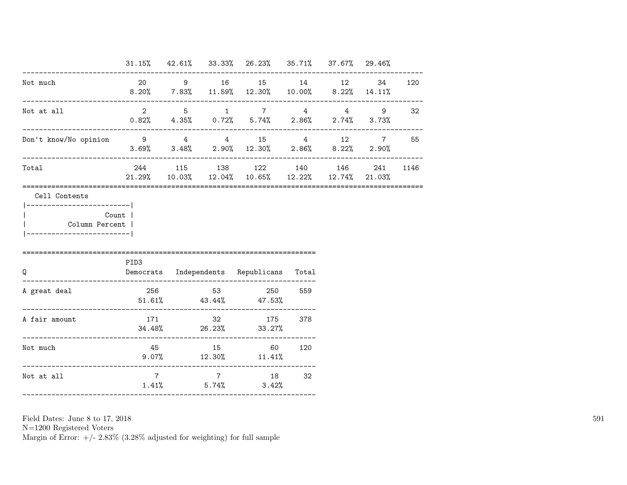|                                                                          |                                          |  | $31.15\%$ $42.61\%$ $33.33\%$ $26.23\%$ $35.71\%$ $37.67\%$ $29.46\%$                               |     |     |        |
|--------------------------------------------------------------------------|------------------------------------------|--|-----------------------------------------------------------------------------------------------------|-----|-----|--------|
| Not much                                                                 |                                          |  | 20 9 16 15 14 12<br>$8.20\%$ 7.83% 11.59% 12.30% 10.00% 8.22% 14.11%                                |     |     | 34 120 |
| Not at all                                                               |                                          |  | $2 \qquad 5 \qquad 1 \qquad 7 \qquad 4 \qquad 4$<br>$0.82\%$ 4.35% $0.72\%$ 5.74% 2.86% 2.74% 3.73% |     |     | 9 32   |
| Don't know/No opinion 9 4 4 4 15 4 12 7 55<br>-------------------------- |                                          |  | $3.69\%$ $3.48\%$ $2.90\%$ $12.30\%$ $2.86\%$ $8.22\%$ $2.90\%$                                     |     |     |        |
| Total                                                                    |                                          |  | 244 115 138 122 140 146<br>$21.29\%$ $10.03\%$ $12.04\%$ $10.65\%$ $12.22\%$ $12.74\%$ $21.03\%$    |     | 241 | 1146   |
| Count  <br>Column Percent  <br>______________________________            | PID3                                     |  |                                                                                                     |     |     |        |
| $\mathsf Q$                                                              | Democrats Independents Republicans Total |  |                                                                                                     |     |     |        |
|                                                                          |                                          |  |                                                                                                     |     |     |        |
| A great deal                                                             |                                          |  | 256 53 250 559<br>$51.61\%$ $43.44\%$ $47.53\%$                                                     |     |     |        |
| A fair amount                                                            |                                          |  | 171 32 175 378<br>$34.48\%$ 26.23% 33.27%                                                           |     |     |        |
| Not much<br>._____________________________                               |                                          |  | 45 15 60<br>$9.07\%$ $12.30\%$ $11.41\%$                                                            | 120 |     |        |

N=1200 Registered Voters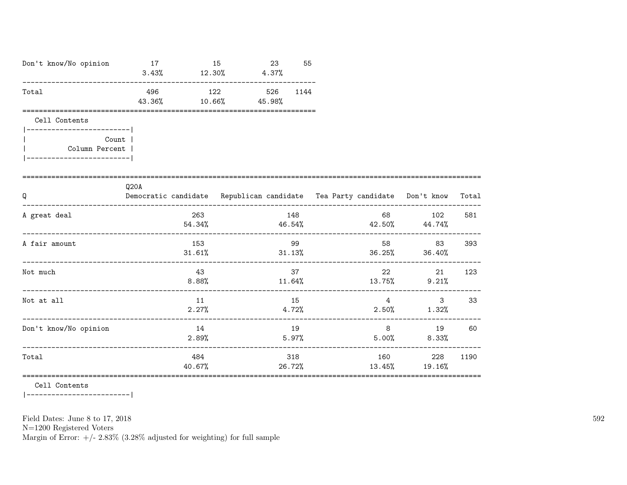| Don't know/No opinion                                   | 17<br>$3.43\%$ $12.30\%$ $4.37\%$                                                |                | 15    | 23            | 55   |       |                   |                                                                                                                                                                                                                                                                |       |
|---------------------------------------------------------|----------------------------------------------------------------------------------|----------------|-------|---------------|------|-------|-------------------|----------------------------------------------------------------------------------------------------------------------------------------------------------------------------------------------------------------------------------------------------------------|-------|
| Total                                                   | 496<br>43.36%                                                                    | 10.66%         | 122   | 526<br>45.98% | 1144 |       |                   |                                                                                                                                                                                                                                                                |       |
| Cell Contents<br>-------------------------              |                                                                                  |                |       |               |      |       |                   |                                                                                                                                                                                                                                                                |       |
| Count  <br>Column Percent  <br>------------------------ |                                                                                  |                |       |               |      |       |                   |                                                                                                                                                                                                                                                                |       |
| Q                                                       | Q20A<br>Democratic candidate Republican candidate Tea Party candidate Don't know |                |       |               |      |       |                   |                                                                                                                                                                                                                                                                | Total |
| A great deal                                            |                                                                                  | 263            |       | 148           |      |       | 68 30 31 32 33 46 | 102<br>$54.34\%$ $46.54\%$ $42.50\%$ $44.74\%$                                                                                                                                                                                                                 | 581   |
| A fair amount                                           |                                                                                  | 153            |       |               | 99   |       |                   | 83<br>$31.61\%$ $31.13\%$ $36.25\%$ $36.40\%$                                                                                                                                                                                                                  | 393   |
| Not much                                                |                                                                                  | 43             | 8.88% |               | 37   |       | 22                | 21<br>$11.64\%$ $13.75\%$ $9.21\%$                                                                                                                                                                                                                             | 123   |
| Not at all                                              |                                                                                  | 11<br>2.27%    |       |               | 15   |       | $\overline{4}$    | $3^{\circ}$<br>$4.72\%$ 2.50% 1.32%                                                                                                                                                                                                                            | 33    |
| Don't know/No opinion                                   |                                                                                  | 14<br>$2.89\%$ |       |               | 19   | 5.97% | 5.00%             | 8<br>8.33%                                                                                                                                                                                                                                                     | 19 60 |
| Total                                                   |                                                                                  | 484<br>40.67%  |       |               | 318  |       |                   | 160 — 160 — 160 — 160 — 160 — 160 — 160 — 160 — 161 — 162 — 162 — 162 — 162 — 162 — 162 — 162 — 162 — 162 — 162 — 162 — 162 — 162 — 162 — 162 — 162 — 162 — 162 — 162 — 162 — 162 — 162 — 162 — 162 — 162 — 162 — 162 — 162 — 1<br>228<br>26.72% 13.45% 19.16% | 1190  |

Cell Contents

|------------------------|

Field Dates: June 8 to 17, 2018

 ${\rm N}{=}1200$  Registered Voters

Margin of Error:  $+/- 2.83\%$  (3.28% adjusted for weighting) for full sample

 $592\,$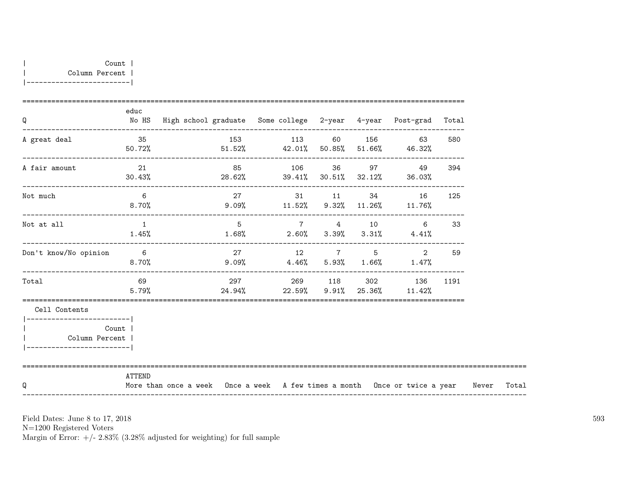| Q                                                                                  | educ              | No HS High school graduate Some college 2-year 4-year Post-grad Total            |                |  |                                                                                 |                           |       |
|------------------------------------------------------------------------------------|-------------------|----------------------------------------------------------------------------------|----------------|--|---------------------------------------------------------------------------------|---------------------------|-------|
| A great deal                                                                       | 35                | $50.72\%$ $51.52\%$ $42.01\%$ $50.85\%$ $51.66\%$ $46.32\%$                      | 153 113 60 156 |  |                                                                                 | 63 — 1<br>580             |       |
| A fair amount                                                                      | 21<br>30.43%      | $28.62\%$ 39.41% $30.51\%$ 32.12% 36.03%                                         |                |  | 85 106 36 97 49                                                                 | 394                       |       |
| Not much                                                                           | 6                 | 8.70% 9.09% $11.52\%$ 9.32% $11.26\%$ 11.76%                                     |                |  | 27 31 11 34 16                                                                  | 125                       |       |
| Not at all                                                                         | $\sim$ 1<br>1.45% | $1.68\%$ 2.60% 3.39% 3.31% 4.41%                                                 | 5 7 4 10       |  |                                                                                 | $6 \quad \text{or}$<br>33 |       |
| Don't know/No opinion                                                              | $6\overline{6}$   | $8.70\%$ $9.09\%$ $4.46\%$ $5.93\%$ $1.66\%$ $1.47\%$                            | 27 12 7 5      |  | 2                                                                               | 59                        |       |
| Total                                                                              | 69<br>5.79%       |                                                                                  |                |  | 297    269    118    302    136    1191<br>$24.94\%$ 22.59% 9.91% 25.36% 11.42% |                           |       |
| Cell Contents                                                                      |                   |                                                                                  |                |  |                                                                                 |                           |       |
| -----------------------<br>Count<br>Column Percent  <br>__________________________ |                   |                                                                                  |                |  |                                                                                 |                           |       |
| Q                                                                                  | ATTEND            | More than once a week Once a week A few times a month Once or twice a year Never |                |  |                                                                                 |                           | Total |

N=1200 Registered Voters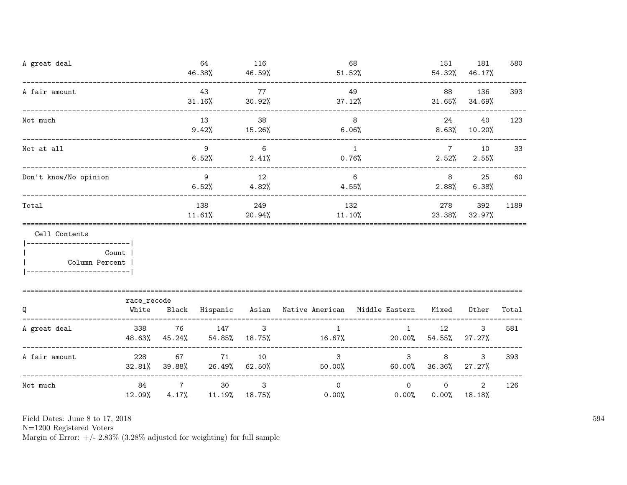| A great deal                                                   |                      |                         | 64<br>46.38%            | 116<br>46.59%          | 51.52%                                                    | 68                   | 151                      | 181<br>54.32% 46.17%       | 580   |
|----------------------------------------------------------------|----------------------|-------------------------|-------------------------|------------------------|-----------------------------------------------------------|----------------------|--------------------------|----------------------------|-------|
| A fair amount                                                  |                      |                         | 43<br>31.16%            | 77<br>30.92%           | 37.12%                                                    | 49                   | 88                       | 136<br>$31.65\%$ $34.69\%$ | 393   |
| Not much                                                       |                      |                         | 13<br>9.42%             | 38<br>15.26%           |                                                           | 8<br>6.06%           | 24                       | 40<br>$8.63\%$ 10.20%      | 123   |
| Not at all                                                     |                      |                         | 9<br>6.52%              | 6<br>2.41%             |                                                           | 1<br>$0.76\%$        | $7\overline{ }$<br>2.52% | 10<br>2.55%                | 33    |
| Don't know/No opinion                                          |                      |                         | $\overline{9}$<br>6.52% | 12<br>4.82%            |                                                           | 6<br>4.55%           | 8<br>$2.88\%$            | 25<br>6.38%                | 60    |
| Total                                                          |                      |                         | 138<br>$11.61\%$        | 249<br>20.94%          | $11.10\%$                                                 | 132                  | 278<br>23.38%            | 392<br>32.97%              | 1189  |
| Cell Contents<br>_________________________<br>  Column Percent | Count                |                         |                         |                        |                                                           |                      |                          |                            |       |
| Q                                                              | race_recode<br>White |                         |                         |                        | Black Hispanic Asian Native-American Middle-Eastern Mixed |                      |                          | Other                      | Total |
| A great deal                                                   | 338<br>48.63%        | 76<br>45.24%            | 147<br>54.85%           | $\mathbf{3}$<br>18.75% | $\mathbf{1}$<br>16.67%                                    | $\mathbf{1}$         | 12<br>$20.00\%$ 54.55%   | 3<br>$27.27\%$             | 581   |
| ------------<br>A fair amount                                  | 228<br>$32.81\%$     | 67<br>39.88%            | 71<br>26.49%            | 10<br>$62.50\%$        | $\mathbf{3}$<br>50.00%                                    | 3<br>60.00%          | 8<br>36.36%              | 3<br>27.27%                | 393   |
| Not much                                                       | 84<br>12.09%         | $\overline{7}$<br>4.17% | 30                      | 3<br>$11.19\%$ 18.75%  | $\Omega$<br>$0.00\%$                                      | $\Omega$<br>$0.00\%$ | $\circ$<br>$0.00\%$      | $\overline{2}$<br>18.18%   | 126   |

N=1200 Registered Voters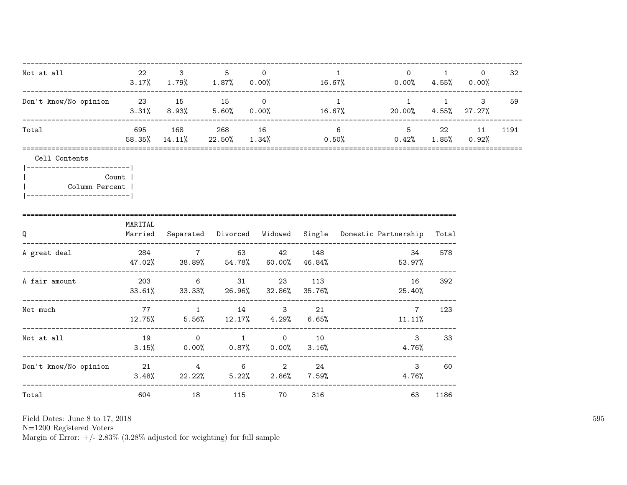| Not at all                                                                                    | 22 and $\sim$ | $3^{\circ}$                | $5$ 0             |                                                                      |     | $\mathbf{1}$              | $3.17\%$ $1.79\%$ $1.87\%$ $0.00\%$ $16.67\%$ $0.00\%$ $4.55\%$ $0.00\%$                       | $\begin{array}{ccc} 0 & 1 \end{array}$ | $\Omega$        | 32   |
|-----------------------------------------------------------------------------------------------|---------------|----------------------------|-------------------|----------------------------------------------------------------------|-----|---------------------------|------------------------------------------------------------------------------------------------|----------------------------------------|-----------------|------|
| Don't know/No opinion 23 15 15 0                                                              |               |                            |                   |                                                                      |     | $\overline{1}$            | $1 \qquad \qquad 1 \qquad \qquad 3$<br>$3.31\%$ $8.93\%$ $5.60\%$ $0.00\%$ $16.67\%$ $20.00\%$ |                                        | $4.55\%$ 27.27% | 59   |
| Total                                                                                         | 695 — 10      | 168 — 168<br>58.35% 14.11% | ----------------- | 268 16                                                               |     | $6 \quad \text{or} \quad$ | $22.50\%$ $1.34\%$ $0.50\%$ $0.42\%$ $1.85\%$ $0.92\%$                                         | 5 22                                   | 11              | 1191 |
| Cell Contents<br> -------------------------- <br>Column Percent  <br>------------------------ | Count         |                            |                   |                                                                      |     |                           |                                                                                                |                                        |                 |      |
| Q                                                                                             | MARITAL       |                            |                   |                                                                      |     |                           | Married Separated Divorced Widowed Single Domestic-Partnership Total                           |                                        |                 |      |
| A great deal                                                                                  |               |                            |                   | 284 7 63 42 148                                                      |     |                           | 34<br>$47.02\%$ 38.89% 54.78% 60.00% 46.84% 53.97%                                             | 578                                    |                 |      |
| A fair amount                                                                                 |               |                            |                   | 203 6 31 23 113<br>$33.61\%$ $33.33\%$ $26.96\%$ $32.86\%$ $35.76\%$ |     |                           | 16<br>25.40%                                                                                   | 392                                    |                 |      |
| Not much                                                                                      |               |                            |                   | 77 1 14 3 21<br>$12.75\%$ 5.56% $12.17\%$ 4.29% 6.65%                |     |                           | $7\overline{ }$<br>11.11%                                                                      | 123                                    |                 |      |
| Not at all                                                                                    |               |                            |                   | 19 0 1 0 1 0<br>$3.15\%$ 0.00% 0.87% 0.00% 3.16%                     |     |                           | $\mathbf{3}$<br>4.76%                                                                          | 33                                     |                 |      |
| Don't know/No opinion  21   4   6   2   24                                                    |               |                            |                   | $3.48\%$ 22.22% 5.22% 2.86% 7.59%                                    |     |                           | $\mathbf{3}$<br>4.76%                                                                          | 60                                     |                 |      |
| Total                                                                                         | 604           |                            | 115               | 70                                                                   | 316 |                           | 63                                                                                             | 1186                                   |                 |      |

Field Dates: June 8 to 17,  $2018\,$ 

N=1200 Registered Voters<br>Margin of Error:  $+/- 2.83\%$  (3.28% adjusted for weighting) for full sample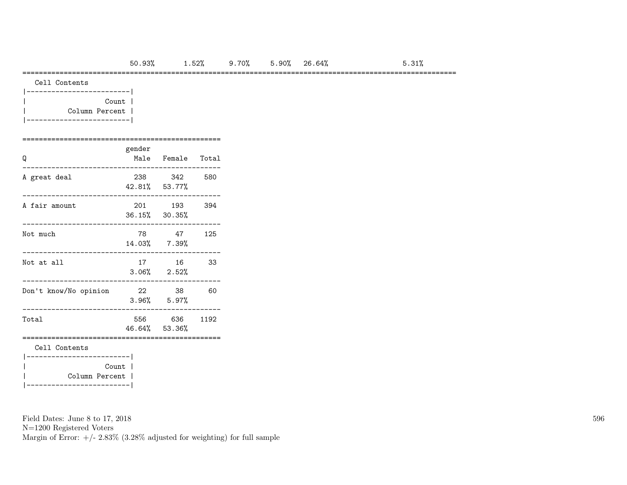#### =========================================================================================================

| Cell Contents |
|---------------|
|               |

| Count          |  |
|----------------|--|
| Column Percent |  |
|                |  |

# ================================================

| Q                                         | gender | Male Female Total          |       |
|-------------------------------------------|--------|----------------------------|-------|
| A great deal                              |        | 238 342<br>42.81% 53.77%   | - 580 |
| A fair amount                             |        | 201 193<br>36.15% 30.35%   | 394   |
| Not much                                  |        | 78 47<br>14.03% 7.39%      | 125   |
| Not at all                                |        | 16<br>$3.06\%$ $2.52\%$    | 33    |
| Don't know/No opinion                     |        | 22 38<br>$3.96\%$ $5.97\%$ | 60    |
| Total                                     |        | 556 636<br>46.64% 53.36%   | 1192  |
| Cell Contents<br>------------------------ |        |                            |       |
| Count  <br>Column Percent                 |        |                            |       |

Field Dates: June 8 to 17, 2018

N=1200 Registered Voters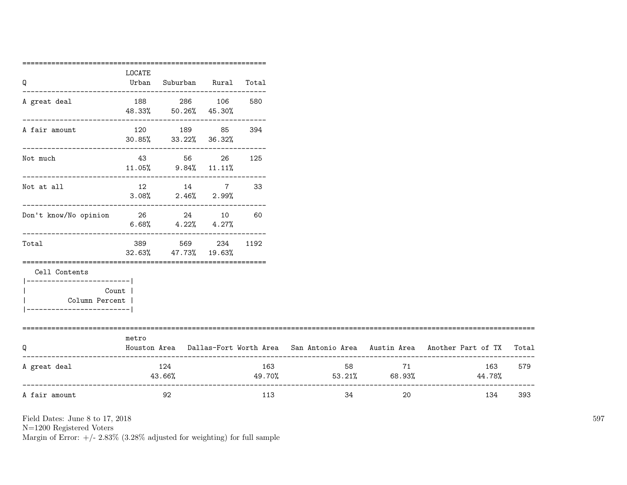| Q                                   | LOCATE<br>Urban | Suburban Rural Total                                  |              |     |                         |          |                                                                                           |     |
|-------------------------------------|-----------------|-------------------------------------------------------|--------------|-----|-------------------------|----------|-------------------------------------------------------------------------------------------|-----|
|                                     |                 |                                                       |              |     |                         |          |                                                                                           |     |
| A great deal                        |                 | 188 286 106                                           |              | 580 |                         |          |                                                                                           |     |
|                                     |                 | 48.33% 50.26% 45.30%<br>----------------------------  |              |     |                         |          |                                                                                           |     |
| A fair amount                       |                 | 120 189 85                                            |              | 394 |                         |          |                                                                                           |     |
|                                     |                 | 30.85% 33.22% 36.32%<br>----------------------------- |              |     |                         |          |                                                                                           |     |
| Not much                            |                 | 43 56 26                                              |              | 125 |                         |          |                                                                                           |     |
|                                     |                 | $11.05\%$ 9.84% $11.11\%$                             |              |     |                         |          |                                                                                           |     |
| Not at all                          |                 | 12 14 7 33                                            |              |     |                         |          |                                                                                           |     |
|                                     |                 | $3.08\%$ $2.46\%$ $2.99\%$                            |              |     |                         |          |                                                                                           |     |
| Don't know/No opinion 26 24 10 60   |                 |                                                       |              |     |                         |          |                                                                                           |     |
|                                     |                 | $6.68\%$ $4.22\%$ $4.27\%$                            |              |     |                         |          |                                                                                           |     |
| Total                               | 389             |                                                       | 569 234 1192 |     |                         |          |                                                                                           |     |
|                                     |                 | 32.63% 47.73% 19.63%                                  |              |     |                         |          |                                                                                           |     |
| Cell Contents                       |                 |                                                       |              |     |                         |          |                                                                                           |     |
| ------------------------- <br>Count |                 |                                                       |              |     |                         |          |                                                                                           |     |
| Column Percent                      |                 |                                                       |              |     |                         |          |                                                                                           |     |
| -----------------------             |                 |                                                       |              |     |                         |          |                                                                                           |     |
| ============================        | metro           |                                                       |              |     |                         |          |                                                                                           |     |
| Q                                   |                 |                                                       |              |     |                         |          | Houston Area Dallas-Fort Worth Area San Antonio Area Austin Area Another Part of TX Total |     |
| A great deal                        |                 | 124                                                   |              | 163 |                         | 71       | 163                                                                                       | 579 |
|                                     |                 | 43.66%                                                |              |     | $49.70\%$ 53.21% 68.93% |          | 44.78%                                                                                    |     |
| A fair amount                       |                 | 92                                                    |              | 113 |                         | 34<br>20 | 134                                                                                       | 393 |
|                                     |                 |                                                       |              |     |                         |          |                                                                                           |     |

N=1200 Registered Voters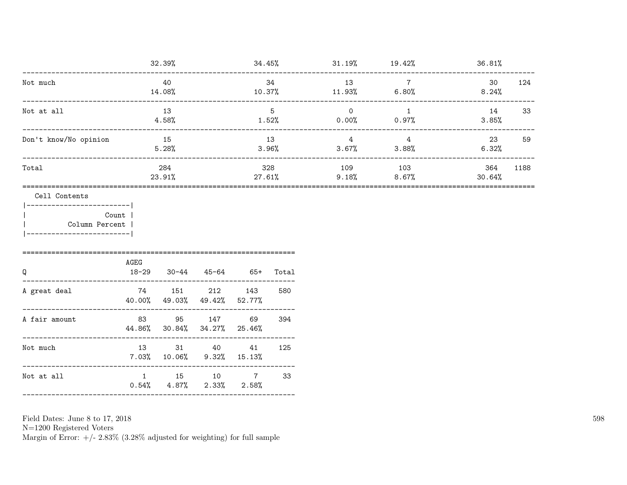|                                                        |                    | 32.39%                                               |               |                | 34.45%        |          | $31.19\%$ $19.42\%$               | 36.81%         |                                   |             |    |
|--------------------------------------------------------|--------------------|------------------------------------------------------|---------------|----------------|---------------|----------|-----------------------------------|----------------|-----------------------------------|-------------|----|
| Not much                                               |                    | 40<br>14.08%                                         |               | 34             | $10.37\%$     | 13       | $\overline{7}$<br>$11.93\%$ 6.80% | 30<br>8.24%    | 124                               |             |    |
| Not at all                                             | ------------------ | 13<br>$4.58\%$                                       |               | 5<br>1.52%     |               | $\Omega$ | $\overline{1}$<br>$0.00\%$ 0.97%  | 14<br>3.85%    | 33                                |             |    |
| Don't know/No opinion                                  |                    | 15<br>5.28%                                          |               | 13<br>$3.96\%$ |               |          |                                   | $\overline{4}$ | $\overline{4}$<br>$3.67%$ $3.88%$ | 23<br>6.32% | 59 |
| Total                                                  |                    | 284<br>23.91%                                        |               |                | 328<br>27.61% | 109      | 103<br>$9.18\%$ 8.67%             | 364<br>30.64%  | 1188                              |             |    |
| Count  <br>Column Percent<br>_________________________ | AGEG               |                                                      |               |                |               |          |                                   |                |                                   |             |    |
| Q<br>A great deal                                      |                    | 18-29 30-44 45-64 65+<br>74 151 212<br>40.00% 49.03% | 49.42%        | 143<br>52.77%  | Total<br>580  |          |                                   |                |                                   |             |    |
| A fair amount                                          |                    | 83 95<br>44.86% 30.84%                               | 147<br>34.27% | 69<br>25.46%   | 394           |          |                                   |                |                                   |             |    |
| Not much                                               |                    | 13 31 40<br>$7.03\%$ 10.06%                          | 9.32%         | 41<br>15.13%   | 125           |          |                                   |                |                                   |             |    |
| Not at all                                             |                    | 1 15 10 7<br>$0.54\%$ 4.87%                          | 2.33%         | 2.58%          | 33            |          |                                   |                |                                   |             |    |

N=1200 Registered Voters<br>Margin of Error: +/- 2.83% (3.28% adjusted for weighting) for full sample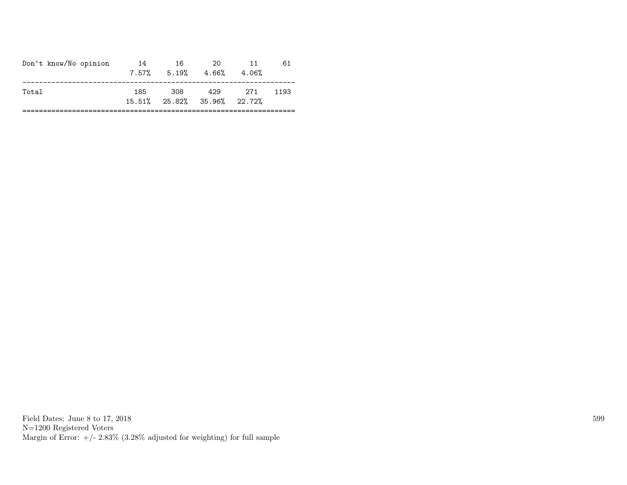|       | Don't know/No opinion<br>20<br>-14<br>16<br>11<br>$7.57\%$ $5.19\%$ $4.66\%$<br>4.06% | 61 |
|-------|---------------------------------------------------------------------------------------|----|
| Total | 308<br>429<br>185<br>- 271<br>1193<br>15.51% 25.82% 35.96% 22.72%                     |    |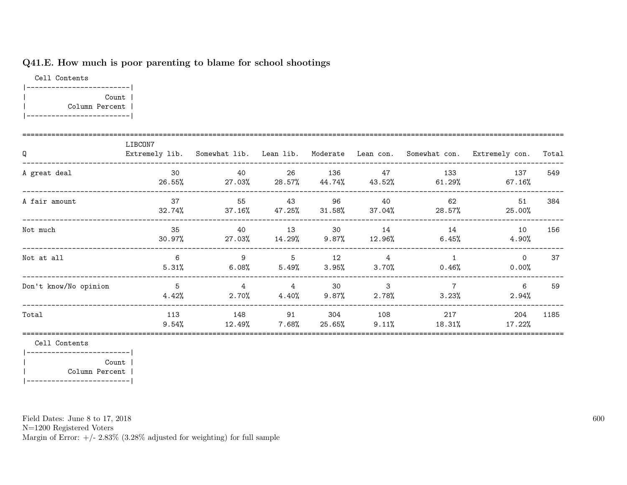# Q41.E. How much is poor parenting to blame for school shootings

Cell Contents |-------------------------| | Count | | Column Percent | |-------------------------|

| Q                     | LIBCON7         |                            |                                     |                |                            |                            | Extremely lib. Somewhat lib. Lean lib. Moderate Lean con. Somewhat con. Extremely con. | Total |
|-----------------------|-----------------|----------------------------|-------------------------------------|----------------|----------------------------|----------------------------|----------------------------------------------------------------------------------------|-------|
| A great deal          | 30<br>26.55%    | 40<br>27.03%               | 26<br>$28.57\%$                     | 136            | 47<br>44.74% 43.52%        | 133<br>61.29%              | 137<br>67.16%                                                                          | 549   |
| A fair amount         | 37<br>32.74%    | 55                         | 43<br>$37.16\%$ $47.25\%$ $31.58\%$ | 96             | 40                         | 62<br>$37.04\%$ 28.57%     | 51<br>25.00%                                                                           | 384   |
| Not much              | 35<br>$30.97\%$ | 40<br>27.03%               | 13<br>14.29%                        | 30<br>$9.87\%$ | 14<br>$12.96\%$            | 14<br>$6.45\%$             | 10<br>4.90%                                                                            | 156   |
| Not at all            | 6<br>5.31%      | 9<br>$6.08\%$              | 5<br>5.49%                          | 12<br>$3.95\%$ | $\overline{4}$<br>$3.70\%$ | $\overline{1}$<br>$0.46\%$ | $\circ$<br>$0.00\%$                                                                    | 37    |
| Don't know/No opinion | - 5<br>4.42%    | $\overline{4}$<br>$2.70\%$ | $\overline{4}$<br>4.40%             | 30<br>$9.87\%$ | 3<br>$2.78\%$              | $\overline{7}$<br>3.23%    | 6<br>$2.94\%$                                                                          | 59    |
| Total                 | 113<br>$9.54\%$ | 148<br>12.49%              | 91<br>7.68%                         | 304<br>25.65%  | 108<br>$9.11\%$            | 217<br>18.31%              | 204<br>17.22%                                                                          | 1185  |

Cell Contents

|-------------------------| | Count | | Column Percent | |-------------------------|

Field Dates: June 8 to 17, 2018

N=1200 Registered Voters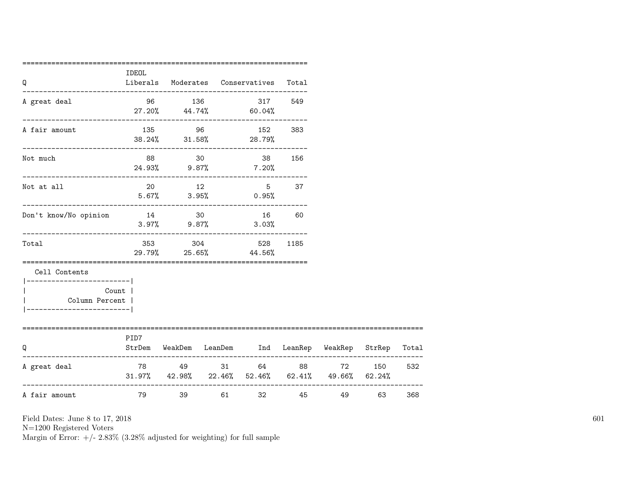| Q                                                 | IDEOL     |        |       | Liberals Moderates Conservatives                                                        | Total             |                     |        |     |
|---------------------------------------------------|-----------|--------|-------|-----------------------------------------------------------------------------------------|-------------------|---------------------|--------|-----|
| A great deal                                      |           | 96 136 |       | 317 549<br>$27.20\%$ $44.74\%$ 60.04%                                                   |                   |                     |        |     |
| --------------------------------<br>A fair amount |           |        |       | 135 96 152 383<br>$38.24\%$ $31.58\%$ 28.79%                                            |                   |                     |        |     |
| Not much                                          |           |        |       | 88 30 38 156<br>24.93% 9.87% 7.20%                                                      |                   |                     |        |     |
| Not at all                                        |           | 20 12  |       | $5.67\%$ $3.95\%$ 0.95%                                                                 | $5^{\circ}$<br>37 |                     |        |     |
| Don't know/No opinion                             | 14 30     |        |       | 16<br>$3.97\%$ 9.87% 3.03%                                                              | 60                |                     |        |     |
| Total                                             |           |        |       | 353 304 528<br>29.79% 25.65% 44.56%                                                     | 1185              |                     |        |     |
| Cell Contents<br>------------------------         |           |        |       |                                                                                         |                   |                     |        |     |
| Column Percent                                    | Count     |        |       |                                                                                         |                   |                     |        |     |
| O                                                 | PID7      |        |       | StrDem WeakDem LeanDem Ind LeanRep WeakRep StrRep Total                                 |                   |                     |        |     |
| A great deal                                      |           |        |       | 78 49 31 64 88<br>$31.97\%$ $42.98\%$ $22.46\%$ $52.46\%$ $62.41\%$ $49.66\%$ $62.24\%$ |                   |                     | 72 150 | 532 |
| A fair amount                                     | <b>79</b> |        | 39 61 | 32 and $\sim$                                                                           |                   | 45 — 100<br>49 — 10 | 63     | 368 |

N=1200 Registered Voters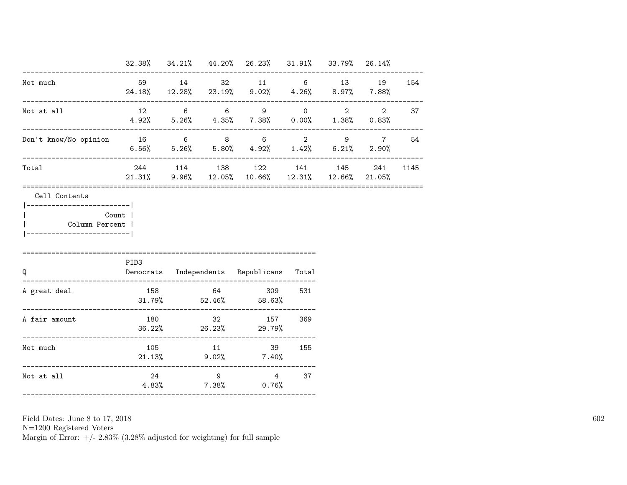|                                             |      |       | 32.38% 34.21% 44.20% 26.23% 31.91% 33.79% 26.14%                                                     |  |     |      |
|---------------------------------------------|------|-------|------------------------------------------------------------------------------------------------------|--|-----|------|
| Not much                                    |      | 59 14 | 32 11 6 13 19 154<br>$24.18\%$ $12.28\%$ $23.19\%$ $9.02\%$ $4.26\%$ $8.97\%$ $7.88\%$               |  |     |      |
| Not at all                                  |      |       | $12 \qquad 6 \qquad 6 \qquad 9 \qquad 0 \qquad 2$<br>$4.92\%$ 5.26% $4.35\%$ 7.38% 0.00% 1.38% 0.83% |  |     | 2 37 |
| Don't know/No opinion 16 6 8 6 2 9 7 54     |      |       | $6.56\%$ $5.26\%$ $5.80\%$ $4.92\%$ $1.42\%$ $6.21\%$ $2.90\%$                                       |  |     |      |
| Total                                       |      |       | 244 114 138 122 141 145<br>$21.31\%$ 9.96% 12.05% 10.66% 12.31% 12.66% 21.05%                        |  | 241 | 1145 |
| Column Percent  <br>----------------------- | PID3 |       |                                                                                                      |  |     |      |
| Q                                           |      |       | Democrats Independents Republicans Total                                                             |  |     |      |
|                                             |      |       |                                                                                                      |  |     |      |
|                                             |      |       | 158 64 309 531<br>$31.79\%$ $52.46\%$ $58.63\%$                                                      |  |     |      |
| A great deal<br>A fair amount               |      |       | 180 32 157 369<br>$36.22\%$ 26.23% 29.79%                                                            |  |     |      |
| Not much                                    |      |       | 105 11 39 155<br>$21.13\%$ 9.02% 7.40%                                                               |  |     |      |

N=1200 Registered Voters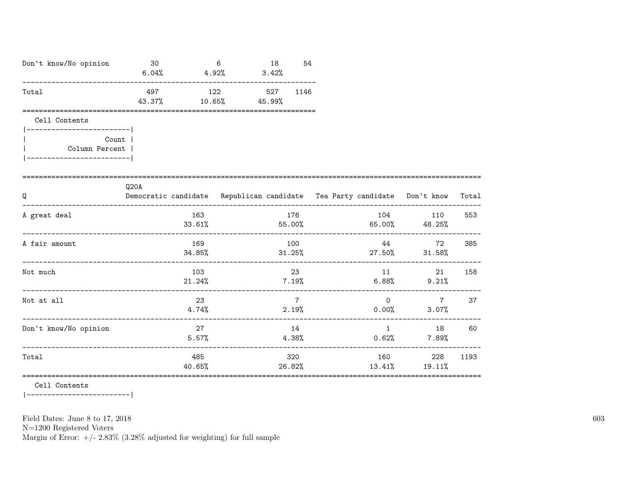| Don't know/No opinion                                                                                  | 30<br>$6.04%$ $4.92%$                                                            |               | 6            | 18<br>$3.42\%$ | 54              |                 |       |                                                                     |       |
|--------------------------------------------------------------------------------------------------------|----------------------------------------------------------------------------------|---------------|--------------|----------------|-----------------|-----------------|-------|---------------------------------------------------------------------|-------|
| Total                                                                                                  | 497<br>43.37%                                                                    | 10.65%        | 122 527 1146 | 45.99%         |                 |                 |       |                                                                     |       |
| Cell Contents<br>------------------------ <br>Count  <br>Column Percent  <br>_________________________ |                                                                                  |               |              |                |                 |                 |       |                                                                     |       |
| Q                                                                                                      | Q20A<br>Democratic candidate Republican candidate Tea Party candidate Don't know |               |              |                |                 |                 |       |                                                                     | Total |
| A great deal                                                                                           |                                                                                  | 163<br>33.61% |              |                | 176             |                 | 104   | 110<br>$55.00\%$ 65.00% 48.25%                                      | 553   |
| A fair amount                                                                                          |                                                                                  | 169           |              |                | 100             |                 | 44 22 | 72<br>$34.85\%$ $31.25\%$ $27.50\%$ $31.58\%$                       | 385   |
| Not much                                                                                               |                                                                                  | 103           |              |                | 23              | $21.24\%$ 7.19% | 11    | 21<br>$6.88\%$ 9.21%                                                | 158   |
| Not at all                                                                                             |                                                                                  | 23<br>4.74%   |              |                | $7\overline{7}$ | 2.19%           |       | $\begin{array}{ccc} & & 0 & & \hline \end{array}$<br>$0.00\%$ 3.07% | 37    |
| Don't know/No opinion                                                                                  |                                                                                  | 27<br>5.57%   |              |                | 14              | 4.38%           |       | 1 18 60<br>$0.62%$ 7.89%                                            |       |
| Total                                                                                                  |                                                                                  | 485<br>40.65% |              |                | 320             |                 |       | 160 000<br>228<br>26.82% 13.41% 19.11%                              | 1193  |

Cell Contents

 $|----------$ 

Field Dates: June 8 to 17, 2018

 ${\rm N}{=}1200$  Registered Voters

Margin of Error:  $+/- 2.83\%$  (3.28% adjusted for weighting) for full sample

603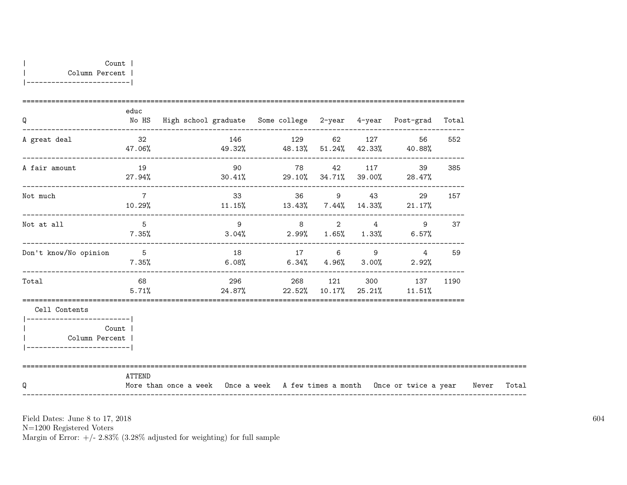| Q                                                                                    | educ            | No HS High school graduate Some college 2-year 4-year Post-grad Total                  |    |                                                     |           |                                                                   |           |  |
|--------------------------------------------------------------------------------------|-----------------|----------------------------------------------------------------------------------------|----|-----------------------------------------------------|-----------|-------------------------------------------------------------------|-----------|--|
| A great deal                                                                         | 32              | $47.06\%$ $49.32\%$ $48.13\%$ $51.24\%$ $42.33\%$ $40.88\%$                            |    | 146 129 62 127                                      |           | 56                                                                | 552       |  |
| A fair amount                                                                        | 19              | $27.94\%$ $30.41\%$ $29.10\%$ $34.71\%$ $39.00\%$ $28.47\%$                            | 90 |                                                     | 78 42 117 |                                                                   | 39<br>385 |  |
| Not much                                                                             | $7\overline{ }$ | $10.29\%$ 11.15% 13.43% 7.44% 14.33% 21.17%                                            |    |                                                     |           | 33 36 9 43 29                                                     | 157       |  |
| Not at all                                                                           | $5^{\circ}$     | $7.35\%$ $3.04\%$ $2.99\%$ $1.65\%$ $1.33\%$ $6.57\%$                                  |    | $9 \qquad \qquad 8 \qquad \qquad 2 \qquad \qquad 4$ |           | 9                                                                 | 37        |  |
| Don't know/No opinion                                                                | 5 <sub>5</sub>  | $7.35\%$ 6.08% 6.34% 4.96% 3.00% 2.92%                                                 |    | 18 17 6 9                                           |           | $4^{\circ}$                                                       | 59        |  |
| Total                                                                                | 68 68<br>5.71%  |                                                                                        |    |                                                     |           | 296 268 121 300 137 1190<br>$24.87\%$ 22.52% 10.17% 25.21% 11.51% |           |  |
| Cell Contents                                                                        |                 |                                                                                        |    |                                                     |           |                                                                   |           |  |
| __________________________<br>Count<br>Column Percent  <br>------------------------- |                 |                                                                                        |    |                                                     |           |                                                                   |           |  |
| Q                                                                                    | ATTEND          | More than once a week Once a week A few times a month Once or twice a year Never Total |    |                                                     |           |                                                                   |           |  |

N=1200 Registered Voters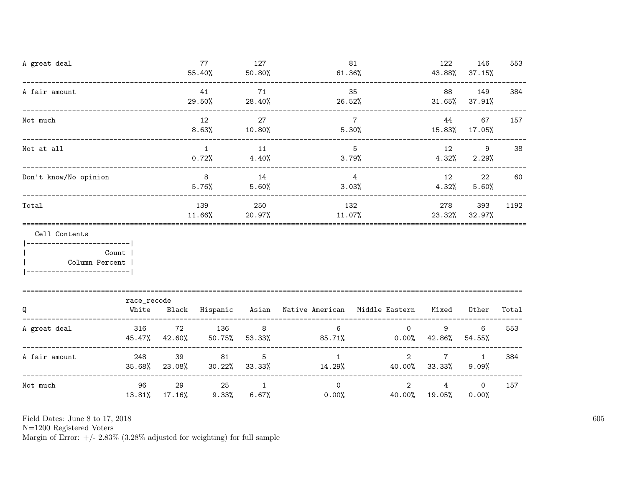| A great deal                                                    | _______________________                         |                     | 77<br>55.40%            | 127<br>50.80%            |                                                           | 81<br>$61.36\%$         |                                  | 146<br>43.88% 37.15%       | 553   |
|-----------------------------------------------------------------|-------------------------------------------------|---------------------|-------------------------|--------------------------|-----------------------------------------------------------|-------------------------|----------------------------------|----------------------------|-------|
| A fair amount                                                   |                                                 |                     | 41<br>29.50%            | 71<br>28.40%             | 26.52%                                                    | 35                      | 88                               | 149<br>$31.65\%$ $37.91\%$ | 384   |
| Not much                                                        |                                                 |                     | 12<br>8.63%             | 27<br>10.80%             |                                                           | $\overline{7}$<br>5.30% | - 44<br>15.83% 17.05%            | 67                         | 157   |
| Not at all                                                      |                                                 |                     | $\overline{1}$<br>0.72% | 11<br>4.40%              |                                                           | 5 <sup>5</sup><br>3.79% | 12 12<br>4.32%                   | 9<br>2.29%                 | 38    |
| Don't know/No opinion                                           |                                                 |                     | 8 <sup>8</sup><br>5.76% | 14<br>5.60%              |                                                           | $\overline{4}$<br>3.03% | 12<br>4.32%                      | 22<br>5.60%                | 60    |
| Total                                                           | 132<br>139<br>250<br>20.97%<br>11.66%<br>11.07% |                     |                         |                          | 278                                                       | 393<br>23.32% 32.97%    | 1192                             |                            |       |
| Cell Contents<br>  Column Percent<br>-------------------------- | Count                                           |                     |                         |                          |                                                           |                         |                                  |                            |       |
| Q                                                               | race_recode<br>White                            |                     |                         |                          | Black Hispanic Asian Native-American Middle-Eastern Mixed |                         |                                  | Other                      | Total |
| A great deal                                                    | 316<br>45.47%                                   | 72<br>42.60%        | 136<br>$50.75\%$        | 8<br>53.33%              | 6<br>$85.71\%$ 0.00% 42.86%                               | $\circ$                 | 9                                | 6<br>54.55%                | 553   |
| A fair amount                                                   | 248                                             | 39<br>35.68% 23.08% | 81                      | 5<br>$30.22\%$ $33.33\%$ | $\mathbf{1}$<br>14.29%                                    | $\overline{2}$          | $7\overline{ }$<br>40.00% 33.33% | $\mathbf{1}$<br>9.09%      | 384   |
| Not much                                                        | 96<br>13.81%                                    | 29<br>$17.16\%$     | 25<br>9.33%             | $\overline{1}$           | $\Omega$<br>6.67%<br>$0.00\%$                             | $\overline{2}$          | 4<br>40.00% 19.05%               | $\circ$<br>0.00%           | 157   |

N=1200 Registered Voters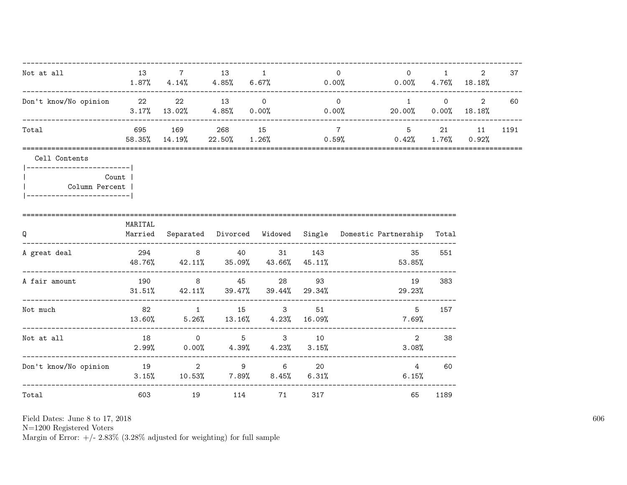| Not at all                                                                                                       |         | 13 7                     | 13 1      |                                                                     |     | $\overline{0}$  | $\overline{0}$<br>$1.87\%$ $4.14\%$ $4.85\%$ $6.67\%$ $0.00\%$ $0.00\%$ $4.76\%$ $18.18\%$   | $1 \quad \cdots$                                   | $\mathbf{2}^{\circ}$ | 37   |
|------------------------------------------------------------------------------------------------------------------|---------|--------------------------|-----------|---------------------------------------------------------------------|-----|-----------------|----------------------------------------------------------------------------------------------|----------------------------------------------------|----------------------|------|
| Don't know/No opinion 22 22 13 0                                                                                 |         |                          |           |                                                                     |     | $\overline{0}$  | $\overline{1}$<br>$3.17\%$ $13.02\%$ $4.85\%$ $0.00\%$ $0.00\%$ $20.00\%$ $0.00\%$ $18.18\%$ | $\begin{array}{ccc} & & 0 & \quad & 2 \end{array}$ |                      | 60   |
| Total                                                                                                            |         | 695 169<br>58.35% 14.19% |           | 268 15                                                              |     | $7\overline{7}$ | $5 \qquad \qquad 21$<br>$22.50\%$ $1.26\%$ $0.59\%$ $0.42\%$ $1.76\%$ $0.92\%$               |                                                    | 11                   | 1191 |
| Cell Contents<br> ------------------------- <br><b>Count</b>  <br>Column Percent  <br> ------------------------- |         |                          |           |                                                                     |     |                 |                                                                                              |                                                    |                      |      |
| Q                                                                                                                | MARITAL |                          |           |                                                                     |     |                 | Married Separated Divorced Widowed Single Domestic-Partnership Total                         |                                                    |                      |      |
| A great deal                                                                                                     |         |                          |           | 294 8 40 31 143                                                     |     |                 | 35<br>48.76% 42.11% 35.09% 43.66% 45.11% 53.85%                                              | 551                                                |                      |      |
| A fair amount                                                                                                    |         |                          |           | 190 8 45 28 93<br>$31.51\%$ $42.11\%$ $39.47\%$ $39.44\%$ $29.34\%$ |     |                 | 19<br>29.23%                                                                                 | 383                                                |                      |      |
| Not much                                                                                                         | 82      |                          |           | 1 15 3<br>13.60% 5.26% 13.16% 4.23% 16.09%                          | 51  |                 | 5<br>7.69%                                                                                   | 157                                                |                      |      |
| Not at all                                                                                                       | 18      |                          |           | 0 5 3 10<br>$2.99\%$ 0.00% 4.39% 4.23% 3.15%                        |     |                 | 2<br>$3.08\%$                                                                                | 38                                                 |                      |      |
| Don't know/No opinion 19 19 2 9 6 20                                                                             |         |                          |           | $3.15\%$ 10.53% 7.89% 8.45% 6.31%                                   |     |                 | 4<br>6.15%                                                                                   | 60                                                 |                      |      |
| Total                                                                                                            | 603     |                          | 19<br>114 | 71                                                                  | 317 |                 | 65                                                                                           | 1189                                               |                      |      |

Field Dates: June 8 to 17,  $2018\,$ 

N=1200 Registered Voters<br>Margin of Error:  $+/- 2.83\%$  (3.28% adjusted for weighting) for full sample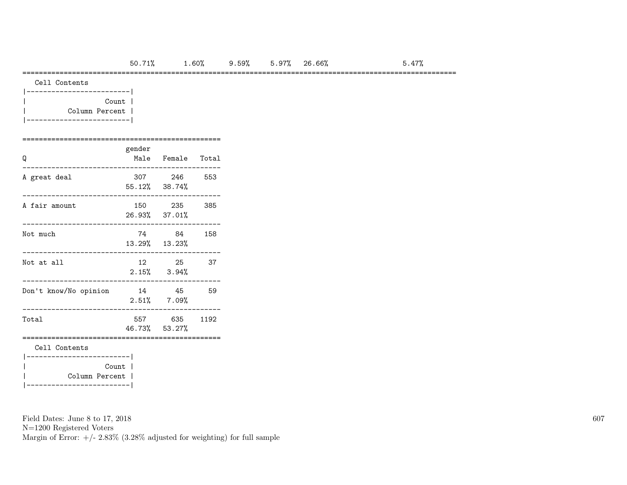#### =========================================================================================================

| Count          |  |
|----------------|--|
| Column Percent |  |
|                |  |

#### ================================================ gender Q Male Female Total

| A great deal                                           | 307 246<br>55.12% 38.74%   | 553  |
|--------------------------------------------------------|----------------------------|------|
| A fair amount                                          | 150 235<br>26.93% 37.01%   | 385  |
| Not much                                               | 74 84<br>13.29% 13.23%     | 158  |
| Not at all                                             | 12 25<br>$2.15\%$ $3.94\%$ | 37   |
| Don't know/No opinion                                  | 14 45<br>$2.51\%$ $7.09\%$ | 59   |
| Total                                                  | 557 635<br>46.73% 53.27%   | 1192 |
| Cell Contents                                          |                            |      |
| ------------------------ <br>Count  <br>Column Percent |                            |      |

Field Dates: June 8 to 17, 2018

N=1200 Registered Voters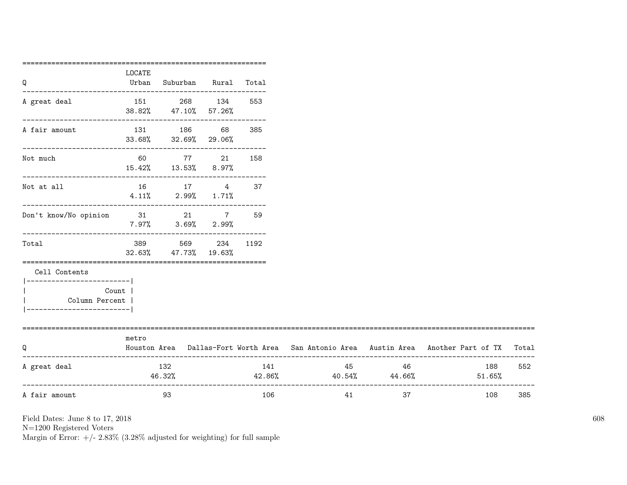| Q                                | LOCATE<br>Urban | Suburban Rural Total                                   |              |     |                               |      |                                                                                           |     |
|----------------------------------|-----------------|--------------------------------------------------------|--------------|-----|-------------------------------|------|-------------------------------------------------------------------------------------------|-----|
|                                  |                 |                                                        |              |     |                               |      |                                                                                           |     |
| A great deal                     |                 | 151 268 134                                            |              | 553 |                               |      |                                                                                           |     |
|                                  |                 | 38.82% 47.10% 57.26%                                   |              |     |                               |      |                                                                                           |     |
| A fair amount                    |                 | 131 186 68                                             |              | 385 |                               |      |                                                                                           |     |
|                                  |                 | 33.68% 32.69% 29.06%<br>------------------------------ |              |     |                               |      |                                                                                           |     |
| Not much                         |                 | 60 77 21 158                                           |              |     |                               |      |                                                                                           |     |
|                                  |                 | 15.42% 13.53% 8.97%                                    |              |     |                               |      |                                                                                           |     |
| Not at all                       |                 | 16 17 4 37                                             |              |     |                               |      |                                                                                           |     |
|                                  |                 | $4.11\%$ 2.99% 1.71%                                   |              |     |                               |      |                                                                                           |     |
| Don't know/No opinion 31 21 7 59 |                 |                                                        |              |     |                               |      |                                                                                           |     |
|                                  |                 | $7.97\%$ $3.69\%$ $2.99\%$                             |              |     |                               |      |                                                                                           |     |
| Total                            | 389             |                                                        | 569 234 1192 |     |                               |      |                                                                                           |     |
|                                  |                 | 32.63% 47.73% 19.63%                                   |              |     |                               |      |                                                                                           |     |
| Cell Contents                    |                 |                                                        |              |     |                               |      |                                                                                           |     |
| __________________________       |                 |                                                        |              |     |                               |      |                                                                                           |     |
| Count  <br>Column Percent        |                 |                                                        |              |     |                               |      |                                                                                           |     |
| -----------------------          |                 |                                                        |              |     |                               |      |                                                                                           |     |
| ============================     |                 |                                                        |              |     |                               |      |                                                                                           |     |
| Q                                | metro           |                                                        |              |     |                               |      | Houston Area Dallas-Fort Worth Area San Antonio Area Austin Area Another Part of TX Total |     |
|                                  |                 |                                                        |              |     |                               |      |                                                                                           |     |
| A great deal                     |                 | 132                                                    |              | 141 |                               | 46 — | 188                                                                                       | 552 |
|                                  |                 | 46.32%                                                 |              |     | $42.86\%$ $40.54\%$ $44.66\%$ |      | $51.65\%$                                                                                 |     |
| A fair amount                    |                 | 93                                                     |              | 106 | 41                            | 37   | 108                                                                                       | 385 |
|                                  |                 |                                                        |              |     |                               |      |                                                                                           |     |

N=1200 Registered Voters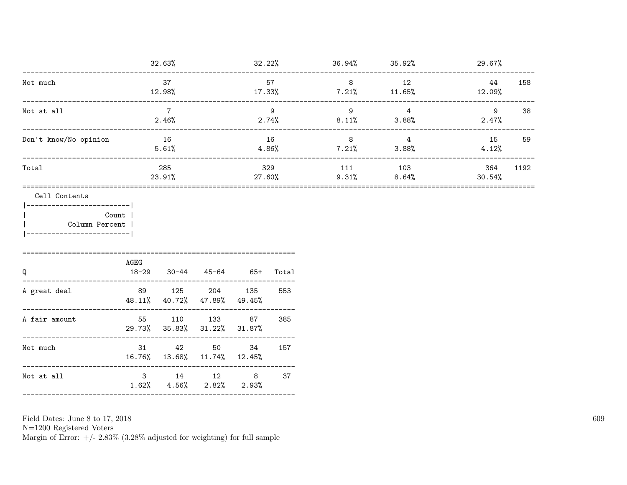|                                                                                                      |                                                 | 32.63%                                           |                       |           |               |                      | $32.22\%$ 36.94% 35.92% | 29.67%        |      |
|------------------------------------------------------------------------------------------------------|-------------------------------------------------|--------------------------------------------------|-----------------------|-----------|---------------|----------------------|-------------------------|---------------|------|
| Not much                                                                                             |                                                 | 37<br>12.98%                                     | 57<br>17.33%          |           |               | 8<br>$7.21\%$ 11.65% | 12                      | 44<br>12.09%  | 158  |
| Not at all                                                                                           | _______________________                         | $\overline{7}$<br>2.46%                          | 9<br>2.74%            |           |               | 9<br>8.11%           | $\overline{4}$<br>3.88% | 9<br>$2.47\%$ | 38   |
| Don't know/No opinion                                                                                |                                                 | 16<br>5.61%                                      |                       | 4.86%     | - 16          | 8<br>$7.21\%$ 3.88%  | 4                       | 15<br>4.12%   | 59   |
| Total                                                                                                |                                                 | 285<br>23.91%                                    |                       |           | 329<br>27.60% | 9.31%                | 111 103<br>8.64%        | 364<br>30.54% | 1192 |
| Cell Contents<br> ------------------------ <br>Count  <br>Column Percent<br>------------------------ |                                                 |                                                  |                       |           |               |                      |                         |               |      |
| Q                                                                                                    | AGEG<br>$18 - 29$                               |                                                  | $30-44$ $45-64$ $65+$ |           | Total         |                      |                         |               |      |
| ----------<br>A great deal                                                                           | 48.11% 40.72% 47.89%<br>.______________________ | 89 125 204 135                                   |                       | 49.45%    | 553           |                      |                         |               |      |
| A fair amount                                                                                        | 29.73% 35.83% 31.22%                            | 55 110 133 87                                    |                       | $31.87\%$ | 385           |                      |                         |               |      |
| Not much                                                                                             |                                                 | 31 42 50 34 157<br>16.76% 13.68% 11.74% 12.45%   |                       |           |               |                      |                         |               |      |
| Not at all                                                                                           |                                                 | 3 14 12 8<br>$1.62\%$ $4.56\%$ $2.82\%$ $2.93\%$ |                       |           | 37            |                      |                         |               |      |
|                                                                                                      |                                                 |                                                  |                       |           |               |                      |                         |               |      |

Field Dates: June 8 to 17,  $2018\,$ 

N=1200 Registered Voters<br>Margin of Error:  $+/- 2.83\%$  (3.28% adjusted for weighting) for full sample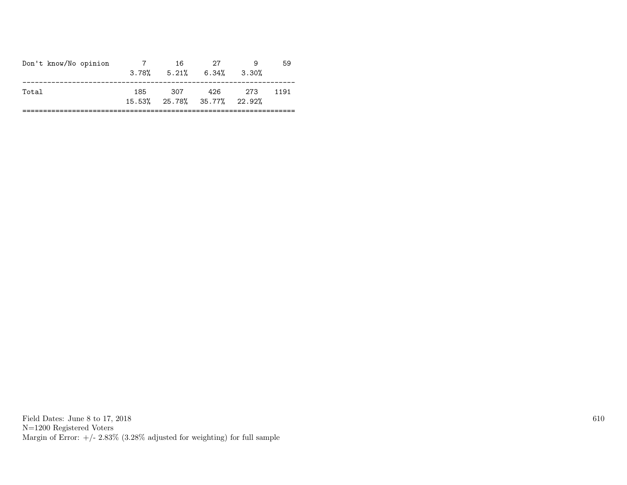| Don't know/No opinion |     |     | $3.78\%$ $5.21\%$ $6.34\%$ $3.30\%$ |       |      |
|-----------------------|-----|-----|-------------------------------------|-------|------|
| Total                 | 185 | 307 | 426<br>15.53% 25.78% 35.77% 22.92%  | - 273 | 1191 |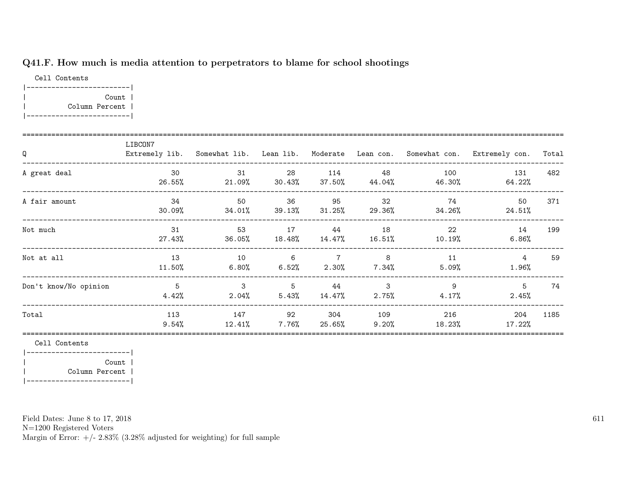### Q41.F. How much is media attention to perpetrators to blame for school shootings

Cell Contents |-------------------------| | Count | | Column Percent | |-------------------------|

| Q                     | LIBCON7         | Extremely lib. Somewhat lib. Lean lib. Moderate Lean con. Somewhat con. |                         |                           |                 |                | Extremely con.              | Total |
|-----------------------|-----------------|-------------------------------------------------------------------------|-------------------------|---------------------------|-----------------|----------------|-----------------------------|-------|
| A great deal          | 30<br>26.55%    | 31<br>21.09%                                                            | 28<br>$30.43\%$         | 114<br>37.50%             | 48<br>44.04%    | 100<br>46.30%  | 131<br>64.22%               | 482   |
| A fair amount         | 34<br>30.09%    | 50<br>34.01%                                                            | 36                      | 95<br>$39.13\%$ $31.25\%$ | 32<br>29.36%    | 74<br>34.26%   | 50<br>24.51%                | 371   |
| Not much              | 31<br>27.43%    | 53<br>36.05%                                                            | 17<br>$18.48\%$         | 44<br>14.47%              | 18<br>$16.51\%$ | - 22<br>10.19% | 14<br>$6.86\%$              | 199   |
| Not at all            | 13<br>11.50%    | 10<br>$6.80\%$                                                          | $\overline{6}$<br>6.52% | 7 8<br>2.30%              | 7.34%           | 11<br>5.09%    | $4\overline{ }$<br>$1.96\%$ | 59    |
| Don't know/No opinion | 5<br>4.42%      | $\mathbf{3}$<br>$2.04\%$                                                | 5<br>$5.43\%$           | 44<br>$14.47\%$           | 3<br>$2.75\%$   | 9<br>4.17%     | 5<br>$2.45\%$               | 74    |
| Total                 | 113<br>$9.54\%$ | 147<br>12.41%                                                           | 92<br>$7.76\%$          | 304<br>25.65%             | 109<br>$9.20\%$ | 216<br>18.23%  | 204<br>17.22%               | 1185  |

Cell Contents

|-------------------------| | Count | | Column Percent | |-------------------------|

Field Dates: June 8 to 17, 2018

N=1200 Registered Voters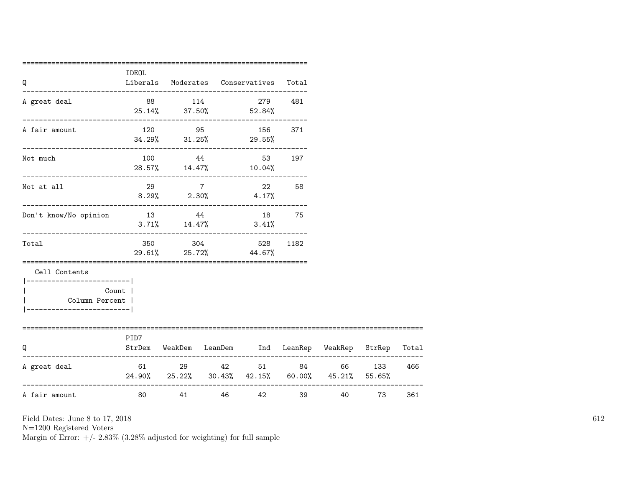| Q                                                                                      | IDEOL                    |          | Liberals Moderates Conservatives Total              |        |        |        |       |
|----------------------------------------------------------------------------------------|--------------------------|----------|-----------------------------------------------------|--------|--------|--------|-------|
| A great deal                                                                           |                          | 88 114   | 279 481<br>$25.14\%$ $37.50\%$ $52.84\%$            |        |        |        |       |
| A fair amount                                                                          | ________________________ |          | 120 95 156 371<br>$34.29\%$ $31.25\%$ 29.55%        |        |        |        |       |
| Not much                                                                               |                          | 100 44   | 28.57% 14.47% 10.04%                                | 53 197 |        |        |       |
| Not at all                                                                             |                          | 29 7     | 22 58<br>$8.29\%$ 2.30% 4.17%                       |        |        |        |       |
| Don't know/No opinion                                                                  | 13 44                    |          | $3.71\%$ $14.47\%$ $3.41\%$                         | 18 75  |        |        |       |
| Total                                                                                  |                          |          | 350 304 528<br>29.61% 25.72% 44.67%                 | 1182   |        |        |       |
| Cell Contents<br>_______________________<br>Column Percent  <br>---------------------- | Count                    |          |                                                     |        |        |        |       |
| O                                                                                      | PID7                     |          | StrDem WeakDem LeanDem Ind LeanRep WeakRep StrRep   |        |        |        | Total |
| A great deal                                                                           |                          | 61 29 42 | $24.90\%$ 25.22% 30.43% 42.15% 60.00% 45.21% 55.65% | 51 84  |        | 66 133 | 466   |
| A fair amount                                                                          | 80 11                    |          | 41 46 42                                            |        | 40 000 | 73     | 361   |

N=1200 Registered Voters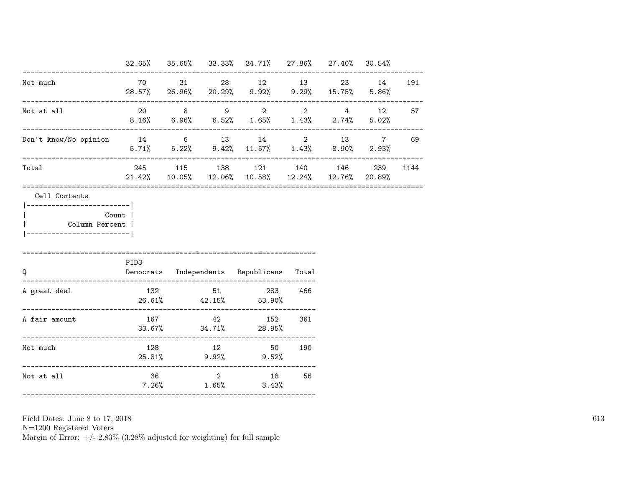|                                                         |      |  | $32.65\%$ $35.65\%$ $33.33\%$ $34.71\%$ $27.86\%$ $27.40\%$ $30.54\%$                                     |     |           |    |
|---------------------------------------------------------|------|--|-----------------------------------------------------------------------------------------------------------|-----|-----------|----|
| Not much                                                |      |  | 70 31 28 12 13<br>28.57% 26.96% 20.29% 9.92% 9.29% 15.75% 5.86%                                           |     | 23 14 191 |    |
| Not at all                                              |      |  | 20 8 9 2 2 4 12 57<br>$8.16\%$ 6.96% 6.52% 1.65% 1.43% 2.74% 5.02%                                        |     |           |    |
| Don't know/No opinion 14 6 13 14 2 13 7                 |      |  | $5.71\%$ $5.22\%$ $9.42\%$ $11.57\%$ $1.43\%$ $8.90\%$ $2.93\%$                                           |     |           | 69 |
| Total                                                   |      |  | 245 115 138 121 140 146 239 1144<br>$21.42\%$ $10.05\%$ $12.06\%$ $10.58\%$ $12.24\%$ $12.76\%$ $20.89\%$ |     |           |    |
| Count  <br>Column Percent  <br>________________________ | PID3 |  |                                                                                                           |     |           |    |
| Q                                                       |      |  | Democrats Independents Republicans Total                                                                  |     |           |    |
| A great deal                                            |      |  | 132 51 283 466<br>$26.61\%$ $42.15\%$ 53.90%                                                              |     |           |    |
|                                                         |      |  |                                                                                                           |     |           |    |
| A fair amount                                           |      |  | 167 42 152<br>$33.67\%$ $34.71\%$ 28.95%                                                                  | 361 |           |    |
| Not much                                                |      |  | 128 12 50 190<br>25.81% 9.92% 9.52%                                                                       |     |           |    |

N=1200 Registered Voters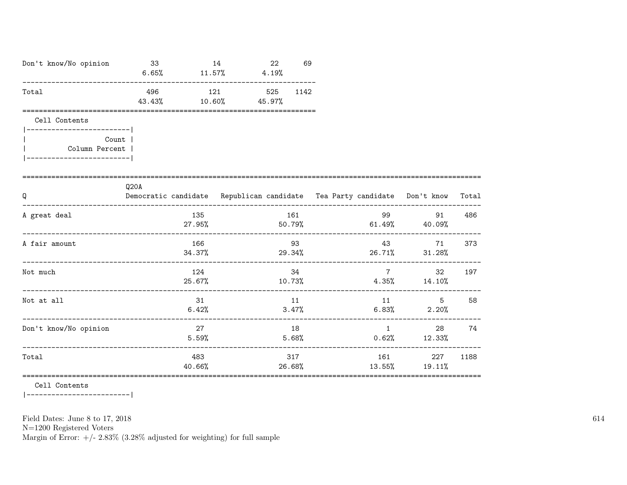| Don't know/No opinion                                                                                | 33<br>$6.65\%$ $11.57\%$ $4.19\%$ |                  | 14           | 22 | 69             |       |               |                                                                                                                                                                                                                                                                  |       |
|------------------------------------------------------------------------------------------------------|-----------------------------------|------------------|--------------|----|----------------|-------|---------------|------------------------------------------------------------------------------------------------------------------------------------------------------------------------------------------------------------------------------------------------------------------|-------|
| Total                                                                                                | 496<br>43.43%                     | $10.60\%$ 45.97% | 121 525 1142 |    |                |       |               |                                                                                                                                                                                                                                                                  |       |
| Cell Contents<br>_________________________<br>Count  <br>Column Percent  <br>----------------------- |                                   |                  |              |    |                |       |               |                                                                                                                                                                                                                                                                  |       |
| Q                                                                                                    | Q20A                              |                  |              |    |                |       |               | Democratic candidate Republican candidate Tea Party candidate Don't know                                                                                                                                                                                         | Total |
| A great deal                                                                                         |                                   | 135<br>$27.95\%$ |              |    | 161            |       |               | 99 — 100 — 100 — 100 — 100 — 100 — 100 — 100 — 100 — 100 — 100 — 100 — 100 — 100 — 100 — 100 — 100 — 100 — 100 — 100 — 100 — 100 — 100 — 100 — 100 — 100 — 100 — 100 — 100 — 100 — 100 — 100 — 100 — 100 — 100 — 100 — 100 — 10<br>91<br>$50.79\%$ 61.49% 40.09% | 486   |
| A fair amount                                                                                        |                                   | 166<br>34.37%    |              |    | 93             |       | 43 and $\sim$ | 71<br>$29.34\%$ 26.71% 31.28%                                                                                                                                                                                                                                    | 373   |
| Not much                                                                                             |                                   | 124              |              |    | 34             |       |               | $7 \overline{}$<br>32<br>$25.67\%$ 10.73% $4.35\%$ 14.10%                                                                                                                                                                                                        | 197   |
| Not at all                                                                                           |                                   | 31<br>6.42%      |              |    | 11             | 3.47% | 11            | $5 - 5$<br>$6.83\%$ 2.20%                                                                                                                                                                                                                                        | 58    |
| Don't know/No opinion                                                                                |                                   | 27<br>5.59%      |              |    | 18<br>$5.68\%$ |       |               | 28 — 10<br>$1 \quad \cdots$<br>$0.62%$ 12.33%                                                                                                                                                                                                                    | 74    |
| Total                                                                                                |                                   | 483<br>40.66%    |              |    | 317<br>26.68%  |       | 13.55%        | 161 227<br>19.11%                                                                                                                                                                                                                                                | 1188  |

Cell Contents

|------------------------|

Field Dates: June 8 to 17, 2018

 ${\rm N}{=}1200$  Registered Voters

Margin of Error:  $+/- 2.83\%$  (3.28% adjusted for weighting) for full sample

614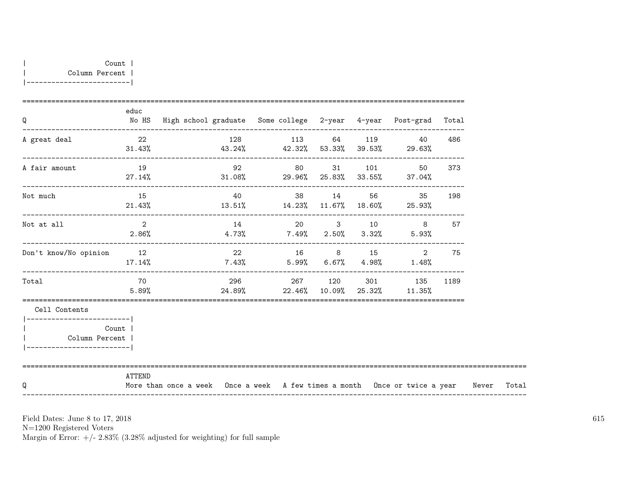| Q                                                        | educ                       | No HS High school graduate Some college 2-year 4-year Post-grad Total<br>-------------------------- |    |                                       |  |                          |     |       |
|----------------------------------------------------------|----------------------------|-----------------------------------------------------------------------------------------------------|----|---------------------------------------|--|--------------------------|-----|-------|
| A great deal                                             | 22<br>31.43%               | $43.24\%$ $42.32\%$ $53.33\%$ $39.53\%$ $29.63\%$                                                   |    | 128 113 64 119 40                     |  |                          | 486 |       |
| A fair amount                                            | 19<br>27.14%               |                                                                                                     |    | $31.08\%$ 29.96% 25.83% 33.55% 37.04% |  | 92 80 31 101 50 373      |     |       |
| Not much                                                 | 15<br>21.43%               | $13.51\%$ $14.23\%$ $11.67\%$ $18.60\%$ $25.93\%$                                                   | 40 |                                       |  | 38 14 56 35 198          |     |       |
| Not at all                                               | $\overline{2}$<br>$2.86\%$ | $4.73\%$ $7.49\%$ $2.50\%$ $3.32\%$ $5.93\%$                                                        |    |                                       |  | 14 20 3 10 8             | 57  |       |
| Don't know/No opinion                                    | 12<br>17.14%               | $7.43\%$ 5.99% 6.67% 4.98% 1.48%                                                                    | 22 |                                       |  | 16 8 15 2                | 75  |       |
| Total                                                    | 70<br>5.89%                | $24.89\%$ 22.46% 10.09% 25.32% 11.35%                                                               |    |                                       |  | 296 267 120 301 135 1189 |     |       |
| Cell Contents<br>--------------------------              |                            |                                                                                                     |    |                                       |  |                          |     |       |
| Count<br>Column Percent  <br>___________________________ |                            |                                                                                                     |    |                                       |  |                          |     |       |
| O                                                        | ATTEND                     | More than once a week Once a week A few times a month Once or twice a year Never                    |    |                                       |  |                          |     | Total |

N=1200 Registered Voters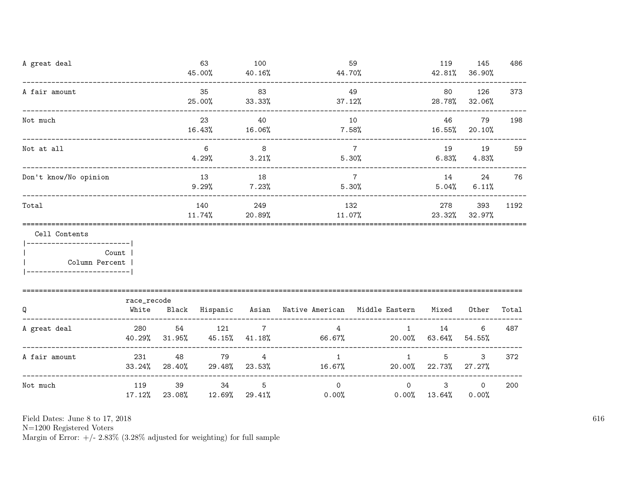| A great deal                                                    |                                       |                 | 63<br>45.00%                  | 100<br>40.16%             | 44.70%                                                    | 59                       | 119                             | 145<br>42.81% 36.90%        | 486   |
|-----------------------------------------------------------------|---------------------------------------|-----------------|-------------------------------|---------------------------|-----------------------------------------------------------|--------------------------|---------------------------------|-----------------------------|-------|
| A fair amount                                                   |                                       |                 | 35<br>25.00%                  | 83<br>33.33%              | 37.12%                                                    | 49                       | 80                              | 126<br>28.78% 32.06%        | 373   |
| Not much                                                        | .____________________________________ |                 | 23<br>16.43%                  | 40<br>16.06%              |                                                           | 10<br>$7.58\%$           | 46<br>$16.55\%$ 20.10%          | 79                          | 198   |
| Not at all                                                      |                                       |                 | 6<br>4.29%                    | 8 <sup>8</sup><br>3.21%   |                                                           | $7\overline{7}$<br>5.30% | 19                              | 19<br>$6.83\%$ $4.83\%$     | 59    |
| Don't know/No opinion                                           |                                       |                 | 13<br>$9.29\%$                | 18<br>7.23%               | $\overline{7}$                                            | 5.30%                    | 14                              | 24<br>$5.04\%$ 6.11%        | 76    |
| Total                                                           |                                       |                 | 140<br>$11.74\%$              | 249<br>20.89%             |                                                           | 132<br>11.07%            |                                 | 278<br>393<br>23.32% 32.97% | 1192  |
| Cell Contents<br>------------------------- <br>  Column Percent | Count                                 |                 |                               |                           |                                                           |                          |                                 |                             |       |
| Q                                                               | race_recode<br>White                  |                 |                               |                           | Black Hispanic Asian Native-American Middle-Eastern Mixed |                          |                                 | Other                       | Total |
| A great deal                                                    | 280<br>40.29%                         | 54<br>$31.95\%$ | 121<br>45.15%                 | $7\overline{ }$<br>41.18% | $\overline{4}$<br>66.67%                                  | $1 \quad$                | 14<br>20.00% 63.64%             | 6<br>54.55%                 | 487   |
| A fair amount                                                   | 231                                   | 48              | 79<br>$33.24\%$ 28.40% 29.48% | $4\overline{ }$<br>23.53% | 1<br>16.67%                                               | $\mathbf{1}$             | 5<br>$20.00\%$ 22.73%           | 3<br>$27.27\%$              | 372   |
| Not much                                                        | 119<br>17.12%                         | 39              | 34<br>23.08% 12.69%           | 5<br>29.41%               | $\Omega$<br>0.00%                                         | $\circ$                  | $\mathbf{3}$<br>$0.00\%$ 13.64% | $\circ$<br>0.00%            | 200   |

N=1200 Registered Voters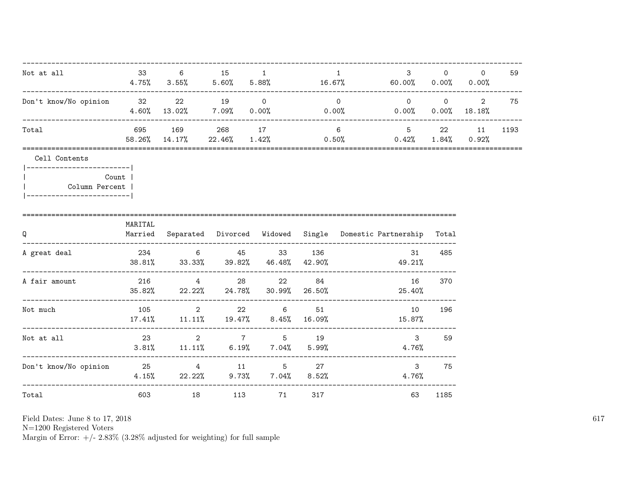| Not at all                                                                                      | 33      | 6                                 | 15 1    |                                                                 |     | $\mathbf{1}$ | 3 <sup>1</sup><br>$4.75\%$ $3.55\%$ $5.60\%$ $5.88\%$ $16.67\%$ $60.00\%$ $0.00\%$ $0.00\%$ $0.00\%$ | $\Omega$   | $\Omega$        | 59   |
|-------------------------------------------------------------------------------------------------|---------|-----------------------------------|---------|-----------------------------------------------------------------|-----|--------------|------------------------------------------------------------------------------------------------------|------------|-----------------|------|
| Don't know/No opinion 32                                                                        |         | $4.60\%$ $13.02\%$ $7.09\%$ 0.00% | 22 19 0 |                                                                 |     | $\circ$      | $\overline{0}$<br>$0.00\%$ 0.00%                                                                     | $\sim$ 0 2 | $0.00\%$ 18.18% | 75   |
| Total                                                                                           |         | 695 169<br>58.26% 14.17%          |         | 268 17                                                          |     | 6            | $5 \t 22$<br>$22.46\%$ $1.42\%$ $0.50\%$ $0.42\%$ $1.84\%$ $0.92\%$                                  |            | 11              | 1193 |
| Cell Contents<br> ------------------------- <br>Column Percent  <br>--------------------------- | Count   |                                   |         |                                                                 |     |              |                                                                                                      |            |                 |      |
| Q                                                                                               | MARITAL |                                   |         |                                                                 |     |              | Married Separated Divorced Widowed Single Domestic-Partnership Total                                 |            |                 |      |
| A great deal                                                                                    |         |                                   |         | 234 6 45 33 136                                                 |     |              | 31<br>$38.81\%$ $33.33\%$ $39.82\%$ $46.48\%$ $42.90\%$ $49.21\%$                                    | 485        |                 |      |
| A fair amount                                                                                   |         |                                   |         | 216 4 28 22 84<br>$35.82\%$ 22.22% 24.78% 30.99% 26.50%         |     |              | 16<br>25.40%                                                                                         | 370        |                 |      |
| Not much                                                                                        |         | $105$ 2                           |         | $22 \t\t 6$<br>$17.41\%$ $11.11\%$ $19.47\%$ $8.45\%$ $16.09\%$ | 51  |              | 10<br>15.87%                                                                                         | 196        |                 |      |
| Not at all                                                                                      | 23      |                                   |         | 2 7 5 19<br>$3.81\%$ $11.11\%$ $6.19\%$ $7.04\%$ $5.99\%$       |     |              | $\mathbf{3}$<br>4.76%                                                                                | 59         |                 |      |
| Don't know/No opinion 25 27 4 11 5 27                                                           |         |                                   |         | $4.15\%$ 22.22% 9.73% 7.04% 8.52%                               |     |              | $\mathbf{3}$<br>4.76%                                                                                | 75         |                 |      |
| Total                                                                                           | 603     |                                   | 113     | 71                                                              | 317 |              | 63                                                                                                   | 1185       |                 |      |

N=1200 Registered Voters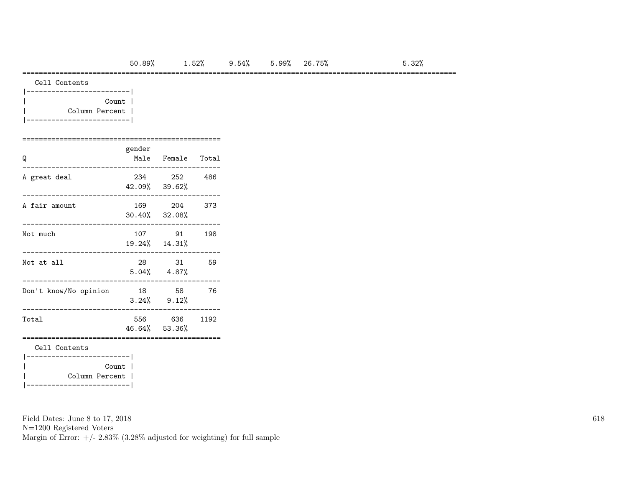### =========================================================================================================

| Cell Contents |  |
|---------------|--|
|---------------|--|

| Count          |  |
|----------------|--|
| Column Percent |  |
|                |  |

# ================================================

| Q                                  | gender | Male Female Total              |      |
|------------------------------------|--------|--------------------------------|------|
| A great deal                       |        | 234 252<br>42.09% 39.62%       | -486 |
| A fair amount                      |        | 169 204<br>$30.40\%$ $32.08\%$ | 373  |
| Not much                           |        | 107 91<br>19.24% 14.31%        | 198  |
| Not at all                         |        | 28 31<br>$5.04\%$ $4.87\%$     | 59   |
| Don't know/No opinion              | 18     | 58<br>$3.24\%$ $9.12\%$        | 76   |
| Total                              |        | 556 636<br>46.64% 53.36%       | 1192 |
| Cell Contents<br>---------------   |        |                                |      |
| Column Percent  <br>-------------- | Count  |                                |      |

Field Dates: June 8 to 17, 2018

N=1200 Registered Voters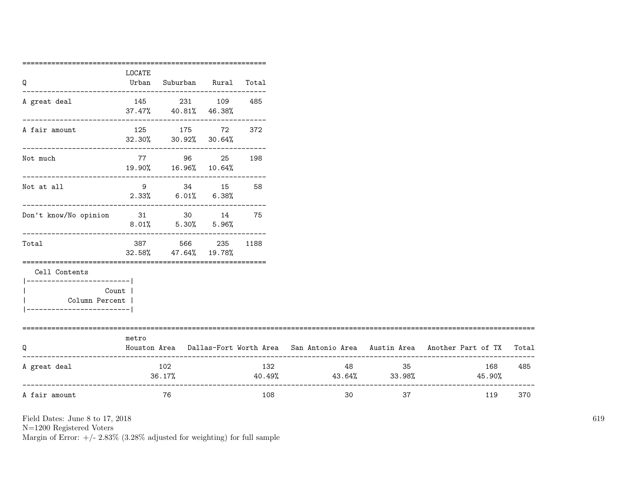|                                                      | ================== |                                                                       |              |     |                                        |    |                                                                                           |     |
|------------------------------------------------------|--------------------|-----------------------------------------------------------------------|--------------|-----|----------------------------------------|----|-------------------------------------------------------------------------------------------|-----|
| Q                                                    | LOCATE<br>Urban    | Suburban Rural Total                                                  |              |     |                                        |    |                                                                                           |     |
| A great deal                                         |                    | 145 231 109<br>37.47% 40.81% 46.38%                                   |              | 485 |                                        |    |                                                                                           |     |
| A fair amount                                        |                    | 125 175 72<br>$32.30\%$ $30.92\%$ $30.64\%$                           |              | 372 |                                        |    |                                                                                           |     |
| Not much                                             |                    | -----------------------------<br>77 96 25 198<br>19.90% 16.96% 10.64% |              |     |                                        |    |                                                                                           |     |
| Not at all                                           |                    | 9 34 15 58<br>$2.33\%$ 6.01% 6.38%                                    |              |     |                                        |    |                                                                                           |     |
| Don't know/No opinion 31 30 14 75                    |                    | $8.01\%$ $5.30\%$ $5.96\%$                                            |              |     |                                        |    |                                                                                           |     |
| Total                                                | 387                | ------------------------------<br>32.58% 47.64% 19.78%                | 566 235 1188 |     |                                        |    |                                                                                           |     |
| Cell Contents<br>-------------------------           |                    |                                                                       |              |     |                                        |    |                                                                                           |     |
| Count  <br>Column Percent  <br>--------------------- |                    |                                                                       |              |     |                                        |    |                                                                                           |     |
| Q                                                    | metro              |                                                                       |              |     |                                        |    | Houston Area Dallas-Fort Worth Area San Antonio Area Austin Area Another Part of TX Total |     |
| A great deal                                         |                    | 102<br>36.17%                                                         |              | 132 | 48 48<br>$40.49\%$ $43.64\%$ $33.98\%$ | 35 | 168<br>45.90%                                                                             | 485 |
| A fair amount                                        |                    | 76                                                                    |              | 108 | 30                                     | 37 | 119                                                                                       | 370 |
|                                                      |                    |                                                                       |              |     |                                        |    |                                                                                           |     |

N=1200 Registered Voters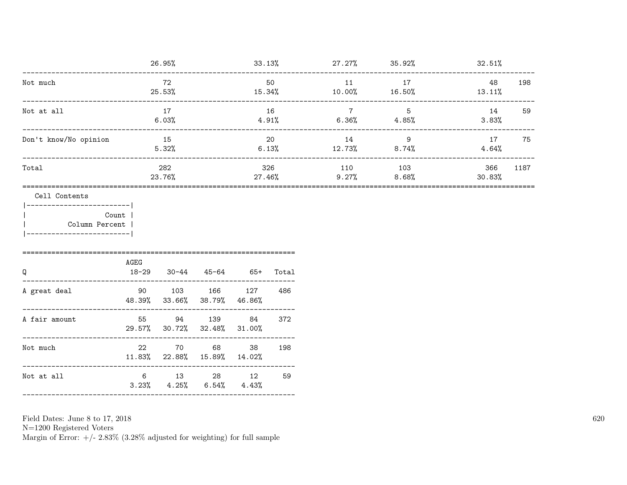|                                                                                           |                 | 26.95%        |                                          |              |             | $33.13\%$ 27.27% 35.92%  |              | 32.51%        |      |
|-------------------------------------------------------------------------------------------|-----------------|---------------|------------------------------------------|--------------|-------------|--------------------------|--------------|---------------|------|
| Not much                                                                                  |                 | 72<br>25.53%  |                                          | 15.34%       | 50          | 11<br>10.00%             | 17<br>16.50% | 48<br>13.11%  | 198  |
| Not at all                                                                                |                 | 17<br>6.03%   |                                          | $4.91\%$     | 16          | $7\overline{ }$<br>6.36% | 5<br>4.85%   | 14<br>3.83%   | 59   |
| Don't know/No opinion                                                                     |                 | 15<br>5.32%   |                                          |              | 20<br>6.13% | 14<br>$12.73\%$ 8.74%    | 9            | 17<br>4.64%   | 75   |
| Total                                                                                     |                 | 282<br>23.76% |                                          | $27.46\%$    | 326         | 110<br>9.27%             | 103<br>8.68% | 366<br>30.83% | 1187 |
| Cell Contents<br> ------------------------ <br>Column Percent<br>________________________ | Count  <br>AGEG |               |                                          |              |             |                          |              |               |      |
| Q                                                                                         | $18 - 29$       |               | $30-44$ $45-64$ $65+$                    |              | Total       |                          |              |               |      |
| A great deal                                                                              | 90<br>48.39%    | 33.66%        | 103 166 127<br>38.79%                    | 46.86%       | 486         |                          |              |               |      |
| A fair amount                                                                             |                 | 55 94 139     | 29.57% 30.72% 32.48%                     | 84<br>31.00% | 372         |                          |              |               |      |
| Not much                                                                                  | 22              |               | 70 68<br>11.83% 22.88% 15.89%            | 38<br>14.02% | 198         |                          |              |               |      |
| Not at all                                                                                |                 |               | 6 13 28 12<br>$3.23\%$ $4.25\%$ $6.54\%$ | 4.43%        | 59          |                          |              |               |      |
|                                                                                           |                 |               |                                          |              |             |                          |              |               |      |

Field Dates: June 8 to 17,  $2018\,$ 

N=1200 Registered Voters<br>Margin of Error:  $+/- 2.83\%$  (3.28% adjusted for weighting) for full sample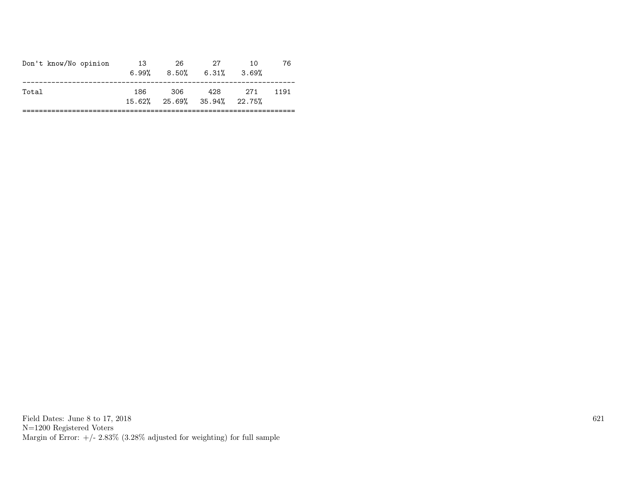| Don't know/No opinion | 13<br>$6.99\%$ | 26   | 27<br>$8.50\%$ 6.31%                           | 10<br>3.69% | 76   |
|-----------------------|----------------|------|------------------------------------------------|-------------|------|
| Total                 | 186.           | -306 | 428<br>$15.62\%$ $25.69\%$ $35.94\%$ $22.75\%$ | 271         | 1191 |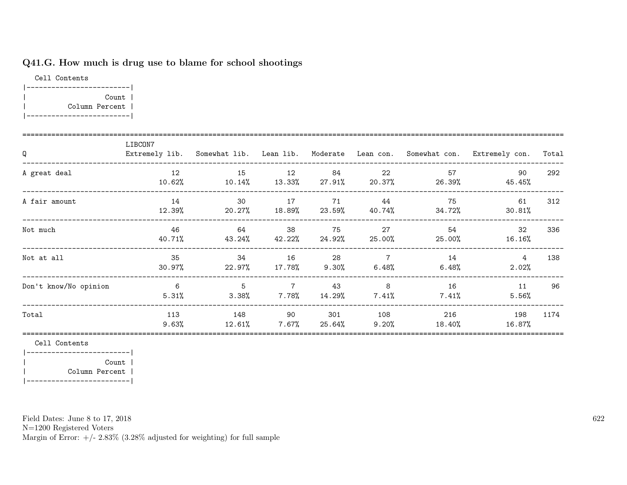## Q41.G. How much is drug use to blame for school shootings

Cell Contents |-------------------------| | Count | | Column Percent | |-------------------------|

| Q                     | LIBCON7         |                                     |                                               |               |                         |                     | Extremely lib. Somewhat lib. Lean lib. Moderate Lean con. Somewhat con. Extremely con. | Total |
|-----------------------|-----------------|-------------------------------------|-----------------------------------------------|---------------|-------------------------|---------------------|----------------------------------------------------------------------------------------|-------|
| A great deal          | 12<br>10.62%    | 15                                  | 12<br>$10.14\%$ $13.33\%$ $27.91\%$ $20.37\%$ | 84            | 22                      | 57<br>26.39%        | 90<br>45.45%                                                                           | 292   |
| A fair amount         | 14<br>12.39%    | 30<br>$20.27\%$ $18.89\%$ $23.59\%$ | 17                                            | 71            | 44                      | 75<br>40.74% 34.72% | 61<br>$30.81\%$                                                                        | 312   |
| Not much              | - 46<br>40.71%  | 64<br>$43.24\%$ $42.22\%$ $24.92\%$ | 38                                            | 75            | 27<br>25.00%            | 54<br>25.00%        | 32<br>$16.16\%$                                                                        | 336   |
| Not at all            | 35<br>$30.97\%$ | 34<br>22.97%                        | 16<br>$17.78\%$                               | 28<br>9.30%   | $\overline{7}$<br>6.48% | 14<br>6.48%         | 4<br>2.02%                                                                             | 138   |
| Don't know/No opinion | 6<br>5.31%      | 5<br>$3.38\%$                       | $\overline{7}$<br>$7.78\%$                    | 43<br>14.29%  | 8<br>$7.41\%$           | 16<br>$7.41\%$      | 11<br>5.56%                                                                            | 96    |
| Total                 | 113<br>$9.63\%$ | 148<br>12.61%                       | 90<br>$7.67\%$                                | 301<br>25.64% | 108<br>$9.20\%$         | 216<br>18.40%       | 198<br>16.87%                                                                          | 1174  |

Cell Contents

|-------------------------| | Count | | Column Percent | |-------------------------|

Field Dates: June 8 to 17, 2018

N=1200 Registered Voters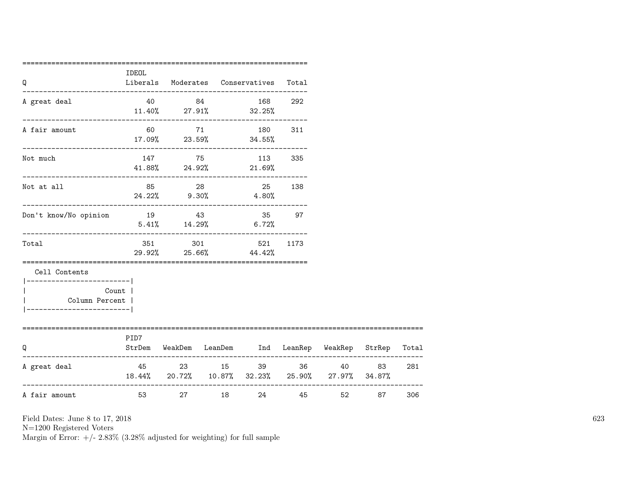| Q                                                                                         | IDEOL |                    |         | Liberals Moderates Conservatives                                                                | Total   |          |               |     |
|-------------------------------------------------------------------------------------------|-------|--------------------|---------|-------------------------------------------------------------------------------------------------|---------|----------|---------------|-----|
| A great deal                                                                              |       | 40 84              |         | .___________________________________<br>$11.40\%$ 27.91% 32.25%                                 | 168 292 |          |               |     |
| A fair amount                                                                             |       |                    |         | 60 71 180 311<br>$17.09\%$ 23.59% 34.55%                                                        |         |          |               |     |
| Not much                                                                                  |       |                    |         | 147 75 113 335<br>41.88% 24.92% 21.69%                                                          |         |          |               |     |
| Not at all                                                                                |       | 85 28              |         | 25 138<br>$24.22\%$ 9.30% 4.80%                                                                 |         |          |               |     |
| Don't know/No opinion                                                                     | 19 43 | $5.41\%$ $14.29\%$ |         | 6.72%                                                                                           | 35 97   |          |               |     |
| Total                                                                                     |       |                    |         | 351 301 521<br>29.92% 25.66% 44.42%                                                             | 1173    |          |               |     |
| Cell Contents<br>------------------------ <br>Column Percent  <br>----------------------- | Count |                    |         |                                                                                                 |         |          |               |     |
| =========================<br>O                                                            | PID7  |                    |         | ====================================<br>StrDem WeakDem LeanDem Ind LeanRep WeakRep StrRep Total |         |          |               |     |
| A great deal                                                                              |       | 45 23 15           |         | 18.44% 20.72% 10.87% 32.23% 25.90% 27.97% 34.87%                                                | 39 36   |          | 40 83         | 281 |
| A fair amount                                                                             |       |                    | 27 — 27 | 18 (18)                                                                                         | 24      | 45 — 100 | 52 30<br>87 — | 306 |

N=1200 Registered Voters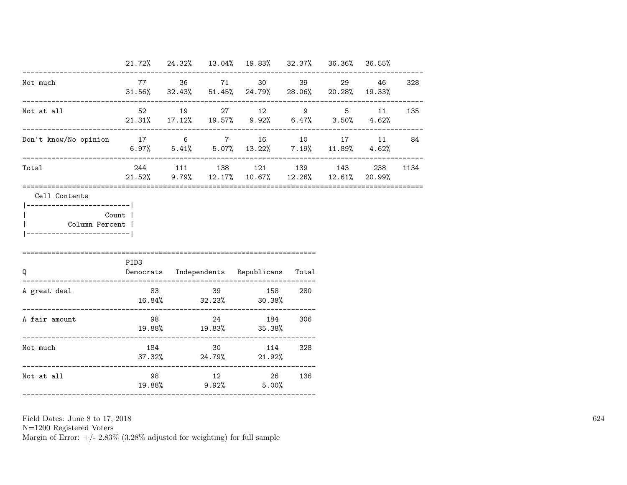|                                                       |       |  | 21.72% 24.32% 13.04% 19.83% 32.37% 36.36% 36.55%                                                                    |  |           |          |
|-------------------------------------------------------|-------|--|---------------------------------------------------------------------------------------------------------------------|--|-----------|----------|
| Not much                                              |       |  | 77 36 71 30 39<br>$31.56\%$ $32.43\%$ $51.45\%$ $24.79\%$ $28.06\%$ $20.28\%$ $19.33\%$                             |  | 29 46 328 |          |
| Not at all                                            | 52 19 |  | 27 12 9 5 11 135<br>$21.31\% \qquad 17.12\% \qquad 19.57\% \qquad 9.92\% \qquad 6.47\% \qquad 3.50\% \qquad 4.62\%$ |  |           |          |
| Don't know/No opinion 17 6 7 16 10 17 11 84           |       |  | $6.97\%$ $5.41\%$ $5.07\%$ $13.22\%$ $7.19\%$ $11.89\%$ $4.62\%$                                                    |  |           |          |
| Total                                                 |       |  | 244 111 138 121 139 143<br>$21.52\%$ 9.79% 12.17% 10.67% 12.26% 12.61% 20.99%                                       |  |           | 238 1134 |
| Count  <br>Column Percent  <br>---------------------- |       |  |                                                                                                                     |  |           |          |
|                                                       | PID3  |  |                                                                                                                     |  |           |          |
| Q                                                     |       |  | Democrats Independents Republicans Total                                                                            |  |           |          |
| A great deal                                          |       |  | 83 39 158 280<br>$16.84\%$ $32.23\%$ $30.38\%$                                                                      |  |           |          |
| A fair amount                                         |       |  | 98 24 184 306<br>$19.88\%$ $19.83\%$ $35.38\%$                                                                      |  |           |          |
| Not much                                              |       |  | 184 30 114 328<br>37.32% 24.79% 21.92%                                                                              |  |           |          |

N=1200 Registered Voters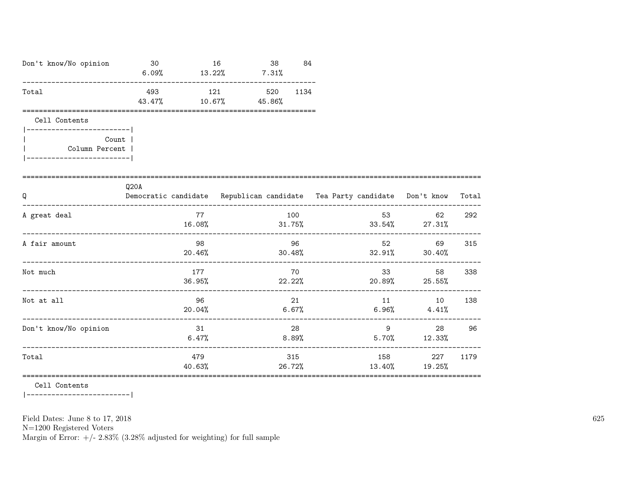| Don't know/No opinion                                                                                   | 30<br>$6.09\%$ $13.22\%$ $7.31\%$ |               | 16 | 38                         | 84  |       |    |                                                                          |        |
|---------------------------------------------------------------------------------------------------------|-----------------------------------|---------------|----|----------------------------|-----|-------|----|--------------------------------------------------------------------------|--------|
| Total                                                                                                   | 43.47%                            | 10.67%        |    | 493 121 520 1134<br>45.86% |     |       |    |                                                                          |        |
| Cell Contents<br>------------------------- <br>Count  <br>Column Percent  <br>_________________________ |                                   |               |    |                            |     |       |    |                                                                          |        |
| Q                                                                                                       | Q20A                              |               |    |                            |     |       |    | Democratic candidate Republican candidate Tea Party candidate Don't know | Total  |
| A great deal                                                                                            |                                   | 77            |    |                            | 100 |       |    | 62<br>$16.08\%$ 31.75% 33.54% 27.31%                                     | 292    |
| A fair amount                                                                                           |                                   | 98            |    |                            | 96  |       |    | 52<br>$20.46\%$ $30.48\%$ $32.91\%$ $30.40\%$                            | 69 315 |
| Not much                                                                                                |                                   | 177           |    |                            | 70  |       | 33 | 58<br>$36.95\%$ 22.22% 20.89% 25.55%                                     | 338    |
| Not at all                                                                                              |                                   | 96<br>20.04%  |    |                            | 21  | 6.67% |    | 11 10<br>$6.96\%$ $4.41\%$                                               | 138    |
| Don't know/No opinion                                                                                   |                                   | 31<br>6.47%   |    |                            | 28  | 8.89% |    | $9 \left( \frac{1}{2} \right)$<br>$5.70\%$ $12.33\%$                     | 28 96  |
| Total                                                                                                   |                                   | 479<br>40.63% |    |                            | 315 |       |    | 158 227<br>26.72% 13.40% 19.25%                                          | 1179   |

Cell Contents

|------------------------|

Field Dates: June 8 to 17, 2018

 ${\rm N}{=}1200$  Registered Voters

Margin of Error:  $+/- 2.83\%$  (3.28% adjusted for weighting) for full sample

625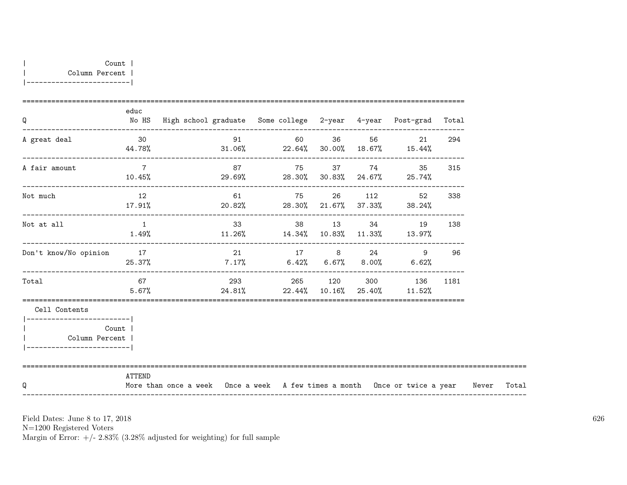| Q                                                                                                          | educ                      | No HS High school graduate Some college 2-year 4-year Post-grad Total            |                          |  |  |    |     |       |
|------------------------------------------------------------------------------------------------------------|---------------------------|----------------------------------------------------------------------------------|--------------------------|--|--|----|-----|-------|
| A great deal                                                                                               | 30                        | $44.78\%$ $31.06\%$ $22.64\%$ $30.00\%$ $18.67\%$ $15.44\%$                      | 91 60 36 56              |  |  | 21 | 294 |       |
| A fair amount                                                                                              | $7\overline{ }$<br>10.45% | $29.69\%$ 28.30% 30.83% 24.67% 25.74%                                            | 87 75 37 74 35           |  |  |    | 315 |       |
| Not much                                                                                                   | 12                        | $17.91\%$ 20.82% 28.30% 21.67% 37.33% 38.24%                                     | 61 75 26 112             |  |  | 52 | 338 |       |
| Not at all                                                                                                 | $\overline{1}$<br>1.49%   | $11.26\%$ $14.34\%$ $10.83\%$ $11.33\%$ $13.97\%$                                | 33 38 13 34 19 138       |  |  |    |     |       |
| Don't know/No opinion                                                                                      | 17                        | $25.37\%$ 7.17% 6.42% 6.67% 8.00% 6.62%                                          | 21 17 8 24               |  |  | 9  | 96  |       |
| Total                                                                                                      | 67 67<br>5.67%            | $24.81\%$ 22.44% 10.16% 25.40% 11.52%                                            | 293 265 120 300 136 1181 |  |  |    |     |       |
| Cell Contents<br>-------------------------- <br>Count  <br>Column Percent  <br> -------------------------- |                           |                                                                                  |                          |  |  |    |     |       |
| Q                                                                                                          | ATTEND                    | More than once a week Once a week A few times a month Once or twice a year Never |                          |  |  |    |     | Total |

N=1200 Registered Voters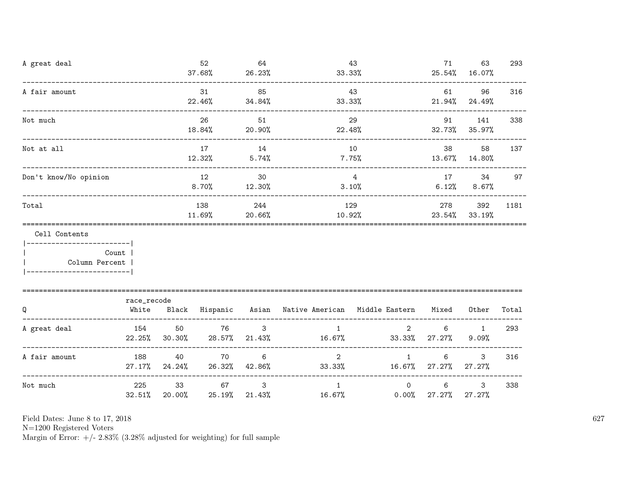| A great deal                                                    |                                       |                           | 52<br>$37.68\%$ | 64<br>26.23%           | 33.33%                                                    | 43                                   | 71                                     | 63<br>25.54% 16.07%         | 293   |
|-----------------------------------------------------------------|---------------------------------------|---------------------------|-----------------|------------------------|-----------------------------------------------------------|--------------------------------------|----------------------------------------|-----------------------------|-------|
| A fair amount                                                   |                                       |                           | 31<br>22.46%    | 85<br>34.84%           | 33.33%                                                    | 43                                   |                                        | 61 7<br>96<br>21.94% 24.49% | 316   |
| Not much                                                        | .____________________________________ |                           | 26<br>18.84%    | 51<br>20.90%           | 22.48%                                                    | 29                                   | 91 — 10                                | 141<br>32.73% 35.97%        | 338   |
| Not at all                                                      |                                       |                           | 17              | 14                     |                                                           | 10                                   | 38 — 1<br>13.67% 14.80%                | 58                          | 137   |
| Don't know/No opinion                                           |                                       |                           | 12<br>$8.70\%$  | 30<br>12.30%           |                                                           | $\overline{4}$<br>3.10%              | 17                                     | 34<br>$6.12\%$ $8.67\%$     | 97    |
| Total                                                           |                                       |                           | 138<br>11.69%   | 244<br>$20.66\%$       | 129<br>10.92%                                             | $23.54\%$ 33.19%                     | 278                                    | 392                         | 1181  |
| Cell Contents<br>------------------------- <br>  Column Percent | Count                                 |                           |                 |                        |                                                           |                                      |                                        |                             |       |
| Q                                                               | race_recode<br>White                  |                           |                 |                        | Black Hispanic Asian Native-American Middle-Eastern Mixed |                                      |                                        | Other                       | Total |
| A great deal                                                    | 154                                   | 50<br>22.25% 30.30%       | 76<br>28.57%    | $\mathbf{3}$<br>21.43% | $\mathbf{1}$<br>$16.67\%$ 33.33% 27.27%                   |                                      | $\overline{2}$ and $\overline{2}$<br>6 | $\mathbf{1}$<br>9.09%       | 293   |
| A fair amount                                                   | 188                                   | 40<br>$27.17\%$ $24.24\%$ | 70              | 6<br>26.32% 42.86%     | $33.33\%$                                                 | $\overline{2}$<br>1                  | 6<br>16.67% 27.27%                     | 3<br>$27.27\%$              | 316   |
| Not much                                                        | 225<br>$32.51\%$                      | 33<br>20.00%              | 67<br>25.19%    | $\mathbf{3}$           | $\mathbf{1}$<br>21.43%                                    | $\overline{0}$<br>16.67%<br>$0.00\%$ | 6<br>27.27%                            | $\mathbf{3}$<br>27.27%      | 338   |

N=1200 Registered Voters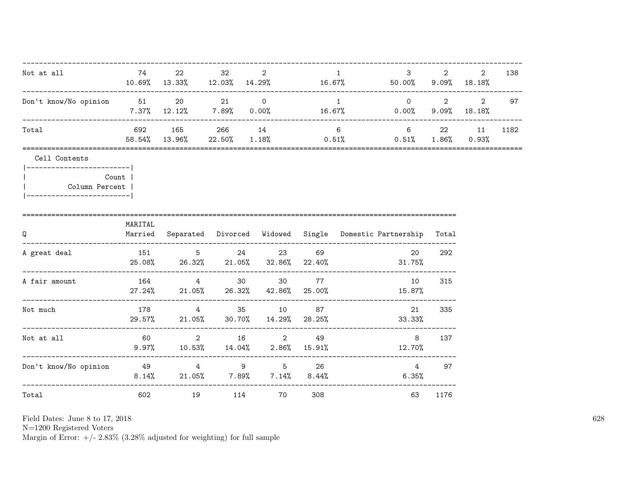| Not at all                                                                                    | 74      | 22                                   | 32 | 2<br>$10.69\%$ $13.33\%$ $12.03\%$ $14.29\%$ $16.67\%$ $50.00\%$ $9.09\%$ $18.18\%$ |     | $\mathbf{1}$    | $3^{\circ}$                                                         | $2 \left( \frac{1}{2} \right)$ | $\overline{2}$  | 138  |
|-----------------------------------------------------------------------------------------------|---------|--------------------------------------|----|-------------------------------------------------------------------------------------|-----|-----------------|---------------------------------------------------------------------|--------------------------------|-----------------|------|
| Don't know/No opinion 51 20 21 0                                                              |         |                                      |    | $7.37\%$ 12.12% 7.89% 0.00% 16.67% 0.00%                                            |     | $\sim$ 1        | .---------------------------<br>$0 \qquad \qquad 2 \qquad \qquad 2$ |                                | $9.09\%$ 18.18% | 97   |
| Total                                                                                         |         | -------------------<br>58.54% 13.96% |    | 692 165 266 14<br>$22.50\%$ $1.18\%$ $0.51\%$ $0.51\%$ $1.86\%$ $0.93\%$            |     | $6\overline{6}$ | 6 22 11                                                             |                                |                 | 1182 |
| Cell Contents<br> ------------------------- <br>Column Percent  <br> ------------------------ | Count   |                                      |    |                                                                                     |     |                 |                                                                     |                                |                 |      |
| -=================================<br>Q                                                       | MARITAL |                                      |    | Married Separated Divorced Widowed Single Domestic Partnership Total                |     |                 |                                                                     |                                |                 |      |
| A great deal                                                                                  |         |                                      |    | 151 5 24 23<br>$25.08\%$ 26.32% 21.05% 32.86% 22.40% 31.75%                         | 69  |                 | 20                                                                  | 292                            |                 |      |
| A fair amount                                                                                 |         |                                      |    | 164 4 30 30 77<br>$27.24\%$ 21.05% 26.32% 42.86% 25.00%                             |     |                 | 10<br>15.87%                                                        | 315                            |                 |      |
| Not much                                                                                      |         |                                      |    | 178 4 35 10 87<br>29.57% 21.05% 30.70% 14.29% 28.25%                                |     |                 | 21<br>33.33%                                                        | 335                            |                 |      |
| Not at all                                                                                    | 60 60   |                                      |    | 2 16 2 49<br>$9.97\%$ 10.53% 14.04% 2.86% 15.91%                                    |     | 12.70%          | 8                                                                   | 137                            |                 |      |
| Don't know/No opinion 49 49 4 9 5 26                                                          |         |                                      |    | $8.14\%$ 21.05% 7.89% 7.14% 8.44%                                                   |     |                 | $4\overline{ }$<br>$6.35\%$                                         | 97                             |                 |      |
| Total                                                                                         |         | 602 and $\sim$                       | 19 | 114 70                                                                              | 308 |                 | 63                                                                  | 1176                           |                 |      |

N=1200 Registered Voters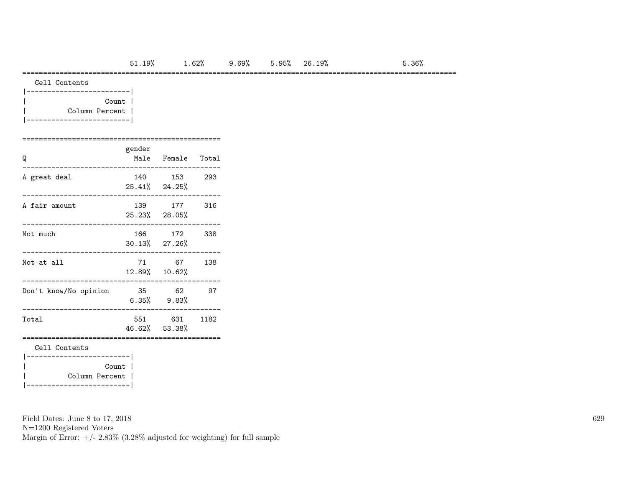### =========================================================================================================

| Count          |  |
|----------------|--|
| Column Percent |  |
|                |  |

### ================================================ gender

| Q                                       |       | Male Female Total           |      |
|-----------------------------------------|-------|-----------------------------|------|
| A great deal                            |       | 140 153<br>$25.41\%$ 24.25% | 293  |
| A fair amount                           |       | 139 177<br>25.23% 28.05%    | 316  |
| Not much                                |       | 166 172<br>$30.13\%$ 27.26% | 338  |
| Not at all                              |       | 71 67<br>12.89% 10.62%      | 138  |
| Don't know/No opinion                   | 35 62 | $6.35\%$ $9.83\%$           | 97   |
| Total                                   |       | 551 631<br>46.62% 53.38%    | 1182 |
| Cell Contents<br>---------------------- |       |                             |      |
| Column Percent                          | Count |                             |      |

Field Dates: June 8 to 17, 2018

N=1200 Registered Voters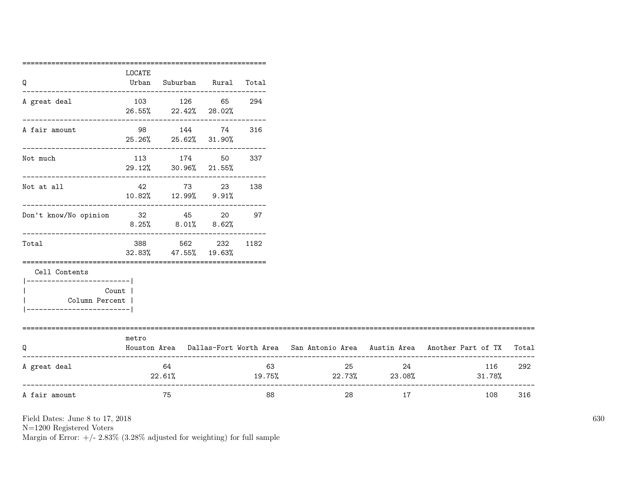| =============<br>LOCATE                              |                           |                        |                                                                                                                                         |                                                                                                                                                                   |    |               |                                                                                                                      |
|------------------------------------------------------|---------------------------|------------------------|-----------------------------------------------------------------------------------------------------------------------------------------|-------------------------------------------------------------------------------------------------------------------------------------------------------------------|----|---------------|----------------------------------------------------------------------------------------------------------------------|
| Urban                                                |                           |                        |                                                                                                                                         |                                                                                                                                                                   |    |               |                                                                                                                      |
|                                                      |                           |                        | 294                                                                                                                                     |                                                                                                                                                                   |    |               |                                                                                                                      |
|                                                      |                           |                        | 316                                                                                                                                     |                                                                                                                                                                   |    |               |                                                                                                                      |
|                                                      |                           |                        | 337                                                                                                                                     |                                                                                                                                                                   |    |               |                                                                                                                      |
|                                                      |                           |                        | 138                                                                                                                                     |                                                                                                                                                                   |    |               |                                                                                                                      |
| ------------------------------                       |                           |                        |                                                                                                                                         |                                                                                                                                                                   |    |               |                                                                                                                      |
|                                                      |                           |                        |                                                                                                                                         |                                                                                                                                                                   |    |               |                                                                                                                      |
|                                                      |                           |                        |                                                                                                                                         |                                                                                                                                                                   |    |               |                                                                                                                      |
| Count  <br>Column Percent  <br>--------------------- |                           |                        |                                                                                                                                         |                                                                                                                                                                   |    |               |                                                                                                                      |
| metro                                                |                           |                        |                                                                                                                                         |                                                                                                                                                                   |    |               | Total                                                                                                                |
|                                                      | 64                        |                        | 63                                                                                                                                      |                                                                                                                                                                   |    | 116<br>31.78% | 292                                                                                                                  |
|                                                      | 75                        |                        | 88                                                                                                                                      | 28                                                                                                                                                                | 17 | 108           | 316                                                                                                                  |
|                                                      | ------------------------- | 388 — 100<br>$22.61\%$ | 26.55% 22.42% 28.02%<br>98 144 74<br>25.26% 25.62% 31.90%<br>113 174 50<br>29.12% 30.96% 21.55%<br>562<br>$32.83\%$ $47.55\%$ $19.63\%$ | Suburban Rural Total<br>103 126 65<br>42 73 23<br>10.82% 12.99% 9.91%<br>Don't know/No opinion 32<br>45<br>20<br>97<br><br>$8.25\%$ $8.01\%$ $8.62\%$<br>232 1182 |    | 25 and $\sim$ | Houston Area Dallas-Fort Worth Area San Antonio Area Austin Area Another Part of TX<br>24<br>$19.75\%$ 22.73% 23.08% |

N=1200 Registered Voters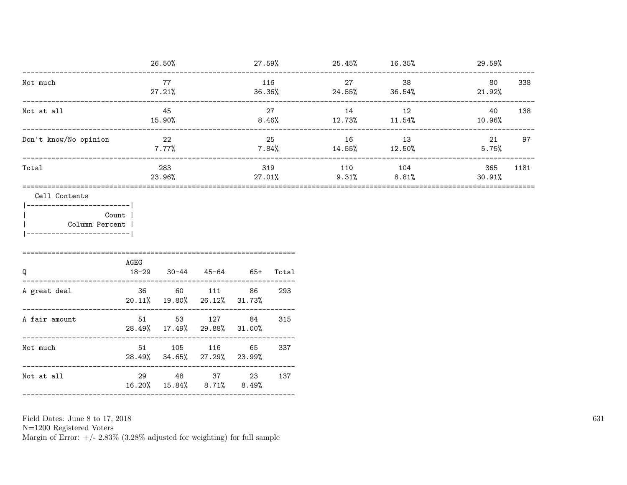|                                                        |                     | 26.50%                                                |                           |                 |                          |                              | $27.59\%$ 25.45% 16.35% 29.59% |               |      |
|--------------------------------------------------------|---------------------|-------------------------------------------------------|---------------------------|-----------------|--------------------------|------------------------------|--------------------------------|---------------|------|
| Not much                                               |                     | 77<br>27.21%                                          |                           | 36.36%          | 116                      | 27<br>$24.55\%$ 36.54%       | 38                             | 80<br>21.92%  | 338  |
| Not at all                                             | ------------------- | 45<br>15.90%                                          |                           | 8.46%           | 27                       | 14<br>$12.73\%$ $11.54\%$    | 12                             | 40<br>10.96%  | 138  |
| Don't know/No opinion                                  |                     | 22<br>$7.77\%$                                        |                           |                 | 25                       | 16<br>$7.84\%$ 14.55% 12.50% | 13                             | 21<br>5.75%   | 97   |
| Total                                                  |                     | 283<br>23.96%                                         |                           | 27.01%          | 319                      | 110 104                      | $9.31\%$ 8.81%                 | 365<br>30.91% | 1181 |
| Count  <br>Column Percent<br>------------------------- | AGEG                |                                                       |                           |                 |                          |                              |                                |               |      |
| Q<br>A great deal                                      | $18 - 29$           | $30 - 44$<br>36 60 111<br>20.11% 19.80% 26.12% 31.73% |                           | 45-64 65+<br>86 | Total<br>293             |                              |                                |               |      |
| A fair amount                                          |                     | 51 53 127<br>28.49% 17.49% 29.88% 31.00%              |                           | 84              | 315                      |                              |                                |               |      |
| Not much<br>--------------                             |                     | 51 105<br>28.49% 34.65% 27.29% 23.99%                 | 116                       | 65              | ------<br>337<br>------- |                              |                                |               |      |
| Not at all                                             |                     | 29 48 37                                              | 16.20% 15.84% 8.71% 8.49% | 23              | 137                      |                              |                                |               |      |

N=1200 Registered Voters<br>Margin of Error: +/- 2.83% (3.28% adjusted for weighting) for full sample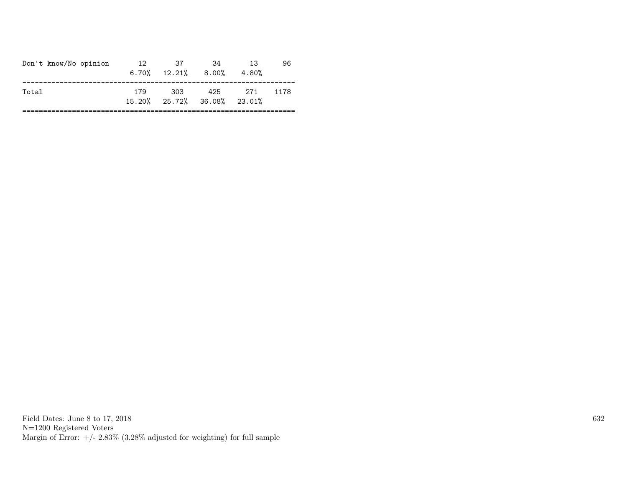| Don't know/No opinion | 12  | 37<br>$6.70\%$ $12.21\%$ $8.00\%$ | -34                                | 13<br>4.80% | 96   |
|-----------------------|-----|-----------------------------------|------------------------------------|-------------|------|
| Total                 | 179 | 303                               | 425<br>15.20% 25.72% 36.08% 23.01% | - 271       | 1178 |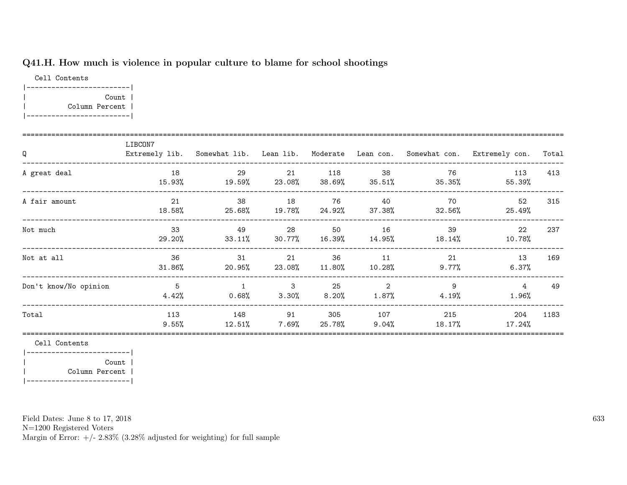## Q41.H. How much is violence in popular culture to blame for school shootings

Cell Contents |-------------------------| | Count | | Column Percent | |-------------------------|

| Q                     | LIBCON7                 |                               |                                        |                 |                 |                           | Extremely lib. Somewhat lib. Lean lib. Moderate Lean con. Somewhat con. Extremely con. | Total |
|-----------------------|-------------------------|-------------------------------|----------------------------------------|-----------------|-----------------|---------------------------|----------------------------------------------------------------------------------------|-------|
| A great deal          | 18<br>15.93%            | 29<br>19.59%                  | 21<br>$23.08\%$ 38.69%                 | 118             | 38<br>$35.51\%$ | 76<br>35.35%              | 113<br>55.39%                                                                          | 413   |
| A fair amount         | 21<br>18.58%            | 38<br>$25.68\%$ 19.78% 24.92% | 18                                     | 76              | - 40            | 70<br>$37.38\%$ $32.56\%$ | 52<br>25.49%                                                                           | 315   |
| Not much              | 33<br>29.20%            | 49                            | 28<br>$33.11\%$ $30.77\%$ $16.39\%$    | 50              | 16              | - 39<br>$14.95\%$ 18.14%  | 22<br>10.78%                                                                           | 237   |
| Not at all            | 36<br>$31.86\%$         | 31<br>20.95%                  | 21<br>23.08%                           | 36<br>$11.80\%$ | 11<br>10.28%    | 21<br>9.77%               | 13<br>$6.37\%$                                                                         | 169   |
| Don't know/No opinion | $\overline{5}$<br>4.42% | $\overline{1}$<br>$0.68\%$    | $\overline{\phantom{a}}$ 3<br>$3.30\%$ | 25<br>$8.20\%$  | 2<br>$1.87\%$   | 9<br>$4.19\%$             | $\overline{4}$<br>$1.96\%$                                                             | 49    |
| Total                 | 113<br>$9.55\%$         | 148<br>12.51%                 | 91<br>7.69%                            | 305<br>25.78%   | 107<br>$9.04\%$ | 215<br>18.17%             | 204<br>17.24%                                                                          | 1183  |

Cell Contents

|-------------------------| | Count | | Column Percent | |-------------------------|

Field Dates: June 8 to 17, 2018

N=1200 Registered Voters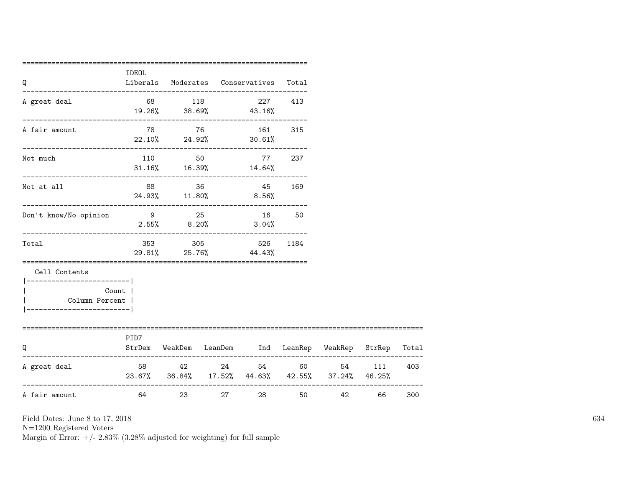| Q                                                                                                     | <b>IDEOL</b>      |                                      |               | Liberals Moderates Conservatives Total                                                          |         |                         |         |     |
|-------------------------------------------------------------------------------------------------------|-------------------|--------------------------------------|---------------|-------------------------------------------------------------------------------------------------|---------|-------------------------|---------|-----|
| A great deal                                                                                          |                   | 68 118                               |               | $19.26\%$ 38.69% 43.16%                                                                         | 227 413 |                         |         |     |
| A fair amount                                                                                         |                   |                                      |               | 78 76 161 315<br>$22.10\%$ 24.92% 30.61%                                                        |         |                         |         |     |
| Not much                                                                                              |                   |                                      |               | 110 50 77 237<br>$31.16\%$ 16.39% 14.64%                                                        |         |                         |         |     |
| Not at all                                                                                            |                   | ---------------------------<br>88 36 |               | 45 169<br>24.93% 11.80% 8.56%                                                                   |         |                         |         |     |
| Don't know/No opinion                                                                                 |                   | 9 25<br>$2.55\%$ 8.20%               |               | 16<br>$3.04\%$                                                                                  | 50      |                         |         |     |
| Total                                                                                                 |                   |                                      |               | 353 305 526<br>29.81% 25.76% 44.43%                                                             | 1184    |                         |         |     |
| Cell Contents<br>------------------------- <br>Count  <br>Column Percent  <br>----------------------- |                   |                                      |               |                                                                                                 |         |                         |         |     |
| =========================<br>O                                                                        | PID7              |                                      |               | ====================================<br>StrDem WeakDem LeanDem Ind LeanRep WeakRep StrRep Total |         |                         |         |     |
| A great deal                                                                                          |                   | 58 42 24                             |               | 23.67% 36.84% 17.52% 44.63% 42.55% 37.24% 46.25%                                                | 54 60   |                         | 54 111  | 403 |
| A fair amount                                                                                         | 64 64 64 64 64 65 |                                      | 23 and $\sim$ | 27 — 27                                                                                         |         | 42 and $\sim$<br>50 000 | 66 — 10 | 300 |

N=1200 Registered Voters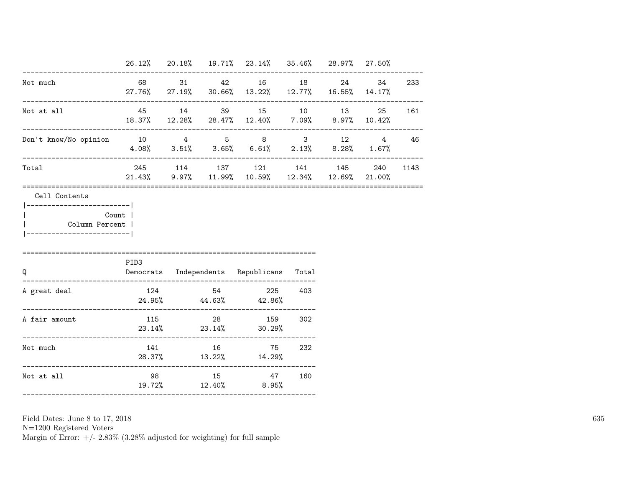|                                            |                 |  | 26.12% 20.18% 19.71% 23.14% 35.46% 28.97% 27.50%                                                                                    |                                |           |          |
|--------------------------------------------|-----------------|--|-------------------------------------------------------------------------------------------------------------------------------------|--------------------------------|-----------|----------|
| Not much                                   |                 |  | 68 31 42 16 18<br>27.76% 27.19% 30.66% 13.22% 12.77% 16.55% 14.17%<br>------------------                                            | ------------------------------ | 24 34 233 |          |
| Not at all                                 | 45 14           |  | 39 15 10 13 25 161<br>$18.37\% \qquad 12.28\% \qquad 28.47\% \qquad 12.40\% \qquad \quad 7.09\% \qquad \quad 8.97\% \qquad 10.42\%$ |                                |           |          |
| Don't know/No opinion 10 4 5 8 3 12 4 46   |                 |  | $4.08\%$ $3.51\%$ $3.65\%$ $6.61\%$ $2.13\%$ $8.28\%$ $1.67\%$                                                                      |                                |           |          |
| Total                                      |                 |  | 245 114 137 121 141 145<br>$21.43\%$ 9.97% 11.99% 10.59% 12.34% 12.69% 21.00%                                                       |                                |           | 240 1143 |
| Column Percent  <br>---------------------- | Count  <br>PID3 |  |                                                                                                                                     |                                |           |          |
| Q                                          |                 |  | Democrats Independents Republicans Total                                                                                            |                                |           |          |
| A great deal                               |                 |  | 124 54 225 403<br>$24.95\%$ $44.63\%$ $42.86\%$                                                                                     |                                |           |          |
| A fair amount                              |                 |  | 115 28 159 302                                                                                                                      |                                |           |          |
|                                            |                 |  | $23.14\%$ $23.14\%$ $30.29\%$                                                                                                       |                                |           |          |
| Not much                                   |                 |  | 141 16 75 232<br>28.37% 13.22% 14.29%                                                                                               |                                |           |          |

N=1200 Registered Voters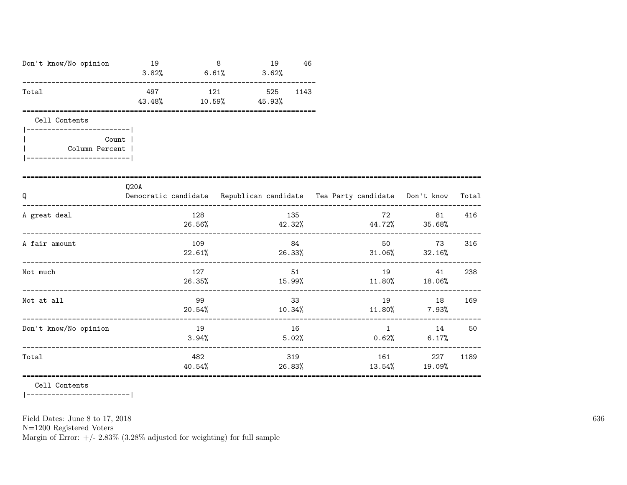| Don't know/No opinion                                | 19<br>$3.82\%$ 6.61%                |                  | 8   | 19<br>3.62% | 46            |               |                                                                          |       |
|------------------------------------------------------|-------------------------------------|------------------|-----|-------------|---------------|---------------|--------------------------------------------------------------------------|-------|
| Total                                                | 497<br>43.48%                       | $10.59\%$ 45.93% | 121 | 525         | 1143          |               |                                                                          |       |
| Cell Contents                                        |                                     |                  |     |             |               |               |                                                                          |       |
| Count  <br>Column Percent<br>----------------------- |                                     |                  |     |             |               |               |                                                                          |       |
| Q<br>____________________________                    | Q20A                                |                  |     |             |               |               | Democratic candidate Republican candidate Tea Party candidate Don't know | Total |
| A great deal                                         |                                     | 128<br>26.56%    |     |             | 135           | <b>72</b> T2  | 81<br>$42.32\%$ $44.72\%$ $35.68\%$                                      | 416   |
| A fair amount                                        |                                     | 109              |     |             | 84            |               | 73<br>$22.61\%$ 26.33% 31.06% 32.16%                                     | 316   |
| Not much                                             |                                     | 127              |     |             | 51            |               | 19<br>41<br>26.35% 15.99% 15.99% 11.80% 18.06%                           | 238   |
| Not at all                                           |                                     | 99<br>20.54%     |     |             | 33            | 19            | 18<br>$10.34\%$ $11.80\%$ 7.93%                                          | 169   |
| Don't know/No opinion                                |                                     | 19<br>3.94%      |     | 5.02%       | 16            | 0.62%         | $\mathbf 1$<br>$6.17\%$                                                  | 14 50 |
| Total                                                | ----------------------------------- | 482<br>40.54%    |     |             | 319<br>26.83% | 161<br>13.54% | 227<br>19.09%                                                            | 1189  |

 $\mathtt{Cell}$  Contents

 $|----------|$ 

Field Dates: June 8 to 17, 2018

 ${\rm N}{=}1200$  Registered Voters

Margin of Error:  $+/- 2.83\%$  (3.28% adjusted for weighting) for full sample

636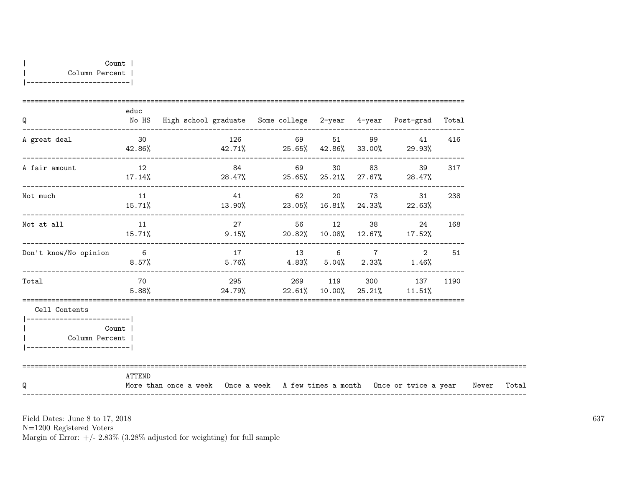| Q                                                                            | educ            | No HS High school graduate Some college 2-year 4-year Post-grad Total            |    |                                                                   |  |                |     |       |
|------------------------------------------------------------------------------|-----------------|----------------------------------------------------------------------------------|----|-------------------------------------------------------------------|--|----------------|-----|-------|
| A great deal                                                                 | 30              | $42.86\%$ $42.71\%$ $25.65\%$ $42.86\%$ $33.00\%$ $29.93\%$                      |    | 126 69 51 99                                                      |  | 41             | 416 |       |
| A fair amount                                                                | 12<br>$17.14\%$ | $28.47\%$ 25.65% $25.21\%$ 27.67% 28.47%                                         | 84 | 69 30 83                                                          |  | 39             | 317 |       |
| Not much                                                                     | 11              | $15.71\%$ $13.90\%$ $23.05\%$ $16.81\%$ $24.33\%$ $22.63\%$                      |    | 41 62                                                             |  | 20 73<br>31    | 238 |       |
| Not at all                                                                   | 11              | $15.71\%$ 9.15% 20.82% 10.08% 12.67% 17.52%                                      |    | 27 56 12 38 24 168                                                |  |                |     |       |
| Don't know/No opinion                                                        | $6\overline{6}$ | $8.57\%$ $5.76\%$ $4.83\%$ $5.04\%$ $2.33\%$ $1.46\%$                            |    | 17 13 6 7                                                         |  | $\overline{2}$ | 51  |       |
| Total                                                                        | 70<br>5.88%     |                                                                                  |    | 295 269 119 300 137 1190<br>$24.79\%$ 22.61% 10.00% 25.21% 11.51% |  |                |     |       |
| Cell Contents                                                                |                 |                                                                                  |    |                                                                   |  |                |     |       |
| <b>Count</b> Provide Count<br>Column Percent  <br>__________________________ |                 |                                                                                  |    |                                                                   |  |                |     |       |
| Q                                                                            | ATTEND          | More than once a week Once a week A few times a month Once or twice a year Never |    |                                                                   |  |                |     | Total |

N=1200 Registered Voters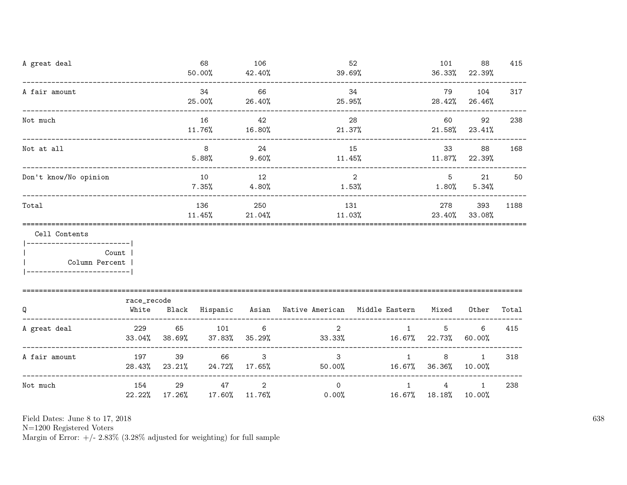| A great deal                                                    |                                    |                           | 68<br>50.00%   | 106<br>42.40%             | 39.69%                                                    | 52                                   | 101<br>36.33% | 88<br>22.39%           | 415   |
|-----------------------------------------------------------------|------------------------------------|---------------------------|----------------|---------------------------|-----------------------------------------------------------|--------------------------------------|---------------|------------------------|-------|
| A fair amount                                                   | ---------------------------------- |                           | 34<br>25.00%   | 66<br>26.40%              | 25.95%                                                    | 34                                   | 79            | 104<br>28.42% 26.46%   | 317   |
| Not much                                                        |                                    |                           | 16<br>11.76%   | 42<br>16.80%              | 21.37%                                                    | 28                                   | 60            | 92<br>$21.58\%$ 23.41% | 238   |
| Not at all                                                      |                                    |                           | 8<br>5.88%     | 24<br>9.60%               | 15<br>11.45%                                              | 33<br>$11.87\%$ 22.39%               | 88            | 168                    |       |
| Don't know/No opinion                                           |                                    |                           | 10<br>$7.35\%$ | 12<br>4.80%               | 1.53%                                                     | $5\phantom{.0}$<br>$1.80\%$          | 21<br>5.34%   | 50                     |       |
| Total                                                           |                                    | 136<br>$11.45\%$          | 250<br>21.04%  | 131<br>11.03%             | 278                                                       | 393<br>23.40% 33.08%                 | 1188          |                        |       |
| Cell Contents<br>__________________________<br>  Column Percent | Count                              |                           |                |                           |                                                           |                                      |               |                        |       |
| Q                                                               | race_recode<br>White               |                           |                |                           | Black Hispanic Asian Native-American Middle-Eastern Mixed |                                      |               | Other                  | Total |
| A great deal                                                    | 229                                | 65<br>$33.04\%$ $38.69\%$ | 101<br>37.83%  | $6\overline{6}$<br>35.29% | $2^{\circ}$<br>$33.33\%$ 16.67% 22.73%                    | 1                                    | 5             | 6<br>60.00%            | 415   |
| A fair amount                                                   | 197                                | 39<br>28.43% 23.21%       | 66             | 3<br>24.72% 17.65%        | 3 <sup>1</sup>                                            | $\mathbf{1}$<br>50.00% 16.67% 36.36% | 8             | $\mathbf{1}$<br>10.00% | 318   |
| Not much                                                        | 154                                | 29<br>22.22% 17.26%       | 47             | 2<br>17.60% 11.76%        | $\Omega$<br>0.00%                                         | $\mathbf{1}$<br>16.67% 18.18%        | 4             | $\mathbf{1}$<br>10.00% | 238   |

N=1200 Registered Voters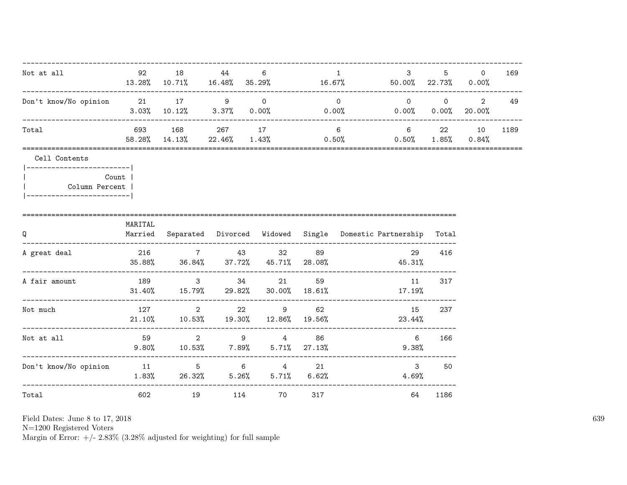| Not at all                                                                                                | 92 18   |                                    | 44        | 6                                                                                              |     | $\mathbf{1}$   | 3 <sup>1</sup><br>$13.28\%$ 10.71% 16.48% 35.29% 16.67% 50.00% 22.73% 0.00%                 | $5^{\circ}$          | $\Omega$                                     | 169  |
|-----------------------------------------------------------------------------------------------------------|---------|------------------------------------|-----------|------------------------------------------------------------------------------------------------|-----|----------------|---------------------------------------------------------------------------------------------|----------------------|----------------------------------------------|------|
| Don't know/No opinion 21 17 9 0                                                                           |         |                                    |           |                                                                                                |     | $\overline{0}$ | $\overline{0}$<br>$3.03\%$ $10.12\%$ $3.37\%$ $0.00\%$ $0.00\%$ $0.00\%$ $0.00\%$ $20.00\%$ |                      | $\begin{array}{ccc} & & 0 & & 2 \end{array}$ | 49   |
| Total                                                                                                     |         | 693 168 267 17<br>58.28% 14.13%    |           | $22.46\%$ 1.43% 0.50%                                                                          |     | $6\degree$     | 6 22 10                                                                                     | $0.50\%$ 1.85% 0.84% |                                              | 1189 |
| Cell Contents<br> ------------------------- <br>Count  <br>Column Percent  <br> ------------------------- |         |                                    |           |                                                                                                |     |                |                                                                                             |                      |                                              |      |
| Q                                                                                                         | MARITAL | ---------------------------------- |           |                                                                                                |     |                | Married Separated Divorced Widowed Single Domestic-Partnership Total                        |                      |                                              |      |
| A great deal<br>-------------------------------------                                                     |         |                                    |           | 216 7 43 32                                                                                    | 89  |                | 29<br>$35.88\%$ $36.84\%$ $37.72\%$ $45.71\%$ $28.08\%$ $45.31\%$                           | 416                  |                                              |      |
| A fair amount                                                                                             |         |                                    |           | 189 3 34 21<br>$31.40\%$ $15.79\%$ $29.82\%$ $30.00\%$ $18.61\%$<br>-------------------------- | 59  |                | 11<br>$17.19\%$                                                                             | 317                  |                                              |      |
| Not much                                                                                                  | 127     | $\overline{2}$                     |           | 22 9 62<br>21.10% 10.53% 19.30% 12.86% 19.56%                                                  |     |                | 15<br>23.44%                                                                                | 237                  |                                              |      |
| Not at all                                                                                                | 59      |                                    |           | 2 9 4 86<br>$9.80\%$ 10.53% 7.89% 5.71% 27.13%                                                 |     |                | $6\overline{6}$<br>9.38%                                                                    | 166                  |                                              |      |
| Don't know/No opinion 11 5 6 4 21                                                                         |         |                                    |           | $1.83\%$ 26.32% 5.26% 5.71% 6.62%                                                              |     |                | $\mathbf{3}$<br>4.69%                                                                       | 50                   |                                              |      |
| Total                                                                                                     | 602     |                                    | 19<br>114 | <b>2012 2013</b>                                                                               | 317 |                | 64                                                                                          | 1186                 |                                              |      |

N=1200 Registered Voters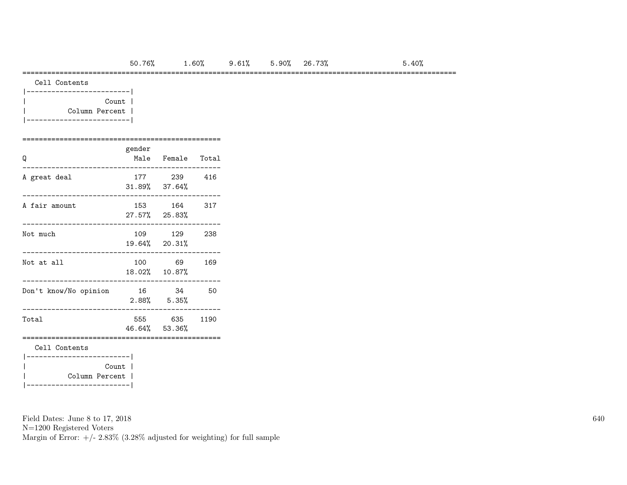#### =========================================================================================================

| Count          |  |
|----------------|--|
| Column Percent |  |
|                |  |

### ================================================ gender Q Male Female Total

| A great deal                                        | 177 — 177 | 239<br>31.89% 37.64%     | 416  |  |  |  |  |  |  |  |  |
|-----------------------------------------------------|-----------|--------------------------|------|--|--|--|--|--|--|--|--|
| A fair amount                                       |           | 153 164<br>27.57% 25.83% | 317  |  |  |  |  |  |  |  |  |
| Not much                                            |           | 109 129<br>19.64% 20.31% | 238  |  |  |  |  |  |  |  |  |
| Not at all                                          |           | 100 69<br>18.02% 10.87%  | 169  |  |  |  |  |  |  |  |  |
| Don't know/No opinion                               | 16        | 34<br>$2.88\%$ $5.35\%$  | 50   |  |  |  |  |  |  |  |  |
| Total                                               |           | 555 635<br>46.64% 53.36% | 1190 |  |  |  |  |  |  |  |  |
| Cell Contents                                       |           |                          |      |  |  |  |  |  |  |  |  |
| _____________________ <br>Count  <br>Column Percent |           |                          |      |  |  |  |  |  |  |  |  |

Field Dates: June 8 to 17, 2018

N=1200 Registered Voters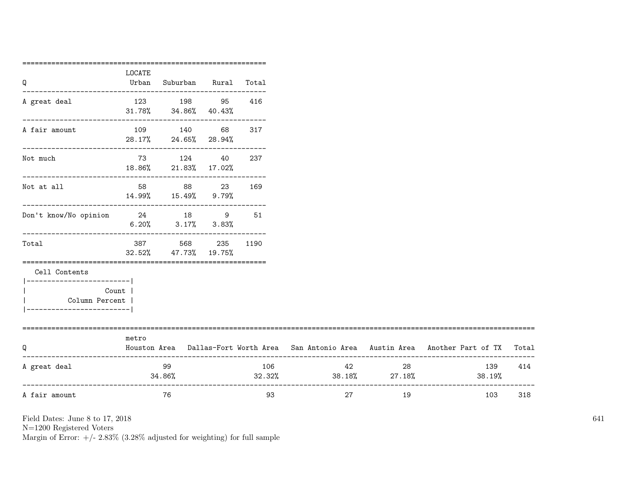|                                  | LOCATE |                                                                 |          |                               |                     |                                                                                           |     |
|----------------------------------|--------|-----------------------------------------------------------------|----------|-------------------------------|---------------------|-------------------------------------------------------------------------------------------|-----|
| Q                                | Urban  | Suburban Rural Total                                            |          |                               |                     |                                                                                           |     |
| A great deal                     |        | 123 198 95                                                      | 416      |                               |                     |                                                                                           |     |
|                                  |        | 31.78% 34.86% 40.43%<br>---------------------------             |          |                               |                     |                                                                                           |     |
| A fair amount                    |        | 109 140 68                                                      | 317      |                               |                     |                                                                                           |     |
|                                  |        | 28.17% 24.65% 28.94%                                            |          |                               |                     |                                                                                           |     |
| Not much                         |        | 73 124 40                                                       | 237      |                               |                     |                                                                                           |     |
|                                  |        | 18.86% 21.83% 17.02%                                            |          |                               |                     |                                                                                           |     |
| Not at all                       |        | 58 88 23 169                                                    |          |                               |                     |                                                                                           |     |
|                                  |        | $14.99\%$ $15.49\%$ $9.79\%$                                    |          |                               |                     |                                                                                           |     |
| Don't know/No opinion 24 18 9 51 |        |                                                                 |          |                               |                     |                                                                                           |     |
|                                  |        | $6.20\%$ $3.17\%$ $3.83\%$<br>--------------------------------- |          |                               |                     |                                                                                           |     |
| Total                            |        | 387 568                                                         | 235 1190 |                               |                     |                                                                                           |     |
|                                  |        | 32.52% 47.73% 19.75%                                            |          |                               |                     |                                                                                           |     |
| Cell Contents                    |        |                                                                 |          |                               |                     |                                                                                           |     |
| -------------------------        |        |                                                                 |          |                               |                     |                                                                                           |     |
| Count  <br>Column Percent        |        |                                                                 |          |                               |                     |                                                                                           |     |
| ------------------------         |        |                                                                 |          |                               |                     |                                                                                           |     |
| ================================ | metro  |                                                                 |          |                               |                     |                                                                                           |     |
| Q                                |        |                                                                 |          |                               |                     | Houston Area Dallas-Fort Worth Area San Antonio Area Austin Area Another Part of TX Total |     |
| A great deal                     |        | 99                                                              | 106      |                               | 42 and $\sim$<br>28 | 139                                                                                       | 414 |
|                                  |        | 34.86%                                                          |          | $32.32\%$ $38.18\%$ $27.18\%$ |                     | 38.19%                                                                                    |     |
| A fair amount                    |        | 76                                                              | 93       | 27                            | 19                  | 103                                                                                       | 318 |
|                                  |        |                                                                 |          |                               |                     |                                                                                           |     |

N=1200 Registered Voters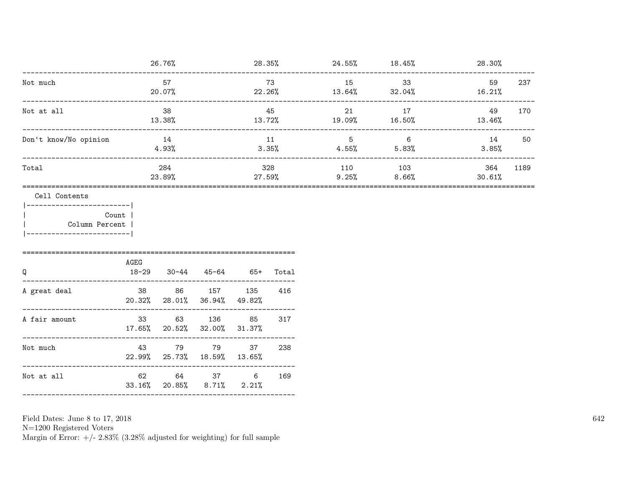|                                                                                            |                                | 26.76%                                |                                        |                |              | $28.35\%$ 24.55% 18.45% |                                   | 28.30%          |      |
|--------------------------------------------------------------------------------------------|--------------------------------|---------------------------------------|----------------------------------------|----------------|--------------|-------------------------|-----------------------------------|-----------------|------|
| Not much                                                                                   |                                | 57<br>20.07%                          |                                        |                | 73<br>22.26% |                         | 33<br>$13.64\%$ $32.04\%$         | 59<br>$16.21\%$ | 237  |
| Not at all                                                                                 |                                | 38<br>13.38%<br>--------------------- |                                        |                | 45<br>13.72% | 21<br>19.09%            | 17<br>16.50%                      | 49<br>13.46%    | 170  |
| Don't know/No opinion                                                                      |                                | 14<br>4.93%                           |                                        | 11<br>3.35%    |              | 5 <sup>5</sup>          | $6\overline{6}$<br>$4.55\%$ 5.83% | 14<br>$3.85\%$  | 50   |
| Total                                                                                      |                                | 284<br>23.89%                         |                                        | 27.59%         | 328          | 110<br>9.25%            | 103<br>8.66%                      | 364<br>30.61%   | 1189 |
| Cell Contents<br> ------------------------ <br>Column Percent<br>_________________________ | Count<br>AGEG                  |                                       |                                        |                |              |                         |                                   |                 |      |
| Q<br>A great deal                                                                          | $18 - 29$                      | 20.32% 28.01% 36.94%                  | $30-44$ $45-64$ $65+$<br>38 86 157 135 | 49.82%         | Total<br>416 |                         |                                   |                 |      |
| A fair amount                                                                              | 17.65% 20.52% 32.00%           |                                       | 33 63 136 85                           | 31.37%         | 317          |                         |                                   |                 |      |
| Not much                                                                                   | 43                             |                                       | 79 79<br>22.99% 25.73% 18.59% 13.65%   | 37             | 238          |                         |                                   |                 |      |
| Not at all                                                                                 |                                |                                       | 33.16% 20.85% 8.71% 2.21%              | 62 64 37 6 169 |              |                         |                                   |                 |      |
|                                                                                            | ------------------------------ |                                       |                                        |                |              |                         |                                   |                 |      |

Field Dates: June 8 to 17,  $2018\,$ 

N=1200 Registered Voters<br>Margin of Error:  $+/- 2.83\%$  (3.28% adjusted for weighting) for full sample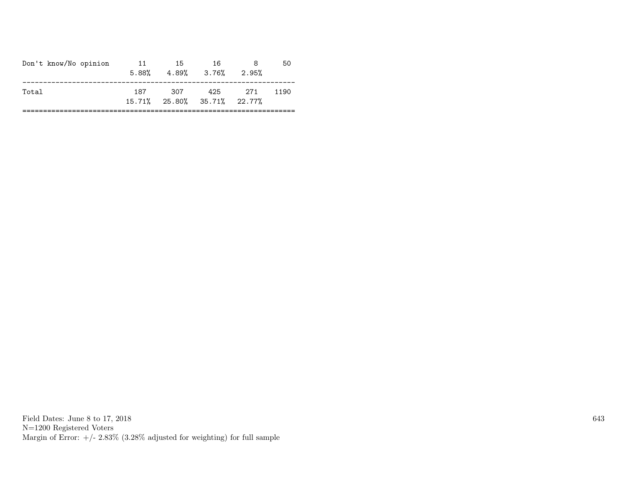| Don't know/No opinion | 11  | -15 | -16<br>$5.88\%$ $4.89\%$ $3.76\%$ $2.95\%$ |     | 50   |
|-----------------------|-----|-----|--------------------------------------------|-----|------|
| Total                 | 187 | 307 | 425<br>$15.71\%$ 25.80% 35.71% 22.77%      | 271 | 1190 |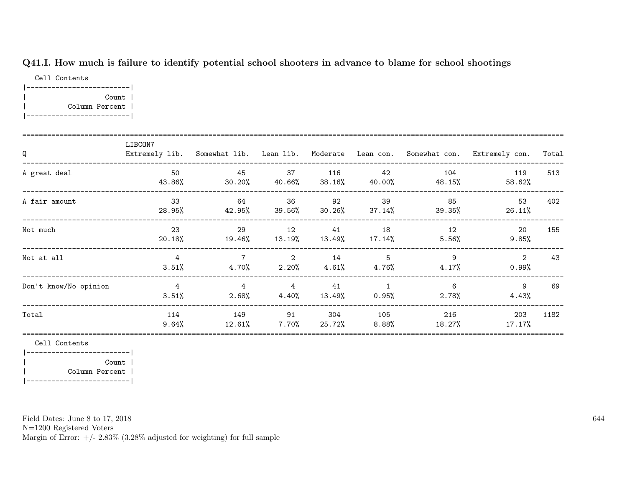## Q41.I. How much is failure to identify potential school shooters in advance to blame for school shootings

Cell Contents |-------------------------| | Count | | Column Percent | |-------------------------|

| Q                     | LIBCON7                 |                            |                                              |                |                       |               | Extremely lib. Somewhat lib. Lean lib. Moderate Lean con. Somewhat con. Extremely con. | Total |
|-----------------------|-------------------------|----------------------------|----------------------------------------------|----------------|-----------------------|---------------|----------------------------------------------------------------------------------------|-------|
| A great deal          | 50<br>43.86%            | 45<br>30.20%               | 37<br>40.66%                                 | 116<br>38.16%  | 42<br>40.00%          | 104<br>48.15% | 119<br>58.62%                                                                          | 513   |
| A fair amount         | 33<br>28.95%            | 64<br>42.95%               | 36<br>$39.56\%$                              | 92<br>30.26%   | 39<br>$37.14\%$       | 85<br>39.35%  | 53<br>26.11%                                                                           | 402   |
| Not much              | 23<br>20.18%            | 29<br>19.46%               | 12<br>13.19%                                 | 41<br>13.49%   | 18<br>17.14%          | 12<br>5.56%   | <b>20</b><br>$9.85\%$                                                                  | 155   |
| Not at all            | $\overline{4}$<br>3.51% | $\overline{7}$             | $\overline{\phantom{a}}$ 2<br>$4.70\%$ 2.20% | 14<br>$4.61\%$ | 5<br>4.76%            | 9<br>$4.17\%$ | 2<br>0.99%                                                                             | 43    |
| Don't know/No opinion | $\overline{4}$<br>3.51% | $\overline{4}$<br>$2.68\%$ | $\overline{4}$<br>4.40%                      | 41<br>13.49%   | $\mathbf{1}$<br>0.95% | 6<br>$2.78\%$ | 9<br>4.43%                                                                             | 69    |
| Total                 | 114<br>$9.64\%$         | 149<br>$12.61\%$           | 91<br>$7.70\%$                               | 304<br>25.72%  | 105<br>8.88%          | 216<br>18.27% | 203<br>$17.17\%$                                                                       | 1182  |

Cell Contents

|-------------------------| | Count | | Column Percent | |-------------------------|

Field Dates: June 8 to 17, 2018

N=1200 Registered Voters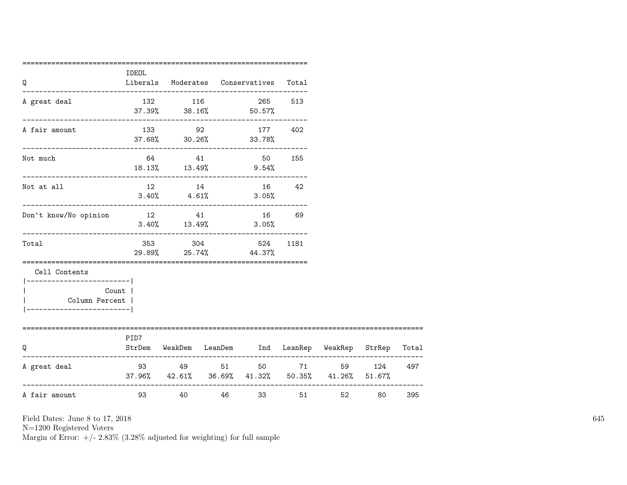| Q                                                                                      | IDEOL    |                            | Liberals Moderates Conservatives Total                                                    |       |      |            |     |
|----------------------------------------------------------------------------------------|----------|----------------------------|-------------------------------------------------------------------------------------------|-------|------|------------|-----|
| A great deal                                                                           |          | 132 116                    | 265 513<br>$37.39\%$ $38.16\%$ 50.57%                                                     |       |      |            |     |
| A fair amount                                                                          |          |                            | --------------------------------------<br>133 92 177 402<br>$37.68\%$ $30.26\%$ $33.78\%$ |       |      |            |     |
| Not much                                                                               |          |                            | 64 41 50 155<br>18.13% 13.49% 9.54%                                                       |       |      |            |     |
| Not at all                                                                             |          | 12 14<br>$3.40\%$ $4.61\%$ | 16 42<br>3.05%                                                                            |       |      |            |     |
| _____________________________<br>Don't know/No opinion                                 | 12 41    |                            | 16<br>$3.40\%$ $13.49\%$ $3.05\%$                                                         | 69    |      |            |     |
| Total                                                                                  |          |                            | 353 304 524<br>29.89% 25.74% 44.37%                                                       | 1181  |      |            |     |
| Cell Contents<br>_______________________<br>Column Percent  <br>---------------------- | Count    |                            |                                                                                           |       |      |            |     |
| O                                                                                      | PID7     |                            | StrDem WeakDem LeanDem Ind LeanRep WeakRep StrRep Total                                   |       |      |            |     |
| A great deal                                                                           |          | 93 49 51                   | $37.96\%$ $42.61\%$ $36.69\%$ $41.32\%$ $50.35\%$ $41.26\%$ $51.67\%$                     | 50 71 |      | 59 124 497 |     |
| A fair amount                                                                          | 93 — 100 |                            | 40 46 33                                                                                  |       | 51 7 | 80 — 10    | 395 |

N=1200 Registered Voters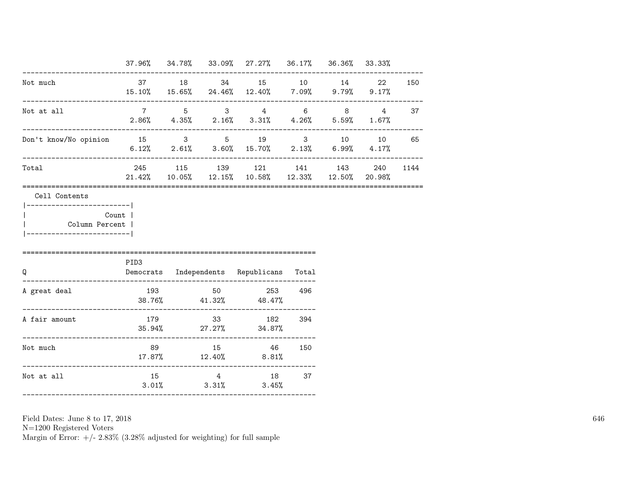|                                                       |                                          |  | 37.96% 34.78% 33.09% 27.27% 36.17% 36.36% 33.33%                                                                                                                  |  |          |
|-------------------------------------------------------|------------------------------------------|--|-------------------------------------------------------------------------------------------------------------------------------------------------------------------|--|----------|
| Not much                                              |                                          |  | 37 18 34 15 10 14 22 150<br>15.10% 15.65% 24.46% 12.40% 7.09% 9.79% 9.17%                                                                                         |  |          |
| Not at all<br>---------------------------             |                                          |  | $\begin{array}{ccccccccccccccccc}\n7 & & & 5 & & 3 & & 4 & & 6 & & 8 & & 4 & & 37\n\end{array}$<br>$2.86\%$ $4.35\%$ $2.16\%$ $3.31\%$ $4.26\%$ $5.59\%$ $1.67\%$ |  |          |
| Don't know/No opinion 15 3 5 19 3 10 10 65            |                                          |  | 6.12% 2.61% 3.60% 15.70% 2.13% 6.99% 4.17%                                                                                                                        |  |          |
| Total                                                 |                                          |  | 245 115 139 121 141 143<br>$21.42\%$ $10.05\%$ $12.15\%$ $10.58\%$ $12.33\%$ $12.50\%$ $20.98\%$                                                                  |  | 240 1144 |
| Count  <br>Column Percent  <br>---------------------- | PID3                                     |  |                                                                                                                                                                   |  |          |
| Q                                                     | Democrats Independents Republicans Total |  |                                                                                                                                                                   |  |          |
|                                                       |                                          |  |                                                                                                                                                                   |  |          |
| A great deal                                          |                                          |  | 193 50 253 496<br>$38.76\%$ $41.32\%$ $48.47\%$                                                                                                                   |  |          |
| A fair amount                                         |                                          |  | 179 33 182 394<br>$35.94\%$ 27.27% 34.87%                                                                                                                         |  |          |
| Not much                                              |                                          |  | 89 15 46 150<br>$17.87\%$ $12.40\%$ $8.81\%$                                                                                                                      |  |          |

N=1200 Registered Voters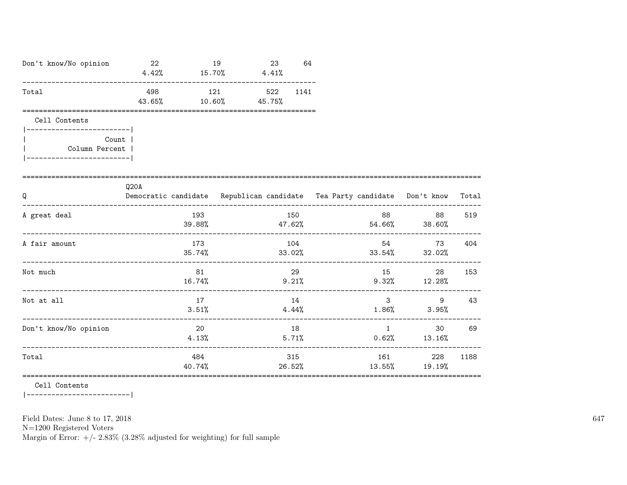| Don't know/No opinion                                                                                 | 22<br>19<br>$4.42\%$ $15.70\%$ $4.41\%$                                          |                       | 23<br>64 |        |      |       |                                                                                                                                                                                                                                 |                                                   |        |
|-------------------------------------------------------------------------------------------------------|----------------------------------------------------------------------------------|-----------------------|----------|--------|------|-------|---------------------------------------------------------------------------------------------------------------------------------------------------------------------------------------------------------------------------------|---------------------------------------------------|--------|
| Total                                                                                                 | 43.65%                                                                           | 498 121 522<br>10.60% |          | 45.75% | 1141 |       |                                                                                                                                                                                                                                 |                                                   |        |
| Cell Contents<br>------------------------- <br>Count  <br>Column Percent  <br>----------------------- |                                                                                  |                       |          |        |      |       |                                                                                                                                                                                                                                 |                                                   |        |
| Q                                                                                                     | Q20A<br>Democratic candidate Republican candidate Tea Party candidate Don't know |                       |          |        |      |       |                                                                                                                                                                                                                                 |                                                   | Total  |
| A great deal                                                                                          |                                                                                  | 193                   |          |        | 150  |       |                                                                                                                                                                                                                                 | 88<br>$39.88\%$ $47.62\%$ $54.66\%$ $38.60\%$     | 519    |
| A fair amount                                                                                         |                                                                                  | 173                   |          |        | 104  |       |                                                                                                                                                                                                                                 | 54 30<br>$35.74\%$ $33.02\%$ $33.54\%$ $32.02\%$  | 73 404 |
| Not much                                                                                              |                                                                                  | 81                    |          |        | 29   |       |                                                                                                                                                                                                                                 | 15<br>28<br>$16.74\%$ $9.21\%$ $9.32\%$ $12.28\%$ | 153    |
| Not at all                                                                                            |                                                                                  | 17<br>3.51%           |          |        | 14   | 4.44% |                                                                                                                                                                                                                                 | $3 \quad \cdots$<br>9<br>$1.86\%$ $3.95\%$        | 43     |
| Don't know/No opinion                                                                                 |                                                                                  | 20<br>4.13%           |          |        | 18   | 5.71% |                                                                                                                                                                                                                                 | $1 \qquad \qquad$<br>$0.62\%$ 13.16%              | 30 69  |
| Total                                                                                                 |                                                                                  | 484                   |          |        | 315  |       | 161 — 161 — 161 — 162 — 162 — 162 — 162 — 162 — 162 — 162 — 162 — 162 — 162 — 162 — 162 — 162 — 162 — 162 — 162 — 162 — 162 — 162 — 162 — 162 — 162 — 162 — 162 — 162 — 162 — 162 — 162 — 162 — 162 — 162 — 162 — 162 — 162 — 1 | 228<br>$40.74\%$ 26.52% 13.55% 19.19%             | 1188   |

Cell Contents

 $|----------$ 

Field Dates: June 8 to 17, 2018

 ${\rm N}{=}1200$  Registered Voters

Margin of Error:  $+/- 2.83\%$  (3.28% adjusted for weighting) for full sample

647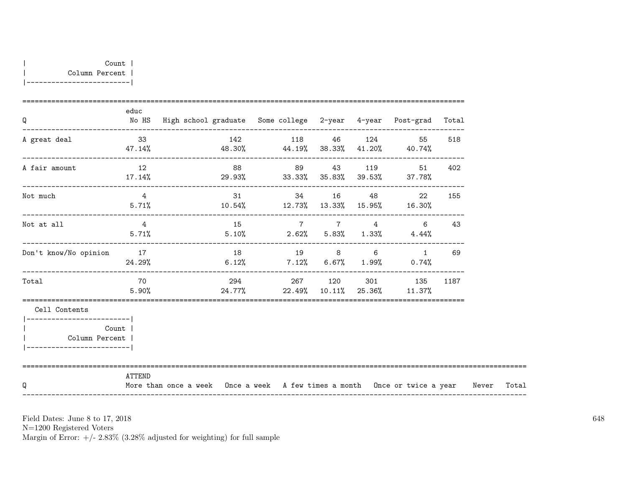| Q                                                                                           | educ               | No HS High school graduate Some college 2-year 4-year Post-grad Total            |    |                |  |                                                                   |     |       |
|---------------------------------------------------------------------------------------------|--------------------|----------------------------------------------------------------------------------|----|----------------|--|-------------------------------------------------------------------|-----|-------|
| A great deal                                                                                | 33                 | $47.14\%$ $48.30\%$ $44.19\%$ $38.33\%$ $41.20\%$ $40.74\%$                      |    | 142 118 46 124 |  | 55                                                                | 518 |       |
| A fair amount                                                                               | 12                 | $17.14\%$ 29.93% 33.33% 35.83% 39.53% 37.78%                                     | 88 |                |  | 89 43 119 51                                                      | 402 |       |
| Not much                                                                                    | $\overline{4}$     | $5.71\%$ $10.54\%$ $12.73\%$ $13.33\%$ $15.95\%$ $16.30\%$                       |    |                |  | 31 34 16 48 22                                                    | 155 |       |
| Not at all                                                                                  | $4\overline{4}$    | $5.71\%$ $5.10\%$ $2.62\%$ $5.83\%$ $1.33\%$ $4.44\%$                            |    | 15 7 7 4       |  | 6                                                                 | 43  |       |
| Don't know/No opinion                                                                       | 17                 | $24.29\%$ 6.12% 7.12% 6.67% 1.99% 0.74%                                          |    | 18 19 8 6      |  | 1                                                                 | 69  |       |
| Total                                                                                       | <b>70</b><br>5.90% |                                                                                  |    |                |  | 294 267 120 301 135 1187<br>$24.77\%$ 22.49% 10.11% 25.36% 11.37% |     |       |
| Cell Contents<br>_________________________<br>Column Percent  <br>------------------------- | Count              |                                                                                  |    |                |  |                                                                   |     |       |
| Q                                                                                           | ATTEND             | More than once a week Once a week A few times a month Once or twice a year Never |    |                |  |                                                                   |     | Total |

N=1200 Registered Voters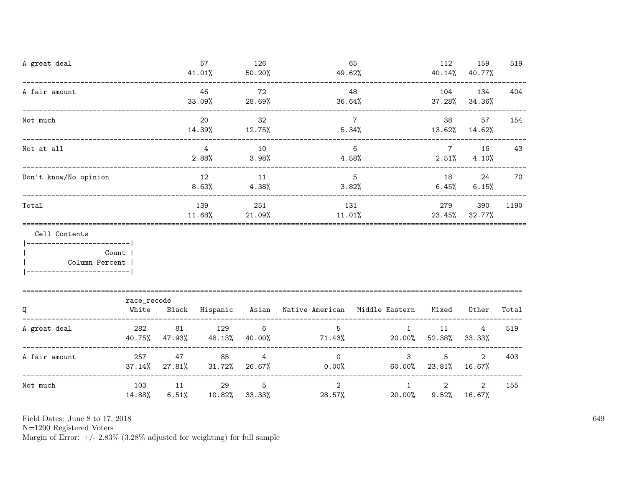| A great deal                                                               |                                    |              | 57<br>41.01%               | 126<br>50.20%                                   | 49.62%                                                    | 65                       | 112                       | 159<br>40.14% 40.77%     | 519   |
|----------------------------------------------------------------------------|------------------------------------|--------------|----------------------------|-------------------------------------------------|-----------------------------------------------------------|--------------------------|---------------------------|--------------------------|-------|
| A fair amount                                                              | ______________________             |              | 46<br>33.09%               | 72<br>28.69%                                    | 36.64%                                                    | 48                       |                           | 104 134<br>37.28% 34.36% | 404   |
| Not much                                                                   | ---------------------------------- |              | 20<br>14.39%               | 32<br>12.75%                                    |                                                           | $7\overline{ }$<br>5.34% | 38<br>$13.62\%$ $14.62\%$ | 57                       | 154   |
| Not at all                                                                 |                                    |              | $\overline{4}$<br>2.88%    | 10<br>$3.98\%$                                  | $6\overline{6}$<br>$4.58\%$                               | $7\overline{ }$          | 16<br>$2.51\%$ 4.10%      | 43                       |       |
| Don't know/No opinion                                                      |                                    |              | 12<br>8.63%                | 11<br>$4.38\%$                                  |                                                           | $5^{\circ}$<br>3.82%     | 18 18                     | 24<br>$6.45\%$ $6.15\%$  | 70    |
| Total                                                                      |                                    |              | 139<br>11.68%              | 251<br>131<br>21.09%<br>$11.01\%$ 23.45% 32.77% |                                                           |                          |                           | 279<br>390               | 1190  |
| Cell Contents<br>------------------------- <br>Count  <br>  Column Percent |                                    |              |                            |                                                 |                                                           |                          |                           |                          |       |
| Q                                                                          | race_recode<br>White               |              |                            |                                                 | Black Hispanic Asian Native-American Middle-Eastern Mixed |                          |                           | Other                    | Total |
| A great deal                                                               | 282<br>40.75%                      | 81<br>47.93% | 129<br>48.13%              | $\overline{6}$<br>40.00%                        | 5 <sup>5</sup><br>$71.43\%$ 20.00% 52.38%                 | 1                        | 11                        | 4<br>33.33%              | 519   |
| A fair amount                                                              | 257                                | 47           | 85<br>37.14% 27.81% 31.72% | $4\overline{ }$<br>26.67%                       | $\Omega$<br>0.00%                                         | $\mathbf{3}$             | 5<br>60.00% 23.81% 16.67% | $\overline{2}$           | 403   |
| Not much                                                                   | 103<br>14.88%                      | 11<br>6.51%  | 29<br>10.82%               | - 5<br>33.33%                                   | 2<br>28.57%                                               | $\mathbf{1}$<br>20.00%   | 2<br>9.52%                | $\overline{2}$<br>16.67% | 155   |

N=1200 Registered Voters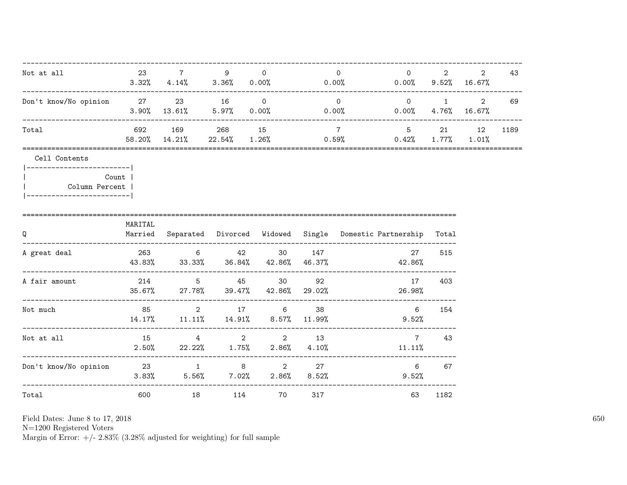| Not at all                                                                                   | 23 7    |                                                                                          | 9                  | $\Omega$              |                | $\Omega$       | $\overline{0}$<br>$3.32\%$ $4.14\%$ $3.36\%$ $0.00\%$ $0.00\%$ $0.00\%$ $0.00\%$ $9.52\%$ $16.67\%$ | $2 \quad$ | $\overline{2}$  | 43   |
|----------------------------------------------------------------------------------------------|---------|------------------------------------------------------------------------------------------|--------------------|-----------------------|----------------|----------------|-----------------------------------------------------------------------------------------------------|-----------|-----------------|------|
| Don't know/No opinion 27 23 16 0                                                             |         | $3.90\%$ $13.61\%$ $5.97\%$ 0.00%                                                        |                    |                       |                | $\overline{0}$ | $0 \qquad \qquad 1 \qquad \qquad 2$<br>$0.00\%$ 0.00%                                               |           | $4.76\%$ 16.67% | 69   |
| Total                                                                                        |         | 692 169 268 15<br>58.20% 14.21%                                                          |                    | $22.54\%$ 1.26% 0.59% | $\overline{7}$ |                | $0.42\%$ 1.77% 1.01%                                                                                | 5 21      | 12              | 1189 |
| Cell Contents<br>------------------------- <br>Column Percent  <br>------------------------- | Count   |                                                                                          |                    |                       |                |                |                                                                                                     |           |                 |      |
| Q<br>-------------------------------                                                         | MARITAL |                                                                                          |                    |                       |                |                | Married Separated Divorced Widowed Single Domestic-Partnership Total                                |           |                 |      |
| A great deal                                                                                 |         | 263 6 42 30 147<br>$43.83\%$ $33.33\%$ $36.84\%$ $42.86\%$ $46.37\%$ $46.37\%$ $42.86\%$ |                    |                       |                |                | 27                                                                                                  | 515       |                 |      |
| A fair amount                                                                                |         | 214 5 45 30 92<br>$35.67\%$ 27.78% $39.47\%$ 42.86% 29.02%                               |                    |                       |                |                | 17<br>26.98%                                                                                        | 403       |                 |      |
| Not much                                                                                     |         | 85 2 17 6<br>14.17%  11.11%  14.91%  8.57%  11.99%                                       |                    |                       | 38             |                | $6\overline{6}$<br>9.52%                                                                            | 154       |                 |      |
| Not at all                                                                                   | 15      | $2.50\%$ 22.22% 1.75% 2.86% 4.10%                                                        | $4\qquad \qquad 2$ |                       | 2 13           |                | $7\phantom{.0}$<br>11.11%                                                                           | 43        |                 |      |
| Don't know/No opinion  23  1  8  2  27                                                       |         | $3.83\%$ $5.56\%$ $7.02\%$ $2.86\%$ $8.52\%$                                             |                    |                       |                |                | 6<br>9.52%                                                                                          | 67        |                 |      |
| Total                                                                                        | 600     |                                                                                          | 114                | 70                    | 317            |                | 63                                                                                                  | 1182      |                 |      |

Field Dates: June 8 to 17,  $2018\,$ 

N=1200 Registered Voters<br>Margin of Error:  $+/- 2.83\%$  (3.28% adjusted for weighting) for full sample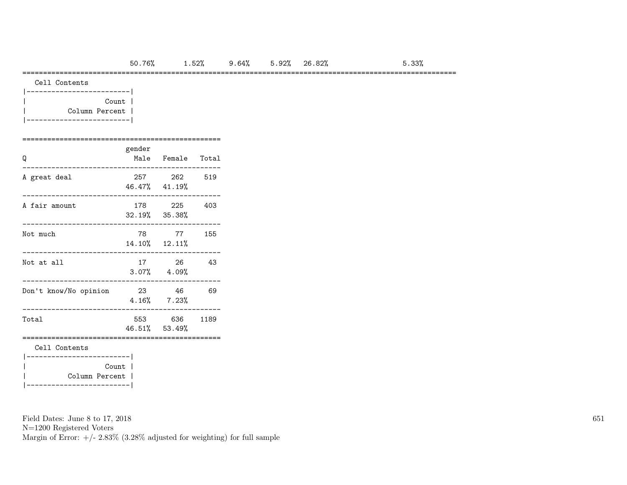#### =========================================================================================================

| Cell Contents |
|---------------|
|               |

| Count          |  |
|----------------|--|
| Column Percent |  |
|                |  |

### ================================================ gender

| Q                                       |       | Male Female Total             |     |
|-----------------------------------------|-------|-------------------------------|-----|
| A great deal                            |       | 257 262<br>46.47% 41.19%      | 519 |
| A fair amount                           |       | 178 225<br>32.19% 35.38%      | 403 |
| Not much                                |       | 78 77<br>$14.10\%$ $12.11\%$  | 155 |
| Not at all                              |       | 17 26<br>$3.07\%$ $4.09\%$    | 43  |
| Don't know/No opinion                   | 23 46 | $4.16\%$ 7.23%                | 69  |
| Total                                   |       | 553 636 1189<br>46.51% 53.49% |     |
| Cell Contents<br>---------------------- |       |                               |     |
| Column Percent                          | Count |                               |     |

Field Dates: June 8 to 17, 2018

N=1200 Registered Voters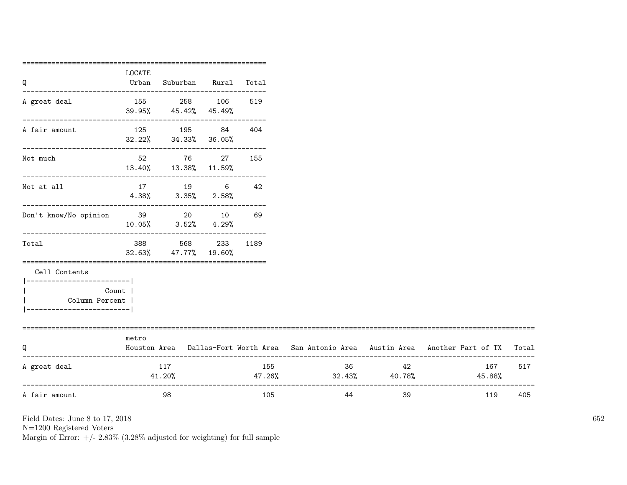|                                   | LOCATE  |                                                                |              |     |                            |          |                                                                                           |     |
|-----------------------------------|---------|----------------------------------------------------------------|--------------|-----|----------------------------|----------|-------------------------------------------------------------------------------------------|-----|
| Q                                 | Urban   | Suburban Rural Total                                           |              |     |                            |          |                                                                                           |     |
| A great deal                      |         | 155 258 106                                                    |              | 519 |                            |          |                                                                                           |     |
|                                   |         | 39.95% 45.42% 45.49%<br>---------------------------            |              |     |                            |          |                                                                                           |     |
| A fair amount                     |         | 125 195 84                                                     |              | 404 |                            |          |                                                                                           |     |
|                                   |         | $32.22\%$ $34.33\%$ $36.05\%$<br>----------------------------- |              |     |                            |          |                                                                                           |     |
| Not much                          |         | 52 76 27                                                       |              | 155 |                            |          |                                                                                           |     |
|                                   |         | 13.40% 13.38% 11.59%                                           |              |     |                            |          |                                                                                           |     |
| Not at all                        |         | 17 19 6 42                                                     |              |     |                            |          |                                                                                           |     |
|                                   |         | $4.38\%$ $3.35\%$ $2.58\%$                                     |              |     |                            |          |                                                                                           |     |
| Don't know/No opinion 39 20 10 69 |         |                                                                |              |     |                            |          |                                                                                           |     |
|                                   |         | $10.05\%$ $3.52\%$ $4.29\%$                                    |              |     |                            |          |                                                                                           |     |
| Total                             | 388 388 |                                                                | 568 233 1189 |     |                            |          |                                                                                           |     |
|                                   |         | 32.63% 47.77% 19.60%                                           |              |     |                            |          |                                                                                           |     |
| Cell Contents                     |         |                                                                |              |     |                            |          |                                                                                           |     |
| __________________________        |         |                                                                |              |     |                            |          |                                                                                           |     |
| Count  <br>Column Percent         |         |                                                                |              |     |                            |          |                                                                                           |     |
| -----------------------           |         |                                                                |              |     |                            |          |                                                                                           |     |
| ============================      |         |                                                                |              |     |                            |          |                                                                                           |     |
| Q                                 | metro   |                                                                |              |     |                            |          | Houston Area Dallas-Fort Worth Area San Antonio Area Austin Area Another Part of TX Total |     |
| A great deal                      |         | 117                                                            |              | 155 |                            | 36<br>42 | 167                                                                                       | 517 |
|                                   |         | 41.20%                                                         |              |     | $47.26\%$ 32.43% $40.78\%$ |          | 45.88%                                                                                    |     |
| A fair amount                     |         | 98                                                             |              | 105 | 44                         | 39       | 119                                                                                       | 405 |
|                                   |         |                                                                |              |     |                            |          |                                                                                           |     |

N=1200 Registered Voters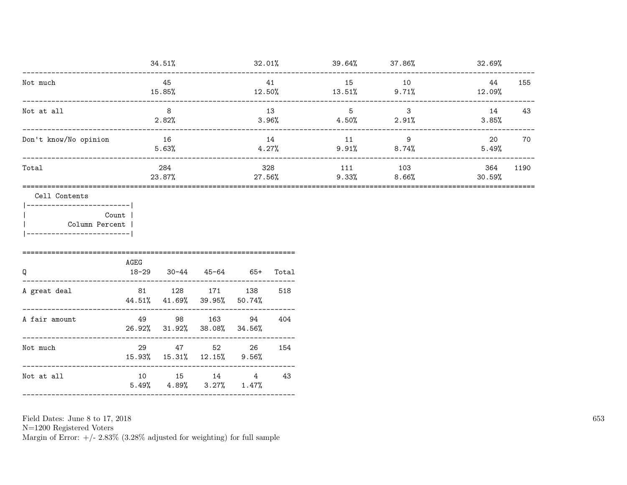|                                                                                                       |                   | 34.51%                                    |                       |                          |               | $32.01\%$ $39.64\%$ $37.86\%$ $37.86\%$ $32.69\%$ |                                |                |      |
|-------------------------------------------------------------------------------------------------------|-------------------|-------------------------------------------|-----------------------|--------------------------|---------------|---------------------------------------------------|--------------------------------|----------------|------|
| Not much                                                                                              |                   | 45                                        |                       |                          | 41            | 15                                                | 10                             | 44             | 155  |
|                                                                                                       |                   | 15.85%                                    |                       |                          |               | $12.50\%$ $13.51\%$ $9.71\%$                      |                                | 12.09%         |      |
| Not at all                                                                                            |                   | 8<br>2.82%                                |                       | 13<br>3.96%              |               | 5 <sup>5</sup>                                    | $\mathbf{3}$<br>$4.50\%$ 2.91% | 14<br>$3.85\%$ | 43   |
| Don't know/No opinion                                                                                 |                   | 16<br>5.63%                               |                       |                          | 14<br>4.27%   | 11                                                | 9<br>$9.91\%$ 8.74%            | 20<br>5.49%    | 70   |
| Total                                                                                                 |                   | 284<br>23.87%                             |                       |                          | 328<br>27.56% | 111<br>9.33%                                      | 103<br>8.66%                   | 364<br>30.59%  | 1190 |
| Cell Contents<br> ------------------------- <br>Count<br>  Column Percent<br>________________________ |                   |                                           |                       |                          |               |                                                   |                                |                |      |
| Q                                                                                                     | AGEG<br>$18 - 29$ |                                           | $30-44$ $45-64$ $65+$ |                          | Total         |                                                   |                                |                |      |
| A great deal                                                                                          |                   | 44.51% 41.69% 39.95%                      |                       | 81 128 171 138<br>50.74% | 518           |                                                   |                                |                |      |
| A fair amount                                                                                         |                   | 49 98 163<br>26.92% 31.92% 38.08%         |                       | 94<br>34.56%             | 404           |                                                   |                                |                |      |
| Not much                                                                                              |                   | 29 47 52 26<br>15.93% 15.31% 12.15% 9.56% |                       |                          | 154           |                                                   |                                |                |      |
| Not at all                                                                                            |                   | $5.49\%$ $4.89\%$ $3.27\%$ $1.47\%$       |                       | 10 15 14 4 43            |               |                                                   |                                |                |      |

Field Dates: June 8 to 17,  $2018\,$ 

N=1200 Registered Voters<br>Margin of Error:  $+/- 2.83\%$  (3.28% adjusted for weighting) for full sample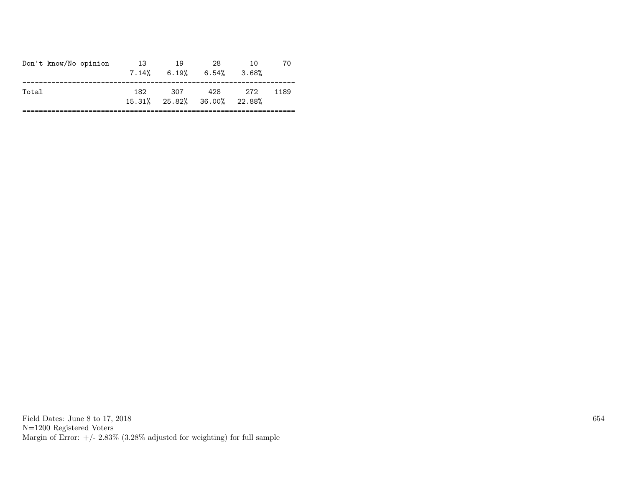|                                                            | 10<br>3.68% | 70   |
|------------------------------------------------------------|-------------|------|
| 428<br>307<br>182.<br>Total<br>15.31% 25.82% 36.00% 22.88% | - 272       | 1189 |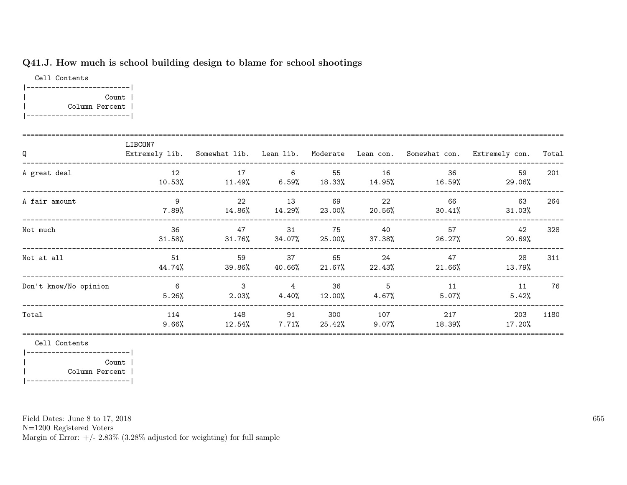## Q41.J. How much is school building design to blame for school shootings

Cell Contents |-------------------------| | Count | | Column Percent | |-------------------------|

| Q                     | LIBCON7                  |                            |                                        |                  |                 |                                                         | Extremely lib. Somewhat lib. Lean lib. Moderate Lean con. Somewhat con. Extremely con. | Total |
|-----------------------|--------------------------|----------------------------|----------------------------------------|------------------|-----------------|---------------------------------------------------------|----------------------------------------------------------------------------------------|-------|
| A great deal          | 12<br>10.53%             | 17                         | 6                                      | 55               | 16              | 36<br>$11.49\%$ 6.59% $18.33\%$ 14.95% $16.59\%$        | 59<br>29.06%                                                                           | 201   |
| A fair amount         | 9<br>7.89%               | 22                         | 13                                     | 69               | 22              | 66<br>$14.86\%$ $14.29\%$ $23.00\%$ $20.56\%$ $30.41\%$ | 63<br>$31.03\%$                                                                        | 264   |
| Not much              | 36<br>$31.58\%$          |                            | 47 — 200<br>31<br>31.76% 34.07% 25.00% | 75               | 40              | 57<br>$37.38\%$ 26.27%                                  | 42<br>20.69%                                                                           | 328   |
| Not at all            | 51<br>44.74%             | 59<br>39.86%               | 37<br>$40.66\%$ 21.67%                 | 65               | -24<br>22.43%   | 47<br>$21.66\%$                                         | 28<br>13.79%                                                                           | 311   |
| Don't know/No opinion | $6\overline{6}$<br>5.26% | 3 <sup>3</sup><br>$2.03\%$ | $\overline{4}$<br>4.40%                | 36<br>$12.00\%$  | 5<br>$4.67\%$   | 11<br>5.07%                                             | 11<br>5.42%                                                                            | 76    |
| Total                 | 114<br>9.66%             | 148<br>12.54%              | 91<br>7.71%                            | 300<br>$25.42\%$ | 107<br>$9.07\%$ | 217<br>18.39%                                           | 203<br>17.20%                                                                          | 1180  |

Cell Contents

|-------------------------| | Count | | Column Percent | |-------------------------|

Field Dates: June 8 to 17, 2018

N=1200 Registered Voters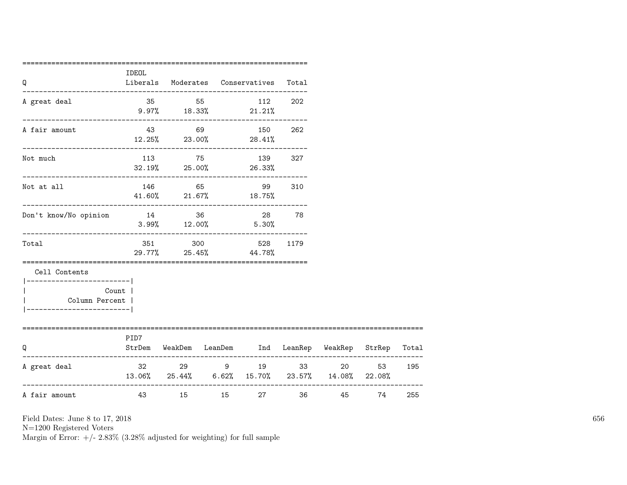| Q                                                                                       | IDEOL |          | Liberals Moderates Conservatives                                    | Total |       |    |     |
|-----------------------------------------------------------------------------------------|-------|----------|---------------------------------------------------------------------|-------|-------|----|-----|
| A great deal                                                                            |       | 35 55 56 | 112 202<br>$9.97\%$ 18.33% 21.21%                                   |       |       |    |     |
| A fair amount                                                                           |       |          | 43 69 150 262<br>$12.25\%$ 23.00% 28.41%                            |       |       |    |     |
| Not much                                                                                |       |          | 113 75 139 327<br>$32.19\%$ 25.00% 26.33%                           |       |       |    |     |
| Not at all                                                                              |       | 146 65   | -------------------------------------<br>99<br>41.60% 21.67% 18.75% | 310   |       |    |     |
| Don't know/No opinion                                                                   | 14 36 |          | 28 78<br>$3.99\%$ $12.00\%$ $5.30\%$                                |       |       |    |     |
| Total                                                                                   |       | 351 300  | 528<br>29.77% 25.45% 44.78%                                         | 1179  |       |    |     |
| Cell Contents<br>---------------------- <br>Column Percent  <br>----------------------- | Count |          |                                                                     |       |       |    |     |
| Q                                                                                       | PID7  |          | StrDem WeakDem LeanDem Ind LeanRep WeakRep StrRep Total             |       |       |    |     |
| A great deal                                                                            |       |          | 32 29 9 19 33<br>$13.06\%$ 25.44% 6.62% 15.70% 23.57% 14.08% 22.08% |       | 20    | 53 | 195 |
| A fair amount                                                                           | 43    | 15 — 15  | 27 — 27<br>15                                                       |       | 36 45 | 74 | 255 |

N=1200 Registered Voters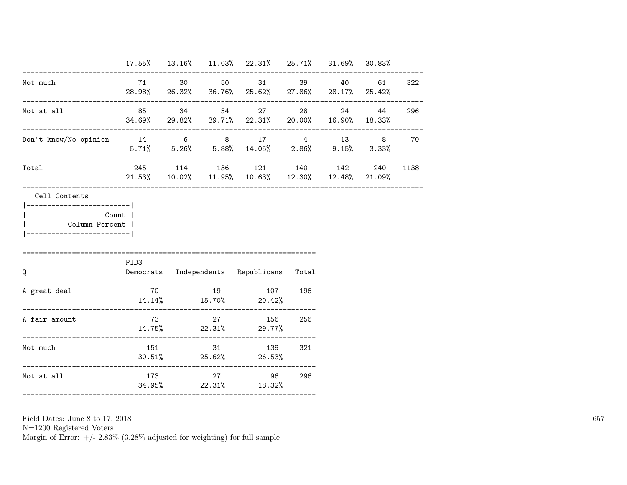|                                                      |                            |  | 17.55% 13.16% 11.03% 22.31% 25.71% 31.69% 30.83%                                                 |     |           |      |
|------------------------------------------------------|----------------------------|--|--------------------------------------------------------------------------------------------------|-----|-----------|------|
| Not much                                             |                            |  | 71 30 50 31 39<br>28.98% 26.32% 36.76% 25.62% 27.86% 28.17% 25.42%                               |     | 40 61 322 |      |
| Not at all<br>--------------------------             |                            |  | 85 34 54 27<br>34.69% 29.82% 39.71% 22.31% 20.00% 16.90% 18.33%                                  |     | 24 44 296 |      |
| Don't know/No opinion 14 6 8 17 4 13 8 70            |                            |  | $5.71\%$ $5.26\%$ $5.88\%$ $14.05\%$ $2.86\%$ $9.15\%$ $3.33\%$                                  |     |           |      |
| Total                                                |                            |  | 245 114 136 121 140 142<br>$21.53\%$ $10.02\%$ $11.95\%$ $10.63\%$ $12.30\%$ $12.48\%$ $21.09\%$ |     | 240       | 1138 |
| Count  <br>Column Percent  <br>--------------------- | PID3                       |  |                                                                                                  |     |           |      |
| Q                                                    |                            |  | Democrats Independents Republicans Total                                                         |     |           |      |
| A great deal                                         | $14.14\%$ $15.70\%$ 20.42% |  | 70 19 107 196                                                                                    |     |           |      |
| A fair amount                                        | $14.75\%$ 22.31% 29.77%    |  | 73 27 156 256                                                                                    |     |           |      |
| Not much                                             |                            |  | 151 31 139 321<br>$30.51\%$ 25.62% 26.53%                                                        |     |           |      |
| Not at all                                           | 173                        |  | 27 96<br>34.95% 22.31% 18.32%                                                                    | 296 |           |      |

N=1200 Registered Voters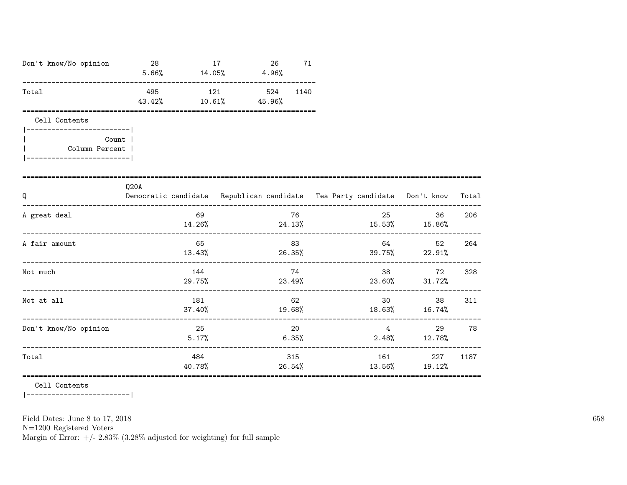| Don't know/No opinion                  | 28<br>$5.66\%$ $14.05\%$ $4.96\%$ |                         | 17 | 26     | 71   |       |                 |                                                                                                                                                                                                                                                                                                                                                                |       |
|----------------------------------------|-----------------------------------|-------------------------|----|--------|------|-------|-----------------|----------------------------------------------------------------------------------------------------------------------------------------------------------------------------------------------------------------------------------------------------------------------------------------------------------------------------------------------------------------|-------|
| Total                                  | 495<br>43.42%                     | 121<br>$10.61\%$ 45.96% |    | 524    | 1140 |       |                 |                                                                                                                                                                                                                                                                                                                                                                |       |
| Cell Contents<br>--------------------- |                                   |                         |    |        |      |       |                 |                                                                                                                                                                                                                                                                                                                                                                |       |
| Count  <br>Column Percent              |                                   |                         |    |        |      |       |                 |                                                                                                                                                                                                                                                                                                                                                                |       |
| Q                                      | Q20A                              |                         |    |        |      |       |                 | Democratic candidate Republican candidate Tea Party candidate Don't know                                                                                                                                                                                                                                                                                       | Total |
| A great deal                           |                                   | 69<br>$14.26\%$         |    |        | 76   |       | 25              | 36<br>$24.13\%$ $15.53\%$ $15.86\%$                                                                                                                                                                                                                                                                                                                            | 206   |
| A fair amount                          |                                   | 65<br>13.43%            |    |        | 83   |       | 64 64 64 64 65  | 52<br>$26.35\%$ 39.75% 22.91%                                                                                                                                                                                                                                                                                                                                  | 264   |
| Not much                               |                                   | 144                     |    |        | 74   |       | 38 38 38        | 72<br>$29.75\%$ 23.49% 23.60% 31.72%                                                                                                                                                                                                                                                                                                                           | 328   |
| Not at all                             |                                   | 181<br>37.40%           |    | 19.68% | 62   |       | 30 <sup>1</sup> | 38<br>$18.63\%$ $16.74\%$                                                                                                                                                                                                                                                                                                                                      | 311   |
| Don't know/No opinion                  |                                   | 25<br>$5.17\%$          |    |        | 20   | 6.35% |                 | $\overline{4}$ and $\overline{4}$ and $\overline{4}$ and $\overline{4}$ and $\overline{4}$ and $\overline{4}$ and $\overline{4}$ and $\overline{4}$ and $\overline{4}$ and $\overline{4}$ and $\overline{4}$ and $\overline{4}$ and $\overline{4}$ and $\overline{4}$ and $\overline{4}$ and $\overline{4}$ and $\overline{4}$ and<br>29<br>$2.48\%$ $12.78\%$ | 78    |
| Total                                  |                                   | 484                     |    |        | 315  |       | 161             | 227<br>$40.78\%$ 26.54% 13.56% 19.12%                                                                                                                                                                                                                                                                                                                          | 1187  |

 $\mathtt{Cell}$  Contents

|------------------------|

Field Dates: June 8 to 17, 2018

 ${\rm N}{=}1200$  Registered Voters

Margin of Error:  $+/- 2.83\%$  (3.28% adjusted for weighting) for full sample

658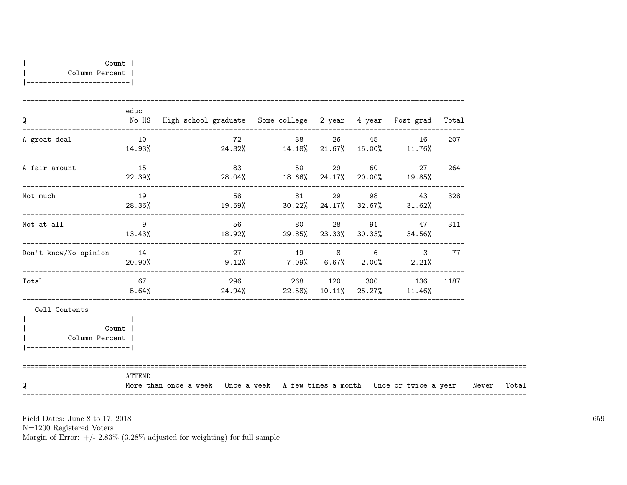| Q                                                                                          | educ             | No HS High school graduate Some college 2-year 4-year Post-grad Total            |    |       |        |                                                              |      |       |
|--------------------------------------------------------------------------------------------|------------------|----------------------------------------------------------------------------------|----|-------|--------|--------------------------------------------------------------|------|-------|
| A great deal                                                                               | 10               | $14.93\%$ $24.32\%$ $14.18\%$ $21.67\%$ $15.00\%$ $11.76\%$                      |    |       |        | 72 38 26 45 16                                               | 207  |       |
| A fair amount                                                                              | 15               | $22.39%$ 28.04% 18.66% 24.17% 20.00% 19.85%                                      | 83 |       |        | 50 29 60 27                                                  | 264  |       |
| Not much                                                                                   | 19               | $28.36\%$ $19.59\%$ $30.22\%$ $24.17\%$ $32.67\%$ $31.62\%$                      |    | 58 81 |        | 29 98 43                                                     | 328  |       |
| Not at all                                                                                 | $\overline{9}$   | $13.43\%$ $18.92\%$ $29.85\%$ $23.33\%$ $30.33\%$ $34.56\%$                      |    |       |        | 56 80 28 91 47                                               | 311  |       |
| Don't know/No opinion                                                                      | 14               | $20.90\%$ $9.12\%$ $7.09\%$ $6.67\%$ $2.00\%$ $2.21\%$                           | 27 |       | 19 8 6 | $\mathbf{3}$                                                 | 77   |       |
| Total                                                                                      | 67 — 10<br>5.64% |                                                                                  |    |       |        | 296 268 120 300 136<br>$24.94\%$ 22.58% 10.11% 25.27% 11.46% | 1187 |       |
| Cell Contents<br>------------------------<br>Column Percent  <br>------------------------- | Count            |                                                                                  |    |       |        |                                                              |      |       |
| Q                                                                                          | ATTEND           | More than once a week Once a week A few times a month Once or twice a year Never |    |       |        |                                                              |      | Total |

N=1200 Registered Voters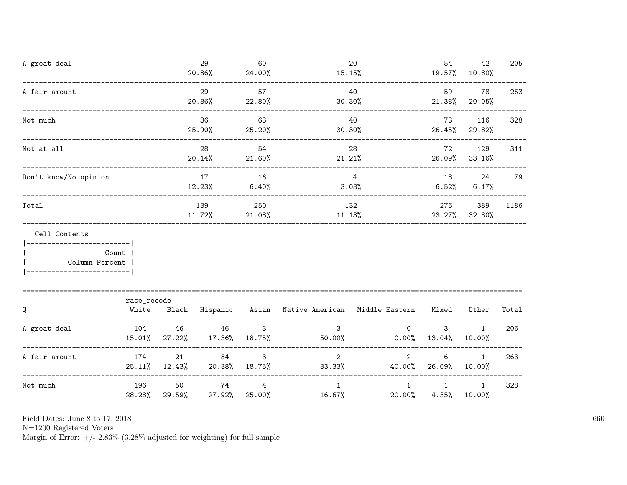| A great deal                                                    |                                    |                     | 29<br>20.86%                      | 60<br>24.00%           | $15.15\%$                                                 | 20                      | 54                    | 42<br>19.57% 10.80%     | 205   |
|-----------------------------------------------------------------|------------------------------------|---------------------|-----------------------------------|------------------------|-----------------------------------------------------------|-------------------------|-----------------------|-------------------------|-------|
| A fair amount                                                   |                                    |                     | 29<br>20.86%                      | 57<br>22.80%           | 30.30%                                                    | 40                      | 59                    | 78<br>21.38% 20.05%     | 263   |
| Not much                                                        | __________________________________ |                     | 36<br>25.90%                      | 63<br>25.20%           | 30.30%                                                    | 40                      | 73                    | 116<br>26.45% 29.82%    | 328   |
| Not at all                                                      |                                    |                     | 28<br>$20.14\%$                   | 54<br>21.60%           | $21.21\%$                                                 | 28                      | 72                    | 129<br>26.09% 33.16%    | 311   |
| Don't know/No opinion                                           |                                    |                     | 17<br>12.23%                      | 16<br>6.40%            |                                                           | $\overline{4}$<br>3.03% | 18 18                 | 24<br>$6.52\%$ $6.17\%$ | 79    |
| Total                                                           |                                    |                     | 139<br>11.72%                     | 250<br>21.08%          |                                                           | 132<br>11.13%           |                       |                         | 1186  |
| Cell Contents<br>------------------------- <br>  Column Percent | Count                              |                     |                                   |                        |                                                           |                         |                       |                         |       |
| Q                                                               | race_recode<br>White               |                     |                                   |                        | Black Hispanic Asian Native-American Middle-Eastern Mixed |                         |                       | Other                   | Total |
| A great deal                                                    | 104                                | 46<br>15.01% 27.22% | 46<br>17.36%                      | $\mathbf{3}$<br>18.75% | $\mathbf{3}$<br>$50.00\%$ 0.00% 13.04%                    | $\overline{0}$          | $\mathbf{3}$          | $\mathbf{1}$<br>10.00%  | 206   |
| A fair amount                                                   | 174                                | 21                  | 54<br>25.11% 12.43% 20.38% 18.75% | 3                      | $\overline{2}$<br>$33.33\%$                               | $\overline{2}$          | 6<br>40.00% 26.09%    | $\mathbf{1}$<br>10.00%  | 263   |
| Not much                                                        | 196<br>$28.28\%$                   | 50<br>29.59%        | 74<br>27.92%                      | $\overline{4}$         | $\mathbf{1}$<br>25.00%<br>$16.67\%$                       | $\mathbf{1}$<br>20.00%  | $\mathbf{1}$<br>4.35% | $\mathbf{1}$<br>10.00%  | 328   |

N=1200 Registered Voters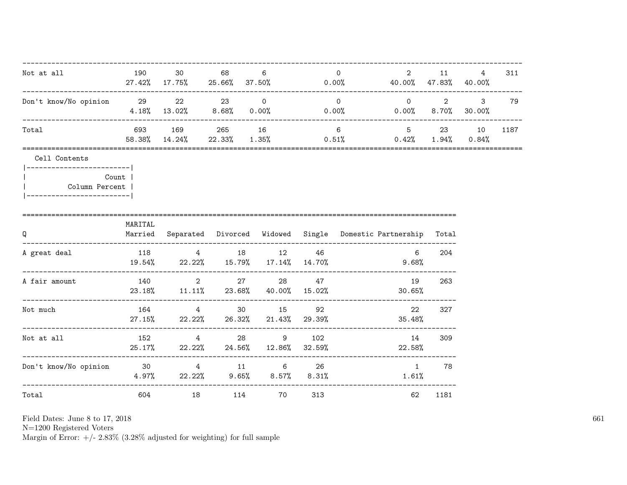| Not at all                                                     | 190     | 30                             | 68                | 6<br>$27.42\%$ 17.75% 25.66% 37.50% 0.00% 40.00% 47.83% 40.00%                     |    | $\Omega$        | $2 \left( \frac{1}{2} \right)$                                | 11 \, | 4 | 311  |
|----------------------------------------------------------------|---------|--------------------------------|-------------------|------------------------------------------------------------------------------------|----|-----------------|---------------------------------------------------------------|-------|---|------|
| Don't know/No opinion 29                                       |         | 22 23 0<br>------------------- |                   | $4.18\%$ $13.02\%$ $8.68\%$ $0.00\%$ $0.00\%$ $0.00\%$ $0.00\%$ $8.70\%$ $30.00\%$ |    | $\overline{0}$  | --------------------------<br>$0 \qquad 2 \qquad 3 \qquad 79$ |       |   |      |
| Total                                                          |         | 58.38% 14.24%                  | ----------------- | 693 169 265 16<br>$22.33\%$ 1.35% 0.51% 0.42% 1.94% 0.84%                          |    | $6\overline{6}$ | 5 23 10                                                       |       |   | 1187 |
| Cell Contents<br> ------------------------- <br>Column Percent | Count   |                                |                   |                                                                                    |    |                 |                                                               |       |   |      |
| Q                                                              | MARITAL |                                |                   | Married Separated Divorced Widowed Single Domestic Partnership Total               |    |                 |                                                               |       |   |      |
| A great deal                                                   |         |                                |                   | 118 4 18 12<br>$19.54\%$ 22.22% 15.79% 17.14% 14.70% 9.68%                         | 46 |                 | 6                                                             | 204   |   |      |
| A fair amount                                                  |         |                                |                   | 140 2 27 28 47<br>$23.18\%$ $11.11\%$ $23.68\%$ $40.00\%$ $15.02\%$                |    |                 | 19<br>30.65%                                                  | 263   |   |      |
| Not much                                                       |         |                                |                   | 164 4 30 15<br>27.15% 22.22% 26.32% 21.43% 29.39%                                  | 92 |                 | 22<br>35.48%                                                  | 327   |   |      |
| Not at all                                                     |         |                                |                   | 152 4 28 9 102<br>25.17% 22.22% 24.56% 12.86% 32.59%                               |    |                 | 14<br>22.58%                                                  | 309   |   |      |
| Don't know/No opinion 30 5 4 5 11 5 26                         |         |                                |                   | $4.97\%$ 22.22% 9.65% 8.57% 8.31% 1.61%                                            |    |                 | $\sim$ 1                                                      | 78    |   |      |
| Total                                                          |         | 604 000                        |                   | 114 70 313                                                                         |    |                 | 62                                                            | 1181  |   |      |

N=1200 Registered Voters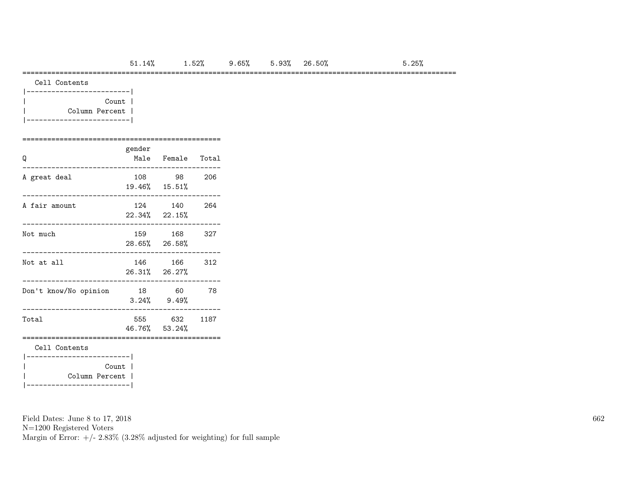#### =========================================================================================================

| Count          |  |
|----------------|--|
| Column Percent |  |
|                |  |

### ================================================ gender

| Q                                                    |       | Male Female Total             |     |  |  |  |  |  |  |  |  |
|------------------------------------------------------|-------|-------------------------------|-----|--|--|--|--|--|--|--|--|
| A great deal                                         |       | 108 98<br>19.46% 15.51%       | 206 |  |  |  |  |  |  |  |  |
| A fair amount                                        |       | 124 140<br>22.34% 22.15%      | 264 |  |  |  |  |  |  |  |  |
| Not much                                             |       | 159 168<br>28.65% 26.58%      | 327 |  |  |  |  |  |  |  |  |
| Not at all                                           |       | 146 166<br>26.31% 26.27%      | 312 |  |  |  |  |  |  |  |  |
| Don't know/No opinion                                | 18 60 | $3.24\%$ $9.49\%$             | 78  |  |  |  |  |  |  |  |  |
| Total                                                |       | 555 632 1187<br>46.76% 53.24% |     |  |  |  |  |  |  |  |  |
| Cell Contents                                        |       |                               |     |  |  |  |  |  |  |  |  |
| ---------------------- <br>Count  <br>Column Percent |       |                               |     |  |  |  |  |  |  |  |  |

Field Dates: June 8 to 17, 2018

N=1200 Registered Voters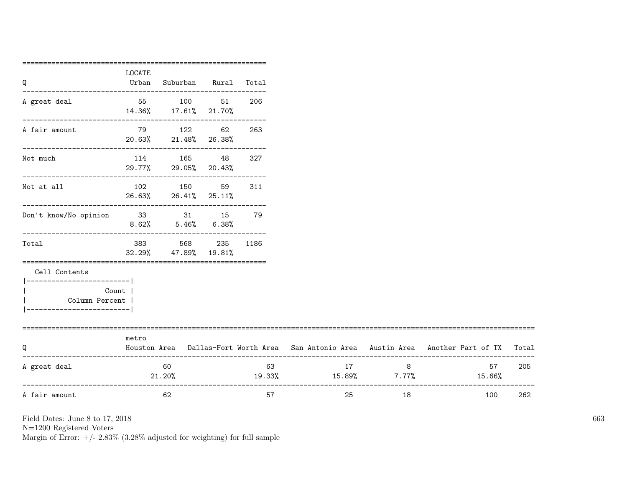|                                   | ============ |                                                                 |              |     |                              |    |                                                                                     |       |
|-----------------------------------|--------------|-----------------------------------------------------------------|--------------|-----|------------------------------|----|-------------------------------------------------------------------------------------|-------|
|                                   | LOCATE       |                                                                 |              |     |                              |    |                                                                                     |       |
| Q                                 | Urban        | Suburban Rural Total                                            |              |     |                              |    |                                                                                     |       |
| A great deal                      |              | 55 100 51                                                       |              | 206 |                              |    |                                                                                     |       |
|                                   |              | 14.36% 17.61% 21.70%<br>---------------------------             |              |     |                              |    |                                                                                     |       |
| A fair amount                     |              | 79 122 62                                                       |              | 263 |                              |    |                                                                                     |       |
|                                   |              | 20.63% 21.48% 26.38%                                            |              |     |                              |    |                                                                                     |       |
| Not much                          |              | 114 165 48                                                      |              | 327 |                              |    |                                                                                     |       |
|                                   |              | 29.77% 29.05% 20.43%                                            |              |     |                              |    |                                                                                     |       |
| Not at all                        |              | 102 150 59                                                      |              | 311 |                              |    |                                                                                     |       |
|                                   |              | 26.63% 26.41% 25.11%                                            |              |     |                              |    |                                                                                     |       |
| Don't know/No opinion 33 31 15 79 |              |                                                                 |              |     |                              |    |                                                                                     |       |
|                                   |              | $8.62\%$ $5.46\%$ $6.38\%$<br>--------------------------------- |              |     |                              |    |                                                                                     |       |
| Total                             | 383          |                                                                 | 568 235 1186 |     |                              |    |                                                                                     |       |
|                                   |              | 32.29% 47.89% 19.81%                                            |              |     |                              |    |                                                                                     |       |
| Cell Contents                     |              |                                                                 |              |     |                              |    |                                                                                     |       |
| -------------------------         | Count        |                                                                 |              |     |                              |    |                                                                                     |       |
| Column Percent                    |              |                                                                 |              |     |                              |    |                                                                                     |       |
| _________________                 |              |                                                                 |              |     |                              |    |                                                                                     |       |
|                                   |              |                                                                 |              |     |                              |    |                                                                                     |       |
| Q                                 | metro        |                                                                 |              |     |                              |    | Houston Area Dallas-Fort Worth Area San Antonio Area Austin Area Another Part of TX | Total |
| A great deal                      |              | 60                                                              |              | 63  | 17                           | 8  | 57                                                                                  | 205   |
|                                   |              | 21.20%                                                          |              |     | $19.33\%$ $15.89\%$ $7.77\%$ |    | 15.66%                                                                              |       |
| A fair amount                     |              | 62                                                              |              | 57  | 25                           | 18 | 100                                                                                 | 262   |
|                                   |              |                                                                 |              |     |                              |    |                                                                                     |       |

N=1200 Registered Voters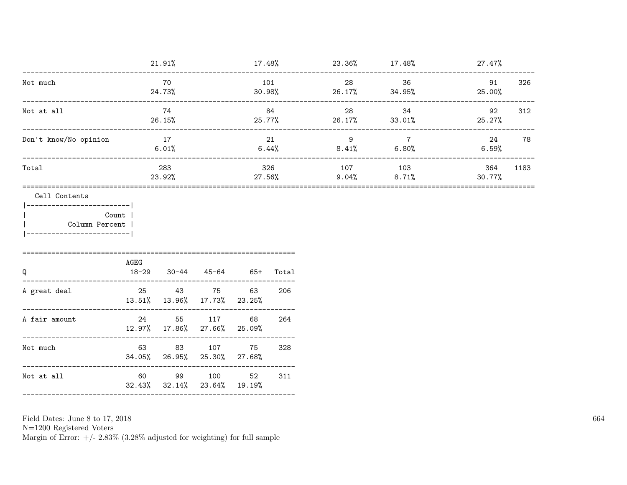|                                                                                        | 70                                  |                                                                                        | 101<br>30.98%                                |                                                                                                                                                   | 28                                            | 36             | 91<br>25.00%                                                                        | 326                               |
|----------------------------------------------------------------------------------------|-------------------------------------|----------------------------------------------------------------------------------------|----------------------------------------------|---------------------------------------------------------------------------------------------------------------------------------------------------|-----------------------------------------------|----------------|-------------------------------------------------------------------------------------|-----------------------------------|
|                                                                                        | 74                                  |                                                                                        |                                              |                                                                                                                                                   | 28                                            | 34             | 92<br>25.27%                                                                        | 312                               |
|                                                                                        |                                     |                                                                                        | 21<br>$6.44\%$                               |                                                                                                                                                   | $9^{\circ}$                                   | $\overline{7}$ | 24<br>$6.59\%$                                                                      | 78                                |
|                                                                                        | 283                                 |                                                                                        |                                              |                                                                                                                                                   |                                               |                | 364<br>30.77%                                                                       | 1183                              |
| Column Percent  <br>-------------------------<br>=============================<br>AGEG |                                     |                                                                                        |                                              |                                                                                                                                                   |                                               |                |                                                                                     |                                   |
|                                                                                        |                                     |                                                                                        | 63                                           | Total<br>206                                                                                                                                      |                                               |                |                                                                                     |                                   |
|                                                                                        |                                     |                                                                                        | 68                                           | 264                                                                                                                                               |                                               |                |                                                                                     |                                   |
|                                                                                        |                                     | 107                                                                                    | 75                                           | 328                                                                                                                                               |                                               |                |                                                                                     |                                   |
|                                                                                        |                                     |                                                                                        | 52                                           | 311                                                                                                                                               |                                               |                |                                                                                     |                                   |
|                                                                                        | ------------------------- <br>Count | 21.91%<br>24.73%<br>26.15%<br>__________________<br>17<br>6.01%<br>23.92%<br>$18 - 29$ | $30 - 44$<br>24 55 117<br>63 83<br>60 99 100 | 45-64 65+<br>25 43 75<br>13.51% 13.96% 17.73% 23.25%<br>12.97% 17.86% 27.66% 25.09%<br>34.05% 26.95% 25.30% 27.68%<br>32.43% 32.14% 23.64% 19.19% | 84<br>$25.77\%$<br>326<br>$27.56\%$<br>------ |                | $26.17\%$ 34.95%<br>$26.17\%$ 33.01%<br>$8.41\%$ 6.80%<br>107 103<br>$9.04\%$ 8.71% | $17.48\%$ 23.36% $17.48\%$ 27.47% |

 ${\rm N}{=}1200$  Registered Voters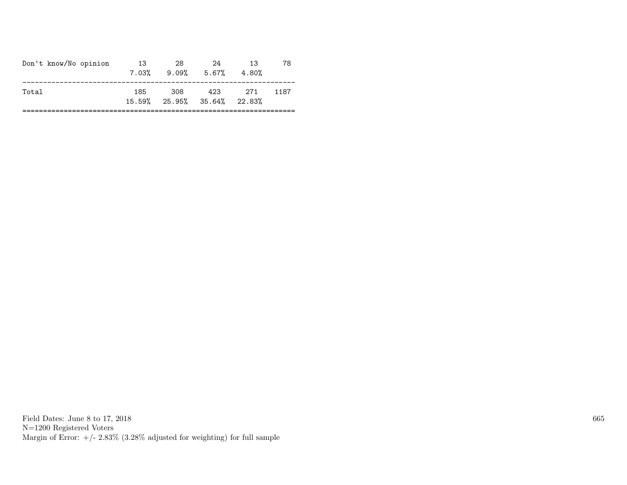| 423<br>308<br>- 271<br>185<br>1187<br>Total<br>$15.59\%$ 25.95% 35.64% 22.83% | Don't know/No opinion | 13<br>7.03% | 28<br>$9.09\%$ 5.67% | 24 | 13<br>4.80% | 78 |
|-------------------------------------------------------------------------------|-----------------------|-------------|----------------------|----|-------------|----|
|                                                                               |                       |             |                      |    |             |    |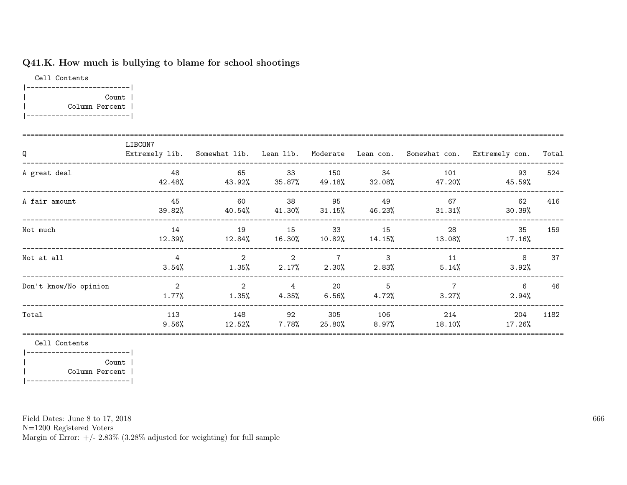# Q41.K. How much is bullying to blame for school shootings

Cell Contents |-------------------------| | Count | | Column Percent | |-------------------------|

| Q                     | LIBCON7                 |                                     |                            |                       |                 |                            | Extremely lib. Somewhat lib. Lean lib. Moderate Lean con. Somewhat con. Extremely con. | Total |
|-----------------------|-------------------------|-------------------------------------|----------------------------|-----------------------|-----------------|----------------------------|----------------------------------------------------------------------------------------|-------|
| A great deal          | 48<br>42.48%            | 65<br>43.92%                        | 33<br>35.87%               | 150<br>49.18%         | 34<br>32.08%    | 101<br>47.20%              | 93<br>45.59%                                                                           | 524   |
| A fair amount         | 45<br>39.82%            | 60<br>$40.54\%$ $41.30\%$ $31.15\%$ | 38                         | 95                    | 49              | 67<br>46.23% 31.31%        | 62<br>30.39%                                                                           | 416   |
| Not much              | 14<br>12.39%            | 19                                  | 15<br>$12.84\%$ $16.30\%$  | 33<br>$10.82\%$       | 15<br>$14.15\%$ | - 28<br>13.08%             | 35<br>17.16%                                                                           | 159   |
| Not at all            | $\overline{4}$<br>3.54% | $\overline{2}$                      | $\sim$ 2<br>$1.35\%$ 2.17% | 7 3<br>$2.30\%$       | $2.83\%$        | 11<br>5.14%                | 8<br>3.92%                                                                             | 37    |
| Don't know/No opinion | 2<br>$1.77\%$           | $\overline{2}$<br>$1.35\%$          | $\overline{4}$<br>$4.35\%$ | $\sim$ 20<br>$6.56\%$ | -5<br>4.72%     | $\overline{7}$<br>$3.27\%$ | 6<br>$2.94\%$                                                                          | 46    |
| Total                 | 113<br>$9.56\%$         | 148<br>12.52%                       | 92<br>7.78%                | 305<br>25.80%         | 106<br>8.97%    | 214<br>18.10%              | 204<br>17.26%                                                                          | 1182  |

Cell Contents

|-------------------------| | Count | | Column Percent | |-------------------------|

Field Dates: June 8 to 17, 2018

N=1200 Registered Voters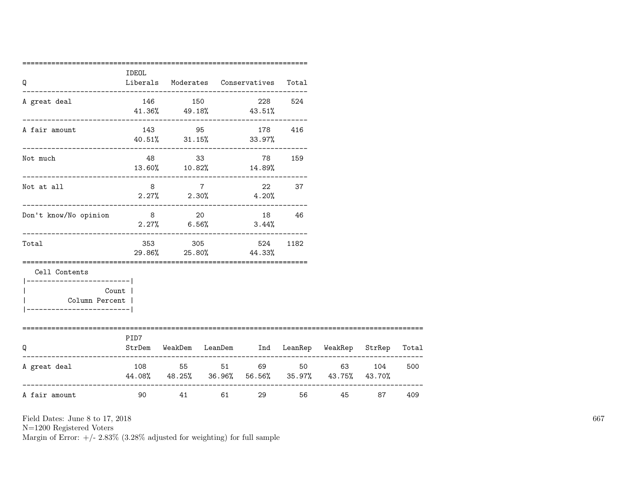| Q                                                                                      | IDEOL                                                                                                                                                                                                                           |         |       | Liberals Moderates Conservatives                                                            | Total |        |       |     |
|----------------------------------------------------------------------------------------|---------------------------------------------------------------------------------------------------------------------------------------------------------------------------------------------------------------------------------|---------|-------|---------------------------------------------------------------------------------------------|-------|--------|-------|-----|
| A great deal                                                                           |                                                                                                                                                                                                                                 | 146 150 |       | --------------------------------<br>228 524<br>$41.36\%$ $49.18\%$ $43.51\%$                |       |        |       |     |
| A fair amount                                                                          |                                                                                                                                                                                                                                 |         |       | 143 95 178 416<br>$40.51\%$ $31.15\%$ $33.97\%$                                             |       |        |       |     |
| Not much                                                                               |                                                                                                                                                                                                                                 | 48 48   |       | 33 78 159<br>13.60% 10.82% 14.89%                                                           |       |        |       |     |
| Not at all                                                                             |                                                                                                                                                                                                                                 | 8 7     |       | 22 37<br>$2.27\%$ 2.30% 4.20%                                                               |       |        |       |     |
| Don't know/No opinion                                                                  | 8 20                                                                                                                                                                                                                            |         |       | 18 46<br>$2.27\%$ 6.56% 3.44%                                                               |       |        |       |     |
| Total                                                                                  |                                                                                                                                                                                                                                 | 353 305 |       | 524<br>29.86% 25.80% 44.33%                                                                 | 1182  |        |       |     |
| Cell Contents<br>----------------------- <br>Column Percent  <br>--------------------- | Count                                                                                                                                                                                                                           |         |       |                                                                                             |       |        |       |     |
| -------------------------<br>O                                                         | PID7                                                                                                                                                                                                                            |         |       | ================================<br>StrDem WeakDem LeanDem Ind LeanRep WeakRep StrRep Total |       |        |       |     |
| A great deal                                                                           |                                                                                                                                                                                                                                 |         |       | 108 55 51 69 50 63 104<br>44.08% 48.25% 36.96% 56.56% 35.97% 43.75% 43.70%                  |       |        |       | 500 |
| A fair amount                                                                          | 90 - 100 - 100 - 100 - 100 - 100 - 100 - 100 - 100 - 100 - 100 - 100 - 100 - 100 - 100 - 100 - 100 - 100 - 100 - 100 - 100 - 100 - 100 - 100 - 100 - 100 - 100 - 100 - 100 - 100 - 100 - 100 - 100 - 100 - 100 - 100 - 100 - 10 |         | 41 61 |                                                                                             |       | 56 100 | 45 87 | 409 |

N=1200 Registered Voters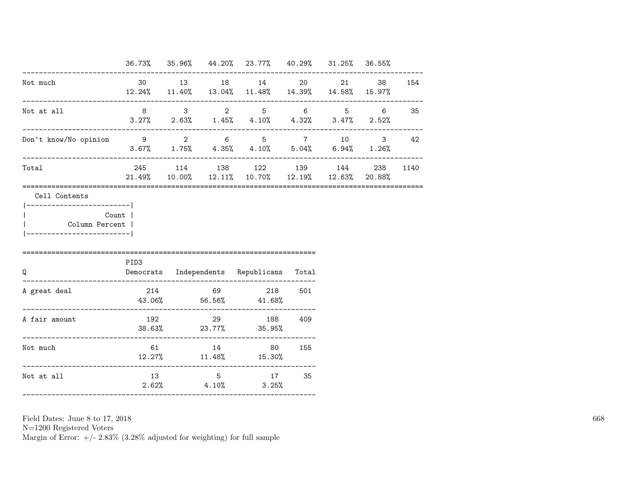|                                                        |                                              |                       | 36.73% 35.96% 44.20% 23.77% 40.29% 31.25% 36.55%                               |    |     |        |
|--------------------------------------------------------|----------------------------------------------|-----------------------|--------------------------------------------------------------------------------|----|-----|--------|
| Not much                                               |                                              |                       | 30 13 18 14 20<br>12.24% 11.40% 13.04% 11.48% 14.39% 14.58% 15.97%             | 21 |     | 38 154 |
| Not at all<br>---------------------------              |                                              |                       | 8 3 2 5 6 5 6 35<br>$3.27\%$ 2.63% 1.45% 4.10% 4.32% 3.47% 2.52%               |    |     |        |
| Don't know/No opinion 9 2 6 5 7 10 3 42                | $3.67\%$ 1.75% 4.35% 4.10% 5.04% 6.94% 1.26% |                       |                                                                                |    |     |        |
| Total                                                  |                                              |                       | 245 114 138 122 139 144<br>$21.49\%$ 10.00% 12.11% 10.70% 12.19% 12.63% 20.88% |    | 238 | 1140   |
| Count  <br>Column Percent  <br>----------------------- |                                              |                       |                                                                                |    |     |        |
|                                                        |                                              |                       |                                                                                |    |     |        |
| Q                                                      | PID <sub>3</sub>                             |                       | Democrats Independents Republicans Total                                       |    |     |        |
| A great deal                                           | $43.06\%$ 56.56% $41.68\%$                   |                       | 214 69 218 501                                                                 |    |     |        |
| A fair amount                                          |                                              |                       | 192 29 188 409<br>$38.63\%$ 23.77% 35.95%                                      |    |     |        |
| Not much                                               |                                              | 61 and $\overline{a}$ | 14 80 155<br>12.27% 11.48% 15.30%                                              |    |     |        |

N=1200 Registered Voters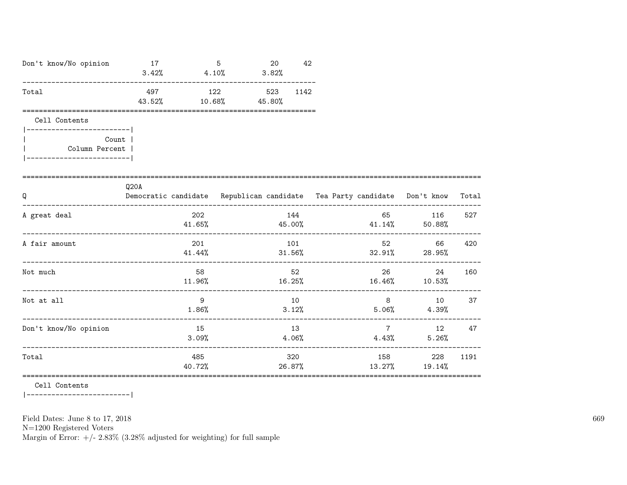| Don't know/No opinion                              | 17            | 5<br>$3.42\%$ $4.10\%$ | 20<br>3.82%   | 42          |                                                                          |                            |       |
|----------------------------------------------------|---------------|------------------------|---------------|-------------|--------------------------------------------------------------------------|----------------------------|-------|
| Total                                              | 497<br>43.52% | 122<br>$10.68\%$       | 523<br>45.80% | 1142        |                                                                          |                            |       |
| Cell Contents<br>------------------------          |               |                        |               |             |                                                                          |                            |       |
| Count  <br>Column Percent                          |               |                        |               |             |                                                                          |                            |       |
| Q                                                  | Q20A          |                        |               |             | Democratic candidate Republican candidate Tea Party candidate Don't know |                            | Total |
| A great deal                                       |               | 202<br>41.65%          |               | 144         | $45.00\%$ $41.14\%$ $50.88\%$                                            | 65 116                     | 527   |
| A fair amount                                      |               | 201<br>41.44%          | 31.56%        | 101         | $32.91\%$ 28.95%                                                         | 66 —                       | 420   |
| Not much                                           |               | 58                     |               | 52          | $11.96\%$ $16.25\%$ $16.46\%$ $10.53\%$                                  | 26<br>24                   | 160   |
| Not at all<br>____________________________________ |               | 9<br>$1.86\%$          |               | 10<br>3.12% | 8 <sup>1</sup><br>$5.06\%$ 4.39%                                         | 10                         | 37    |
| Don't know/No opinion                              |               | 15<br>3.09%            |               | 13<br>4.06% |                                                                          | 7<br>4.43%<br>5.26%        | 12 47 |
| Total                                              |               | 485<br>40.72%          |               | 320         | 26.87%<br>13.27%                                                         | 158 — 158<br>228<br>19.14% | 1191  |

Cell Contents

|-------------------------|

Field Dates: June 8 to 17, 2018

 ${\rm N}{=}1200$  Registered Voters

Margin of Error:  $+/- 2.83\%$  (3.28% adjusted for weighting) for full sample

669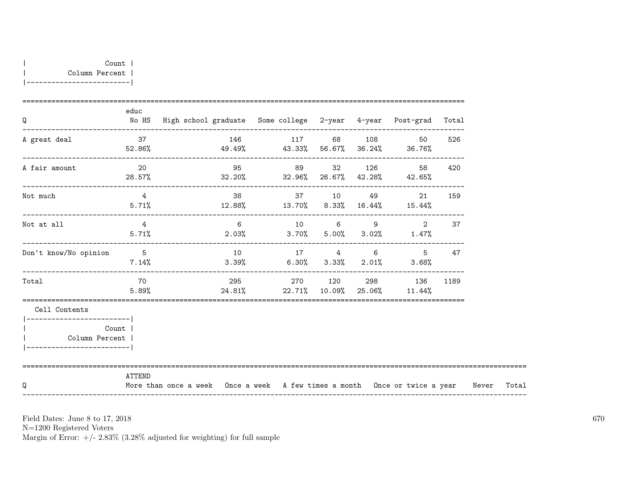| Q                                                                                   | educ                     | No HS High school graduate Some college 2-year 4-year Post-grad Total            |    |              |  |                                           |                                                                   |     |       |
|-------------------------------------------------------------------------------------|--------------------------|----------------------------------------------------------------------------------|----|--------------|--|-------------------------------------------|-------------------------------------------------------------------|-----|-------|
| A great deal                                                                        |                          | 37 146 117 68 108<br>$52.86\%$ $49.49\%$ $43.33\%$ $56.67\%$ $36.24\%$ $36.76\%$ |    |              |  |                                           | 50                                                                | 526 |       |
| A fair amount                                                                       | $\sim$ 20<br>28.57%      |                                                                                  |    | 95 89 32 126 |  |                                           | 58 —<br>$32.20\%$ $32.96\%$ $26.67\%$ $42.28\%$ $42.65\%$         | 420 |       |
| Not much                                                                            | $\overline{4}$           | $5.71\%$ $12.88\%$ $13.70\%$ $8.33\%$ $16.44\%$ $15.44\%$                        |    |              |  |                                           | -------------------------------------<br>38 37 10 49 21           | 159 |       |
| Not at all                                                                          | $4\overline{)}$<br>5.71% |                                                                                  |    |              |  |                                           | 6 10 6 9 2<br>$2.03\%$ $3.70\%$ $5.00\%$ $3.02\%$ $1.47\%$        | 37  |       |
| Don't know/No opinion                                                               | $5\overline{5}$<br>7.14% |                                                                                  | 10 |              |  | -------------------------------<br>17 4 6 | 5<br>$3.39\%$ 6.30% $3.33\%$ 2.01% 3.68%                          | 47  |       |
| Total                                                                               | 70<br>$5.89\%$           |                                                                                  |    |              |  |                                           | 295 270 120 298 136 1189<br>$24.81\%$ 22.71% 10.09% 25.06% 11.44% |     |       |
| Cell Contents                                                                       |                          |                                                                                  |    |              |  |                                           |                                                                   |     |       |
| ________________________<br>Count<br>Column Percent  <br>__________________________ |                          |                                                                                  |    |              |  |                                           |                                                                   |     |       |
| O                                                                                   | ATTEND                   | More than once a week Once a week A few times a month Once or twice a year Never |    |              |  |                                           |                                                                   |     | Total |

N=1200 Registered Voters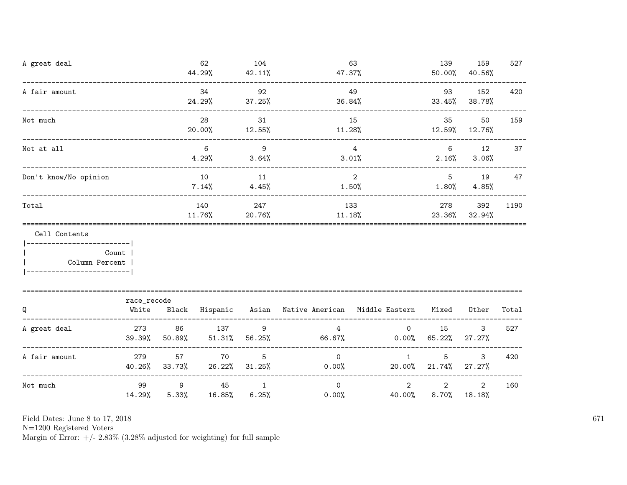| A great deal                                                    |                                    |                     | 62<br>44.29%         | 104<br>42.11%           | 47.37%                                                    | 63                       | 139<br>50.00%              | 159<br>40.56%                                  | 527   |
|-----------------------------------------------------------------|------------------------------------|---------------------|----------------------|-------------------------|-----------------------------------------------------------|--------------------------|----------------------------|------------------------------------------------|-------|
| A fair amount                                                   |                                    |                     | 34<br>24.29%         | 92<br>37.25%            | 36.84%                                                    | 49                       | 93                         | 152<br>$33.45\%$ $38.78\%$                     | 420   |
| Not much                                                        | __________________________________ |                     | 28<br>20.00%         | 31<br>12.55%            | 11.28%                                                    | 15                       | 35<br>$12.59\%$ 12.76%     | 50                                             | 159   |
| Not at all                                                      |                                    |                     | 6<br>$4.29%$ $3.64%$ | $\overline{9}$          | $\overline{4}$                                            | 3.01%                    |                            | $6 \quad \text{or}$<br>12<br>$2.16\%$ $3.06\%$ | 37    |
| Don't know/No opinion                                           |                                    |                     | 10<br>7.14%          | 11<br>4.45%             | 1.50%                                                     | 2                        | $5\overline{)}$<br>1.80%   | 19<br>4.85%                                    | 47    |
| Total                                                           |                                    |                     | 140<br>11.76%        | 247<br>20.76%           | 11.18%                                                    | 133                      | 278                        | 392<br>23.36% 32.94%                           | 1190  |
| Cell Contents<br>------------------------- <br>  Column Percent | Count                              |                     |                      |                         |                                                           |                          |                            |                                                |       |
| Q                                                               | race_recode<br>White               |                     |                      |                         | Black Hispanic Asian Native-American Middle-Eastern Mixed |                          |                            | Other                                          | Total |
| A great deal                                                    | 273<br>39.39%                      | 86<br>50.89%        | 137<br>51.31%        | 9<br>56.25%             | $4\overline{ }$                                           | 66.67% 0.00% 65.22%      | $\overline{0}$<br>15       | 3<br>27.27%                                    | 527   |
| A fair amount                                                   | 279                                | 57<br>40.26% 33.73% | 70<br>26.22%         | 5<br>31.25%             | $\overline{0}$<br>0.00%                                   | $\mathbf{1}$             | 5<br>20.00% 21.74%         | 3<br>27.27%                                    | 420   |
| Not much                                                        | 99<br>14.29%                       | 9<br>5.33%          | 45<br>16.85%         | $\overline{1}$<br>6.25% | $\Omega$<br>$0.00\%$                                      | $\overline{2}$<br>40.00% | $\overline{2}$<br>$8.70\%$ | $\overline{2}$<br>18.18%                       | 160   |

N=1200 Registered Voters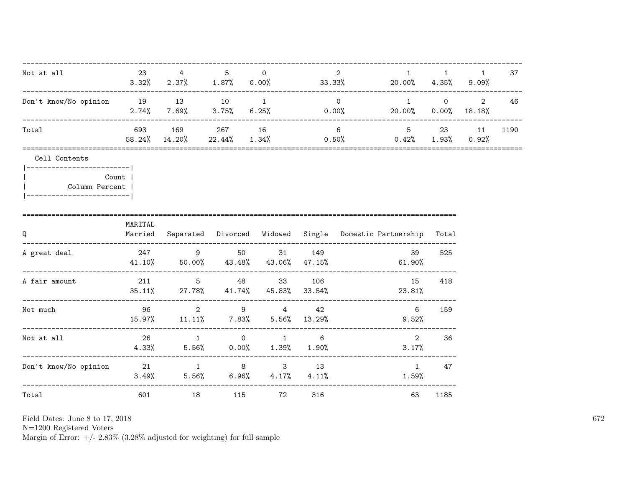| Not at all                                                     | 23       | 4                                                                 | 5   | $\circ$   |     | 2              | 1<br>$3.32\%$ $2.37\%$ $1.87\%$ $0.00\%$ $33.33\%$ $20.00\%$ $4.35\%$ $9.09\%$ | 1                      | 1                                                | 37   |
|----------------------------------------------------------------|----------|-------------------------------------------------------------------|-----|-----------|-----|----------------|--------------------------------------------------------------------------------|------------------------|--------------------------------------------------|------|
| Don't know/No opinion 19 13 10 1                               | $2.74\%$ |                                                                   |     |           |     | $\overline{0}$ | $\overline{1}$<br>$7.69\%$ 3.75% 6.25% 0.00% 20.00% 0.00% 18.18%               |                        | $\begin{array}{ccc} & 0 & \quad & 2 \end{array}$ | 46   |
| Total                                                          |          | 693 169 267 16<br>58.24% 14.20%                                   |     |           |     | 6 <sup>6</sup> | 5 23 11<br>$22.44\%$ $1.34\%$ $0.50\%$ $0.42\%$ $1.93\%$ $0.92\%$              |                        |                                                  | 1190 |
| Cell Contents<br> ------------------------- <br>Column Percent | Count    |                                                                   |     |           |     |                |                                                                                |                        |                                                  |      |
| Q                                                              | MARITAL  |                                                                   |     |           |     |                | Married Separated Divorced Widowed Single Domestic-Partnership Total           |                        |                                                  |      |
| A great deal                                                   |          | 247 9 50 31 149                                                   |     |           |     |                | 39<br>$41.10\%$ 50.00% $43.48\%$ $43.06\%$ $47.15\%$ 61.90%                    | 525                    |                                                  |      |
| A fair amount                                                  |          | 211 5 48 33 106<br>$35.11\%$ 27.78% $41.74\%$ $45.83\%$ $33.54\%$ |     |           |     |                | 15<br>23.81%                                                                   | 418                    |                                                  |      |
| Not much                                                       |          | 96 2 9 4<br>15.97%  11.11%  7.83%  5.56%  13.29%                  |     |           | 42  |                | $6\overline{6}$<br>9.52%                                                       | 159                    |                                                  |      |
| Not at all                                                     | 26       | $4.33\%$ $5.56\%$ $0.00\%$ $1.39\%$ $1.90\%$                      |     | 1 0 1 6   |     |                | 2<br>3.17%                                                                     | 36                     |                                                  |      |
| Don't know/No opinion  21  1  8  3  13                         |          | $3.49\%$ 5.56% 6.96% 4.17% 4.11%                                  |     |           |     |                | $1.59\%$                                                                       | $1 \quad \cdots$<br>47 |                                                  |      |
| Total                                                          | 601 000  |                                                                   | 115 | <b>72</b> | 316 |                | 63                                                                             | 1185                   |                                                  |      |

Field Dates: June 8 to 17,  $2018\,$ 

N=1200 Registered Voters<br>Margin of Error:  $+/- 2.83\%$  (3.28% adjusted for weighting) for full sample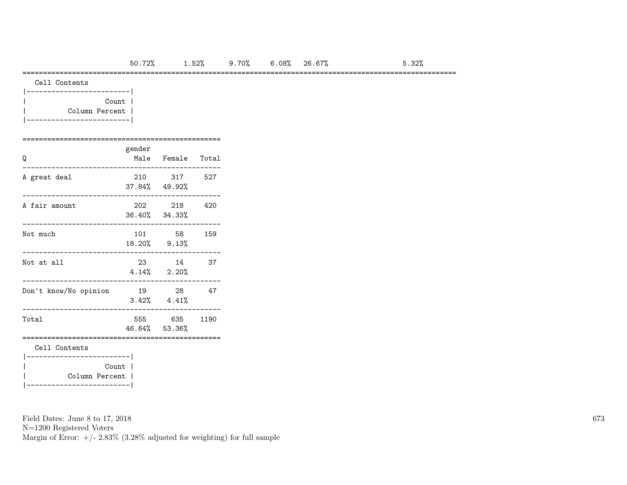### =========================================================================================================

|  |  | Cell Contents |
|--|--|---------------|
|--|--|---------------|

| Count          |  |
|----------------|--|
| Column Percent |  |
|                |  |

#### ================================================ gender

| Q                                          | Keimer | Male Female Total             |     |
|--------------------------------------------|--------|-------------------------------|-----|
| A great deal                               |        | 210 317 527<br>37.84% 49.92%  |     |
| A fair amount                              |        | 202 218<br>36.40% 34.33%      | 420 |
| Not much                                   |        | 101 58<br>18.20% 9.13%        | 159 |
| Not at all                                 |        | 23 14<br>$4.14\%$ $2.20\%$    | 37  |
| Don't know/No opinion                      | 19 28  | $3.42\%$ $4.41\%$             | 47  |
| Total                                      |        | 555 635 1190<br>46.64% 53.36% |     |
| Cell Contents<br>---------------------     |        |                               |     |
| Column Percent  <br>---------------------- | Count  |                               |     |

Field Dates: June 8 to 17, 2018

N=1200 Registered Voters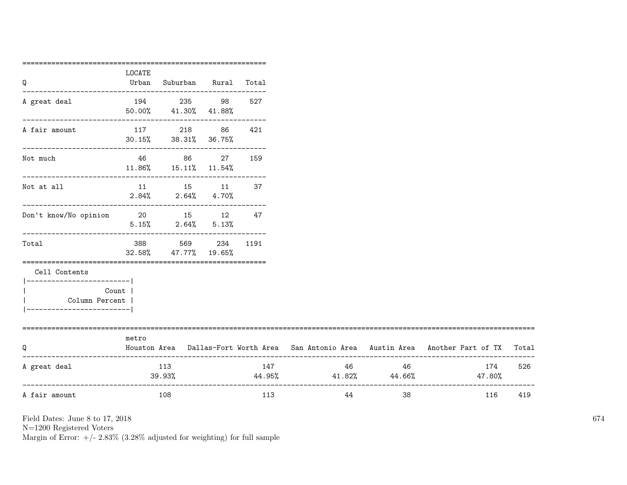| ====================<br>LOCATE<br>Urban |                                                                                     | Suburban Rural Total              |                                                                                                      |                                                                                                                                                                             |    |               |                                                                                                                                  |
|-----------------------------------------|-------------------------------------------------------------------------------------|-----------------------------------|------------------------------------------------------------------------------------------------------|-----------------------------------------------------------------------------------------------------------------------------------------------------------------------------|----|---------------|----------------------------------------------------------------------------------------------------------------------------------|
|                                         |                                                                                     |                                   |                                                                                                      |                                                                                                                                                                             |    |               |                                                                                                                                  |
|                                         | 194 235 98<br>50.00% 41.30% 41.88%                                                  |                                   | 527                                                                                                  |                                                                                                                                                                             |    |               |                                                                                                                                  |
|                                         |                                                                                     |                                   | 421                                                                                                  |                                                                                                                                                                             |    |               |                                                                                                                                  |
|                                         |                                                                                     |                                   | 159                                                                                                  |                                                                                                                                                                             |    |               |                                                                                                                                  |
|                                         |                                                                                     |                                   |                                                                                                      |                                                                                                                                                                             |    |               |                                                                                                                                  |
|                                         |                                                                                     |                                   |                                                                                                      |                                                                                                                                                                             |    |               |                                                                                                                                  |
|                                         |                                                                                     |                                   |                                                                                                      |                                                                                                                                                                             |    |               |                                                                                                                                  |
|                                         |                                                                                     |                                   |                                                                                                      |                                                                                                                                                                             |    |               |                                                                                                                                  |
|                                         |                                                                                     |                                   |                                                                                                      |                                                                                                                                                                             |    |               |                                                                                                                                  |
| metro                                   |                                                                                     |                                   |                                                                                                      |                                                                                                                                                                             |    |               |                                                                                                                                  |
|                                         |                                                                                     |                                   | 147                                                                                                  |                                                                                                                                                                             |    | 174<br>47.80% | 526                                                                                                                              |
|                                         |                                                                                     |                                   | 113                                                                                                  | 44                                                                                                                                                                          | 38 | 116           | 419                                                                                                                              |
|                                         | ------------------------- <br>Count  <br>Column Percent  <br>---------------------- | 388 38<br>113<br>39.93%<br>-- 108 | 117 218 86<br>$30.15\%$ $38.31\%$ $36.75\%$<br>$11.86\%$ $15.11\%$ $11.54\%$<br>32.58% 47.77% 19.65% | ----------------------------------<br>46 86 27<br>11 15 11 37<br>$2.84\%$ $2.64\%$ $4.70\%$<br>Don't know/No opinion 20 15 12 47<br>$5.15\%$ 2.64% $5.13\%$<br>569 234 1191 |    | 46 46         | Houston Area Dallas-Fort Worth Area San Antonio Area Austin Area Another Part of TX Total<br>46<br>$44.95\%$ $41.82\%$ $44.66\%$ |

N=1200 Registered Voters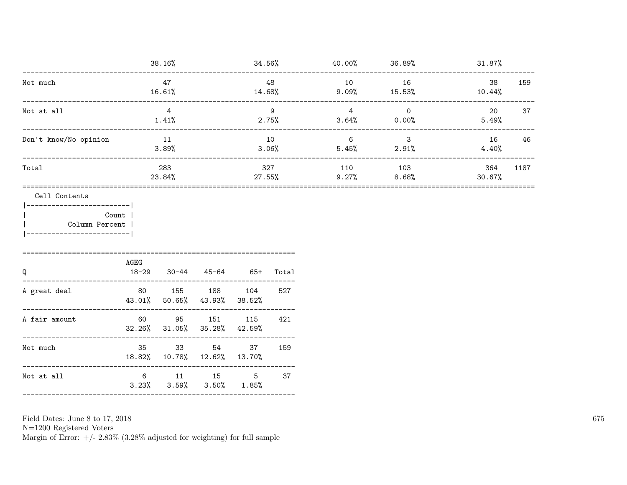|                                                          |                     | 38.16%                                     |                       |                          |              | $34.56\%$ 40.00% 36.89% |                                  | $31.87\%$     |      |
|----------------------------------------------------------|---------------------|--------------------------------------------|-----------------------|--------------------------|--------------|-------------------------|----------------------------------|---------------|------|
| Not much                                                 |                     | 47<br>16.61%                               |                       | $14.68\%$                | 48           | 10                      | 16<br>$9.09\%$ 15.53%            | 38<br>10.44%  | 159  |
| Not at all                                               | ___________________ | $\overline{4}$<br>1.41%                    |                       | 2.75%                    | 9            | $\overline{4}$          | $\overline{0}$<br>$3.64\%$ 0.00% | 20<br>5.49%   | 37   |
| Don't know/No opinion                                    |                     | 11<br>3.89%                                |                       | 10                       | 3.06%        | $6\overline{6}$         | 3 <sup>7</sup><br>$5.45\%$ 2.91% | 16<br>4.40%   | 46   |
| Total                                                    |                     | 283<br>23.84%                              |                       | 27.55%                   | 327          | 110<br>9.27%            | 103<br>8.68%                     | 364<br>30.67% | 1187 |
| Count  <br>  Column Percent<br>------------------------- | AGEG                |                                            |                       |                          |              |                         |                                  |               |      |
| Q<br>________________________<br>A great deal            | $18 - 29$<br>43.01% | 50.65% 43.93%                              | $30-44$ $45-64$ $65+$ | 80 155 188 104<br>38.52% | Total<br>527 |                         |                                  |               |      |
| --------------------------------<br>A fair amount        |                     | 60 95 151<br>$32.26\%$ $31.05\%$ $35.28\%$ |                       | 115<br>42.59%            | 421          |                         |                                  |               |      |
| Not much                                                 | 18.82%              | 35 33 54 37<br>10.78% 12.62% 13.70%        |                       |                          | 159          |                         |                                  |               |      |
| Not at all                                               |                     | $3.23\%$ $3.59\%$ $3.50\%$ $1.85\%$        |                       | 6 11 15 5                | 37           |                         |                                  |               |      |

Field Dates: June 8 to 17,  $2018\,$ 

N=1200 Registered Voters<br>Margin of Error:  $+/- 2.83\%$  (3.28% adjusted for weighting) for full sample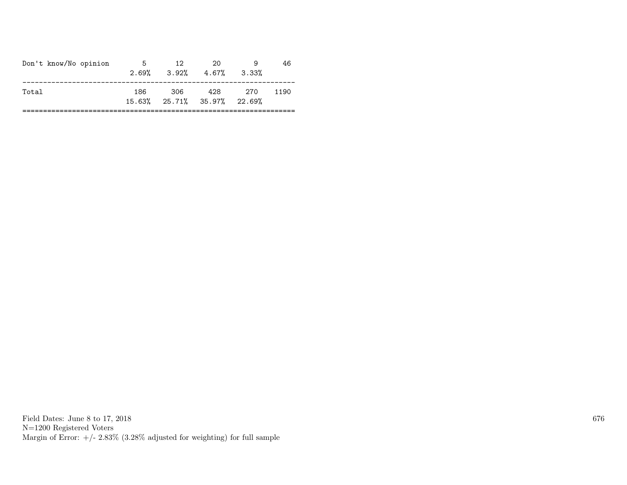| -306<br>428<br>186<br>- 270<br>Total<br>1190<br>15.63% 25.71% 35.97% 22.69% | Don't know/No opinion | 5 | 12 | 20<br>$2.69\%$ $3.92\%$ $4.67\%$ | 3.33% | 46 |
|-----------------------------------------------------------------------------|-----------------------|---|----|----------------------------------|-------|----|
|                                                                             |                       |   |    |                                  |       |    |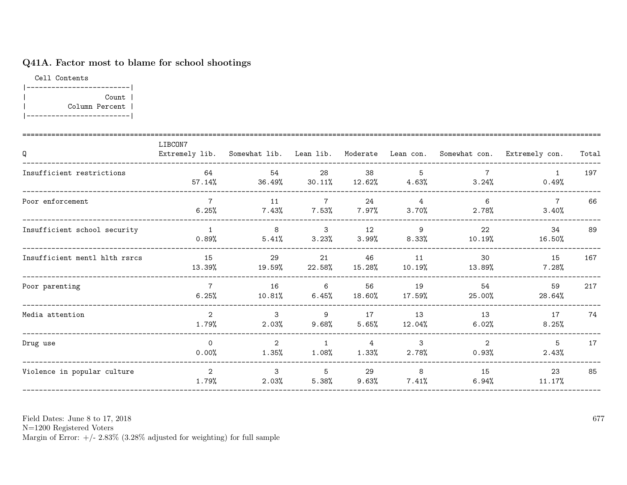# Q41A. Factor most to blame for school shootings

Cell Contents |-------------------------| | Count | | Column Percent | |-------------------------|

| Q                             | LIBCON7<br>Extremely lib. | Somewhat lib. Lean lib.    |                             | Moderate                | Lean con.                  |                         | Somewhat con. Extremely con. | Total |
|-------------------------------|---------------------------|----------------------------|-----------------------------|-------------------------|----------------------------|-------------------------|------------------------------|-------|
| Insufficient restrictions     | 64<br>57.14%              | 54<br>36.49%               | 28<br>30.11%                | 38<br>12.62%            | -5<br>4.63%                | 7<br>3.24%              | 0.49%                        | 197   |
| Poor enforcement              | $\overline{7}$<br>6.25%   | 11<br>7.43%                | $7\overline{ }$<br>7.53%    | 24<br>$7.97\%$          | $\overline{4}$<br>3.70%    | 6<br>2.78%              | $\overline{7}$<br>3.40%      | 66    |
| Insufficient school security  | 1<br>0.89%                | 8<br>5.41%                 | $\mathbf{3}$<br>3.23%       | 12<br>3.99%             | - 9<br>8.33%               | 22<br>10.19%            | 34<br>16.50%                 | 89    |
| Insufficient mentl hlth rsrcs | 15<br>13.39%              | 29<br>19.59%               | 21<br>22.58%                | 46<br>$15.28\%$         | 11<br>10.19%               | 30<br>13.89%            | 15<br>7.28%                  | 167   |
| Poor parenting                | $\overline{7}$<br>6.25%   | 16<br>10.81%               | $6\overline{6}$<br>6.45%    | 56<br>18.60%            | 19<br>17.59%               | 54<br>25.00%            | 59<br>28.64%                 | 217   |
| Media attention               | $\overline{2}$<br>1.79%   | $\mathcal{S}$<br>2.03%     | 9<br>$9.68\%$               | 17<br>5.65%             | 13<br>12.04%               | 13<br>6.02%             | 17<br>8.25%                  | 74    |
| Drug use                      | $\overline{0}$<br>0.00%   | $\overline{2}$<br>$1.35\%$ | $\overline{1}$<br>$1.08\%$  | $\overline{4}$<br>1.33% | $\mathbf{3}$<br>2.78%      | $\overline{2}$<br>0.93% | 5<br>2.43%                   | 17    |
| Violence in popular culture   | 2<br>1.79%                | $\mathcal{E}$<br>2.03%     | $5\overline{)}$<br>$5.38\%$ | 29<br>9.63%             | 8 <sup>8</sup><br>$7.41\%$ | 15<br>6.94%             | 23<br>11.17%                 | 85    |

Field Dates: June 8 to 17, 2018

N=1200 Registered Voters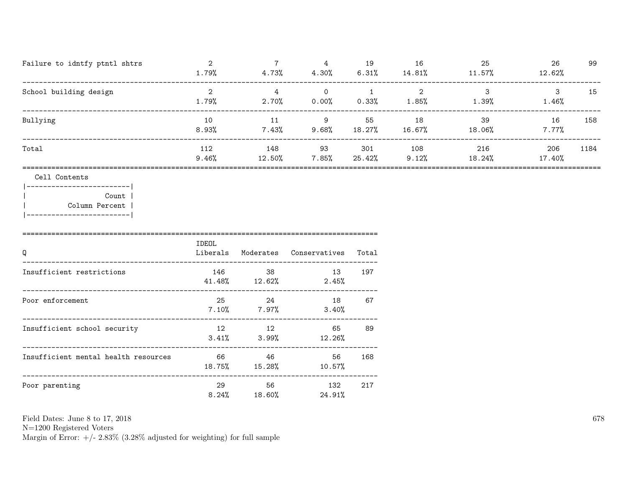| Failure to idntfy ptntl shtrs | 1.79%        | 4.73%         | 4<br>4.30%        | 19<br>6.31%   | 16<br>14.81% | 25<br>11.57%  | 26<br>12.62%   | 99   |
|-------------------------------|--------------|---------------|-------------------|---------------|--------------|---------------|----------------|------|
| School building design        | 1.79%        | 4<br>2.70%    | $\Omega$<br>0.00% | 0.33%         | C<br>1.85%   | 1.39%         | 1.46%          | 15   |
| Bullying                      | 10<br>8.93%  | 11<br>7.43%   | 9<br>9.68%        | 55<br>18.27%  | 18<br>16.67% | 39<br>18.06%  | 16<br>$7.77\%$ | 158  |
| Total                         | 112<br>9.46% | 148<br>12.50% | 93<br>7.85%       | 301<br>25.42% | 108<br>9.12% | 216<br>18.24% | 206<br>17.40%  | 1184 |
|                               |              |               |                   |               |              |               |                |      |

### Cell Contents

|-------------------------| Count | | Column Percent | |-------------------------|

====================================================================================== IDEOL Q Liberals Moderates Conservatives Total -------------------------------------------------------------------------------------- Insufficient restrictions 146 38 13 197 41.48% 12.62% 2.45% -------------------------------------------------------------------------------------- Poor enforcement 25 24 18 67 7.10% 7.97% 3.40% -------------------------------------------------------------------------------------- Insufficient school security 12 12 12 65 89 3.41% 3.99% 12.26% -------------------------------------------------------------------------------------- Insufficient mental health resources 66 46 56 168 18.75% 15.28% 10.57% -------------------------------------------------------------------------------------- Poor parenting 29 56 132 217 8.24% 18.60% 24.91%

Field Dates: June 8 to 17, 2018

N=1200 Registered Voters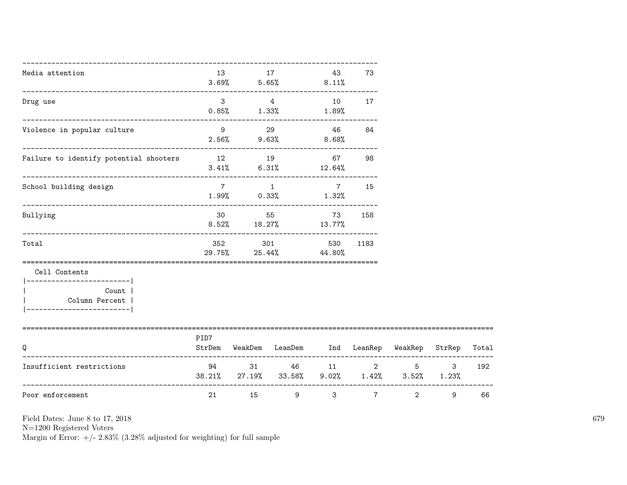| Media attention                                                  | 13                      |                | 17<br>$3.69\%$ $5.65\%$ $8.11\%$                      | 43                       | 73             |                |                  |       |
|------------------------------------------------------------------|-------------------------|----------------|-------------------------------------------------------|--------------------------|----------------|----------------|------------------|-------|
| Drug use                                                         | 3 <sup>1</sup><br>0.85% |                | $\overline{4}$<br>$1.33\%$ $1.89\%$                   | 10                       | 17             |                |                  |       |
| ---------------------------------<br>Violence in popular culture |                         | 9 29           | $2.56\%$ 9.63%                                        | 46<br>$8.68\%$           | 84             |                |                  |       |
| Failure to identify potential shooters                           |                         |                | 12 19<br>$3.41\%$ 6.31% 12.64%                        |                          | 67 — 10<br>98  |                |                  |       |
| School building design                                           | $7^{\circ}$             | $\overline{1}$ | $1.99\%$ 0.33%                                        | $7\overline{ }$<br>1.32% | 15             |                |                  |       |
| Bullying                                                         | 30                      | 55             | $8.52\%$ 18.27% 13.77%                                | 73                       | 158            |                |                  |       |
| Total                                                            | 352                     | 301            | 29.75% 25.44% 44.80%                                  | 530                      | 1183           |                |                  |       |
| Cell Contents<br>-----------------------                         |                         |                |                                                       |                          |                |                |                  |       |
| Count  <br>Column Percent  <br>------------------------          |                         |                |                                                       |                          |                |                |                  |       |
| O                                                                | PID7<br>StrDem          |                | WeakDem LeanDem Ind LeanRep WeakRep                   |                          |                |                | StrRep           | Total |
| Insufficient restrictions                                        | 94 — 100                |                | 31 46<br>38.21% 27.19% 33.58% 9.02% 1.42% 3.52% 1.23% |                          | 11 2           |                | $5^{\circ}$<br>3 | 192   |
| Poor enforcement                                                 | 21                      | 15             | 9                                                     | $\mathbf{3}$             | $7\phantom{.}$ | $\overline{2}$ | 9                | 66    |

N=1200 Registered Voters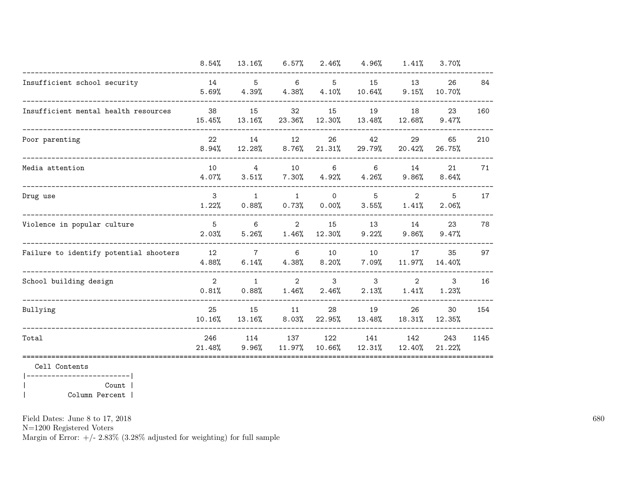| 8.54%         | 13.16%          | 6.57%                       | 2.46%    | 4.96%     | 1.41%          | 3.70%  |                                                         |
|---------------|-----------------|-----------------------------|----------|-----------|----------------|--------|---------------------------------------------------------|
| 14            | $5^{\circ}$     | 6                           | 5        | 15        | 13             | 26     | 84                                                      |
| 5.69%         | 4.39%           | 4.38%                       | 4.10%    | $10.64\%$ | 9.15%          | 10.70% |                                                         |
| 38            | 15              | 32                          | 15       | 19        | 18             | 23     | 160                                                     |
| 15.45%        | 13.16%          | 23.36%                      | 12.30%   | 13.48%    | 12.68%         | 9.47%  |                                                         |
| 22            | 14              | 12                          | 26       | 42        | 29             | 65     | 210                                                     |
| 8.94%         | 12.28%          | 8.76%                       | 21.31%   | 29.79%    | 20.42%         | 26.75% |                                                         |
| 10            | $\overline{4}$  | 10                          | 6        | 6         | 14             | 21     | 71                                                      |
| 4.07%         | 3.51%           | $7.30\%$                    | 4.92%    | 4.26%     | 9.86%          | 8.64%  |                                                         |
| 3             | $\mathbf{1}$    | $\mathbf{1}$                | $\Omega$ | 5         | $\overline{2}$ | 5      | 17                                                      |
| 1.22%         | 0.88%           | 0.73%                       | 0.00%    | 3.55%     | 1.41%          | 2.06%  |                                                         |
| 5             | 6               | $\overline{2}$              | 15       | 13        | 14             | 23     | 78                                                      |
| 2.03%         | 5.26%           | 1.46%                       | 12.30%   | 9.22%     | 9.86%          | 9.47%  |                                                         |
| 12            | $7\phantom{.0}$ | 6                           | 10       | 10        | 17             | 35     | 97                                                      |
| 4.88%         | 6.14%           | 4.38%                       | 8.20%    | 7.09%     | 11.97%         | 14.40% |                                                         |
| 2             | $\mathbf{1}$    | $\mathcal{D}_{\mathcal{L}}$ | 3        | 3         | $\overline{2}$ | 3      | 16                                                      |
| 0.81%         | 0.88%           | 1.46%                       | 2.46%    | 2.13%     | 1.41%          | 1.23%  |                                                         |
| 25            | 15              | 11                          | 28       | 19        | 26             | 30     | 154                                                     |
| 10.16%        | 13.16%          | 8.03%                       | 22.95%   | 13.48%    | 18.31%         | 12.35% |                                                         |
| 246<br>21.48% | 114             | 137                         | 122      | 141       | 142            | 243    | 1145                                                    |
|               |                 |                             |          |           |                |        | 9.96%<br>11.97%<br>10.66%<br>12.31%<br>12.40%<br>21.22% |

|-------------------------| | Count | | Column Percent |

Field Dates: June 8 to 17, 2018

N=1200 Registered Voters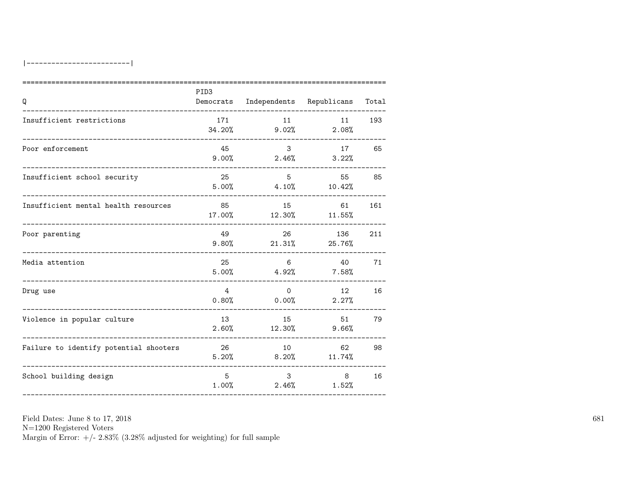| Q                                                            | PID <sub>3</sub><br>Democrats | Independents Republicans |                          | Total |
|--------------------------------------------------------------|-------------------------------|--------------------------|--------------------------|-------|
| Insufficient restrictions                                    | 171<br>34.20%                 | 11<br>$9.02\%$           | 11<br>2.08%              | 193   |
| Poor enforcement                                             | 45<br>$9.00\%$                | 3 <sup>1</sup><br>2.46%  | 17<br>3.22%              | 65    |
| Insufficient school security                                 | 25<br>5.00%                   | 5 <sup>5</sup>           | 55<br>$4.10\%$ $10.42\%$ | 85    |
| Insufficient mental health resources<br>____________________ | 85<br>17.00%                  | 15<br>12.30%             | 61<br>11.55%             | 161   |
| Poor parenting                                               | 49<br>$9.80\%$                | 26<br>21.31%             | 136<br>25.76%            | 211   |
| Media attention                                              | 25<br>5.00%                   | 6<br>4.92%               | 40<br>$7.58\%$           | 71    |
| Drug use                                                     | $\overline{4}$<br>0.80%       | $\Omega$<br>$0.00\%$     | 12<br>2.27%              | 16    |
| Violence in popular culture                                  | 13<br>2.60%                   | 15<br>12.30%             | 51<br>9.66%              | 79    |
| Failure to identify potential shooters                       | 26<br>5.20%                   | 10<br>8.20%              | 62<br>11.74%             | 98    |
| School building design                                       | 5<br>1.00%                    | $\mathbf{3}$<br>2.46%    | 8 <sup>8</sup><br>1.52%  | 16    |

N=1200 Registered Voters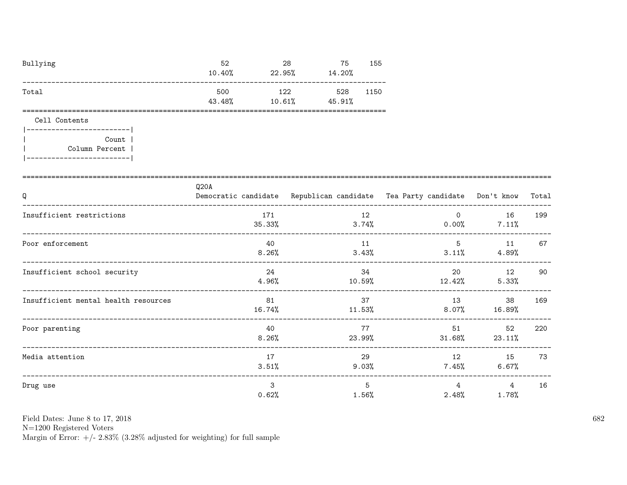| Bullying | 52<br>10.40%  | 28<br>22.95%  | 75<br>14.20%  | 155  |
|----------|---------------|---------------|---------------|------|
| Total    | 500<br>43.48% | 122<br>10.61% | 528<br>45.91% | 1150 |

Cell Contents

| Count          |
|----------------|
| Column Percent |
|                |

| Q                                    | Q20A           | Democratic candidate Republican candidate Tea Party candidate Don't know Total |                |                                               |     |
|--------------------------------------|----------------|--------------------------------------------------------------------------------|----------------|-----------------------------------------------|-----|
| Insufficient restrictions            | 171<br>35.33%  | 12<br>3.74%                                                                    |                | $\Omega$ and $\Omega$<br>16<br>$0.00\%$ 7.11% | 199 |
| Poor enforcement                     | 40<br>8.26%    | 11<br>3.43%                                                                    | 5              | 11<br>$3.11\%$ 4.89%                          | 67  |
| Insufficient school security         | 24<br>4.96%    | 34<br>10.59%                                                                   | 20<br>12.42%   | 12<br>5.33%                                   | 90  |
| Insufficient mental health resources | 81<br>16.74%   | 37<br>11.53%                                                                   | 13<br>$8.07\%$ | 38<br>16.89%                                  | 169 |
| Poor parenting                       | 40<br>$8.26\%$ | 77<br>23.99%                                                                   | 51<br>31.68%   | 52<br>23.11%                                  | 220 |
| Media attention                      | 17<br>3.51%    | 29<br>$9.03\%$                                                                 |                | 12 15<br>$7.45\%$ 6.67%                       | 73  |
| Drug use                             | 3<br>0.62%     | 5<br>1.56%                                                                     | 4<br>$2.48\%$  | 4<br>$1.78\%$                                 | 16  |

Field Dates: June 8 to 17, 2018

 ${\rm N}{=}1200$  Registered Voters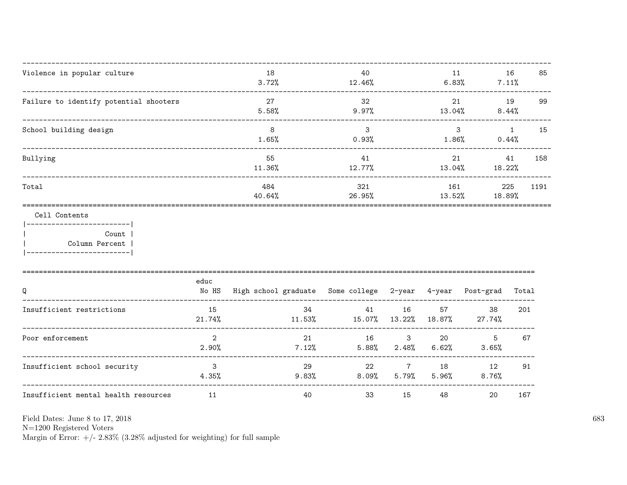| Violence in popular culture<br>_____________________            |                                  | 18<br>3.72%                                                     | 40<br>12.46%                                            |               |               | 11<br>16<br>$6.83\%$ 7.11%     | 85                   |
|-----------------------------------------------------------------|----------------------------------|-----------------------------------------------------------------|---------------------------------------------------------|---------------|---------------|--------------------------------|----------------------|
| Failure to identify potential shooters<br>_____________________ |                                  | 27<br>5.58%                                                     | 32<br>$9.97\%$                                          |               |               | 21<br>$13.04\%$ 8.44%          | 19<br>99             |
| School building design<br>____________________________          |                                  | 8<br>1.65%                                                      | $\mathbf{3}$<br>0.93%                                   |               |               | $\mathbf{3}$<br>1.86%<br>0.44% | $\overline{1}$<br>15 |
| Bullying                                                        |                                  | 55<br>$11.36\%$                                                 | 41<br>12.77%                                            |               |               | 21<br>$13.04\%$ $18.22\%$      | 41<br>158            |
| Total                                                           |                                  | 484<br>40.64%                                                   | 321<br>26.95%                                           |               | 161<br>13.52% | 18.89%                         | 225<br>1191          |
| Cell Contents<br>Count  <br>Column Percent                      |                                  |                                                                 |                                                         |               |               |                                |                      |
| Q                                                               | educ                             | No HS High school graduate Some college 2-year 4-year Post-grad |                                                         |               |               |                                | Total                |
| Insufficient restrictions                                       | 15<br>21.74%                     | 34                                                              | 41<br>$11.53\%$ $15.07\%$ $13.22\%$ $18.87\%$ $27.74\%$ | 16            |               | 57 — 10<br>38                  | 201                  |
| Poor enforcement                                                | $\overline{2}$<br>2.90%          | 21                                                              | $7.12\%$ 5.88% 2.48% 6.62% 3.65%                        | 16 3 20       |               | $5^{\circ}$                    | 67                   |
| Insufficient school security                                    | $\overline{\mathbf{3}}$<br>4.35% | 29                                                              | $9.83\%$ $8.09\%$ $5.79\%$                              | 22 and $\sim$ | 7 18<br>5.96% | 12<br>8.76%                    | 91                   |
| Insufficient mental health resources                            | 11                               | 40                                                              | 33                                                      | 15            | 48            | 20                             | 167                  |

Field Dates: June 8 to 17,  $2018\,$ 

N=1200 Registered Voters<br>Margin of Error:  $+/- 2.83\%$  (3.28% adjusted for weighting) for full sample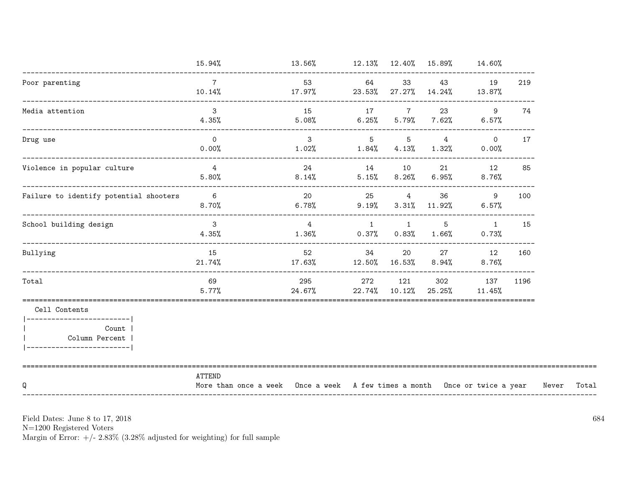|                                                                                                        | 15.94%                                                                               | $13.56\%$ $12.13\%$ $12.40\%$ $15.89\%$ $14.60\%$                       |                |                |                                |                         |      |       |       |
|--------------------------------------------------------------------------------------------------------|--------------------------------------------------------------------------------------|-------------------------------------------------------------------------|----------------|----------------|--------------------------------|-------------------------|------|-------|-------|
| Poor parenting                                                                                         | $7\overline{ }$<br>10.14%                                                            | 53 64<br>$17.97\%$ 23.53% 27.27% $14.24\%$ 13.87%                       |                | 33             | 43 — 13                        | 19                      | 219  |       |       |
| Media attention                                                                                        | $\mathcal{B}$<br>$4.35\%$                                                            | 15 17 7<br>$5.08\%$ 6.25% 5.79% 7.62%                                   |                |                | 23                             | 9<br>$6.57\%$           | 74   |       |       |
| Drug use                                                                                               | $\overline{0}$<br>$0.00\%$                                                           | $\overline{\mathbf{3}}$<br>$1.02\%$ $1.84\%$ $4.13\%$ $1.32\%$ $0.00\%$ |                |                | $5 \qquad 5 \qquad 4 \qquad 0$ |                         | 17   |       |       |
| Violence in popular culture                                                                            | $\overline{4}$<br>$5.80\%$                                                           | 24<br>$8.14\%$ $5.15\%$ $8.26\%$ $6.95\%$ $8.76\%$                      |                | 14 10          | 21                             | 12                      | 85   |       |       |
| Failure to identify potential shooters                                                                 | $\overline{6}$<br>$8.70\%$ 6.78% 9.19% 3.31% 11.92%                                  | 20 25                                                                   |                |                | $4\overline{ }$                | 36<br>-9<br>$6.57\%$    | 100  |       |       |
| School building design                                                                                 | $\overline{\mathbf{3}}$<br>4.35%                                                     | $\frac{4}{3}$<br>$1.36\%$ 0.37% 0.83% 1.66%                             | $\overline{1}$ | $\overline{1}$ | 5                              | $\overline{1}$<br>0.73% | 15   |       |       |
| Bullying                                                                                               | 15<br>$21.74\%$                                                                      | 52<br>$17.63\%$ $12.50\%$ $16.53\%$                                     | 34             | 20             | $8.94\%$                       | 27 12<br>$8.76\%$       | 160  |       |       |
| Total                                                                                                  | 69<br>5.77%                                                                          | 295<br>24.67% 22.74% 10.12% 25.25%                                      | 272            | 121            | 302                            | 137<br>11.45%           | 1196 |       |       |
| Cell Contents<br> ------------------------ <br>Count  <br>Column Percent<br>__________________________ |                                                                                      |                                                                         |                |                |                                |                         |      |       |       |
| Q                                                                                                      | ATTEND<br>More than once a week Once a week A few times a month Once or twice a year |                                                                         |                |                |                                |                         |      | Never | Total |

 ${\rm N}{=}1200$  Registered Voters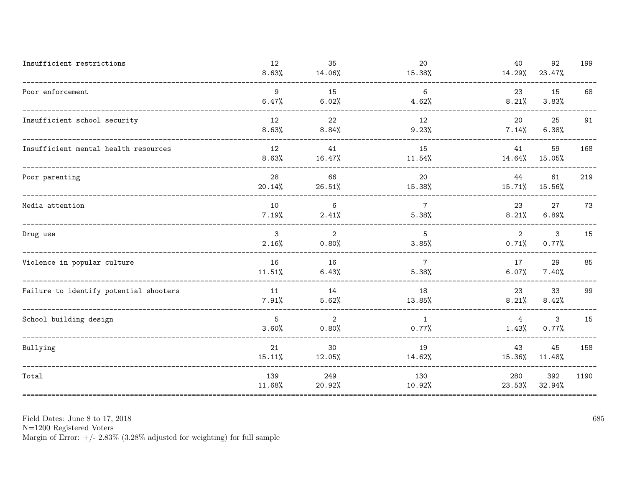| Insufficient restrictions                 | 12<br>8.63%           | 35<br>14.06%               | 20<br>15.38%             | 40<br>14.29%            | 92<br>23.47%          | 199  |
|-------------------------------------------|-----------------------|----------------------------|--------------------------|-------------------------|-----------------------|------|
| Poor enforcement                          | 9<br>6.47%            | 15<br>6.02%                | 6<br>4.62%               | 23<br>8.21%             | 15<br>3.83%           | 68   |
| Insufficient school security              | 12<br>8.63%           | 22<br>8.84%                | 12<br>9.23%              | 20<br>$7.14\%$          | 25<br>6.38%           | 91   |
| Insufficient mental health resources      | 12<br>8.63%           | 41<br>16.47%               | 15<br>$11.54\%$          | 41<br>14.64%            | 59<br>15.05%          | 168  |
| Poor parenting                            | 28<br>20.14%          | 66<br>26.51%               | 20<br>15.38%             | 44<br>15.71%            | 61<br>15.56%          | 219  |
| Media attention                           | 10<br>7.19%           | 6<br>2.41%                 | $7\overline{ }$<br>5.38% | 23<br>8.21%             | 27<br>6.89%           | 73   |
| Drug use<br>----------------------------- | $\mathbf{3}$<br>2.16% | 2<br>$0.80\%$              | 5<br>3.85%               | $\overline{2}$<br>0.71% | $\mathbf{3}$<br>0.77% | 15   |
| Violence in popular culture               | 16<br>11.51%          | 16<br>6.43%                | $7\phantom{.0}$<br>5.38% | 17<br>6.07%             | 29<br>7.40%           | 85   |
| Failure to identify potential shooters    | 11<br>$7.91\%$        | 14<br>5.62%                | 18<br>13.85%             | 23<br>8.21%             | 33<br>8.42%           | 99   |
| School building design                    | 5<br>3.60%            | $\overline{2}$<br>$0.80\%$ | $\mathbf{1}$<br>$0.77\%$ | $\overline{4}$<br>1.43% | 3<br>0.77%            | 15   |
| Bullying                                  | 21<br>15.11%          | 30<br>12.05%               | 19<br>14.62%             | 43<br>15.36%            | 45<br>11.48%          | 158  |
| Total                                     | 139<br>11.68%         | 249<br>20.92%              | 130<br>10.92%            | 280<br>23.53%           | 392<br>32.94%         | 1190 |

N=1200 Registered Voters<br>Margin of Error: +/- 2.83% (3.28% adjusted for weighting) for full sample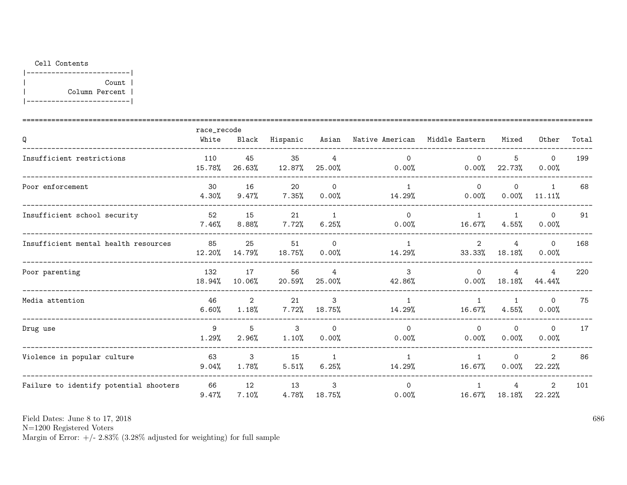|-------------------------| | Count | | Column Percent | |-------------------------|

|                                        | race_recode   |                         |              |                       |                                |                           |                       |                          |       |
|----------------------------------------|---------------|-------------------------|--------------|-----------------------|--------------------------------|---------------------------|-----------------------|--------------------------|-------|
| Q                                      | White         | Black                   | Hispanic     | Asian                 | Native American Middle Eastern |                           | Mixed                 | Other                    | Total |
| Insufficient restrictions              | 110<br>15.78% | 45<br>26.63%            | 35<br>12.87% | 4<br>25.00%           | $\Omega$<br>0.00%              | $\Omega$<br>0.00%         | 5<br>22.73%           | $\Omega$<br>0.00%        | 199   |
| Poor enforcement                       | 30<br>4.30%   | 16<br>9.47%             | 20<br>7.35%  | $\Omega$<br>0.00%     | $\mathbf{1}$<br>14.29%         | $\Omega$<br>0.00%         | 0<br>0.00%            | $\mathbf{1}$<br>11.11%   | 68    |
| Insufficient school security           | 52<br>7.46%   | 15<br>8.88%             | 21<br>7.72%  | $\mathbf{1}$<br>6.25% | $\Omega$<br>0.00%              | $\mathbf{1}$<br>16.67%    | $\mathbf{1}$<br>4.55% | $\mathbf 0$<br>0.00%     | 91    |
| Insufficient mental health resources   | 85<br>12.20%  | 25<br>14.79%            | 51<br>18.75% | $\Omega$<br>0.00%     | 14.29%                         | $\overline{2}$<br>33.33%  | 4<br>18.18%           | $\Omega$<br>0.00%        | 168   |
| Poor parenting                         | 132<br>18.94% | 17<br>10.06%            | 56<br>20.59% | 4<br>25.00%           | 3<br>42.86%                    | $\Omega$<br>0.00%         | 4<br>$18.18\%$        | 4<br>44.44%              | 220   |
| Media attention                        | 46<br>6.60%   | $\overline{2}$<br>1.18% | 21<br>7.72%  | 3<br>18.75%           | $\mathbf{1}$<br>14.29%         | $\overline{1}$<br>16.67%  | -1<br>4.55%           | $\Omega$<br>0.00%        | 75    |
| Drug use                               | 9<br>1.29%    | 5<br>2.96%              | 3<br>1.10%   | $\Omega$<br>0.00%     | $\Omega$<br>0.00%              | $\Omega$<br>0.00%         | $\Omega$<br>0.00%     | $\mathbf 0$<br>0.00%     | 17    |
| Violence in popular culture            | 63<br>9.04%   | 3<br>1.78%              | 15<br>5.51%  | 1<br>6.25%            | 1<br>14.29%                    | $\mathbf{1}$<br>$16.67\%$ | $\Omega$<br>0.00%     | $\overline{2}$<br>22.22% | 86    |
| Failure to identify potential shooters | 66<br>9.47%   | 12<br>7.10%             | 13<br>4.78%  | 3<br>18.75%           | $\Omega$<br>0.00%              | $\mathbf{1}$<br>16.67%    | 4<br>18.18%           | $\overline{2}$<br>22.22% | 101   |

Field Dates: June 8 to 17, 2018

N=1200 Registered Voters

Margin of Error:  $+/- 2.83\%$  (3.28% adjusted for weighting) for full sample

686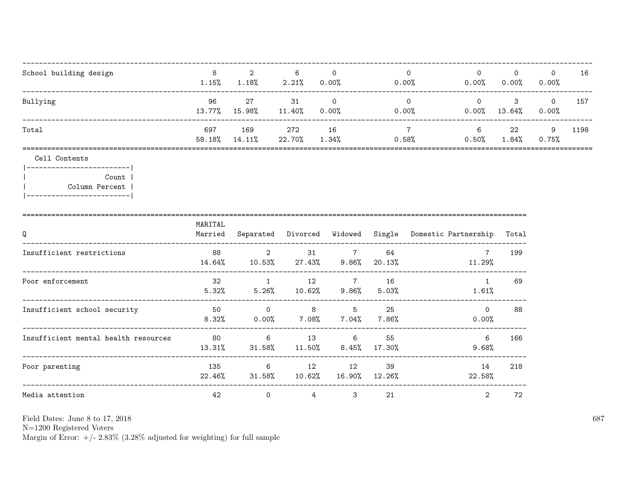| School building design | 8<br>1.15%    | 2<br>1.18%    | 6<br>2.21%      | $0.00\%$             | 0.00% | $\Omega$<br>0.00% | $\Omega$<br>0.00% | $\mathbf 0$<br>0.00% | 16   |
|------------------------|---------------|---------------|-----------------|----------------------|-------|-------------------|-------------------|----------------------|------|
| Bullying               | 96<br>13.77%  | -27<br>15.98% | 31<br>$11.40\%$ | $\Omega$<br>$0.00\%$ | 0.00% | $\Omega$<br>0.00% | 3<br>13.64%       | $\circ$<br>0.00%     | 157  |
| Total                  | 697<br>58.18% | 169<br>14.11% | 272<br>22.70%   | 16<br>1.34%          | 0.58% | 6<br>0.50%        | 22<br>$1.84\%$    | 9<br>0.75%           | 1198 |

|-------------------------| Count |  $\overline{1}$ Column Percent | |------------------------|

| Q                                    | MARITAL<br>Married |                      | Separated Divorced | Widowed                     |                | Single Domestic Partnership | Total |
|--------------------------------------|--------------------|----------------------|--------------------|-----------------------------|----------------|-----------------------------|-------|
| Insufficient restrictions            | 88<br>14.64%       | 2<br>10.53%          | 31<br>27.43%       | <sup>7</sup><br>9.86%       | 64<br>20.13%   | $\mathbf{7}$<br>11.29%      | 199   |
| Poor enforcement                     | 32<br>5.32%        | 5.26%                | 12<br>10.62%       | 7<br>9.86%                  | 16<br>5.03%    | $\mathbf{1}$<br>1.61%       | 69    |
| Insufficient school security         | 50<br>8.32%        | $\Omega$<br>$0.00\%$ | -8<br>7.08%        | -5<br>$7.04\%$              | 25<br>$7.86\%$ | $\Omega$<br>0.00%           | 88    |
| Insufficient mental health resources | 80<br>13.31%       | 6<br>31.58%          | 13<br>11.50%       | $6\overline{6}$<br>$8.45\%$ | 55<br>17.30%   | 6<br>9.68%                  | 166   |
| Poor parenting                       | 135<br>22.46%      | 6<br>31.58%          | 12<br>10.62%       | 12<br>16.90%                | 39<br>12.26%   | 14<br>22.58%                | 218   |
| Media attention                      | 42                 | $\mathbf 0$          | 4                  | 3                           | 21             | 2                           | 72    |

Field Dates: June 8 to 17, 2018

 ${\rm N}{=}1200$  Registered Voters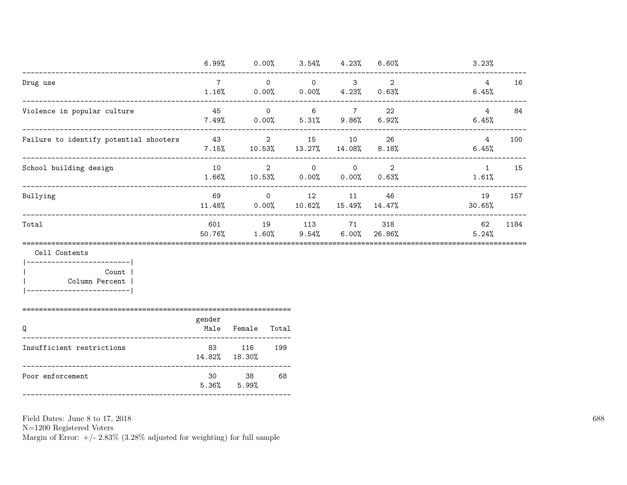|                                        | 6.99%         | $0.00\%$                   | 3.54%               | $4.23\%$                   | $6.60\%$       | 3.23%                 |      |
|----------------------------------------|---------------|----------------------------|---------------------|----------------------------|----------------|-----------------------|------|
| Drug use                               | 1.16%         | $\overline{0}$<br>$0.00\%$ | $\circ$<br>$0.00\%$ | 3<br>$4.23\%$              | 2<br>$0.63\%$  | 4<br>6.45%            | 16   |
| Violence in popular culture            | 45<br>7.49%   | $\overline{0}$<br>$0.00\%$ | 6<br>5.31%          | $\overline{7}$<br>$9.86\%$ | 22<br>6.92%    | 4<br>6.45%            | 84   |
| Failure to identify potential shooters | 43<br>7.15%   | $\overline{2}$<br>10.53%   | 15<br>13.27%        | 10<br>14.08%               | 26<br>$8.18\%$ | 4<br>6.45%            | 100  |
| School building design                 | 10<br>1.66%   | $\overline{2}$<br>10.53%   | $\circ$<br>$0.00\%$ | $\circ$<br>$0.00\%$        | 2<br>$0.63\%$  | $\mathbf{1}$<br>1.61% | 15   |
| Bullying                               | 69<br>11.48%  | $\overline{0}$<br>0.00%    | 12<br>10.62%        | 11<br>15.49%               | 46<br>14.47%   | 19<br>30.65%          | 157  |
| Total                                  | 601<br>50.76% | 19<br>1.60%                | 113<br>$9.54\%$     | 71<br>6.00%                | 318<br>26.86%  | 62<br>5.24%           | 1184 |

|------------------------| Count |  $\overline{\phantom{a}}$ Column Percent | |-------------------------|

| __ | ____ |
|----|------|
|    |      |

| Q                         |    | Male Female Total        |     |
|---------------------------|----|--------------------------|-----|
| Insufficient restrictions | 83 | 116<br>14.82% 18.30%     | 199 |
| Poor enforcement          | 30 | -38<br>$5.36\%$ $5.99\%$ | 68  |

Field Dates: June 8 to 17, 2018

 ${\rm N}{=}1200$  Registered Voters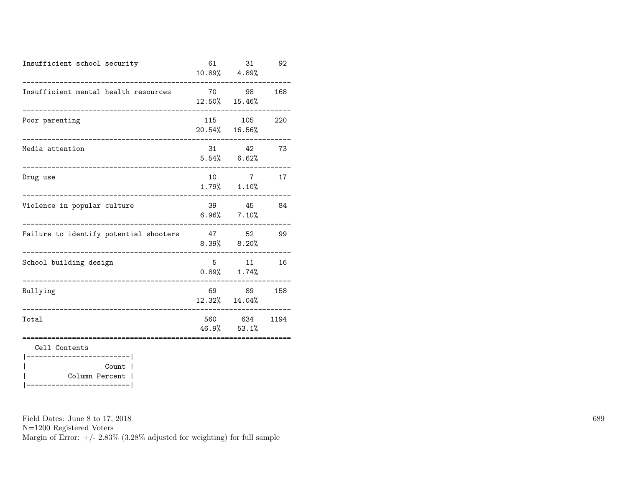| Insufficient school security           | 61              | 31<br>10.89% 4.89%                   | 92   |
|----------------------------------------|-----------------|--------------------------------------|------|
| Insufficient mental health resources   | 70              | 98<br>12.50% 15.46%                  | 168  |
| Poor parenting                         | 115             | 105<br>20.54% 16.56%                 | 220  |
| Media attention                        |                 | 31 42<br>$5.54\%$ 6.62%              | 73   |
| Drug use                               | 10 <sup>1</sup> | $7\overline{7}$<br>$1.79\%$ $1.10\%$ | 17   |
| Violence in popular culture            | 39              | 45<br>$6.96\%$ $7.10\%$              | 84   |
| Failure to identify potential shooters |                 | 47 52<br>$8.39%$ $8.20%$             | 99   |
| School building design                 | 5               | 11<br>$0.89%$ 1.74%                  | 16   |
| Bullying                               | 69              | 89<br>12.32% 14.04%                  | 158  |
| Total                                  | 560             | 634<br>$46.9\%$ $53.1\%$             | 1194 |
| Cell Contents<br>-----------           |                 |                                      |      |
| Count                                  |                 |                                      |      |

| Column Percent | |-------------------------|

Field Dates: June 8 to 17, 2018

N=1200 Registered Voters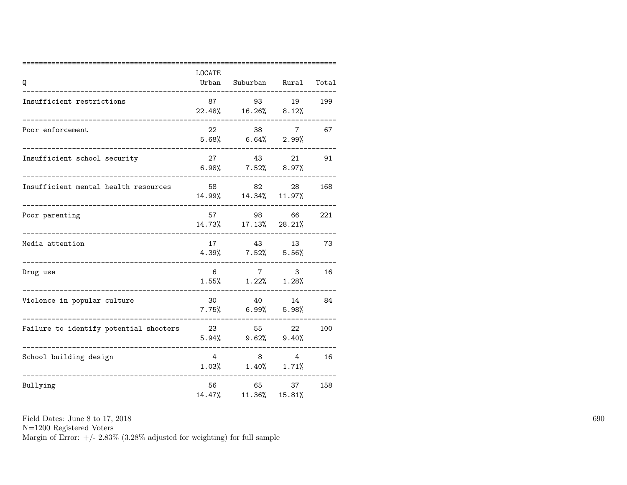| Q                                      | LOCATE<br>Urban         | Suburban Rural                   |                          | Total |
|----------------------------------------|-------------------------|----------------------------------|--------------------------|-------|
| Insufficient restrictions              | 87                      | 93<br>22.48% 16.26% 8.12%        | 19                       | 199   |
| Poor enforcement                       | 22                      | 38<br>$5.68\%$ 6.64%             | $7\phantom{.0}$<br>2.99% | 67    |
| Insufficient school security           | 27<br>$6.98\%$          | 43<br>$7.52\%$ 8.97%             | 21                       | 91    |
| Insufficient mental health resources   | 58                      | 82<br>14.99% 14.34% 11.97%       | 28                       | 168   |
| Poor parenting                         | 57<br>14.73%            | 98                               | 66<br>$17.13\%$ 28.21%   | 221   |
| Media attention                        | 17                      | 43<br>$4.39\%$ $7.52\%$          | 13<br>5.56%              | 73    |
| Drug use                               | 6                       | 7<br>$1.55\%$ $1.22\%$ $1.28\%$  | 3                        | 16    |
| Violence in popular culture            | 30                      | 40<br>$7.75\%$ 6.99% 5.98%       | 14                       | 84    |
| Failure to identify potential shooters | 23                      | 55<br>$5.94\%$ $9.62\%$ $9.40\%$ | 22                       | 100   |
| School building design                 | $\overline{4}$<br>1.03% | 8<br>1.40%                       | 4<br>1.71%               | 16    |
| Bullying                               | 56<br>14.47%            | 65<br>$11.36\%$                  | 37<br>15.81%             | 158   |

N=1200 Registered Voters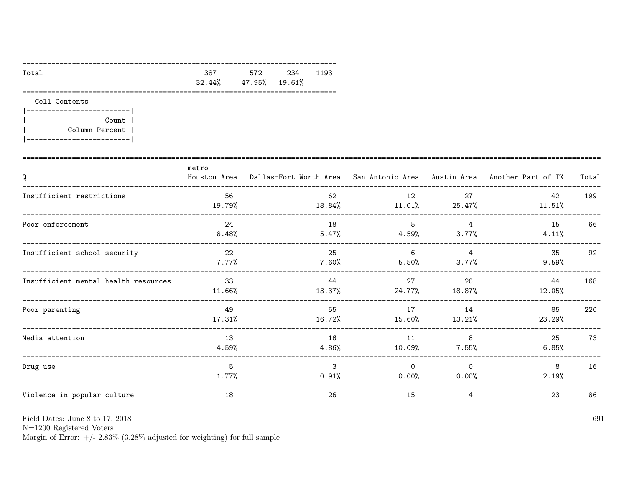| Total |                               | 387 572 234 1193 |  |
|-------|-------------------------------|------------------|--|
|       | $32.44\%$ $47.95\%$ $19.61\%$ |                  |  |
|       |                               |                  |  |

|-------------------------| Count |  $\overline{\phantom{a}}$ Column Percent |  $\overline{\phantom{a}}$ |-------------------------|

| Q                                    | metro           | Houston Area Dallas-Fort Worth Area San Antonio Area Austin Area Another Part of TX |                   |                         |              | Total |
|--------------------------------------|-----------------|-------------------------------------------------------------------------------------|-------------------|-------------------------|--------------|-------|
| Insufficient restrictions            | 56<br>19.79%    | 62<br>18.84%                                                                        | 12<br>$11.01\%$   | 27<br>25.47%            | 42<br>11.51% | 199   |
| Poor enforcement                     | 24<br>8.48%     | 18<br>5.47%                                                                         | 5<br>4.59%        | $\overline{4}$<br>3.77% | 15<br>4.11%  | 66    |
| Insufficient school security         | 22<br>$7.77\%$  | 25<br>$7.60\%$                                                                      | 6<br>5.50%        | 4<br>3.77%              | 35<br>9.59%  | 92    |
| Insufficient mental health resources | 33<br>$11.66\%$ | 44<br>13.37%                                                                        | 27<br>24.77%      | 20<br>18.87%            | 44<br>12.05% | 168   |
| Poor parenting                       | 49<br>17.31%    | 55<br>16.72%                                                                        | 17<br>15.60%      | 14<br>13.21%            | 85<br>23.29% | 220   |
| Media attention                      | 13<br>$4.59\%$  | 16<br>4.86%                                                                         | 11<br>10.09%      | 8<br>$7.55\%$           | 25<br>6.85%  | 73    |
| Drug use                             | 5<br>1.77%      | 3<br>$0.91\%$                                                                       | $\Omega$<br>0.00% | $\Omega$<br>0.00%       | 8<br>2.19%   | 16    |
| Violence in popular culture          | 18              | 26                                                                                  | 15                | 4                       | 23           | 86    |

Field Dates: June 8 to 17, 2018

 ${\rm N}{=}1200$  Registered Voters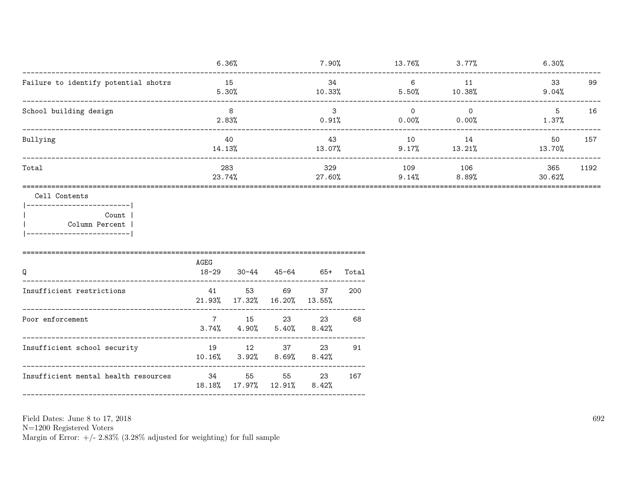|                                      | 6.36%         | 7.90%         | 13.76%            | 3.77%             | 6.30%         |      |
|--------------------------------------|---------------|---------------|-------------------|-------------------|---------------|------|
| Failure to identify potential shotrs | 15<br>5.30%   | 34<br>10.33%  | 6<br>5.50%        | 11<br>10.38%      | 33<br>9.04%   | 99   |
| School building design               | 8<br>2.83%    | 3<br>0.91%    | $\Omega$<br>0.00% | $\Omega$<br>0.00% | 5.<br>1.37%   | 16   |
| Bullying                             | 40<br>14.13%  | 43<br>13.07%  | 10<br>9.17%       | 14<br>13.21%      | 50<br>13.70%  | 157  |
| Total                                | 283<br>23.74% | 329<br>27.60% | 109<br>9.14%      | 106<br>8.89%      | 365<br>30.62% | 1192 |

```
Cell Contents
```
 $|----------$ Count | Column Percent |  $\mathbf{I}$  $|---------------$ 

| Q                                    | AGEG<br>18-29 | 30-44                      |                                   | 45-64 65+   | Total |
|--------------------------------------|---------------|----------------------------|-----------------------------------|-------------|-------|
| Insufficient restrictions            | 41            | 53                         | 69<br>21.93% 17.32% 16.20% 13.55% | 37          | 200   |
| Poor enforcement                     | 7             | 15                         | 23<br>$3.74\%$ $4.90\%$ $5.40\%$  | 23<br>8.42% | 68    |
| Insufficient school security         | 19            | 12 —<br>$10.16\%$ $3.92\%$ | 37<br>8.69%                       | 23<br>8.42% | 91    |
| Insufficient mental health resources | 34            | 55<br>18.18% 17.97% 12.91% | 55                                | 23<br>8.42% | 167   |

Field Dates: June 8 to 17, 2018

 ${\rm N}{=}1200$  Registered Voters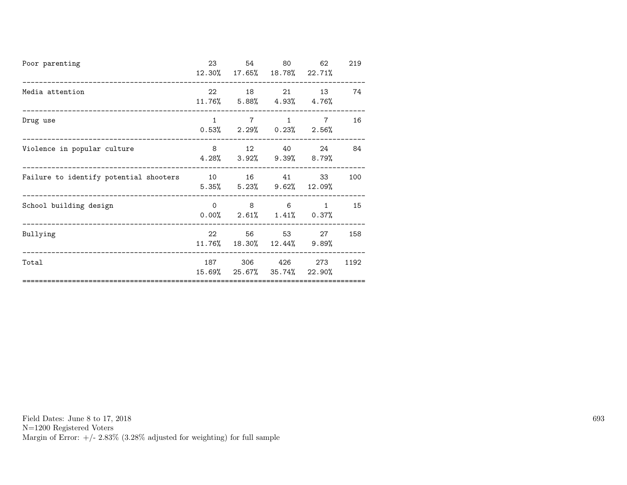| Poor parenting                         | 23              | 54<br>12.30% 17.65% 18.78% 22.71%                                     | 80                           | 62             | 219  |
|----------------------------------------|-----------------|-----------------------------------------------------------------------|------------------------------|----------------|------|
| Media attention                        |                 | 22 18 21 13<br>11.76% 5.88% 4.93% 4.76%                               |                              |                | 74   |
| Drug use                               | 1               | $7\overline{ }$<br>$0.53\%$ 2.29% $0.23\%$ 2.56%                      | 1                            | $7\phantom{.}$ | 16   |
| Violence in popular culture            |                 | 8 12 40 24<br>$4.28\%$ $3.92\%$ $9.39\%$ $8.79\%$                     |                              |                | 84   |
| Failure to identify potential shooters |                 | 10 16 41 33<br>$5.35\%$ $5.23\%$ $9.62\%$ $12.09\%$                   |                              |                | 100  |
| School building design                 |                 | $\begin{matrix} 0 & 8 & 6 \end{matrix}$<br>$0.00\%$ 2.61% 1.41% 0.37% |                              | $\mathbf{1}$   | 15   |
| Bullying                               | 22<br>$11.76\%$ |                                                                       | 56 53<br>18.30% 12.44% 9.89% | 27             | 158  |
| Total                                  |                 | 187 306 426<br>15.69% 25.67% 35.74%                                   |                              | 273<br>22.90%  | 1192 |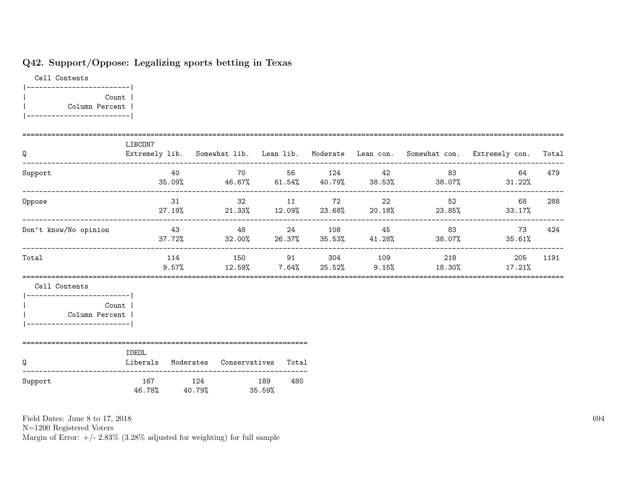# Q42. Support/Oppose: Legalizing sports betting in Texas

Cell Contents |-------------------------| | Count | | Column Percent | |-------------------------|

| Q                                                                                                    | LIBCON7                                         |    |                                 |     |             |                        | Extremely lib. Somewhat lib. Lean lib. Moderate Lean con. Somewhat con. Extremely con. Total                       |      |
|------------------------------------------------------------------------------------------------------|-------------------------------------------------|----|---------------------------------|-----|-------------|------------------------|--------------------------------------------------------------------------------------------------------------------|------|
| Support                                                                                              |                                                 |    |                                 |     |             | 40 70 56 124 42 83     | 64<br>$35.09\%$ 46.67% 61.54% 40.79% 38.53% 38.07% 31.22%                                                          | 479  |
| Oppose                                                                                               |                                                 | 31 |                                 |     | 32 11 72 22 | 52                     | 68<br>$27.19\%$ 21.33% 12.09% 23.68% 20.18% 23.85% 33.17%                                                          | 288  |
| Don't know/No opinion                                                                                |                                                 |    |                                 |     |             |                        | $43$ $48$ $24$ $108$ $45$ $83$ $73$ $424$<br>$37.72\%$ $32.00\%$ $26.37\%$ $35.53\%$ $41.28\%$ $38.07\%$ $38.61\%$ |      |
| Total                                                                                                |                                                 |    |                                 |     |             | 114 150 91 304 109 218 | 205<br>9.57% 12.59% 7.64% 25.52% 9.15% 18.30% 17.21%                                                               | 1191 |
| Cell Contents<br>--------------------------<br>Count<br>Column Percent<br>-------------------------- |                                                 |    |                                 |     |             |                        |                                                                                                                    |      |
| Q                                                                                                    | IDEOL<br>Liberals Moderates Conservatives Total |    |                                 |     |             |                        |                                                                                                                    |      |
| Support                                                                                              | 167                                             |    | 124 189<br>46.78% 40.79% 35.59% | 480 |             |                        |                                                                                                                    |      |

Field Dates: June 8 to 17, 2018

N=1200 Registered Voters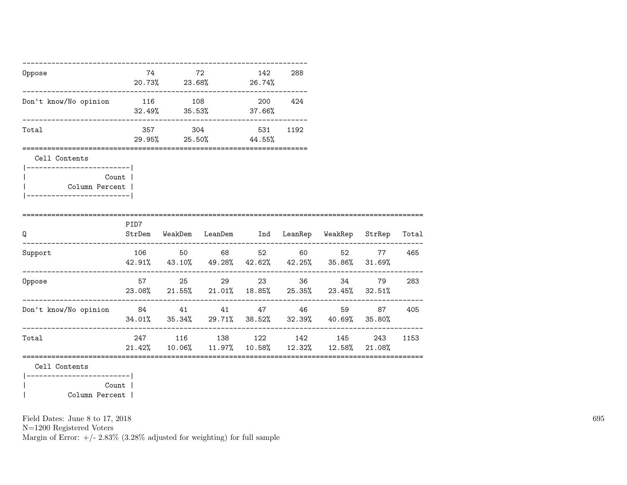| Oppose                                                                       |       | 74 72 142<br>20.73% 23.68% 26.74%      | 288  |                                                                                                      |                           |      |
|------------------------------------------------------------------------------|-------|----------------------------------------|------|------------------------------------------------------------------------------------------------------|---------------------------|------|
| Don't know/No opinion 116 108 200 424                                        |       | $32.49\%$ $35.53\%$ $37.66\%$          |      |                                                                                                      |                           |      |
| Total                                                                        |       | 357 304 531<br>$29.95\%$ 25.50% 44.55% | 1192 |                                                                                                      |                           |      |
| Cell Contents                                                                |       |                                        |      |                                                                                                      |                           |      |
| ------------------------- <br>Column Percent  <br> ------------------------- | Count |                                        |      |                                                                                                      |                           |      |
| ===========================<br>Q                                             | PID7  |                                        |      | StrDem WeakDem LeanDem Ind LeanRep WeakRep StrRep Total                                              |                           |      |
| Support                                                                      |       | 106 50 68 52 60                        |      | 42.91% 43.10% 49.28% 42.62% 42.25% 35.86% 31.69%                                                     | 52 77 465<br>____________ |      |
| Oppose                                                                       |       | 57 25 29 23 36                         |      | $23.08\%$ 21.55% 21.01% 18.85% 25.35% 23.45% 32.51%                                                  | 34 79                     | 283  |
| Don't know/No opinion 84 41 41 47 46                                         |       |                                        |      | 34.01% 35.34% 29.71% 38.52% 32.39% 40.69% 35.80%                                                     | 59 87                     | 405  |
| Total                                                                        |       |                                        |      | 247 116 138 122 142 145 243<br>$21.42\%$ $10.06\%$ $11.97\%$ $10.58\%$ $12.32\%$ $12.58\%$ $21.08\%$ |                           | 1153 |
| Cell Contents<br> ------------------------                                   |       |                                        |      |                                                                                                      |                           |      |

|<br>| Column Percent |<br>| Column Percent | | Column Percent |

Field Dates: June 8 to 17, 2018

N=1200 Registered Voters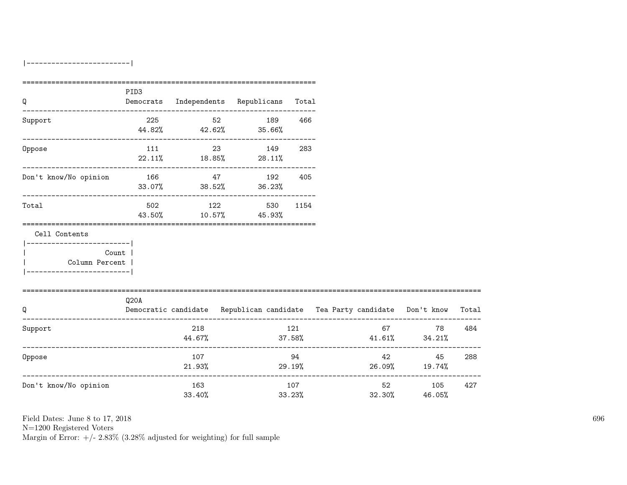|-------------------------|

| Q                                         | PID3 |               |    | Democrats Independents Republicans Total |               |                                                                          |                                          |       |
|-------------------------------------------|------|---------------|----|------------------------------------------|---------------|--------------------------------------------------------------------------|------------------------------------------|-------|
| Support                                   |      | 225           |    | 52 189<br>44.82% 42.62% 35.66%           | 466           |                                                                          |                                          |       |
| Oppose                                    | 111  |               | 23 | 149<br>$22.11\%$ 18.85% 28.11%           | 283           |                                                                          |                                          |       |
| Don't know/No opinion                     | 166  | 47            |    | 192 405<br>$33.07\%$ $38.52\%$ $36.23\%$ |               |                                                                          |                                          |       |
| Total                                     |      | 502 122       |    | 43.50% 10.57% 45.93%                     | 530 1154      |                                                                          |                                          |       |
| Cell Contents<br>------------------------ |      |               |    |                                          |               |                                                                          |                                          |       |
| Count  <br>Column Percent                 |      |               |    |                                          |               |                                                                          |                                          |       |
| Q                                         | Q20A |               |    |                                          |               | Democratic candidate Republican candidate Tea Party candidate Don't know |                                          | Total |
| Support                                   |      | 218<br>44.67% |    |                                          | 121           | $37.58\%$ $41.61\%$ $34.21\%$                                            | 67 — 100<br>78                           | 484   |
| Oppose                                    |      | 107<br>21.93% |    |                                          | 94<br>29.19%  | $26.09\%$ 19.74%                                                         | 42 and $\sim$<br>45                      | 288   |
| Don't know/No opinion                     |      | 163<br>33.40% |    |                                          | 107<br>33.23% | 32.30%                                                                   | --------------------<br>52 105<br>46.05% | 427   |

Field Dates: June 8 to 17, 2018

N=1200 Registered Voters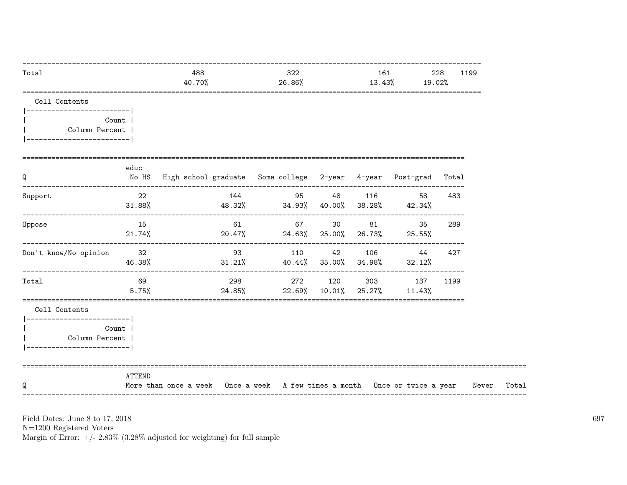| Total                                                                                         |                 | 488<br>40.70%                                                               |     | 322<br>26.86% |  |                                | 161 — 161 — 162 — 162 — 163 — 164 — 164 — 164 — 165 — 165 — 165 — 165 — 165 — 165 — 165 — 165 — 165 — 165 — 165 — 165 — 165 — 165 — 165 — 165 — 165 — 165 — 165 — 165 — 165 — 165 — 165 — 165 — 165 — 165 — 165 — 165 — 165 — 1<br>13.43% |                                                                        | 228<br>1199<br>19.02% |       |
|-----------------------------------------------------------------------------------------------|-----------------|-----------------------------------------------------------------------------|-----|---------------|--|--------------------------------|-------------------------------------------------------------------------------------------------------------------------------------------------------------------------------------------------------------------------------------------|------------------------------------------------------------------------|-----------------------|-------|
| Cell Contents<br> -------------------------                                                   |                 |                                                                             |     |               |  |                                |                                                                                                                                                                                                                                           |                                                                        |                       |       |
| Column Percent  <br>-------------------------                                                 | Count           |                                                                             |     |               |  |                                |                                                                                                                                                                                                                                           |                                                                        |                       |       |
| Q                                                                                             | educ            | No HS  High school graduate  Some college  2-year  4-year  Post-grad  Total |     |               |  |                                |                                                                                                                                                                                                                                           |                                                                        |                       |       |
| Support                                                                                       | 22<br>$31.88\%$ | $48.32\%$ $34.93\%$ $40.00\%$ $38.28\%$ $42.34\%$                           | 144 |               |  | 95 48 116                      |                                                                                                                                                                                                                                           | 58                                                                     | 483                   |       |
| Oppose                                                                                        | 15<br>$21.74\%$ |                                                                             | 61  |               |  | 67 30 81                       |                                                                                                                                                                                                                                           | 35<br>$20.47\%$ 24.63% 25.00% 26.73% 25.55%                            | 289                   |       |
| Don't know/No opinion                                                                         | 32<br>46.38%    |                                                                             | 93  |               |  |                                |                                                                                                                                                                                                                                           | 110 42 106 44 427<br>$31.21\%$ $40.44\%$ $35.00\%$ $34.98\%$ $32.12\%$ |                       |       |
| Total                                                                                         | 69<br>5.75%     |                                                                             |     |               |  | $24.85\%$ 22.69% 10.01% 25.27% |                                                                                                                                                                                                                                           | 298 272 120 303 137<br>11.43%                                          | 1199                  |       |
| Cell Contents<br> ------------------------- <br>Column Percent  <br>------------------------- | Count           |                                                                             |     |               |  |                                |                                                                                                                                                                                                                                           |                                                                        |                       |       |
| Q                                                                                             | ATTEND          | More than once a week Once a week A few times a month Once or twice a year  |     |               |  |                                |                                                                                                                                                                                                                                           |                                                                        |                       | Never |

Field Dates: June 8 to 17,  $2018\,$ 

N=1200 Registered Voters<br>Margin of Error:  $+/- 2.83\%$  (3.28% adjusted for weighting) for full sample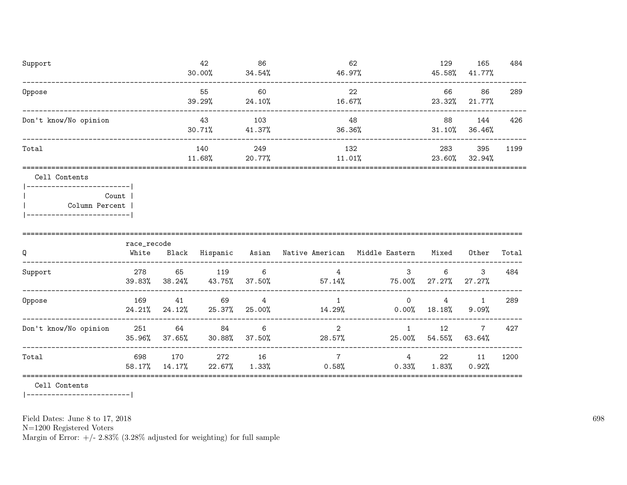| Support                | 42<br>30.00%  | 86<br>34.54%  | 62<br>46.97%  | 129<br>45.58% | 165<br>41.77% | 484  |
|------------------------|---------------|---------------|---------------|---------------|---------------|------|
| Oppose                 | 55<br>39.29%  | 60<br>24.10%  | 22<br>16.67%  | 66<br>23.32%  | 86<br>21.77%  | 289  |
| Don't know/No opinion  | 43<br>30.71%  | 103<br>41.37% | 48<br>36.36%  | 88<br>31.10%  | 144<br>36.46% | 426  |
| Total                  | 140<br>11.68% | 249<br>20.77% | 132<br>11.01% | 283<br>23.60% | 395<br>32.94% | 1199 |
| Cell Contents          |               |               |               |               |               |      |
| Count<br>$0.11$ $0.11$ |               |               |               |               |               |      |

| Column Percent ' |  |
|------------------|--|
|                  |  |

| Q                     | race_recode<br>White | Black         | Hispanic        | Asian       | Native American         | Middle Eastern       | Mixed        | Other       | Total |
|-----------------------|----------------------|---------------|-----------------|-------------|-------------------------|----------------------|--------------|-------------|-------|
| Support               | 278<br>39.83%        | 65<br>38.24%  | 119<br>43.75%   | 6<br>37.50% | 4<br>$57.14\%$          | 3<br>75.00%          | 6<br>27.27%  | 3<br>27.27% | 484   |
| Oppose                | 169<br>24.21%        | 41<br>24.12%  | 69<br>25.37%    | 4<br>25.00% | 14.29%                  | $\Omega$<br>$0.00\%$ | 4<br>18.18%  | $9.09\%$    | 289   |
| Don't know/No opinion | - 251<br>35.96%      | 64<br>37.65%  | 84<br>$30.88\%$ | 6<br>37.50% | $\mathcal{D}$<br>28.57% | 25.00%               | 12<br>54.55% | 7<br>63.64% | 427   |
| Total                 | 698<br>58.17%        | 170<br>14.17% | 272<br>22.67%   | 16<br>1.33% | 0.58%                   | 4<br>$0.33\%$        | 22<br>1.83%  | 11<br>0.92% | 1200  |

=========================================================================================================================

Cell Contents

|-------------------------|

Field Dates: June 8 to 17, 2018

N=1200 Registered Voters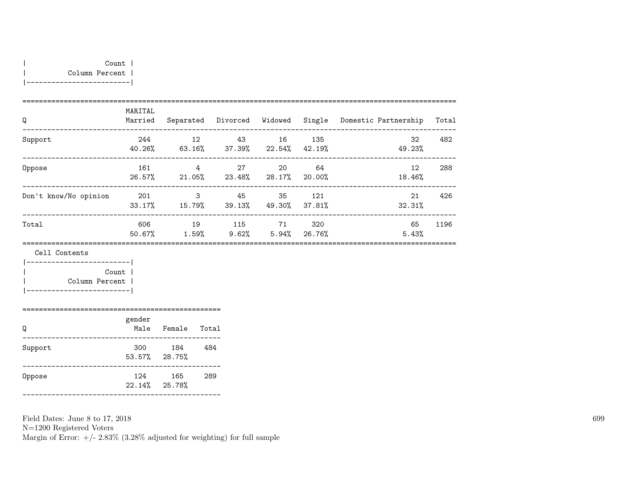|-------------------------|

| Q                     | MARITAL<br>Married | Separated       | Divorced     | Widowed        |               | Single Domestic Partnership | Total |
|-----------------------|--------------------|-----------------|--------------|----------------|---------------|-----------------------------|-------|
| Support               | 244<br>40.26%      | 12<br>$63.16\%$ | 43<br>37.39% | 16<br>22.54%   | 135<br>42.19% | 32<br>49.23%                | 482   |
| Oppose                | 161<br>26.57%      | 4<br>21.05%     | 27<br>23.48% | 20<br>28.17%   | 64<br>20.00%  | 12<br>18.46%                | 288   |
| Don't know/No opinion | 201<br>33.17%      | 3<br>15.79%     | 45<br>39.13% | 35<br>49.30%   | 121<br>37.81% | 21<br>32.31%                | 426   |
| Total                 | 606<br>50.67%      | 19<br>$1.59\%$  | 115<br>9.62% | 71<br>$5.94\%$ | 320<br>26.76% | 65<br>5.43%                 | 1196  |
|                       |                    |                 |              |                |               |                             |       |

Cell Contents

|-------------------------| | Count | | Column Percent | |-------------------------|

| Q       | gender<br>Male       | Female        | Total |
|---------|----------------------|---------------|-------|
| Support | 300<br>53.57% 28.75% | 184           | 484   |
| Oppose  | 124<br>22.14%        | 165<br>25.78% | 289   |

================================================

Field Dates: June 8 to 17, 2018

N=1200 Registered Voters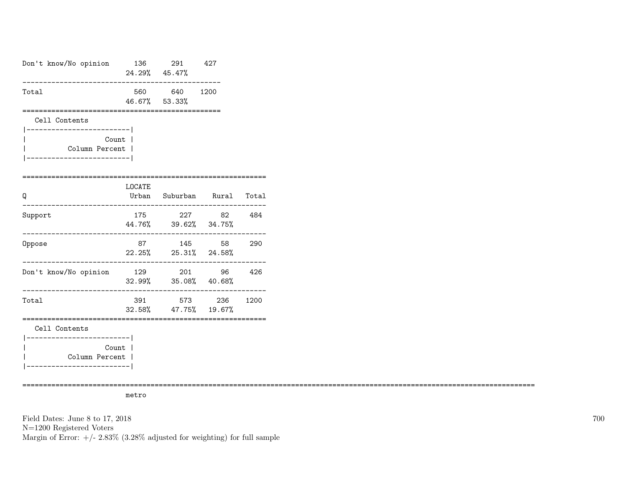| Don't know/No opinion                                                          |         | 136 291<br>24.29% 45.47%                      | 427        |      |
|--------------------------------------------------------------------------------|---------|-----------------------------------------------|------------|------|
| Total                                                                          |         | 560 640 1200<br>46.67% 53.33%                 |            |      |
| Cell Contents                                                                  |         | ------------------------                      |            |      |
| ___________________________<br>Count l<br>Column Percent  <br>--------------   |         |                                               |            |      |
| Q                                                                              | LOCATE  | Urban Suburban Rural Total                    |            |      |
| Support                                                                        | 175     | 44.76% 39.62% 34.75%                          | 227 82 484 |      |
| Oppose                                                                         |         | 87 145 58<br>22.25% 25.31% 24.58%<br>-------- |            | 290  |
| Don't know/No opinion                                                          | ------- | 129 201 96<br>32.99% 35.08% 40.68%            |            | 426  |
| Total                                                                          | 391     | 32.58% 47.75% 19.67%                          | 573 236    | 1200 |
| Cell Contents                                                                  |         | ___________________________________           |            |      |
| ------------------------ <br>Count<br>Column Percent  <br>____________________ |         |                                               |            |      |

============================================================================================================================

metro

Field Dates: June 8 to 17, 2018 N=1200 Registered Voters Margin of Error:  $+/- 2.83\%$  (3.28% adjusted for weighting) for full sample 700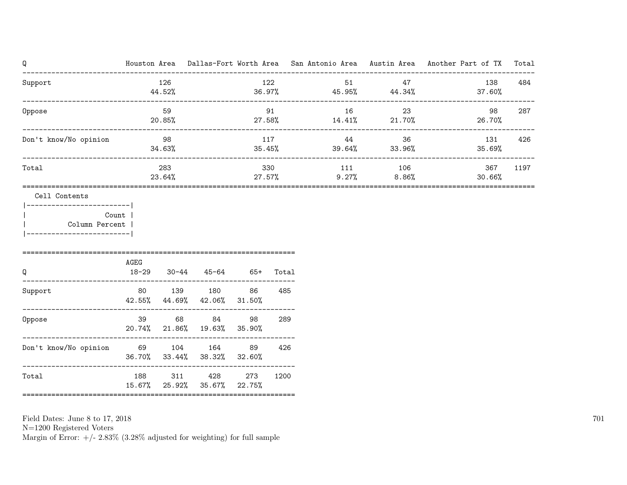| Q                                                                                          |                      |               |                                                                 |               |       |                               |              | Houston Area Dallas-Fort Worth Area San Antonio Area Austin Area Another Part of TX | Total |
|--------------------------------------------------------------------------------------------|----------------------|---------------|-----------------------------------------------------------------|---------------|-------|-------------------------------|--------------|-------------------------------------------------------------------------------------|-------|
| Support                                                                                    |                      | 126<br>44.52% |                                                                 |               | 122   | 51<br>$36.97\%$ 45.95% 44.34% | 47           | 138<br>37.60%                                                                       | 484   |
| Oppose                                                                                     | -------------------- | 59<br>20.85%  | 91                                                              |               |       | 16<br>27.58% 14.41% 21.70%    | 23           | 98<br>26.70%                                                                        | 287   |
| Don't know/No opinion                                                                      |                      | 98<br>34.63%  |                                                                 |               | 117   | 44<br>35.45%<br>39.64%        | 36<br>33.96% | 131<br>35.69%                                                                       | 426   |
| Total                                                                                      |                      | 283<br>23.64% |                                                                 | 27.57%        | 330   | 111<br>9.27%                  | 106<br>8.86% | 367<br>30.66%                                                                       | 1197  |
| -------------------------- <br>Count  <br>Column Percent<br>_________________________<br>Q | AGEG<br>$18 - 29$    |               | $30-44$ $45-64$ $65+$                                           |               | Total |                               |              |                                                                                     |       |
| Support                                                                                    |                      |               | 80 139 180<br>42.55% 44.69% 42.06%                              | 86<br>31.50%  | 485   |                               |              |                                                                                     |       |
| Oppose                                                                                     | 39 — 10              |               | 68 84<br>20.74% 21.86% 19.63% 35.90%                            | 98            | 289   |                               |              |                                                                                     |       |
| Don't know/No opinion 69 104 164                                                           |                      |               | 36.70% 33.44% 38.32% 32.60%<br>-------------------------------- | 89            | 426   |                               |              |                                                                                     |       |
| Total                                                                                      | 188                  | 311           | 428<br>15.67% 25.92% 35.67%                                     | 273<br>22.75% | 1200  |                               |              |                                                                                     |       |

N=1200 Registered Voters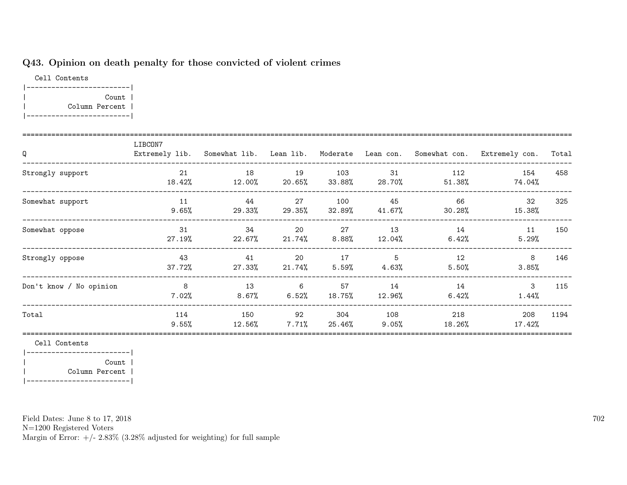## Q43. Opinion on death penalty for those convicted of violent crimes

Cell Contents |-------------------------| | Count | | Column Percent | |-------------------------|

| Q                       | LIBCON7         | Extremely lib. Somewhat lib. Lean lib. Moderate Lean con. |                |                |                 | Somewhat con.    | Extremely con. | Total |
|-------------------------|-----------------|-----------------------------------------------------------|----------------|----------------|-----------------|------------------|----------------|-------|
| Strongly support        | 21<br>18.42%    | 18<br>$12.00\%$                                           | 19<br>20.65%   | 103<br>33.88%  | 31<br>28.70%    | 112<br>$51.38\%$ | 154<br>74.04%  | 458   |
| Somewhat support        | 11<br>9.65%     | 44<br>29.33%                                              | 27<br>29.35%   | 100<br>32.89%  | 45<br>41.67%    | 66<br>$30.28\%$  | 32<br>15.38%   | 325   |
| Somewhat oppose         | 31<br>27.19%    | 34<br>22.67%                                              | 20<br>21.74%   | 27<br>$8.88\%$ | 13<br>12.04%    | 14<br>6.42%      | 11<br>5.29%    | 150   |
| Strongly oppose         | 43<br>37.72%    | 41<br>27.33%                                              | 20<br>21.74%   | 17<br>5.59%    | 5<br>4.63%      | 12<br>5.50%      | 8<br>3.85%     | 146   |
| Don't know / No opinion | 8<br>$7.02\%$   | 13<br>$8.67\%$                                            | 6<br>6.52%     | 57<br>18.75%   | 14<br>12.96%    | 14<br>6.42%      | 3<br>1.44%     | 115   |
| Total                   | 114<br>$9.55\%$ | 150<br>$12.56\%$                                          | 92<br>$7.71\%$ | 304<br>25.46%  | 108<br>$9.05\%$ | 218<br>18.26%    | 208<br>17.42%  | 1194  |

Cell Contents

|-------------------------| | Count | | Column Percent | |-------------------------|

Field Dates: June 8 to 17, 2018

N=1200 Registered Voters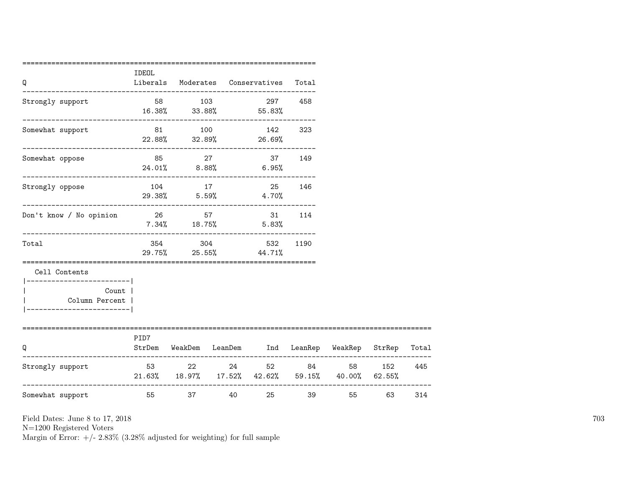| Q                                                              | IDEOL    |        | Liberals Moderates Conservatives Total                  |        |       |        |     |
|----------------------------------------------------------------|----------|--------|---------------------------------------------------------|--------|-------|--------|-----|
| Strongly support                                               |          |        | 58 103 297 458<br>$16.38\%$ $33.88\%$ $55.83\%$         |        |       |        |     |
| Somewhat support                                               |          |        | 81 100 142 323<br>$22.88\%$ $32.89\%$ 26.69%            |        |       |        |     |
| Somewhat oppose                                                |          | 85 27  | $24.01\%$ 8.88% 6.95%                                   | 37 149 |       |        |     |
| Strongly oppose                                                |          | 104 17 | 25<br>29.38% 5.59% 4.70%                                | 146    |       |        |     |
| _____________________________<br>Don't know / No opinion 26 57 |          |        | 31 114<br>$7.34\%$ 18.75% 5.83%                         |        |       |        |     |
| Total                                                          |          |        | 354 304 532<br>29.75% 25.55% 44.71%                     | 1190   |       |        |     |
| Cell Contents<br>-----------------------                       |          |        |                                                         |        |       |        |     |
| Count  <br>Column Percent  <br>-----------------------         |          |        |                                                         |        |       |        |     |
| O                                                              | PID7     |        | StrDem WeakDem LeanDem Ind LeanRep WeakRep StrRep Total |        |       |        |     |
| Strongly support                                               | 53 22 24 |        | $21.63\%$ 18.97% 17.52% 42.62% 59.15% 40.00% 62.55%     | 52 84  |       | 58 152 | 445 |
| Somewhat support                                               | 55       | 37 — 1 | 25 7<br>40 000                                          |        | 39 39 | 55 63  | 314 |

N=1200 Registered Voters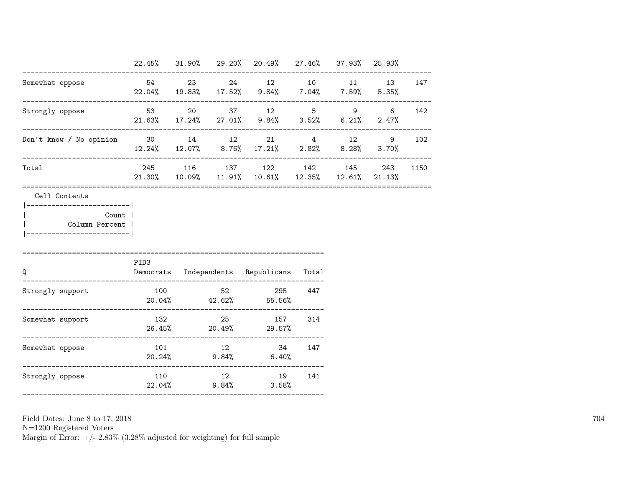|                                                                                                       |      |  | 22.45% 31.90% 29.20% 20.49% 27.46% 37.93% 25.93%                                           |  |     |      |
|-------------------------------------------------------------------------------------------------------|------|--|--------------------------------------------------------------------------------------------|--|-----|------|
| Somewhat oppose                                                                                       |      |  | 54 23 24 12 10 11 13 147<br>$22.04\%$ 19.83% 17.52% 9.84% 7.04% 7.59% 5.35%                |  |     |      |
| Strongly oppose                                                                                       |      |  | 53 20 37 12 5 9 6 142<br>$21.63\%$ $17.24\%$ $27.01\%$ $9.84\%$ $3.52\%$ $6.21\%$ $2.47\%$ |  |     |      |
| Don't know / No opinion 30 14 12 21 4 12 9 102                                                        |      |  | $12.24\%$ $12.07\%$ $8.76\%$ $17.21\%$ $2.82\%$ $8.28\%$ $3.70\%$                          |  |     |      |
| Total                                                                                                 |      |  | 245 116 137 122 142 145<br>$21.30\%$ 10.09% 11.91% 10.61% 12.35% 12.61% 21.13%             |  | 243 | 1150 |
| Cell Contents<br>------------------------- <br>Count  <br>Column Percent  <br>----------------------- |      |  |                                                                                            |  |     |      |
| $\Omega$                                                                                              | PID3 |  | Democrats Independents Republicans Total                                                   |  |     |      |
| Strongly support                                                                                      |      |  | 100 52 295 447<br>$20.04\%$ $42.62\%$ $55.56\%$                                            |  |     |      |
| Somewhat support                                                                                      |      |  | 132 25 157 314<br>$26.45\%$ 20.49% 29.57%                                                  |  |     |      |
| Somewhat oppose                                                                                       |      |  | 101 12 34 147<br>$20.24\%$ 9.84% 6.40%                                                     |  |     |      |
|                                                                                                       |      |  |                                                                                            |  |     |      |

N=1200 Registered Voters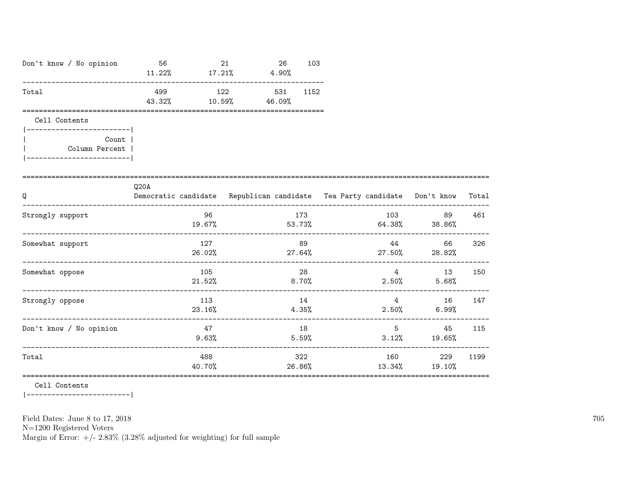| Don't know / No opinion                                  | 56<br>$11.22\%$ $17.21\%$ $4.90\%$                                               | 21<br>26                    | 103           |                                               |                       |       |
|----------------------------------------------------------|----------------------------------------------------------------------------------|-----------------------------|---------------|-----------------------------------------------|-----------------------|-------|
| Total                                                    | 499<br>43.32%                                                                    | 122 531<br>$10.59\%$ 46.09% | 1152          |                                               |                       |       |
| Cell Contents<br>-------------------------               |                                                                                  |                             |               |                                               |                       |       |
| Count  <br>Column Percent  <br>_________________________ |                                                                                  |                             |               |                                               |                       |       |
| Q                                                        | Q20A<br>Democratic candidate Republican candidate Tea Party candidate Don't know |                             |               |                                               |                       | Total |
| Strongly support                                         | 96                                                                               |                             | 173           | 103<br>$19.67\%$ 53.73% 64.38% 38.86%         | 89                    | 461   |
| Somewhat support                                         | 127                                                                              |                             | 89            | 44<br>$26.02\%$ 27.64% 27.50% 28.82%          | 66                    | 326   |
| Somewhat oppose                                          | 105                                                                              |                             | 28            | $\overline{4}$<br>$21.52\%$ 8.70% 2.50% 5.68% | $\sim$ 13             | 150   |
| Strongly oppose                                          | 113<br>23.16%                                                                    |                             | 14<br>4.35%   | $\overline{4}$<br>2.50%                       | 16<br>6.99%           | 147   |
| Don't know / No opinion                                  | 47<br>9.63%                                                                      |                             | 18<br>5.59%   |                                               | 45<br>$3.12\%$ 19.65% | 115   |
| Total                                                    | 488<br>40.70%                                                                    |                             | 322<br>26.86% | 13.34%                                        | 229<br>19.10%         | 1199  |

=================================================================================================================

Cell Contents

|-------------------------|

Field Dates: June 8 to 17, 2018

N=1200 Registered Voters

Margin of Error:  $+/- 2.83\%$  (3.28% adjusted for weighting) for full sample

705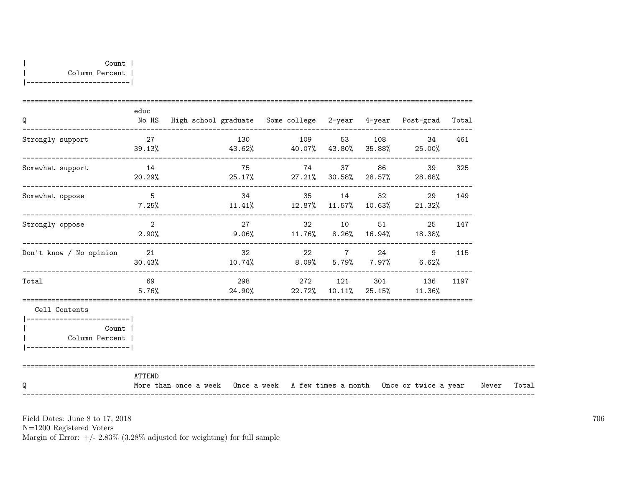| Q                                                                                         | educ                    | No HS High school graduate Some college 2-year 4-year Post-grad Total            |             |  |                                                                |        |       |       |
|-------------------------------------------------------------------------------------------|-------------------------|----------------------------------------------------------------------------------|-------------|--|----------------------------------------------------------------|--------|-------|-------|
| Strongly support                                                                          |                         | 27 130 109 53 108<br>$39.13\%$ $43.62\%$ $40.07\%$ $43.80\%$ $35.88\%$ $25.00\%$ |             |  | 34                                                             | 461    |       |       |
| Somewhat support                                                                          | 14<br>20.29%            | $25.17\%$ 27.21% 30.58% 28.57% 28.68%                                            | 75 74 37 86 |  | 39                                                             | 325    |       |       |
| Somewhat oppose                                                                           | $5\overline{)}$         | $7.25\%$ 11.41% 12.87% 11.57% 10.63% 21.32%                                      | 34 35 14    |  | $32 - 32$<br>29                                                | 149    |       |       |
| Strongly oppose                                                                           | $\overline{2}$<br>2.90% |                                                                                  | 27 32 10 51 |  | $9.06\%$ 11.76% 8.26% 16.94% 18.38%                            | 25 147 |       |       |
| Don't know / No opinion                                                                   | 21<br>30.43%            | $10.74\%$ 8.09% 5.79% 7.97% 6.62%                                                | 32 22 7 24  |  | 9                                                              | 115    |       |       |
| Total                                                                                     | 69<br>5.76%             |                                                                                  |             |  | 298 272 121 301 136 1197<br>24.90% 22.72% 10.11% 25.15% 11.36% |        |       |       |
| Cell Contents                                                                             |                         |                                                                                  |             |  |                                                                |        |       |       |
| ------------------------<br><b>Count</b><br>Column Percent  <br>------------------------- |                         |                                                                                  |             |  |                                                                |        |       |       |
| Q                                                                                         | ATTEND                  | More than once a week Once a week A few times a month Once or twice a year       |             |  |                                                                |        | Never | Total |

N=1200 Registered Voters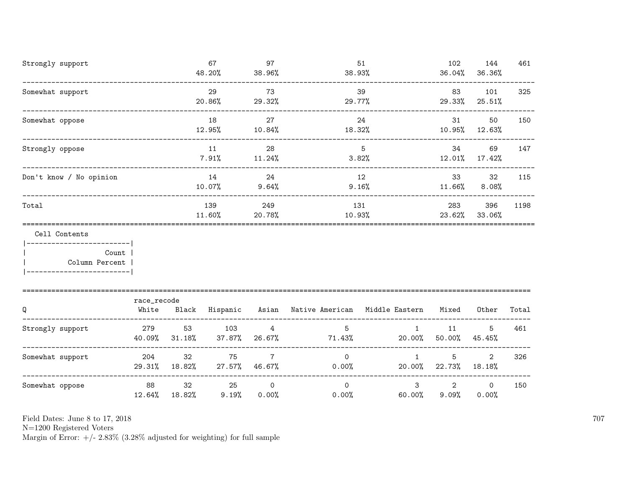| Strongly support                           |              |                     | 67<br>48.20%   | 97<br>38.96%                     | 51<br>38.93%                                        |                        | 102<br>36.04%           | 144<br>36.36%            | 461   |
|--------------------------------------------|--------------|---------------------|----------------|----------------------------------|-----------------------------------------------------|------------------------|-------------------------|--------------------------|-------|
| Somewhat support                           |              |                     | 29<br>20.86%   | 73<br>29.32%                     | 29.77%                                              | 39                     | 83                      | 101<br>29.33% 25.51%     | 325   |
| Somewhat oppose                            |              |                     | 18<br>12.95%   | 27<br>10.84%                     | 18.32%                                              | 24                     | 31                      | 50<br>10.95% 12.63%      | 150   |
| Strongly oppose                            |              |                     | 11<br>7.91%    | 28<br>11.24%                     | 3.82%                                               | 5 <sup>5</sup>         | 34                      | 69<br>12.01% 17.42%      | 147   |
| Don't know / No opinion                    |              |                     | 14<br>10.07%   | 24<br>$9.64\%$                   | 12<br>9.16%                                         | 33<br>11.66%           | 32<br>$8.08\%$          | 115                      |       |
| Total                                      |              |                     | 139<br>11.60%  | 249<br>20.78%                    | 131                                                 | 10.93%                 | 283                     | 396<br>23.62% 33.06%     | 1198  |
| Cell Contents<br>------------------------- |              |                     |                |                                  |                                                     |                        |                         |                          |       |
| Count<br>Column Percent                    |              |                     |                |                                  |                                                     |                        |                         |                          |       |
|                                            | race_recode  |                     |                |                                  |                                                     |                        |                         |                          |       |
| Q                                          | White        |                     |                |                                  | Black Hispanic Asian Native American Middle Eastern |                        | Mixed                   | Other                    | Total |
| Strongly support                           | 279          | 53<br>40.09% 31.18% | 103            | $\overline{4}$<br>37.87% 26.67%  | $5\overline{)}$<br>71.43%                           | 1                      | 11<br>$20.00\%$ 50.00%  | 5<br>45.45%              | 461   |
| Somewhat support                           | 204          | 32<br>29.31% 18.82% | 75             | $7\overline{ }$<br>27.57% 46.67% | $\overline{0}$<br>0.00%                             | $\mathbf{1}$           | 5<br>20.00% 22.73%      | $\overline{2}$<br>18.18% | 326   |
| Somewhat oppose                            | 88<br>12.64% | 32<br>18.82%        | 25<br>$9.19\%$ | $\overline{0}$<br>$0.00\%$       | $\overline{0}$<br>0.00%                             | $\mathbf{3}$<br>60.00% | $\overline{2}$<br>9.09% | $\overline{0}$<br>0.00%  | 150   |

N=1200 Registered Voters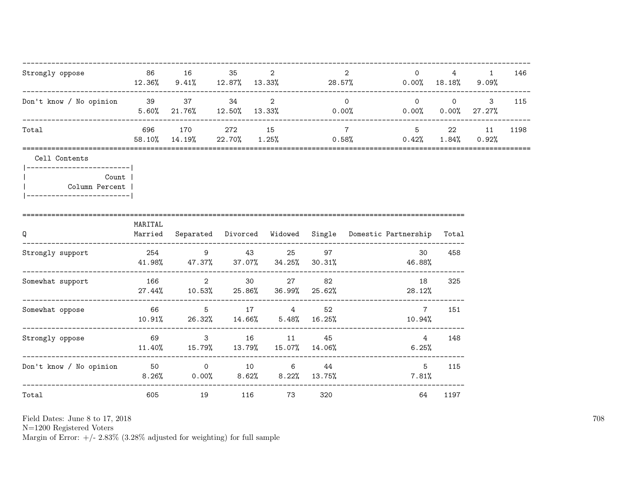| Strongly oppose                                                                                          |         | 86 16 35                                                   | 2      | 2<br>$\circ$<br>$12.36\%$ 9.41% $12.87\%$ 13.33% 28.57%                          | $0.00\%$ 18.18% 9.09%                                                    | $4 \t 1$ | 146  |
|----------------------------------------------------------------------------------------------------------|---------|------------------------------------------------------------|--------|----------------------------------------------------------------------------------|--------------------------------------------------------------------------|----------|------|
| Don't know / No opinion 39 37 34 2                                                                       |         | -------------------------------------                      |        | $\overline{0}$<br>$5.60\%$ 21.76% 12.50% 13.33% 0.00%                            | ----------------------<br>$0 \qquad 0 \qquad 3$<br>$0.00\%$ 0.00% 27.27% |          | 115  |
| Total                                                                                                    |         | 696 170 272 15                                             |        | 5 22 11<br>$7\overline{ }$<br>58.10% 14.19% 22.70% 1.25% 0.58% 0.42% 1.84% 0.92% |                                                                          |          | 1198 |
| Cell Contents<br> ------------------------- <br>Count  <br>Column Percent  <br>------------------------- |         |                                                            |        |                                                                                  |                                                                          |          |      |
| Q                                                                                                        | MARITAL |                                                            |        | Married Separated Divorced Widowed Single Domestic Partnership Total             |                                                                          |          |      |
| Strongly support 254 25 43 25 97                                                                         |         |                                                            |        | 30<br>$41.98\%$ $47.37\%$ $37.07\%$ $34.25\%$ $30.31\%$ $46.88\%$                | 458                                                                      |          |      |
| Somewhat support                                                                                         |         | 166 2 30 27 82                                             |        | 18<br>$27.44\%$ 10.53% $25.86\%$ 36.99% $25.62\%$ 27.44% $28.12\%$               | 325                                                                      |          |      |
| Somewhat oppose                                                                                          |         | 66 5 17 4 52<br>$10.91\%$ 26.32% $14.66\%$ 5.48% $16.25\%$ |        | $\overline{7}$<br>10.94%                                                         | 151                                                                      |          |      |
| Strongly oppose                                                                                          |         | 69 3 16 11 45                                              |        | $4\overline{4}$<br>$11.40\%$ $15.79\%$ $13.79\%$ $15.07\%$ $14.06\%$<br>$6.25\%$ | 148                                                                      |          |      |
| Don't know / No opinion $50$ 0 $10$ 6 $44$                                                               |         |                                                            |        | $8.26\%$ 0.00% $8.62\%$ $8.22\%$ 13.75% 7.81%                                    | $5^{\circ}$<br>115                                                       |          |      |
| Total                                                                                                    | 605     | 19                                                         | 116 73 | 320<br>64                                                                        | 1197                                                                     |          |      |

N=1200 Registered Voters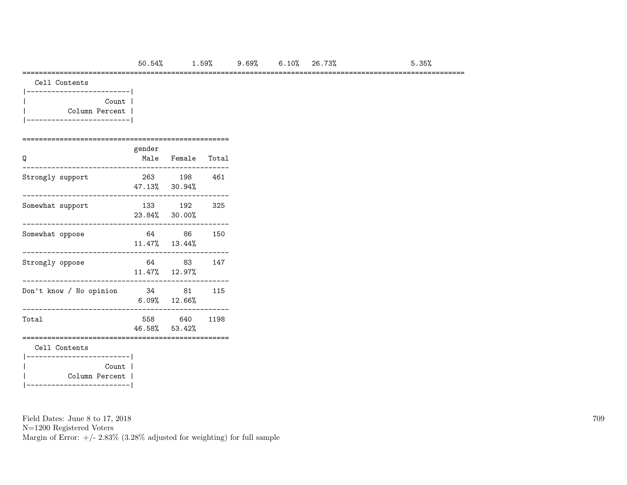===========================================================================================================

| Cell Contents |
|---------------|
|               |

| Count          |  |
|----------------|--|
| Column Percent |  |
|                |  |

#### ==================================================

| Q                                                                   | gender | Male Female Total        |      |
|---------------------------------------------------------------------|--------|--------------------------|------|
| Strongly support                                                    |        | 263 198<br>47.13% 30.94% | 461  |
| Somewhat support                                                    |        | 133 192<br>23.84% 30.00% | 325  |
| Somewhat oppose                                                     |        | 64 86<br>11.47% 13.44%   | 150  |
| Strongly oppose                                                     |        | 64 83<br>11.47% 12.97%   | 147  |
| Don't know / No opinion                                             | 34 81  | $6.09%$ 12.66%           | 115  |
| Total                                                               |        | 558 640<br>46.58% 53.42% | 1198 |
| Cell Contents<br>-------------------- <br>Count  <br>Column Percent |        |                          |      |

Field Dates: June 8 to 17, 2018

|-------------------------|

N=1200 Registered Voters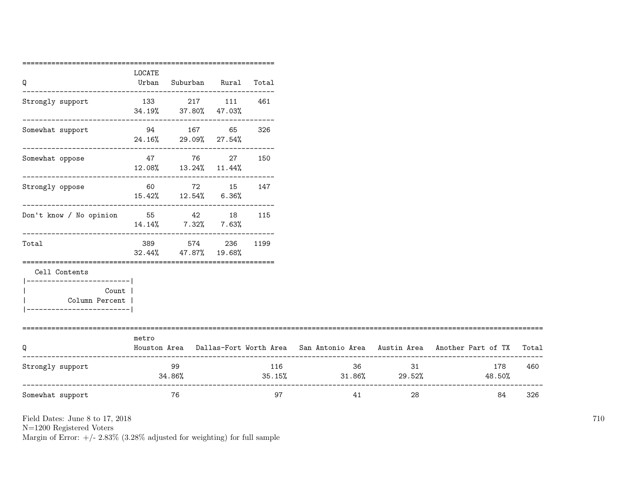| Q                                                                                       | LOCATE | Urban Suburban Rural Total                    |      |                                     |    |                                                                                           |     |
|-----------------------------------------------------------------------------------------|--------|-----------------------------------------------|------|-------------------------------------|----|-------------------------------------------------------------------------------------------|-----|
| Strongly support                                                                        |        | 133 217 111 461<br>34.19% 37.80% 47.03%       |      |                                     |    |                                                                                           |     |
| Somewhat support                                                                        |        | 94 167 65 326<br>24.16% 29.09% 27.54%         |      |                                     |    |                                                                                           |     |
| Somewhat oppose                                                                         |        | 47 76 27 150<br>$12.08\%$ $13.24\%$ $11.44\%$ |      |                                     |    |                                                                                           |     |
| Strongly oppose                                                                         |        | 60 72 15 147<br>$15.42\%$ $12.54\%$ 6.36%     |      |                                     |    |                                                                                           |     |
| Don't know / No opinion $55$ 42 18 115                                                  |        | $14.14\%$ 7.32% 7.63%                         |      |                                     |    |                                                                                           |     |
| Total                                                                                   |        | 389 574 236<br>32.44% 47.87% 19.68%           | 1199 |                                     |    |                                                                                           |     |
| Cell Contents                                                                           |        |                                               |      |                                     |    |                                                                                           |     |
| __________________________<br>Count  <br>Column Percent  <br>__________________________ |        |                                               |      |                                     |    |                                                                                           |     |
| Q                                                                                       | metro  |                                               |      |                                     |    | Houston Area Dallas-Fort Worth Area San Antonio Area Austin Area Another Part of TX Total |     |
| Strongly support                                                                        |        | 99<br>34.86%                                  | 116  | 36<br>$35.15\%$ $31.86\%$ $29.52\%$ | 31 | 178<br>48.50%                                                                             | 460 |
| Somewhat support                                                                        |        | 76                                            | 97   | 41                                  | 28 | 84                                                                                        | 326 |

N=1200 Registered Voters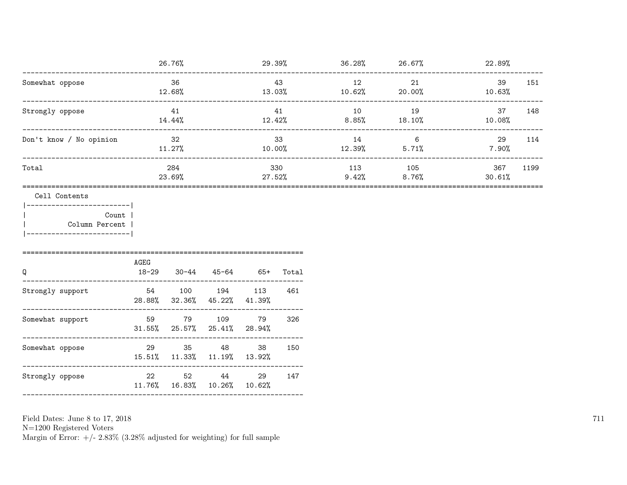|                                                        |                              | 26.76%                            |                       |                 |                  | $29.39\%$ 36.28% 26.67% 27.89%      |                       |                       |     |
|--------------------------------------------------------|------------------------------|-----------------------------------|-----------------------|-----------------|------------------|-------------------------------------|-----------------------|-----------------------|-----|
| Somewhat oppose                                        | -----------------------      | 36<br>$12.68\%$                   |                       |                 | 43               | 12<br>$13.03\%$ $10.62\%$ $20.00\%$ | 21                    | 39<br>10.63%          | 151 |
| Strongly oppose                                        |                              | 41<br>14.44%                      |                       |                 | 41               | 10<br>$12.42\%$ 8.85% 18.10%        | 19                    | 37<br>$10.08\%$       | 148 |
| Don't know / No opinion                                | 32<br>11.27%<br>____________ |                                   |                       | 33<br>$10.00\%$ |                  | 14<br>$12.39\%$ 5.71%               | 6                     | 29<br>7.90%           | 114 |
| Total                                                  |                              | 284<br>23.69%                     |                       |                 | 330<br>$27.52\%$ | 113                                 | 105<br>$9.42\%$ 8.76% | 367<br>1199<br>30.61% |     |
| Cell Contents                                          |                              |                                   |                       |                 |                  |                                     |                       |                       |     |
| ------------------------ <br>Count  <br>Column Percent |                              |                                   |                       |                 |                  |                                     |                       |                       |     |
| Q<br>_______________                                   | AGEG<br>$18 - 29$            |                                   | $30-44$ $45-64$ $65+$ |                 | Total            |                                     |                       |                       |     |
| Strongly support<br>_____________                      | 54                           | 28.88% 32.36% 45.22% 41.39%       | 100 194 113           |                 | 461<br>-----     |                                     |                       |                       |     |
| Somewhat support                                       | 59                           | $31.55\%$ 25.57% 25.41% 28.94%    | 79 109                | 79              | 326              |                                     |                       |                       |     |
| Somewhat oppose                                        | 29 30 31                     | 15.51% 11.33% 11.19% 13.92%       | 35 48                 | 38              | 150              |                                     |                       |                       |     |
| Strongly oppose                                        | 22                           | 52<br>11.76% 16.83% 10.26% 10.62% | 44                    | 29              | 147              |                                     |                       |                       |     |
|                                                        |                              |                                   |                       |                 |                  |                                     |                       |                       |     |

N=1200 Registered Voters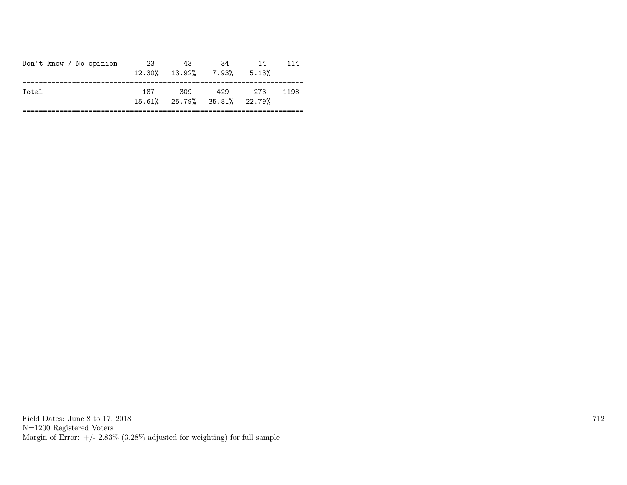| Don't know / No opinion | 23  | 43<br>$12.30\%$ $13.92\%$ 7.93%      | .34 | 14<br>5.13% | 114  |
|-------------------------|-----|--------------------------------------|-----|-------------|------|
| Total                   | 187 | - 309<br>15.61% 25.79% 35.81% 22.79% | 429 | 273         | 1198 |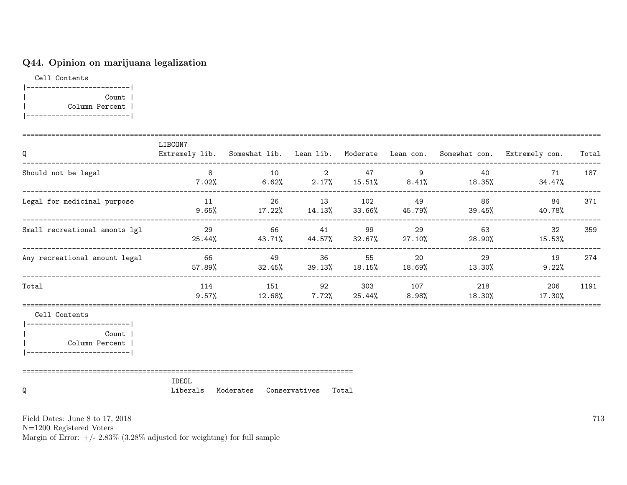## Q44. Opinion on marijuana legalization

Cell Contents |-------------------------| | Count | | Column Percent | |-------------------------|

| Q                                                                                                        | LIBCON7        |                                                       |  |  | Extremely lib. Somewhat lib. Lean lib. Moderate Lean con. Somewhat con. Extremely con. Total                              |      |
|----------------------------------------------------------------------------------------------------------|----------------|-------------------------------------------------------|--|--|---------------------------------------------------------------------------------------------------------------------------|------|
| Should not be legal                                                                                      | 8 <sup>8</sup> | $10 \qquad \qquad 2 \qquad \qquad 47 \qquad \qquad 9$ |  |  | 40 71 187<br>$7.02\%$ 6.62% 2.17% 15.51% 8.41% 18.35% 34.47%                                                              |      |
| Legal for medicinal purpose                                                                              | 11             |                                                       |  |  | 26 13 102 49 86 84<br>$9.65\%$ 17.22% 14.13% 33.66% 45.79% 39.45% 40.78%                                                  | 371  |
| Small recreational amonts lgl                                                                            |                |                                                       |  |  | 29 66 41 99 29 63 32<br>$25.44\%$ 43.71% 44.57% 32.67% 27.10% 28.90% 15.53%                                               | 359  |
| Any recreational amount legal                                                                            |                |                                                       |  |  | 66       49     36    55     20       29       19<br>$57.89\%$ $32.45\%$ $39.13\%$ $18.15\%$ $18.69\%$ $13.30\%$ $9.22\%$ | 274  |
| Total                                                                                                    |                |                                                       |  |  | 114 151 92 303 107 218 206<br>$9.57\%$ $12.68\%$ $7.72\%$ $25.44\%$ $8.98\%$ $18.30\%$ $17.30\%$                          | 1191 |
| Cell Contents<br> --------------------------<br>Count<br>  Column Percent<br> -------------------------- |                |                                                       |  |  |                                                                                                                           |      |
| Q                                                                                                        | IDEOL          | Liberals Moderates Conservatives Total                |  |  |                                                                                                                           |      |

Field Dates: June 8 to 17, 2018

N=1200 Registered Voters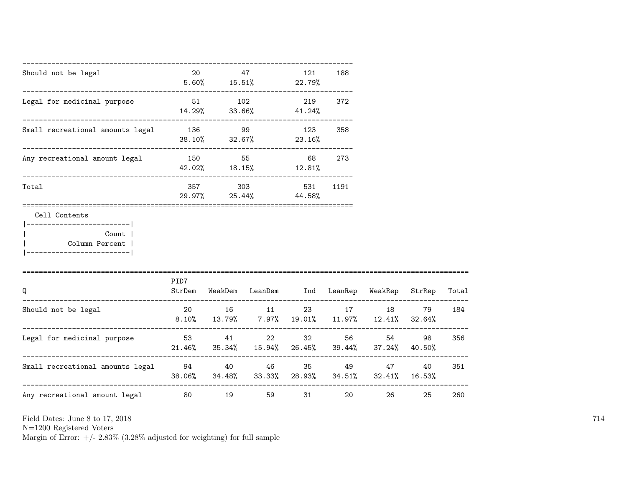| Should not be legal                                                        | 20                                                  | 47      | $5.60\%$ $15.51\%$ 22.79%                                                                                              | 121           | 188  |      |      |       |
|----------------------------------------------------------------------------|-----------------------------------------------------|---------|------------------------------------------------------------------------------------------------------------------------|---------------|------|------|------|-------|
| Legal for medicinal purpose                                                |                                                     | 51 102  | $14.29\%$ 33.66% 41.24%                                                                                                | 219           | 372  |      |      |       |
| Small recreational amounts legal                                           | 136 99<br>$38.10\%$ $32.67\%$ 23.16%                |         |                                                                                                                        | 123           | 358  |      |      |       |
| ------------------------------------<br>Any recreational amount legal      | 150 55                                              |         | 42.02% 18.15% 12.81%                                                                                                   | 68 —          | 273  |      |      |       |
| Total                                                                      |                                                     | 357 303 | 29.97% 25.44%                                                                                                          | 531<br>44.58% | 1191 |      |      |       |
| Cell Contents<br>------------------------- <br>Count  <br>  Column Percent |                                                     |         |                                                                                                                        |               |      |      |      |       |
| Q                                                                          | PID7<br>-------------------------------             |         | StrDem WeakDem LeanDem Ind LeanRep WeakRep StrRep                                                                      |               |      |      |      | Total |
| Should not be legal                                                        |                                                     |         | 20 16 11 23 17 18<br>$8.10\% \qquad 13.79\% \qquad 7.97\% \qquad 19.01\% \qquad 11.97\% \qquad 12.41\% \qquad 32.64\%$ |               |      |      | 79   | 184   |
| Legal for medicinal purpose                                                | $21.46\%$ 35.34% 15.94% 26.45% 39.44% 37.24% 40.50% |         | 53 41 22 32 56                                                                                                         |               |      | 54 7 | 98   | 356   |
| Small recreational amounts legal $94$ $40$ $46$ $35$ $49$ $47$             |                                                     |         | 38.06% 34.48% 33.33% 28.93% 34.51% 32.41% 16.53%                                                                       |               |      |      | 40 — | 351   |
| Any recreational amount legal 60                                           |                                                     |         | 19<br>59                                                                                                               | 31            | 20   | 26   | 25   | 260   |

N=1200 Registered Voters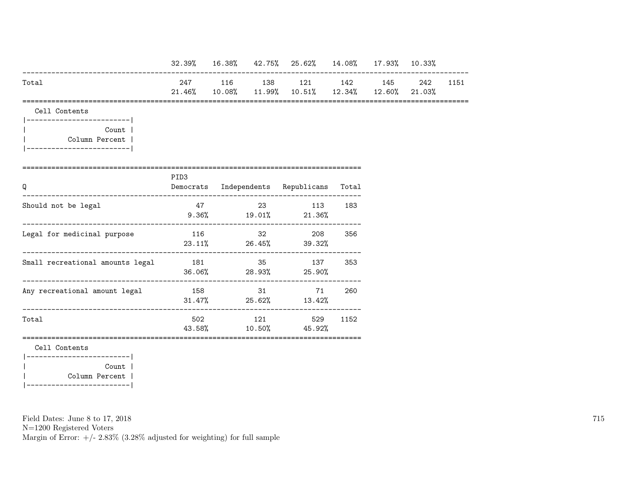|                                                                                      |        |    |    | 32.39% 16.38% 42.75% 25.62% 14.08% 17.93% 10.33%                     |       |     |      |
|--------------------------------------------------------------------------------------|--------|----|----|----------------------------------------------------------------------|-------|-----|------|
| Total                                                                                | 21.46% |    |    | 247 116 138 121 142 145<br>10.08% 11.99% 10.51% 12.34% 12.60% 21.03% |       | 242 | 1151 |
| Cell Contents                                                                        |        |    |    |                                                                      |       |     |      |
| ------------------------ <br>Count  <br>Column Percent  <br>------------------------ |        |    |    |                                                                      |       |     |      |
|                                                                                      | PID3   |    |    |                                                                      |       |     |      |
| Q                                                                                    |        |    |    | Democrats Independents Republicans                                   | Total |     |      |
| Should not be legal                                                                  |        | 47 |    | 23 113<br>$9.36\%$ 19.01% 21.36%                                     | 183   |     |      |
| Legal for medicinal purpose                                                          | 116    |    | 32 | 208<br>$23.11\%$ 26.45% 39.32%                                       | 356   |     |      |
| Small recreational amounts legal 181 185 35 137                                      |        |    |    | $36.06\%$ 28.93% 25.90%                                              | 353   |     |      |
| Any recreational amount legal                                                        | 158    |    | 31 | 71<br>$31.47\%$ 25.62% 13.42%                                        | 260   |     |      |
| Total                                                                                |        |    |    | 502 121 529<br>43.58% 10.50% 45.92%                                  | 1152  |     |      |
| Cell Contents<br>------------------------- <br>Count  <br>Column Percent             |        |    |    |                                                                      |       |     |      |

|-------------------------|

Field Dates: June 8 to 17, 2018

N=1200 Registered Voters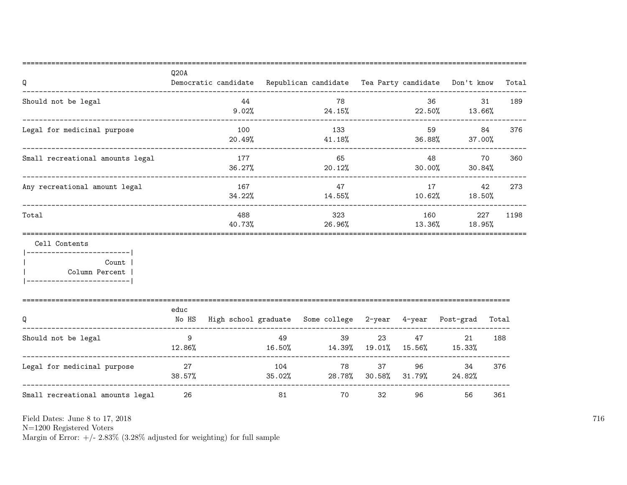| Q                                                                                                     | Q20A            | Democratic candidate Republican candidate Tea Party candidate Don't know |               |                                                                 |                                |               |                          |                 | Total |
|-------------------------------------------------------------------------------------------------------|-----------------|--------------------------------------------------------------------------|---------------|-----------------------------------------------------------------|--------------------------------|---------------|--------------------------|-----------------|-------|
| Should not be legal<br>------------------------------                                                 |                 | 44<br>9.02%                                                              |               | 78<br>24.15%                                                    |                                | 36            | 22.50% 13.66%            | 31              | 189   |
| Legal for medicinal purpose                                                                           |                 | 100<br>20.49%                                                            |               | 133<br>41.18%                                                   |                                |               | 59<br>36.88%             | 84<br>37.00%    | 376   |
| Small recreational amounts legal                                                                      |                 | 177<br>36.27%                                                            |               | 65<br>20.12%                                                    |                                |               | 48 — 18<br>30.00%        | 70<br>$30.84\%$ | 360   |
| Any recreational amount legal                                                                         |                 | 167<br>34.22%                                                            |               | 47<br>14.55%                                                    |                                | 17<br>10.62%  |                          | 42<br>18.50%    | 273   |
| Total                                                                                                 |                 | 488<br>40.73%                                                            |               | 323<br>26.96%                                                   |                                | 160<br>13.36% |                          | 227<br>18.95%   | 1198  |
| Cell Contents<br>------------------------ <br>Count  <br>Column Percent<br>__________________________ |                 |                                                                          |               |                                                                 |                                |               |                          |                 |       |
| Q                                                                                                     | educ<br>No HS   |                                                                          |               | High school graduate Some college 2-year 4-year Post-grad Total |                                |               |                          |                 |       |
| Should not be legal                                                                                   | 9<br>12.86%     |                                                                          | 49<br>16.50%  | 39<br>14.39% 19.01% 15.56% 15.33%                               | 23                             | 47 — 200      | 21                       |                 | 188   |
| Legal for medicinal purpose                                                                           | 27<br>$38.57\%$ |                                                                          | 104<br>35.02% | 78                                                              | 37 — 1<br>28.78% 30.58% 31.79% |               | 96 — 100<br>34<br>24.82% |                 | 376   |
| Small recreational amounts legal                                                                      | 26              |                                                                          | 81            | 70                                                              | 32                             | 96            | 56                       |                 | 361   |

N=1200 Registered Voters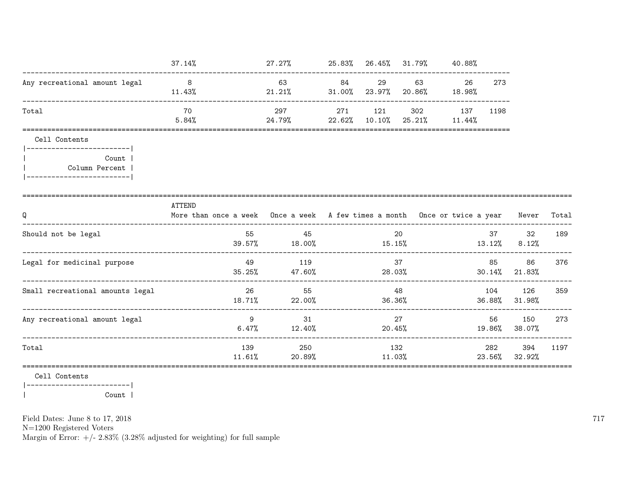|                                                                                                                     | 37.14%                                                                                     | $27.27\%$ 25.83% 26.45% 31.79% 40.88%       |     |               |                             |                  |       |                       |       |
|---------------------------------------------------------------------------------------------------------------------|--------------------------------------------------------------------------------------------|---------------------------------------------|-----|---------------|-----------------------------|------------------|-------|-----------------------|-------|
| Any recreational amount legal                                                                                       | 8 <sup>1</sup><br>$11.43\%$                                                                | 63<br>21.21%                                | 84  | 29            | 31.00% 23.97% 20.86% 18.98% | 26               | 273   |                       |       |
| Total                                                                                                               | 70<br>$5.84\%$ 24.79% 22.62% 10.10% 25.21% 11.44%                                          | 297                                         | 271 | 121           | 302                         | 137              | 1198  |                       |       |
| Cell Contents<br> ------------------------- <br><b>Count</b> 1<br>Column Percent  <br>  ___________________________ |                                                                                            |                                             |     |               |                             |                  |       |                       |       |
| Q                                                                                                                   | ATTEND<br>More than once a week Once a week A few times a month Once or twice a year Never |                                             |     |               |                             |                  |       |                       | Total |
| Should not be legal                                                                                                 |                                                                                            | 45<br>$39.57\%$ 18.00% 15.15% 15.15% 13.12% |     |               | 20                          |                  | 37    | 32<br>$8.12\%$        | 189   |
| Legal for medicinal purpose                                                                                         | 49                                                                                         | 119<br>$35.25\%$ 47.60%                     |     | 28.03%        | 37                          |                  | 85 86 | $30.14\%$ 21.83%      | 376   |
| Small recreational amounts legal                                                                                    |                                                                                            | 26 20<br>55<br>$18.71\%$ 22.00%             |     |               | 48<br>36.36%                |                  | 104   | 126<br>36.88% 31.98%  | 359   |
| Any recreational amount legal                                                                                       | $\overline{9}$                                                                             | 31<br>$6.47\%$ $12.40\%$                    |     | 20.45%        | 27                          | $19.86\%$ 38.07% |       | 56 150                | 273   |
| Total                                                                                                               |                                                                                            | 139<br>250<br>$11.61\%$ 20.89%              |     | 132<br>11.03% |                             |                  | 282   | 394<br>23.56% 32.92%  | 1197  |
| Cell Contents                                                                                                       |                                                                                            |                                             |     |               |                             |                  |       | ===================== |       |

|------------------------| Count |  $\overline{\phantom{a}}$ 

Field Dates: June 8 to 17, 2018

 ${\rm N}{=}1200$  Registered Voters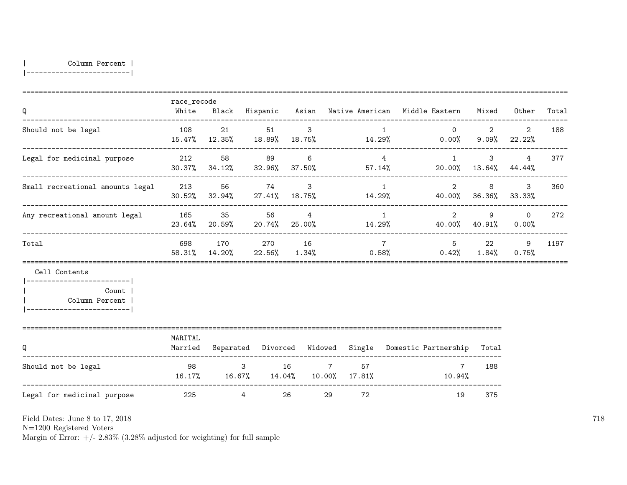| Column Percent |

|-------------------------|

|                                                                                                     | race_recode          |                           |                                            |                                    |                                                            |                          |                                                        |                                  |                        |       |
|-----------------------------------------------------------------------------------------------------|----------------------|---------------------------|--------------------------------------------|------------------------------------|------------------------------------------------------------|--------------------------|--------------------------------------------------------|----------------------------------|------------------------|-------|
| Q                                                                                                   | White                |                           |                                            |                                    |                                                            |                          | Black Hispanic Asian Native American Middle Eastern    | Mixed                            | Other                  | Total |
| Should not be legal                                                                                 | 108<br>15.47% 12.35% | 21                        | 51<br>18.89% 18.75%                        | $\mathbf{3}$                       | 14.29%                                                     | $\mathbf{1}$             | $\Omega$                                               | $\overline{2}$<br>$0.00\%$ 9.09% | 2<br>22.22%            | 188   |
| Legal for medicinal purpose                                                                         | 212                  | 58<br>$30.37\%$ $34.12\%$ | 89                                         | 6                                  | $32.96\%$ $37.50\%$ $57.14\%$                              | $\overline{4}$           | 1<br>$20.00\%$ 13.64% 44.44%                           | 3                                | $\overline{4}$         | 377   |
| Small recreational amounts legal                                                                    | 213                  | 56<br>$30.52\%$ $32.94\%$ | 74<br>27.41% 18.75%                        | $\mathbf{3}$                       | 14.29%                                                     | $\overline{1}$           | 2<br>40.00% 36.36%                                     | 8                                | $\mathbf{3}$<br>33.33% | 360   |
| Any recreational amount legal                                                                       | 165<br>23.64%        | 35<br>20.59%              | 56                                         | $\overline{4}$<br>$20.74\%$ 25.00% | 14.29%                                                     | $\overline{1}$           | $\overline{2}$<br>40.00% 40.91%                        | 9                                | $\circ$<br>0.00%       | 272   |
| Total                                                                                               | 698<br>58.31%        | 170<br>14.20%             | 270                                        | 16<br>$22.56\%$ $1.34\%$           |                                                            | $7\overline{7}$<br>0.58% | 5 <sup>5</sup><br>$0.42\%$                             | 22<br>1.84%                      | 9<br>0.75%             | 1197  |
| Cell Contents<br>________________________<br>Count<br>  Column Percent<br>------------------------- |                      |                           |                                            |                                    |                                                            |                          |                                                        |                                  |                        |       |
| Q                                                                                                   | MARITAL<br>Married   |                           |                                            |                                    |                                                            |                          | Separated Divorced Widowed Single Domestic Partnership | Total                            |                        |       |
| Should not be legal                                                                                 |                      |                           | $3 \t 16$<br>$16.17\%$ $16.67\%$ $14.04\%$ |                                    | $7 \quad \overline{\phantom{1}}$<br>57<br>$10.00\%$ 17.81% |                          | $7\overline{ }$<br>10.94%                              | 188                              |                        |       |
| Legal for medicinal purpose                                                                         | 225                  |                           | $\overline{4}$                             | 26                                 | 72<br>29                                                   |                          | 19                                                     | 375                              |                        |       |

Field Dates: June 8 to 17, 2018

N=1200 Registered Voters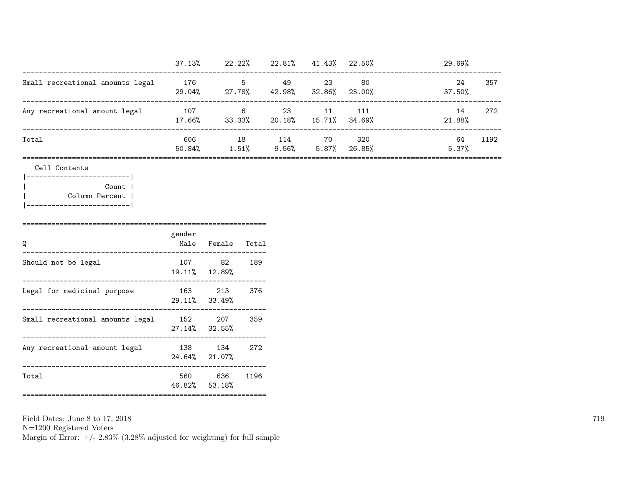|                                  | 37.13%        | 22.22%      | 22.81%           | 41.43%       | 22.50%        | 29.69%       |      |
|----------------------------------|---------------|-------------|------------------|--------------|---------------|--------------|------|
| Small recreational amounts legal | 176<br>29.04% | 5<br>27.78% | 49<br>42.98%     | 23<br>32.86% | 80<br>25.00%  | 24<br>37.50% | 357  |
| Any recreational amount legal    | 107<br>17.66% | 6<br>33.33% | -23<br>$20.18\%$ | 11<br>15.71% | 111<br>34.69% | 14<br>21.88% | 272  |
| Total                            | 606<br>50.84% | 18<br>1.51% | 114<br>9.56%     | 70<br>5.87%  | 320<br>26.85% | 64<br>5.37%  | 1192 |

|-------------------------| | Count | | Column Percent | |-------------------------|

| Q                                | gender     | Male Female Total           |      |
|----------------------------------|------------|-----------------------------|------|
| Should not be legal              | 107        | 82<br>19.11% 12.89%         | 189  |
| Legal for medicinal purpose      |            | 163 213<br>$29.11\%$ 33.49% | 376  |
| Small recreational amounts legal |            | 152 207<br>$27.14\%$ 32.55% | 359  |
| Any recreational amount legal    |            | 138 134<br>24.64% 21.07%    | 272  |
| Total                            | ---------- | 560 636<br>46.82% 53.18%    | 1196 |

Field Dates: June 8 to 17, 2018

N=1200 Registered Voters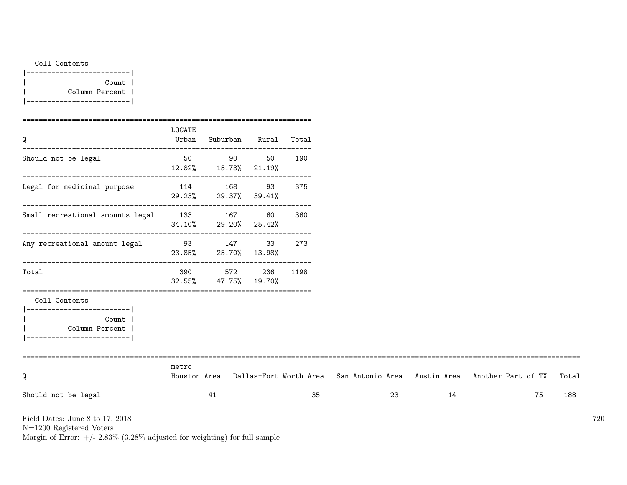Cell Contents

| Count          |
|----------------|
| Column Percent |
|                |

| Q                                                                                                     | LOCATE<br>Urban | Suburban                                     | Rural | Total |    |    |                                                                                     |       |
|-------------------------------------------------------------------------------------------------------|-----------------|----------------------------------------------|-------|-------|----|----|-------------------------------------------------------------------------------------|-------|
| Should not be legal                                                                                   |                 | 50 90 90<br>12.82% 15.73% 21.19%             | 50    | 190   |    |    |                                                                                     |       |
| Legal for medicinal purpose                                                                           | 114             | 168 — 168<br>29.23% 29.37% 39.41%            | 93    | 375   |    |    |                                                                                     |       |
| Small recreational amounts legal 133 167                                                              |                 | --------------------<br>34.10% 29.20% 25.42% | 60    | 360   |    |    |                                                                                     |       |
| Any recreational amount legal                                                                         |                 | 93 147<br>23.85% 25.70% 13.98%               | 33    | 273   |    |    |                                                                                     |       |
| Total                                                                                                 | 390 390         | 572<br>32.55% 47.75% 19.70%                  | 236   | 1198  |    |    |                                                                                     |       |
| Cell Contents<br>----------------------- <br>Count  <br>Column Percent<br> -------------------------- |                 |                                              |       |       |    |    |                                                                                     |       |
| Q                                                                                                     | metro           |                                              |       |       |    |    | Houston Area Dallas-Fort Worth Area San Antonio Area Austin Area Another Part of TX | Total |
| Should not be legal                                                                                   |                 | 41                                           |       | 35    | 23 | 14 | 75                                                                                  | 188   |

Field Dates: June 8 to 17, 2018

N=1200 Registered Voters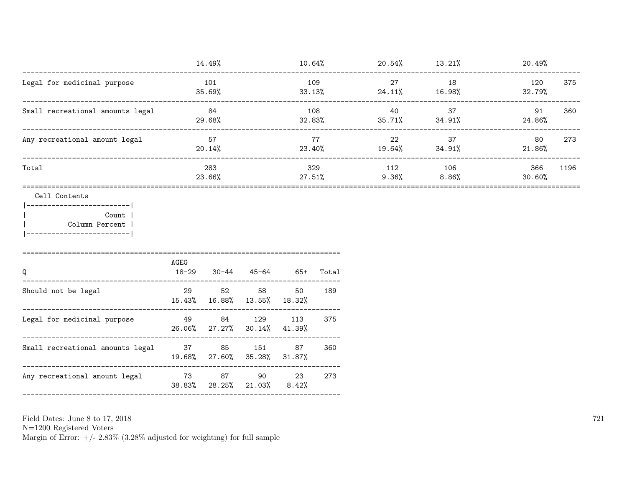|                                  | 14.49%        | 10.64%        | 20.54%       | 13.21%       | 20.49%                   |  |
|----------------------------------|---------------|---------------|--------------|--------------|--------------------------|--|
| Legal for medicinal purpose      | 101<br>35.69% | 109<br>33.13% | 27<br>24.11% | 18<br>16.98% | 375<br>120<br>32.79%     |  |
| Small recreational amounts legal | 84<br>29.68%  | 108<br>32.83% | 40<br>35.71% | 37<br>34.91% | 360<br>91<br>24.86%      |  |
| Any recreational amount legal    | 57<br>20.14%  | 77<br>23.40%  | 22<br>19.64% | 37<br>34.91% | 273<br>80<br>21.86%      |  |
| Total                            | 283<br>23.66% | 329<br>27.51% | 112<br>9.36% | 106<br>8.86% | 1196<br>366<br>$30.60\%$ |  |

Cell Contents

|-------------------------| | Count | | Column Percent | |-------------------------|

| Q                                | AGEG<br>18-29 | 30-44                             | 45-64  | 65+         | Total |
|----------------------------------|---------------|-----------------------------------|--------|-------------|-------|
| Should not be legal              | 29            | 52<br>15.43% 16.88% 13.55% 18.32% | 58     | 50          | 189   |
| Legal for medicinal purpose      | 49            | 26.06% 27.27% 30.14% 41.39%       | 84 129 | 113         | 375   |
| Small recreational amounts legal | 37            | 19.68% 27.60% 35.28% 31.87%       | 85 151 | 87          | 360   |
| Any recreational amount legal    | 73            | 87<br>38.83% 28.25% 21.03%        | 90     | 23<br>8.42% | 273   |

Field Dates: June 8 to 17, 2018

N=1200 Registered Voters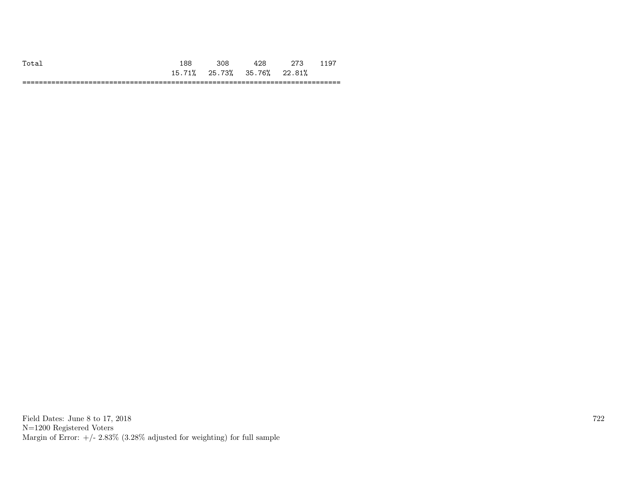| $T_{0}$ +2.                  | $\Omega$         |        |        |                                  | ◡           |
|------------------------------|------------------|--------|--------|----------------------------------|-------------|
|                              | 71%<br>15.<br>ᅩᄼ | 25.73% | 35.76% | 22.81%                           |             |
| -------------<br>----------- |                  |        |        | ______________<br>-------------- | ---<br>____ |

Field Dates: June 8 to 17, 2018 N=1200 Registered Voters Margin of Error:  $+/- 2.83\%$  (3.28% adjusted for weighting) for full sample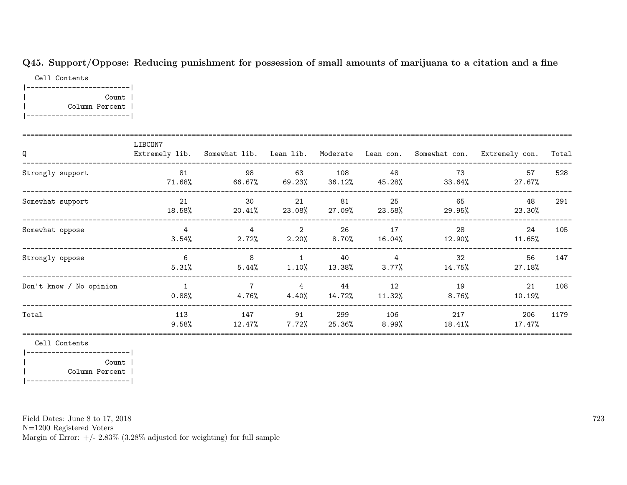## Q45. Support/Oppose: Reducing punishment for possession of small amounts of marijuana to a citation and a fine

Cell Contents |-------------------------| | Count | | Column Percent | |-------------------------|

| Q                       | LIBCON7                    | Extremely lib. Somewhat lib. Lean lib. Moderate Lean con. |                |               |                             |                | Somewhat con. Extremely con. | Total |
|-------------------------|----------------------------|-----------------------------------------------------------|----------------|---------------|-----------------------------|----------------|------------------------------|-------|
| Strongly support        | 81<br>71.68%               | 98<br>66.67%                                              | 63<br>69.23%   | 108<br>36.12% | 48<br>45.28%                | 73<br>33.64%   | 57<br>27.67%                 | 528   |
| Somewhat support        | 21<br>18.58%               | 30<br>$20.41\%$                                           | 21<br>23.08%   | 81<br>27.09%  | 25<br>23.58%                | 65<br>29.95%   | 48<br>23.30%                 | 291   |
| Somewhat oppose         | $\overline{4}$<br>3.54%    | 4<br>2.72%                                                | 2<br>2.20%     | 26<br>8.70%   | 17<br>16.04%                | 28<br>12.90%   | 24<br>11.65%                 | 105   |
| Strongly oppose         | 6<br>5.31%                 | 8<br>$5.44\%$                                             | 1<br>1.10%     | 40<br>13.38%  | $4\overline{4}$<br>$3.77\%$ | 32<br>14.75%   | 56<br>27.18%                 | 147   |
| Don't know / No opinion | $\overline{1}$<br>$0.88\%$ | $\overline{7}$<br>4.76%                                   | 4<br>4.40%     | 44<br>14.72%  | 12<br>11.32%                | 19<br>$8.76\%$ | 21<br>10.19%                 | 108   |
| Total                   | 113<br>$9.58\%$            | 147<br>12.47%                                             | 91<br>$7.72\%$ | 299<br>25.36% | 106<br>8.99%                | 217<br>18.41%  | 206<br>17.47%                | 1179  |

Cell Contents

|-------------------------| | Count | | Column Percent | |-------------------------|

Field Dates: June 8 to 17, 2018

N=1200 Registered Voters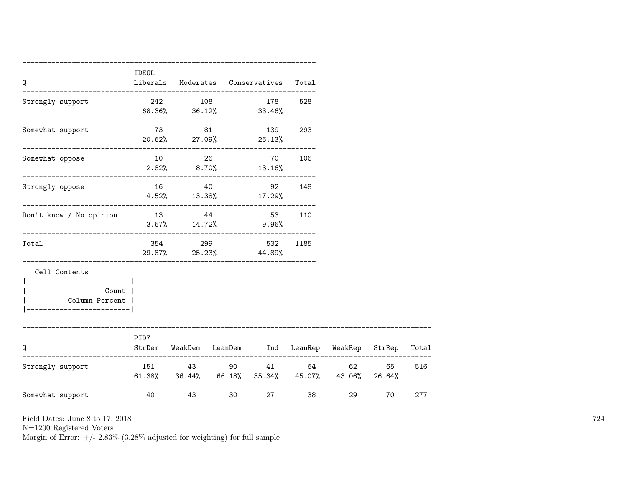| Q                                                  | IDEOL |                        |    | Liberals Moderates Conservatives Total                                                   |        |       |    |     |
|----------------------------------------------------|-------|------------------------|----|------------------------------------------------------------------------------------------|--------|-------|----|-----|
| Strongly support                                   |       |                        |    | 242 108 178 528<br>$68.36\%$ $36.12\%$ $33.46\%$                                         |        |       |    |     |
| Somewhat support                                   |       |                        |    | 73 81 139 293<br>20.62% 27.09% 26.13%                                                    |        |       |    |     |
| -------------------------------<br>Somewhat oppose |       | $10 \hspace{1.5cm} 26$ |    | $2.82\%$ $8.70\%$ $13.16\%$                                                              | 70 106 |       |    |     |
| Strongly oppose                                    |       | 16 40                  |    | 92<br>$4.52\%$ 13.38% 17.29%                                                             | 148    |       |    |     |
| Don't know / No opinion                            | 13 44 |                        |    | 53 110<br>$3.67\%$ $14.72\%$ $9.96\%$                                                    |        |       |    |     |
| ._______________________________<br>Total          |       | 354 299                |    | 532<br>29.87% 25.23% 44.89%                                                              | 1185   |       |    |     |
| Cell Contents<br>-------------------------         |       |                        |    |                                                                                          |        |       |    |     |
| Count  <br>Column Percent                          |       |                        |    |                                                                                          |        |       |    |     |
| Q                                                  | PID7  |                        |    | StrDem WeakDem LeanDem Ind LeanRep WeakRep StrRep Total                                  |        |       |    |     |
| Strongly support                                   |       |                        |    | 151 43 90 41 64<br>$61.38\%$ $36.44\%$ $66.18\%$ $35.34\%$ $45.07\%$ $43.06\%$ $26.64\%$ |        | 62 11 | 65 | 516 |
| __________________________<br>Somewhat support     | 40    | 43                     | 30 |                                                                                          | 38     | 29    | 70 | 277 |

N=1200 Registered Voters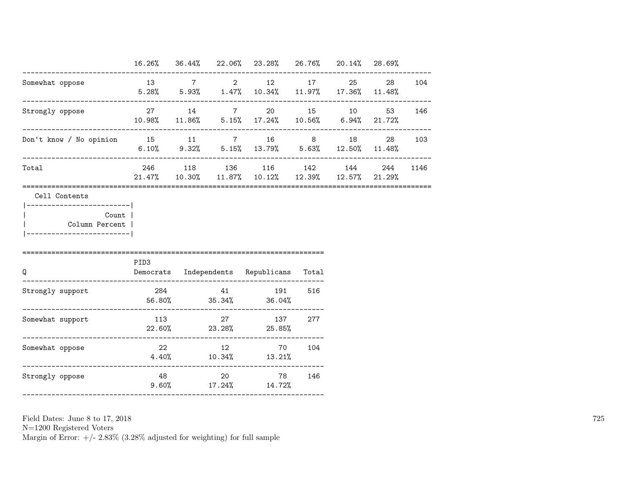|                                                                                                       |      |                        | 16.26% 36.44% 22.06% 23.28% 26.76% 20.14% 28.69%                                               |     |           |          |
|-------------------------------------------------------------------------------------------------------|------|------------------------|------------------------------------------------------------------------------------------------|-----|-----------|----------|
| Somewhat oppose                                                                                       |      |                        | 13 7 2 12 17<br>$5.28\%$ $5.93\%$ $1.47\%$ $10.34\%$ $11.97\%$ $17.36\%$ $11.48\%$             |     | 25 28 104 |          |
| Strongly oppose                                                                                       |      |                        | 27 14 7 20 15 10 53 146<br>$10.98\%$ $11.86\%$ $5.15\%$ $17.24\%$ $10.56\%$ $6.94\%$ $21.72\%$ |     |           |          |
| Don't know / No opinion 15 11 7 16 8 18 28 103                                                        |      |                        | 6.10% 9.32% 5.15% 13.79% 5.63% 12.50% 11.48%                                                   |     |           |          |
| Total                                                                                                 |      |                        | 246 118 136 116 142 144<br>$21.47\%$ 10.30\, 11.87\, 10.12\, 12.39\, 12.57\, 21.29\,           |     |           | 244 1146 |
| Cell Contents<br>------------------------- <br>Count  <br>Column Percent  <br>----------------------- |      |                        |                                                                                                |     |           |          |
| $\Omega$                                                                                              | PID3 |                        | Democrats Independents Republicans Total                                                       |     |           |          |
| Strongly support                                                                                      |      |                        | 284 41 191 516<br>$56.80\%$ $35.34\%$ $36.04\%$                                                |     |           |          |
| Somewhat support                                                                                      |      |                        | 113 27 137 277<br>$22.60\%$ 23.28% 25.85%                                                      |     |           |          |
| Somewhat oppose                                                                                       |      |                        | 22 12 70 104<br>$4.40\%$ $10.34\%$ $13.21\%$                                                   |     |           |          |
| Strongly oppose                                                                                       |      | $9.60\%$ 17.24% 14.72% | 48 20 78                                                                                       | 146 |           |          |

N=1200 Registered Voters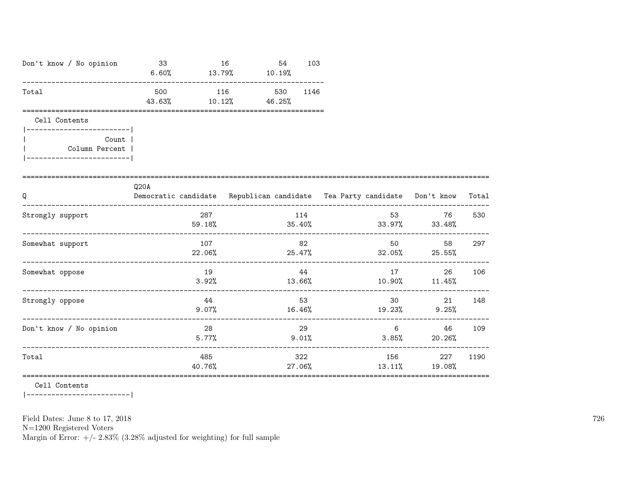| Don't know / No opinion                   | 33                                                                               | 16<br>54<br>$6.60\%$ 13.79% 10.19% | 103           |                                       |                                                                                                                                                                                                                                       |       |
|-------------------------------------------|----------------------------------------------------------------------------------|------------------------------------|---------------|---------------------------------------|---------------------------------------------------------------------------------------------------------------------------------------------------------------------------------------------------------------------------------------|-------|
| Total                                     | 500<br>43.63%                                                                    | 116<br>530<br>$10.12\%$ $46.25\%$  | 1146          |                                       |                                                                                                                                                                                                                                       |       |
| Cell Contents<br>------------------------ |                                                                                  |                                    |               |                                       |                                                                                                                                                                                                                                       |       |
| <b>Count</b><br>Column Percent            |                                                                                  |                                    |               |                                       |                                                                                                                                                                                                                                       |       |
| Q                                         | Q20A<br>Democratic candidate Republican candidate Tea Party candidate Don't know |                                    |               |                                       |                                                                                                                                                                                                                                       | Total |
| Strongly support                          | 287<br>59.18%                                                                    |                                    | 114           | 53 3<br>$35.40\%$ $33.97\%$ $33.48\%$ | 76                                                                                                                                                                                                                                    | 530   |
| Somewhat support                          | 107                                                                              |                                    | 82            | $22.06\%$ 25.47% 32.05% 25.55%        | 50 30 30 31 32 33 43 44 50 31 32 33 45 60 32 45 60 32 45 60 32 45 60 32 45 60 32 45 60 32 52 53 64 65 65 72 53 65 72 53 65 72 53 65 72 53 65 73 65 73 65 73 65 73 65 73 65 73 65 73 65 73 65 73 65 73 65 73 65 73 65 73 65 73 6<br>58 | 297   |
| Somewhat oppose                           | 19<br>$3.92\%$                                                                   |                                    | 44            | $13.66\%$ $10.90\%$ $11.45\%$         | 17 — 2020<br>26                                                                                                                                                                                                                       | 106   |
| Strongly oppose                           | 44<br>$9.07\%$                                                                   | $16.46\%$                          | 53            | $19.23\%$ 9.25%                       | 30 <sup>1</sup><br>21                                                                                                                                                                                                                 | 148   |
| Don't know / No opinion                   | 28<br>5.77%                                                                      |                                    | 29<br>9.01%   | 6                                     | 46<br>$3.85\%$ 20.26%                                                                                                                                                                                                                 | 109   |
| Total                                     | 485<br>40.76%                                                                    |                                    | 322<br>27.06% | 13.11%                                | 156 — 156<br>227<br>19.08%                                                                                                                                                                                                            | 1190  |

=================================================================================================================

Cell Contents

|-------------------------|

Field Dates: June 8 to 17, 2018

N=1200 Registered Voters

Margin of Error:  $+/- 2.83\%$  (3.28% adjusted for weighting) for full sample

726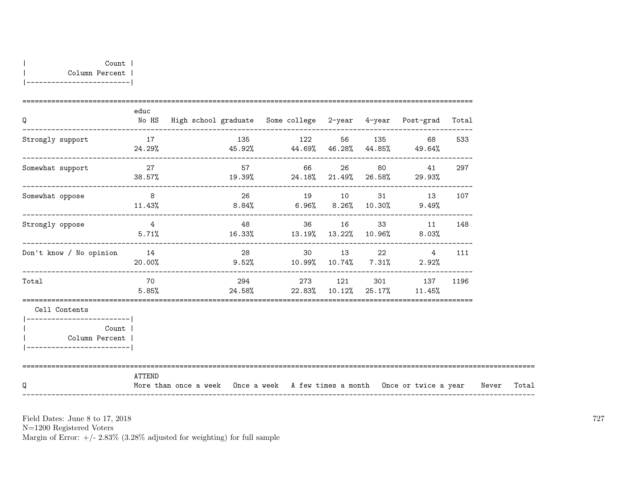| Q                                                             | educ         | No HS High school graduate Some college 2-year 4-year Post-grad Total             |             |  |                                                                   |     |       |       |
|---------------------------------------------------------------|--------------|-----------------------------------------------------------------------------------|-------------|--|-------------------------------------------------------------------|-----|-------|-------|
| Strongly support                                              |              | 17 135 122 56 135<br>$24.29%$ $45.92%$ $44.69%$ $46.28%$ $44.85%$ $49.64%$        |             |  | 68 — 1                                                            | 533 |       |       |
| Somewhat support                                              | 27<br>38.57% | $19.39\%$ 24.18% 21.49% 26.58% 29.93%                                             | 57 66 26 80 |  | 41                                                                | 297 |       |       |
| Somewhat oppose                                               |              | $11.43\%$ $8.84\%$ $6.96\%$ $8.26\%$ $10.30\%$ $9.49\%$                           | 26 19 10    |  | 31 13                                                             | 107 |       |       |
| Strongly oppose                                               |              | 4 28 36 16 33 11 148<br>$5.71\%$ $16.33\%$ $13.19\%$ $13.22\%$ $10.96\%$ $8.03\%$ |             |  |                                                                   |     |       |       |
| Don't know / No opinion                                       | 14<br>20.00% | $9.52\%$ 10.99% 10.74% 7.31% 2.92%                                                |             |  | 28 30 13 22 4                                                     | 111 |       |       |
| Total                                                         | 70<br>5.85%  |                                                                                   |             |  | 294 273 121 301 137 1196<br>$24.58\%$ 22.83% 10.12% 25.17% 11.45% |     |       |       |
| Cell Contents<br>------------------------                     |              |                                                                                   |             |  |                                                                   |     |       |       |
| <b>Count</b><br>Column Percent  <br>_________________________ |              |                                                                                   |             |  |                                                                   |     |       |       |
| Q                                                             | ATTEND       | More than once a week Once a week A few times a month Once or twice a year        |             |  |                                                                   |     | Never | Total |

N=1200 Registered Voters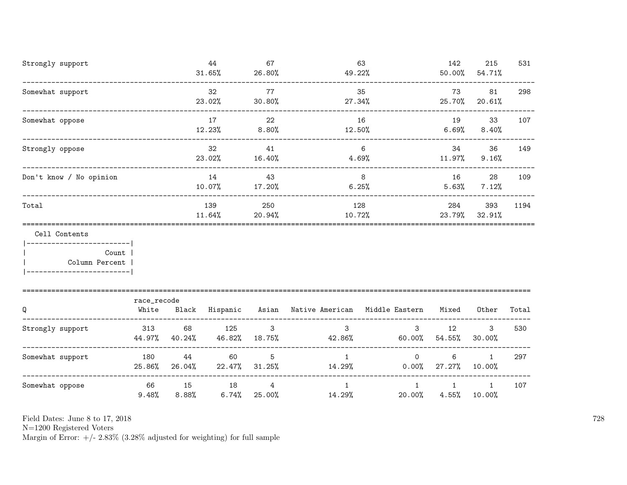| Strongly support                                        |               |                     | 44<br>31.65%  | 67<br>26.80%                      | 49.22%                                              | 63               | 142<br>50.00%            | 215<br>54.71%          | 531   |
|---------------------------------------------------------|---------------|---------------------|---------------|-----------------------------------|-----------------------------------------------------|------------------|--------------------------|------------------------|-------|
| Somewhat support                                        |               |                     | 32<br>23.02%  | 77<br>30.80%                      | 27.34%                                              | 35               | 73<br>25.70%             | 81<br>20.61%           | 298   |
| Somewhat oppose<br>------------------------------------ |               |                     | 17<br>12.23%  | 22<br>$8.80\%$                    | 12.50%                                              | 16               | 19<br>6.69%              | 33<br>8.40%            | 107   |
| Strongly oppose                                         |               |                     | 32<br>23.02%  | 41<br>16.40%                      |                                                     | 6<br>4.69%       | 34<br>$11.97\%$          | 36<br>9.16%            | 149   |
| Don't know / No opinion                                 |               |                     | 14<br>10.07%  | 43<br>17.20%                      |                                                     | 8<br>6.25%       | 16<br>5.63%              | 28<br>7.12%            | 109   |
| Total                                                   |               | 139<br>11.64%       | 250<br>20.94% | 128<br>10.72%                     |                                                     | 284              | 393<br>23.79% 32.91%     | 1194                   |       |
| Cell Contents<br>------------------------               |               |                     |               |                                   |                                                     |                  |                          |                        |       |
| Count  <br>Column Percent                               |               |                     |               |                                   |                                                     |                  |                          |                        |       |
|                                                         | race_recode   |                     |               |                                   |                                                     |                  |                          |                        |       |
| Q                                                       | White         |                     |               |                                   | Black Hispanic Asian Native American Middle Eastern |                  | Mixed                    | Other                  | Total |
| Strongly support                                        | 313           | 68<br>44.97% 40.24% | 125           | $\mathbf{3}$<br>46.82% 18.75%     | $\mathbf{3}$<br>42.86%                              | 3 <sup>1</sup>   | 12<br>$60.00\%$ 54.55%   | 3<br>30.00%            | 530   |
| Somewhat support                                        | 180<br>25.86% | 44<br>26.04%        | 60            | 5<br>22.47% 31.25%                | $\mathbf{1}$<br>14.29%                              | $\circ$<br>0.00% | 6<br>27.27%              | $\mathbf{1}$<br>10.00% | 297   |
| Somewhat oppose                                         | 66<br>9.48%   | 15<br>8.88%         | 18            | $\overline{4}$<br>$6.74\%$ 25.00% | $\mathbf{1}$<br>14.29%                              | 1<br>$20.00\%$   | $\mathbf{1}$<br>$4.55\%$ | 1<br>10.00%            | 107   |

N=1200 Registered Voters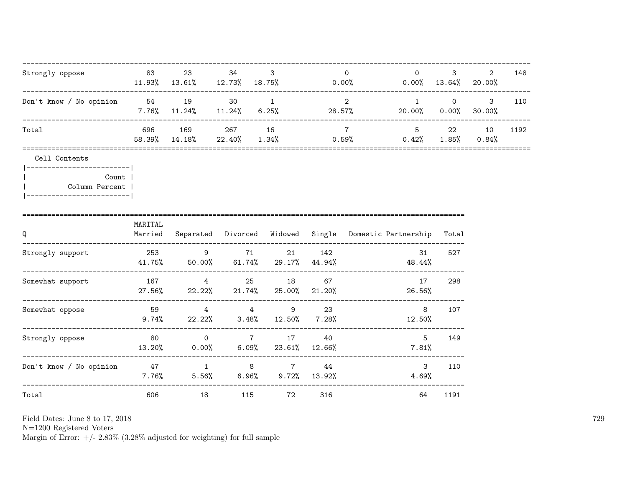| Strongly oppose                                                                       | 83                   |                                              | 23 34 3          |           | $\overline{0}$          | $\Omega$<br>$11.93\%$ $13.61\%$ $12.73\%$ $18.75\%$ 0.00% 0.00% 0.00% 13.64% 20.00% | $3 \sim$                  | 2 | 148  |
|---------------------------------------------------------------------------------------|----------------------|----------------------------------------------|------------------|-----------|-------------------------|-------------------------------------------------------------------------------------|---------------------------|---|------|
| Don't know / No opinion 54 19 30 1                                                    | -------------------- |                                              | ---------------- |           | $\overline{\mathbf{2}}$ | $7.76\%$ 11.24% 11.24% 6.25% 28.57%<br>20.00% 0.00% 30.00%                          | ----------------<br>1 0 3 |   | 110  |
| Total                                                                                 |                      | 696 169 267 16                               |                  |           |                         | 5 22 10<br>$\overline{7}$<br>58.39% 14.18% 22.40% 1.34% 0.59% 0.42% 1.85% 0.84%     |                           |   | 1192 |
| Cell Contents                                                                         |                      |                                              |                  |           |                         |                                                                                     |                           |   |      |
| ------------------------- <br>Count  <br>Column Percent<br>__________________________ |                      |                                              |                  |           |                         |                                                                                     |                           |   |      |
| Q                                                                                     | MARITAL              |                                              |                  |           |                         | Married Separated Divorced Widowed Single Domestic Partnership Total                |                           |   |      |
| Strongly support 253 9 71 21 142                                                      |                      |                                              |                  |           |                         | 31<br>$41.75\%$ 50.00% 61.74% 29.17% 44.94% 48.44%                                  | 527                       |   |      |
| Somewhat support                                                                      |                      | 167 4 25 18 67                               |                  |           |                         | 17<br>$27.56\%$ 22.22% 21.74% 25.00% 21.20%<br>26.56%                               | 298                       |   |      |
| Somewhat oppose                                                                       |                      | 59 4 4<br>$9.74\%$ 22.22% 3.48% 12.50% 7.28% |                  |           | 9 23                    | 8<br>12.50%                                                                         | 107                       |   |      |
| Strongly oppose                                                                       | 80                   |                                              |                  | 0 7 17 40 |                         | 5 <sup>5</sup><br>$13.20\%$ 0.00% 6.09% 23.61% 12.66% 7.81%                         | 149                       |   |      |
| Don't know / No opinion $47$ 1 8 $7$ 44                                               |                      |                                              |                  |           |                         | $\mathbf{3}$<br>$7.76\%$ $5.56\%$ $6.96\%$ $9.72\%$ $13.92\%$ $4.69\%$              | 110                       |   |      |
| Total                                                                                 | 606                  | 18                                           |                  | 115 72    | 316                     | 64                                                                                  | 1191                      |   |      |

N=1200 Registered Voters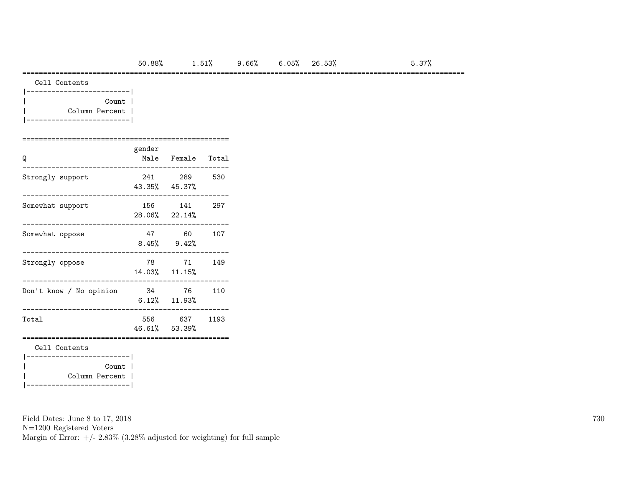===========================================================================================================

Cell Contents

| Count          |  |
|----------------|--|
| Column Percent |  |
|                |  |

## ==================================================

| Q                                             | gender | Male Female Total              |      |
|-----------------------------------------------|--------|--------------------------------|------|
| Strongly support                              |        | 241 289<br>43.35% 45.37%       | 530  |
| Somewhat support                              |        | 156 141<br>$28.06\%$ $22.14\%$ | 297  |
| Somewhat oppose                               |        | 47 60<br>$8.45\%$ $9.42\%$     | 107  |
| Strongly oppose                               |        | 78 71<br>14.03% 11.15%         | 149  |
| Don't know / No opinion                       |        | 34 76<br>$6.12\%$ $11.93\%$    | 110  |
| Total                                         |        | 556 637<br>46.61% 53.39%       | 1193 |
| Cell Contents<br>------------------------     |        |                                |      |
| Count  <br>Column Percent  <br>______________ |        |                                |      |

Field Dates: June 8 to 17, 2018

N=1200 Registered Voters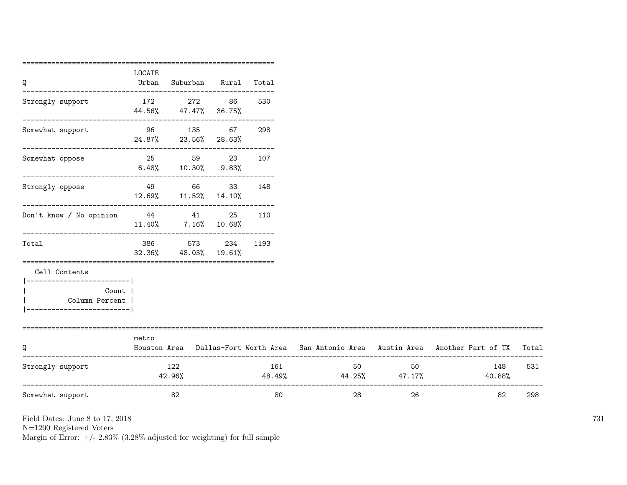| LOCATE |                                                                                                                        |                            |                                                                                                                                 |                                                                                                                                                            |     |                                                                                                                                                                                                                                       |                                                                                                                                  |
|--------|------------------------------------------------------------------------------------------------------------------------|----------------------------|---------------------------------------------------------------------------------------------------------------------------------|------------------------------------------------------------------------------------------------------------------------------------------------------------|-----|---------------------------------------------------------------------------------------------------------------------------------------------------------------------------------------------------------------------------------------|----------------------------------------------------------------------------------------------------------------------------------|
|        |                                                                                                                        | Urban Suburban Rural Total |                                                                                                                                 |                                                                                                                                                            |     |                                                                                                                                                                                                                                       |                                                                                                                                  |
|        |                                                                                                                        |                            | 530                                                                                                                             |                                                                                                                                                            |     |                                                                                                                                                                                                                                       |                                                                                                                                  |
|        |                                                                                                                        |                            |                                                                                                                                 |                                                                                                                                                            |     |                                                                                                                                                                                                                                       |                                                                                                                                  |
|        |                                                                                                                        |                            |                                                                                                                                 |                                                                                                                                                            |     |                                                                                                                                                                                                                                       |                                                                                                                                  |
|        |                                                                                                                        |                            |                                                                                                                                 |                                                                                                                                                            |     |                                                                                                                                                                                                                                       |                                                                                                                                  |
|        |                                                                                                                        |                            |                                                                                                                                 |                                                                                                                                                            |     |                                                                                                                                                                                                                                       |                                                                                                                                  |
|        |                                                                                                                        |                            | 1193                                                                                                                            |                                                                                                                                                            |     |                                                                                                                                                                                                                                       |                                                                                                                                  |
|        |                                                                                                                        |                            |                                                                                                                                 |                                                                                                                                                            |     |                                                                                                                                                                                                                                       |                                                                                                                                  |
|        |                                                                                                                        |                            |                                                                                                                                 |                                                                                                                                                            |     |                                                                                                                                                                                                                                       |                                                                                                                                  |
| metro  |                                                                                                                        |                            |                                                                                                                                 |                                                                                                                                                            |     |                                                                                                                                                                                                                                       |                                                                                                                                  |
|        |                                                                                                                        |                            |                                                                                                                                 |                                                                                                                                                            |     | 148<br>40.88%                                                                                                                                                                                                                         | 531                                                                                                                              |
|        | 82                                                                                                                     |                            | 80                                                                                                                              |                                                                                                                                                            | 26  | 82                                                                                                                                                                                                                                    | 298                                                                                                                              |
|        | ---------------------- <br>Count  <br>Column Percent  <br>-----------------------<br>_________________________________ | 122<br>42.96%              | 44.56% 47.47% 36.75%<br>$12.69\%$ $11.52\%$ $14.10\%$<br>$11.40\%$ 7.16% 10.68%<br>386 573 234<br>$32.36\%$ $48.03\%$ $19.61\%$ | 172 272 86<br>96 135 67 298<br>24.87% 23.56% 28.63%<br>25 59 23 107<br>$6.48\%$ $10.30\%$ $9.83\%$<br>49 66 33 148<br>Don't know / No opinion 44 41 25 110 | 161 | 50 30 30 31 32 33 40 34 35 40 35 40 35 40 35 40 35 40 35 40 35 40 35 40 35 40 35 40 35 40 35 40 35 40 35 40 35 40 35 40 35 40 35 40 35 40 35 40 35 40 35 40 35 40 35 40 35 40 35 40 35 40 35 40 35 40 35 40 35 40 35 40 35 40 3<br>28 | Houston Area Dallas-Fort Worth Area San Antonio Area Austin Area Another Part of TX Total<br>50<br>$48.49\%$ $44.25\%$ $47.17\%$ |

N=1200 Registered Voters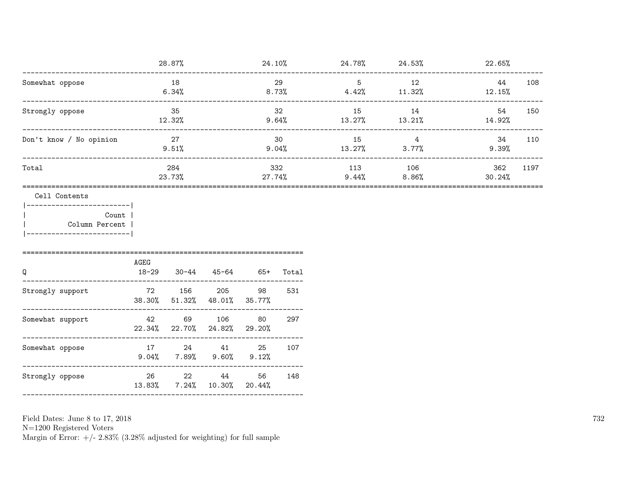|                                                                                                    |                   | 28.87%                                              |        |                                   |              |                                     |                | $24.10\%$ 24.78% 24.53% 24.53% 22.65% |
|----------------------------------------------------------------------------------------------------|-------------------|-----------------------------------------------------|--------|-----------------------------------|--------------|-------------------------------------|----------------|---------------------------------------|
| Somewhat oppose                                                                                    |                   | 18<br>6.34%                                         |        | 29<br>$8.73\%$ $4.42\%$ $11.32\%$ |              | $5^{\circ}$                         | 12             | 44<br>108<br>$12.15\%$                |
| Strongly oppose                                                                                    | 35<br>$12.32\%$   |                                                     |        | 32                                |              | 15<br>$9.64\%$ 13.27% 13.21%        | 14             | 54<br>150<br>14.92%                   |
| Don't know / No opinion                                                                            |                   | 27<br>$9.51\%$                                      |        |                                   | 30           | 15 4<br>$9.04\%$ $13.27\%$ $3.77\%$ |                | 34<br>110<br>9.39%                    |
| Total                                                                                              |                   | 284<br>23.73%                                       |        | 332<br>27.74%                     |              | 113 106                             | $9.44\%$ 8.86% | 362<br>1197<br>30.24%                 |
| Cell Contents<br>------------------------- <br>Count  <br>Column Percent<br>---------------------- |                   |                                                     |        |                                   |              |                                     |                |                                       |
| Q                                                                                                  | AGEG<br>$18 - 29$ |                                                     |        | $30-44$ $45-64$ $65+$             | Total        |                                     |                |                                       |
| Strongly support                                                                                   |                   | 72 156<br>38.30% 51.32% 48.01% 35.77%               | 205    | 98 —                              | 531          |                                     |                |                                       |
| Somewhat support                                                                                   | 42                | 22.34% 22.70% 24.82% 29.20%                         | 69 106 | 80 — 10                           | 297<br>----- |                                     |                |                                       |
| Somewhat oppose                                                                                    |                   | 17 24 41 25 107<br>$9.04\%$ 7.89% $9.60\%$ 9.12%    |        |                                   | -----        |                                     |                |                                       |
| Strongly oppose                                                                                    | 26 30             | 22 and $\overline{a}$<br>13.83% 7.24% 10.30% 20.44% | 44 \   | 56                                | 148          |                                     |                |                                       |

N=1200 Registered Voters